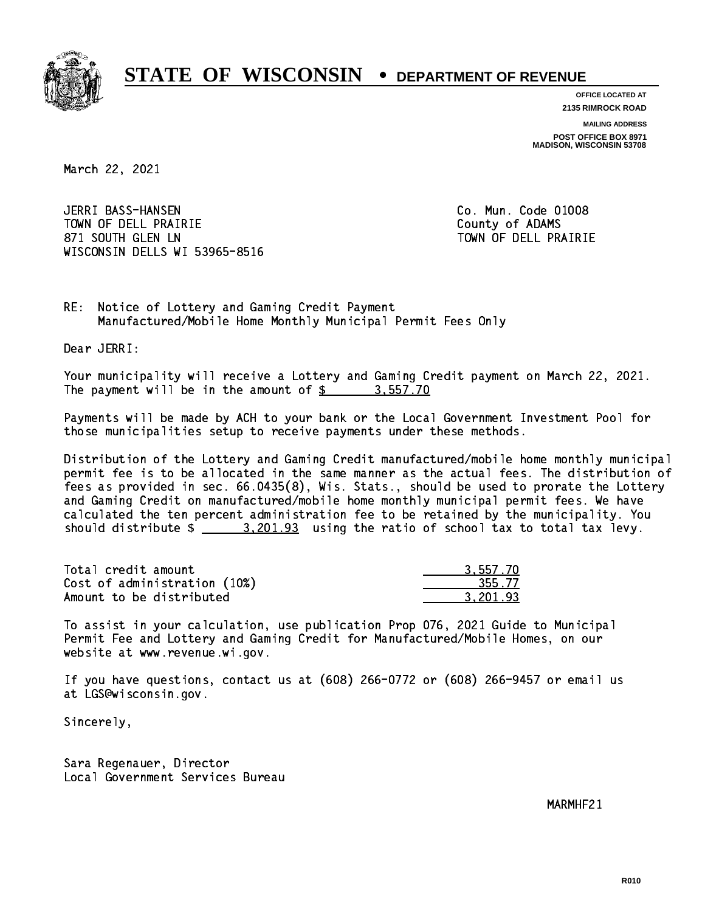

**OFFICE LOCATED AT 2135 RIMROCK ROAD**

**MAILING ADDRESS**

**POST OFFICE BOX 8971 MADISON, WISCONSIN 53708**

March 22, 2021

 JERRI BASS-HANSEN Co. Mun. Code 01008 TOWN OF DELL PRAIRIE County of ADAMS 871 SOUTH GLEN LN TOWN OF DELL PRAIRIE WISCONSIN DELLS WI 53965-8516

RE: Notice of Lottery and Gaming Credit Payment Manufactured/Mobile Home Monthly Municipal Permit Fees Only

Dear JERRI:

 Your municipality will receive a Lottery and Gaming Credit payment on March 22, 2021. The payment will be in the amount of \$ 3,557.70 \_\_\_\_\_\_\_\_\_\_\_\_\_\_\_\_

 Payments will be made by ACH to your bank or the Local Government Investment Pool for those municipalities setup to receive payments under these methods.

 Distribution of the Lottery and Gaming Credit manufactured/mobile home monthly municipal permit fee is to be allocated in the same manner as the actual fees. The distribution of fees as provided in sec. 66.0435(8), Wis. Stats., should be used to prorate the Lottery and Gaming Credit on manufactured/mobile home monthly municipal permit fees. We have calculated the ten percent administration fee to be retained by the municipality. You should distribute  $\frac{2}{2}$   $\frac{3,201.93}{2}$  using the ratio of school tax to total tax levy.

| Total credit amount          | 3.557.70 |
|------------------------------|----------|
| Cost of administration (10%) | 355.77   |
| Amount to be distributed     | 3.201.93 |

 To assist in your calculation, use publication Prop 076, 2021 Guide to Municipal Permit Fee and Lottery and Gaming Credit for Manufactured/Mobile Homes, on our website at www.revenue.wi.gov.

 If you have questions, contact us at (608) 266-0772 or (608) 266-9457 or email us at LGS@wisconsin.gov.

Sincerely,

 Sara Regenauer, Director Local Government Services Bureau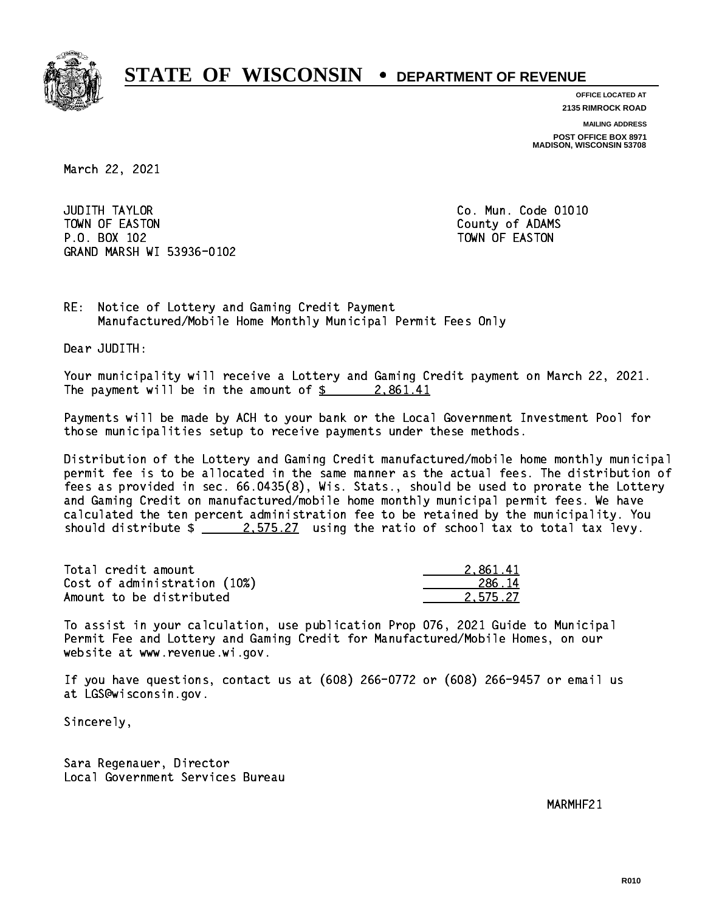

**OFFICE LOCATED AT 2135 RIMROCK ROAD**

**MAILING ADDRESS**

**POST OFFICE BOX 8971 MADISON, WISCONSIN 53708**

March 22, 2021

**JUDITH TAYLOR** TOWN OF EASTON COUNTY OF ALCOHOL COUNTY OF ADAMS P.O. BOX 102 TOWN OF EASTON GRAND MARSH WI 53936-0102

Co. Mun. Code 01010

RE: Notice of Lottery and Gaming Credit Payment Manufactured/Mobile Home Monthly Municipal Permit Fees Only

Dear JUDITH:

 Your municipality will receive a Lottery and Gaming Credit payment on March 22, 2021. The payment will be in the amount of  $\frac{2.861.41}{2.25}$ 

 Payments will be made by ACH to your bank or the Local Government Investment Pool for those municipalities setup to receive payments under these methods.

 Distribution of the Lottery and Gaming Credit manufactured/mobile home monthly municipal permit fee is to be allocated in the same manner as the actual fees. The distribution of fees as provided in sec. 66.0435(8), Wis. Stats., should be used to prorate the Lottery and Gaming Credit on manufactured/mobile home monthly municipal permit fees. We have calculated the ten percent administration fee to be retained by the municipality. You should distribute  $\frac{2.575.27}{2.575.27}$  using the ratio of school tax to total tax levy.

| Total credit amount          | 2.861.41 |
|------------------------------|----------|
| Cost of administration (10%) | 286.14   |
| Amount to be distributed     | 2.575.27 |

 To assist in your calculation, use publication Prop 076, 2021 Guide to Municipal Permit Fee and Lottery and Gaming Credit for Manufactured/Mobile Homes, on our website at www.revenue.wi.gov.

 If you have questions, contact us at (608) 266-0772 or (608) 266-9457 or email us at LGS@wisconsin.gov.

Sincerely,

 Sara Regenauer, Director Local Government Services Bureau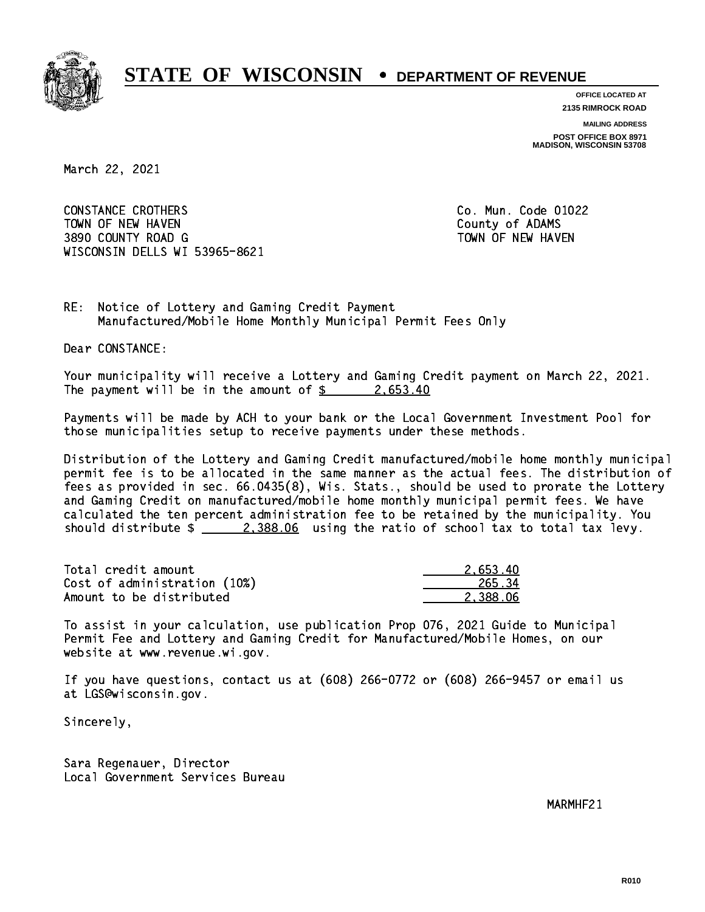

**OFFICE LOCATED AT**

**2135 RIMROCK ROAD**

**MAILING ADDRESS**

**POST OFFICE BOX 8971 MADISON, WISCONSIN 53708**

March 22, 2021

 CONSTANCE CROTHERS Co. Mun. Code 01022 TOWN OF NEW HAVEN **COUNTY OF A SERVICE COULD A** COUNTY OF ADAMS 3890 COUNTY ROAD G TOWN OF NEW HAVEN WISCONSIN DELLS WI 53965-8621

RE: Notice of Lottery and Gaming Credit Payment Manufactured/Mobile Home Monthly Municipal Permit Fees Only

Dear CONSTANCE:

 Your municipality will receive a Lottery and Gaming Credit payment on March 22, 2021. The payment will be in the amount of  $\frac{2}{5}$  2,653.40

 Payments will be made by ACH to your bank or the Local Government Investment Pool for those municipalities setup to receive payments under these methods.

 Distribution of the Lottery and Gaming Credit manufactured/mobile home monthly municipal permit fee is to be allocated in the same manner as the actual fees. The distribution of fees as provided in sec. 66.0435(8), Wis. Stats., should be used to prorate the Lottery and Gaming Credit on manufactured/mobile home monthly municipal permit fees. We have calculated the ten percent administration fee to be retained by the municipality. You should distribute  $\frac{2,388.06}{2}$  using the ratio of school tax to total tax levy.

| Total credit amount          | 2.653.40 |
|------------------------------|----------|
| Cost of administration (10%) | 265.34   |
| Amount to be distributed     | 2.388.06 |

 To assist in your calculation, use publication Prop 076, 2021 Guide to Municipal Permit Fee and Lottery and Gaming Credit for Manufactured/Mobile Homes, on our website at www.revenue.wi.gov.

 If you have questions, contact us at (608) 266-0772 or (608) 266-9457 or email us at LGS@wisconsin.gov.

Sincerely,

 Sara Regenauer, Director Local Government Services Bureau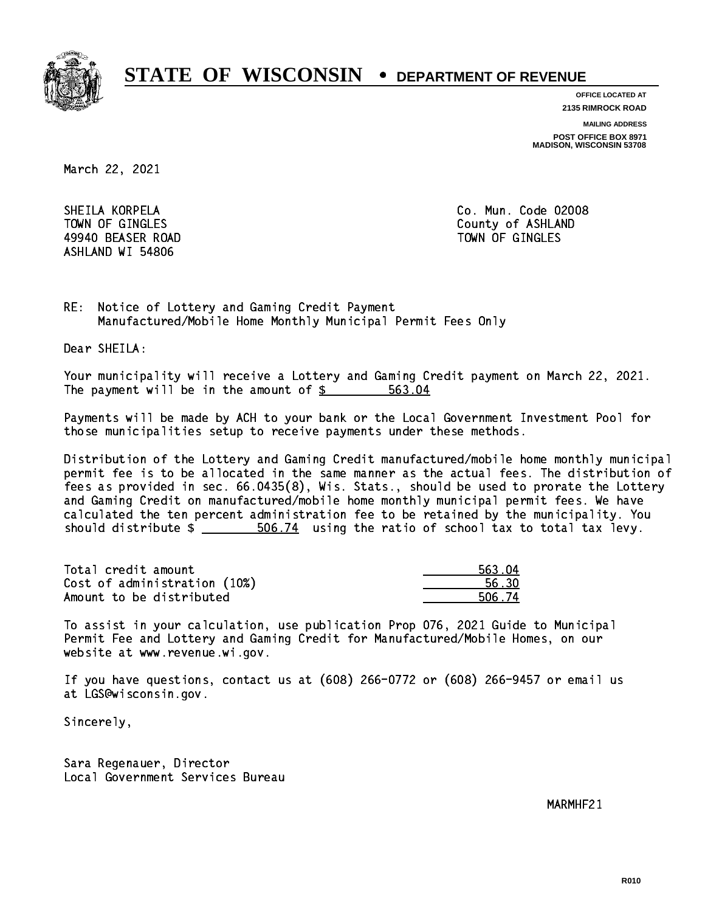

**OFFICE LOCATED AT**

**2135 RIMROCK ROAD**

**MAILING ADDRESS**

**POST OFFICE BOX 8971 MADISON, WISCONSIN 53708**

March 22, 2021

 SHEILA KORPELA Co. Mun. Code 02008 49940 BEASER ROAD TOWN OF GINGLES ASHLAND WI 54806

TOWN OF GINGLES County of ASHLAND

RE: Notice of Lottery and Gaming Credit Payment Manufactured/Mobile Home Monthly Municipal Permit Fees Only

Dear SHEILA:

 Your municipality will receive a Lottery and Gaming Credit payment on March 22, 2021. The payment will be in the amount of \$ 563.04 \_\_\_\_\_\_\_\_\_\_\_\_\_\_\_\_

 Payments will be made by ACH to your bank or the Local Government Investment Pool for those municipalities setup to receive payments under these methods.

 Distribution of the Lottery and Gaming Credit manufactured/mobile home monthly municipal permit fee is to be allocated in the same manner as the actual fees. The distribution of fees as provided in sec. 66.0435(8), Wis. Stats., should be used to prorate the Lottery and Gaming Credit on manufactured/mobile home monthly municipal permit fees. We have calculated the ten percent administration fee to be retained by the municipality. You should distribute  $\frac{2}{1}$   $\frac{506.74}{2}$  using the ratio of school tax to total tax levy.

| Total credit amount          | 563.04 |
|------------------------------|--------|
| Cost of administration (10%) | 56.30  |
| Amount to be distributed     | 506.74 |

| 563.04 |
|--------|
| 56 RN  |
| 6.74   |

 To assist in your calculation, use publication Prop 076, 2021 Guide to Municipal Permit Fee and Lottery and Gaming Credit for Manufactured/Mobile Homes, on our website at www.revenue.wi.gov.

 If you have questions, contact us at (608) 266-0772 or (608) 266-9457 or email us at LGS@wisconsin.gov.

Sincerely,

 Sara Regenauer, Director Local Government Services Bureau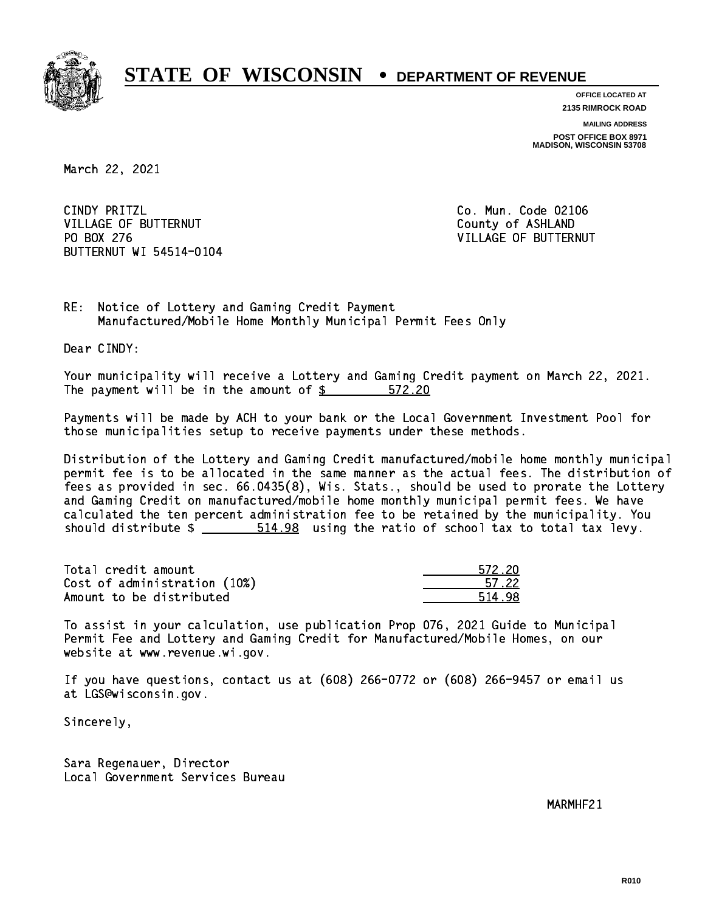

**OFFICE LOCATED AT**

**2135 RIMROCK ROAD**

**MAILING ADDRESS POST OFFICE BOX 8971 MADISON, WISCONSIN 53708**

March 22, 2021

CINDY PRITZL VILLAGE OF BUTTERNUT COUNTY OF ASHLAND PO BOX 276 BUTTERNUT WI 54514-0104

Co. Mun. Code 02106 VILLAGE OF BUTTERNUT

RE: Notice of Lottery and Gaming Credit Payment Manufactured/Mobile Home Monthly Municipal Permit Fees Only

Dear CINDY:

 Your municipality will receive a Lottery and Gaming Credit payment on March 22, 2021. The payment will be in the amount of \$ 572.20 \_\_\_\_\_\_\_\_\_\_\_\_\_\_\_\_

 Payments will be made by ACH to your bank or the Local Government Investment Pool for those municipalities setup to receive payments under these methods.

 Distribution of the Lottery and Gaming Credit manufactured/mobile home monthly municipal permit fee is to be allocated in the same manner as the actual fees. The distribution of fees as provided in sec. 66.0435(8), Wis. Stats., should be used to prorate the Lottery and Gaming Credit on manufactured/mobile home monthly municipal permit fees. We have calculated the ten percent administration fee to be retained by the municipality. You should distribute  $\frac{2}{1}$   $\frac{514.98}{1000}$  using the ratio of school tax to total tax levy.

Total credit amount Cost of administration (10%) Amount to be distributed

| 572-20   |
|----------|
| n 1. 22. |
|          |

 To assist in your calculation, use publication Prop 076, 2021 Guide to Municipal Permit Fee and Lottery and Gaming Credit for Manufactured/Mobile Homes, on our website at www.revenue.wi.gov.

 If you have questions, contact us at (608) 266-0772 or (608) 266-9457 or email us at LGS@wisconsin.gov.

Sincerely,

 Sara Regenauer, Director Local Government Services Bureau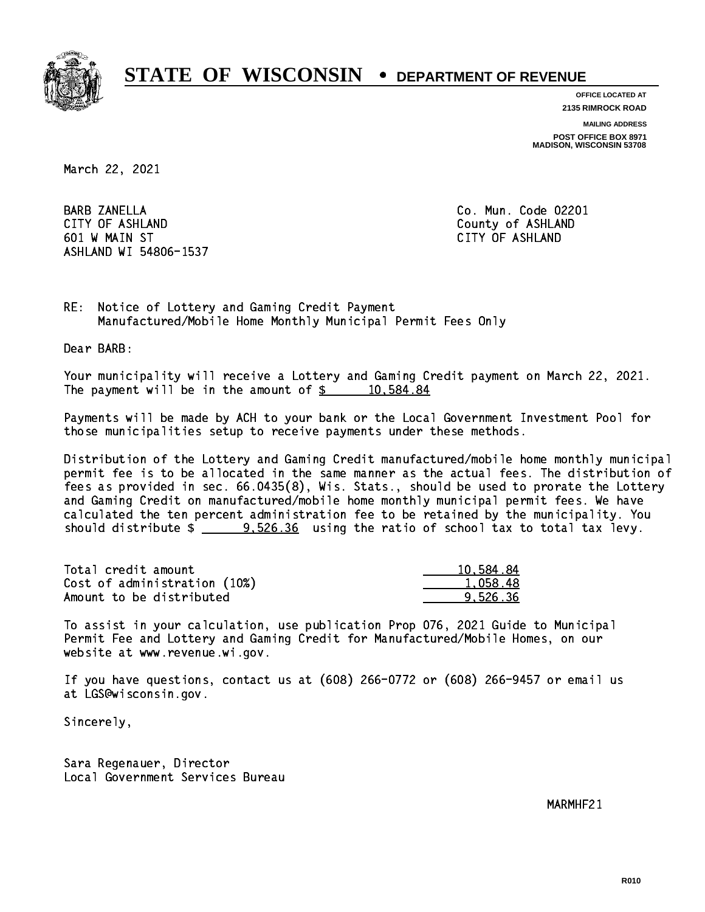

**OFFICE LOCATED AT**

**2135 RIMROCK ROAD**

**MAILING ADDRESS**

**POST OFFICE BOX 8971 MADISON, WISCONSIN 53708**

March 22, 2021

**BARB ZANELLA**  CITY OF ASHLAND County of ASHLAND 601 W MAIN ST CITY OF ASHLAND ASHLAND WI 54806-1537

Co. Mun. Code 02201

RE: Notice of Lottery and Gaming Credit Payment Manufactured/Mobile Home Monthly Municipal Permit Fees Only

Dear BARB:

 Your municipality will receive a Lottery and Gaming Credit payment on March 22, 2021. The payment will be in the amount of  $\frac{2}{3}$  10,584.84

 Payments will be made by ACH to your bank or the Local Government Investment Pool for those municipalities setup to receive payments under these methods.

 Distribution of the Lottery and Gaming Credit manufactured/mobile home monthly municipal permit fee is to be allocated in the same manner as the actual fees. The distribution of fees as provided in sec. 66.0435(8), Wis. Stats., should be used to prorate the Lottery and Gaming Credit on manufactured/mobile home monthly municipal permit fees. We have calculated the ten percent administration fee to be retained by the municipality. You should distribute  $\frac{2}{2}$   $\frac{9.526.36}{2}$  using the ratio of school tax to total tax levy.

| Total credit amount          | 10,584.84 |
|------------------------------|-----------|
| Cost of administration (10%) | 1.058.48  |
| Amount to be distributed     | 9.526.36  |

 To assist in your calculation, use publication Prop 076, 2021 Guide to Municipal Permit Fee and Lottery and Gaming Credit for Manufactured/Mobile Homes, on our website at www.revenue.wi.gov.

 If you have questions, contact us at (608) 266-0772 or (608) 266-9457 or email us at LGS@wisconsin.gov.

Sincerely,

 Sara Regenauer, Director Local Government Services Bureau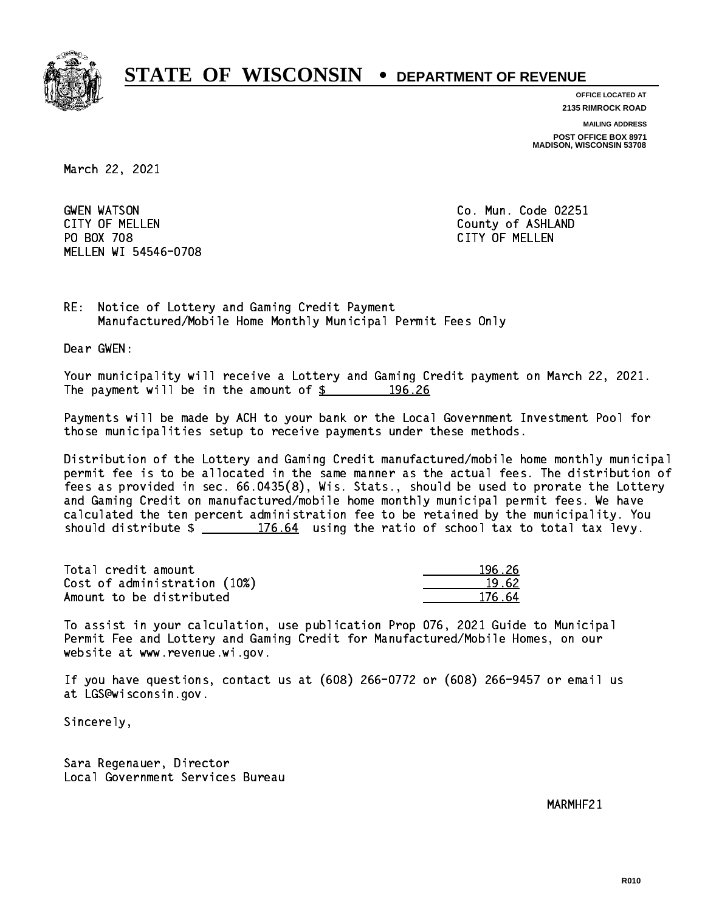

**OFFICE LOCATED AT**

**2135 RIMROCK ROAD**

**MAILING ADDRESS**

**POST OFFICE BOX 8971 MADISON, WISCONSIN 53708**

March 22, 2021

**GWEN WATSON** CITY OF MELLEN COUNTY OF ASHLAND PO BOX 708 CITY OF MELLEN MELLEN WI 54546-0708

Co. Mun. Code 02251

RE: Notice of Lottery and Gaming Credit Payment Manufactured/Mobile Home Monthly Municipal Permit Fees Only

Dear GWEN:

 Your municipality will receive a Lottery and Gaming Credit payment on March 22, 2021. The payment will be in the amount of  $\frac{26}{196.26}$ 

 Payments will be made by ACH to your bank or the Local Government Investment Pool for those municipalities setup to receive payments under these methods.

 Distribution of the Lottery and Gaming Credit manufactured/mobile home monthly municipal permit fee is to be allocated in the same manner as the actual fees. The distribution of fees as provided in sec. 66.0435(8), Wis. Stats., should be used to prorate the Lottery and Gaming Credit on manufactured/mobile home monthly municipal permit fees. We have calculated the ten percent administration fee to be retained by the municipality. You should distribute  $\frac{176.64}{176.64}$  using the ratio of school tax to total tax levy.

Total credit amount Cost of administration (10%) Amount to be distributed

| i 26   |
|--------|
| 9.62.  |
| 176.64 |

 To assist in your calculation, use publication Prop 076, 2021 Guide to Municipal Permit Fee and Lottery and Gaming Credit for Manufactured/Mobile Homes, on our website at www.revenue.wi.gov.

 If you have questions, contact us at (608) 266-0772 or (608) 266-9457 or email us at LGS@wisconsin.gov.

Sincerely,

 Sara Regenauer, Director Local Government Services Bureau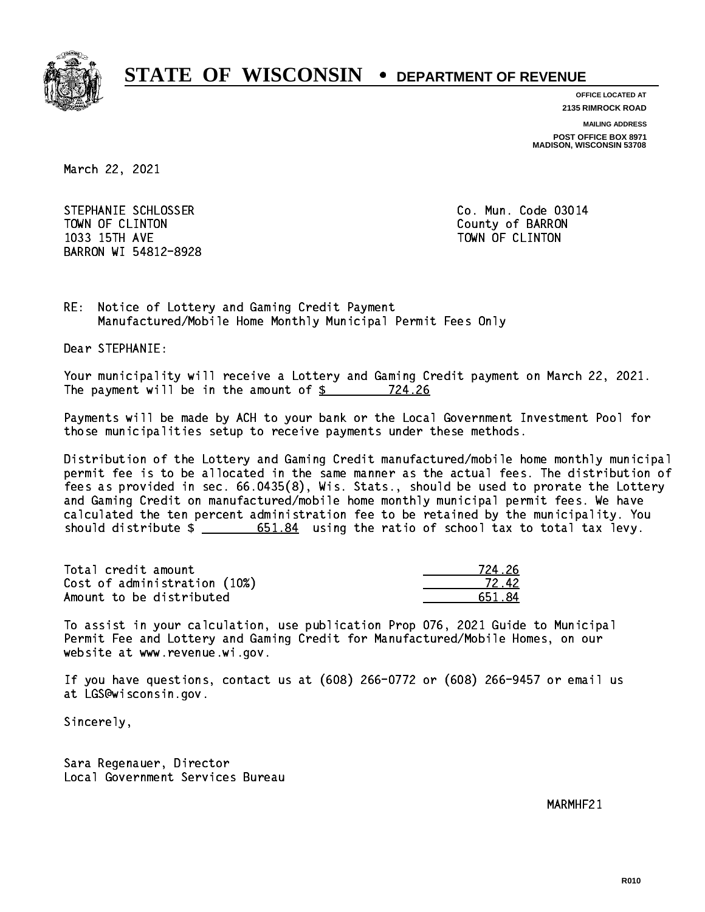

**OFFICE LOCATED AT**

**2135 RIMROCK ROAD**

**MAILING ADDRESS**

**POST OFFICE BOX 8971 MADISON, WISCONSIN 53708**

March 22, 2021

STEPHANIE SCHLOSSER CO. Mun. Code 03014 TOWN OF CLINTON County of BARRON 1033 15TH AVE TOWN OF CLINTON BARRON WI 54812-8928

RE: Notice of Lottery and Gaming Credit Payment Manufactured/Mobile Home Monthly Municipal Permit Fees Only

Dear STEPHANIE:

 Your municipality will receive a Lottery and Gaming Credit payment on March 22, 2021. The payment will be in the amount of  $\frac{24.26}{24.26}$ 

 Payments will be made by ACH to your bank or the Local Government Investment Pool for those municipalities setup to receive payments under these methods.

 Distribution of the Lottery and Gaming Credit manufactured/mobile home monthly municipal permit fee is to be allocated in the same manner as the actual fees. The distribution of fees as provided in sec. 66.0435(8), Wis. Stats., should be used to prorate the Lottery and Gaming Credit on manufactured/mobile home monthly municipal permit fees. We have calculated the ten percent administration fee to be retained by the municipality. You should distribute  $\frac{2}{1}$   $\frac{651.84}{184}$  using the ratio of school tax to total tax levy.

Total credit amount Cost of administration (10%) Amount to be distributed

| 4.26<br>724 |
|-------------|
| 12.42       |
| 51. 84      |

 To assist in your calculation, use publication Prop 076, 2021 Guide to Municipal Permit Fee and Lottery and Gaming Credit for Manufactured/Mobile Homes, on our website at www.revenue.wi.gov.

 If you have questions, contact us at (608) 266-0772 or (608) 266-9457 or email us at LGS@wisconsin.gov.

Sincerely,

 Sara Regenauer, Director Local Government Services Bureau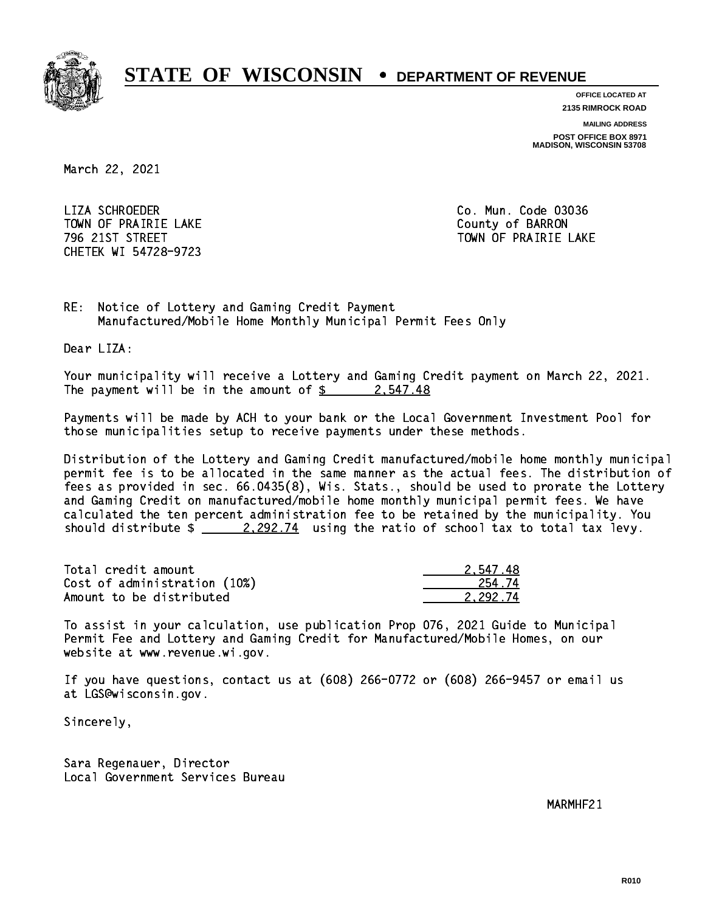

**OFFICE LOCATED AT**

**2135 RIMROCK ROAD**

**MAILING ADDRESS**

**POST OFFICE BOX 8971 MADISON, WISCONSIN 53708**

March 22, 2021

 LIZA SCHROEDER Co. Mun. Code 03036 TOWN OF PRAIRIE LAKE **COUNTY OF SALES IN TOWAL COUNTY OF BARRON** CHETEK WI 54728-9723

796 21ST STREET TOWN OF PRAIRIE LAKE

RE: Notice of Lottery and Gaming Credit Payment Manufactured/Mobile Home Monthly Municipal Permit Fees Only

Dear LIZA:

 Your municipality will receive a Lottery and Gaming Credit payment on March 22, 2021. The payment will be in the amount of  $\frac{2}{3}$  2,547.48

 Payments will be made by ACH to your bank or the Local Government Investment Pool for those municipalities setup to receive payments under these methods.

 Distribution of the Lottery and Gaming Credit manufactured/mobile home monthly municipal permit fee is to be allocated in the same manner as the actual fees. The distribution of fees as provided in sec. 66.0435(8), Wis. Stats., should be used to prorate the Lottery and Gaming Credit on manufactured/mobile home monthly municipal permit fees. We have calculated the ten percent administration fee to be retained by the municipality. You should distribute  $\frac{2.292.74}{2.292.74}$  using the ratio of school tax to total tax levy.

| Total credit amount          | 2.547.48 |
|------------------------------|----------|
| Cost of administration (10%) | 254.74   |
| Amount to be distributed     | 2.292.74 |

 To assist in your calculation, use publication Prop 076, 2021 Guide to Municipal Permit Fee and Lottery and Gaming Credit for Manufactured/Mobile Homes, on our website at www.revenue.wi.gov.

 If you have questions, contact us at (608) 266-0772 or (608) 266-9457 or email us at LGS@wisconsin.gov.

Sincerely,

 Sara Regenauer, Director Local Government Services Bureau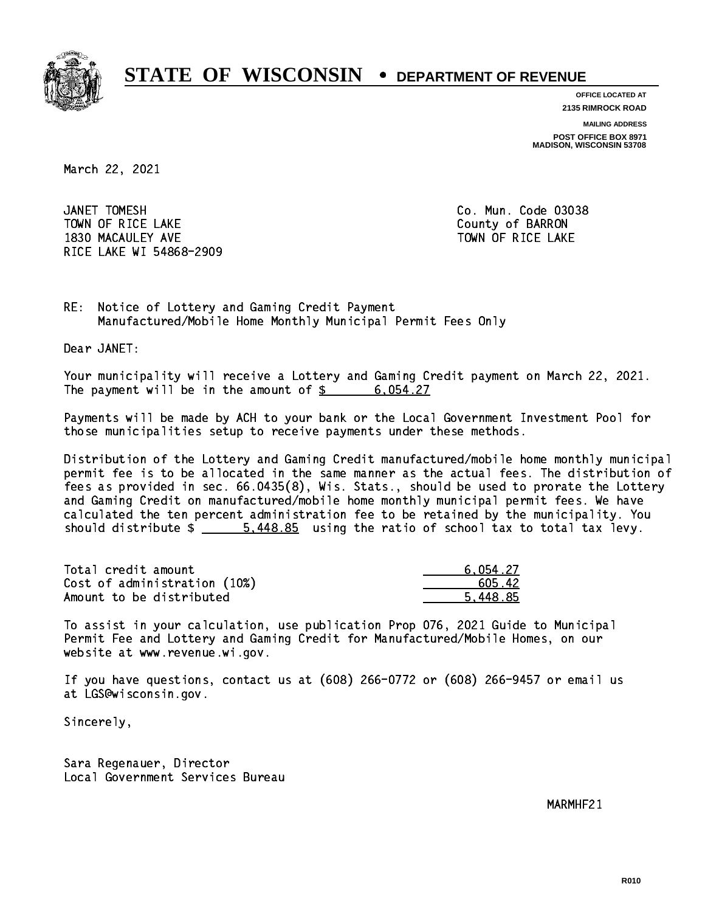

**OFFICE LOCATED AT**

**2135 RIMROCK ROAD**

**MAILING ADDRESS**

**POST OFFICE BOX 8971 MADISON, WISCONSIN 53708**

March 22, 2021

JANET TOMESH TOWN OF RICE LAKE **THE COUNTY OF BARRON** 1830 MACAULEY AVE **TOWN OF RICE LAKE** RICE LAKE WI 54868-2909

Co. Mun. Code 03038

RE: Notice of Lottery and Gaming Credit Payment Manufactured/Mobile Home Monthly Municipal Permit Fees Only

Dear JANET:

 Your municipality will receive a Lottery and Gaming Credit payment on March 22, 2021. The payment will be in the amount of  $\frac{2}{3}$  6,054.27

 Payments will be made by ACH to your bank or the Local Government Investment Pool for those municipalities setup to receive payments under these methods.

 Distribution of the Lottery and Gaming Credit manufactured/mobile home monthly municipal permit fee is to be allocated in the same manner as the actual fees. The distribution of fees as provided in sec. 66.0435(8), Wis. Stats., should be used to prorate the Lottery and Gaming Credit on manufactured/mobile home monthly municipal permit fees. We have calculated the ten percent administration fee to be retained by the municipality. You should distribute  $\frac{2}{1}$   $\frac{5.448.85}{2}$  using the ratio of school tax to total tax levy.

| Total credit amount          | 6.054.27 |
|------------------------------|----------|
| Cost of administration (10%) | 605.42   |
| Amount to be distributed     | 5.448.85 |

 To assist in your calculation, use publication Prop 076, 2021 Guide to Municipal Permit Fee and Lottery and Gaming Credit for Manufactured/Mobile Homes, on our website at www.revenue.wi.gov.

 If you have questions, contact us at (608) 266-0772 or (608) 266-9457 or email us at LGS@wisconsin.gov.

Sincerely,

 Sara Regenauer, Director Local Government Services Bureau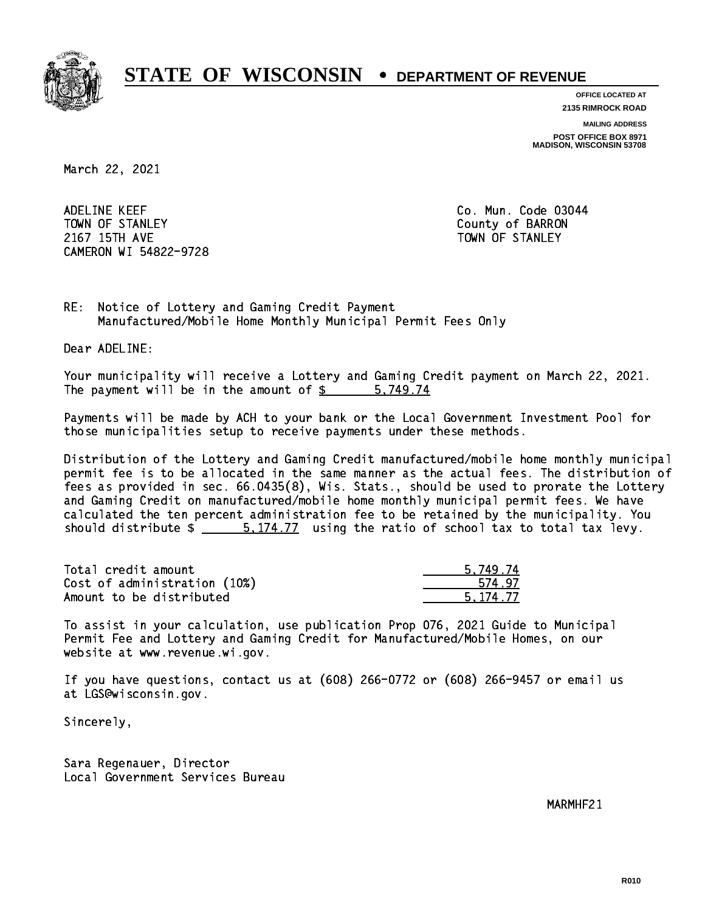

**OFFICE LOCATED AT**

**2135 RIMROCK ROAD**

**MAILING ADDRESS**

**POST OFFICE BOX 8971 MADISON, WISCONSIN 53708**

March 22, 2021

 ADELINE KEEF Co. Mun. Code 03044 TOWN OF STANLEY COUNTY COUNTY OF BARRON 2167 15TH AVE TOWN OF STANLEY CAMERON WI 54822-9728

RE: Notice of Lottery and Gaming Credit Payment Manufactured/Mobile Home Monthly Municipal Permit Fees Only

Dear ADELINE:

 Your municipality will receive a Lottery and Gaming Credit payment on March 22, 2021. The payment will be in the amount of \$ 5,749.74 \_\_\_\_\_\_\_\_\_\_\_\_\_\_\_\_

 Payments will be made by ACH to your bank or the Local Government Investment Pool for those municipalities setup to receive payments under these methods.

 Distribution of the Lottery and Gaming Credit manufactured/mobile home monthly municipal permit fee is to be allocated in the same manner as the actual fees. The distribution of fees as provided in sec. 66.0435(8), Wis. Stats., should be used to prorate the Lottery and Gaming Credit on manufactured/mobile home monthly municipal permit fees. We have calculated the ten percent administration fee to be retained by the municipality. You should distribute  $\frac{2}{1}$   $\frac{5.174.77}{2}$  using the ratio of school tax to total tax levy.

| Total credit amount          | 5.749.74 |
|------------------------------|----------|
| Cost of administration (10%) | 574.97   |
| Amount to be distributed     | 5.174.77 |

 To assist in your calculation, use publication Prop 076, 2021 Guide to Municipal Permit Fee and Lottery and Gaming Credit for Manufactured/Mobile Homes, on our website at www.revenue.wi.gov.

 If you have questions, contact us at (608) 266-0772 or (608) 266-9457 or email us at LGS@wisconsin.gov.

Sincerely,

 Sara Regenauer, Director Local Government Services Bureau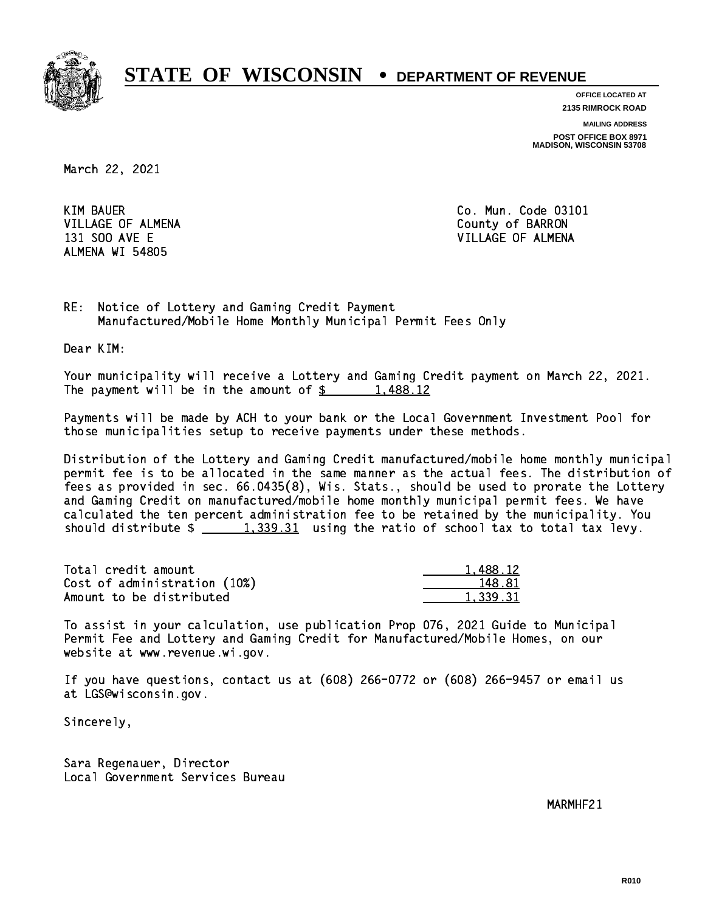

**OFFICE LOCATED AT 2135 RIMROCK ROAD**

**MAILING ADDRESS**

**POST OFFICE BOX 8971 MADISON, WISCONSIN 53708**

March 22, 2021

**KIM BAUER** VILLAGE OF ALMENA COUNTY OF BARRON ALMENA WI 54805

Co. Mun. Code 03101 131 SOO AVE E VILLAGE OF ALMENA

RE: Notice of Lottery and Gaming Credit Payment Manufactured/Mobile Home Monthly Municipal Permit Fees Only

Dear KIM:

 Your municipality will receive a Lottery and Gaming Credit payment on March 22, 2021. The payment will be in the amount of \$ 1,488.12 \_\_\_\_\_\_\_\_\_\_\_\_\_\_\_\_

 Payments will be made by ACH to your bank or the Local Government Investment Pool for those municipalities setup to receive payments under these methods.

 Distribution of the Lottery and Gaming Credit manufactured/mobile home monthly municipal permit fee is to be allocated in the same manner as the actual fees. The distribution of fees as provided in sec. 66.0435(8), Wis. Stats., should be used to prorate the Lottery and Gaming Credit on manufactured/mobile home monthly municipal permit fees. We have calculated the ten percent administration fee to be retained by the municipality. You should distribute  $\frac{1,339.31}{1,339.31}$  using the ratio of school tax to total tax levy.

| Total credit amount          | 1.488.12 |
|------------------------------|----------|
| Cost of administration (10%) | 148.81   |
| Amount to be distributed     | 1.339.31 |

 To assist in your calculation, use publication Prop 076, 2021 Guide to Municipal Permit Fee and Lottery and Gaming Credit for Manufactured/Mobile Homes, on our website at www.revenue.wi.gov.

 If you have questions, contact us at (608) 266-0772 or (608) 266-9457 or email us at LGS@wisconsin.gov.

Sincerely,

 Sara Regenauer, Director Local Government Services Bureau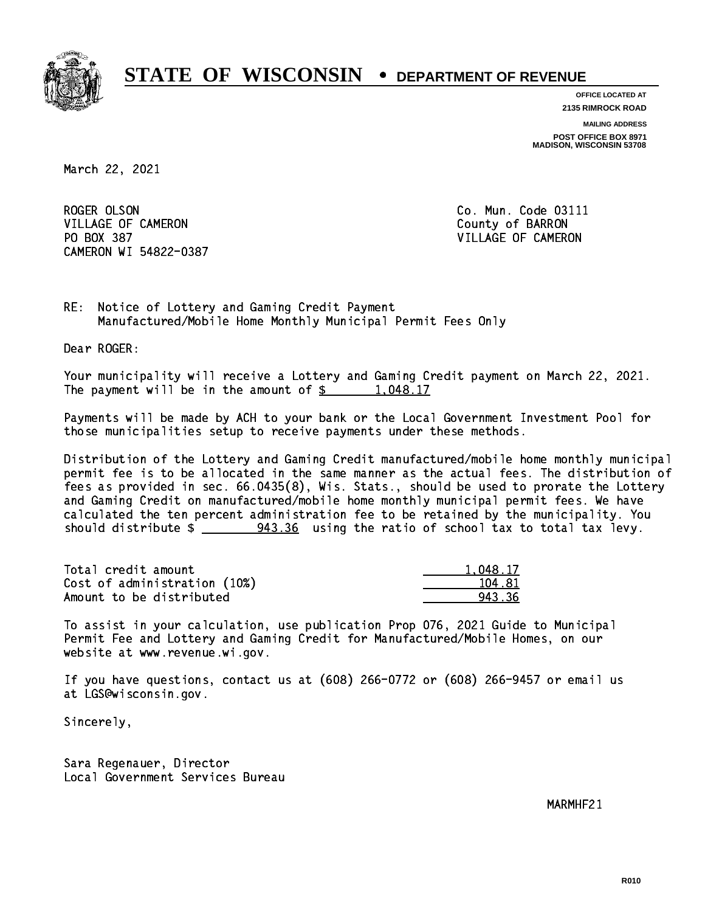

**OFFICE LOCATED AT 2135 RIMROCK ROAD**

**MAILING ADDRESS**

**POST OFFICE BOX 8971 MADISON, WISCONSIN 53708**

March 22, 2021

ROGER OLSON VILLAGE OF CAMERON COUNTY OF BARRON PO BOX 387 VILLAGE OF CAMERON CAMERON WI 54822-0387

Co. Mun. Code 03111

RE: Notice of Lottery and Gaming Credit Payment Manufactured/Mobile Home Monthly Municipal Permit Fees Only

Dear ROGER:

 Your municipality will receive a Lottery and Gaming Credit payment on March 22, 2021. The payment will be in the amount of  $\frac{2}{3}$  1,048.17

 Payments will be made by ACH to your bank or the Local Government Investment Pool for those municipalities setup to receive payments under these methods.

 Distribution of the Lottery and Gaming Credit manufactured/mobile home monthly municipal permit fee is to be allocated in the same manner as the actual fees. The distribution of fees as provided in sec. 66.0435(8), Wis. Stats., should be used to prorate the Lottery and Gaming Credit on manufactured/mobile home monthly municipal permit fees. We have calculated the ten percent administration fee to be retained by the municipality. You should distribute  $\frac{243.36}{2}$  using the ratio of school tax to total tax levy.

| Total credit amount          | 1.048.17 |
|------------------------------|----------|
| Cost of administration (10%) | 104.81   |
| Amount to be distributed     | 943.36   |

 To assist in your calculation, use publication Prop 076, 2021 Guide to Municipal Permit Fee and Lottery and Gaming Credit for Manufactured/Mobile Homes, on our website at www.revenue.wi.gov.

 If you have questions, contact us at (608) 266-0772 or (608) 266-9457 or email us at LGS@wisconsin.gov.

Sincerely,

 Sara Regenauer, Director Local Government Services Bureau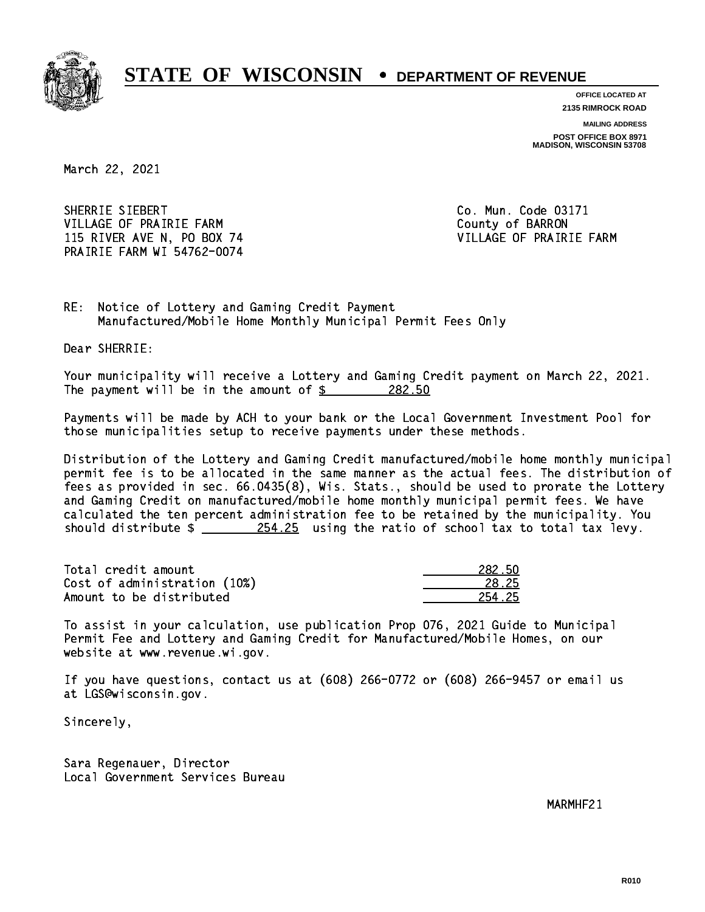

**OFFICE LOCATED AT 2135 RIMROCK ROAD**

**MAILING ADDRESS**

**POST OFFICE BOX 8971 MADISON, WISCONSIN 53708**

March 22, 2021

SHERRIE SIEBERT VILLAGE OF PRAIRIE FARM COUNTY OF BARRON 115 RIVER AVE N, PO BOX 74 VILLAGE OF PRAIRIE FARM PRAIRIE FARM WI 54762-0074

Co. Mun. Code 03171

RE: Notice of Lottery and Gaming Credit Payment Manufactured/Mobile Home Monthly Municipal Permit Fees Only

Dear SHERRIE:

 Your municipality will receive a Lottery and Gaming Credit payment on March 22, 2021. The payment will be in the amount of  $\frac{282.50}{200}$ 

 Payments will be made by ACH to your bank or the Local Government Investment Pool for those municipalities setup to receive payments under these methods.

 Distribution of the Lottery and Gaming Credit manufactured/mobile home monthly municipal permit fee is to be allocated in the same manner as the actual fees. The distribution of fees as provided in sec. 66.0435(8), Wis. Stats., should be used to prorate the Lottery and Gaming Credit on manufactured/mobile home monthly municipal permit fees. We have calculated the ten percent administration fee to be retained by the municipality. You should distribute  $\frac{254.25}{254.25}$  using the ratio of school tax to total tax levy.

Total credit amount Cost of administration (10%) Amount to be distributed

| 82 W.N |
|--------|
| 1.25   |
| l 25   |

 To assist in your calculation, use publication Prop 076, 2021 Guide to Municipal Permit Fee and Lottery and Gaming Credit for Manufactured/Mobile Homes, on our website at www.revenue.wi.gov.

 If you have questions, contact us at (608) 266-0772 or (608) 266-9457 or email us at LGS@wisconsin.gov.

Sincerely,

 Sara Regenauer, Director Local Government Services Bureau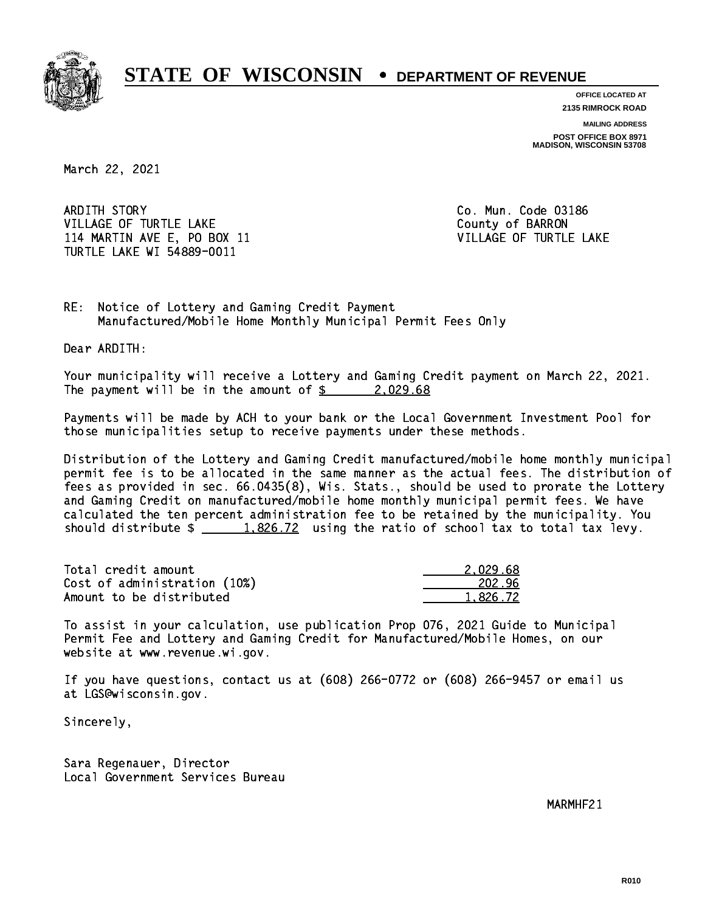

**OFFICE LOCATED AT**

**2135 RIMROCK ROAD**

**MAILING ADDRESS POST OFFICE BOX 8971 MADISON, WISCONSIN 53708**

March 22, 2021

ARDITH STORY VILLAGE OF TURTLE LAKE **COUNTY OF SALES AND A COUNTY OF BARRON** 114 MARTIN AVE E, PO BOX 11 VILLAGE OF TURTLE LAKE TURTLE LAKE WI 54889-0011

Co. Mun. Code 03186

RE: Notice of Lottery and Gaming Credit Payment Manufactured/Mobile Home Monthly Municipal Permit Fees Only

Dear ARDITH:

 Your municipality will receive a Lottery and Gaming Credit payment on March 22, 2021. The payment will be in the amount of \$ 2,029.68 \_\_\_\_\_\_\_\_\_\_\_\_\_\_\_\_

 Payments will be made by ACH to your bank or the Local Government Investment Pool for those municipalities setup to receive payments under these methods.

 Distribution of the Lottery and Gaming Credit manufactured/mobile home monthly municipal permit fee is to be allocated in the same manner as the actual fees. The distribution of fees as provided in sec. 66.0435(8), Wis. Stats., should be used to prorate the Lottery and Gaming Credit on manufactured/mobile home monthly municipal permit fees. We have calculated the ten percent administration fee to be retained by the municipality. You should distribute  $\frac{1.826.72}{1.826.72}$  using the ratio of school tax to total tax levy.

| Total credit amount          | 2.029.68 |
|------------------------------|----------|
| Cost of administration (10%) | 202.96   |
| Amount to be distributed     | 1.826.72 |

 To assist in your calculation, use publication Prop 076, 2021 Guide to Municipal Permit Fee and Lottery and Gaming Credit for Manufactured/Mobile Homes, on our website at www.revenue.wi.gov.

 If you have questions, contact us at (608) 266-0772 or (608) 266-9457 or email us at LGS@wisconsin.gov.

Sincerely,

 Sara Regenauer, Director Local Government Services Bureau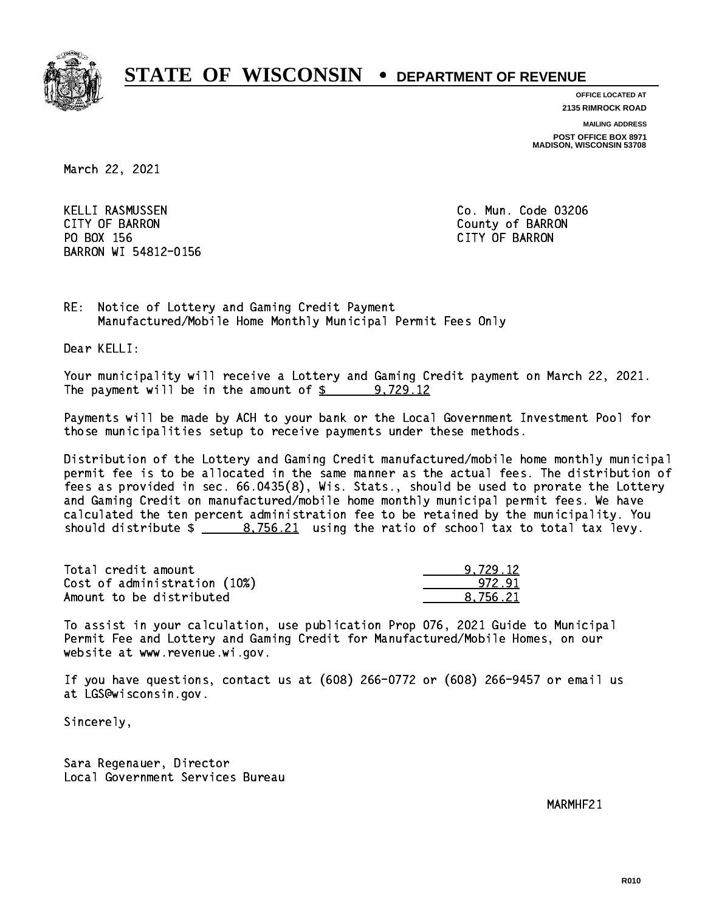

**OFFICE LOCATED AT**

**2135 RIMROCK ROAD**

**MAILING ADDRESS**

**POST OFFICE BOX 8971 MADISON, WISCONSIN 53708**

March 22, 2021

 KELLI RASMUSSEN Co. Mun. Code 03206 CITY OF BARRON County of BARRON PO BOX 156 CITY OF BARRON BARRON WI 54812-0156

RE: Notice of Lottery and Gaming Credit Payment Manufactured/Mobile Home Monthly Municipal Permit Fees Only

Dear KELLI:

 Your municipality will receive a Lottery and Gaming Credit payment on March 22, 2021. The payment will be in the amount of  $\frac{2}{3}$  9,729.12

 Payments will be made by ACH to your bank or the Local Government Investment Pool for those municipalities setup to receive payments under these methods.

 Distribution of the Lottery and Gaming Credit manufactured/mobile home monthly municipal permit fee is to be allocated in the same manner as the actual fees. The distribution of fees as provided in sec. 66.0435(8), Wis. Stats., should be used to prorate the Lottery and Gaming Credit on manufactured/mobile home monthly municipal permit fees. We have calculated the ten percent administration fee to be retained by the municipality. You should distribute  $\frac{2}{1}$   $\frac{8,756.21}{2}$  using the ratio of school tax to total tax levy.

| Total credit amount          | 9.729.12 |
|------------------------------|----------|
| Cost of administration (10%) | 972.91   |
| Amount to be distributed     | 8.756.21 |

 To assist in your calculation, use publication Prop 076, 2021 Guide to Municipal Permit Fee and Lottery and Gaming Credit for Manufactured/Mobile Homes, on our website at www.revenue.wi.gov.

 If you have questions, contact us at (608) 266-0772 or (608) 266-9457 or email us at LGS@wisconsin.gov.

Sincerely,

 Sara Regenauer, Director Local Government Services Bureau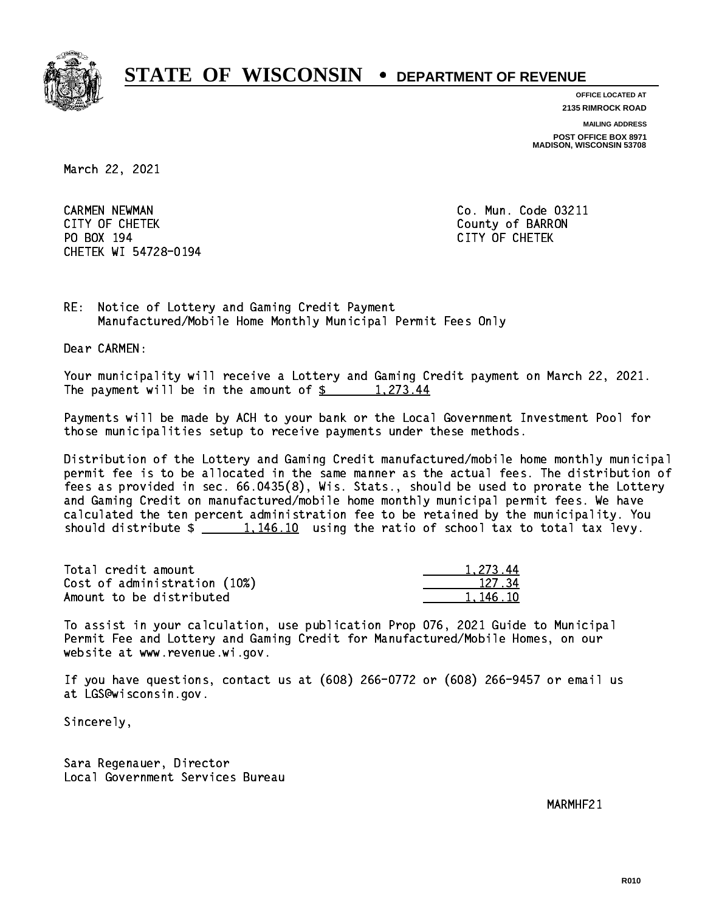

**OFFICE LOCATED AT**

**2135 RIMROCK ROAD**

**MAILING ADDRESS**

**POST OFFICE BOX 8971 MADISON, WISCONSIN 53708**

March 22, 2021

 CARMEN NEWMAN Co. Mun. Code 03211 CITY OF CHETEK County of BARRON PO BOX 194 CITY OF CHETEK CHETEK WI 54728-0194

RE: Notice of Lottery and Gaming Credit Payment Manufactured/Mobile Home Monthly Municipal Permit Fees Only

Dear CARMEN:

 Your municipality will receive a Lottery and Gaming Credit payment on March 22, 2021. The payment will be in the amount of  $\frac{273.44}{5}$ 

 Payments will be made by ACH to your bank or the Local Government Investment Pool for those municipalities setup to receive payments under these methods.

 Distribution of the Lottery and Gaming Credit manufactured/mobile home monthly municipal permit fee is to be allocated in the same manner as the actual fees. The distribution of fees as provided in sec. 66.0435(8), Wis. Stats., should be used to prorate the Lottery and Gaming Credit on manufactured/mobile home monthly municipal permit fees. We have calculated the ten percent administration fee to be retained by the municipality. You should distribute  $\frac{1,146.10}{1,146.10}$  using the ratio of school tax to total tax levy.

| Total credit amount          | 1.273.44 |
|------------------------------|----------|
| Cost of administration (10%) | 127.34   |
| Amount to be distributed     | 1,146.10 |

 To assist in your calculation, use publication Prop 076, 2021 Guide to Municipal Permit Fee and Lottery and Gaming Credit for Manufactured/Mobile Homes, on our website at www.revenue.wi.gov.

 If you have questions, contact us at (608) 266-0772 or (608) 266-9457 or email us at LGS@wisconsin.gov.

Sincerely,

 Sara Regenauer, Director Local Government Services Bureau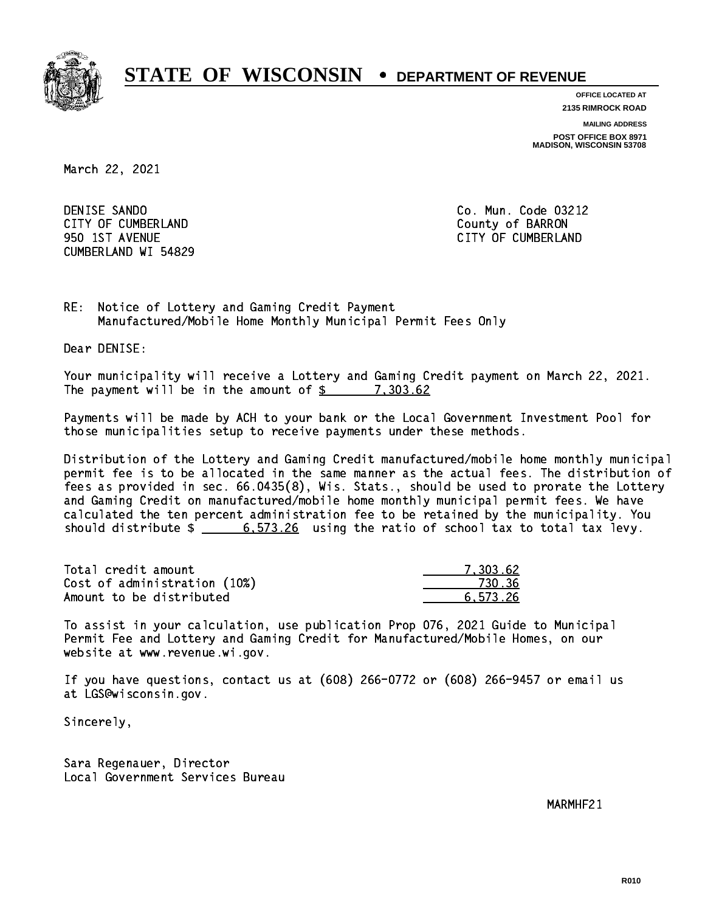

**OFFICE LOCATED AT 2135 RIMROCK ROAD**

**MAILING ADDRESS**

**POST OFFICE BOX 8971 MADISON, WISCONSIN 53708**

March 22, 2021

 DENISE SANDO Co. Mun. Code 03212 CITY OF CUMBERLAND COUNTY OF SARRON 950 1ST AVENUE CITY OF CUMBERLAND CUMBERLAND WI 54829

RE: Notice of Lottery and Gaming Credit Payment Manufactured/Mobile Home Monthly Municipal Permit Fees Only

Dear DENISE:

 Your municipality will receive a Lottery and Gaming Credit payment on March 22, 2021. The payment will be in the amount of  $\frac{2}{3}$  7,303.62

 Payments will be made by ACH to your bank or the Local Government Investment Pool for those municipalities setup to receive payments under these methods.

 Distribution of the Lottery and Gaming Credit manufactured/mobile home monthly municipal permit fee is to be allocated in the same manner as the actual fees. The distribution of fees as provided in sec. 66.0435(8), Wis. Stats., should be used to prorate the Lottery and Gaming Credit on manufactured/mobile home monthly municipal permit fees. We have calculated the ten percent administration fee to be retained by the municipality. You should distribute  $\frac{26}{100}$   $\frac{6,573.26}{200}$  using the ratio of school tax to total tax levy.

| Total credit amount          | 7.303.62 |
|------------------------------|----------|
| Cost of administration (10%) | 730.36   |
| Amount to be distributed     | 6.573.26 |

 To assist in your calculation, use publication Prop 076, 2021 Guide to Municipal Permit Fee and Lottery and Gaming Credit for Manufactured/Mobile Homes, on our website at www.revenue.wi.gov.

 If you have questions, contact us at (608) 266-0772 or (608) 266-9457 or email us at LGS@wisconsin.gov.

Sincerely,

 Sara Regenauer, Director Local Government Services Bureau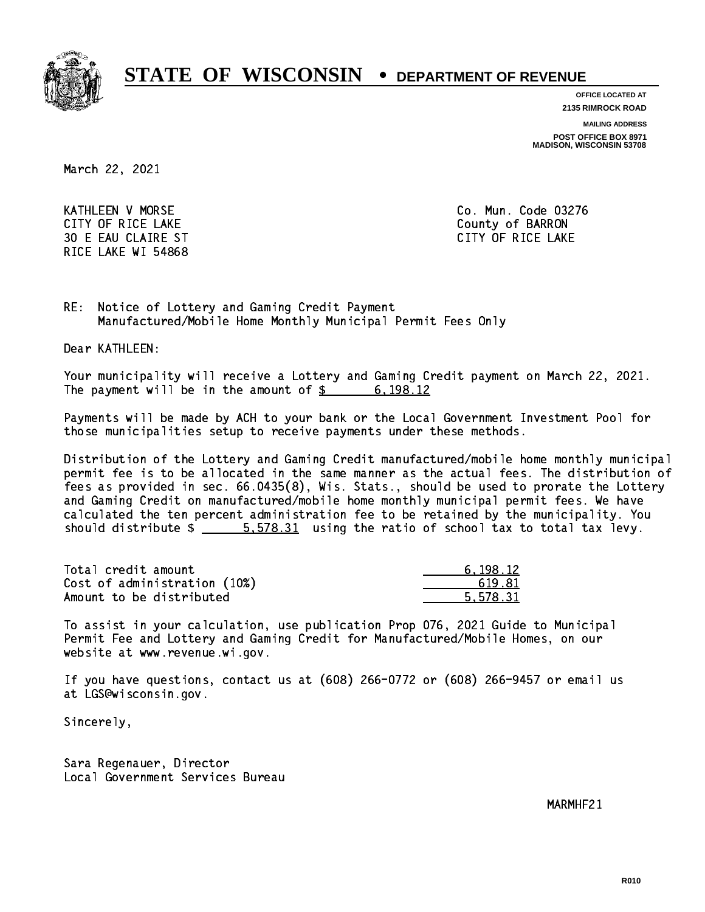

**OFFICE LOCATED AT**

**2135 RIMROCK ROAD**

**MAILING ADDRESS**

**POST OFFICE BOX 8971 MADISON, WISCONSIN 53708**

March 22, 2021

 KATHLEEN V MORSE Co. Mun. Code 03276 CITY OF RICE LAKE **COUNTY OF RICE LAKE**  30 E EAU CLAIRE ST CITY OF RICE LAKE RICE LAKE WI 54868

RE: Notice of Lottery and Gaming Credit Payment Manufactured/Mobile Home Monthly Municipal Permit Fees Only

Dear KATHLEEN:

 Your municipality will receive a Lottery and Gaming Credit payment on March 22, 2021. The payment will be in the amount of  $\frac{2}{3}$  6,198.12

 Payments will be made by ACH to your bank or the Local Government Investment Pool for those municipalities setup to receive payments under these methods.

 Distribution of the Lottery and Gaming Credit manufactured/mobile home monthly municipal permit fee is to be allocated in the same manner as the actual fees. The distribution of fees as provided in sec. 66.0435(8), Wis. Stats., should be used to prorate the Lottery and Gaming Credit on manufactured/mobile home monthly municipal permit fees. We have calculated the ten percent administration fee to be retained by the municipality. You should distribute  $\frac{2}{1}$   $\frac{5.578.31}{2}$  using the ratio of school tax to total tax levy.

| Total credit amount          | 6.198.12 |
|------------------------------|----------|
| Cost of administration (10%) | 619.81   |
| Amount to be distributed     | 5.578.31 |

 To assist in your calculation, use publication Prop 076, 2021 Guide to Municipal Permit Fee and Lottery and Gaming Credit for Manufactured/Mobile Homes, on our website at www.revenue.wi.gov.

 If you have questions, contact us at (608) 266-0772 or (608) 266-9457 or email us at LGS@wisconsin.gov.

Sincerely,

 Sara Regenauer, Director Local Government Services Bureau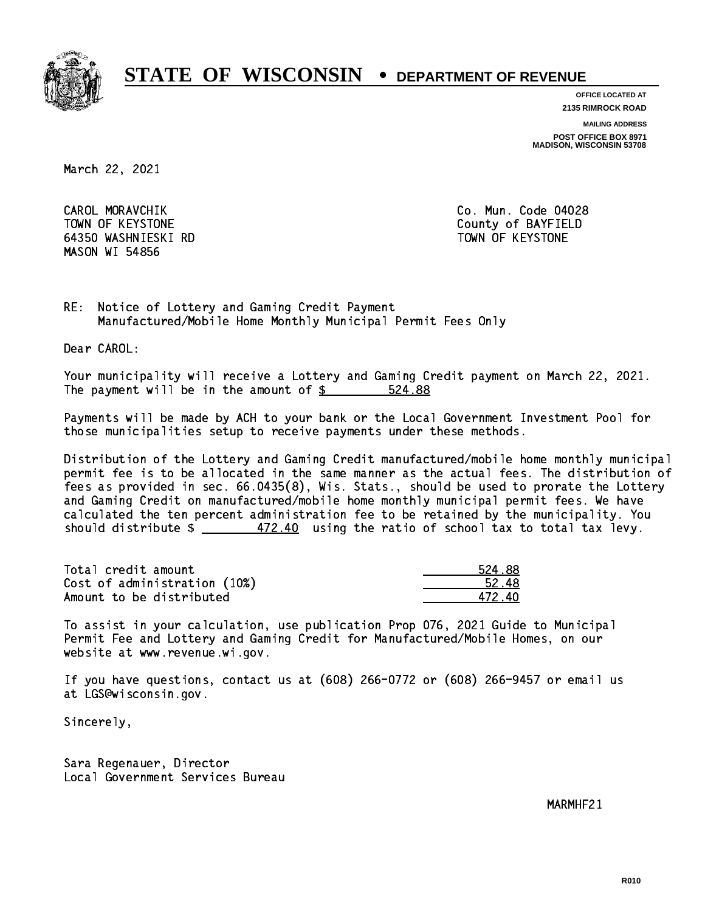

**OFFICE LOCATED AT**

**2135 RIMROCK ROAD**

**MAILING ADDRESS**

**POST OFFICE BOX 8971 MADISON, WISCONSIN 53708**

March 22, 2021

CAROL MORAVCHIK TOWN OF KEYSTONE County of BAYFIELD 64350 WASHNIESKI RD TOWN OF KEYSTONE MASON WI 54856

Co. Mun. Code 04028

RE: Notice of Lottery and Gaming Credit Payment Manufactured/Mobile Home Monthly Municipal Permit Fees Only

Dear CAROL:

 Your municipality will receive a Lottery and Gaming Credit payment on March 22, 2021. The payment will be in the amount of  $$ 524.88$ 

 Payments will be made by ACH to your bank or the Local Government Investment Pool for those municipalities setup to receive payments under these methods.

 Distribution of the Lottery and Gaming Credit manufactured/mobile home monthly municipal permit fee is to be allocated in the same manner as the actual fees. The distribution of fees as provided in sec. 66.0435(8), Wis. Stats., should be used to prorate the Lottery and Gaming Credit on manufactured/mobile home monthly municipal permit fees. We have calculated the ten percent administration fee to be retained by the municipality. You should distribute  $\frac{472.40}{1000}$  using the ratio of school tax to total tax levy.

Total credit amount 2008 2012 12:00 12:00 2012 2022 203  $Cost of administration (10%)$  52.48 Amount to be distributed and the set of  $472.40$ 

 To assist in your calculation, use publication Prop 076, 2021 Guide to Municipal Permit Fee and Lottery and Gaming Credit for Manufactured/Mobile Homes, on our website at www.revenue.wi.gov.

 If you have questions, contact us at (608) 266-0772 or (608) 266-9457 or email us at LGS@wisconsin.gov.

Sincerely,

 Sara Regenauer, Director Local Government Services Bureau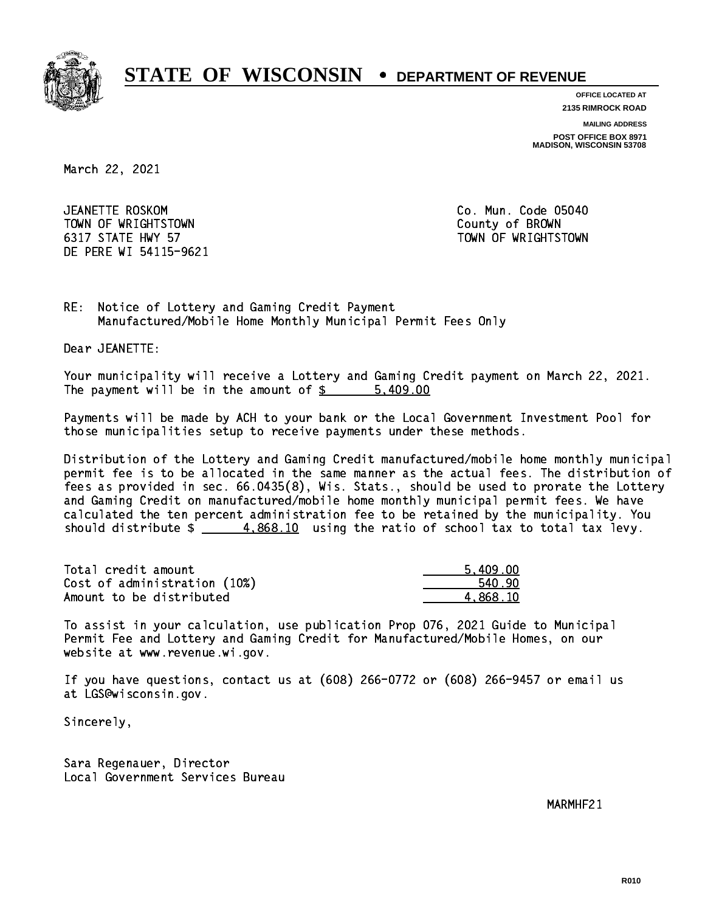

**OFFICE LOCATED AT**

**2135 RIMROCK ROAD**

**MAILING ADDRESS**

**POST OFFICE BOX 8971 MADISON, WISCONSIN 53708**

March 22, 2021

JEANETTE ROSKOM TOWN OF WRIGHTSTOWN County of BROWN 6317 STATE HWY 57 TOWN OF WRIGHTSTOWN DE PERE WI 54115-9621

Co. Mun. Code 05040

RE: Notice of Lottery and Gaming Credit Payment Manufactured/Mobile Home Monthly Municipal Permit Fees Only

Dear JEANETTE:

 Your municipality will receive a Lottery and Gaming Credit payment on March 22, 2021. The payment will be in the amount of \$ 5,409.00 \_\_\_\_\_\_\_\_\_\_\_\_\_\_\_\_

 Payments will be made by ACH to your bank or the Local Government Investment Pool for those municipalities setup to receive payments under these methods.

 Distribution of the Lottery and Gaming Credit manufactured/mobile home monthly municipal permit fee is to be allocated in the same manner as the actual fees. The distribution of fees as provided in sec. 66.0435(8), Wis. Stats., should be used to prorate the Lottery and Gaming Credit on manufactured/mobile home monthly municipal permit fees. We have calculated the ten percent administration fee to be retained by the municipality. You should distribute  $\frac{4.868.10}{ }$  using the ratio of school tax to total tax levy.

| Total credit amount          | 5,409.00 |
|------------------------------|----------|
| Cost of administration (10%) | 540.90   |
| Amount to be distributed     | 4.868.10 |

 To assist in your calculation, use publication Prop 076, 2021 Guide to Municipal Permit Fee and Lottery and Gaming Credit for Manufactured/Mobile Homes, on our website at www.revenue.wi.gov.

 If you have questions, contact us at (608) 266-0772 or (608) 266-9457 or email us at LGS@wisconsin.gov.

Sincerely,

 Sara Regenauer, Director Local Government Services Bureau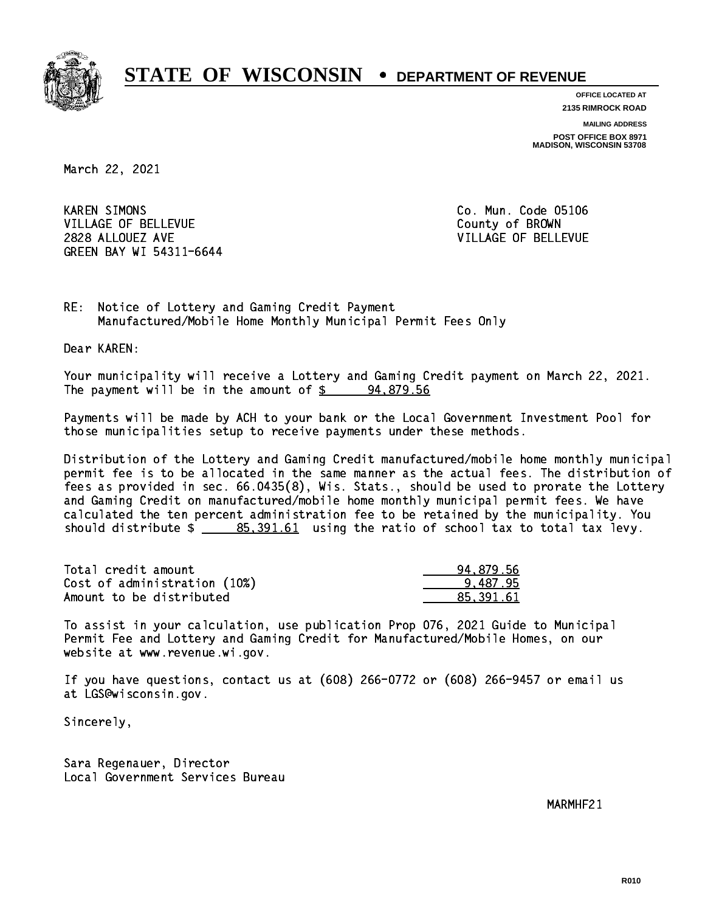

**OFFICE LOCATED AT**

**MAILING ADDRESS 2135 RIMROCK ROAD**

**POST OFFICE BOX 8971 MADISON, WISCONSIN 53708**

March 22, 2021

**KAREN SIMONS** VILLAGE OF BELLEVUE COUNTY OF BROWN 2828 ALLOUEZ AVE VILLAGE OF BELLEVUE GREEN BAY WI 54311-6644

Co. Mun. Code 05106

RE: Notice of Lottery and Gaming Credit Payment Manufactured/Mobile Home Monthly Municipal Permit Fees Only

Dear KAREN:

 Your municipality will receive a Lottery and Gaming Credit payment on March 22, 2021. The payment will be in the amount of  $\frac{2}{3}$  94,879.56

 Payments will be made by ACH to your bank or the Local Government Investment Pool for those municipalities setup to receive payments under these methods.

 Distribution of the Lottery and Gaming Credit manufactured/mobile home monthly municipal permit fee is to be allocated in the same manner as the actual fees. The distribution of fees as provided in sec. 66.0435(8), Wis. Stats., should be used to prorate the Lottery and Gaming Credit on manufactured/mobile home monthly municipal permit fees. We have calculated the ten percent administration fee to be retained by the municipality. You should distribute  $\frac{25.391.61}{2}$  using the ratio of school tax to total tax levy.

| Total credit amount          | 94,879.56 |
|------------------------------|-----------|
| Cost of administration (10%) | 9.487.95  |
| Amount to be distributed     | 85.391.61 |

 To assist in your calculation, use publication Prop 076, 2021 Guide to Municipal Permit Fee and Lottery and Gaming Credit for Manufactured/Mobile Homes, on our website at www.revenue.wi.gov.

 If you have questions, contact us at (608) 266-0772 or (608) 266-9457 or email us at LGS@wisconsin.gov.

Sincerely,

 Sara Regenauer, Director Local Government Services Bureau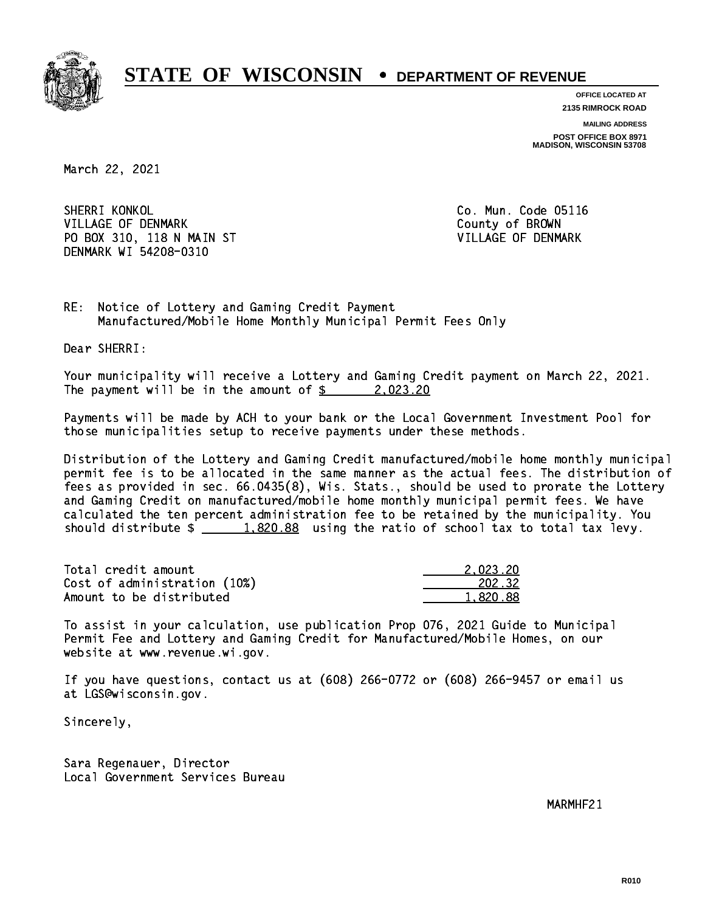

**OFFICE LOCATED AT 2135 RIMROCK ROAD**

**MAILING ADDRESS**

**POST OFFICE BOX 8971 MADISON, WISCONSIN 53708**

March 22, 2021

SHERRI KONKOL VILLAGE OF DENMARK COUNTY OF BROWN PO BOX 310, 118 N MAIN ST VILLAGE OF DENMARK DENMARK WI 54208-0310

Co. Mun. Code 05116

RE: Notice of Lottery and Gaming Credit Payment Manufactured/Mobile Home Monthly Municipal Permit Fees Only

Dear SHERRI:

 Your municipality will receive a Lottery and Gaming Credit payment on March 22, 2021. The payment will be in the amount of  $\frac{2}{3}$  2,023.20

 Payments will be made by ACH to your bank or the Local Government Investment Pool for those municipalities setup to receive payments under these methods.

 Distribution of the Lottery and Gaming Credit manufactured/mobile home monthly municipal permit fee is to be allocated in the same manner as the actual fees. The distribution of fees as provided in sec. 66.0435(8), Wis. Stats., should be used to prorate the Lottery and Gaming Credit on manufactured/mobile home monthly municipal permit fees. We have calculated the ten percent administration fee to be retained by the municipality. You should distribute  $\frac{1,820.88}{1,820.88}$  using the ratio of school tax to total tax levy.

| Total credit amount          | 2.023.20 |
|------------------------------|----------|
| Cost of administration (10%) | 202.32   |
| Amount to be distributed     | 1,820.88 |

 To assist in your calculation, use publication Prop 076, 2021 Guide to Municipal Permit Fee and Lottery and Gaming Credit for Manufactured/Mobile Homes, on our website at www.revenue.wi.gov.

 If you have questions, contact us at (608) 266-0772 or (608) 266-9457 or email us at LGS@wisconsin.gov.

Sincerely,

 Sara Regenauer, Director Local Government Services Bureau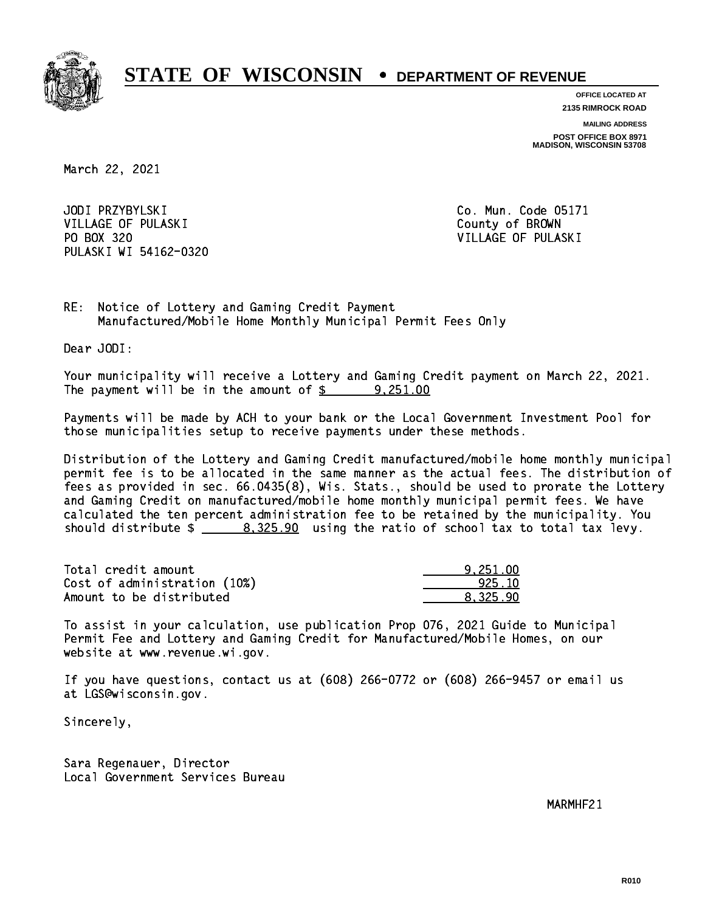

**OFFICE LOCATED AT**

**2135 RIMROCK ROAD**

**MAILING ADDRESS**

**POST OFFICE BOX 8971 MADISON, WISCONSIN 53708**

March 22, 2021

JODI PRZYBYLSKI VILLAGE OF PULASKI COUNTY OF BROWN PO BOX 320 VILLAGE OF PULASKI PULASKI WI 54162-0320

Co. Mun. Code 05171

RE: Notice of Lottery and Gaming Credit Payment Manufactured/Mobile Home Monthly Municipal Permit Fees Only

Dear JODI:

 Your municipality will receive a Lottery and Gaming Credit payment on March 22, 2021. The payment will be in the amount of  $\frac{2}{3}$  9,251.00

 Payments will be made by ACH to your bank or the Local Government Investment Pool for those municipalities setup to receive payments under these methods.

 Distribution of the Lottery and Gaming Credit manufactured/mobile home monthly municipal permit fee is to be allocated in the same manner as the actual fees. The distribution of fees as provided in sec. 66.0435(8), Wis. Stats., should be used to prorate the Lottery and Gaming Credit on manufactured/mobile home monthly municipal permit fees. We have calculated the ten percent administration fee to be retained by the municipality. You should distribute  $\frac{2}{2}$   $\frac{8,325.90}{2}$  using the ratio of school tax to total tax levy.

| Total credit amount          | 9.251.00 |
|------------------------------|----------|
| Cost of administration (10%) | 925.10   |
| Amount to be distributed     | 8.325.90 |

 To assist in your calculation, use publication Prop 076, 2021 Guide to Municipal Permit Fee and Lottery and Gaming Credit for Manufactured/Mobile Homes, on our website at www.revenue.wi.gov.

 If you have questions, contact us at (608) 266-0772 or (608) 266-9457 or email us at LGS@wisconsin.gov.

Sincerely,

 Sara Regenauer, Director Local Government Services Bureau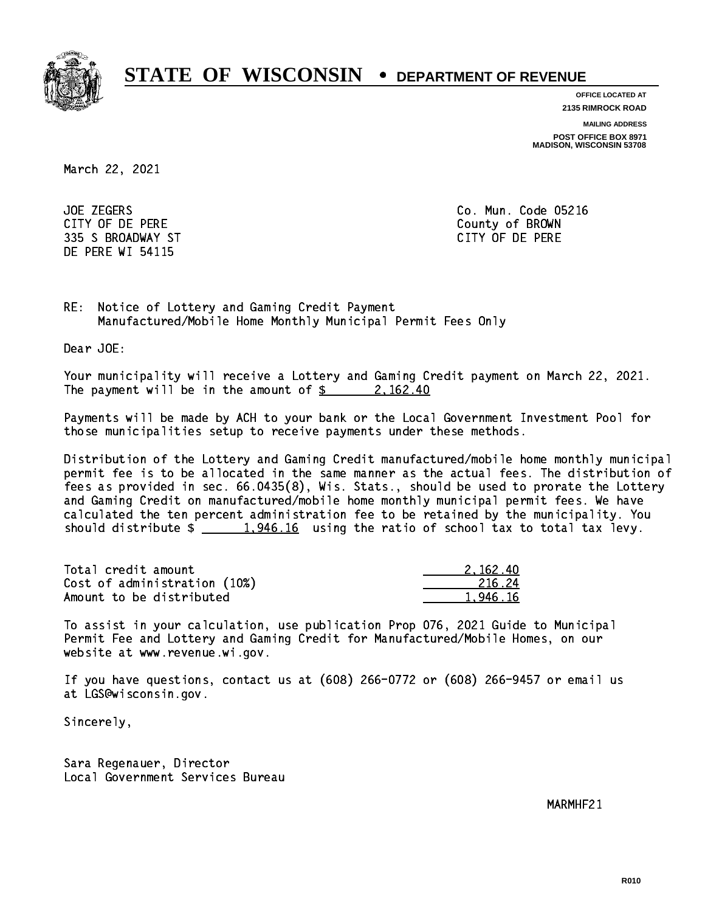

**OFFICE LOCATED AT**

**2135 RIMROCK ROAD**

**MAILING ADDRESS**

**POST OFFICE BOX 8971 MADISON, WISCONSIN 53708**

March 22, 2021

**JOE ZEGERS**  CITY OF DE PERE County of BROWN 335 S BROADWAY ST CITY OF DE PERE DE PERE WI 54115

Co. Mun. Code 05216

RE: Notice of Lottery and Gaming Credit Payment Manufactured/Mobile Home Monthly Municipal Permit Fees Only

Dear JOE:

 Your municipality will receive a Lottery and Gaming Credit payment on March 22, 2021. The payment will be in the amount of  $\frac{2}{3}$  2,162.40

 Payments will be made by ACH to your bank or the Local Government Investment Pool for those municipalities setup to receive payments under these methods.

 Distribution of the Lottery and Gaming Credit manufactured/mobile home monthly municipal permit fee is to be allocated in the same manner as the actual fees. The distribution of fees as provided in sec. 66.0435(8), Wis. Stats., should be used to prorate the Lottery and Gaming Credit on manufactured/mobile home monthly municipal permit fees. We have calculated the ten percent administration fee to be retained by the municipality. You should distribute  $\frac{1,946.16}{1,946.16}$  using the ratio of school tax to total tax levy.

| Total credit amount          | 2.162.40 |
|------------------------------|----------|
| Cost of administration (10%) | -216.24  |
| Amount to be distributed     | 1,946.16 |

 To assist in your calculation, use publication Prop 076, 2021 Guide to Municipal Permit Fee and Lottery and Gaming Credit for Manufactured/Mobile Homes, on our website at www.revenue.wi.gov.

 If you have questions, contact us at (608) 266-0772 or (608) 266-9457 or email us at LGS@wisconsin.gov.

Sincerely,

 Sara Regenauer, Director Local Government Services Bureau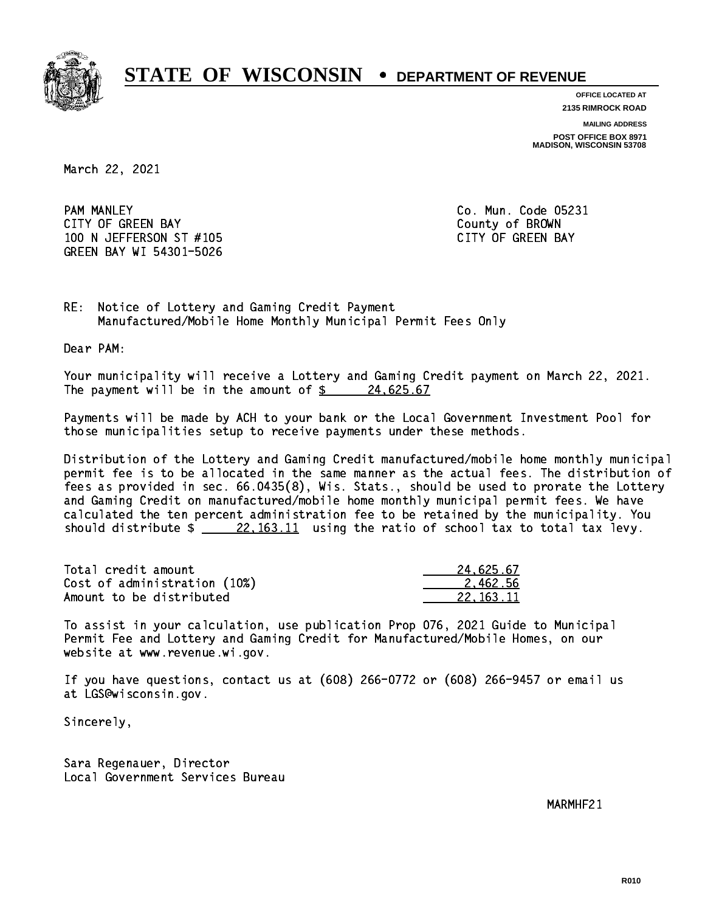

**OFFICE LOCATED AT 2135 RIMROCK ROAD**

**MAILING ADDRESS**

**POST OFFICE BOX 8971 MADISON, WISCONSIN 53708**

March 22, 2021

**PAM MANLEY**  CITY OF GREEN BAY County of BROWN 100 N JEFFERSON ST #105 CONTROL CONTROLLER TO A SAME CAPACITY OF GREEN BAY GREEN BAY WI 54301-5026

Co. Mun. Code 05231

RE: Notice of Lottery and Gaming Credit Payment Manufactured/Mobile Home Monthly Municipal Permit Fees Only

Dear PAM:

 Your municipality will receive a Lottery and Gaming Credit payment on March 22, 2021. The payment will be in the amount of  $\frac{24.625.67}{24.625.67}$ 

 Payments will be made by ACH to your bank or the Local Government Investment Pool for those municipalities setup to receive payments under these methods.

 Distribution of the Lottery and Gaming Credit manufactured/mobile home monthly municipal permit fee is to be allocated in the same manner as the actual fees. The distribution of fees as provided in sec. 66.0435(8), Wis. Stats., should be used to prorate the Lottery and Gaming Credit on manufactured/mobile home monthly municipal permit fees. We have calculated the ten percent administration fee to be retained by the municipality. You should distribute  $\frac{22,163.11}{22,163.11}$  using the ratio of school tax to total tax levy.

| Total credit amount          | 24.625.67 |
|------------------------------|-----------|
| Cost of administration (10%) | 2.462.56  |
| Amount to be distributed     | 22.163.11 |

 To assist in your calculation, use publication Prop 076, 2021 Guide to Municipal Permit Fee and Lottery and Gaming Credit for Manufactured/Mobile Homes, on our website at www.revenue.wi.gov.

 If you have questions, contact us at (608) 266-0772 or (608) 266-9457 or email us at LGS@wisconsin.gov.

Sincerely,

 Sara Regenauer, Director Local Government Services Bureau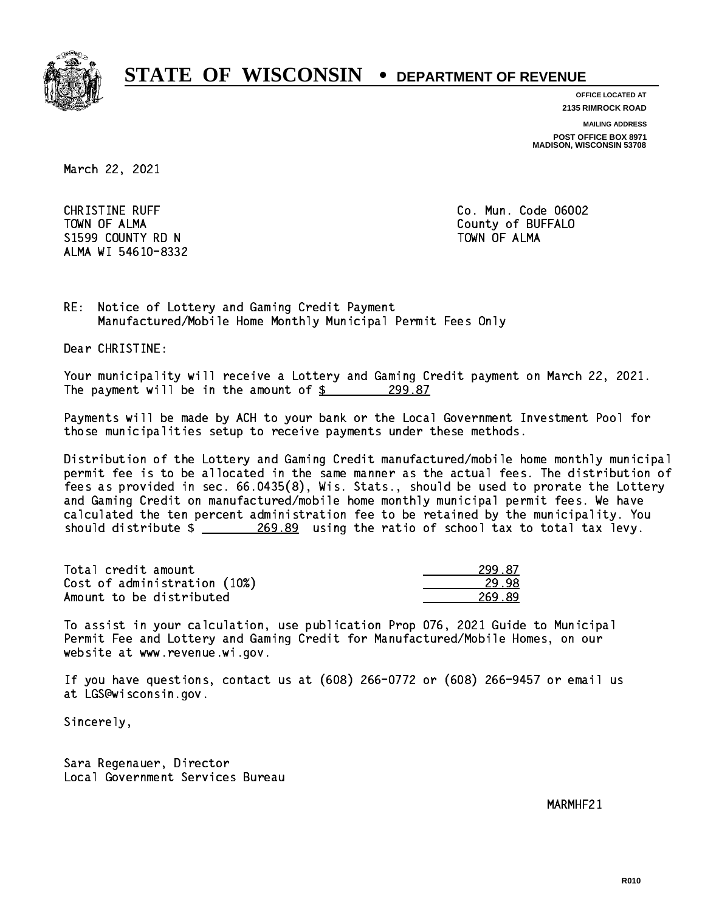

**OFFICE LOCATED AT**

**2135 RIMROCK ROAD**

**MAILING ADDRESS**

**POST OFFICE BOX 8971 MADISON, WISCONSIN 53708**

March 22, 2021

**CHRISTINE RUFF**  TOWN OF ALMA County of BUFFALO S1599 COUNTY RD N ALMA WI 54610-8332

Co. Mun. Code 06002 TOWN OF ALMA

RE: Notice of Lottery and Gaming Credit Payment Manufactured/Mobile Home Monthly Municipal Permit Fees Only

Dear CHRISTINE:

 Your municipality will receive a Lottery and Gaming Credit payment on March 22, 2021. The payment will be in the amount of  $\frac{299.87}{299.87}$ 

 Payments will be made by ACH to your bank or the Local Government Investment Pool for those municipalities setup to receive payments under these methods.

 Distribution of the Lottery and Gaming Credit manufactured/mobile home monthly municipal permit fee is to be allocated in the same manner as the actual fees. The distribution of fees as provided in sec. 66.0435(8), Wis. Stats., should be used to prorate the Lottery and Gaming Credit on manufactured/mobile home monthly municipal permit fees. We have calculated the ten percent administration fee to be retained by the municipality. You should distribute  $\frac{269.89}{201}$  using the ratio of school tax to total tax levy.

| Total credit amount          | 299.87 |
|------------------------------|--------|
| Cost of administration (10%) | 29.98  |
| Amount to be distributed     | 269.89 |

| 87 |
|----|
|    |
| ., |

 To assist in your calculation, use publication Prop 076, 2021 Guide to Municipal Permit Fee and Lottery and Gaming Credit for Manufactured/Mobile Homes, on our website at www.revenue.wi.gov.

 If you have questions, contact us at (608) 266-0772 or (608) 266-9457 or email us at LGS@wisconsin.gov.

Sincerely,

 Sara Regenauer, Director Local Government Services Bureau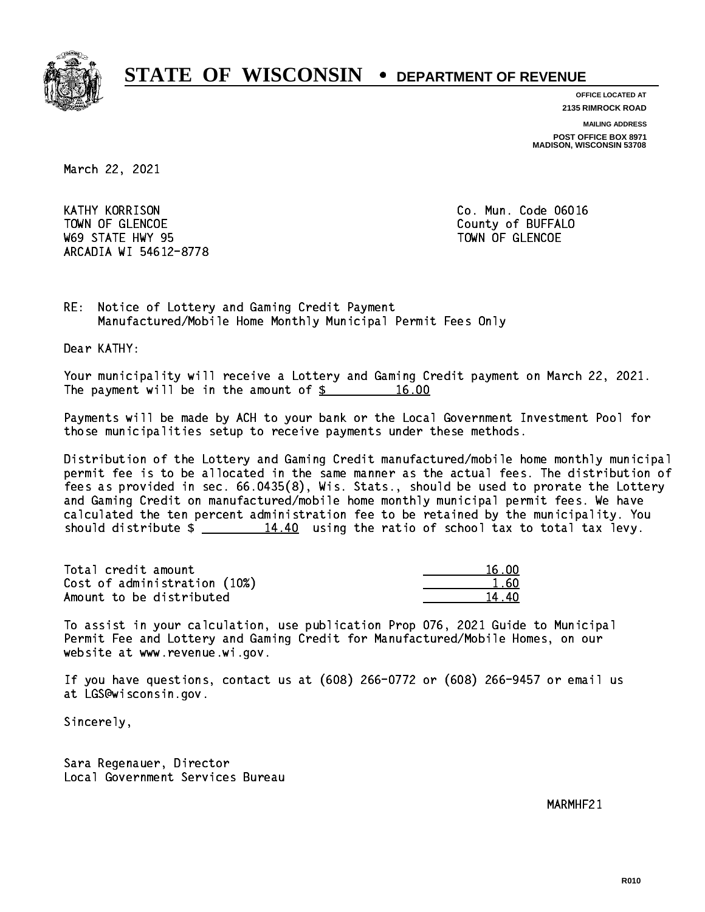

**OFFICE LOCATED AT**

**2135 RIMROCK ROAD**

**MAILING ADDRESS**

**POST OFFICE BOX 8971 MADISON, WISCONSIN 53708**

March 22, 2021

**KATHY KORRISON** TOWN OF GLENCOE COUNTY OF BUFFALO where the state  $\sim$  state  $\sim$  state  $\sim$  state  $\sim$  state  $\sim$  state  $\sim$ ARCADIA WI 54612-8778

Co. Mun. Code 06016

RE: Notice of Lottery and Gaming Credit Payment Manufactured/Mobile Home Monthly Municipal Permit Fees Only

Dear KATHY:

 Your municipality will receive a Lottery and Gaming Credit payment on March 22, 2021. The payment will be in the amount of  $\frac{2}{3}$  16.00

 Payments will be made by ACH to your bank or the Local Government Investment Pool for those municipalities setup to receive payments under these methods.

 Distribution of the Lottery and Gaming Credit manufactured/mobile home monthly municipal permit fee is to be allocated in the same manner as the actual fees. The distribution of fees as provided in sec. 66.0435(8), Wis. Stats., should be used to prorate the Lottery and Gaming Credit on manufactured/mobile home monthly municipal permit fees. We have calculated the ten percent administration fee to be retained by the municipality. You should distribute  $\frac{14.40}{14.40}$  using the ratio of school tax to total tax levy.

Total credit amount 16.00  $Cost of administration (10%)$  1.60 Amount to be distributed 14.40

 To assist in your calculation, use publication Prop 076, 2021 Guide to Municipal Permit Fee and Lottery and Gaming Credit for Manufactured/Mobile Homes, on our website at www.revenue.wi.gov.

 If you have questions, contact us at (608) 266-0772 or (608) 266-9457 or email us at LGS@wisconsin.gov.

Sincerely,

 Sara Regenauer, Director Local Government Services Bureau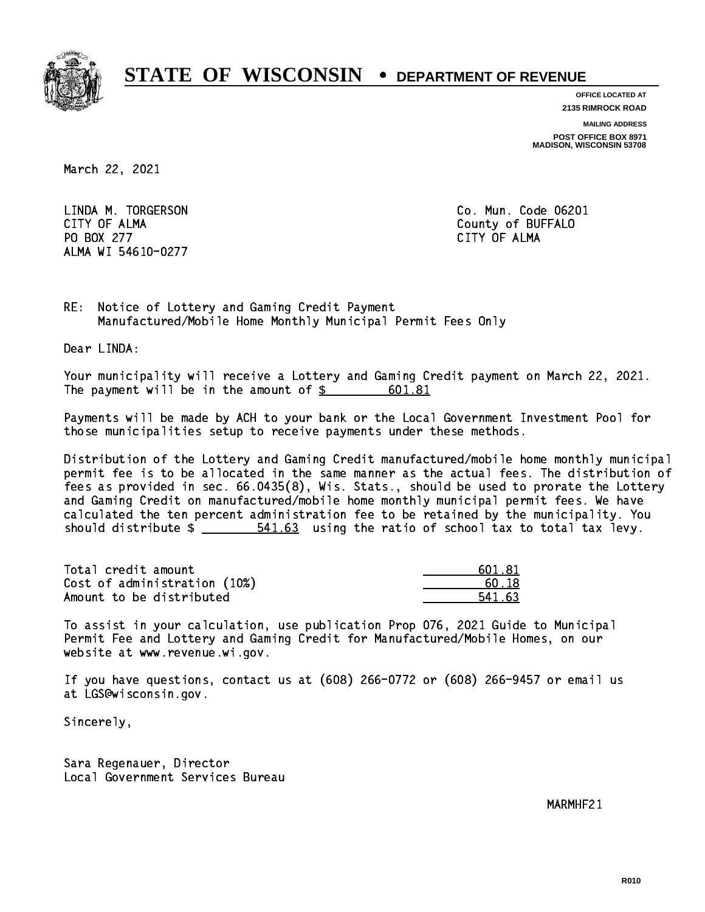

**OFFICE LOCATED AT**

**2135 RIMROCK ROAD**

**MAILING ADDRESS**

**POST OFFICE BOX 8971 MADISON, WISCONSIN 53708**

March 22, 2021

 LINDA M. TORGERSON Co. Mun. Code 06201 CITY OF ALMA County of BUFFALO PO BOX 277 CITY OF ALMA ALMA WI 54610-0277

CITY OF ALMA

RE: Notice of Lottery and Gaming Credit Payment Manufactured/Mobile Home Monthly Municipal Permit Fees Only

Dear LINDA:

 Your municipality will receive a Lottery and Gaming Credit payment on March 22, 2021. The payment will be in the amount of  $\frac{2}{3}$ 601.81

 Payments will be made by ACH to your bank or the Local Government Investment Pool for those municipalities setup to receive payments under these methods.

 Distribution of the Lottery and Gaming Credit manufactured/mobile home monthly municipal permit fee is to be allocated in the same manner as the actual fees. The distribution of fees as provided in sec. 66.0435(8), Wis. Stats., should be used to prorate the Lottery and Gaming Credit on manufactured/mobile home monthly municipal permit fees. We have calculated the ten percent administration fee to be retained by the municipality. You should distribute  $\frac{2}{1}$   $\frac{541.63}{63}$  using the ratio of school tax to total tax levy.

| Total credit amount          | 601.81 |
|------------------------------|--------|
| Cost of administration (10%) | 60.18  |
| Amount to be distributed     | 541.63 |

| 601.81 |
|--------|
| 50.18  |
| 541.63 |

 To assist in your calculation, use publication Prop 076, 2021 Guide to Municipal Permit Fee and Lottery and Gaming Credit for Manufactured/Mobile Homes, on our website at www.revenue.wi.gov.

 If you have questions, contact us at (608) 266-0772 or (608) 266-9457 or email us at LGS@wisconsin.gov.

Sincerely,

 Sara Regenauer, Director Local Government Services Bureau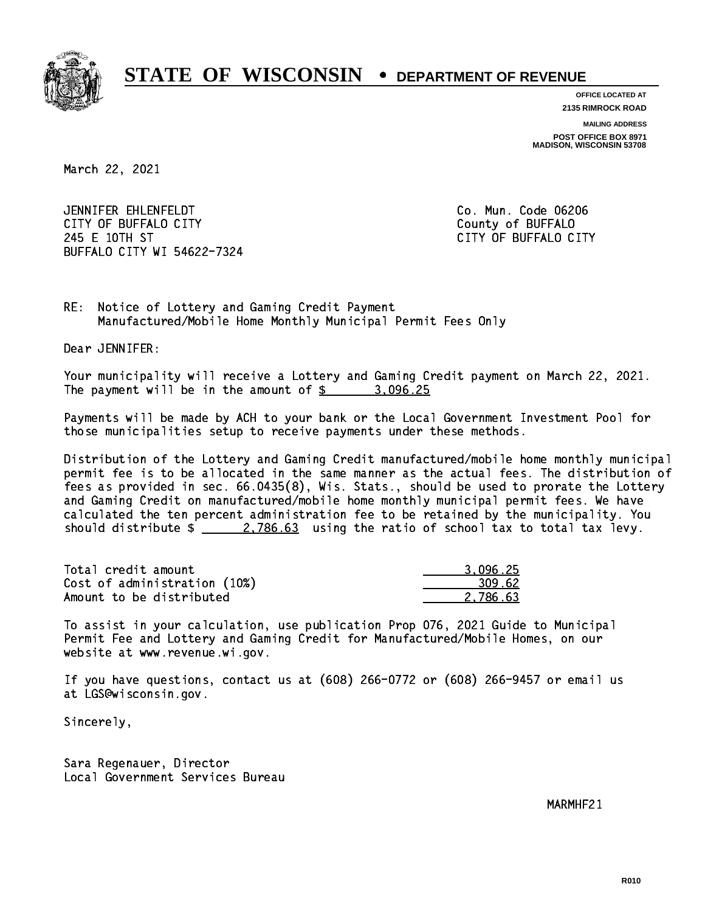

**OFFICE LOCATED AT**

**2135 RIMROCK ROAD**

**MAILING ADDRESS**

**POST OFFICE BOX 8971 MADISON, WISCONSIN 53708**

March 22, 2021

 JENNIFER EHLENFELDT Co. Mun. Code 06206 CITY OF BUFFALO CITY **COULD ACCOUNT COULD COULD COULD** COUNTY COUNTY 245 E 10TH ST CITY OF BUFFALO CITY BUFFALO CITY WI 54622-7324

RE: Notice of Lottery and Gaming Credit Payment Manufactured/Mobile Home Monthly Municipal Permit Fees Only

Dear JENNIFER:

 Your municipality will receive a Lottery and Gaming Credit payment on March 22, 2021. The payment will be in the amount of  $\frac{25}{100}$  3,096.25

 Payments will be made by ACH to your bank or the Local Government Investment Pool for those municipalities setup to receive payments under these methods.

 Distribution of the Lottery and Gaming Credit manufactured/mobile home monthly municipal permit fee is to be allocated in the same manner as the actual fees. The distribution of fees as provided in sec. 66.0435(8), Wis. Stats., should be used to prorate the Lottery and Gaming Credit on manufactured/mobile home monthly municipal permit fees. We have calculated the ten percent administration fee to be retained by the municipality. You should distribute  $\frac{2.786.63}{2.786.63}$  using the ratio of school tax to total tax levy.

| Total credit amount          | 3.096.25 |
|------------------------------|----------|
| Cost of administration (10%) | 309.62   |
| Amount to be distributed     | 2.786.63 |

 To assist in your calculation, use publication Prop 076, 2021 Guide to Municipal Permit Fee and Lottery and Gaming Credit for Manufactured/Mobile Homes, on our website at www.revenue.wi.gov.

 If you have questions, contact us at (608) 266-0772 or (608) 266-9457 or email us at LGS@wisconsin.gov.

Sincerely,

 Sara Regenauer, Director Local Government Services Bureau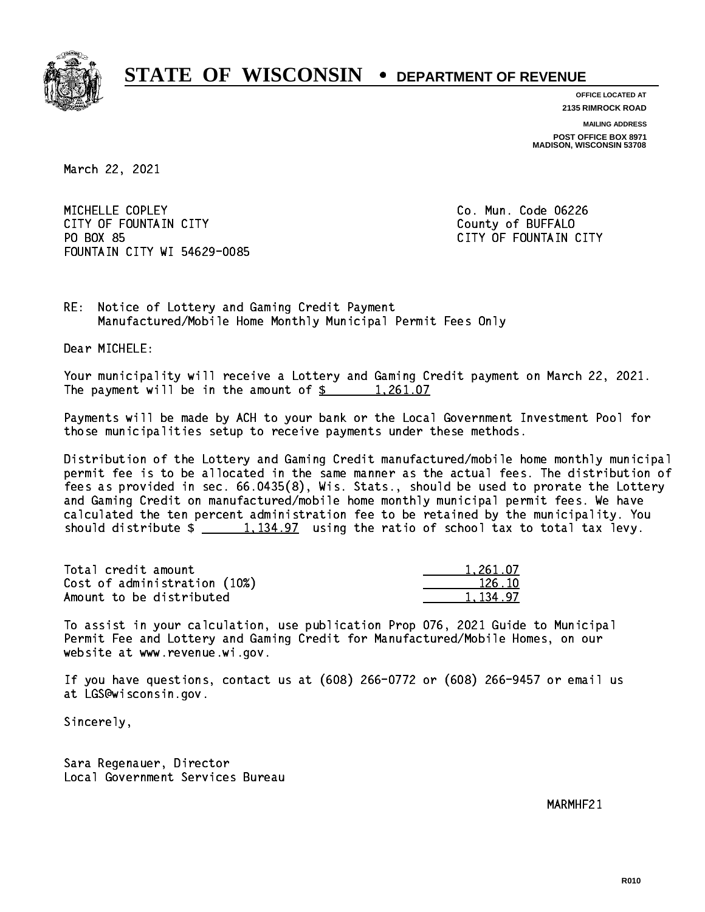

**OFFICE LOCATED AT 2135 RIMROCK ROAD**

**MAILING ADDRESS**

**POST OFFICE BOX 8971 MADISON, WISCONSIN 53708**

March 22, 2021

MICHELLE COPLEY CITY OF FOUNTAIN CITY COUNTROLLED COUNTROLLED COUNTROLLED COUNTROLLED COUNTROLLED COUNTROLLED COUNTROLLED COUNTROLLED COUNTROLLED AT A COUNTROLLED COUNTROLLED AT A COUNTROLLED COUNTROLLED AT A COUNTROLLED COUNTROLLED AT A PO BOX 85 FOUNTAIN CITY WI 54629-0085

Co. Mun. Code 06226 CITY OF FOUNTAIN CITY

RE: Notice of Lottery and Gaming Credit Payment Manufactured/Mobile Home Monthly Municipal Permit Fees Only

Dear MICHELE:

 Your municipality will receive a Lottery and Gaming Credit payment on March 22, 2021. The payment will be in the amount of \$ 1,261.07 \_\_\_\_\_\_\_\_\_\_\_\_\_\_\_\_

 Payments will be made by ACH to your bank or the Local Government Investment Pool for those municipalities setup to receive payments under these methods.

 Distribution of the Lottery and Gaming Credit manufactured/mobile home monthly municipal permit fee is to be allocated in the same manner as the actual fees. The distribution of fees as provided in sec. 66.0435(8), Wis. Stats., should be used to prorate the Lottery and Gaming Credit on manufactured/mobile home monthly municipal permit fees. We have calculated the ten percent administration fee to be retained by the municipality. You should distribute  $\frac{1,134.97}{1,134.97}$  using the ratio of school tax to total tax levy.

| Total credit amount          | 1,261.07 |
|------------------------------|----------|
| Cost of administration (10%) | 126.10   |
| Amount to be distributed     | 1.134.97 |

 To assist in your calculation, use publication Prop 076, 2021 Guide to Municipal Permit Fee and Lottery and Gaming Credit for Manufactured/Mobile Homes, on our website at www.revenue.wi.gov.

 If you have questions, contact us at (608) 266-0772 or (608) 266-9457 or email us at LGS@wisconsin.gov.

Sincerely,

 Sara Regenauer, Director Local Government Services Bureau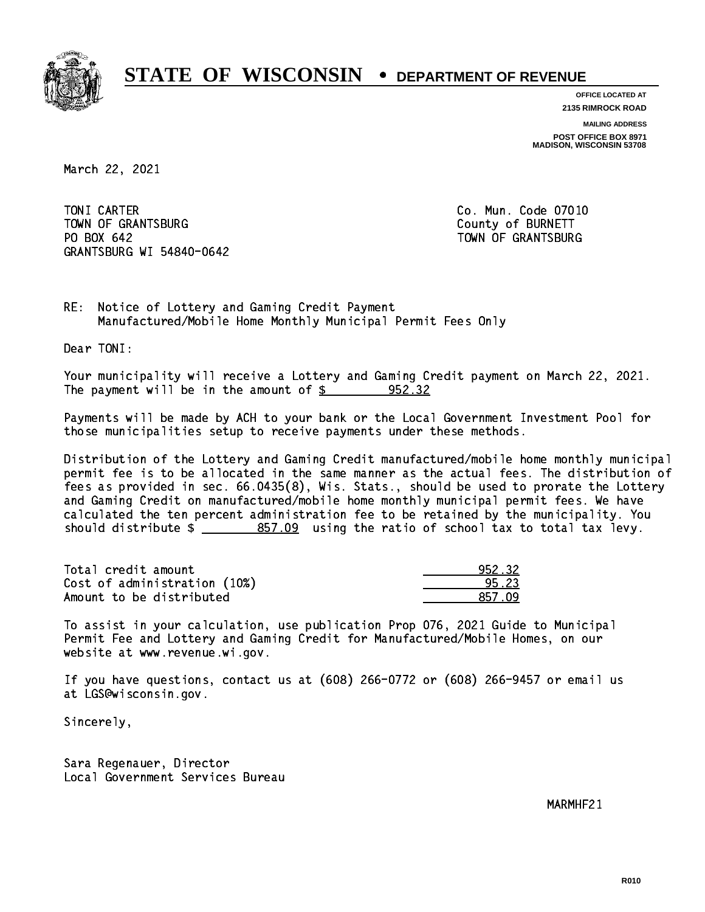

**OFFICE LOCATED AT 2135 RIMROCK ROAD**

**MAILING ADDRESS POST OFFICE BOX 8971 MADISON, WISCONSIN 53708**

March 22, 2021

TONI CARTER TOWN OF GRANTSBURG COUNTY OF BURNETT PO BOX 642 GRANTSBURG WI 54840-0642

Co. Mun. Code 07010 TOWN OF GRANTSBURG

RE: Notice of Lottery and Gaming Credit Payment Manufactured/Mobile Home Monthly Municipal Permit Fees Only

Dear TONI:

 Your municipality will receive a Lottery and Gaming Credit payment on March 22, 2021. The payment will be in the amount of  $\frac{2}{3}$  952.32

 Payments will be made by ACH to your bank or the Local Government Investment Pool for those municipalities setup to receive payments under these methods.

 Distribution of the Lottery and Gaming Credit manufactured/mobile home monthly municipal permit fee is to be allocated in the same manner as the actual fees. The distribution of fees as provided in sec. 66.0435(8), Wis. Stats., should be used to prorate the Lottery and Gaming Credit on manufactured/mobile home monthly municipal permit fees. We have calculated the ten percent administration fee to be retained by the municipality. You should distribute  $\frac{2}{2}$   $\frac{857.09}{2}$  using the ratio of school tax to total tax levy.

| Total credit amount          | 952.32 |
|------------------------------|--------|
| Cost of administration (10%) | 95.23  |
| Amount to be distributed     | 857.09 |

 To assist in your calculation, use publication Prop 076, 2021 Guide to Municipal Permit Fee and Lottery and Gaming Credit for Manufactured/Mobile Homes, on our website at www.revenue.wi.gov.

 If you have questions, contact us at (608) 266-0772 or (608) 266-9457 or email us at LGS@wisconsin.gov.

Sincerely,

 Sara Regenauer, Director Local Government Services Bureau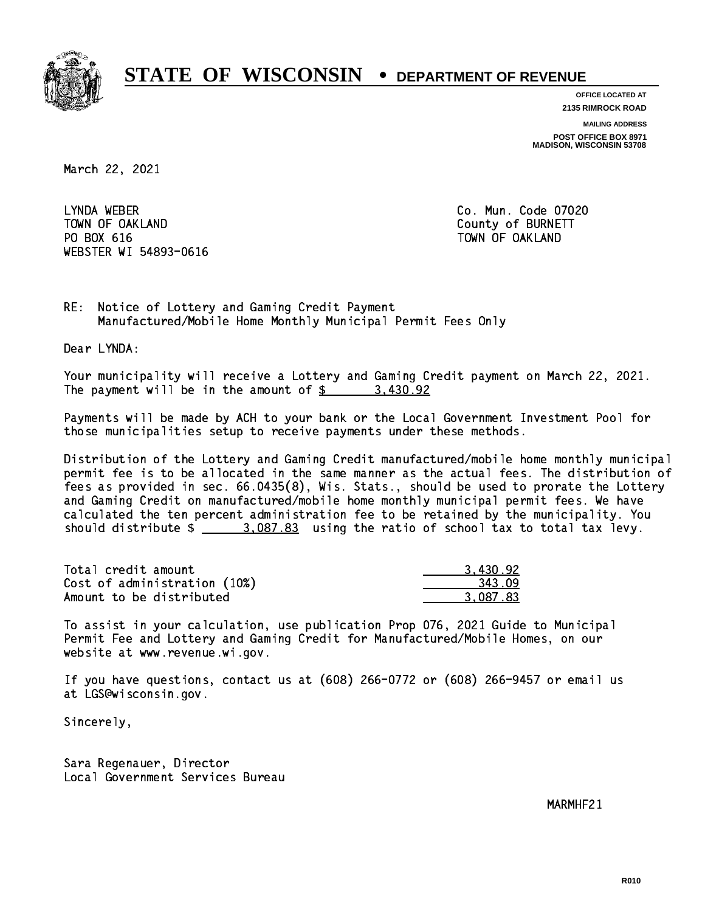

**OFFICE LOCATED AT 2135 RIMROCK ROAD**

**MAILING ADDRESS**

**POST OFFICE BOX 8971 MADISON, WISCONSIN 53708**

March 22, 2021

LYNDA WEBER TOWN OF OAKLAND County of BURNETT PO BOX 616 TOWN OF OAKLAND WEBSTER WI 54893-0616

Co. Mun. Code 07020

RE: Notice of Lottery and Gaming Credit Payment Manufactured/Mobile Home Monthly Municipal Permit Fees Only

Dear LYNDA:

 Your municipality will receive a Lottery and Gaming Credit payment on March 22, 2021. The payment will be in the amount of  $\frac{2}{3}$  3,430.92

 Payments will be made by ACH to your bank or the Local Government Investment Pool for those municipalities setup to receive payments under these methods.

 Distribution of the Lottery and Gaming Credit manufactured/mobile home monthly municipal permit fee is to be allocated in the same manner as the actual fees. The distribution of fees as provided in sec. 66.0435(8), Wis. Stats., should be used to prorate the Lottery and Gaming Credit on manufactured/mobile home monthly municipal permit fees. We have calculated the ten percent administration fee to be retained by the municipality. You should distribute  $\frac{2.087.83}{2.087.83}$  using the ratio of school tax to total tax levy.

| Total credit amount          | 3,430.92 |
|------------------------------|----------|
| Cost of administration (10%) | 343.09   |
| Amount to be distributed     | 3.087.83 |

 To assist in your calculation, use publication Prop 076, 2021 Guide to Municipal Permit Fee and Lottery and Gaming Credit for Manufactured/Mobile Homes, on our website at www.revenue.wi.gov.

 If you have questions, contact us at (608) 266-0772 or (608) 266-9457 or email us at LGS@wisconsin.gov.

Sincerely,

 Sara Regenauer, Director Local Government Services Bureau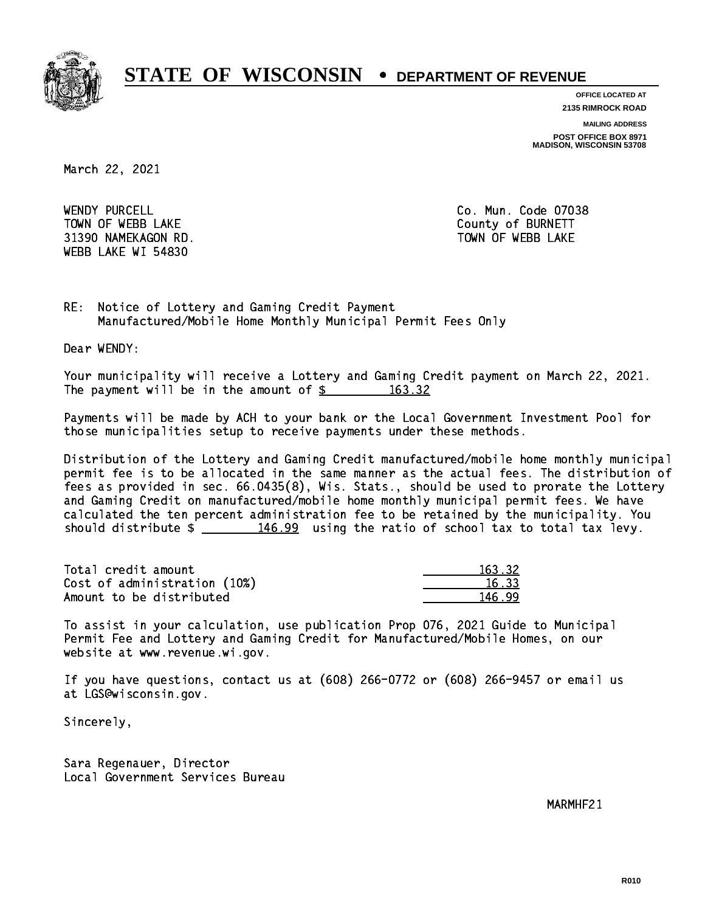

**OFFICE LOCATED AT**

**2135 RIMROCK ROAD**

**MAILING ADDRESS**

**POST OFFICE BOX 8971 MADISON, WISCONSIN 53708**

March 22, 2021

WENDY PURCELL TOWN OF WEBB LAKE COUNTY OF BURNETT 31390 NAMEKAGON RD. TOWN OF WEBB LAKE WEBB LAKE WI 54830

Co. Mun. Code 07038

RE: Notice of Lottery and Gaming Credit Payment Manufactured/Mobile Home Monthly Municipal Permit Fees Only

Dear WENDY:

 Your municipality will receive a Lottery and Gaming Credit payment on March 22, 2021. The payment will be in the amount of \$ 163.32 \_\_\_\_\_\_\_\_\_\_\_\_\_\_\_\_

 Payments will be made by ACH to your bank or the Local Government Investment Pool for those municipalities setup to receive payments under these methods.

 Distribution of the Lottery and Gaming Credit manufactured/mobile home monthly municipal permit fee is to be allocated in the same manner as the actual fees. The distribution of fees as provided in sec. 66.0435(8), Wis. Stats., should be used to prorate the Lottery and Gaming Credit on manufactured/mobile home monthly municipal permit fees. We have calculated the ten percent administration fee to be retained by the municipality. You should distribute  $\frac{146.99}{2}$  using the ratio of school tax to total tax levy.

Total credit amount Cost of administration (10%) Amount to be distributed

| 63.32.                          |
|---------------------------------|
| Т.                              |
| $\leq$ , $\leq$<br>п.<br>प्रप्र |

 To assist in your calculation, use publication Prop 076, 2021 Guide to Municipal Permit Fee and Lottery and Gaming Credit for Manufactured/Mobile Homes, on our website at www.revenue.wi.gov.

 If you have questions, contact us at (608) 266-0772 or (608) 266-9457 or email us at LGS@wisconsin.gov.

Sincerely,

 Sara Regenauer, Director Local Government Services Bureau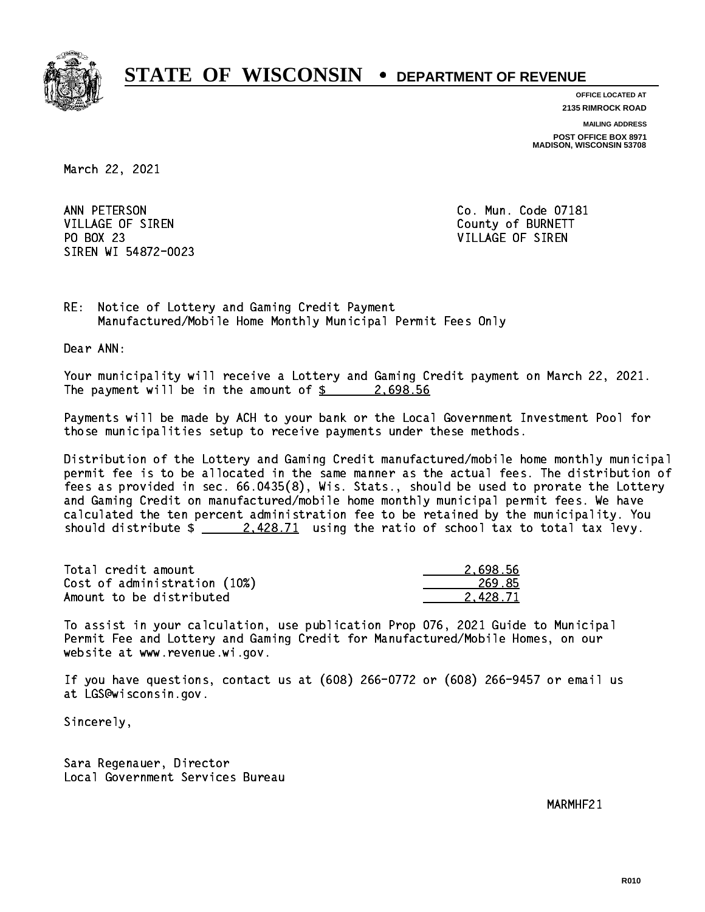

**OFFICE LOCATED AT**

**2135 RIMROCK ROAD**

**MAILING ADDRESS**

**POST OFFICE BOX 8971 MADISON, WISCONSIN 53708**

March 22, 2021

ANN PETERSON VILLAGE OF SIREN COUNTY OF BURNETT PO BOX 23 PO BOX 23 VILLAGE OF SIREN SIREN WI 54872-0023

Co. Mun. Code 07181

RE: Notice of Lottery and Gaming Credit Payment Manufactured/Mobile Home Monthly Municipal Permit Fees Only

Dear ANN:

 Your municipality will receive a Lottery and Gaming Credit payment on March 22, 2021. The payment will be in the amount of  $\frac{2.698.56}{2.25}$ 

 Payments will be made by ACH to your bank or the Local Government Investment Pool for those municipalities setup to receive payments under these methods.

 Distribution of the Lottery and Gaming Credit manufactured/mobile home monthly municipal permit fee is to be allocated in the same manner as the actual fees. The distribution of fees as provided in sec. 66.0435(8), Wis. Stats., should be used to prorate the Lottery and Gaming Credit on manufactured/mobile home monthly municipal permit fees. We have calculated the ten percent administration fee to be retained by the municipality. You should distribute  $\frac{2.428.71}{2.428.71}$  using the ratio of school tax to total tax levy.

| Total credit amount          | 2.698.56 |
|------------------------------|----------|
| Cost of administration (10%) | 269.85   |
| Amount to be distributed     | 2.428.71 |

 To assist in your calculation, use publication Prop 076, 2021 Guide to Municipal Permit Fee and Lottery and Gaming Credit for Manufactured/Mobile Homes, on our website at www.revenue.wi.gov.

 If you have questions, contact us at (608) 266-0772 or (608) 266-9457 or email us at LGS@wisconsin.gov.

Sincerely,

 Sara Regenauer, Director Local Government Services Bureau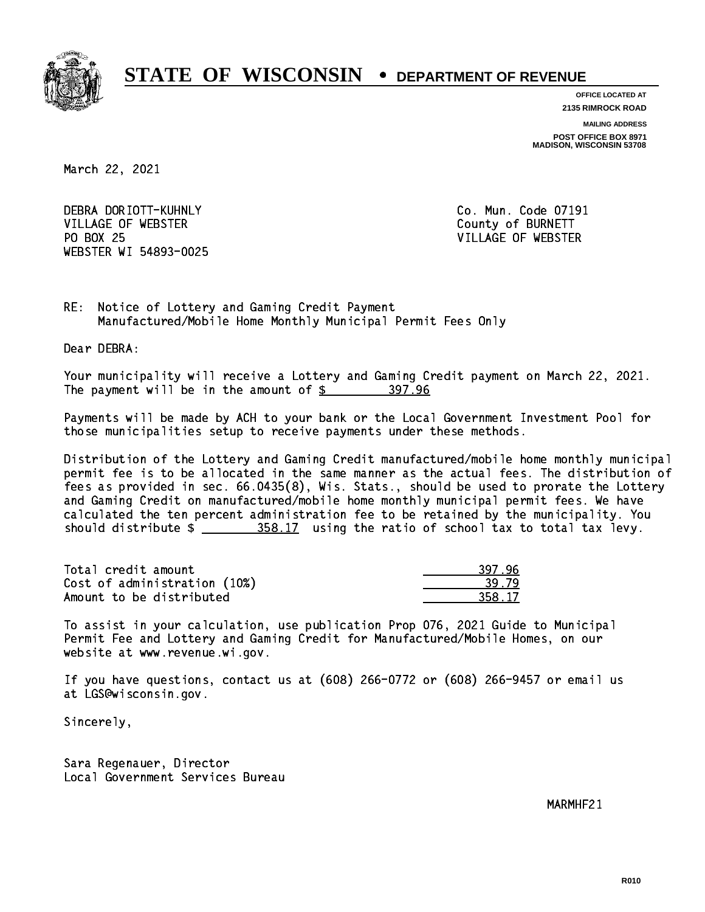

**OFFICE LOCATED AT**

**2135 RIMROCK ROAD**

**MAILING ADDRESS**

**POST OFFICE BOX 8971 MADISON, WISCONSIN 53708**

March 22, 2021

 DEBRA DORIOTT-KUHNLY Co. Mun. Code 07191 VILLAGE OF WEBSTER COUNTY OF BURNETT PO BOX 25 WEBSTER WI 54893-0025

VILLAGE OF WEBSTER

RE: Notice of Lottery and Gaming Credit Payment Manufactured/Mobile Home Monthly Municipal Permit Fees Only

Dear DEBRA:

 Your municipality will receive a Lottery and Gaming Credit payment on March 22, 2021. The payment will be in the amount of  $\frac{2}{3}$  397.96

 Payments will be made by ACH to your bank or the Local Government Investment Pool for those municipalities setup to receive payments under these methods.

 Distribution of the Lottery and Gaming Credit manufactured/mobile home monthly municipal permit fee is to be allocated in the same manner as the actual fees. The distribution of fees as provided in sec. 66.0435(8), Wis. Stats., should be used to prorate the Lottery and Gaming Credit on manufactured/mobile home monthly municipal permit fees. We have calculated the ten percent administration fee to be retained by the municipality. You should distribute  $\frac{258.17}{2}$  using the ratio of school tax to total tax levy.

| Total credit amount          | 397.96 |
|------------------------------|--------|
| Cost of administration (10%) | 39.79  |
| Amount to be distributed     | 358.17 |

| L 79 |
|------|
| -17  |

 To assist in your calculation, use publication Prop 076, 2021 Guide to Municipal Permit Fee and Lottery and Gaming Credit for Manufactured/Mobile Homes, on our website at www.revenue.wi.gov.

 If you have questions, contact us at (608) 266-0772 or (608) 266-9457 or email us at LGS@wisconsin.gov.

Sincerely,

 Sara Regenauer, Director Local Government Services Bureau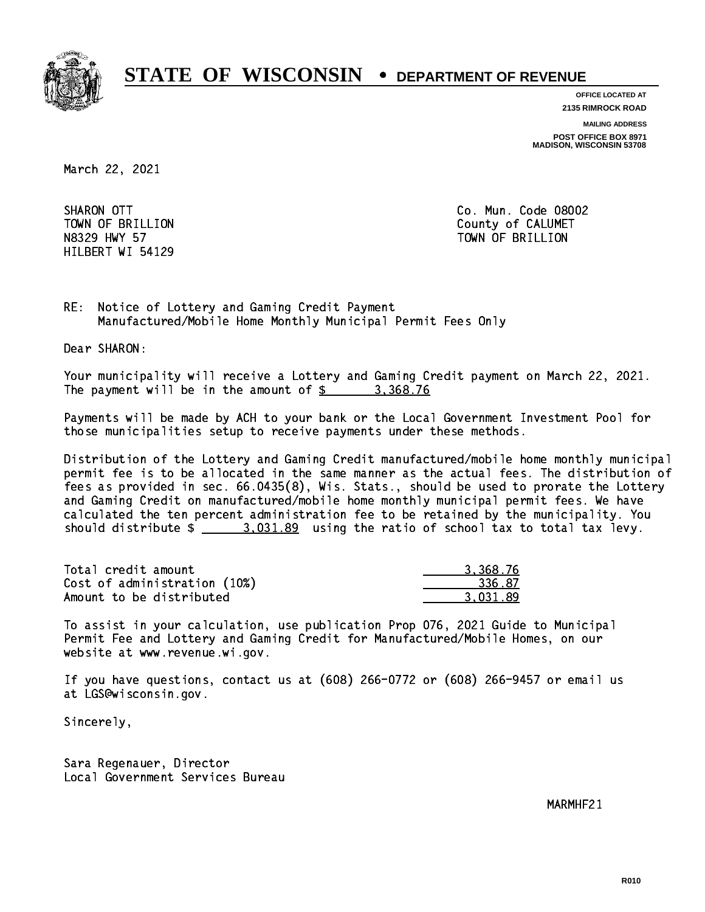

**OFFICE LOCATED AT**

**2135 RIMROCK ROAD**

**MAILING ADDRESS POST OFFICE BOX 8971 MADISON, WISCONSIN 53708**

March 22, 2021

SHARON OTT HILBERT WI 54129

Co. Mun. Code 08002 TOWN OF BRILLION County of CALUMET N8329 HWY 57 TOWN OF BRILLION

RE: Notice of Lottery and Gaming Credit Payment Manufactured/Mobile Home Monthly Municipal Permit Fees Only

Dear SHARON:

 Your municipality will receive a Lottery and Gaming Credit payment on March 22, 2021. The payment will be in the amount of  $\frac{2}{3}$  3,368.76

 Payments will be made by ACH to your bank or the Local Government Investment Pool for those municipalities setup to receive payments under these methods.

 Distribution of the Lottery and Gaming Credit manufactured/mobile home monthly municipal permit fee is to be allocated in the same manner as the actual fees. The distribution of fees as provided in sec. 66.0435(8), Wis. Stats., should be used to prorate the Lottery and Gaming Credit on manufactured/mobile home monthly municipal permit fees. We have calculated the ten percent administration fee to be retained by the municipality. You should distribute  $\frac{2}{2}$   $\frac{3.031.89}{2}$  using the ratio of school tax to total tax levy.

| Total credit amount          | 3.368.76 |
|------------------------------|----------|
| Cost of administration (10%) | 336.87   |
| Amount to be distributed     | 3.031.89 |

 To assist in your calculation, use publication Prop 076, 2021 Guide to Municipal Permit Fee and Lottery and Gaming Credit for Manufactured/Mobile Homes, on our website at www.revenue.wi.gov.

 If you have questions, contact us at (608) 266-0772 or (608) 266-9457 or email us at LGS@wisconsin.gov.

Sincerely,

 Sara Regenauer, Director Local Government Services Bureau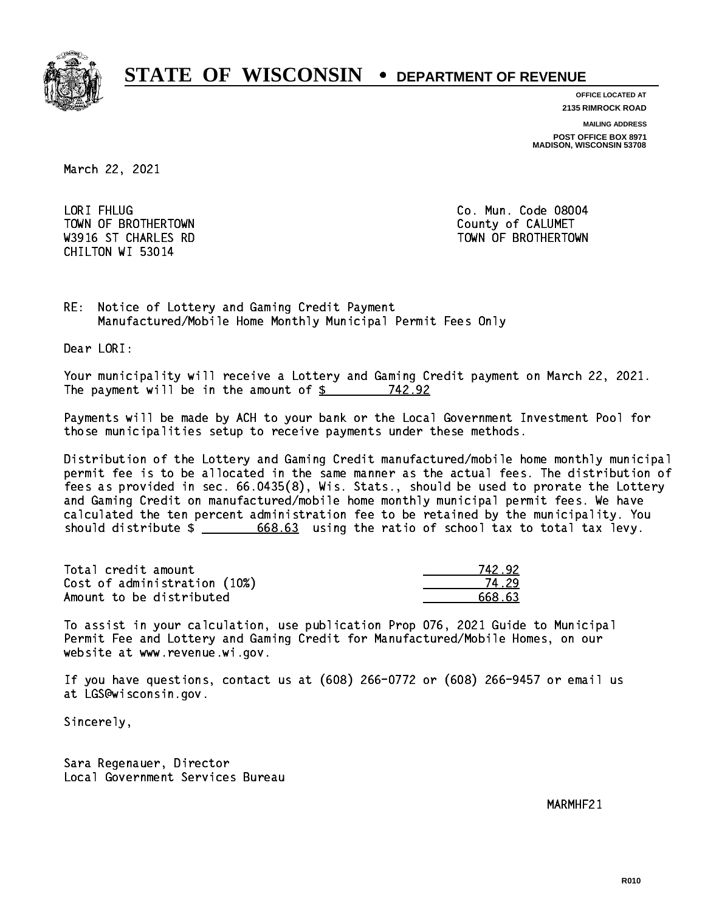

**OFFICE LOCATED AT**

**2135 RIMROCK ROAD**

**MAILING ADDRESS**

**POST OFFICE BOX 8971 MADISON, WISCONSIN 53708**

March 22, 2021

LORI FHLUG TOWN OF BROTHERTOWN **COUNTY COULD AND SERVICE OF CALUMET** CHILTON WI 53014

Co. Mun. Code 08004 W3916 ST CHARLES RD TOWN OF BROTHERTOWN WAS ALLOWDED AND TOWN OF BROTHERTOWN

RE: Notice of Lottery and Gaming Credit Payment Manufactured/Mobile Home Monthly Municipal Permit Fees Only

Dear LORI:

 Your municipality will receive a Lottery and Gaming Credit payment on March 22, 2021. The payment will be in the amount of \$ 742.92 \_\_\_\_\_\_\_\_\_\_\_\_\_\_\_\_

 Payments will be made by ACH to your bank or the Local Government Investment Pool for those municipalities setup to receive payments under these methods.

 Distribution of the Lottery and Gaming Credit manufactured/mobile home monthly municipal permit fee is to be allocated in the same manner as the actual fees. The distribution of fees as provided in sec. 66.0435(8), Wis. Stats., should be used to prorate the Lottery and Gaming Credit on manufactured/mobile home monthly municipal permit fees. We have calculated the ten percent administration fee to be retained by the municipality. You should distribute  $\frac{2}{1}$   $\frac{668.63}{68.63}$  using the ratio of school tax to total tax levy.

Total credit amount Cost of administration (10%) Amount to be distributed

| 42.92.<br>7. |
|--------------|
| L 29         |
| 668 63       |

 To assist in your calculation, use publication Prop 076, 2021 Guide to Municipal Permit Fee and Lottery and Gaming Credit for Manufactured/Mobile Homes, on our website at www.revenue.wi.gov.

 If you have questions, contact us at (608) 266-0772 or (608) 266-9457 or email us at LGS@wisconsin.gov.

Sincerely,

 Sara Regenauer, Director Local Government Services Bureau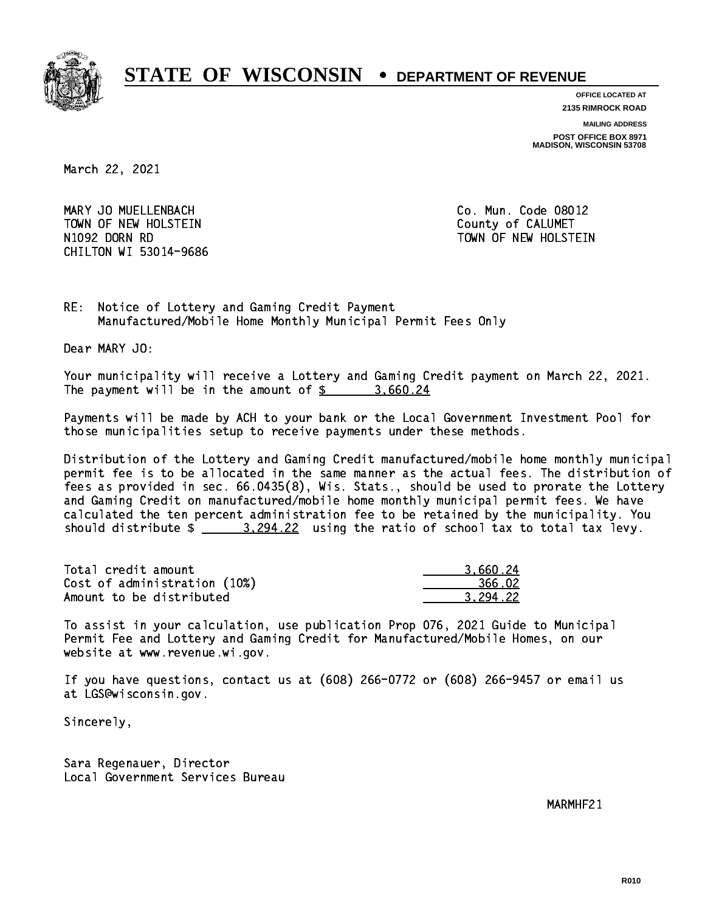

**OFFICE LOCATED AT**

**2135 RIMROCK ROAD**

**MAILING ADDRESS**

**POST OFFICE BOX 8971 MADISON, WISCONSIN 53708**

March 22, 2021

 MARY JO MUELLENBACH Co. Mun. Code 08012 TOWN OF NEW HOLSTEIN County of CALUMET N1092 DORN RD TOWN OF NEW HOLSTEIN CHILTON WI 53014-9686

RE: Notice of Lottery and Gaming Credit Payment Manufactured/Mobile Home Monthly Municipal Permit Fees Only

Dear MARY JO:

 Your municipality will receive a Lottery and Gaming Credit payment on March 22, 2021. The payment will be in the amount of \$ 3,660.24 \_\_\_\_\_\_\_\_\_\_\_\_\_\_\_\_

 Payments will be made by ACH to your bank or the Local Government Investment Pool for those municipalities setup to receive payments under these methods.

 Distribution of the Lottery and Gaming Credit manufactured/mobile home monthly municipal permit fee is to be allocated in the same manner as the actual fees. The distribution of fees as provided in sec. 66.0435(8), Wis. Stats., should be used to prorate the Lottery and Gaming Credit on manufactured/mobile home monthly municipal permit fees. We have calculated the ten percent administration fee to be retained by the municipality. You should distribute  $\frac{2}{2}$   $\frac{3,294.22}{2}$  using the ratio of school tax to total tax levy.

| Total credit amount          | 3.660.24 |
|------------------------------|----------|
| Cost of administration (10%) | 366.02   |
| Amount to be distributed     | 3.294.22 |

 To assist in your calculation, use publication Prop 076, 2021 Guide to Municipal Permit Fee and Lottery and Gaming Credit for Manufactured/Mobile Homes, on our website at www.revenue.wi.gov.

 If you have questions, contact us at (608) 266-0772 or (608) 266-9457 or email us at LGS@wisconsin.gov.

Sincerely,

 Sara Regenauer, Director Local Government Services Bureau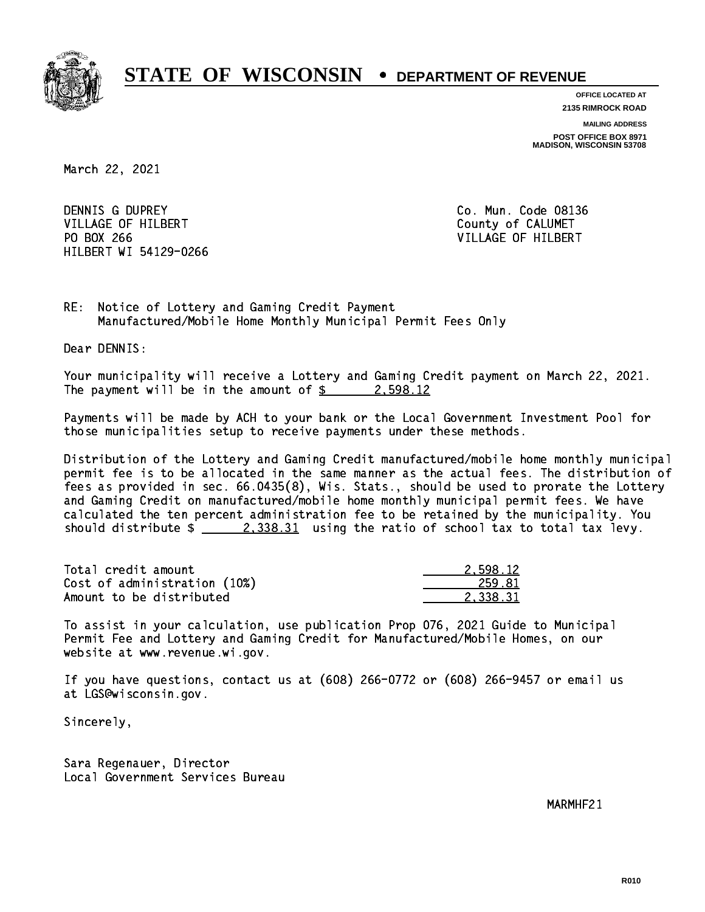

**OFFICE LOCATED AT**

**2135 RIMROCK ROAD**

**MAILING ADDRESS**

**POST OFFICE BOX 8971 MADISON, WISCONSIN 53708**

March 22, 2021

DENNIS G DUPREY VILLAGE OF HILBERT COUNTY OF CALUMET PO BOX 266 VILLAGE OF HILBERT HILBERT WI 54129-0266

Co. Mun. Code 08136

RE: Notice of Lottery and Gaming Credit Payment Manufactured/Mobile Home Monthly Municipal Permit Fees Only

Dear DENNIS:

 Your municipality will receive a Lottery and Gaming Credit payment on March 22, 2021. The payment will be in the amount of  $\frac{2}{3}$  2,598.12

 Payments will be made by ACH to your bank or the Local Government Investment Pool for those municipalities setup to receive payments under these methods.

 Distribution of the Lottery and Gaming Credit manufactured/mobile home monthly municipal permit fee is to be allocated in the same manner as the actual fees. The distribution of fees as provided in sec. 66.0435(8), Wis. Stats., should be used to prorate the Lottery and Gaming Credit on manufactured/mobile home monthly municipal permit fees. We have calculated the ten percent administration fee to be retained by the municipality. You should distribute  $\frac{2,338.31}{2}$  using the ratio of school tax to total tax levy.

| Total credit amount          | 2.598.12 |
|------------------------------|----------|
| Cost of administration (10%) | 259.81   |
| Amount to be distributed     | 2.338.31 |

 To assist in your calculation, use publication Prop 076, 2021 Guide to Municipal Permit Fee and Lottery and Gaming Credit for Manufactured/Mobile Homes, on our website at www.revenue.wi.gov.

 If you have questions, contact us at (608) 266-0772 or (608) 266-9457 or email us at LGS@wisconsin.gov.

Sincerely,

 Sara Regenauer, Director Local Government Services Bureau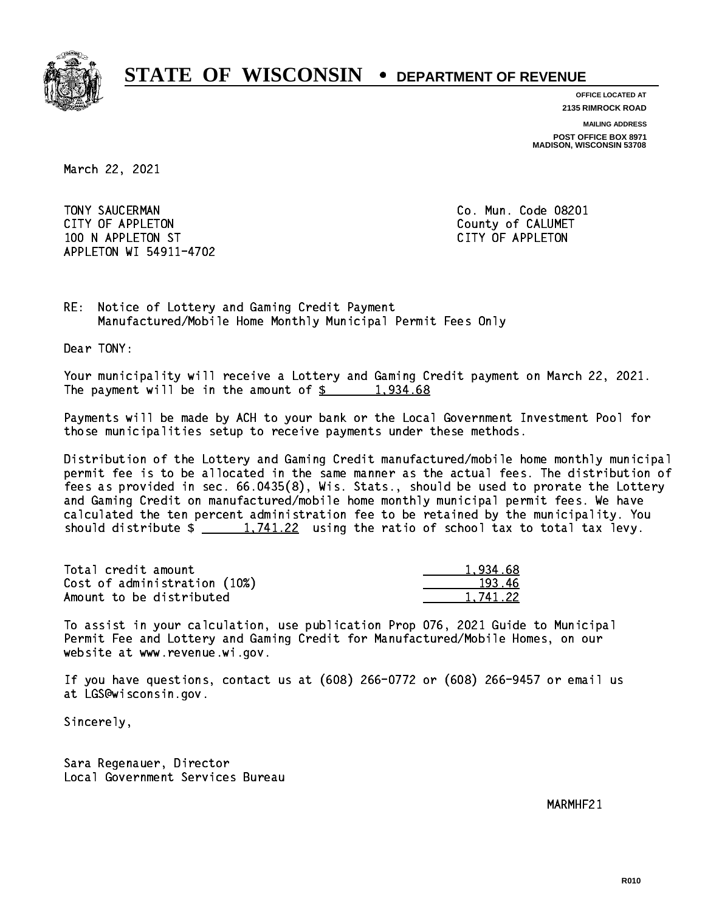

**OFFICE LOCATED AT**

**2135 RIMROCK ROAD**

**MAILING ADDRESS**

**POST OFFICE BOX 8971 MADISON, WISCONSIN 53708**

March 22, 2021

 TONY SAUCERMAN Co. Mun. Code 08201 CITY OF APPLETON COUNTY COUNTY OF CALUMET 100 N APPLETON ST CITY OF APPLETON APPLETON WI 54911-4702

RE: Notice of Lottery and Gaming Credit Payment Manufactured/Mobile Home Monthly Municipal Permit Fees Only

Dear TONY:

 Your municipality will receive a Lottery and Gaming Credit payment on March 22, 2021. The payment will be in the amount of  $\frac{2}{3}$  1,934.68

 Payments will be made by ACH to your bank or the Local Government Investment Pool for those municipalities setup to receive payments under these methods.

 Distribution of the Lottery and Gaming Credit manufactured/mobile home monthly municipal permit fee is to be allocated in the same manner as the actual fees. The distribution of fees as provided in sec. 66.0435(8), Wis. Stats., should be used to prorate the Lottery and Gaming Credit on manufactured/mobile home monthly municipal permit fees. We have calculated the ten percent administration fee to be retained by the municipality. You should distribute  $\frac{1,741.22}{1,741.22}$  using the ratio of school tax to total tax levy.

| Total credit amount          | 1.934.68 |
|------------------------------|----------|
| Cost of administration (10%) | 193.46   |
| Amount to be distributed     | 1.741.22 |

 To assist in your calculation, use publication Prop 076, 2021 Guide to Municipal Permit Fee and Lottery and Gaming Credit for Manufactured/Mobile Homes, on our website at www.revenue.wi.gov.

 If you have questions, contact us at (608) 266-0772 or (608) 266-9457 or email us at LGS@wisconsin.gov.

Sincerely,

 Sara Regenauer, Director Local Government Services Bureau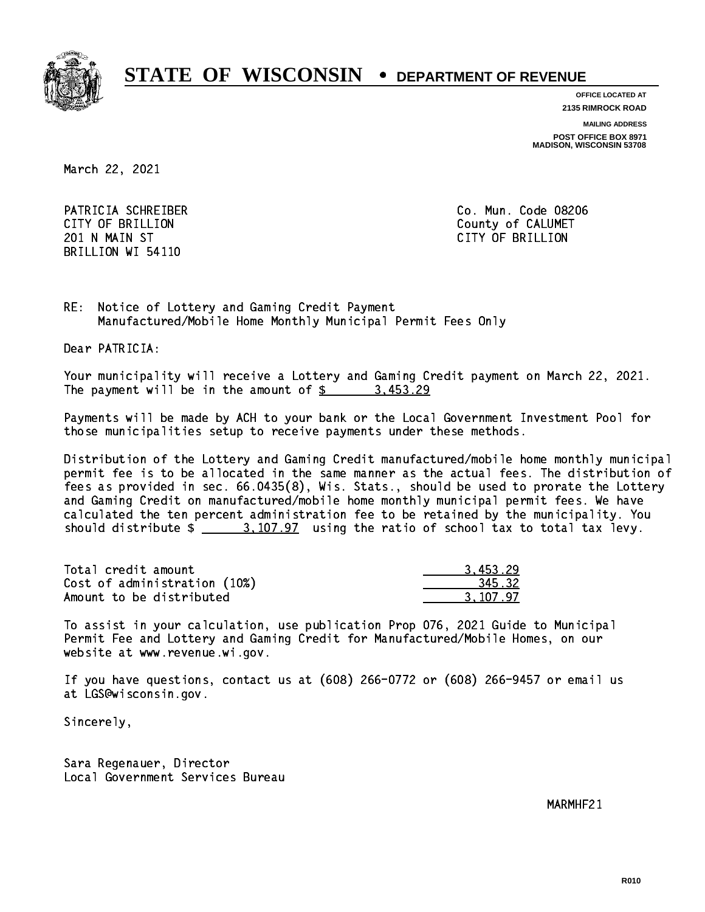

**OFFICE LOCATED AT**

**2135 RIMROCK ROAD**

**MAILING ADDRESS**

**POST OFFICE BOX 8971 MADISON, WISCONSIN 53708**

March 22, 2021

 PATRICIA SCHREIBER Co. Mun. Code 08206 CITY OF BRILLION County of CALUMET 201 N MAIN ST CITY OF BRIDGE OF BRIDGE OF BRIDGE OF BRIDGE OF BRIDGE OF BRIDGE OF BRIDGE OF BRIDGE OF BRIDGE O BRILLION WI 54110

RE: Notice of Lottery and Gaming Credit Payment Manufactured/Mobile Home Monthly Municipal Permit Fees Only

Dear PATRICIA:

 Your municipality will receive a Lottery and Gaming Credit payment on March 22, 2021. The payment will be in the amount of  $\frac{2}{3}$  3,453.29

 Payments will be made by ACH to your bank or the Local Government Investment Pool for those municipalities setup to receive payments under these methods.

 Distribution of the Lottery and Gaming Credit manufactured/mobile home monthly municipal permit fee is to be allocated in the same manner as the actual fees. The distribution of fees as provided in sec. 66.0435(8), Wis. Stats., should be used to prorate the Lottery and Gaming Credit on manufactured/mobile home monthly municipal permit fees. We have calculated the ten percent administration fee to be retained by the municipality. You should distribute  $\frac{2}{2}$   $\frac{3,107.97}{2}$  using the ratio of school tax to total tax levy.

| Total credit amount          | 3.453.29 |
|------------------------------|----------|
| Cost of administration (10%) | 345.32   |
| Amount to be distributed     | 3.107.97 |

 To assist in your calculation, use publication Prop 076, 2021 Guide to Municipal Permit Fee and Lottery and Gaming Credit for Manufactured/Mobile Homes, on our website at www.revenue.wi.gov.

 If you have questions, contact us at (608) 266-0772 or (608) 266-9457 or email us at LGS@wisconsin.gov.

Sincerely,

 Sara Regenauer, Director Local Government Services Bureau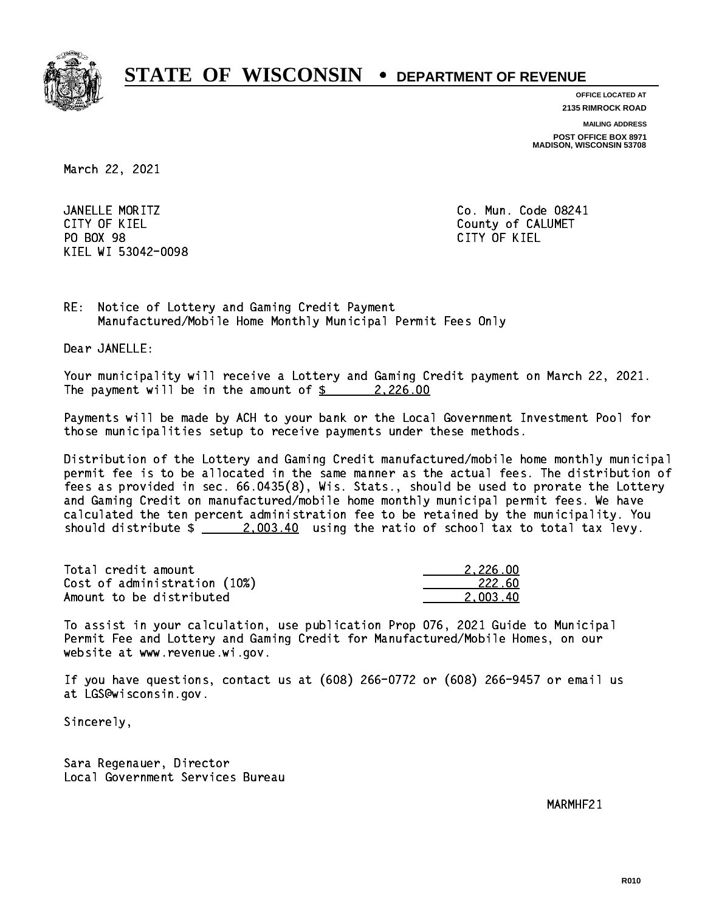

**OFFICE LOCATED AT**

**2135 RIMROCK ROAD**

**MAILING ADDRESS**

**POST OFFICE BOX 8971 MADISON, WISCONSIN 53708**

March 22, 2021

JANELLE MORITZ CITY OF KIEL **COUNTY COUNTY OF CALUMET** PO BOX 98 PO BOX 98 CITY OF KIEL KIEL WI 53042-0098

Co. Mun. Code 08241 CITY OF KIEL

RE: Notice of Lottery and Gaming Credit Payment Manufactured/Mobile Home Monthly Municipal Permit Fees Only

Dear JANELLE:

 Your municipality will receive a Lottery and Gaming Credit payment on March 22, 2021. The payment will be in the amount of  $\frac{2}{2}$  2,226.00

 Payments will be made by ACH to your bank or the Local Government Investment Pool for those municipalities setup to receive payments under these methods.

 Distribution of the Lottery and Gaming Credit manufactured/mobile home monthly municipal permit fee is to be allocated in the same manner as the actual fees. The distribution of fees as provided in sec. 66.0435(8), Wis. Stats., should be used to prorate the Lottery and Gaming Credit on manufactured/mobile home monthly municipal permit fees. We have calculated the ten percent administration fee to be retained by the municipality. You should distribute  $\frac{2,003.40}{2}$  using the ratio of school tax to total tax levy.

| Total credit amount          | 2.226.00 |
|------------------------------|----------|
| Cost of administration (10%) | 222.60   |
| Amount to be distributed     | 2,003.40 |

 To assist in your calculation, use publication Prop 076, 2021 Guide to Municipal Permit Fee and Lottery and Gaming Credit for Manufactured/Mobile Homes, on our website at www.revenue.wi.gov.

 If you have questions, contact us at (608) 266-0772 or (608) 266-9457 or email us at LGS@wisconsin.gov.

Sincerely,

 Sara Regenauer, Director Local Government Services Bureau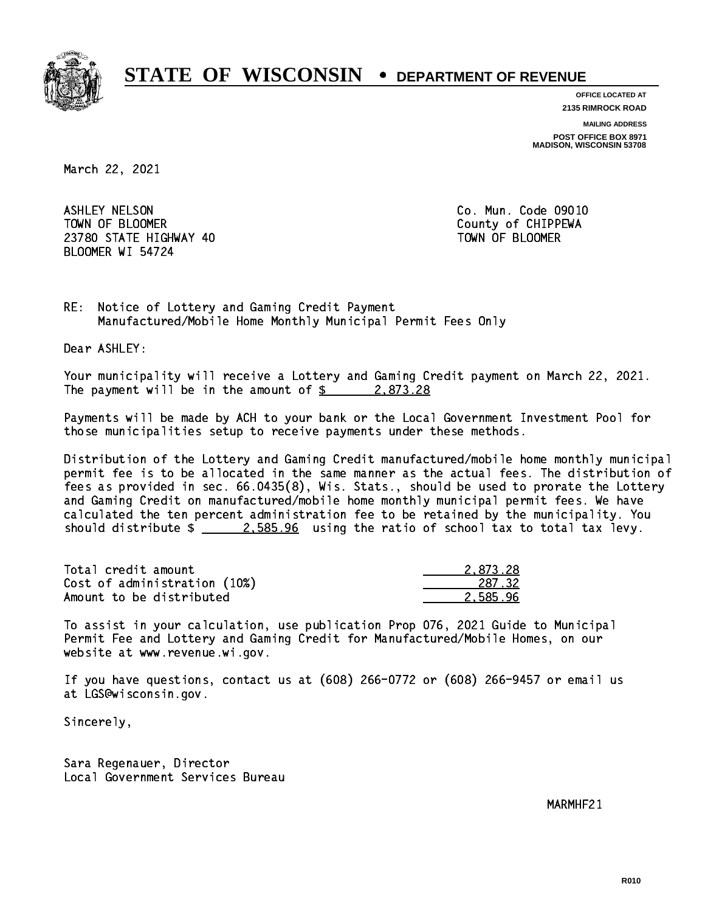

**OFFICE LOCATED AT**

**2135 RIMROCK ROAD**

**MAILING ADDRESS**

**POST OFFICE BOX 8971 MADISON, WISCONSIN 53708**

March 22, 2021

 ASHLEY NELSON Co. Mun. Code 09010 TOWN OF BLOOMER County of CHIPPEWA 23780 STATE HIGHWAY 40 TOWN OF BLOOMER BLOOMER WI 54724

RE: Notice of Lottery and Gaming Credit Payment Manufactured/Mobile Home Monthly Municipal Permit Fees Only

Dear ASHLEY:

 Your municipality will receive a Lottery and Gaming Credit payment on March 22, 2021. The payment will be in the amount of  $\frac{2}{3}$  2,873.28

 Payments will be made by ACH to your bank or the Local Government Investment Pool for those municipalities setup to receive payments under these methods.

 Distribution of the Lottery and Gaming Credit manufactured/mobile home monthly municipal permit fee is to be allocated in the same manner as the actual fees. The distribution of fees as provided in sec. 66.0435(8), Wis. Stats., should be used to prorate the Lottery and Gaming Credit on manufactured/mobile home monthly municipal permit fees. We have calculated the ten percent administration fee to be retained by the municipality. You should distribute  $\frac{2.585.96}{2.585.96}$  using the ratio of school tax to total tax levy.

| Total credit amount          | 2.873.28 |
|------------------------------|----------|
| Cost of administration (10%) | 287.32   |
| Amount to be distributed     | 2.585.96 |

 To assist in your calculation, use publication Prop 076, 2021 Guide to Municipal Permit Fee and Lottery and Gaming Credit for Manufactured/Mobile Homes, on our website at www.revenue.wi.gov.

 If you have questions, contact us at (608) 266-0772 or (608) 266-9457 or email us at LGS@wisconsin.gov.

Sincerely,

 Sara Regenauer, Director Local Government Services Bureau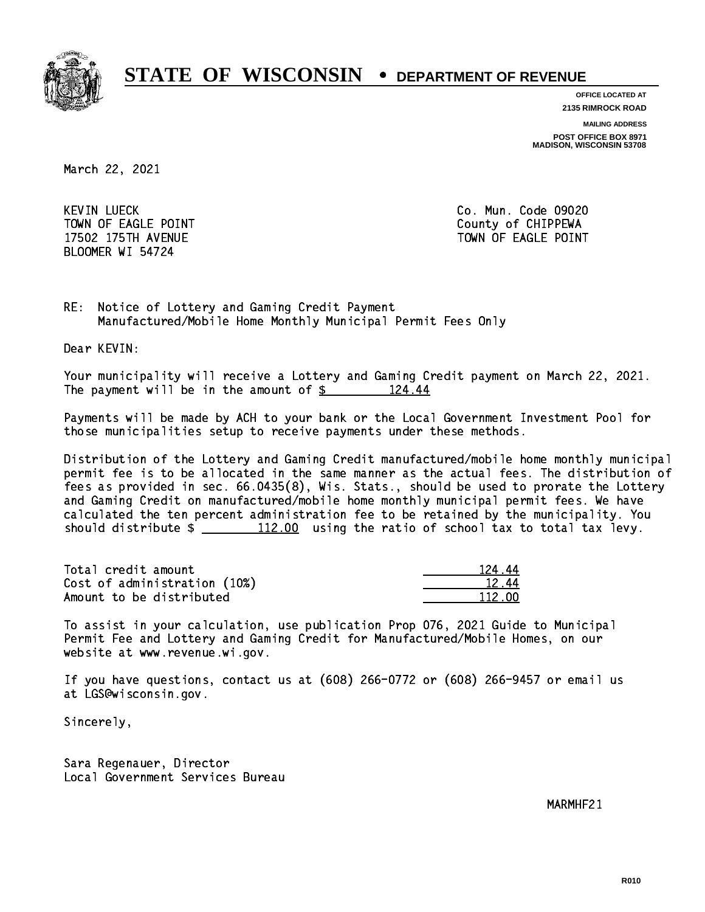

**OFFICE LOCATED AT**

**2135 RIMROCK ROAD**

**MAILING ADDRESS**

**POST OFFICE BOX 8971 MADISON, WISCONSIN 53708**

March 22, 2021

**KEVIN LUECK** TOWN OF EAGLE POINT COUNTS AND TOWN OF CHIPPEWA BLOOMER WI 54724

Co. Mun. Code 09020 17502 175TH AVENUE **TOWN OF EAGLE POINT** 

RE: Notice of Lottery and Gaming Credit Payment Manufactured/Mobile Home Monthly Municipal Permit Fees Only

Dear KEVIN:

 Your municipality will receive a Lottery and Gaming Credit payment on March 22, 2021. The payment will be in the amount of  $\frac{24.44}{5}$ 

 Payments will be made by ACH to your bank or the Local Government Investment Pool for those municipalities setup to receive payments under these methods.

 Distribution of the Lottery and Gaming Credit manufactured/mobile home monthly municipal permit fee is to be allocated in the same manner as the actual fees. The distribution of fees as provided in sec. 66.0435(8), Wis. Stats., should be used to prorate the Lottery and Gaming Credit on manufactured/mobile home monthly municipal permit fees. We have calculated the ten percent administration fee to be retained by the municipality. You should distribute  $\frac{112.00}{\pi}$  using the ratio of school tax to total tax levy.

Total credit amount 124.44 Cost of administration (10%) 12.44 \_\_\_\_\_\_\_\_\_\_\_\_\_\_ Amount to be distributed and the set of  $112.00$ 

 To assist in your calculation, use publication Prop 076, 2021 Guide to Municipal Permit Fee and Lottery and Gaming Credit for Manufactured/Mobile Homes, on our website at www.revenue.wi.gov.

 If you have questions, contact us at (608) 266-0772 or (608) 266-9457 or email us at LGS@wisconsin.gov.

Sincerely,

 Sara Regenauer, Director Local Government Services Bureau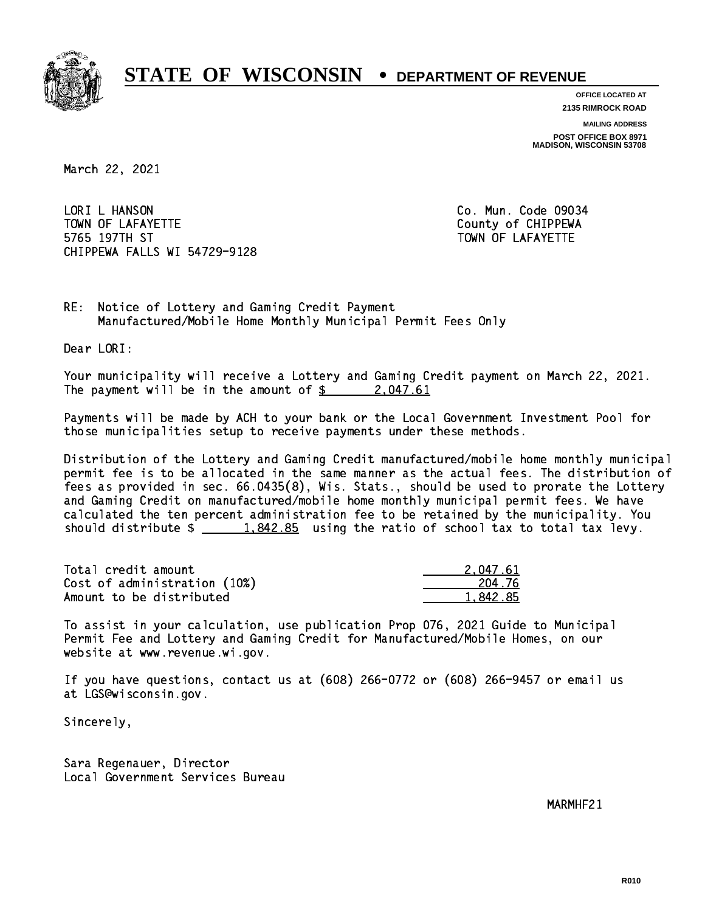

**OFFICE LOCATED AT**

**2135 RIMROCK ROAD**

**MAILING ADDRESS POST OFFICE BOX 8971 MADISON, WISCONSIN 53708**

March 22, 2021

LORI L HANSON TOWN OF LAFAYETTE TOWN OF LAFAYETTE 5765 197TH ST TOWN OF LAFAYETTE CHIPPEWA FALLS WI 54729-9128

Co. Mun. Code 09034

RE: Notice of Lottery and Gaming Credit Payment Manufactured/Mobile Home Monthly Municipal Permit Fees Only

Dear LORI:

 Your municipality will receive a Lottery and Gaming Credit payment on March 22, 2021. The payment will be in the amount of  $\frac{2.047.61}{2.047}$ 

 Payments will be made by ACH to your bank or the Local Government Investment Pool for those municipalities setup to receive payments under these methods.

 Distribution of the Lottery and Gaming Credit manufactured/mobile home monthly municipal permit fee is to be allocated in the same manner as the actual fees. The distribution of fees as provided in sec. 66.0435(8), Wis. Stats., should be used to prorate the Lottery and Gaming Credit on manufactured/mobile home monthly municipal permit fees. We have calculated the ten percent administration fee to be retained by the municipality. You should distribute  $\frac{1.842.85}{1.842.85}$  using the ratio of school tax to total tax levy.

| Total credit amount          | 2.047.61 |
|------------------------------|----------|
| Cost of administration (10%) | 204.76   |
| Amount to be distributed     | 1.842.85 |

 To assist in your calculation, use publication Prop 076, 2021 Guide to Municipal Permit Fee and Lottery and Gaming Credit for Manufactured/Mobile Homes, on our website at www.revenue.wi.gov.

 If you have questions, contact us at (608) 266-0772 or (608) 266-9457 or email us at LGS@wisconsin.gov.

Sincerely,

 Sara Regenauer, Director Local Government Services Bureau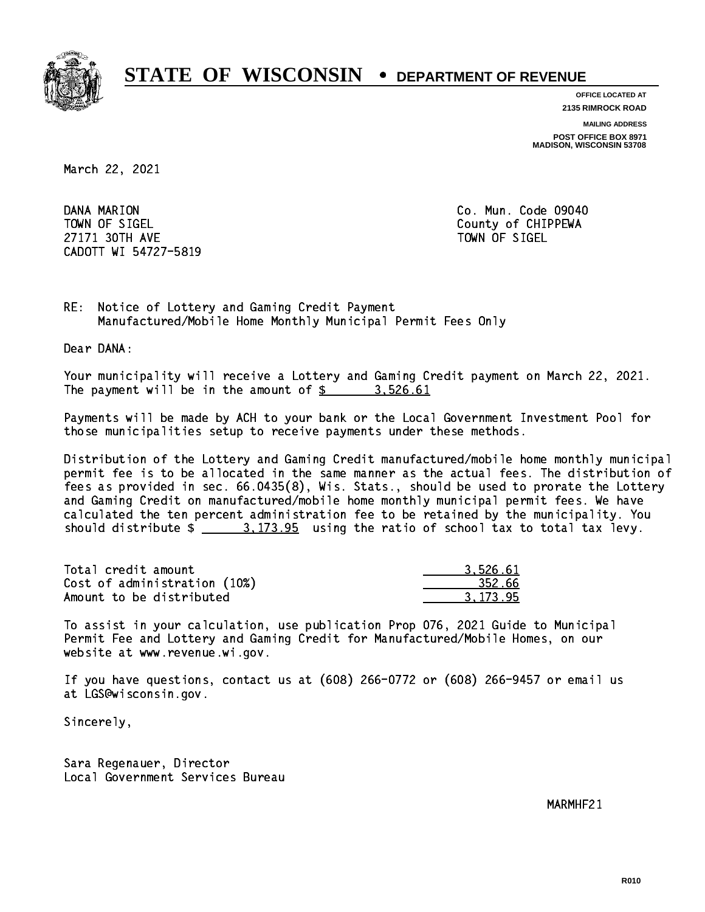

**OFFICE LOCATED AT**

**2135 RIMROCK ROAD**

**MAILING ADDRESS POST OFFICE BOX 8971 MADISON, WISCONSIN 53708**

March 22, 2021

DANA MARION TOWN OF SIGEL County of CHIPPEWA 27171 30TH AVE 27171 30TH AVE CADOTT WI 54727-5819

Co. Mun. Code 09040

RE: Notice of Lottery and Gaming Credit Payment Manufactured/Mobile Home Monthly Municipal Permit Fees Only

Dear DANA:

 Your municipality will receive a Lottery and Gaming Credit payment on March 22, 2021. The payment will be in the amount of \$ 3,526.61 \_\_\_\_\_\_\_\_\_\_\_\_\_\_\_\_

 Payments will be made by ACH to your bank or the Local Government Investment Pool for those municipalities setup to receive payments under these methods.

 Distribution of the Lottery and Gaming Credit manufactured/mobile home monthly municipal permit fee is to be allocated in the same manner as the actual fees. The distribution of fees as provided in sec. 66.0435(8), Wis. Stats., should be used to prorate the Lottery and Gaming Credit on manufactured/mobile home monthly municipal permit fees. We have calculated the ten percent administration fee to be retained by the municipality. You should distribute  $\frac{2}{1}$   $\frac{3.173.95}{2}$  using the ratio of school tax to total tax levy.

| Total credit amount          | 3.526.61 |
|------------------------------|----------|
| Cost of administration (10%) | -352.66  |
| Amount to be distributed     | 3.173.95 |

 To assist in your calculation, use publication Prop 076, 2021 Guide to Municipal Permit Fee and Lottery and Gaming Credit for Manufactured/Mobile Homes, on our website at www.revenue.wi.gov.

 If you have questions, contact us at (608) 266-0772 or (608) 266-9457 or email us at LGS@wisconsin.gov.

Sincerely,

 Sara Regenauer, Director Local Government Services Bureau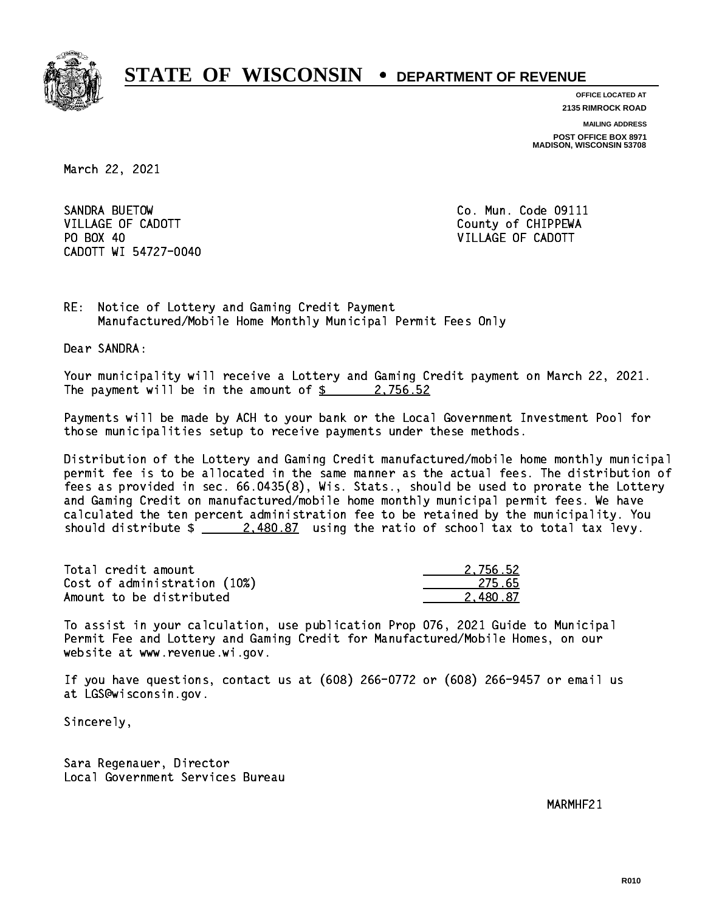

**OFFICE LOCATED AT**

**2135 RIMROCK ROAD**

**MAILING ADDRESS**

**POST OFFICE BOX 8971 MADISON, WISCONSIN 53708**

March 22, 2021

SANDRA BUETOW VILLAGE OF CADOTT COUNTY COUNTY COUNTY OF CHIPPEWA PO BOX 40 CADOTT WI 54727-0040

Co. Mun. Code 09111 VILLAGE OF CADOTT

RE: Notice of Lottery and Gaming Credit Payment Manufactured/Mobile Home Monthly Municipal Permit Fees Only

Dear SANDRA:

 Your municipality will receive a Lottery and Gaming Credit payment on March 22, 2021. The payment will be in the amount of  $\frac{2}{3}$  2,756.52

 Payments will be made by ACH to your bank or the Local Government Investment Pool for those municipalities setup to receive payments under these methods.

 Distribution of the Lottery and Gaming Credit manufactured/mobile home monthly municipal permit fee is to be allocated in the same manner as the actual fees. The distribution of fees as provided in sec. 66.0435(8), Wis. Stats., should be used to prorate the Lottery and Gaming Credit on manufactured/mobile home monthly municipal permit fees. We have calculated the ten percent administration fee to be retained by the municipality. You should distribute  $\frac{2.480.87}{2.480.87}$  using the ratio of school tax to total tax levy.

| Total credit amount          | 2.756.52 |
|------------------------------|----------|
| Cost of administration (10%) | 275.65   |
| Amount to be distributed     | 2.480.87 |

 To assist in your calculation, use publication Prop 076, 2021 Guide to Municipal Permit Fee and Lottery and Gaming Credit for Manufactured/Mobile Homes, on our website at www.revenue.wi.gov.

 If you have questions, contact us at (608) 266-0772 or (608) 266-9457 or email us at LGS@wisconsin.gov.

Sincerely,

 Sara Regenauer, Director Local Government Services Bureau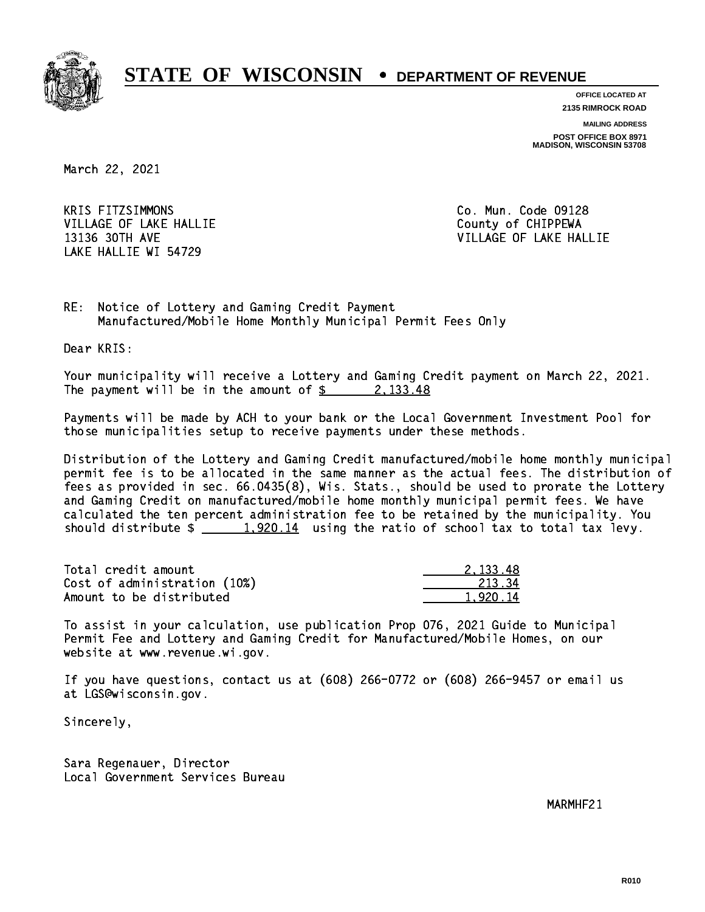

**OFFICE LOCATED AT**

**2135 RIMROCK ROAD**

**MAILING ADDRESS POST OFFICE BOX 8971 MADISON, WISCONSIN 53708**

March 22, 2021

**KRIS FITZSIMMONS** VILLAGE OF LAKE HALLIE COUNTY OF CHIPPEWA LAKE HALLIE WI 54729

Co. Mun. Code 09128 13136 30TH AVE VILLAGE OF LAKE HALLIE

RE: Notice of Lottery and Gaming Credit Payment Manufactured/Mobile Home Monthly Municipal Permit Fees Only

Dear KRIS:

 Your municipality will receive a Lottery and Gaming Credit payment on March 22, 2021. The payment will be in the amount of  $\frac{2}{3}$  2,133.48

 Payments will be made by ACH to your bank or the Local Government Investment Pool for those municipalities setup to receive payments under these methods.

 Distribution of the Lottery and Gaming Credit manufactured/mobile home monthly municipal permit fee is to be allocated in the same manner as the actual fees. The distribution of fees as provided in sec. 66.0435(8), Wis. Stats., should be used to prorate the Lottery and Gaming Credit on manufactured/mobile home monthly municipal permit fees. We have calculated the ten percent administration fee to be retained by the municipality. You should distribute  $\frac{1,920.14}{1,920.14}$  using the ratio of school tax to total tax levy.

| Total credit amount          | 2.133.48 |
|------------------------------|----------|
| Cost of administration (10%) | 213.34   |
| Amount to be distributed     | 1.920.14 |

 To assist in your calculation, use publication Prop 076, 2021 Guide to Municipal Permit Fee and Lottery and Gaming Credit for Manufactured/Mobile Homes, on our website at www.revenue.wi.gov.

 If you have questions, contact us at (608) 266-0772 or (608) 266-9457 or email us at LGS@wisconsin.gov.

Sincerely,

 Sara Regenauer, Director Local Government Services Bureau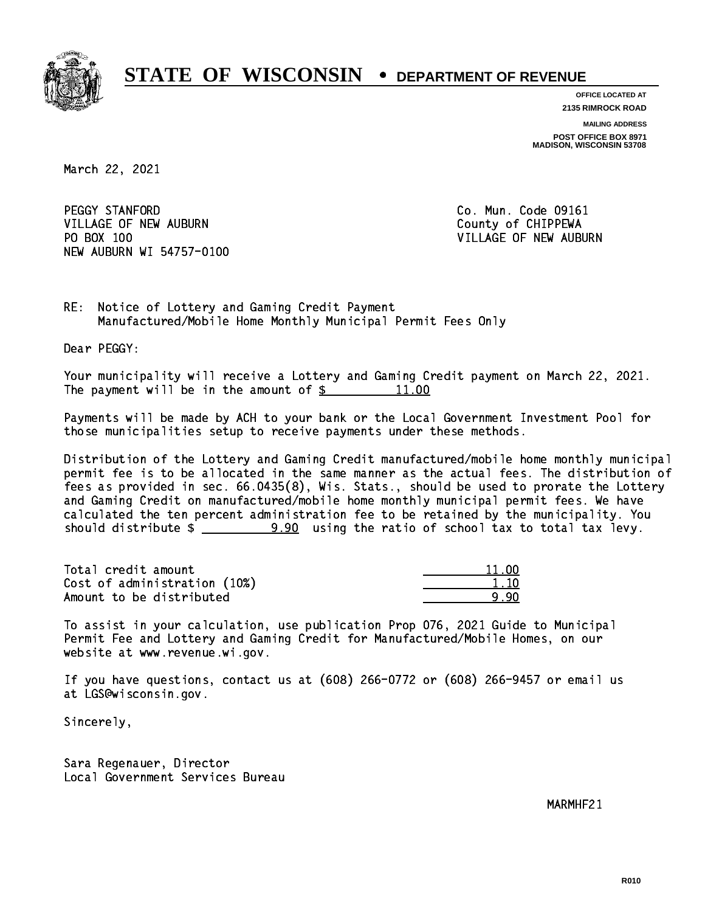

**OFFICE LOCATED AT**

**2135 RIMROCK ROAD**

**MAILING ADDRESS POST OFFICE BOX 8971 MADISON, WISCONSIN 53708**

March 22, 2021

PEGGY STANFORD VILLAGE OF NEW AUBURN COUNTY OF CHIPPEWA PO BOX 100 NEW AUBURN WI 54757-0100

Co. Mun. Code 09161 VILLAGE OF NEW AUBURN

RE: Notice of Lottery and Gaming Credit Payment Manufactured/Mobile Home Monthly Municipal Permit Fees Only

Dear PEGGY:

 Your municipality will receive a Lottery and Gaming Credit payment on March 22, 2021. The payment will be in the amount of  $\frac{2}{3}$ 11.00

 Payments will be made by ACH to your bank or the Local Government Investment Pool for those municipalities setup to receive payments under these methods.

 Distribution of the Lottery and Gaming Credit manufactured/mobile home monthly municipal permit fee is to be allocated in the same manner as the actual fees. The distribution of fees as provided in sec. 66.0435(8), Wis. Stats., should be used to prorate the Lottery and Gaming Credit on manufactured/mobile home monthly municipal permit fees. We have calculated the ten percent administration fee to be retained by the municipality. You should distribute  $\frac{2}{2}$   $\frac{9.90}{2}$  using the ratio of school tax to total tax levy.

Total credit amount Cost of administration (10%) Amount to be distributed

|  |  | ាក |  |
|--|--|----|--|
|  |  |    |  |
|  |  |    |  |

 To assist in your calculation, use publication Prop 076, 2021 Guide to Municipal Permit Fee and Lottery and Gaming Credit for Manufactured/Mobile Homes, on our website at www.revenue.wi.gov.

 If you have questions, contact us at (608) 266-0772 or (608) 266-9457 or email us at LGS@wisconsin.gov.

Sincerely,

 Sara Regenauer, Director Local Government Services Bureau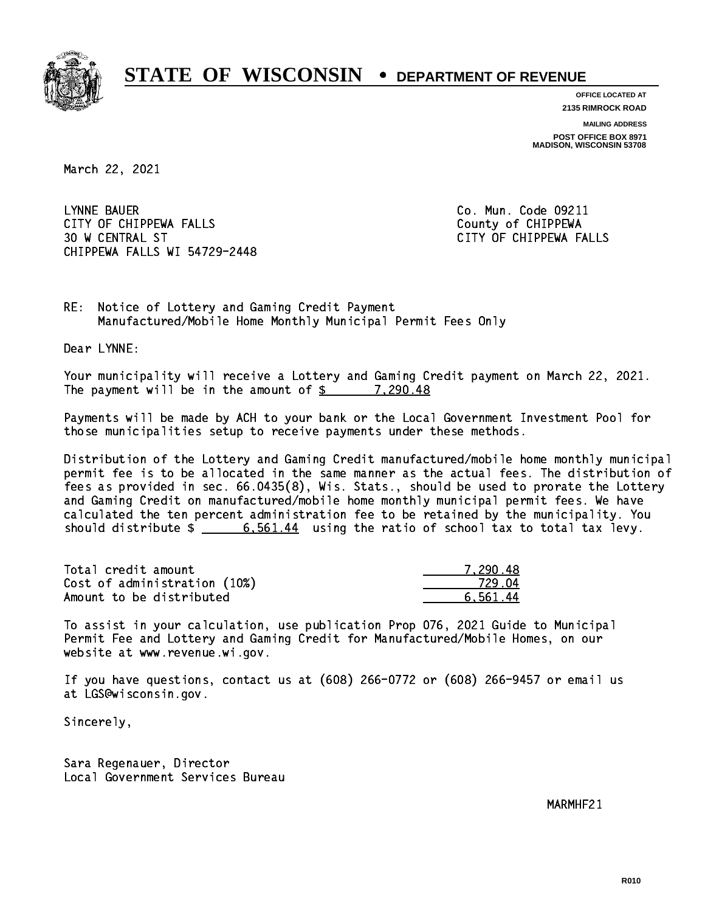

**OFFICE LOCATED AT**

**2135 RIMROCK ROAD**

**MAILING ADDRESS POST OFFICE BOX 8971 MADISON, WISCONSIN 53708**

March 22, 2021

 LYNNE BAUER Co. Mun. Code 09211 CITY OF CHIPPEWA FALLS COUNTY OF CHIPPEWA 30 W CENTRAL ST CITY OF CHIPPEWA FALLS CHIPPEWA FALLS WI 54729-2448

RE: Notice of Lottery and Gaming Credit Payment Manufactured/Mobile Home Monthly Municipal Permit Fees Only

Dear LYNNE:

 Your municipality will receive a Lottery and Gaming Credit payment on March 22, 2021. The payment will be in the amount of  $\frac{2}{3}$  7,290.48

 Payments will be made by ACH to your bank or the Local Government Investment Pool for those municipalities setup to receive payments under these methods.

 Distribution of the Lottery and Gaming Credit manufactured/mobile home monthly municipal permit fee is to be allocated in the same manner as the actual fees. The distribution of fees as provided in sec. 66.0435(8), Wis. Stats., should be used to prorate the Lottery and Gaming Credit on manufactured/mobile home monthly municipal permit fees. We have calculated the ten percent administration fee to be retained by the municipality. You should distribute  $\frac{2}{3}$   $\frac{6,561.44}{2}$  using the ratio of school tax to total tax levy.

| Total credit amount          | 7.290.48 |
|------------------------------|----------|
| Cost of administration (10%) | 729 N4   |
| Amount to be distributed     | 6.561.44 |

 To assist in your calculation, use publication Prop 076, 2021 Guide to Municipal Permit Fee and Lottery and Gaming Credit for Manufactured/Mobile Homes, on our website at www.revenue.wi.gov.

 If you have questions, contact us at (608) 266-0772 or (608) 266-9457 or email us at LGS@wisconsin.gov.

Sincerely,

 Sara Regenauer, Director Local Government Services Bureau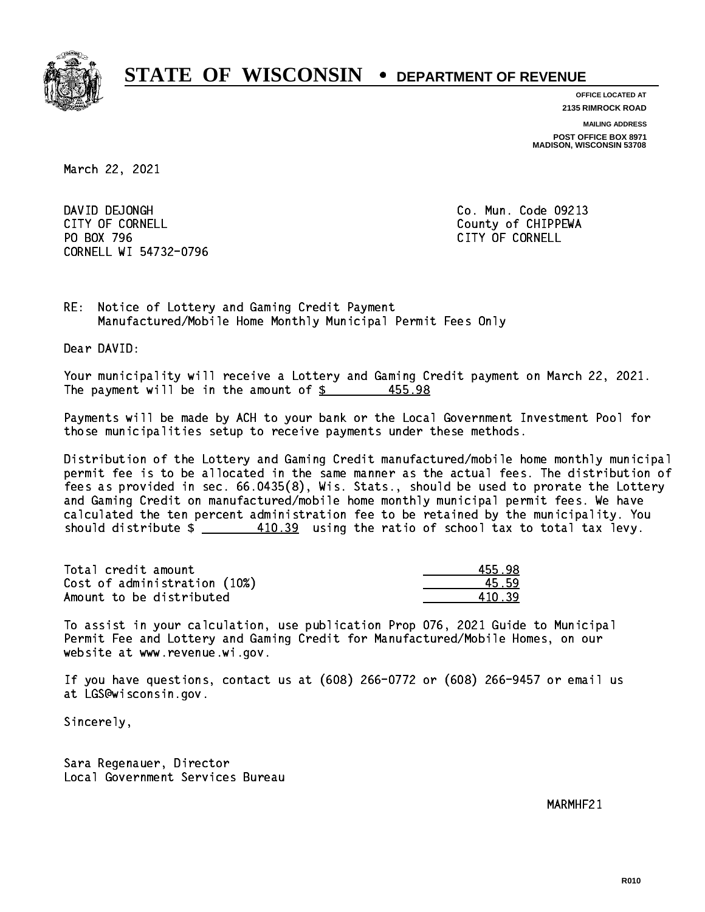

**OFFICE LOCATED AT**

**2135 RIMROCK ROAD**

**MAILING ADDRESS**

**POST OFFICE BOX 8971 MADISON, WISCONSIN 53708**

March 22, 2021

DAVID DEJONGH CITY OF CORNELL CITY OF COUNTLE COUNTRY OF CHIPPEWA PO BOX 796 CITY OF CORNELL CORNELL WI 54732-0796

Co. Mun. Code 09213

RE: Notice of Lottery and Gaming Credit Payment Manufactured/Mobile Home Monthly Municipal Permit Fees Only

Dear DAVID:

 Your municipality will receive a Lottery and Gaming Credit payment on March 22, 2021. The payment will be in the amount of  $$$ 455.98

 Payments will be made by ACH to your bank or the Local Government Investment Pool for those municipalities setup to receive payments under these methods.

 Distribution of the Lottery and Gaming Credit manufactured/mobile home monthly municipal permit fee is to be allocated in the same manner as the actual fees. The distribution of fees as provided in sec. 66.0435(8), Wis. Stats., should be used to prorate the Lottery and Gaming Credit on manufactured/mobile home monthly municipal permit fees. We have calculated the ten percent administration fee to be retained by the municipality. You should distribute  $\frac{410.39}{2}$  using the ratio of school tax to total tax levy.

Total credit amount Cost of administration (10%) Amount to be distributed

| 155 98 |
|--------|
| 5.59   |
| N 39   |

 To assist in your calculation, use publication Prop 076, 2021 Guide to Municipal Permit Fee and Lottery and Gaming Credit for Manufactured/Mobile Homes, on our website at www.revenue.wi.gov.

 If you have questions, contact us at (608) 266-0772 or (608) 266-9457 or email us at LGS@wisconsin.gov.

Sincerely,

 Sara Regenauer, Director Local Government Services Bureau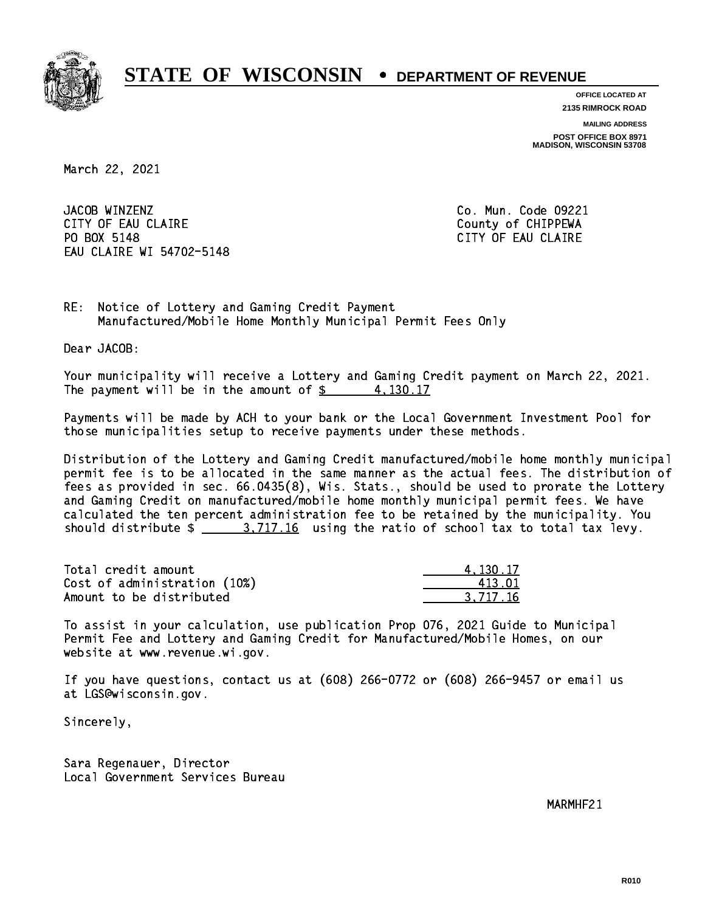

**OFFICE LOCATED AT**

**2135 RIMROCK ROAD**

**MAILING ADDRESS**

**POST OFFICE BOX 8971 MADISON, WISCONSIN 53708**

March 22, 2021

JACOB WINZENZ CITY OF EAU CLAIRE **COUNTY COUNTY OF CHIPPEWA** PO BOX 5148 EAU CLAIRE WI 54702-5148

Co. Mun. Code 09221 CITY OF EAU CLAIRE

RE: Notice of Lottery and Gaming Credit Payment Manufactured/Mobile Home Monthly Municipal Permit Fees Only

Dear JACOB:

 Your municipality will receive a Lottery and Gaming Credit payment on March 22, 2021. The payment will be in the amount of  $\frac{2}{3}$  4,130.17

 Payments will be made by ACH to your bank or the Local Government Investment Pool for those municipalities setup to receive payments under these methods.

 Distribution of the Lottery and Gaming Credit manufactured/mobile home monthly municipal permit fee is to be allocated in the same manner as the actual fees. The distribution of fees as provided in sec. 66.0435(8), Wis. Stats., should be used to prorate the Lottery and Gaming Credit on manufactured/mobile home monthly municipal permit fees. We have calculated the ten percent administration fee to be retained by the municipality. You should distribute  $\frac{2}{1}$   $\frac{3.717.16}{10}$  using the ratio of school tax to total tax levy.

| Total credit amount          | 4.130.17 |
|------------------------------|----------|
| Cost of administration (10%) | 413.01   |
| Amount to be distributed     | 3.717.16 |

 To assist in your calculation, use publication Prop 076, 2021 Guide to Municipal Permit Fee and Lottery and Gaming Credit for Manufactured/Mobile Homes, on our website at www.revenue.wi.gov.

 If you have questions, contact us at (608) 266-0772 or (608) 266-9457 or email us at LGS@wisconsin.gov.

Sincerely,

 Sara Regenauer, Director Local Government Services Bureau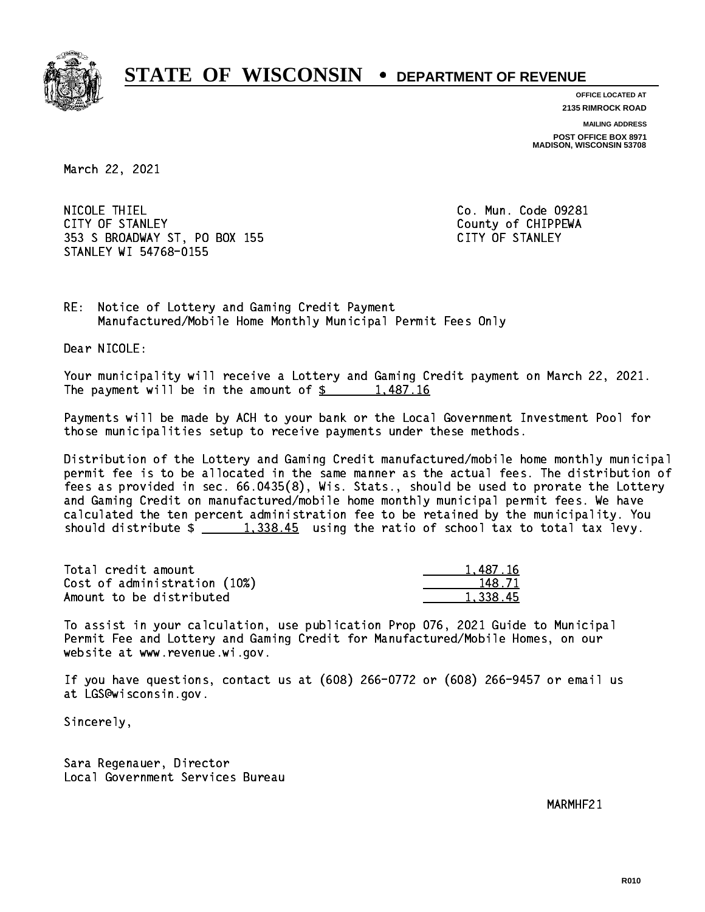

**OFFICE LOCATED AT**

**2135 RIMROCK ROAD**

**MAILING ADDRESS**

**POST OFFICE BOX 8971 MADISON, WISCONSIN 53708**

March 22, 2021

 NICOLE THIEL Co. Mun. Code 09281 CITY OF STANLEY **COUNTY COUNTY COUNTY OF CHIPPEWA**  353 S BROADWAY ST, PO BOX 155 CITY OF STANLEY STANLEY WI 54768-0155

RE: Notice of Lottery and Gaming Credit Payment Manufactured/Mobile Home Monthly Municipal Permit Fees Only

Dear NICOLE:

 Your municipality will receive a Lottery and Gaming Credit payment on March 22, 2021. The payment will be in the amount of  $\frac{2}{3}$  1,487.16

 Payments will be made by ACH to your bank or the Local Government Investment Pool for those municipalities setup to receive payments under these methods.

 Distribution of the Lottery and Gaming Credit manufactured/mobile home monthly municipal permit fee is to be allocated in the same manner as the actual fees. The distribution of fees as provided in sec. 66.0435(8), Wis. Stats., should be used to prorate the Lottery and Gaming Credit on manufactured/mobile home monthly municipal permit fees. We have calculated the ten percent administration fee to be retained by the municipality. You should distribute  $\frac{1,338.45}{1,338.45}$  using the ratio of school tax to total tax levy.

| Total credit amount          | 1,487.16 |
|------------------------------|----------|
| Cost of administration (10%) | 148.71   |
| Amount to be distributed     | 1,338.45 |

 To assist in your calculation, use publication Prop 076, 2021 Guide to Municipal Permit Fee and Lottery and Gaming Credit for Manufactured/Mobile Homes, on our website at www.revenue.wi.gov.

 If you have questions, contact us at (608) 266-0772 or (608) 266-9457 or email us at LGS@wisconsin.gov.

Sincerely,

 Sara Regenauer, Director Local Government Services Bureau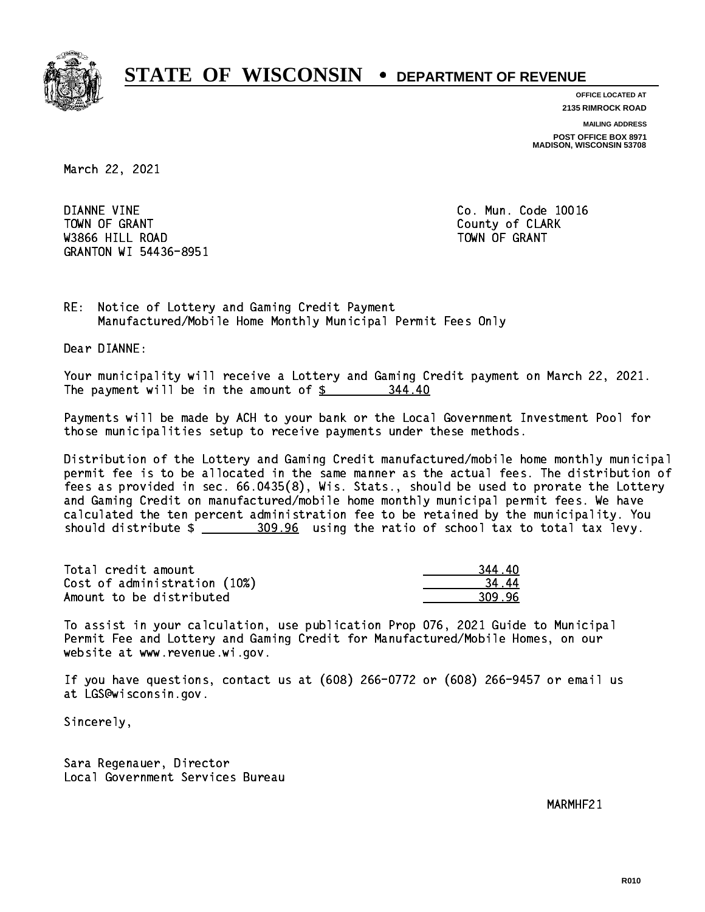

**OFFICE LOCATED AT 2135 RIMROCK ROAD**

**MAILING ADDRESS**

**POST OFFICE BOX 8971 MADISON, WISCONSIN 53708**

March 22, 2021

 DIANNE VINE Co. Mun. Code 10016 Town of Grant County of Clark County of Clark County of Clark County of Clark County of Clark County of Clark was a contract of the contract of the contract of the contract of the contract of the contract of the contract of the contract of the contract of the contract of the contract of the contract of the contract of the contract GRANTON WI 54436-8951

RE: Notice of Lottery and Gaming Credit Payment Manufactured/Mobile Home Monthly Municipal Permit Fees Only

Dear DIANNE:

 Your municipality will receive a Lottery and Gaming Credit payment on March 22, 2021. The payment will be in the amount of \$ 344.40 \_\_\_\_\_\_\_\_\_\_\_\_\_\_\_\_

 Payments will be made by ACH to your bank or the Local Government Investment Pool for those municipalities setup to receive payments under these methods.

 Distribution of the Lottery and Gaming Credit manufactured/mobile home monthly municipal permit fee is to be allocated in the same manner as the actual fees. The distribution of fees as provided in sec. 66.0435(8), Wis. Stats., should be used to prorate the Lottery and Gaming Credit on manufactured/mobile home monthly municipal permit fees. We have calculated the ten percent administration fee to be retained by the municipality. You should distribute  $\frac{209.96}{209.96}$  using the ratio of school tax to total tax levy.

| Total credit amount          | 344.40 |
|------------------------------|--------|
| Cost of administration (10%) | 3444   |
| Amount to be distributed     | 309.96 |

 To assist in your calculation, use publication Prop 076, 2021 Guide to Municipal Permit Fee and Lottery and Gaming Credit for Manufactured/Mobile Homes, on our website at www.revenue.wi.gov.

 If you have questions, contact us at (608) 266-0772 or (608) 266-9457 or email us at LGS@wisconsin.gov.

Sincerely,

 Sara Regenauer, Director Local Government Services Bureau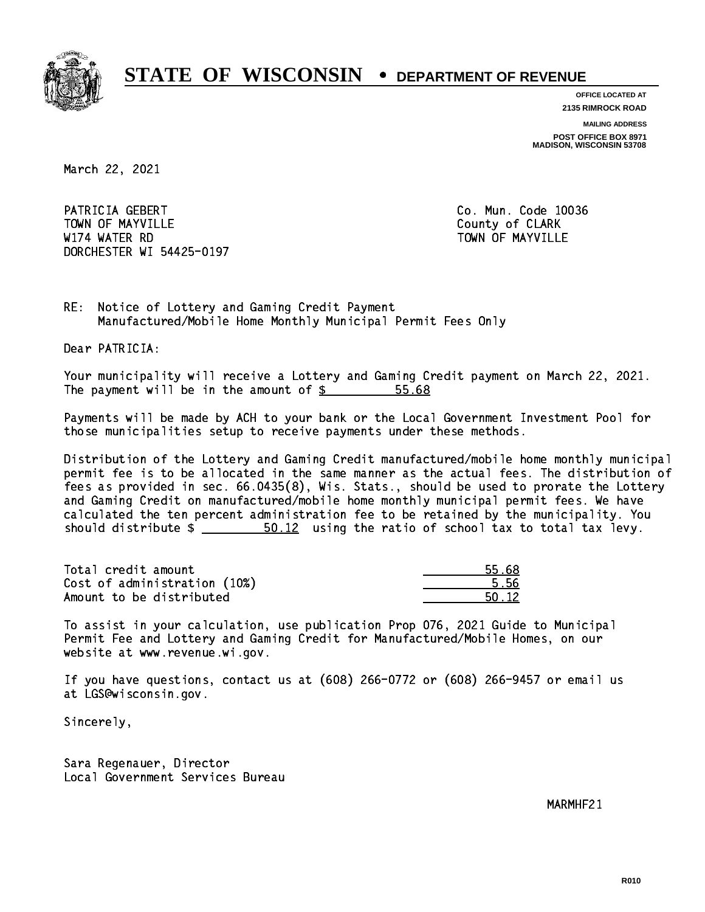

**OFFICE LOCATED AT 2135 RIMROCK ROAD**

**MAILING ADDRESS**

**POST OFFICE BOX 8971 MADISON, WISCONSIN 53708**

March 22, 2021

PATRICIA GEBERT CO. Mun. Code 10036 Town of May 1988, and the County of Clark of Clark of Clark of Clark of Clark of Clark of Clark of Clark of Cl W174 WATER RD TOWN OF MAYVILLE DORCHESTER WI 54425-0197

RE: Notice of Lottery and Gaming Credit Payment Manufactured/Mobile Home Monthly Municipal Permit Fees Only

Dear PATRICIA:

 Your municipality will receive a Lottery and Gaming Credit payment on March 22, 2021. The payment will be in the amount of  $\frac{25}{5}$ 55.68

 Payments will be made by ACH to your bank or the Local Government Investment Pool for those municipalities setup to receive payments under these methods.

 Distribution of the Lottery and Gaming Credit manufactured/mobile home monthly municipal permit fee is to be allocated in the same manner as the actual fees. The distribution of fees as provided in sec. 66.0435(8), Wis. Stats., should be used to prorate the Lottery and Gaming Credit on manufactured/mobile home monthly municipal permit fees. We have calculated the ten percent administration fee to be retained by the municipality. You should distribute  $\frac{2}{1}$   $\frac{50.12}{1}$  using the ratio of school tax to total tax levy.

Total credit amount Cost of administration (10%) Amount to be distributed

| Ń∕. |
|-----|
| S.  |
| -12 |

 To assist in your calculation, use publication Prop 076, 2021 Guide to Municipal Permit Fee and Lottery and Gaming Credit for Manufactured/Mobile Homes, on our website at www.revenue.wi.gov.

 If you have questions, contact us at (608) 266-0772 or (608) 266-9457 or email us at LGS@wisconsin.gov.

Sincerely,

 Sara Regenauer, Director Local Government Services Bureau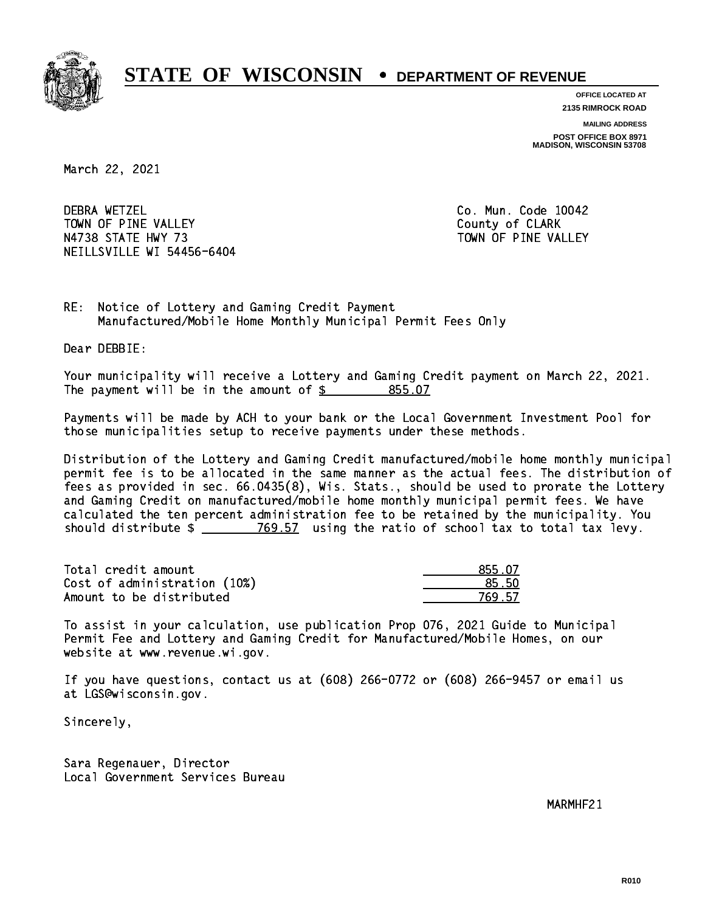

**OFFICE LOCATED AT 2135 RIMROCK ROAD**

**MAILING ADDRESS**

**POST OFFICE BOX 8971 MADISON, WISCONSIN 53708**

March 22, 2021

**DEBRA WETZEL** TOWN OF PINE VALLEY **COUNTY COULD A TOWAL COULD A COULD A** COUNTY OF CLARK N4738 STATE HWY 73 TOWN OF PINE VALLEY NEILLSVILLE WI 54456-6404

Co. Mun. Code 10042

RE: Notice of Lottery and Gaming Credit Payment Manufactured/Mobile Home Monthly Municipal Permit Fees Only

Dear DEBBIE:

 Your municipality will receive a Lottery and Gaming Credit payment on March 22, 2021. The payment will be in the amount of \$ 855.07 \_\_\_\_\_\_\_\_\_\_\_\_\_\_\_\_

 Payments will be made by ACH to your bank or the Local Government Investment Pool for those municipalities setup to receive payments under these methods.

 Distribution of the Lottery and Gaming Credit manufactured/mobile home monthly municipal permit fee is to be allocated in the same manner as the actual fees. The distribution of fees as provided in sec. 66.0435(8), Wis. Stats., should be used to prorate the Lottery and Gaming Credit on manufactured/mobile home monthly municipal permit fees. We have calculated the ten percent administration fee to be retained by the municipality. You should distribute  $\frac{2}{2}$   $\frac{769.57}{2}$  using the ratio of school tax to total tax levy.

| Total credit amount          | 855.07 |
|------------------------------|--------|
| Cost of administration (10%) | 85.50  |
| Amount to be distributed     | 769 57 |

 To assist in your calculation, use publication Prop 076, 2021 Guide to Municipal Permit Fee and Lottery and Gaming Credit for Manufactured/Mobile Homes, on our website at www.revenue.wi.gov.

 If you have questions, contact us at (608) 266-0772 or (608) 266-9457 or email us at LGS@wisconsin.gov.

Sincerely,

 Sara Regenauer, Director Local Government Services Bureau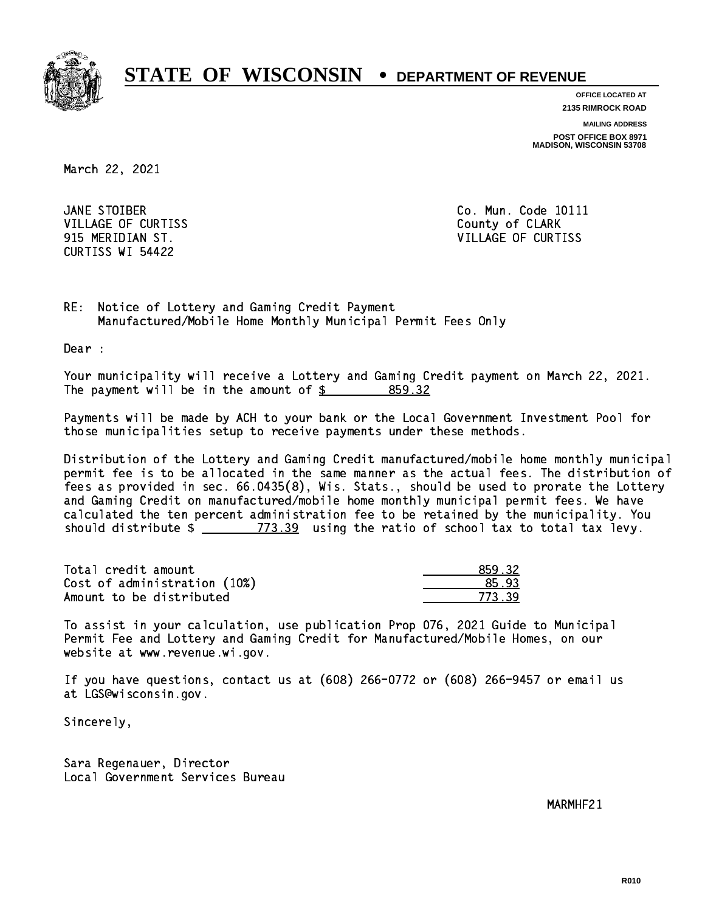

**OFFICE LOCATED AT 2135 RIMROCK ROAD**

**MAILING ADDRESS POST OFFICE BOX 8971 MADISON, WISCONSIN 53708**

March 22, 2021

JANE STOIBER VILLAGE OF CURTISS **County of CLARK** CURTISS WI 54422

Co. Mun. Code 10111 915 MERIDIAN ST. VILLAGE OF CURTISS

RE: Notice of Lottery and Gaming Credit Payment Manufactured/Mobile Home Monthly Municipal Permit Fees Only

Dear :

 Your municipality will receive a Lottery and Gaming Credit payment on March 22, 2021. The payment will be in the amount of \$ 859.32 \_\_\_\_\_\_\_\_\_\_\_\_\_\_\_\_

 Payments will be made by ACH to your bank or the Local Government Investment Pool for those municipalities setup to receive payments under these methods.

 Distribution of the Lottery and Gaming Credit manufactured/mobile home monthly municipal permit fee is to be allocated in the same manner as the actual fees. The distribution of fees as provided in sec. 66.0435(8), Wis. Stats., should be used to prorate the Lottery and Gaming Credit on manufactured/mobile home monthly municipal permit fees. We have calculated the ten percent administration fee to be retained by the municipality. You should distribute  $\frac{2}{2}$   $\frac{773.39}{2}$  using the ratio of school tax to total tax levy.

| Total credit amount          | 859.32 |
|------------------------------|--------|
| Cost of administration (10%) | 85.93  |
| Amount to be distributed     | 773.39 |

 To assist in your calculation, use publication Prop 076, 2021 Guide to Municipal Permit Fee and Lottery and Gaming Credit for Manufactured/Mobile Homes, on our website at www.revenue.wi.gov.

 If you have questions, contact us at (608) 266-0772 or (608) 266-9457 or email us at LGS@wisconsin.gov.

Sincerely,

 Sara Regenauer, Director Local Government Services Bureau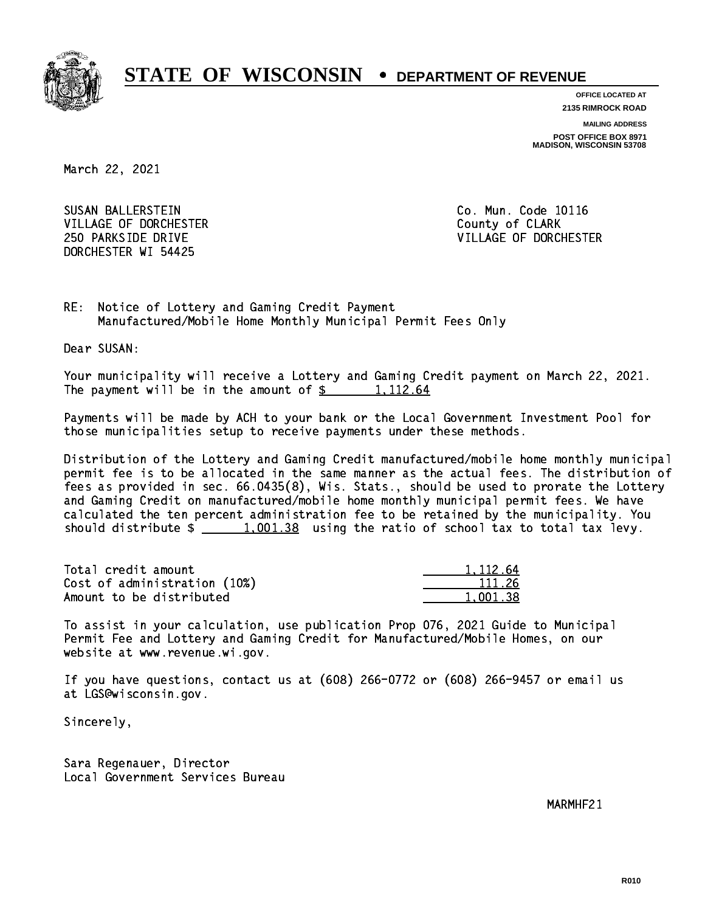

**OFFICE LOCATED AT**

**2135 RIMROCK ROAD**

**MAILING ADDRESS POST OFFICE BOX 8971 MADISON, WISCONSIN 53708**

March 22, 2021

 SUSAN BALLERSTEIN Co. Mun. Code 10116 VILLAGE OF DORCHESTER **COULD ACCEPT OF CLARK** DORCHESTER WI 54425

250 PARKSIDE DRIVE VILLAGE OF DORCHESTER

RE: Notice of Lottery and Gaming Credit Payment Manufactured/Mobile Home Monthly Municipal Permit Fees Only

Dear SUSAN:

 Your municipality will receive a Lottery and Gaming Credit payment on March 22, 2021. The payment will be in the amount of  $\frac{2}{3}$  1,112.64

 Payments will be made by ACH to your bank or the Local Government Investment Pool for those municipalities setup to receive payments under these methods.

 Distribution of the Lottery and Gaming Credit manufactured/mobile home monthly municipal permit fee is to be allocated in the same manner as the actual fees. The distribution of fees as provided in sec. 66.0435(8), Wis. Stats., should be used to prorate the Lottery and Gaming Credit on manufactured/mobile home monthly municipal permit fees. We have calculated the ten percent administration fee to be retained by the municipality. You should distribute  $\frac{1,001.38}{1}$  using the ratio of school tax to total tax levy.

Total credit amount Cost of administration (10%) Amount to be distributed

| 112.64 |
|--------|
| 111 26 |
| 138    |

 To assist in your calculation, use publication Prop 076, 2021 Guide to Municipal Permit Fee and Lottery and Gaming Credit for Manufactured/Mobile Homes, on our website at www.revenue.wi.gov.

 If you have questions, contact us at (608) 266-0772 or (608) 266-9457 or email us at LGS@wisconsin.gov.

Sincerely,

 Sara Regenauer, Director Local Government Services Bureau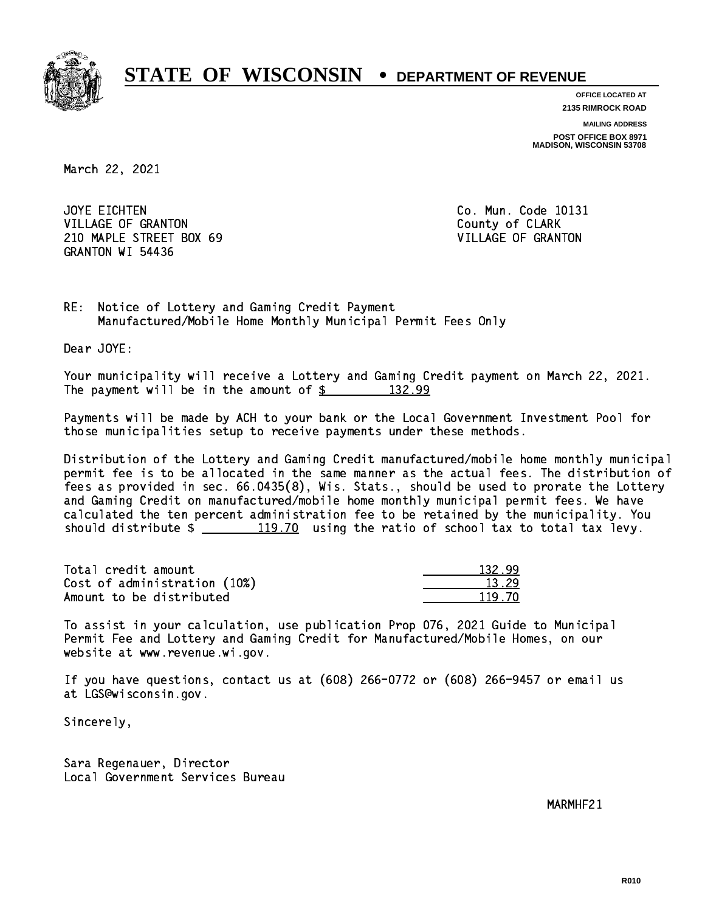

**OFFICE LOCATED AT 2135 RIMROCK ROAD**

**MAILING ADDRESS**

**POST OFFICE BOX 8971 MADISON, WISCONSIN 53708**

March 22, 2021

JOYE EICHTEN VILLAGE OF GRANTON COUNTY OF CLARK 210 MAPLE STREET BOX 69 VILLAGE OF GRANTON GRANTON WI 54436

Co. Mun. Code 10131

RE: Notice of Lottery and Gaming Credit Payment Manufactured/Mobile Home Monthly Municipal Permit Fees Only

Dear JOYE:

 Your municipality will receive a Lottery and Gaming Credit payment on March 22, 2021. The payment will be in the amount of  $\frac{2}{3}$  132.99

 Payments will be made by ACH to your bank or the Local Government Investment Pool for those municipalities setup to receive payments under these methods.

 Distribution of the Lottery and Gaming Credit manufactured/mobile home monthly municipal permit fee is to be allocated in the same manner as the actual fees. The distribution of fees as provided in sec. 66.0435(8), Wis. Stats., should be used to prorate the Lottery and Gaming Credit on manufactured/mobile home monthly municipal permit fees. We have calculated the ten percent administration fee to be retained by the municipality. You should distribute  $\frac{119.70}{19.70}$  using the ratio of school tax to total tax levy.

Total credit amount Cost of administration (10%) Amount to be distributed

| $132 -$    |
|------------|
| 3.29       |
| 1 L<br>-70 |

 To assist in your calculation, use publication Prop 076, 2021 Guide to Municipal Permit Fee and Lottery and Gaming Credit for Manufactured/Mobile Homes, on our website at www.revenue.wi.gov.

 If you have questions, contact us at (608) 266-0772 or (608) 266-9457 or email us at LGS@wisconsin.gov.

Sincerely,

 Sara Regenauer, Director Local Government Services Bureau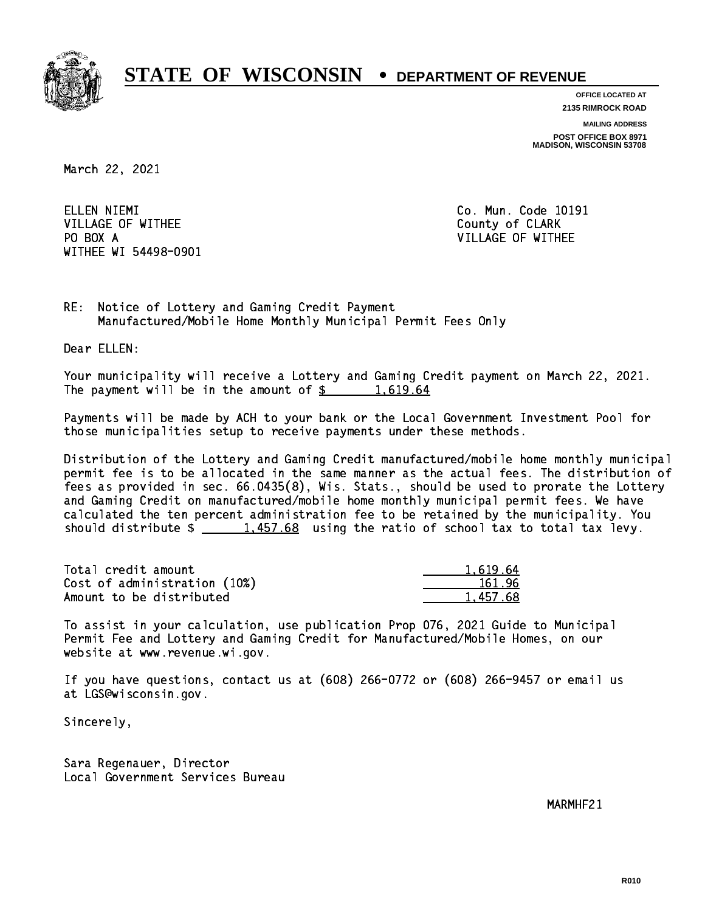

**OFFICE LOCATED AT 2135 RIMROCK ROAD**

**MAILING ADDRESS**

**POST OFFICE BOX 8971 MADISON, WISCONSIN 53708**

March 22, 2021

ELLEN NIEMI VILLAGE OF WITHEE **COUNTY OF SEARCH COULD A** COUNTY OF CLARK PO BOX A WITHEE WI 54498-0901

Co. Mun. Code 10191 VILLAGE OF WITHEE

RE: Notice of Lottery and Gaming Credit Payment Manufactured/Mobile Home Monthly Municipal Permit Fees Only

Dear ELLEN:

 Your municipality will receive a Lottery and Gaming Credit payment on March 22, 2021. The payment will be in the amount of  $\frac{2}{3}$  1,619.64

 Payments will be made by ACH to your bank or the Local Government Investment Pool for those municipalities setup to receive payments under these methods.

 Distribution of the Lottery and Gaming Credit manufactured/mobile home monthly municipal permit fee is to be allocated in the same manner as the actual fees. The distribution of fees as provided in sec. 66.0435(8), Wis. Stats., should be used to prorate the Lottery and Gaming Credit on manufactured/mobile home monthly municipal permit fees. We have calculated the ten percent administration fee to be retained by the municipality. You should distribute  $\frac{1.457.68}{1.457.68}$  using the ratio of school tax to total tax levy.

| Total credit amount          | 1.619.64 |
|------------------------------|----------|
| Cost of administration (10%) | 161.96   |
| Amount to be distributed     | 1.457.68 |

 To assist in your calculation, use publication Prop 076, 2021 Guide to Municipal Permit Fee and Lottery and Gaming Credit for Manufactured/Mobile Homes, on our website at www.revenue.wi.gov.

 If you have questions, contact us at (608) 266-0772 or (608) 266-9457 or email us at LGS@wisconsin.gov.

Sincerely,

 Sara Regenauer, Director Local Government Services Bureau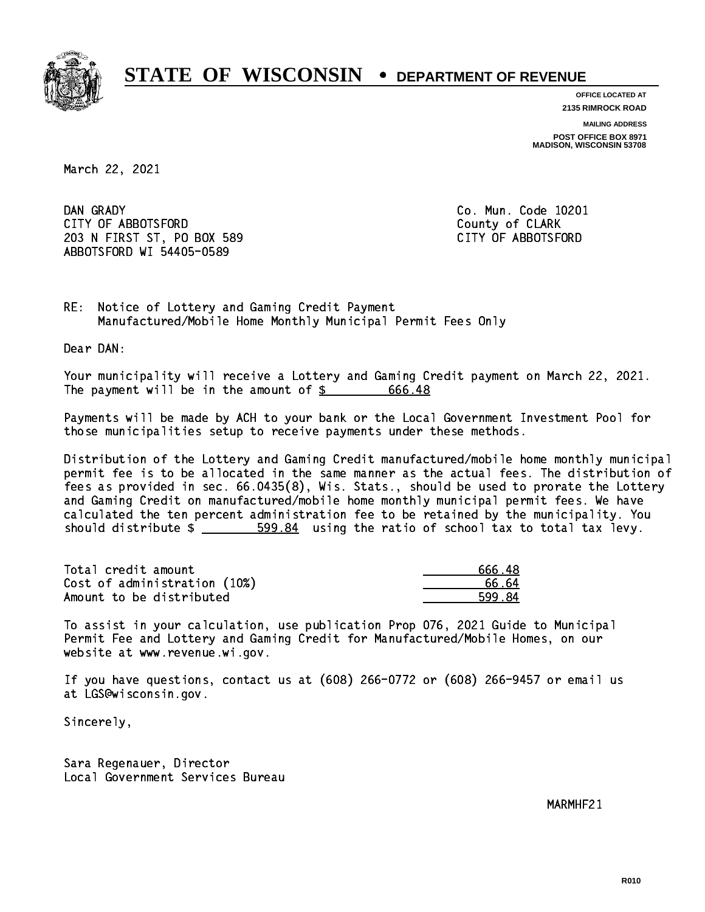

**OFFICE LOCATED AT 2135 RIMROCK ROAD**

**MAILING ADDRESS**

**POST OFFICE BOX 8971 MADISON, WISCONSIN 53708**

March 22, 2021

DAN GRADY CITY OF ABBOTSFORD County of CLARK 203 N FIRST ST, PO BOX 589 CITY OF ABBOTSFORD ABBOTSFORD WI 54405-0589

Co. Mun. Code 10201

RE: Notice of Lottery and Gaming Credit Payment Manufactured/Mobile Home Monthly Municipal Permit Fees Only

Dear DAN:

 Your municipality will receive a Lottery and Gaming Credit payment on March 22, 2021. The payment will be in the amount of \$ 666.48 \_\_\_\_\_\_\_\_\_\_\_\_\_\_\_\_

 Payments will be made by ACH to your bank or the Local Government Investment Pool for those municipalities setup to receive payments under these methods.

 Distribution of the Lottery and Gaming Credit manufactured/mobile home monthly municipal permit fee is to be allocated in the same manner as the actual fees. The distribution of fees as provided in sec. 66.0435(8), Wis. Stats., should be used to prorate the Lottery and Gaming Credit on manufactured/mobile home monthly municipal permit fees. We have calculated the ten percent administration fee to be retained by the municipality. You should distribute  $\frac{2}{1}$   $\frac{599.84}{2}$  using the ratio of school tax to total tax levy.

| Total credit amount          | 666.48 |
|------------------------------|--------|
| Cost of administration (10%) | .66 64 |
| Amount to be distributed     | 599.84 |

 To assist in your calculation, use publication Prop 076, 2021 Guide to Municipal Permit Fee and Lottery and Gaming Credit for Manufactured/Mobile Homes, on our website at www.revenue.wi.gov.

 If you have questions, contact us at (608) 266-0772 or (608) 266-9457 or email us at LGS@wisconsin.gov.

Sincerely,

 Sara Regenauer, Director Local Government Services Bureau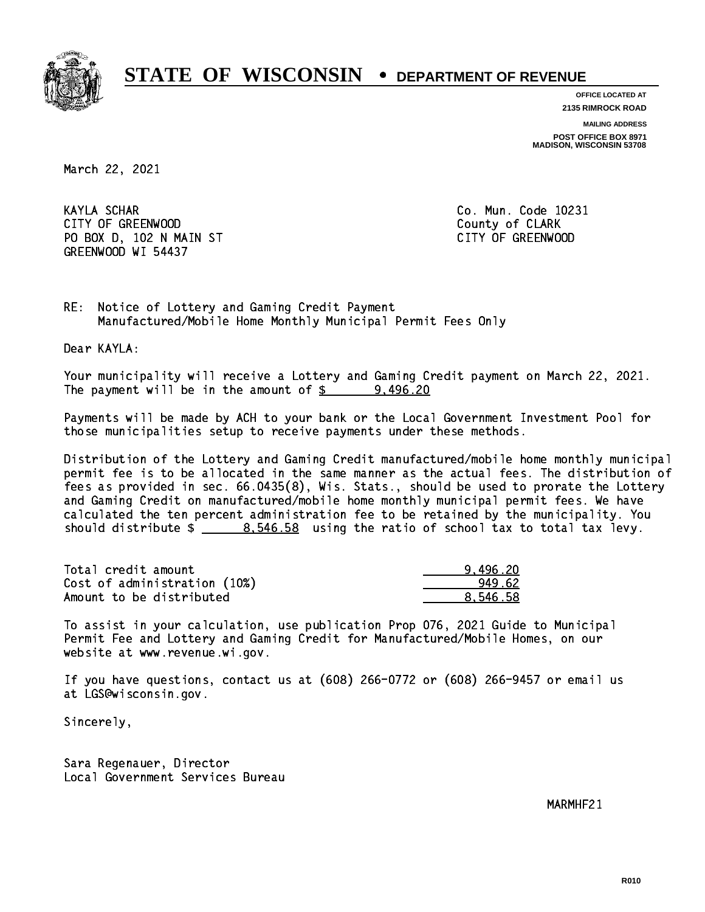

**OFFICE LOCATED AT 2135 RIMROCK ROAD**

**MAILING ADDRESS**

**POST OFFICE BOX 8971 MADISON, WISCONSIN 53708**

March 22, 2021

**KAYLA SCHAR** CITY OF GREENWOOD COUNTY OF GREENWOOD PO BOX D, 102 N MAIN ST CITY OF GREENWOOD GREENWOOD WI 54437

Co. Mun. Code 10231

RE: Notice of Lottery and Gaming Credit Payment Manufactured/Mobile Home Monthly Municipal Permit Fees Only

Dear KAYLA:

 Your municipality will receive a Lottery and Gaming Credit payment on March 22, 2021. The payment will be in the amount of  $\frac{2}{3}$  9,496.20

 Payments will be made by ACH to your bank or the Local Government Investment Pool for those municipalities setup to receive payments under these methods.

 Distribution of the Lottery and Gaming Credit manufactured/mobile home monthly municipal permit fee is to be allocated in the same manner as the actual fees. The distribution of fees as provided in sec. 66.0435(8), Wis. Stats., should be used to prorate the Lottery and Gaming Credit on manufactured/mobile home monthly municipal permit fees. We have calculated the ten percent administration fee to be retained by the municipality. You should distribute  $\frac{2}{1}$   $\frac{8.546.58}{2}$  using the ratio of school tax to total tax levy.

| Total credit amount          | 9.496.20 |
|------------------------------|----------|
| Cost of administration (10%) | 949.62   |
| Amount to be distributed     | 8.546.58 |

 To assist in your calculation, use publication Prop 076, 2021 Guide to Municipal Permit Fee and Lottery and Gaming Credit for Manufactured/Mobile Homes, on our website at www.revenue.wi.gov.

 If you have questions, contact us at (608) 266-0772 or (608) 266-9457 or email us at LGS@wisconsin.gov.

Sincerely,

 Sara Regenauer, Director Local Government Services Bureau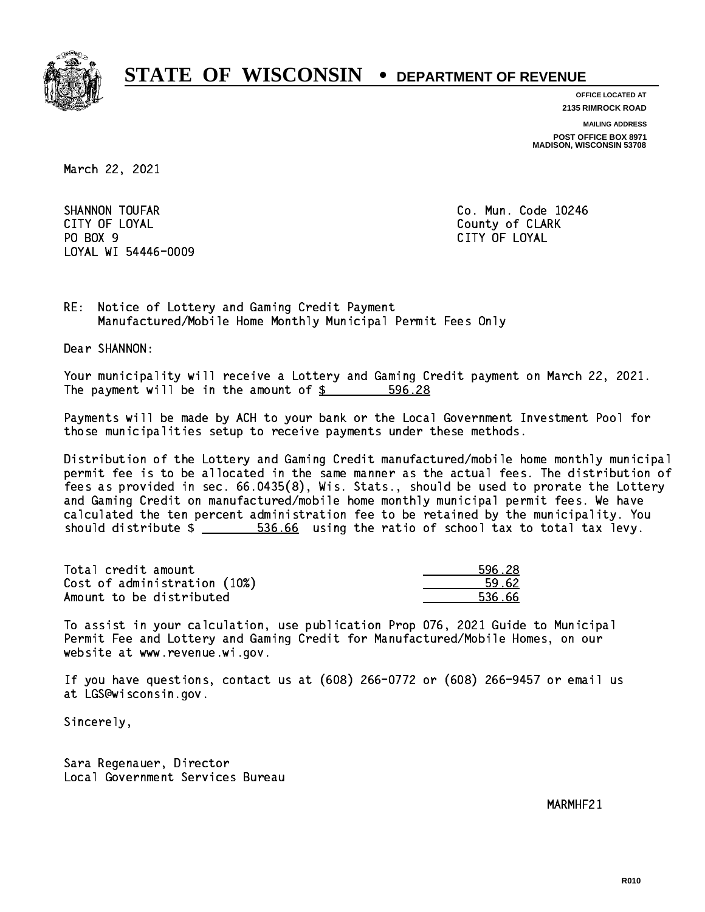

**OFFICE LOCATED AT 2135 RIMROCK ROAD**

**MAILING ADDRESS**

**POST OFFICE BOX 8971 MADISON, WISCONSIN 53708**

March 22, 2021

SHANNON TOUFAR CITY OF LOYAL COUNTY OF LOYAL COUNTY OF COUNTY OF COUNTY OF COUNTY OF COUNTY OF COUNTY OF COUNTY OF COUNTY OF COUNTY OF COUNTY OF COUNTY OF COUNTY OF COUNTY OF COUNTY OF COUNTY OF COUNTY OF COUNTY OF COUNTY OF COUNTY OF CO PO BOX 9 PO BOX 9 CITY OF LOYAL LOYAL WI 54446-0009

Co. Mun. Code 10246 CITY OF LOYAL

RE: Notice of Lottery and Gaming Credit Payment Manufactured/Mobile Home Monthly Municipal Permit Fees Only

Dear SHANNON:

 Your municipality will receive a Lottery and Gaming Credit payment on March 22, 2021. The payment will be in the amount of \$ 596.28 \_\_\_\_\_\_\_\_\_\_\_\_\_\_\_\_

 Payments will be made by ACH to your bank or the Local Government Investment Pool for those municipalities setup to receive payments under these methods.

 Distribution of the Lottery and Gaming Credit manufactured/mobile home monthly municipal permit fee is to be allocated in the same manner as the actual fees. The distribution of fees as provided in sec. 66.0435(8), Wis. Stats., should be used to prorate the Lottery and Gaming Credit on manufactured/mobile home monthly municipal permit fees. We have calculated the ten percent administration fee to be retained by the municipality. You should distribute  $\frac{2}{1}$   $\frac{536.66}{1000}$  using the ratio of school tax to total tax levy.

| Total credit amount          | 596.28 |
|------------------------------|--------|
| Cost of administration (10%) | 59.62  |
| Amount to be distributed     | 536.66 |

 To assist in your calculation, use publication Prop 076, 2021 Guide to Municipal Permit Fee and Lottery and Gaming Credit for Manufactured/Mobile Homes, on our website at www.revenue.wi.gov.

 If you have questions, contact us at (608) 266-0772 or (608) 266-9457 or email us at LGS@wisconsin.gov.

Sincerely,

 Sara Regenauer, Director Local Government Services Bureau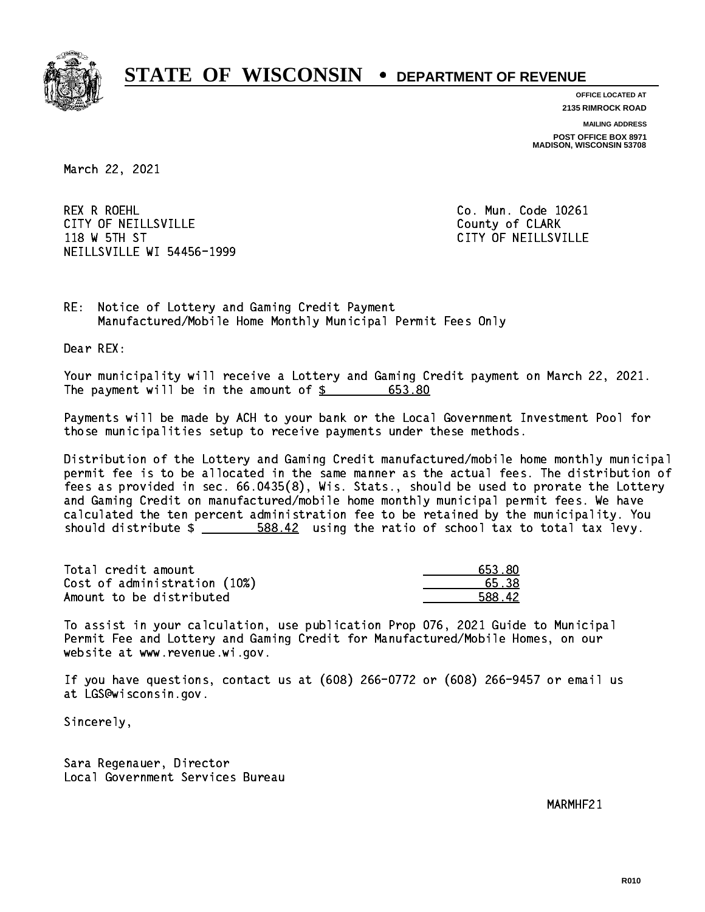

**OFFICE LOCATED AT**

**2135 RIMROCK ROAD**

**MAILING ADDRESS POST OFFICE BOX 8971 MADISON, WISCONSIN 53708**

March 22, 2021

 REX R ROEHL Co. Mun. Code 10261 CITY OF NEILLSVILLE **COUNTY COULD AND COULD COULD COULD** COUNTY OF CLARK 118 W 5TH ST CITY OF NEILLSVILLE NEILLSVILLE WI 54456-1999

RE: Notice of Lottery and Gaming Credit Payment Manufactured/Mobile Home Monthly Municipal Permit Fees Only

Dear REX:

 Your municipality will receive a Lottery and Gaming Credit payment on March 22, 2021. The payment will be in the amount of \$ 653.80 \_\_\_\_\_\_\_\_\_\_\_\_\_\_\_\_

 Payments will be made by ACH to your bank or the Local Government Investment Pool for those municipalities setup to receive payments under these methods.

 Distribution of the Lottery and Gaming Credit manufactured/mobile home monthly municipal permit fee is to be allocated in the same manner as the actual fees. The distribution of fees as provided in sec. 66.0435(8), Wis. Stats., should be used to prorate the Lottery and Gaming Credit on manufactured/mobile home monthly municipal permit fees. We have calculated the ten percent administration fee to be retained by the municipality. You should distribute  $\frac{2}{1-\frac{588.42}{1-\frac{200}{1-\frac{200}{1-\frac{200}{1-\frac{200}{1-\frac{200}{1-\frac{200}{1-\frac{200}{1-\frac{200}{1-\frac{200}{1-\frac{200}{1-\frac{200}{1-\frac{200}{1-\frac{200}{1-\frac{200}{1-\frac{200}{1-\frac{200}{1-\frac{200}{1-\frac{200}{1-\frac{200}{1-\frac{200}{1-\frac{200}{1-\frac{200}{1-\frac{200}{1-\$ 

| Total credit amount          | 653.80 |
|------------------------------|--------|
| Cost of administration (10%) | 65.38  |
| Amount to be distributed     | 588.42 |

 To assist in your calculation, use publication Prop 076, 2021 Guide to Municipal Permit Fee and Lottery and Gaming Credit for Manufactured/Mobile Homes, on our website at www.revenue.wi.gov.

 If you have questions, contact us at (608) 266-0772 or (608) 266-9457 or email us at LGS@wisconsin.gov.

Sincerely,

 Sara Regenauer, Director Local Government Services Bureau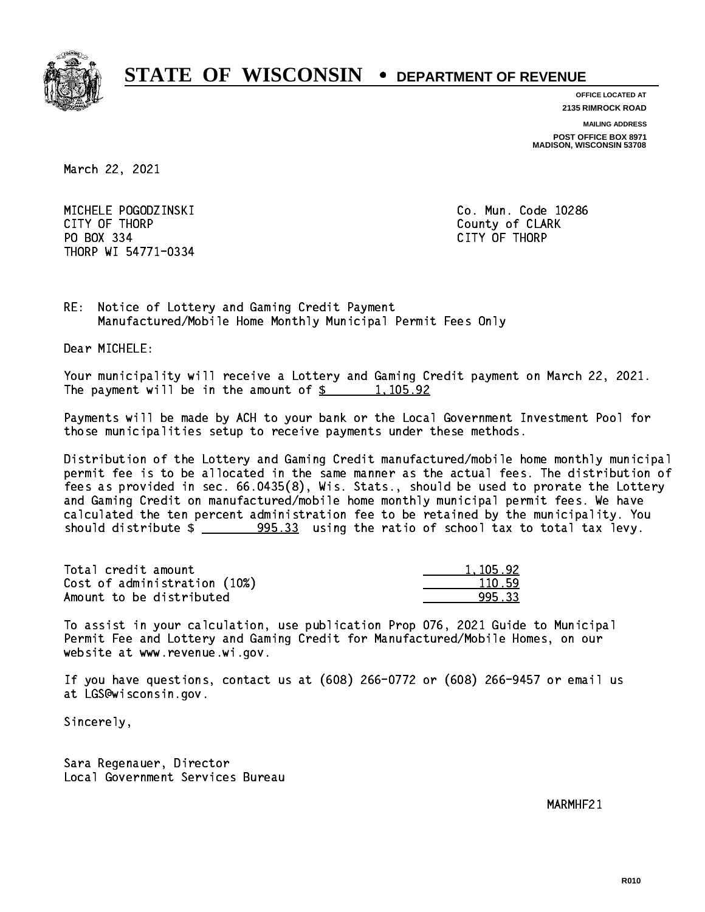

**OFFICE LOCATED AT 2135 RIMROCK ROAD**

**MAILING ADDRESS**

**POST OFFICE BOX 8971 MADISON, WISCONSIN 53708**

March 22, 2021

 MICHELE POGODZINSKI Co. Mun. Code 10286 CITY OF THE CITY OF THE COUNTY OF THE COUNTY OF COUNTY OF COUNTY OF COUNTY OF COUNTY OF COUNTY OF COUNTY OF COUNTY OF COUNTY OF COUNTY OF COUNTY OF COUNTY OF COUNTY OF COUNTY OF COUNTY OF COUNTY OF COUNTY OF COUNTY OF COUN PO BOX 334 PO BOX 334 CITY OF THORP THORP WI 54771-0334

RE: Notice of Lottery and Gaming Credit Payment Manufactured/Mobile Home Monthly Municipal Permit Fees Only

Dear MICHELE:

 Your municipality will receive a Lottery and Gaming Credit payment on March 22, 2021. The payment will be in the amount of  $\frac{2}{3}$  1,105.92

 Payments will be made by ACH to your bank or the Local Government Investment Pool for those municipalities setup to receive payments under these methods.

 Distribution of the Lottery and Gaming Credit manufactured/mobile home monthly municipal permit fee is to be allocated in the same manner as the actual fees. The distribution of fees as provided in sec. 66.0435(8), Wis. Stats., should be used to prorate the Lottery and Gaming Credit on manufactured/mobile home monthly municipal permit fees. We have calculated the ten percent administration fee to be retained by the municipality. You should distribute  $\frac{205.33}{2000}$  using the ratio of school tax to total tax levy.

| Total credit amount          | 1.105.92 |
|------------------------------|----------|
| Cost of administration (10%) | 110.59   |
| Amount to be distributed     | 995.33   |

 To assist in your calculation, use publication Prop 076, 2021 Guide to Municipal Permit Fee and Lottery and Gaming Credit for Manufactured/Mobile Homes, on our website at www.revenue.wi.gov.

 If you have questions, contact us at (608) 266-0772 or (608) 266-9457 or email us at LGS@wisconsin.gov.

Sincerely,

 Sara Regenauer, Director Local Government Services Bureau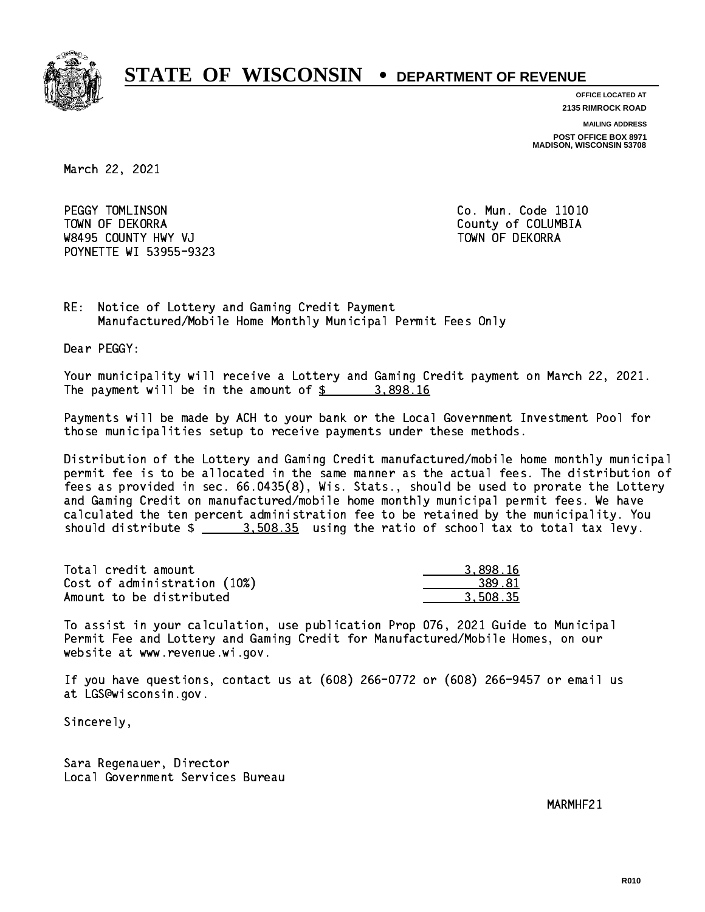

**OFFICE LOCATED AT**

**2135 RIMROCK ROAD**

**MAILING ADDRESS**

**POST OFFICE BOX 8971 MADISON, WISCONSIN 53708**

March 22, 2021

PEGGY TOMLINSON TOWN OF DEKORRA County of COLUMBIA W8495 COUNTY HWY VJ TOWN OF DEKORRA POYNETTE WI 53955-9323

Co. Mun. Code 11010

RE: Notice of Lottery and Gaming Credit Payment Manufactured/Mobile Home Monthly Municipal Permit Fees Only

Dear PEGGY:

 Your municipality will receive a Lottery and Gaming Credit payment on March 22, 2021. The payment will be in the amount of  $\frac{2}{3}$  3,898.16

 Payments will be made by ACH to your bank or the Local Government Investment Pool for those municipalities setup to receive payments under these methods.

 Distribution of the Lottery and Gaming Credit manufactured/mobile home monthly municipal permit fee is to be allocated in the same manner as the actual fees. The distribution of fees as provided in sec. 66.0435(8), Wis. Stats., should be used to prorate the Lottery and Gaming Credit on manufactured/mobile home monthly municipal permit fees. We have calculated the ten percent administration fee to be retained by the municipality. You should distribute  $\frac{2}{1}$   $\frac{3.508.35}{2}$  using the ratio of school tax to total tax levy.

| Total credit amount          | 3.898.16 |
|------------------------------|----------|
| Cost of administration (10%) | 389.81   |
| Amount to be distributed     | 3.508.35 |

 To assist in your calculation, use publication Prop 076, 2021 Guide to Municipal Permit Fee and Lottery and Gaming Credit for Manufactured/Mobile Homes, on our website at www.revenue.wi.gov.

 If you have questions, contact us at (608) 266-0772 or (608) 266-9457 or email us at LGS@wisconsin.gov.

Sincerely,

 Sara Regenauer, Director Local Government Services Bureau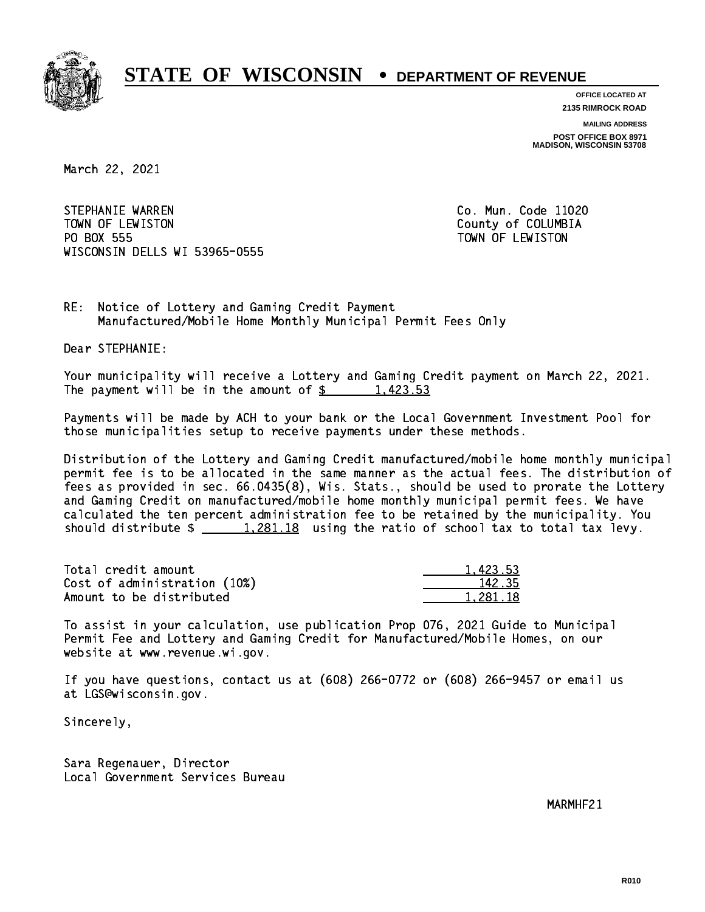

**OFFICE LOCATED AT**

**2135 RIMROCK ROAD**

**MAILING ADDRESS POST OFFICE BOX 8971 MADISON, WISCONSIN 53708**

March 22, 2021

STEPHANIE WARREN TOWN OF LEWISTON County of COLUMBIA PO BOX 555 PO BOX 555 TOWN OF LEWISTON WISCONSIN DELLS WI 53965-0555

Co. Mun. Code 11020

RE: Notice of Lottery and Gaming Credit Payment Manufactured/Mobile Home Monthly Municipal Permit Fees Only

Dear STEPHANIE:

 Your municipality will receive a Lottery and Gaming Credit payment on March 22, 2021. The payment will be in the amount of  $\frac{2}{3}$  1,423.53

 Payments will be made by ACH to your bank or the Local Government Investment Pool for those municipalities setup to receive payments under these methods.

 Distribution of the Lottery and Gaming Credit manufactured/mobile home monthly municipal permit fee is to be allocated in the same manner as the actual fees. The distribution of fees as provided in sec. 66.0435(8), Wis. Stats., should be used to prorate the Lottery and Gaming Credit on manufactured/mobile home monthly municipal permit fees. We have calculated the ten percent administration fee to be retained by the municipality. You should distribute  $\frac{1,281.18}{1,281.18}$  using the ratio of school tax to total tax levy.

| Total credit amount          | 1.423.53 |
|------------------------------|----------|
| Cost of administration (10%) | 142.35   |
| Amount to be distributed     | 1.281.18 |

 To assist in your calculation, use publication Prop 076, 2021 Guide to Municipal Permit Fee and Lottery and Gaming Credit for Manufactured/Mobile Homes, on our website at www.revenue.wi.gov.

 If you have questions, contact us at (608) 266-0772 or (608) 266-9457 or email us at LGS@wisconsin.gov.

Sincerely,

 Sara Regenauer, Director Local Government Services Bureau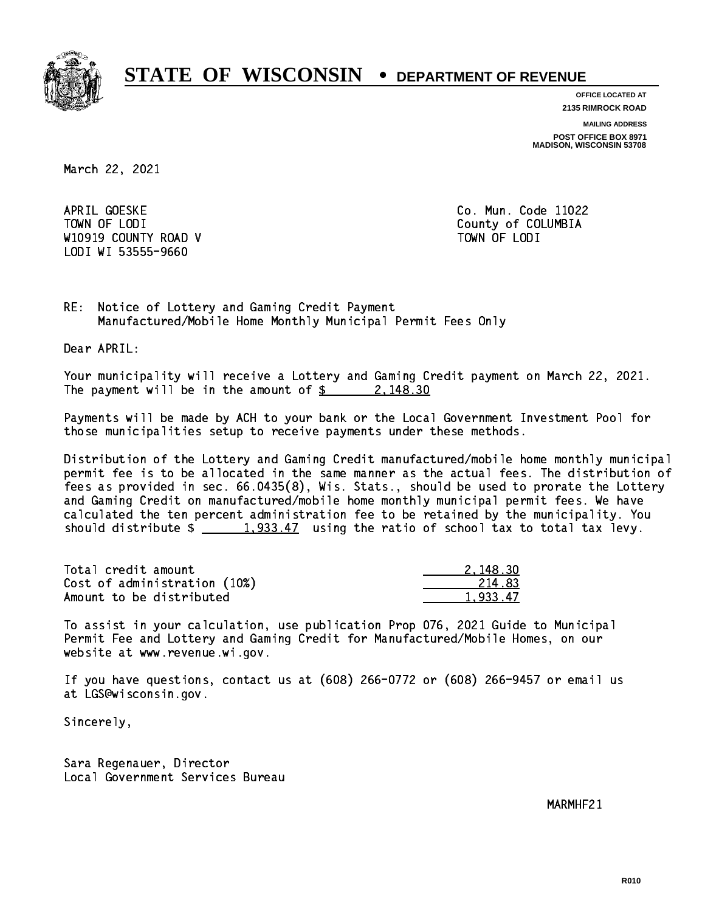

**OFFICE LOCATED AT**

**2135 RIMROCK ROAD**

**MAILING ADDRESS**

**POST OFFICE BOX 8971 MADISON, WISCONSIN 53708**

March 22, 2021

APRIL GOESKE TOWN OF LODI County of COLUMBIA W10919 COUNTY ROAD V TOWN OF LODI LODI WI 53555-9660

Co. Mun. Code 11022

RE: Notice of Lottery and Gaming Credit Payment Manufactured/Mobile Home Monthly Municipal Permit Fees Only

Dear APRIL:

 Your municipality will receive a Lottery and Gaming Credit payment on March 22, 2021. The payment will be in the amount of  $\frac{2}{3}$  2,148.30

 Payments will be made by ACH to your bank or the Local Government Investment Pool for those municipalities setup to receive payments under these methods.

 Distribution of the Lottery and Gaming Credit manufactured/mobile home monthly municipal permit fee is to be allocated in the same manner as the actual fees. The distribution of fees as provided in sec. 66.0435(8), Wis. Stats., should be used to prorate the Lottery and Gaming Credit on manufactured/mobile home monthly municipal permit fees. We have calculated the ten percent administration fee to be retained by the municipality. You should distribute  $\frac{1,933.47}{1,933.47}$  using the ratio of school tax to total tax levy.

| Total credit amount          | 2.148.30 |
|------------------------------|----------|
| Cost of administration (10%) | 214.83   |
| Amount to be distributed     | 1.933.47 |

 To assist in your calculation, use publication Prop 076, 2021 Guide to Municipal Permit Fee and Lottery and Gaming Credit for Manufactured/Mobile Homes, on our website at www.revenue.wi.gov.

 If you have questions, contact us at (608) 266-0772 or (608) 266-9457 or email us at LGS@wisconsin.gov.

Sincerely,

 Sara Regenauer, Director Local Government Services Bureau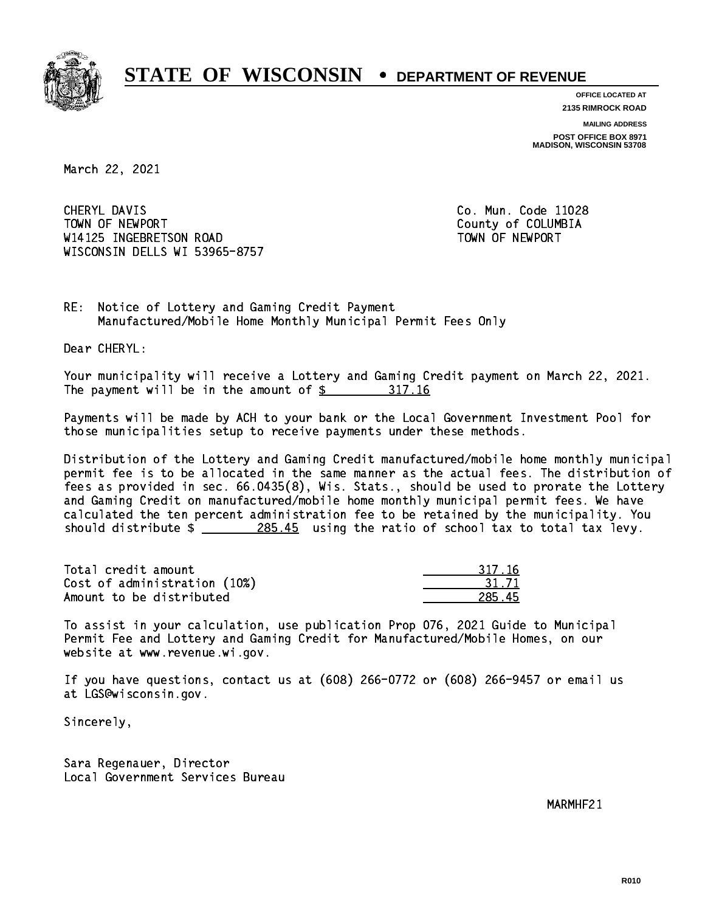

**OFFICE LOCATED AT**

**2135 RIMROCK ROAD**

**MAILING ADDRESS POST OFFICE BOX 8971 MADISON, WISCONSIN 53708**

March 22, 2021

CHERYL DAVIS TOWN OF NEWPORT County of COLUMBIA W14125 INGEBRETSON ROAD TOWN OF NEWPORT WISCONSIN DELLS WI 53965-8757

Co. Mun. Code 11028

RE: Notice of Lottery and Gaming Credit Payment Manufactured/Mobile Home Monthly Municipal Permit Fees Only

Dear CHERYL:

 Your municipality will receive a Lottery and Gaming Credit payment on March 22, 2021. The payment will be in the amount of \$ 317.16 \_\_\_\_\_\_\_\_\_\_\_\_\_\_\_\_

 Payments will be made by ACH to your bank or the Local Government Investment Pool for those municipalities setup to receive payments under these methods.

 Distribution of the Lottery and Gaming Credit manufactured/mobile home monthly municipal permit fee is to be allocated in the same manner as the actual fees. The distribution of fees as provided in sec. 66.0435(8), Wis. Stats., should be used to prorate the Lottery and Gaming Credit on manufactured/mobile home monthly municipal permit fees. We have calculated the ten percent administration fee to be retained by the municipality. You should distribute \$ 285.45 using the ratio of school tax to total tax levy. \_\_\_\_\_\_\_\_\_\_\_\_\_\_

Total credit amount Cost of administration (10%) Amount to be distributed

| '17.16 |
|--------|
| 1 / 1  |
|        |

 To assist in your calculation, use publication Prop 076, 2021 Guide to Municipal Permit Fee and Lottery and Gaming Credit for Manufactured/Mobile Homes, on our website at www.revenue.wi.gov.

 If you have questions, contact us at (608) 266-0772 or (608) 266-9457 or email us at LGS@wisconsin.gov.

Sincerely,

 Sara Regenauer, Director Local Government Services Bureau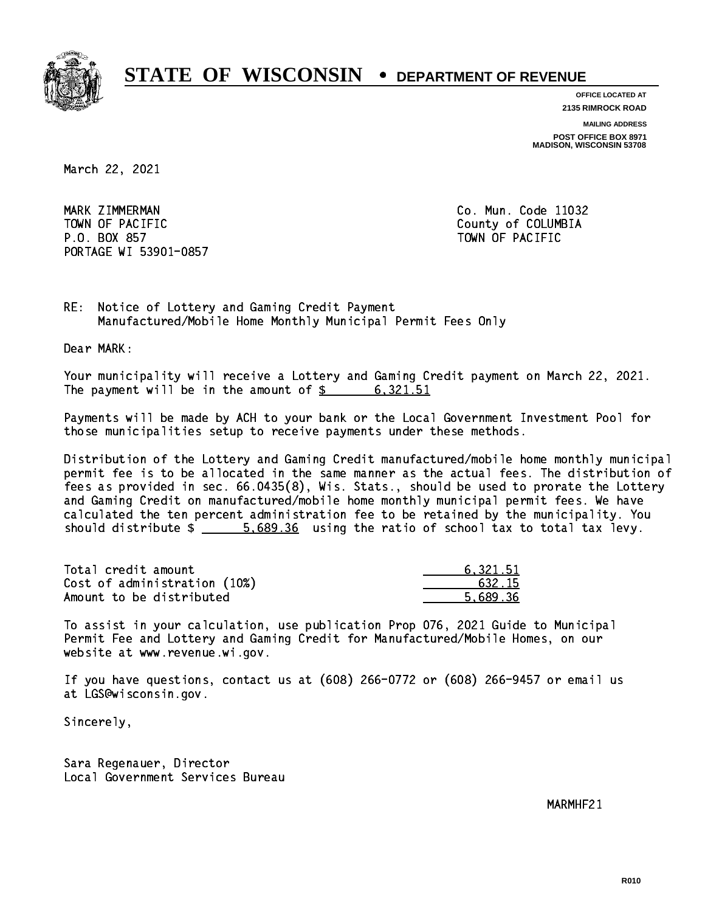

**OFFICE LOCATED AT**

**2135 RIMROCK ROAD**

**MAILING ADDRESS POST OFFICE BOX 8971 MADISON, WISCONSIN 53708**

March 22, 2021

MARK ZIMMERMAN TOWN OF PACIFIC **COLUMBIA** County of COLUMBIA P.O. BOX 857 TOWN OF PACIFIC PORTAGE WI 53901-0857

Co. Mun. Code 11032

RE: Notice of Lottery and Gaming Credit Payment Manufactured/Mobile Home Monthly Municipal Permit Fees Only

Dear MARK:

 Your municipality will receive a Lottery and Gaming Credit payment on March 22, 2021. The payment will be in the amount of \$ 6,321.51 \_\_\_\_\_\_\_\_\_\_\_\_\_\_\_\_

 Payments will be made by ACH to your bank or the Local Government Investment Pool for those municipalities setup to receive payments under these methods.

 Distribution of the Lottery and Gaming Credit manufactured/mobile home monthly municipal permit fee is to be allocated in the same manner as the actual fees. The distribution of fees as provided in sec. 66.0435(8), Wis. Stats., should be used to prorate the Lottery and Gaming Credit on manufactured/mobile home monthly municipal permit fees. We have calculated the ten percent administration fee to be retained by the municipality. You should distribute  $\frac{2}{1}$   $\frac{5.689.36}{20}$  using the ratio of school tax to total tax levy.

| Total credit amount          | 6.321.51 |
|------------------------------|----------|
| Cost of administration (10%) | 632.15   |
| Amount to be distributed     | 5.689.36 |

 To assist in your calculation, use publication Prop 076, 2021 Guide to Municipal Permit Fee and Lottery and Gaming Credit for Manufactured/Mobile Homes, on our website at www.revenue.wi.gov.

 If you have questions, contact us at (608) 266-0772 or (608) 266-9457 or email us at LGS@wisconsin.gov.

Sincerely,

 Sara Regenauer, Director Local Government Services Bureau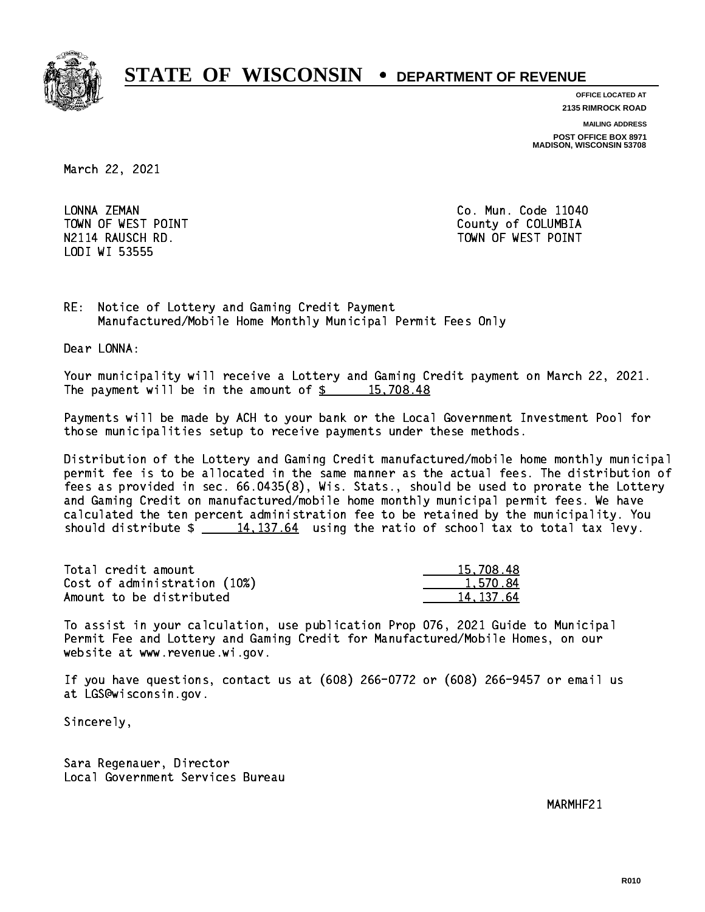

**OFFICE LOCATED AT**

**2135 RIMROCK ROAD**

**MAILING ADDRESS**

**POST OFFICE BOX 8971 MADISON, WISCONSIN 53708**

March 22, 2021

LONNA ZEMAN LODI WI 53555

Co. Mun. Code 11040 TOWN OF WEST POINT County of COLUMBIA N2114 RAUSCH RD. TOWN OF WEST POINT

RE: Notice of Lottery and Gaming Credit Payment Manufactured/Mobile Home Monthly Municipal Permit Fees Only

Dear LONNA:

 Your municipality will receive a Lottery and Gaming Credit payment on March 22, 2021. The payment will be in the amount of  $\frac{2}{3}$  15,708.48

 Payments will be made by ACH to your bank or the Local Government Investment Pool for those municipalities setup to receive payments under these methods.

 Distribution of the Lottery and Gaming Credit manufactured/mobile home monthly municipal permit fee is to be allocated in the same manner as the actual fees. The distribution of fees as provided in sec. 66.0435(8), Wis. Stats., should be used to prorate the Lottery and Gaming Credit on manufactured/mobile home monthly municipal permit fees. We have calculated the ten percent administration fee to be retained by the municipality. You should distribute  $\frac{14,137.64}{2}$  using the ratio of school tax to total tax levy.

| Total credit amount          | 15,708,48 |
|------------------------------|-----------|
| Cost of administration (10%) | 1.570.84  |
| Amount to be distributed     | 14.137.64 |

 To assist in your calculation, use publication Prop 076, 2021 Guide to Municipal Permit Fee and Lottery and Gaming Credit for Manufactured/Mobile Homes, on our website at www.revenue.wi.gov.

 If you have questions, contact us at (608) 266-0772 or (608) 266-9457 or email us at LGS@wisconsin.gov.

Sincerely,

 Sara Regenauer, Director Local Government Services Bureau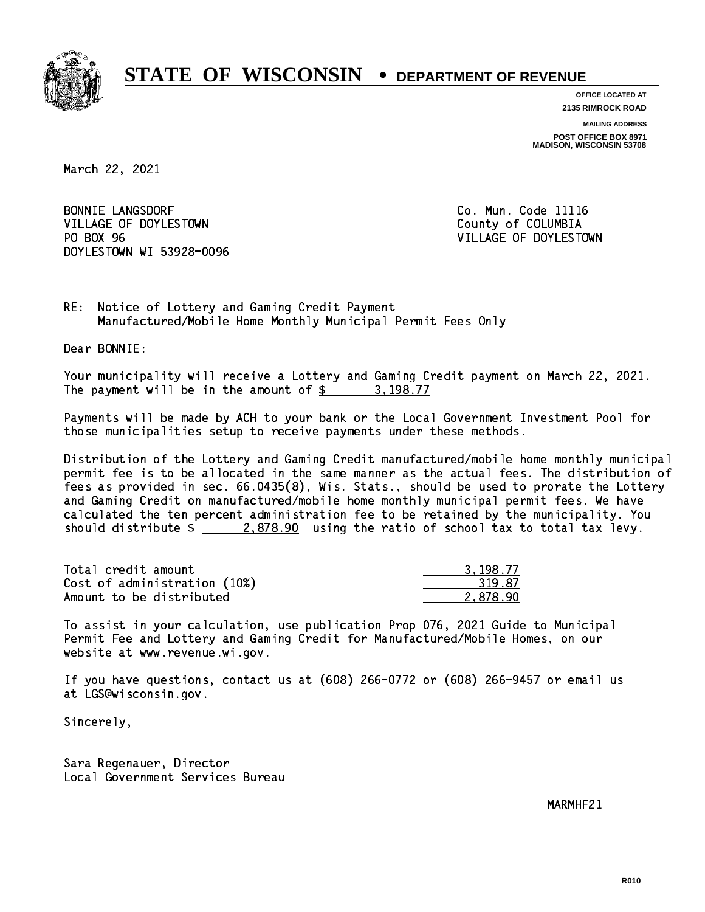

**OFFICE LOCATED AT**

**2135 RIMROCK ROAD**

**MAILING ADDRESS POST OFFICE BOX 8971 MADISON, WISCONSIN 53708**

March 22, 2021

BONNIE LANGSDORF **Co. Mun. Code 11116** VILLAGE OF DOYLESTOWN COUNTY OF COLUMBIA PO BOX 96 DOYLESTOWN WI 53928-0096

VILLAGE OF DOYLESTOWN

RE: Notice of Lottery and Gaming Credit Payment Manufactured/Mobile Home Monthly Municipal Permit Fees Only

Dear BONNIE:

 Your municipality will receive a Lottery and Gaming Credit payment on March 22, 2021. The payment will be in the amount of  $\frac{2}{3}$  3,198.77

 Payments will be made by ACH to your bank or the Local Government Investment Pool for those municipalities setup to receive payments under these methods.

 Distribution of the Lottery and Gaming Credit manufactured/mobile home monthly municipal permit fee is to be allocated in the same manner as the actual fees. The distribution of fees as provided in sec. 66.0435(8), Wis. Stats., should be used to prorate the Lottery and Gaming Credit on manufactured/mobile home monthly municipal permit fees. We have calculated the ten percent administration fee to be retained by the municipality. You should distribute  $\frac{2.878.90}{2.878.90}$  using the ratio of school tax to total tax levy.

| Total credit amount          | 3.198.77 |
|------------------------------|----------|
| Cost of administration (10%) | 319.87   |
| Amount to be distributed     | 2.878.90 |

 To assist in your calculation, use publication Prop 076, 2021 Guide to Municipal Permit Fee and Lottery and Gaming Credit for Manufactured/Mobile Homes, on our website at www.revenue.wi.gov.

 If you have questions, contact us at (608) 266-0772 or (608) 266-9457 or email us at LGS@wisconsin.gov.

Sincerely,

 Sara Regenauer, Director Local Government Services Bureau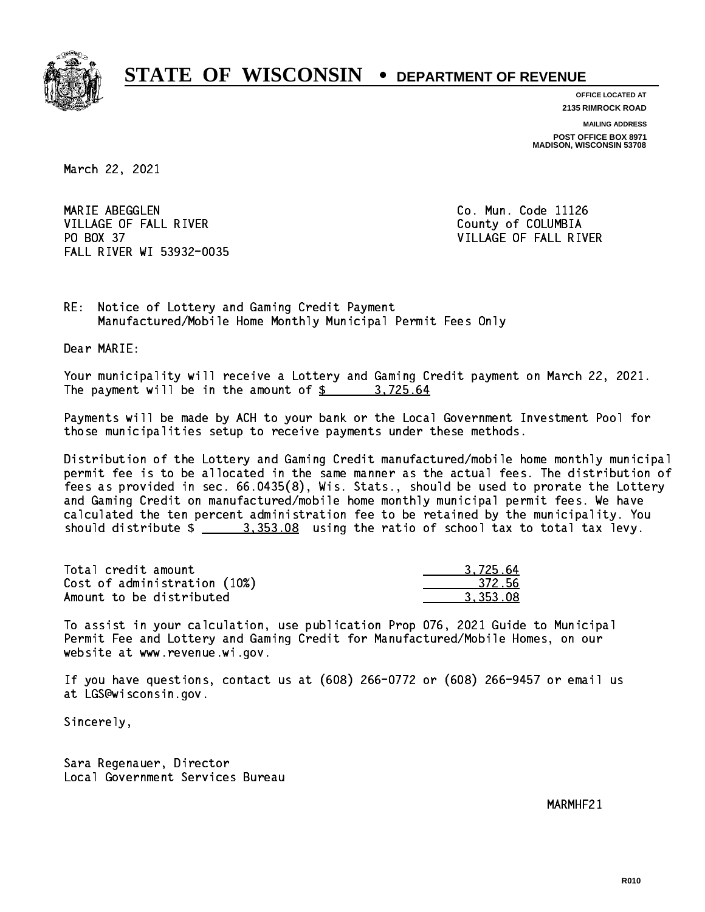

**OFFICE LOCATED AT 2135 RIMROCK ROAD**

**MAILING ADDRESS POST OFFICE BOX 8971 MADISON, WISCONSIN 53708**

March 22, 2021

MARIE ABEGGLEN VILLAGE OF FALL RIVER **COLLECT IN THE COLLECT OF SALE ASSESS** PO BOX 37 FALL RIVER WI 53932-0035

Co. Mun. Code 11126 VILLAGE OF FALL RIVER

RE: Notice of Lottery and Gaming Credit Payment Manufactured/Mobile Home Monthly Municipal Permit Fees Only

Dear MARIE:

 Your municipality will receive a Lottery and Gaming Credit payment on March 22, 2021. The payment will be in the amount of  $\frac{2}{3}$  3,725.64

 Payments will be made by ACH to your bank or the Local Government Investment Pool for those municipalities setup to receive payments under these methods.

 Distribution of the Lottery and Gaming Credit manufactured/mobile home monthly municipal permit fee is to be allocated in the same manner as the actual fees. The distribution of fees as provided in sec. 66.0435(8), Wis. Stats., should be used to prorate the Lottery and Gaming Credit on manufactured/mobile home monthly municipal permit fees. We have calculated the ten percent administration fee to be retained by the municipality. You should distribute  $\frac{2}{2}$   $\frac{3}{2}$ ,  $\frac{353.08}{2}$  using the ratio of school tax to total tax levy.

| Total credit amount          | 3.725.64 |
|------------------------------|----------|
| Cost of administration (10%) | 372.56   |
| Amount to be distributed     | 3.353.08 |

 To assist in your calculation, use publication Prop 076, 2021 Guide to Municipal Permit Fee and Lottery and Gaming Credit for Manufactured/Mobile Homes, on our website at www.revenue.wi.gov.

 If you have questions, contact us at (608) 266-0772 or (608) 266-9457 or email us at LGS@wisconsin.gov.

Sincerely,

 Sara Regenauer, Director Local Government Services Bureau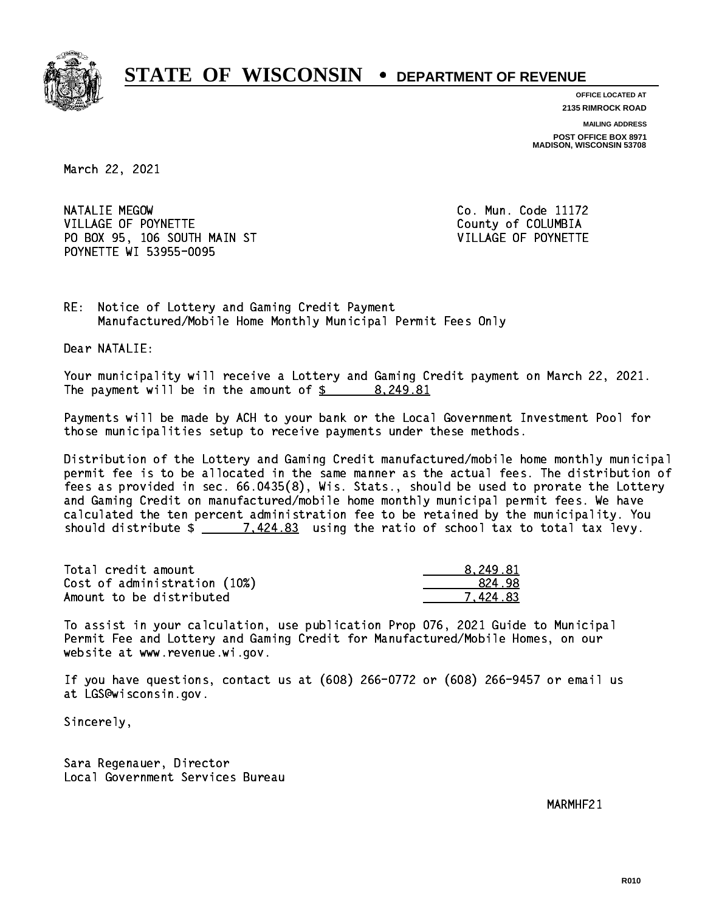

**OFFICE LOCATED AT 2135 RIMROCK ROAD**

**MAILING ADDRESS**

**POST OFFICE BOX 8971 MADISON, WISCONSIN 53708**

March 22, 2021

NATALIE MEGOW VILLAGE OF POYNETTE COUNTY OF COLUMBIA PO BOX 95, 106 SOUTH MAIN ST VILLAGE OF POYNETTE POYNETTE WI 53955-0095

Co. Mun. Code 11172

RE: Notice of Lottery and Gaming Credit Payment Manufactured/Mobile Home Monthly Municipal Permit Fees Only

Dear NATALIE:

 Your municipality will receive a Lottery and Gaming Credit payment on March 22, 2021. The payment will be in the amount of  $\frac{2}{3}$  8,249.81

 Payments will be made by ACH to your bank or the Local Government Investment Pool for those municipalities setup to receive payments under these methods.

 Distribution of the Lottery and Gaming Credit manufactured/mobile home monthly municipal permit fee is to be allocated in the same manner as the actual fees. The distribution of fees as provided in sec. 66.0435(8), Wis. Stats., should be used to prorate the Lottery and Gaming Credit on manufactured/mobile home monthly municipal permit fees. We have calculated the ten percent administration fee to be retained by the municipality. You should distribute  $\frac{2}{2}$   $\frac{7.424.83}{2}$  using the ratio of school tax to total tax levy.

| Total credit amount          | 8.249.81 |
|------------------------------|----------|
| Cost of administration (10%) | 824.98   |
| Amount to be distributed     | 7.424.83 |

 To assist in your calculation, use publication Prop 076, 2021 Guide to Municipal Permit Fee and Lottery and Gaming Credit for Manufactured/Mobile Homes, on our website at www.revenue.wi.gov.

 If you have questions, contact us at (608) 266-0772 or (608) 266-9457 or email us at LGS@wisconsin.gov.

Sincerely,

 Sara Regenauer, Director Local Government Services Bureau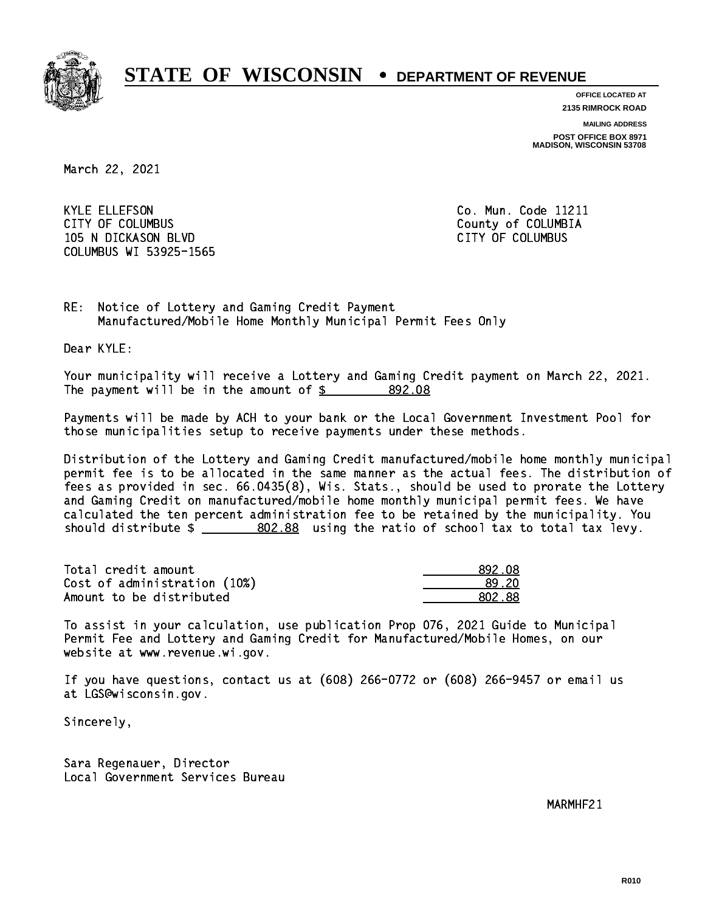

**OFFICE LOCATED AT 2135 RIMROCK ROAD**

**MAILING ADDRESS POST OFFICE BOX 8971 MADISON, WISCONSIN 53708**

March 22, 2021

 KYLE ELLEFSON Co. Mun. Code 11211 CITY OF COLUMBUS COME CONSULTED A COUNTY OF COLUMBIA 105 N DICKASON BLVD CITY OF COLUMBUS COLUMBUS WI 53925-1565

RE: Notice of Lottery and Gaming Credit Payment Manufactured/Mobile Home Monthly Municipal Permit Fees Only

Dear KYLE:

 Your municipality will receive a Lottery and Gaming Credit payment on March 22, 2021. The payment will be in the amount of \$ 892.08 \_\_\_\_\_\_\_\_\_\_\_\_\_\_\_\_

 Payments will be made by ACH to your bank or the Local Government Investment Pool for those municipalities setup to receive payments under these methods.

 Distribution of the Lottery and Gaming Credit manufactured/mobile home monthly municipal permit fee is to be allocated in the same manner as the actual fees. The distribution of fees as provided in sec. 66.0435(8), Wis. Stats., should be used to prorate the Lottery and Gaming Credit on manufactured/mobile home monthly municipal permit fees. We have calculated the ten percent administration fee to be retained by the municipality. You should distribute  $\frac{2}{1-x} = \frac{802.88}{1-x}$  using the ratio of school tax to total tax levy.

| Total credit amount          | -892.08 |
|------------------------------|---------|
| Cost of administration (10%) | .89.20  |
| Amount to be distributed     | -802.88 |

 To assist in your calculation, use publication Prop 076, 2021 Guide to Municipal Permit Fee and Lottery and Gaming Credit for Manufactured/Mobile Homes, on our website at www.revenue.wi.gov.

 If you have questions, contact us at (608) 266-0772 or (608) 266-9457 or email us at LGS@wisconsin.gov.

Sincerely,

 Sara Regenauer, Director Local Government Services Bureau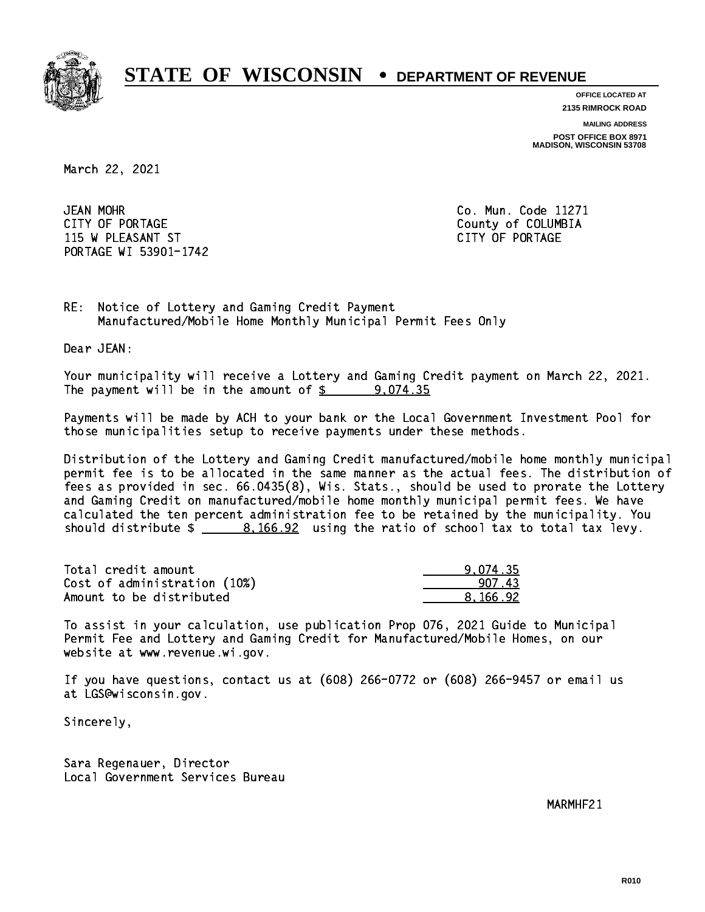

**OFFICE LOCATED AT**

**2135 RIMROCK ROAD**

**MAILING ADDRESS POST OFFICE BOX 8971 MADISON, WISCONSIN 53708**

March 22, 2021

**JEAN MOHR** CITY OF PORTAGE COUNTER COUNTY OF COLUMBIA 115 W PLEASANT ST CITY OF PORTAGE PORTAGE WI 53901-1742

Co. Mun. Code 11271

RE: Notice of Lottery and Gaming Credit Payment Manufactured/Mobile Home Monthly Municipal Permit Fees Only

Dear JEAN:

 Your municipality will receive a Lottery and Gaming Credit payment on March 22, 2021. The payment will be in the amount of  $\frac{2}{3}$  9,074.35

 Payments will be made by ACH to your bank or the Local Government Investment Pool for those municipalities setup to receive payments under these methods.

 Distribution of the Lottery and Gaming Credit manufactured/mobile home monthly municipal permit fee is to be allocated in the same manner as the actual fees. The distribution of fees as provided in sec. 66.0435(8), Wis. Stats., should be used to prorate the Lottery and Gaming Credit on manufactured/mobile home monthly municipal permit fees. We have calculated the ten percent administration fee to be retained by the municipality. You should distribute  $\frac{2}{100.92}$  using the ratio of school tax to total tax levy.

| Total credit amount          | 9.074.35 |
|------------------------------|----------|
| Cost of administration (10%) | 907 43   |
| Amount to be distributed     | 8.166.92 |

 To assist in your calculation, use publication Prop 076, 2021 Guide to Municipal Permit Fee and Lottery and Gaming Credit for Manufactured/Mobile Homes, on our website at www.revenue.wi.gov.

 If you have questions, contact us at (608) 266-0772 or (608) 266-9457 or email us at LGS@wisconsin.gov.

Sincerely,

 Sara Regenauer, Director Local Government Services Bureau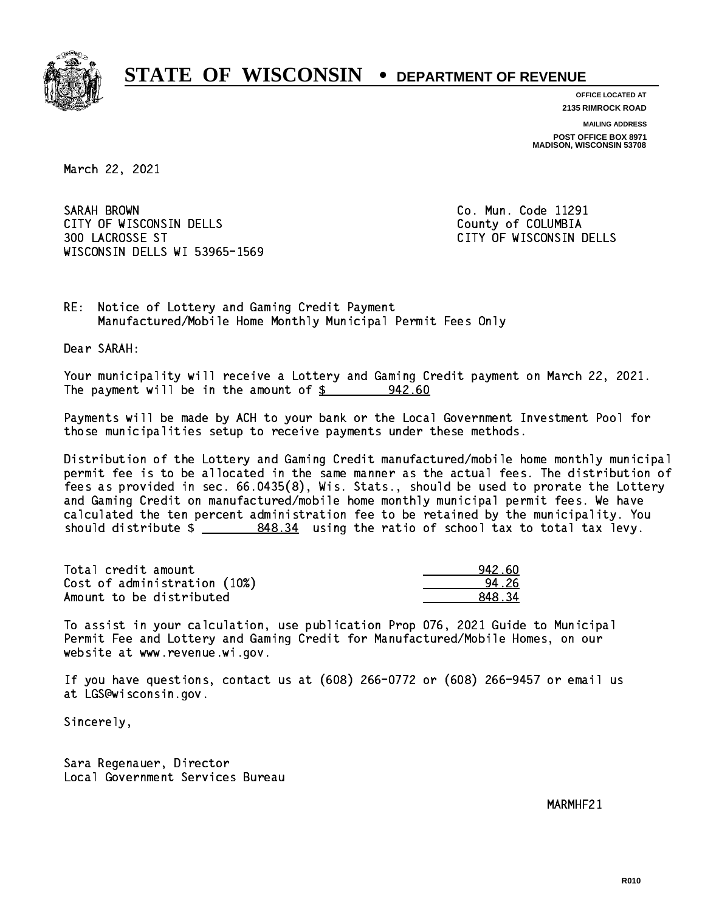

**OFFICE LOCATED AT 2135 RIMROCK ROAD**

**MAILING ADDRESS**

**POST OFFICE BOX 8971 MADISON, WISCONSIN 53708**

March 22, 2021

SARAH BROWN CITY OF WISCONSIN DELLS COUNTY OF COLUMBIA 300 LACROSSE ST CITY OF WISCONSIN DELLS WISCONSIN DELLS WI 53965-1569

Co. Mun. Code 11291

RE: Notice of Lottery and Gaming Credit Payment Manufactured/Mobile Home Monthly Municipal Permit Fees Only

Dear SARAH:

 Your municipality will receive a Lottery and Gaming Credit payment on March 22, 2021. The payment will be in the amount of  $\frac{2}{3}$  942.60

 Payments will be made by ACH to your bank or the Local Government Investment Pool for those municipalities setup to receive payments under these methods.

 Distribution of the Lottery and Gaming Credit manufactured/mobile home monthly municipal permit fee is to be allocated in the same manner as the actual fees. The distribution of fees as provided in sec. 66.0435(8), Wis. Stats., should be used to prorate the Lottery and Gaming Credit on manufactured/mobile home monthly municipal permit fees. We have calculated the ten percent administration fee to be retained by the municipality. You should distribute  $\frac{2}{2}$   $\frac{848.34}{2}$  using the ratio of school tax to total tax levy.

| Total credit amount          | 942.60 |
|------------------------------|--------|
| Cost of administration (10%) | 94.26  |
| Amount to be distributed     | 84834  |

 To assist in your calculation, use publication Prop 076, 2021 Guide to Municipal Permit Fee and Lottery and Gaming Credit for Manufactured/Mobile Homes, on our website at www.revenue.wi.gov.

 If you have questions, contact us at (608) 266-0772 or (608) 266-9457 or email us at LGS@wisconsin.gov.

Sincerely,

 Sara Regenauer, Director Local Government Services Bureau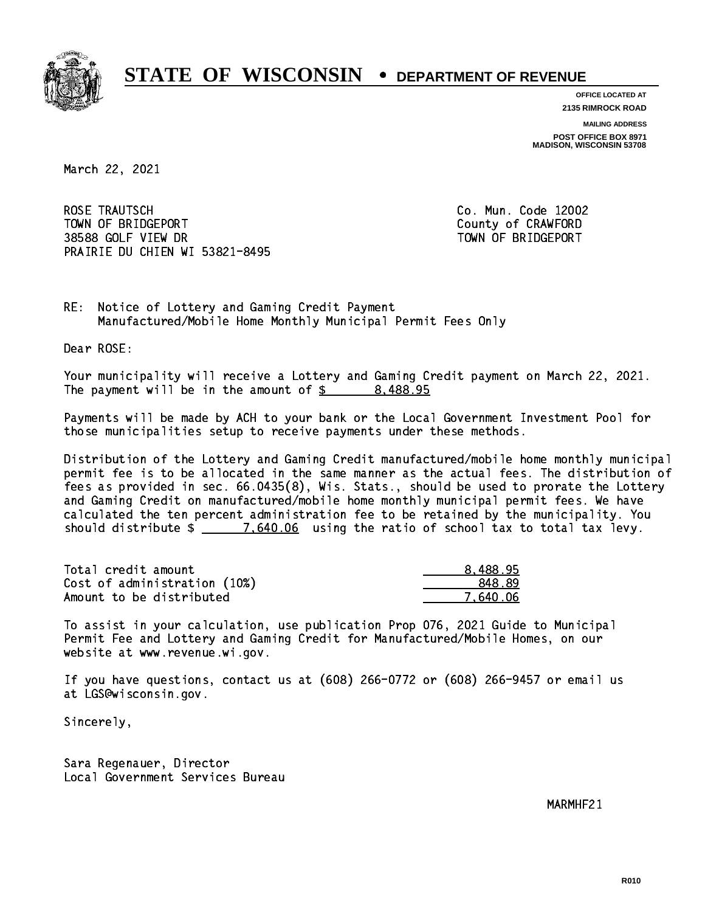

**OFFICE LOCATED AT**

**2135 RIMROCK ROAD**

**MAILING ADDRESS POST OFFICE BOX 8971 MADISON, WISCONSIN 53708**

March 22, 2021

 ROSE TRAUTSCH Co. Mun. Code 12002 TOWN OF BRIDGEPORT County of CRAWFORD 38588 GOLF VIEW DR TOWN OF BRIDGEPORT PRAIRIE DU CHIEN WI 53821-8495

RE: Notice of Lottery and Gaming Credit Payment Manufactured/Mobile Home Monthly Municipal Permit Fees Only

Dear ROSE:

 Your municipality will receive a Lottery and Gaming Credit payment on March 22, 2021. The payment will be in the amount of \$ 8,488.95 \_\_\_\_\_\_\_\_\_\_\_\_\_\_\_\_

 Payments will be made by ACH to your bank or the Local Government Investment Pool for those municipalities setup to receive payments under these methods.

 Distribution of the Lottery and Gaming Credit manufactured/mobile home monthly municipal permit fee is to be allocated in the same manner as the actual fees. The distribution of fees as provided in sec. 66.0435(8), Wis. Stats., should be used to prorate the Lottery and Gaming Credit on manufactured/mobile home monthly municipal permit fees. We have calculated the ten percent administration fee to be retained by the municipality. You should distribute  $\frac{2}{2}$   $\frac{7640.06}{2}$  using the ratio of school tax to total tax levy.

| Total credit amount          | 8,488.95 |
|------------------------------|----------|
| Cost of administration (10%) | 848.89   |
| Amount to be distributed     | 7.640.06 |

 To assist in your calculation, use publication Prop 076, 2021 Guide to Municipal Permit Fee and Lottery and Gaming Credit for Manufactured/Mobile Homes, on our website at www.revenue.wi.gov.

 If you have questions, contact us at (608) 266-0772 or (608) 266-9457 or email us at LGS@wisconsin.gov.

Sincerely,

 Sara Regenauer, Director Local Government Services Bureau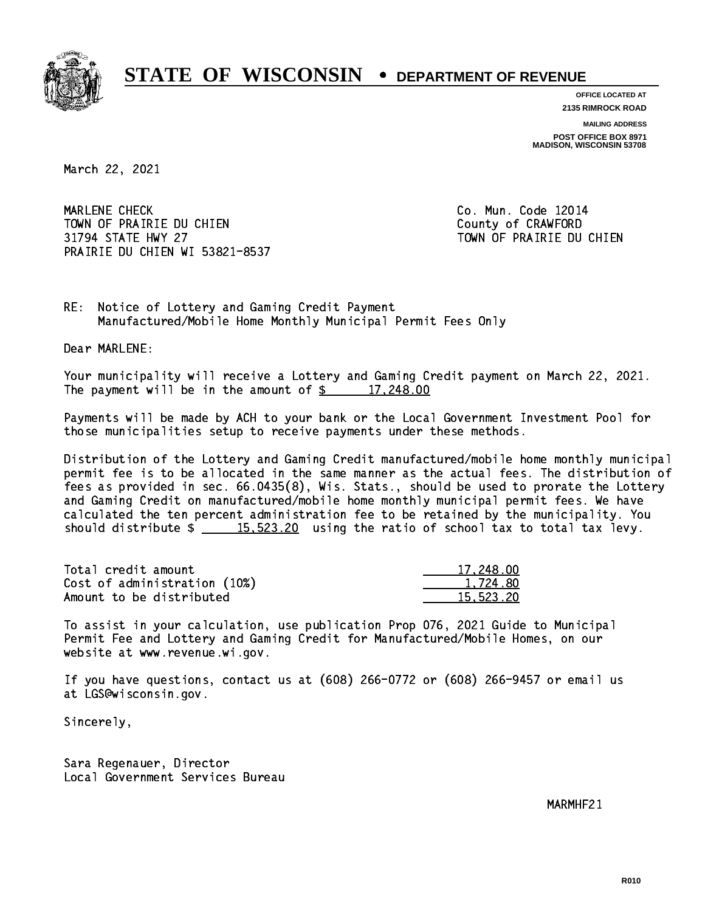

**OFFICE LOCATED AT 2135 RIMROCK ROAD**

**MAILING ADDRESS POST OFFICE BOX 8971 MADISON, WISCONSIN 53708**

March 22, 2021

 MARLENE CHECK Co. Mun. Code 12014 TOWN OF PRAIRIE DU CHIEN COUNTY COUNTY OF CRAWFORD 31794 STATE HWY 27 TOWN OF PRAIRIE DU CHIEN PRAIRIE DU CHIEN WI 53821-8537

RE: Notice of Lottery and Gaming Credit Payment Manufactured/Mobile Home Monthly Municipal Permit Fees Only

Dear MARLENE:

 Your municipality will receive a Lottery and Gaming Credit payment on March 22, 2021. The payment will be in the amount of  $\frac{2}{3}$  17,248.00

 Payments will be made by ACH to your bank or the Local Government Investment Pool for those municipalities setup to receive payments under these methods.

 Distribution of the Lottery and Gaming Credit manufactured/mobile home monthly municipal permit fee is to be allocated in the same manner as the actual fees. The distribution of fees as provided in sec. 66.0435(8), Wis. Stats., should be used to prorate the Lottery and Gaming Credit on manufactured/mobile home monthly municipal permit fees. We have calculated the ten percent administration fee to be retained by the municipality. You should distribute  $\frac{15.523.20}{15.523.20}$  using the ratio of school tax to total tax levy.

| Total credit amount          | 17,248,00 |
|------------------------------|-----------|
| Cost of administration (10%) | 1.724.80  |
| Amount to be distributed     | 15.523.20 |

 To assist in your calculation, use publication Prop 076, 2021 Guide to Municipal Permit Fee and Lottery and Gaming Credit for Manufactured/Mobile Homes, on our website at www.revenue.wi.gov.

 If you have questions, contact us at (608) 266-0772 or (608) 266-9457 or email us at LGS@wisconsin.gov.

Sincerely,

 Sara Regenauer, Director Local Government Services Bureau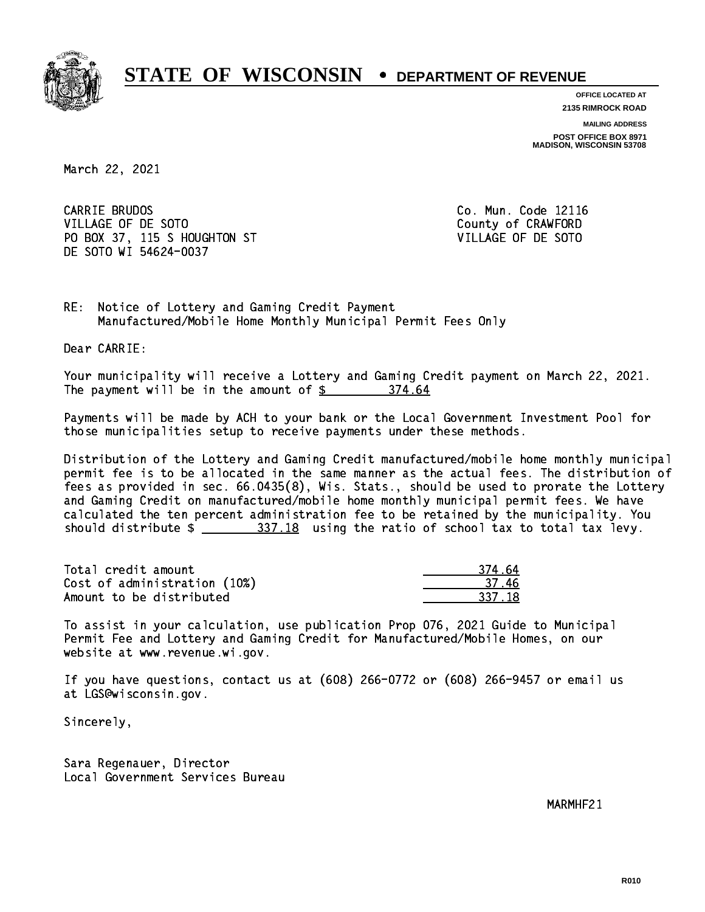

**OFFICE LOCATED AT 2135 RIMROCK ROAD**

**MAILING ADDRESS**

**POST OFFICE BOX 8971 MADISON, WISCONSIN 53708**

March 22, 2021

CARRIE BRUDOS VILLAGE OF DE SOTO COUNTY OF CRAWFORD PO BOX 37, 115 S HOUGHTON ST VILLAGE OF DE SOTO DE SOTO WI 54624-0037

Co. Mun. Code 12116

RE: Notice of Lottery and Gaming Credit Payment Manufactured/Mobile Home Monthly Municipal Permit Fees Only

Dear CARRIE:

 Your municipality will receive a Lottery and Gaming Credit payment on March 22, 2021. The payment will be in the amount of \$ 374.64 \_\_\_\_\_\_\_\_\_\_\_\_\_\_\_\_

 Payments will be made by ACH to your bank or the Local Government Investment Pool for those municipalities setup to receive payments under these methods.

 Distribution of the Lottery and Gaming Credit manufactured/mobile home monthly municipal permit fee is to be allocated in the same manner as the actual fees. The distribution of fees as provided in sec. 66.0435(8), Wis. Stats., should be used to prorate the Lottery and Gaming Credit on manufactured/mobile home monthly municipal permit fees. We have calculated the ten percent administration fee to be retained by the municipality. You should distribute  $\frac{237.18}{2}$  using the ratio of school tax to total tax levy.

Total credit amount Cost of administration (10%) Amount to be distributed

| 4.64       |
|------------|
| 16.<br>37. |
| 37.18      |

 To assist in your calculation, use publication Prop 076, 2021 Guide to Municipal Permit Fee and Lottery and Gaming Credit for Manufactured/Mobile Homes, on our website at www.revenue.wi.gov.

 If you have questions, contact us at (608) 266-0772 or (608) 266-9457 or email us at LGS@wisconsin.gov.

Sincerely,

 Sara Regenauer, Director Local Government Services Bureau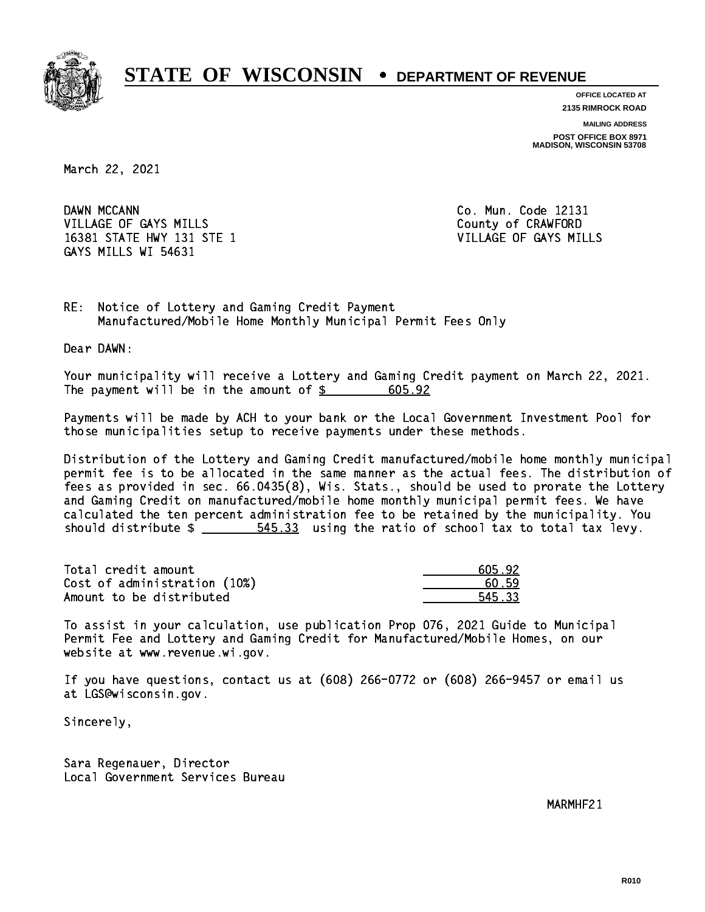

**OFFICE LOCATED AT 2135 RIMROCK ROAD**

**MAILING ADDRESS POST OFFICE BOX 8971 MADISON, WISCONSIN 53708**

March 22, 2021

DAWN MCCANN VILLAGE OF GAYS MILLS County of CRAWFORD 16381 STATE HWY 131 STE 1 VILLAGE OF GAYS MILLS GAYS MILLS WI 54631

Co. Mun. Code 12131

RE: Notice of Lottery and Gaming Credit Payment Manufactured/Mobile Home Monthly Municipal Permit Fees Only

Dear DAWN:

 Your municipality will receive a Lottery and Gaming Credit payment on March 22, 2021. The payment will be in the amount of \$ 605.92 \_\_\_\_\_\_\_\_\_\_\_\_\_\_\_\_

 Payments will be made by ACH to your bank or the Local Government Investment Pool for those municipalities setup to receive payments under these methods.

 Distribution of the Lottery and Gaming Credit manufactured/mobile home monthly municipal permit fee is to be allocated in the same manner as the actual fees. The distribution of fees as provided in sec. 66.0435(8), Wis. Stats., should be used to prorate the Lottery and Gaming Credit on manufactured/mobile home monthly municipal permit fees. We have calculated the ten percent administration fee to be retained by the municipality. You should distribute  $\frac{2}{1-x} = \frac{545.33}{100}$  using the ratio of school tax to total tax levy.

| Total credit amount          | 605.92 |
|------------------------------|--------|
| Cost of administration (10%) | 60.59  |
| Amount to be distributed     | 545.33 |

 To assist in your calculation, use publication Prop 076, 2021 Guide to Municipal Permit Fee and Lottery and Gaming Credit for Manufactured/Mobile Homes, on our website at www.revenue.wi.gov.

 If you have questions, contact us at (608) 266-0772 or (608) 266-9457 or email us at LGS@wisconsin.gov.

Sincerely,

 Sara Regenauer, Director Local Government Services Bureau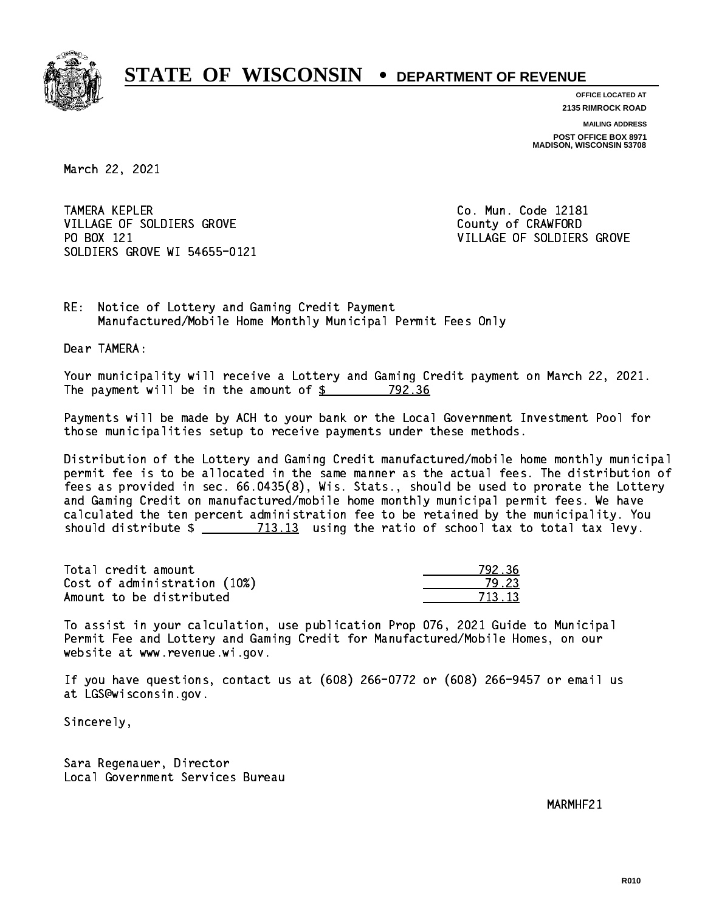

**OFFICE LOCATED AT 2135 RIMROCK ROAD**

**MAILING ADDRESS**

**POST OFFICE BOX 8971 MADISON, WISCONSIN 53708**

March 22, 2021

TAMERA KEPLER VILLAGE OF SOLDIERS GROVE COUNTY OF CRAWFORD PO BOX 121 SOLDIERS GROVE WI 54655-0121

Co. Mun. Code 12181 VILLAGE OF SOLDIERS GROVE

RE: Notice of Lottery and Gaming Credit Payment Manufactured/Mobile Home Monthly Municipal Permit Fees Only

Dear TAMERA:

 Your municipality will receive a Lottery and Gaming Credit payment on March 22, 2021. The payment will be in the amount of  $\frac{2}{3}$  792.36

 Payments will be made by ACH to your bank or the Local Government Investment Pool for those municipalities setup to receive payments under these methods.

 Distribution of the Lottery and Gaming Credit manufactured/mobile home monthly municipal permit fee is to be allocated in the same manner as the actual fees. The distribution of fees as provided in sec. 66.0435(8), Wis. Stats., should be used to prorate the Lottery and Gaming Credit on manufactured/mobile home monthly municipal permit fees. We have calculated the ten percent administration fee to be retained by the municipality. You should distribute  $\frac{2}{2}$   $\frac{713.13}{2}$  using the ratio of school tax to total tax levy.

Total credit amount Cost of administration (10%) Amount to be distributed

| १ २६      |
|-----------|
| - 23      |
| ่า ว<br>Ξ |

 To assist in your calculation, use publication Prop 076, 2021 Guide to Municipal Permit Fee and Lottery and Gaming Credit for Manufactured/Mobile Homes, on our website at www.revenue.wi.gov.

 If you have questions, contact us at (608) 266-0772 or (608) 266-9457 or email us at LGS@wisconsin.gov.

Sincerely,

 Sara Regenauer, Director Local Government Services Bureau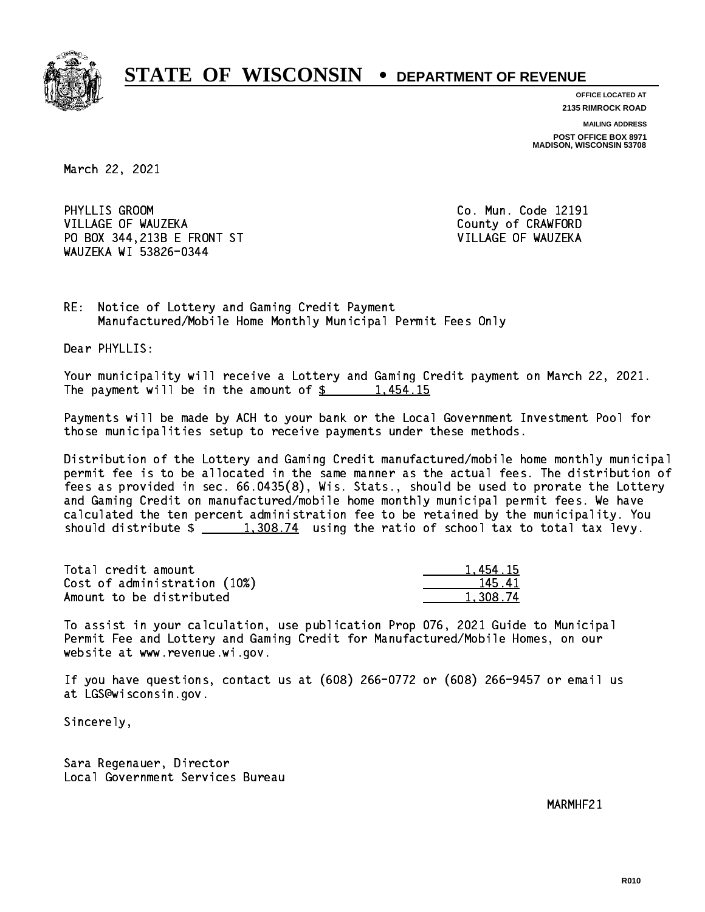

**OFFICE LOCATED AT 2135 RIMROCK ROAD**

**MAILING ADDRESS**

**POST OFFICE BOX 8971 MADISON, WISCONSIN 53708**

March 22, 2021

PHYLLIS GROOM VILLAGE OF WAUZEKA COUNTY OF CRAWFORD PO BOX 344,213B E FRONT ST VILLAGE OF WAUZEKA WAUZEKA WI 53826-0344

Co. Mun. Code 12191

RE: Notice of Lottery and Gaming Credit Payment Manufactured/Mobile Home Monthly Municipal Permit Fees Only

Dear PHYLLIS:

 Your municipality will receive a Lottery and Gaming Credit payment on March 22, 2021. The payment will be in the amount of  $\frac{2}{3}$  1,454.15

 Payments will be made by ACH to your bank or the Local Government Investment Pool for those municipalities setup to receive payments under these methods.

 Distribution of the Lottery and Gaming Credit manufactured/mobile home monthly municipal permit fee is to be allocated in the same manner as the actual fees. The distribution of fees as provided in sec. 66.0435(8), Wis. Stats., should be used to prorate the Lottery and Gaming Credit on manufactured/mobile home monthly municipal permit fees. We have calculated the ten percent administration fee to be retained by the municipality. You should distribute  $\frac{1,308.74}{1,308.74}$  using the ratio of school tax to total tax levy.

| Total credit amount          | 1.454.15 |
|------------------------------|----------|
| Cost of administration (10%) | 145.41   |
| Amount to be distributed     | 1,308.74 |

 To assist in your calculation, use publication Prop 076, 2021 Guide to Municipal Permit Fee and Lottery and Gaming Credit for Manufactured/Mobile Homes, on our website at www.revenue.wi.gov.

 If you have questions, contact us at (608) 266-0772 or (608) 266-9457 or email us at LGS@wisconsin.gov.

Sincerely,

 Sara Regenauer, Director Local Government Services Bureau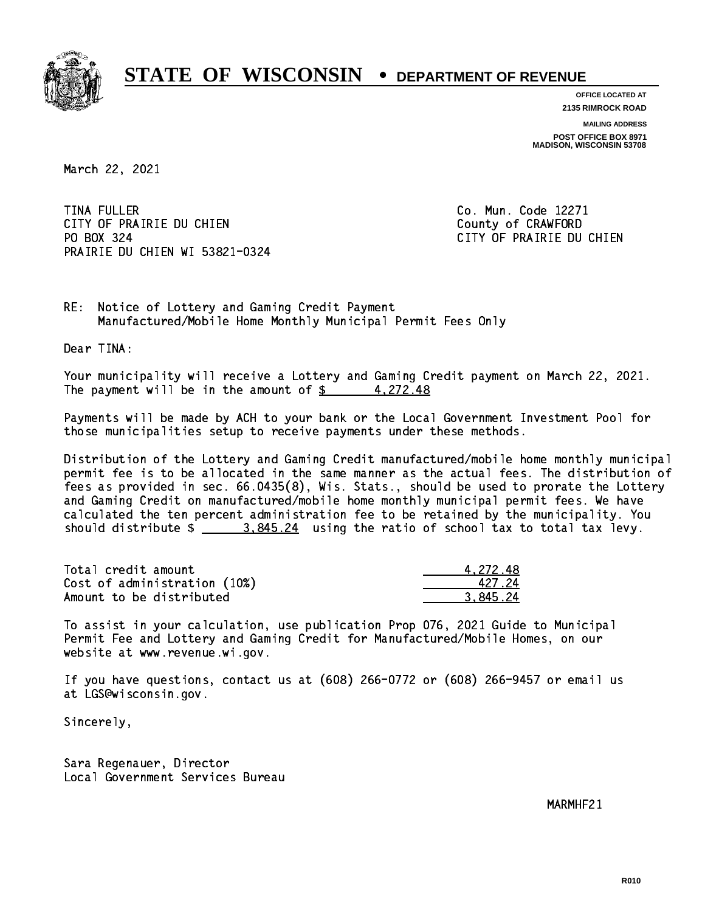

**OFFICE LOCATED AT**

**2135 RIMROCK ROAD**

**MAILING ADDRESS POST OFFICE BOX 8971 MADISON, WISCONSIN 53708**

March 22, 2021

**TINA FULLER** CITY OF PRAIRIE DU CHIEN COUNTY OF CRAWFORD PO BOX 324 PRAIRIE DU CHIEN WI 53821-0324

Co. Mun. Code 12271 CITY OF PRAIRIE DU CHIEN

RE: Notice of Lottery and Gaming Credit Payment Manufactured/Mobile Home Monthly Municipal Permit Fees Only

Dear TINA:

 Your municipality will receive a Lottery and Gaming Credit payment on March 22, 2021. The payment will be in the amount of  $\frac{2}{3}$  4,272.48

 Payments will be made by ACH to your bank or the Local Government Investment Pool for those municipalities setup to receive payments under these methods.

 Distribution of the Lottery and Gaming Credit manufactured/mobile home monthly municipal permit fee is to be allocated in the same manner as the actual fees. The distribution of fees as provided in sec. 66.0435(8), Wis. Stats., should be used to prorate the Lottery and Gaming Credit on manufactured/mobile home monthly municipal permit fees. We have calculated the ten percent administration fee to be retained by the municipality. You should distribute  $\frac{2}{1}$   $\frac{3.845.24}{2}$  using the ratio of school tax to total tax levy.

| Total credit amount          | 4.272.48 |
|------------------------------|----------|
| Cost of administration (10%) | 42724    |
| Amount to be distributed     | 3.845.24 |

 To assist in your calculation, use publication Prop 076, 2021 Guide to Municipal Permit Fee and Lottery and Gaming Credit for Manufactured/Mobile Homes, on our website at www.revenue.wi.gov.

 If you have questions, contact us at (608) 266-0772 or (608) 266-9457 or email us at LGS@wisconsin.gov.

Sincerely,

 Sara Regenauer, Director Local Government Services Bureau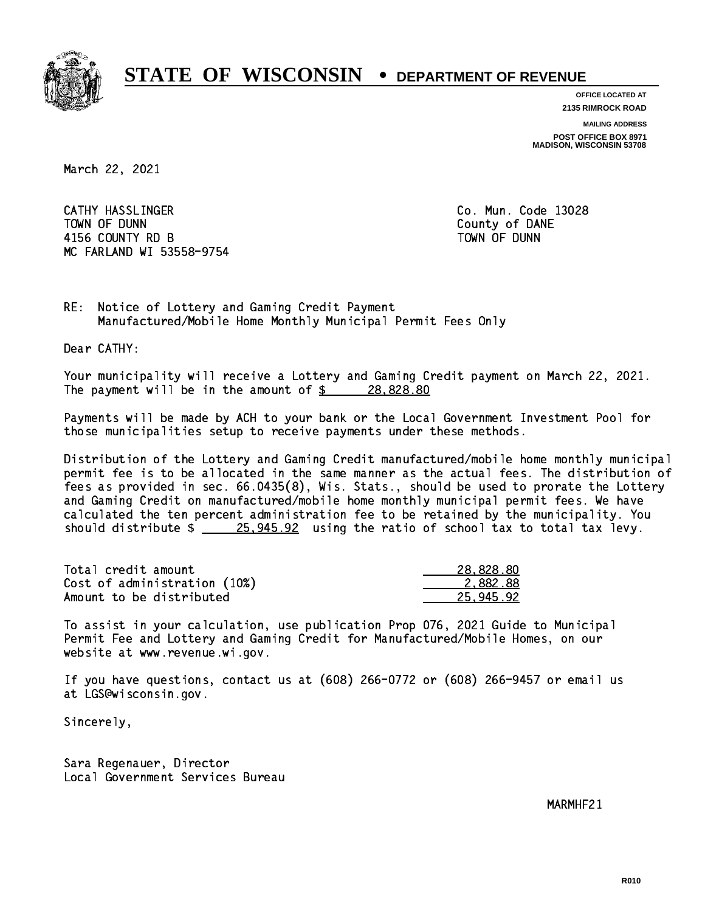

**OFFICE LOCATED AT 2135 RIMROCK ROAD**

**MAILING ADDRESS**

**POST OFFICE BOX 8971 MADISON, WISCONSIN 53708**

March 22, 2021

 CATHY HASSLINGER Co. Mun. Code 13028 TOWN OF DUNN County of DANE 4156 COUNTY RD B TOWN OF DUNN MC FARLAND WI 53558-9754

RE: Notice of Lottery and Gaming Credit Payment Manufactured/Mobile Home Monthly Municipal Permit Fees Only

Dear CATHY:

 Your municipality will receive a Lottery and Gaming Credit payment on March 22, 2021. The payment will be in the amount of  $\frac{28.828.80}{28.00}$ 

 Payments will be made by ACH to your bank or the Local Government Investment Pool for those municipalities setup to receive payments under these methods.

 Distribution of the Lottery and Gaming Credit manufactured/mobile home monthly municipal permit fee is to be allocated in the same manner as the actual fees. The distribution of fees as provided in sec. 66.0435(8), Wis. Stats., should be used to prorate the Lottery and Gaming Credit on manufactured/mobile home monthly municipal permit fees. We have calculated the ten percent administration fee to be retained by the municipality. You should distribute  $\frac{25,945.92}{25,945.92}$  using the ratio of school tax to total tax levy.

| Total credit amount          | 28,828,80 |
|------------------------------|-----------|
| Cost of administration (10%) | 2.882.88  |
| Amount to be distributed     | 25.945.92 |

 To assist in your calculation, use publication Prop 076, 2021 Guide to Municipal Permit Fee and Lottery and Gaming Credit for Manufactured/Mobile Homes, on our website at www.revenue.wi.gov.

 If you have questions, contact us at (608) 266-0772 or (608) 266-9457 or email us at LGS@wisconsin.gov.

Sincerely,

 Sara Regenauer, Director Local Government Services Bureau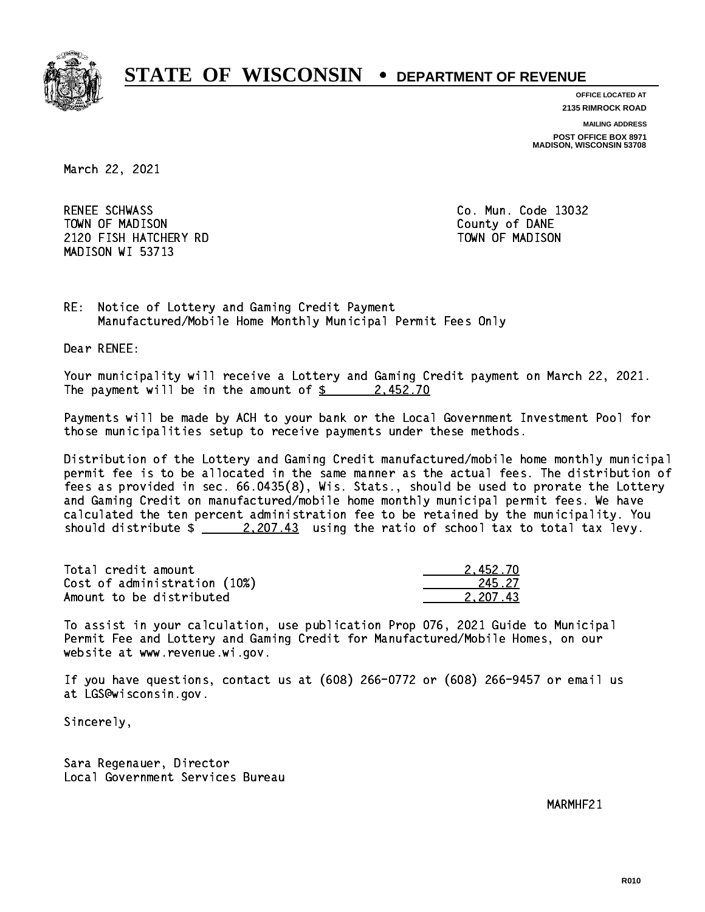

**OFFICE LOCATED AT 2135 RIMROCK ROAD**

**MAILING ADDRESS**

**POST OFFICE BOX 8971 MADISON, WISCONSIN 53708**

March 22, 2021

RENEE SCHWASS TOWN OF MADISON County of DANE 2120 FISH HATCHERY RD TOWN OF MADISON MADISON WI 53713

Co. Mun. Code 13032

RE: Notice of Lottery and Gaming Credit Payment Manufactured/Mobile Home Monthly Municipal Permit Fees Only

Dear RENEE:

 Your municipality will receive a Lottery and Gaming Credit payment on March 22, 2021. The payment will be in the amount of  $\frac{2}{3}$  2,452.70

 Payments will be made by ACH to your bank or the Local Government Investment Pool for those municipalities setup to receive payments under these methods.

 Distribution of the Lottery and Gaming Credit manufactured/mobile home monthly municipal permit fee is to be allocated in the same manner as the actual fees. The distribution of fees as provided in sec. 66.0435(8), Wis. Stats., should be used to prorate the Lottery and Gaming Credit on manufactured/mobile home monthly municipal permit fees. We have calculated the ten percent administration fee to be retained by the municipality. You should distribute  $\frac{2,207.43}{2}$  using the ratio of school tax to total tax levy.

| Total credit amount          | 2.452.70 |
|------------------------------|----------|
| Cost of administration (10%) | 245.27   |
| Amount to be distributed     | 2.207.43 |

 To assist in your calculation, use publication Prop 076, 2021 Guide to Municipal Permit Fee and Lottery and Gaming Credit for Manufactured/Mobile Homes, on our website at www.revenue.wi.gov.

 If you have questions, contact us at (608) 266-0772 or (608) 266-9457 or email us at LGS@wisconsin.gov.

Sincerely,

 Sara Regenauer, Director Local Government Services Bureau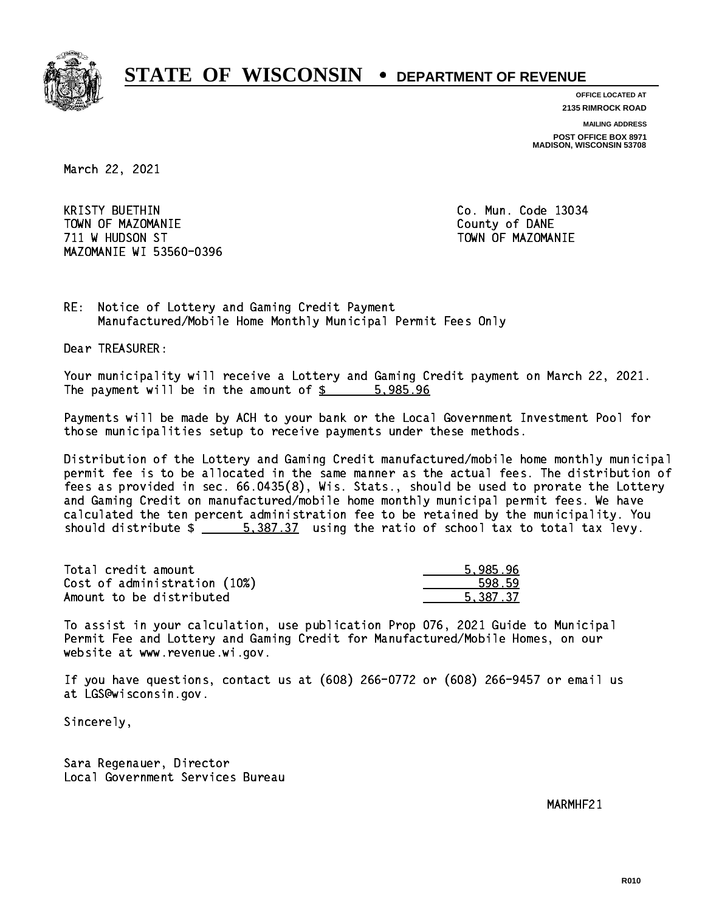

**OFFICE LOCATED AT 2135 RIMROCK ROAD**

**MAILING ADDRESS**

**POST OFFICE BOX 8971 MADISON, WISCONSIN 53708**

March 22, 2021

**KRISTY BUETHIN**  TOWN OF MAZOMANIE County of DANE 711 W HUDSON ST TOWN OF MAZOMANIE MAZOMANIE WI 53560-0396

Co. Mun. Code 13034

RE: Notice of Lottery and Gaming Credit Payment Manufactured/Mobile Home Monthly Municipal Permit Fees Only

Dear TREASURER:

 Your municipality will receive a Lottery and Gaming Credit payment on March 22, 2021. The payment will be in the amount of \$ 5,985.96 \_\_\_\_\_\_\_\_\_\_\_\_\_\_\_\_

 Payments will be made by ACH to your bank or the Local Government Investment Pool for those municipalities setup to receive payments under these methods.

 Distribution of the Lottery and Gaming Credit manufactured/mobile home monthly municipal permit fee is to be allocated in the same manner as the actual fees. The distribution of fees as provided in sec. 66.0435(8), Wis. Stats., should be used to prorate the Lottery and Gaming Credit on manufactured/mobile home monthly municipal permit fees. We have calculated the ten percent administration fee to be retained by the municipality. You should distribute  $\frac{2}{1}$   $\frac{5,387.37}{2}$  using the ratio of school tax to total tax levy.

| Total credit amount          | 5.985.96 |
|------------------------------|----------|
| Cost of administration (10%) | 598.59   |
| Amount to be distributed     | 5.387.37 |

 To assist in your calculation, use publication Prop 076, 2021 Guide to Municipal Permit Fee and Lottery and Gaming Credit for Manufactured/Mobile Homes, on our website at www.revenue.wi.gov.

 If you have questions, contact us at (608) 266-0772 or (608) 266-9457 or email us at LGS@wisconsin.gov.

Sincerely,

 Sara Regenauer, Director Local Government Services Bureau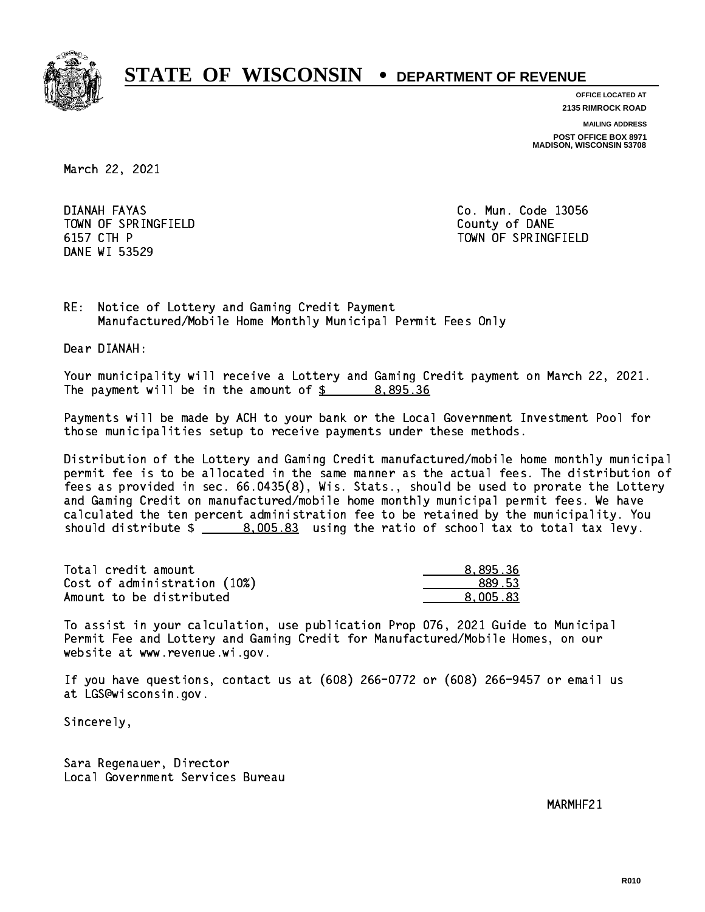

**OFFICE LOCATED AT 2135 RIMROCK ROAD**

**MAILING ADDRESS**

**POST OFFICE BOX 8971 MADISON, WISCONSIN 53708**

March 22, 2021

DIANAH FAYAS TOWN OF SPRINGFIELD **COUNTY OF SAME IN TIME OF SPRINGFIELD** 6157 CTH P DANE WI 53529

Co. Mun. Code 13056 TOWN OF SPRINGFIELD

RE: Notice of Lottery and Gaming Credit Payment Manufactured/Mobile Home Monthly Municipal Permit Fees Only

Dear DIANAH:

 Your municipality will receive a Lottery and Gaming Credit payment on March 22, 2021. The payment will be in the amount of  $\frac{2}{3}$  8,895.36

 Payments will be made by ACH to your bank or the Local Government Investment Pool for those municipalities setup to receive payments under these methods.

 Distribution of the Lottery and Gaming Credit manufactured/mobile home monthly municipal permit fee is to be allocated in the same manner as the actual fees. The distribution of fees as provided in sec. 66.0435(8), Wis. Stats., should be used to prorate the Lottery and Gaming Credit on manufactured/mobile home monthly municipal permit fees. We have calculated the ten percent administration fee to be retained by the municipality. You should distribute  $\frac{2}{1}$   $\frac{8,005.83}{2}$  using the ratio of school tax to total tax levy.

| Total credit amount          | 8.895.36 |
|------------------------------|----------|
| Cost of administration (10%) | 889.53   |
| Amount to be distributed     | 8.005.83 |

 To assist in your calculation, use publication Prop 076, 2021 Guide to Municipal Permit Fee and Lottery and Gaming Credit for Manufactured/Mobile Homes, on our website at www.revenue.wi.gov.

 If you have questions, contact us at (608) 266-0772 or (608) 266-9457 or email us at LGS@wisconsin.gov.

Sincerely,

 Sara Regenauer, Director Local Government Services Bureau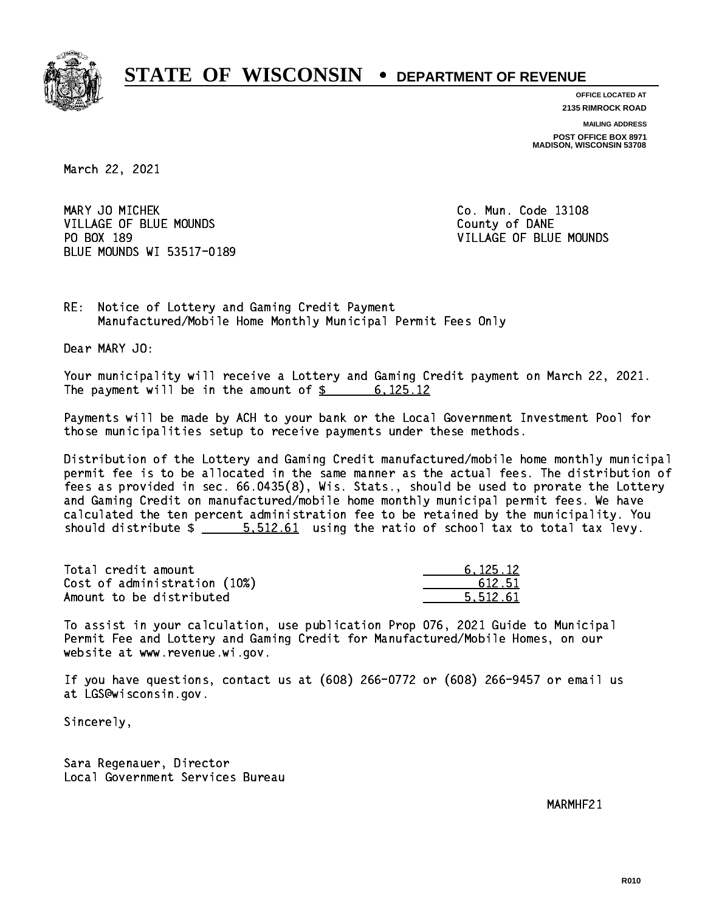

**OFFICE LOCATED AT**

**2135 RIMROCK ROAD**

**MAILING ADDRESS POST OFFICE BOX 8971 MADISON, WISCONSIN 53708**

March 22, 2021

MARY JO MICHEK VILLAGE OF BLUE MOUNDS **COUNTY OF BLUE MOUNDS** COUNTY OF DANE PO BOX 189 BLUE MOUNDS WI 53517-0189

Co. Mun. Code 13108 VILLAGE OF BLUE MOUNDS

RE: Notice of Lottery and Gaming Credit Payment Manufactured/Mobile Home Monthly Municipal Permit Fees Only

Dear MARY JO:

 Your municipality will receive a Lottery and Gaming Credit payment on March 22, 2021. The payment will be in the amount of  $\frac{2}{3}$  6,125.12

 Payments will be made by ACH to your bank or the Local Government Investment Pool for those municipalities setup to receive payments under these methods.

 Distribution of the Lottery and Gaming Credit manufactured/mobile home monthly municipal permit fee is to be allocated in the same manner as the actual fees. The distribution of fees as provided in sec. 66.0435(8), Wis. Stats., should be used to prorate the Lottery and Gaming Credit on manufactured/mobile home monthly municipal permit fees. We have calculated the ten percent administration fee to be retained by the municipality. You should distribute  $\frac{2}{1}$   $\frac{5.512.61}{2}$  using the ratio of school tax to total tax levy.

| Total credit amount          | 6.125.12 |
|------------------------------|----------|
| Cost of administration (10%) | 612.51   |
| Amount to be distributed     | 5.512.61 |

 To assist in your calculation, use publication Prop 076, 2021 Guide to Municipal Permit Fee and Lottery and Gaming Credit for Manufactured/Mobile Homes, on our website at www.revenue.wi.gov.

 If you have questions, contact us at (608) 266-0772 or (608) 266-9457 or email us at LGS@wisconsin.gov.

Sincerely,

 Sara Regenauer, Director Local Government Services Bureau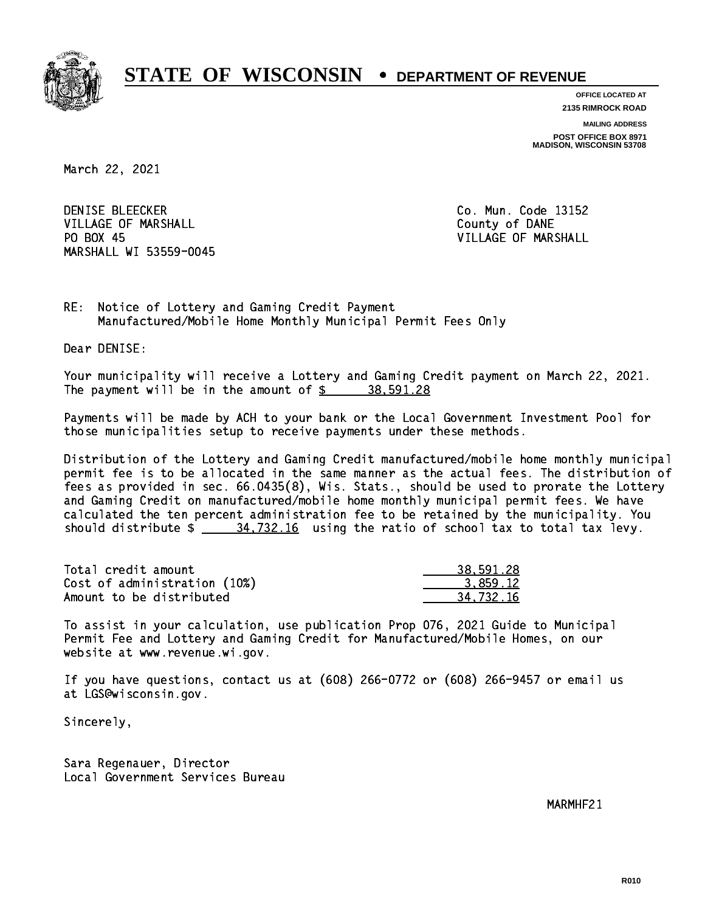

**OFFICE LOCATED AT**

**2135 RIMROCK ROAD**

**MAILING ADDRESS POST OFFICE BOX 8971 MADISON, WISCONSIN 53708**

March 22, 2021

**DENISE BLEECKER** VILLAGE OF MARSHALL **COUNTY OF MARSHALL** PO BOX 45 MARSHALL WI 53559-0045

Co. Mun. Code 13152 VILLAGE OF MARSHALL

RE: Notice of Lottery and Gaming Credit Payment Manufactured/Mobile Home Monthly Municipal Permit Fees Only

Dear DENISE:

 Your municipality will receive a Lottery and Gaming Credit payment on March 22, 2021. The payment will be in the amount of  $\frac{2}{3}$  38,591.28

 Payments will be made by ACH to your bank or the Local Government Investment Pool for those municipalities setup to receive payments under these methods.

 Distribution of the Lottery and Gaming Credit manufactured/mobile home monthly municipal permit fee is to be allocated in the same manner as the actual fees. The distribution of fees as provided in sec. 66.0435(8), Wis. Stats., should be used to prorate the Lottery and Gaming Credit on manufactured/mobile home monthly municipal permit fees. We have calculated the ten percent administration fee to be retained by the municipality. You should distribute  $\frac{24,732.16}{2}$  using the ratio of school tax to total tax levy.

| Total credit amount          | 38,591.28 |
|------------------------------|-----------|
| Cost of administration (10%) | 3.859.12  |
| Amount to be distributed     | 34.732.16 |

 To assist in your calculation, use publication Prop 076, 2021 Guide to Municipal Permit Fee and Lottery and Gaming Credit for Manufactured/Mobile Homes, on our website at www.revenue.wi.gov.

 If you have questions, contact us at (608) 266-0772 or (608) 266-9457 or email us at LGS@wisconsin.gov.

Sincerely,

 Sara Regenauer, Director Local Government Services Bureau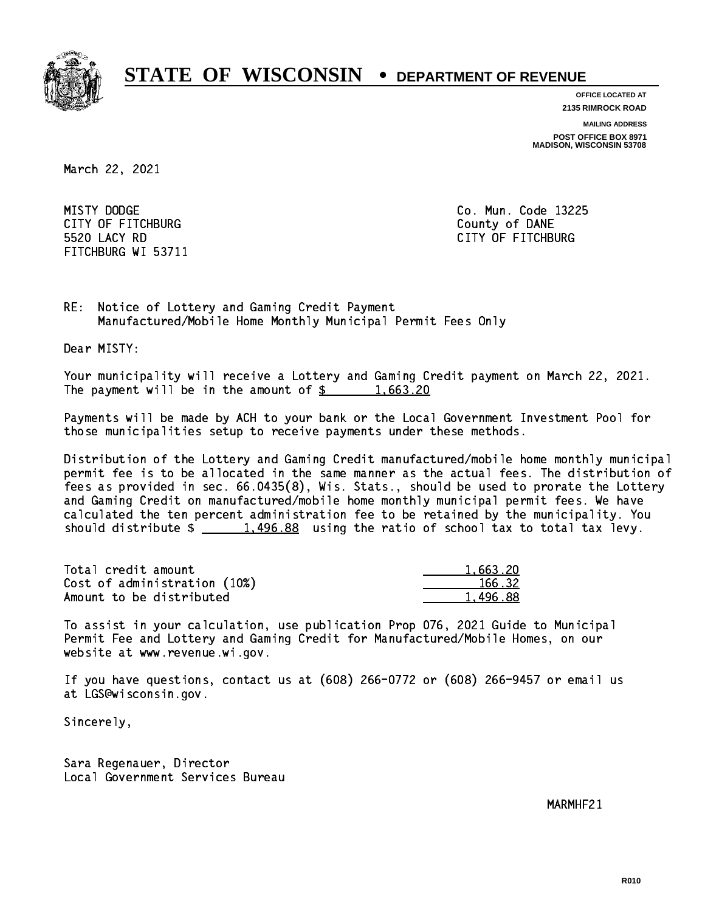

**OFFICE LOCATED AT 2135 RIMROCK ROAD**

**MAILING ADDRESS**

**POST OFFICE BOX 8971 MADISON, WISCONSIN 53708**

March 22, 2021

MISTY DODGE CITY OF FITCHBURG COUNTY COUNTY OF DANE 5520 LACY RD FITCHBURG WI 53711

Co. Mun. Code 13225 CITY OF FITCHBURG

RE: Notice of Lottery and Gaming Credit Payment Manufactured/Mobile Home Monthly Municipal Permit Fees Only

Dear MISTY:

 Your municipality will receive a Lottery and Gaming Credit payment on March 22, 2021. The payment will be in the amount of  $\frac{2}{3}$  1,663.20

 Payments will be made by ACH to your bank or the Local Government Investment Pool for those municipalities setup to receive payments under these methods.

 Distribution of the Lottery and Gaming Credit manufactured/mobile home monthly municipal permit fee is to be allocated in the same manner as the actual fees. The distribution of fees as provided in sec. 66.0435(8), Wis. Stats., should be used to prorate the Lottery and Gaming Credit on manufactured/mobile home monthly municipal permit fees. We have calculated the ten percent administration fee to be retained by the municipality. You should distribute  $\frac{1,496.88}{2}$  using the ratio of school tax to total tax levy.

| Total credit amount          | 1.663.20 |
|------------------------------|----------|
| Cost of administration (10%) | 166.32   |
| Amount to be distributed     | 1,496.88 |

 To assist in your calculation, use publication Prop 076, 2021 Guide to Municipal Permit Fee and Lottery and Gaming Credit for Manufactured/Mobile Homes, on our website at www.revenue.wi.gov.

 If you have questions, contact us at (608) 266-0772 or (608) 266-9457 or email us at LGS@wisconsin.gov.

Sincerely,

 Sara Regenauer, Director Local Government Services Bureau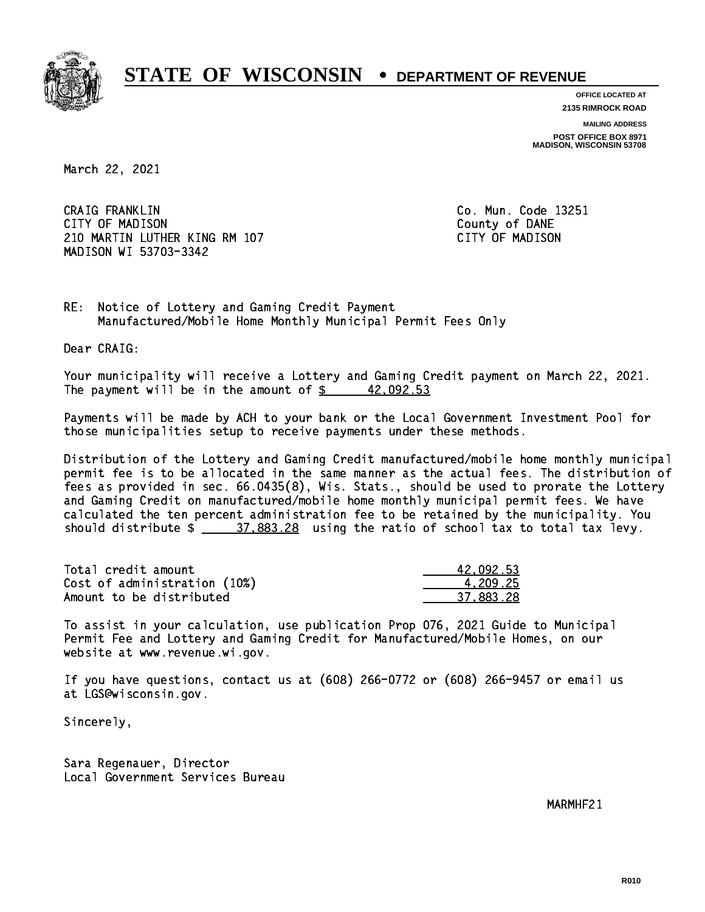

**OFFICE LOCATED AT 2135 RIMROCK ROAD**

**MAILING ADDRESS**

**POST OFFICE BOX 8971 MADISON, WISCONSIN 53708**

March 22, 2021

 CRAIG FRANKLIN Co. Mun. Code 13251 CITY OF MADISON County of DANE 210 MARTIN LUTHER KING RM 107 CONTROLLER STATES TO MADISON MADISON WI 53703-3342

RE: Notice of Lottery and Gaming Credit Payment Manufactured/Mobile Home Monthly Municipal Permit Fees Only

Dear CRAIG:

 Your municipality will receive a Lottery and Gaming Credit payment on March 22, 2021. The payment will be in the amount of  $\frac{2}{3}$  42,092.53

 Payments will be made by ACH to your bank or the Local Government Investment Pool for those municipalities setup to receive payments under these methods.

 Distribution of the Lottery and Gaming Credit manufactured/mobile home monthly municipal permit fee is to be allocated in the same manner as the actual fees. The distribution of fees as provided in sec. 66.0435(8), Wis. Stats., should be used to prorate the Lottery and Gaming Credit on manufactured/mobile home monthly municipal permit fees. We have calculated the ten percent administration fee to be retained by the municipality. You should distribute  $\frac{27.883.28}{27.883.28}$  using the ratio of school tax to total tax levy.

| Total credit amount          | 42.092.53 |
|------------------------------|-----------|
| Cost of administration (10%) | 4.209.25  |
| Amount to be distributed     | 37,883.28 |

 To assist in your calculation, use publication Prop 076, 2021 Guide to Municipal Permit Fee and Lottery and Gaming Credit for Manufactured/Mobile Homes, on our website at www.revenue.wi.gov.

 If you have questions, contact us at (608) 266-0772 or (608) 266-9457 or email us at LGS@wisconsin.gov.

Sincerely,

 Sara Regenauer, Director Local Government Services Bureau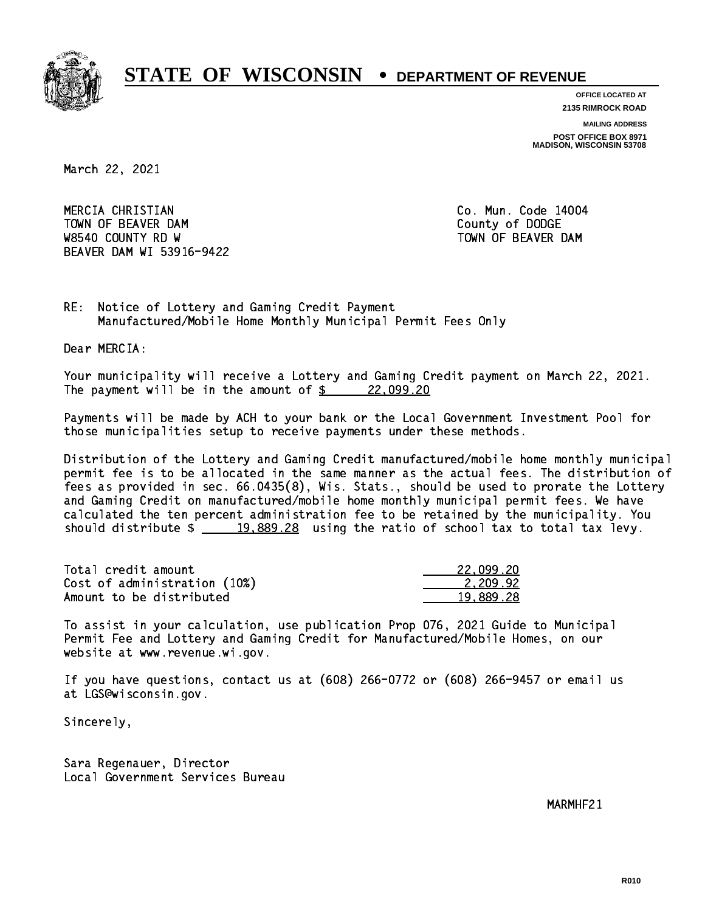

**OFFICE LOCATED AT 2135 RIMROCK ROAD**

**MAILING ADDRESS**

**POST OFFICE BOX 8971 MADISON, WISCONSIN 53708**

March 22, 2021

 MERCIA CHRISTIAN Co. Mun. Code 14004 TOWN OF BEAVER DAM **COUNTY OF SEARCH COUNTY OF DODGE** W8540 COUNTY RD W TOWN OF BEAVER DAM BEAVER DAM WI 53916-9422

RE: Notice of Lottery and Gaming Credit Payment Manufactured/Mobile Home Monthly Municipal Permit Fees Only

Dear MERCIA:

 Your municipality will receive a Lottery and Gaming Credit payment on March 22, 2021. The payment will be in the amount of  $\frac{22,099.20}{20}$ 

 Payments will be made by ACH to your bank or the Local Government Investment Pool for those municipalities setup to receive payments under these methods.

 Distribution of the Lottery and Gaming Credit manufactured/mobile home monthly municipal permit fee is to be allocated in the same manner as the actual fees. The distribution of fees as provided in sec. 66.0435(8), Wis. Stats., should be used to prorate the Lottery and Gaming Credit on manufactured/mobile home monthly municipal permit fees. We have calculated the ten percent administration fee to be retained by the municipality. You should distribute  $\frac{19,889.28}{2}$  using the ratio of school tax to total tax levy.

| Total credit amount          | 22.099.20 |
|------------------------------|-----------|
| Cost of administration (10%) | 2.209.92  |
| Amount to be distributed     | 19,889.28 |

 To assist in your calculation, use publication Prop 076, 2021 Guide to Municipal Permit Fee and Lottery and Gaming Credit for Manufactured/Mobile Homes, on our website at www.revenue.wi.gov.

 If you have questions, contact us at (608) 266-0772 or (608) 266-9457 or email us at LGS@wisconsin.gov.

Sincerely,

 Sara Regenauer, Director Local Government Services Bureau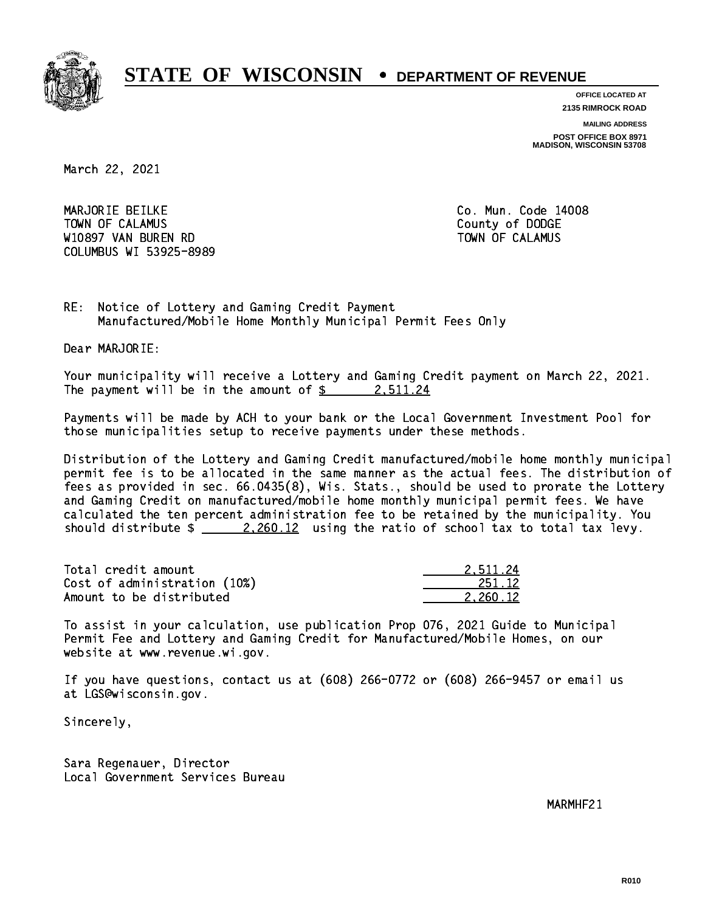

**OFFICE LOCATED AT 2135 RIMROCK ROAD**

**MAILING ADDRESS**

**POST OFFICE BOX 8971 MADISON, WISCONSIN 53708**

March 22, 2021

 MARJORIE BEILKE Co. Mun. Code 14008 Town of Calamus County of Dodge County of Dodge County of Dodge County of Dodge County of Dodge County of Dodge W10897 VAN BUREN RD TOWN OF CALAMUS COLUMBUS WI 53925-8989

RE: Notice of Lottery and Gaming Credit Payment Manufactured/Mobile Home Monthly Municipal Permit Fees Only

Dear MARJORIE:

 Your municipality will receive a Lottery and Gaming Credit payment on March 22, 2021. The payment will be in the amount of  $\frac{2}{3}$  2,511.24

 Payments will be made by ACH to your bank or the Local Government Investment Pool for those municipalities setup to receive payments under these methods.

 Distribution of the Lottery and Gaming Credit manufactured/mobile home monthly municipal permit fee is to be allocated in the same manner as the actual fees. The distribution of fees as provided in sec. 66.0435(8), Wis. Stats., should be used to prorate the Lottery and Gaming Credit on manufactured/mobile home monthly municipal permit fees. We have calculated the ten percent administration fee to be retained by the municipality. You should distribute  $\frac{2,260.12}{2}$  using the ratio of school tax to total tax levy.

| Total credit amount          | 2.511.24 |
|------------------------------|----------|
| Cost of administration (10%) | 251.12   |
| Amount to be distributed     | 2.260.12 |

 To assist in your calculation, use publication Prop 076, 2021 Guide to Municipal Permit Fee and Lottery and Gaming Credit for Manufactured/Mobile Homes, on our website at www.revenue.wi.gov.

 If you have questions, contact us at (608) 266-0772 or (608) 266-9457 or email us at LGS@wisconsin.gov.

Sincerely,

 Sara Regenauer, Director Local Government Services Bureau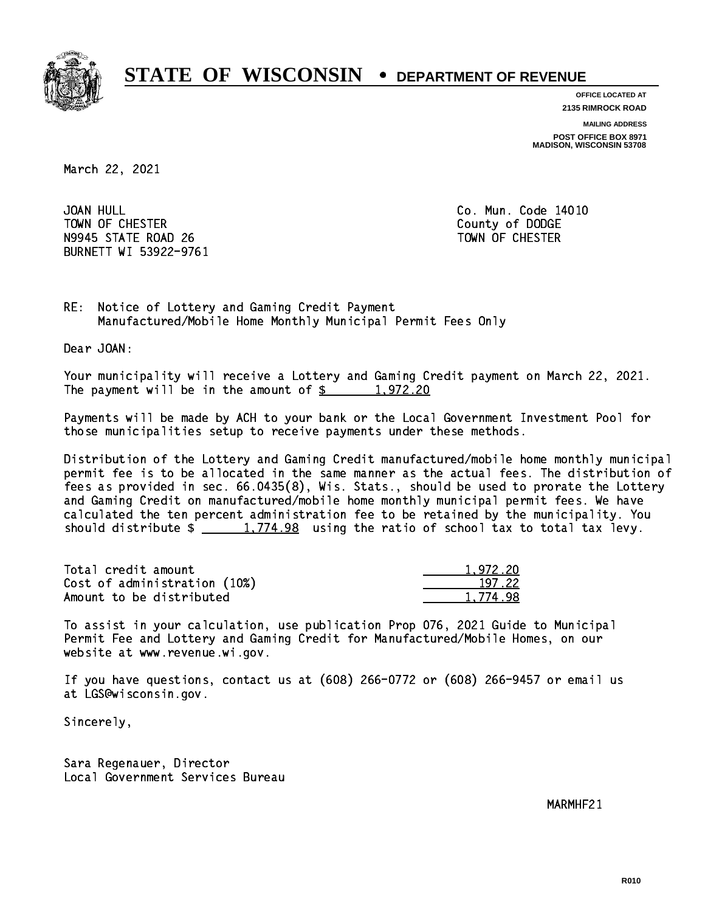

**OFFICE LOCATED AT 2135 RIMROCK ROAD**

**MAILING ADDRESS**

**POST OFFICE BOX 8971 MADISON, WISCONSIN 53708**

March 22, 2021

JOAN HULL TOWN OF CHESTER COUNTY OF DODGE COUNTY OF DODGE N9945 STATE ROAD 26 TOWN OF CHESTER BURNETT WI 53922-9761

Co. Mun. Code 14010

RE: Notice of Lottery and Gaming Credit Payment Manufactured/Mobile Home Monthly Municipal Permit Fees Only

Dear JOAN:

 Your municipality will receive a Lottery and Gaming Credit payment on March 22, 2021. The payment will be in the amount of  $\frac{2}{3}$  1,972.20

 Payments will be made by ACH to your bank or the Local Government Investment Pool for those municipalities setup to receive payments under these methods.

 Distribution of the Lottery and Gaming Credit manufactured/mobile home monthly municipal permit fee is to be allocated in the same manner as the actual fees. The distribution of fees as provided in sec. 66.0435(8), Wis. Stats., should be used to prorate the Lottery and Gaming Credit on manufactured/mobile home monthly municipal permit fees. We have calculated the ten percent administration fee to be retained by the municipality. You should distribute  $\frac{2}{2}$   $\frac{1,774.98}{2}$  using the ratio of school tax to total tax levy.

| Total credit amount          | 1.972.20 |
|------------------------------|----------|
| Cost of administration (10%) | 197.22   |
| Amount to be distributed     | 1.774.98 |

 To assist in your calculation, use publication Prop 076, 2021 Guide to Municipal Permit Fee and Lottery and Gaming Credit for Manufactured/Mobile Homes, on our website at www.revenue.wi.gov.

 If you have questions, contact us at (608) 266-0772 or (608) 266-9457 or email us at LGS@wisconsin.gov.

Sincerely,

 Sara Regenauer, Director Local Government Services Bureau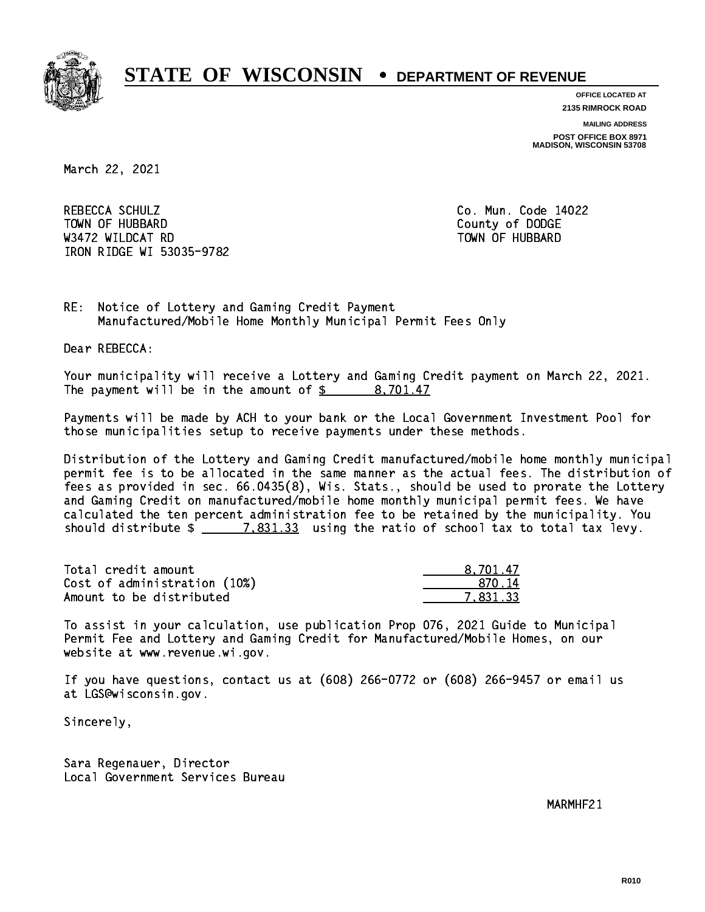

**OFFICE LOCATED AT 2135 RIMROCK ROAD**

**MAILING ADDRESS**

**POST OFFICE BOX 8971 MADISON, WISCONSIN 53708**

March 22, 2021

REBECCA SCHULZ Town of Hubbard County of Dodge County of Dodge County of Dodge County of Dodge County of Dodge County of Dodge County of Dodge County of Dodge County of Dodge County of Dodge County of Dodge County of Dodge County of Dodg was a constructed by the construction of the construction of the construction of the construction of the construction of the construction of the construction of the construction of the construction of the construction of t IRON RIDGE WI 53035-9782

Co. Mun. Code 14022

RE: Notice of Lottery and Gaming Credit Payment Manufactured/Mobile Home Monthly Municipal Permit Fees Only

Dear REBECCA:

 Your municipality will receive a Lottery and Gaming Credit payment on March 22, 2021. The payment will be in the amount of \$ 8,701.47 \_\_\_\_\_\_\_\_\_\_\_\_\_\_\_\_

 Payments will be made by ACH to your bank or the Local Government Investment Pool for those municipalities setup to receive payments under these methods.

 Distribution of the Lottery and Gaming Credit manufactured/mobile home monthly municipal permit fee is to be allocated in the same manner as the actual fees. The distribution of fees as provided in sec. 66.0435(8), Wis. Stats., should be used to prorate the Lottery and Gaming Credit on manufactured/mobile home monthly municipal permit fees. We have calculated the ten percent administration fee to be retained by the municipality. You should distribute  $\frac{2}{2}$   $\frac{7,831.33}{2}$  using the ratio of school tax to total tax levy.

| Total credit amount          | 8.701.47 |
|------------------------------|----------|
| Cost of administration (10%) | .870.14  |
| Amount to be distributed     | 7.831.33 |

 To assist in your calculation, use publication Prop 076, 2021 Guide to Municipal Permit Fee and Lottery and Gaming Credit for Manufactured/Mobile Homes, on our website at www.revenue.wi.gov.

 If you have questions, contact us at (608) 266-0772 or (608) 266-9457 or email us at LGS@wisconsin.gov.

Sincerely,

 Sara Regenauer, Director Local Government Services Bureau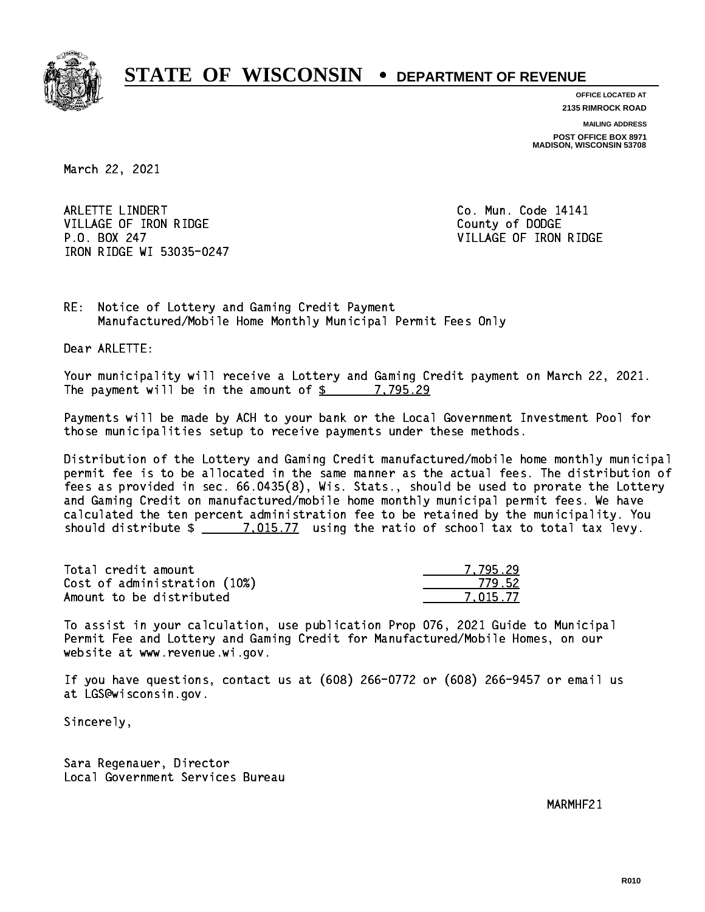

**OFFICE LOCATED AT**

**2135 RIMROCK ROAD**

**MAILING ADDRESS POST OFFICE BOX 8971 MADISON, WISCONSIN 53708**

March 22, 2021

ARLETTE LINDERT **Co. Mun. Code 14141** VILLAGE OF IRON RIDGE COUNTY OF DODGE P.O. BOX 247 VILLAGE OF IRON RIDGE IRON RIDGE WI 53035-0247

RE: Notice of Lottery and Gaming Credit Payment Manufactured/Mobile Home Monthly Municipal Permit Fees Only

Dear ARLETTE:

 Your municipality will receive a Lottery and Gaming Credit payment on March 22, 2021. The payment will be in the amount of  $\frac{2}{3}$  7,795.29

 Payments will be made by ACH to your bank or the Local Government Investment Pool for those municipalities setup to receive payments under these methods.

 Distribution of the Lottery and Gaming Credit manufactured/mobile home monthly municipal permit fee is to be allocated in the same manner as the actual fees. The distribution of fees as provided in sec. 66.0435(8), Wis. Stats., should be used to prorate the Lottery and Gaming Credit on manufactured/mobile home monthly municipal permit fees. We have calculated the ten percent administration fee to be retained by the municipality. You should distribute  $\frac{2}{2}$   $\frac{7,015.77}{2}$  using the ratio of school tax to total tax levy.

| Total credit amount          | 7.795.29 |
|------------------------------|----------|
| Cost of administration (10%) | 779.52   |
| Amount to be distributed     | 7.015.77 |

 To assist in your calculation, use publication Prop 076, 2021 Guide to Municipal Permit Fee and Lottery and Gaming Credit for Manufactured/Mobile Homes, on our website at www.revenue.wi.gov.

 If you have questions, contact us at (608) 266-0772 or (608) 266-9457 or email us at LGS@wisconsin.gov.

Sincerely,

 Sara Regenauer, Director Local Government Services Bureau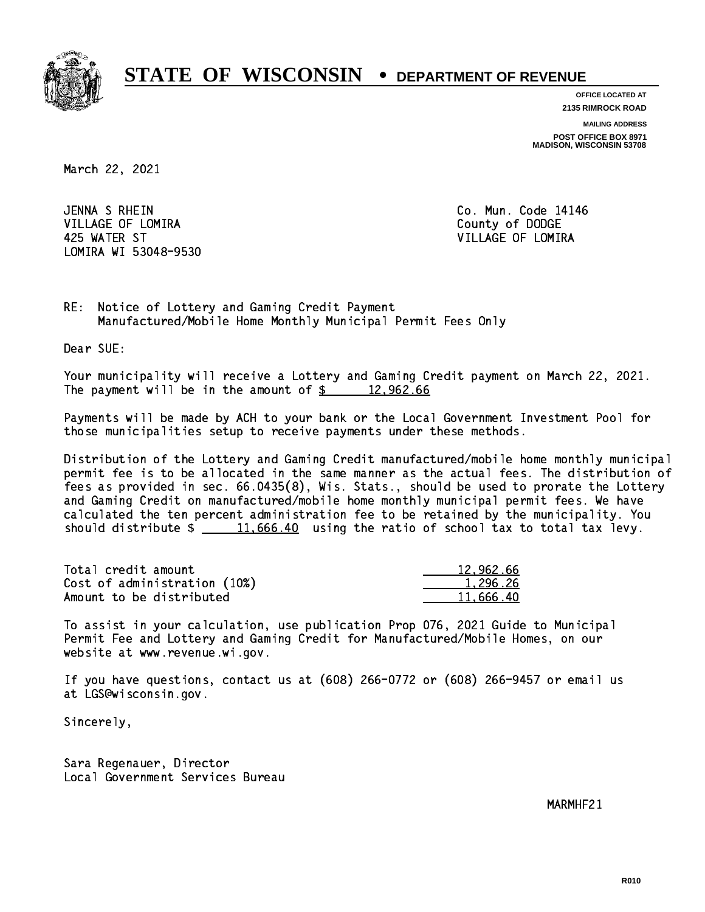

**OFFICE LOCATED AT 2135 RIMROCK ROAD**

**MAILING ADDRESS**

**POST OFFICE BOX 8971 MADISON, WISCONSIN 53708**

March 22, 2021

JENNA S RHEIN VILLAGE OF LOMIRA **COUNTY OF LOGAL COUNTY OF DODGE**  425 WATER ST VILLAGE OF LOMIRA LOMIRA WI 53048-9530

Co. Mun. Code 14146

RE: Notice of Lottery and Gaming Credit Payment Manufactured/Mobile Home Monthly Municipal Permit Fees Only

Dear SUE:

 Your municipality will receive a Lottery and Gaming Credit payment on March 22, 2021. The payment will be in the amount of  $\frac{2}{3}$  12,962.66

 Payments will be made by ACH to your bank or the Local Government Investment Pool for those municipalities setup to receive payments under these methods.

 Distribution of the Lottery and Gaming Credit manufactured/mobile home monthly municipal permit fee is to be allocated in the same manner as the actual fees. The distribution of fees as provided in sec. 66.0435(8), Wis. Stats., should be used to prorate the Lottery and Gaming Credit on manufactured/mobile home monthly municipal permit fees. We have calculated the ten percent administration fee to be retained by the municipality. You should distribute  $\frac{11,666.40}{2}$  using the ratio of school tax to total tax levy.

| Total credit amount          | 12,962.66 |
|------------------------------|-----------|
| Cost of administration (10%) | 1.296.26  |
| Amount to be distributed     | 11.666.40 |

 To assist in your calculation, use publication Prop 076, 2021 Guide to Municipal Permit Fee and Lottery and Gaming Credit for Manufactured/Mobile Homes, on our website at www.revenue.wi.gov.

 If you have questions, contact us at (608) 266-0772 or (608) 266-9457 or email us at LGS@wisconsin.gov.

Sincerely,

 Sara Regenauer, Director Local Government Services Bureau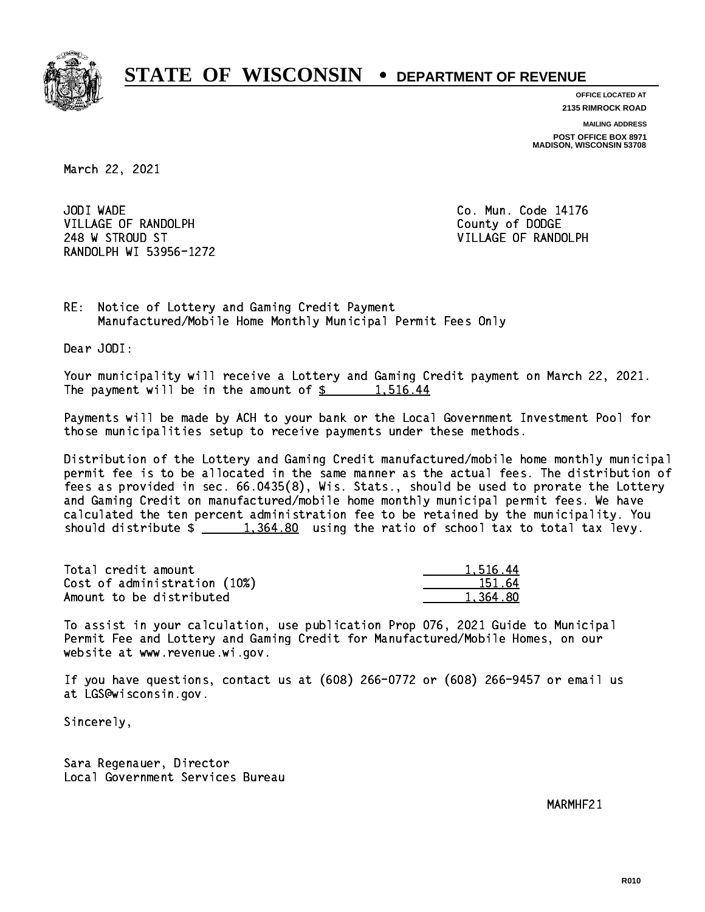

**OFFICE LOCATED AT 2135 RIMROCK ROAD**

**MAILING ADDRESS**

**POST OFFICE BOX 8971 MADISON, WISCONSIN 53708**

March 22, 2021

JODI WADE VILLAGE OF RANDOLPH COUNTY COUNTY OF DODGE 248 W STROUD ST VILLAGE OF RANDOLPH RANDOLPH WI 53956-1272

Co. Mun. Code 14176

RE: Notice of Lottery and Gaming Credit Payment Manufactured/Mobile Home Monthly Municipal Permit Fees Only

Dear JODI:

 Your municipality will receive a Lottery and Gaming Credit payment on March 22, 2021. The payment will be in the amount of  $\frac{2}{3}$  1,516.44

 Payments will be made by ACH to your bank or the Local Government Investment Pool for those municipalities setup to receive payments under these methods.

 Distribution of the Lottery and Gaming Credit manufactured/mobile home monthly municipal permit fee is to be allocated in the same manner as the actual fees. The distribution of fees as provided in sec. 66.0435(8), Wis. Stats., should be used to prorate the Lottery and Gaming Credit on manufactured/mobile home monthly municipal permit fees. We have calculated the ten percent administration fee to be retained by the municipality. You should distribute  $\frac{1,364.80}{1,364.80}$  using the ratio of school tax to total tax levy.

| Total credit amount          | 1.516.44 |
|------------------------------|----------|
| Cost of administration (10%) | 151.64   |
| Amount to be distributed     | 1.364.80 |

 To assist in your calculation, use publication Prop 076, 2021 Guide to Municipal Permit Fee and Lottery and Gaming Credit for Manufactured/Mobile Homes, on our website at www.revenue.wi.gov.

 If you have questions, contact us at (608) 266-0772 or (608) 266-9457 or email us at LGS@wisconsin.gov.

Sincerely,

 Sara Regenauer, Director Local Government Services Bureau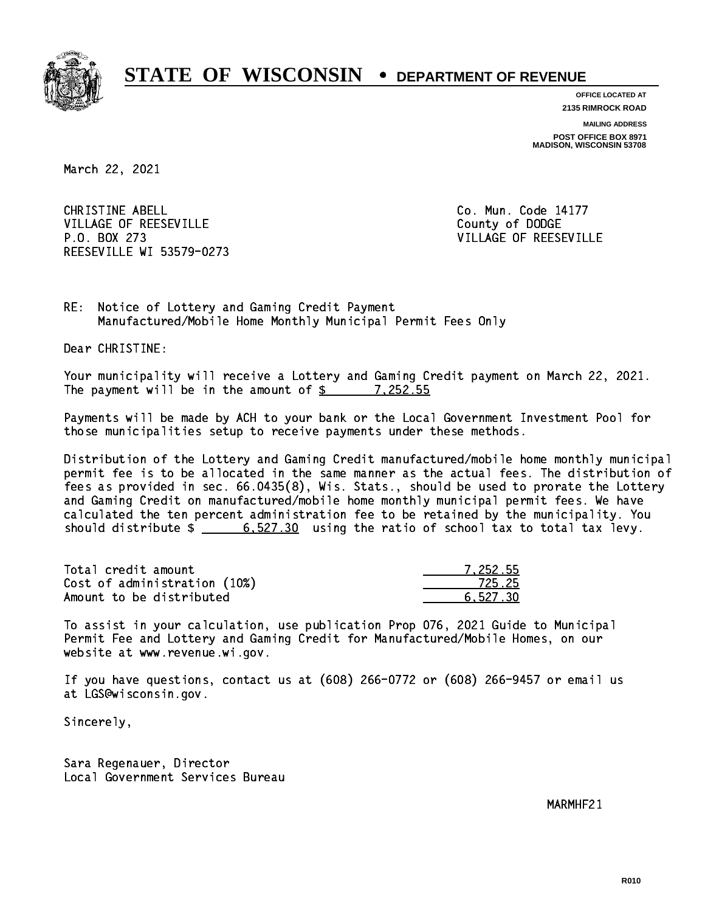

**OFFICE LOCATED AT 2135 RIMROCK ROAD**

**MAILING ADDRESS POST OFFICE BOX 8971 MADISON, WISCONSIN 53708**

March 22, 2021

CHRISTINE ABELL **CHRISTINE ABELL** VILLAGE OF REESEVILLE COUNTY OF DODGE P.O. BOX 273 VILLAGE OF REESEVILLE REESEVILLE WI 53579-0273

RE: Notice of Lottery and Gaming Credit Payment Manufactured/Mobile Home Monthly Municipal Permit Fees Only

Dear CHRISTINE:

 Your municipality will receive a Lottery and Gaming Credit payment on March 22, 2021. The payment will be in the amount of  $\frac{2}{3}$  7,252.55

 Payments will be made by ACH to your bank or the Local Government Investment Pool for those municipalities setup to receive payments under these methods.

 Distribution of the Lottery and Gaming Credit manufactured/mobile home monthly municipal permit fee is to be allocated in the same manner as the actual fees. The distribution of fees as provided in sec. 66.0435(8), Wis. Stats., should be used to prorate the Lottery and Gaming Credit on manufactured/mobile home monthly municipal permit fees. We have calculated the ten percent administration fee to be retained by the municipality. You should distribute  $\frac{2}{1}$   $\frac{6}{527.30}$  using the ratio of school tax to total tax levy.

| Total credit amount          | 7.252.55 |
|------------------------------|----------|
| Cost of administration (10%) | 725.25   |
| Amount to be distributed     | 6.527.30 |

 To assist in your calculation, use publication Prop 076, 2021 Guide to Municipal Permit Fee and Lottery and Gaming Credit for Manufactured/Mobile Homes, on our website at www.revenue.wi.gov.

 If you have questions, contact us at (608) 266-0772 or (608) 266-9457 or email us at LGS@wisconsin.gov.

Sincerely,

 Sara Regenauer, Director Local Government Services Bureau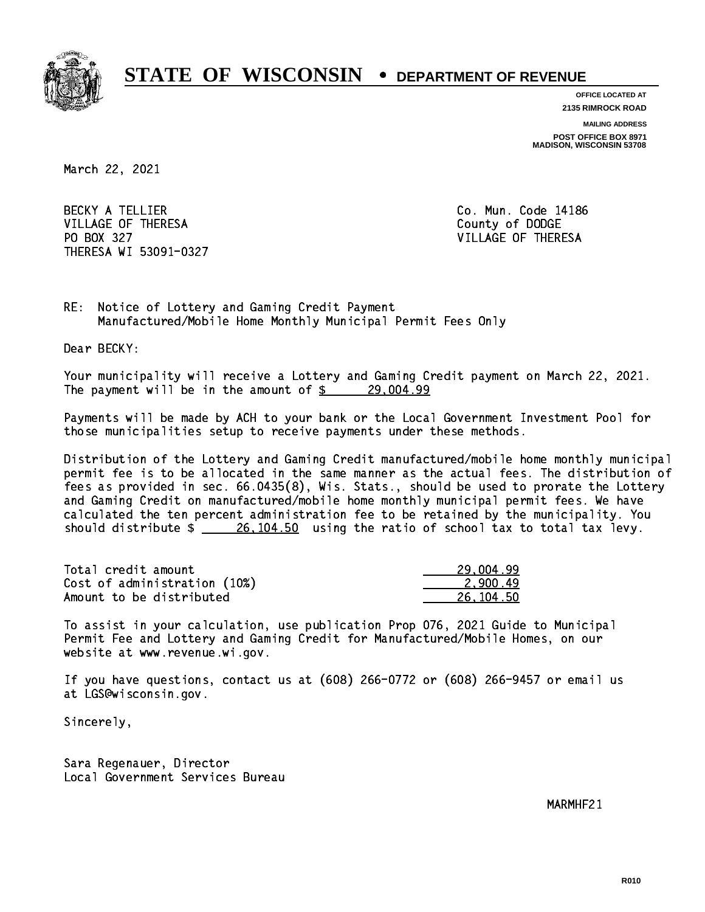

**OFFICE LOCATED AT 2135 RIMROCK ROAD**

**MAILING ADDRESS**

**POST OFFICE BOX 8971 MADISON, WISCONSIN 53708**

March 22, 2021

BECKY A TELLIER **Co. Mun. Code 14186** VILLAGE OF THERESA COUNTY OF DODGE PO BOX 327 VILLAGE OF THERESA THERESA WI 53091-0327

RE: Notice of Lottery and Gaming Credit Payment Manufactured/Mobile Home Monthly Municipal Permit Fees Only

Dear BECKY:

 Your municipality will receive a Lottery and Gaming Credit payment on March 22, 2021. The payment will be in the amount of  $\frac{29,004.99}{2}$ 

 Payments will be made by ACH to your bank or the Local Government Investment Pool for those municipalities setup to receive payments under these methods.

 Distribution of the Lottery and Gaming Credit manufactured/mobile home monthly municipal permit fee is to be allocated in the same manner as the actual fees. The distribution of fees as provided in sec. 66.0435(8), Wis. Stats., should be used to prorate the Lottery and Gaming Credit on manufactured/mobile home monthly municipal permit fees. We have calculated the ten percent administration fee to be retained by the municipality. You should distribute  $\frac{26,104.50}{26,104.50}$  using the ratio of school tax to total tax levy.

| Total credit amount          | 29,004.99 |
|------------------------------|-----------|
| Cost of administration (10%) | 2.900.49  |
| Amount to be distributed     | 26.104.50 |

 To assist in your calculation, use publication Prop 076, 2021 Guide to Municipal Permit Fee and Lottery and Gaming Credit for Manufactured/Mobile Homes, on our website at www.revenue.wi.gov.

 If you have questions, contact us at (608) 266-0772 or (608) 266-9457 or email us at LGS@wisconsin.gov.

Sincerely,

 Sara Regenauer, Director Local Government Services Bureau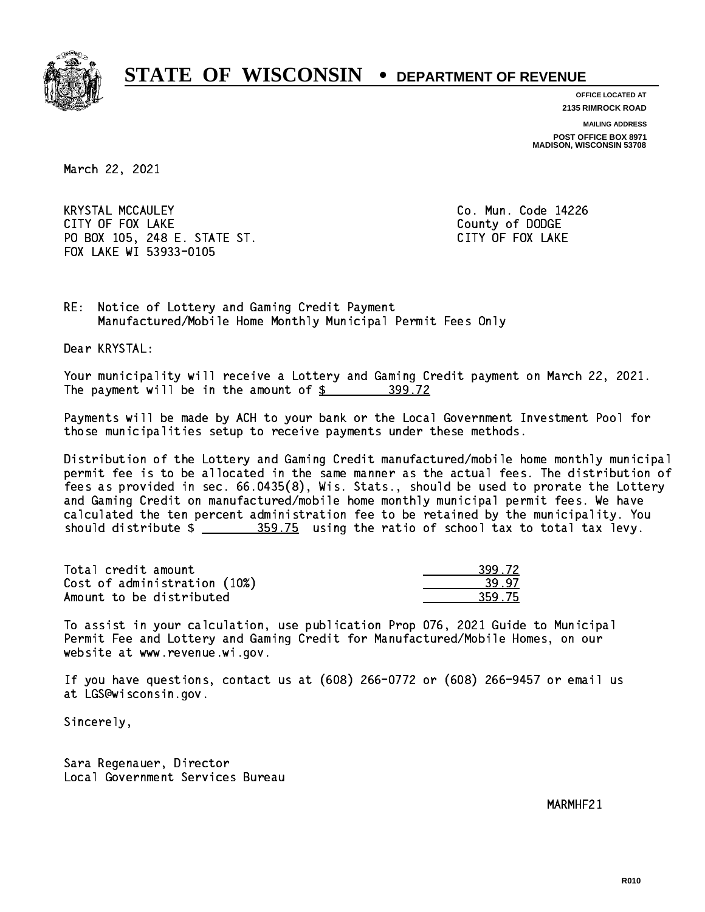

**OFFICE LOCATED AT 2135 RIMROCK ROAD**

**MAILING ADDRESS**

**POST OFFICE BOX 8971 MADISON, WISCONSIN 53708**

March 22, 2021

 KRYSTAL MCCAULEY Co. Mun. Code 14226 CITY OF FOUR COUNTY OF FOUR COUNTY OF DODGE COUNTY OF DODGE COUNTY OF DODGE COUNTY OF DODGE COUNTY OF DODGE CO PO BOX 105, 248 E. STATE ST. CITY OF FOX LAKE FOX LAKE WI 53933-0105

RE: Notice of Lottery and Gaming Credit Payment Manufactured/Mobile Home Monthly Municipal Permit Fees Only

Dear KRYSTAL:

 Your municipality will receive a Lottery and Gaming Credit payment on March 22, 2021. The payment will be in the amount of \$ 399.72 \_\_\_\_\_\_\_\_\_\_\_\_\_\_\_\_

 Payments will be made by ACH to your bank or the Local Government Investment Pool for those municipalities setup to receive payments under these methods.

 Distribution of the Lottery and Gaming Credit manufactured/mobile home monthly municipal permit fee is to be allocated in the same manner as the actual fees. The distribution of fees as provided in sec. 66.0435(8), Wis. Stats., should be used to prorate the Lottery and Gaming Credit on manufactured/mobile home monthly municipal permit fees. We have calculated the ten percent administration fee to be retained by the municipality. You should distribute  $\frac{259.75}{2}$  using the ratio of school tax to total tax levy.

| Total credit amount          | 399.72 |
|------------------------------|--------|
| Cost of administration (10%) | 39.97  |
| Amount to be distributed     | 359.75 |

 To assist in your calculation, use publication Prop 076, 2021 Guide to Municipal Permit Fee and Lottery and Gaming Credit for Manufactured/Mobile Homes, on our website at www.revenue.wi.gov.

 If you have questions, contact us at (608) 266-0772 or (608) 266-9457 or email us at LGS@wisconsin.gov.

Sincerely,

 Sara Regenauer, Director Local Government Services Bureau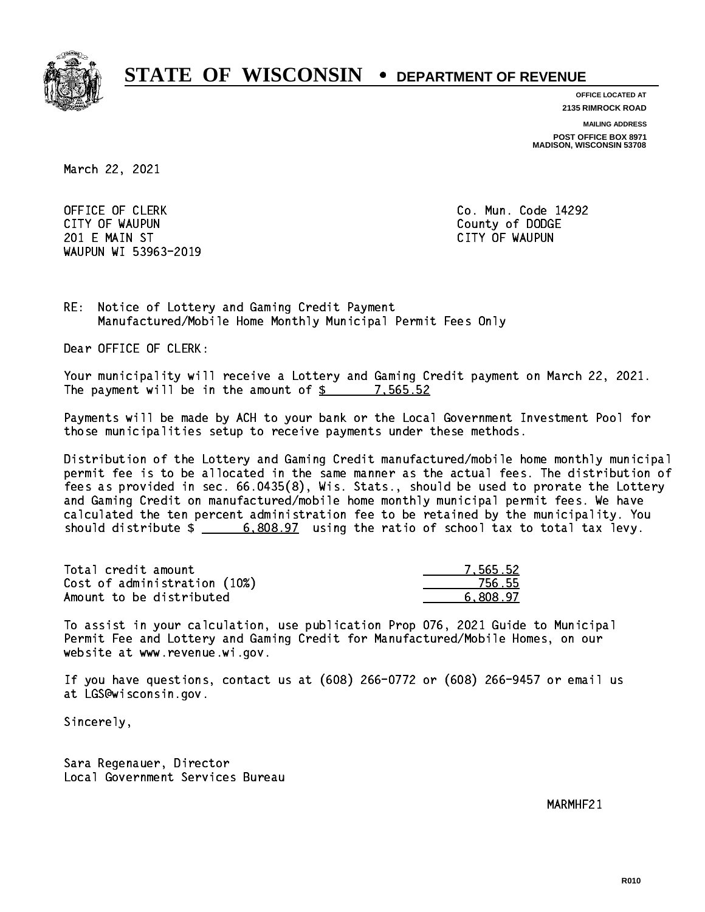

**OFFICE LOCATED AT**

**2135 RIMROCK ROAD**

**MAILING ADDRESS**

**POST OFFICE BOX 8971 MADISON, WISCONSIN 53708**

March 22, 2021

OFFICE OF CLERK **Co. Mun. Code 14292**  CITY OF WAUPUN County of DODGE 201 E MAIN ST CITY OF WAUPUN WAUPUN WI 53963-2019

RE: Notice of Lottery and Gaming Credit Payment Manufactured/Mobile Home Monthly Municipal Permit Fees Only

Dear OFFICE OF CLERK:

 Your municipality will receive a Lottery and Gaming Credit payment on March 22, 2021. The payment will be in the amount of  $\frac{2}{3}$  7,565.52

 Payments will be made by ACH to your bank or the Local Government Investment Pool for those municipalities setup to receive payments under these methods.

 Distribution of the Lottery and Gaming Credit manufactured/mobile home monthly municipal permit fee is to be allocated in the same manner as the actual fees. The distribution of fees as provided in sec. 66.0435(8), Wis. Stats., should be used to prorate the Lottery and Gaming Credit on manufactured/mobile home monthly municipal permit fees. We have calculated the ten percent administration fee to be retained by the municipality. You should distribute  $\frac{2}{1}$   $\frac{6,808.97}{2}$  using the ratio of school tax to total tax levy.

| Total credit amount          | 7.565.52 |
|------------------------------|----------|
| Cost of administration (10%) | 756.55   |
| Amount to be distributed     | 6.808.97 |

 To assist in your calculation, use publication Prop 076, 2021 Guide to Municipal Permit Fee and Lottery and Gaming Credit for Manufactured/Mobile Homes, on our website at www.revenue.wi.gov.

 If you have questions, contact us at (608) 266-0772 or (608) 266-9457 or email us at LGS@wisconsin.gov.

Sincerely,

 Sara Regenauer, Director Local Government Services Bureau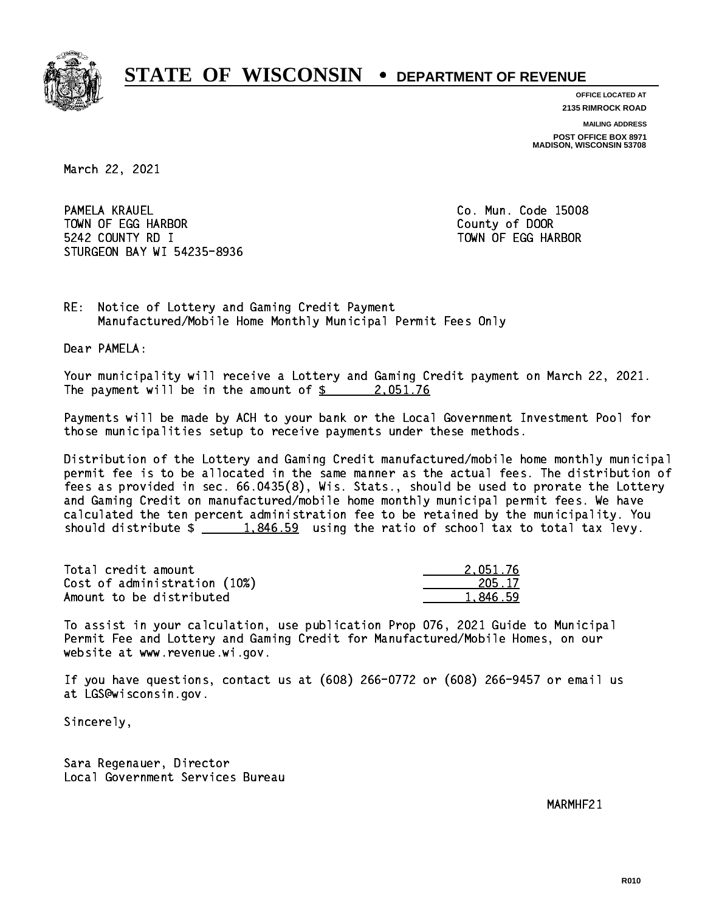

**OFFICE LOCATED AT 2135 RIMROCK ROAD**

**MAILING ADDRESS**

**POST OFFICE BOX 8971 MADISON, WISCONSIN 53708**

March 22, 2021

PAMELA KRAUEL TOWN OF EGG HARBOR County of DOOR 5242 COUNTY RD I TOWN OF EGG HARBOR STURGEON BAY WI 54235-8936

Co. Mun. Code 15008

RE: Notice of Lottery and Gaming Credit Payment Manufactured/Mobile Home Monthly Municipal Permit Fees Only

Dear PAMELA:

 Your municipality will receive a Lottery and Gaming Credit payment on March 22, 2021. The payment will be in the amount of  $\frac{2.051.76}{2.051.76}$ 

 Payments will be made by ACH to your bank or the Local Government Investment Pool for those municipalities setup to receive payments under these methods.

 Distribution of the Lottery and Gaming Credit manufactured/mobile home monthly municipal permit fee is to be allocated in the same manner as the actual fees. The distribution of fees as provided in sec. 66.0435(8), Wis. Stats., should be used to prorate the Lottery and Gaming Credit on manufactured/mobile home monthly municipal permit fees. We have calculated the ten percent administration fee to be retained by the municipality. You should distribute  $\frac{1.846.59}{1.846.59}$  using the ratio of school tax to total tax levy.

| Total credit amount          | 2.051.76 |
|------------------------------|----------|
| Cost of administration (10%) | 205.17   |
| Amount to be distributed     | 1.846.59 |

 To assist in your calculation, use publication Prop 076, 2021 Guide to Municipal Permit Fee and Lottery and Gaming Credit for Manufactured/Mobile Homes, on our website at www.revenue.wi.gov.

 If you have questions, contact us at (608) 266-0772 or (608) 266-9457 or email us at LGS@wisconsin.gov.

Sincerely,

 Sara Regenauer, Director Local Government Services Bureau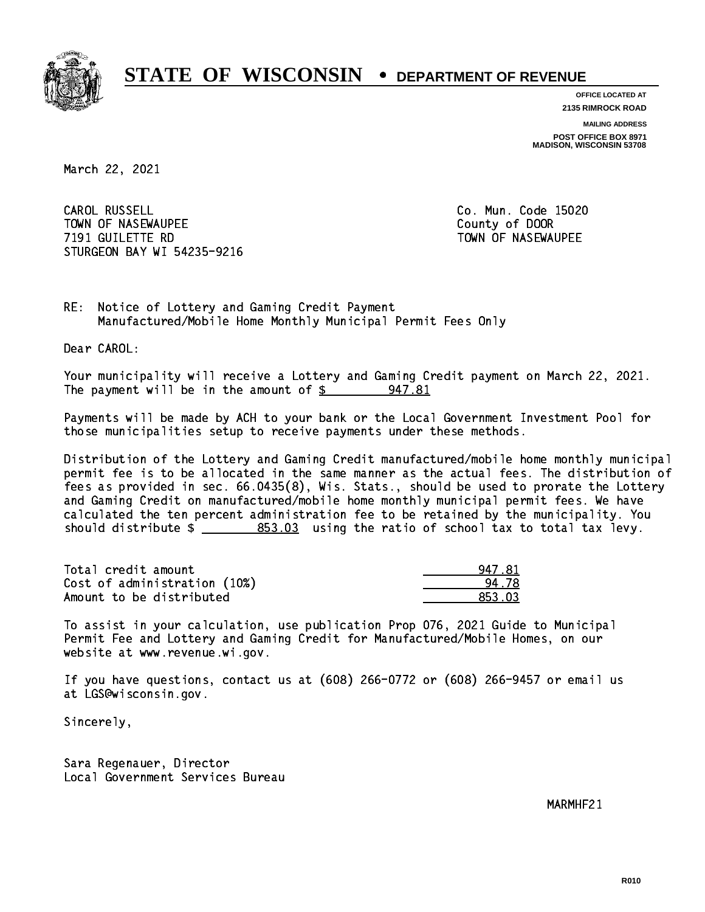

**OFFICE LOCATED AT 2135 RIMROCK ROAD**

**MAILING ADDRESS**

**POST OFFICE BOX 8971 MADISON, WISCONSIN 53708**

March 22, 2021

CAROL RUSSELL TOWN OF NASEWAUPEE **TOWA COUNTY OF SEXUAL COUNTY OF DOOR 7191 GUILETTE RD** TOWN OF NASEWAUPEE STURGEON BAY WI 54235-9216

Co. Mun. Code 15020

RE: Notice of Lottery and Gaming Credit Payment Manufactured/Mobile Home Monthly Municipal Permit Fees Only

Dear CAROL:

 Your municipality will receive a Lottery and Gaming Credit payment on March 22, 2021. The payment will be in the amount of  $\frac{2}{3}$ 947.81

 Payments will be made by ACH to your bank or the Local Government Investment Pool for those municipalities setup to receive payments under these methods.

 Distribution of the Lottery and Gaming Credit manufactured/mobile home monthly municipal permit fee is to be allocated in the same manner as the actual fees. The distribution of fees as provided in sec. 66.0435(8), Wis. Stats., should be used to prorate the Lottery and Gaming Credit on manufactured/mobile home monthly municipal permit fees. We have calculated the ten percent administration fee to be retained by the municipality. You should distribute  $\frac{2}{2}$   $\frac{853.03}{2}$  using the ratio of school tax to total tax levy.

| Total credit amount          | 947.81 |
|------------------------------|--------|
| Cost of administration (10%) | 94 78  |
| Amount to be distributed     | 853.03 |

 To assist in your calculation, use publication Prop 076, 2021 Guide to Municipal Permit Fee and Lottery and Gaming Credit for Manufactured/Mobile Homes, on our website at www.revenue.wi.gov.

 If you have questions, contact us at (608) 266-0772 or (608) 266-9457 or email us at LGS@wisconsin.gov.

Sincerely,

 Sara Regenauer, Director Local Government Services Bureau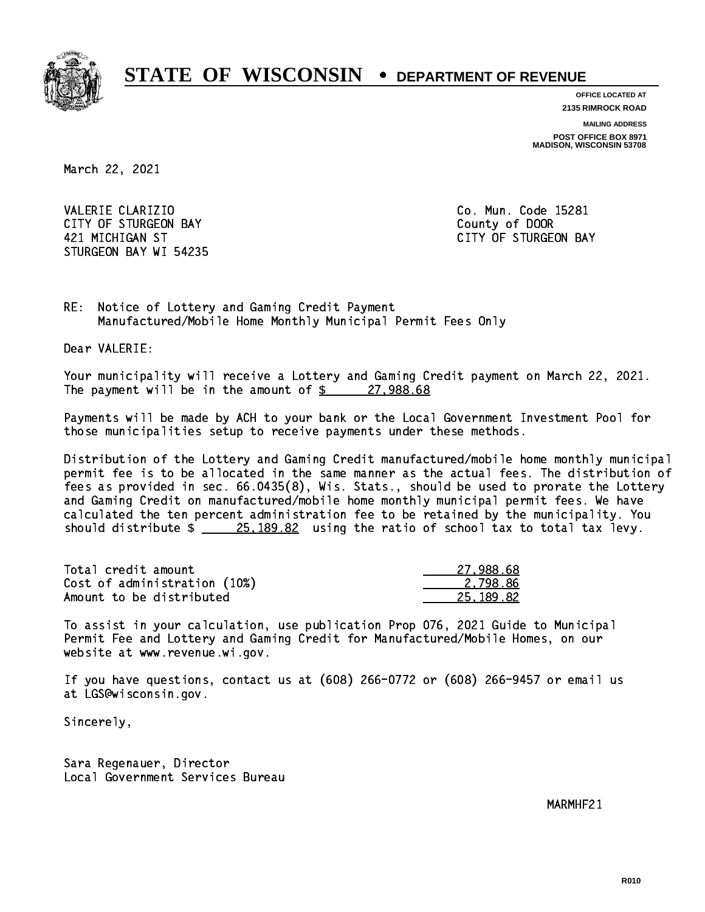

**OFFICE LOCATED AT 2135 RIMROCK ROAD**

**MAILING ADDRESS**

**POST OFFICE BOX 8971 MADISON, WISCONSIN 53708**

March 22, 2021

VALERIE CLARIZIO **Co. Mun. Code 15281** CITY OF STURGEON BAY **COUNTY COUNTY OF STURGEON BAY**  421 MICHIGAN ST CITY OF STURGEON BAY STURGEON BAY WI 54235

RE: Notice of Lottery and Gaming Credit Payment Manufactured/Mobile Home Monthly Municipal Permit Fees Only

Dear VALERIE:

 Your municipality will receive a Lottery and Gaming Credit payment on March 22, 2021. The payment will be in the amount of  $\frac{27,988.68}{27,988.68}$ 

 Payments will be made by ACH to your bank or the Local Government Investment Pool for those municipalities setup to receive payments under these methods.

 Distribution of the Lottery and Gaming Credit manufactured/mobile home monthly municipal permit fee is to be allocated in the same manner as the actual fees. The distribution of fees as provided in sec. 66.0435(8), Wis. Stats., should be used to prorate the Lottery and Gaming Credit on manufactured/mobile home monthly municipal permit fees. We have calculated the ten percent administration fee to be retained by the municipality. You should distribute  $\frac{25,189.82}{25,189.82}$  using the ratio of school tax to total tax levy.

| Total credit amount          | 27.988.68 |
|------------------------------|-----------|
| Cost of administration (10%) | 2.798.86  |
| Amount to be distributed     | 25.189.82 |

 To assist in your calculation, use publication Prop 076, 2021 Guide to Municipal Permit Fee and Lottery and Gaming Credit for Manufactured/Mobile Homes, on our website at www.revenue.wi.gov.

 If you have questions, contact us at (608) 266-0772 or (608) 266-9457 or email us at LGS@wisconsin.gov.

Sincerely,

 Sara Regenauer, Director Local Government Services Bureau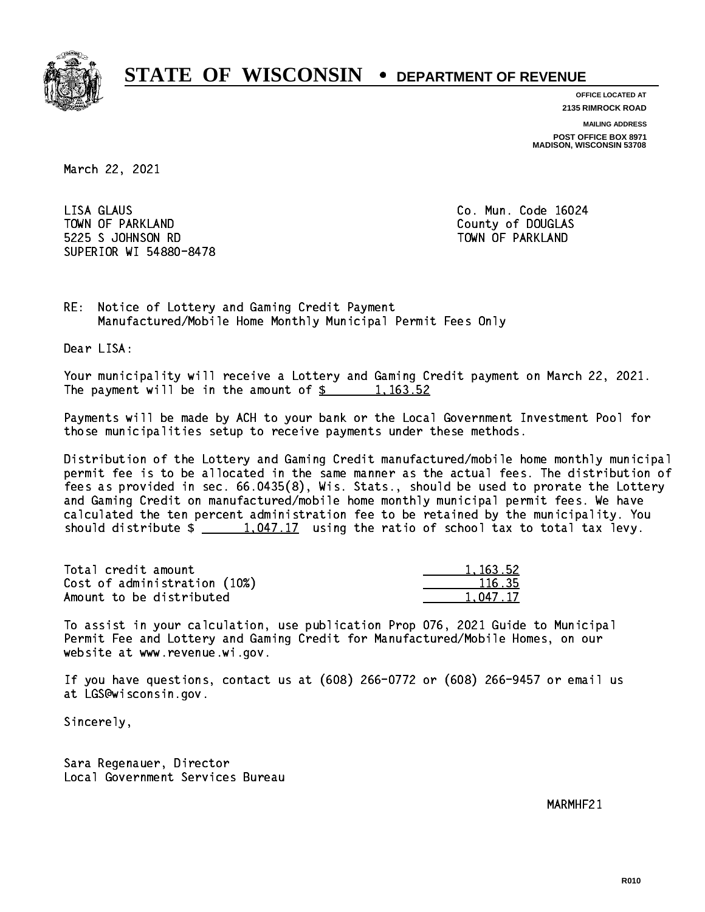

**OFFICE LOCATED AT 2135 RIMROCK ROAD**

**MAILING ADDRESS**

**POST OFFICE BOX 8971 MADISON, WISCONSIN 53708**

March 22, 2021

 LISA GLAUS Co. Mun. Code 16024 TOWN OF PARKLAND COUNTY OF DOUGLAS 5225 S JOHNSON RD TOWN OF PARKLAND SUPERIOR WI 54880-8478

RE: Notice of Lottery and Gaming Credit Payment Manufactured/Mobile Home Monthly Municipal Permit Fees Only

Dear LISA:

 Your municipality will receive a Lottery and Gaming Credit payment on March 22, 2021. The payment will be in the amount of  $\frac{2}{3}$  1,163.52

 Payments will be made by ACH to your bank or the Local Government Investment Pool for those municipalities setup to receive payments under these methods.

 Distribution of the Lottery and Gaming Credit manufactured/mobile home monthly municipal permit fee is to be allocated in the same manner as the actual fees. The distribution of fees as provided in sec. 66.0435(8), Wis. Stats., should be used to prorate the Lottery and Gaming Credit on manufactured/mobile home monthly municipal permit fees. We have calculated the ten percent administration fee to be retained by the municipality. You should distribute  $\frac{1,047.17}{1,047.17}$  using the ratio of school tax to total tax levy.

| Total credit amount          | 1, 163, 52 |
|------------------------------|------------|
| Cost of administration (10%) | 116.35     |
| Amount to be distributed     | 1.047.17   |

 $.047.17$  Amount to be distributed 1,047.17 \_\_\_\_\_\_\_\_\_\_\_\_\_\_ To assist in your calculation, use publication Prop 076, 2021 Guide to Municipal Permit Fee and Lottery and Gaming Credit for Manufactured/Mobile Homes, on our website at www.revenue.wi.gov.

 If you have questions, contact us at (608) 266-0772 or (608) 266-9457 or email us at LGS@wisconsin.gov.

Sincerely,

 Sara Regenauer, Director Local Government Services Bureau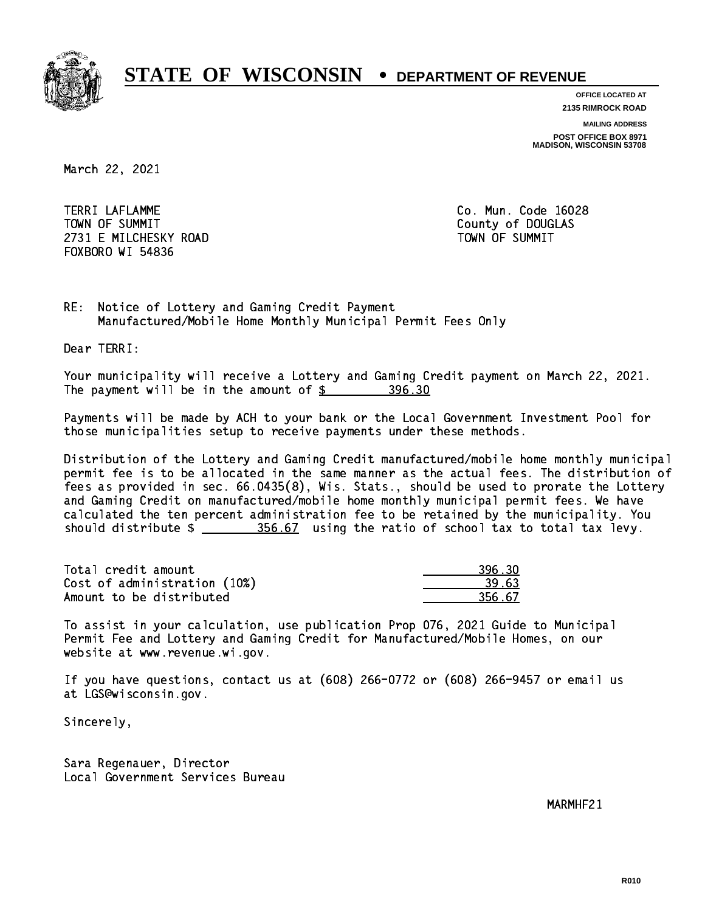

**OFFICE LOCATED AT**

**2135 RIMROCK ROAD**

**MAILING ADDRESS**

**POST OFFICE BOX 8971 MADISON, WISCONSIN 53708**

March 22, 2021

 TERRI LAFLAMME Co. Mun. Code 16028 TOWN OF SUMMIT County of DOUGLAS 2731 E MILCHESKY ROAD TOWN OF SUMMIT FOXBORO WI 54836

RE: Notice of Lottery and Gaming Credit Payment Manufactured/Mobile Home Monthly Municipal Permit Fees Only

Dear TERRI:

 Your municipality will receive a Lottery and Gaming Credit payment on March 22, 2021. The payment will be in the amount of \$ 396.30 \_\_\_\_\_\_\_\_\_\_\_\_\_\_\_\_

 Payments will be made by ACH to your bank or the Local Government Investment Pool for those municipalities setup to receive payments under these methods.

 Distribution of the Lottery and Gaming Credit manufactured/mobile home monthly municipal permit fee is to be allocated in the same manner as the actual fees. The distribution of fees as provided in sec. 66.0435(8), Wis. Stats., should be used to prorate the Lottery and Gaming Credit on manufactured/mobile home monthly municipal permit fees. We have calculated the ten percent administration fee to be retained by the municipality. You should distribute  $\frac{256.67}{2}$  using the ratio of school tax to total tax levy.

| Total credit amount          | 396.30 |
|------------------------------|--------|
| Cost of administration (10%) | 39.63  |
| Amount to be distributed     | 356.67 |

 To assist in your calculation, use publication Prop 076, 2021 Guide to Municipal Permit Fee and Lottery and Gaming Credit for Manufactured/Mobile Homes, on our website at www.revenue.wi.gov.

 If you have questions, contact us at (608) 266-0772 or (608) 266-9457 or email us at LGS@wisconsin.gov.

Sincerely,

 Sara Regenauer, Director Local Government Services Bureau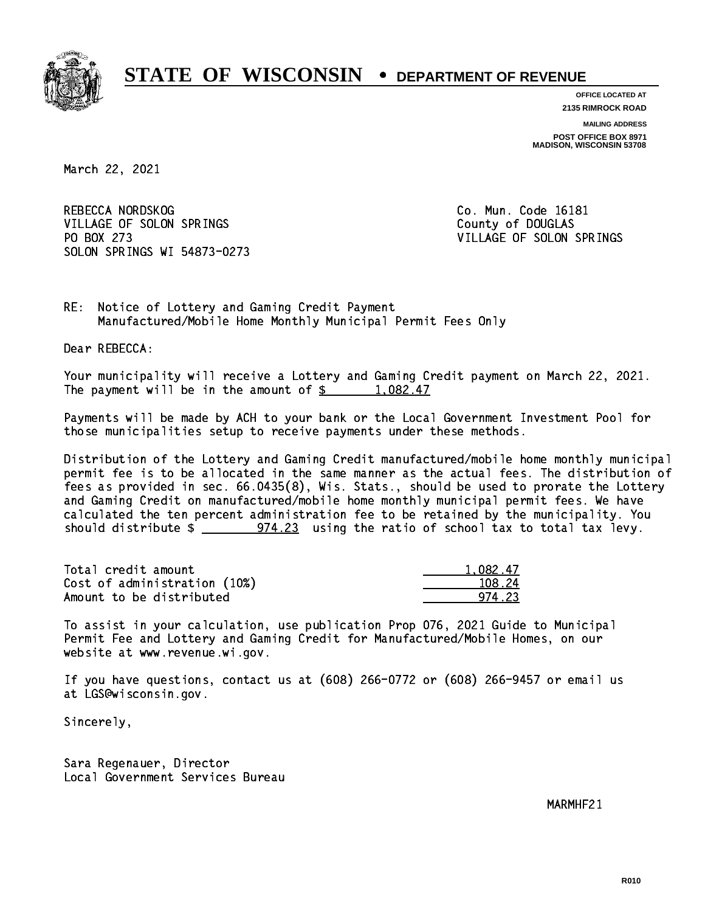

**OFFICE LOCATED AT 2135 RIMROCK ROAD**

**MAILING ADDRESS POST OFFICE BOX 8971 MADISON, WISCONSIN 53708**

March 22, 2021

REBECCA NORDSKOG COME CO. Mun. Code 16181 VILLAGE OF SOLON SPRINGS COUNTY OF DOUGLAS PO BOX 273 VILLAGE OF SOLON SPRINGS SOLON SPRINGS WI 54873-0273

RE: Notice of Lottery and Gaming Credit Payment Manufactured/Mobile Home Monthly Municipal Permit Fees Only

Dear REBECCA:

 Your municipality will receive a Lottery and Gaming Credit payment on March 22, 2021. The payment will be in the amount of  $\frac{2}{3}$  1,082.47

 Payments will be made by ACH to your bank or the Local Government Investment Pool for those municipalities setup to receive payments under these methods.

 Distribution of the Lottery and Gaming Credit manufactured/mobile home monthly municipal permit fee is to be allocated in the same manner as the actual fees. The distribution of fees as provided in sec. 66.0435(8), Wis. Stats., should be used to prorate the Lottery and Gaming Credit on manufactured/mobile home monthly municipal permit fees. We have calculated the ten percent administration fee to be retained by the municipality. You should distribute  $\frac{274.23}{1000}$  using the ratio of school tax to total tax levy.

| Total credit amount          | 1.082.47 |
|------------------------------|----------|
| Cost of administration (10%) | 108.24   |
| Amount to be distributed     | 974 23   |

 To assist in your calculation, use publication Prop 076, 2021 Guide to Municipal Permit Fee and Lottery and Gaming Credit for Manufactured/Mobile Homes, on our website at www.revenue.wi.gov.

 If you have questions, contact us at (608) 266-0772 or (608) 266-9457 or email us at LGS@wisconsin.gov.

Sincerely,

 Sara Regenauer, Director Local Government Services Bureau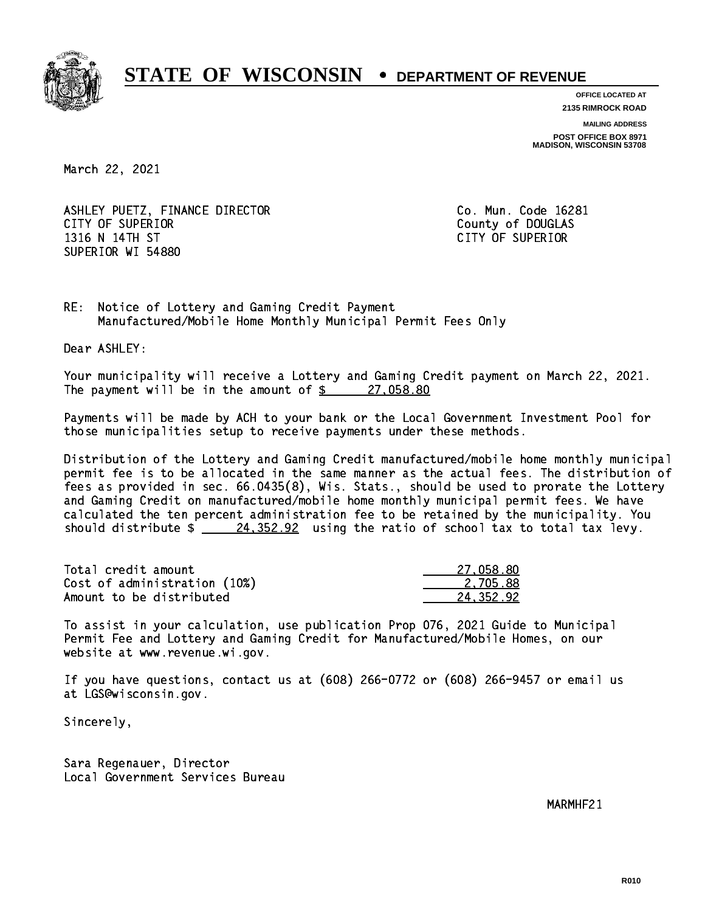

**OFFICE LOCATED AT**

**2135 RIMROCK ROAD**

**MAILING ADDRESS**

**POST OFFICE BOX 8971 MADISON, WISCONSIN 53708**

March 22, 2021

ASHLEY PUETZ, FINANCE DIRECTOR CO. Mun. Code 16281 CITY OF SUPERIOR COUNTY COUNTY OF DOUGLAS 1316 N 14TH ST CITY OF SUPERIOR SUPERIOR WI 54880

RE: Notice of Lottery and Gaming Credit Payment Manufactured/Mobile Home Monthly Municipal Permit Fees Only

Dear ASHLEY:

 Your municipality will receive a Lottery and Gaming Credit payment on March 22, 2021. The payment will be in the amount of  $\frac{27,058.80}{27,058.80}$ 

 Payments will be made by ACH to your bank or the Local Government Investment Pool for those municipalities setup to receive payments under these methods.

 Distribution of the Lottery and Gaming Credit manufactured/mobile home monthly municipal permit fee is to be allocated in the same manner as the actual fees. The distribution of fees as provided in sec. 66.0435(8), Wis. Stats., should be used to prorate the Lottery and Gaming Credit on manufactured/mobile home monthly municipal permit fees. We have calculated the ten percent administration fee to be retained by the municipality. You should distribute  $\frac{24,352.92}{24}$  using the ratio of school tax to total tax levy.

| Total credit amount          | 27.058.80 |
|------------------------------|-----------|
| Cost of administration (10%) | 2.705.88  |
| Amount to be distributed     | 24.352.92 |

 To assist in your calculation, use publication Prop 076, 2021 Guide to Municipal Permit Fee and Lottery and Gaming Credit for Manufactured/Mobile Homes, on our website at www.revenue.wi.gov.

 If you have questions, contact us at (608) 266-0772 or (608) 266-9457 or email us at LGS@wisconsin.gov.

Sincerely,

 Sara Regenauer, Director Local Government Services Bureau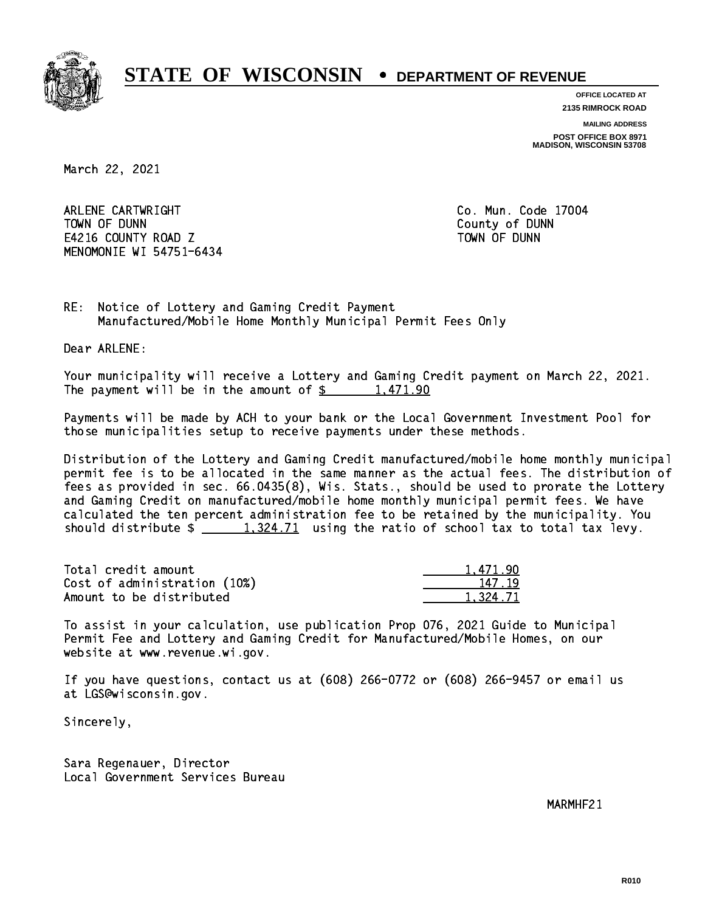

**OFFICE LOCATED AT 2135 RIMROCK ROAD**

**MAILING ADDRESS**

**POST OFFICE BOX 8971 MADISON, WISCONSIN 53708**

March 22, 2021

 ARLENE CARTWRIGHT Co. Mun. Code 17004 TOWN OF DUNN County of DUNN E4216 COUNTY ROAD Z TOWN OF DUNN MENOMONIE WI 54751-6434

RE: Notice of Lottery and Gaming Credit Payment Manufactured/Mobile Home Monthly Municipal Permit Fees Only

Dear ARLENE:

 Your municipality will receive a Lottery and Gaming Credit payment on March 22, 2021. The payment will be in the amount of  $\frac{2}{3}$  1,471.90

 Payments will be made by ACH to your bank or the Local Government Investment Pool for those municipalities setup to receive payments under these methods.

 Distribution of the Lottery and Gaming Credit manufactured/mobile home monthly municipal permit fee is to be allocated in the same manner as the actual fees. The distribution of fees as provided in sec. 66.0435(8), Wis. Stats., should be used to prorate the Lottery and Gaming Credit on manufactured/mobile home monthly municipal permit fees. We have calculated the ten percent administration fee to be retained by the municipality. You should distribute  $\frac{1,324.71}{1,324.71}$  using the ratio of school tax to total tax levy.

| Total credit amount          | 1.471.90 |
|------------------------------|----------|
| Cost of administration (10%) | 147.19   |
| Amount to be distributed     | 1.324.71 |

 To assist in your calculation, use publication Prop 076, 2021 Guide to Municipal Permit Fee and Lottery and Gaming Credit for Manufactured/Mobile Homes, on our website at www.revenue.wi.gov.

 If you have questions, contact us at (608) 266-0772 or (608) 266-9457 or email us at LGS@wisconsin.gov.

Sincerely,

 Sara Regenauer, Director Local Government Services Bureau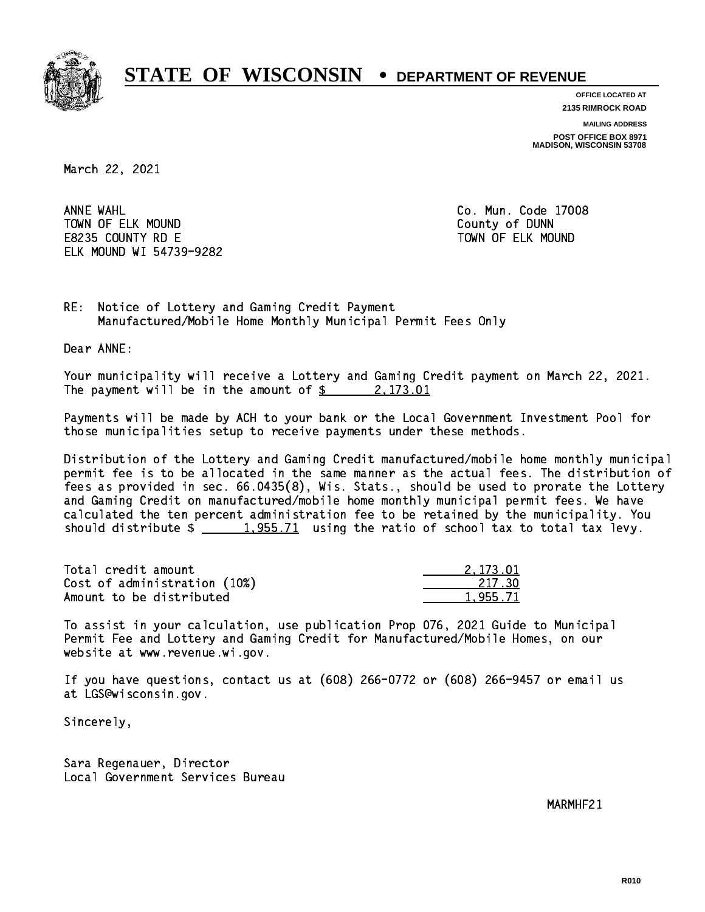

**OFFICE LOCATED AT 2135 RIMROCK ROAD**

**MAILING ADDRESS**

**POST OFFICE BOX 8971 MADISON, WISCONSIN 53708**

March 22, 2021

ANNE WAHL TOWN OF ELK MOUND COUNTY OF BUNNING COUNTY OF DUNNING COUNTY OF DUNNING COUNTY OF DUNNING COUNTY OF DUNNING COUNTY OF DUNNING COUNTY OF DUNNING COUNTY OF DUNNING COUNTY OF DUNNING COUNTY OF DUNNING COUNTY OF DUNNING COUNTY E8235 COUNTY RD E TOWN OF ELK MOUND ELK MOUND WI 54739-9282

Co. Mun. Code 17008

RE: Notice of Lottery and Gaming Credit Payment Manufactured/Mobile Home Monthly Municipal Permit Fees Only

Dear ANNE:

 Your municipality will receive a Lottery and Gaming Credit payment on March 22, 2021. The payment will be in the amount of  $\frac{2}{3}$  2,173.01

 Payments will be made by ACH to your bank or the Local Government Investment Pool for those municipalities setup to receive payments under these methods.

 Distribution of the Lottery and Gaming Credit manufactured/mobile home monthly municipal permit fee is to be allocated in the same manner as the actual fees. The distribution of fees as provided in sec. 66.0435(8), Wis. Stats., should be used to prorate the Lottery and Gaming Credit on manufactured/mobile home monthly municipal permit fees. We have calculated the ten percent administration fee to be retained by the municipality. You should distribute  $\frac{1,955.71}{1,955.71}$  using the ratio of school tax to total tax levy.

| Total credit amount          | 2.173.01 |
|------------------------------|----------|
| Cost of administration (10%) | 217.30   |
| Amount to be distributed     | 1,955.71 |

 To assist in your calculation, use publication Prop 076, 2021 Guide to Municipal Permit Fee and Lottery and Gaming Credit for Manufactured/Mobile Homes, on our website at www.revenue.wi.gov.

 If you have questions, contact us at (608) 266-0772 or (608) 266-9457 or email us at LGS@wisconsin.gov.

Sincerely,

 Sara Regenauer, Director Local Government Services Bureau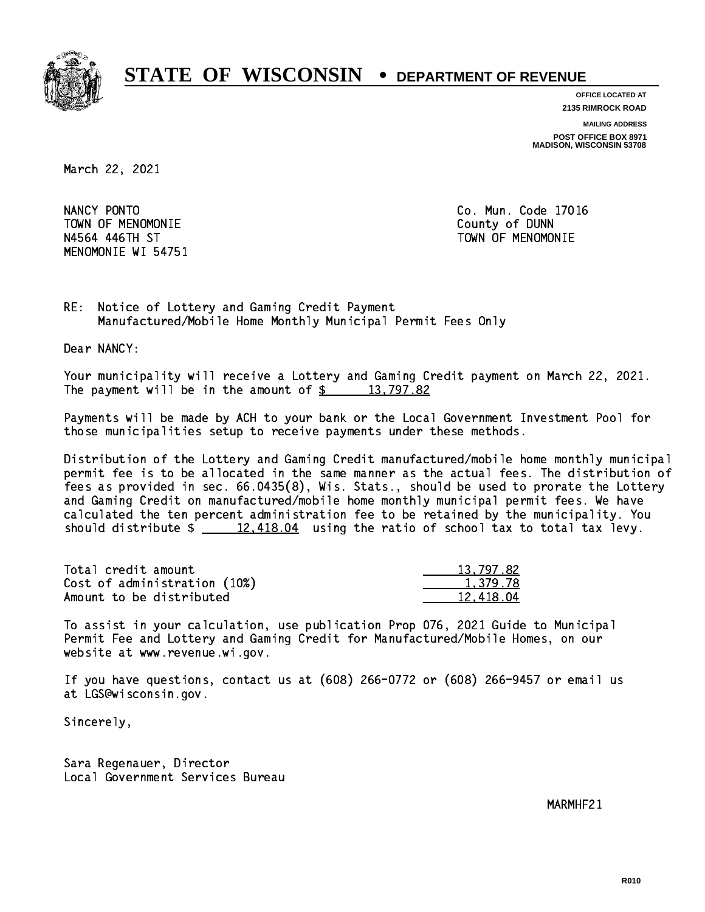

**OFFICE LOCATED AT 2135 RIMROCK ROAD**

**MAILING ADDRESS**

**POST OFFICE BOX 8971 MADISON, WISCONSIN 53708**

March 22, 2021

NANCY PONTO TOWN OF MENOMONIE County of DUNN N4564 446TH ST TOWN OF MENOMONIE MENOMONIE WI 54751

Co. Mun. Code 17016

RE: Notice of Lottery and Gaming Credit Payment Manufactured/Mobile Home Monthly Municipal Permit Fees Only

Dear NANCY:

 Your municipality will receive a Lottery and Gaming Credit payment on March 22, 2021. The payment will be in the amount of  $\frac{2}{3}$  13,797.82

 Payments will be made by ACH to your bank or the Local Government Investment Pool for those municipalities setup to receive payments under these methods.

 Distribution of the Lottery and Gaming Credit manufactured/mobile home monthly municipal permit fee is to be allocated in the same manner as the actual fees. The distribution of fees as provided in sec. 66.0435(8), Wis. Stats., should be used to prorate the Lottery and Gaming Credit on manufactured/mobile home monthly municipal permit fees. We have calculated the ten percent administration fee to be retained by the municipality. You should distribute  $\frac{2}{2}$   $\frac{12,418.04}{2}$  using the ratio of school tax to total tax levy.

| Total credit amount          | 13,797.82 |
|------------------------------|-----------|
| Cost of administration (10%) | 1.379.78  |
| Amount to be distributed     | 12.418.04 |

 To assist in your calculation, use publication Prop 076, 2021 Guide to Municipal Permit Fee and Lottery and Gaming Credit for Manufactured/Mobile Homes, on our website at www.revenue.wi.gov.

 If you have questions, contact us at (608) 266-0772 or (608) 266-9457 or email us at LGS@wisconsin.gov.

Sincerely,

 Sara Regenauer, Director Local Government Services Bureau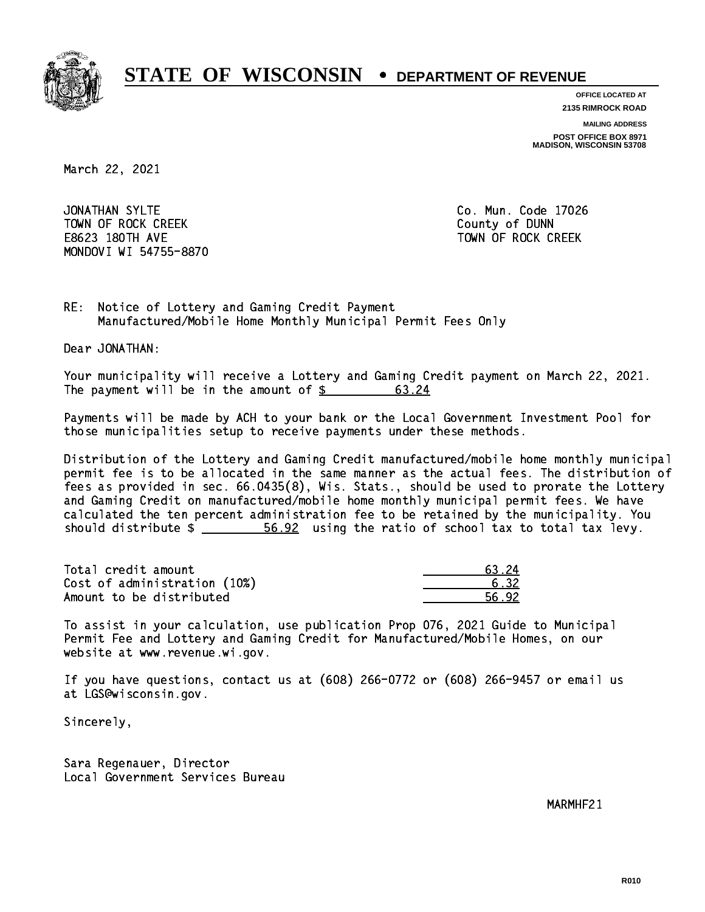

**OFFICE LOCATED AT 2135 RIMROCK ROAD**

**MAILING ADDRESS**

**POST OFFICE BOX 8971 MADISON, WISCONSIN 53708**

March 22, 2021

JONATHAN SYLTE TOWN OF ROCK CREEK COUNTY OF DUNN E8623 180TH AVE TOWN OF ROCK CREEK MONDOVI WI 54755-8870

Co. Mun. Code 17026

RE: Notice of Lottery and Gaming Credit Payment Manufactured/Mobile Home Monthly Municipal Permit Fees Only

Dear JONATHAN:

 Your municipality will receive a Lottery and Gaming Credit payment on March 22, 2021. The payment will be in the amount of  $\frac{2}{3}$ 63.24

 Payments will be made by ACH to your bank or the Local Government Investment Pool for those municipalities setup to receive payments under these methods.

 Distribution of the Lottery and Gaming Credit manufactured/mobile home monthly municipal permit fee is to be allocated in the same manner as the actual fees. The distribution of fees as provided in sec. 66.0435(8), Wis. Stats., should be used to prorate the Lottery and Gaming Credit on manufactured/mobile home monthly municipal permit fees. We have calculated the ten percent administration fee to be retained by the municipality. You should distribute  $\frac{2}{2}$   $\frac{56.92}{2}$  using the ratio of school tax to total tax levy.

Total credit amount Cost of administration (10%) Amount to be distributed

| 24   |
|------|
| - 32 |
| 42.  |

 To assist in your calculation, use publication Prop 076, 2021 Guide to Municipal Permit Fee and Lottery and Gaming Credit for Manufactured/Mobile Homes, on our website at www.revenue.wi.gov.

 If you have questions, contact us at (608) 266-0772 or (608) 266-9457 or email us at LGS@wisconsin.gov.

Sincerely,

 Sara Regenauer, Director Local Government Services Bureau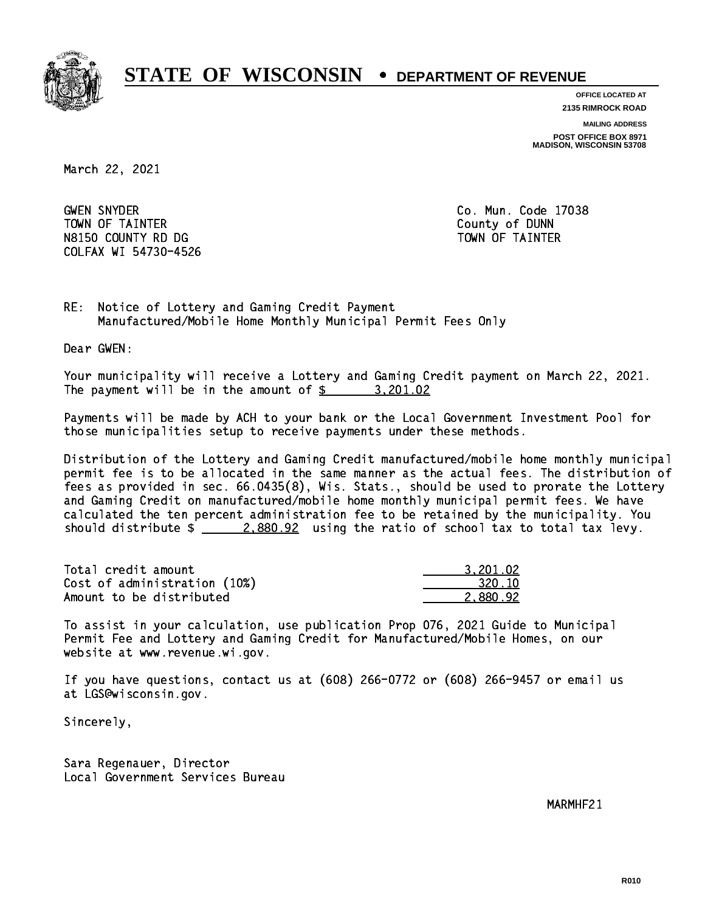

**OFFICE LOCATED AT 2135 RIMROCK ROAD**

**MAILING ADDRESS**

**POST OFFICE BOX 8971 MADISON, WISCONSIN 53708**

March 22, 2021

**GWEN SNYDER**  TOWN OF TAINTER County of DUNN N8150 COUNTY RD DG TAINTER TOWN OF TAINTER COLFAX WI 54730-4526

Co. Mun. Code 17038

RE: Notice of Lottery and Gaming Credit Payment Manufactured/Mobile Home Monthly Municipal Permit Fees Only

Dear GWEN:

 Your municipality will receive a Lottery and Gaming Credit payment on March 22, 2021. The payment will be in the amount of  $\frac{2}{3}$  3,201.02

 Payments will be made by ACH to your bank or the Local Government Investment Pool for those municipalities setup to receive payments under these methods.

 Distribution of the Lottery and Gaming Credit manufactured/mobile home monthly municipal permit fee is to be allocated in the same manner as the actual fees. The distribution of fees as provided in sec. 66.0435(8), Wis. Stats., should be used to prorate the Lottery and Gaming Credit on manufactured/mobile home monthly municipal permit fees. We have calculated the ten percent administration fee to be retained by the municipality. You should distribute  $\frac{2.880.92}{2.880.22}$  using the ratio of school tax to total tax levy.

| Total credit amount          | 3.201.02 |
|------------------------------|----------|
| Cost of administration (10%) | 320.10   |
| Amount to be distributed     | 2.880.92 |

 To assist in your calculation, use publication Prop 076, 2021 Guide to Municipal Permit Fee and Lottery and Gaming Credit for Manufactured/Mobile Homes, on our website at www.revenue.wi.gov.

 If you have questions, contact us at (608) 266-0772 or (608) 266-9457 or email us at LGS@wisconsin.gov.

Sincerely,

 Sara Regenauer, Director Local Government Services Bureau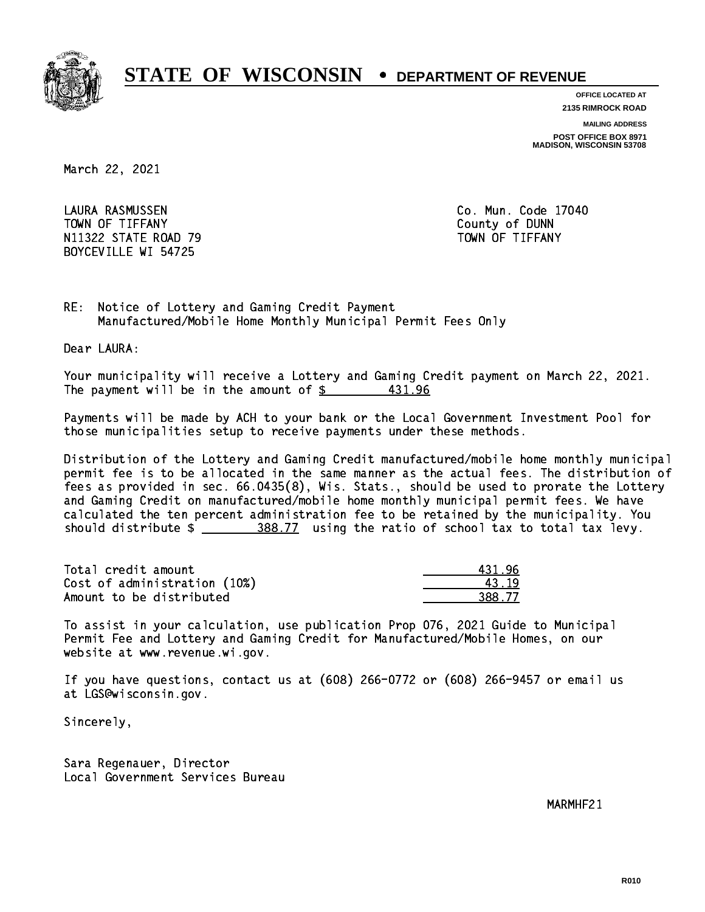

**OFFICE LOCATED AT 2135 RIMROCK ROAD**

**MAILING ADDRESS**

**POST OFFICE BOX 8971 MADISON, WISCONSIN 53708**

March 22, 2021

 LAURA RASMUSSEN Co. Mun. Code 17040 TOWN OF TIFFANY County of DUNN N11322 STATE ROAD 79 TOWN OF TIFFANY BOYCEVILLE WI 54725

RE: Notice of Lottery and Gaming Credit Payment Manufactured/Mobile Home Monthly Municipal Permit Fees Only

Dear LAURA:

 Your municipality will receive a Lottery and Gaming Credit payment on March 22, 2021. The payment will be in the amount of  $\frac{2}{3}$  431.96

 Payments will be made by ACH to your bank or the Local Government Investment Pool for those municipalities setup to receive payments under these methods.

 Distribution of the Lottery and Gaming Credit manufactured/mobile home monthly municipal permit fee is to be allocated in the same manner as the actual fees. The distribution of fees as provided in sec. 66.0435(8), Wis. Stats., should be used to prorate the Lottery and Gaming Credit on manufactured/mobile home monthly municipal permit fees. We have calculated the ten percent administration fee to be retained by the municipality. You should distribute  $\frac{288.77}{2}$  using the ratio of school tax to total tax levy.

| Total credit amount          | 431 96 |
|------------------------------|--------|
| Cost of administration (10%) | 43 19  |
| Amount to be distributed     | 388.77 |

 To assist in your calculation, use publication Prop 076, 2021 Guide to Municipal Permit Fee and Lottery and Gaming Credit for Manufactured/Mobile Homes, on our website at www.revenue.wi.gov.

 If you have questions, contact us at (608) 266-0772 or (608) 266-9457 or email us at LGS@wisconsin.gov.

Sincerely,

 Sara Regenauer, Director Local Government Services Bureau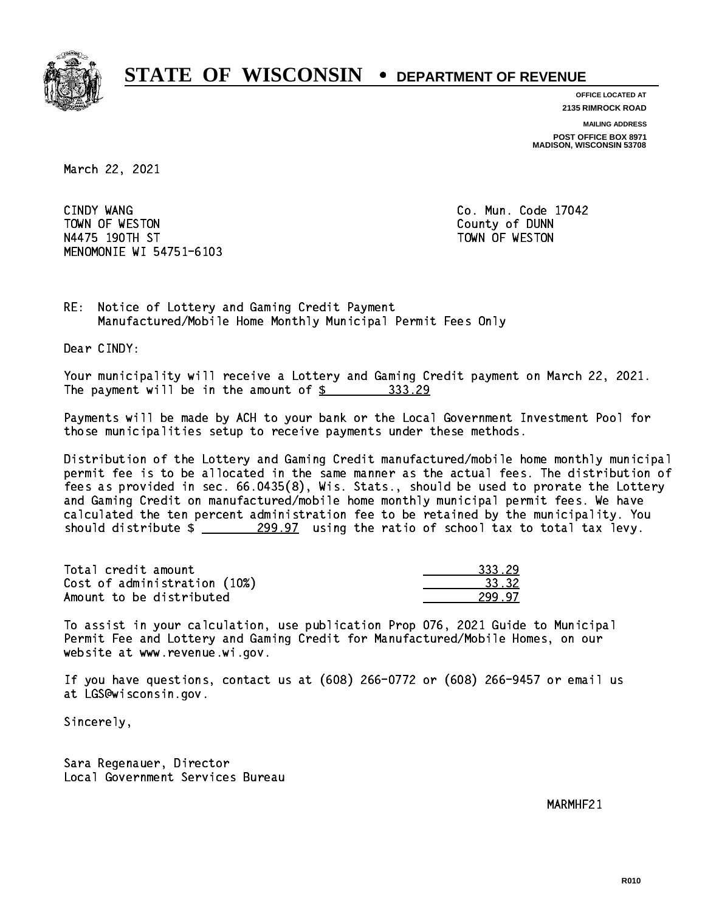

**OFFICE LOCATED AT 2135 RIMROCK ROAD**

**MAILING ADDRESS**

**POST OFFICE BOX 8971 MADISON, WISCONSIN 53708**

March 22, 2021

CINDY WANG TOWN OF WESTON COUNTY OF DUNN N4475 190TH ST TOWN OF WESTON MENOMONIE WI 54751-6103

Co. Mun. Code 17042

RE: Notice of Lottery and Gaming Credit Payment Manufactured/Mobile Home Monthly Municipal Permit Fees Only

Dear CINDY:

 Your municipality will receive a Lottery and Gaming Credit payment on March 22, 2021. The payment will be in the amount of \$ 333.29 \_\_\_\_\_\_\_\_\_\_\_\_\_\_\_\_

 Payments will be made by ACH to your bank or the Local Government Investment Pool for those municipalities setup to receive payments under these methods.

 Distribution of the Lottery and Gaming Credit manufactured/mobile home monthly municipal permit fee is to be allocated in the same manner as the actual fees. The distribution of fees as provided in sec. 66.0435(8), Wis. Stats., should be used to prorate the Lottery and Gaming Credit on manufactured/mobile home monthly municipal permit fees. We have calculated the ten percent administration fee to be retained by the municipality. You should distribute  $\frac{299.97}{2}$  using the ratio of school tax to total tax levy.

| Total credit amount          | 333.29 |
|------------------------------|--------|
| Cost of administration (10%) | 33.32  |
| Amount to be distributed     | 299.97 |

 To assist in your calculation, use publication Prop 076, 2021 Guide to Municipal Permit Fee and Lottery and Gaming Credit for Manufactured/Mobile Homes, on our website at www.revenue.wi.gov.

 If you have questions, contact us at (608) 266-0772 or (608) 266-9457 or email us at LGS@wisconsin.gov.

Sincerely,

 Sara Regenauer, Director Local Government Services Bureau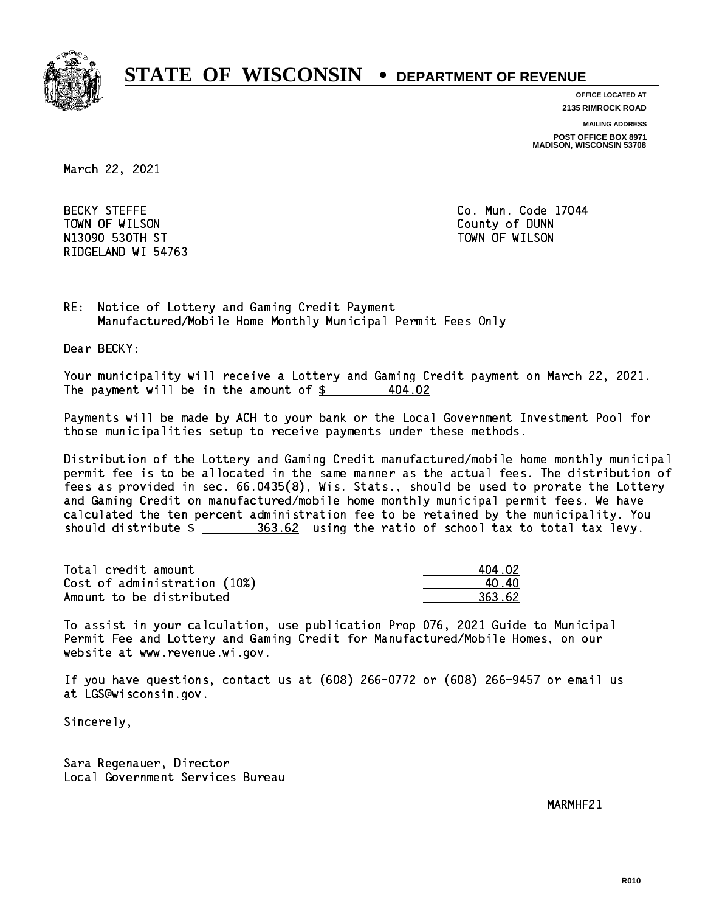

**OFFICE LOCATED AT 2135 RIMROCK ROAD**

**MAILING ADDRESS**

**POST OFFICE BOX 8971 MADISON, WISCONSIN 53708**

March 22, 2021

**BECKY STEFFE**  TOWN OF WILSON County of DUNN N13090 ST TOWN OF WILSON OF WILSON OF WILSON OF WILSON OF WILSON OF WILSON OF WILSON OF WILSON OF WILSON OF WI RIDGELAND WI 54763

Co. Mun. Code 17044

RE: Notice of Lottery and Gaming Credit Payment Manufactured/Mobile Home Monthly Municipal Permit Fees Only

Dear BECKY:

 Your municipality will receive a Lottery and Gaming Credit payment on March 22, 2021. The payment will be in the amount of  $\frac{2}{3}$ 404.02

 Payments will be made by ACH to your bank or the Local Government Investment Pool for those municipalities setup to receive payments under these methods.

 Distribution of the Lottery and Gaming Credit manufactured/mobile home monthly municipal permit fee is to be allocated in the same manner as the actual fees. The distribution of fees as provided in sec. 66.0435(8), Wis. Stats., should be used to prorate the Lottery and Gaming Credit on manufactured/mobile home monthly municipal permit fees. We have calculated the ten percent administration fee to be retained by the municipality. You should distribute \$ 363.62 using the ratio of school tax to total tax levy. \_\_\_\_\_\_\_\_\_\_\_\_\_\_

| Total credit amount          | 404.02 |
|------------------------------|--------|
| Cost of administration (10%) | 40.40  |
| Amount to be distributed     | 363.62 |

 To assist in your calculation, use publication Prop 076, 2021 Guide to Municipal Permit Fee and Lottery and Gaming Credit for Manufactured/Mobile Homes, on our website at www.revenue.wi.gov.

 If you have questions, contact us at (608) 266-0772 or (608) 266-9457 or email us at LGS@wisconsin.gov.

Sincerely,

 Sara Regenauer, Director Local Government Services Bureau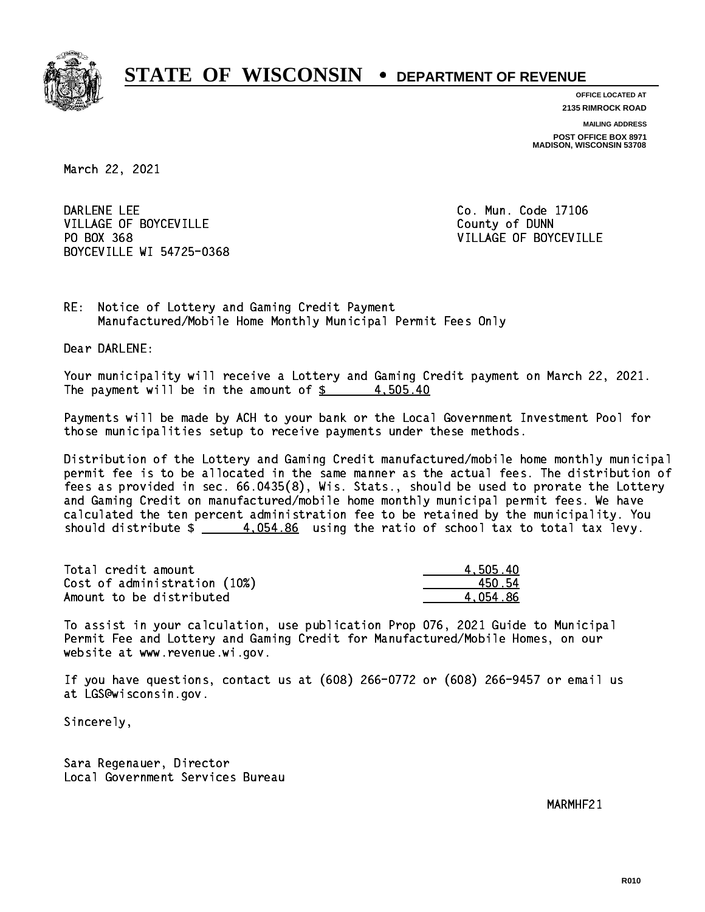

**OFFICE LOCATED AT**

**2135 RIMROCK ROAD**

**MAILING ADDRESS POST OFFICE BOX 8971 MADISON, WISCONSIN 53708**

March 22, 2021

DARLENE LEE VILLAGE OF BOYCEVILLE **COUNTY OF SEXUAL COUNTY OF BOYCEVILLE** PO BOX 368 BOYCEVILLE WI 54725-0368

Co. Mun. Code 17106 VILLAGE OF BOYCEVILLE

RE: Notice of Lottery and Gaming Credit Payment Manufactured/Mobile Home Monthly Municipal Permit Fees Only

Dear DARLENE:

 Your municipality will receive a Lottery and Gaming Credit payment on March 22, 2021. The payment will be in the amount of  $\frac{2}{3}$  4,505.40

 Payments will be made by ACH to your bank or the Local Government Investment Pool for those municipalities setup to receive payments under these methods.

 Distribution of the Lottery and Gaming Credit manufactured/mobile home monthly municipal permit fee is to be allocated in the same manner as the actual fees. The distribution of fees as provided in sec. 66.0435(8), Wis. Stats., should be used to prorate the Lottery and Gaming Credit on manufactured/mobile home monthly municipal permit fees. We have calculated the ten percent administration fee to be retained by the municipality. You should distribute  $\frac{4}{1054.86}$  using the ratio of school tax to total tax levy.

| Total credit amount          | 4,505.40 |
|------------------------------|----------|
| Cost of administration (10%) | 450.54   |
| Amount to be distributed     | 4.054.86 |

 To assist in your calculation, use publication Prop 076, 2021 Guide to Municipal Permit Fee and Lottery and Gaming Credit for Manufactured/Mobile Homes, on our website at www.revenue.wi.gov.

 If you have questions, contact us at (608) 266-0772 or (608) 266-9457 or email us at LGS@wisconsin.gov.

Sincerely,

 Sara Regenauer, Director Local Government Services Bureau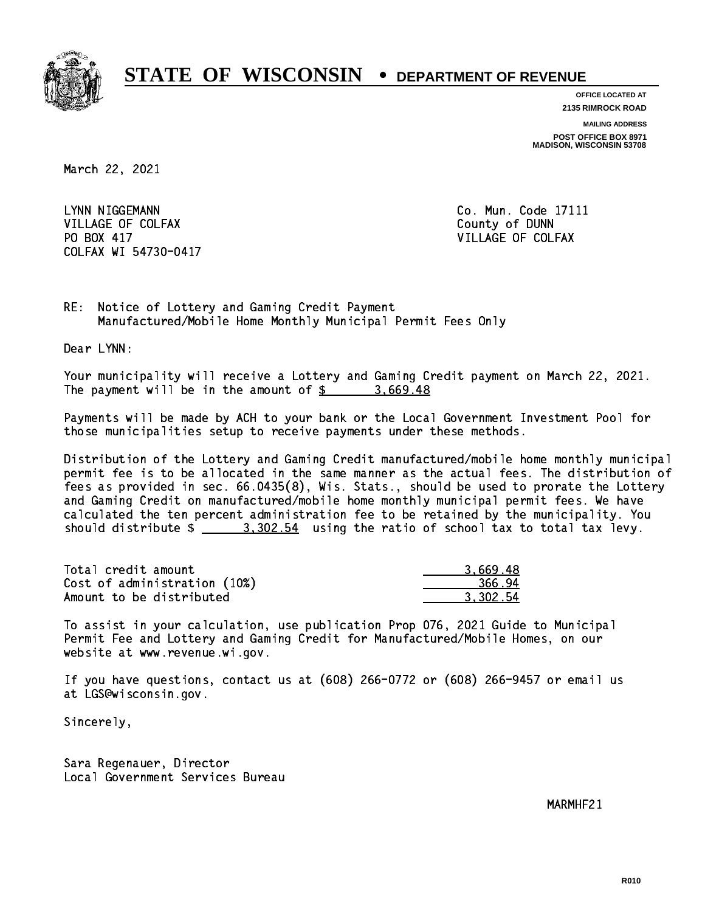

**OFFICE LOCATED AT 2135 RIMROCK ROAD**

**MAILING ADDRESS**

**POST OFFICE BOX 8971 MADISON, WISCONSIN 53708**

March 22, 2021

LYNN NIGGEMANN VILLAGE OF COLFAX COUNTY OF DUNN PO BOX 417 COLFAX WI 54730-0417

Co. Mun. Code 17111 VILLAGE OF COLFAX

RE: Notice of Lottery and Gaming Credit Payment Manufactured/Mobile Home Monthly Municipal Permit Fees Only

Dear LYNN:

 Your municipality will receive a Lottery and Gaming Credit payment on March 22, 2021. The payment will be in the amount of  $\frac{2}{3}$  3,669.48

 Payments will be made by ACH to your bank or the Local Government Investment Pool for those municipalities setup to receive payments under these methods.

 Distribution of the Lottery and Gaming Credit manufactured/mobile home monthly municipal permit fee is to be allocated in the same manner as the actual fees. The distribution of fees as provided in sec. 66.0435(8), Wis. Stats., should be used to prorate the Lottery and Gaming Credit on manufactured/mobile home monthly municipal permit fees. We have calculated the ten percent administration fee to be retained by the municipality. You should distribute  $\frac{2}{2}$   $\frac{3,302.54}{2}$  using the ratio of school tax to total tax levy.

| Total credit amount          | 3.669.48 |
|------------------------------|----------|
| Cost of administration (10%) | 366.94   |
| Amount to be distributed     | 3.302.54 |

 To assist in your calculation, use publication Prop 076, 2021 Guide to Municipal Permit Fee and Lottery and Gaming Credit for Manufactured/Mobile Homes, on our website at www.revenue.wi.gov.

 If you have questions, contact us at (608) 266-0772 or (608) 266-9457 or email us at LGS@wisconsin.gov.

Sincerely,

 Sara Regenauer, Director Local Government Services Bureau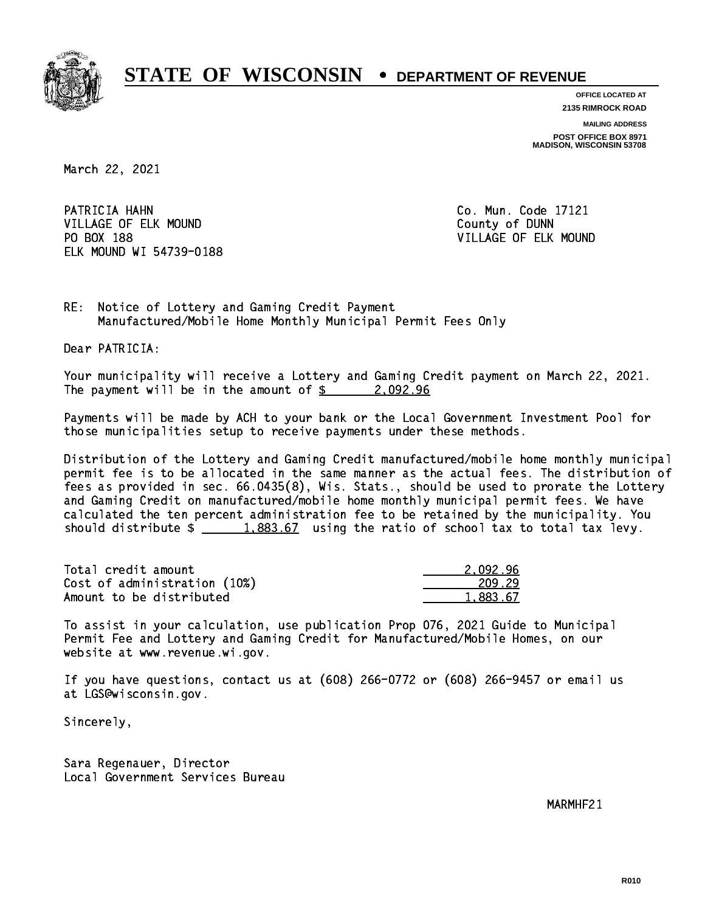

**OFFICE LOCATED AT**

**2135 RIMROCK ROAD**

**MAILING ADDRESS POST OFFICE BOX 8971 MADISON, WISCONSIN 53708**

March 22, 2021

PATRICIA HAHN VILLAGE OF ELK MOUND COUNTY OF DUNN PO BOX 188 ELK MOUND WI 54739-0188

Co. Mun. Code 17121 VILLAGE OF ELK MOUND

RE: Notice of Lottery and Gaming Credit Payment Manufactured/Mobile Home Monthly Municipal Permit Fees Only

Dear PATRICIA:

 Your municipality will receive a Lottery and Gaming Credit payment on March 22, 2021. The payment will be in the amount of  $\frac{2}{9}$  2,092.96

 Payments will be made by ACH to your bank or the Local Government Investment Pool for those municipalities setup to receive payments under these methods.

 Distribution of the Lottery and Gaming Credit manufactured/mobile home monthly municipal permit fee is to be allocated in the same manner as the actual fees. The distribution of fees as provided in sec. 66.0435(8), Wis. Stats., should be used to prorate the Lottery and Gaming Credit on manufactured/mobile home monthly municipal permit fees. We have calculated the ten percent administration fee to be retained by the municipality. You should distribute  $\frac{1.883.67}{1.883.67}$  using the ratio of school tax to total tax levy.

| Total credit amount          | 2.092.96 |
|------------------------------|----------|
| Cost of administration (10%) | 209.29   |
| Amount to be distributed     | 1,883.67 |

 To assist in your calculation, use publication Prop 076, 2021 Guide to Municipal Permit Fee and Lottery and Gaming Credit for Manufactured/Mobile Homes, on our website at www.revenue.wi.gov.

 If you have questions, contact us at (608) 266-0772 or (608) 266-9457 or email us at LGS@wisconsin.gov.

Sincerely,

 Sara Regenauer, Director Local Government Services Bureau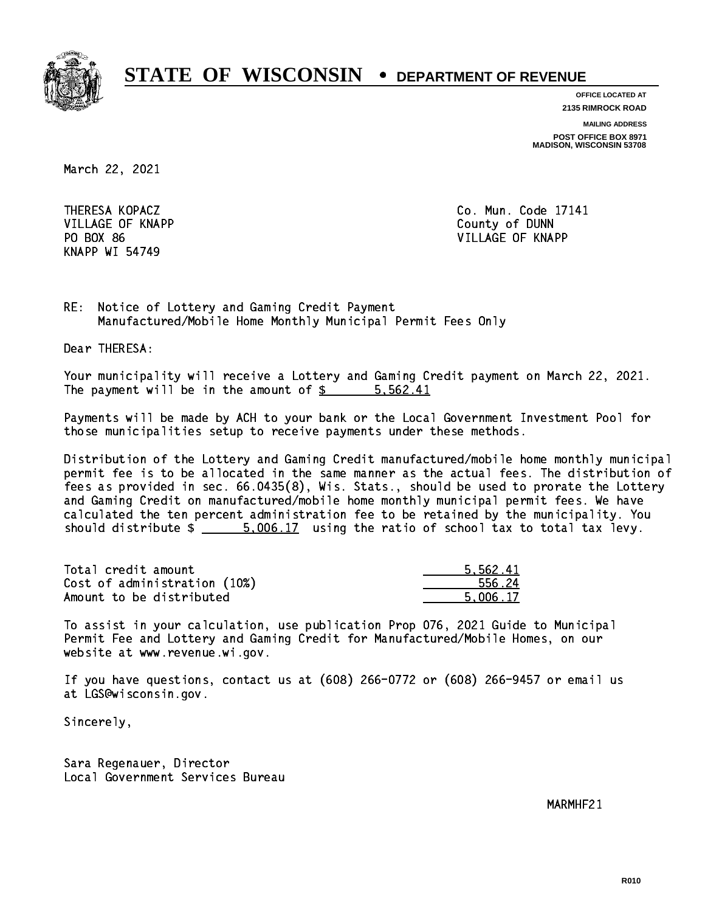

**OFFICE LOCATED AT 2135 RIMROCK ROAD**

**MAILING ADDRESS**

**POST OFFICE BOX 8971 MADISON, WISCONSIN 53708**

March 22, 2021

 VILLAGE OF KNAPP County of DUNN KNAPP WI 54749

 THERESA KOPACZ Co. Mun. Code 17141 PO BOX 86 VILLAGE OF KNAPP

RE: Notice of Lottery and Gaming Credit Payment Manufactured/Mobile Home Monthly Municipal Permit Fees Only

Dear THERESA:

 Your municipality will receive a Lottery and Gaming Credit payment on March 22, 2021. The payment will be in the amount of \$ 5,562.41 \_\_\_\_\_\_\_\_\_\_\_\_\_\_\_\_

 Payments will be made by ACH to your bank or the Local Government Investment Pool for those municipalities setup to receive payments under these methods.

 Distribution of the Lottery and Gaming Credit manufactured/mobile home monthly municipal permit fee is to be allocated in the same manner as the actual fees. The distribution of fees as provided in sec. 66.0435(8), Wis. Stats., should be used to prorate the Lottery and Gaming Credit on manufactured/mobile home monthly municipal permit fees. We have calculated the ten percent administration fee to be retained by the municipality. You should distribute  $\frac{2}{1}$   $\frac{5,006.17}{2}$  using the ratio of school tax to total tax levy.

| Total credit amount          | 5.562.41 |
|------------------------------|----------|
| Cost of administration (10%) | 556.24   |
| Amount to be distributed     | 5.006.17 |

 To assist in your calculation, use publication Prop 076, 2021 Guide to Municipal Permit Fee and Lottery and Gaming Credit for Manufactured/Mobile Homes, on our website at www.revenue.wi.gov.

 If you have questions, contact us at (608) 266-0772 or (608) 266-9457 or email us at LGS@wisconsin.gov.

Sincerely,

 Sara Regenauer, Director Local Government Services Bureau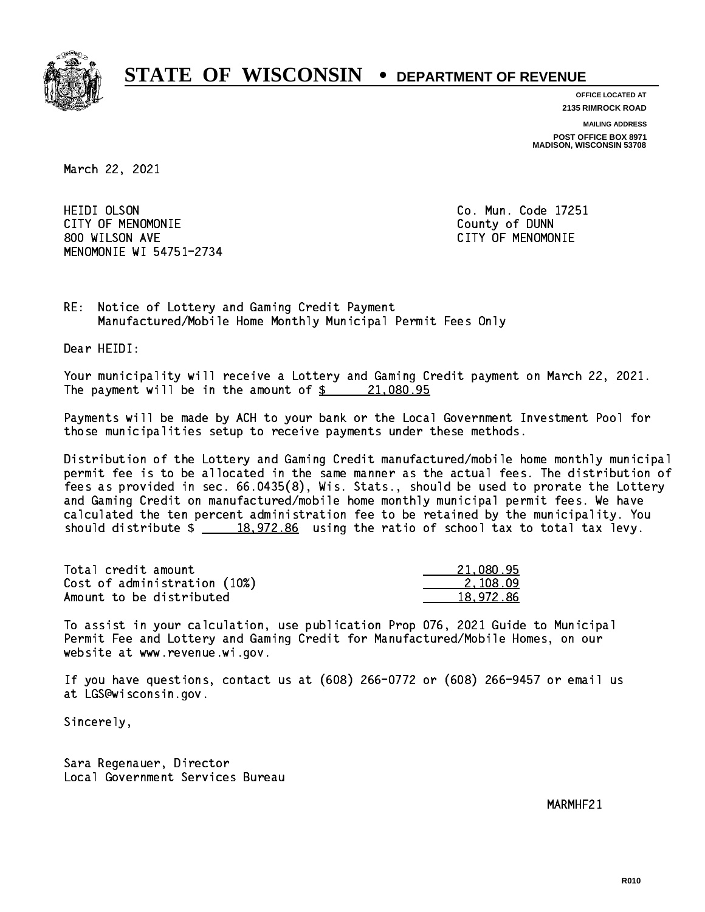

**OFFICE LOCATED AT 2135 RIMROCK ROAD**

**MAILING ADDRESS**

**POST OFFICE BOX 8971 MADISON, WISCONSIN 53708**

March 22, 2021

**HEIDI OLSON**  CITY OF MENOMONIE County of DUNN 800 WILSON AVE CITY OF MENOMONIE MENOMONIE WI 54751-2734

Co. Mun. Code 17251

RE: Notice of Lottery and Gaming Credit Payment Manufactured/Mobile Home Monthly Municipal Permit Fees Only

Dear HEIDI:

 Your municipality will receive a Lottery and Gaming Credit payment on March 22, 2021. The payment will be in the amount of  $\frac{21,080.95}{21,080.95}$ 

 Payments will be made by ACH to your bank or the Local Government Investment Pool for those municipalities setup to receive payments under these methods.

 Distribution of the Lottery and Gaming Credit manufactured/mobile home monthly municipal permit fee is to be allocated in the same manner as the actual fees. The distribution of fees as provided in sec. 66.0435(8), Wis. Stats., should be used to prorate the Lottery and Gaming Credit on manufactured/mobile home monthly municipal permit fees. We have calculated the ten percent administration fee to be retained by the municipality. You should distribute  $\frac{2}{18,972.86}$  using the ratio of school tax to total tax levy.

| Total credit amount          | 21,080.95 |
|------------------------------|-----------|
| Cost of administration (10%) | 2.108.09  |
| Amount to be distributed     | 18.972.86 |

 To assist in your calculation, use publication Prop 076, 2021 Guide to Municipal Permit Fee and Lottery and Gaming Credit for Manufactured/Mobile Homes, on our website at www.revenue.wi.gov.

 If you have questions, contact us at (608) 266-0772 or (608) 266-9457 or email us at LGS@wisconsin.gov.

Sincerely,

 Sara Regenauer, Director Local Government Services Bureau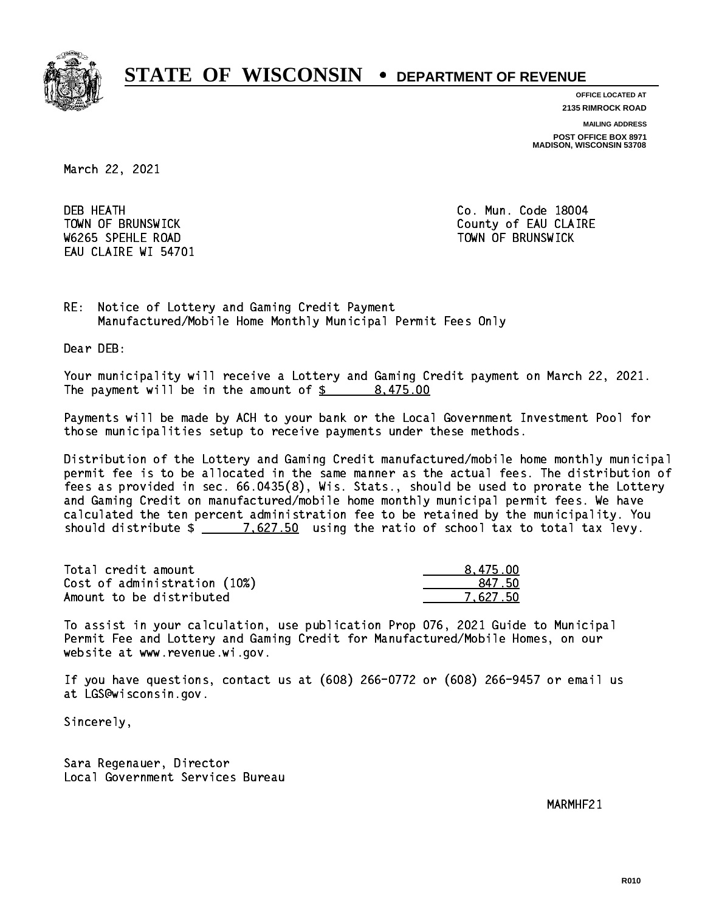

**OFFICE LOCATED AT**

**2135 RIMROCK ROAD**

**MAILING ADDRESS POST OFFICE BOX 8971 MADISON, WISCONSIN 53708**

March 22, 2021

**DEB HEATH** W6265 SPEHLE ROAD TOWN OF BRUNSWICK EAU CLAIRE WI 54701

Co. Mun. Code 18004 TOWN OF BRUNSWICK County of EAU CLAIRE

RE: Notice of Lottery and Gaming Credit Payment Manufactured/Mobile Home Monthly Municipal Permit Fees Only

Dear DEB:

 Your municipality will receive a Lottery and Gaming Credit payment on March 22, 2021. The payment will be in the amount of  $\frac{2}{3}$  8,475.00

 Payments will be made by ACH to your bank or the Local Government Investment Pool for those municipalities setup to receive payments under these methods.

 Distribution of the Lottery and Gaming Credit manufactured/mobile home monthly municipal permit fee is to be allocated in the same manner as the actual fees. The distribution of fees as provided in sec. 66.0435(8), Wis. Stats., should be used to prorate the Lottery and Gaming Credit on manufactured/mobile home monthly municipal permit fees. We have calculated the ten percent administration fee to be retained by the municipality. You should distribute  $\frac{2}{2}$   $\frac{7.627.50}{7.627.50}$  using the ratio of school tax to total tax levy.

| Total credit amount          | 8,475.00 |
|------------------------------|----------|
| Cost of administration (10%) | 847.50   |
| Amount to be distributed     | 7.627.50 |

 To assist in your calculation, use publication Prop 076, 2021 Guide to Municipal Permit Fee and Lottery and Gaming Credit for Manufactured/Mobile Homes, on our website at www.revenue.wi.gov.

 If you have questions, contact us at (608) 266-0772 or (608) 266-9457 or email us at LGS@wisconsin.gov.

Sincerely,

 Sara Regenauer, Director Local Government Services Bureau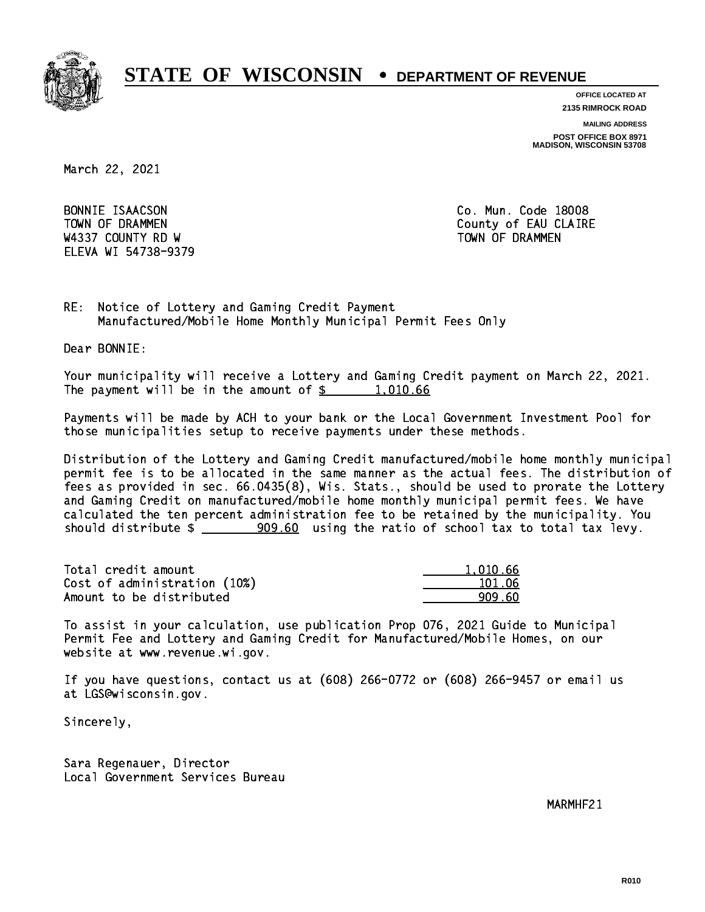

**OFFICE LOCATED AT**

**2135 RIMROCK ROAD**

**MAILING ADDRESS**

**POST OFFICE BOX 8971 MADISON, WISCONSIN 53708**

March 22, 2021

BONNIE ISAACSON W4337 COUNTY RD W TOWN OF DRAMMEN ELEVA WI 54738-9379

Co. Mun. Code 18008 TOWN OF DRAMMEN COUNTY OF EAU CLAIRE

RE: Notice of Lottery and Gaming Credit Payment Manufactured/Mobile Home Monthly Municipal Permit Fees Only

Dear BONNIE:

 Your municipality will receive a Lottery and Gaming Credit payment on March 22, 2021. The payment will be in the amount of  $\frac{2}{3}$  1,010.66

 Payments will be made by ACH to your bank or the Local Government Investment Pool for those municipalities setup to receive payments under these methods.

 Distribution of the Lottery and Gaming Credit manufactured/mobile home monthly municipal permit fee is to be allocated in the same manner as the actual fees. The distribution of fees as provided in sec. 66.0435(8), Wis. Stats., should be used to prorate the Lottery and Gaming Credit on manufactured/mobile home monthly municipal permit fees. We have calculated the ten percent administration fee to be retained by the municipality. You should distribute  $\frac{1}{2}$   $\frac{909.60}{2}$  using the ratio of school tax to total tax levy.

| Total credit amount          | 1.010.66 |
|------------------------------|----------|
| Cost of administration (10%) | 101.06   |
| Amount to be distributed     | 909.60   |

 To assist in your calculation, use publication Prop 076, 2021 Guide to Municipal Permit Fee and Lottery and Gaming Credit for Manufactured/Mobile Homes, on our website at www.revenue.wi.gov.

 If you have questions, contact us at (608) 266-0772 or (608) 266-9457 or email us at LGS@wisconsin.gov.

Sincerely,

 Sara Regenauer, Director Local Government Services Bureau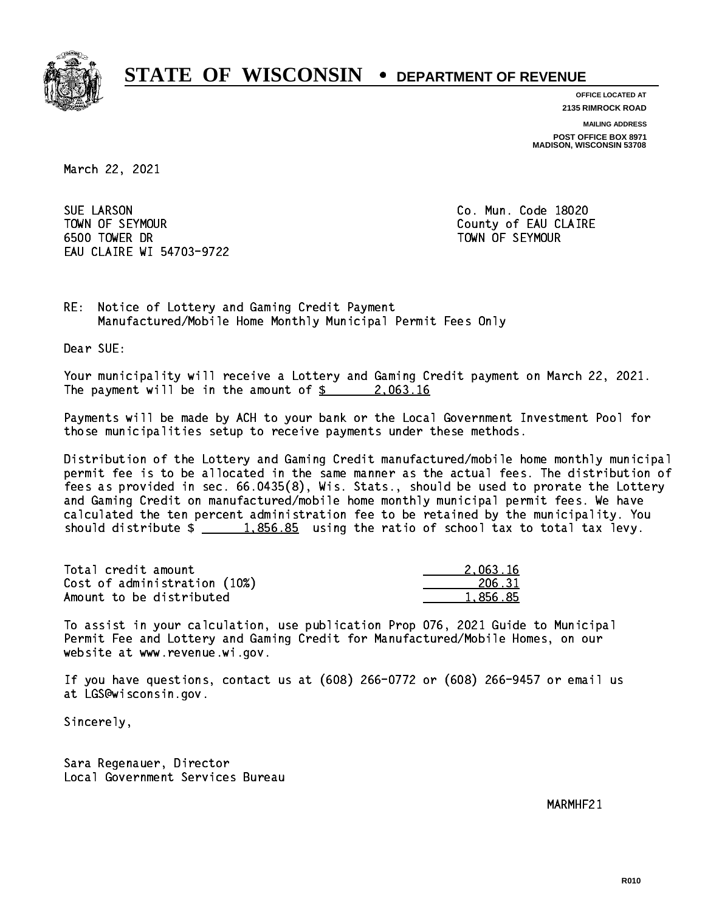

**OFFICE LOCATED AT 2135 RIMROCK ROAD**

**MAILING ADDRESS**

**POST OFFICE BOX 8971 MADISON, WISCONSIN 53708**

March 22, 2021

**SUE LARSON**  TOWN OF SEYMOUR County of EAU CLAIRE 6500 TOWER DR TOWN OF SEYMOUR EAU CLAIRE WI 54703-9722

Co. Mun. Code 18020

RE: Notice of Lottery and Gaming Credit Payment Manufactured/Mobile Home Monthly Municipal Permit Fees Only

Dear SUE:

 Your municipality will receive a Lottery and Gaming Credit payment on March 22, 2021. The payment will be in the amount of  $\frac{2.063.16}{2.25}$ 

 Payments will be made by ACH to your bank or the Local Government Investment Pool for those municipalities setup to receive payments under these methods.

 Distribution of the Lottery and Gaming Credit manufactured/mobile home monthly municipal permit fee is to be allocated in the same manner as the actual fees. The distribution of fees as provided in sec. 66.0435(8), Wis. Stats., should be used to prorate the Lottery and Gaming Credit on manufactured/mobile home monthly municipal permit fees. We have calculated the ten percent administration fee to be retained by the municipality. You should distribute  $\frac{1.856.85}{1.856.85}$  using the ratio of school tax to total tax levy.

| Total credit amount          | 2.063.16 |
|------------------------------|----------|
| Cost of administration (10%) | 206.31   |
| Amount to be distributed     | 1.856.85 |

 To assist in your calculation, use publication Prop 076, 2021 Guide to Municipal Permit Fee and Lottery and Gaming Credit for Manufactured/Mobile Homes, on our website at www.revenue.wi.gov.

 If you have questions, contact us at (608) 266-0772 or (608) 266-9457 or email us at LGS@wisconsin.gov.

Sincerely,

 Sara Regenauer, Director Local Government Services Bureau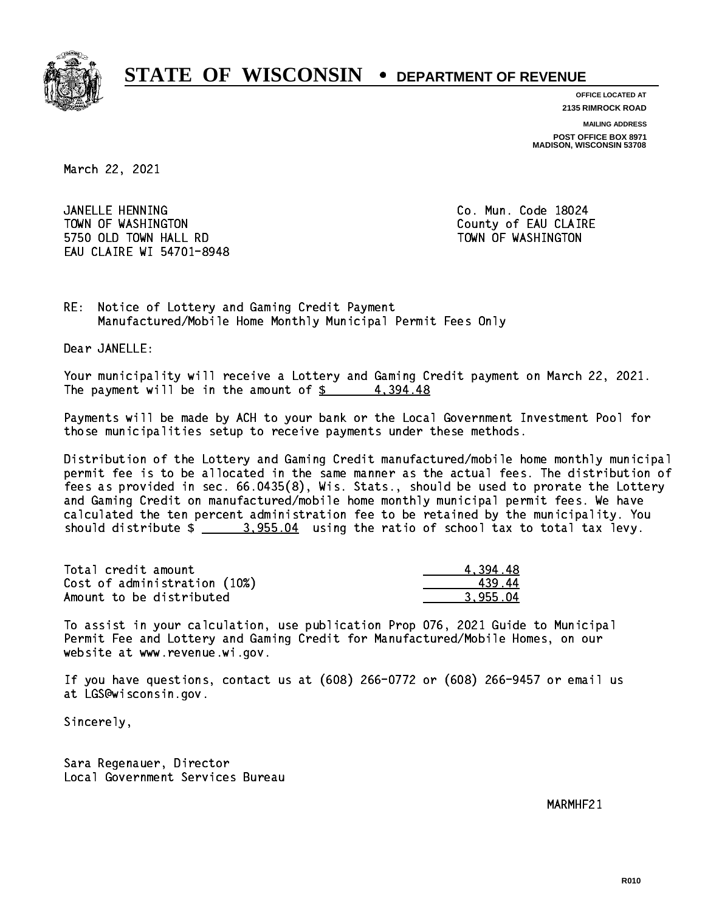

**OFFICE LOCATED AT**

**2135 RIMROCK ROAD**

**MAILING ADDRESS POST OFFICE BOX 8971 MADISON, WISCONSIN 53708**

March 22, 2021

JANELLE HENNING TOWN OF WASHINGTON COUNTY OF EAU CLAIRE 5750 OLD TOWN HALL RD TOWN OF WASHINGTON EAU CLAIRE WI 54701-8948

Co. Mun. Code 18024

RE: Notice of Lottery and Gaming Credit Payment Manufactured/Mobile Home Monthly Municipal Permit Fees Only

Dear JANELLE:

 Your municipality will receive a Lottery and Gaming Credit payment on March 22, 2021. The payment will be in the amount of  $\frac{2}{3}$  4,394.48

 Payments will be made by ACH to your bank or the Local Government Investment Pool for those municipalities setup to receive payments under these methods.

 Distribution of the Lottery and Gaming Credit manufactured/mobile home monthly municipal permit fee is to be allocated in the same manner as the actual fees. The distribution of fees as provided in sec. 66.0435(8), Wis. Stats., should be used to prorate the Lottery and Gaming Credit on manufactured/mobile home monthly municipal permit fees. We have calculated the ten percent administration fee to be retained by the municipality. You should distribute  $\frac{2}{2}$   $\frac{3.955.04}{2}$  using the ratio of school tax to total tax levy.

| Total credit amount          | 4.394.48 |
|------------------------------|----------|
| Cost of administration (10%) | 43944    |
| Amount to be distributed     | 3.955.04 |

 To assist in your calculation, use publication Prop 076, 2021 Guide to Municipal Permit Fee and Lottery and Gaming Credit for Manufactured/Mobile Homes, on our website at www.revenue.wi.gov.

 If you have questions, contact us at (608) 266-0772 or (608) 266-9457 or email us at LGS@wisconsin.gov.

Sincerely,

 Sara Regenauer, Director Local Government Services Bureau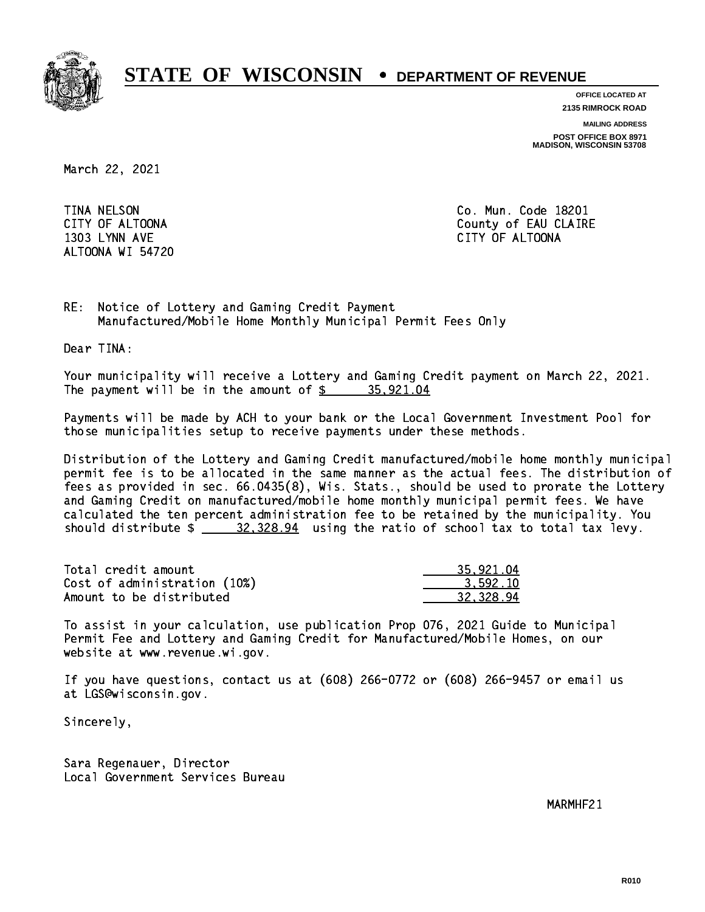

**OFFICE LOCATED AT**

**2135 RIMROCK ROAD**

**MAILING ADDRESS**

**POST OFFICE BOX 8971 MADISON, WISCONSIN 53708**

March 22, 2021

**TINA NELSON**  1303 LYNN AVE CITY OF ALTOONA ALTOONA WI 54720

Co. Mun. Code 18201 CITY OF ALTOONA COUNTY OF ALTOONA

RE: Notice of Lottery and Gaming Credit Payment Manufactured/Mobile Home Monthly Municipal Permit Fees Only

Dear TINA:

 Your municipality will receive a Lottery and Gaming Credit payment on March 22, 2021. The payment will be in the amount of  $\frac{2}{3}$  35,921.04

 Payments will be made by ACH to your bank or the Local Government Investment Pool for those municipalities setup to receive payments under these methods.

 Distribution of the Lottery and Gaming Credit manufactured/mobile home monthly municipal permit fee is to be allocated in the same manner as the actual fees. The distribution of fees as provided in sec. 66.0435(8), Wis. Stats., should be used to prorate the Lottery and Gaming Credit on manufactured/mobile home monthly municipal permit fees. We have calculated the ten percent administration fee to be retained by the municipality. You should distribute  $\frac{20,328.94}{20,328.94}$  using the ratio of school tax to total tax levy.

| Total credit amount          | 35,921.04 |
|------------------------------|-----------|
| Cost of administration (10%) | 3.592.10  |
| Amount to be distributed     | 32.328.94 |

 To assist in your calculation, use publication Prop 076, 2021 Guide to Municipal Permit Fee and Lottery and Gaming Credit for Manufactured/Mobile Homes, on our website at www.revenue.wi.gov.

 If you have questions, contact us at (608) 266-0772 or (608) 266-9457 or email us at LGS@wisconsin.gov.

Sincerely,

 Sara Regenauer, Director Local Government Services Bureau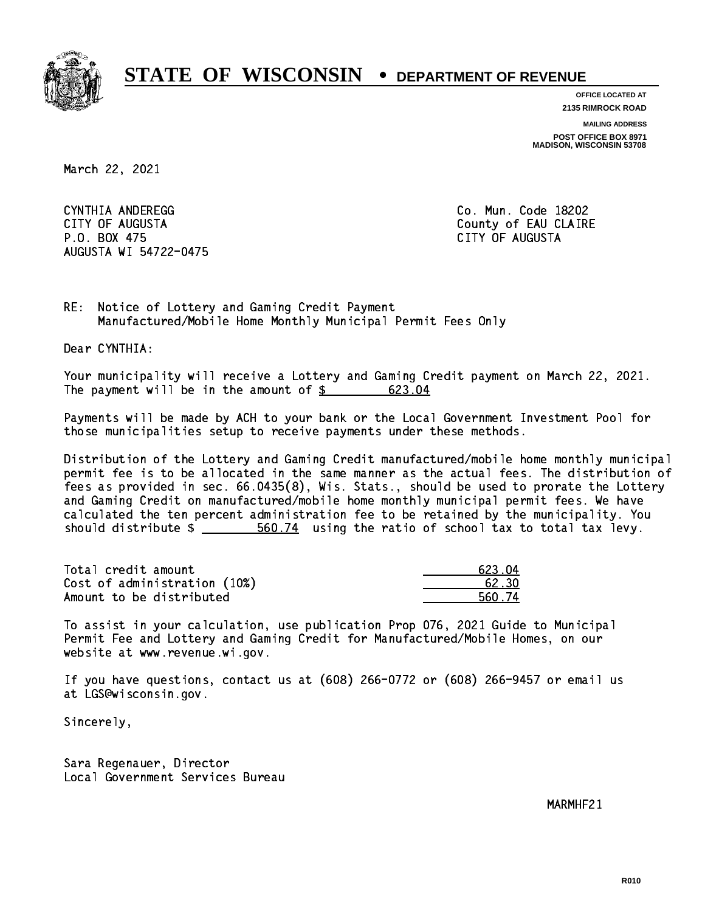

**OFFICE LOCATED AT**

**2135 RIMROCK ROAD**

**MAILING ADDRESS POST OFFICE BOX 8971 MADISON, WISCONSIN 53708**

March 22, 2021

 CYNTHIA ANDEREGG Co. Mun. Code 18202 CITY OF AUGUSTA County of EAU CLAIRE P.O. BOX 475 CITY OF AUGUSTA AUGUSTA WI 54722-0475

RE: Notice of Lottery and Gaming Credit Payment Manufactured/Mobile Home Monthly Municipal Permit Fees Only

Dear CYNTHIA:

 Your municipality will receive a Lottery and Gaming Credit payment on March 22, 2021. The payment will be in the amount of  $\frac{23.04}{24}$ 

 Payments will be made by ACH to your bank or the Local Government Investment Pool for those municipalities setup to receive payments under these methods.

 Distribution of the Lottery and Gaming Credit manufactured/mobile home monthly municipal permit fee is to be allocated in the same manner as the actual fees. The distribution of fees as provided in sec. 66.0435(8), Wis. Stats., should be used to prorate the Lottery and Gaming Credit on manufactured/mobile home monthly municipal permit fees. We have calculated the ten percent administration fee to be retained by the municipality. You should distribute  $\frac{2}{1}$   $\frac{560.74}{2}$  using the ratio of school tax to total tax levy.

Total credit amount Cost of administration (10%) Amount to be distributed

| 623.04 |
|--------|
| 62 30  |
| 560.74 |

 To assist in your calculation, use publication Prop 076, 2021 Guide to Municipal Permit Fee and Lottery and Gaming Credit for Manufactured/Mobile Homes, on our website at www.revenue.wi.gov.

 If you have questions, contact us at (608) 266-0772 or (608) 266-9457 or email us at LGS@wisconsin.gov.

Sincerely,

 Sara Regenauer, Director Local Government Services Bureau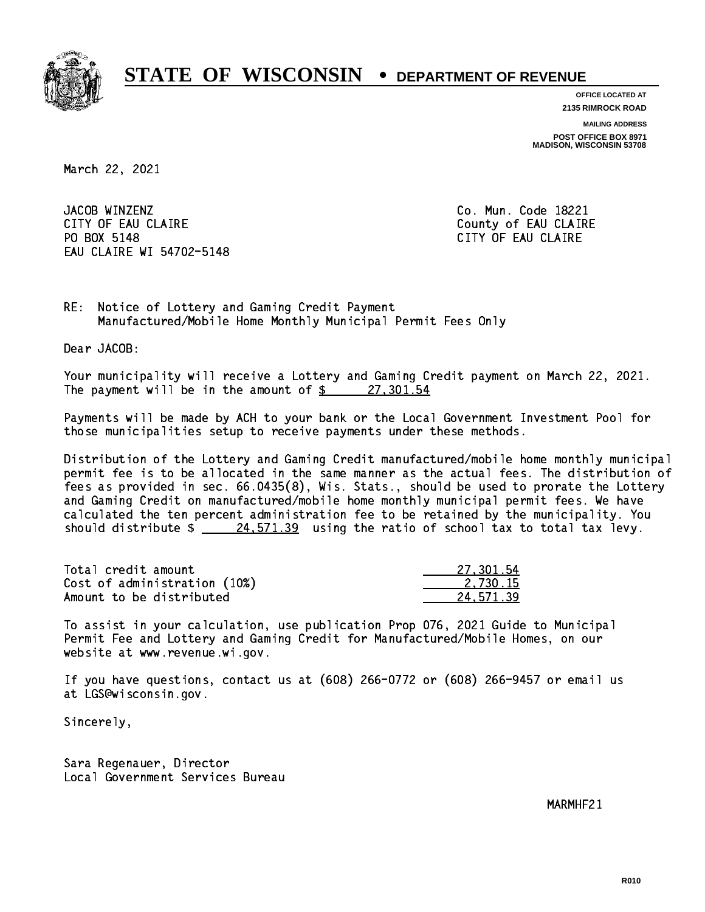

**OFFICE LOCATED AT**

**2135 RIMROCK ROAD**

**MAILING ADDRESS**

**POST OFFICE BOX 8971 MADISON, WISCONSIN 53708**

March 22, 2021

JACOB WINZENZ CITY OF EAU CLAIRE CITY OF EAU CLAIRE PO BOX 5148 EAU CLAIRE WI 54702-5148

Co. Mun. Code 18221 CITY OF EAU CLAIRE

RE: Notice of Lottery and Gaming Credit Payment Manufactured/Mobile Home Monthly Municipal Permit Fees Only

Dear JACOB:

 Your municipality will receive a Lottery and Gaming Credit payment on March 22, 2021. The payment will be in the amount of  $\frac{27,301.54}{27}$ 

 Payments will be made by ACH to your bank or the Local Government Investment Pool for those municipalities setup to receive payments under these methods.

 Distribution of the Lottery and Gaming Credit manufactured/mobile home monthly municipal permit fee is to be allocated in the same manner as the actual fees. The distribution of fees as provided in sec. 66.0435(8), Wis. Stats., should be used to prorate the Lottery and Gaming Credit on manufactured/mobile home monthly municipal permit fees. We have calculated the ten percent administration fee to be retained by the municipality. You should distribute  $\frac{24.571.39}{24.571.39}$  using the ratio of school tax to total tax levy.

| Total credit amount          | 27.301.54 |
|------------------------------|-----------|
| Cost of administration (10%) | 2.730.15  |
| Amount to be distributed     | 24.571.39 |

 To assist in your calculation, use publication Prop 076, 2021 Guide to Municipal Permit Fee and Lottery and Gaming Credit for Manufactured/Mobile Homes, on our website at www.revenue.wi.gov.

 If you have questions, contact us at (608) 266-0772 or (608) 266-9457 or email us at LGS@wisconsin.gov.

Sincerely,

 Sara Regenauer, Director Local Government Services Bureau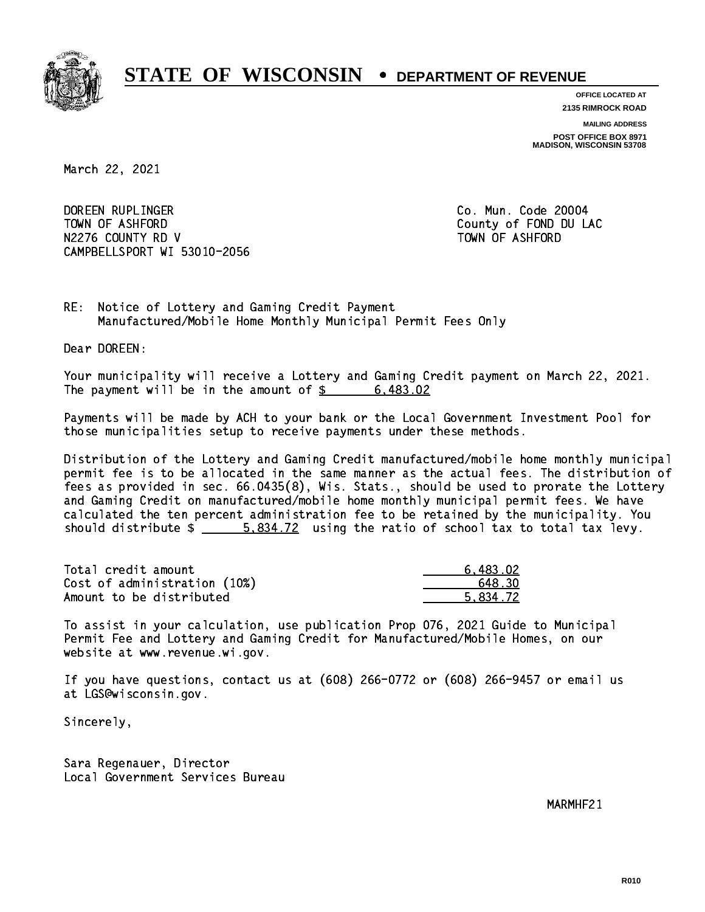

**OFFICE LOCATED AT 2135 RIMROCK ROAD**

**MAILING ADDRESS**

**POST OFFICE BOX 8971 MADISON, WISCONSIN 53708**

March 22, 2021

 DOREEN RUPLINGER Co. Mun. Code 20004 TOWN OF ASHFORD County of FOND DU LAC N2276 COUNTY RD V TOWN OF ASHFORD CAMPBELLSPORT WI 53010-2056

RE: Notice of Lottery and Gaming Credit Payment Manufactured/Mobile Home Monthly Municipal Permit Fees Only

Dear DOREEN:

 Your municipality will receive a Lottery and Gaming Credit payment on March 22, 2021. The payment will be in the amount of  $\frac{2}{3}$  6,483.02

 Payments will be made by ACH to your bank or the Local Government Investment Pool for those municipalities setup to receive payments under these methods.

 Distribution of the Lottery and Gaming Credit manufactured/mobile home monthly municipal permit fee is to be allocated in the same manner as the actual fees. The distribution of fees as provided in sec. 66.0435(8), Wis. Stats., should be used to prorate the Lottery and Gaming Credit on manufactured/mobile home monthly municipal permit fees. We have calculated the ten percent administration fee to be retained by the municipality. You should distribute  $\frac{2}{1}$   $\frac{5.834.72}{2}$  using the ratio of school tax to total tax levy.

| Total credit amount          | 6.483.02 |
|------------------------------|----------|
| Cost of administration (10%) | 648.30   |
| Amount to be distributed     | 5.834.72 |

 To assist in your calculation, use publication Prop 076, 2021 Guide to Municipal Permit Fee and Lottery and Gaming Credit for Manufactured/Mobile Homes, on our website at www.revenue.wi.gov.

 If you have questions, contact us at (608) 266-0772 or (608) 266-9457 or email us at LGS@wisconsin.gov.

Sincerely,

 Sara Regenauer, Director Local Government Services Bureau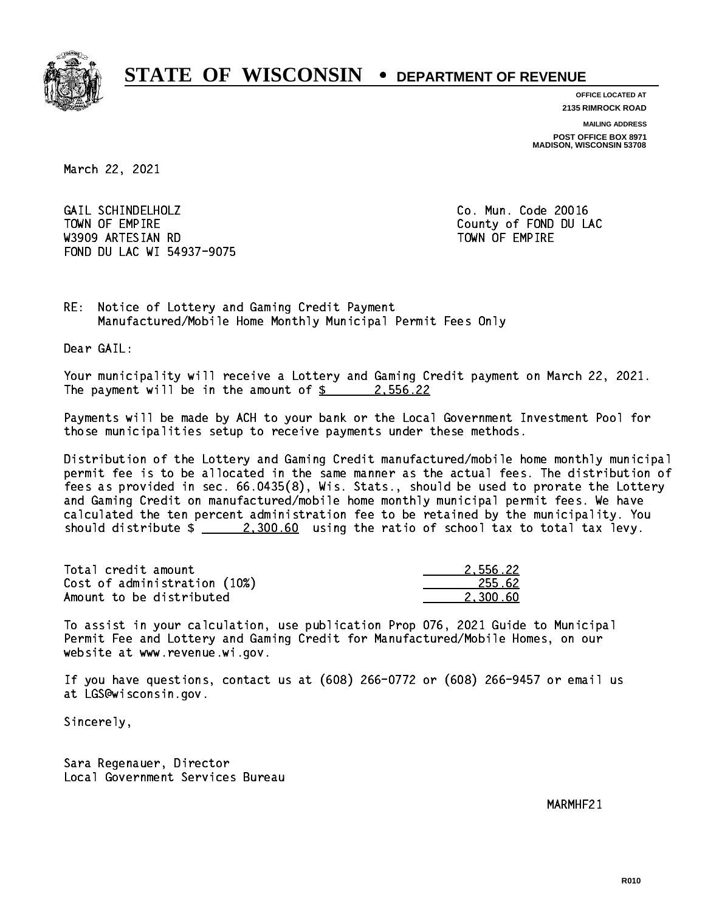

**OFFICE LOCATED AT 2135 RIMROCK ROAD**

**MAILING ADDRESS**

**POST OFFICE BOX 8971 MADISON, WISCONSIN 53708**

March 22, 2021

 GAIL SCHINDELHOLZ Co. Mun. Code 20016 TOWN OF EMPIRE County of FOND DU LAC W3909 ARTESIAN RD TOWN OF EMPIRE FOND DU LAC WI 54937-9075

RE: Notice of Lottery and Gaming Credit Payment Manufactured/Mobile Home Monthly Municipal Permit Fees Only

Dear GAIL:

 Your municipality will receive a Lottery and Gaming Credit payment on March 22, 2021. The payment will be in the amount of  $\frac{2}{3}$  2,556.22

 Payments will be made by ACH to your bank or the Local Government Investment Pool for those municipalities setup to receive payments under these methods.

 Distribution of the Lottery and Gaming Credit manufactured/mobile home monthly municipal permit fee is to be allocated in the same manner as the actual fees. The distribution of fees as provided in sec. 66.0435(8), Wis. Stats., should be used to prorate the Lottery and Gaming Credit on manufactured/mobile home monthly municipal permit fees. We have calculated the ten percent administration fee to be retained by the municipality. You should distribute  $\frac{2,300.60}{2}$  using the ratio of school tax to total tax levy.

| Total credit amount          | 2.556.22 |
|------------------------------|----------|
| Cost of administration (10%) | 255.62   |
| Amount to be distributed     | 2.300.60 |

 To assist in your calculation, use publication Prop 076, 2021 Guide to Municipal Permit Fee and Lottery and Gaming Credit for Manufactured/Mobile Homes, on our website at www.revenue.wi.gov.

 If you have questions, contact us at (608) 266-0772 or (608) 266-9457 or email us at LGS@wisconsin.gov.

Sincerely,

 Sara Regenauer, Director Local Government Services Bureau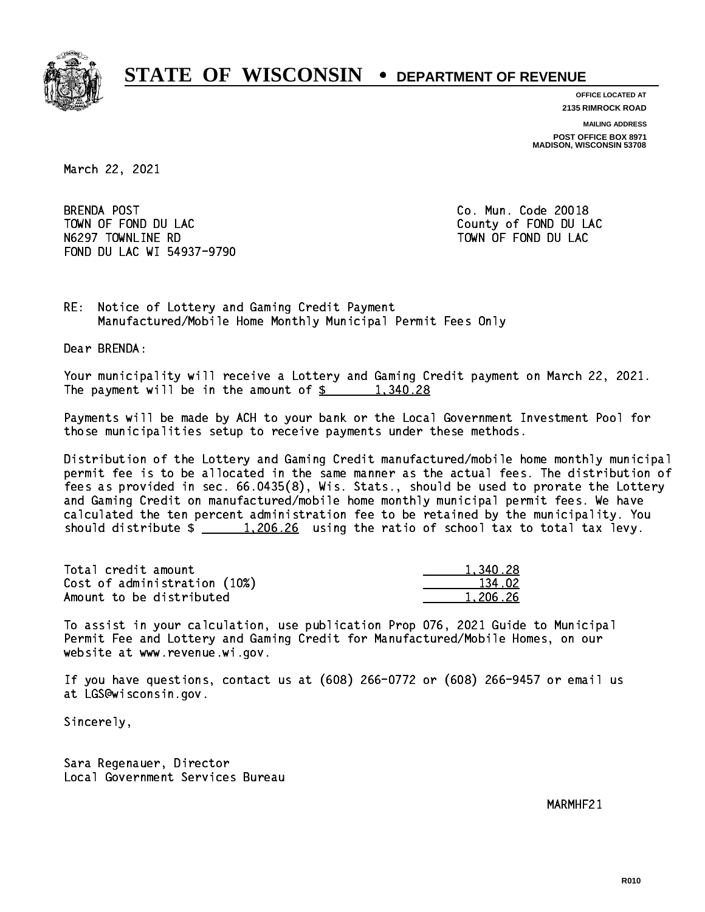

**OFFICE LOCATED AT**

**2135 RIMROCK ROAD**

**MAILING ADDRESS POST OFFICE BOX 8971 MADISON, WISCONSIN 53708**

March 22, 2021

**BRENDA POST**  TOWN OF FOND DU LAC County of FOND DU LAC N6297 TOWNLINE RD TO TO TOWN OF FOND DU LAC FOND DU LAC WI 54937-9790

Co. Mun. Code 20018

RE: Notice of Lottery and Gaming Credit Payment Manufactured/Mobile Home Monthly Municipal Permit Fees Only

Dear BRENDA:

 Your municipality will receive a Lottery and Gaming Credit payment on March 22, 2021. The payment will be in the amount of  $\frac{28}{1,340.28}$ 

 Payments will be made by ACH to your bank or the Local Government Investment Pool for those municipalities setup to receive payments under these methods.

 Distribution of the Lottery and Gaming Credit manufactured/mobile home monthly municipal permit fee is to be allocated in the same manner as the actual fees. The distribution of fees as provided in sec. 66.0435(8), Wis. Stats., should be used to prorate the Lottery and Gaming Credit on manufactured/mobile home monthly municipal permit fees. We have calculated the ten percent administration fee to be retained by the municipality. You should distribute  $\frac{1,206.26}{1,206.26}$  using the ratio of school tax to total tax levy.

| Total credit amount          | 1,340.28 |
|------------------------------|----------|
| Cost of administration (10%) | 134.02   |
| Amount to be distributed     | 1.206.26 |

 To assist in your calculation, use publication Prop 076, 2021 Guide to Municipal Permit Fee and Lottery and Gaming Credit for Manufactured/Mobile Homes, on our website at www.revenue.wi.gov.

 If you have questions, contact us at (608) 266-0772 or (608) 266-9457 or email us at LGS@wisconsin.gov.

Sincerely,

 Sara Regenauer, Director Local Government Services Bureau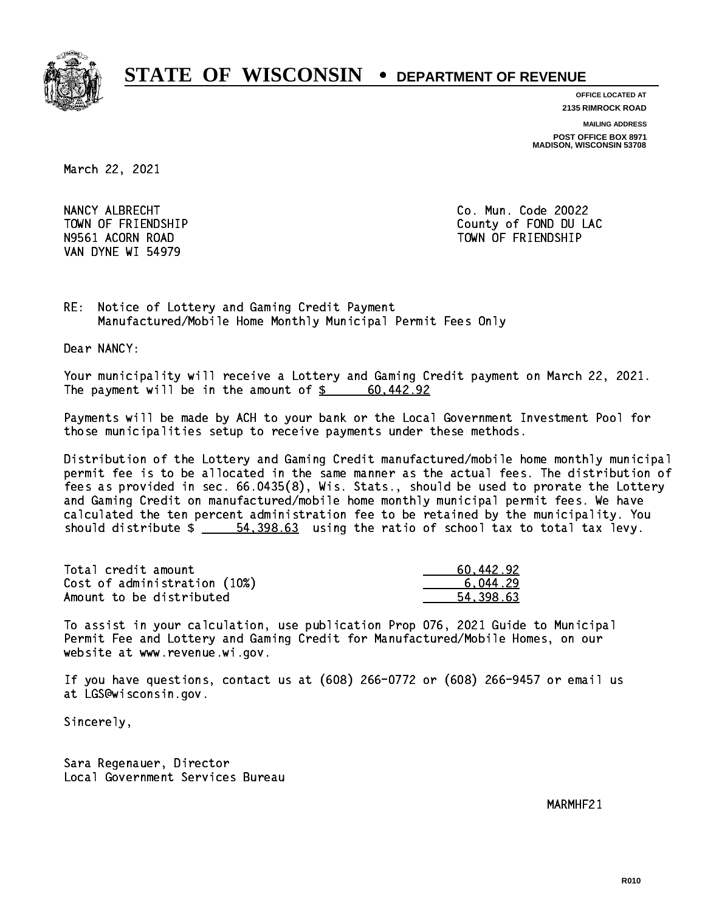

**OFFICE LOCATED AT 2135 RIMROCK ROAD**

**MAILING ADDRESS**

**POST OFFICE BOX 8971 MADISON, WISCONSIN 53708**

March 22, 2021

NANCY ALBRECHT COMMUNICATION CO. Mun. Code 20022 VAN DYNE WI 54979

 TOWN OF FRIENDSHIP County of FOND DU LAC N9561 ACORN ROAD TOWN OF FRIENDSHIP

RE: Notice of Lottery and Gaming Credit Payment Manufactured/Mobile Home Monthly Municipal Permit Fees Only

Dear NANCY:

 Your municipality will receive a Lottery and Gaming Credit payment on March 22, 2021. The payment will be in the amount of  $\frac{2}{3}$  60,442.92

 Payments will be made by ACH to your bank or the Local Government Investment Pool for those municipalities setup to receive payments under these methods.

 Distribution of the Lottery and Gaming Credit manufactured/mobile home monthly municipal permit fee is to be allocated in the same manner as the actual fees. The distribution of fees as provided in sec. 66.0435(8), Wis. Stats., should be used to prorate the Lottery and Gaming Credit on manufactured/mobile home monthly municipal permit fees. We have calculated the ten percent administration fee to be retained by the municipality. You should distribute  $\frac{2}{1}$   $\frac{54,398.63}{2}$  using the ratio of school tax to total tax levy.

| Total credit amount          | 60.442.92 |
|------------------------------|-----------|
| Cost of administration (10%) | 6.044.29  |
| Amount to be distributed     | 54.398.63 |

 To assist in your calculation, use publication Prop 076, 2021 Guide to Municipal Permit Fee and Lottery and Gaming Credit for Manufactured/Mobile Homes, on our website at www.revenue.wi.gov.

 If you have questions, contact us at (608) 266-0772 or (608) 266-9457 or email us at LGS@wisconsin.gov.

Sincerely,

 Sara Regenauer, Director Local Government Services Bureau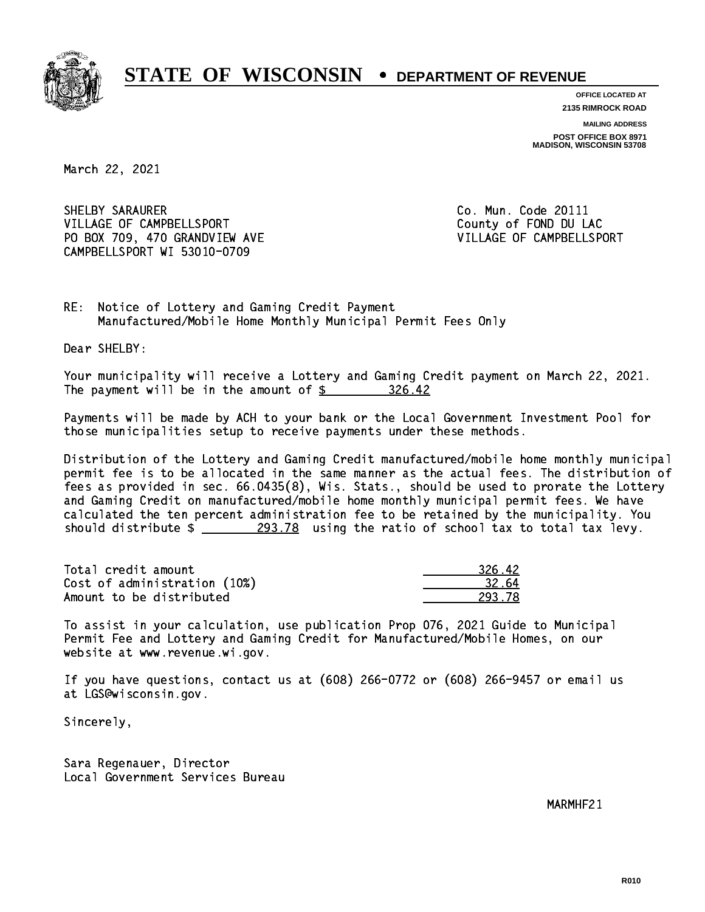

**OFFICE LOCATED AT 2135 RIMROCK ROAD**

**MAILING ADDRESS**

**POST OFFICE BOX 8971 MADISON, WISCONSIN 53708**

March 22, 2021

SHELBY SARAURER **Co. Mun. Code 20111** VILLAGE OF CAMPBELLSPORT COUNTY OF FOND DU LAC PO BOX 709, 470 GRANDVIEW AVE VILLAGE OF CAMPBELLSPORT CAMPBELLSPORT WI 53010-0709

RE: Notice of Lottery and Gaming Credit Payment Manufactured/Mobile Home Monthly Municipal Permit Fees Only

Dear SHELBY:

 Your municipality will receive a Lottery and Gaming Credit payment on March 22, 2021. The payment will be in the amount of  $\frac{26.42}{10.25}$ 

 Payments will be made by ACH to your bank or the Local Government Investment Pool for those municipalities setup to receive payments under these methods.

 Distribution of the Lottery and Gaming Credit manufactured/mobile home monthly municipal permit fee is to be allocated in the same manner as the actual fees. The distribution of fees as provided in sec. 66.0435(8), Wis. Stats., should be used to prorate the Lottery and Gaming Credit on manufactured/mobile home monthly municipal permit fees. We have calculated the ten percent administration fee to be retained by the municipality. You should distribute  $\frac{293.78}{2}$  using the ratio of school tax to total tax levy.

| Total credit amount          | 326.42 |
|------------------------------|--------|
| Cost of administration (10%) | 32.64  |
| Amount to be distributed     | 293.78 |

 To assist in your calculation, use publication Prop 076, 2021 Guide to Municipal Permit Fee and Lottery and Gaming Credit for Manufactured/Mobile Homes, on our website at www.revenue.wi.gov.

 If you have questions, contact us at (608) 266-0772 or (608) 266-9457 or email us at LGS@wisconsin.gov.

Sincerely,

 Sara Regenauer, Director Local Government Services Bureau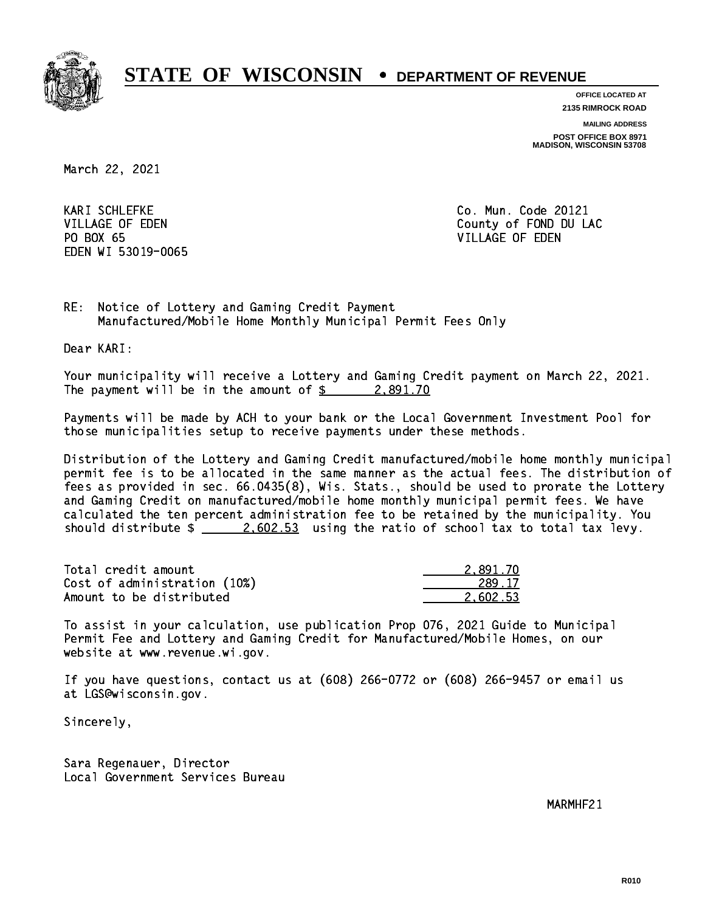

**OFFICE LOCATED AT 2135 RIMROCK ROAD**

**MAILING ADDRESS POST OFFICE BOX 8971 MADISON, WISCONSIN 53708**

March 22, 2021

**KARI SCHLEFKE** PO BOX 65 PO BOX 65 VILLAGE OF EDEN EDEN WI 53019-0065

Co. Mun. Code 20121 VILLAGE OF EDEN County of FOND DU LAC

RE: Notice of Lottery and Gaming Credit Payment Manufactured/Mobile Home Monthly Municipal Permit Fees Only

Dear KARI:

 Your municipality will receive a Lottery and Gaming Credit payment on March 22, 2021. The payment will be in the amount of  $\frac{2}{3}$  2,891.70

 Payments will be made by ACH to your bank or the Local Government Investment Pool for those municipalities setup to receive payments under these methods.

 Distribution of the Lottery and Gaming Credit manufactured/mobile home monthly municipal permit fee is to be allocated in the same manner as the actual fees. The distribution of fees as provided in sec. 66.0435(8), Wis. Stats., should be used to prorate the Lottery and Gaming Credit on manufactured/mobile home monthly municipal permit fees. We have calculated the ten percent administration fee to be retained by the municipality. You should distribute  $\frac{2.602.53}{ }$  using the ratio of school tax to total tax levy.

| Total credit amount          | 2.891.70 |
|------------------------------|----------|
| Cost of administration (10%) | 289.17   |
| Amount to be distributed     | 2.602.53 |

 To assist in your calculation, use publication Prop 076, 2021 Guide to Municipal Permit Fee and Lottery and Gaming Credit for Manufactured/Mobile Homes, on our website at www.revenue.wi.gov.

 If you have questions, contact us at (608) 266-0772 or (608) 266-9457 or email us at LGS@wisconsin.gov.

Sincerely,

 Sara Regenauer, Director Local Government Services Bureau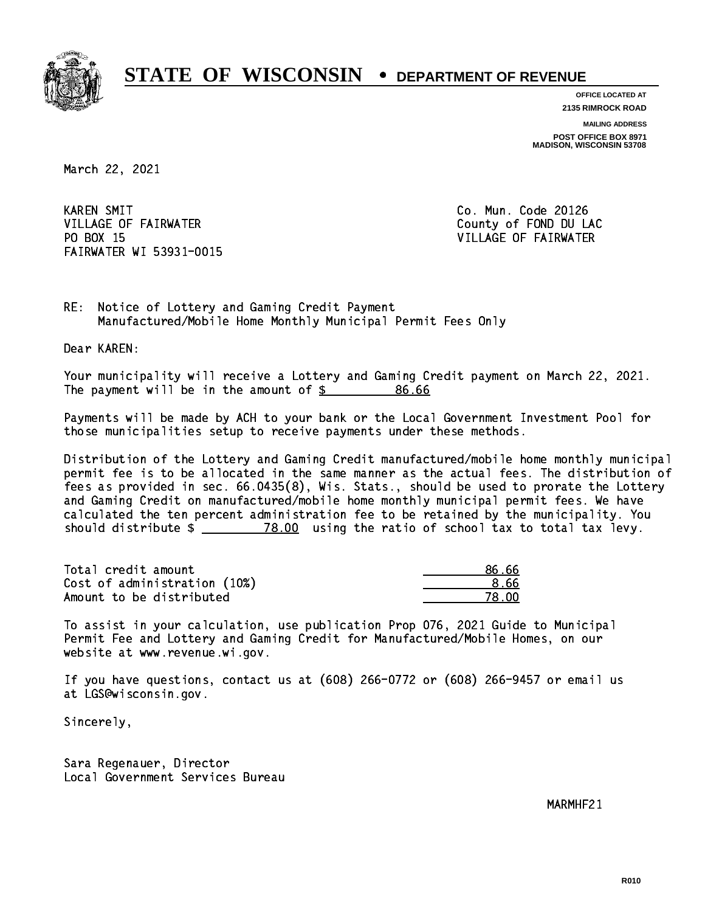

**OFFICE LOCATED AT 2135 RIMROCK ROAD**

**MAILING ADDRESS**

**POST OFFICE BOX 8971 MADISON, WISCONSIN 53708**

March 22, 2021

**KAREN SMIT** VILLAGE OF FAIRWATER COUNTY OF FOND DU LAC PO BOX 15 FAIRWATER WI 53931-0015

Co. Mun. Code 20126 VILLAGE OF FAIRWATER

RE: Notice of Lottery and Gaming Credit Payment Manufactured/Mobile Home Monthly Municipal Permit Fees Only

Dear KAREN:

 Your municipality will receive a Lottery and Gaming Credit payment on March 22, 2021. The payment will be in the amount of  $$$ 86.66

 Payments will be made by ACH to your bank or the Local Government Investment Pool for those municipalities setup to receive payments under these methods.

 Distribution of the Lottery and Gaming Credit manufactured/mobile home monthly municipal permit fee is to be allocated in the same manner as the actual fees. The distribution of fees as provided in sec. 66.0435(8), Wis. Stats., should be used to prorate the Lottery and Gaming Credit on manufactured/mobile home monthly municipal permit fees. We have calculated the ten percent administration fee to be retained by the municipality. You should distribute  $\frac{2}{2}$   $\frac{78.00}{2}$  using the ratio of school tax to total tax levy.

Total credit amount Cost of administration (10%) Amount to be distributed

| 86.66 |
|-------|
| 8.66  |
| 78.NO |

 To assist in your calculation, use publication Prop 076, 2021 Guide to Municipal Permit Fee and Lottery and Gaming Credit for Manufactured/Mobile Homes, on our website at www.revenue.wi.gov.

 If you have questions, contact us at (608) 266-0772 or (608) 266-9457 or email us at LGS@wisconsin.gov.

Sincerely,

 Sara Regenauer, Director Local Government Services Bureau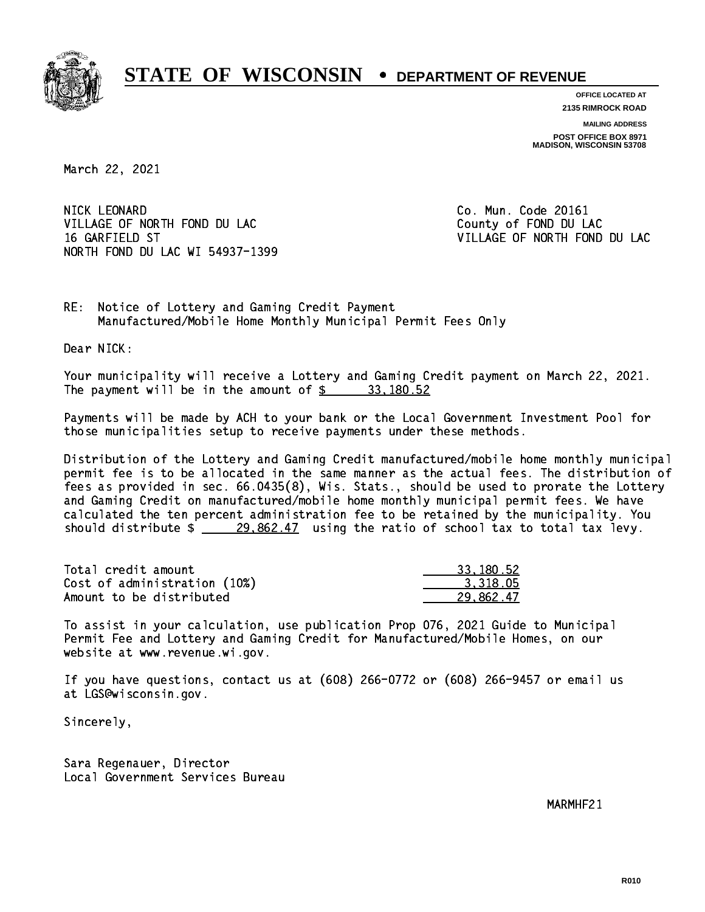

**OFFICE LOCATED AT**

**2135 RIMROCK ROAD**

**MAILING ADDRESS POST OFFICE BOX 8971 MADISON, WISCONSIN 53708**

March 22, 2021

NICK LEONARD VILLAGE OF NORTH FOND DU LAC COUNTY OF FOND DU LAC 16 GARFIELD ST VILLAGE OF NORTH FOND DU LAC NORTH FOND DU LAC WI 54937-1399

Co. Mun. Code 20161

RE: Notice of Lottery and Gaming Credit Payment Manufactured/Mobile Home Monthly Municipal Permit Fees Only

Dear NICK:

 Your municipality will receive a Lottery and Gaming Credit payment on March 22, 2021. The payment will be in the amount of  $\frac{2}{3}$  33,180.52

 Payments will be made by ACH to your bank or the Local Government Investment Pool for those municipalities setup to receive payments under these methods.

 Distribution of the Lottery and Gaming Credit manufactured/mobile home monthly municipal permit fee is to be allocated in the same manner as the actual fees. The distribution of fees as provided in sec. 66.0435(8), Wis. Stats., should be used to prorate the Lottery and Gaming Credit on manufactured/mobile home monthly municipal permit fees. We have calculated the ten percent administration fee to be retained by the municipality. You should distribute  $\frac{29,862.47}{29,862.47}$  using the ratio of school tax to total tax levy.

| Total credit amount          | 33.180.52 |
|------------------------------|-----------|
| Cost of administration (10%) | 3.318.05  |
| Amount to be distributed     | 29.862.47 |

 To assist in your calculation, use publication Prop 076, 2021 Guide to Municipal Permit Fee and Lottery and Gaming Credit for Manufactured/Mobile Homes, on our website at www.revenue.wi.gov.

 If you have questions, contact us at (608) 266-0772 or (608) 266-9457 or email us at LGS@wisconsin.gov.

Sincerely,

 Sara Regenauer, Director Local Government Services Bureau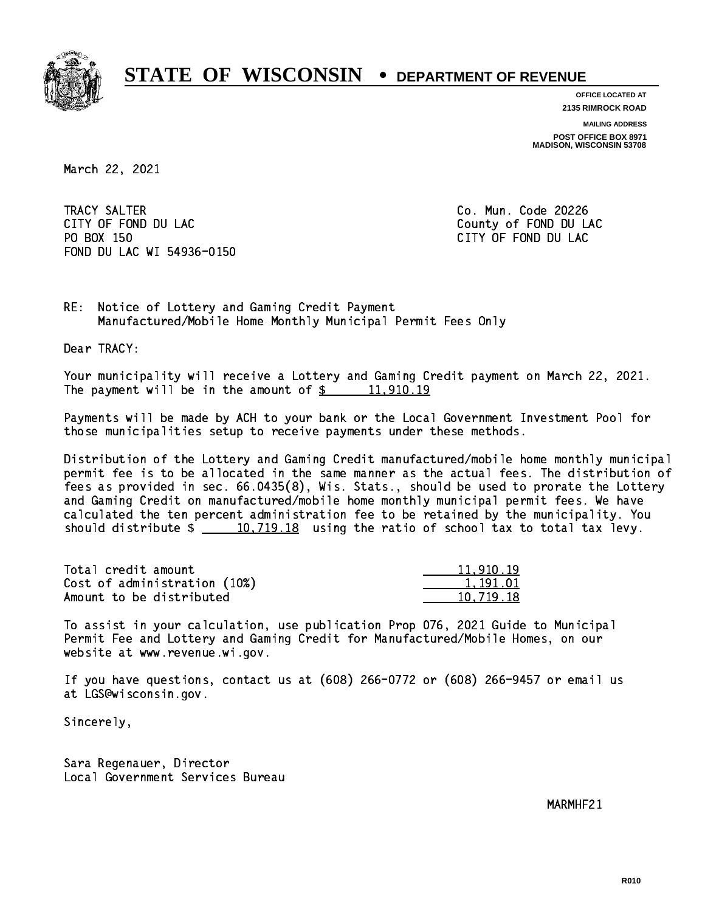

**OFFICE LOCATED AT 2135 RIMROCK ROAD**

**MAILING ADDRESS POST OFFICE BOX 8971 MADISON, WISCONSIN 53708**

March 22, 2021

 TRACY SALTER Co. Mun. Code 20226 CITY OF FOND DU LAC **COUNTY OF FOND DU** LAC PO BOX 150 CITY OF FOND DU LAC FOND DU LAC WI 54936-0150

RE: Notice of Lottery and Gaming Credit Payment Manufactured/Mobile Home Monthly Municipal Permit Fees Only

Dear TRACY:

 Your municipality will receive a Lottery and Gaming Credit payment on March 22, 2021. The payment will be in the amount of  $\frac{2}{3}$  11,910.19

 Payments will be made by ACH to your bank or the Local Government Investment Pool for those municipalities setup to receive payments under these methods.

 Distribution of the Lottery and Gaming Credit manufactured/mobile home monthly municipal permit fee is to be allocated in the same manner as the actual fees. The distribution of fees as provided in sec. 66.0435(8), Wis. Stats., should be used to prorate the Lottery and Gaming Credit on manufactured/mobile home monthly municipal permit fees. We have calculated the ten percent administration fee to be retained by the municipality. You should distribute  $\frac{10,719.18}{2}$  using the ratio of school tax to total tax levy.

| Total credit amount          | 11,910.19 |
|------------------------------|-----------|
| Cost of administration (10%) | 1.191.01  |
| Amount to be distributed     | 10.719.18 |

 To assist in your calculation, use publication Prop 076, 2021 Guide to Municipal Permit Fee and Lottery and Gaming Credit for Manufactured/Mobile Homes, on our website at www.revenue.wi.gov.

 If you have questions, contact us at (608) 266-0772 or (608) 266-9457 or email us at LGS@wisconsin.gov.

Sincerely,

 Sara Regenauer, Director Local Government Services Bureau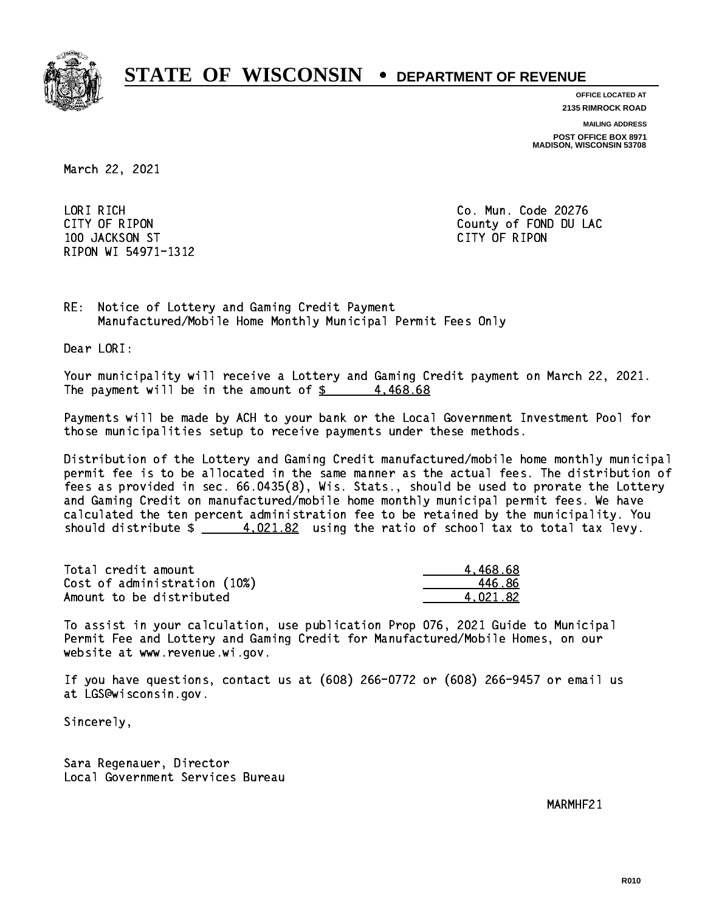

**OFFICE LOCATED AT**

**2135 RIMROCK ROAD**

**MAILING ADDRESS**

**POST OFFICE BOX 8971 MADISON, WISCONSIN 53708**

March 22, 2021

 LORI RICH Co. Mun. Code 20276 100 JACKSON ST CITY OF RIPON RIPON WI 54971-1312

CITY OF RIPON COUNTY COUNTY OF RIPON

RE: Notice of Lottery and Gaming Credit Payment Manufactured/Mobile Home Monthly Municipal Permit Fees Only

Dear LORI:

 Your municipality will receive a Lottery and Gaming Credit payment on March 22, 2021. The payment will be in the amount of  $\frac{2}{3}$  4,468.68

 Payments will be made by ACH to your bank or the Local Government Investment Pool for those municipalities setup to receive payments under these methods.

 Distribution of the Lottery and Gaming Credit manufactured/mobile home monthly municipal permit fee is to be allocated in the same manner as the actual fees. The distribution of fees as provided in sec. 66.0435(8), Wis. Stats., should be used to prorate the Lottery and Gaming Credit on manufactured/mobile home monthly municipal permit fees. We have calculated the ten percent administration fee to be retained by the municipality. You should distribute  $\frac{4.021.82}{2}$  using the ratio of school tax to total tax levy.

| Total credit amount          | 4.468.68 |
|------------------------------|----------|
| Cost of administration (10%) | 446.86   |
| Amount to be distributed     | 4.021.82 |

 To assist in your calculation, use publication Prop 076, 2021 Guide to Municipal Permit Fee and Lottery and Gaming Credit for Manufactured/Mobile Homes, on our website at www.revenue.wi.gov.

 If you have questions, contact us at (608) 266-0772 or (608) 266-9457 or email us at LGS@wisconsin.gov.

Sincerely,

 Sara Regenauer, Director Local Government Services Bureau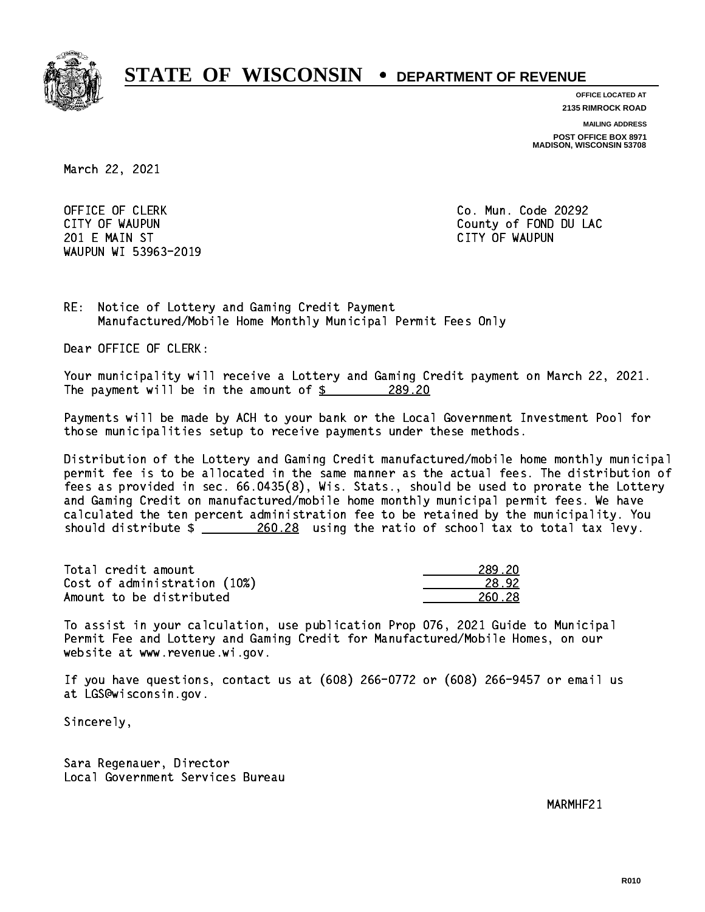

**OFFICE LOCATED AT**

**2135 RIMROCK ROAD**

**MAILING ADDRESS**

**POST OFFICE BOX 8971 MADISON, WISCONSIN 53708**

March 22, 2021

OFFICE OF CLERK **Co. Mun. Code 20292**  201 E MAIN ST CITY OF WAUPUN WAUPUN WI 53963-2019

CITY OF WAUPUN COUNTY COUNTY OF MAUPUN

RE: Notice of Lottery and Gaming Credit Payment Manufactured/Mobile Home Monthly Municipal Permit Fees Only

Dear OFFICE OF CLERK:

 Your municipality will receive a Lottery and Gaming Credit payment on March 22, 2021. The payment will be in the amount of  $\frac{289.20}{20}$ 

 Payments will be made by ACH to your bank or the Local Government Investment Pool for those municipalities setup to receive payments under these methods.

 Distribution of the Lottery and Gaming Credit manufactured/mobile home monthly municipal permit fee is to be allocated in the same manner as the actual fees. The distribution of fees as provided in sec. 66.0435(8), Wis. Stats., should be used to prorate the Lottery and Gaming Credit on manufactured/mobile home monthly municipal permit fees. We have calculated the ten percent administration fee to be retained by the municipality. You should distribute  $\frac{260.28}{20.28}$  using the ratio of school tax to total tax levy.

Total credit amount 289.20 Cost of administration (10%) 28.92 Amount to be distributed **260.28** and 260.28 and 260.28 and 260.28 and 260.28 and 260.28 and 260.28 and 260.28 and 260.28 and 260.28 and 260.28 and 260.28 and 260.28 and 260.28 and 260.28 and 260.28 and 260.28 and 260.28 a

 To assist in your calculation, use publication Prop 076, 2021 Guide to Municipal Permit Fee and Lottery and Gaming Credit for Manufactured/Mobile Homes, on our website at www.revenue.wi.gov.

 If you have questions, contact us at (608) 266-0772 or (608) 266-9457 or email us at LGS@wisconsin.gov.

Sincerely,

 Sara Regenauer, Director Local Government Services Bureau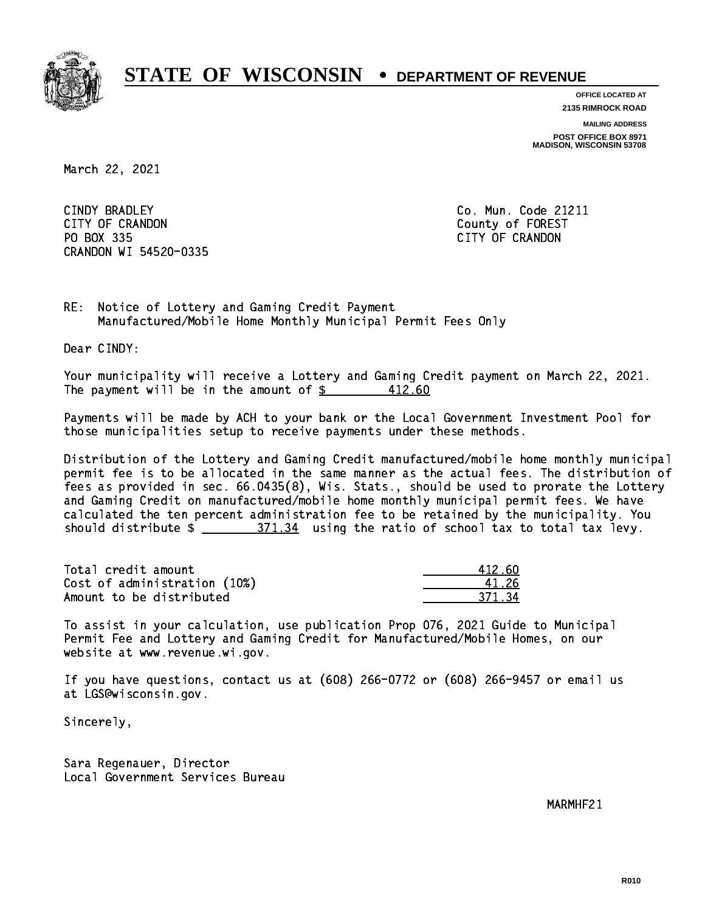

**OFFICE LOCATED AT 2135 RIMROCK ROAD**

**MAILING ADDRESS**

**POST OFFICE BOX 8971 MADISON, WISCONSIN 53708**

March 22, 2021

CINDY BRADLEY CITY OF CRANDON County of FOREST PO BOX 335 PO BOX 335 CITY OF CRANDON CRANDON WI 54520-0335

Co. Mun. Code 21211

RE: Notice of Lottery and Gaming Credit Payment Manufactured/Mobile Home Monthly Municipal Permit Fees Only

Dear CINDY:

 Your municipality will receive a Lottery and Gaming Credit payment on March 22, 2021. The payment will be in the amount of  $\frac{2}{3}$ 412.60

 Payments will be made by ACH to your bank or the Local Government Investment Pool for those municipalities setup to receive payments under these methods.

 Distribution of the Lottery and Gaming Credit manufactured/mobile home monthly municipal permit fee is to be allocated in the same manner as the actual fees. The distribution of fees as provided in sec. 66.0435(8), Wis. Stats., should be used to prorate the Lottery and Gaming Credit on manufactured/mobile home monthly municipal permit fees. We have calculated the ten percent administration fee to be retained by the municipality. You should distribute  $\frac{271.34}{27}$  using the ratio of school tax to total tax levy.

Total credit amount Cost of administration (10%) Amount to be distributed

| 112 AN |
|--------|
| 126    |
| 271    |

 To assist in your calculation, use publication Prop 076, 2021 Guide to Municipal Permit Fee and Lottery and Gaming Credit for Manufactured/Mobile Homes, on our website at www.revenue.wi.gov.

 If you have questions, contact us at (608) 266-0772 or (608) 266-9457 or email us at LGS@wisconsin.gov.

Sincerely,

 Sara Regenauer, Director Local Government Services Bureau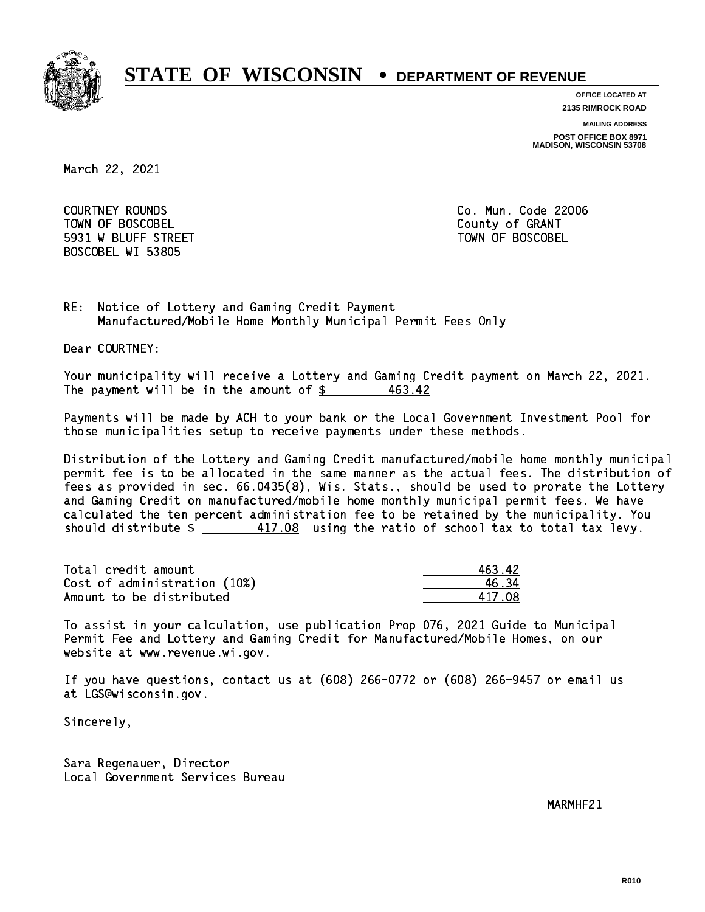

**OFFICE LOCATED AT**

**2135 RIMROCK ROAD**

**MAILING ADDRESS**

**POST OFFICE BOX 8971 MADISON, WISCONSIN 53708**

March 22, 2021

 COURTNEY ROUNDS Co. Mun. Code 22006 Town of Boscobel County of Granty of Granty of Granty of Granty of Granty of Granty of Granty of Granty of Gra 5931 W BLUFF STREET TOWN OF BOSCOBEL BOSCOBEL WI 53805

RE: Notice of Lottery and Gaming Credit Payment Manufactured/Mobile Home Monthly Municipal Permit Fees Only

Dear COURTNEY:

 Your municipality will receive a Lottery and Gaming Credit payment on March 22, 2021. The payment will be in the amount of  $$$ 463.42

 Payments will be made by ACH to your bank or the Local Government Investment Pool for those municipalities setup to receive payments under these methods.

 Distribution of the Lottery and Gaming Credit manufactured/mobile home monthly municipal permit fee is to be allocated in the same manner as the actual fees. The distribution of fees as provided in sec. 66.0435(8), Wis. Stats., should be used to prorate the Lottery and Gaming Credit on manufactured/mobile home monthly municipal permit fees. We have calculated the ten percent administration fee to be retained by the municipality. You should distribute  $\frac{417.08}{2}$  using the ratio of school tax to total tax levy.

Total credit amount Cost of administration (10%) Amount to be distributed

| 16342   |
|---------|
| २4 ⊼    |
| 417 N.R |

 To assist in your calculation, use publication Prop 076, 2021 Guide to Municipal Permit Fee and Lottery and Gaming Credit for Manufactured/Mobile Homes, on our website at www.revenue.wi.gov.

 If you have questions, contact us at (608) 266-0772 or (608) 266-9457 or email us at LGS@wisconsin.gov.

Sincerely,

 Sara Regenauer, Director Local Government Services Bureau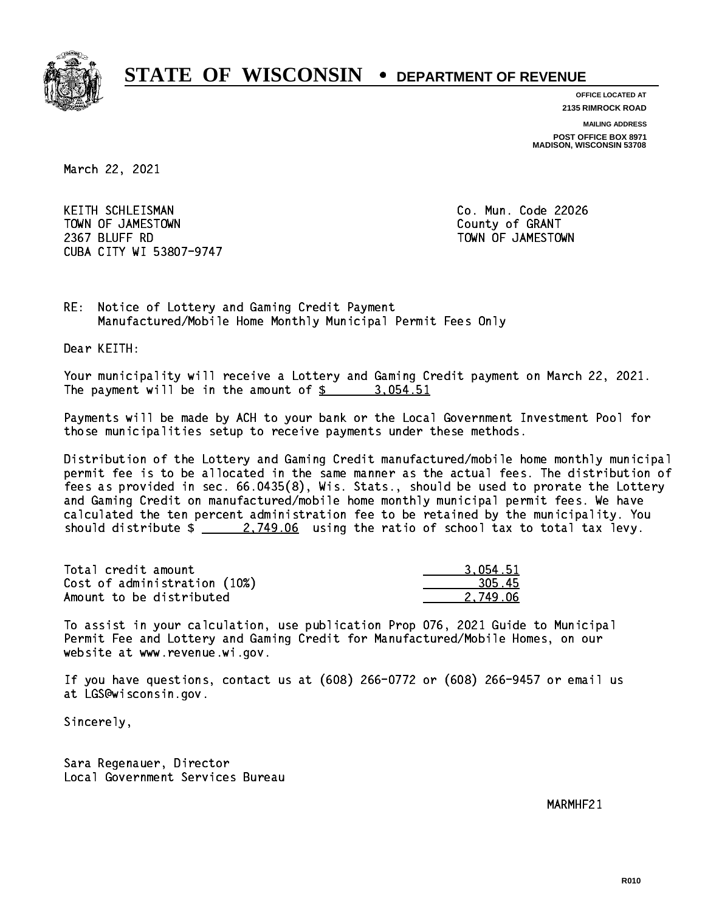

**OFFICE LOCATED AT 2135 RIMROCK ROAD**

**MAILING ADDRESS**

**POST OFFICE BOX 8971 MADISON, WISCONSIN 53708**

March 22, 2021

KEITH SCHLEISMAN TOWN OF JAMESTOWN County of GRANT 2367 BLUFF RD TOWN OF JAMESTOWN CUBA CITY WI 53807-9747

Co. Mun. Code 22026

RE: Notice of Lottery and Gaming Credit Payment Manufactured/Mobile Home Monthly Municipal Permit Fees Only

Dear KEITH:

 Your municipality will receive a Lottery and Gaming Credit payment on March 22, 2021. The payment will be in the amount of  $\frac{2}{3}$  3,054.51

 Payments will be made by ACH to your bank or the Local Government Investment Pool for those municipalities setup to receive payments under these methods.

 Distribution of the Lottery and Gaming Credit manufactured/mobile home monthly municipal permit fee is to be allocated in the same manner as the actual fees. The distribution of fees as provided in sec. 66.0435(8), Wis. Stats., should be used to prorate the Lottery and Gaming Credit on manufactured/mobile home monthly municipal permit fees. We have calculated the ten percent administration fee to be retained by the municipality. You should distribute  $\frac{2.749.06}{2.749.06}$  using the ratio of school tax to total tax levy.

| Total credit amount          | 3.054.51 |
|------------------------------|----------|
| Cost of administration (10%) | 305.45   |
| Amount to be distributed     | 2.749.06 |

 To assist in your calculation, use publication Prop 076, 2021 Guide to Municipal Permit Fee and Lottery and Gaming Credit for Manufactured/Mobile Homes, on our website at www.revenue.wi.gov.

 If you have questions, contact us at (608) 266-0772 or (608) 266-9457 or email us at LGS@wisconsin.gov.

Sincerely,

 Sara Regenauer, Director Local Government Services Bureau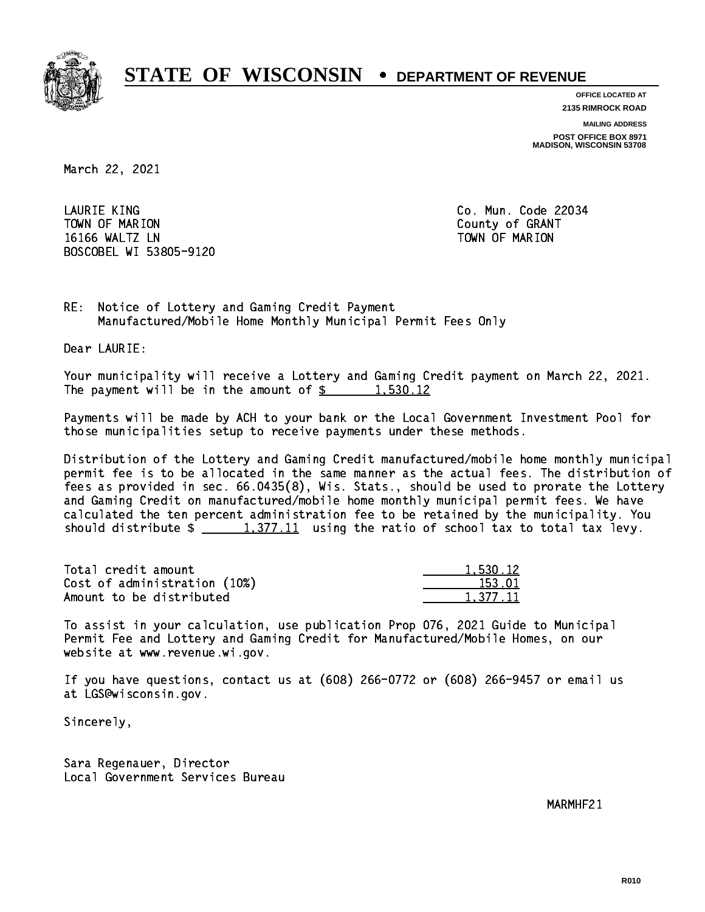

**OFFICE LOCATED AT**

**2135 RIMROCK ROAD**

**MAILING ADDRESS**

**POST OFFICE BOX 8971 MADISON, WISCONSIN 53708**

March 22, 2021

 LAURIE KING Co. Mun. Code 22034 Town of Marion County of Grants of Grants of Grants of Grants of Grants of Grants of Grants of Grants of Grants 16166 WALTZ LN TOWN OF MARION BOSCOBEL WI 53805-9120

RE: Notice of Lottery and Gaming Credit Payment Manufactured/Mobile Home Monthly Municipal Permit Fees Only

Dear LAURIE:

 Your municipality will receive a Lottery and Gaming Credit payment on March 22, 2021. The payment will be in the amount of  $\frac{2}{3}$  1,530.12

 Payments will be made by ACH to your bank or the Local Government Investment Pool for those municipalities setup to receive payments under these methods.

 Distribution of the Lottery and Gaming Credit manufactured/mobile home monthly municipal permit fee is to be allocated in the same manner as the actual fees. The distribution of fees as provided in sec. 66.0435(8), Wis. Stats., should be used to prorate the Lottery and Gaming Credit on manufactured/mobile home monthly municipal permit fees. We have calculated the ten percent administration fee to be retained by the municipality. You should distribute  $\frac{1,377.11}{1,377.11}$  using the ratio of school tax to total tax levy.

| Total credit amount          | 1,530.12 |
|------------------------------|----------|
| Cost of administration (10%) | 153.01   |
| Amount to be distributed     | 1.377.11 |

 To assist in your calculation, use publication Prop 076, 2021 Guide to Municipal Permit Fee and Lottery and Gaming Credit for Manufactured/Mobile Homes, on our website at www.revenue.wi.gov.

 If you have questions, contact us at (608) 266-0772 or (608) 266-9457 or email us at LGS@wisconsin.gov.

Sincerely,

 Sara Regenauer, Director Local Government Services Bureau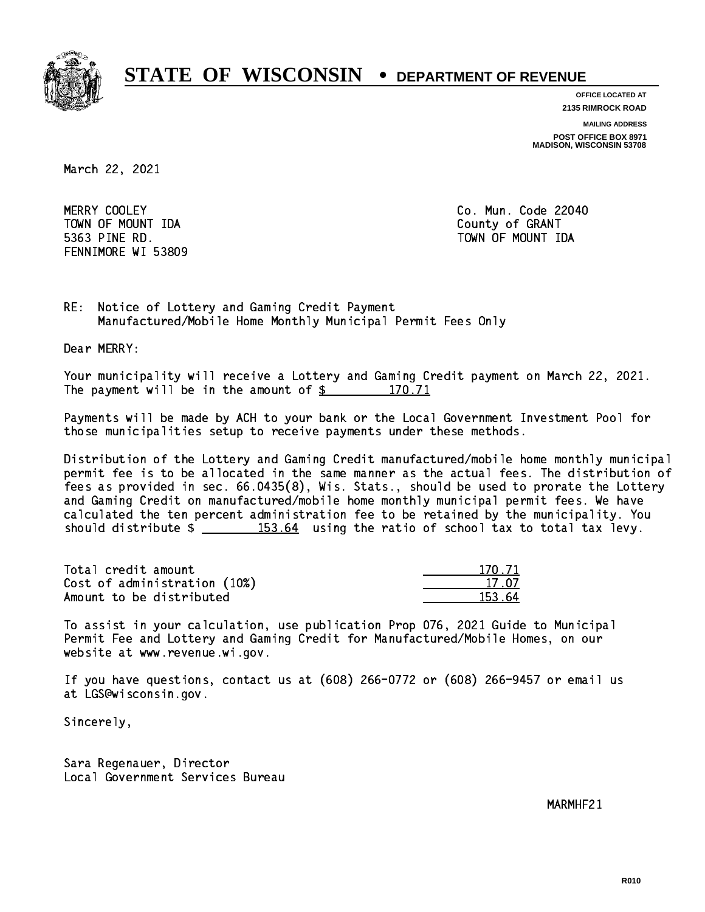

**OFFICE LOCATED AT**

**2135 RIMROCK ROAD**

**MAILING ADDRESS**

**POST OFFICE BOX 8971 MADISON, WISCONSIN 53708**

March 22, 2021

MERRY COOLEY TOWN OF MOUNT IDA County of GRANT 5363 PINE RD. TOWN OF MOUNT IDA FENNIMORE WI 53809

Co. Mun. Code 22040

RE: Notice of Lottery and Gaming Credit Payment Manufactured/Mobile Home Monthly Municipal Permit Fees Only

Dear MERRY:

 Your municipality will receive a Lottery and Gaming Credit payment on March 22, 2021. The payment will be in the amount of  $\frac{2}{3}$  170.71

 Payments will be made by ACH to your bank or the Local Government Investment Pool for those municipalities setup to receive payments under these methods.

 Distribution of the Lottery and Gaming Credit manufactured/mobile home monthly municipal permit fee is to be allocated in the same manner as the actual fees. The distribution of fees as provided in sec. 66.0435(8), Wis. Stats., should be used to prorate the Lottery and Gaming Credit on manufactured/mobile home monthly municipal permit fees. We have calculated the ten percent administration fee to be retained by the municipality. You should distribute  $\frac{153.64}{153.64}$  using the ratio of school tax to total tax levy.

Total credit amount Cost of administration (10%) Amount to be distributed

| ∣ 71  |
|-------|
| 17 N7 |
| 153.  |

 To assist in your calculation, use publication Prop 076, 2021 Guide to Municipal Permit Fee and Lottery and Gaming Credit for Manufactured/Mobile Homes, on our website at www.revenue.wi.gov.

 If you have questions, contact us at (608) 266-0772 or (608) 266-9457 or email us at LGS@wisconsin.gov.

Sincerely,

 Sara Regenauer, Director Local Government Services Bureau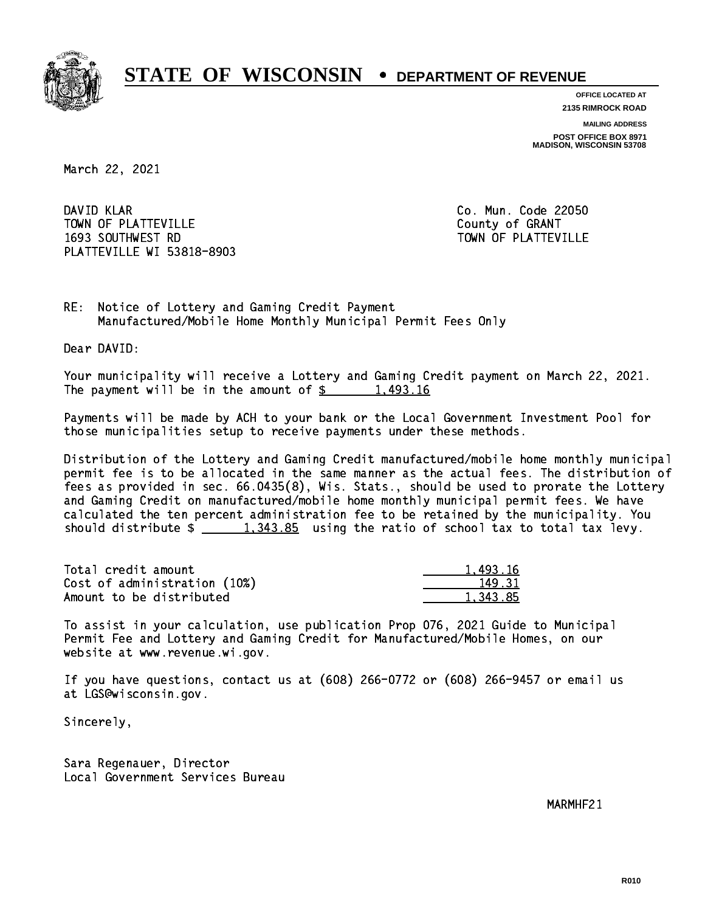

**OFFICE LOCATED AT 2135 RIMROCK ROAD**

**MAILING ADDRESS**

**POST OFFICE BOX 8971 MADISON, WISCONSIN 53708**

March 22, 2021

DAVID KLAR TOWN OF PLATTEVILLE COUNTY OF GRANT 1693 SOUTHWEST RD TOWN OF PLATTEVILLE PLATTEVILLE WI 53818-8903

Co. Mun. Code 22050

RE: Notice of Lottery and Gaming Credit Payment Manufactured/Mobile Home Monthly Municipal Permit Fees Only

Dear DAVID:

 Your municipality will receive a Lottery and Gaming Credit payment on March 22, 2021. The payment will be in the amount of  $\frac{2}{3}$  1,493.16

 Payments will be made by ACH to your bank or the Local Government Investment Pool for those municipalities setup to receive payments under these methods.

 Distribution of the Lottery and Gaming Credit manufactured/mobile home monthly municipal permit fee is to be allocated in the same manner as the actual fees. The distribution of fees as provided in sec. 66.0435(8), Wis. Stats., should be used to prorate the Lottery and Gaming Credit on manufactured/mobile home monthly municipal permit fees. We have calculated the ten percent administration fee to be retained by the municipality. You should distribute  $\frac{1,343.85}{2}$  using the ratio of school tax to total tax levy.

| Total credit amount          | 1.493.16 |
|------------------------------|----------|
| Cost of administration (10%) | 149.31   |
| Amount to be distributed     | 1.343.85 |

 To assist in your calculation, use publication Prop 076, 2021 Guide to Municipal Permit Fee and Lottery and Gaming Credit for Manufactured/Mobile Homes, on our website at www.revenue.wi.gov.

 If you have questions, contact us at (608) 266-0772 or (608) 266-9457 or email us at LGS@wisconsin.gov.

Sincerely,

 Sara Regenauer, Director Local Government Services Bureau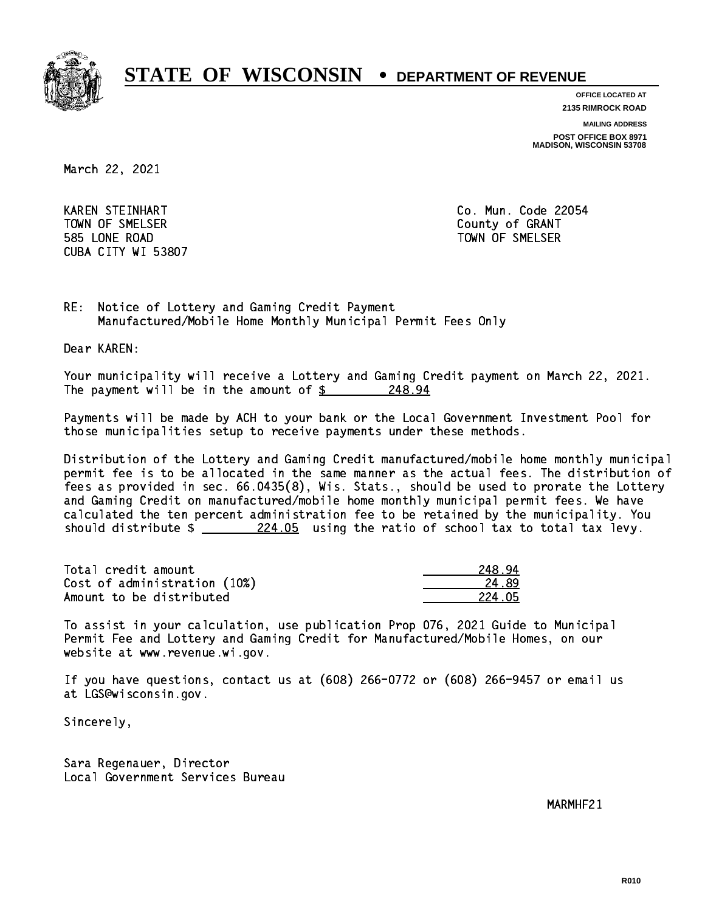

**OFFICE LOCATED AT**

**2135 RIMROCK ROAD**

**MAILING ADDRESS**

**POST OFFICE BOX 8971 MADISON, WISCONSIN 53708**

March 22, 2021

 KAREN STEINHART Co. Mun. Code 22054 Town of Streets. The Small county of Grants of Grants of Grants of Grants of Grants of Grants of Grants of Gra 585 LONE ROAD TOWN OF SMELSER CUBA CITY WI 53807

RE: Notice of Lottery and Gaming Credit Payment Manufactured/Mobile Home Monthly Municipal Permit Fees Only

Dear KAREN:

 Your municipality will receive a Lottery and Gaming Credit payment on March 22, 2021. The payment will be in the amount of  $$ 248.94$ 

 Payments will be made by ACH to your bank or the Local Government Investment Pool for those municipalities setup to receive payments under these methods.

 Distribution of the Lottery and Gaming Credit manufactured/mobile home monthly municipal permit fee is to be allocated in the same manner as the actual fees. The distribution of fees as provided in sec. 66.0435(8), Wis. Stats., should be used to prorate the Lottery and Gaming Credit on manufactured/mobile home monthly municipal permit fees. We have calculated the ten percent administration fee to be retained by the municipality. You should distribute  $\frac{224.05}{224.05}$  using the ratio of school tax to total tax levy.

Total credit amount 248.94 Cost of administration (10%) 24.89 Amount to be distributed **224.05** 

 To assist in your calculation, use publication Prop 076, 2021 Guide to Municipal Permit Fee and Lottery and Gaming Credit for Manufactured/Mobile Homes, on our website at www.revenue.wi.gov.

 If you have questions, contact us at (608) 266-0772 or (608) 266-9457 or email us at LGS@wisconsin.gov.

Sincerely,

 Sara Regenauer, Director Local Government Services Bureau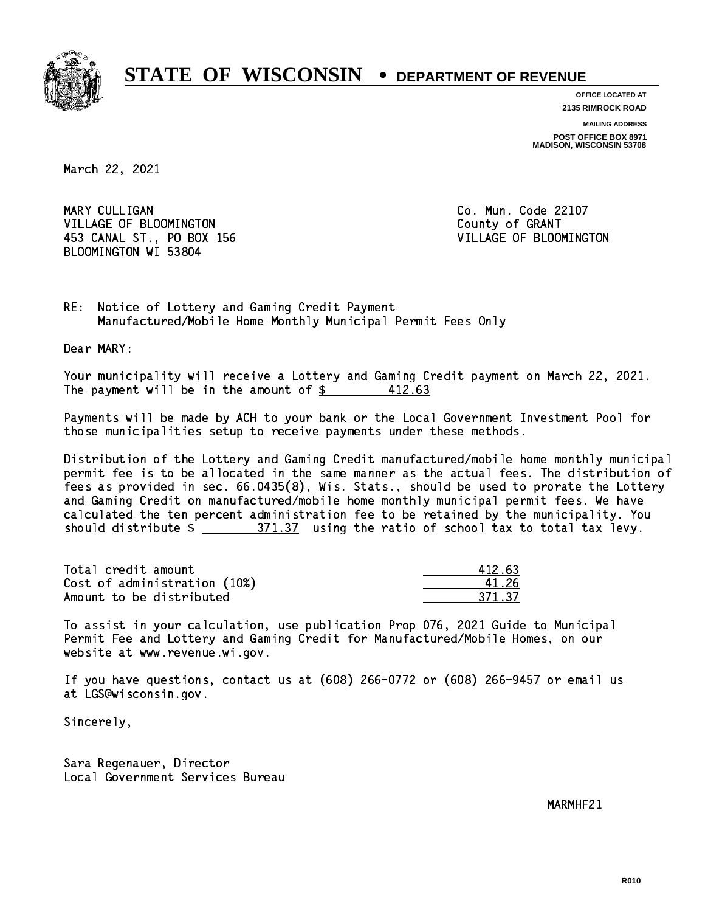

**OFFICE LOCATED AT 2135 RIMROCK ROAD**

**MAILING ADDRESS**

**POST OFFICE BOX 8971 MADISON, WISCONSIN 53708**

March 22, 2021

MARY CULLIGAN VILLAGE OF BLOOMINGTON COUNTY OF GRANT 453 CANAL ST., PO BOX 156 VILLAGE OF BLOOMINGTON BLOOMINGTON WI 53804

Co. Mun. Code 22107

RE: Notice of Lottery and Gaming Credit Payment Manufactured/Mobile Home Monthly Municipal Permit Fees Only

Dear MARY:

 Your municipality will receive a Lottery and Gaming Credit payment on March 22, 2021. The payment will be in the amount of  $\frac{2}{3}$ 412.63

 Payments will be made by ACH to your bank or the Local Government Investment Pool for those municipalities setup to receive payments under these methods.

 Distribution of the Lottery and Gaming Credit manufactured/mobile home monthly municipal permit fee is to be allocated in the same manner as the actual fees. The distribution of fees as provided in sec. 66.0435(8), Wis. Stats., should be used to prorate the Lottery and Gaming Credit on manufactured/mobile home monthly municipal permit fees. We have calculated the ten percent administration fee to be retained by the municipality. You should distribute  $\frac{271.37}{2}$  using the ratio of school tax to total tax levy.

Total credit amount Cost of administration (10%) Amount to be distributed

| 412.63 |
|--------|
| 1, 2h  |
| 71 37  |

 To assist in your calculation, use publication Prop 076, 2021 Guide to Municipal Permit Fee and Lottery and Gaming Credit for Manufactured/Mobile Homes, on our website at www.revenue.wi.gov.

 If you have questions, contact us at (608) 266-0772 or (608) 266-9457 or email us at LGS@wisconsin.gov.

Sincerely,

 Sara Regenauer, Director Local Government Services Bureau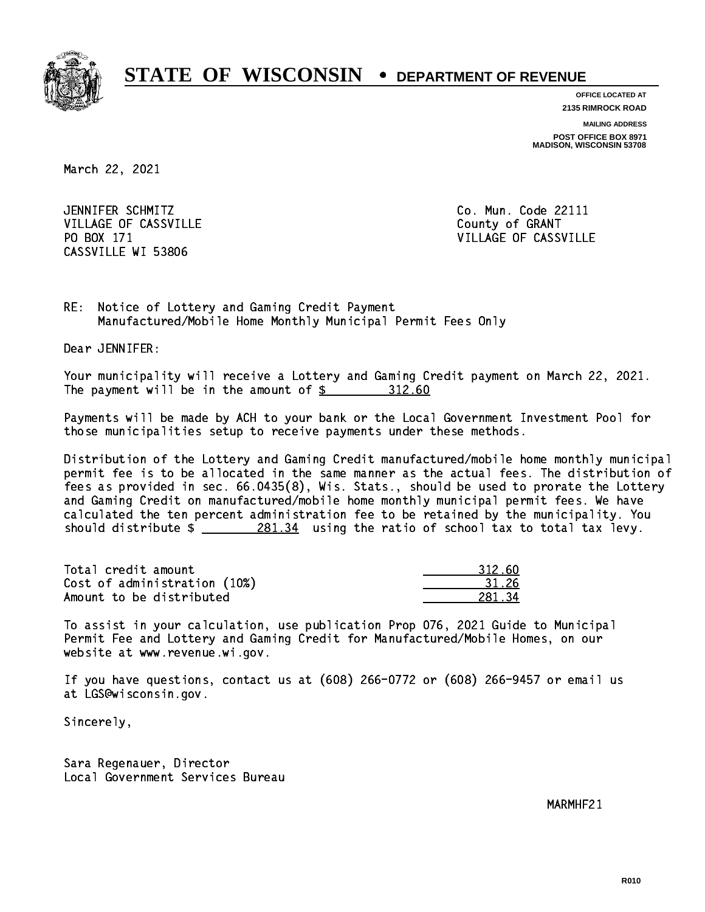

**OFFICE LOCATED AT**

**2135 RIMROCK ROAD**

**MAILING ADDRESS POST OFFICE BOX 8971 MADISON, WISCONSIN 53708**

March 22, 2021

JENNIFER SCHMITZ VILLAGE OF CASSVILLE COUNTY OF GRANT PO BOX 171 CASSVILLE WI 53806

Co. Mun. Code 22111 VILLAGE OF CASSVILLE

RE: Notice of Lottery and Gaming Credit Payment Manufactured/Mobile Home Monthly Municipal Permit Fees Only

Dear JENNIFER:

 Your municipality will receive a Lottery and Gaming Credit payment on March 22, 2021. The payment will be in the amount of \$ 312.60 \_\_\_\_\_\_\_\_\_\_\_\_\_\_\_\_

 Payments will be made by ACH to your bank or the Local Government Investment Pool for those municipalities setup to receive payments under these methods.

 Distribution of the Lottery and Gaming Credit manufactured/mobile home monthly municipal permit fee is to be allocated in the same manner as the actual fees. The distribution of fees as provided in sec. 66.0435(8), Wis. Stats., should be used to prorate the Lottery and Gaming Credit on manufactured/mobile home monthly municipal permit fees. We have calculated the ten percent administration fee to be retained by the municipality. You should distribute  $\frac{281.34}{281.34}$  using the ratio of school tax to total tax levy.

Total credit amount Cost of administration (10%) Amount to be distributed

| 312 AD                     |
|----------------------------|
| ll 26                      |
| 7Л<br>.,<br>$\times$ 1 $-$ |

 To assist in your calculation, use publication Prop 076, 2021 Guide to Municipal Permit Fee and Lottery and Gaming Credit for Manufactured/Mobile Homes, on our website at www.revenue.wi.gov.

 If you have questions, contact us at (608) 266-0772 or (608) 266-9457 or email us at LGS@wisconsin.gov.

Sincerely,

 Sara Regenauer, Director Local Government Services Bureau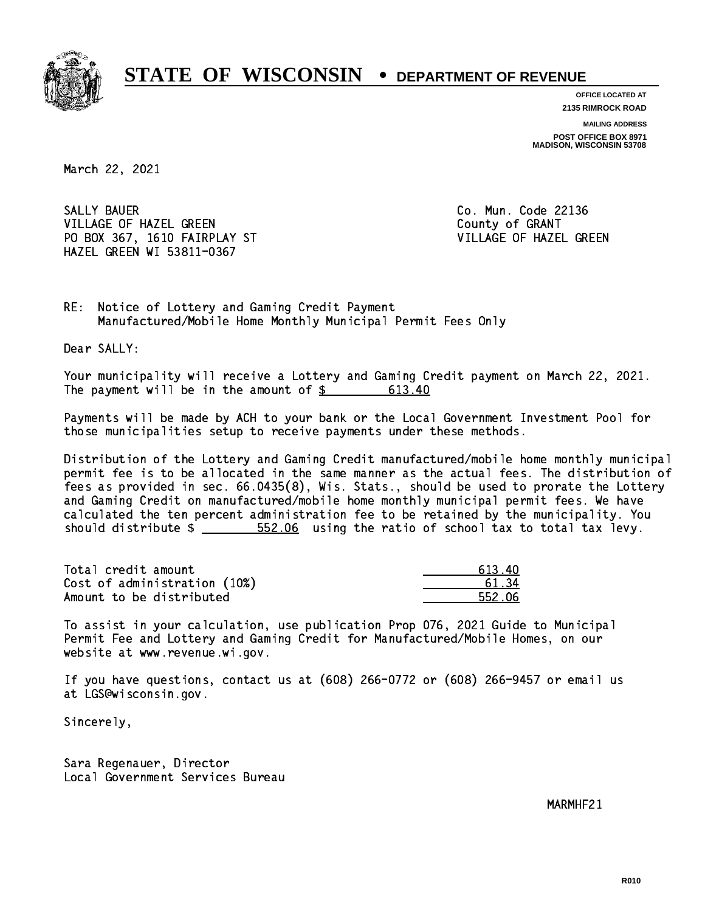

**OFFICE LOCATED AT**

**2135 RIMROCK ROAD**

**MAILING ADDRESS POST OFFICE BOX 8971 MADISON, WISCONSIN 53708**

March 22, 2021

SALLY BAUER VILLAGE OF HAZEL GREEN **COULD A SERVICE OF SEARCH COULD A** COUNTY OF GRANT PO BOX 367, 1610 FAIRPLAY ST VILLAGE OF HAZEL GREEN HAZEL GREEN WI 53811-0367

Co. Mun. Code 22136

RE: Notice of Lottery and Gaming Credit Payment Manufactured/Mobile Home Monthly Municipal Permit Fees Only

Dear SALLY:

 Your municipality will receive a Lottery and Gaming Credit payment on March 22, 2021. The payment will be in the amount of \$ 613.40 \_\_\_\_\_\_\_\_\_\_\_\_\_\_\_\_

 Payments will be made by ACH to your bank or the Local Government Investment Pool for those municipalities setup to receive payments under these methods.

 Distribution of the Lottery and Gaming Credit manufactured/mobile home monthly municipal permit fee is to be allocated in the same manner as the actual fees. The distribution of fees as provided in sec. 66.0435(8), Wis. Stats., should be used to prorate the Lottery and Gaming Credit on manufactured/mobile home monthly municipal permit fees. We have calculated the ten percent administration fee to be retained by the municipality. You should distribute  $\frac{2}{1}$   $\frac{552.06}{100}$  using the ratio of school tax to total tax levy.

Total credit amount Cost of administration (10%) Amount to be distributed

| ւո<br>613. |
|------------|
| 51 RA      |
| 552.06     |

 To assist in your calculation, use publication Prop 076, 2021 Guide to Municipal Permit Fee and Lottery and Gaming Credit for Manufactured/Mobile Homes, on our website at www.revenue.wi.gov.

 If you have questions, contact us at (608) 266-0772 or (608) 266-9457 or email us at LGS@wisconsin.gov.

Sincerely,

 Sara Regenauer, Director Local Government Services Bureau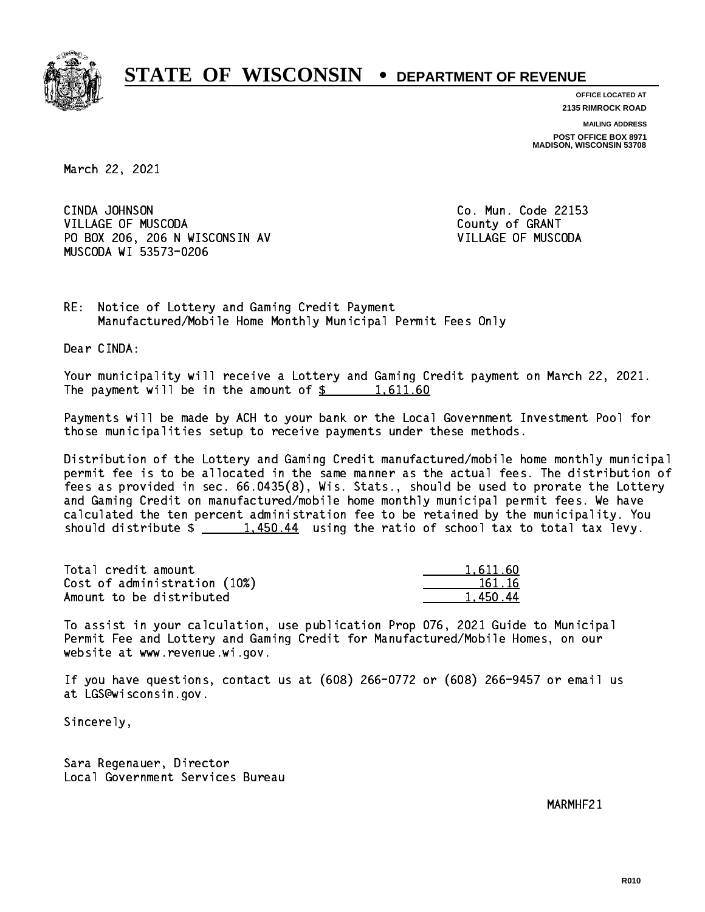

**OFFICE LOCATED AT 2135 RIMROCK ROAD**

**MAILING ADDRESS**

**POST OFFICE BOX 8971 MADISON, WISCONSIN 53708**

March 22, 2021

CINDA JOHNSON VILLAGE OF MUSCODA COUNTY OF GRANT PO BOX 206, 206 N WISCONSIN AV VILLAGE OF MUSCODA MUSCODA WI 53573-0206

Co. Mun. Code 22153

RE: Notice of Lottery and Gaming Credit Payment Manufactured/Mobile Home Monthly Municipal Permit Fees Only

Dear CINDA:

 Your municipality will receive a Lottery and Gaming Credit payment on March 22, 2021. The payment will be in the amount of  $\frac{2}{3}$  1,611.60

 Payments will be made by ACH to your bank or the Local Government Investment Pool for those municipalities setup to receive payments under these methods.

 Distribution of the Lottery and Gaming Credit manufactured/mobile home monthly municipal permit fee is to be allocated in the same manner as the actual fees. The distribution of fees as provided in sec. 66.0435(8), Wis. Stats., should be used to prorate the Lottery and Gaming Credit on manufactured/mobile home monthly municipal permit fees. We have calculated the ten percent administration fee to be retained by the municipality. You should distribute  $\frac{1,450.44}{1,450.44}$  using the ratio of school tax to total tax levy.

| Total credit amount          | 1,611.60 |
|------------------------------|----------|
| Cost of administration (10%) | 161.16   |
| Amount to be distributed     | 1.450.44 |

 To assist in your calculation, use publication Prop 076, 2021 Guide to Municipal Permit Fee and Lottery and Gaming Credit for Manufactured/Mobile Homes, on our website at www.revenue.wi.gov.

 If you have questions, contact us at (608) 266-0772 or (608) 266-9457 or email us at LGS@wisconsin.gov.

Sincerely,

 Sara Regenauer, Director Local Government Services Bureau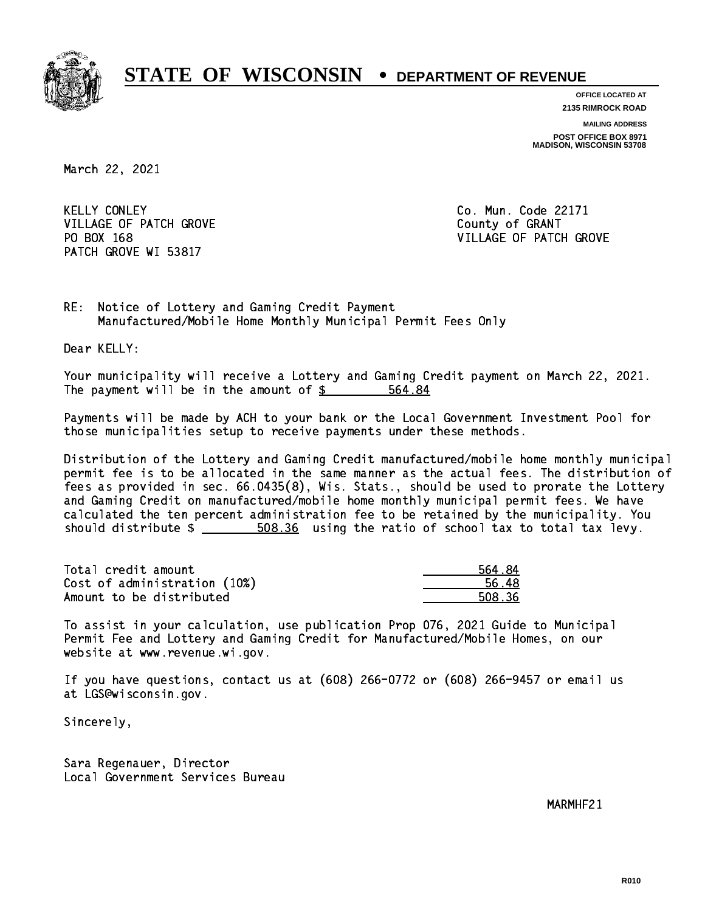

**OFFICE LOCATED AT**

**2135 RIMROCK ROAD**

**MAILING ADDRESS POST OFFICE BOX 8971 MADISON, WISCONSIN 53708**

March 22, 2021

**KELLY CONLEY** VILLAGE OF PATCH GROVE COUNTY OF GRANT PATCH GROVE WI 53817

Co. Mun. Code 22171 PO BOX 168 VILLAGE OF PATCH GROVE

RE: Notice of Lottery and Gaming Credit Payment Manufactured/Mobile Home Monthly Municipal Permit Fees Only

Dear KELLY:

 Your municipality will receive a Lottery and Gaming Credit payment on March 22, 2021. The payment will be in the amount of \$ 564.84 \_\_\_\_\_\_\_\_\_\_\_\_\_\_\_\_

 Payments will be made by ACH to your bank or the Local Government Investment Pool for those municipalities setup to receive payments under these methods.

 Distribution of the Lottery and Gaming Credit manufactured/mobile home monthly municipal permit fee is to be allocated in the same manner as the actual fees. The distribution of fees as provided in sec. 66.0435(8), Wis. Stats., should be used to prorate the Lottery and Gaming Credit on manufactured/mobile home monthly municipal permit fees. We have calculated the ten percent administration fee to be retained by the municipality. You should distribute  $\frac{2}{1}$   $\frac{508.36}{2}$  using the ratio of school tax to total tax levy.

Total credit amount Cost of administration (10%) Amount to be distributed

| 564.84 |
|--------|
| 56.48  |
| 508.36 |

 To assist in your calculation, use publication Prop 076, 2021 Guide to Municipal Permit Fee and Lottery and Gaming Credit for Manufactured/Mobile Homes, on our website at www.revenue.wi.gov.

 If you have questions, contact us at (608) 266-0772 or (608) 266-9457 or email us at LGS@wisconsin.gov.

Sincerely,

 Sara Regenauer, Director Local Government Services Bureau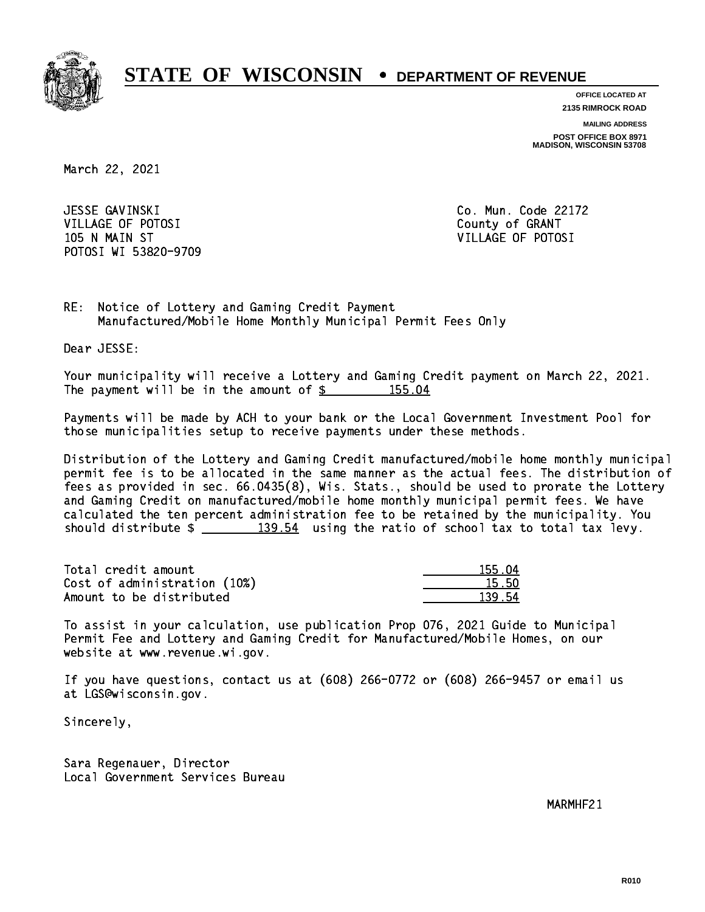

**OFFICE LOCATED AT**

**2135 RIMROCK ROAD**

**MAILING ADDRESS**

**POST OFFICE BOX 8971 MADISON, WISCONSIN 53708**

March 22, 2021

 JESSE GAVINSKI Co. Mun. Code 22172 VILLAGE OF POTOSI COUNTY OF GRANT 105 N MAIN ST VILLAGE OF POTOSI POTOSI WI 53820-9709

RE: Notice of Lottery and Gaming Credit Payment Manufactured/Mobile Home Monthly Municipal Permit Fees Only

Dear JESSE:

 Your municipality will receive a Lottery and Gaming Credit payment on March 22, 2021. The payment will be in the amount of \$ 155.04 \_\_\_\_\_\_\_\_\_\_\_\_\_\_\_\_

 Payments will be made by ACH to your bank or the Local Government Investment Pool for those municipalities setup to receive payments under these methods.

 Distribution of the Lottery and Gaming Credit manufactured/mobile home monthly municipal permit fee is to be allocated in the same manner as the actual fees. The distribution of fees as provided in sec. 66.0435(8), Wis. Stats., should be used to prorate the Lottery and Gaming Credit on manufactured/mobile home monthly municipal permit fees. We have calculated the ten percent administration fee to be retained by the municipality. You should distribute  $\frac{2}{2}$   $\frac{139.54}{2}$  using the ratio of school tax to total tax levy.

Total credit amount Cost of administration (10%) Amount to be distributed

| ו 155<br>۱Л |
|-------------|
| հ հՈ<br>Ъ.  |
| п,          |

 To assist in your calculation, use publication Prop 076, 2021 Guide to Municipal Permit Fee and Lottery and Gaming Credit for Manufactured/Mobile Homes, on our website at www.revenue.wi.gov.

 If you have questions, contact us at (608) 266-0772 or (608) 266-9457 or email us at LGS@wisconsin.gov.

Sincerely,

 Sara Regenauer, Director Local Government Services Bureau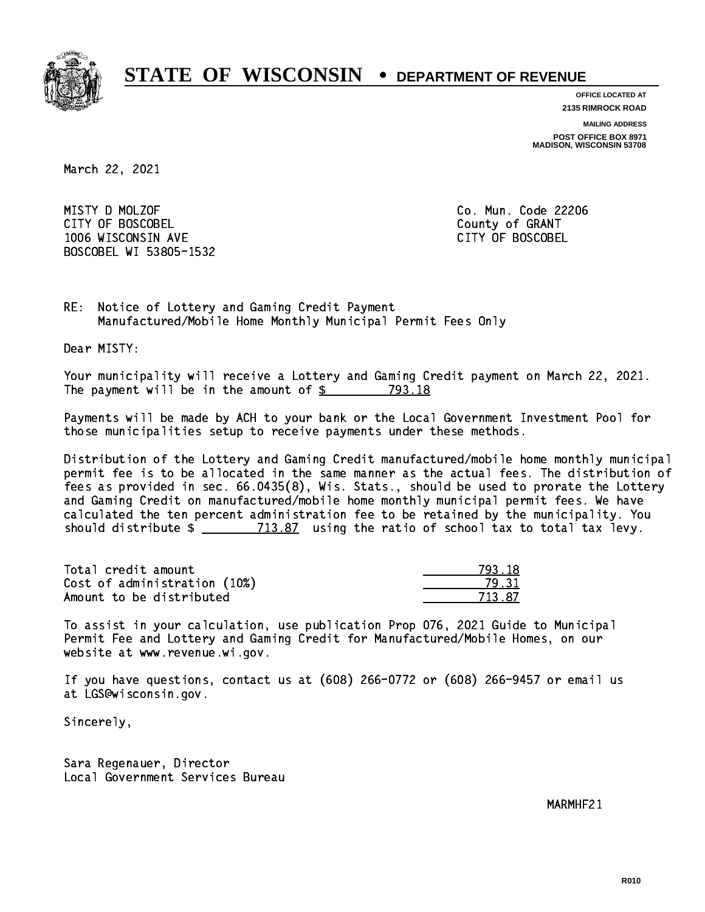

**OFFICE LOCATED AT**

**2135 RIMROCK ROAD**

**MAILING ADDRESS**

**POST OFFICE BOX 8971 MADISON, WISCONSIN 53708**

March 22, 2021

 MISTY D MOLZOF Co. Mun. Code 22206 CITY OF BOSCOBEL CITY OF BOSCOBEL 1006 WISCONSIN AVE CITY OF BOSCOBEL BOSCOBEL WI 53805-1532

RE: Notice of Lottery and Gaming Credit Payment Manufactured/Mobile Home Monthly Municipal Permit Fees Only

Dear MISTY:

 Your municipality will receive a Lottery and Gaming Credit payment on March 22, 2021. The payment will be in the amount of \$ 793.18 \_\_\_\_\_\_\_\_\_\_\_\_\_\_\_\_

 Payments will be made by ACH to your bank or the Local Government Investment Pool for those municipalities setup to receive payments under these methods.

 Distribution of the Lottery and Gaming Credit manufactured/mobile home monthly municipal permit fee is to be allocated in the same manner as the actual fees. The distribution of fees as provided in sec. 66.0435(8), Wis. Stats., should be used to prorate the Lottery and Gaming Credit on manufactured/mobile home monthly municipal permit fees. We have calculated the ten percent administration fee to be retained by the municipality. You should distribute  $\frac{2}{2}$   $\frac{713.87}{2}$  using the ratio of school tax to total tax levy.

Total credit amount Cost of administration (10%) Amount to be distributed

| $-1$ $\Omega$ |
|---------------|
| -31           |
| ⋾<br>37.      |

 To assist in your calculation, use publication Prop 076, 2021 Guide to Municipal Permit Fee and Lottery and Gaming Credit for Manufactured/Mobile Homes, on our website at www.revenue.wi.gov.

 If you have questions, contact us at (608) 266-0772 or (608) 266-9457 or email us at LGS@wisconsin.gov.

Sincerely,

 Sara Regenauer, Director Local Government Services Bureau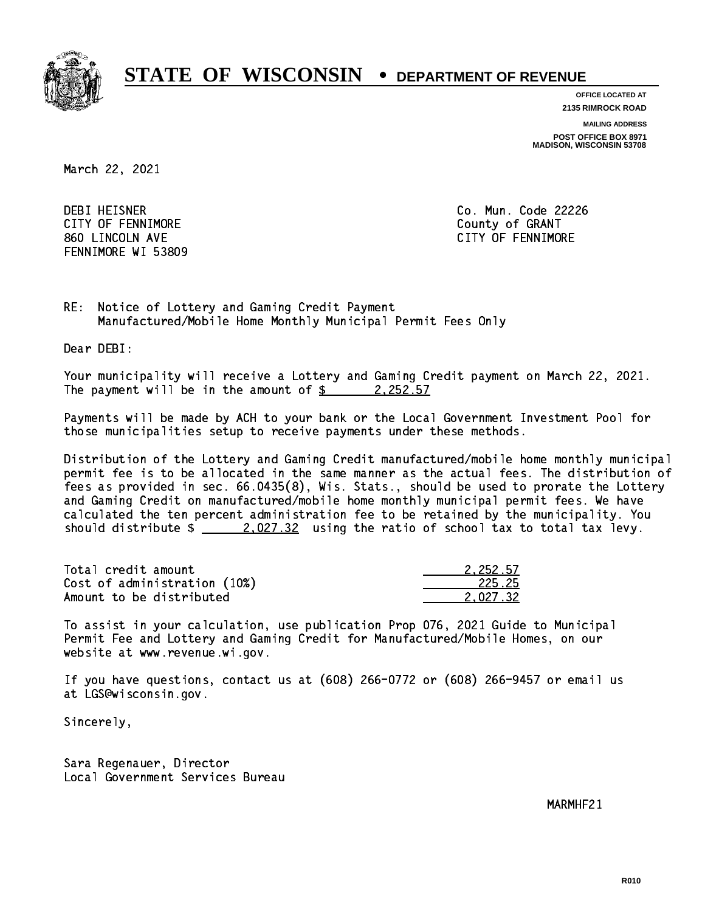

**OFFICE LOCATED AT**

**2135 RIMROCK ROAD**

**MAILING ADDRESS**

**POST OFFICE BOX 8971 MADISON, WISCONSIN 53708**

March 22, 2021

**DEBI HEISNER** CITY OF FENNIMORE **COULD COULD COULD COULD COULD** 860 LINCOLN AVE CONTROLLER SERVICE SERVICE SERVICE SERVICE SERVICE SERVICE SERVICE SERVICE SERVICE SERVICE SERVICE SERVICE SERVICE SERVICE SERVICE SERVICE SERVICE SERVICE SERVICE SERVICE SERVICE SERVICE SERVICE SERVICE SER FENNIMORE WI 53809

Co. Mun. Code 22226

RE: Notice of Lottery and Gaming Credit Payment Manufactured/Mobile Home Monthly Municipal Permit Fees Only

Dear DEBI:

 Your municipality will receive a Lottery and Gaming Credit payment on March 22, 2021. The payment will be in the amount of  $\frac{2}{2}$  2,252.57

 Payments will be made by ACH to your bank or the Local Government Investment Pool for those municipalities setup to receive payments under these methods.

 Distribution of the Lottery and Gaming Credit manufactured/mobile home monthly municipal permit fee is to be allocated in the same manner as the actual fees. The distribution of fees as provided in sec. 66.0435(8), Wis. Stats., should be used to prorate the Lottery and Gaming Credit on manufactured/mobile home monthly municipal permit fees. We have calculated the ten percent administration fee to be retained by the municipality. You should distribute  $\frac{2.027.32}{ }$  using the ratio of school tax to total tax levy.

| Total credit amount          | 2.252.57 |
|------------------------------|----------|
| Cost of administration (10%) | 225.25   |
| Amount to be distributed     | 2.027.32 |

 To assist in your calculation, use publication Prop 076, 2021 Guide to Municipal Permit Fee and Lottery and Gaming Credit for Manufactured/Mobile Homes, on our website at www.revenue.wi.gov.

 If you have questions, contact us at (608) 266-0772 or (608) 266-9457 or email us at LGS@wisconsin.gov.

Sincerely,

 Sara Regenauer, Director Local Government Services Bureau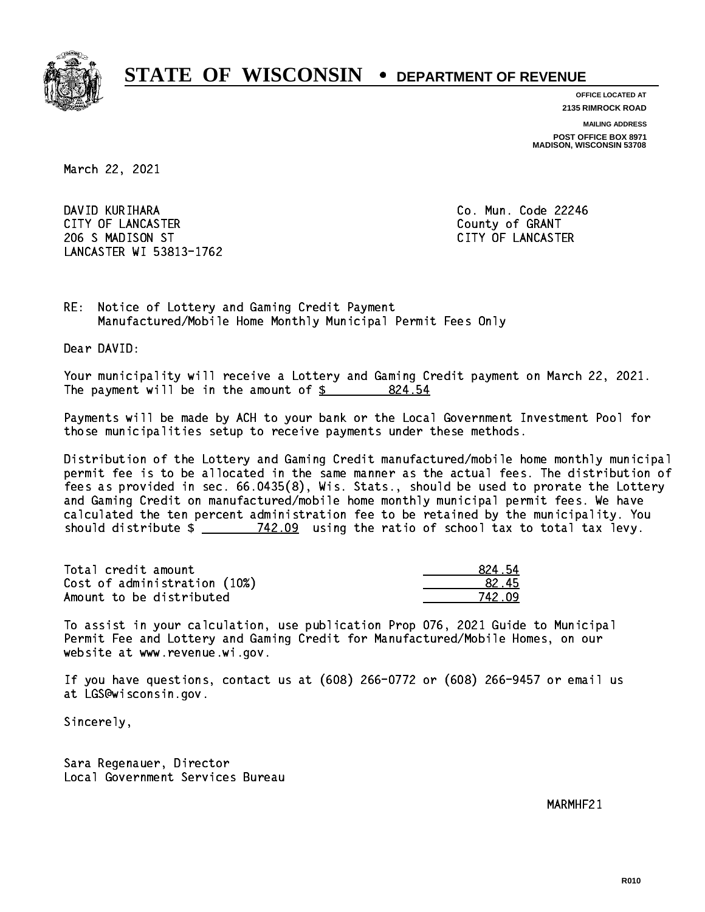

**OFFICE LOCATED AT**

**2135 RIMROCK ROAD**

**MAILING ADDRESS**

**POST OFFICE BOX 8971 MADISON, WISCONSIN 53708**

March 22, 2021

 DAVID KURIHARA Co. Mun. Code 22246 CITY OF LANCASTER COUNTY OF GRANT 206 S MADISON ST CITY OF LANCASTER LANCASTER WI 53813-1762

RE: Notice of Lottery and Gaming Credit Payment Manufactured/Mobile Home Monthly Municipal Permit Fees Only

Dear DAVID:

 Your municipality will receive a Lottery and Gaming Credit payment on March 22, 2021. The payment will be in the amount of  $\frac{24.54}{2}$ 

 Payments will be made by ACH to your bank or the Local Government Investment Pool for those municipalities setup to receive payments under these methods.

 Distribution of the Lottery and Gaming Credit manufactured/mobile home monthly municipal permit fee is to be allocated in the same manner as the actual fees. The distribution of fees as provided in sec. 66.0435(8), Wis. Stats., should be used to prorate the Lottery and Gaming Credit on manufactured/mobile home monthly municipal permit fees. We have calculated the ten percent administration fee to be retained by the municipality. You should distribute  $\frac{2}{2}$   $\frac{742.09}{2}$  using the ratio of school tax to total tax levy.

Total credit amount Cost of administration (10%) Amount to be distributed

| 824.54 |
|--------|
| 82.45  |
| 742.09 |

 To assist in your calculation, use publication Prop 076, 2021 Guide to Municipal Permit Fee and Lottery and Gaming Credit for Manufactured/Mobile Homes, on our website at www.revenue.wi.gov.

 If you have questions, contact us at (608) 266-0772 or (608) 266-9457 or email us at LGS@wisconsin.gov.

Sincerely,

 Sara Regenauer, Director Local Government Services Bureau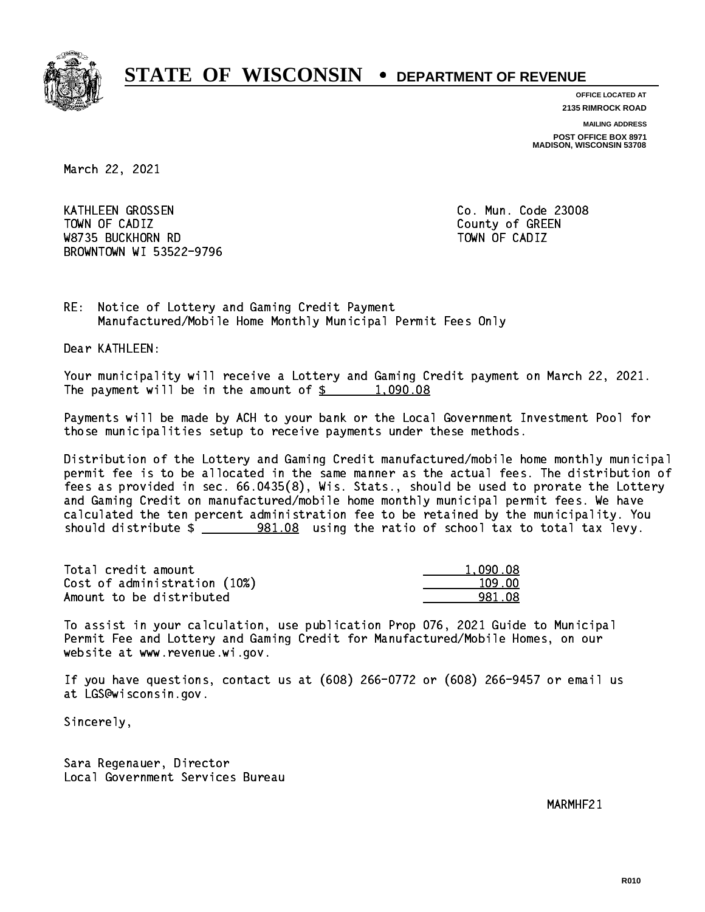

**OFFICE LOCATED AT**

**2135 RIMROCK ROAD**

**MAILING ADDRESS**

**POST OFFICE BOX 8971 MADISON, WISCONSIN 53708**

March 22, 2021

KATHLEEN GROSSEN Town of California  $\mathcal{L}$  county of Green  $\mathcal{L}$  W8735 BUCKHORN RD TOWN OF CADIZ BROWNTOWN WI 53522-9796

Co. Mun. Code 23008

RE: Notice of Lottery and Gaming Credit Payment Manufactured/Mobile Home Monthly Municipal Permit Fees Only

Dear KATHLEEN:

 Your municipality will receive a Lottery and Gaming Credit payment on March 22, 2021. The payment will be in the amount of  $\frac{2}{3}$  1,090.08

 Payments will be made by ACH to your bank or the Local Government Investment Pool for those municipalities setup to receive payments under these methods.

 Distribution of the Lottery and Gaming Credit manufactured/mobile home monthly municipal permit fee is to be allocated in the same manner as the actual fees. The distribution of fees as provided in sec. 66.0435(8), Wis. Stats., should be used to prorate the Lottery and Gaming Credit on manufactured/mobile home monthly municipal permit fees. We have calculated the ten percent administration fee to be retained by the municipality. You should distribute \$ 981.08 using the ratio of school tax to total tax levy. \_\_\_\_\_\_\_\_\_\_\_\_\_\_

| Total credit amount          | 1.090.08 |
|------------------------------|----------|
| Cost of administration (10%) | 109.00   |
| Amount to be distributed     | 981.08   |

 To assist in your calculation, use publication Prop 076, 2021 Guide to Municipal Permit Fee and Lottery and Gaming Credit for Manufactured/Mobile Homes, on our website at www.revenue.wi.gov.

 If you have questions, contact us at (608) 266-0772 or (608) 266-9457 or email us at LGS@wisconsin.gov.

Sincerely,

 Sara Regenauer, Director Local Government Services Bureau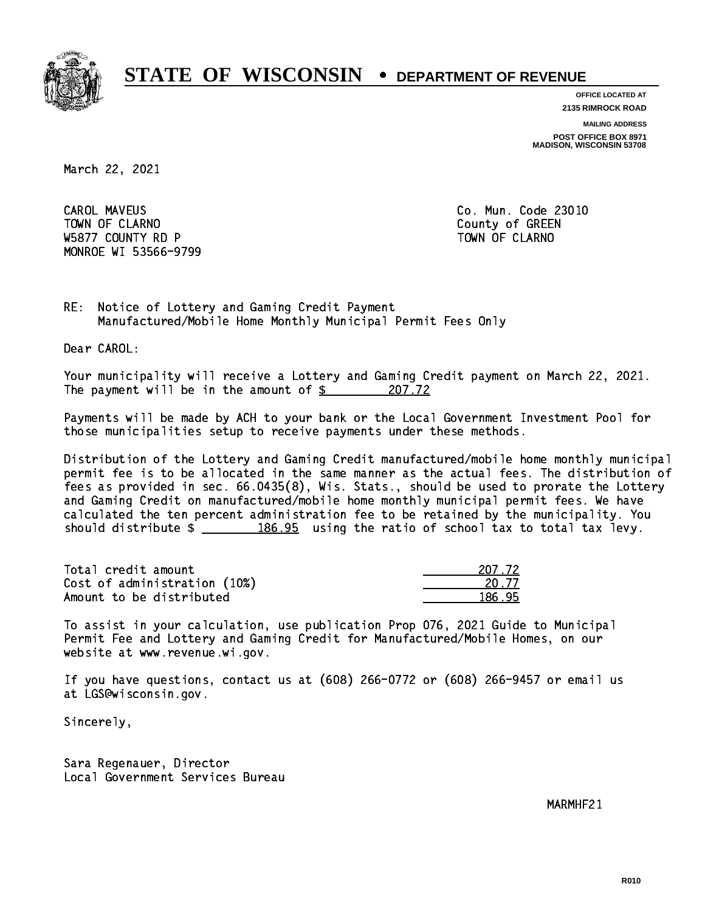

**OFFICE LOCATED AT**

**2135 RIMROCK ROAD**

**MAILING ADDRESS**

**POST OFFICE BOX 8971 MADISON, WISCONSIN 53708**

March 22, 2021

**CAROL MAVEUS** Town of Claramon County of Green County of Green County of Green County of Green County of Green County of Green County of Green County of Green County of Green County of Green County of Green County of Green County of Gre W5877 COUNTY RD P TO THE TOWN OF CLARNO MONROE WI 53566-9799

Co. Mun. Code 23010

RE: Notice of Lottery and Gaming Credit Payment Manufactured/Mobile Home Monthly Municipal Permit Fees Only

Dear CAROL:

 Your municipality will receive a Lottery and Gaming Credit payment on March 22, 2021. The payment will be in the amount of  $\frac{207.72}{200}$ 

 Payments will be made by ACH to your bank or the Local Government Investment Pool for those municipalities setup to receive payments under these methods.

 Distribution of the Lottery and Gaming Credit manufactured/mobile home monthly municipal permit fee is to be allocated in the same manner as the actual fees. The distribution of fees as provided in sec. 66.0435(8), Wis. Stats., should be used to prorate the Lottery and Gaming Credit on manufactured/mobile home monthly municipal permit fees. We have calculated the ten percent administration fee to be retained by the municipality. You should distribute  $\frac{2}{2}$   $\frac{186.95}{2}$  using the ratio of school tax to total tax levy.

Total credit amount Cost of administration (10%) Amount to be distributed

| IZ 72.   |
|----------|
| 1.77     |
| 95<br>Т. |

 To assist in your calculation, use publication Prop 076, 2021 Guide to Municipal Permit Fee and Lottery and Gaming Credit for Manufactured/Mobile Homes, on our website at www.revenue.wi.gov.

 If you have questions, contact us at (608) 266-0772 or (608) 266-9457 or email us at LGS@wisconsin.gov.

Sincerely,

 Sara Regenauer, Director Local Government Services Bureau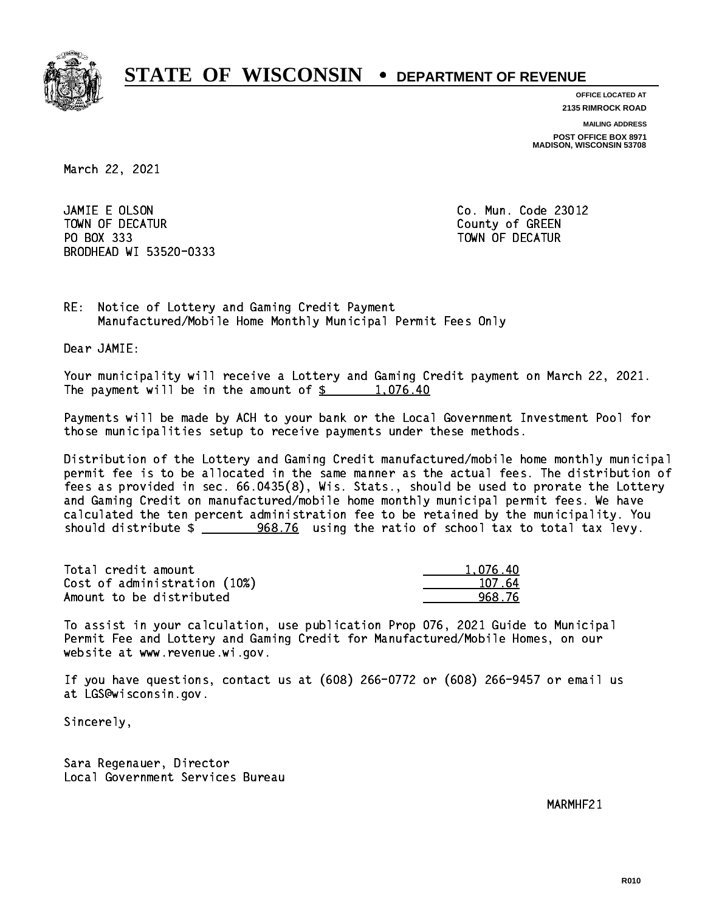

**OFFICE LOCATED AT 2135 RIMROCK ROAD**

**MAILING ADDRESS**

**POST OFFICE BOX 8971 MADISON, WISCONSIN 53708**

March 22, 2021

 JAMIE E OLSON Co. Mun. Code 23012 TOWN OF DECATUR County of GREEN PO BOX 333 PO BOX 333 TOWN OF DECATUR BRODHEAD WI 53520-0333

RE: Notice of Lottery and Gaming Credit Payment Manufactured/Mobile Home Monthly Municipal Permit Fees Only

Dear JAMIE:

 Your municipality will receive a Lottery and Gaming Credit payment on March 22, 2021. The payment will be in the amount of  $\frac{2}{3}$  1,076.40

 Payments will be made by ACH to your bank or the Local Government Investment Pool for those municipalities setup to receive payments under these methods.

 Distribution of the Lottery and Gaming Credit manufactured/mobile home monthly municipal permit fee is to be allocated in the same manner as the actual fees. The distribution of fees as provided in sec. 66.0435(8), Wis. Stats., should be used to prorate the Lottery and Gaming Credit on manufactured/mobile home monthly municipal permit fees. We have calculated the ten percent administration fee to be retained by the municipality. You should distribute  $\frac{268.76}{2}$  using the ratio of school tax to total tax levy.

| Total credit amount          | 1.076.40 |
|------------------------------|----------|
| Cost of administration (10%) | 107.64   |
| Amount to be distributed     | 968 76   |

 To assist in your calculation, use publication Prop 076, 2021 Guide to Municipal Permit Fee and Lottery and Gaming Credit for Manufactured/Mobile Homes, on our website at www.revenue.wi.gov.

 If you have questions, contact us at (608) 266-0772 or (608) 266-9457 or email us at LGS@wisconsin.gov.

Sincerely,

 Sara Regenauer, Director Local Government Services Bureau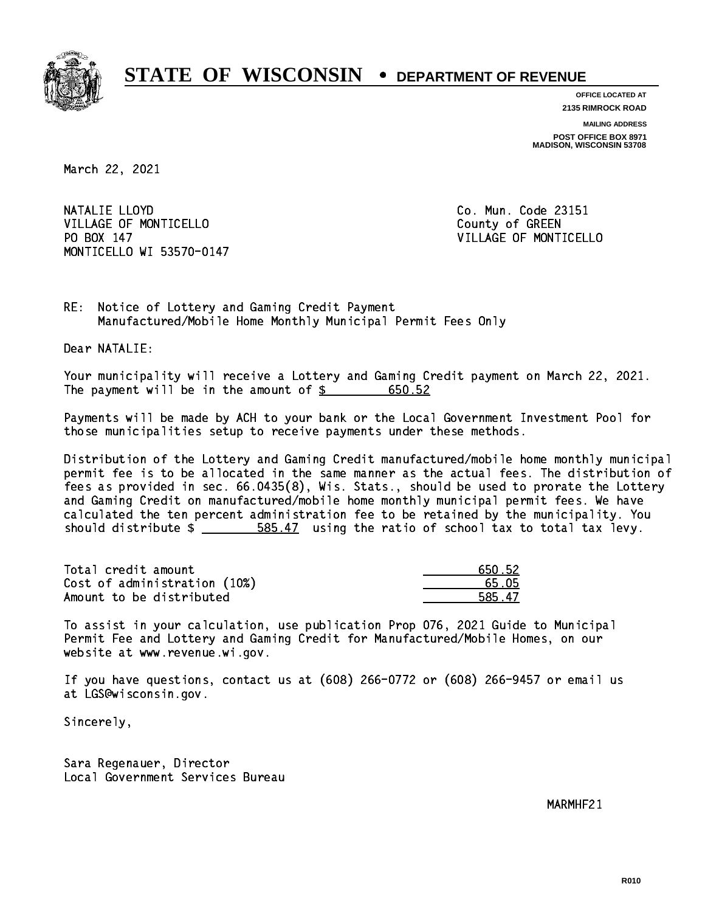

**OFFICE LOCATED AT**

**2135 RIMROCK ROAD**

**MAILING ADDRESS POST OFFICE BOX 8971 MADISON, WISCONSIN 53708**

March 22, 2021

NATALIE LLOYD VILLAGE OF MONTICELLO **COUNTY COULD AND COULD COULD COULD** PO BOX 147 MONTICELLO WI 53570-0147

Co. Mun. Code 23151 VILLAGE OF MONTICELLO

RE: Notice of Lottery and Gaming Credit Payment Manufactured/Mobile Home Monthly Municipal Permit Fees Only

Dear NATALIE:

 Your municipality will receive a Lottery and Gaming Credit payment on March 22, 2021. The payment will be in the amount of  $\frac{2}{3}$  650.52

 Payments will be made by ACH to your bank or the Local Government Investment Pool for those municipalities setup to receive payments under these methods.

 Distribution of the Lottery and Gaming Credit manufactured/mobile home monthly municipal permit fee is to be allocated in the same manner as the actual fees. The distribution of fees as provided in sec. 66.0435(8), Wis. Stats., should be used to prorate the Lottery and Gaming Credit on manufactured/mobile home monthly municipal permit fees. We have calculated the ten percent administration fee to be retained by the municipality. You should distribute  $\frac{2}{2}$   $\frac{585.47}{2}$  using the ratio of school tax to total tax levy.

Total credit amount Cost of administration (10%) Amount to be distributed

| 50.52 |
|-------|
| 5 N5  |
| 47    |

 To assist in your calculation, use publication Prop 076, 2021 Guide to Municipal Permit Fee and Lottery and Gaming Credit for Manufactured/Mobile Homes, on our website at www.revenue.wi.gov.

 If you have questions, contact us at (608) 266-0772 or (608) 266-9457 or email us at LGS@wisconsin.gov.

Sincerely,

 Sara Regenauer, Director Local Government Services Bureau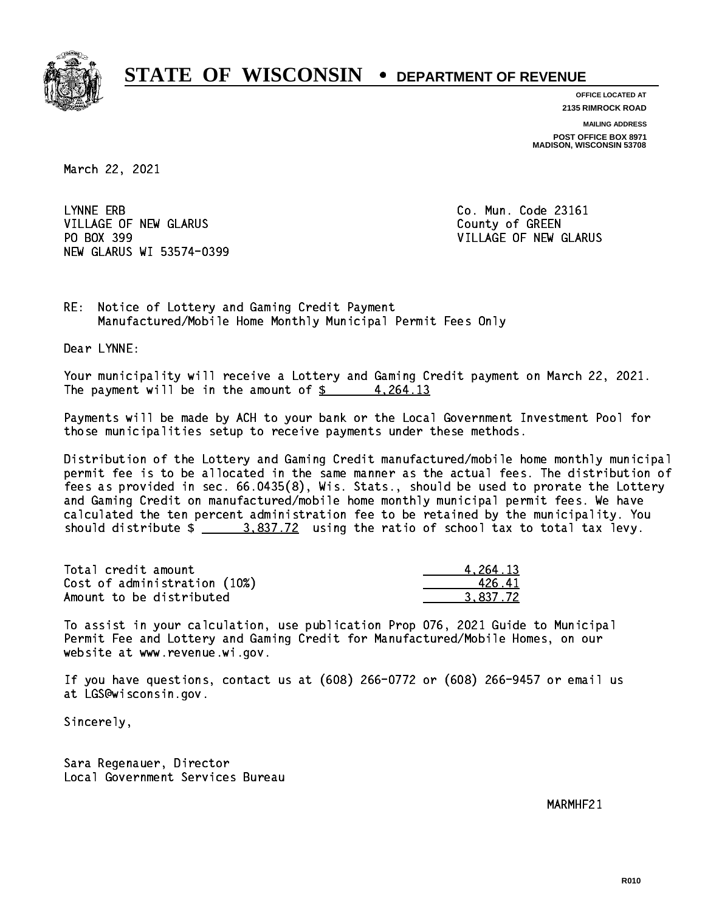

**OFFICE LOCATED AT 2135 RIMROCK ROAD**

**MAILING ADDRESS POST OFFICE BOX 8971 MADISON, WISCONSIN 53708**

March 22, 2021

LYNNE ERB VILLAGE OF NEW GLARUS **COUNTY OF GREEN** PO BOX 399 NEW GLARUS WI 53574-0399

Co. Mun. Code 23161 VILLAGE OF NEW GLARUS

RE: Notice of Lottery and Gaming Credit Payment Manufactured/Mobile Home Monthly Municipal Permit Fees Only

Dear LYNNE:

 Your municipality will receive a Lottery and Gaming Credit payment on March 22, 2021. The payment will be in the amount of  $\frac{2}{3}$  4,264.13

 Payments will be made by ACH to your bank or the Local Government Investment Pool for those municipalities setup to receive payments under these methods.

 Distribution of the Lottery and Gaming Credit manufactured/mobile home monthly municipal permit fee is to be allocated in the same manner as the actual fees. The distribution of fees as provided in sec. 66.0435(8), Wis. Stats., should be used to prorate the Lottery and Gaming Credit on manufactured/mobile home monthly municipal permit fees. We have calculated the ten percent administration fee to be retained by the municipality. You should distribute  $\frac{2.837.72}{2}$  using the ratio of school tax to total tax levy.

| Total credit amount          | 4.264.13 |
|------------------------------|----------|
| Cost of administration (10%) | 426.41   |
| Amount to be distributed     | 3.837.72 |

 To assist in your calculation, use publication Prop 076, 2021 Guide to Municipal Permit Fee and Lottery and Gaming Credit for Manufactured/Mobile Homes, on our website at www.revenue.wi.gov.

 If you have questions, contact us at (608) 266-0772 or (608) 266-9457 or email us at LGS@wisconsin.gov.

Sincerely,

 Sara Regenauer, Director Local Government Services Bureau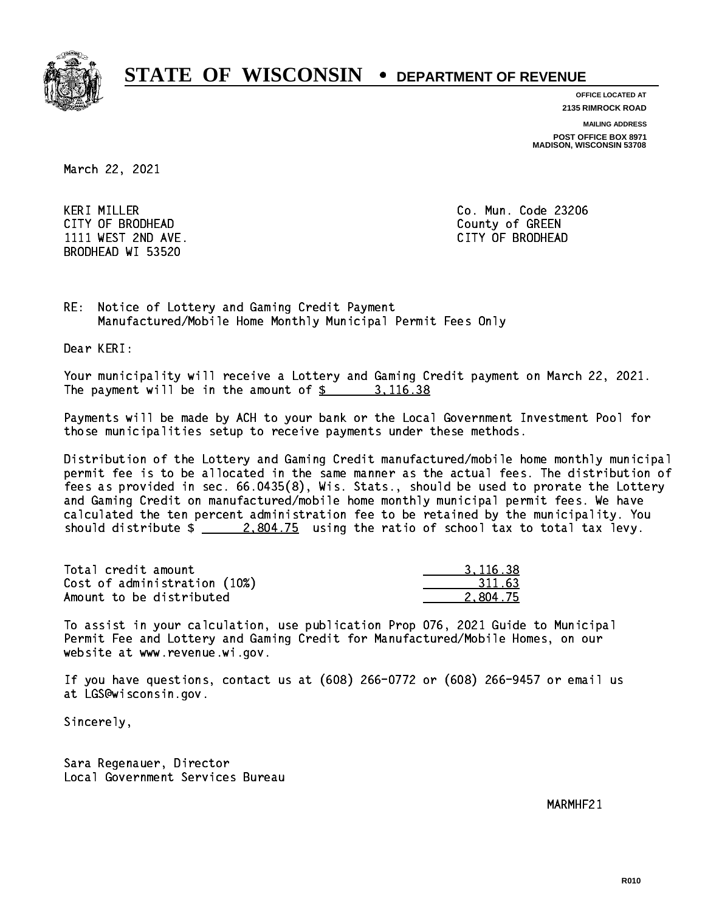

**OFFICE LOCATED AT**

**2135 RIMROCK ROAD**

**MAILING ADDRESS**

**POST OFFICE BOX 8971 MADISON, WISCONSIN 53708**

March 22, 2021

 KERI MILLER Co. Mun. Code 23206 CITY OF BRODHEAD County of GREEN 1111 WEST 2ND AVE. CITY OF BRODHEAD BRODHEAD WI 53520

RE: Notice of Lottery and Gaming Credit Payment Manufactured/Mobile Home Monthly Municipal Permit Fees Only

Dear KERI:

 Your municipality will receive a Lottery and Gaming Credit payment on March 22, 2021. The payment will be in the amount of \$ 3,116.38 \_\_\_\_\_\_\_\_\_\_\_\_\_\_\_\_

 Payments will be made by ACH to your bank or the Local Government Investment Pool for those municipalities setup to receive payments under these methods.

 Distribution of the Lottery and Gaming Credit manufactured/mobile home monthly municipal permit fee is to be allocated in the same manner as the actual fees. The distribution of fees as provided in sec. 66.0435(8), Wis. Stats., should be used to prorate the Lottery and Gaming Credit on manufactured/mobile home monthly municipal permit fees. We have calculated the ten percent administration fee to be retained by the municipality. You should distribute  $\frac{2,804.75}{2}$  using the ratio of school tax to total tax levy.

| Total credit amount          | 3.116.38 |
|------------------------------|----------|
| Cost of administration (10%) | 311.63   |
| Amount to be distributed     | 2.804.75 |

 To assist in your calculation, use publication Prop 076, 2021 Guide to Municipal Permit Fee and Lottery and Gaming Credit for Manufactured/Mobile Homes, on our website at www.revenue.wi.gov.

 If you have questions, contact us at (608) 266-0772 or (608) 266-9457 or email us at LGS@wisconsin.gov.

Sincerely,

 Sara Regenauer, Director Local Government Services Bureau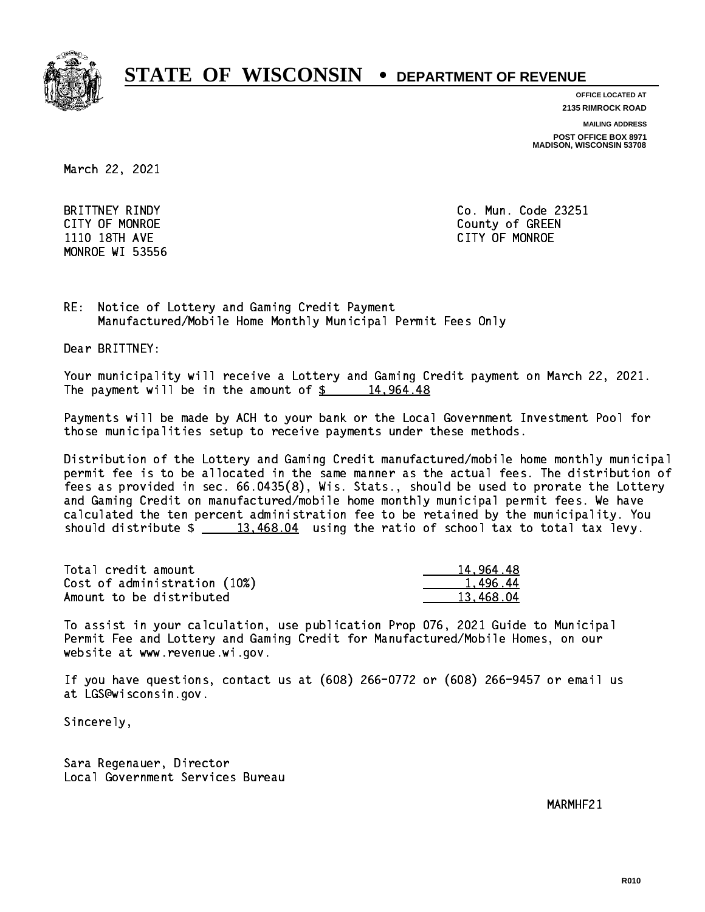

**OFFICE LOCATED AT**

**2135 RIMROCK ROAD**

**MAILING ADDRESS**

**POST OFFICE BOX 8971 MADISON, WISCONSIN 53708**

March 22, 2021

MONROE WI 53556

 BRITTNEY RINDY Co. Mun. Code 23251 CITY OF MONROE County of GREEN 1110 18TH AVE CITY OF MONROE

RE: Notice of Lottery and Gaming Credit Payment Manufactured/Mobile Home Monthly Municipal Permit Fees Only

Dear BRITTNEY:

 Your municipality will receive a Lottery and Gaming Credit payment on March 22, 2021. The payment will be in the amount of  $\frac{2}{3}$  14,964.48

 Payments will be made by ACH to your bank or the Local Government Investment Pool for those municipalities setup to receive payments under these methods.

 Distribution of the Lottery and Gaming Credit manufactured/mobile home monthly municipal permit fee is to be allocated in the same manner as the actual fees. The distribution of fees as provided in sec. 66.0435(8), Wis. Stats., should be used to prorate the Lottery and Gaming Credit on manufactured/mobile home monthly municipal permit fees. We have calculated the ten percent administration fee to be retained by the municipality. You should distribute  $\frac{2}{13,468.04}$  using the ratio of school tax to total tax levy.

| Total credit amount          | 14,964.48 |
|------------------------------|-----------|
| Cost of administration (10%) | 1.496.44  |
| Amount to be distributed     | 13.468.04 |

 To assist in your calculation, use publication Prop 076, 2021 Guide to Municipal Permit Fee and Lottery and Gaming Credit for Manufactured/Mobile Homes, on our website at www.revenue.wi.gov.

 If you have questions, contact us at (608) 266-0772 or (608) 266-9457 or email us at LGS@wisconsin.gov.

Sincerely,

 Sara Regenauer, Director Local Government Services Bureau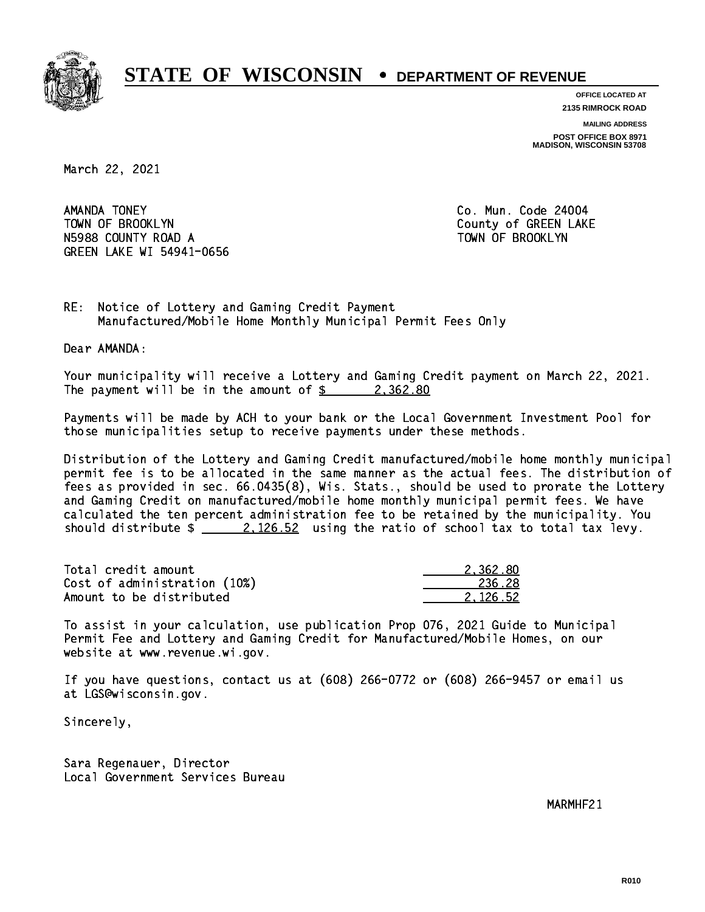

**OFFICE LOCATED AT 2135 RIMROCK ROAD**

**MAILING ADDRESS POST OFFICE BOX 8971 MADISON, WISCONSIN 53708**

March 22, 2021

AMANDA TONEY TOWN OF BROOKLYN County of GREEN LAKE N5988 COUNTY ROAD A TOWN OF BROOKLYN GREEN LAKE WI 54941-0656

Co. Mun. Code 24004

RE: Notice of Lottery and Gaming Credit Payment Manufactured/Mobile Home Monthly Municipal Permit Fees Only

Dear AMANDA:

 Your municipality will receive a Lottery and Gaming Credit payment on March 22, 2021. The payment will be in the amount of  $\frac{2}{3}$  2,362.80

 Payments will be made by ACH to your bank or the Local Government Investment Pool for those municipalities setup to receive payments under these methods.

 Distribution of the Lottery and Gaming Credit manufactured/mobile home monthly municipal permit fee is to be allocated in the same manner as the actual fees. The distribution of fees as provided in sec. 66.0435(8), Wis. Stats., should be used to prorate the Lottery and Gaming Credit on manufactured/mobile home monthly municipal permit fees. We have calculated the ten percent administration fee to be retained by the municipality. You should distribute  $\frac{2.126.52}{ }$  using the ratio of school tax to total tax levy.

| Total credit amount          | 2.362.80 |
|------------------------------|----------|
| Cost of administration (10%) | 236.28   |
| Amount to be distributed     | 2.126.52 |

 To assist in your calculation, use publication Prop 076, 2021 Guide to Municipal Permit Fee and Lottery and Gaming Credit for Manufactured/Mobile Homes, on our website at www.revenue.wi.gov.

 If you have questions, contact us at (608) 266-0772 or (608) 266-9457 or email us at LGS@wisconsin.gov.

Sincerely,

 Sara Regenauer, Director Local Government Services Bureau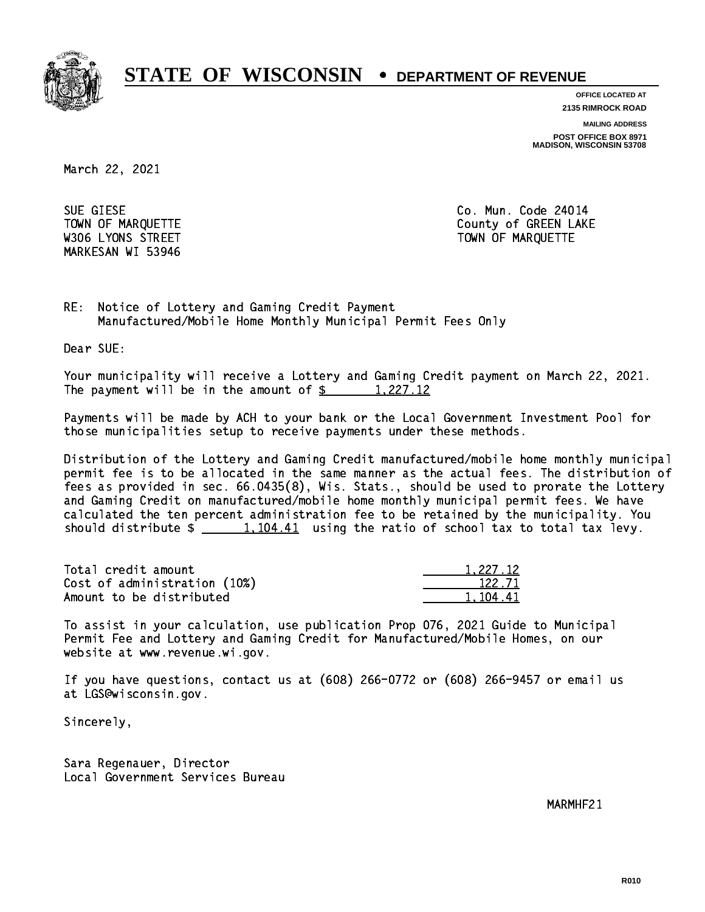

**OFFICE LOCATED AT 2135 RIMROCK ROAD**

**MAILING ADDRESS POST OFFICE BOX 8971 MADISON, WISCONSIN 53708**

March 22, 2021

 SUE GIESE Co. Mun. Code 24014 MARKESAN WI 53946

TOWN OF MARQUETTE TOWN OF MARQUETTE W306 LYONS STREET TOWN OF MARQUETTE

RE: Notice of Lottery and Gaming Credit Payment Manufactured/Mobile Home Monthly Municipal Permit Fees Only

Dear SUE:

 Your municipality will receive a Lottery and Gaming Credit payment on March 22, 2021. The payment will be in the amount of  $\frac{2}{3}$  1,227.12

 Payments will be made by ACH to your bank or the Local Government Investment Pool for those municipalities setup to receive payments under these methods.

 Distribution of the Lottery and Gaming Credit manufactured/mobile home monthly municipal permit fee is to be allocated in the same manner as the actual fees. The distribution of fees as provided in sec. 66.0435(8), Wis. Stats., should be used to prorate the Lottery and Gaming Credit on manufactured/mobile home monthly municipal permit fees. We have calculated the ten percent administration fee to be retained by the municipality. You should distribute  $\frac{1,104.41}{1,104.41}$  using the ratio of school tax to total tax levy.

| Total credit amount          | 1.227.12 |
|------------------------------|----------|
| Cost of administration (10%) | 122.71   |
| Amount to be distributed     | 1.104.41 |

 To assist in your calculation, use publication Prop 076, 2021 Guide to Municipal Permit Fee and Lottery and Gaming Credit for Manufactured/Mobile Homes, on our website at www.revenue.wi.gov.

 If you have questions, contact us at (608) 266-0772 or (608) 266-9457 or email us at LGS@wisconsin.gov.

Sincerely,

 Sara Regenauer, Director Local Government Services Bureau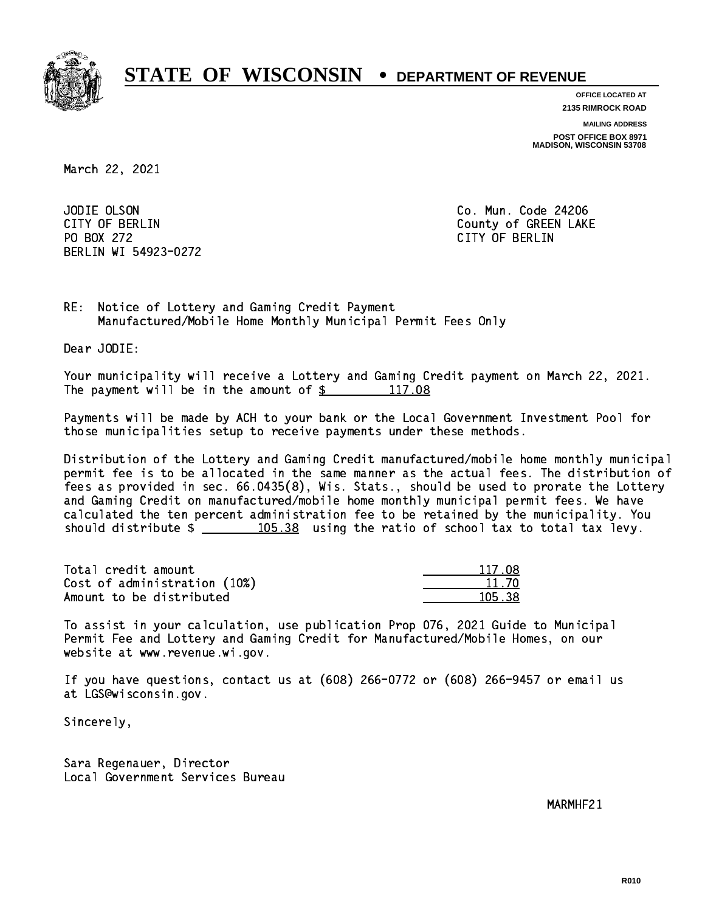

**OFFICE LOCATED AT 2135 RIMROCK ROAD**

**MAILING ADDRESS POST OFFICE BOX 8971 MADISON, WISCONSIN 53708**

March 22, 2021

JODIE OLSON PO BOX 272 CITY OF BERLIN BERLIN WI 54923-0272

Co. Mun. Code 24206 CITY OF BERLIN COUNTY OF BERLIN

RE: Notice of Lottery and Gaming Credit Payment Manufactured/Mobile Home Monthly Municipal Permit Fees Only

Dear JODIE:

 Your municipality will receive a Lottery and Gaming Credit payment on March 22, 2021. The payment will be in the amount of  $\frac{2}{3}$  117.08

 Payments will be made by ACH to your bank or the Local Government Investment Pool for those municipalities setup to receive payments under these methods.

 Distribution of the Lottery and Gaming Credit manufactured/mobile home monthly municipal permit fee is to be allocated in the same manner as the actual fees. The distribution of fees as provided in sec. 66.0435(8), Wis. Stats., should be used to prorate the Lottery and Gaming Credit on manufactured/mobile home monthly municipal permit fees. We have calculated the ten percent administration fee to be retained by the municipality. You should distribute  $\frac{105.38}{105.38}$  using the ratio of school tax to total tax levy.

Total credit amount Cost of administration (10%) Amount to be distributed

| 1171<br>١Q |
|------------|
| 1 70       |
| 5. ZQ<br>٦ |

 To assist in your calculation, use publication Prop 076, 2021 Guide to Municipal Permit Fee and Lottery and Gaming Credit for Manufactured/Mobile Homes, on our website at www.revenue.wi.gov.

 If you have questions, contact us at (608) 266-0772 or (608) 266-9457 or email us at LGS@wisconsin.gov.

Sincerely,

 Sara Regenauer, Director Local Government Services Bureau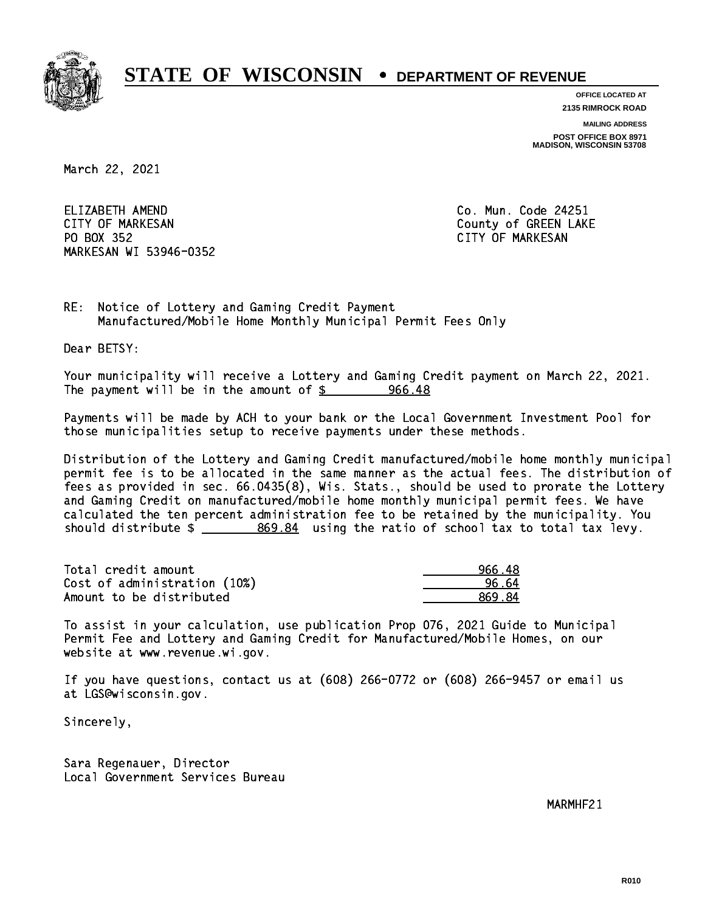

**OFFICE LOCATED AT**

**2135 RIMROCK ROAD**

**MAILING ADDRESS**

**POST OFFICE BOX 8971 MADISON, WISCONSIN 53708**

March 22, 2021

ELIZABETH AMEND CITY OF MARKESAN County of GREEN LAKE PO BOX 352 PO BOX 352 CITY OF MARKESAN MARKESAN WI 53946-0352

Co. Mun. Code 24251

RE: Notice of Lottery and Gaming Credit Payment Manufactured/Mobile Home Monthly Municipal Permit Fees Only

Dear BETSY:

 Your municipality will receive a Lottery and Gaming Credit payment on March 22, 2021. The payment will be in the amount of  $\frac{2}{3}$  966.48

 Payments will be made by ACH to your bank or the Local Government Investment Pool for those municipalities setup to receive payments under these methods.

 Distribution of the Lottery and Gaming Credit manufactured/mobile home monthly municipal permit fee is to be allocated in the same manner as the actual fees. The distribution of fees as provided in sec. 66.0435(8), Wis. Stats., should be used to prorate the Lottery and Gaming Credit on manufactured/mobile home monthly municipal permit fees. We have calculated the ten percent administration fee to be retained by the municipality. You should distribute  $\frac{2}{2}$   $\frac{869.84}{2}$  using the ratio of school tax to total tax levy.

| Total credit amount          | 966.48 |
|------------------------------|--------|
| Cost of administration (10%) | 96.64  |
| Amount to be distributed     | 869.84 |

 To assist in your calculation, use publication Prop 076, 2021 Guide to Municipal Permit Fee and Lottery and Gaming Credit for Manufactured/Mobile Homes, on our website at www.revenue.wi.gov.

 If you have questions, contact us at (608) 266-0772 or (608) 266-9457 or email us at LGS@wisconsin.gov.

Sincerely,

 Sara Regenauer, Director Local Government Services Bureau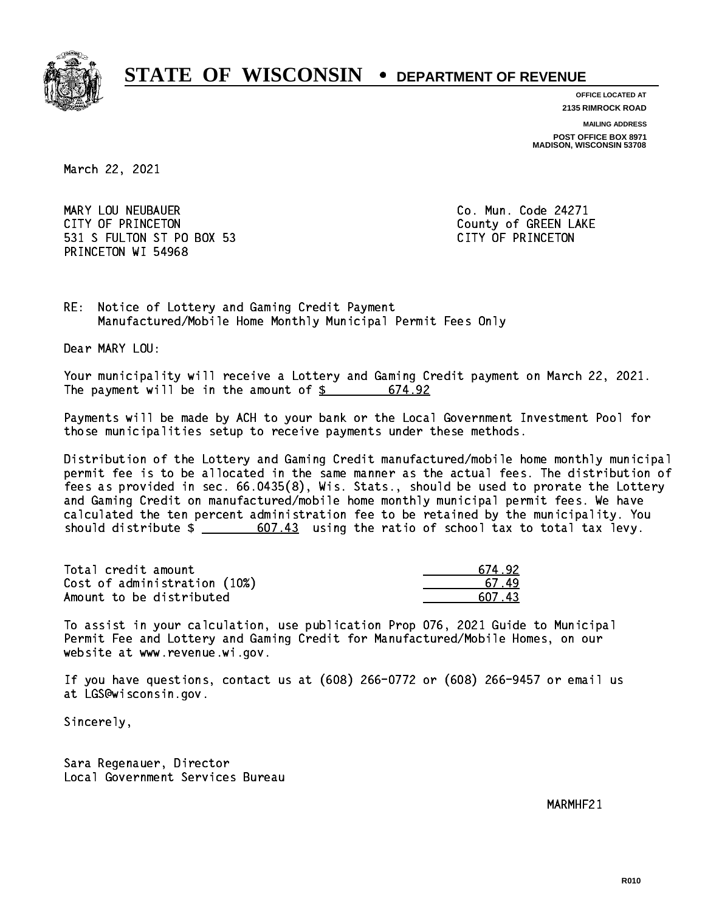

**OFFICE LOCATED AT**

**2135 RIMROCK ROAD**

**MAILING ADDRESS**

**POST OFFICE BOX 8971 MADISON, WISCONSIN 53708**

March 22, 2021

 MARY LOU NEUBAUER Co. Mun. Code 24271 CITY OF PRINCETON COUNTY OF PRINCETON 531 S FULTON ST PO BOX 53 CITY OF PRINCETON PRINCETON WI 54968

RE: Notice of Lottery and Gaming Credit Payment Manufactured/Mobile Home Monthly Municipal Permit Fees Only

Dear MARY LOU:

 Your municipality will receive a Lottery and Gaming Credit payment on March 22, 2021. The payment will be in the amount of  $$ 674.92$ 

 Payments will be made by ACH to your bank or the Local Government Investment Pool for those municipalities setup to receive payments under these methods.

 Distribution of the Lottery and Gaming Credit manufactured/mobile home monthly municipal permit fee is to be allocated in the same manner as the actual fees. The distribution of fees as provided in sec. 66.0435(8), Wis. Stats., should be used to prorate the Lottery and Gaming Credit on manufactured/mobile home monthly municipal permit fees. We have calculated the ten percent administration fee to be retained by the municipality. You should distribute  $\frac{2}{1}$   $\frac{607.43}{1000}$  using the ratio of school tax to total tax levy.

Total credit amount Cost of administration (10%) Amount to be distributed

| 674.92                |
|-----------------------|
| 67 <sub>1</sub><br>49 |
| NZ 43                 |

 To assist in your calculation, use publication Prop 076, 2021 Guide to Municipal Permit Fee and Lottery and Gaming Credit for Manufactured/Mobile Homes, on our website at www.revenue.wi.gov.

 If you have questions, contact us at (608) 266-0772 or (608) 266-9457 or email us at LGS@wisconsin.gov.

Sincerely,

 Sara Regenauer, Director Local Government Services Bureau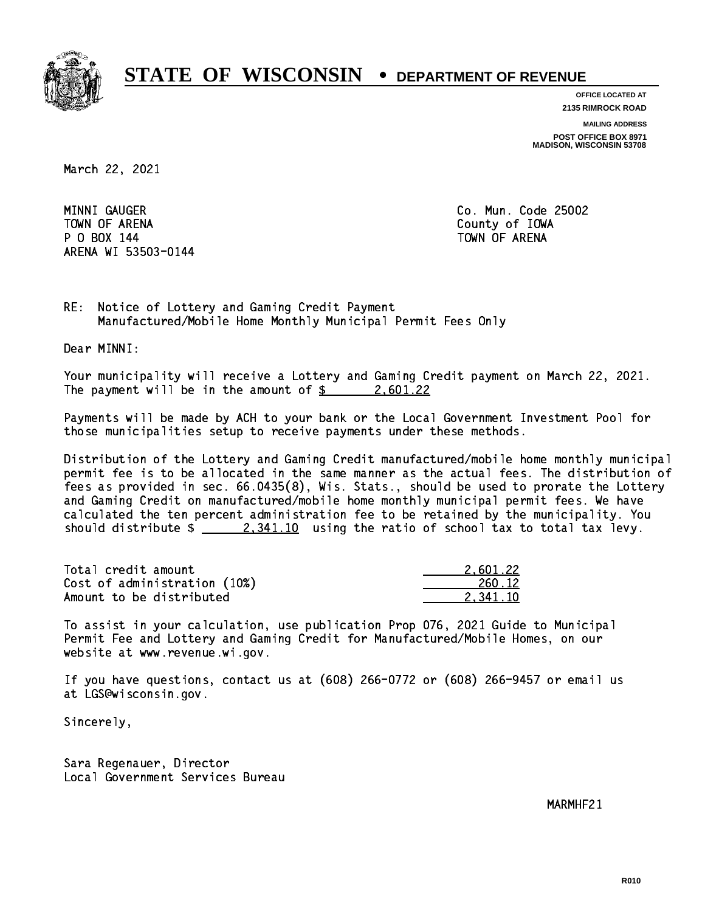

**OFFICE LOCATED AT 2135 RIMROCK ROAD**

**MAILING ADDRESS POST OFFICE BOX 8971 MADISON, WISCONSIN 53708**

March 22, 2021

MINNI GAUGER TOWN OF ARENA County of IOWA P O BOX 144 TOWN OF ARENA ARENA WI 53503-0144

Co. Mun. Code 25002

RE: Notice of Lottery and Gaming Credit Payment Manufactured/Mobile Home Monthly Municipal Permit Fees Only

Dear MINNI:

 Your municipality will receive a Lottery and Gaming Credit payment on March 22, 2021. The payment will be in the amount of  $\frac{2}{3}$  2,601.22

 Payments will be made by ACH to your bank or the Local Government Investment Pool for those municipalities setup to receive payments under these methods.

 Distribution of the Lottery and Gaming Credit manufactured/mobile home monthly municipal permit fee is to be allocated in the same manner as the actual fees. The distribution of fees as provided in sec. 66.0435(8), Wis. Stats., should be used to prorate the Lottery and Gaming Credit on manufactured/mobile home monthly municipal permit fees. We have calculated the ten percent administration fee to be retained by the municipality. You should distribute  $\frac{2,341.10}{2}$  using the ratio of school tax to total tax levy.

| Total credit amount          | 2.601.22 |
|------------------------------|----------|
| Cost of administration (10%) | 260.12   |
| Amount to be distributed     | 2.341.10 |

 To assist in your calculation, use publication Prop 076, 2021 Guide to Municipal Permit Fee and Lottery and Gaming Credit for Manufactured/Mobile Homes, on our website at www.revenue.wi.gov.

 If you have questions, contact us at (608) 266-0772 or (608) 266-9457 or email us at LGS@wisconsin.gov.

Sincerely,

 Sara Regenauer, Director Local Government Services Bureau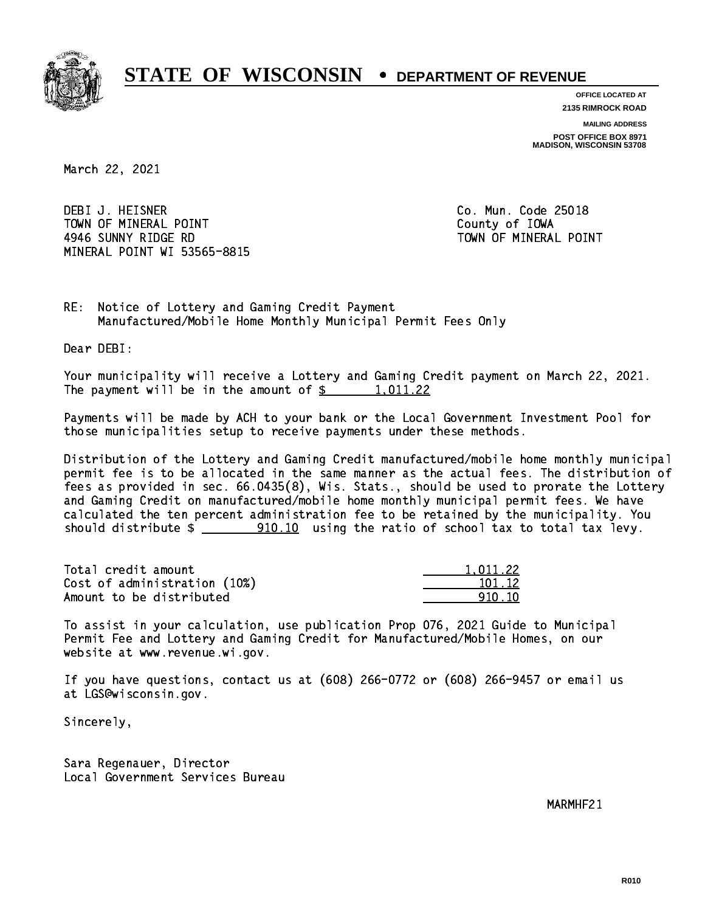

**OFFICE LOCATED AT 2135 RIMROCK ROAD**

**MAILING ADDRESS**

**POST OFFICE BOX 8971 MADISON, WISCONSIN 53708**

March 22, 2021

 DEBI J. HEISNER Co. Mun. Code 25018 TOWN OF MINERAL POINT TOWN TOWN County of IOWA 4946 SUNNY RIDGE RD TOWN OF MINERAL POINT MINERAL POINT WI 53565-8815

RE: Notice of Lottery and Gaming Credit Payment Manufactured/Mobile Home Monthly Municipal Permit Fees Only

Dear DEBI:

 Your municipality will receive a Lottery and Gaming Credit payment on March 22, 2021. The payment will be in the amount of  $\frac{2}{3}$  1,011.22

 Payments will be made by ACH to your bank or the Local Government Investment Pool for those municipalities setup to receive payments under these methods.

 Distribution of the Lottery and Gaming Credit manufactured/mobile home monthly municipal permit fee is to be allocated in the same manner as the actual fees. The distribution of fees as provided in sec. 66.0435(8), Wis. Stats., should be used to prorate the Lottery and Gaming Credit on manufactured/mobile home monthly municipal permit fees. We have calculated the ten percent administration fee to be retained by the municipality. You should distribute  $\frac{100.10}{10.10}$  using the ratio of school tax to total tax levy.

| Total credit amount          | 1.011.22 |
|------------------------------|----------|
| Cost of administration (10%) | 101.12   |
| Amount to be distributed     | 910.10   |

 To assist in your calculation, use publication Prop 076, 2021 Guide to Municipal Permit Fee and Lottery and Gaming Credit for Manufactured/Mobile Homes, on our website at www.revenue.wi.gov.

 If you have questions, contact us at (608) 266-0772 or (608) 266-9457 or email us at LGS@wisconsin.gov.

Sincerely,

 Sara Regenauer, Director Local Government Services Bureau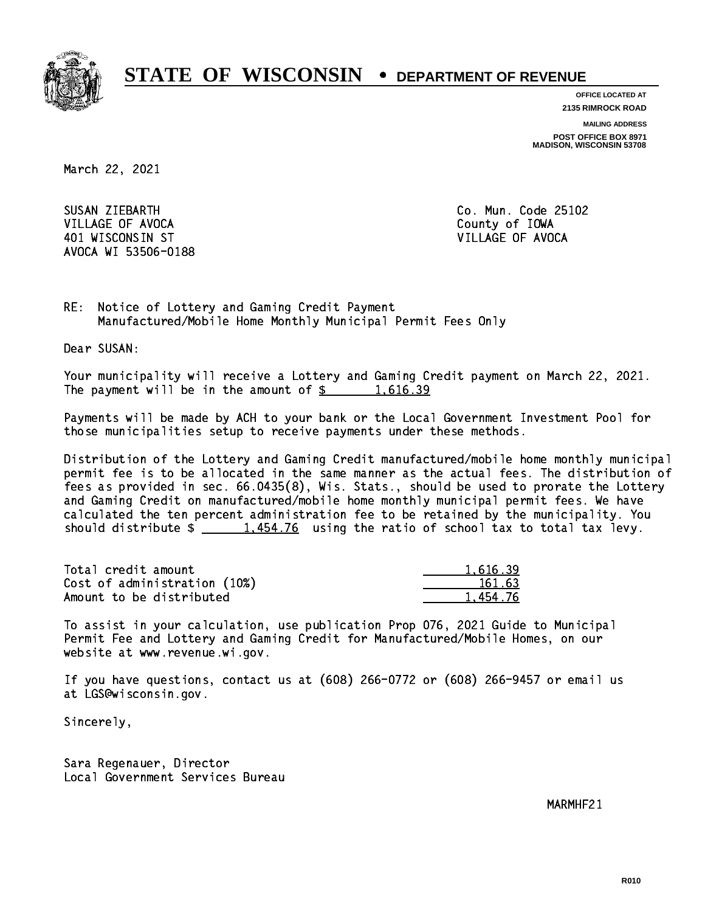

**OFFICE LOCATED AT 2135 RIMROCK ROAD**

**MAILING ADDRESS**

**POST OFFICE BOX 8971 MADISON, WISCONSIN 53708**

March 22, 2021

SUSAN ZIEBARTH VILLAGE OF AVOCA **COUNTY OF AVOCA** COUNTY OF IOWA 401 WISCONSIN ST VILLAGE OF AVOCA AVOCA WI 53506-0188

Co. Mun. Code 25102

RE: Notice of Lottery and Gaming Credit Payment Manufactured/Mobile Home Monthly Municipal Permit Fees Only

Dear SUSAN:

 Your municipality will receive a Lottery and Gaming Credit payment on March 22, 2021. The payment will be in the amount of  $\frac{2}{3}$  1,616.39

 Payments will be made by ACH to your bank or the Local Government Investment Pool for those municipalities setup to receive payments under these methods.

 Distribution of the Lottery and Gaming Credit manufactured/mobile home monthly municipal permit fee is to be allocated in the same manner as the actual fees. The distribution of fees as provided in sec. 66.0435(8), Wis. Stats., should be used to prorate the Lottery and Gaming Credit on manufactured/mobile home monthly municipal permit fees. We have calculated the ten percent administration fee to be retained by the municipality. You should distribute  $\frac{1.454.76}{1.454.76}$  using the ratio of school tax to total tax levy.

| Total credit amount          | 1,616.39 |
|------------------------------|----------|
| Cost of administration (10%) | 161.63   |
| Amount to be distributed     | 1.454.76 |

 To assist in your calculation, use publication Prop 076, 2021 Guide to Municipal Permit Fee and Lottery and Gaming Credit for Manufactured/Mobile Homes, on our website at www.revenue.wi.gov.

 If you have questions, contact us at (608) 266-0772 or (608) 266-9457 or email us at LGS@wisconsin.gov.

Sincerely,

 Sara Regenauer, Director Local Government Services Bureau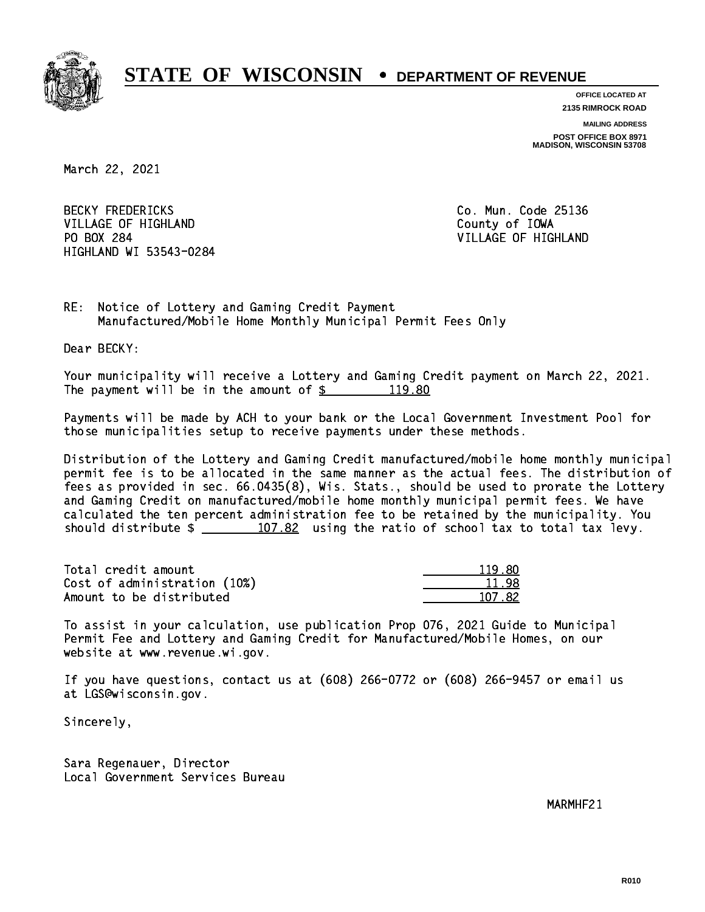

**OFFICE LOCATED AT 2135 RIMROCK ROAD**

**MAILING ADDRESS**

**POST OFFICE BOX 8971 MADISON, WISCONSIN 53708**

March 22, 2021

**BECKY FREDERICKS** VILLAGE OF HIGHLAND **County of IOWA** PO BOX 284 HIGHLAND WI 53543-0284

Co. Mun. Code 25136 VILLAGE OF HIGHLAND

RE: Notice of Lottery and Gaming Credit Payment Manufactured/Mobile Home Monthly Municipal Permit Fees Only

Dear BECKY:

 Your municipality will receive a Lottery and Gaming Credit payment on March 22, 2021. The payment will be in the amount of  $\frac{2}{3}$  119.80

 Payments will be made by ACH to your bank or the Local Government Investment Pool for those municipalities setup to receive payments under these methods.

 Distribution of the Lottery and Gaming Credit manufactured/mobile home monthly municipal permit fee is to be allocated in the same manner as the actual fees. The distribution of fees as provided in sec. 66.0435(8), Wis. Stats., should be used to prorate the Lottery and Gaming Credit on manufactured/mobile home monthly municipal permit fees. We have calculated the ten percent administration fee to be retained by the municipality. You should distribute  $\frac{107.82}{107.82}$  using the ratio of school tax to total tax levy.

Total credit amount Cost of administration (10%) Amount to be distributed

| חי<br>0 |
|---------|
| 11      |
| 17.82.  |

 To assist in your calculation, use publication Prop 076, 2021 Guide to Municipal Permit Fee and Lottery and Gaming Credit for Manufactured/Mobile Homes, on our website at www.revenue.wi.gov.

 If you have questions, contact us at (608) 266-0772 or (608) 266-9457 or email us at LGS@wisconsin.gov.

Sincerely,

 Sara Regenauer, Director Local Government Services Bureau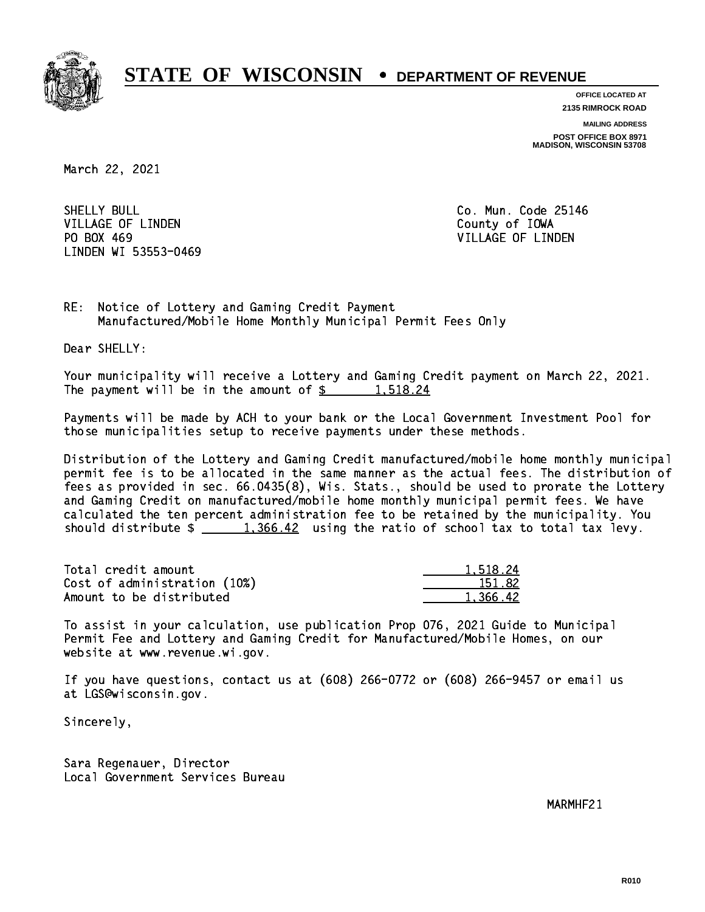

**OFFICE LOCATED AT 2135 RIMROCK ROAD**

**MAILING ADDRESS**

**POST OFFICE BOX 8971 MADISON, WISCONSIN 53708**

March 22, 2021

SHELLY BULL VILLAGE OF LINDEN COUNTY OF LOOKS PO BOX 469 LINDEN WI 53553-0469

Co. Mun. Code 25146 VILLAGE OF LINDEN

RE: Notice of Lottery and Gaming Credit Payment Manufactured/Mobile Home Monthly Municipal Permit Fees Only

Dear SHELLY:

 Your municipality will receive a Lottery and Gaming Credit payment on March 22, 2021. The payment will be in the amount of  $\frac{2}{3}$  1,518.24

 Payments will be made by ACH to your bank or the Local Government Investment Pool for those municipalities setup to receive payments under these methods.

 Distribution of the Lottery and Gaming Credit manufactured/mobile home monthly municipal permit fee is to be allocated in the same manner as the actual fees. The distribution of fees as provided in sec. 66.0435(8), Wis. Stats., should be used to prorate the Lottery and Gaming Credit on manufactured/mobile home monthly municipal permit fees. We have calculated the ten percent administration fee to be retained by the municipality. You should distribute  $\frac{1,366.42}{1,366.42}$  using the ratio of school tax to total tax levy.

| Total credit amount          | 1.518.24 |
|------------------------------|----------|
| Cost of administration (10%) | 151.82   |
| Amount to be distributed     | 1,366.42 |

 To assist in your calculation, use publication Prop 076, 2021 Guide to Municipal Permit Fee and Lottery and Gaming Credit for Manufactured/Mobile Homes, on our website at www.revenue.wi.gov.

 If you have questions, contact us at (608) 266-0772 or (608) 266-9457 or email us at LGS@wisconsin.gov.

Sincerely,

 Sara Regenauer, Director Local Government Services Bureau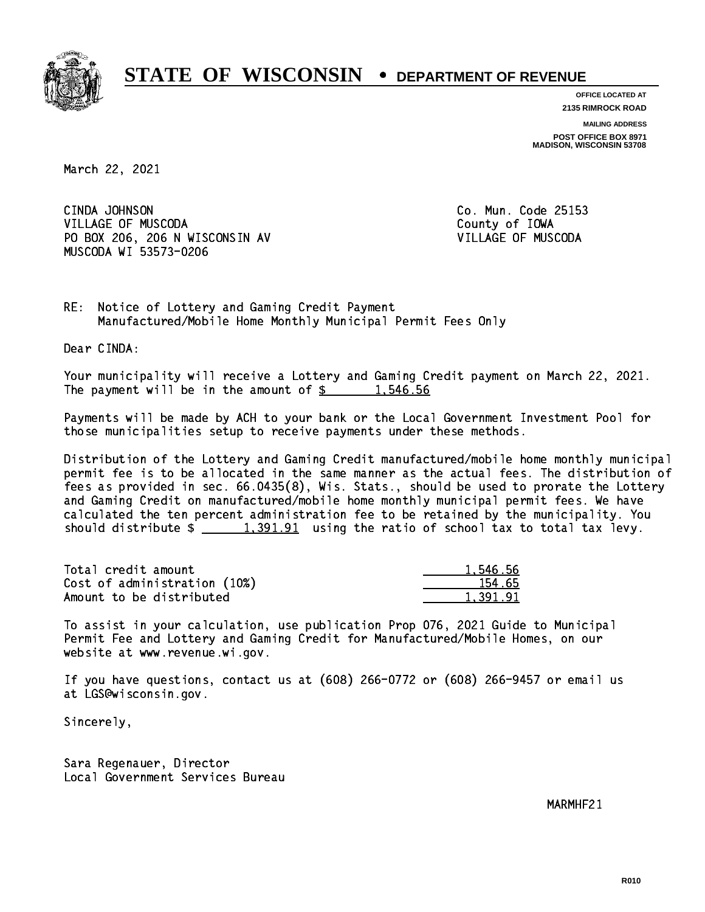

**OFFICE LOCATED AT 2135 RIMROCK ROAD**

**MAILING ADDRESS**

**POST OFFICE BOX 8971 MADISON, WISCONSIN 53708**

March 22, 2021

CINDA JOHNSON VILLAGE OF MUSCODA County of IOWA PO BOX 206, 206 N WISCONSIN AV VILLAGE OF MUSCODA MUSCODA WI 53573-0206

Co. Mun. Code 25153

RE: Notice of Lottery and Gaming Credit Payment Manufactured/Mobile Home Monthly Municipal Permit Fees Only

Dear CINDA:

 Your municipality will receive a Lottery and Gaming Credit payment on March 22, 2021. The payment will be in the amount of  $\frac{2}{3}$  1,546.56

 Payments will be made by ACH to your bank or the Local Government Investment Pool for those municipalities setup to receive payments under these methods.

 Distribution of the Lottery and Gaming Credit manufactured/mobile home monthly municipal permit fee is to be allocated in the same manner as the actual fees. The distribution of fees as provided in sec. 66.0435(8), Wis. Stats., should be used to prorate the Lottery and Gaming Credit on manufactured/mobile home monthly municipal permit fees. We have calculated the ten percent administration fee to be retained by the municipality. You should distribute  $\frac{1,391.91}{1}$  using the ratio of school tax to total tax levy.

| Total credit amount          | 1.546.56 |
|------------------------------|----------|
| Cost of administration (10%) | 154.65   |
| Amount to be distributed     | 1.391.91 |

 To assist in your calculation, use publication Prop 076, 2021 Guide to Municipal Permit Fee and Lottery and Gaming Credit for Manufactured/Mobile Homes, on our website at www.revenue.wi.gov.

 If you have questions, contact us at (608) 266-0772 or (608) 266-9457 or email us at LGS@wisconsin.gov.

Sincerely,

 Sara Regenauer, Director Local Government Services Bureau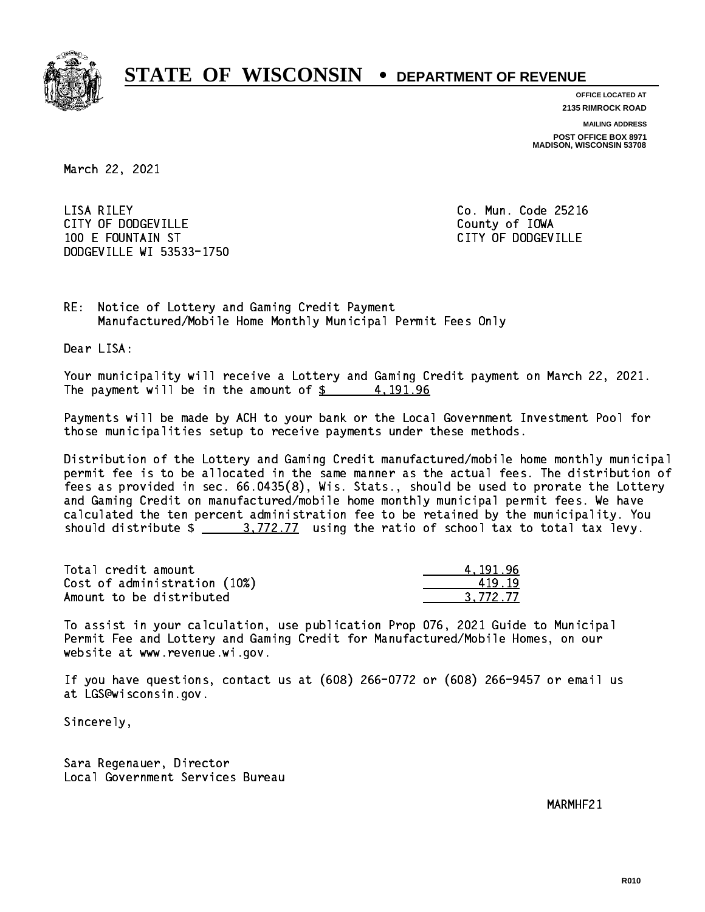

**OFFICE LOCATED AT 2135 RIMROCK ROAD**

**MAILING ADDRESS**

**POST OFFICE BOX 8971 MADISON, WISCONSIN 53708**

March 22, 2021

 LISA RILEY Co. Mun. Code 25216 CITY OF DODGEVILLE **COUNTY COUNTY OF IOWA**  100 E FOUNTAIN ST CITY OF DODGEVILLE DODGEVILLE WI 53533-1750

RE: Notice of Lottery and Gaming Credit Payment Manufactured/Mobile Home Monthly Municipal Permit Fees Only

Dear LISA:

 Your municipality will receive a Lottery and Gaming Credit payment on March 22, 2021. The payment will be in the amount of  $\frac{2}{3}$  4,191.96

 Payments will be made by ACH to your bank or the Local Government Investment Pool for those municipalities setup to receive payments under these methods.

 Distribution of the Lottery and Gaming Credit manufactured/mobile home monthly municipal permit fee is to be allocated in the same manner as the actual fees. The distribution of fees as provided in sec. 66.0435(8), Wis. Stats., should be used to prorate the Lottery and Gaming Credit on manufactured/mobile home monthly municipal permit fees. We have calculated the ten percent administration fee to be retained by the municipality. You should distribute  $\frac{2}{1}$   $\frac{3.772.77}{2}$  using the ratio of school tax to total tax levy.

| Total credit amount          | 4.191.96 |
|------------------------------|----------|
| Cost of administration (10%) | 419.19   |
| Amount to be distributed     | 3.772.77 |

 To assist in your calculation, use publication Prop 076, 2021 Guide to Municipal Permit Fee and Lottery and Gaming Credit for Manufactured/Mobile Homes, on our website at www.revenue.wi.gov.

 If you have questions, contact us at (608) 266-0772 or (608) 266-9457 or email us at LGS@wisconsin.gov.

Sincerely,

 Sara Regenauer, Director Local Government Services Bureau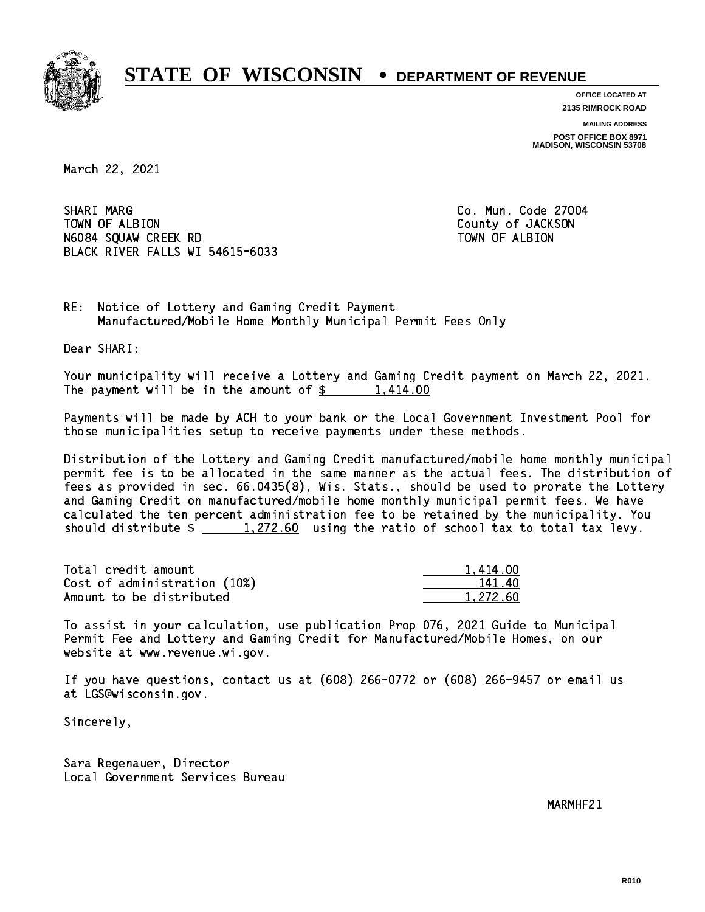

**OFFICE LOCATED AT**

**2135 RIMROCK ROAD**

**MAILING ADDRESS**

**POST OFFICE BOX 8971 MADISON, WISCONSIN 53708**

March 22, 2021

SHARI MARG TOWN OF ALBION County of JACKSON N6084 SQUAW CREEK RD TOWN OF ALBION BLACK RIVER FALLS WI 54615-6033

Co. Mun. Code 27004

1,414.00

RE: Notice of Lottery and Gaming Credit Payment Manufactured/Mobile Home Monthly Municipal Permit Fees Only

Dear SHARI:

 Your municipality will receive a Lottery and Gaming Credit payment on March 22, 2021. The payment will be in the amount of  $\frac{2}{3}$  1,414.00

 Payments will be made by ACH to your bank or the Local Government Investment Pool for those municipalities setup to receive payments under these methods.

 Distribution of the Lottery and Gaming Credit manufactured/mobile home monthly municipal permit fee is to be allocated in the same manner as the actual fees. The distribution of fees as provided in sec. 66.0435(8), Wis. Stats., should be used to prorate the Lottery and Gaming Credit on manufactured/mobile home monthly municipal permit fees. We have calculated the ten percent administration fee to be retained by the municipality. You should distribute  $\frac{1,272.60}{ }$  using the ratio of school tax to total tax levy.

| Total credit amount          | 1.414.00 |
|------------------------------|----------|
| Cost of administration (10%) | 141.40   |
| Amount to be distributed     | 1.272.60 |

 To assist in your calculation, use publication Prop 076, 2021 Guide to Municipal Permit Fee and Lottery and Gaming Credit for Manufactured/Mobile Homes, on our website at www.revenue.wi.gov.

 If you have questions, contact us at (608) 266-0772 or (608) 266-9457 or email us at LGS@wisconsin.gov.

Sincerely,

 Sara Regenauer, Director Local Government Services Bureau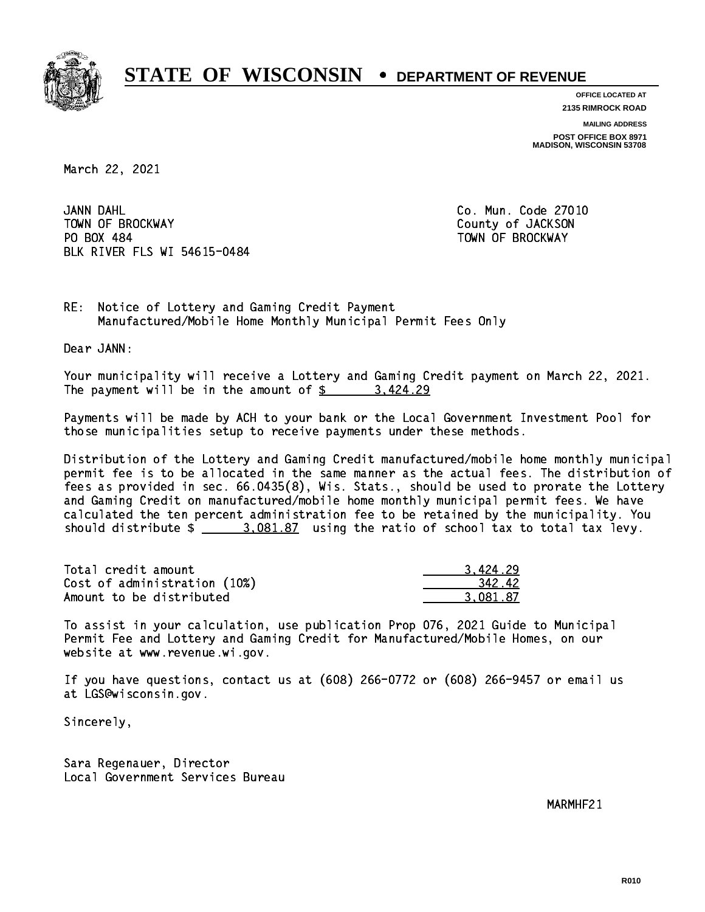

**OFFICE LOCATED AT**

**2135 RIMROCK ROAD**

**MAILING ADDRESS POST OFFICE BOX 8971 MADISON, WISCONSIN 53708**

March 22, 2021

JANN DAHL TOWN OF BROCKWAY **COUNTY OF SECOND-** TOWN OF BROCKWAY PO BOX 484 PO BOX 484 TOWN OF BROCKWAY BLK RIVER FLS WI 54615-0484

Co. Mun. Code 27010

RE: Notice of Lottery and Gaming Credit Payment Manufactured/Mobile Home Monthly Municipal Permit Fees Only

Dear JANN:

 Your municipality will receive a Lottery and Gaming Credit payment on March 22, 2021. The payment will be in the amount of  $\frac{2}{3}$  3,424.29

 Payments will be made by ACH to your bank or the Local Government Investment Pool for those municipalities setup to receive payments under these methods.

 Distribution of the Lottery and Gaming Credit manufactured/mobile home monthly municipal permit fee is to be allocated in the same manner as the actual fees. The distribution of fees as provided in sec. 66.0435(8), Wis. Stats., should be used to prorate the Lottery and Gaming Credit on manufactured/mobile home monthly municipal permit fees. We have calculated the ten percent administration fee to be retained by the municipality. You should distribute  $\frac{2.081.87}{2.081.87}$  using the ratio of school tax to total tax levy.

| Total credit amount          | 3.424.29 |
|------------------------------|----------|
| Cost of administration (10%) | 342.42   |
| Amount to be distributed     | 3.081.87 |

 To assist in your calculation, use publication Prop 076, 2021 Guide to Municipal Permit Fee and Lottery and Gaming Credit for Manufactured/Mobile Homes, on our website at www.revenue.wi.gov.

 If you have questions, contact us at (608) 266-0772 or (608) 266-9457 or email us at LGS@wisconsin.gov.

Sincerely,

 Sara Regenauer, Director Local Government Services Bureau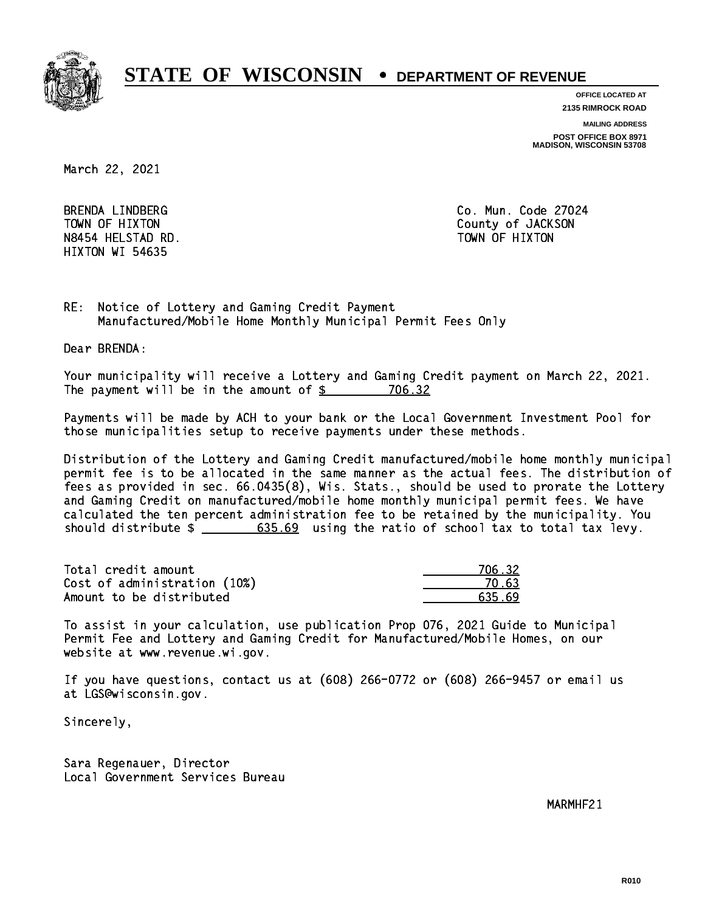

**OFFICE LOCATED AT**

**2135 RIMROCK ROAD**

**MAILING ADDRESS**

**POST OFFICE BOX 8971 MADISON, WISCONSIN 53708**

March 22, 2021

BRENDA LINDBERG N8454 HELSTAD RD. HIXTON WI 54635

Co. Mun. Code 27024 TOWN OF HIXTON COUNTY OF SALES AND TOWN OF HIXTON TOWN OF HIXTON

RE: Notice of Lottery and Gaming Credit Payment Manufactured/Mobile Home Monthly Municipal Permit Fees Only

Dear BRENDA:

 Your municipality will receive a Lottery and Gaming Credit payment on March 22, 2021. The payment will be in the amount of  $$ 706.32$ 

 Payments will be made by ACH to your bank or the Local Government Investment Pool for those municipalities setup to receive payments under these methods.

 Distribution of the Lottery and Gaming Credit manufactured/mobile home monthly municipal permit fee is to be allocated in the same manner as the actual fees. The distribution of fees as provided in sec. 66.0435(8), Wis. Stats., should be used to prorate the Lottery and Gaming Credit on manufactured/mobile home monthly municipal permit fees. We have calculated the ten percent administration fee to be retained by the municipality. You should distribute  $\frac{2}{1}$   $\frac{635.69}{635.69}$  using the ratio of school tax to total tax levy.

Total credit amount 706.32  $Cost of administration (10%)$   $20.63$ Amount to be distributed example of  $635.69$ 

 To assist in your calculation, use publication Prop 076, 2021 Guide to Municipal Permit Fee and Lottery and Gaming Credit for Manufactured/Mobile Homes, on our website at www.revenue.wi.gov.

 If you have questions, contact us at (608) 266-0772 or (608) 266-9457 or email us at LGS@wisconsin.gov.

Sincerely,

 Sara Regenauer, Director Local Government Services Bureau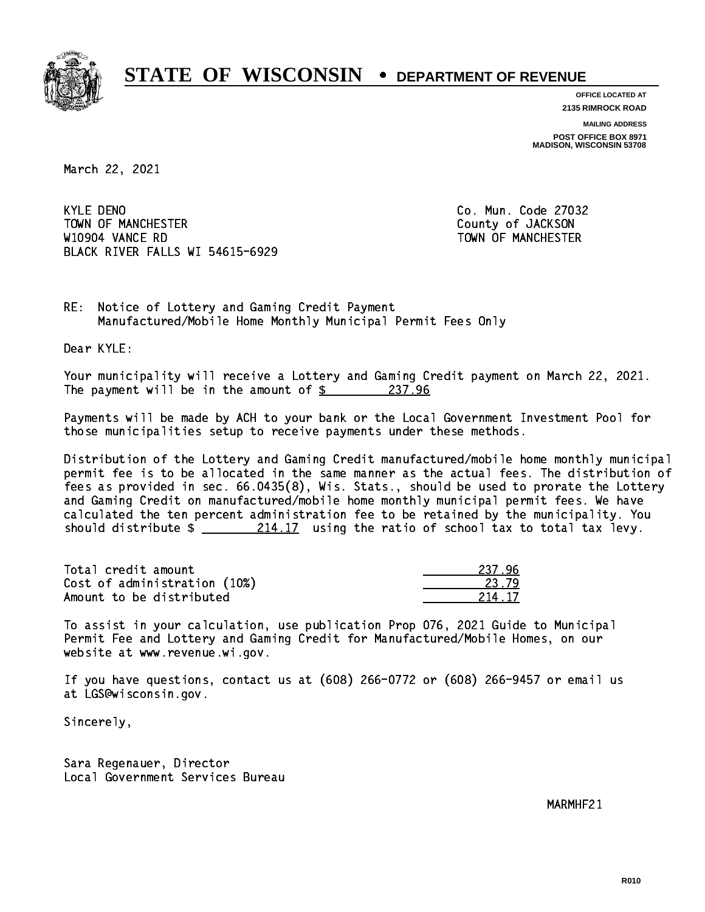

**OFFICE LOCATED AT 2135 RIMROCK ROAD**

**MAILING ADDRESS POST OFFICE BOX 8971 MADISON, WISCONSIN 53708**

March 22, 2021

**KYLE DENO** TOWN OF MANCHESTER COUNTY OF JACKSON W10904 VANCE RD TOWN OF MANCHESTER BLACK RIVER FALLS WI 54615-6929

Co. Mun. Code 27032

RE: Notice of Lottery and Gaming Credit Payment Manufactured/Mobile Home Monthly Municipal Permit Fees Only

Dear KYLE:

 Your municipality will receive a Lottery and Gaming Credit payment on March 22, 2021. The payment will be in the amount of  $\frac{237.96}{237.96}$ 

 Payments will be made by ACH to your bank or the Local Government Investment Pool for those municipalities setup to receive payments under these methods.

 Distribution of the Lottery and Gaming Credit manufactured/mobile home monthly municipal permit fee is to be allocated in the same manner as the actual fees. The distribution of fees as provided in sec. 66.0435(8), Wis. Stats., should be used to prorate the Lottery and Gaming Credit on manufactured/mobile home monthly municipal permit fees. We have calculated the ten percent administration fee to be retained by the municipality. You should distribute  $\frac{214.17}{214.12}$  using the ratio of school tax to total tax levy.

Total credit amount Cost of administration (10%) Amount to be distributed

| ' Y<br>$\mathbf{z}$ |
|---------------------|
| -17<br>2            |

 To assist in your calculation, use publication Prop 076, 2021 Guide to Municipal Permit Fee and Lottery and Gaming Credit for Manufactured/Mobile Homes, on our website at www.revenue.wi.gov.

 If you have questions, contact us at (608) 266-0772 or (608) 266-9457 or email us at LGS@wisconsin.gov.

Sincerely,

 Sara Regenauer, Director Local Government Services Bureau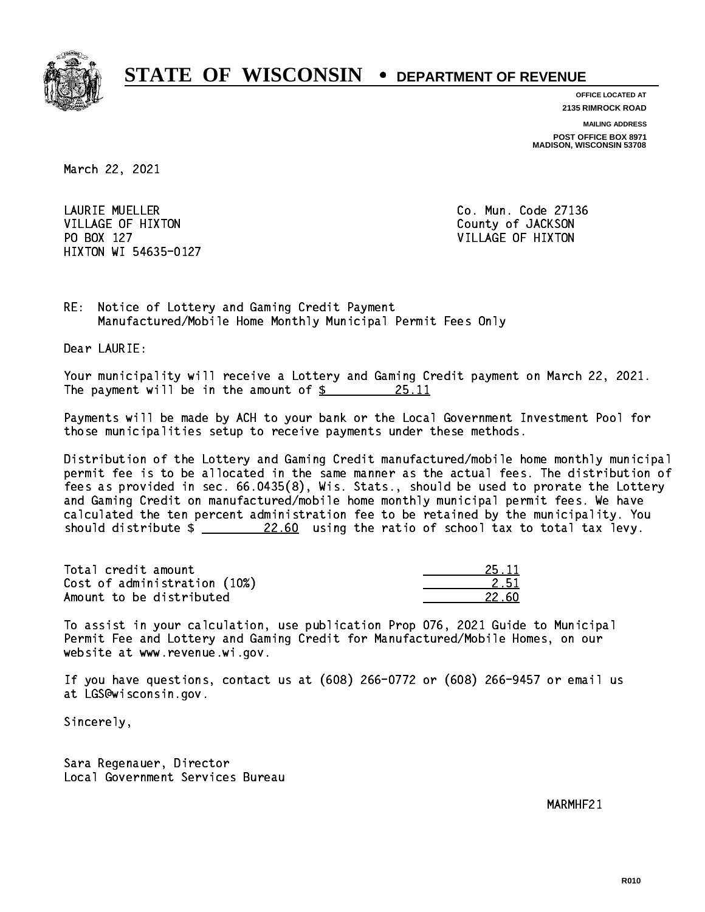

**OFFICE LOCATED AT**

**2135 RIMROCK ROAD**

**MAILING ADDRESS**

**POST OFFICE BOX 8971 MADISON, WISCONSIN 53708**

March 22, 2021

 LAURIE MUELLER Co. Mun. Code 27136 VILLAGE OF HIXTON COUNTY OF JACKSON PO BOX 127 VILLAGE OF HIXTON HIXTON WI 54635-0127

RE: Notice of Lottery and Gaming Credit Payment Manufactured/Mobile Home Monthly Municipal Permit Fees Only

Dear LAURIE:

 Your municipality will receive a Lottery and Gaming Credit payment on March 22, 2021. The payment will be in the amount of  $\frac{25.11}{20.25}$ 

 Payments will be made by ACH to your bank or the Local Government Investment Pool for those municipalities setup to receive payments under these methods.

 Distribution of the Lottery and Gaming Credit manufactured/mobile home monthly municipal permit fee is to be allocated in the same manner as the actual fees. The distribution of fees as provided in sec. 66.0435(8), Wis. Stats., should be used to prorate the Lottery and Gaming Credit on manufactured/mobile home monthly municipal permit fees. We have calculated the ten percent administration fee to be retained by the municipality. You should distribute  $\frac{22.60}{22.60}$  using the ratio of school tax to total tax levy.

Total credit amount 25.11 and 25.11 and 25.11 and 25.11 and 25.11 and 25.11 and 25.11 and 25.11 and 25.11 and 25.11 and 25.11 and 25.11 and 25.11 and 25.11 and 25.11 and 25.11 and 25.11 and 25.11 and 25.11 and 25.11 and 25  $Cost of administration (10%)$  2.51 Amount to be distributed **22.60** 

 To assist in your calculation, use publication Prop 076, 2021 Guide to Municipal Permit Fee and Lottery and Gaming Credit for Manufactured/Mobile Homes, on our website at www.revenue.wi.gov.

 If you have questions, contact us at (608) 266-0772 or (608) 266-9457 or email us at LGS@wisconsin.gov.

Sincerely,

 Sara Regenauer, Director Local Government Services Bureau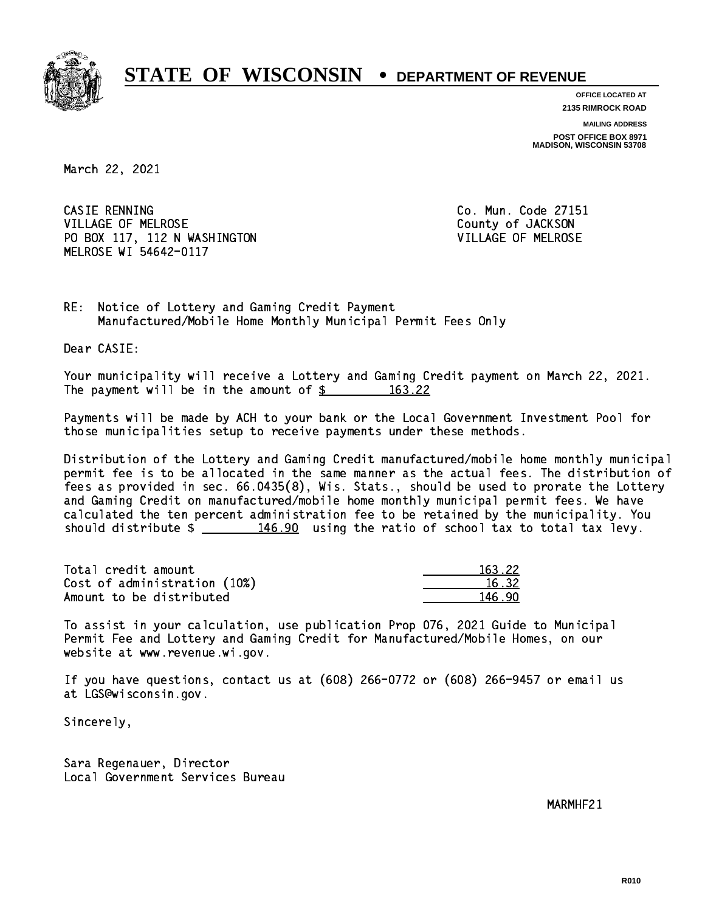

**OFFICE LOCATED AT 2135 RIMROCK ROAD**

**MAILING ADDRESS**

**POST OFFICE BOX 8971 MADISON, WISCONSIN 53708**

March 22, 2021

CASIE RENNING VILLAGE OF MELROSE COUNTY OF JACKSON PO BOX 117, 112 N WASHINGTON VILLAGE OF MELROSE MELROSE WI 54642-0117

Co. Mun. Code 27151

RE: Notice of Lottery and Gaming Credit Payment Manufactured/Mobile Home Monthly Municipal Permit Fees Only

Dear CASIE:

 Your municipality will receive a Lottery and Gaming Credit payment on March 22, 2021. The payment will be in the amount of  $\frac{2}{3}$  163.22

 Payments will be made by ACH to your bank or the Local Government Investment Pool for those municipalities setup to receive payments under these methods.

 Distribution of the Lottery and Gaming Credit manufactured/mobile home monthly municipal permit fee is to be allocated in the same manner as the actual fees. The distribution of fees as provided in sec. 66.0435(8), Wis. Stats., should be used to prorate the Lottery and Gaming Credit on manufactured/mobile home monthly municipal permit fees. We have calculated the ten percent administration fee to be retained by the municipality. You should distribute  $\frac{146.90}{146.90}$  using the ratio of school tax to total tax levy.

Total credit amount Cost of administration (10%) Amount to be distributed

| 63.22        |
|--------------|
| հ 32-<br>Т.  |
| 46. 90<br>Т. |

 To assist in your calculation, use publication Prop 076, 2021 Guide to Municipal Permit Fee and Lottery and Gaming Credit for Manufactured/Mobile Homes, on our website at www.revenue.wi.gov.

 If you have questions, contact us at (608) 266-0772 or (608) 266-9457 or email us at LGS@wisconsin.gov.

Sincerely,

 Sara Regenauer, Director Local Government Services Bureau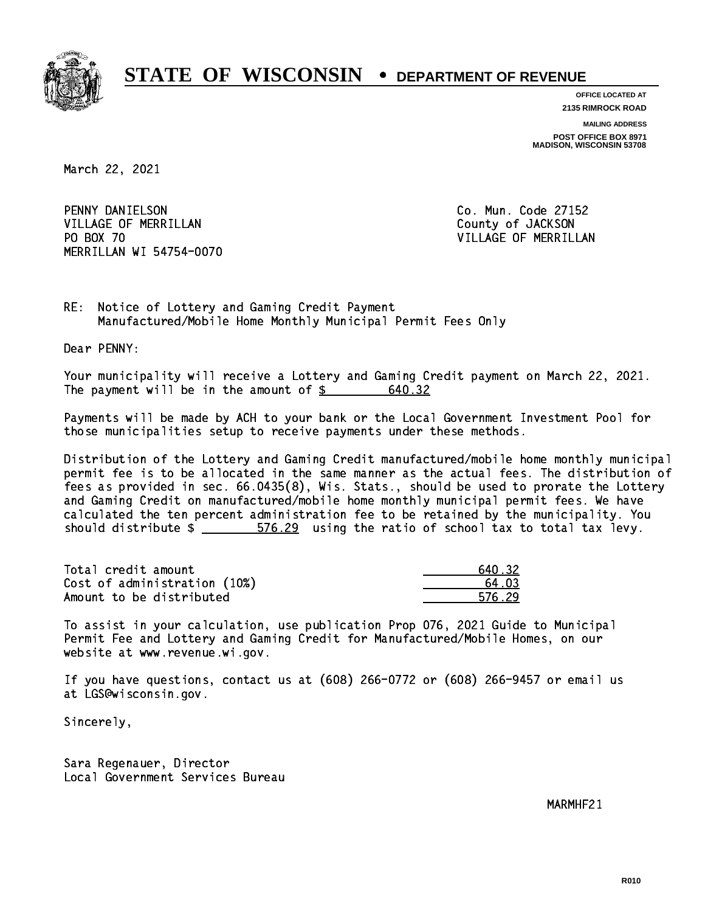

**OFFICE LOCATED AT 2135 RIMROCK ROAD**

**MAILING ADDRESS POST OFFICE BOX 8971 MADISON, WISCONSIN 53708**

March 22, 2021

 PENNY DANIELSON Co. Mun. Code 27152 VILLAGE OF MERRILLAN County of JACKSON PO BOX 70 MERRILLAN WI 54754-0070

VILLAGE OF MERRILLAN

RE: Notice of Lottery and Gaming Credit Payment Manufactured/Mobile Home Monthly Municipal Permit Fees Only

Dear PENNY:

 Your municipality will receive a Lottery and Gaming Credit payment on March 22, 2021. The payment will be in the amount of  $\frac{2}{3}$ 640.32

 Payments will be made by ACH to your bank or the Local Government Investment Pool for those municipalities setup to receive payments under these methods.

 Distribution of the Lottery and Gaming Credit manufactured/mobile home monthly municipal permit fee is to be allocated in the same manner as the actual fees. The distribution of fees as provided in sec. 66.0435(8), Wis. Stats., should be used to prorate the Lottery and Gaming Credit on manufactured/mobile home monthly municipal permit fees. We have calculated the ten percent administration fee to be retained by the municipality. You should distribute  $\frac{25}{100}$  576.29 using the ratio of school tax to total tax levy.

Total credit amount Cost of administration (10%) Amount to be distributed

| 0.32   |
|--------|
| 1 N R  |
| 576.29 |

 To assist in your calculation, use publication Prop 076, 2021 Guide to Municipal Permit Fee and Lottery and Gaming Credit for Manufactured/Mobile Homes, on our website at www.revenue.wi.gov.

 If you have questions, contact us at (608) 266-0772 or (608) 266-9457 or email us at LGS@wisconsin.gov.

Sincerely,

 Sara Regenauer, Director Local Government Services Bureau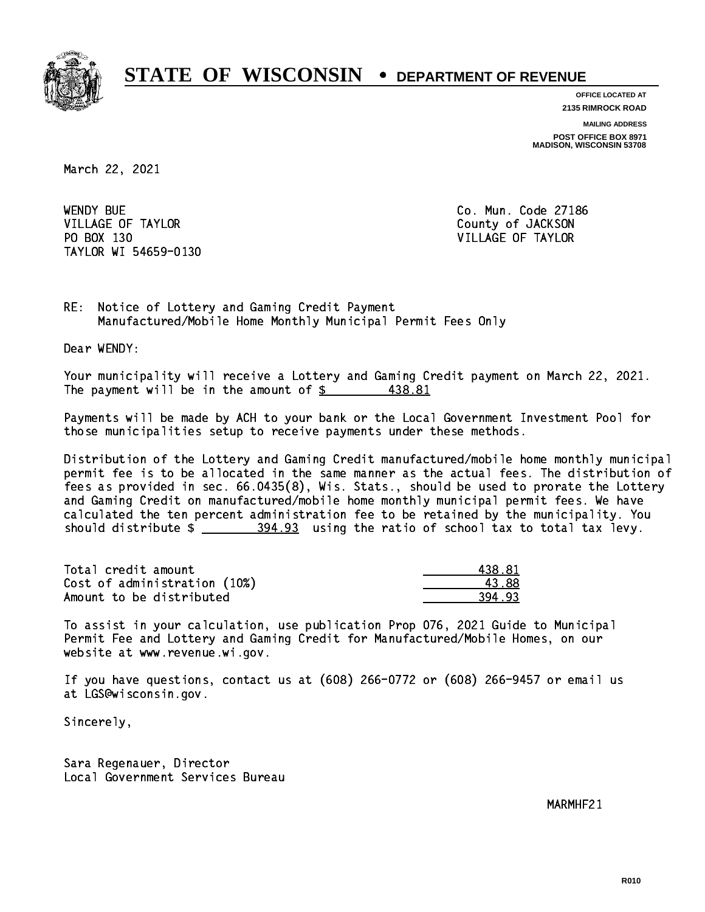

**OFFICE LOCATED AT**

**2135 RIMROCK ROAD**

**MAILING ADDRESS**

**POST OFFICE BOX 8971 MADISON, WISCONSIN 53708**

March 22, 2021

**WENDY BUE** VILLAGE OF TAYLOR COUNTY OF JACKSON PO BOX 130 VILLAGE OF TAYLOR TAYLOR WI 54659-0130

Co. Mun. Code 27186

RE: Notice of Lottery and Gaming Credit Payment Manufactured/Mobile Home Monthly Municipal Permit Fees Only

Dear WENDY:

 Your municipality will receive a Lottery and Gaming Credit payment on March 22, 2021. The payment will be in the amount of \$ 438.81 \_\_\_\_\_\_\_\_\_\_\_\_\_\_\_\_ 438.81

 Payments will be made by ACH to your bank or the Local Government Investment Pool for those municipalities setup to receive payments under these methods.

 Distribution of the Lottery and Gaming Credit manufactured/mobile home monthly municipal permit fee is to be allocated in the same manner as the actual fees. The distribution of fees as provided in sec. 66.0435(8), Wis. Stats., should be used to prorate the Lottery and Gaming Credit on manufactured/mobile home monthly municipal permit fees. We have calculated the ten percent administration fee to be retained by the municipality. You should distribute  $\frac{204.93}{204.93}$  using the ratio of school tax to total tax levy.

| Total credit amount          | 438.81 |
|------------------------------|--------|
| Cost of administration (10%) | 43.88  |
| Amount to be distributed     | 394.93 |

 To assist in your calculation, use publication Prop 076, 2021 Guide to Municipal Permit Fee and Lottery and Gaming Credit for Manufactured/Mobile Homes, on our website at www.revenue.wi.gov.

 If you have questions, contact us at (608) 266-0772 or (608) 266-9457 or email us at LGS@wisconsin.gov.

Sincerely,

 Sara Regenauer, Director Local Government Services Bureau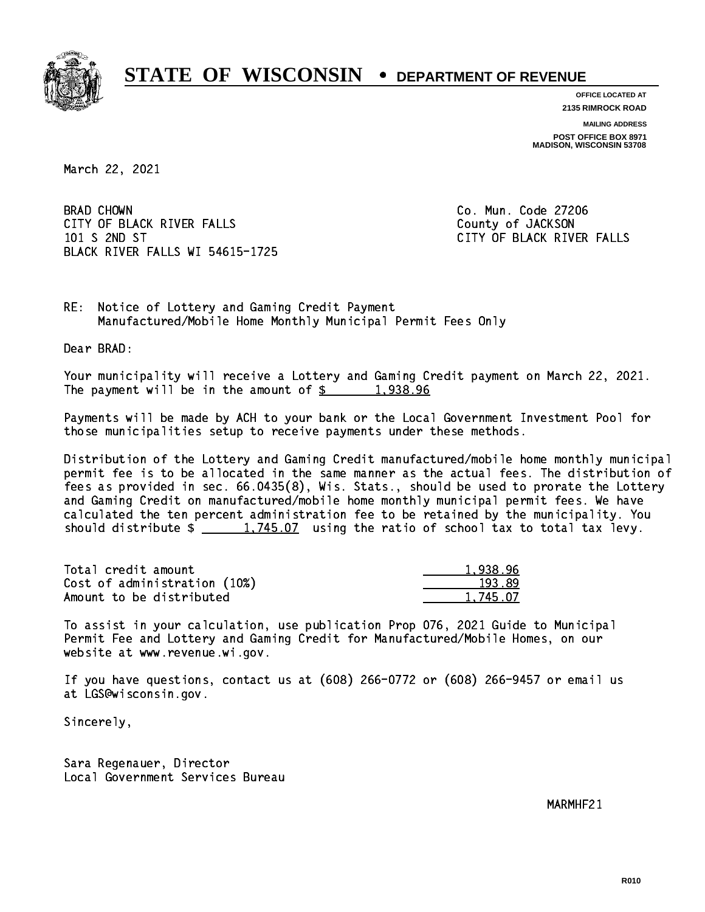

**OFFICE LOCATED AT 2135 RIMROCK ROAD**

**MAILING ADDRESS POST OFFICE BOX 8971 MADISON, WISCONSIN 53708**

March 22, 2021

**BRAD CHOWN** CITY OF BLACK RIVER FALLS COUNTY OF JACKSON 101 S 2ND ST CITY OF BLACK RIVER FALLS BLACK RIVER FALLS WI 54615-1725

Co. Mun. Code 27206

RE: Notice of Lottery and Gaming Credit Payment Manufactured/Mobile Home Monthly Municipal Permit Fees Only

Dear BRAD:

 Your municipality will receive a Lottery and Gaming Credit payment on March 22, 2021. The payment will be in the amount of  $\frac{2}{3}$  1,938.96

 Payments will be made by ACH to your bank or the Local Government Investment Pool for those municipalities setup to receive payments under these methods.

 Distribution of the Lottery and Gaming Credit manufactured/mobile home monthly municipal permit fee is to be allocated in the same manner as the actual fees. The distribution of fees as provided in sec. 66.0435(8), Wis. Stats., should be used to prorate the Lottery and Gaming Credit on manufactured/mobile home monthly municipal permit fees. We have calculated the ten percent administration fee to be retained by the municipality. You should distribute  $\frac{1,745.07}{1,745.07}$  using the ratio of school tax to total tax levy.

| Total credit amount          | 1.938.96 |
|------------------------------|----------|
| Cost of administration (10%) | 193.89   |
| Amount to be distributed     | 1.745.07 |

 To assist in your calculation, use publication Prop 076, 2021 Guide to Municipal Permit Fee and Lottery and Gaming Credit for Manufactured/Mobile Homes, on our website at www.revenue.wi.gov.

 If you have questions, contact us at (608) 266-0772 or (608) 266-9457 or email us at LGS@wisconsin.gov.

Sincerely,

 Sara Regenauer, Director Local Government Services Bureau

 $\mathcal{M}$  matrix  $\mathcal{M}$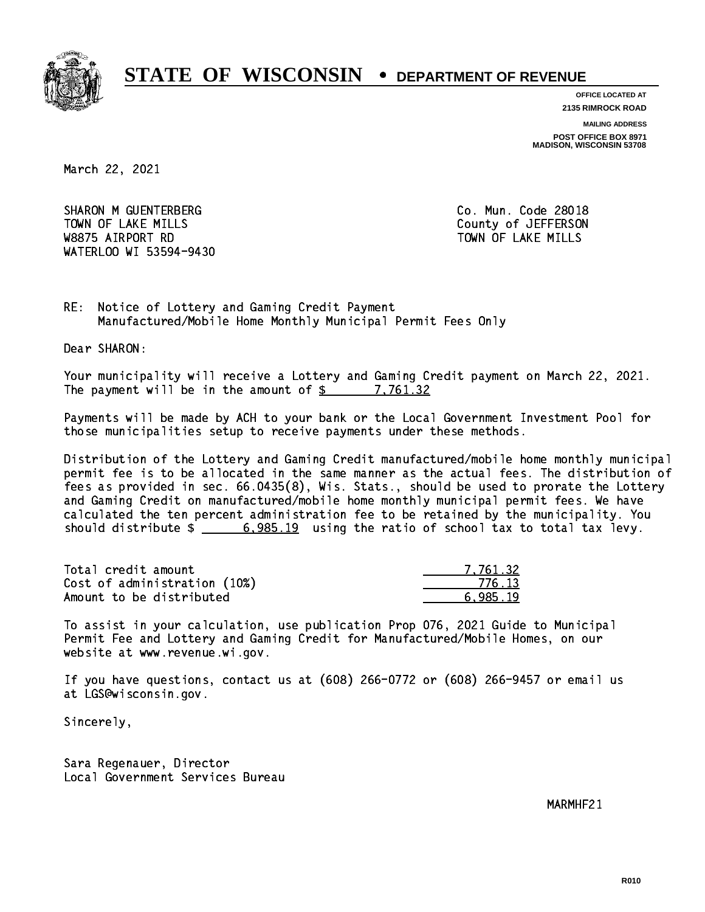

**OFFICE LOCATED AT**

**2135 RIMROCK ROAD**

**MAILING ADDRESS**

**POST OFFICE BOX 8971 MADISON, WISCONSIN 53708**

March 22, 2021

SHARON M GUENTERBERG CO. Mun. Code 28018 TOWN OF LAKE MILLS **TOWN OF LAKE MILLS**  W8875 AIRPORT RD TOWN OF LAKE MILLS WATERLOO WI 53594-9430

RE: Notice of Lottery and Gaming Credit Payment Manufactured/Mobile Home Monthly Municipal Permit Fees Only

Dear SHARON:

 Your municipality will receive a Lottery and Gaming Credit payment on March 22, 2021. The payment will be in the amount of  $\frac{2}{3}$  7,761.32

 Payments will be made by ACH to your bank or the Local Government Investment Pool for those municipalities setup to receive payments under these methods.

 Distribution of the Lottery and Gaming Credit manufactured/mobile home monthly municipal permit fee is to be allocated in the same manner as the actual fees. The distribution of fees as provided in sec. 66.0435(8), Wis. Stats., should be used to prorate the Lottery and Gaming Credit on manufactured/mobile home monthly municipal permit fees. We have calculated the ten percent administration fee to be retained by the municipality. You should distribute  $\frac{2}{1}$   $\frac{6,985.19}{2}$  using the ratio of school tax to total tax levy.

| Total credit amount          | 7.761.32 |
|------------------------------|----------|
| Cost of administration (10%) | 776.13   |
| Amount to be distributed     | 6.985.19 |

 To assist in your calculation, use publication Prop 076, 2021 Guide to Municipal Permit Fee and Lottery and Gaming Credit for Manufactured/Mobile Homes, on our website at www.revenue.wi.gov.

 If you have questions, contact us at (608) 266-0772 or (608) 266-9457 or email us at LGS@wisconsin.gov.

Sincerely,

 Sara Regenauer, Director Local Government Services Bureau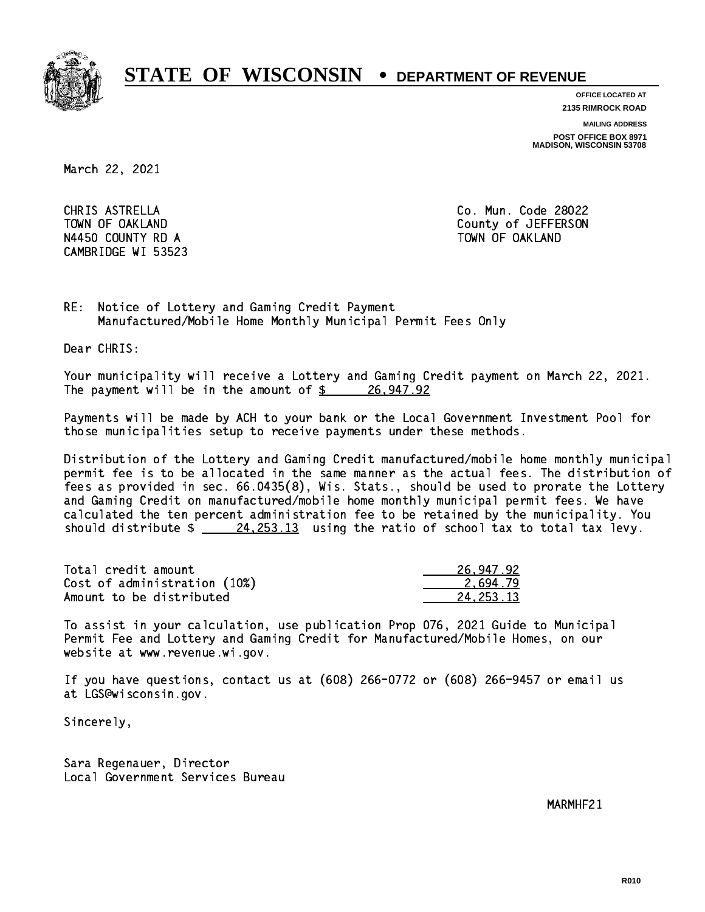

**OFFICE LOCATED AT**

**2135 RIMROCK ROAD**

**MAILING ADDRESS**

**POST OFFICE BOX 8971 MADISON, WISCONSIN 53708**

March 22, 2021

 CHRIS ASTRELLA Co. Mun. Code 28022 N4450 COUNTY RD A TOWN OF OAKLAND CAMBRIDGE WI 53523

TOWN OF OAKLAND COUNTY OF SALAR COUNTY OF SALAR COUNTY OF JEFFERSON

RE: Notice of Lottery and Gaming Credit Payment Manufactured/Mobile Home Monthly Municipal Permit Fees Only

Dear CHRIS:

 Your municipality will receive a Lottery and Gaming Credit payment on March 22, 2021. The payment will be in the amount of  $\frac{26}{91}$  26,947.92

 Payments will be made by ACH to your bank or the Local Government Investment Pool for those municipalities setup to receive payments under these methods.

 Distribution of the Lottery and Gaming Credit manufactured/mobile home monthly municipal permit fee is to be allocated in the same manner as the actual fees. The distribution of fees as provided in sec. 66.0435(8), Wis. Stats., should be used to prorate the Lottery and Gaming Credit on manufactured/mobile home monthly municipal permit fees. We have calculated the ten percent administration fee to be retained by the municipality. You should distribute  $\frac{24,253.13}{24,253.13}$  using the ratio of school tax to total tax levy.

| Total credit amount          | 26,947.92 |
|------------------------------|-----------|
| Cost of administration (10%) | 2.694.79  |
| Amount to be distributed     | 24.253.13 |

 To assist in your calculation, use publication Prop 076, 2021 Guide to Municipal Permit Fee and Lottery and Gaming Credit for Manufactured/Mobile Homes, on our website at www.revenue.wi.gov.

 If you have questions, contact us at (608) 266-0772 or (608) 266-9457 or email us at LGS@wisconsin.gov.

Sincerely,

 Sara Regenauer, Director Local Government Services Bureau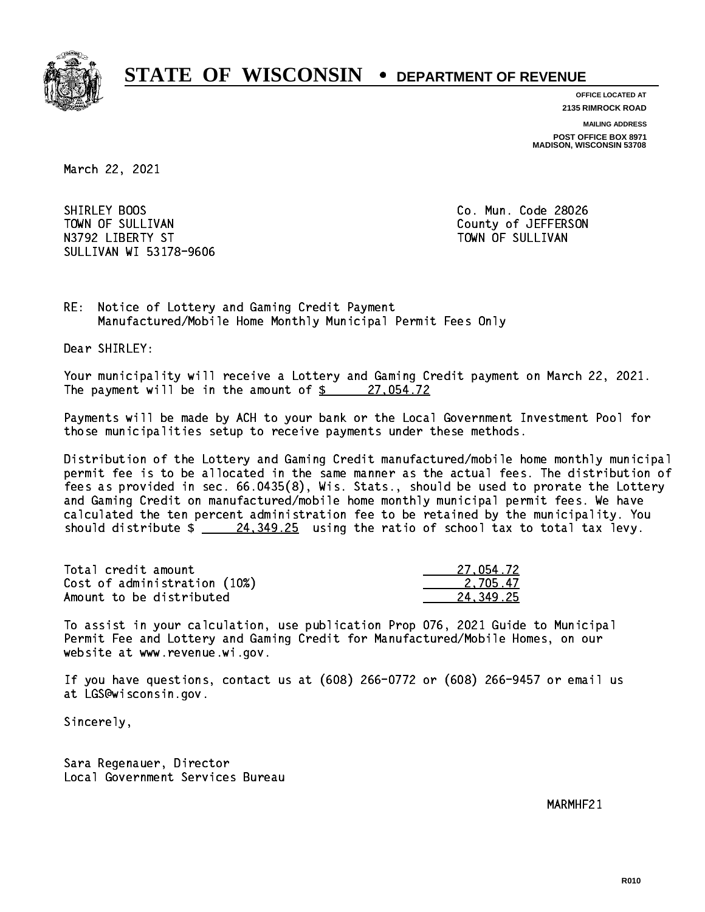

**OFFICE LOCATED AT**

**2135 RIMROCK ROAD**

**MAILING ADDRESS**

**POST OFFICE BOX 8971 MADISON, WISCONSIN 53708**

March 22, 2021

SHIRLEY BOOS TOWN OF SULLIVAN COUNTY OF SULLIVAN N3792 LIBERTY ST TOWN OF SULLIVAN SULLIVAN WI 53178-9606

Co. Mun. Code 28026

RE: Notice of Lottery and Gaming Credit Payment Manufactured/Mobile Home Monthly Municipal Permit Fees Only

Dear SHIRLEY:

 Your municipality will receive a Lottery and Gaming Credit payment on March 22, 2021. The payment will be in the amount of  $\frac{27}{054.72}$ 

 Payments will be made by ACH to your bank or the Local Government Investment Pool for those municipalities setup to receive payments under these methods.

 Distribution of the Lottery and Gaming Credit manufactured/mobile home monthly municipal permit fee is to be allocated in the same manner as the actual fees. The distribution of fees as provided in sec. 66.0435(8), Wis. Stats., should be used to prorate the Lottery and Gaming Credit on manufactured/mobile home monthly municipal permit fees. We have calculated the ten percent administration fee to be retained by the municipality. You should distribute  $\frac{24,349.25}{24}$  using the ratio of school tax to total tax levy.

| Total credit amount          | 27.054.72 |
|------------------------------|-----------|
| Cost of administration (10%) | 2.705.47  |
| Amount to be distributed     | 24.349.25 |

 To assist in your calculation, use publication Prop 076, 2021 Guide to Municipal Permit Fee and Lottery and Gaming Credit for Manufactured/Mobile Homes, on our website at www.revenue.wi.gov.

 If you have questions, contact us at (608) 266-0772 or (608) 266-9457 or email us at LGS@wisconsin.gov.

Sincerely,

 Sara Regenauer, Director Local Government Services Bureau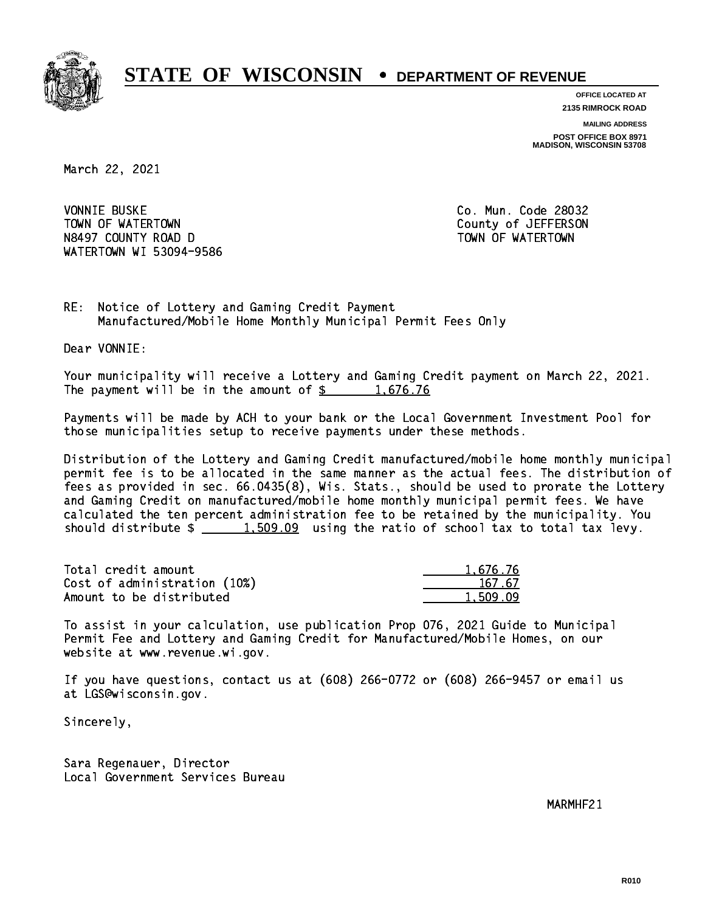

**OFFICE LOCATED AT**

**2135 RIMROCK ROAD**

**MAILING ADDRESS**

**POST OFFICE BOX 8971 MADISON, WISCONSIN 53708**

March 22, 2021

**VONNIE BUSKE** TOWN OF WATERTOWN COUNTY OF VALUE OF THE COUNTY OF A LIFT OF THE COUNTY OF A LIFT OF THE COUNTY OF THE COUNTY OF THE COUNTY OF THE COUNTY OF THE COUNTY OF THE COUNTY OF THE COUNTY OF THE COUNTY OF THE COUNTY OF THE COUNTY N8497 COUNTY ROAD D TOWN OF WATERTOWN NAME OF STATE OF STATE OF STATE OF STATE OF STATE OF STATE OF STATE OF S WATERTOWN WI 53094-9586

Co. Mun. Code 28032

RE: Notice of Lottery and Gaming Credit Payment Manufactured/Mobile Home Monthly Municipal Permit Fees Only

Dear VONNIE:

 Your municipality will receive a Lottery and Gaming Credit payment on March 22, 2021. The payment will be in the amount of  $\frac{2}{3}$  1,676.76

 Payments will be made by ACH to your bank or the Local Government Investment Pool for those municipalities setup to receive payments under these methods.

 Distribution of the Lottery and Gaming Credit manufactured/mobile home monthly municipal permit fee is to be allocated in the same manner as the actual fees. The distribution of fees as provided in sec. 66.0435(8), Wis. Stats., should be used to prorate the Lottery and Gaming Credit on manufactured/mobile home monthly municipal permit fees. We have calculated the ten percent administration fee to be retained by the municipality. You should distribute  $\frac{2}{1,509.09}$  using the ratio of school tax to total tax levy.

| Total credit amount          | 1,676.76 |
|------------------------------|----------|
| Cost of administration (10%) | 167.67   |
| Amount to be distributed     | 1.509.09 |

 To assist in your calculation, use publication Prop 076, 2021 Guide to Municipal Permit Fee and Lottery and Gaming Credit for Manufactured/Mobile Homes, on our website at www.revenue.wi.gov.

 If you have questions, contact us at (608) 266-0772 or (608) 266-9457 or email us at LGS@wisconsin.gov.

Sincerely,

 Sara Regenauer, Director Local Government Services Bureau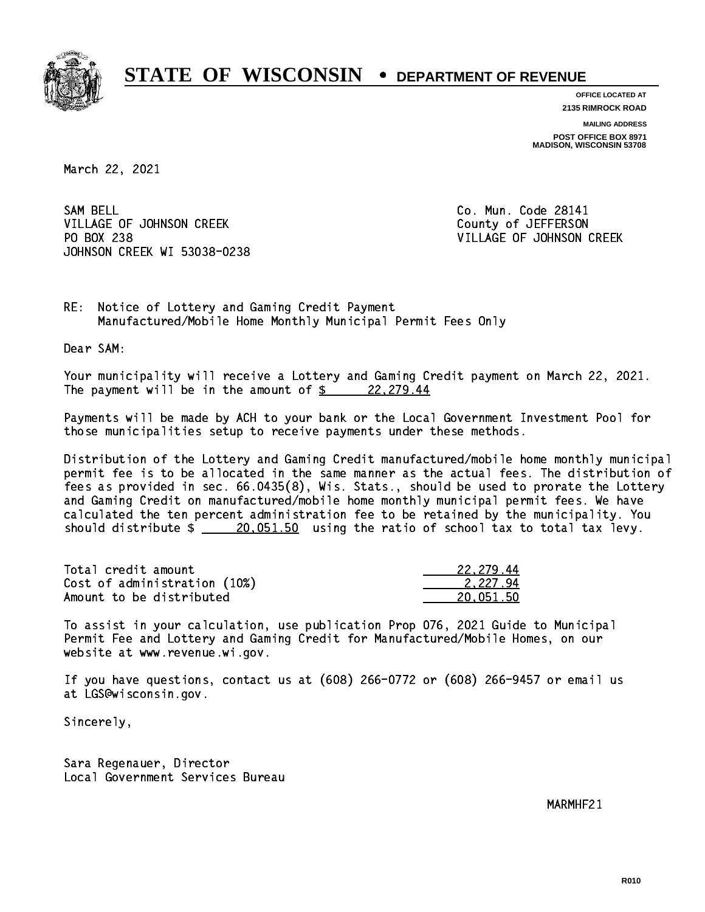

**OFFICE LOCATED AT**

**2135 RIMROCK ROAD**

**MAILING ADDRESS**

**POST OFFICE BOX 8971 MADISON, WISCONSIN 53708**

March 22, 2021

SAM BELL VILLAGE OF JOHNSON CREEK COUNTY OF JEFFERSON PO BOX 238 JOHNSON CREEK WI 53038-0238

Co. Mun. Code 28141 VILLAGE OF JOHNSON CREEK

RE: Notice of Lottery and Gaming Credit Payment Manufactured/Mobile Home Monthly Municipal Permit Fees Only

Dear SAM:

 Your municipality will receive a Lottery and Gaming Credit payment on March 22, 2021. The payment will be in the amount of  $\frac{22,279.44}{2}$ 

 Payments will be made by ACH to your bank or the Local Government Investment Pool for those municipalities setup to receive payments under these methods.

 Distribution of the Lottery and Gaming Credit manufactured/mobile home monthly municipal permit fee is to be allocated in the same manner as the actual fees. The distribution of fees as provided in sec. 66.0435(8), Wis. Stats., should be used to prorate the Lottery and Gaming Credit on manufactured/mobile home monthly municipal permit fees. We have calculated the ten percent administration fee to be retained by the municipality. You should distribute  $\frac{20.051.50}{20.051.50}$  using the ratio of school tax to total tax levy.

| Total credit amount          | 22,279.44 |
|------------------------------|-----------|
| Cost of administration (10%) | 2.227.94  |
| Amount to be distributed     | 20.051.50 |

 To assist in your calculation, use publication Prop 076, 2021 Guide to Municipal Permit Fee and Lottery and Gaming Credit for Manufactured/Mobile Homes, on our website at www.revenue.wi.gov.

 If you have questions, contact us at (608) 266-0772 or (608) 266-9457 or email us at LGS@wisconsin.gov.

Sincerely,

 Sara Regenauer, Director Local Government Services Bureau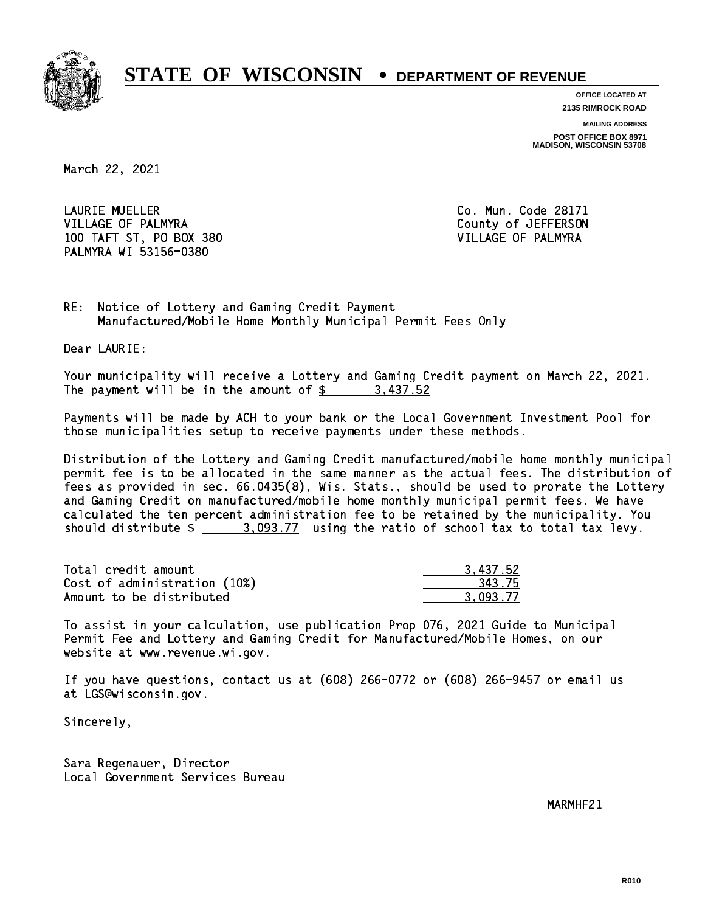

**OFFICE LOCATED AT 2135 RIMROCK ROAD**

**MAILING ADDRESS POST OFFICE BOX 8971 MADISON, WISCONSIN 53708**

March 22, 2021

 LAURIE MUELLER Co. Mun. Code 28171 VILLAGE OF PALMYRA COUNTY COUNTY OF SEPTERSON 100 TAFT ST, PO BOX 380 VILLAGE OF PALMYRA PALMYRA WI 53156-0380

RE: Notice of Lottery and Gaming Credit Payment Manufactured/Mobile Home Monthly Municipal Permit Fees Only

Dear LAURIE:

 Your municipality will receive a Lottery and Gaming Credit payment on March 22, 2021. The payment will be in the amount of \$ 3,437.52 \_\_\_\_\_\_\_\_\_\_\_\_\_\_\_\_

 Payments will be made by ACH to your bank or the Local Government Investment Pool for those municipalities setup to receive payments under these methods.

 Distribution of the Lottery and Gaming Credit manufactured/mobile home monthly municipal permit fee is to be allocated in the same manner as the actual fees. The distribution of fees as provided in sec. 66.0435(8), Wis. Stats., should be used to prorate the Lottery and Gaming Credit on manufactured/mobile home monthly municipal permit fees. We have calculated the ten percent administration fee to be retained by the municipality. You should distribute  $\frac{2}{2}$   $\frac{3.093.77}{2}$  using the ratio of school tax to total tax levy.

| Total credit amount          | 3.437.52 |
|------------------------------|----------|
| Cost of administration (10%) | 343.75   |
| Amount to be distributed     | 3.093.77 |

 To assist in your calculation, use publication Prop 076, 2021 Guide to Municipal Permit Fee and Lottery and Gaming Credit for Manufactured/Mobile Homes, on our website at www.revenue.wi.gov.

 If you have questions, contact us at (608) 266-0772 or (608) 266-9457 or email us at LGS@wisconsin.gov.

Sincerely,

 Sara Regenauer, Director Local Government Services Bureau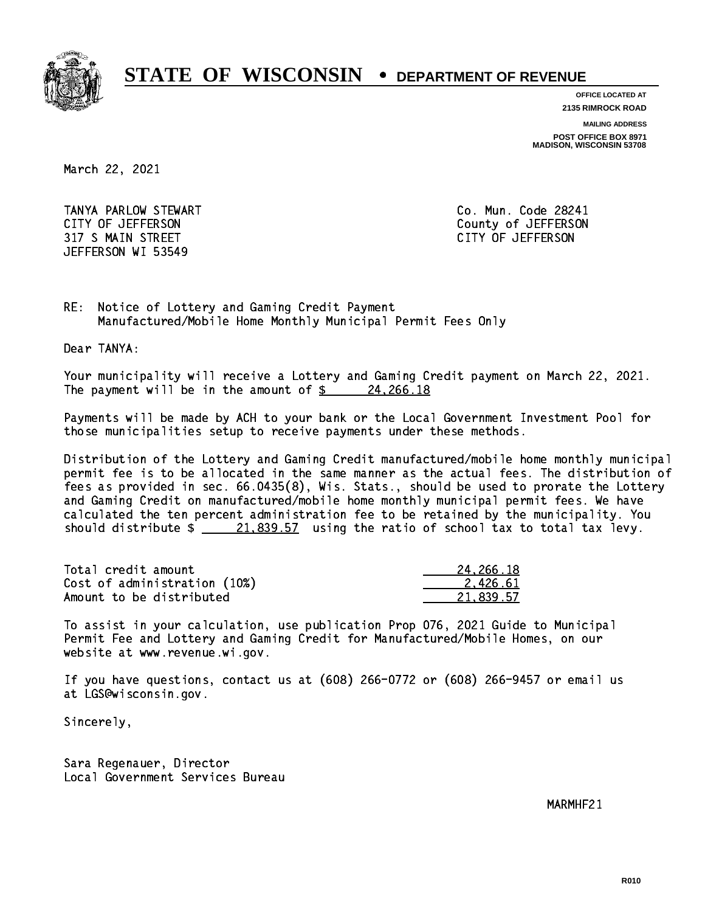

**OFFICE LOCATED AT**

**2135 RIMROCK ROAD**

**MAILING ADDRESS**

**POST OFFICE BOX 8971 MADISON, WISCONSIN 53708**

March 22, 2021

 TANYA PARLOW STEWART Co. Mun. Code 28241 CITY OF JEFFERSON County of JEFFERSON 317 S MAIN STREET CITY OF JEFFERSON JEFFERSON WI 53549

RE: Notice of Lottery and Gaming Credit Payment Manufactured/Mobile Home Monthly Municipal Permit Fees Only

Dear TANYA:

 Your municipality will receive a Lottery and Gaming Credit payment on March 22, 2021. The payment will be in the amount of  $\frac{24,266.18}{2}$ 

 Payments will be made by ACH to your bank or the Local Government Investment Pool for those municipalities setup to receive payments under these methods.

 Distribution of the Lottery and Gaming Credit manufactured/mobile home monthly municipal permit fee is to be allocated in the same manner as the actual fees. The distribution of fees as provided in sec. 66.0435(8), Wis. Stats., should be used to prorate the Lottery and Gaming Credit on manufactured/mobile home monthly municipal permit fees. We have calculated the ten percent administration fee to be retained by the municipality. You should distribute  $\frac{21,839.57}{21,839.57}$  using the ratio of school tax to total tax levy.

| Total credit amount          | 24.266.18 |
|------------------------------|-----------|
| Cost of administration (10%) | 2.426.61  |
| Amount to be distributed     | 21.839.57 |

 To assist in your calculation, use publication Prop 076, 2021 Guide to Municipal Permit Fee and Lottery and Gaming Credit for Manufactured/Mobile Homes, on our website at www.revenue.wi.gov.

 If you have questions, contact us at (608) 266-0772 or (608) 266-9457 or email us at LGS@wisconsin.gov.

Sincerely,

 Sara Regenauer, Director Local Government Services Bureau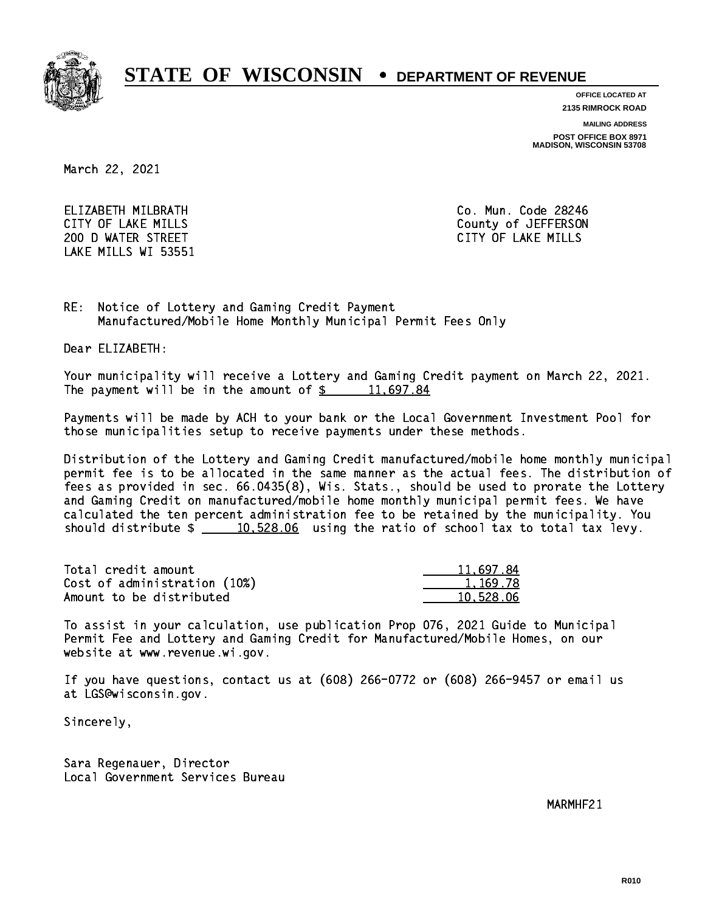

**OFFICE LOCATED AT**

**2135 RIMROCK ROAD**

**MAILING ADDRESS**

**POST OFFICE BOX 8971 MADISON, WISCONSIN 53708**

March 22, 2021

 ELIZABETH MILBRATH Co. Mun. Code 28246 200 D WATER STREET CITY OF LAKE MILLS LAKE MILLS WI 53551

CITY OF LAKE MILLS COUNTY OF LAKE MILLS

RE: Notice of Lottery and Gaming Credit Payment Manufactured/Mobile Home Monthly Municipal Permit Fees Only

Dear ELIZABETH:

 Your municipality will receive a Lottery and Gaming Credit payment on March 22, 2021. The payment will be in the amount of  $\frac{2}{3}$  11,697.84

 Payments will be made by ACH to your bank or the Local Government Investment Pool for those municipalities setup to receive payments under these methods.

 Distribution of the Lottery and Gaming Credit manufactured/mobile home monthly municipal permit fee is to be allocated in the same manner as the actual fees. The distribution of fees as provided in sec. 66.0435(8), Wis. Stats., should be used to prorate the Lottery and Gaming Credit on manufactured/mobile home monthly municipal permit fees. We have calculated the ten percent administration fee to be retained by the municipality. You should distribute  $\frac{10,528.06}{2}$  using the ratio of school tax to total tax levy.

| Total credit amount          | 11,697.84 |
|------------------------------|-----------|
| Cost of administration (10%) | 1.169.78  |
| Amount to be distributed     | 10.528.06 |

 To assist in your calculation, use publication Prop 076, 2021 Guide to Municipal Permit Fee and Lottery and Gaming Credit for Manufactured/Mobile Homes, on our website at www.revenue.wi.gov.

 If you have questions, contact us at (608) 266-0772 or (608) 266-9457 or email us at LGS@wisconsin.gov.

Sincerely,

 Sara Regenauer, Director Local Government Services Bureau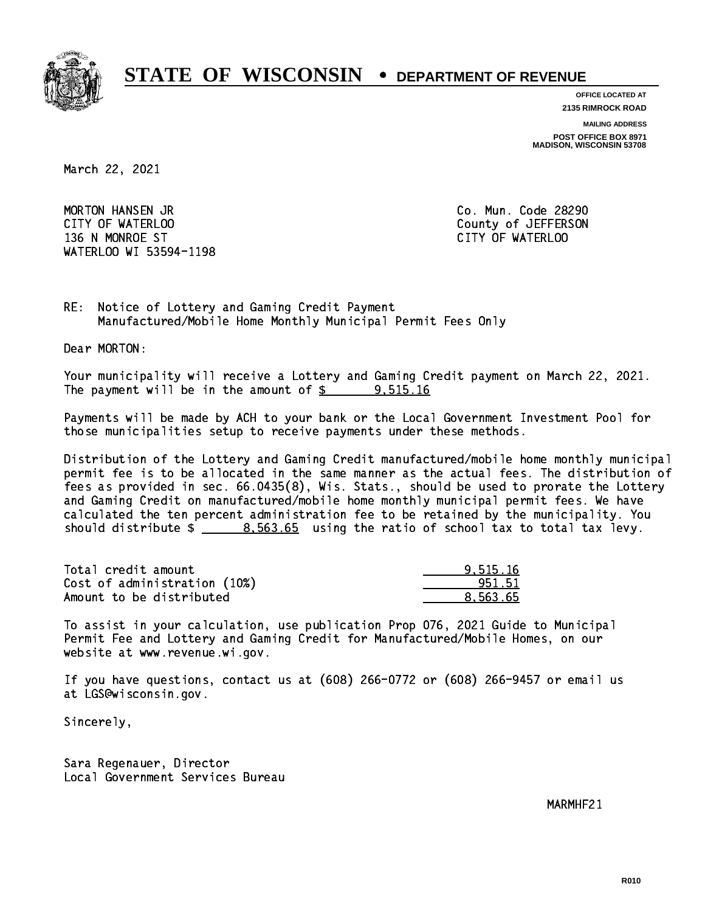

**OFFICE LOCATED AT**

**2135 RIMROCK ROAD**

**MAILING ADDRESS**

**POST OFFICE BOX 8971 MADISON, WISCONSIN 53708**

March 22, 2021

 MORTON HANSEN JR Co. Mun. Code 28290 CITY OF WATERLOO COUNTY OF WATERS ON COUNTY OF ACTIVE ASSESSED. 136 N MONROE ST CITY OF WATERLOO WATERLOO WI 53594-1198

RE: Notice of Lottery and Gaming Credit Payment Manufactured/Mobile Home Monthly Municipal Permit Fees Only

Dear MORTON:

 Your municipality will receive a Lottery and Gaming Credit payment on March 22, 2021. The payment will be in the amount of  $\frac{2}{3}$  9,515.16

 Payments will be made by ACH to your bank or the Local Government Investment Pool for those municipalities setup to receive payments under these methods.

 Distribution of the Lottery and Gaming Credit manufactured/mobile home monthly municipal permit fee is to be allocated in the same manner as the actual fees. The distribution of fees as provided in sec. 66.0435(8), Wis. Stats., should be used to prorate the Lottery and Gaming Credit on manufactured/mobile home monthly municipal permit fees. We have calculated the ten percent administration fee to be retained by the municipality. You should distribute  $\frac{2}{1}$   $\frac{8.563.65}{2}$  using the ratio of school tax to total tax levy.

| Total credit amount          | 9.515.16 |
|------------------------------|----------|
| Cost of administration (10%) | 951.51   |
| Amount to be distributed     | 8.563.65 |

 To assist in your calculation, use publication Prop 076, 2021 Guide to Municipal Permit Fee and Lottery and Gaming Credit for Manufactured/Mobile Homes, on our website at www.revenue.wi.gov.

 If you have questions, contact us at (608) 266-0772 or (608) 266-9457 or email us at LGS@wisconsin.gov.

Sincerely,

 Sara Regenauer, Director Local Government Services Bureau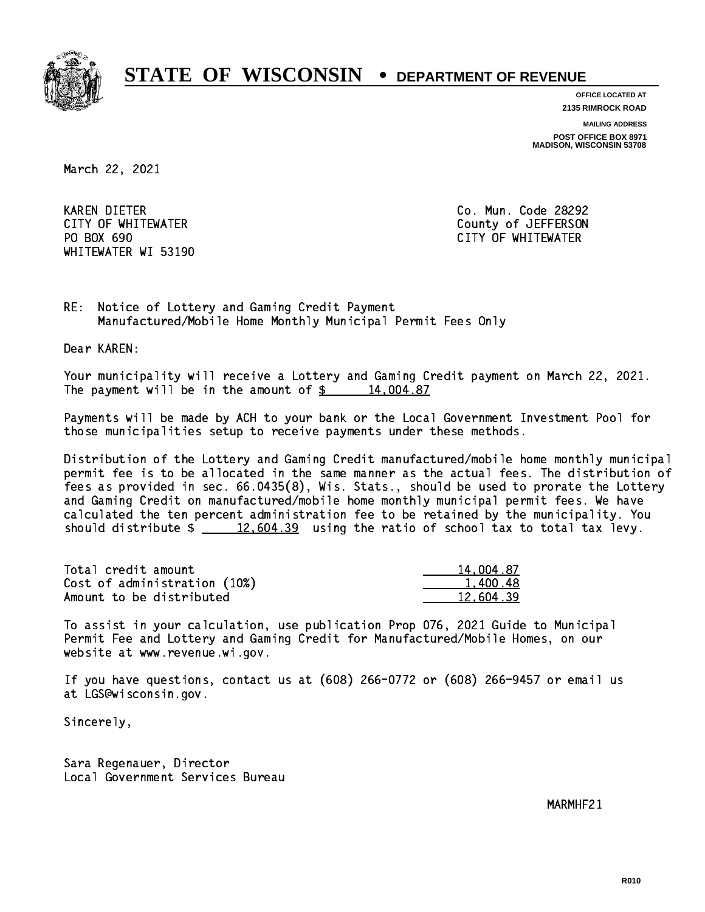

**OFFICE LOCATED AT**

**2135 RIMROCK ROAD**

**MAILING ADDRESS**

**POST OFFICE BOX 8971 MADISON, WISCONSIN 53708**

March 22, 2021

**KAREN DIETER** PO BOX 690 WHITEWATER WI 53190

Co. Mun. Code 28292 CITY OF WHITEWATER County of JEFFERSON CITY OF WHITEWATER

RE: Notice of Lottery and Gaming Credit Payment Manufactured/Mobile Home Monthly Municipal Permit Fees Only

Dear KAREN:

 Your municipality will receive a Lottery and Gaming Credit payment on March 22, 2021. The payment will be in the amount of  $\frac{2}{3}$  14,004.87

 Payments will be made by ACH to your bank or the Local Government Investment Pool for those municipalities setup to receive payments under these methods.

 Distribution of the Lottery and Gaming Credit manufactured/mobile home monthly municipal permit fee is to be allocated in the same manner as the actual fees. The distribution of fees as provided in sec. 66.0435(8), Wis. Stats., should be used to prorate the Lottery and Gaming Credit on manufactured/mobile home monthly municipal permit fees. We have calculated the ten percent administration fee to be retained by the municipality. You should distribute  $\frac{2}{2}$   $\frac{12,604.39}{2}$  using the ratio of school tax to total tax levy.

| Total credit amount          | 14,004.87 |
|------------------------------|-----------|
| Cost of administration (10%) | 1.400.48  |
| Amount to be distributed     | 12.604.39 |

 To assist in your calculation, use publication Prop 076, 2021 Guide to Municipal Permit Fee and Lottery and Gaming Credit for Manufactured/Mobile Homes, on our website at www.revenue.wi.gov.

 If you have questions, contact us at (608) 266-0772 or (608) 266-9457 or email us at LGS@wisconsin.gov.

Sincerely,

 Sara Regenauer, Director Local Government Services Bureau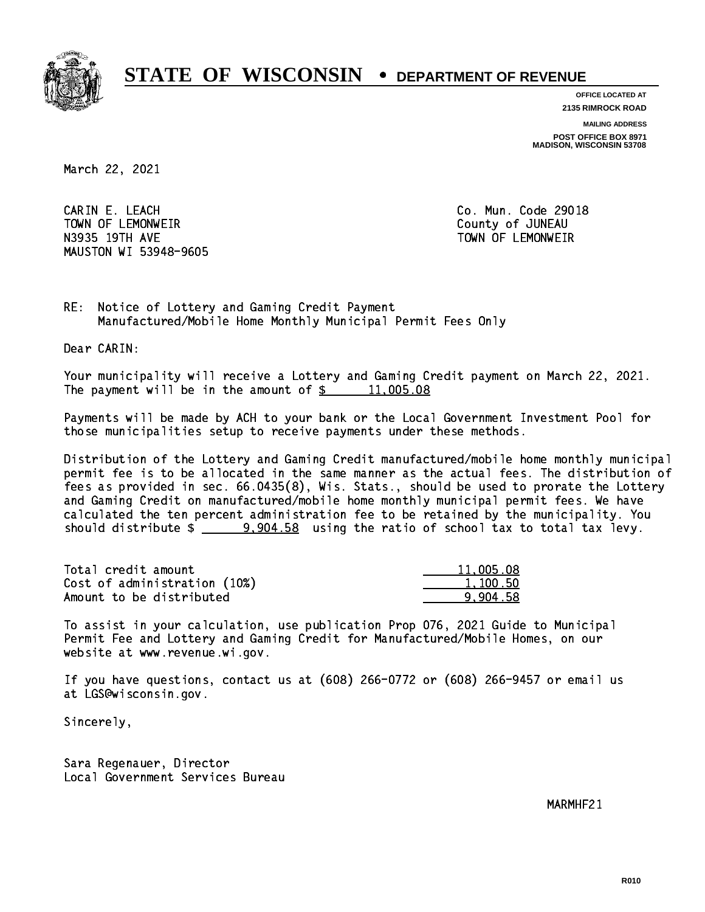

**OFFICE LOCATED AT 2135 RIMROCK ROAD**

**MAILING ADDRESS**

**POST OFFICE BOX 8971 MADISON, WISCONSIN 53708**

March 22, 2021

 CARIN E. LEACH Co. Mun. Code 29018 TOWN OF LEMONWEIR County of JUNEAU N3935 19TH AVE TOWN OF LEMONWEIR MAUSTON WI 53948-9605

RE: Notice of Lottery and Gaming Credit Payment Manufactured/Mobile Home Monthly Municipal Permit Fees Only

Dear CARIN:

 Your municipality will receive a Lottery and Gaming Credit payment on March 22, 2021. The payment will be in the amount of  $\frac{2}{3}$  11,005.08

 Payments will be made by ACH to your bank or the Local Government Investment Pool for those municipalities setup to receive payments under these methods.

 Distribution of the Lottery and Gaming Credit manufactured/mobile home monthly municipal permit fee is to be allocated in the same manner as the actual fees. The distribution of fees as provided in sec. 66.0435(8), Wis. Stats., should be used to prorate the Lottery and Gaming Credit on manufactured/mobile home monthly municipal permit fees. We have calculated the ten percent administration fee to be retained by the municipality. You should distribute  $\frac{2}{2}$   $\frac{9,904.58}{2}$  using the ratio of school tax to total tax levy.

| Total credit amount          | 11,005.08 |
|------------------------------|-----------|
| Cost of administration (10%) | 1,100.50  |
| Amount to be distributed     | 9.904.58  |

 To assist in your calculation, use publication Prop 076, 2021 Guide to Municipal Permit Fee and Lottery and Gaming Credit for Manufactured/Mobile Homes, on our website at www.revenue.wi.gov.

 If you have questions, contact us at (608) 266-0772 or (608) 266-9457 or email us at LGS@wisconsin.gov.

Sincerely,

 Sara Regenauer, Director Local Government Services Bureau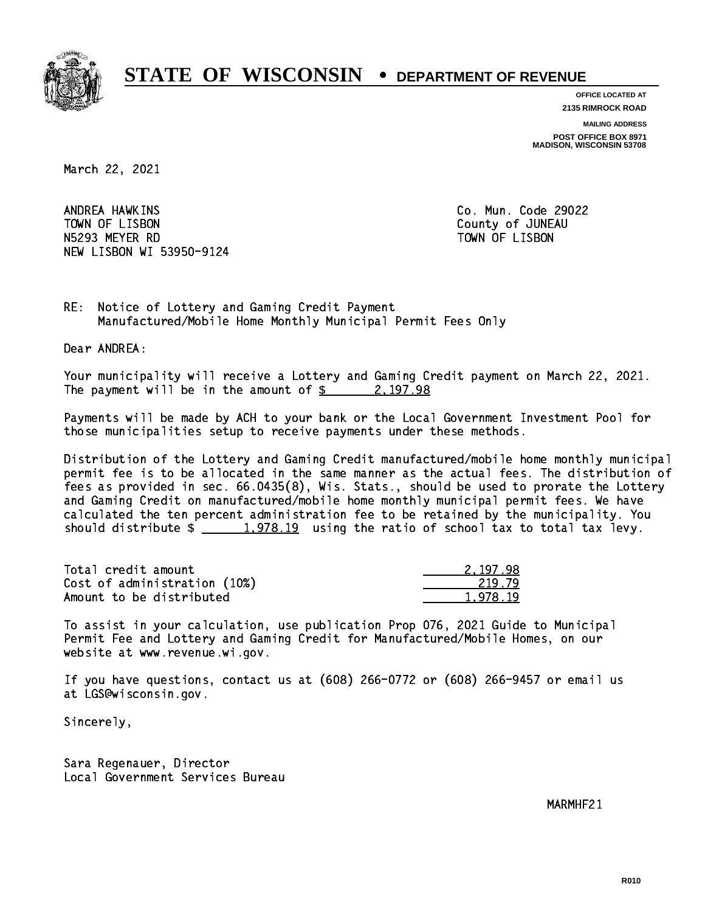

**OFFICE LOCATED AT**

**2135 RIMROCK ROAD**

**MAILING ADDRESS**

**POST OFFICE BOX 8971 MADISON, WISCONSIN 53708**

March 22, 2021

ANDREA HAWKINS TOWN OF LISBON COUNTY OF A LISBON N5293 MEYER RD TOWN OF LISBON NEW LISBON WI 53950-9124

Co. Mun. Code 29022

RE: Notice of Lottery and Gaming Credit Payment Manufactured/Mobile Home Monthly Municipal Permit Fees Only

Dear ANDREA:

 Your municipality will receive a Lottery and Gaming Credit payment on March 22, 2021. The payment will be in the amount of  $\frac{2}{3}$  2,197.98

 Payments will be made by ACH to your bank or the Local Government Investment Pool for those municipalities setup to receive payments under these methods.

 Distribution of the Lottery and Gaming Credit manufactured/mobile home monthly municipal permit fee is to be allocated in the same manner as the actual fees. The distribution of fees as provided in sec. 66.0435(8), Wis. Stats., should be used to prorate the Lottery and Gaming Credit on manufactured/mobile home monthly municipal permit fees. We have calculated the ten percent administration fee to be retained by the municipality. You should distribute  $\frac{1,978.19}{1,978.19}$  using the ratio of school tax to total tax levy.

| Total credit amount          | 2.197.98 |
|------------------------------|----------|
| Cost of administration (10%) | 219.79   |
| Amount to be distributed     | 1.978.19 |

 To assist in your calculation, use publication Prop 076, 2021 Guide to Municipal Permit Fee and Lottery and Gaming Credit for Manufactured/Mobile Homes, on our website at www.revenue.wi.gov.

 If you have questions, contact us at (608) 266-0772 or (608) 266-9457 or email us at LGS@wisconsin.gov.

Sincerely,

 Sara Regenauer, Director Local Government Services Bureau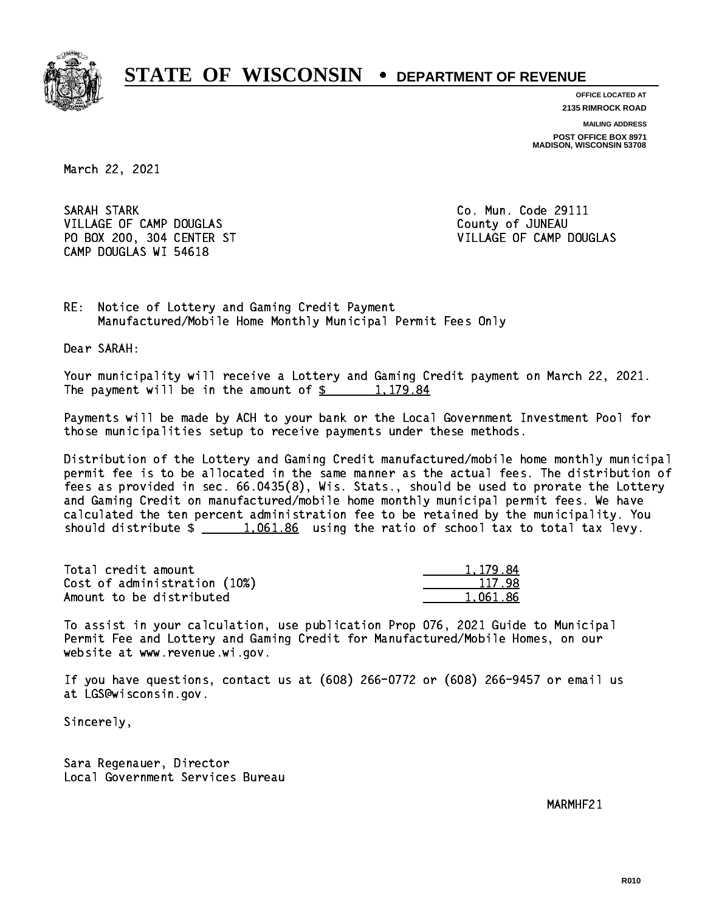

**OFFICE LOCATED AT 2135 RIMROCK ROAD**

**MAILING ADDRESS**

**POST OFFICE BOX 8971 MADISON, WISCONSIN 53708**

March 22, 2021

 SARAH STARK Co. Mun. Code 29111 VILLAGE OF CAMP DOUGLAS **COUNTY OF SAMPLE OF SAMPLE OF SAMPLE OF SAMPLE OF SAMPLE OF SAMPLE OF SAMPLE OF SAMPLE OF SAMPLE OF SAMPLE OF SAMPLE OF SAMPLE OF SAMPLE OF SAMPLE OF SAMPLE OF SAMPLE OF SAMPLE OF SAMPLE OF SAMPLE**  PO BOX 200, 304 CENTER ST VILLAGE OF CAMP DOUGLAS CAMP DOUGLAS WI 54618

RE: Notice of Lottery and Gaming Credit Payment Manufactured/Mobile Home Monthly Municipal Permit Fees Only

Dear SARAH:

 Your municipality will receive a Lottery and Gaming Credit payment on March 22, 2021. The payment will be in the amount of  $\frac{2}{3}$  1,179.84

 Payments will be made by ACH to your bank or the Local Government Investment Pool for those municipalities setup to receive payments under these methods.

 Distribution of the Lottery and Gaming Credit manufactured/mobile home monthly municipal permit fee is to be allocated in the same manner as the actual fees. The distribution of fees as provided in sec. 66.0435(8), Wis. Stats., should be used to prorate the Lottery and Gaming Credit on manufactured/mobile home monthly municipal permit fees. We have calculated the ten percent administration fee to be retained by the municipality. You should distribute  $\frac{1,061.86}{1,061.86}$  using the ratio of school tax to total tax levy.

| Total credit amount          | 1.179.84 |
|------------------------------|----------|
| Cost of administration (10%) | 117.98   |
| Amount to be distributed     | 1.061.86 |

 To assist in your calculation, use publication Prop 076, 2021 Guide to Municipal Permit Fee and Lottery and Gaming Credit for Manufactured/Mobile Homes, on our website at www.revenue.wi.gov.

 If you have questions, contact us at (608) 266-0772 or (608) 266-9457 or email us at LGS@wisconsin.gov.

Sincerely,

 Sara Regenauer, Director Local Government Services Bureau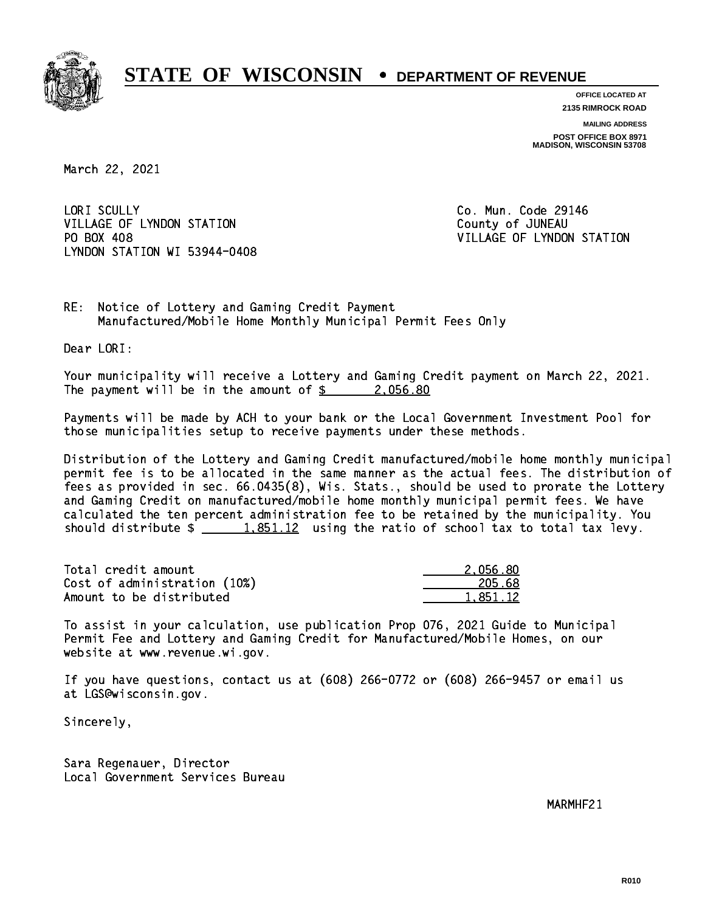

**OFFICE LOCATED AT 2135 RIMROCK ROAD**

**MAILING ADDRESS POST OFFICE BOX 8971 MADISON, WISCONSIN 53708**

March 22, 2021

LORI SCULLY VILLAGE OF LYNDON STATION COUNTY OF JUNEAU PO BOX 408 LYNDON STATION WI 53944-0408

Co. Mun. Code 29146 VILLAGE OF LYNDON STATION

RE: Notice of Lottery and Gaming Credit Payment Manufactured/Mobile Home Monthly Municipal Permit Fees Only

Dear LORI:

 Your municipality will receive a Lottery and Gaming Credit payment on March 22, 2021. The payment will be in the amount of  $\frac{2.056.80}{2.056.80}$ 

 Payments will be made by ACH to your bank or the Local Government Investment Pool for those municipalities setup to receive payments under these methods.

 Distribution of the Lottery and Gaming Credit manufactured/mobile home monthly municipal permit fee is to be allocated in the same manner as the actual fees. The distribution of fees as provided in sec. 66.0435(8), Wis. Stats., should be used to prorate the Lottery and Gaming Credit on manufactured/mobile home monthly municipal permit fees. We have calculated the ten percent administration fee to be retained by the municipality. You should distribute  $\frac{1.851.12}{1.851.12}$  using the ratio of school tax to total tax levy.

| Total credit amount          | 2.056.80 |
|------------------------------|----------|
| Cost of administration (10%) | 205.68   |
| Amount to be distributed     | 1.851.12 |

 To assist in your calculation, use publication Prop 076, 2021 Guide to Municipal Permit Fee and Lottery and Gaming Credit for Manufactured/Mobile Homes, on our website at www.revenue.wi.gov.

 If you have questions, contact us at (608) 266-0772 or (608) 266-9457 or email us at LGS@wisconsin.gov.

Sincerely,

 Sara Regenauer, Director Local Government Services Bureau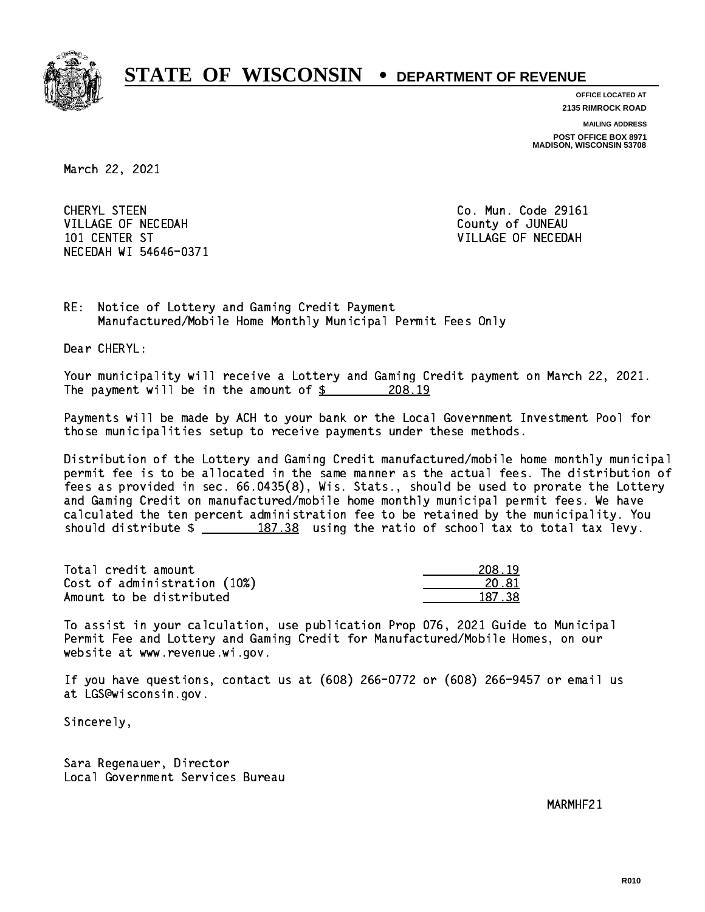

**OFFICE LOCATED AT**

**2135 RIMROCK ROAD**

**MAILING ADDRESS**

**POST OFFICE BOX 8971 MADISON, WISCONSIN 53708**

March 22, 2021

 CHERYL STEEN Co. Mun. Code 29161 VILLAGE OF NECEDAH COUNTY OF JUNEAU 101 CENTER ST VILLAGE OF NECEDAH NECEDAH WI 54646-0371

RE: Notice of Lottery and Gaming Credit Payment Manufactured/Mobile Home Monthly Municipal Permit Fees Only

Dear CHERYL:

 Your municipality will receive a Lottery and Gaming Credit payment on March 22, 2021. The payment will be in the amount of  $\frac{208.19}{200}$ 

 Payments will be made by ACH to your bank or the Local Government Investment Pool for those municipalities setup to receive payments under these methods.

 Distribution of the Lottery and Gaming Credit manufactured/mobile home monthly municipal permit fee is to be allocated in the same manner as the actual fees. The distribution of fees as provided in sec. 66.0435(8), Wis. Stats., should be used to prorate the Lottery and Gaming Credit on manufactured/mobile home monthly municipal permit fees. We have calculated the ten percent administration fee to be retained by the municipality. You should distribute  $\frac{2}{2}$   $\frac{187.38}{2}$  using the ratio of school tax to total tax levy.

Total credit amount Cost of administration (10%) Amount to be distributed

| 8. 19<br>٠, |
|-------------|
| 0. 81       |
| 37 38       |

 To assist in your calculation, use publication Prop 076, 2021 Guide to Municipal Permit Fee and Lottery and Gaming Credit for Manufactured/Mobile Homes, on our website at www.revenue.wi.gov.

 If you have questions, contact us at (608) 266-0772 or (608) 266-9457 or email us at LGS@wisconsin.gov.

Sincerely,

 Sara Regenauer, Director Local Government Services Bureau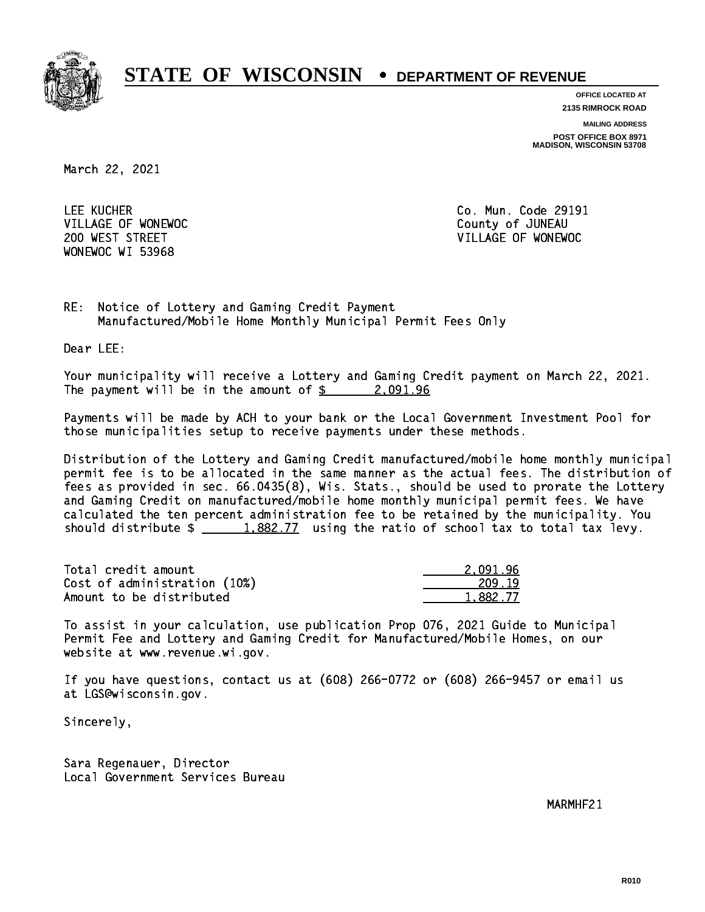

**OFFICE LOCATED AT**

**2135 RIMROCK ROAD**

**MAILING ADDRESS**

**POST OFFICE BOX 8971 MADISON, WISCONSIN 53708**

March 22, 2021

 LEE KUCHER Co. Mun. Code 29191 VILLAGE OF WONEWOC **COUNTY OF SECOND VILLAGE OF WONEWOC** WONEWOC WI 53968

200 WEST STREET VILLAGE OF WONEWOC

RE: Notice of Lottery and Gaming Credit Payment Manufactured/Mobile Home Monthly Municipal Permit Fees Only

Dear LEE:

 Your municipality will receive a Lottery and Gaming Credit payment on March 22, 2021. The payment will be in the amount of \$ 2,091.96 \_\_\_\_\_\_\_\_\_\_\_\_\_\_\_\_

 Payments will be made by ACH to your bank or the Local Government Investment Pool for those municipalities setup to receive payments under these methods.

 Distribution of the Lottery and Gaming Credit manufactured/mobile home monthly municipal permit fee is to be allocated in the same manner as the actual fees. The distribution of fees as provided in sec. 66.0435(8), Wis. Stats., should be used to prorate the Lottery and Gaming Credit on manufactured/mobile home monthly municipal permit fees. We have calculated the ten percent administration fee to be retained by the municipality. You should distribute  $\frac{1.882.77}{1.882.77}$  using the ratio of school tax to total tax levy.

| Total credit amount          | 2.091.96 |
|------------------------------|----------|
| Cost of administration (10%) | 209.19   |
| Amount to be distributed     | 1.882.77 |

 To assist in your calculation, use publication Prop 076, 2021 Guide to Municipal Permit Fee and Lottery and Gaming Credit for Manufactured/Mobile Homes, on our website at www.revenue.wi.gov.

 If you have questions, contact us at (608) 266-0772 or (608) 266-9457 or email us at LGS@wisconsin.gov.

Sincerely,

 Sara Regenauer, Director Local Government Services Bureau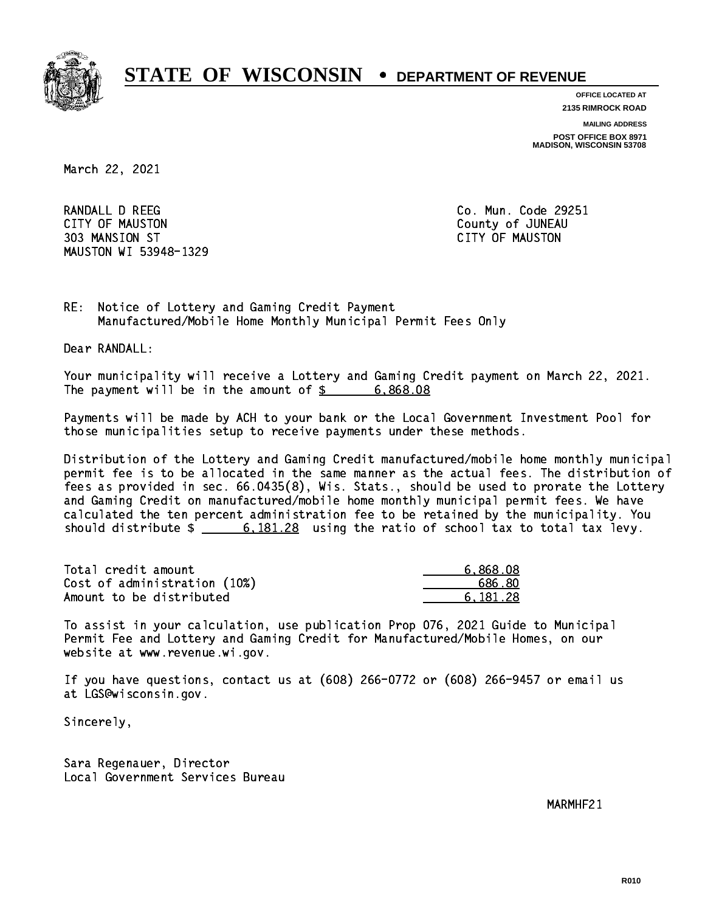

**OFFICE LOCATED AT**

**2135 RIMROCK ROAD**

**MAILING ADDRESS**

**POST OFFICE BOX 8971 MADISON, WISCONSIN 53708**

March 22, 2021

RANDALL D REEG Co. Mun. Code 29251 CITY OF MAUSTON County of JUNEAU 303 MANSION ST CITY OF MAUSTON MAUSTON WI 53948-1329

RE: Notice of Lottery and Gaming Credit Payment Manufactured/Mobile Home Monthly Municipal Permit Fees Only

Dear RANDALL:

 Your municipality will receive a Lottery and Gaming Credit payment on March 22, 2021. The payment will be in the amount of  $\frac{2}{3}$  6,868.08

 Payments will be made by ACH to your bank or the Local Government Investment Pool for those municipalities setup to receive payments under these methods.

 Distribution of the Lottery and Gaming Credit manufactured/mobile home monthly municipal permit fee is to be allocated in the same manner as the actual fees. The distribution of fees as provided in sec. 66.0435(8), Wis. Stats., should be used to prorate the Lottery and Gaming Credit on manufactured/mobile home monthly municipal permit fees. We have calculated the ten percent administration fee to be retained by the municipality. You should distribute  $\frac{20}{100}$   $\frac{6,181.28}{20}$  using the ratio of school tax to total tax levy.

| Total credit amount          | 6,868.08 |
|------------------------------|----------|
| Cost of administration (10%) | 686.80   |
| Amount to be distributed     | 6.181.28 |

 To assist in your calculation, use publication Prop 076, 2021 Guide to Municipal Permit Fee and Lottery and Gaming Credit for Manufactured/Mobile Homes, on our website at www.revenue.wi.gov.

 If you have questions, contact us at (608) 266-0772 or (608) 266-9457 or email us at LGS@wisconsin.gov.

Sincerely,

 Sara Regenauer, Director Local Government Services Bureau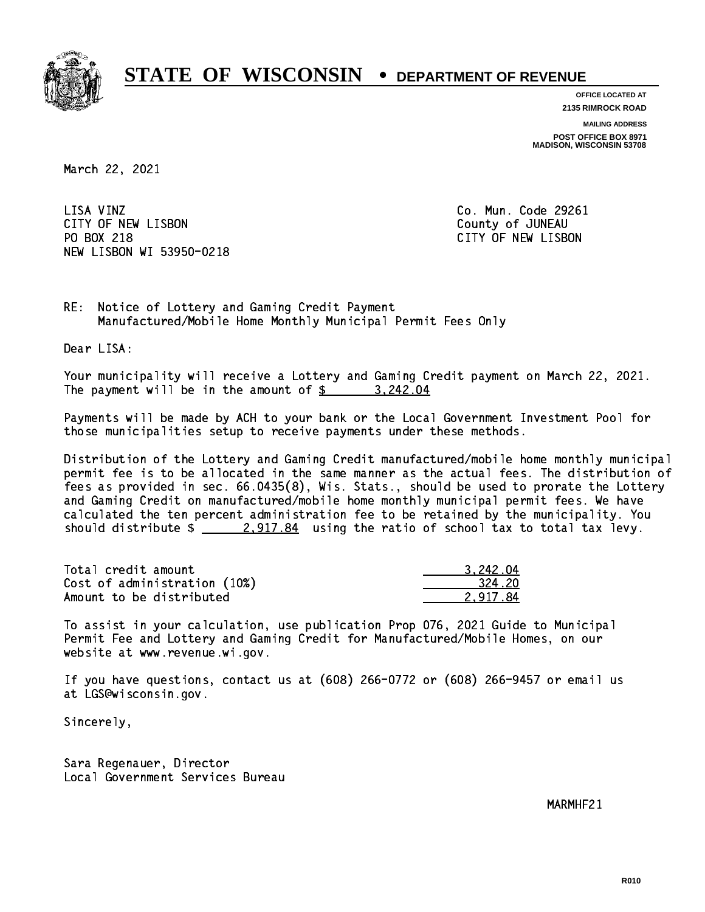

**OFFICE LOCATED AT**

**2135 RIMROCK ROAD**

**MAILING ADDRESS**

**POST OFFICE BOX 8971 MADISON, WISCONSIN 53708**

March 22, 2021

LISA VINZ CITY OF NEW LISBON County of JUNEAU PO BOX 218 NEW LISBON WI 53950-0218

Co. Mun. Code 29261 CITY OF NEW LISBON

RE: Notice of Lottery and Gaming Credit Payment Manufactured/Mobile Home Monthly Municipal Permit Fees Only

Dear LISA:

 Your municipality will receive a Lottery and Gaming Credit payment on March 22, 2021. The payment will be in the amount of \$ 3,242.04 \_\_\_\_\_\_\_\_\_\_\_\_\_\_\_\_

 Payments will be made by ACH to your bank or the Local Government Investment Pool for those municipalities setup to receive payments under these methods.

 Distribution of the Lottery and Gaming Credit manufactured/mobile home monthly municipal permit fee is to be allocated in the same manner as the actual fees. The distribution of fees as provided in sec. 66.0435(8), Wis. Stats., should be used to prorate the Lottery and Gaming Credit on manufactured/mobile home monthly municipal permit fees. We have calculated the ten percent administration fee to be retained by the municipality. You should distribute  $\frac{2.917.84}{2.917.84}$  using the ratio of school tax to total tax levy.

| Total credit amount          | 3.242.04 |
|------------------------------|----------|
| Cost of administration (10%) | 324.20   |
| Amount to be distributed     | 2.917.84 |

 To assist in your calculation, use publication Prop 076, 2021 Guide to Municipal Permit Fee and Lottery and Gaming Credit for Manufactured/Mobile Homes, on our website at www.revenue.wi.gov.

 If you have questions, contact us at (608) 266-0772 or (608) 266-9457 or email us at LGS@wisconsin.gov.

Sincerely,

 Sara Regenauer, Director Local Government Services Bureau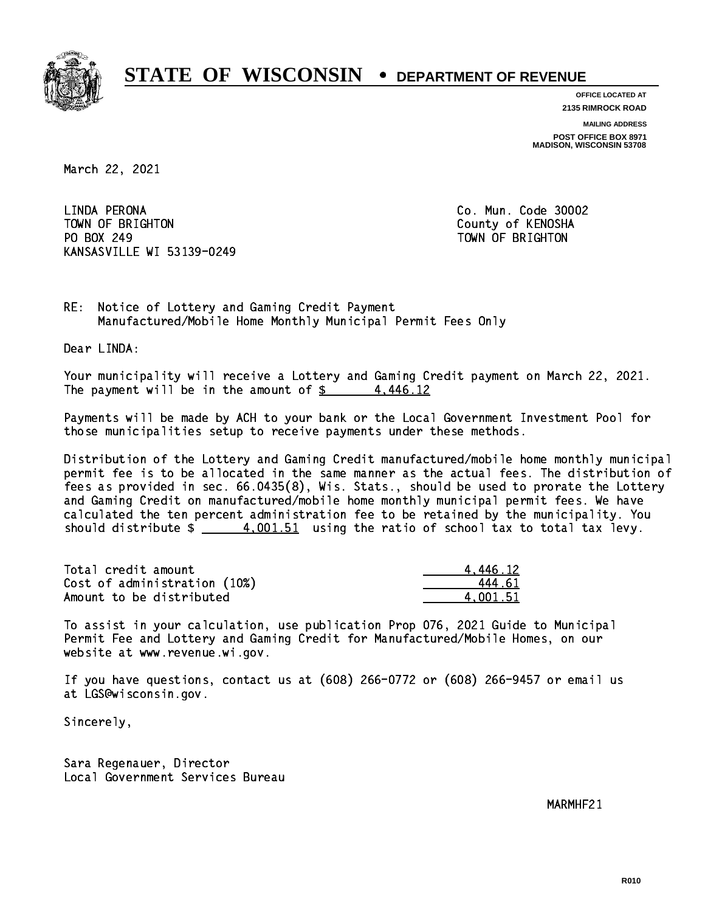

**OFFICE LOCATED AT 2135 RIMROCK ROAD**

**MAILING ADDRESS**

**POST OFFICE BOX 8971 MADISON, WISCONSIN 53708**

March 22, 2021

 LINDA PERONA Co. Mun. Code 30002 TOWN OF BRIGHTON County of KENOSHA PO BOX 249 PO BOX 249 TOWN OF BRIGHTON KANSASVILLE WI 53139-0249

RE: Notice of Lottery and Gaming Credit Payment Manufactured/Mobile Home Monthly Municipal Permit Fees Only

Dear LINDA:

 Your municipality will receive a Lottery and Gaming Credit payment on March 22, 2021. The payment will be in the amount of  $\frac{2}{3}$  4,446.12

 Payments will be made by ACH to your bank or the Local Government Investment Pool for those municipalities setup to receive payments under these methods.

 Distribution of the Lottery and Gaming Credit manufactured/mobile home monthly municipal permit fee is to be allocated in the same manner as the actual fees. The distribution of fees as provided in sec. 66.0435(8), Wis. Stats., should be used to prorate the Lottery and Gaming Credit on manufactured/mobile home monthly municipal permit fees. We have calculated the ten percent administration fee to be retained by the municipality. You should distribute  $\frac{4.001.51}{2}$  using the ratio of school tax to total tax levy.

| Total credit amount          | 4.446.12 |
|------------------------------|----------|
| Cost of administration (10%) | 444.61   |
| Amount to be distributed     | 4.001.51 |

 To assist in your calculation, use publication Prop 076, 2021 Guide to Municipal Permit Fee and Lottery and Gaming Credit for Manufactured/Mobile Homes, on our website at www.revenue.wi.gov.

 If you have questions, contact us at (608) 266-0772 or (608) 266-9457 or email us at LGS@wisconsin.gov.

Sincerely,

 Sara Regenauer, Director Local Government Services Bureau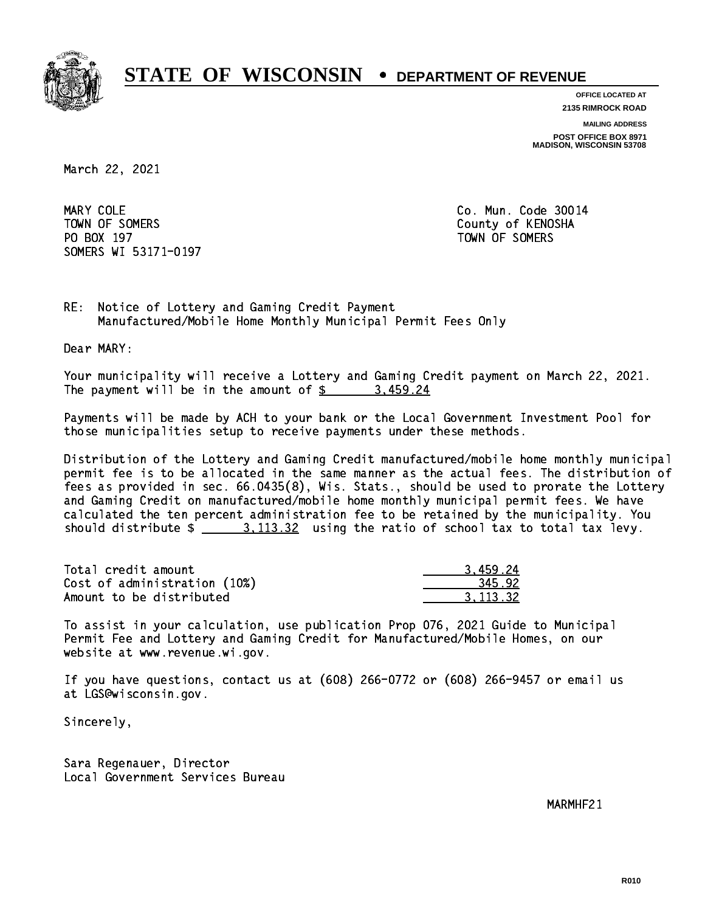

**OFFICE LOCATED AT**

**2135 RIMROCK ROAD**

**MAILING ADDRESS POST OFFICE BOX 8971 MADISON, WISCONSIN 53708**

March 22, 2021

MARY COLE TOWN OF SOMERS County of KENOSHA PO BOX 197 TOWN OF SOMERS SOMERS WI 53171-0197

Co. Mun. Code 30014

RE: Notice of Lottery and Gaming Credit Payment Manufactured/Mobile Home Monthly Municipal Permit Fees Only

Dear MARY:

 Your municipality will receive a Lottery and Gaming Credit payment on March 22, 2021. The payment will be in the amount of  $\frac{2}{3}$  3,459.24

 Payments will be made by ACH to your bank or the Local Government Investment Pool for those municipalities setup to receive payments under these methods.

 Distribution of the Lottery and Gaming Credit manufactured/mobile home monthly municipal permit fee is to be allocated in the same manner as the actual fees. The distribution of fees as provided in sec. 66.0435(8), Wis. Stats., should be used to prorate the Lottery and Gaming Credit on manufactured/mobile home monthly municipal permit fees. We have calculated the ten percent administration fee to be retained by the municipality. You should distribute  $\frac{2}{1}$   $\frac{3}{113.32}$  using the ratio of school tax to total tax levy.

| Total credit amount          | 3.459.24 |
|------------------------------|----------|
| Cost of administration (10%) | 345.92   |
| Amount to be distributed     | 3.113.32 |

 To assist in your calculation, use publication Prop 076, 2021 Guide to Municipal Permit Fee and Lottery and Gaming Credit for Manufactured/Mobile Homes, on our website at www.revenue.wi.gov.

 If you have questions, contact us at (608) 266-0772 or (608) 266-9457 or email us at LGS@wisconsin.gov.

Sincerely,

 Sara Regenauer, Director Local Government Services Bureau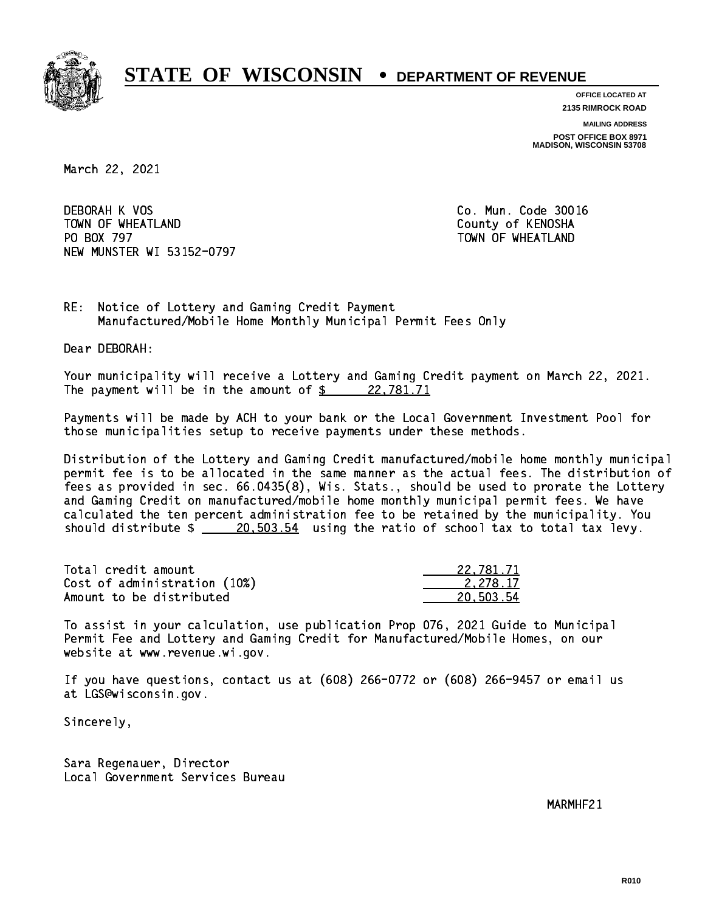

**OFFICE LOCATED AT**

**2135 RIMROCK ROAD**

**MAILING ADDRESS**

**POST OFFICE BOX 8971 MADISON, WISCONSIN 53708**

March 22, 2021

 DEBORAH K VOS Co. Mun. Code 30016 TOWN OF WHEATLAND County of KENOSHA PO BOX 797 NEW MUNSTER WI 53152-0797

TOWN OF WHEATLAND

RE: Notice of Lottery and Gaming Credit Payment Manufactured/Mobile Home Monthly Municipal Permit Fees Only

Dear DEBORAH:

 Your municipality will receive a Lottery and Gaming Credit payment on March 22, 2021. The payment will be in the amount of  $\frac{22,781.71}{2}$ 

 Payments will be made by ACH to your bank or the Local Government Investment Pool for those municipalities setup to receive payments under these methods.

 Distribution of the Lottery and Gaming Credit manufactured/mobile home monthly municipal permit fee is to be allocated in the same manner as the actual fees. The distribution of fees as provided in sec. 66.0435(8), Wis. Stats., should be used to prorate the Lottery and Gaming Credit on manufactured/mobile home monthly municipal permit fees. We have calculated the ten percent administration fee to be retained by the municipality. You should distribute  $\frac{20,503.54}{20,503.54}$  using the ratio of school tax to total tax levy.

| Total credit amount          | 22,781.71 |
|------------------------------|-----------|
| Cost of administration (10%) | 2.278.17  |
| Amount to be distributed     | 20.503.54 |

 To assist in your calculation, use publication Prop 076, 2021 Guide to Municipal Permit Fee and Lottery and Gaming Credit for Manufactured/Mobile Homes, on our website at www.revenue.wi.gov.

 If you have questions, contact us at (608) 266-0772 or (608) 266-9457 or email us at LGS@wisconsin.gov.

Sincerely,

 Sara Regenauer, Director Local Government Services Bureau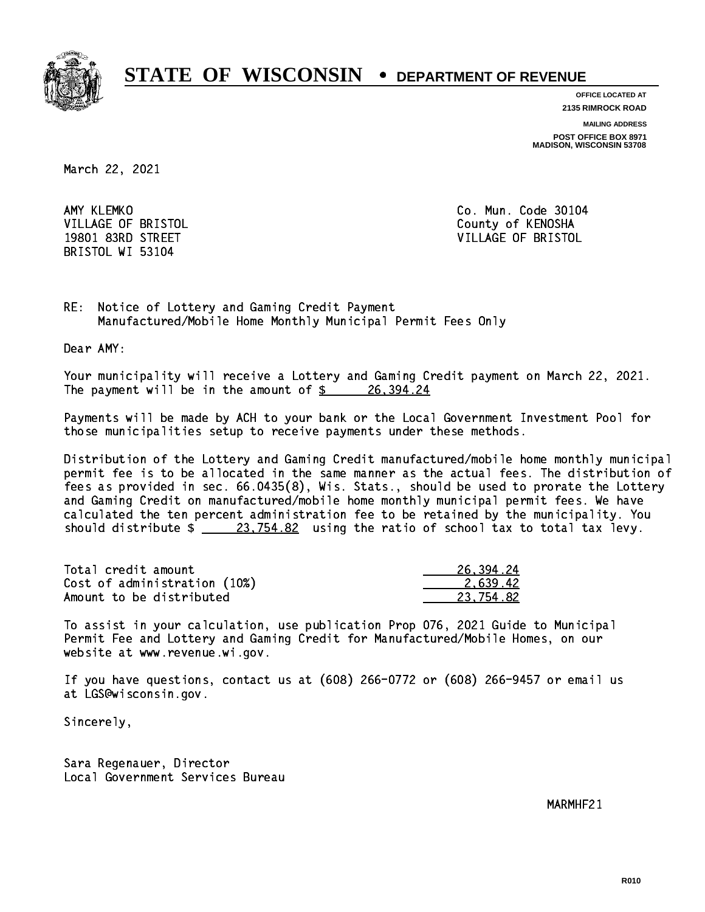

**OFFICE LOCATED AT**

**2135 RIMROCK ROAD**

**MAILING ADDRESS**

**POST OFFICE BOX 8971 MADISON, WISCONSIN 53708**

March 22, 2021

AMY KLEMKO BRISTOL WI 53104

Co. Mun. Code 30104 VILLAGE OF BRISTOL **COUNTY OF SALES AND ACCOUNT OF SALES** 19801 83RD STREET VILLAGE OF BRISTOL

RE: Notice of Lottery and Gaming Credit Payment Manufactured/Mobile Home Monthly Municipal Permit Fees Only

Dear AMY:

 Your municipality will receive a Lottery and Gaming Credit payment on March 22, 2021. The payment will be in the amount of  $\frac{26,394.24}{20}$ 

 Payments will be made by ACH to your bank or the Local Government Investment Pool for those municipalities setup to receive payments under these methods.

 Distribution of the Lottery and Gaming Credit manufactured/mobile home monthly municipal permit fee is to be allocated in the same manner as the actual fees. The distribution of fees as provided in sec. 66.0435(8), Wis. Stats., should be used to prorate the Lottery and Gaming Credit on manufactured/mobile home monthly municipal permit fees. We have calculated the ten percent administration fee to be retained by the municipality. You should distribute  $\frac{23,754.82}{23,754.82}$  using the ratio of school tax to total tax levy.

| Total credit amount          | 26,394.24 |
|------------------------------|-----------|
| Cost of administration (10%) | 2.639.42  |
| Amount to be distributed     | 23.754.82 |

 To assist in your calculation, use publication Prop 076, 2021 Guide to Municipal Permit Fee and Lottery and Gaming Credit for Manufactured/Mobile Homes, on our website at www.revenue.wi.gov.

 If you have questions, contact us at (608) 266-0772 or (608) 266-9457 or email us at LGS@wisconsin.gov.

Sincerely,

 Sara Regenauer, Director Local Government Services Bureau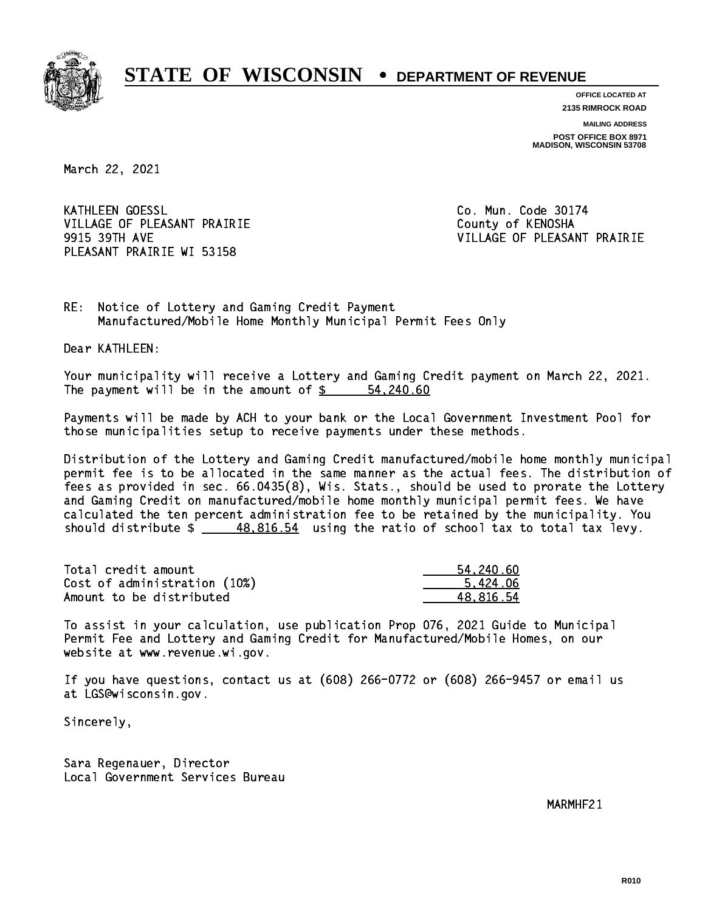

**OFFICE LOCATED AT 2135 RIMROCK ROAD**

**MAILING ADDRESS**

**POST OFFICE BOX 8971 MADISON, WISCONSIN 53708**

March 22, 2021

**KATHLEEN GOESSL** VILLAGE OF PLEASANT PRAIRIE **COUNTY OF COUNTY OF COUNTY** PLEASANT PRAIRIE WI 53158

Co. Mun. Code 30174 9915 39TH AVE VILLAGE OF PLEASANT PRAIRIE

RE: Notice of Lottery and Gaming Credit Payment Manufactured/Mobile Home Monthly Municipal Permit Fees Only

Dear KATHLEEN:

 Your municipality will receive a Lottery and Gaming Credit payment on March 22, 2021. The payment will be in the amount of  $\frac{2}{3}$   $\frac{54,240.60}{2}$ 

 Payments will be made by ACH to your bank or the Local Government Investment Pool for those municipalities setup to receive payments under these methods.

 Distribution of the Lottery and Gaming Credit manufactured/mobile home monthly municipal permit fee is to be allocated in the same manner as the actual fees. The distribution of fees as provided in sec. 66.0435(8), Wis. Stats., should be used to prorate the Lottery and Gaming Credit on manufactured/mobile home monthly municipal permit fees. We have calculated the ten percent administration fee to be retained by the municipality. You should distribute  $\frac{48.816.54}{2}$  using the ratio of school tax to total tax levy.

| Total credit amount          | 54.240.60 |
|------------------------------|-----------|
| Cost of administration (10%) | 5.424.06  |
| Amount to be distributed     | 48.816.54 |

 To assist in your calculation, use publication Prop 076, 2021 Guide to Municipal Permit Fee and Lottery and Gaming Credit for Manufactured/Mobile Homes, on our website at www.revenue.wi.gov.

 If you have questions, contact us at (608) 266-0772 or (608) 266-9457 or email us at LGS@wisconsin.gov.

Sincerely,

 Sara Regenauer, Director Local Government Services Bureau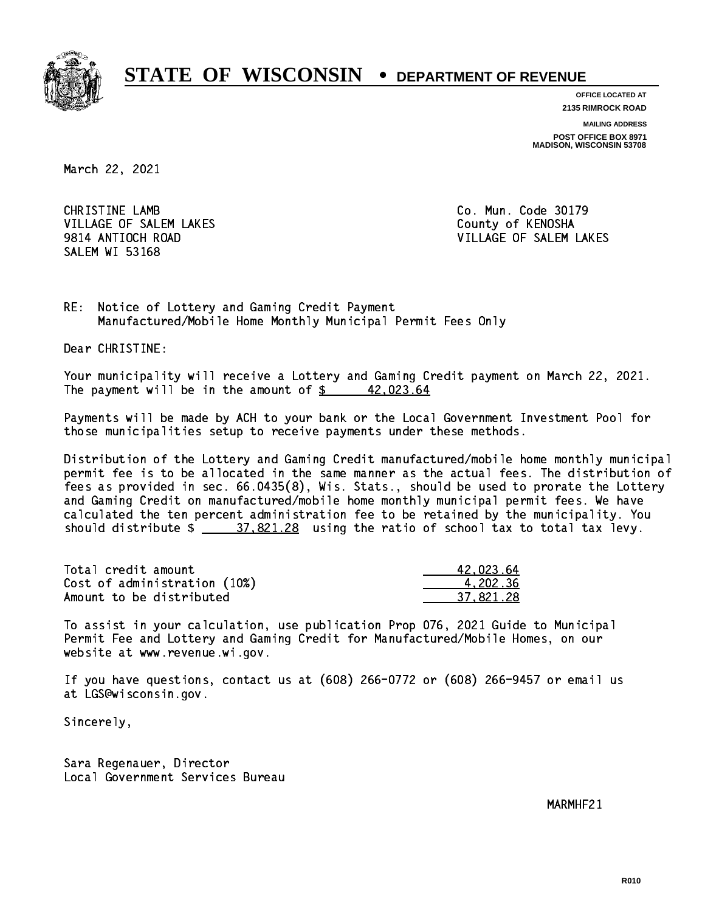

**OFFICE LOCATED AT 2135 RIMROCK ROAD**

**MAILING ADDRESS**

**POST OFFICE BOX 8971 MADISON, WISCONSIN 53708**

March 22, 2021

 CHRISTINE LAMB Co. Mun. Code 30179 VILLAGE OF SALEM LAKES County of KENOSHA SALEM WI 53168

9814 ANTIOCH ROAD VILLAGE OF SALEM LAKES

RE: Notice of Lottery and Gaming Credit Payment Manufactured/Mobile Home Monthly Municipal Permit Fees Only

Dear CHRISTINE:

 Your municipality will receive a Lottery and Gaming Credit payment on March 22, 2021. The payment will be in the amount of  $\frac{2}{3}$  42,023.64

 Payments will be made by ACH to your bank or the Local Government Investment Pool for those municipalities setup to receive payments under these methods.

 Distribution of the Lottery and Gaming Credit manufactured/mobile home monthly municipal permit fee is to be allocated in the same manner as the actual fees. The distribution of fees as provided in sec. 66.0435(8), Wis. Stats., should be used to prorate the Lottery and Gaming Credit on manufactured/mobile home monthly municipal permit fees. We have calculated the ten percent administration fee to be retained by the municipality. You should distribute  $\frac{27.821.28}{27.821.28}$  using the ratio of school tax to total tax levy.

| Total credit amount          | 42.023.64 |
|------------------------------|-----------|
| Cost of administration (10%) | 4.202.36  |
| Amount to be distributed     | 37.821.28 |

 To assist in your calculation, use publication Prop 076, 2021 Guide to Municipal Permit Fee and Lottery and Gaming Credit for Manufactured/Mobile Homes, on our website at www.revenue.wi.gov.

 If you have questions, contact us at (608) 266-0772 or (608) 266-9457 or email us at LGS@wisconsin.gov.

Sincerely,

 Sara Regenauer, Director Local Government Services Bureau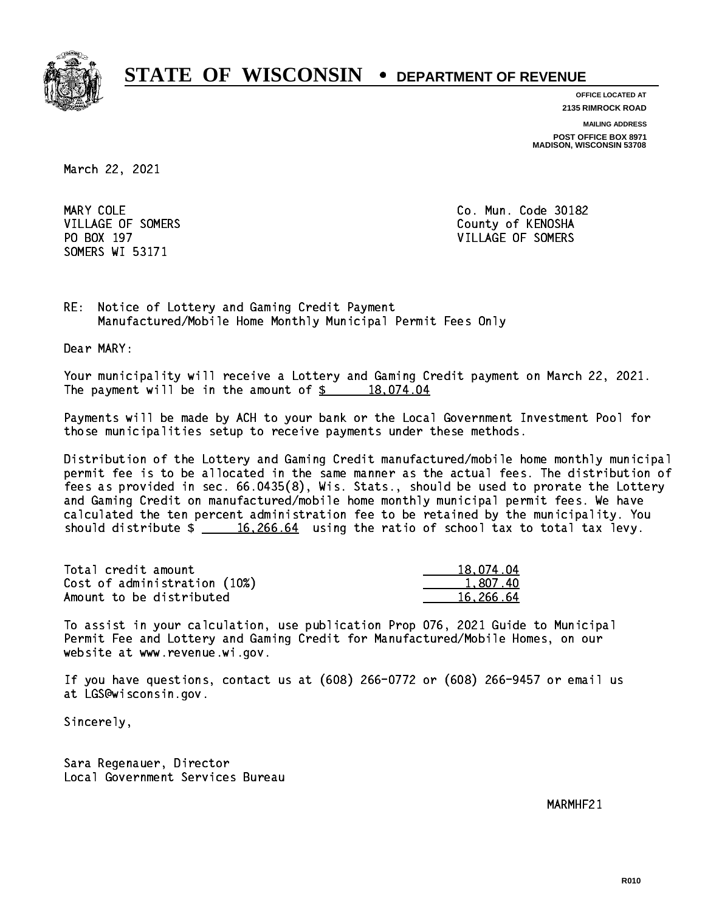

**OFFICE LOCATED AT**

**2135 RIMROCK ROAD**

**MAILING ADDRESS**

**POST OFFICE BOX 8971 MADISON, WISCONSIN 53708**

March 22, 2021

MARY COLE SOMERS WI 53171

Co. Mun. Code 30182 VILLAGE OF SOMERS COUNTY OF KENOSHA PO BOX 197 VILLAGE OF SOMERS

RE: Notice of Lottery and Gaming Credit Payment Manufactured/Mobile Home Monthly Municipal Permit Fees Only

Dear MARY:

 Your municipality will receive a Lottery and Gaming Credit payment on March 22, 2021. The payment will be in the amount of  $\frac{2}{3}$  18,074.04

 Payments will be made by ACH to your bank or the Local Government Investment Pool for those municipalities setup to receive payments under these methods.

 Distribution of the Lottery and Gaming Credit manufactured/mobile home monthly municipal permit fee is to be allocated in the same manner as the actual fees. The distribution of fees as provided in sec. 66.0435(8), Wis. Stats., should be used to prorate the Lottery and Gaming Credit on manufactured/mobile home monthly municipal permit fees. We have calculated the ten percent administration fee to be retained by the municipality. You should distribute  $\frac{16,266.64}{...}$  using the ratio of school tax to total tax levy.

| Total credit amount          | 18,074.04 |
|------------------------------|-----------|
| Cost of administration (10%) | 1,807.40  |
| Amount to be distributed     | 16.266.64 |

 To assist in your calculation, use publication Prop 076, 2021 Guide to Municipal Permit Fee and Lottery and Gaming Credit for Manufactured/Mobile Homes, on our website at www.revenue.wi.gov.

 If you have questions, contact us at (608) 266-0772 or (608) 266-9457 or email us at LGS@wisconsin.gov.

Sincerely,

 Sara Regenauer, Director Local Government Services Bureau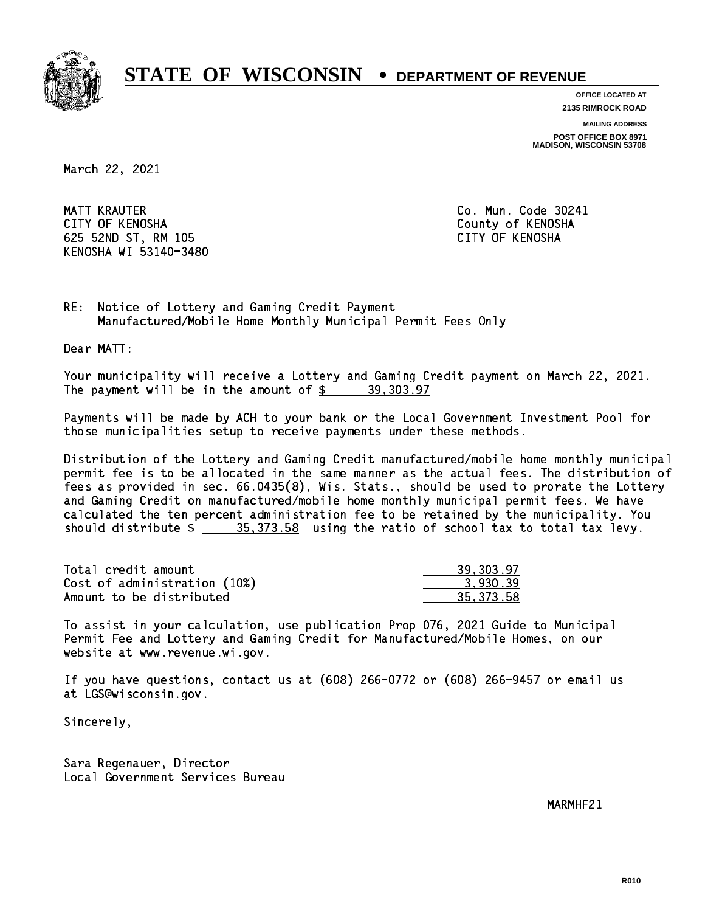

**OFFICE LOCATED AT**

**2135 RIMROCK ROAD**

**MAILING ADDRESS**

**POST OFFICE BOX 8971 MADISON, WISCONSIN 53708**

March 22, 2021

 MATT KRAUTER Co. Mun. Code 30241 CITY OF KENOSHA County of KENOSHA 625 52ND ST, RM 105 CITY OF KENOSHA KENOSHA WI 53140-3480

RE: Notice of Lottery and Gaming Credit Payment Manufactured/Mobile Home Monthly Municipal Permit Fees Only

Dear MATT:

 Your municipality will receive a Lottery and Gaming Credit payment on March 22, 2021. The payment will be in the amount of  $\frac{2}{3}$  39,303.97

 Payments will be made by ACH to your bank or the Local Government Investment Pool for those municipalities setup to receive payments under these methods.

 Distribution of the Lottery and Gaming Credit manufactured/mobile home monthly municipal permit fee is to be allocated in the same manner as the actual fees. The distribution of fees as provided in sec. 66.0435(8), Wis. Stats., should be used to prorate the Lottery and Gaming Credit on manufactured/mobile home monthly municipal permit fees. We have calculated the ten percent administration fee to be retained by the municipality. You should distribute  $\frac{25.373.58}{20.53}$  using the ratio of school tax to total tax levy.

| Total credit amount          | 39, 303, 97 |
|------------------------------|-------------|
| Cost of administration (10%) | 3.930.39    |
| Amount to be distributed     | 35.373.58   |

 To assist in your calculation, use publication Prop 076, 2021 Guide to Municipal Permit Fee and Lottery and Gaming Credit for Manufactured/Mobile Homes, on our website at www.revenue.wi.gov.

 If you have questions, contact us at (608) 266-0772 or (608) 266-9457 or email us at LGS@wisconsin.gov.

Sincerely,

 Sara Regenauer, Director Local Government Services Bureau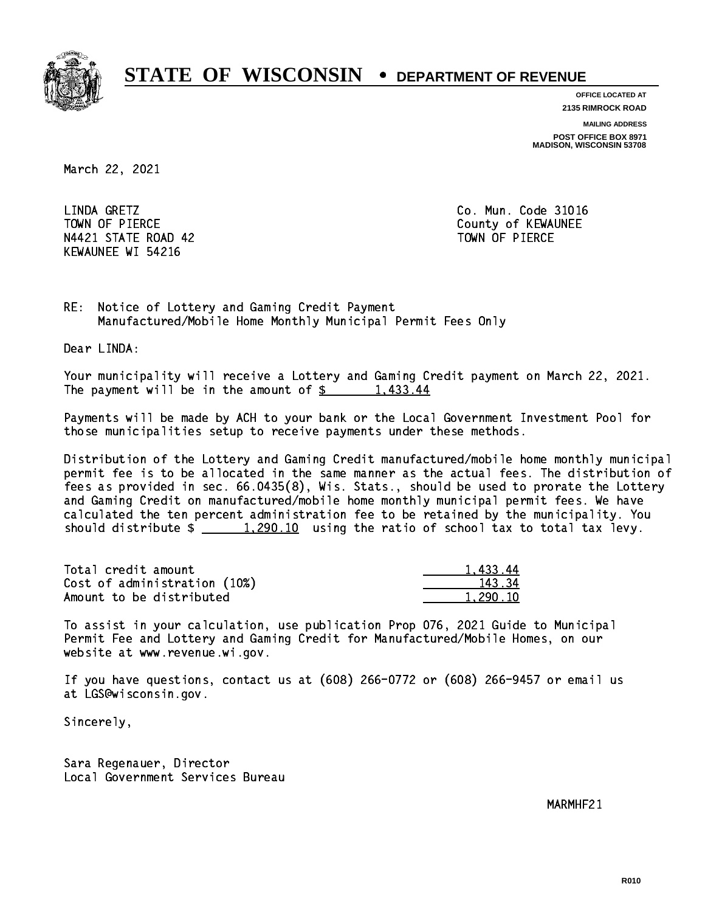

**OFFICE LOCATED AT**

**2135 RIMROCK ROAD**

**MAILING ADDRESS**

**POST OFFICE BOX 8971 MADISON, WISCONSIN 53708**

March 22, 2021

LINDA GRETZ TOWN OF PIERCE **THE COUNTY OF SEXUAL EXAMPLE COUNTY OF KEWAUNEE** N4421 STATE ROAD 42 TOWN OF PIERCE KEWAUNEE WI 54216

Co. Mun. Code 31016

RE: Notice of Lottery and Gaming Credit Payment Manufactured/Mobile Home Monthly Municipal Permit Fees Only

Dear LINDA:

 Your municipality will receive a Lottery and Gaming Credit payment on March 22, 2021. The payment will be in the amount of  $\frac{2}{3}$  1,433.44

 Payments will be made by ACH to your bank or the Local Government Investment Pool for those municipalities setup to receive payments under these methods.

 Distribution of the Lottery and Gaming Credit manufactured/mobile home monthly municipal permit fee is to be allocated in the same manner as the actual fees. The distribution of fees as provided in sec. 66.0435(8), Wis. Stats., should be used to prorate the Lottery and Gaming Credit on manufactured/mobile home monthly municipal permit fees. We have calculated the ten percent administration fee to be retained by the municipality. You should distribute  $\frac{1,290.10}{1,290.10}$  using the ratio of school tax to total tax levy.

| Total credit amount          | 1.433.44 |
|------------------------------|----------|
| Cost of administration (10%) | 143.34   |
| Amount to be distributed     | 1,290.10 |

 To assist in your calculation, use publication Prop 076, 2021 Guide to Municipal Permit Fee and Lottery and Gaming Credit for Manufactured/Mobile Homes, on our website at www.revenue.wi.gov.

 If you have questions, contact us at (608) 266-0772 or (608) 266-9457 or email us at LGS@wisconsin.gov.

Sincerely,

 Sara Regenauer, Director Local Government Services Bureau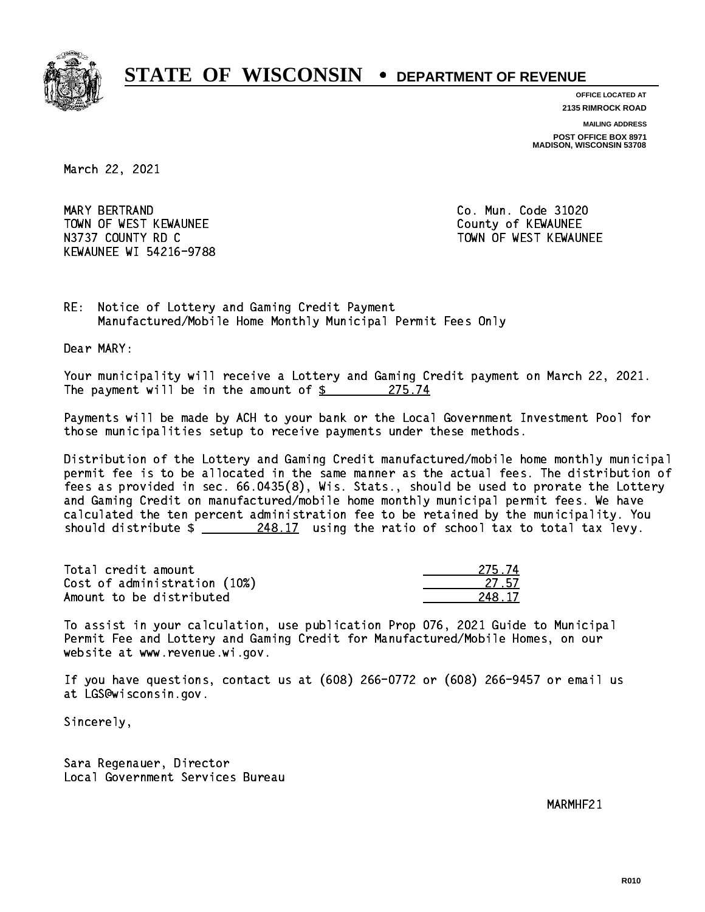

**OFFICE LOCATED AT 2135 RIMROCK ROAD**

**MAILING ADDRESS**

**POST OFFICE BOX 8971 MADISON, WISCONSIN 53708**

March 22, 2021

 MARY BERTRAND Co. Mun. Code 31020 TOWN OF WEST KEWAUNEE County of KEWAUNEE N3737 COUNTY RD C TOWN OF WEST KEWAUNEE KEWAUNEE WI 54216-9788

RE: Notice of Lottery and Gaming Credit Payment Manufactured/Mobile Home Monthly Municipal Permit Fees Only

Dear MARY:

 Your municipality will receive a Lottery and Gaming Credit payment on March 22, 2021. The payment will be in the amount of  $\frac{275.74}{275.74}$ 

 Payments will be made by ACH to your bank or the Local Government Investment Pool for those municipalities setup to receive payments under these methods.

 Distribution of the Lottery and Gaming Credit manufactured/mobile home monthly municipal permit fee is to be allocated in the same manner as the actual fees. The distribution of fees as provided in sec. 66.0435(8), Wis. Stats., should be used to prorate the Lottery and Gaming Credit on manufactured/mobile home monthly municipal permit fees. We have calculated the ten percent administration fee to be retained by the municipality. You should distribute \$ 248.17 using the ratio of school tax to total tax levy. \_\_\_\_\_\_\_\_\_\_\_\_\_\_

Total credit amount Cost of administration (10%) Amount to be distributed

| Δ     |
|-------|
| 27.57 |
| -17   |

 To assist in your calculation, use publication Prop 076, 2021 Guide to Municipal Permit Fee and Lottery and Gaming Credit for Manufactured/Mobile Homes, on our website at www.revenue.wi.gov.

 If you have questions, contact us at (608) 266-0772 or (608) 266-9457 or email us at LGS@wisconsin.gov.

Sincerely,

 Sara Regenauer, Director Local Government Services Bureau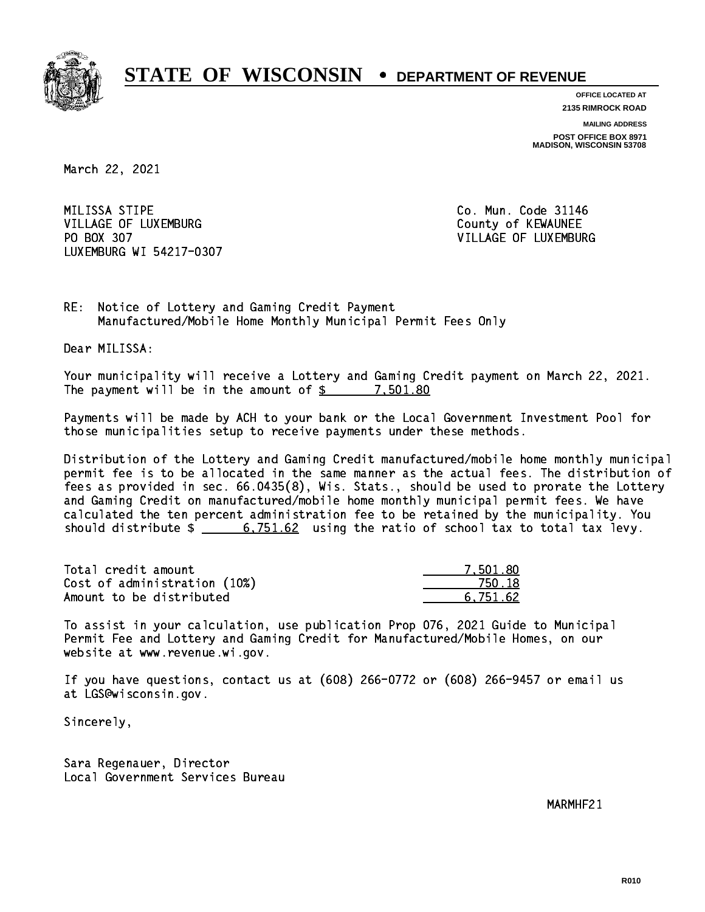

**OFFICE LOCATED AT**

**2135 RIMROCK ROAD**

**MAILING ADDRESS POST OFFICE BOX 8971 MADISON, WISCONSIN 53708**

March 22, 2021

MILISSA STIPE VILLAGE OF LUXEMBURG COUNTY OF KEWAUNEE PO BOX 307 LUXEMBURG WI 54217-0307

Co. Mun. Code 31146 VILLAGE OF LUXEMBURG

RE: Notice of Lottery and Gaming Credit Payment Manufactured/Mobile Home Monthly Municipal Permit Fees Only

Dear MILISSA:

 Your municipality will receive a Lottery and Gaming Credit payment on March 22, 2021. The payment will be in the amount of  $\frac{2}{3}$  7,501.80

 Payments will be made by ACH to your bank or the Local Government Investment Pool for those municipalities setup to receive payments under these methods.

 Distribution of the Lottery and Gaming Credit manufactured/mobile home monthly municipal permit fee is to be allocated in the same manner as the actual fees. The distribution of fees as provided in sec. 66.0435(8), Wis. Stats., should be used to prorate the Lottery and Gaming Credit on manufactured/mobile home monthly municipal permit fees. We have calculated the ten percent administration fee to be retained by the municipality. You should distribute  $\frac{2}{100}$   $\frac{6,751.62}{2}$  using the ratio of school tax to total tax levy.

| Total credit amount          | 7.501.80 |
|------------------------------|----------|
| Cost of administration (10%) | 750.18   |
| Amount to be distributed     | 6.751.62 |

 To assist in your calculation, use publication Prop 076, 2021 Guide to Municipal Permit Fee and Lottery and Gaming Credit for Manufactured/Mobile Homes, on our website at www.revenue.wi.gov.

 If you have questions, contact us at (608) 266-0772 or (608) 266-9457 or email us at LGS@wisconsin.gov.

Sincerely,

 Sara Regenauer, Director Local Government Services Bureau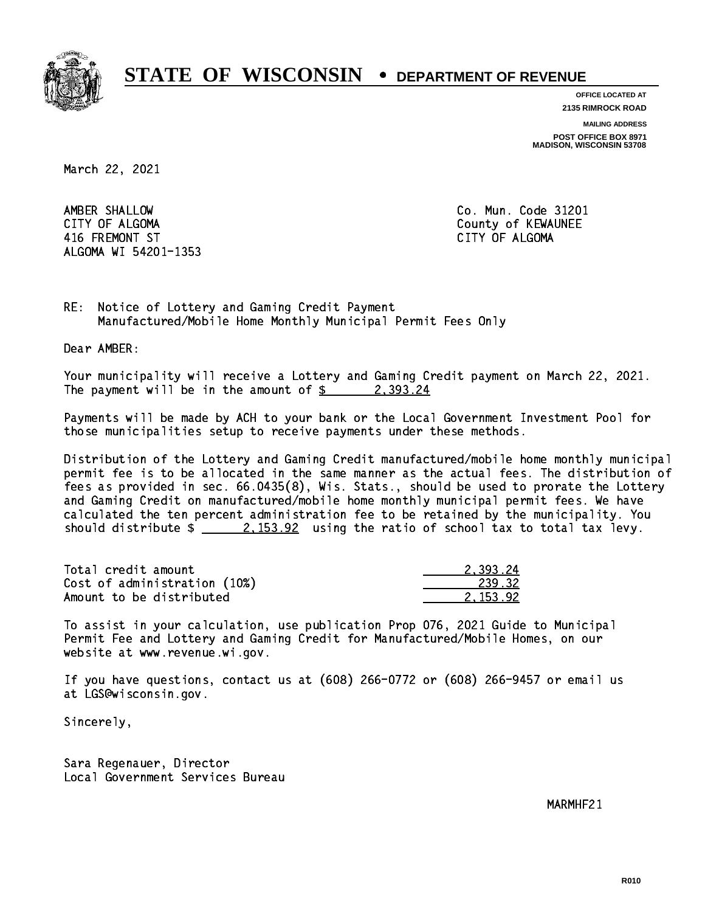

**OFFICE LOCATED AT**

**2135 RIMROCK ROAD**

**MAILING ADDRESS**

**POST OFFICE BOX 8971 MADISON, WISCONSIN 53708**

March 22, 2021

AMBER SHALLOW CITY OF ALGOMA **COUNTY OF ALGOMA**  416 FREMONT ST CITY OF ALGOMA ALGOMA WI 54201-1353

Co. Mun. Code 31201

RE: Notice of Lottery and Gaming Credit Payment Manufactured/Mobile Home Monthly Municipal Permit Fees Only

Dear AMBER:

 Your municipality will receive a Lottery and Gaming Credit payment on March 22, 2021. The payment will be in the amount of  $\frac{2}{3}$  2,393.24

 Payments will be made by ACH to your bank or the Local Government Investment Pool for those municipalities setup to receive payments under these methods.

 Distribution of the Lottery and Gaming Credit manufactured/mobile home monthly municipal permit fee is to be allocated in the same manner as the actual fees. The distribution of fees as provided in sec. 66.0435(8), Wis. Stats., should be used to prorate the Lottery and Gaming Credit on manufactured/mobile home monthly municipal permit fees. We have calculated the ten percent administration fee to be retained by the municipality. You should distribute  $\frac{2.153.92}{2.153.92}$  using the ratio of school tax to total tax levy.

| Total credit amount          | 2.393.24 |
|------------------------------|----------|
| Cost of administration (10%) | 239.32   |
| Amount to be distributed     | 2.153.92 |

 To assist in your calculation, use publication Prop 076, 2021 Guide to Municipal Permit Fee and Lottery and Gaming Credit for Manufactured/Mobile Homes, on our website at www.revenue.wi.gov.

 If you have questions, contact us at (608) 266-0772 or (608) 266-9457 or email us at LGS@wisconsin.gov.

Sincerely,

 Sara Regenauer, Director Local Government Services Bureau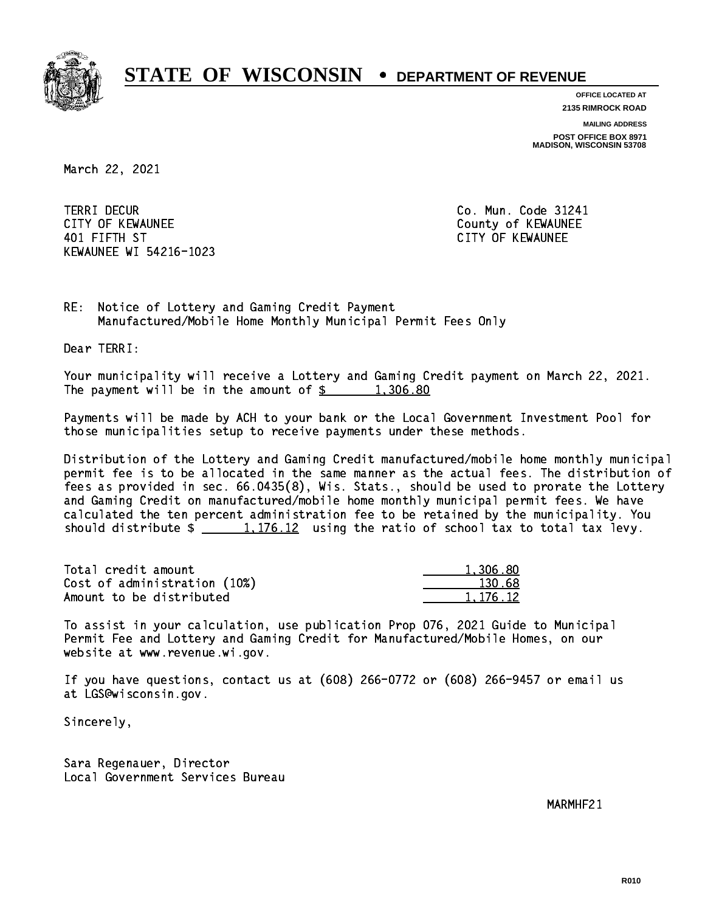

**OFFICE LOCATED AT**

**2135 RIMROCK ROAD**

**MAILING ADDRESS POST OFFICE BOX 8971 MADISON, WISCONSIN 53708**

March 22, 2021

**TERRI DECUR** CITY OF KEWAUNEE CITY OF KEWAUNEE 401 FIFTH ST CITY OF KEWAUNEE KEWAUNEE WI 54216-1023

Co. Mun. Code 31241

RE: Notice of Lottery and Gaming Credit Payment Manufactured/Mobile Home Monthly Municipal Permit Fees Only

Dear TERRI:

 Your municipality will receive a Lottery and Gaming Credit payment on March 22, 2021. The payment will be in the amount of  $\frac{2}{3}$  1,306.80

 Payments will be made by ACH to your bank or the Local Government Investment Pool for those municipalities setup to receive payments under these methods.

 Distribution of the Lottery and Gaming Credit manufactured/mobile home monthly municipal permit fee is to be allocated in the same manner as the actual fees. The distribution of fees as provided in sec. 66.0435(8), Wis. Stats., should be used to prorate the Lottery and Gaming Credit on manufactured/mobile home monthly municipal permit fees. We have calculated the ten percent administration fee to be retained by the municipality. You should distribute  $\frac{1}{2}$   $\frac{1}{106.12}$  using the ratio of school tax to total tax levy.

| Total credit amount          | 1,306.80 |
|------------------------------|----------|
| Cost of administration (10%) | 130.68   |
| Amount to be distributed     | 1,176.12 |

 To assist in your calculation, use publication Prop 076, 2021 Guide to Municipal Permit Fee and Lottery and Gaming Credit for Manufactured/Mobile Homes, on our website at www.revenue.wi.gov.

 If you have questions, contact us at (608) 266-0772 or (608) 266-9457 or email us at LGS@wisconsin.gov.

Sincerely,

 Sara Regenauer, Director Local Government Services Bureau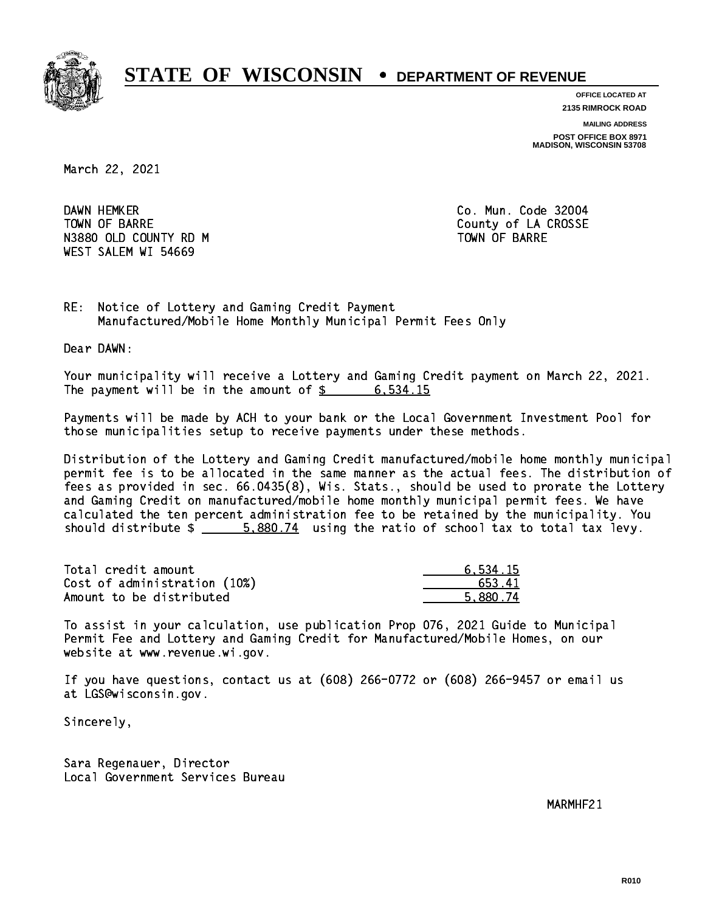

**OFFICE LOCATED AT 2135 RIMROCK ROAD**

**MAILING ADDRESS**

**POST OFFICE BOX 8971 MADISON, WISCONSIN 53708**

March 22, 2021

DAWN HEMKER TOWN OF BARRE **COUNTY OF SALES AND SERVICE OF A COUNTY OF LA CROSSE** N3880 OLD COUNTY RD M TOWN OF BARRE WEST SALEM WI 54669

Co. Mun. Code 32004

RE: Notice of Lottery and Gaming Credit Payment Manufactured/Mobile Home Monthly Municipal Permit Fees Only

Dear DAWN:

 Your municipality will receive a Lottery and Gaming Credit payment on March 22, 2021. The payment will be in the amount of  $\frac{2}{3}$  6,534.15

 Payments will be made by ACH to your bank or the Local Government Investment Pool for those municipalities setup to receive payments under these methods.

 Distribution of the Lottery and Gaming Credit manufactured/mobile home monthly municipal permit fee is to be allocated in the same manner as the actual fees. The distribution of fees as provided in sec. 66.0435(8), Wis. Stats., should be used to prorate the Lottery and Gaming Credit on manufactured/mobile home monthly municipal permit fees. We have calculated the ten percent administration fee to be retained by the municipality. You should distribute  $\frac{2}{1}$   $\frac{5,880.74}{2}$  using the ratio of school tax to total tax levy.

| Total credit amount          | 6.534.15 |
|------------------------------|----------|
| Cost of administration (10%) | 653.41   |
| Amount to be distributed     | 5.880.74 |

 To assist in your calculation, use publication Prop 076, 2021 Guide to Municipal Permit Fee and Lottery and Gaming Credit for Manufactured/Mobile Homes, on our website at www.revenue.wi.gov.

 If you have questions, contact us at (608) 266-0772 or (608) 266-9457 or email us at LGS@wisconsin.gov.

Sincerely,

 Sara Regenauer, Director Local Government Services Bureau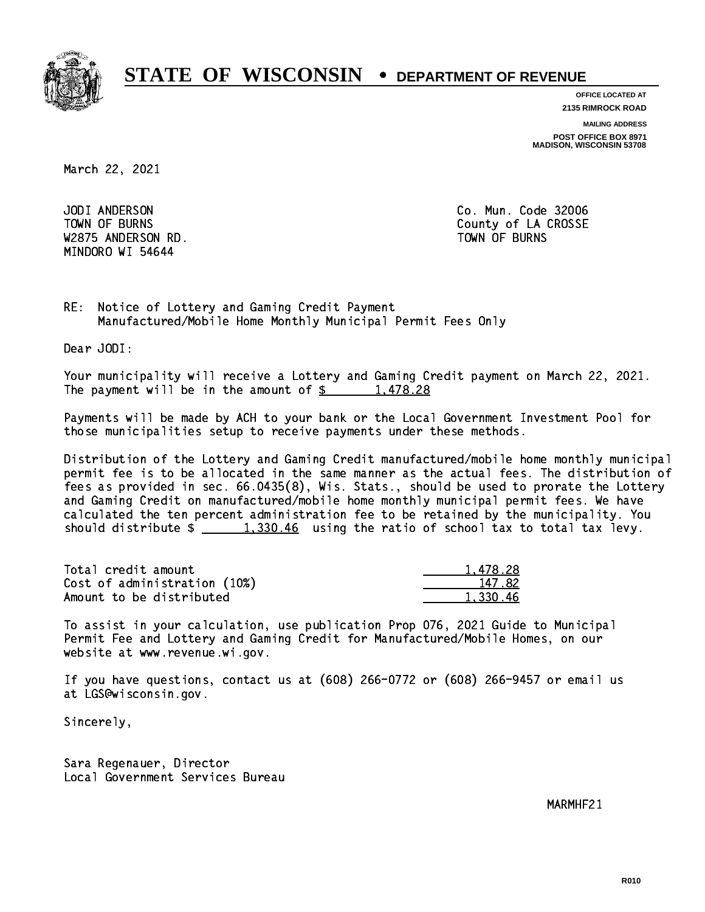

**OFFICE LOCATED AT 2135 RIMROCK ROAD**

**MAILING ADDRESS**

**POST OFFICE BOX 8971 MADISON, WISCONSIN 53708**

March 22, 2021

 JODI ANDERSON Co. Mun. Code 32006 W2875 ANDERSON RD. TOWN OF BURNS MINDORO WI 54644

TOWN OF BURNS **COUNTY OF A COULD A** COUNTY OF LA CROSSE

RE: Notice of Lottery and Gaming Credit Payment Manufactured/Mobile Home Monthly Municipal Permit Fees Only

Dear JODI:

 Your municipality will receive a Lottery and Gaming Credit payment on March 22, 2021. The payment will be in the amount of  $\frac{2}{3}$  1,478.28

 Payments will be made by ACH to your bank or the Local Government Investment Pool for those municipalities setup to receive payments under these methods.

 Distribution of the Lottery and Gaming Credit manufactured/mobile home monthly municipal permit fee is to be allocated in the same manner as the actual fees. The distribution of fees as provided in sec. 66.0435(8), Wis. Stats., should be used to prorate the Lottery and Gaming Credit on manufactured/mobile home monthly municipal permit fees. We have calculated the ten percent administration fee to be retained by the municipality. You should distribute  $\frac{1,330.46}{1,330.46}$  using the ratio of school tax to total tax levy.

| Total credit amount          | 1.478.28 |
|------------------------------|----------|
| Cost of administration (10%) | 147.82   |
| Amount to be distributed     | 1,330.46 |

 To assist in your calculation, use publication Prop 076, 2021 Guide to Municipal Permit Fee and Lottery and Gaming Credit for Manufactured/Mobile Homes, on our website at www.revenue.wi.gov.

 If you have questions, contact us at (608) 266-0772 or (608) 266-9457 or email us at LGS@wisconsin.gov.

Sincerely,

 Sara Regenauer, Director Local Government Services Bureau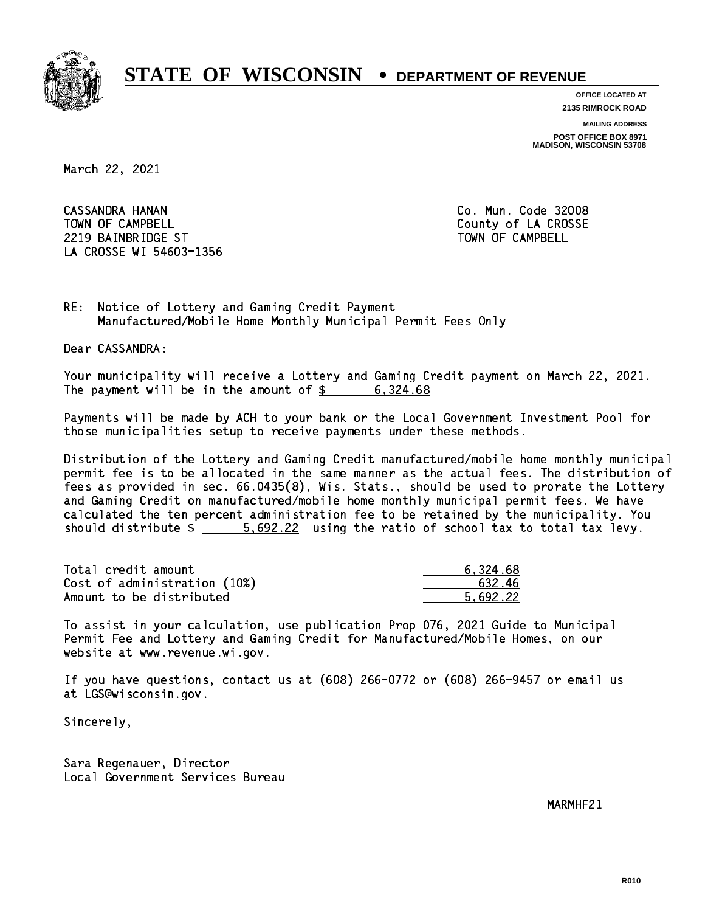

**OFFICE LOCATED AT 2135 RIMROCK ROAD**

**MAILING ADDRESS POST OFFICE BOX 8971 MADISON, WISCONSIN 53708**

March 22, 2021

 CASSANDRA HANAN Co. Mun. Code 32008 TOWN OF CAMPBELL **TOWN OF CAMPBELL**  2219 BAINBRIDGE ST TOWN OF CAMPBELL LA CROSSE WI 54603-1356

RE: Notice of Lottery and Gaming Credit Payment Manufactured/Mobile Home Monthly Municipal Permit Fees Only

Dear CASSANDRA:

 Your municipality will receive a Lottery and Gaming Credit payment on March 22, 2021. The payment will be in the amount of  $\frac{2}{3}$  6,324.68

 Payments will be made by ACH to your bank or the Local Government Investment Pool for those municipalities setup to receive payments under these methods.

 Distribution of the Lottery and Gaming Credit manufactured/mobile home monthly municipal permit fee is to be allocated in the same manner as the actual fees. The distribution of fees as provided in sec. 66.0435(8), Wis. Stats., should be used to prorate the Lottery and Gaming Credit on manufactured/mobile home monthly municipal permit fees. We have calculated the ten percent administration fee to be retained by the municipality. You should distribute  $\frac{2}{2}$  5,692.22 using the ratio of school tax to total tax levy.

| Total credit amount          | 6.324.68 |
|------------------------------|----------|
| Cost of administration (10%) | 632.46   |
| Amount to be distributed     | 5.692.22 |

 To assist in your calculation, use publication Prop 076, 2021 Guide to Municipal Permit Fee and Lottery and Gaming Credit for Manufactured/Mobile Homes, on our website at www.revenue.wi.gov.

 If you have questions, contact us at (608) 266-0772 or (608) 266-9457 or email us at LGS@wisconsin.gov.

Sincerely,

 Sara Regenauer, Director Local Government Services Bureau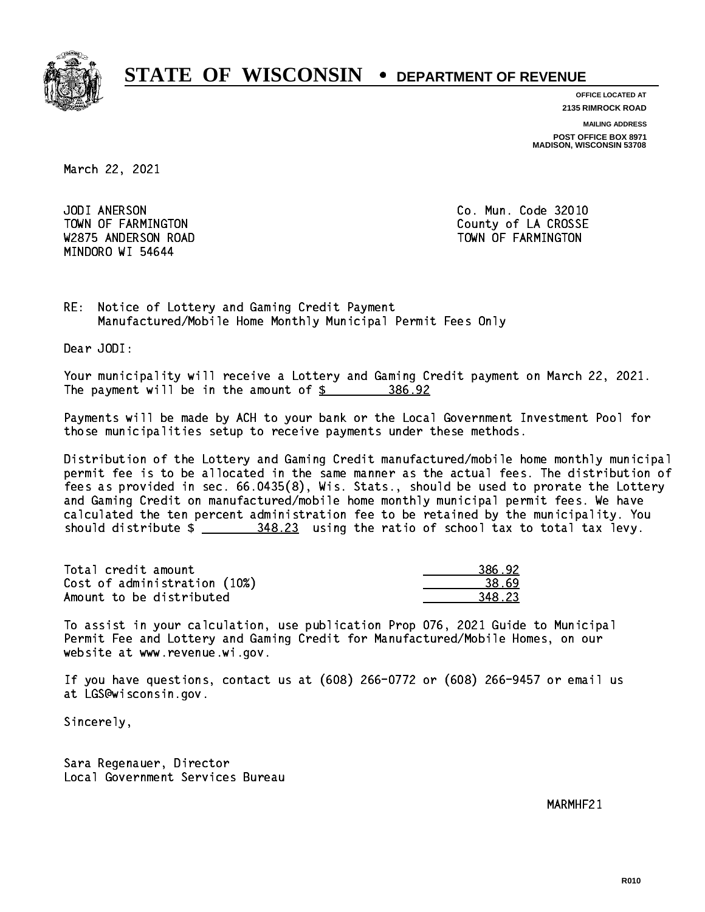

**OFFICE LOCATED AT**

**2135 RIMROCK ROAD**

**MAILING ADDRESS POST OFFICE BOX 8971 MADISON, WISCONSIN 53708**

March 22, 2021

JODI ANERSON W2875 ANDERSON ROAD TOWN OF FARMINGTON MINDORO WI 54644

Co. Mun. Code 32010 TOWN OF FARMINGTON County of LA CROSSE

RE: Notice of Lottery and Gaming Credit Payment Manufactured/Mobile Home Monthly Municipal Permit Fees Only

Dear JODI:

 Your municipality will receive a Lottery and Gaming Credit payment on March 22, 2021. The payment will be in the amount of \$ 386.92 \_\_\_\_\_\_\_\_\_\_\_\_\_\_\_\_

 Payments will be made by ACH to your bank or the Local Government Investment Pool for those municipalities setup to receive payments under these methods.

 Distribution of the Lottery and Gaming Credit manufactured/mobile home monthly municipal permit fee is to be allocated in the same manner as the actual fees. The distribution of fees as provided in sec. 66.0435(8), Wis. Stats., should be used to prorate the Lottery and Gaming Credit on manufactured/mobile home monthly municipal permit fees. We have calculated the ten percent administration fee to be retained by the municipality. You should distribute  $\frac{248.23}{1000}$  using the ratio of school tax to total tax levy.

| Total credit amount          | 386.92 |
|------------------------------|--------|
| Cost of administration (10%) | 38.69  |
| Amount to be distributed     | 348.23 |

 To assist in your calculation, use publication Prop 076, 2021 Guide to Municipal Permit Fee and Lottery and Gaming Credit for Manufactured/Mobile Homes, on our website at www.revenue.wi.gov.

 If you have questions, contact us at (608) 266-0772 or (608) 266-9457 or email us at LGS@wisconsin.gov.

Sincerely,

 Sara Regenauer, Director Local Government Services Bureau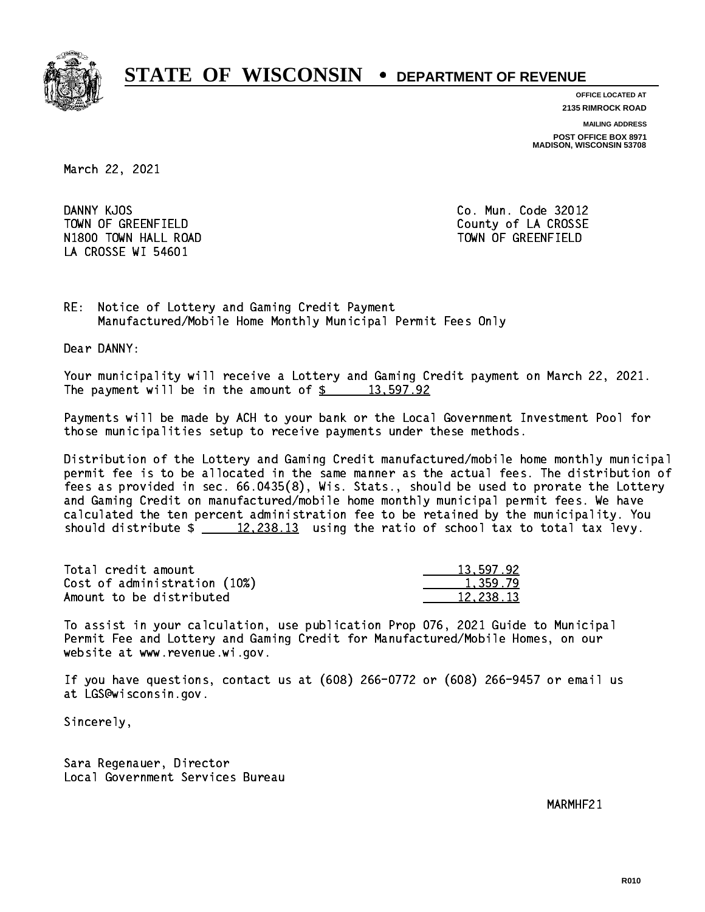

**OFFICE LOCATED AT**

**2135 RIMROCK ROAD**

**MAILING ADDRESS**

**POST OFFICE BOX 8971 MADISON, WISCONSIN 53708**

March 22, 2021

DANNY KJOS TOWN OF GREENFIELD County of LA CROSSE N1800 TOWN HALL ROAD TOWN OF GREENFIELD LA CROSSE WI 54601

Co. Mun. Code 32012

RE: Notice of Lottery and Gaming Credit Payment Manufactured/Mobile Home Monthly Municipal Permit Fees Only

Dear DANNY:

 Your municipality will receive a Lottery and Gaming Credit payment on March 22, 2021. The payment will be in the amount of  $\frac{2}{3}$  13,597.92

 Payments will be made by ACH to your bank or the Local Government Investment Pool for those municipalities setup to receive payments under these methods.

 Distribution of the Lottery and Gaming Credit manufactured/mobile home monthly municipal permit fee is to be allocated in the same manner as the actual fees. The distribution of fees as provided in sec. 66.0435(8), Wis. Stats., should be used to prorate the Lottery and Gaming Credit on manufactured/mobile home monthly municipal permit fees. We have calculated the ten percent administration fee to be retained by the municipality. You should distribute  $\frac{2}{2}$   $\frac{12,238.13}{2}$  using the ratio of school tax to total tax levy.

| Total credit amount          | 13,597.92 |
|------------------------------|-----------|
| Cost of administration (10%) | 1.359.79  |
| Amount to be distributed     | 12,238.13 |

 To assist in your calculation, use publication Prop 076, 2021 Guide to Municipal Permit Fee and Lottery and Gaming Credit for Manufactured/Mobile Homes, on our website at www.revenue.wi.gov.

 If you have questions, contact us at (608) 266-0772 or (608) 266-9457 or email us at LGS@wisconsin.gov.

Sincerely,

 Sara Regenauer, Director Local Government Services Bureau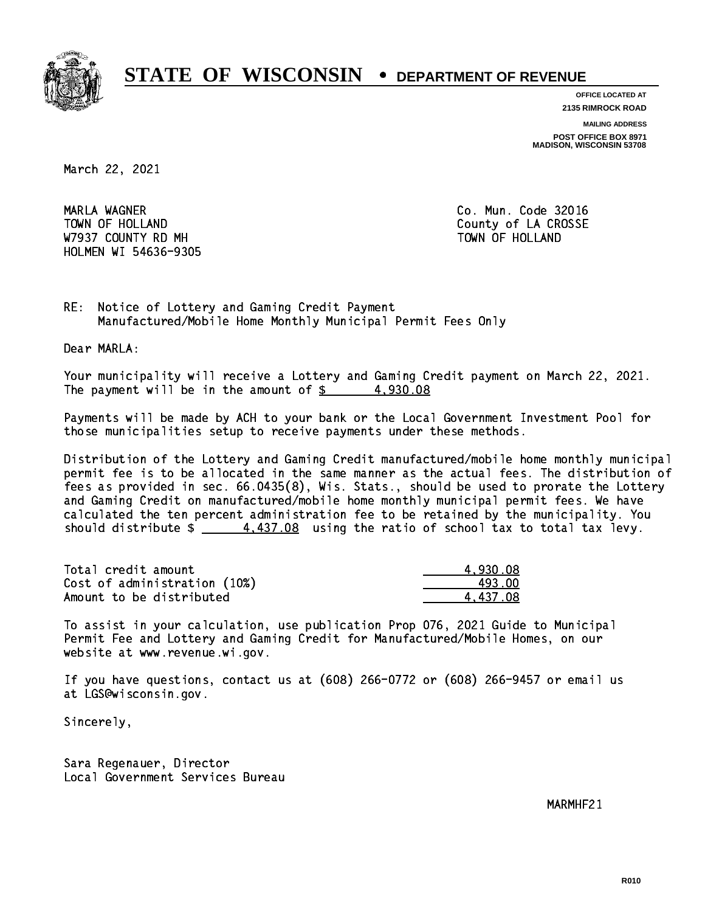

**OFFICE LOCATED AT 2135 RIMROCK ROAD**

**MAILING ADDRESS**

**POST OFFICE BOX 8971 MADISON, WISCONSIN 53708**

March 22, 2021

 MARLA WAGNER Co. Mun. Code 32016 TOWN OF HOLLAND **COUNTY OF SALES AND COUNTY OF LA CROSSE** W7937 COUNTY RD MH TOWN OF HOLLAND HOLMEN WI 54636-9305

RE: Notice of Lottery and Gaming Credit Payment Manufactured/Mobile Home Monthly Municipal Permit Fees Only

Dear MARLA:

 Your municipality will receive a Lottery and Gaming Credit payment on March 22, 2021. The payment will be in the amount of  $\frac{2}{3}$  4,930.08

 Payments will be made by ACH to your bank or the Local Government Investment Pool for those municipalities setup to receive payments under these methods.

 Distribution of the Lottery and Gaming Credit manufactured/mobile home monthly municipal permit fee is to be allocated in the same manner as the actual fees. The distribution of fees as provided in sec. 66.0435(8), Wis. Stats., should be used to prorate the Lottery and Gaming Credit on manufactured/mobile home monthly municipal permit fees. We have calculated the ten percent administration fee to be retained by the municipality. You should distribute  $\frac{2}{1}$   $\frac{4,437.08}{2}$  using the ratio of school tax to total tax levy.

| Total credit amount          | 4.930.08 |
|------------------------------|----------|
| Cost of administration (10%) | 493.00   |
| Amount to be distributed     | 4.437.08 |

 To assist in your calculation, use publication Prop 076, 2021 Guide to Municipal Permit Fee and Lottery and Gaming Credit for Manufactured/Mobile Homes, on our website at www.revenue.wi.gov.

 If you have questions, contact us at (608) 266-0772 or (608) 266-9457 or email us at LGS@wisconsin.gov.

Sincerely,

 Sara Regenauer, Director Local Government Services Bureau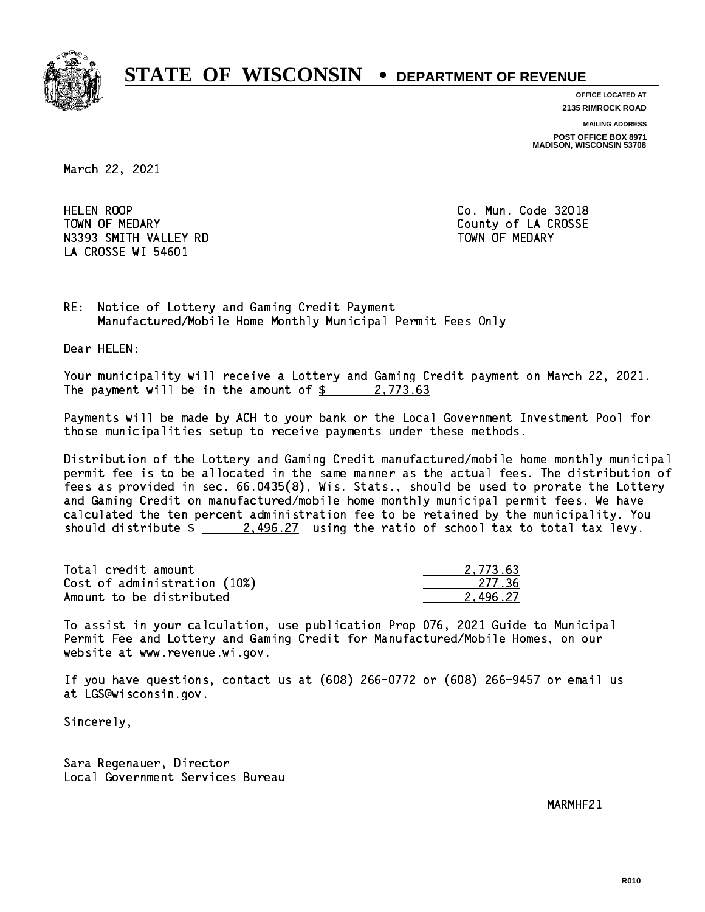

**OFFICE LOCATED AT 2135 RIMROCK ROAD**

**MAILING ADDRESS POST OFFICE BOX 8971 MADISON, WISCONSIN 53708**

March 22, 2021

**HELEN ROOP** TOWN OF MEDARY **COUNTY** COUNTY COUNTY OF LA CROSSE N3393 SMITH VALLEY RD TOWN OF MEDARY LA CROSSE WI 54601

Co. Mun. Code 32018

RE: Notice of Lottery and Gaming Credit Payment Manufactured/Mobile Home Monthly Municipal Permit Fees Only

Dear HELEN:

 Your municipality will receive a Lottery and Gaming Credit payment on March 22, 2021. The payment will be in the amount of  $\frac{2}{3}$  2,773.63

 Payments will be made by ACH to your bank or the Local Government Investment Pool for those municipalities setup to receive payments under these methods.

 Distribution of the Lottery and Gaming Credit manufactured/mobile home monthly municipal permit fee is to be allocated in the same manner as the actual fees. The distribution of fees as provided in sec. 66.0435(8), Wis. Stats., should be used to prorate the Lottery and Gaming Credit on manufactured/mobile home monthly municipal permit fees. We have calculated the ten percent administration fee to be retained by the municipality. You should distribute  $\frac{2.496.27}{2.496.27}$  using the ratio of school tax to total tax levy.

| Total credit amount          | 2.773.63 |
|------------------------------|----------|
| Cost of administration (10%) | -277.36  |
| Amount to be distributed     | 2.496.27 |

 To assist in your calculation, use publication Prop 076, 2021 Guide to Municipal Permit Fee and Lottery and Gaming Credit for Manufactured/Mobile Homes, on our website at www.revenue.wi.gov.

 If you have questions, contact us at (608) 266-0772 or (608) 266-9457 or email us at LGS@wisconsin.gov.

Sincerely,

 Sara Regenauer, Director Local Government Services Bureau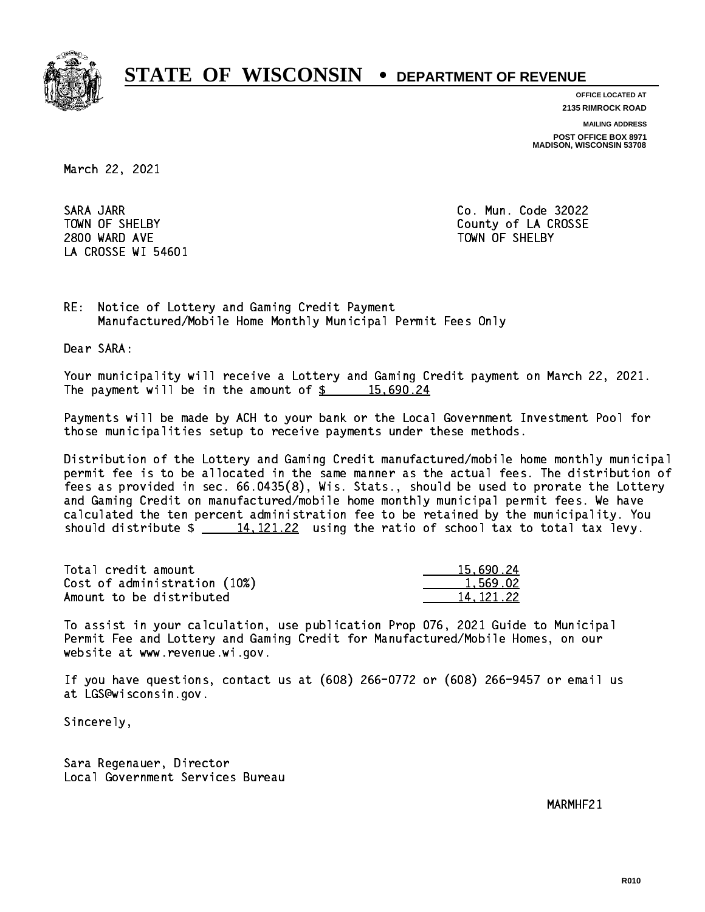

**OFFICE LOCATED AT**

**2135 RIMROCK ROAD**

**MAILING ADDRESS POST OFFICE BOX 8971 MADISON, WISCONSIN 53708**

March 22, 2021

 SARA JARR Co. Mun. Code 32022 2800 WARD AVE TOWN OF SHELBY LA CROSSE WI 54601

TOWN OF SHELBY **COUNTY** COUNTY OF LA CROSSE

RE: Notice of Lottery and Gaming Credit Payment Manufactured/Mobile Home Monthly Municipal Permit Fees Only

Dear SARA:

 Your municipality will receive a Lottery and Gaming Credit payment on March 22, 2021. The payment will be in the amount of  $\frac{2}{3}$  15,690.24

 Payments will be made by ACH to your bank or the Local Government Investment Pool for those municipalities setup to receive payments under these methods.

 Distribution of the Lottery and Gaming Credit manufactured/mobile home monthly municipal permit fee is to be allocated in the same manner as the actual fees. The distribution of fees as provided in sec. 66.0435(8), Wis. Stats., should be used to prorate the Lottery and Gaming Credit on manufactured/mobile home monthly municipal permit fees. We have calculated the ten percent administration fee to be retained by the municipality. You should distribute  $\frac{14,121.22}{...}$  using the ratio of school tax to total tax levy.

| Total credit amount          | 15.690.24 |
|------------------------------|-----------|
| Cost of administration (10%) | 1,569.02  |
| Amount to be distributed     | 14.121.22 |

 To assist in your calculation, use publication Prop 076, 2021 Guide to Municipal Permit Fee and Lottery and Gaming Credit for Manufactured/Mobile Homes, on our website at www.revenue.wi.gov.

 If you have questions, contact us at (608) 266-0772 or (608) 266-9457 or email us at LGS@wisconsin.gov.

Sincerely,

 Sara Regenauer, Director Local Government Services Bureau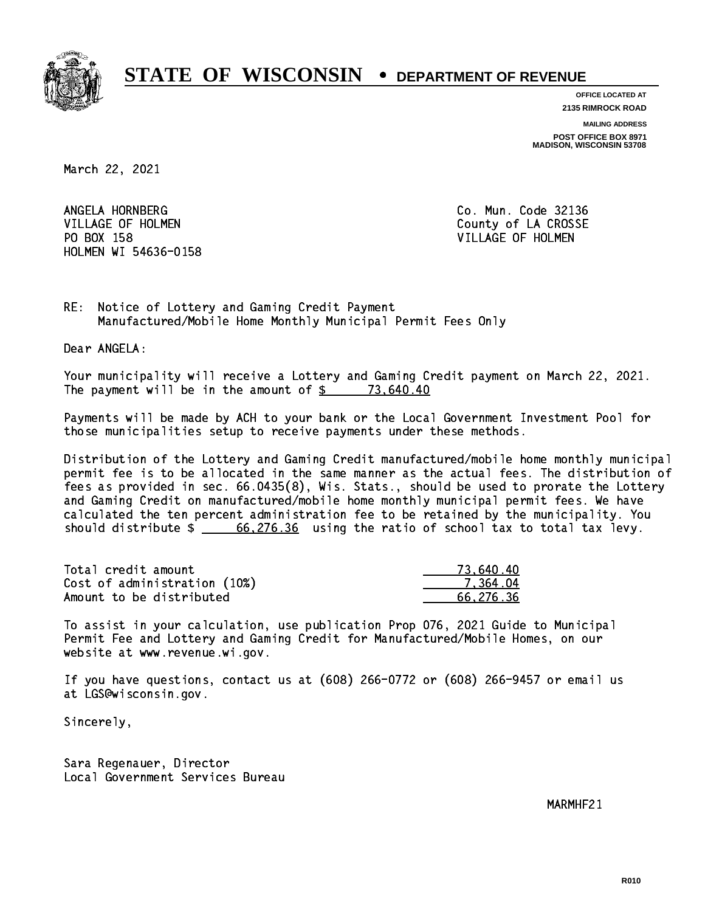

**OFFICE LOCATED AT 2135 RIMROCK ROAD**

**MAILING ADDRESS POST OFFICE BOX 8971 MADISON, WISCONSIN 53708**

March 22, 2021

ANGELA HORNBERG VILLAGE OF HOLMEN COUNTY OF LA CROSSE PO BOX 158 VILLAGE OF HOLMEN HOLMEN WI 54636-0158

Co. Mun. Code 32136

RE: Notice of Lottery and Gaming Credit Payment Manufactured/Mobile Home Monthly Municipal Permit Fees Only

Dear ANGELA:

 Your municipality will receive a Lottery and Gaming Credit payment on March 22, 2021. The payment will be in the amount of  $\frac{2}{3}$  73,640.40

 Payments will be made by ACH to your bank or the Local Government Investment Pool for those municipalities setup to receive payments under these methods.

 Distribution of the Lottery and Gaming Credit manufactured/mobile home monthly municipal permit fee is to be allocated in the same manner as the actual fees. The distribution of fees as provided in sec. 66.0435(8), Wis. Stats., should be used to prorate the Lottery and Gaming Credit on manufactured/mobile home monthly municipal permit fees. We have calculated the ten percent administration fee to be retained by the municipality. You should distribute  $\frac{2.66,276.36}{2.26,26}$  using the ratio of school tax to total tax levy.

| Total credit amount          | 73.640.40 |
|------------------------------|-----------|
| Cost of administration (10%) | 7.364.04  |
| Amount to be distributed     | 66.276.36 |

 To assist in your calculation, use publication Prop 076, 2021 Guide to Municipal Permit Fee and Lottery and Gaming Credit for Manufactured/Mobile Homes, on our website at www.revenue.wi.gov.

 If you have questions, contact us at (608) 266-0772 or (608) 266-9457 or email us at LGS@wisconsin.gov.

Sincerely,

 Sara Regenauer, Director Local Government Services Bureau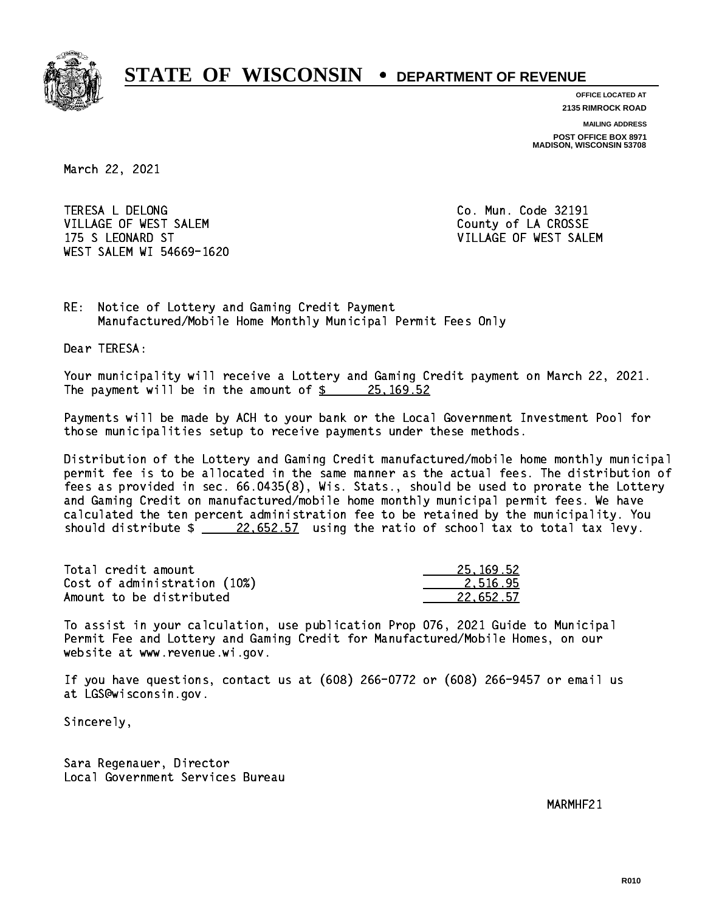

**OFFICE LOCATED AT 2135 RIMROCK ROAD**

**MAILING ADDRESS POST OFFICE BOX 8971 MADISON, WISCONSIN 53708**

March 22, 2021

 TERESA L DELONG Co. Mun. Code 32191 VILLAGE OF WEST SALEM **COULD ACCOUNT OF LA CROSSE**  175 S LEONARD ST VILLAGE OF WEST SALEM WEST SALEM WI 54669-1620

RE: Notice of Lottery and Gaming Credit Payment Manufactured/Mobile Home Monthly Municipal Permit Fees Only

Dear TERESA:

 Your municipality will receive a Lottery and Gaming Credit payment on March 22, 2021. The payment will be in the amount of \$ 25,169.52 \_\_\_\_\_\_\_\_\_\_\_\_\_\_\_\_

 Payments will be made by ACH to your bank or the Local Government Investment Pool for those municipalities setup to receive payments under these methods.

 Distribution of the Lottery and Gaming Credit manufactured/mobile home monthly municipal permit fee is to be allocated in the same manner as the actual fees. The distribution of fees as provided in sec. 66.0435(8), Wis. Stats., should be used to prorate the Lottery and Gaming Credit on manufactured/mobile home monthly municipal permit fees. We have calculated the ten percent administration fee to be retained by the municipality. You should distribute  $\frac{22.652.57}{22.652.57}$  using the ratio of school tax to total tax levy.

| Total credit amount          | 25, 169, 52 |
|------------------------------|-------------|
| Cost of administration (10%) | 2.516.95    |
| Amount to be distributed     | 22.652.57   |

 To assist in your calculation, use publication Prop 076, 2021 Guide to Municipal Permit Fee and Lottery and Gaming Credit for Manufactured/Mobile Homes, on our website at www.revenue.wi.gov.

 If you have questions, contact us at (608) 266-0772 or (608) 266-9457 or email us at LGS@wisconsin.gov.

Sincerely,

 Sara Regenauer, Director Local Government Services Bureau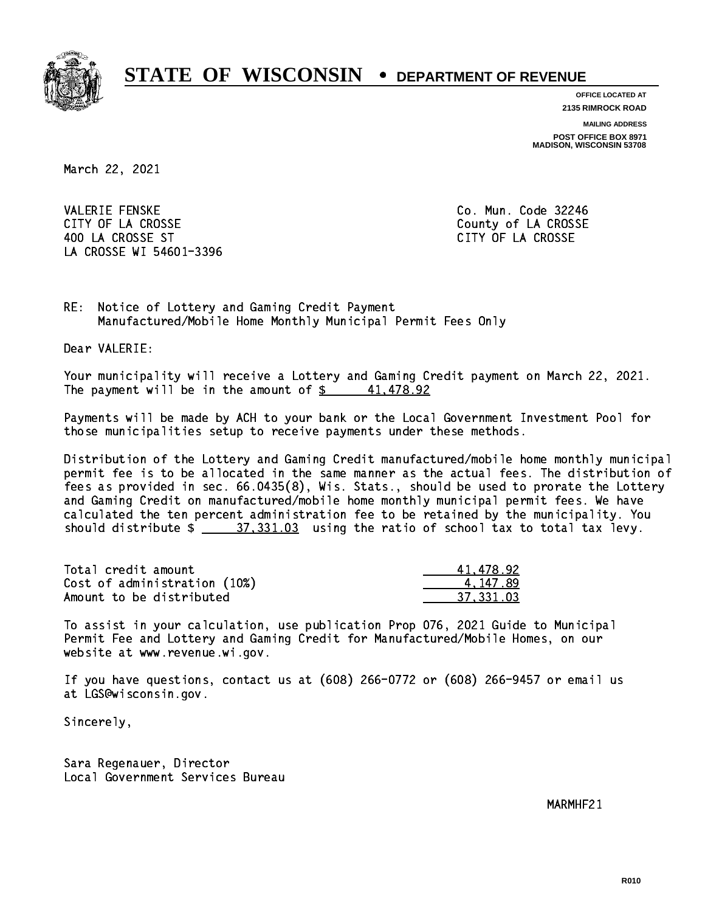

**OFFICE LOCATED AT**

**2135 RIMROCK ROAD**

**MAILING ADDRESS**

**POST OFFICE BOX 8971 MADISON, WISCONSIN 53708**

March 22, 2021

**VALERIE FENSKE** CITY OF LA CROSSE COUNTY OF LA CROSSE 400 LA CROSSE ST CITY OF LA CROSSE LA CROSSE WI 54601-3396

Co. Mun. Code 32246

RE: Notice of Lottery and Gaming Credit Payment Manufactured/Mobile Home Monthly Municipal Permit Fees Only

Dear VALERIE:

 Your municipality will receive a Lottery and Gaming Credit payment on March 22, 2021. The payment will be in the amount of  $\frac{2}{3}$  41,478.92

 Payments will be made by ACH to your bank or the Local Government Investment Pool for those municipalities setup to receive payments under these methods.

 Distribution of the Lottery and Gaming Credit manufactured/mobile home monthly municipal permit fee is to be allocated in the same manner as the actual fees. The distribution of fees as provided in sec. 66.0435(8), Wis. Stats., should be used to prorate the Lottery and Gaming Credit on manufactured/mobile home monthly municipal permit fees. We have calculated the ten percent administration fee to be retained by the municipality. You should distribute  $\frac{27,331.03}{2}$  using the ratio of school tax to total tax levy.

| Total credit amount          | 41.478.92 |
|------------------------------|-----------|
| Cost of administration (10%) | 4.147.89  |
| Amount to be distributed     | 37.331.03 |

 To assist in your calculation, use publication Prop 076, 2021 Guide to Municipal Permit Fee and Lottery and Gaming Credit for Manufactured/Mobile Homes, on our website at www.revenue.wi.gov.

 If you have questions, contact us at (608) 266-0772 or (608) 266-9457 or email us at LGS@wisconsin.gov.

Sincerely,

 Sara Regenauer, Director Local Government Services Bureau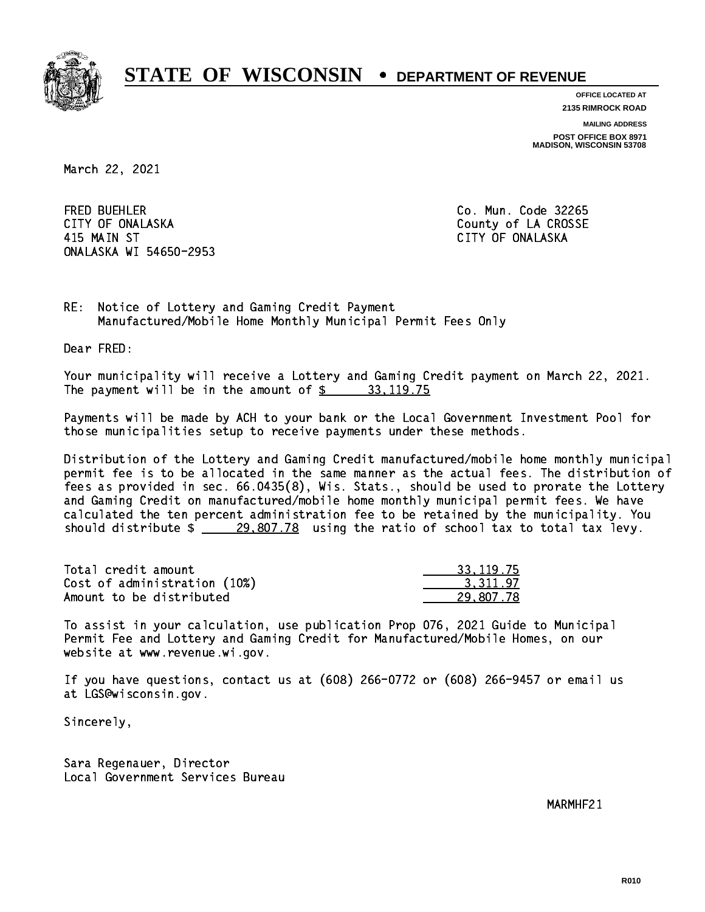

**OFFICE LOCATED AT 2135 RIMROCK ROAD**

**MAILING ADDRESS POST OFFICE BOX 8971 MADISON, WISCONSIN 53708**

March 22, 2021

**FRED BUEHLER** CITY OF ONALASKA COUNTY COUNTY OF COUNTY OF COUNTY OF LA CROSSE 415 MAIN ST CITY OF ONALASKA ONALASKA WI 54650-2953

Co. Mun. Code 32265

RE: Notice of Lottery and Gaming Credit Payment Manufactured/Mobile Home Monthly Municipal Permit Fees Only

Dear FRED:

 Your municipality will receive a Lottery and Gaming Credit payment on March 22, 2021. The payment will be in the amount of  $\frac{2}{3}$  33,119.75

 Payments will be made by ACH to your bank or the Local Government Investment Pool for those municipalities setup to receive payments under these methods.

 Distribution of the Lottery and Gaming Credit manufactured/mobile home monthly municipal permit fee is to be allocated in the same manner as the actual fees. The distribution of fees as provided in sec. 66.0435(8), Wis. Stats., should be used to prorate the Lottery and Gaming Credit on manufactured/mobile home monthly municipal permit fees. We have calculated the ten percent administration fee to be retained by the municipality. You should distribute  $\frac{29,807.78}{29.807.78}$  using the ratio of school tax to total tax levy.

| Total credit amount          | 33.119.75 |
|------------------------------|-----------|
| Cost of administration (10%) | 3.311.97  |
| Amount to be distributed     | 29.807.78 |

 To assist in your calculation, use publication Prop 076, 2021 Guide to Municipal Permit Fee and Lottery and Gaming Credit for Manufactured/Mobile Homes, on our website at www.revenue.wi.gov.

 If you have questions, contact us at (608) 266-0772 or (608) 266-9457 or email us at LGS@wisconsin.gov.

Sincerely,

 Sara Regenauer, Director Local Government Services Bureau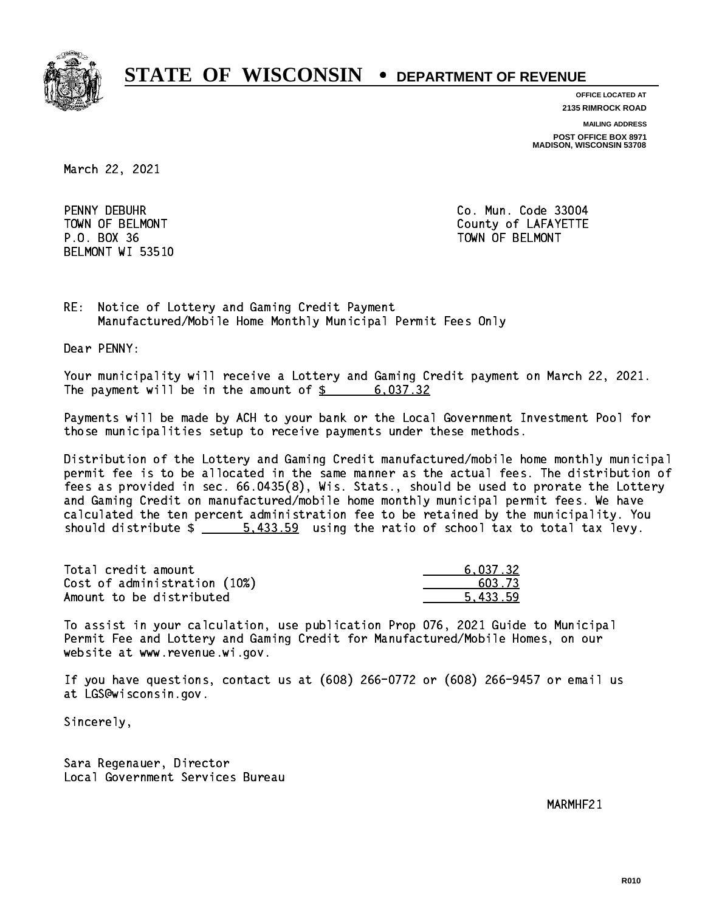

**OFFICE LOCATED AT**

**2135 RIMROCK ROAD**

**MAILING ADDRESS**

**POST OFFICE BOX 8971 MADISON, WISCONSIN 53708**

March 22, 2021

PENNY DEBUHR BELMONT WI 53510

Co. Mun. Code 33004 TOWN OF BELMONT COUNTY COUNTY OF LAFAYETTE P.O. BOX 36 TOWN OF BELMONT

RE: Notice of Lottery and Gaming Credit Payment Manufactured/Mobile Home Monthly Municipal Permit Fees Only

Dear PENNY:

 Your municipality will receive a Lottery and Gaming Credit payment on March 22, 2021. The payment will be in the amount of  $\frac{2}{3}$  6,037.32

 Payments will be made by ACH to your bank or the Local Government Investment Pool for those municipalities setup to receive payments under these methods.

 Distribution of the Lottery and Gaming Credit manufactured/mobile home monthly municipal permit fee is to be allocated in the same manner as the actual fees. The distribution of fees as provided in sec. 66.0435(8), Wis. Stats., should be used to prorate the Lottery and Gaming Credit on manufactured/mobile home monthly municipal permit fees. We have calculated the ten percent administration fee to be retained by the municipality. You should distribute  $\frac{2}{1}$   $\frac{5.433.59}{2}$  using the ratio of school tax to total tax levy.

| Total credit amount          | 6.037.32 |
|------------------------------|----------|
| Cost of administration (10%) | 603.73   |
| Amount to be distributed     | 5.433.59 |

 To assist in your calculation, use publication Prop 076, 2021 Guide to Municipal Permit Fee and Lottery and Gaming Credit for Manufactured/Mobile Homes, on our website at www.revenue.wi.gov.

 If you have questions, contact us at (608) 266-0772 or (608) 266-9457 or email us at LGS@wisconsin.gov.

Sincerely,

 Sara Regenauer, Director Local Government Services Bureau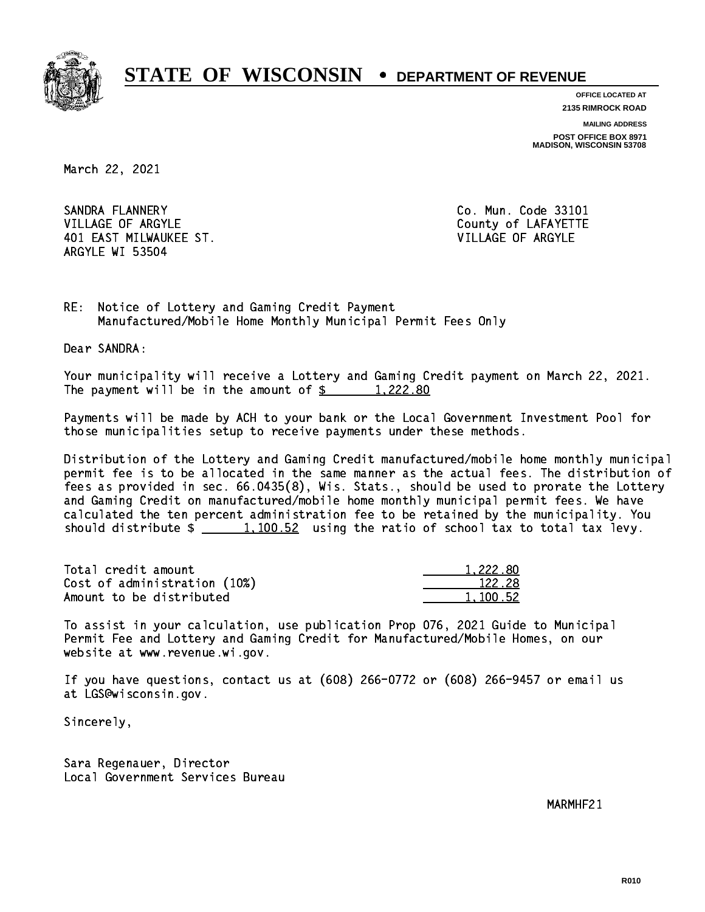

**OFFICE LOCATED AT**

**2135 RIMROCK ROAD**

**MAILING ADDRESS POST OFFICE BOX 8971 MADISON, WISCONSIN 53708**

March 22, 2021

SANDRA FLANNERY VILLAGE OF ARGYLE COUNTY OF LAFAYETTE 401 EAST MILWAUKEE ST. VILLAGE OF ARGYLE ARGYLE WI 53504

Co. Mun. Code 33101

RE: Notice of Lottery and Gaming Credit Payment Manufactured/Mobile Home Monthly Municipal Permit Fees Only

Dear SANDRA:

 Your municipality will receive a Lottery and Gaming Credit payment on March 22, 2021. The payment will be in the amount of  $\frac{222.80}{1,222.80}$ 

 Payments will be made by ACH to your bank or the Local Government Investment Pool for those municipalities setup to receive payments under these methods.

 Distribution of the Lottery and Gaming Credit manufactured/mobile home monthly municipal permit fee is to be allocated in the same manner as the actual fees. The distribution of fees as provided in sec. 66.0435(8), Wis. Stats., should be used to prorate the Lottery and Gaming Credit on manufactured/mobile home monthly municipal permit fees. We have calculated the ten percent administration fee to be retained by the municipality. You should distribute  $\frac{1,100.52}{1,100.52}$  using the ratio of school tax to total tax levy.

| Total credit amount          | 1,222.80 |
|------------------------------|----------|
| Cost of administration (10%) | 122.28   |
| Amount to be distributed     | 1.100.52 |

 To assist in your calculation, use publication Prop 076, 2021 Guide to Municipal Permit Fee and Lottery and Gaming Credit for Manufactured/Mobile Homes, on our website at www.revenue.wi.gov.

 If you have questions, contact us at (608) 266-0772 or (608) 266-9457 or email us at LGS@wisconsin.gov.

Sincerely,

 Sara Regenauer, Director Local Government Services Bureau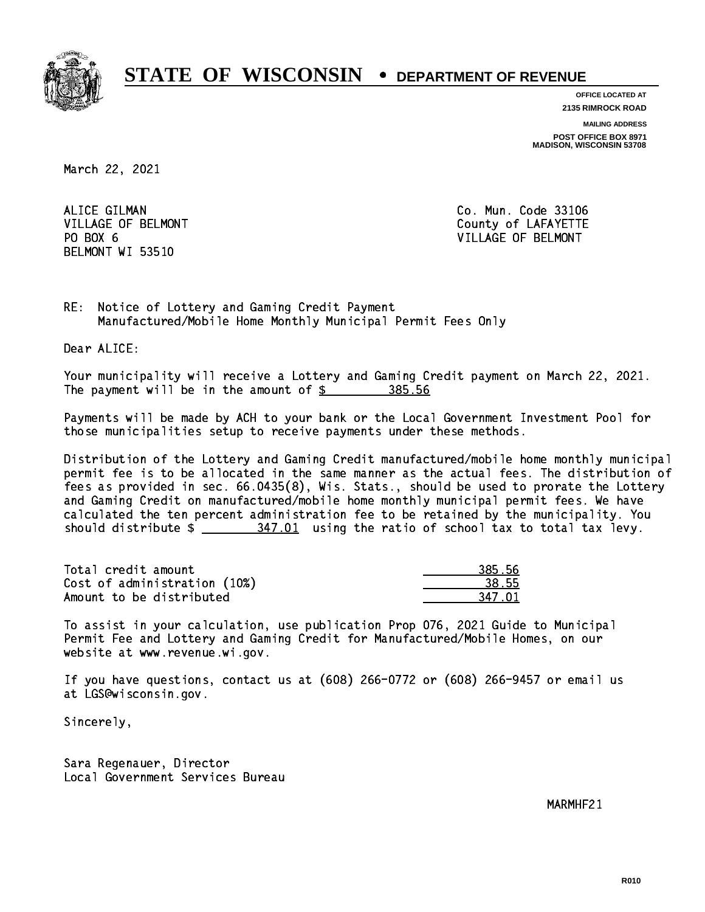

**OFFICE LOCATED AT**

**2135 RIMROCK ROAD**

**MAILING ADDRESS**

**POST OFFICE BOX 8971 MADISON, WISCONSIN 53708**

March 22, 2021

ALICE GILMAN PO BOX 6 BELMONT WI 53510

Co. Mun. Code 33106 VILLAGE OF BELMONT COUNTS AND THE COUNTY OF LAFAYETTE VILLAGE OF BELMONT

RE: Notice of Lottery and Gaming Credit Payment Manufactured/Mobile Home Monthly Municipal Permit Fees Only

Dear ALICE:

 Your municipality will receive a Lottery and Gaming Credit payment on March 22, 2021. The payment will be in the amount of \$ 385.56 \_\_\_\_\_\_\_\_\_\_\_\_\_\_\_\_

 Payments will be made by ACH to your bank or the Local Government Investment Pool for those municipalities setup to receive payments under these methods.

 Distribution of the Lottery and Gaming Credit manufactured/mobile home monthly municipal permit fee is to be allocated in the same manner as the actual fees. The distribution of fees as provided in sec. 66.0435(8), Wis. Stats., should be used to prorate the Lottery and Gaming Credit on manufactured/mobile home monthly municipal permit fees. We have calculated the ten percent administration fee to be retained by the municipality. You should distribute  $\frac{247.01}{100}$  using the ratio of school tax to total tax levy.

Total credit amount Cost of administration (10%) Amount to be distributed

| 15. 56 |
|--------|
| 55     |
| .7 N1  |

 To assist in your calculation, use publication Prop 076, 2021 Guide to Municipal Permit Fee and Lottery and Gaming Credit for Manufactured/Mobile Homes, on our website at www.revenue.wi.gov.

 If you have questions, contact us at (608) 266-0772 or (608) 266-9457 or email us at LGS@wisconsin.gov.

Sincerely,

 Sara Regenauer, Director Local Government Services Bureau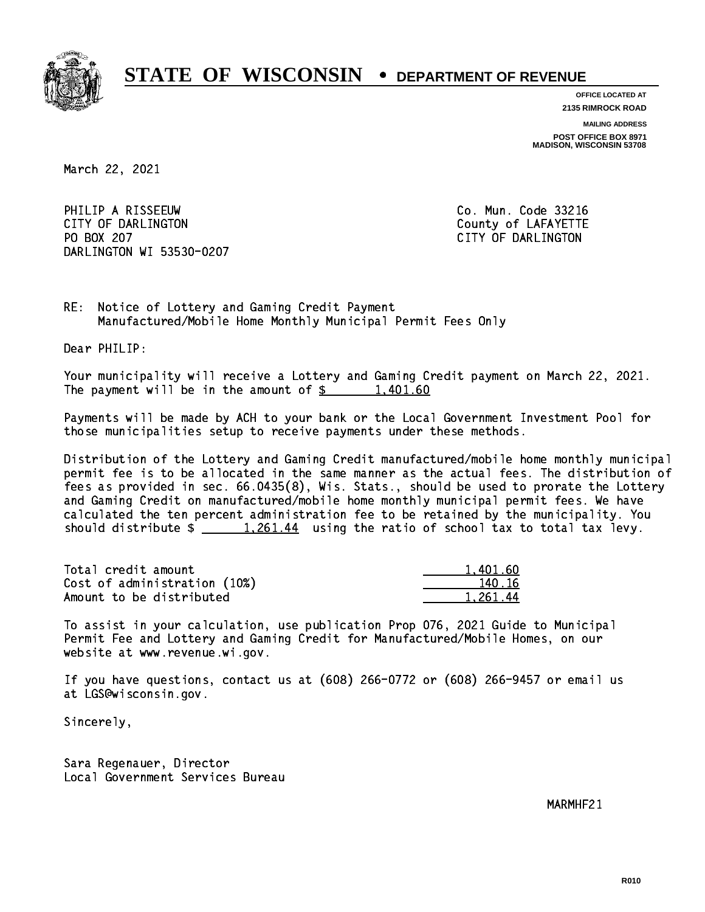

**OFFICE LOCATED AT 2135 RIMROCK ROAD**

**MAILING ADDRESS**

**POST OFFICE BOX 8971 MADISON, WISCONSIN 53708**

March 22, 2021

PHILIP A RISSEEUW Co. Mun. Code 33216 CITY OF DARLINGTON County of LAFAYETTE PO BOX 207 DARLINGTON WI 53530-0207

CITY OF DARLINGTON

RE: Notice of Lottery and Gaming Credit Payment Manufactured/Mobile Home Monthly Municipal Permit Fees Only

Dear PHILIP:

 Your municipality will receive a Lottery and Gaming Credit payment on March 22, 2021. The payment will be in the amount of  $\frac{2}{3}$  1,401.60

 Payments will be made by ACH to your bank or the Local Government Investment Pool for those municipalities setup to receive payments under these methods.

 Distribution of the Lottery and Gaming Credit manufactured/mobile home monthly municipal permit fee is to be allocated in the same manner as the actual fees. The distribution of fees as provided in sec. 66.0435(8), Wis. Stats., should be used to prorate the Lottery and Gaming Credit on manufactured/mobile home monthly municipal permit fees. We have calculated the ten percent administration fee to be retained by the municipality. You should distribute  $\frac{1,261.44}{1,261.44}$  using the ratio of school tax to total tax levy.

| Total credit amount          | 1.401.60 |
|------------------------------|----------|
| Cost of administration (10%) | 140.16   |
| Amount to be distributed     | 1.261.44 |

 To assist in your calculation, use publication Prop 076, 2021 Guide to Municipal Permit Fee and Lottery and Gaming Credit for Manufactured/Mobile Homes, on our website at www.revenue.wi.gov.

 If you have questions, contact us at (608) 266-0772 or (608) 266-9457 or email us at LGS@wisconsin.gov.

Sincerely,

 Sara Regenauer, Director Local Government Services Bureau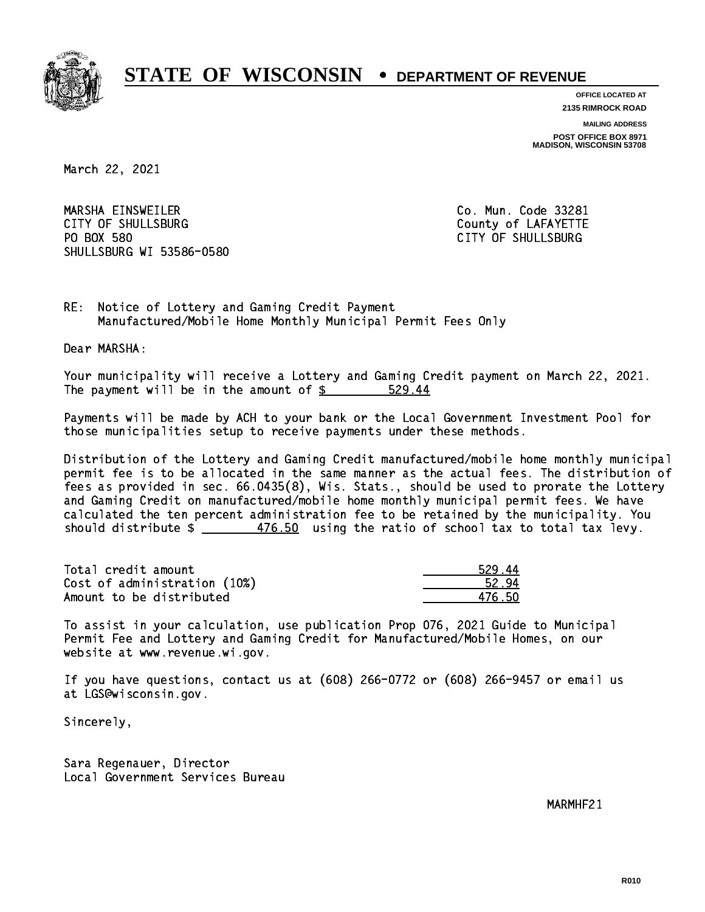

**OFFICE LOCATED AT**

**2135 RIMROCK ROAD**

**MAILING ADDRESS**

**POST OFFICE BOX 8971 MADISON, WISCONSIN 53708**

March 22, 2021

 MARSHA EINSWEILER Co. Mun. Code 33281 CITY OF SHULLSBURG COUNTY COUNTY OF LAFAYETTE PO BOX 580 SHULLSBURG WI 53586-0580

CITY OF SHULLSBURG

RE: Notice of Lottery and Gaming Credit Payment Manufactured/Mobile Home Monthly Municipal Permit Fees Only

Dear MARSHA:

 Your municipality will receive a Lottery and Gaming Credit payment on March 22, 2021. The payment will be in the amount of  $$ 529.44$ 

 Payments will be made by ACH to your bank or the Local Government Investment Pool for those municipalities setup to receive payments under these methods.

 Distribution of the Lottery and Gaming Credit manufactured/mobile home monthly municipal permit fee is to be allocated in the same manner as the actual fees. The distribution of fees as provided in sec. 66.0435(8), Wis. Stats., should be used to prorate the Lottery and Gaming Credit on manufactured/mobile home monthly municipal permit fees. We have calculated the ten percent administration fee to be retained by the municipality. You should distribute  $\frac{2}{1}$   $\frac{476.50}{2}$  using the ratio of school tax to total tax levy.

Total credit amount Cost of administration (10%) Amount to be distributed

| 529.       |
|------------|
| 52.5       |
| ה ג<br>n 1 |

 To assist in your calculation, use publication Prop 076, 2021 Guide to Municipal Permit Fee and Lottery and Gaming Credit for Manufactured/Mobile Homes, on our website at www.revenue.wi.gov.

 If you have questions, contact us at (608) 266-0772 or (608) 266-9457 or email us at LGS@wisconsin.gov.

Sincerely,

 Sara Regenauer, Director Local Government Services Bureau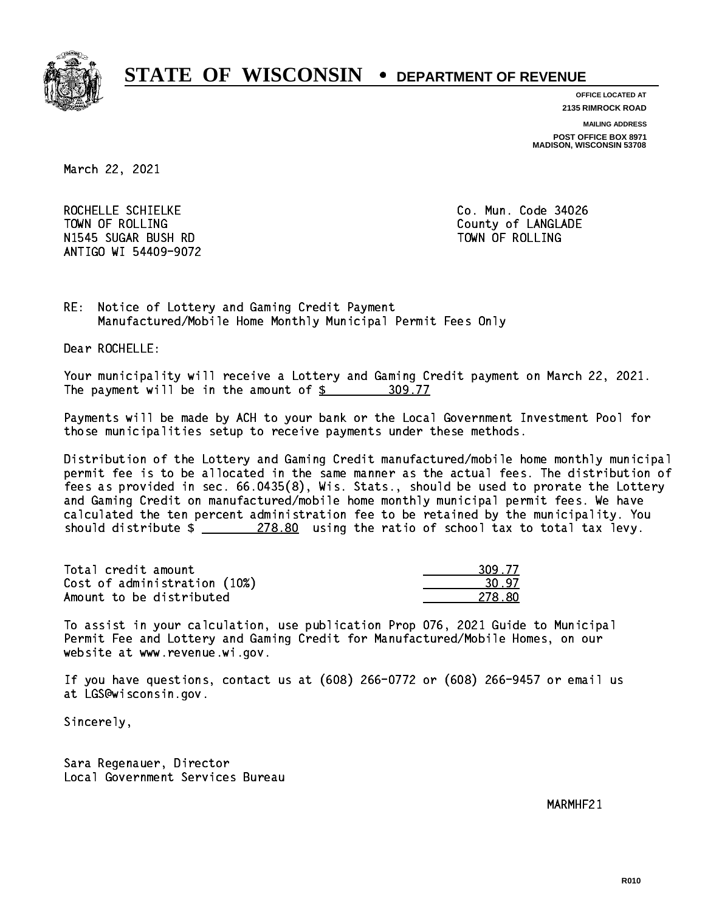

**OFFICE LOCATED AT**

**2135 RIMROCK ROAD**

**MAILING ADDRESS**

**POST OFFICE BOX 8971 MADISON, WISCONSIN 53708**

March 22, 2021

ROCHELLE SCHIELKE CO. Mun. Code 34026 TOWN OF ROLLING **COUNTY OF ROLLING**  N1545 SUGAR BUSH RD TOWN OF ROLLING ANTIGO WI 54409-9072

RE: Notice of Lottery and Gaming Credit Payment Manufactured/Mobile Home Monthly Municipal Permit Fees Only

Dear ROCHELLE:

 Your municipality will receive a Lottery and Gaming Credit payment on March 22, 2021. The payment will be in the amount of \$ 309.77 \_\_\_\_\_\_\_\_\_\_\_\_\_\_\_\_

 Payments will be made by ACH to your bank or the Local Government Investment Pool for those municipalities setup to receive payments under these methods.

 Distribution of the Lottery and Gaming Credit manufactured/mobile home monthly municipal permit fee is to be allocated in the same manner as the actual fees. The distribution of fees as provided in sec. 66.0435(8), Wis. Stats., should be used to prorate the Lottery and Gaming Credit on manufactured/mobile home monthly municipal permit fees. We have calculated the ten percent administration fee to be retained by the municipality. You should distribute  $\frac{278.80}{278.80}$  using the ratio of school tax to total tax levy.

Total credit amount 309.77  $Cost of administration (10%)$  30.97 Amount to be distributed **278.80** 

 To assist in your calculation, use publication Prop 076, 2021 Guide to Municipal Permit Fee and Lottery and Gaming Credit for Manufactured/Mobile Homes, on our website at www.revenue.wi.gov.

 If you have questions, contact us at (608) 266-0772 or (608) 266-9457 or email us at LGS@wisconsin.gov.

Sincerely,

 Sara Regenauer, Director Local Government Services Bureau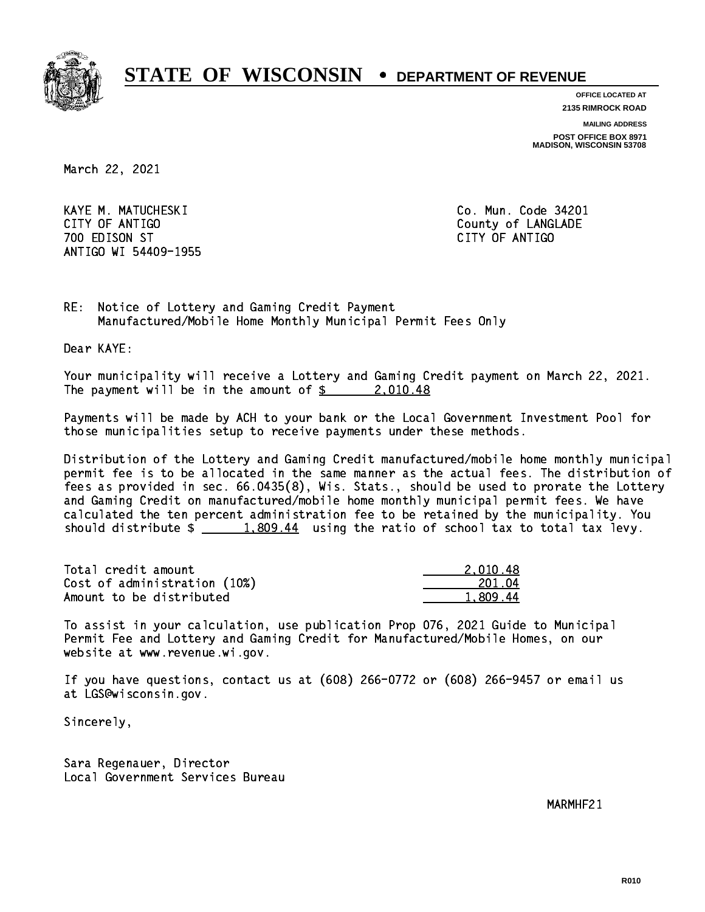

**OFFICE LOCATED AT**

**2135 RIMROCK ROAD**

**MAILING ADDRESS**

**POST OFFICE BOX 8971 MADISON, WISCONSIN 53708**

March 22, 2021

 KAYE M. MATUCHESKI Co. Mun. Code 34201 CITY OF ANTIGO COUNTY OF ANTIGO 700 EDISON ST CITY OF ANTIGO ANTIGO WI 54409-1955

RE: Notice of Lottery and Gaming Credit Payment Manufactured/Mobile Home Monthly Municipal Permit Fees Only

Dear KAYE:

 Your municipality will receive a Lottery and Gaming Credit payment on March 22, 2021. The payment will be in the amount of \$ 2,010.48 \_\_\_\_\_\_\_\_\_\_\_\_\_\_\_\_

 Payments will be made by ACH to your bank or the Local Government Investment Pool for those municipalities setup to receive payments under these methods.

 Distribution of the Lottery and Gaming Credit manufactured/mobile home monthly municipal permit fee is to be allocated in the same manner as the actual fees. The distribution of fees as provided in sec. 66.0435(8), Wis. Stats., should be used to prorate the Lottery and Gaming Credit on manufactured/mobile home monthly municipal permit fees. We have calculated the ten percent administration fee to be retained by the municipality. You should distribute  $\frac{1,809.44}{1,809.44}$  using the ratio of school tax to total tax levy.

| Total credit amount          | 2.010.48 |
|------------------------------|----------|
| Cost of administration (10%) | 201.04   |
| Amount to be distributed     | 1.809.44 |

 To assist in your calculation, use publication Prop 076, 2021 Guide to Municipal Permit Fee and Lottery and Gaming Credit for Manufactured/Mobile Homes, on our website at www.revenue.wi.gov.

 If you have questions, contact us at (608) 266-0772 or (608) 266-9457 or email us at LGS@wisconsin.gov.

Sincerely,

 Sara Regenauer, Director Local Government Services Bureau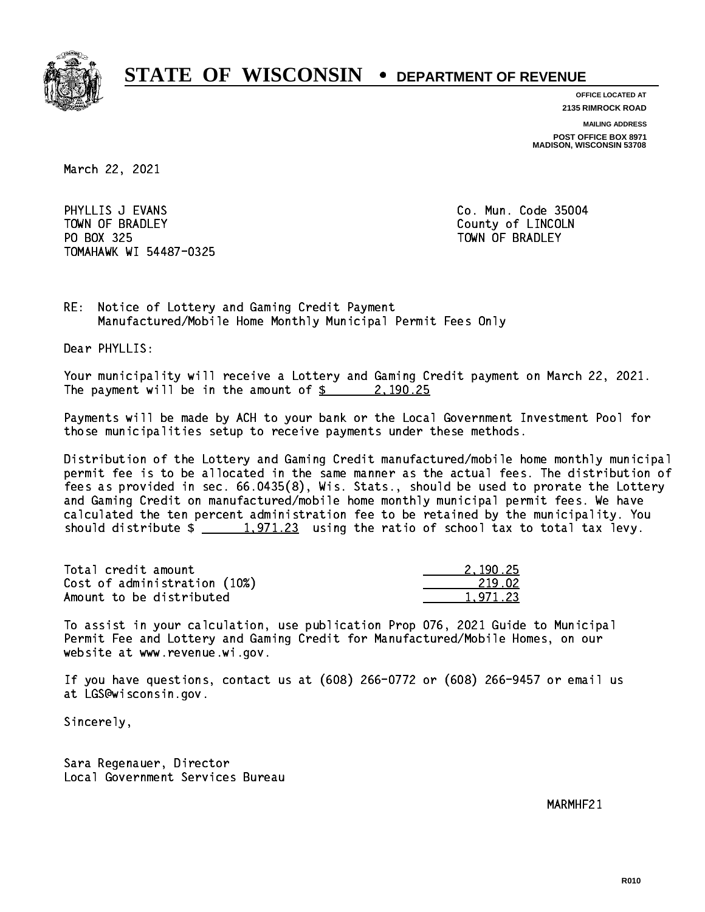

**OFFICE LOCATED AT**

**2135 RIMROCK ROAD**

**MAILING ADDRESS**

**POST OFFICE BOX 8971 MADISON, WISCONSIN 53708**

March 22, 2021

PHYLLIS J EVANS **Co. Mun. Code 35004** TOWN OF BRADLEY **COUNTY COULD AND ACCOUNT OF COULD A** PO BOX 325 PO BOX 325 TOWN OF BRADLEY TOMAHAWK WI 54487-0325

RE: Notice of Lottery and Gaming Credit Payment Manufactured/Mobile Home Monthly Municipal Permit Fees Only

Dear PHYLLIS:

 Your municipality will receive a Lottery and Gaming Credit payment on March 22, 2021. The payment will be in the amount of  $\frac{2}{3}$  2,190.25

 Payments will be made by ACH to your bank or the Local Government Investment Pool for those municipalities setup to receive payments under these methods.

 Distribution of the Lottery and Gaming Credit manufactured/mobile home monthly municipal permit fee is to be allocated in the same manner as the actual fees. The distribution of fees as provided in sec. 66.0435(8), Wis. Stats., should be used to prorate the Lottery and Gaming Credit on manufactured/mobile home monthly municipal permit fees. We have calculated the ten percent administration fee to be retained by the municipality. You should distribute  $\frac{1,971.23}{1,971.23}$  using the ratio of school tax to total tax levy.

| Total credit amount          | 2.190.25 |
|------------------------------|----------|
| Cost of administration (10%) | 219.02   |
| Amount to be distributed     | 1.971.23 |

 To assist in your calculation, use publication Prop 076, 2021 Guide to Municipal Permit Fee and Lottery and Gaming Credit for Manufactured/Mobile Homes, on our website at www.revenue.wi.gov.

 If you have questions, contact us at (608) 266-0772 or (608) 266-9457 or email us at LGS@wisconsin.gov.

Sincerely,

 Sara Regenauer, Director Local Government Services Bureau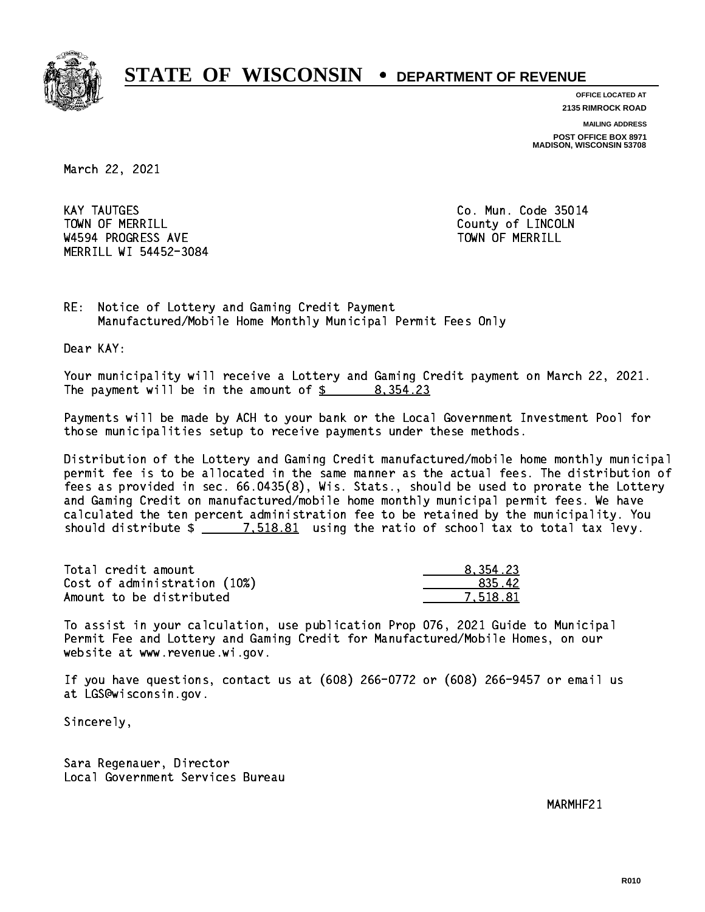

**OFFICE LOCATED AT**

**2135 RIMROCK ROAD**

**MAILING ADDRESS POST OFFICE BOX 8971 MADISON, WISCONSIN 53708**

March 22, 2021

**KAY TAUTGES** TOWN OF MERRILL **TOWN OF MERRILL** W4594 PROGRESS AVE TOWN OF MERRILL MERRILL WI 54452-3084

Co. Mun. Code 35014

RE: Notice of Lottery and Gaming Credit Payment Manufactured/Mobile Home Monthly Municipal Permit Fees Only

Dear KAY:

 Your municipality will receive a Lottery and Gaming Credit payment on March 22, 2021. The payment will be in the amount of  $\frac{2}{3}$  8,354.23

 Payments will be made by ACH to your bank or the Local Government Investment Pool for those municipalities setup to receive payments under these methods.

 Distribution of the Lottery and Gaming Credit manufactured/mobile home monthly municipal permit fee is to be allocated in the same manner as the actual fees. The distribution of fees as provided in sec. 66.0435(8), Wis. Stats., should be used to prorate the Lottery and Gaming Credit on manufactured/mobile home monthly municipal permit fees. We have calculated the ten percent administration fee to be retained by the municipality. You should distribute  $\frac{2}{1.518.81}$  using the ratio of school tax to total tax levy.

| Total credit amount          | 8.354.23 |
|------------------------------|----------|
| Cost of administration (10%) | 835.42   |
| Amount to be distributed     | 7.518.81 |

 To assist in your calculation, use publication Prop 076, 2021 Guide to Municipal Permit Fee and Lottery and Gaming Credit for Manufactured/Mobile Homes, on our website at www.revenue.wi.gov.

 If you have questions, contact us at (608) 266-0772 or (608) 266-9457 or email us at LGS@wisconsin.gov.

Sincerely,

 Sara Regenauer, Director Local Government Services Bureau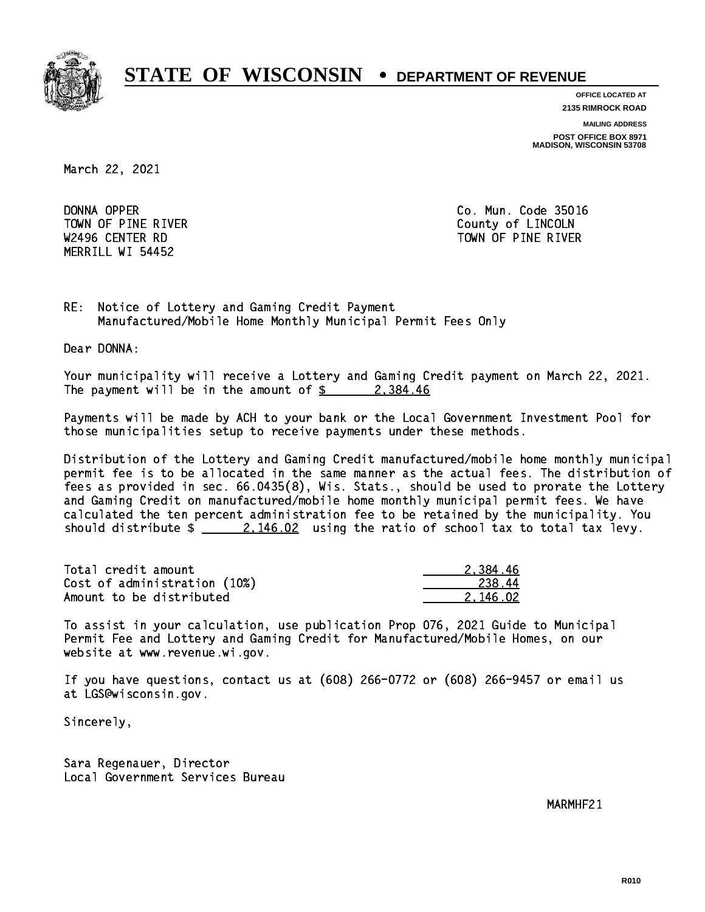

**OFFICE LOCATED AT**

**2135 RIMROCK ROAD**

**MAILING ADDRESS**

**POST OFFICE BOX 8971 MADISON, WISCONSIN 53708**

March 22, 2021

DONNA OPPER TOWN OF PINE RIVER **COUNTY OF LINCOLN** MERRILL WI 54452

Co. Mun. Code 35016 W2496 CENTER RD TOWN OF PINE RIVER

RE: Notice of Lottery and Gaming Credit Payment Manufactured/Mobile Home Monthly Municipal Permit Fees Only

Dear DONNA:

 Your municipality will receive a Lottery and Gaming Credit payment on March 22, 2021. The payment will be in the amount of  $\frac{2}{3}$  2,384.46

 Payments will be made by ACH to your bank or the Local Government Investment Pool for those municipalities setup to receive payments under these methods.

 Distribution of the Lottery and Gaming Credit manufactured/mobile home monthly municipal permit fee is to be allocated in the same manner as the actual fees. The distribution of fees as provided in sec. 66.0435(8), Wis. Stats., should be used to prorate the Lottery and Gaming Credit on manufactured/mobile home monthly municipal permit fees. We have calculated the ten percent administration fee to be retained by the municipality. You should distribute  $\frac{2.146.02}{2.146.02}$  using the ratio of school tax to total tax levy.

| Total credit amount          | 2.384.46 |
|------------------------------|----------|
| Cost of administration (10%) | 238.44   |
| Amount to be distributed     | 2.146.02 |

 To assist in your calculation, use publication Prop 076, 2021 Guide to Municipal Permit Fee and Lottery and Gaming Credit for Manufactured/Mobile Homes, on our website at www.revenue.wi.gov.

 If you have questions, contact us at (608) 266-0772 or (608) 266-9457 or email us at LGS@wisconsin.gov.

Sincerely,

 Sara Regenauer, Director Local Government Services Bureau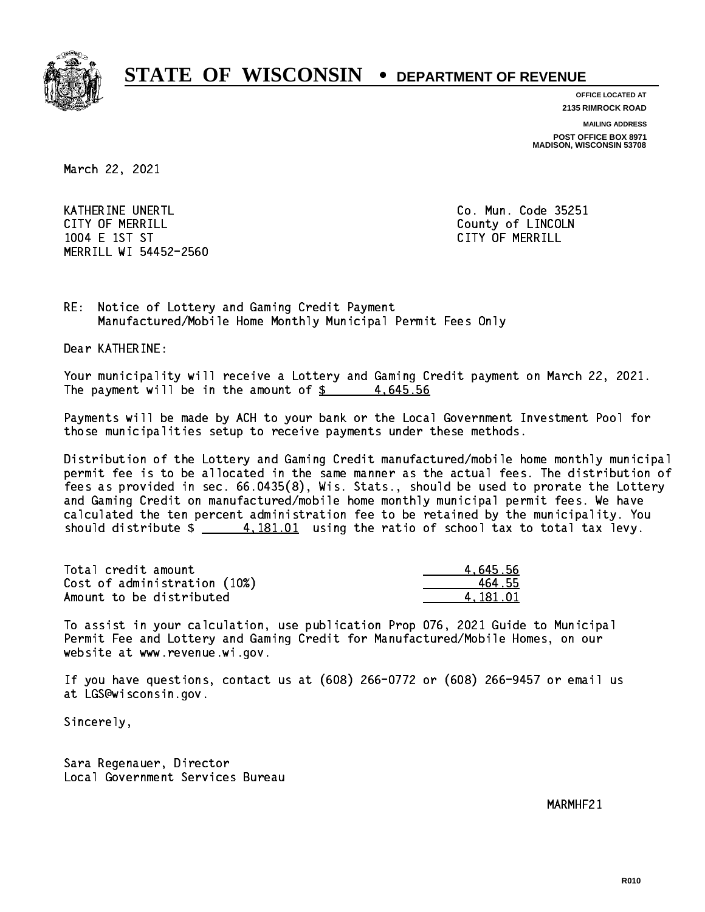

**OFFICE LOCATED AT**

**2135 RIMROCK ROAD**

**MAILING ADDRESS**

**POST OFFICE BOX 8971 MADISON, WISCONSIN 53708**

March 22, 2021

KATHERINE UNERTL Communication of the contract of the contract of the code 25251 CITY OF MERRILL **COUNTY COUNTY OF LINCOLN**  1004 E 1ST ST CITY OF MERRILL MERRILL WI 54452-2560

RE: Notice of Lottery and Gaming Credit Payment Manufactured/Mobile Home Monthly Municipal Permit Fees Only

Dear KATHERINE:

 Your municipality will receive a Lottery and Gaming Credit payment on March 22, 2021. The payment will be in the amount of  $\frac{2}{3}$  4,645.56

 Payments will be made by ACH to your bank or the Local Government Investment Pool for those municipalities setup to receive payments under these methods.

 Distribution of the Lottery and Gaming Credit manufactured/mobile home monthly municipal permit fee is to be allocated in the same manner as the actual fees. The distribution of fees as provided in sec. 66.0435(8), Wis. Stats., should be used to prorate the Lottery and Gaming Credit on manufactured/mobile home monthly municipal permit fees. We have calculated the ten percent administration fee to be retained by the municipality. You should distribute  $\frac{4.181.01}{2}$  using the ratio of school tax to total tax levy.

| Total credit amount          | 4.645.56 |
|------------------------------|----------|
| Cost of administration (10%) | 464.55   |
| Amount to be distributed     | 4.181.01 |

 To assist in your calculation, use publication Prop 076, 2021 Guide to Municipal Permit Fee and Lottery and Gaming Credit for Manufactured/Mobile Homes, on our website at www.revenue.wi.gov.

 If you have questions, contact us at (608) 266-0772 or (608) 266-9457 or email us at LGS@wisconsin.gov.

Sincerely,

 Sara Regenauer, Director Local Government Services Bureau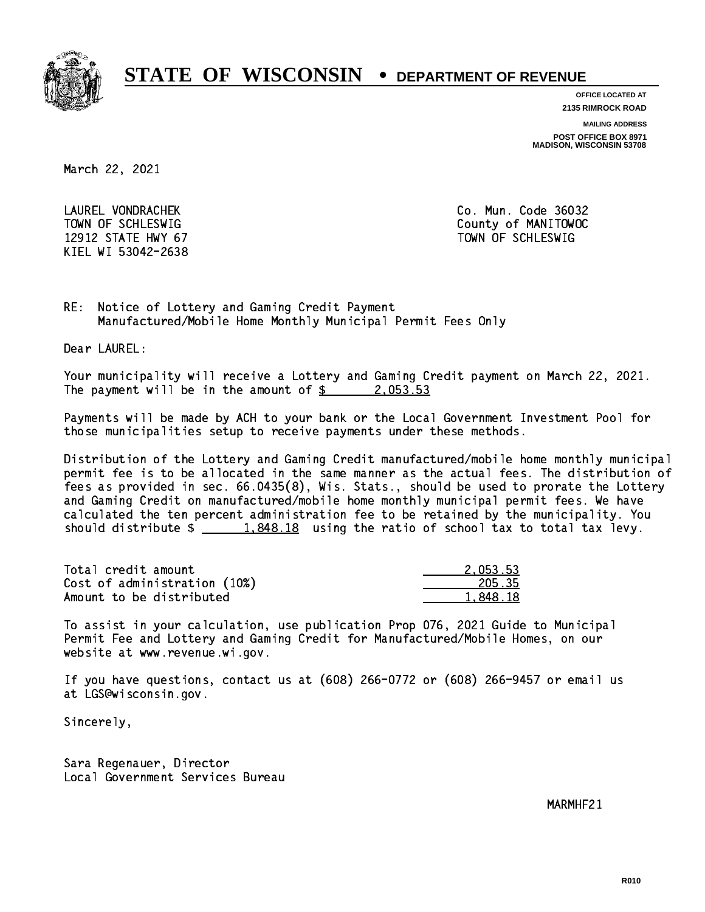

**OFFICE LOCATED AT**

**2135 RIMROCK ROAD**

**MAILING ADDRESS**

**POST OFFICE BOX 8971 MADISON, WISCONSIN 53708**

March 22, 2021

 LAUREL VONDRACHEK Co. Mun. Code 36032 12912 STATE HWY 67 TOWN OF SCHLESWIG KIEL WI 53042-2638

TOWN OF SCHLESWIG County of MANITOWOC

RE: Notice of Lottery and Gaming Credit Payment Manufactured/Mobile Home Monthly Municipal Permit Fees Only

Dear LAUREL:

 Your municipality will receive a Lottery and Gaming Credit payment on March 22, 2021. The payment will be in the amount of  $\frac{2}{3}$  2,053.53

 Payments will be made by ACH to your bank or the Local Government Investment Pool for those municipalities setup to receive payments under these methods.

 Distribution of the Lottery and Gaming Credit manufactured/mobile home monthly municipal permit fee is to be allocated in the same manner as the actual fees. The distribution of fees as provided in sec. 66.0435(8), Wis. Stats., should be used to prorate the Lottery and Gaming Credit on manufactured/mobile home monthly municipal permit fees. We have calculated the ten percent administration fee to be retained by the municipality. You should distribute  $\frac{1.848.18}{1.848.18}$  using the ratio of school tax to total tax levy.

| Total credit amount          | 2.053.53 |
|------------------------------|----------|
| Cost of administration (10%) | 205.35   |
| Amount to be distributed     | 1.848.18 |

 To assist in your calculation, use publication Prop 076, 2021 Guide to Municipal Permit Fee and Lottery and Gaming Credit for Manufactured/Mobile Homes, on our website at www.revenue.wi.gov.

 If you have questions, contact us at (608) 266-0772 or (608) 266-9457 or email us at LGS@wisconsin.gov.

Sincerely,

 Sara Regenauer, Director Local Government Services Bureau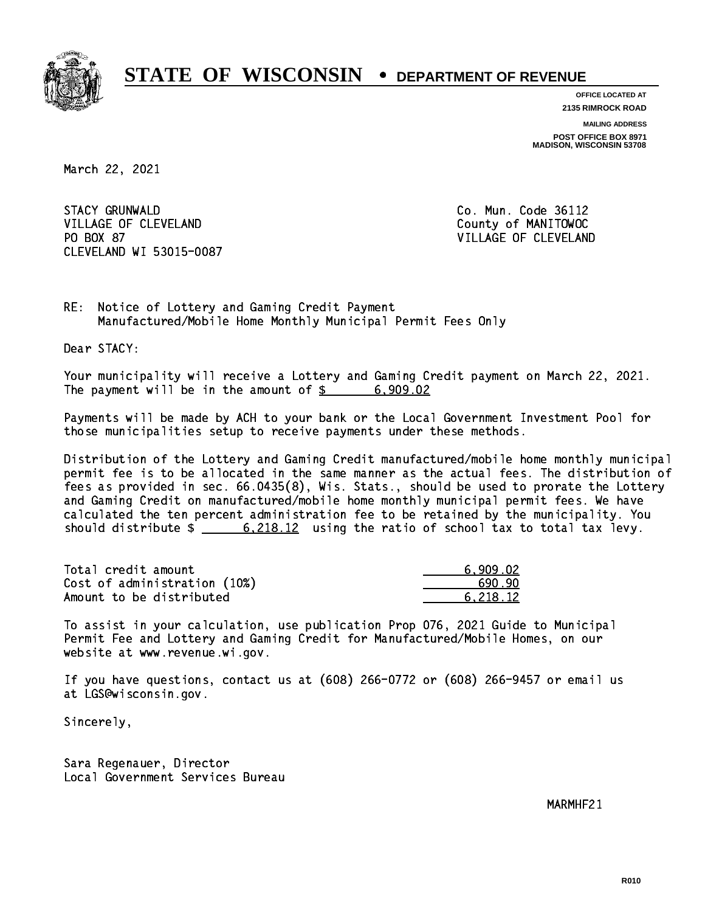

**OFFICE LOCATED AT 2135 RIMROCK ROAD**

**MAILING ADDRESS POST OFFICE BOX 8971 MADISON, WISCONSIN 53708**

March 22, 2021

**STACY GRUNWALD** VILLAGE OF CLEVELAND County of MANITOWOC PO BOX 87 CLEVELAND WI 53015-0087

Co. Mun. Code 36112 VILLAGE OF CLEVELAND

RE: Notice of Lottery and Gaming Credit Payment Manufactured/Mobile Home Monthly Municipal Permit Fees Only

Dear STACY:

 Your municipality will receive a Lottery and Gaming Credit payment on March 22, 2021. The payment will be in the amount of  $\frac{2}{3}$  6,909.02

 Payments will be made by ACH to your bank or the Local Government Investment Pool for those municipalities setup to receive payments under these methods.

 Distribution of the Lottery and Gaming Credit manufactured/mobile home monthly municipal permit fee is to be allocated in the same manner as the actual fees. The distribution of fees as provided in sec. 66.0435(8), Wis. Stats., should be used to prorate the Lottery and Gaming Credit on manufactured/mobile home monthly municipal permit fees. We have calculated the ten percent administration fee to be retained by the municipality. You should distribute  $\frac{2.218.12}{2}$  using the ratio of school tax to total tax levy.

| Total credit amount          | 6.909.02 |
|------------------------------|----------|
| Cost of administration (10%) | .690.90  |
| Amount to be distributed     | 6.218.12 |

 To assist in your calculation, use publication Prop 076, 2021 Guide to Municipal Permit Fee and Lottery and Gaming Credit for Manufactured/Mobile Homes, on our website at www.revenue.wi.gov.

 If you have questions, contact us at (608) 266-0772 or (608) 266-9457 or email us at LGS@wisconsin.gov.

Sincerely,

 Sara Regenauer, Director Local Government Services Bureau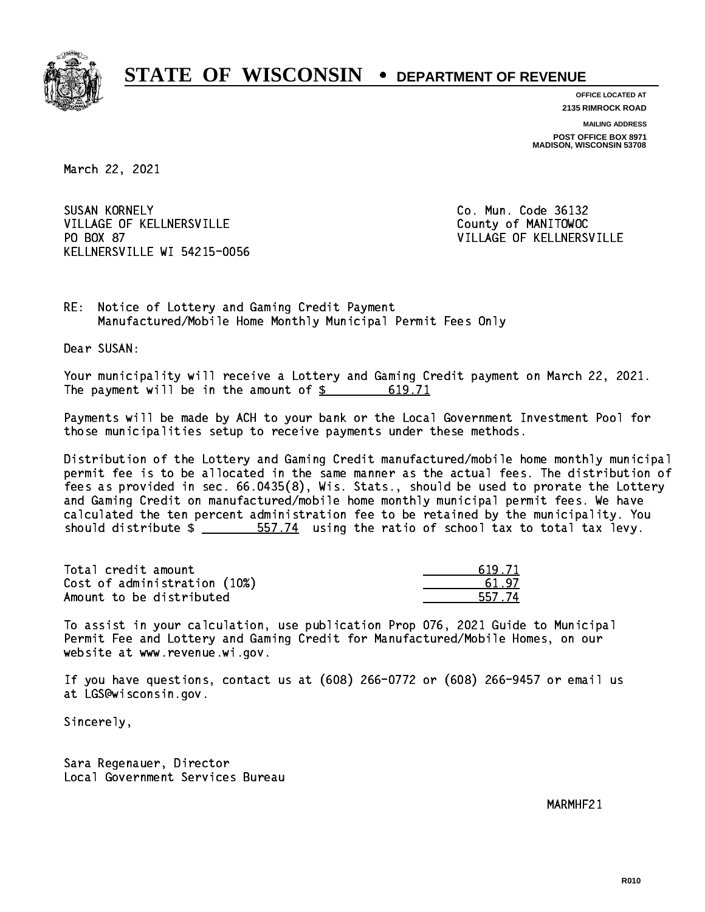

**OFFICE LOCATED AT 2135 RIMROCK ROAD**

**MAILING ADDRESS POST OFFICE BOX 8971 MADISON, WISCONSIN 53708**

March 22, 2021

**SUSAN KORNELY** VILLAGE OF KELLNERSVILLE COUNTY OF MANITOWOC PO BOX 87 KELLNERSVILLE WI 54215-0056

Co. Mun. Code 36132 VILLAGE OF KELLNERSVILLE

RE: Notice of Lottery and Gaming Credit Payment Manufactured/Mobile Home Monthly Municipal Permit Fees Only

Dear SUSAN:

 Your municipality will receive a Lottery and Gaming Credit payment on March 22, 2021. The payment will be in the amount of  $\frac{2}{3}$ 619.71

 Payments will be made by ACH to your bank or the Local Government Investment Pool for those municipalities setup to receive payments under these methods.

 Distribution of the Lottery and Gaming Credit manufactured/mobile home monthly municipal permit fee is to be allocated in the same manner as the actual fees. The distribution of fees as provided in sec. 66.0435(8), Wis. Stats., should be used to prorate the Lottery and Gaming Credit on manufactured/mobile home monthly municipal permit fees. We have calculated the ten percent administration fee to be retained by the municipality. You should distribute  $\frac{2}{1}$   $\frac{557.74}{2}$  using the ratio of school tax to total tax levy.

Total credit amount Cost of administration (10%) Amount to be distributed

| L 71  |
|-------|
| -97   |
| 57.74 |

 To assist in your calculation, use publication Prop 076, 2021 Guide to Municipal Permit Fee and Lottery and Gaming Credit for Manufactured/Mobile Homes, on our website at www.revenue.wi.gov.

 If you have questions, contact us at (608) 266-0772 or (608) 266-9457 or email us at LGS@wisconsin.gov.

Sincerely,

 Sara Regenauer, Director Local Government Services Bureau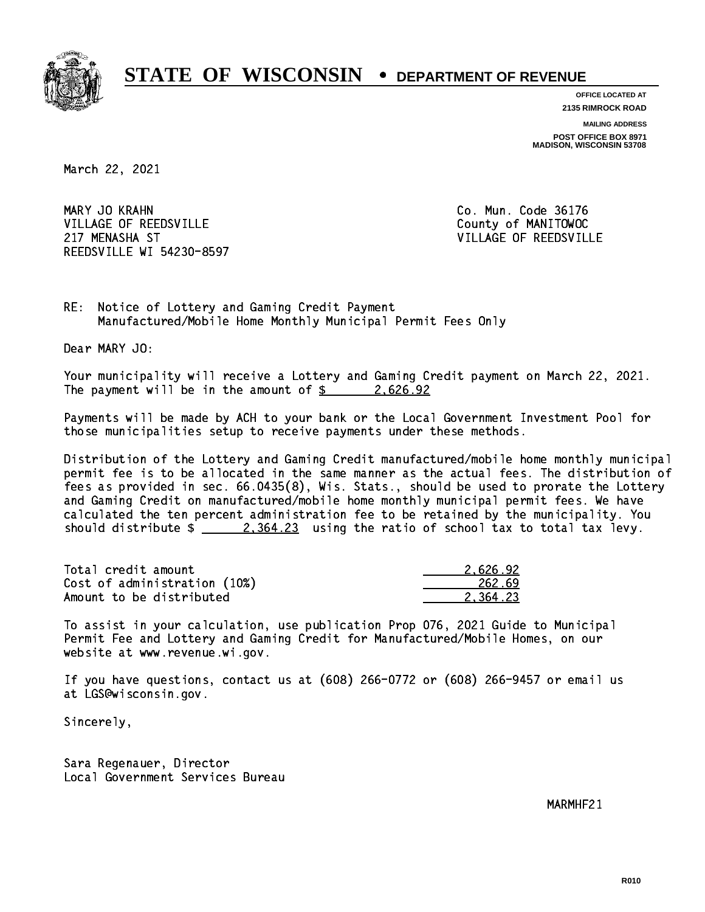

**OFFICE LOCATED AT**

**2135 RIMROCK ROAD**

**MAILING ADDRESS**

**POST OFFICE BOX 8971 MADISON, WISCONSIN 53708**

March 22, 2021

MARY JO KRAHN VILLAGE OF REEDSVILLE COUNTY OF MANITOWOC 217 MENASHA ST VILLAGE OF REEDSVILLE REEDSVILLE WI 54230-8597

Co. Mun. Code 36176

RE: Notice of Lottery and Gaming Credit Payment Manufactured/Mobile Home Monthly Municipal Permit Fees Only

Dear MARY JO:

 Your municipality will receive a Lottery and Gaming Credit payment on March 22, 2021. The payment will be in the amount of  $\frac{2.626.92}{2.626}$ 

 Payments will be made by ACH to your bank or the Local Government Investment Pool for those municipalities setup to receive payments under these methods.

 Distribution of the Lottery and Gaming Credit manufactured/mobile home monthly municipal permit fee is to be allocated in the same manner as the actual fees. The distribution of fees as provided in sec. 66.0435(8), Wis. Stats., should be used to prorate the Lottery and Gaming Credit on manufactured/mobile home monthly municipal permit fees. We have calculated the ten percent administration fee to be retained by the municipality. You should distribute  $\frac{2,364.23}{2}$  using the ratio of school tax to total tax levy.

| Total credit amount          | 2.626.92 |
|------------------------------|----------|
| Cost of administration (10%) | 262.69   |
| Amount to be distributed     | 2.364.23 |

 To assist in your calculation, use publication Prop 076, 2021 Guide to Municipal Permit Fee and Lottery and Gaming Credit for Manufactured/Mobile Homes, on our website at www.revenue.wi.gov.

 If you have questions, contact us at (608) 266-0772 or (608) 266-9457 or email us at LGS@wisconsin.gov.

Sincerely,

 Sara Regenauer, Director Local Government Services Bureau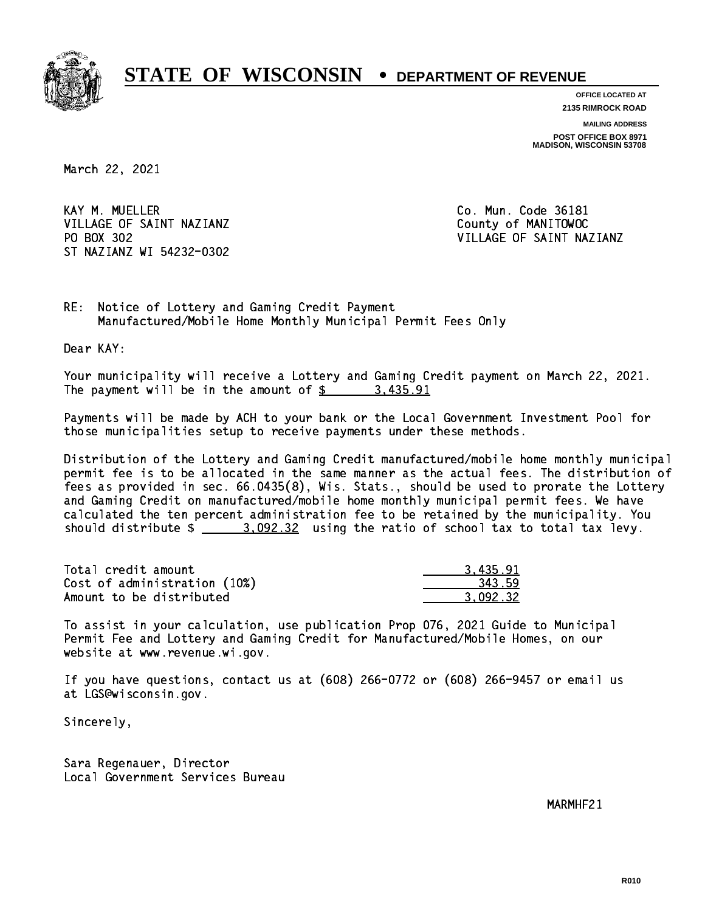

**OFFICE LOCATED AT 2135 RIMROCK ROAD**

**MAILING ADDRESS POST OFFICE BOX 8971 MADISON, WISCONSIN 53708**

March 22, 2021

KAY M. MUELLER VILLAGE OF SAINT NAZIANZ County of MANITOWOC PO BOX 302 ST NAZIANZ WI 54232-0302

Co. Mun. Code 36181 VILLAGE OF SAINT NAZIANZ

RE: Notice of Lottery and Gaming Credit Payment Manufactured/Mobile Home Monthly Municipal Permit Fees Only

Dear KAY:

 Your municipality will receive a Lottery and Gaming Credit payment on March 22, 2021. The payment will be in the amount of  $\frac{2}{3}$  3,435.91

 Payments will be made by ACH to your bank or the Local Government Investment Pool for those municipalities setup to receive payments under these methods.

 Distribution of the Lottery and Gaming Credit manufactured/mobile home monthly municipal permit fee is to be allocated in the same manner as the actual fees. The distribution of fees as provided in sec. 66.0435(8), Wis. Stats., should be used to prorate the Lottery and Gaming Credit on manufactured/mobile home monthly municipal permit fees. We have calculated the ten percent administration fee to be retained by the municipality. You should distribute  $\frac{2}{2}$   $\frac{3.092.32}{2}$  using the ratio of school tax to total tax levy.

| Total credit amount          | 3,435.91 |
|------------------------------|----------|
| Cost of administration (10%) | 343.59   |
| Amount to be distributed     | 3.092.32 |

 To assist in your calculation, use publication Prop 076, 2021 Guide to Municipal Permit Fee and Lottery and Gaming Credit for Manufactured/Mobile Homes, on our website at www.revenue.wi.gov.

 If you have questions, contact us at (608) 266-0772 or (608) 266-9457 or email us at LGS@wisconsin.gov.

Sincerely,

 Sara Regenauer, Director Local Government Services Bureau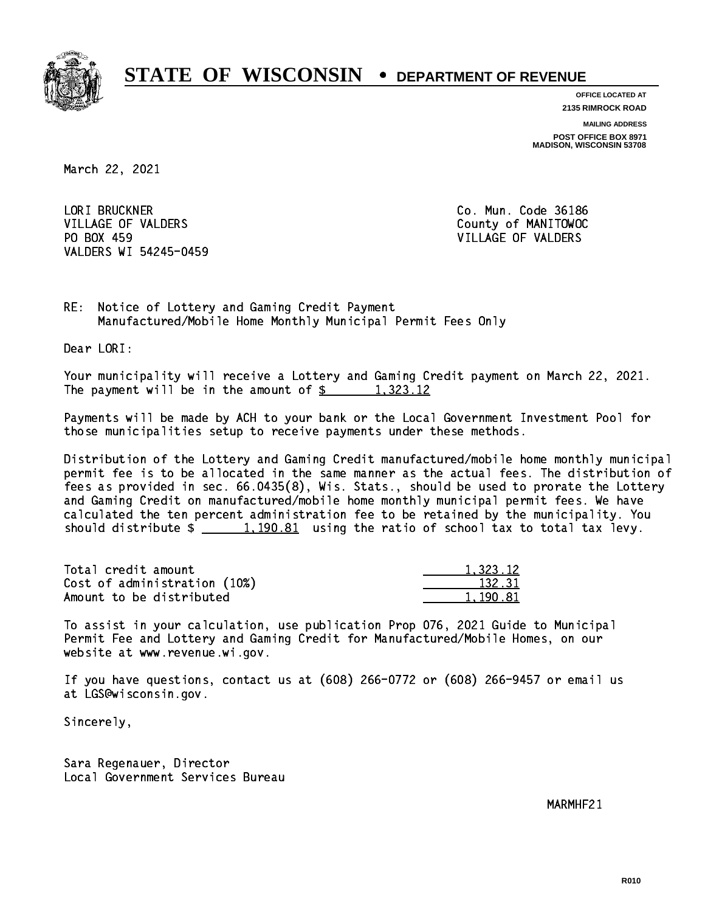

**OFFICE LOCATED AT**

**2135 RIMROCK ROAD**

**MAILING ADDRESS**

**POST OFFICE BOX 8971 MADISON, WISCONSIN 53708**

March 22, 2021

 LORI BRUCKNER Co. Mun. Code 36186 VILLAGE OF VALDERS COUNTY OF MANITOWOC PO BOX 459 VILLAGE OF VALDERS VALDERS WI 54245-0459

RE: Notice of Lottery and Gaming Credit Payment Manufactured/Mobile Home Monthly Municipal Permit Fees Only

Dear LORI:

 Your municipality will receive a Lottery and Gaming Credit payment on March 22, 2021. The payment will be in the amount of  $\frac{2}{3}$  1,323.12

 Payments will be made by ACH to your bank or the Local Government Investment Pool for those municipalities setup to receive payments under these methods.

 Distribution of the Lottery and Gaming Credit manufactured/mobile home monthly municipal permit fee is to be allocated in the same manner as the actual fees. The distribution of fees as provided in sec. 66.0435(8), Wis. Stats., should be used to prorate the Lottery and Gaming Credit on manufactured/mobile home monthly municipal permit fees. We have calculated the ten percent administration fee to be retained by the municipality. You should distribute  $\frac{1,190.81}{2}$  using the ratio of school tax to total tax levy.

| Total credit amount          | 1,323.12 |
|------------------------------|----------|
| Cost of administration (10%) | 132.31   |
| Amount to be distributed     | 1,190.81 |

 To assist in your calculation, use publication Prop 076, 2021 Guide to Municipal Permit Fee and Lottery and Gaming Credit for Manufactured/Mobile Homes, on our website at www.revenue.wi.gov.

 If you have questions, contact us at (608) 266-0772 or (608) 266-9457 or email us at LGS@wisconsin.gov.

Sincerely,

 Sara Regenauer, Director Local Government Services Bureau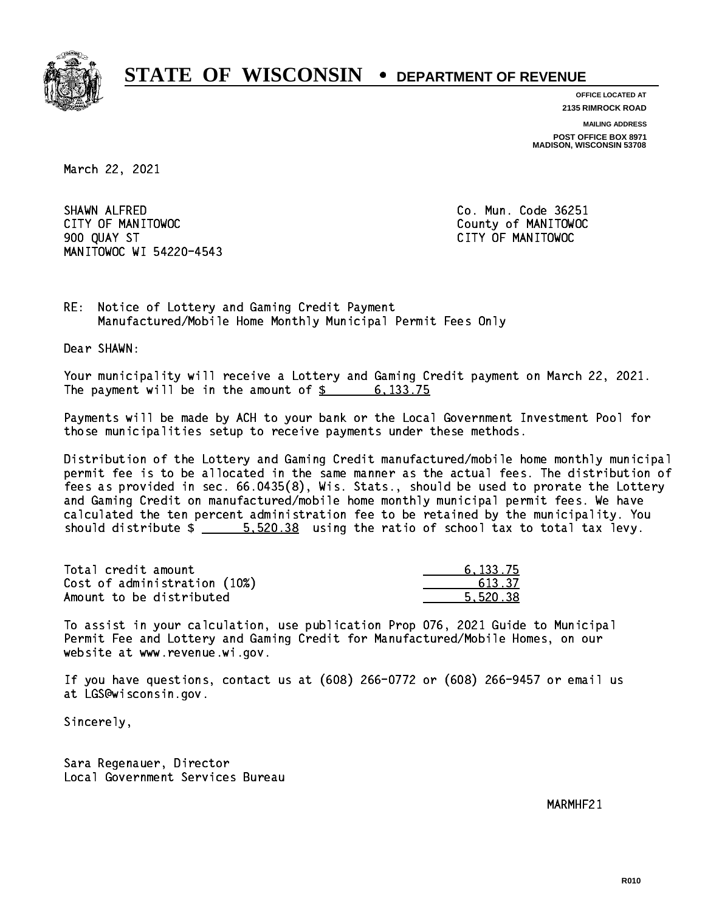

**OFFICE LOCATED AT 2135 RIMROCK ROAD**

**MAILING ADDRESS POST OFFICE BOX 8971 MADISON, WISCONSIN 53708**

March 22, 2021

 SHAWN ALFRED Co. Mun. Code 36251 CITY OF MANITOWOC County of MANITOWOC 900 QUAY ST CITY OF MANITOWOC MANITOWOC WI 54220-4543

RE: Notice of Lottery and Gaming Credit Payment Manufactured/Mobile Home Monthly Municipal Permit Fees Only

Dear SHAWN:

 Your municipality will receive a Lottery and Gaming Credit payment on March 22, 2021. The payment will be in the amount of \$ 6,133.75 \_\_\_\_\_\_\_\_\_\_\_\_\_\_\_\_

 Payments will be made by ACH to your bank or the Local Government Investment Pool for those municipalities setup to receive payments under these methods.

 Distribution of the Lottery and Gaming Credit manufactured/mobile home monthly municipal permit fee is to be allocated in the same manner as the actual fees. The distribution of fees as provided in sec. 66.0435(8), Wis. Stats., should be used to prorate the Lottery and Gaming Credit on manufactured/mobile home monthly municipal permit fees. We have calculated the ten percent administration fee to be retained by the municipality. You should distribute  $\frac{2}{1}$   $\frac{5.520.38}{2}$  using the ratio of school tax to total tax levy.

| Total credit amount          | 6.133.75 |
|------------------------------|----------|
| Cost of administration (10%) | 613.37   |
| Amount to be distributed     | 5.520.38 |

 To assist in your calculation, use publication Prop 076, 2021 Guide to Municipal Permit Fee and Lottery and Gaming Credit for Manufactured/Mobile Homes, on our website at www.revenue.wi.gov.

 If you have questions, contact us at (608) 266-0772 or (608) 266-9457 or email us at LGS@wisconsin.gov.

Sincerely,

 Sara Regenauer, Director Local Government Services Bureau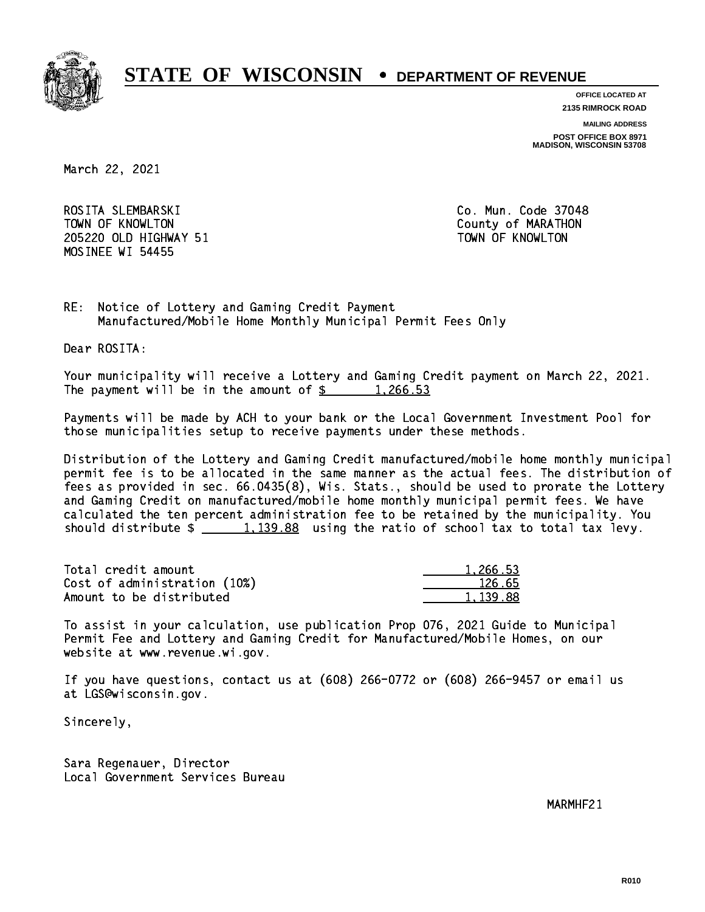

**OFFICE LOCATED AT**

**2135 RIMROCK ROAD**

**MAILING ADDRESS**

**POST OFFICE BOX 8971 MADISON, WISCONSIN 53708**

March 22, 2021

 ROSITA SLEMBARSKI Co. Mun. Code 37048 TOWN OF KNOWLTON County of MARATHON 205220 OLD HIGHWAY 51 TOWN OF KNOWLTON MOSINEE WI 54455

RE: Notice of Lottery and Gaming Credit Payment Manufactured/Mobile Home Monthly Municipal Permit Fees Only

Dear ROSITA:

 Your municipality will receive a Lottery and Gaming Credit payment on March 22, 2021. The payment will be in the amount of  $\frac{2}{3}$  1,266.53

 Payments will be made by ACH to your bank or the Local Government Investment Pool for those municipalities setup to receive payments under these methods.

 Distribution of the Lottery and Gaming Credit manufactured/mobile home monthly municipal permit fee is to be allocated in the same manner as the actual fees. The distribution of fees as provided in sec. 66.0435(8), Wis. Stats., should be used to prorate the Lottery and Gaming Credit on manufactured/mobile home monthly municipal permit fees. We have calculated the ten percent administration fee to be retained by the municipality. You should distribute  $\frac{2}{1,139.88}$  using the ratio of school tax to total tax levy.

| Total credit amount          | 1.266.53 |
|------------------------------|----------|
| Cost of administration (10%) | 126.65   |
| Amount to be distributed     | 1.139.88 |

 To assist in your calculation, use publication Prop 076, 2021 Guide to Municipal Permit Fee and Lottery and Gaming Credit for Manufactured/Mobile Homes, on our website at www.revenue.wi.gov.

 If you have questions, contact us at (608) 266-0772 or (608) 266-9457 or email us at LGS@wisconsin.gov.

Sincerely,

 Sara Regenauer, Director Local Government Services Bureau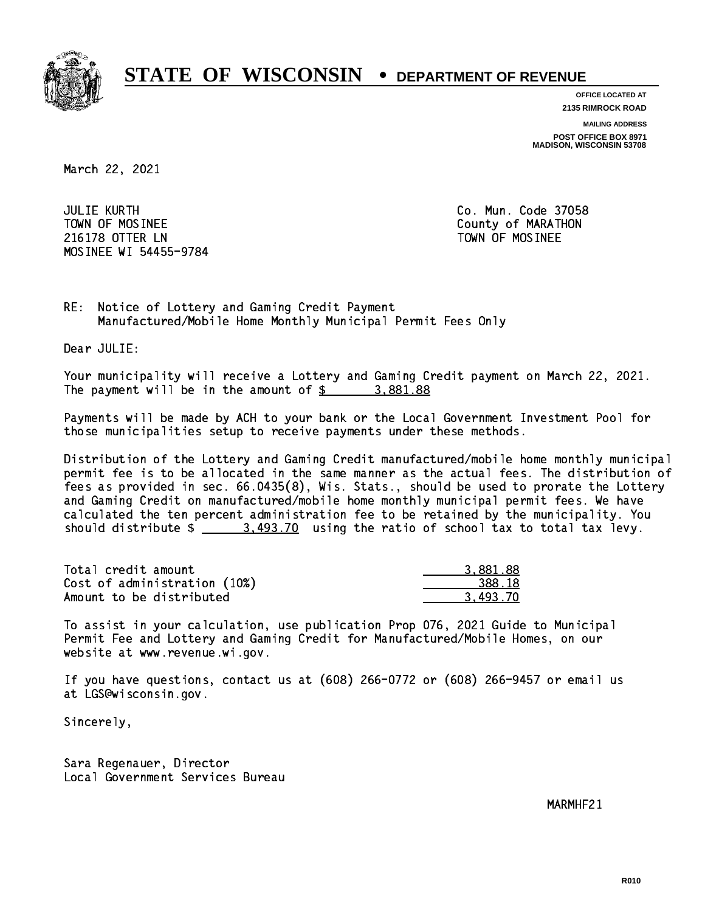

**OFFICE LOCATED AT**

**2135 RIMROCK ROAD**

**MAILING ADDRESS**

**POST OFFICE BOX 8971 MADISON, WISCONSIN 53708**

March 22, 2021

 JULIE KURTH Co. Mun. Code 37058 TOWN OF MOSINEE County of MARATHON 216178 OTTER LN TOWN OF MOSINEE MOSINEE WI 54455-9784

RE: Notice of Lottery and Gaming Credit Payment Manufactured/Mobile Home Monthly Municipal Permit Fees Only

Dear JULIE:

 Your municipality will receive a Lottery and Gaming Credit payment on March 22, 2021. The payment will be in the amount of  $\frac{2}{3}$  3,881.88

 Payments will be made by ACH to your bank or the Local Government Investment Pool for those municipalities setup to receive payments under these methods.

 Distribution of the Lottery and Gaming Credit manufactured/mobile home monthly municipal permit fee is to be allocated in the same manner as the actual fees. The distribution of fees as provided in sec. 66.0435(8), Wis. Stats., should be used to prorate the Lottery and Gaming Credit on manufactured/mobile home monthly municipal permit fees. We have calculated the ten percent administration fee to be retained by the municipality. You should distribute  $\frac{2}{1}$   $\frac{3.493.70}{2}$  using the ratio of school tax to total tax levy.

| Total credit amount          | 3.881.88 |
|------------------------------|----------|
| Cost of administration (10%) | 388.18   |
| Amount to be distributed     | 3.493.70 |

 To assist in your calculation, use publication Prop 076, 2021 Guide to Municipal Permit Fee and Lottery and Gaming Credit for Manufactured/Mobile Homes, on our website at www.revenue.wi.gov.

 If you have questions, contact us at (608) 266-0772 or (608) 266-9457 or email us at LGS@wisconsin.gov.

Sincerely,

 Sara Regenauer, Director Local Government Services Bureau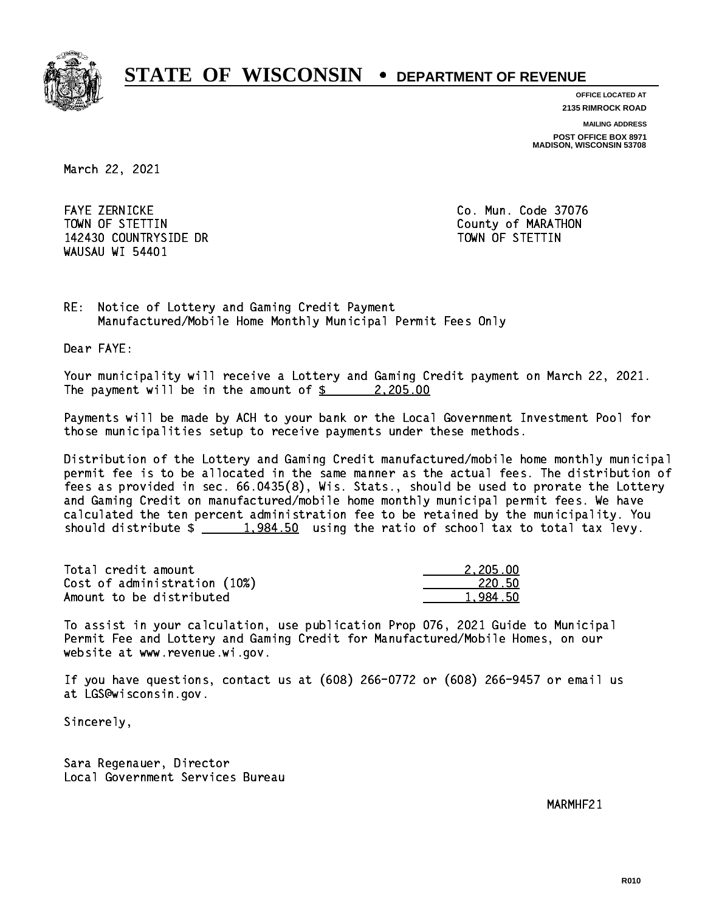

**OFFICE LOCATED AT**

**2135 RIMROCK ROAD**

**MAILING ADDRESS**

**POST OFFICE BOX 8971 MADISON, WISCONSIN 53708**

March 22, 2021

 FAYE ZERNICKE Co. Mun. Code 37076 TOWN OF STETTIN County of MARATHON 142430 COUNTRYSIDE DR TOWN OF STETTIN WAUSAU WI 54401

RE: Notice of Lottery and Gaming Credit Payment Manufactured/Mobile Home Monthly Municipal Permit Fees Only

Dear FAYE:

 Your municipality will receive a Lottery and Gaming Credit payment on March 22, 2021. The payment will be in the amount of  $\frac{2}{2}$  2,205.00

 Payments will be made by ACH to your bank or the Local Government Investment Pool for those municipalities setup to receive payments under these methods.

 Distribution of the Lottery and Gaming Credit manufactured/mobile home monthly municipal permit fee is to be allocated in the same manner as the actual fees. The distribution of fees as provided in sec. 66.0435(8), Wis. Stats., should be used to prorate the Lottery and Gaming Credit on manufactured/mobile home monthly municipal permit fees. We have calculated the ten percent administration fee to be retained by the municipality. You should distribute  $\frac{1,984.50}{1,984.50}$  using the ratio of school tax to total tax levy.

| Total credit amount          | 2,205.00 |
|------------------------------|----------|
| Cost of administration (10%) | 220.50   |
| Amount to be distributed     | 1,984.50 |

 To assist in your calculation, use publication Prop 076, 2021 Guide to Municipal Permit Fee and Lottery and Gaming Credit for Manufactured/Mobile Homes, on our website at www.revenue.wi.gov.

 If you have questions, contact us at (608) 266-0772 or (608) 266-9457 or email us at LGS@wisconsin.gov.

Sincerely,

 Sara Regenauer, Director Local Government Services Bureau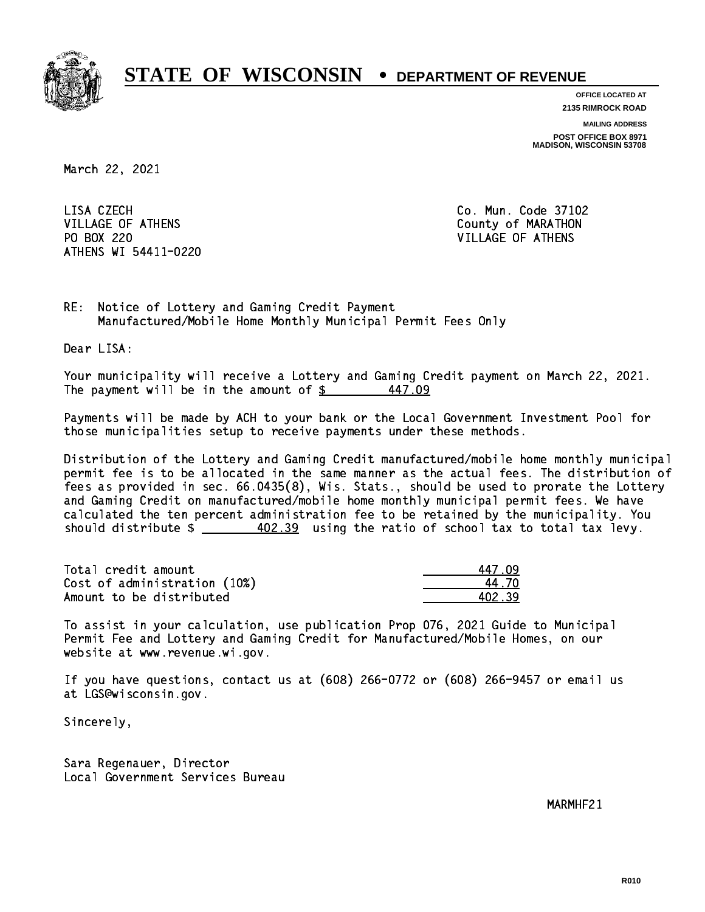

**OFFICE LOCATED AT 2135 RIMROCK ROAD**

**MAILING ADDRESS POST OFFICE BOX 8971 MADISON, WISCONSIN 53708**

March 22, 2021

LISA CZECH VILLAGE OF ATHENS County of MARATHON PO BOX 220 VILLAGE OF ATHENS ATHENS WI 54411-0220

Co. Mun. Code 37102

RE: Notice of Lottery and Gaming Credit Payment Manufactured/Mobile Home Monthly Municipal Permit Fees Only

Dear LISA:

 Your municipality will receive a Lottery and Gaming Credit payment on March 22, 2021. The payment will be in the amount of  $\frac{2}{3}$ 447.09

 Payments will be made by ACH to your bank or the Local Government Investment Pool for those municipalities setup to receive payments under these methods.

 Distribution of the Lottery and Gaming Credit manufactured/mobile home monthly municipal permit fee is to be allocated in the same manner as the actual fees. The distribution of fees as provided in sec. 66.0435(8), Wis. Stats., should be used to prorate the Lottery and Gaming Credit on manufactured/mobile home monthly municipal permit fees. We have calculated the ten percent administration fee to be retained by the municipality. You should distribute  $\frac{402.39}{102.39}$  using the ratio of school tax to total tax levy.

Total credit amount Cost of administration (10%) Amount to be distributed

| 17 N9 |
|-------|
| 47N   |
| N2 39 |

 To assist in your calculation, use publication Prop 076, 2021 Guide to Municipal Permit Fee and Lottery and Gaming Credit for Manufactured/Mobile Homes, on our website at www.revenue.wi.gov.

 If you have questions, contact us at (608) 266-0772 or (608) 266-9457 or email us at LGS@wisconsin.gov.

Sincerely,

 Sara Regenauer, Director Local Government Services Bureau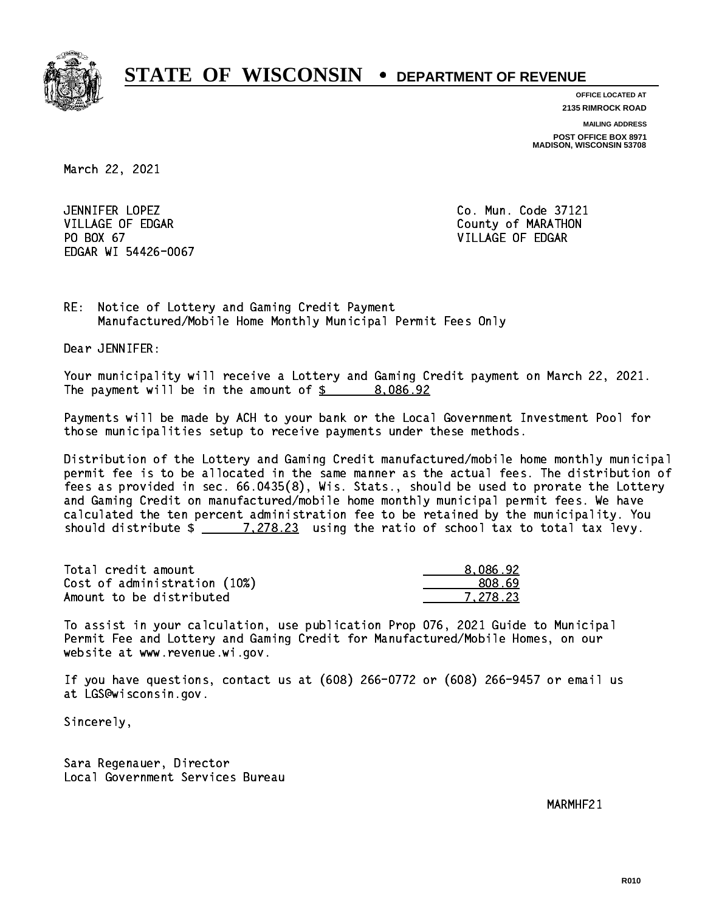

**OFFICE LOCATED AT**

**2135 RIMROCK ROAD**

**MAILING ADDRESS**

**POST OFFICE BOX 8971 MADISON, WISCONSIN 53708**

March 22, 2021

JENNIFER LOPEZ VILLAGE OF EDGAR County of MARATHON PO BOX 67 VILLAGE OF EDGAR EDGAR WI 54426-0067

Co. Mun. Code 37121

RE: Notice of Lottery and Gaming Credit Payment Manufactured/Mobile Home Monthly Municipal Permit Fees Only

Dear JENNIFER:

 Your municipality will receive a Lottery and Gaming Credit payment on March 22, 2021. The payment will be in the amount of  $\frac{2}{3}$  8,086.92

 Payments will be made by ACH to your bank or the Local Government Investment Pool for those municipalities setup to receive payments under these methods.

 Distribution of the Lottery and Gaming Credit manufactured/mobile home monthly municipal permit fee is to be allocated in the same manner as the actual fees. The distribution of fees as provided in sec. 66.0435(8), Wis. Stats., should be used to prorate the Lottery and Gaming Credit on manufactured/mobile home monthly municipal permit fees. We have calculated the ten percent administration fee to be retained by the municipality. You should distribute  $\frac{278.23}{1.278.23}$  using the ratio of school tax to total tax levy.

| Total credit amount          | 8.086.92 |
|------------------------------|----------|
| Cost of administration (10%) | 808.69   |
| Amount to be distributed     | 7.278.23 |

 To assist in your calculation, use publication Prop 076, 2021 Guide to Municipal Permit Fee and Lottery and Gaming Credit for Manufactured/Mobile Homes, on our website at www.revenue.wi.gov.

 If you have questions, contact us at (608) 266-0772 or (608) 266-9457 or email us at LGS@wisconsin.gov.

Sincerely,

 Sara Regenauer, Director Local Government Services Bureau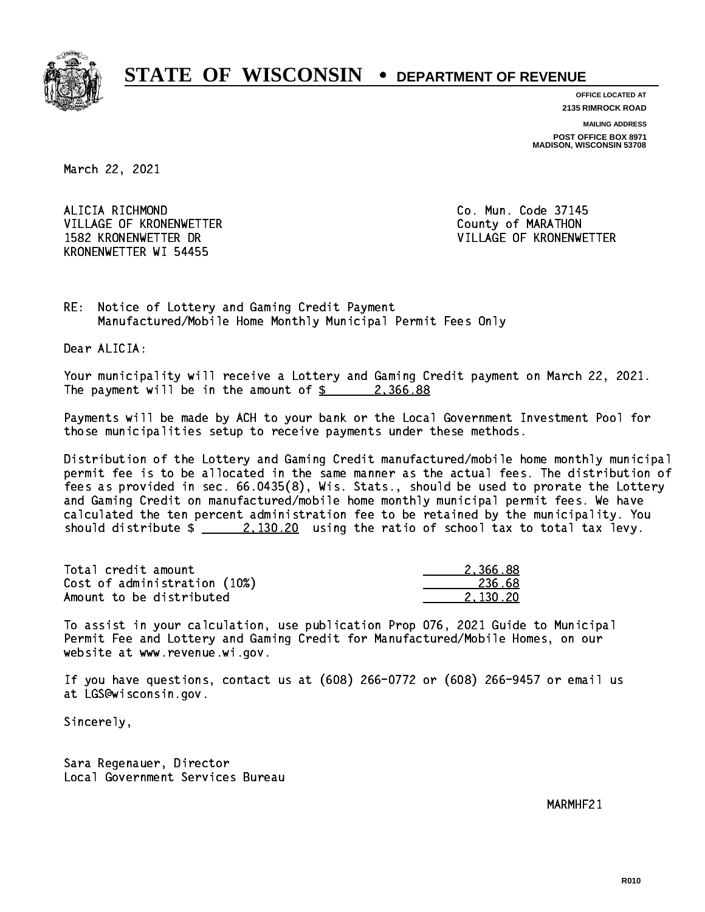

**OFFICE LOCATED AT 2135 RIMROCK ROAD**

**MAILING ADDRESS**

**POST OFFICE BOX 8971 MADISON, WISCONSIN 53708**

March 22, 2021

ALICIA RICHMOND VILLAGE OF KRONENWETTER County of MARATHON KRONENWETTER WI 54455

Co. Mun. Code 37145 1582 KRONENWETTER DR VILLAGE OF KRONENWETTER

RE: Notice of Lottery and Gaming Credit Payment Manufactured/Mobile Home Monthly Municipal Permit Fees Only

Dear ALICIA:

 Your municipality will receive a Lottery and Gaming Credit payment on March 22, 2021. The payment will be in the amount of  $\frac{2}{3}$  2,366.88

 Payments will be made by ACH to your bank or the Local Government Investment Pool for those municipalities setup to receive payments under these methods.

 Distribution of the Lottery and Gaming Credit manufactured/mobile home monthly municipal permit fee is to be allocated in the same manner as the actual fees. The distribution of fees as provided in sec. 66.0435(8), Wis. Stats., should be used to prorate the Lottery and Gaming Credit on manufactured/mobile home monthly municipal permit fees. We have calculated the ten percent administration fee to be retained by the municipality. You should distribute  $\frac{2}{2}$   $\frac{2,130.20}{2}$  using the ratio of school tax to total tax levy.

| Total credit amount          | 2.366.88 |
|------------------------------|----------|
| Cost of administration (10%) | 236.68   |
| Amount to be distributed     | 2.130.20 |

 To assist in your calculation, use publication Prop 076, 2021 Guide to Municipal Permit Fee and Lottery and Gaming Credit for Manufactured/Mobile Homes, on our website at www.revenue.wi.gov.

 If you have questions, contact us at (608) 266-0772 or (608) 266-9457 or email us at LGS@wisconsin.gov.

Sincerely,

 Sara Regenauer, Director Local Government Services Bureau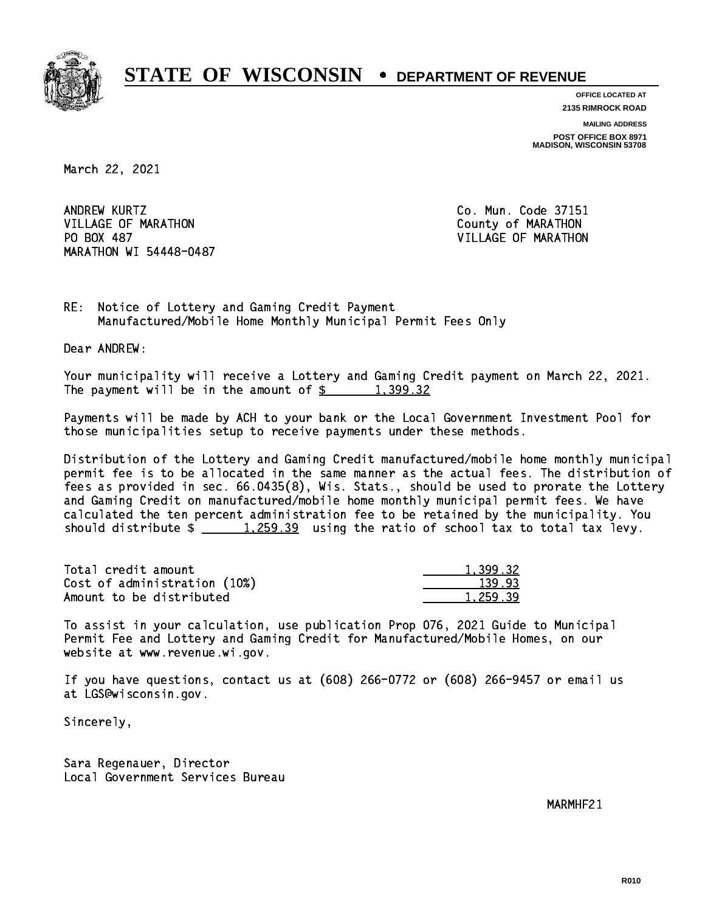

**OFFICE LOCATED AT 2135 RIMROCK ROAD**

**MAILING ADDRESS**

**POST OFFICE BOX 8971 MADISON, WISCONSIN 53708**

March 22, 2021

ANDREW KURTZ VILLAGE OF MARATHON COUNTY OF MARATHON PO BOX 487 MARATHON WI 54448-0487

Co. Mun. Code 37151 VILLAGE OF MARATHON

RE: Notice of Lottery and Gaming Credit Payment Manufactured/Mobile Home Monthly Municipal Permit Fees Only

Dear ANDREW:

 Your municipality will receive a Lottery and Gaming Credit payment on March 22, 2021. The payment will be in the amount of  $\frac{2}{3}$  1,399.32

 Payments will be made by ACH to your bank or the Local Government Investment Pool for those municipalities setup to receive payments under these methods.

 Distribution of the Lottery and Gaming Credit manufactured/mobile home monthly municipal permit fee is to be allocated in the same manner as the actual fees. The distribution of fees as provided in sec. 66.0435(8), Wis. Stats., should be used to prorate the Lottery and Gaming Credit on manufactured/mobile home monthly municipal permit fees. We have calculated the ten percent administration fee to be retained by the municipality. You should distribute  $\frac{1}{259.39}$  using the ratio of school tax to total tax levy.

| Total credit amount          | 1,399.32 |
|------------------------------|----------|
| Cost of administration (10%) | 139.93   |
| Amount to be distributed     | 1,259.39 |

 To assist in your calculation, use publication Prop 076, 2021 Guide to Municipal Permit Fee and Lottery and Gaming Credit for Manufactured/Mobile Homes, on our website at www.revenue.wi.gov.

 If you have questions, contact us at (608) 266-0772 or (608) 266-9457 or email us at LGS@wisconsin.gov.

Sincerely,

 Sara Regenauer, Director Local Government Services Bureau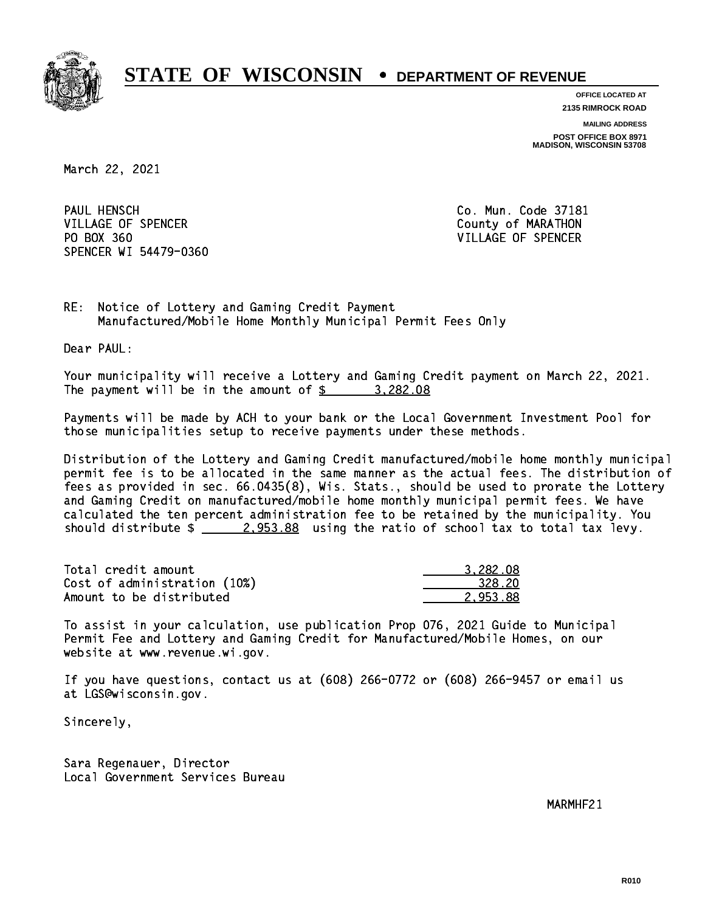

**OFFICE LOCATED AT 2135 RIMROCK ROAD**

**MAILING ADDRESS**

**POST OFFICE BOX 8971 MADISON, WISCONSIN 53708**

March 22, 2021

PAUL HENSCH VILLAGE OF SPENCER COUNTY OF MARATHON PO BOX 360 VILLAGE OF SPENCER SPENCER WI 54479-0360

Co. Mun. Code 37181

RE: Notice of Lottery and Gaming Credit Payment Manufactured/Mobile Home Monthly Municipal Permit Fees Only

Dear PAUL:

 Your municipality will receive a Lottery and Gaming Credit payment on March 22, 2021. The payment will be in the amount of  $\frac{2}{3}$  3,282.08

 Payments will be made by ACH to your bank or the Local Government Investment Pool for those municipalities setup to receive payments under these methods.

 Distribution of the Lottery and Gaming Credit manufactured/mobile home monthly municipal permit fee is to be allocated in the same manner as the actual fees. The distribution of fees as provided in sec. 66.0435(8), Wis. Stats., should be used to prorate the Lottery and Gaming Credit on manufactured/mobile home monthly municipal permit fees. We have calculated the ten percent administration fee to be retained by the municipality. You should distribute  $\frac{2.953.88}{2.253.88}$  using the ratio of school tax to total tax levy.

| Total credit amount          | 3.282.08 |
|------------------------------|----------|
| Cost of administration (10%) | 328.20   |
| Amount to be distributed     | 2.953.88 |

 To assist in your calculation, use publication Prop 076, 2021 Guide to Municipal Permit Fee and Lottery and Gaming Credit for Manufactured/Mobile Homes, on our website at www.revenue.wi.gov.

 If you have questions, contact us at (608) 266-0772 or (608) 266-9457 or email us at LGS@wisconsin.gov.

Sincerely,

 Sara Regenauer, Director Local Government Services Bureau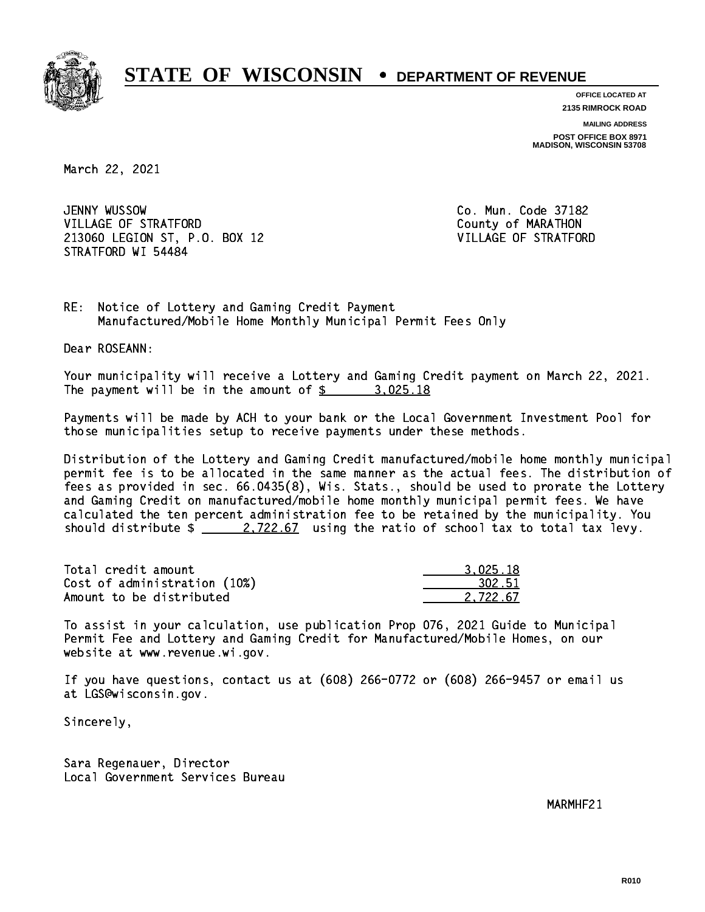

**OFFICE LOCATED AT 2135 RIMROCK ROAD**

**MAILING ADDRESS**

**POST OFFICE BOX 8971 MADISON, WISCONSIN 53708**

March 22, 2021

JENNY WUSSOW VILLAGE OF STRATFORD **COUNTY OF MARATHON**  213060 LEGION ST, P.O. BOX 12 VILLAGE OF STRATFORD STRATFORD WI 54484

Co. Mun. Code 37182

RE: Notice of Lottery and Gaming Credit Payment Manufactured/Mobile Home Monthly Municipal Permit Fees Only

Dear ROSEANN:

 Your municipality will receive a Lottery and Gaming Credit payment on March 22, 2021. The payment will be in the amount of  $\frac{2}{3}$  3,025.18

 Payments will be made by ACH to your bank or the Local Government Investment Pool for those municipalities setup to receive payments under these methods.

 Distribution of the Lottery and Gaming Credit manufactured/mobile home monthly municipal permit fee is to be allocated in the same manner as the actual fees. The distribution of fees as provided in sec. 66.0435(8), Wis. Stats., should be used to prorate the Lottery and Gaming Credit on manufactured/mobile home monthly municipal permit fees. We have calculated the ten percent administration fee to be retained by the municipality. You should distribute  $\frac{2.722.67}{ }$  using the ratio of school tax to total tax levy.

| Total credit amount          | 3.025.18 |
|------------------------------|----------|
| Cost of administration (10%) | 302.51   |
| Amount to be distributed     | 2.722.67 |

 To assist in your calculation, use publication Prop 076, 2021 Guide to Municipal Permit Fee and Lottery and Gaming Credit for Manufactured/Mobile Homes, on our website at www.revenue.wi.gov.

 If you have questions, contact us at (608) 266-0772 or (608) 266-9457 or email us at LGS@wisconsin.gov.

Sincerely,

 Sara Regenauer, Director Local Government Services Bureau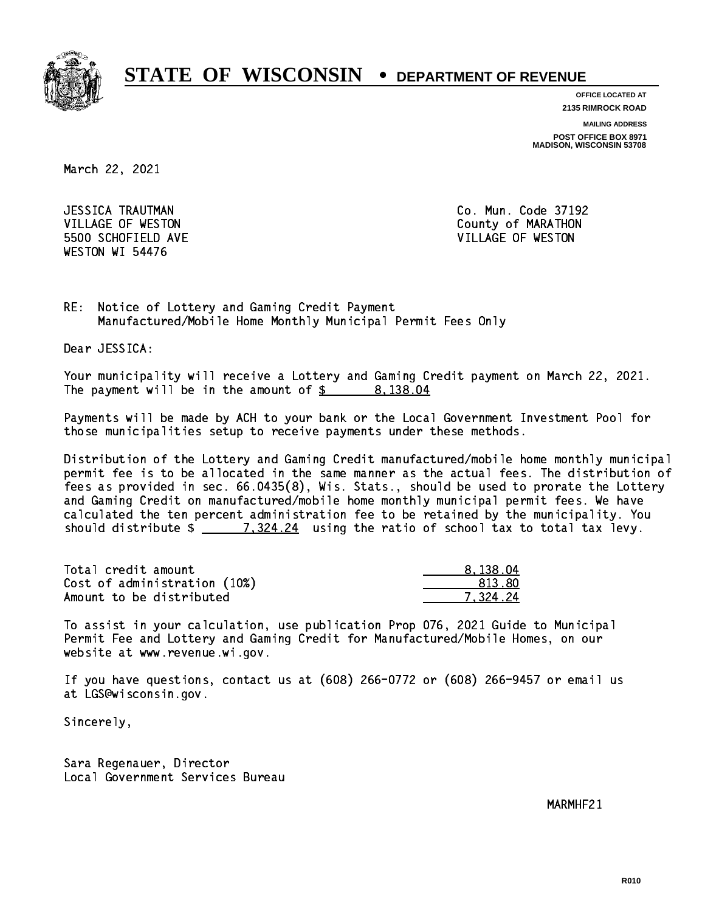

**OFFICE LOCATED AT**

**2135 RIMROCK ROAD**

**MAILING ADDRESS**

**POST OFFICE BOX 8971 MADISON, WISCONSIN 53708**

March 22, 2021

 JESSICA TRAUTMAN Co. Mun. Code 37192 5500 SCHOFIELD AVE VILLAGE OF WESTON WESTON WI 54476

VILLAGE OF WESTON COUNTY OF MARATHON

RE: Notice of Lottery and Gaming Credit Payment Manufactured/Mobile Home Monthly Municipal Permit Fees Only

Dear JESSICA:

 Your municipality will receive a Lottery and Gaming Credit payment on March 22, 2021. The payment will be in the amount of  $\frac{2}{3}$  8,138.04

 Payments will be made by ACH to your bank or the Local Government Investment Pool for those municipalities setup to receive payments under these methods.

 Distribution of the Lottery and Gaming Credit manufactured/mobile home monthly municipal permit fee is to be allocated in the same manner as the actual fees. The distribution of fees as provided in sec. 66.0435(8), Wis. Stats., should be used to prorate the Lottery and Gaming Credit on manufactured/mobile home monthly municipal permit fees. We have calculated the ten percent administration fee to be retained by the municipality. You should distribute  $\frac{2}{2}$   $\frac{7,324.24}{2}$  using the ratio of school tax to total tax levy.

| Total credit amount          | 8,138.04 |
|------------------------------|----------|
| Cost of administration (10%) | 813.80   |
| Amount to be distributed     | 7.324.24 |

 To assist in your calculation, use publication Prop 076, 2021 Guide to Municipal Permit Fee and Lottery and Gaming Credit for Manufactured/Mobile Homes, on our website at www.revenue.wi.gov.

 If you have questions, contact us at (608) 266-0772 or (608) 266-9457 or email us at LGS@wisconsin.gov.

Sincerely,

 Sara Regenauer, Director Local Government Services Bureau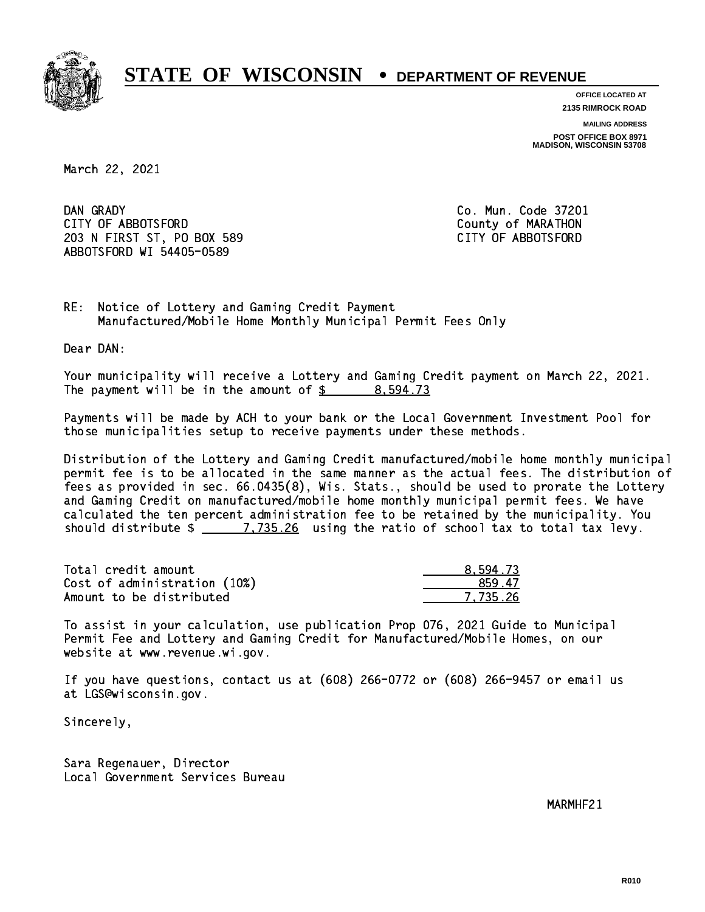

**OFFICE LOCATED AT**

**2135 RIMROCK ROAD**

**MAILING ADDRESS**

**POST OFFICE BOX 8971 MADISON, WISCONSIN 53708**

March 22, 2021

DAN GRADY CITY OF ABBOTSFORD County of MARATHON 203 N FIRST ST, PO BOX 589 CITY OF ABBOTSFORD ABBOTSFORD WI 54405-0589

Co. Mun. Code 37201

RE: Notice of Lottery and Gaming Credit Payment Manufactured/Mobile Home Monthly Municipal Permit Fees Only

Dear DAN:

 Your municipality will receive a Lottery and Gaming Credit payment on March 22, 2021. The payment will be in the amount of \$ 8,594.73 \_\_\_\_\_\_\_\_\_\_\_\_\_\_\_\_

 Payments will be made by ACH to your bank or the Local Government Investment Pool for those municipalities setup to receive payments under these methods.

 Distribution of the Lottery and Gaming Credit manufactured/mobile home monthly municipal permit fee is to be allocated in the same manner as the actual fees. The distribution of fees as provided in sec. 66.0435(8), Wis. Stats., should be used to prorate the Lottery and Gaming Credit on manufactured/mobile home monthly municipal permit fees. We have calculated the ten percent administration fee to be retained by the municipality. You should distribute  $\frac{2}{2}$   $\frac{7,735.26}{2}$  using the ratio of school tax to total tax levy.

| Total credit amount          | 8.594.73 |
|------------------------------|----------|
| Cost of administration (10%) | 859.47   |
| Amount to be distributed     | 7.735.26 |

 To assist in your calculation, use publication Prop 076, 2021 Guide to Municipal Permit Fee and Lottery and Gaming Credit for Manufactured/Mobile Homes, on our website at www.revenue.wi.gov.

 If you have questions, contact us at (608) 266-0772 or (608) 266-9457 or email us at LGS@wisconsin.gov.

Sincerely,

 Sara Regenauer, Director Local Government Services Bureau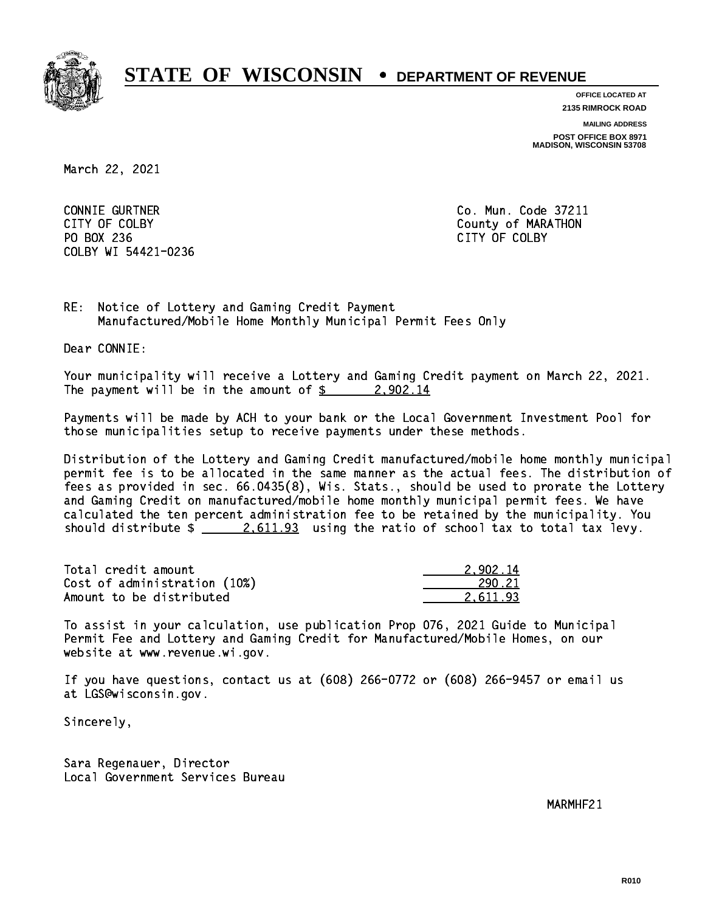

**OFFICE LOCATED AT**

**2135 RIMROCK ROAD**

**MAILING ADDRESS**

**POST OFFICE BOX 8971 MADISON, WISCONSIN 53708**

March 22, 2021

 CONNIE GURTNER Co. Mun. Code 37211 PO BOX 236 PO BOX 236 CITY OF COLBY COLBY WI 54421-0236

CITY OF COLBY COUNTY COUNTY OF COUNTY COUNTY OF MARATHON

RE: Notice of Lottery and Gaming Credit Payment Manufactured/Mobile Home Monthly Municipal Permit Fees Only

Dear CONNIE:

 Your municipality will receive a Lottery and Gaming Credit payment on March 22, 2021. The payment will be in the amount of  $\frac{2}{3}$  2,902.14

 Payments will be made by ACH to your bank or the Local Government Investment Pool for those municipalities setup to receive payments under these methods.

 Distribution of the Lottery and Gaming Credit manufactured/mobile home monthly municipal permit fee is to be allocated in the same manner as the actual fees. The distribution of fees as provided in sec. 66.0435(8), Wis. Stats., should be used to prorate the Lottery and Gaming Credit on manufactured/mobile home monthly municipal permit fees. We have calculated the ten percent administration fee to be retained by the municipality. You should distribute  $\frac{2.611.93}{2.611.93}$  using the ratio of school tax to total tax levy.

| Total credit amount          | 2.902.14 |
|------------------------------|----------|
| Cost of administration (10%) | 290.21   |
| Amount to be distributed     | 2.611.93 |

 To assist in your calculation, use publication Prop 076, 2021 Guide to Municipal Permit Fee and Lottery and Gaming Credit for Manufactured/Mobile Homes, on our website at www.revenue.wi.gov.

 If you have questions, contact us at (608) 266-0772 or (608) 266-9457 or email us at LGS@wisconsin.gov.

Sincerely,

 Sara Regenauer, Director Local Government Services Bureau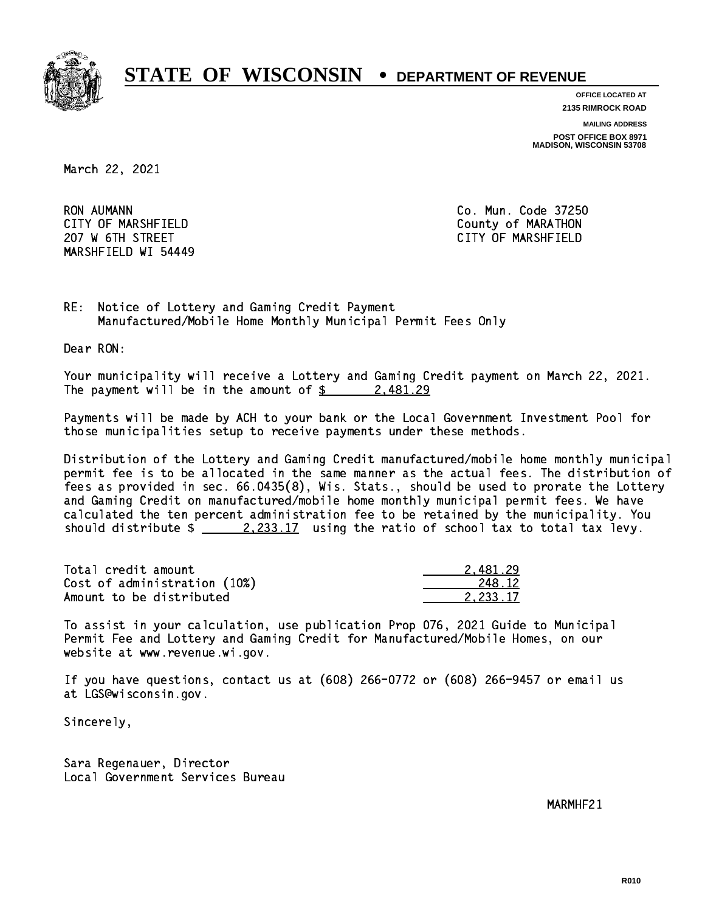

**OFFICE LOCATED AT**

**2135 RIMROCK ROAD**

**MAILING ADDRESS**

**POST OFFICE BOX 8971 MADISON, WISCONSIN 53708**

March 22, 2021

**RON AUMANN**  CITY OF MARSHFIELD County of MARATHON 207 W 6TH STREET CITY OF MARSHFIELD MARSHFIELD WI 54449

Co. Mun. Code 37250

RE: Notice of Lottery and Gaming Credit Payment Manufactured/Mobile Home Monthly Municipal Permit Fees Only

Dear RON:

 Your municipality will receive a Lottery and Gaming Credit payment on March 22, 2021. The payment will be in the amount of  $\frac{2}{3}$  2,481.29

 Payments will be made by ACH to your bank or the Local Government Investment Pool for those municipalities setup to receive payments under these methods.

 Distribution of the Lottery and Gaming Credit manufactured/mobile home monthly municipal permit fee is to be allocated in the same manner as the actual fees. The distribution of fees as provided in sec. 66.0435(8), Wis. Stats., should be used to prorate the Lottery and Gaming Credit on manufactured/mobile home monthly municipal permit fees. We have calculated the ten percent administration fee to be retained by the municipality. You should distribute  $\frac{2.233.17}{2.233.17}$  using the ratio of school tax to total tax levy.

| Total credit amount          | 2.481.29 |
|------------------------------|----------|
| Cost of administration (10%) | 248.12   |
| Amount to be distributed     | 2.233.17 |

 To assist in your calculation, use publication Prop 076, 2021 Guide to Municipal Permit Fee and Lottery and Gaming Credit for Manufactured/Mobile Homes, on our website at www.revenue.wi.gov.

 If you have questions, contact us at (608) 266-0772 or (608) 266-9457 or email us at LGS@wisconsin.gov.

Sincerely,

 Sara Regenauer, Director Local Government Services Bureau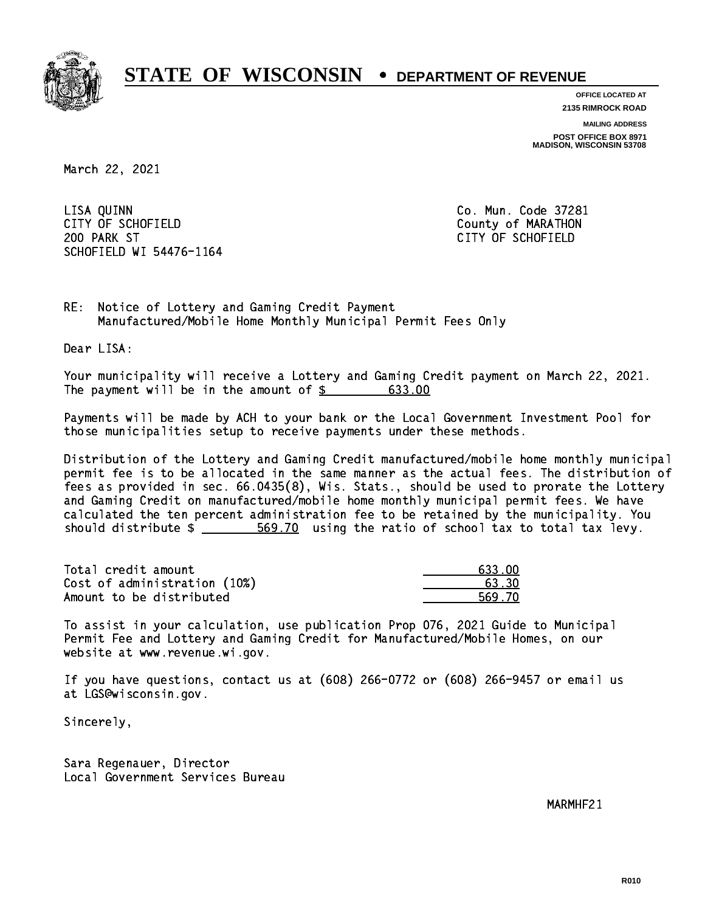

**OFFICE LOCATED AT**

**2135 RIMROCK ROAD**

**MAILING ADDRESS**

**POST OFFICE BOX 8971 MADISON, WISCONSIN 53708**

March 22, 2021

 LISA QUINN Co. Mun. Code 37281 CITY OF SCHOFIELD County of MARATHON 200 PARK ST CITY OF SCHOFIELD SCHOFIELD WI 54476-1164

RE: Notice of Lottery and Gaming Credit Payment Manufactured/Mobile Home Monthly Municipal Permit Fees Only

Dear LISA:

 Your municipality will receive a Lottery and Gaming Credit payment on March 22, 2021. The payment will be in the amount of  $\frac{2}{3}$  633.00

 Payments will be made by ACH to your bank or the Local Government Investment Pool for those municipalities setup to receive payments under these methods.

 Distribution of the Lottery and Gaming Credit manufactured/mobile home monthly municipal permit fee is to be allocated in the same manner as the actual fees. The distribution of fees as provided in sec. 66.0435(8), Wis. Stats., should be used to prorate the Lottery and Gaming Credit on manufactured/mobile home monthly municipal permit fees. We have calculated the ten percent administration fee to be retained by the municipality. You should distribute  $\frac{2}{1-x} = \frac{569.70}{1-x}$  using the ratio of school tax to total tax levy.

| Total credit amount          | 633.00 |
|------------------------------|--------|
| Cost of administration (10%) | 63.30  |
| Amount to be distributed     | 569.70 |

 To assist in your calculation, use publication Prop 076, 2021 Guide to Municipal Permit Fee and Lottery and Gaming Credit for Manufactured/Mobile Homes, on our website at www.revenue.wi.gov.

 If you have questions, contact us at (608) 266-0772 or (608) 266-9457 or email us at LGS@wisconsin.gov.

Sincerely,

 Sara Regenauer, Director Local Government Services Bureau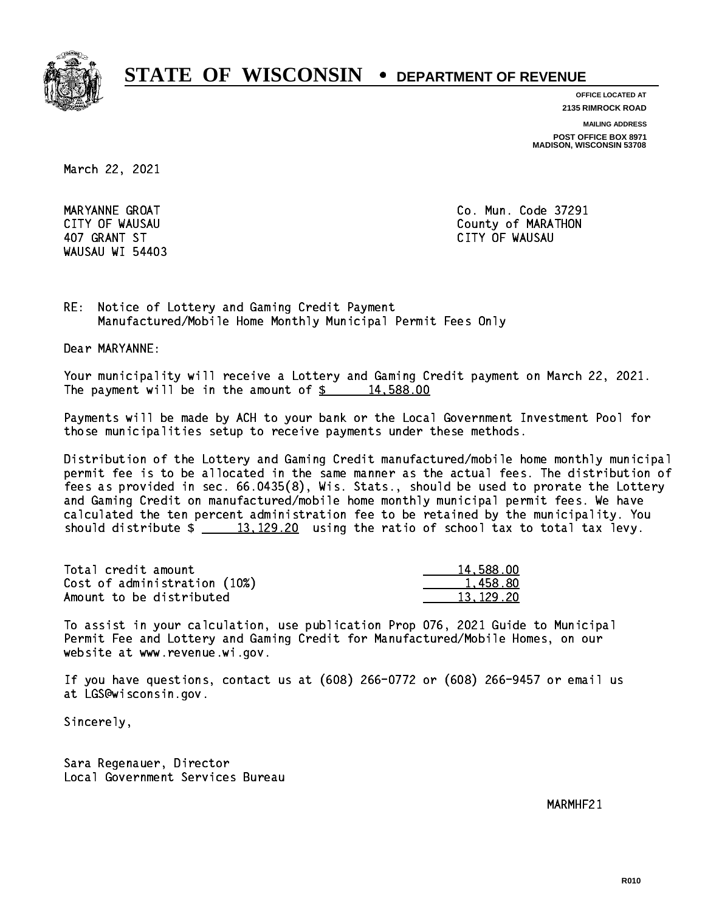

**OFFICE LOCATED AT**

**2135 RIMROCK ROAD**

**MAILING ADDRESS**

**POST OFFICE BOX 8971 MADISON, WISCONSIN 53708**

March 22, 2021

WAUSAU WI 54403

 MARYANNE GROAT Co. Mun. Code 37291 CITY OF WAUSAU COUNTY OF MARATHON 407 GRANT ST CITY OF WAUSAU

RE: Notice of Lottery and Gaming Credit Payment Manufactured/Mobile Home Monthly Municipal Permit Fees Only

Dear MARYANNE:

 Your municipality will receive a Lottery and Gaming Credit payment on March 22, 2021. The payment will be in the amount of  $\frac{2}{3}$  14,588.00

 Payments will be made by ACH to your bank or the Local Government Investment Pool for those municipalities setup to receive payments under these methods.

 Distribution of the Lottery and Gaming Credit manufactured/mobile home monthly municipal permit fee is to be allocated in the same manner as the actual fees. The distribution of fees as provided in sec. 66.0435(8), Wis. Stats., should be used to prorate the Lottery and Gaming Credit on manufactured/mobile home monthly municipal permit fees. We have calculated the ten percent administration fee to be retained by the municipality. You should distribute  $\frac{13,129.20}{2}$  using the ratio of school tax to total tax levy.

| Total credit amount          | 14,588,00 |
|------------------------------|-----------|
| Cost of administration (10%) | 1.458.80  |
| Amount to be distributed     | 13.129.20 |

 To assist in your calculation, use publication Prop 076, 2021 Guide to Municipal Permit Fee and Lottery and Gaming Credit for Manufactured/Mobile Homes, on our website at www.revenue.wi.gov.

 If you have questions, contact us at (608) 266-0772 or (608) 266-9457 or email us at LGS@wisconsin.gov.

Sincerely,

 Sara Regenauer, Director Local Government Services Bureau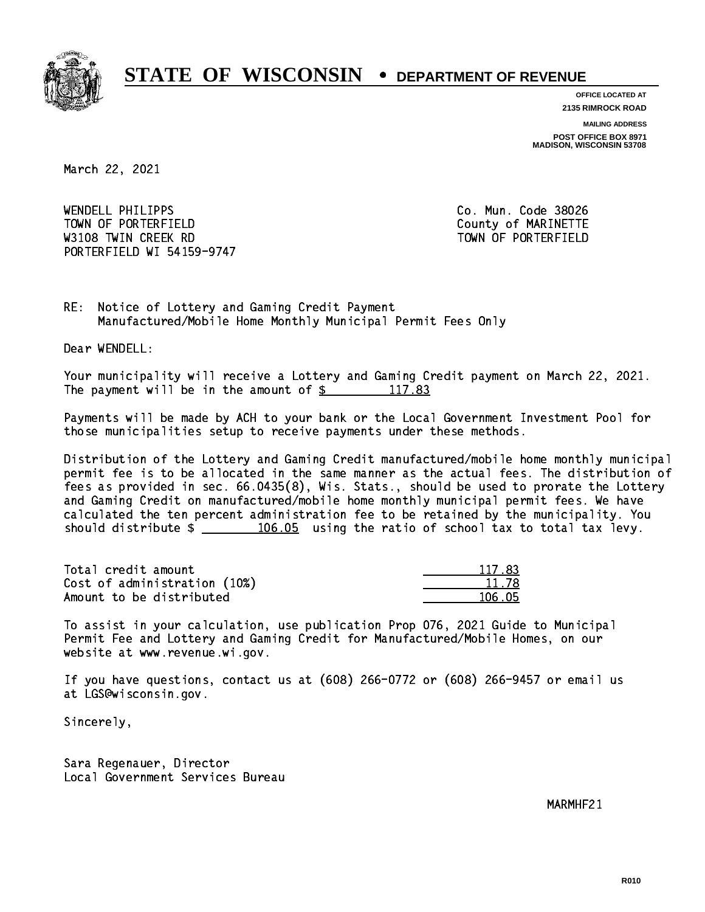

**OFFICE LOCATED AT**

**2135 RIMROCK ROAD**

**MAILING ADDRESS**

**POST OFFICE BOX 8971 MADISON, WISCONSIN 53708**

March 22, 2021

 WENDELL PHILIPPS Co. Mun. Code 38026 TOWN OF PORTERFIELD County of MARINETTE W3108 TWIN CREEK RD TOWN OF PORTERFIELD PORTERFIELD WI 54159-9747

RE: Notice of Lottery and Gaming Credit Payment Manufactured/Mobile Home Monthly Municipal Permit Fees Only

Dear WENDELL:

 Your municipality will receive a Lottery and Gaming Credit payment on March 22, 2021. The payment will be in the amount of  $\frac{2}{3}$  117.83

 Payments will be made by ACH to your bank or the Local Government Investment Pool for those municipalities setup to receive payments under these methods.

 Distribution of the Lottery and Gaming Credit manufactured/mobile home monthly municipal permit fee is to be allocated in the same manner as the actual fees. The distribution of fees as provided in sec. 66.0435(8), Wis. Stats., should be used to prorate the Lottery and Gaming Credit on manufactured/mobile home monthly municipal permit fees. We have calculated the ten percent administration fee to be retained by the municipality. You should distribute  $\frac{106.05}{106.05}$  using the ratio of school tax to total tax levy.

Total credit amount Cost of administration (10%) Amount to be distributed

| 117 83     |
|------------|
| 11.78      |
| հ Ոհ<br>п. |

 To assist in your calculation, use publication Prop 076, 2021 Guide to Municipal Permit Fee and Lottery and Gaming Credit for Manufactured/Mobile Homes, on our website at www.revenue.wi.gov.

 If you have questions, contact us at (608) 266-0772 or (608) 266-9457 or email us at LGS@wisconsin.gov.

Sincerely,

 Sara Regenauer, Director Local Government Services Bureau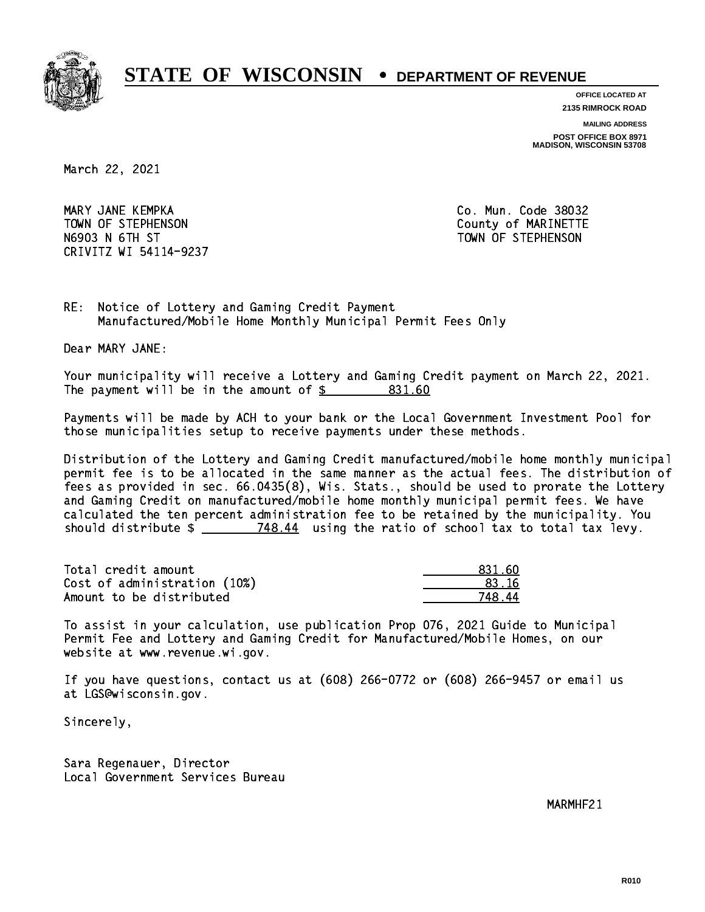

**OFFICE LOCATED AT**

**2135 RIMROCK ROAD**

**MAILING ADDRESS**

**POST OFFICE BOX 8971 MADISON, WISCONSIN 53708**

March 22, 2021

 MARY JANE KEMPKA Co. Mun. Code 38032 TOWN OF STEPHENSON COUNTY OF MARINETTE N6903 N 6TH ST TOWN OF STEPHENSON CRIVITZ WI 54114-9237

RE: Notice of Lottery and Gaming Credit Payment Manufactured/Mobile Home Monthly Municipal Permit Fees Only

Dear MARY JANE:

 Your municipality will receive a Lottery and Gaming Credit payment on March 22, 2021. The payment will be in the amount of \$ 831.60 \_\_\_\_\_\_\_\_\_\_\_\_\_\_\_\_

 Payments will be made by ACH to your bank or the Local Government Investment Pool for those municipalities setup to receive payments under these methods.

 Distribution of the Lottery and Gaming Credit manufactured/mobile home monthly municipal permit fee is to be allocated in the same manner as the actual fees. The distribution of fees as provided in sec. 66.0435(8), Wis. Stats., should be used to prorate the Lottery and Gaming Credit on manufactured/mobile home monthly municipal permit fees. We have calculated the ten percent administration fee to be retained by the municipality. You should distribute  $\frac{2}{2}$   $\frac{748.44}{2}$  using the ratio of school tax to total tax levy.

Total credit amount Cost of administration (10%) Amount to be distributed

| 831 AN |
|--------|
| 33. IG |
| Δ<br>Ξ |

 To assist in your calculation, use publication Prop 076, 2021 Guide to Municipal Permit Fee and Lottery and Gaming Credit for Manufactured/Mobile Homes, on our website at www.revenue.wi.gov.

 If you have questions, contact us at (608) 266-0772 or (608) 266-9457 or email us at LGS@wisconsin.gov.

Sincerely,

 Sara Regenauer, Director Local Government Services Bureau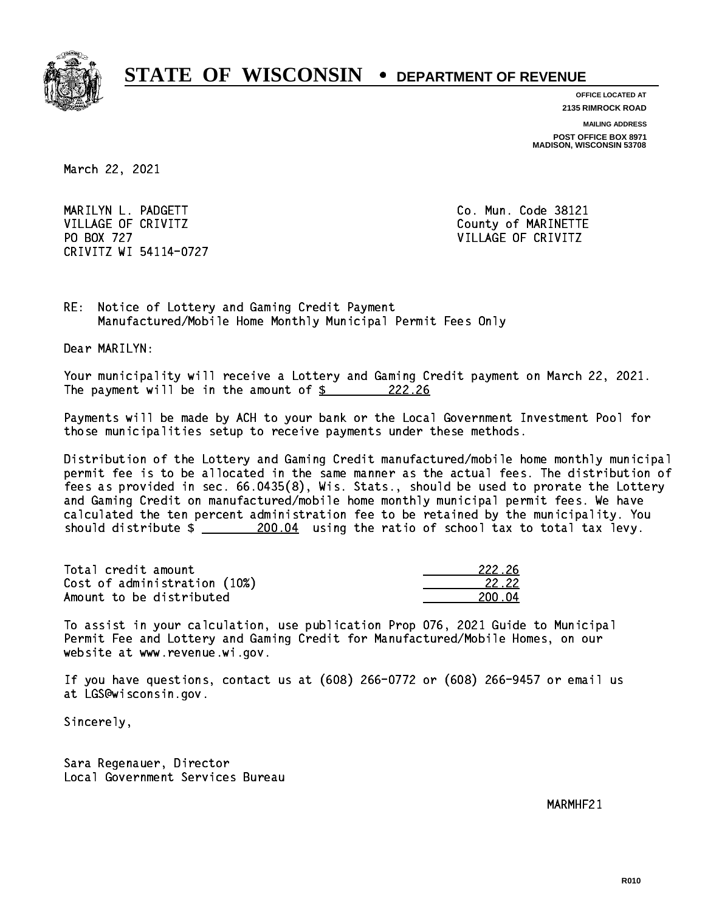

**OFFICE LOCATED AT**

**2135 RIMROCK ROAD**

**MAILING ADDRESS**

**POST OFFICE BOX 8971 MADISON, WISCONSIN 53708**

March 22, 2021

 MARILYN L. PADGETT Co. Mun. Code 38121 VILLAGE OF CRIVITZ COUNTY COUNTY OF MARINETTE PO BOX 727 VILLAGE OF CRIVITZ CRIVITZ WI 54114-0727

RE: Notice of Lottery and Gaming Credit Payment Manufactured/Mobile Home Monthly Municipal Permit Fees Only

Dear MARILYN:

 Your municipality will receive a Lottery and Gaming Credit payment on March 22, 2021. The payment will be in the amount of  $\frac{222.26}{5}$ 

 Payments will be made by ACH to your bank or the Local Government Investment Pool for those municipalities setup to receive payments under these methods.

 Distribution of the Lottery and Gaming Credit manufactured/mobile home monthly municipal permit fee is to be allocated in the same manner as the actual fees. The distribution of fees as provided in sec. 66.0435(8), Wis. Stats., should be used to prorate the Lottery and Gaming Credit on manufactured/mobile home monthly municipal permit fees. We have calculated the ten percent administration fee to be retained by the municipality. You should distribute  $\frac{200.04}{200.04}$  using the ratio of school tax to total tax levy.

Total credit amount Cost of administration (10%) Amount to be distributed

| 222.26       |
|--------------|
| 22.22        |
| 0. N4<br>211 |

 To assist in your calculation, use publication Prop 076, 2021 Guide to Municipal Permit Fee and Lottery and Gaming Credit for Manufactured/Mobile Homes, on our website at www.revenue.wi.gov.

 If you have questions, contact us at (608) 266-0772 or (608) 266-9457 or email us at LGS@wisconsin.gov.

Sincerely,

 Sara Regenauer, Director Local Government Services Bureau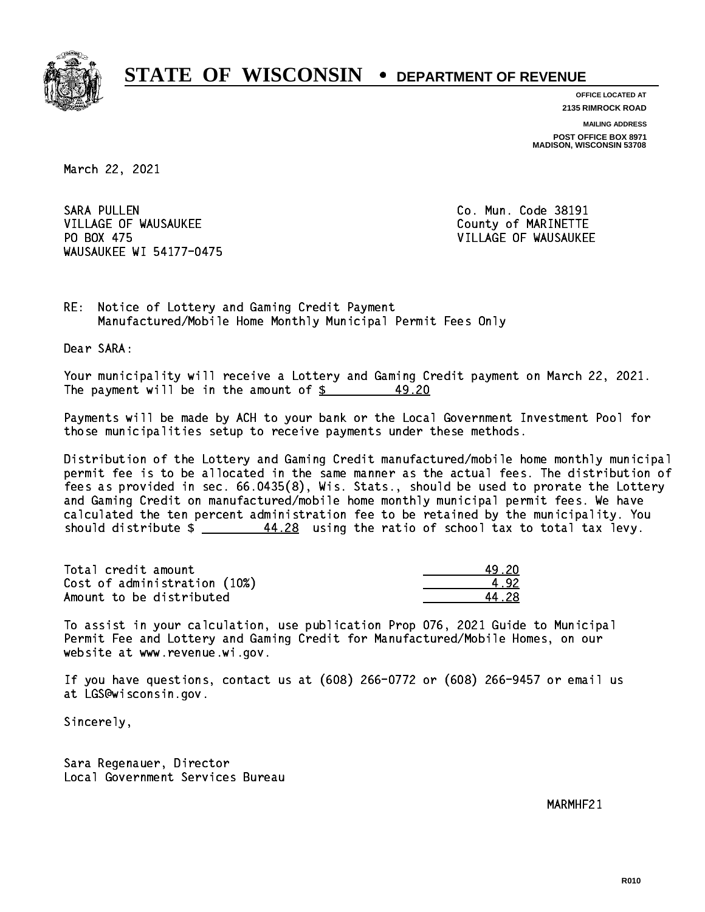

**OFFICE LOCATED AT 2135 RIMROCK ROAD**

**MAILING ADDRESS**

**POST OFFICE BOX 8971 MADISON, WISCONSIN 53708**

March 22, 2021

**SARA PULLEN** VILLAGE OF WAUSAUKEE COUNTY OF MARINETTE PO BOX 475 WAUSAUKEE WI 54177-0475

Co. Mun. Code 38191 VILLAGE OF WAUSAUKEE

RE: Notice of Lottery and Gaming Credit Payment Manufactured/Mobile Home Monthly Municipal Permit Fees Only

Dear SARA:

 Your municipality will receive a Lottery and Gaming Credit payment on March 22, 2021. The payment will be in the amount of  $\frac{2}{3}$ 49.20

 Payments will be made by ACH to your bank or the Local Government Investment Pool for those municipalities setup to receive payments under these methods.

 Distribution of the Lottery and Gaming Credit manufactured/mobile home monthly municipal permit fee is to be allocated in the same manner as the actual fees. The distribution of fees as provided in sec. 66.0435(8), Wis. Stats., should be used to prorate the Lottery and Gaming Credit on manufactured/mobile home monthly municipal permit fees. We have calculated the ten percent administration fee to be retained by the municipality. You should distribute  $\frac{44.28}{1000}$  using the ratio of school tax to total tax levy.

Total credit amount Cost of administration (10%) Amount to be distributed

| - 20 |
|------|
| -12. |
| -29  |

 To assist in your calculation, use publication Prop 076, 2021 Guide to Municipal Permit Fee and Lottery and Gaming Credit for Manufactured/Mobile Homes, on our website at www.revenue.wi.gov.

 If you have questions, contact us at (608) 266-0772 or (608) 266-9457 or email us at LGS@wisconsin.gov.

Sincerely,

 Sara Regenauer, Director Local Government Services Bureau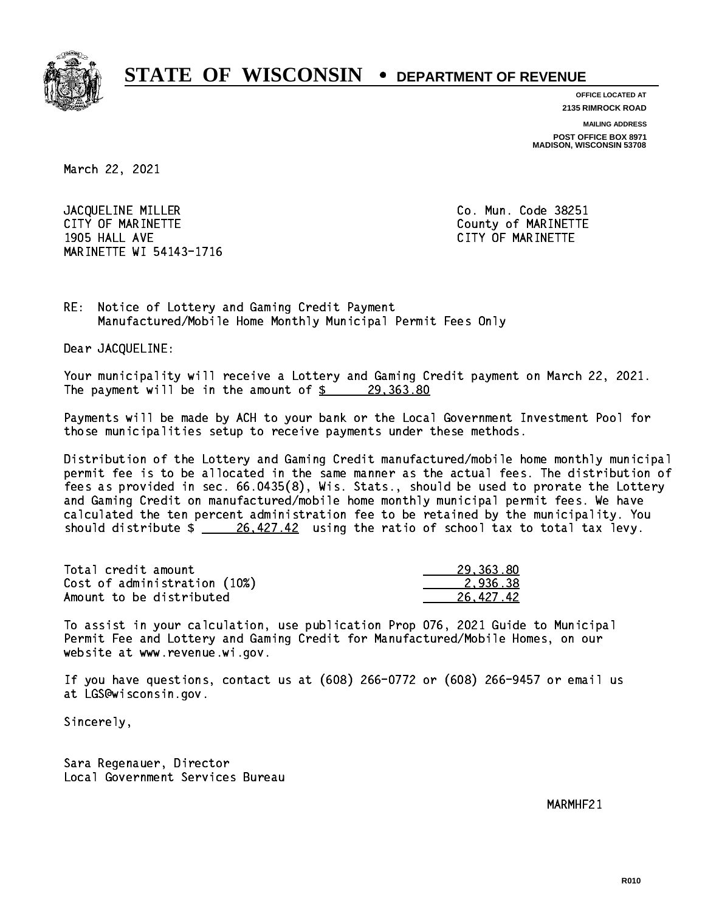

**OFFICE LOCATED AT**

**2135 RIMROCK ROAD**

**MAILING ADDRESS**

**POST OFFICE BOX 8971 MADISON, WISCONSIN 53708**

March 22, 2021

JACQUELINE MILLER Co. Mun. Code 38251 CITY OF MARINETTE COUNTY COUNTY OF MARINETTE 1905 HALL AVE CITY OF MARINETTE MARINETTE WI 54143-1716

RE: Notice of Lottery and Gaming Credit Payment Manufactured/Mobile Home Monthly Municipal Permit Fees Only

Dear JACQUELINE:

 Your municipality will receive a Lottery and Gaming Credit payment on March 22, 2021. The payment will be in the amount of  $\frac{29,363.80}{29,363.80}$ 

 Payments will be made by ACH to your bank or the Local Government Investment Pool for those municipalities setup to receive payments under these methods.

 Distribution of the Lottery and Gaming Credit manufactured/mobile home monthly municipal permit fee is to be allocated in the same manner as the actual fees. The distribution of fees as provided in sec. 66.0435(8), Wis. Stats., should be used to prorate the Lottery and Gaming Credit on manufactured/mobile home monthly municipal permit fees. We have calculated the ten percent administration fee to be retained by the municipality. You should distribute  $\frac{26,427.42}{2}$  using the ratio of school tax to total tax levy.

| Total credit amount          | 29,363.80 |
|------------------------------|-----------|
| Cost of administration (10%) | 2.936.38  |
| Amount to be distributed     | 26.427.42 |

 To assist in your calculation, use publication Prop 076, 2021 Guide to Municipal Permit Fee and Lottery and Gaming Credit for Manufactured/Mobile Homes, on our website at www.revenue.wi.gov.

 If you have questions, contact us at (608) 266-0772 or (608) 266-9457 or email us at LGS@wisconsin.gov.

Sincerely,

 Sara Regenauer, Director Local Government Services Bureau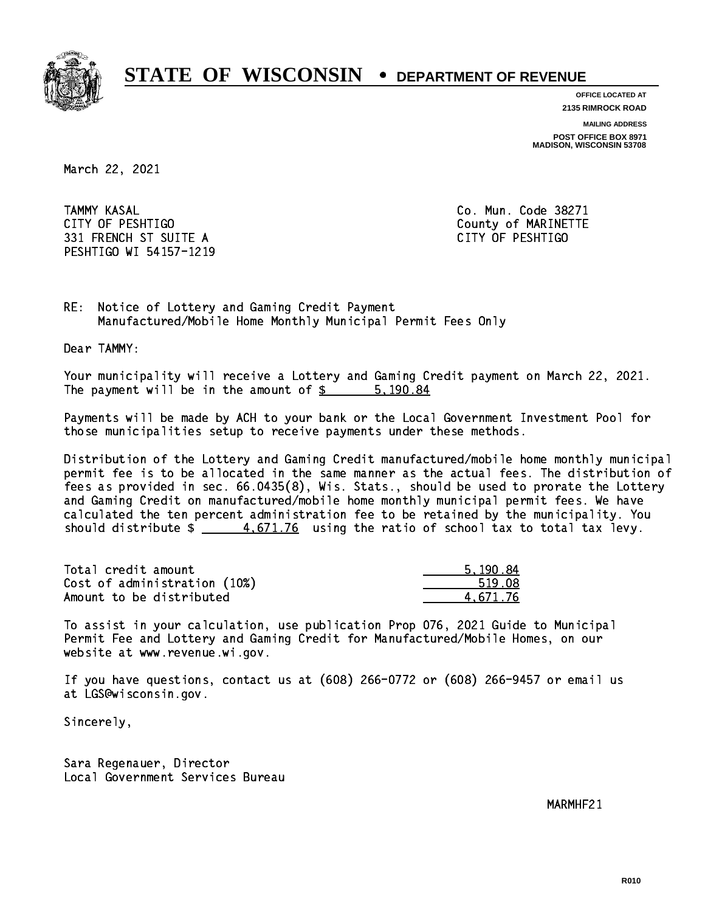

**OFFICE LOCATED AT**

**2135 RIMROCK ROAD**

**MAILING ADDRESS POST OFFICE BOX 8971 MADISON, WISCONSIN 53708**

March 22, 2021

**TAMMY KASAL**  CITY OF PESHTIGO County of MARINETTE 331 FRENCH ST SUITE A CITY OF PESHTIGO PESHTIGO WI 54157-1219

Co. Mun. Code 38271

RE: Notice of Lottery and Gaming Credit Payment Manufactured/Mobile Home Monthly Municipal Permit Fees Only

Dear TAMMY:

 Your municipality will receive a Lottery and Gaming Credit payment on March 22, 2021. The payment will be in the amount of \$ 5,190.84 \_\_\_\_\_\_\_\_\_\_\_\_\_\_\_\_

 Payments will be made by ACH to your bank or the Local Government Investment Pool for those municipalities setup to receive payments under these methods.

 Distribution of the Lottery and Gaming Credit manufactured/mobile home monthly municipal permit fee is to be allocated in the same manner as the actual fees. The distribution of fees as provided in sec. 66.0435(8), Wis. Stats., should be used to prorate the Lottery and Gaming Credit on manufactured/mobile home monthly municipal permit fees. We have calculated the ten percent administration fee to be retained by the municipality. You should distribute  $\frac{4.671.76}{2}$  using the ratio of school tax to total tax levy.

| Total credit amount          | 5.190.84 |
|------------------------------|----------|
| Cost of administration (10%) | 519.08   |
| Amount to be distributed     | 4.671.76 |

 To assist in your calculation, use publication Prop 076, 2021 Guide to Municipal Permit Fee and Lottery and Gaming Credit for Manufactured/Mobile Homes, on our website at www.revenue.wi.gov.

 If you have questions, contact us at (608) 266-0772 or (608) 266-9457 or email us at LGS@wisconsin.gov.

Sincerely,

 Sara Regenauer, Director Local Government Services Bureau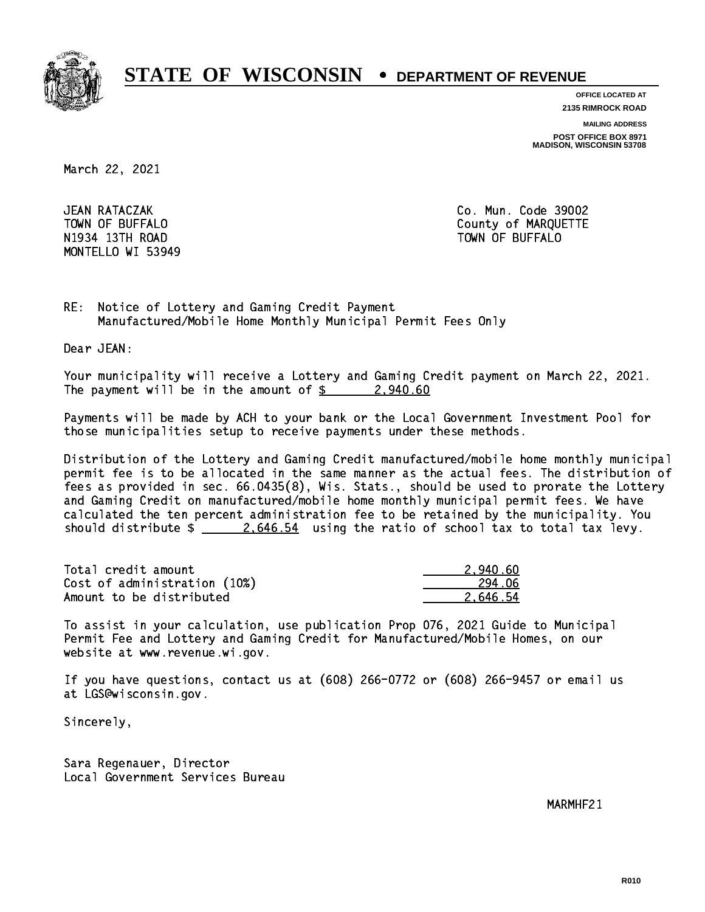

**OFFICE LOCATED AT**

**2135 RIMROCK ROAD**

**MAILING ADDRESS**

**POST OFFICE BOX 8971 MADISON, WISCONSIN 53708**

March 22, 2021

JEAN RATACZAK N1934 13Th Road Town Of Buffalo Town Of Buffalo Town Of Buffalo Town Of Buffalo Town Of Buffalo Town Of Buffalo MONTELLO WI 53949

Co. Mun. Code 39002 TOWN OF BUFFALO **COUNTY OF ALCOHOL** 

RE: Notice of Lottery and Gaming Credit Payment Manufactured/Mobile Home Monthly Municipal Permit Fees Only

Dear JEAN:

 Your municipality will receive a Lottery and Gaming Credit payment on March 22, 2021. The payment will be in the amount of  $\frac{2}{9}$  2,940.60

 Payments will be made by ACH to your bank or the Local Government Investment Pool for those municipalities setup to receive payments under these methods.

 Distribution of the Lottery and Gaming Credit manufactured/mobile home monthly municipal permit fee is to be allocated in the same manner as the actual fees. The distribution of fees as provided in sec. 66.0435(8), Wis. Stats., should be used to prorate the Lottery and Gaming Credit on manufactured/mobile home monthly municipal permit fees. We have calculated the ten percent administration fee to be retained by the municipality. You should distribute  $\frac{2.646.54}{2.646.54}$  using the ratio of school tax to total tax levy.

| Total credit amount          | 2.940.60 |
|------------------------------|----------|
| Cost of administration (10%) | 294.06   |
| Amount to be distributed     | 2.646.54 |

 To assist in your calculation, use publication Prop 076, 2021 Guide to Municipal Permit Fee and Lottery and Gaming Credit for Manufactured/Mobile Homes, on our website at www.revenue.wi.gov.

 If you have questions, contact us at (608) 266-0772 or (608) 266-9457 or email us at LGS@wisconsin.gov.

Sincerely,

 Sara Regenauer, Director Local Government Services Bureau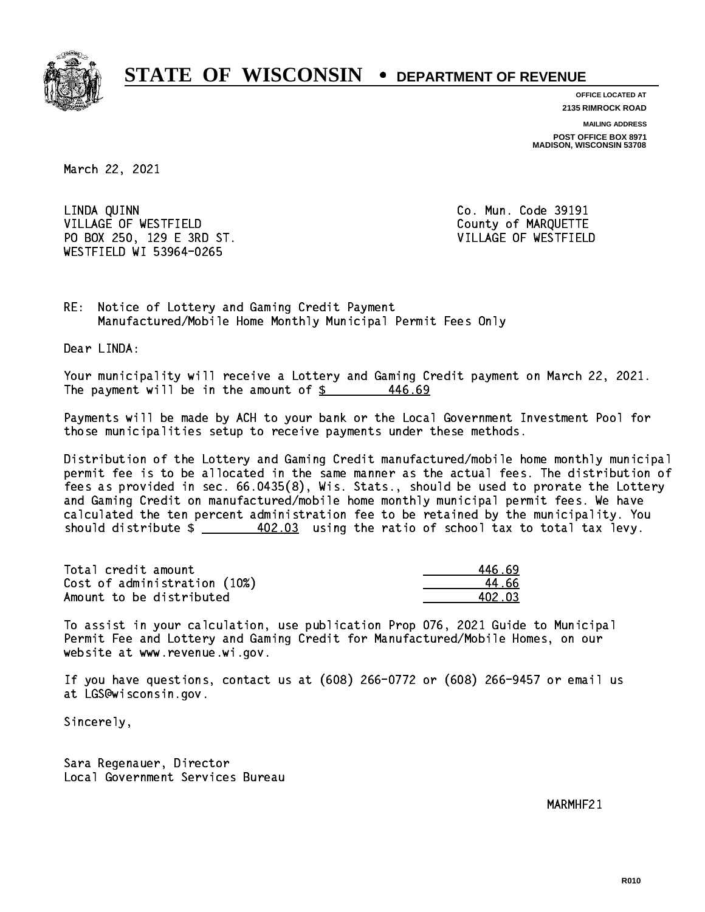

**OFFICE LOCATED AT 2135 RIMROCK ROAD**

**MAILING ADDRESS**

**POST OFFICE BOX 8971 MADISON, WISCONSIN 53708**

March 22, 2021

 LINDA QUINN Co. Mun. Code 39191 VILLAGE OF WESTFIELD County of MARQUETTE PO BOX 250, 129 E 3RD ST. VILLAGE OF WESTFIELD WESTFIELD WI 53964-0265

RE: Notice of Lottery and Gaming Credit Payment Manufactured/Mobile Home Monthly Municipal Permit Fees Only

Dear LINDA:

 Your municipality will receive a Lottery and Gaming Credit payment on March 22, 2021. The payment will be in the amount of  $\frac{2}{3}$ 446.69

 Payments will be made by ACH to your bank or the Local Government Investment Pool for those municipalities setup to receive payments under these methods.

 Distribution of the Lottery and Gaming Credit manufactured/mobile home monthly municipal permit fee is to be allocated in the same manner as the actual fees. The distribution of fees as provided in sec. 66.0435(8), Wis. Stats., should be used to prorate the Lottery and Gaming Credit on manufactured/mobile home monthly municipal permit fees. We have calculated the ten percent administration fee to be retained by the municipality. You should distribute  $\frac{402.03}{1}$  using the ratio of school tax to total tax levy.

Total credit amount Cost of administration (10%) Amount to be distributed

| 46.69  |
|--------|
| 4 հհ   |
| 402.03 |

 To assist in your calculation, use publication Prop 076, 2021 Guide to Municipal Permit Fee and Lottery and Gaming Credit for Manufactured/Mobile Homes, on our website at www.revenue.wi.gov.

 If you have questions, contact us at (608) 266-0772 or (608) 266-9457 or email us at LGS@wisconsin.gov.

Sincerely,

 Sara Regenauer, Director Local Government Services Bureau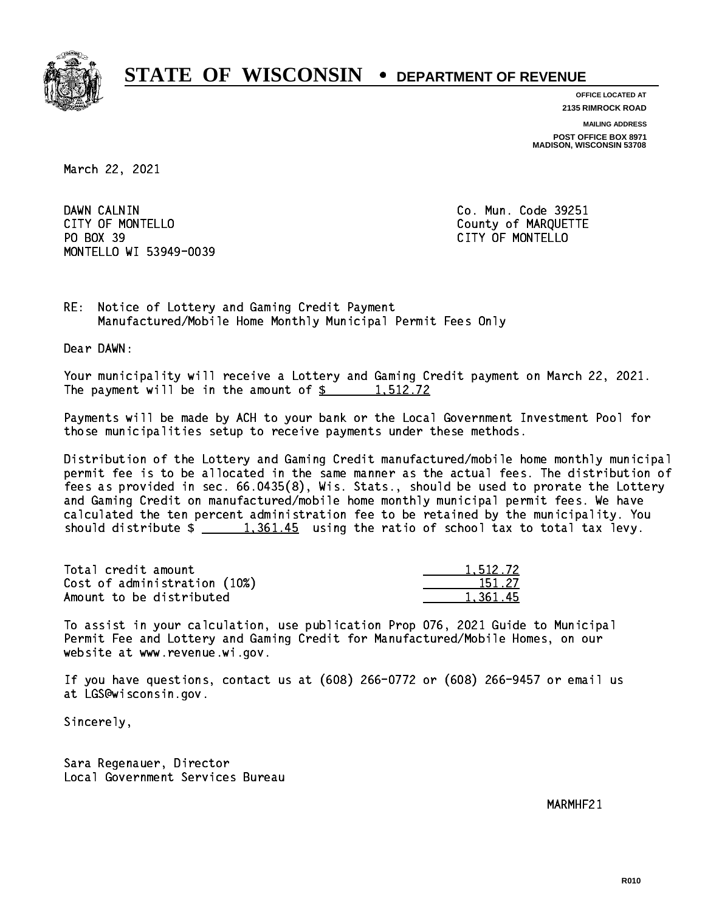

**OFFICE LOCATED AT**

**2135 RIMROCK ROAD**

**MAILING ADDRESS**

**POST OFFICE BOX 8971 MADISON, WISCONSIN 53708**

March 22, 2021

DAWN CALNIN CITY OF MONTELLO **COUNTY OF MARQUETTE** PO BOX 39 PO BOX 39 CITY OF MONTELLO MONTELLO WI 53949-0039

Co. Mun. Code 39251

RE: Notice of Lottery and Gaming Credit Payment Manufactured/Mobile Home Monthly Municipal Permit Fees Only

Dear DAWN:

 Your municipality will receive a Lottery and Gaming Credit payment on March 22, 2021. The payment will be in the amount of  $\frac{2}{3}$  1,512.72

 Payments will be made by ACH to your bank or the Local Government Investment Pool for those municipalities setup to receive payments under these methods.

 Distribution of the Lottery and Gaming Credit manufactured/mobile home monthly municipal permit fee is to be allocated in the same manner as the actual fees. The distribution of fees as provided in sec. 66.0435(8), Wis. Stats., should be used to prorate the Lottery and Gaming Credit on manufactured/mobile home monthly municipal permit fees. We have calculated the ten percent administration fee to be retained by the municipality. You should distribute  $\frac{1,361.45}{1,361.45}$  using the ratio of school tax to total tax levy.

| Total credit amount          | 1,512.72 |
|------------------------------|----------|
| Cost of administration (10%) | 151.27   |
| Amount to be distributed     | 1.361.45 |

 To assist in your calculation, use publication Prop 076, 2021 Guide to Municipal Permit Fee and Lottery and Gaming Credit for Manufactured/Mobile Homes, on our website at www.revenue.wi.gov.

 If you have questions, contact us at (608) 266-0772 or (608) 266-9457 or email us at LGS@wisconsin.gov.

Sincerely,

 Sara Regenauer, Director Local Government Services Bureau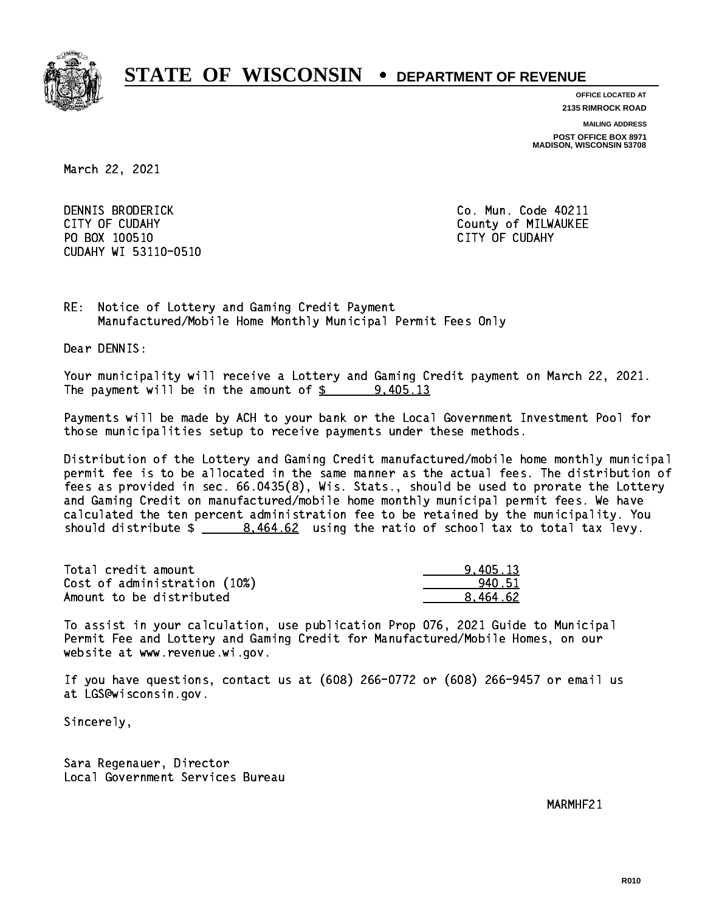

**OFFICE LOCATED AT**

**2135 RIMROCK ROAD**

**MAILING ADDRESS**

**POST OFFICE BOX 8971 MADISON, WISCONSIN 53708**

March 22, 2021

DENNIS BRODERICK CITY OF CUDAHY COUNTY COUNTY COUNTY OF MILWAUKEE PO BOX 100510 CITY OF CUDAHY CUDAHY WI 53110-0510

Co. Mun. Code 40211

RE: Notice of Lottery and Gaming Credit Payment Manufactured/Mobile Home Monthly Municipal Permit Fees Only

Dear DENNIS:

 Your municipality will receive a Lottery and Gaming Credit payment on March 22, 2021. The payment will be in the amount of  $\frac{2}{3}$  9,405.13

 Payments will be made by ACH to your bank or the Local Government Investment Pool for those municipalities setup to receive payments under these methods.

 Distribution of the Lottery and Gaming Credit manufactured/mobile home monthly municipal permit fee is to be allocated in the same manner as the actual fees. The distribution of fees as provided in sec. 66.0435(8), Wis. Stats., should be used to prorate the Lottery and Gaming Credit on manufactured/mobile home monthly municipal permit fees. We have calculated the ten percent administration fee to be retained by the municipality. You should distribute  $\frac{2}{1}$   $\frac{8,464.62}{2}$  using the ratio of school tax to total tax levy.

| Total credit amount          | 9.405.13 |
|------------------------------|----------|
| Cost of administration (10%) | 940.51   |
| Amount to be distributed     | 8.464.62 |

 To assist in your calculation, use publication Prop 076, 2021 Guide to Municipal Permit Fee and Lottery and Gaming Credit for Manufactured/Mobile Homes, on our website at www.revenue.wi.gov.

 If you have questions, contact us at (608) 266-0772 or (608) 266-9457 or email us at LGS@wisconsin.gov.

Sincerely,

 Sara Regenauer, Director Local Government Services Bureau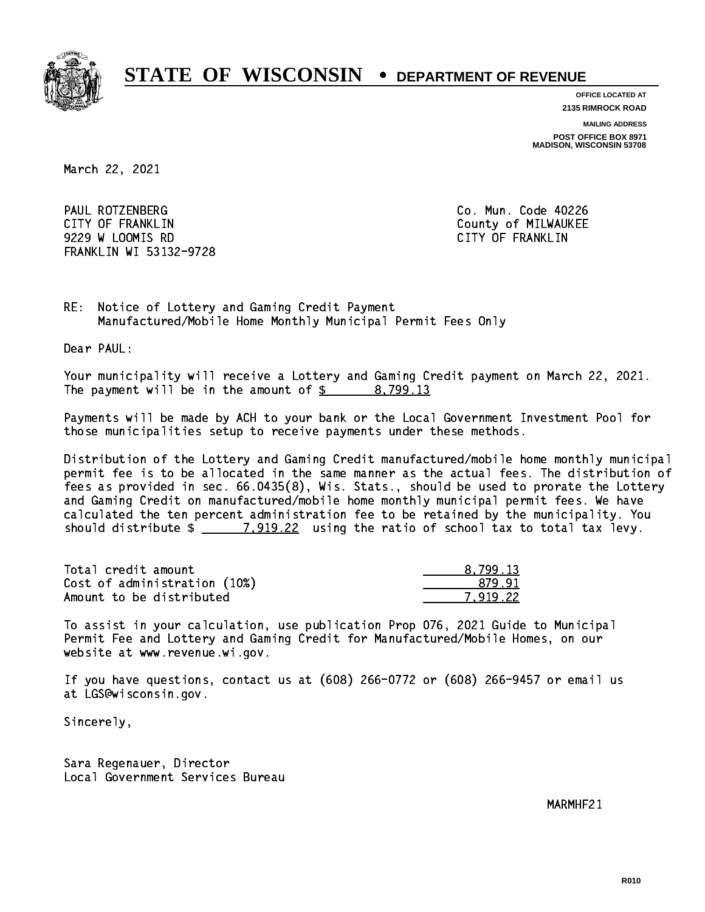

**OFFICE LOCATED AT**

**2135 RIMROCK ROAD**

**MAILING ADDRESS**

**POST OFFICE BOX 8971 MADISON, WISCONSIN 53708**

March 22, 2021

 PAUL ROTZENBERG Co. Mun. Code 40226 CITY OF FRANKLIN COUNTY COUNTY OF REARKLIN 9229 W LOOMIS RD CITY OF FRANKLIN FRANKLIN WI 53132-9728

RE: Notice of Lottery and Gaming Credit Payment Manufactured/Mobile Home Monthly Municipal Permit Fees Only

Dear PAUL:

 Your municipality will receive a Lottery and Gaming Credit payment on March 22, 2021. The payment will be in the amount of  $\frac{2}{3}$  8,799.13

 Payments will be made by ACH to your bank or the Local Government Investment Pool for those municipalities setup to receive payments under these methods.

 Distribution of the Lottery and Gaming Credit manufactured/mobile home monthly municipal permit fee is to be allocated in the same manner as the actual fees. The distribution of fees as provided in sec. 66.0435(8), Wis. Stats., should be used to prorate the Lottery and Gaming Credit on manufactured/mobile home monthly municipal permit fees. We have calculated the ten percent administration fee to be retained by the municipality. You should distribute  $\frac{2}{2}$   $\frac{7,919.22}{2}$  using the ratio of school tax to total tax levy.

| Total credit amount          | 8.799.13 |
|------------------------------|----------|
| Cost of administration (10%) | 879.91   |
| Amount to be distributed     | 7.919.22 |

 To assist in your calculation, use publication Prop 076, 2021 Guide to Municipal Permit Fee and Lottery and Gaming Credit for Manufactured/Mobile Homes, on our website at www.revenue.wi.gov.

 If you have questions, contact us at (608) 266-0772 or (608) 266-9457 or email us at LGS@wisconsin.gov.

Sincerely,

 Sara Regenauer, Director Local Government Services Bureau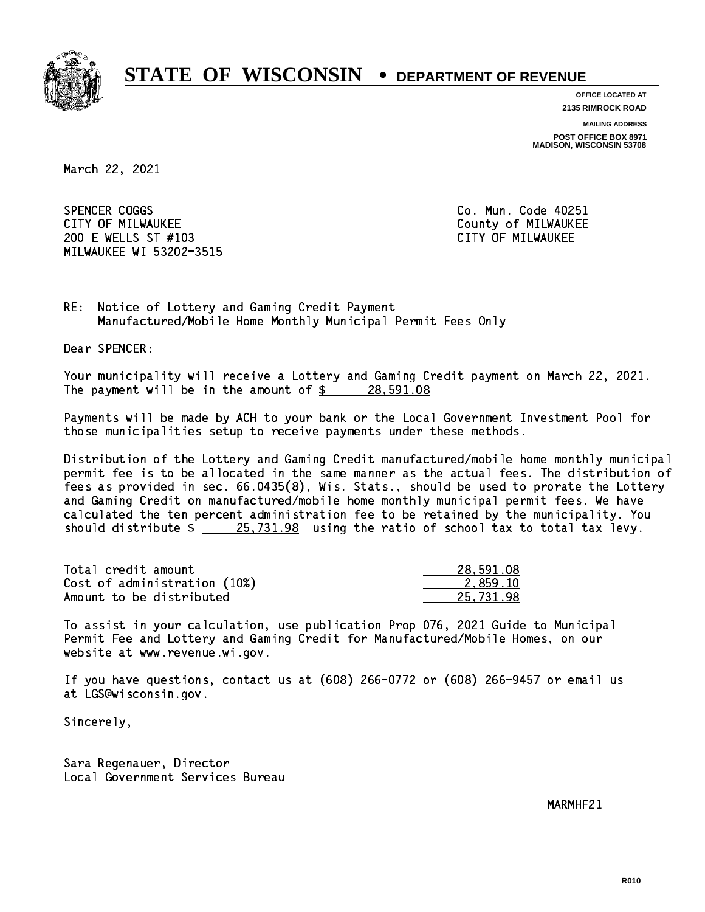

**OFFICE LOCATED AT**

**2135 RIMROCK ROAD**

**MAILING ADDRESS**

**POST OFFICE BOX 8971 MADISON, WISCONSIN 53708**

March 22, 2021

SPENCER COGGS CITY OF MILWAUKEE CITY OF MILWAUKEE 200 E WELLS ST #103 CITY OF MILWAUKEE MILWAUKEE WI 53202-3515

Co. Mun. Code 40251

RE: Notice of Lottery and Gaming Credit Payment Manufactured/Mobile Home Monthly Municipal Permit Fees Only

Dear SPENCER:

 Your municipality will receive a Lottery and Gaming Credit payment on March 22, 2021. The payment will be in the amount of  $\frac{28}{5}$  28,591.08

 Payments will be made by ACH to your bank or the Local Government Investment Pool for those municipalities setup to receive payments under these methods.

 Distribution of the Lottery and Gaming Credit manufactured/mobile home monthly municipal permit fee is to be allocated in the same manner as the actual fees. The distribution of fees as provided in sec. 66.0435(8), Wis. Stats., should be used to prorate the Lottery and Gaming Credit on manufactured/mobile home monthly municipal permit fees. We have calculated the ten percent administration fee to be retained by the municipality. You should distribute  $\frac{25,731.98}{25,731.98}$  using the ratio of school tax to total tax levy.

| Total credit amount          | 28,591.08 |
|------------------------------|-----------|
| Cost of administration (10%) | 2.859.10  |
| Amount to be distributed     | 25.731.98 |

 To assist in your calculation, use publication Prop 076, 2021 Guide to Municipal Permit Fee and Lottery and Gaming Credit for Manufactured/Mobile Homes, on our website at www.revenue.wi.gov.

 If you have questions, contact us at (608) 266-0772 or (608) 266-9457 or email us at LGS@wisconsin.gov.

Sincerely,

 Sara Regenauer, Director Local Government Services Bureau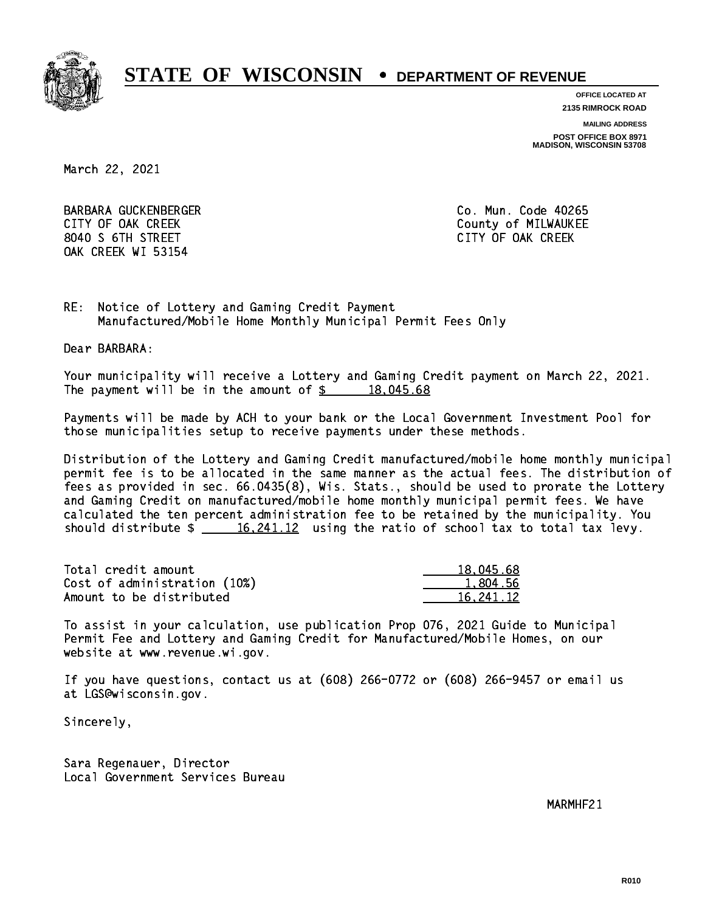

**OFFICE LOCATED AT**

**2135 RIMROCK ROAD**

**MAILING ADDRESS**

**POST OFFICE BOX 8971 MADISON, WISCONSIN 53708**

March 22, 2021

 BARBARA GUCKENBERGER Co. Mun. Code 40265 CITY OF OAK CREEK COUNTY COUNTY OF MILWAUKEE 8040 S 6TH STREET CITY OF OAK CREEK OAK CREEK WI 53154

RE: Notice of Lottery and Gaming Credit Payment Manufactured/Mobile Home Monthly Municipal Permit Fees Only

Dear BARBARA:

 Your municipality will receive a Lottery and Gaming Credit payment on March 22, 2021. The payment will be in the amount of  $\frac{2}{3}$  18,045.68

 Payments will be made by ACH to your bank or the Local Government Investment Pool for those municipalities setup to receive payments under these methods.

 Distribution of the Lottery and Gaming Credit manufactured/mobile home monthly municipal permit fee is to be allocated in the same manner as the actual fees. The distribution of fees as provided in sec. 66.0435(8), Wis. Stats., should be used to prorate the Lottery and Gaming Credit on manufactured/mobile home monthly municipal permit fees. We have calculated the ten percent administration fee to be retained by the municipality. You should distribute  $\frac{16,241.12}{ }$  using the ratio of school tax to total tax levy.

| Total credit amount          | 18,045.68 |
|------------------------------|-----------|
| Cost of administration (10%) | 1.804.56  |
| Amount to be distributed     | 16.241.12 |

 To assist in your calculation, use publication Prop 076, 2021 Guide to Municipal Permit Fee and Lottery and Gaming Credit for Manufactured/Mobile Homes, on our website at www.revenue.wi.gov.

 If you have questions, contact us at (608) 266-0772 or (608) 266-9457 or email us at LGS@wisconsin.gov.

Sincerely,

 Sara Regenauer, Director Local Government Services Bureau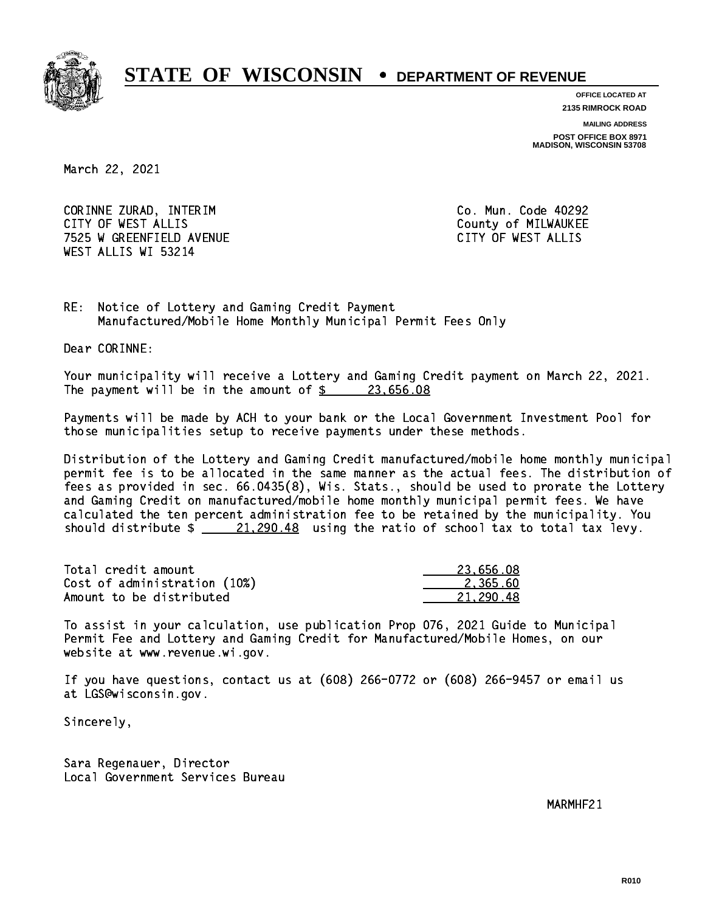

**OFFICE LOCATED AT 2135 RIMROCK ROAD**

**MAILING ADDRESS POST OFFICE BOX 8971 MADISON, WISCONSIN 53708**

March 22, 2021

 CORINNE ZURAD, INTERIM Co. Mun. Code 40292 CITY OF WEST ALLIS COUNTY OF MILWAUKEE 7525 W GREENFIELD AVENUE CITY OF WEST ALLIS WEST ALLIS WI 53214

RE: Notice of Lottery and Gaming Credit Payment Manufactured/Mobile Home Monthly Municipal Permit Fees Only

Dear CORINNE:

 Your municipality will receive a Lottery and Gaming Credit payment on March 22, 2021. The payment will be in the amount of  $\frac{23,656.08}{23,656.08}$ 

 Payments will be made by ACH to your bank or the Local Government Investment Pool for those municipalities setup to receive payments under these methods.

 Distribution of the Lottery and Gaming Credit manufactured/mobile home monthly municipal permit fee is to be allocated in the same manner as the actual fees. The distribution of fees as provided in sec. 66.0435(8), Wis. Stats., should be used to prorate the Lottery and Gaming Credit on manufactured/mobile home monthly municipal permit fees. We have calculated the ten percent administration fee to be retained by the municipality. You should distribute  $\frac{21,290.48}{21,290.48}$  using the ratio of school tax to total tax levy.

| Total credit amount          | 23.656.08 |
|------------------------------|-----------|
| Cost of administration (10%) | 2.365.60  |
| Amount to be distributed     | 21.290.48 |

 To assist in your calculation, use publication Prop 076, 2021 Guide to Municipal Permit Fee and Lottery and Gaming Credit for Manufactured/Mobile Homes, on our website at www.revenue.wi.gov.

 If you have questions, contact us at (608) 266-0772 or (608) 266-9457 or email us at LGS@wisconsin.gov.

Sincerely,

 Sara Regenauer, Director Local Government Services Bureau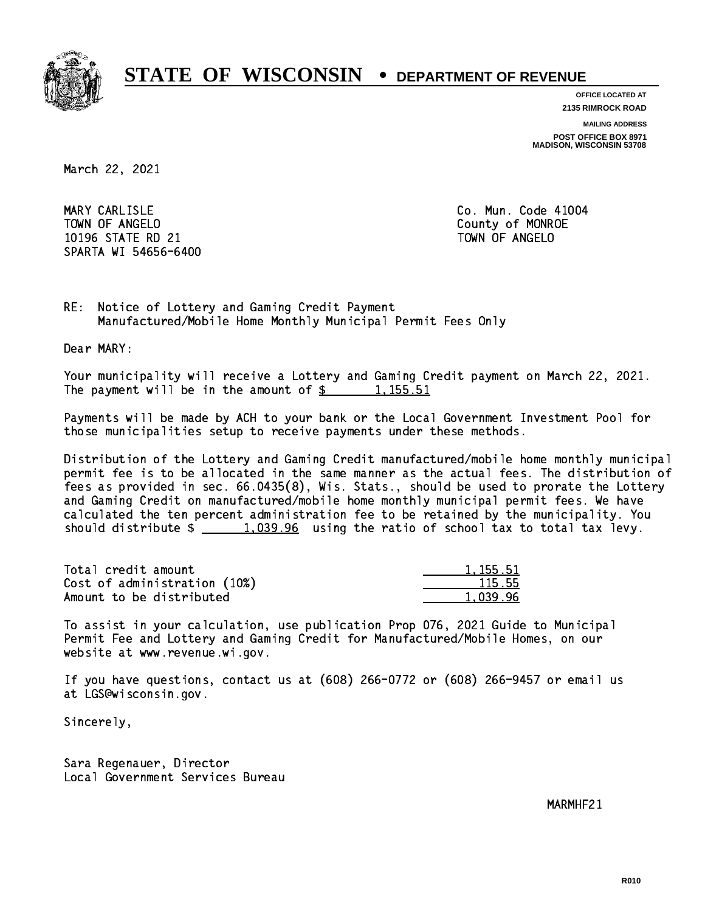

**OFFICE LOCATED AT**

**2135 RIMROCK ROAD**

**MAILING ADDRESS**

**POST OFFICE BOX 8971 MADISON, WISCONSIN 53708**

March 22, 2021

MARY CARLISLE TOWN OF ANGELO County of MONROE 10196 STATE RD 21 TOWN OF ANGELO SPARTA WI 54656-6400

Co. Mun. Code 41004

RE: Notice of Lottery and Gaming Credit Payment Manufactured/Mobile Home Monthly Municipal Permit Fees Only

Dear MARY:

 Your municipality will receive a Lottery and Gaming Credit payment on March 22, 2021. The payment will be in the amount of  $\frac{2}{3}$  1,155.51

 Payments will be made by ACH to your bank or the Local Government Investment Pool for those municipalities setup to receive payments under these methods.

 Distribution of the Lottery and Gaming Credit manufactured/mobile home monthly municipal permit fee is to be allocated in the same manner as the actual fees. The distribution of fees as provided in sec. 66.0435(8), Wis. Stats., should be used to prorate the Lottery and Gaming Credit on manufactured/mobile home monthly municipal permit fees. We have calculated the ten percent administration fee to be retained by the municipality. You should distribute  $\frac{1,039.96}{2}$  using the ratio of school tax to total tax levy.

| Total credit amount          | 1.155.51 |
|------------------------------|----------|
| Cost of administration (10%) | 115.55   |
| Amount to be distributed     | 1,039.96 |

 To assist in your calculation, use publication Prop 076, 2021 Guide to Municipal Permit Fee and Lottery and Gaming Credit for Manufactured/Mobile Homes, on our website at www.revenue.wi.gov.

 If you have questions, contact us at (608) 266-0772 or (608) 266-9457 or email us at LGS@wisconsin.gov.

Sincerely,

 Sara Regenauer, Director Local Government Services Bureau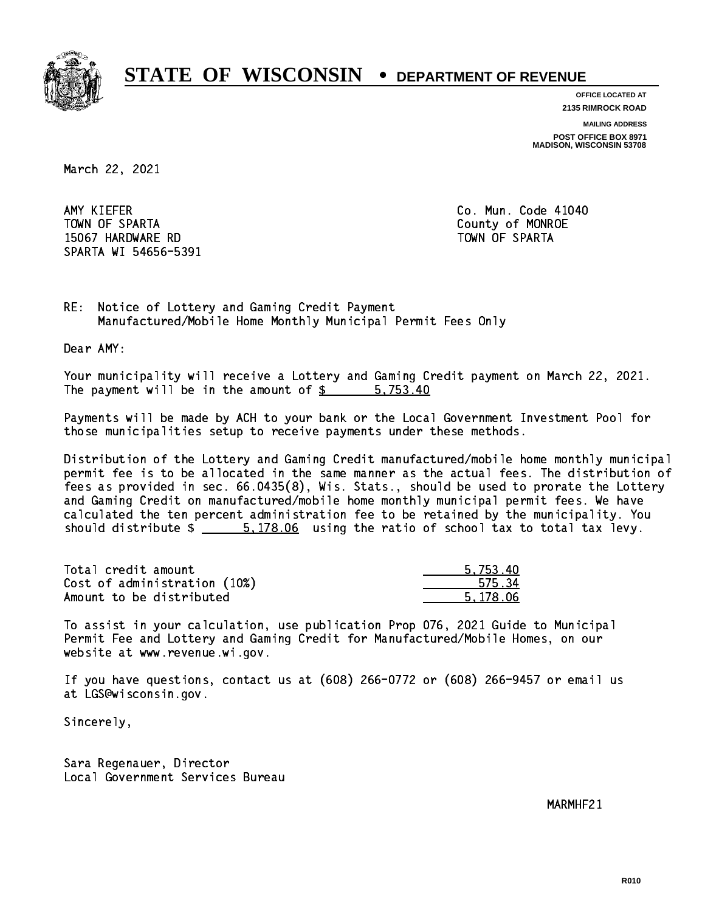

**OFFICE LOCATED AT**

**2135 RIMROCK ROAD**

**MAILING ADDRESS**

**POST OFFICE BOX 8971 MADISON, WISCONSIN 53708**

March 22, 2021

AMY KIEFER TOWN OF SPARTA County of MONROE 15067 HARDWARE RD TOWN OF SPARTA SPARTA WI 54656-5391

Co. Mun. Code 41040

RE: Notice of Lottery and Gaming Credit Payment Manufactured/Mobile Home Monthly Municipal Permit Fees Only

Dear AMY:

 Your municipality will receive a Lottery and Gaming Credit payment on March 22, 2021. The payment will be in the amount of \$ 5,753.40 \_\_\_\_\_\_\_\_\_\_\_\_\_\_\_\_

 Payments will be made by ACH to your bank or the Local Government Investment Pool for those municipalities setup to receive payments under these methods.

 Distribution of the Lottery and Gaming Credit manufactured/mobile home monthly municipal permit fee is to be allocated in the same manner as the actual fees. The distribution of fees as provided in sec. 66.0435(8), Wis. Stats., should be used to prorate the Lottery and Gaming Credit on manufactured/mobile home monthly municipal permit fees. We have calculated the ten percent administration fee to be retained by the municipality. You should distribute  $\frac{2}{1}$   $\frac{5.178.06}{2}$  using the ratio of school tax to total tax levy.

| Total credit amount          | 5.753.40 |
|------------------------------|----------|
| Cost of administration (10%) | 575.34   |
| Amount to be distributed     | 5.178.06 |

 To assist in your calculation, use publication Prop 076, 2021 Guide to Municipal Permit Fee and Lottery and Gaming Credit for Manufactured/Mobile Homes, on our website at www.revenue.wi.gov.

 If you have questions, contact us at (608) 266-0772 or (608) 266-9457 or email us at LGS@wisconsin.gov.

Sincerely,

 Sara Regenauer, Director Local Government Services Bureau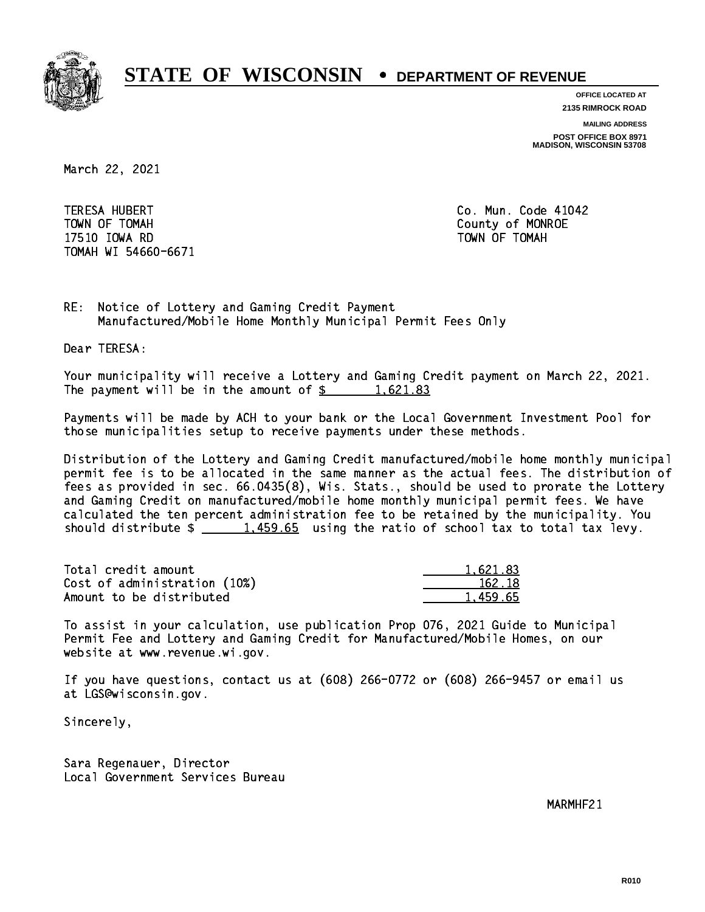

**OFFICE LOCATED AT**

**2135 RIMROCK ROAD**

**MAILING ADDRESS**

**POST OFFICE BOX 8971 MADISON, WISCONSIN 53708**

March 22, 2021

**TERESA HUBERT**  TOWN OF TOMAH County of MONROE 17510 IOWA RD TOWN OF TOMAH TOMAH WI 54660-6671

Co. Mun. Code 41042

RE: Notice of Lottery and Gaming Credit Payment Manufactured/Mobile Home Monthly Municipal Permit Fees Only

Dear TERESA:

 Your municipality will receive a Lottery and Gaming Credit payment on March 22, 2021. The payment will be in the amount of  $\frac{2}{3}$  1,621.83

 Payments will be made by ACH to your bank or the Local Government Investment Pool for those municipalities setup to receive payments under these methods.

 Distribution of the Lottery and Gaming Credit manufactured/mobile home monthly municipal permit fee is to be allocated in the same manner as the actual fees. The distribution of fees as provided in sec. 66.0435(8), Wis. Stats., should be used to prorate the Lottery and Gaming Credit on manufactured/mobile home monthly municipal permit fees. We have calculated the ten percent administration fee to be retained by the municipality. You should distribute  $\frac{1.459.65}{1.459.65}$  using the ratio of school tax to total tax levy.

| Total credit amount          | 1.621.83 |
|------------------------------|----------|
| Cost of administration (10%) | 162.18   |
| Amount to be distributed     | 1.459.65 |

 To assist in your calculation, use publication Prop 076, 2021 Guide to Municipal Permit Fee and Lottery and Gaming Credit for Manufactured/Mobile Homes, on our website at www.revenue.wi.gov.

 If you have questions, contact us at (608) 266-0772 or (608) 266-9457 or email us at LGS@wisconsin.gov.

Sincerely,

 Sara Regenauer, Director Local Government Services Bureau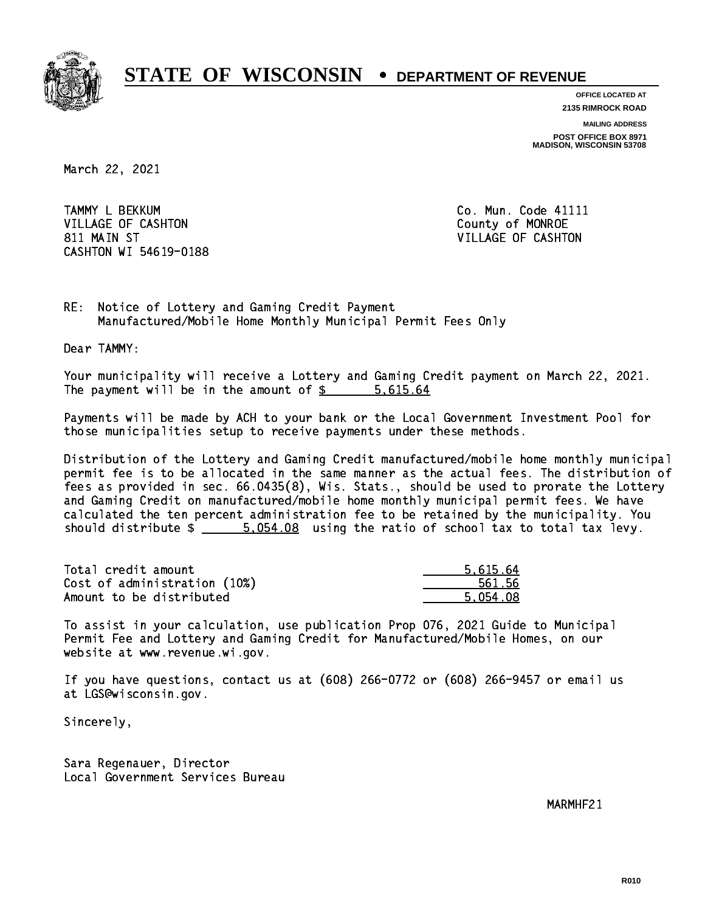

**OFFICE LOCATED AT 2135 RIMROCK ROAD**

**MAILING ADDRESS**

**POST OFFICE BOX 8971 MADISON, WISCONSIN 53708**

March 22, 2021

 TAMMY L BEKKUM Co. Mun. Code 41111 VILLAGE OF CASHTON COUNTY OF MONROE 811 MAIN ST VILLAGE OF CASHTON CASHTON WI 54619-0188

RE: Notice of Lottery and Gaming Credit Payment Manufactured/Mobile Home Monthly Municipal Permit Fees Only

Dear TAMMY:

 Your municipality will receive a Lottery and Gaming Credit payment on March 22, 2021. The payment will be in the amount of \$ 5,615.64 \_\_\_\_\_\_\_\_\_\_\_\_\_\_\_\_

 Payments will be made by ACH to your bank or the Local Government Investment Pool for those municipalities setup to receive payments under these methods.

 Distribution of the Lottery and Gaming Credit manufactured/mobile home monthly municipal permit fee is to be allocated in the same manner as the actual fees. The distribution of fees as provided in sec. 66.0435(8), Wis. Stats., should be used to prorate the Lottery and Gaming Credit on manufactured/mobile home monthly municipal permit fees. We have calculated the ten percent administration fee to be retained by the municipality. You should distribute  $\frac{2}{1}$   $\frac{5.054.08}{1000}$  using the ratio of school tax to total tax levy.

| Total credit amount          | 5.615.64 |
|------------------------------|----------|
| Cost of administration (10%) | 561.56   |
| Amount to be distributed     | 5.054.08 |

 To assist in your calculation, use publication Prop 076, 2021 Guide to Municipal Permit Fee and Lottery and Gaming Credit for Manufactured/Mobile Homes, on our website at www.revenue.wi.gov.

 If you have questions, contact us at (608) 266-0772 or (608) 266-9457 or email us at LGS@wisconsin.gov.

Sincerely,

 Sara Regenauer, Director Local Government Services Bureau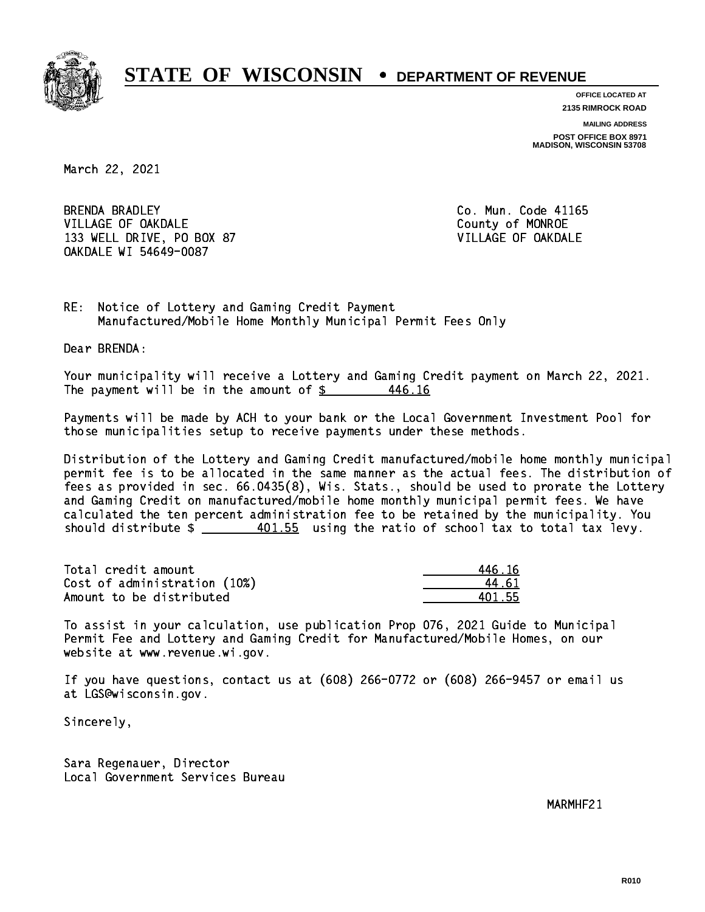

**OFFICE LOCATED AT 2135 RIMROCK ROAD**

**MAILING ADDRESS**

**POST OFFICE BOX 8971 MADISON, WISCONSIN 53708**

March 22, 2021

**BRENDA BRADLEY** VILLAGE OF OAKDALE COUNTY OF MONROE 133 WELL DRIVE, PO BOX 87 VILLAGE OF OAKDALE OAKDALE WI 54649-0087

Co. Mun. Code 41165

RE: Notice of Lottery and Gaming Credit Payment Manufactured/Mobile Home Monthly Municipal Permit Fees Only

Dear BRENDA:

 Your municipality will receive a Lottery and Gaming Credit payment on March 22, 2021. The payment will be in the amount of  $$$ 446.16

 Payments will be made by ACH to your bank or the Local Government Investment Pool for those municipalities setup to receive payments under these methods.

 Distribution of the Lottery and Gaming Credit manufactured/mobile home monthly municipal permit fee is to be allocated in the same manner as the actual fees. The distribution of fees as provided in sec. 66.0435(8), Wis. Stats., should be used to prorate the Lottery and Gaming Credit on manufactured/mobile home monthly municipal permit fees. We have calculated the ten percent administration fee to be retained by the municipality. You should distribute  $\frac{401.55}{2}$  using the ratio of school tax to total tax levy.

Total credit amount Cost of administration (10%) Amount to be distributed

| 46.16 |
|-------|
| - 61  |
| 11,55 |

 To assist in your calculation, use publication Prop 076, 2021 Guide to Municipal Permit Fee and Lottery and Gaming Credit for Manufactured/Mobile Homes, on our website at www.revenue.wi.gov.

 If you have questions, contact us at (608) 266-0772 or (608) 266-9457 or email us at LGS@wisconsin.gov.

Sincerely,

 Sara Regenauer, Director Local Government Services Bureau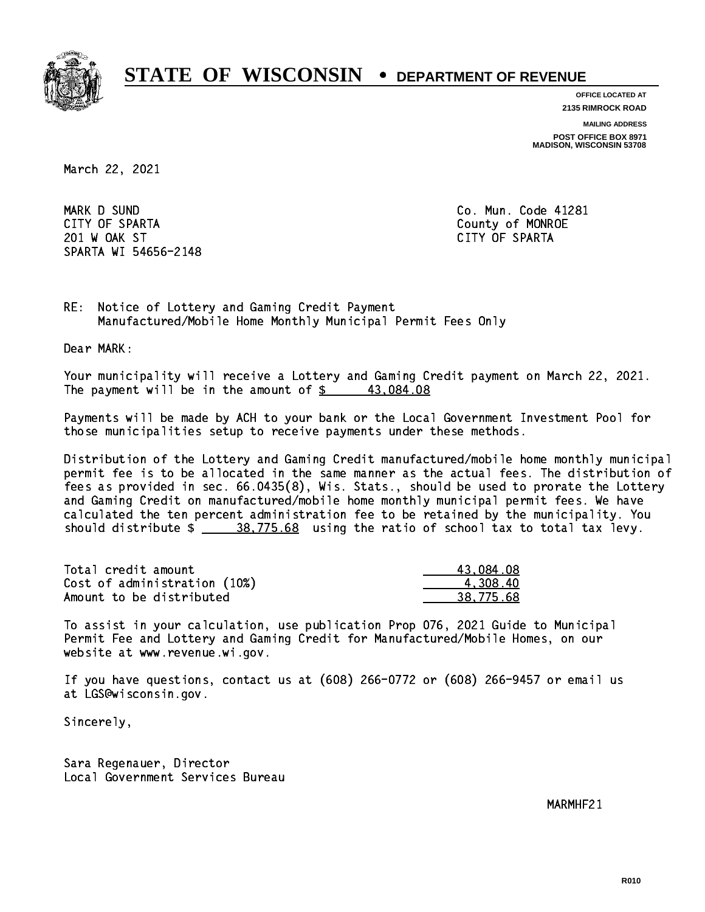

**OFFICE LOCATED AT**

**2135 RIMROCK ROAD**

**MAILING ADDRESS**

**POST OFFICE BOX 8971 MADISON, WISCONSIN 53708**

March 22, 2021

 MARK D SUND Co. Mun. Code 41281 CITY OF SPARTA County of MONROE 201 W OAK ST CITY OF SPARTA SPARTA WI 54656-2148

RE: Notice of Lottery and Gaming Credit Payment Manufactured/Mobile Home Monthly Municipal Permit Fees Only

Dear MARK:

 Your municipality will receive a Lottery and Gaming Credit payment on March 22, 2021. The payment will be in the amount of  $\frac{2}{3}$  43,084.08

 Payments will be made by ACH to your bank or the Local Government Investment Pool for those municipalities setup to receive payments under these methods.

 Distribution of the Lottery and Gaming Credit manufactured/mobile home monthly municipal permit fee is to be allocated in the same manner as the actual fees. The distribution of fees as provided in sec. 66.0435(8), Wis. Stats., should be used to prorate the Lottery and Gaming Credit on manufactured/mobile home monthly municipal permit fees. We have calculated the ten percent administration fee to be retained by the municipality. You should distribute  $\frac{28,775.68}{2}$  using the ratio of school tax to total tax levy.

| Total credit amount          | 43,084.08 |
|------------------------------|-----------|
| Cost of administration (10%) | 4.308.40  |
| Amount to be distributed     | 38.775.68 |

 To assist in your calculation, use publication Prop 076, 2021 Guide to Municipal Permit Fee and Lottery and Gaming Credit for Manufactured/Mobile Homes, on our website at www.revenue.wi.gov.

 If you have questions, contact us at (608) 266-0772 or (608) 266-9457 or email us at LGS@wisconsin.gov.

Sincerely,

 Sara Regenauer, Director Local Government Services Bureau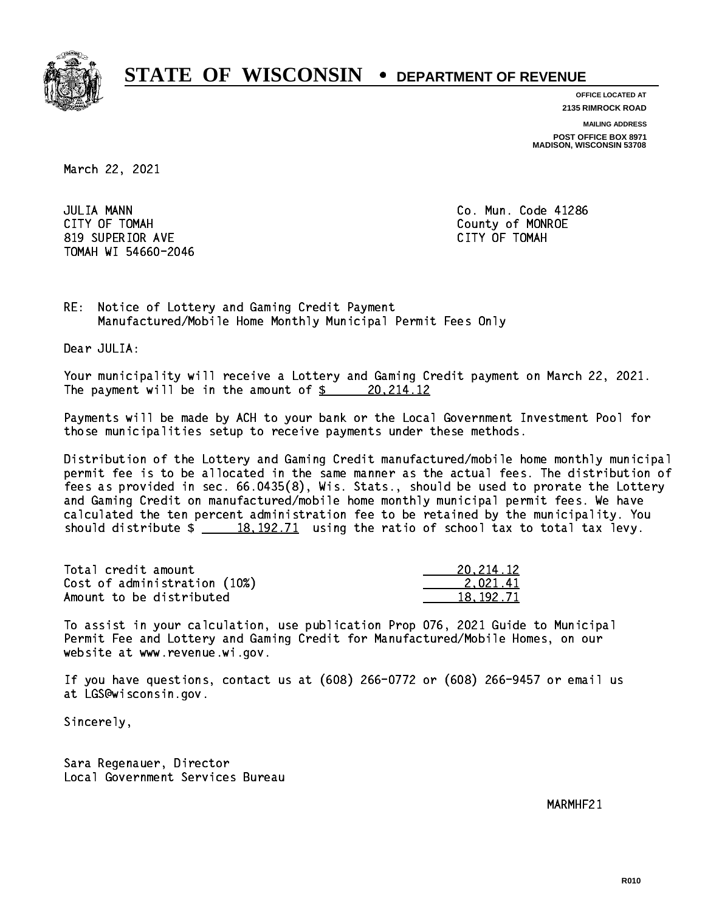

**OFFICE LOCATED AT**

**2135 RIMROCK ROAD**

**MAILING ADDRESS**

**POST OFFICE BOX 8971 MADISON, WISCONSIN 53708**

March 22, 2021

**JULIA MANN**  CITY OF TOMAH County of MONROE 819 SUPERIOR AVE CITY OF TOMAH TOMAH WI 54660-2046

Co. Mun. Code 41286

RE: Notice of Lottery and Gaming Credit Payment Manufactured/Mobile Home Monthly Municipal Permit Fees Only

Dear JULIA:

 Your municipality will receive a Lottery and Gaming Credit payment on March 22, 2021. The payment will be in the amount of  $\frac{20,214.12}{2}$ 

 Payments will be made by ACH to your bank or the Local Government Investment Pool for those municipalities setup to receive payments under these methods.

 Distribution of the Lottery and Gaming Credit manufactured/mobile home monthly municipal permit fee is to be allocated in the same manner as the actual fees. The distribution of fees as provided in sec. 66.0435(8), Wis. Stats., should be used to prorate the Lottery and Gaming Credit on manufactured/mobile home monthly municipal permit fees. We have calculated the ten percent administration fee to be retained by the municipality. You should distribute  $\frac{18,192.71}{2}$  using the ratio of school tax to total tax levy.

| Total credit amount          | 20, 214, 12 |
|------------------------------|-------------|
| Cost of administration (10%) | 2.021.41    |
| Amount to be distributed     | 18.192.71   |

 To assist in your calculation, use publication Prop 076, 2021 Guide to Municipal Permit Fee and Lottery and Gaming Credit for Manufactured/Mobile Homes, on our website at www.revenue.wi.gov.

 If you have questions, contact us at (608) 266-0772 or (608) 266-9457 or email us at LGS@wisconsin.gov.

Sincerely,

 Sara Regenauer, Director Local Government Services Bureau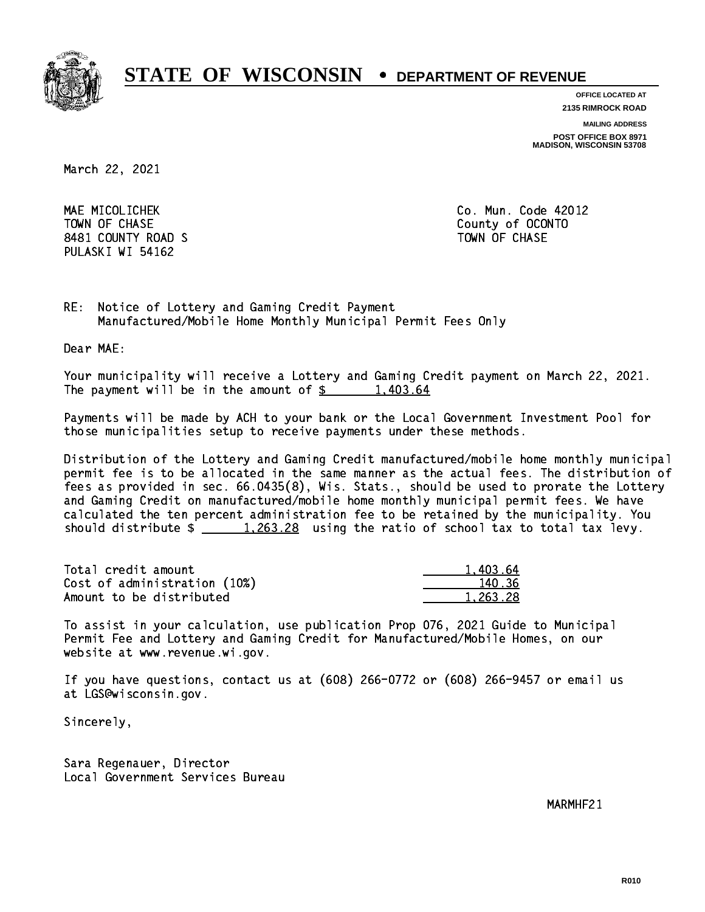

**OFFICE LOCATED AT 2135 RIMROCK ROAD**

**MAILING ADDRESS**

**POST OFFICE BOX 8971 MADISON, WISCONSIN 53708**

March 22, 2021

 MAE MICOLICHEK Co. Mun. Code 42012 TOWN OF CHASE County of OCONTO 8481 COUNTY ROAD S TOWN OF CHASE PULASKI WI 54162

RE: Notice of Lottery and Gaming Credit Payment Manufactured/Mobile Home Monthly Municipal Permit Fees Only

Dear MAE:

 Your municipality will receive a Lottery and Gaming Credit payment on March 22, 2021. The payment will be in the amount of  $\frac{2}{3}$  1,403.64

 Payments will be made by ACH to your bank or the Local Government Investment Pool for those municipalities setup to receive payments under these methods.

 Distribution of the Lottery and Gaming Credit manufactured/mobile home monthly municipal permit fee is to be allocated in the same manner as the actual fees. The distribution of fees as provided in sec. 66.0435(8), Wis. Stats., should be used to prorate the Lottery and Gaming Credit on manufactured/mobile home monthly municipal permit fees. We have calculated the ten percent administration fee to be retained by the municipality. You should distribute  $\frac{1,263.28}{1,263.28}$  using the ratio of school tax to total tax levy.

| Total credit amount          | 1.403.64 |
|------------------------------|----------|
| Cost of administration (10%) | 140.36   |
| Amount to be distributed     | 1.263.28 |

 To assist in your calculation, use publication Prop 076, 2021 Guide to Municipal Permit Fee and Lottery and Gaming Credit for Manufactured/Mobile Homes, on our website at www.revenue.wi.gov.

 If you have questions, contact us at (608) 266-0772 or (608) 266-9457 or email us at LGS@wisconsin.gov.

Sincerely,

 Sara Regenauer, Director Local Government Services Bureau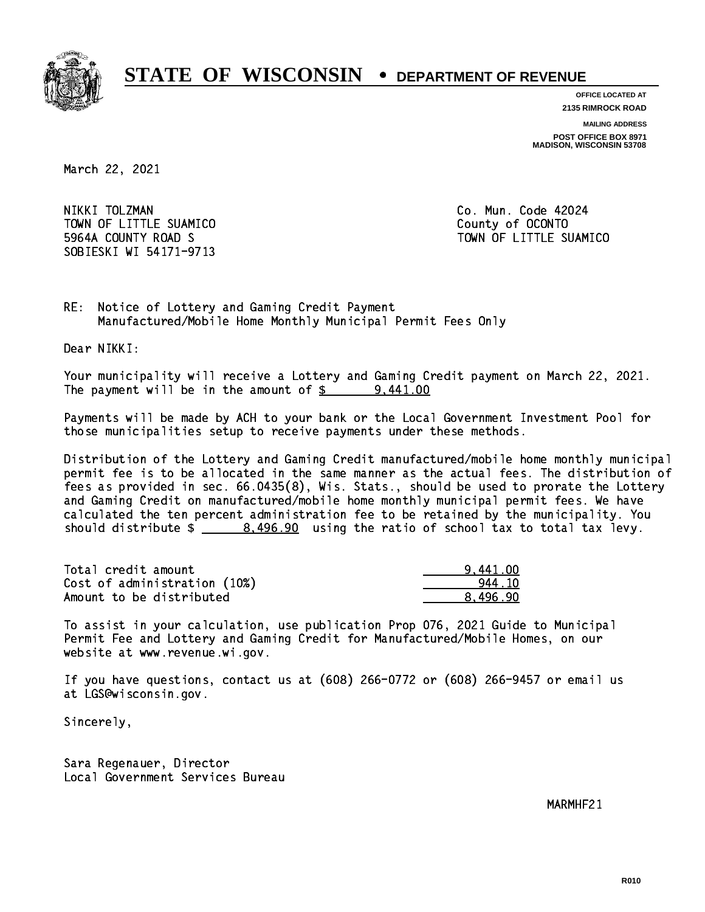

**OFFICE LOCATED AT 2135 RIMROCK ROAD**

**MAILING ADDRESS**

**POST OFFICE BOX 8971 MADISON, WISCONSIN 53708**

March 22, 2021

NIKKI TOLZMAN TOWN OF LITTLE SUAMICO **COUNTY COUNTY COUNTY**  5964A COUNTY ROAD S TOWN OF LITTLE SUAMICO SOBIESKI WI 54171-9713

Co. Mun. Code 42024

RE: Notice of Lottery and Gaming Credit Payment Manufactured/Mobile Home Monthly Municipal Permit Fees Only

Dear NIKKI:

 Your municipality will receive a Lottery and Gaming Credit payment on March 22, 2021. The payment will be in the amount of  $\frac{2}{3}$  9,441.00

 Payments will be made by ACH to your bank or the Local Government Investment Pool for those municipalities setup to receive payments under these methods.

 Distribution of the Lottery and Gaming Credit manufactured/mobile home monthly municipal permit fee is to be allocated in the same manner as the actual fees. The distribution of fees as provided in sec. 66.0435(8), Wis. Stats., should be used to prorate the Lottery and Gaming Credit on manufactured/mobile home monthly municipal permit fees. We have calculated the ten percent administration fee to be retained by the municipality. You should distribute  $\frac{2}{2}$   $\frac{8,496.90}{2}$  using the ratio of school tax to total tax levy.

| Total credit amount          | 9.441.00 |
|------------------------------|----------|
| Cost of administration (10%) | 944 10   |
| Amount to be distributed     | 8.496.90 |

 To assist in your calculation, use publication Prop 076, 2021 Guide to Municipal Permit Fee and Lottery and Gaming Credit for Manufactured/Mobile Homes, on our website at www.revenue.wi.gov.

 If you have questions, contact us at (608) 266-0772 or (608) 266-9457 or email us at LGS@wisconsin.gov.

Sincerely,

 Sara Regenauer, Director Local Government Services Bureau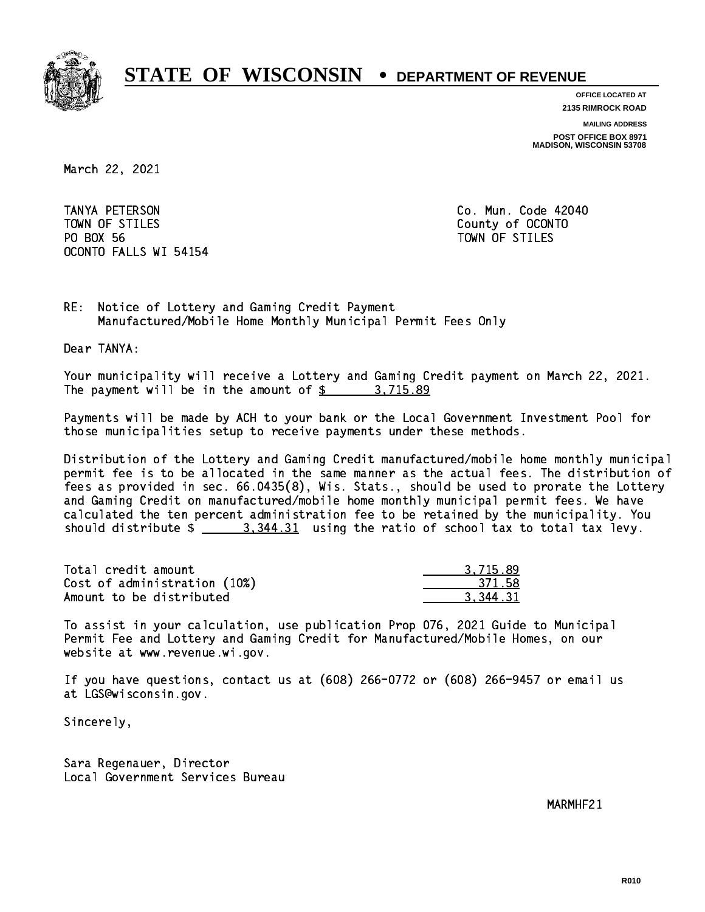

**OFFICE LOCATED AT**

**2135 RIMROCK ROAD**

**MAILING ADDRESS**

**POST OFFICE BOX 8971 MADISON, WISCONSIN 53708**

March 22, 2021

 TANYA PETERSON Co. Mun. Code 42040 TOWN OF STILES County of OCONTO PO BOX 56 PO BOX 56 TOWN OF STILES OCONTO FALLS WI 54154

RE: Notice of Lottery and Gaming Credit Payment Manufactured/Mobile Home Monthly Municipal Permit Fees Only

Dear TANYA:

 Your municipality will receive a Lottery and Gaming Credit payment on March 22, 2021. The payment will be in the amount of \$ 3,715.89 \_\_\_\_\_\_\_\_\_\_\_\_\_\_\_\_

 Payments will be made by ACH to your bank or the Local Government Investment Pool for those municipalities setup to receive payments under these methods.

 Distribution of the Lottery and Gaming Credit manufactured/mobile home monthly municipal permit fee is to be allocated in the same manner as the actual fees. The distribution of fees as provided in sec. 66.0435(8), Wis. Stats., should be used to prorate the Lottery and Gaming Credit on manufactured/mobile home monthly municipal permit fees. We have calculated the ten percent administration fee to be retained by the municipality. You should distribute  $\frac{2}{3}$   $\frac{3}{344.31}$  using the ratio of school tax to total tax levy.

| Total credit amount          | 3.715.89 |
|------------------------------|----------|
| Cost of administration (10%) | 371.58   |
| Amount to be distributed     | 3.344.31 |

 To assist in your calculation, use publication Prop 076, 2021 Guide to Municipal Permit Fee and Lottery and Gaming Credit for Manufactured/Mobile Homes, on our website at www.revenue.wi.gov.

 If you have questions, contact us at (608) 266-0772 or (608) 266-9457 or email us at LGS@wisconsin.gov.

Sincerely,

 Sara Regenauer, Director Local Government Services Bureau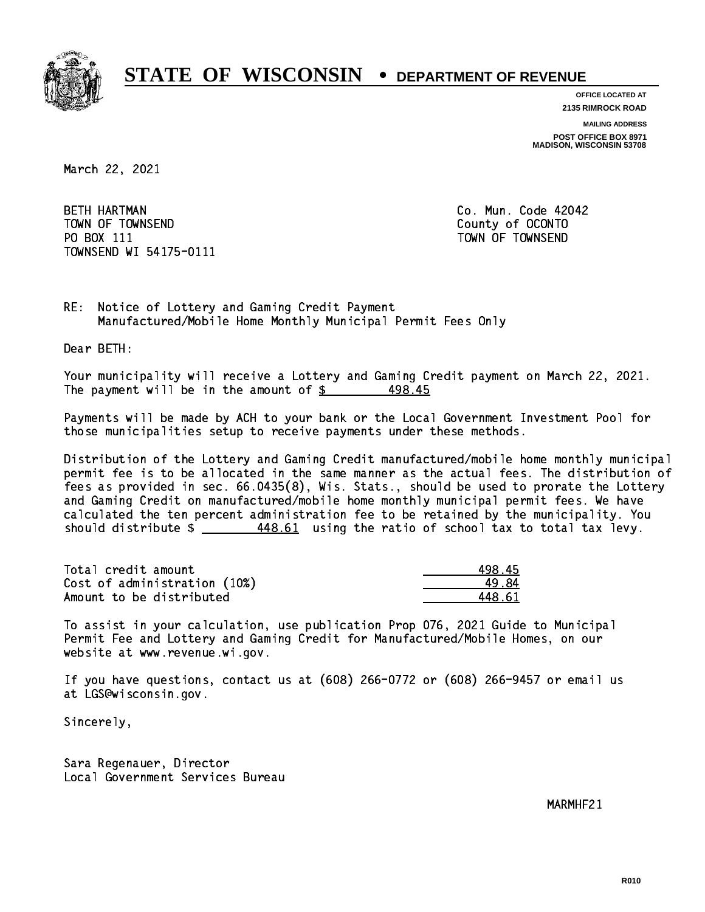

**OFFICE LOCATED AT**

**2135 RIMROCK ROAD**

**MAILING ADDRESS**

**POST OFFICE BOX 8971 MADISON, WISCONSIN 53708**

March 22, 2021

**BETH HARTMAN**  TOWN OF TOWNSEND County of OCONTO PO BOX 111 PO BOX 111 TOWN OF TOWNSEND TOWNSEND WI 54175-0111

Co. Mun. Code 42042

RE: Notice of Lottery and Gaming Credit Payment Manufactured/Mobile Home Monthly Municipal Permit Fees Only

Dear BETH:

 Your municipality will receive a Lottery and Gaming Credit payment on March 22, 2021. The payment will be in the amount of  $\frac{25}{3}$ 498.45

 Payments will be made by ACH to your bank or the Local Government Investment Pool for those municipalities setup to receive payments under these methods.

 Distribution of the Lottery and Gaming Credit manufactured/mobile home monthly municipal permit fee is to be allocated in the same manner as the actual fees. The distribution of fees as provided in sec. 66.0435(8), Wis. Stats., should be used to prorate the Lottery and Gaming Credit on manufactured/mobile home monthly municipal permit fees. We have calculated the ten percent administration fee to be retained by the municipality. You should distribute  $\frac{448.61}{1000}$  using the ratio of school tax to total tax levy.

| Total credit amount          | 498.45 |
|------------------------------|--------|
| Cost of administration (10%) | 49.84  |
| Amount to be distributed     | 448 G1 |

 To assist in your calculation, use publication Prop 076, 2021 Guide to Municipal Permit Fee and Lottery and Gaming Credit for Manufactured/Mobile Homes, on our website at www.revenue.wi.gov.

 If you have questions, contact us at (608) 266-0772 or (608) 266-9457 or email us at LGS@wisconsin.gov.

Sincerely,

 Sara Regenauer, Director Local Government Services Bureau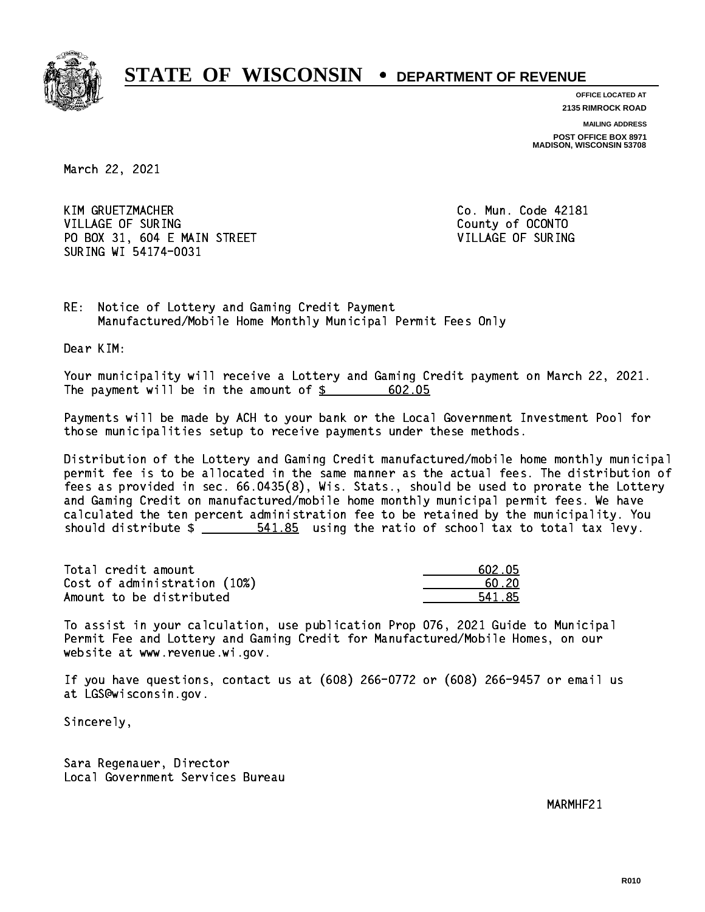

**OFFICE LOCATED AT 2135 RIMROCK ROAD**

**MAILING ADDRESS**

**POST OFFICE BOX 8971 MADISON, WISCONSIN 53708**

March 22, 2021

 KIM GRUETZMACHER Co. Mun. Code 42181 VILLAGE OF SURING COUNTY OF COUNTY OF SURING PO BOX 31, 604 E MAIN STREET VILLAGE OF SURING SURING WI 54174-0031

RE: Notice of Lottery and Gaming Credit Payment Manufactured/Mobile Home Monthly Municipal Permit Fees Only

Dear KIM:

 Your municipality will receive a Lottery and Gaming Credit payment on March 22, 2021. The payment will be in the amount of \$ 602.05 \_\_\_\_\_\_\_\_\_\_\_\_\_\_\_\_

 Payments will be made by ACH to your bank or the Local Government Investment Pool for those municipalities setup to receive payments under these methods.

 Distribution of the Lottery and Gaming Credit manufactured/mobile home monthly municipal permit fee is to be allocated in the same manner as the actual fees. The distribution of fees as provided in sec. 66.0435(8), Wis. Stats., should be used to prorate the Lottery and Gaming Credit on manufactured/mobile home monthly municipal permit fees. We have calculated the ten percent administration fee to be retained by the municipality. You should distribute  $\frac{2}{1}$   $\frac{541.85}{2}$  using the ratio of school tax to total tax levy.

| Total credit amount          | 602.05 |
|------------------------------|--------|
| Cost of administration (10%) | -60.20 |
| Amount to be distributed     | 541.85 |

 To assist in your calculation, use publication Prop 076, 2021 Guide to Municipal Permit Fee and Lottery and Gaming Credit for Manufactured/Mobile Homes, on our website at www.revenue.wi.gov.

 If you have questions, contact us at (608) 266-0772 or (608) 266-9457 or email us at LGS@wisconsin.gov.

Sincerely,

 Sara Regenauer, Director Local Government Services Bureau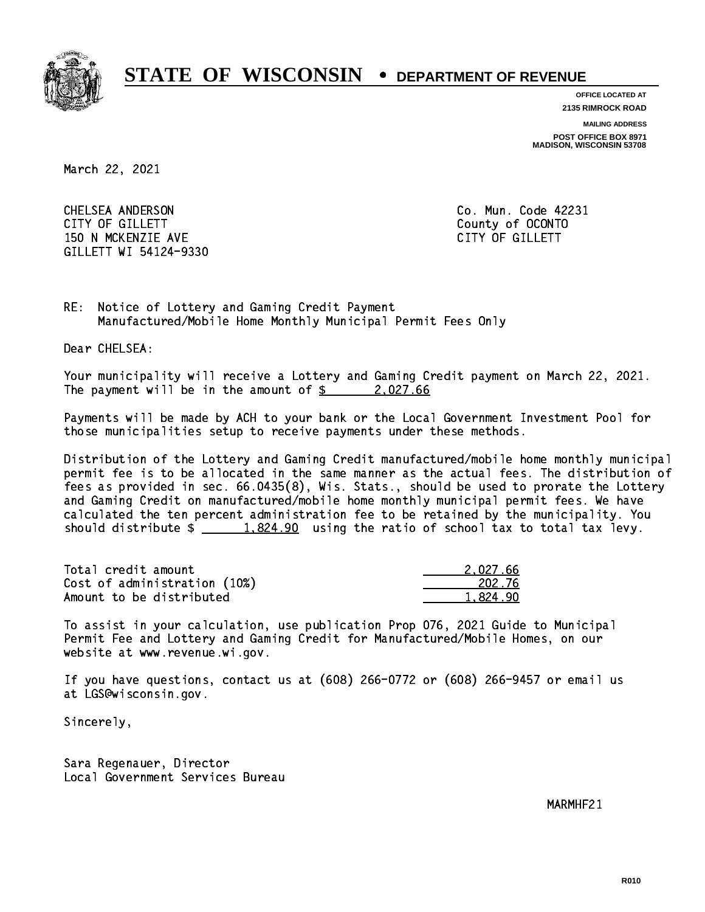

**OFFICE LOCATED AT**

**2135 RIMROCK ROAD**

**MAILING ADDRESS**

**POST OFFICE BOX 8971 MADISON, WISCONSIN 53708**

March 22, 2021

 CHELSEA ANDERSON Co. Mun. Code 42231 CITY OF GILLETT County of OCONTO 150 N MCKENZIE AVE **CITY OF GILLETT** GILLETT WI 54124-9330

RE: Notice of Lottery and Gaming Credit Payment Manufactured/Mobile Home Monthly Municipal Permit Fees Only

Dear CHELSEA:

 Your municipality will receive a Lottery and Gaming Credit payment on March 22, 2021. The payment will be in the amount of  $\frac{2}{0.27.66}$ 

 Payments will be made by ACH to your bank or the Local Government Investment Pool for those municipalities setup to receive payments under these methods.

 Distribution of the Lottery and Gaming Credit manufactured/mobile home monthly municipal permit fee is to be allocated in the same manner as the actual fees. The distribution of fees as provided in sec. 66.0435(8), Wis. Stats., should be used to prorate the Lottery and Gaming Credit on manufactured/mobile home monthly municipal permit fees. We have calculated the ten percent administration fee to be retained by the municipality. You should distribute  $\frac{1.824.90}{1.824.90}$  using the ratio of school tax to total tax levy.

| Total credit amount          | 2.027.66 |
|------------------------------|----------|
| Cost of administration (10%) | 202.76   |
| Amount to be distributed     | 1.824.90 |

 To assist in your calculation, use publication Prop 076, 2021 Guide to Municipal Permit Fee and Lottery and Gaming Credit for Manufactured/Mobile Homes, on our website at www.revenue.wi.gov.

 If you have questions, contact us at (608) 266-0772 or (608) 266-9457 or email us at LGS@wisconsin.gov.

Sincerely,

 Sara Regenauer, Director Local Government Services Bureau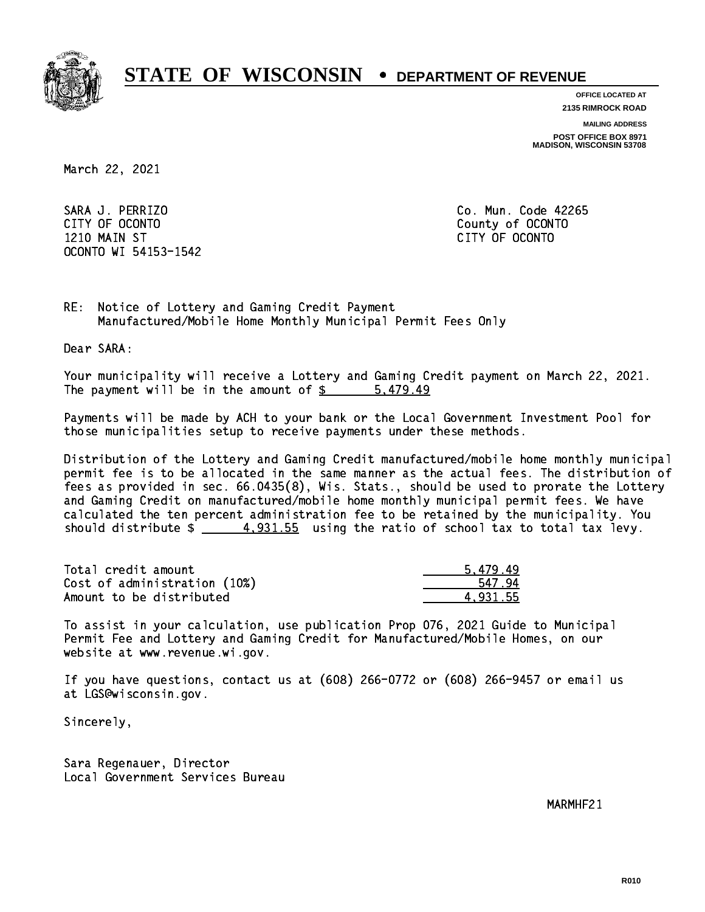

**OFFICE LOCATED AT**

**2135 RIMROCK ROAD**

**MAILING ADDRESS**

**POST OFFICE BOX 8971 MADISON, WISCONSIN 53708**

March 22, 2021

 SARA J. PERRIZO Co. Mun. Code 42265 CITY OF OCONTO County of OCONTO 1210 MAIN ST CITY OF OCONTO OCONTO WI 54153-1542

RE: Notice of Lottery and Gaming Credit Payment Manufactured/Mobile Home Monthly Municipal Permit Fees Only

Dear SARA:

 Your municipality will receive a Lottery and Gaming Credit payment on March 22, 2021. The payment will be in the amount of \$ 5,479.49 \_\_\_\_\_\_\_\_\_\_\_\_\_\_\_\_

 Payments will be made by ACH to your bank or the Local Government Investment Pool for those municipalities setup to receive payments under these methods.

 Distribution of the Lottery and Gaming Credit manufactured/mobile home monthly municipal permit fee is to be allocated in the same manner as the actual fees. The distribution of fees as provided in sec. 66.0435(8), Wis. Stats., should be used to prorate the Lottery and Gaming Credit on manufactured/mobile home monthly municipal permit fees. We have calculated the ten percent administration fee to be retained by the municipality. You should distribute  $\frac{4.931.55}{2}$  using the ratio of school tax to total tax levy.

| Total credit amount          | 5.479.49 |
|------------------------------|----------|
| Cost of administration (10%) | 547.94   |
| Amount to be distributed     | 4.931.55 |

 To assist in your calculation, use publication Prop 076, 2021 Guide to Municipal Permit Fee and Lottery and Gaming Credit for Manufactured/Mobile Homes, on our website at www.revenue.wi.gov.

 If you have questions, contact us at (608) 266-0772 or (608) 266-9457 or email us at LGS@wisconsin.gov.

Sincerely,

 Sara Regenauer, Director Local Government Services Bureau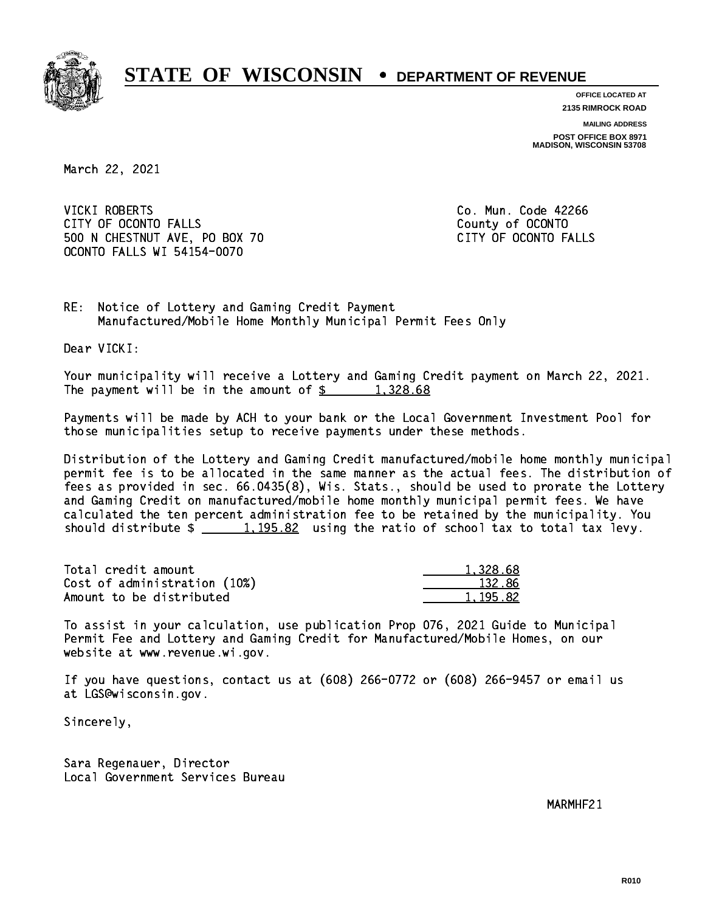

**OFFICE LOCATED AT**

**2135 RIMROCK ROAD**

**MAILING ADDRESS**

**POST OFFICE BOX 8971 MADISON, WISCONSIN 53708**

March 22, 2021

 VICKI ROBERTS Co. Mun. Code 42266 CITY OF OCONTO FALLS **COUNTY COUNTY OF OCONTO** 500 N CHESTNUT AVE, PO BOX 70 CITY OF OCONTO FALLS OCONTO FALLS WI 54154-0070

RE: Notice of Lottery and Gaming Credit Payment Manufactured/Mobile Home Monthly Municipal Permit Fees Only

Dear VICKI:

 Your municipality will receive a Lottery and Gaming Credit payment on March 22, 2021. The payment will be in the amount of  $\frac{2}{3}$  1,328.68

 Payments will be made by ACH to your bank or the Local Government Investment Pool for those municipalities setup to receive payments under these methods.

 Distribution of the Lottery and Gaming Credit manufactured/mobile home monthly municipal permit fee is to be allocated in the same manner as the actual fees. The distribution of fees as provided in sec. 66.0435(8), Wis. Stats., should be used to prorate the Lottery and Gaming Credit on manufactured/mobile home monthly municipal permit fees. We have calculated the ten percent administration fee to be retained by the municipality. You should distribute  $\frac{1}{2}$   $\frac{1}{1}$   $\frac{195.82}{1}$  using the ratio of school tax to total tax levy.

| Total credit amount          | 1,328.68 |
|------------------------------|----------|
| Cost of administration (10%) | 132.86   |
| Amount to be distributed     | 1,195.82 |

 To assist in your calculation, use publication Prop 076, 2021 Guide to Municipal Permit Fee and Lottery and Gaming Credit for Manufactured/Mobile Homes, on our website at www.revenue.wi.gov.

 If you have questions, contact us at (608) 266-0772 or (608) 266-9457 or email us at LGS@wisconsin.gov.

Sincerely,

 Sara Regenauer, Director Local Government Services Bureau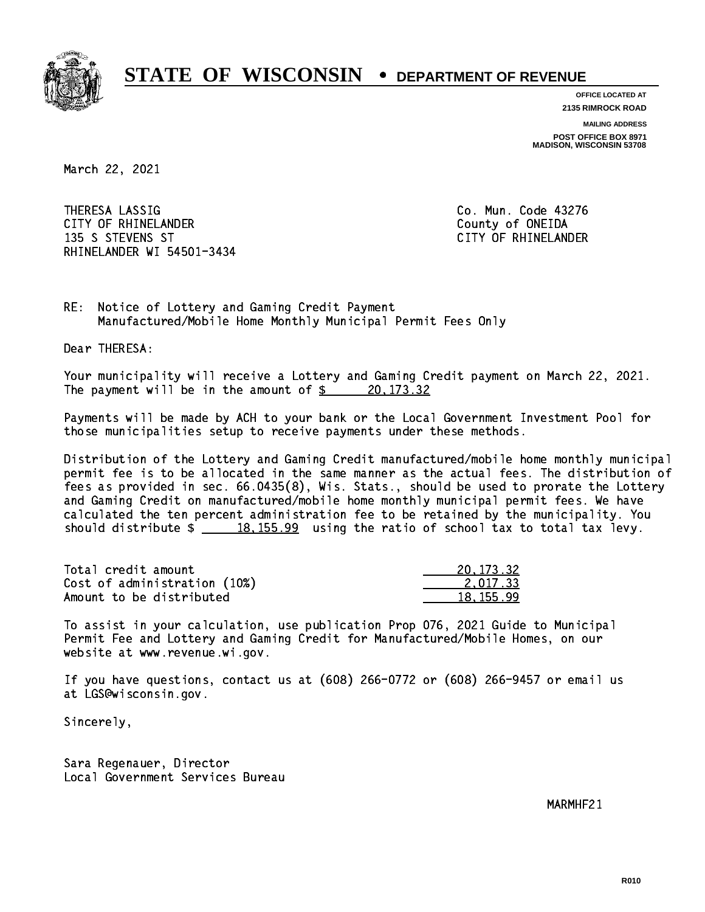

**OFFICE LOCATED AT 2135 RIMROCK ROAD**

**MAILING ADDRESS**

**POST OFFICE BOX 8971 MADISON, WISCONSIN 53708**

March 22, 2021

 THERESA LASSIG Co. Mun. Code 43276 CITY OF RHINELANDER **COUNTY COUNTY OF SHINE COUNTY** COUNTY OF ONEIDA 135 S STEVENS ST CITY OF RHINELANDER RHINELANDER WI 54501-3434

RE: Notice of Lottery and Gaming Credit Payment Manufactured/Mobile Home Monthly Municipal Permit Fees Only

Dear THERESA:

 Your municipality will receive a Lottery and Gaming Credit payment on March 22, 2021. The payment will be in the amount of  $\frac{20,173.32}{20,173.32}$ 

 Payments will be made by ACH to your bank or the Local Government Investment Pool for those municipalities setup to receive payments under these methods.

 Distribution of the Lottery and Gaming Credit manufactured/mobile home monthly municipal permit fee is to be allocated in the same manner as the actual fees. The distribution of fees as provided in sec. 66.0435(8), Wis. Stats., should be used to prorate the Lottery and Gaming Credit on manufactured/mobile home monthly municipal permit fees. We have calculated the ten percent administration fee to be retained by the municipality. You should distribute  $\frac{18,155.99}{2}$  using the ratio of school tax to total tax levy.

| Total credit amount          | 20, 173, 32 |
|------------------------------|-------------|
| Cost of administration (10%) | 2.017.33    |
| Amount to be distributed     | 18.155.99   |

 To assist in your calculation, use publication Prop 076, 2021 Guide to Municipal Permit Fee and Lottery and Gaming Credit for Manufactured/Mobile Homes, on our website at www.revenue.wi.gov.

 If you have questions, contact us at (608) 266-0772 or (608) 266-9457 or email us at LGS@wisconsin.gov.

Sincerely,

 Sara Regenauer, Director Local Government Services Bureau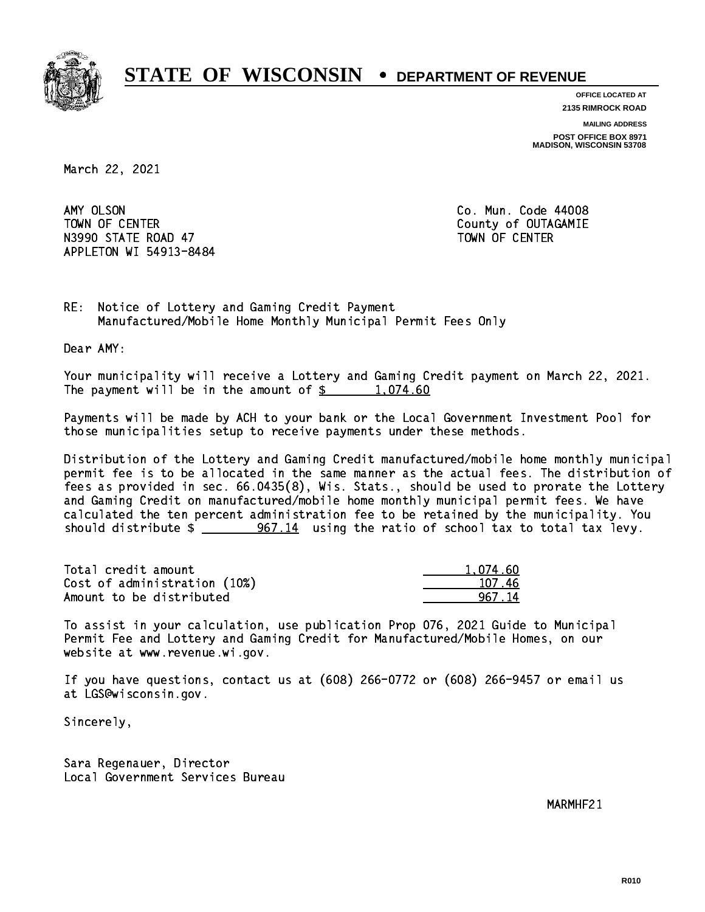

**OFFICE LOCATED AT 2135 RIMROCK ROAD**

**MAILING ADDRESS**

**POST OFFICE BOX 8971 MADISON, WISCONSIN 53708**

March 22, 2021

AMY OLSON TOWN OF CENTER **COUNTY OF COUNTY COUNTY OF COULD A** N3990 STATE ROAD 47 TOWN OF CENTER APPLETON WI 54913-8484

Co. Mun. Code 44008

RE: Notice of Lottery and Gaming Credit Payment Manufactured/Mobile Home Monthly Municipal Permit Fees Only

Dear AMY:

 Your municipality will receive a Lottery and Gaming Credit payment on March 22, 2021. The payment will be in the amount of  $\frac{2}{3}$  1,074.60

 Payments will be made by ACH to your bank or the Local Government Investment Pool for those municipalities setup to receive payments under these methods.

 Distribution of the Lottery and Gaming Credit manufactured/mobile home monthly municipal permit fee is to be allocated in the same manner as the actual fees. The distribution of fees as provided in sec. 66.0435(8), Wis. Stats., should be used to prorate the Lottery and Gaming Credit on manufactured/mobile home monthly municipal permit fees. We have calculated the ten percent administration fee to be retained by the municipality. You should distribute  $\frac{267.14}{100}$  using the ratio of school tax to total tax levy.

| Total credit amount          | 1.074.60 |
|------------------------------|----------|
| Cost of administration (10%) | 107.46   |
| Amount to be distributed     | 967 14   |

 To assist in your calculation, use publication Prop 076, 2021 Guide to Municipal Permit Fee and Lottery and Gaming Credit for Manufactured/Mobile Homes, on our website at www.revenue.wi.gov.

 If you have questions, contact us at (608) 266-0772 or (608) 266-9457 or email us at LGS@wisconsin.gov.

Sincerely,

 Sara Regenauer, Director Local Government Services Bureau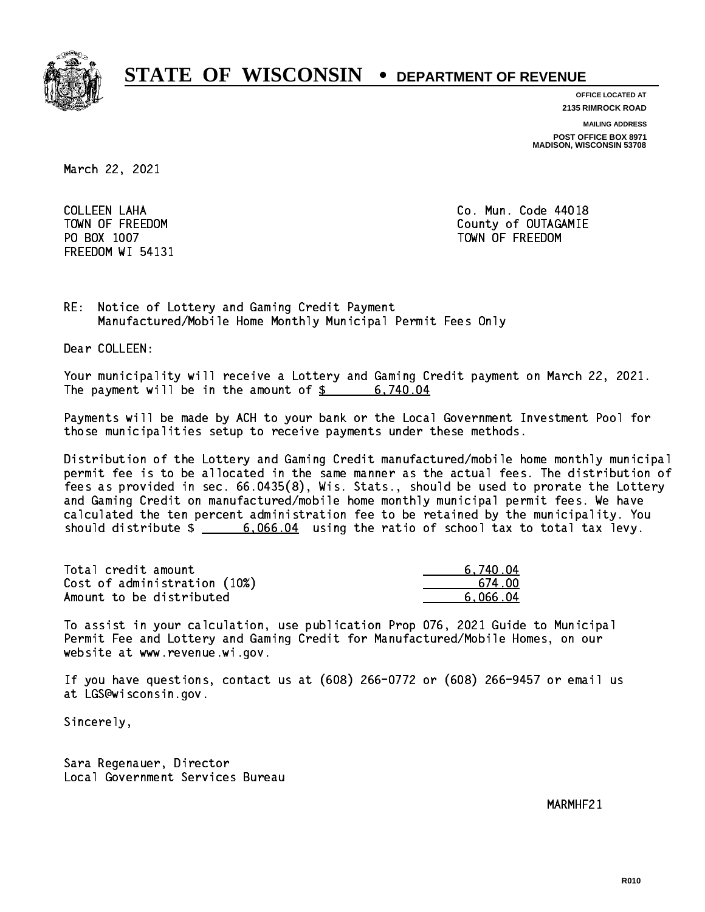

**OFFICE LOCATED AT**

**2135 RIMROCK ROAD**

**MAILING ADDRESS**

**POST OFFICE BOX 8971 MADISON, WISCONSIN 53708**

March 22, 2021

 COLLEEN LAHA Co. Mun. Code 44018 FREEDOM WI 54131

TOWN OF FREEDOM County of OUTAGAMIE PO BOX 1007 TOWN OF FREEDOM

RE: Notice of Lottery and Gaming Credit Payment Manufactured/Mobile Home Monthly Municipal Permit Fees Only

Dear COLLEEN:

 Your municipality will receive a Lottery and Gaming Credit payment on March 22, 2021. The payment will be in the amount of \$ 6,740.04 \_\_\_\_\_\_\_\_\_\_\_\_\_\_\_\_

 Payments will be made by ACH to your bank or the Local Government Investment Pool for those municipalities setup to receive payments under these methods.

 Distribution of the Lottery and Gaming Credit manufactured/mobile home monthly municipal permit fee is to be allocated in the same manner as the actual fees. The distribution of fees as provided in sec. 66.0435(8), Wis. Stats., should be used to prorate the Lottery and Gaming Credit on manufactured/mobile home monthly municipal permit fees. We have calculated the ten percent administration fee to be retained by the municipality. You should distribute  $\frac{2}{1}$   $\frac{6,066.04}{60.066.04}$  using the ratio of school tax to total tax levy.

| Total credit amount          | 6.740.04 |
|------------------------------|----------|
| Cost of administration (10%) | .674 በበ  |
| Amount to be distributed     | 6.066.04 |

 To assist in your calculation, use publication Prop 076, 2021 Guide to Municipal Permit Fee and Lottery and Gaming Credit for Manufactured/Mobile Homes, on our website at www.revenue.wi.gov.

 If you have questions, contact us at (608) 266-0772 or (608) 266-9457 or email us at LGS@wisconsin.gov.

Sincerely,

 Sara Regenauer, Director Local Government Services Bureau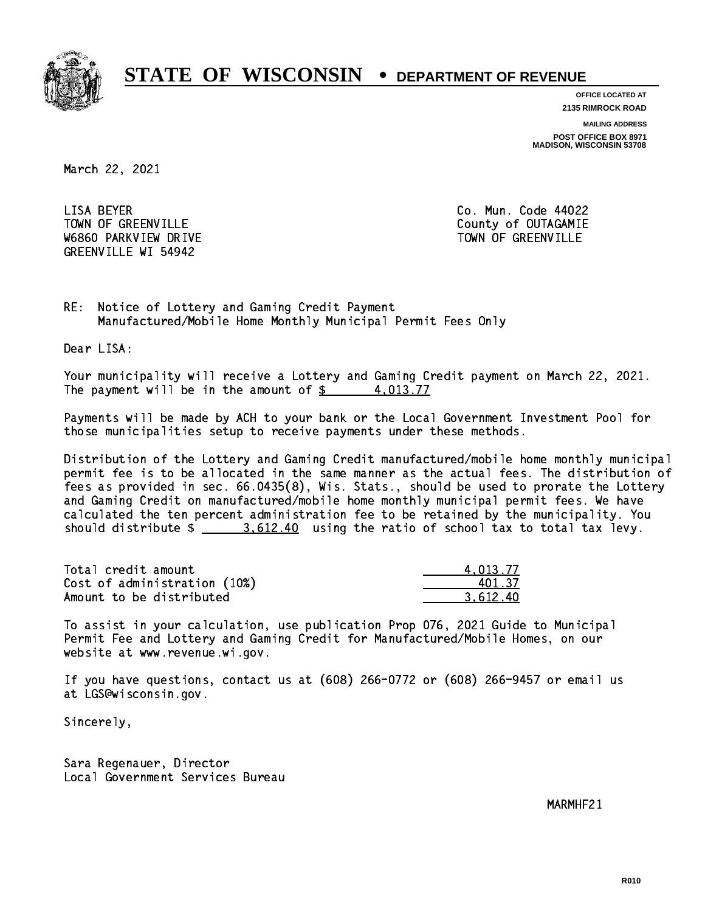

**OFFICE LOCATED AT**

**2135 RIMROCK ROAD**

**MAILING ADDRESS**

**POST OFFICE BOX 8971 MADISON, WISCONSIN 53708**

March 22, 2021

 LISA BEYER Co. Mun. Code 44022 TOWN OF GREENVILLE TOWN OF GREENVILLE W6860 PARKVIEW DRIVE TOWN OF GREENVILLE GREENVILLE WI 54942

RE: Notice of Lottery and Gaming Credit Payment Manufactured/Mobile Home Monthly Municipal Permit Fees Only

Dear LISA:

 Your municipality will receive a Lottery and Gaming Credit payment on March 22, 2021. The payment will be in the amount of  $\frac{2}{3}$  4,013.77

 Payments will be made by ACH to your bank or the Local Government Investment Pool for those municipalities setup to receive payments under these methods.

 Distribution of the Lottery and Gaming Credit manufactured/mobile home monthly municipal permit fee is to be allocated in the same manner as the actual fees. The distribution of fees as provided in sec. 66.0435(8), Wis. Stats., should be used to prorate the Lottery and Gaming Credit on manufactured/mobile home monthly municipal permit fees. We have calculated the ten percent administration fee to be retained by the municipality. You should distribute  $\frac{2}{2}$   $\frac{3.612.40}{2}$  using the ratio of school tax to total tax levy.

| Total credit amount          | 4.013.77 |
|------------------------------|----------|
| Cost of administration (10%) | 401.37   |
| Amount to be distributed     | 3.612.40 |

 To assist in your calculation, use publication Prop 076, 2021 Guide to Municipal Permit Fee and Lottery and Gaming Credit for Manufactured/Mobile Homes, on our website at www.revenue.wi.gov.

 If you have questions, contact us at (608) 266-0772 or (608) 266-9457 or email us at LGS@wisconsin.gov.

Sincerely,

 Sara Regenauer, Director Local Government Services Bureau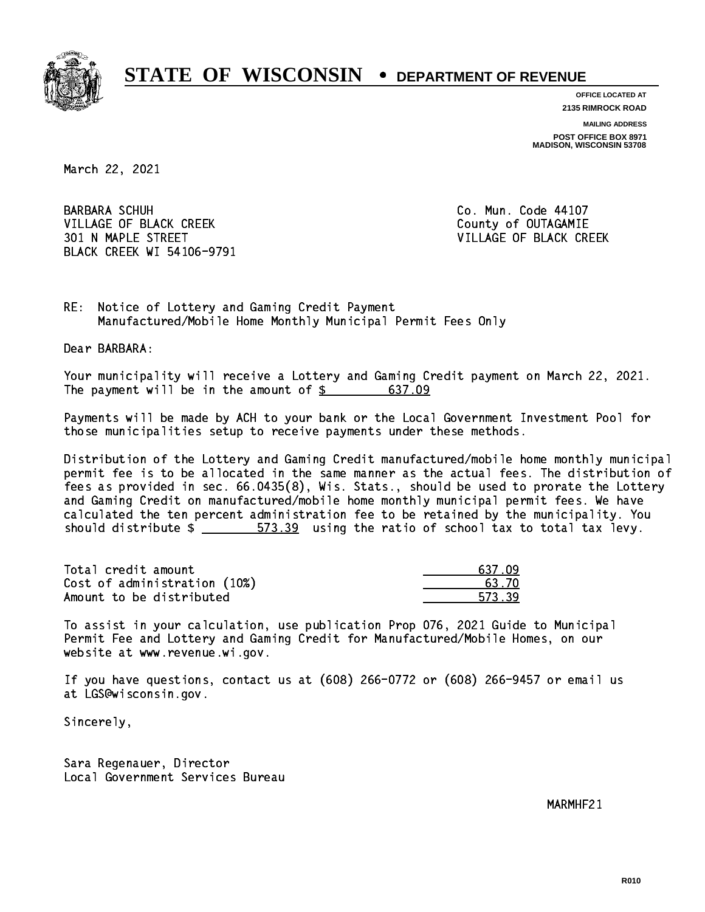

**OFFICE LOCATED AT**

**2135 RIMROCK ROAD**

**MAILING ADDRESS POST OFFICE BOX 8971 MADISON, WISCONSIN 53708**

March 22, 2021

**BARBARA SCHUH** VILLAGE OF BLACK CREEK COUNTY OF OUTAGAMIE 301 N MAPLE STREET VILLAGE OF BLACK CREEK BLACK CREEK WI 54106-9791

Co. Mun. Code 44107

RE: Notice of Lottery and Gaming Credit Payment Manufactured/Mobile Home Monthly Municipal Permit Fees Only

Dear BARBARA:

 Your municipality will receive a Lottery and Gaming Credit payment on March 22, 2021. The payment will be in the amount of  $$ 637.09$ 

 Payments will be made by ACH to your bank or the Local Government Investment Pool for those municipalities setup to receive payments under these methods.

 Distribution of the Lottery and Gaming Credit manufactured/mobile home monthly municipal permit fee is to be allocated in the same manner as the actual fees. The distribution of fees as provided in sec. 66.0435(8), Wis. Stats., should be used to prorate the Lottery and Gaming Credit on manufactured/mobile home monthly municipal permit fees. We have calculated the ten percent administration fee to be retained by the municipality. You should distribute  $\frac{2}{1}$   $\frac{573.39}{2}$  using the ratio of school tax to total tax levy.

Total credit amount Cost of administration (10%) Amount to be distributed

| ्र7 ।        |
|--------------|
| 3. ZO        |
| $\sqrt{2}$ . |

 To assist in your calculation, use publication Prop 076, 2021 Guide to Municipal Permit Fee and Lottery and Gaming Credit for Manufactured/Mobile Homes, on our website at www.revenue.wi.gov.

 If you have questions, contact us at (608) 266-0772 or (608) 266-9457 or email us at LGS@wisconsin.gov.

Sincerely,

 Sara Regenauer, Director Local Government Services Bureau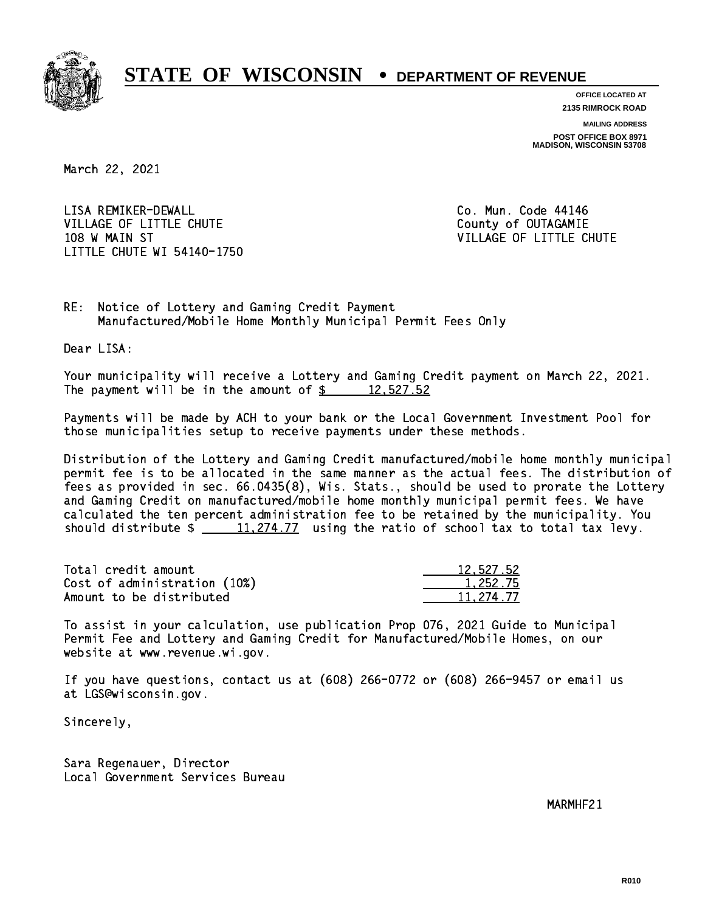

**OFFICE LOCATED AT**

**2135 RIMROCK ROAD**

**MAILING ADDRESS POST OFFICE BOX 8971 MADISON, WISCONSIN 53708**

March 22, 2021

 LISA REMIKER-DEWALL Co. Mun. Code 44146 VILLAGE OF LITTLE CHUTE COUNTY OF OUTAGAMIE 108 W MAIN ST VILLAGE OF LITTLE CHUTE LITTLE CHUTE WI 54140-1750

RE: Notice of Lottery and Gaming Credit Payment Manufactured/Mobile Home Monthly Municipal Permit Fees Only

Dear LISA:

 Your municipality will receive a Lottery and Gaming Credit payment on March 22, 2021. The payment will be in the amount of  $\frac{2}{3}$  12,527.52

 Payments will be made by ACH to your bank or the Local Government Investment Pool for those municipalities setup to receive payments under these methods.

 Distribution of the Lottery and Gaming Credit manufactured/mobile home monthly municipal permit fee is to be allocated in the same manner as the actual fees. The distribution of fees as provided in sec. 66.0435(8), Wis. Stats., should be used to prorate the Lottery and Gaming Credit on manufactured/mobile home monthly municipal permit fees. We have calculated the ten percent administration fee to be retained by the municipality. You should distribute  $\frac{11,274.77}{2}$  using the ratio of school tax to total tax levy.

| Total credit amount          | 12,527.52 |
|------------------------------|-----------|
| Cost of administration (10%) | 1.252.75  |
| Amount to be distributed     | 11,274.77 |

 To assist in your calculation, use publication Prop 076, 2021 Guide to Municipal Permit Fee and Lottery and Gaming Credit for Manufactured/Mobile Homes, on our website at www.revenue.wi.gov.

 If you have questions, contact us at (608) 266-0772 or (608) 266-9457 or email us at LGS@wisconsin.gov.

Sincerely,

 Sara Regenauer, Director Local Government Services Bureau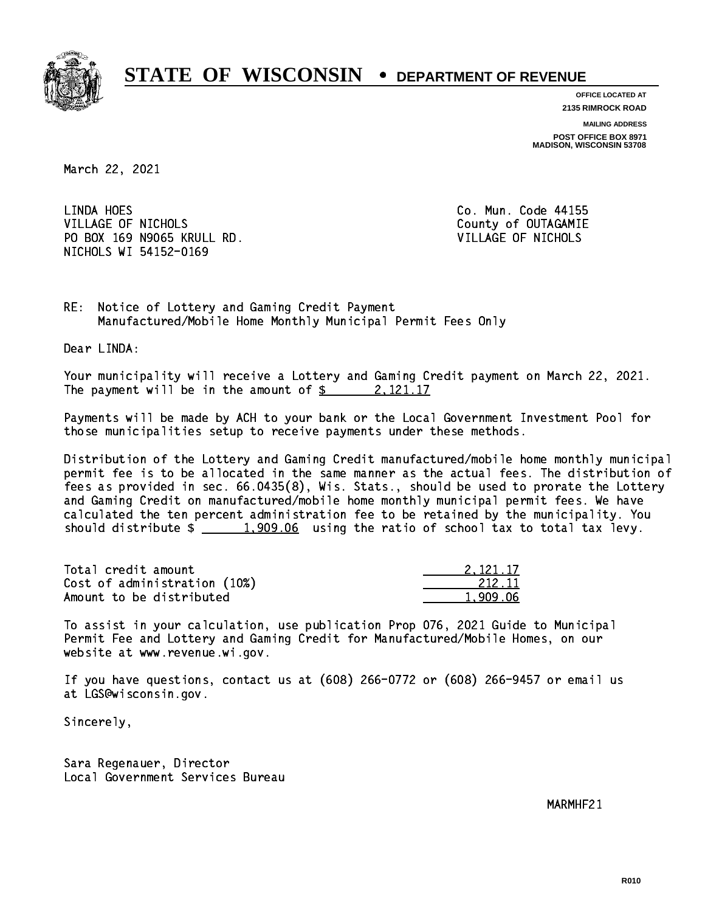

**OFFICE LOCATED AT**

**2135 RIMROCK ROAD**

**MAILING ADDRESS**

**POST OFFICE BOX 8971 MADISON, WISCONSIN 53708**

March 22, 2021

LINDA HOES VILLAGE OF NICHOLS **COUNTY OF SEXUAL COUNTY OF OUTAGAMIE**  PO BOX 169 N9065 KRULL RD. VILLAGE OF NICHOLS NICHOLS WI 54152-0169

Co. Mun. Code 44155

RE: Notice of Lottery and Gaming Credit Payment Manufactured/Mobile Home Monthly Municipal Permit Fees Only

Dear LINDA:

 Your municipality will receive a Lottery and Gaming Credit payment on March 22, 2021. The payment will be in the amount of  $\frac{2}{3}$  2,121.17

 Payments will be made by ACH to your bank or the Local Government Investment Pool for those municipalities setup to receive payments under these methods.

 Distribution of the Lottery and Gaming Credit manufactured/mobile home monthly municipal permit fee is to be allocated in the same manner as the actual fees. The distribution of fees as provided in sec. 66.0435(8), Wis. Stats., should be used to prorate the Lottery and Gaming Credit on manufactured/mobile home monthly municipal permit fees. We have calculated the ten percent administration fee to be retained by the municipality. You should distribute  $\frac{1,909.06}{1,909.06}$  using the ratio of school tax to total tax levy.

| Total credit amount          | 2.121.17 |
|------------------------------|----------|
| Cost of administration (10%) | 212.11   |
| Amount to be distributed     | 1.909.06 |

 To assist in your calculation, use publication Prop 076, 2021 Guide to Municipal Permit Fee and Lottery and Gaming Credit for Manufactured/Mobile Homes, on our website at www.revenue.wi.gov.

 If you have questions, contact us at (608) 266-0772 or (608) 266-9457 or email us at LGS@wisconsin.gov.

Sincerely,

 Sara Regenauer, Director Local Government Services Bureau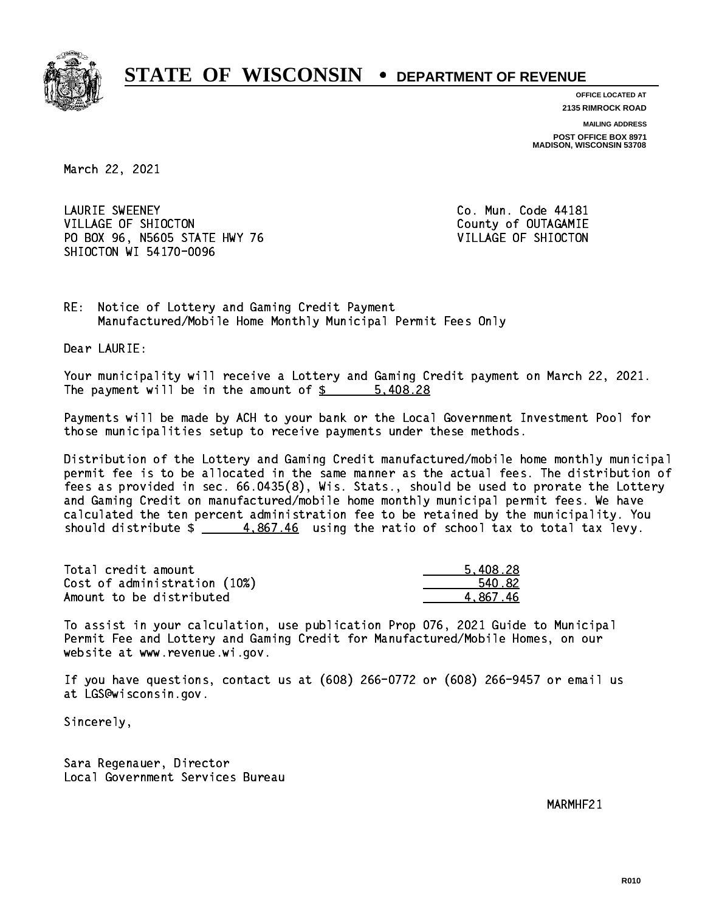

**OFFICE LOCATED AT 2135 RIMROCK ROAD**

**MAILING ADDRESS**

**POST OFFICE BOX 8971 MADISON, WISCONSIN 53708**

March 22, 2021

 LAURIE SWEENEY Co. Mun. Code 44181 VILLAGE OF SHIOCTON COUNTY OF OUTAGAMIE PO BOX 96, N5605 STATE HWY 76 VILLAGE OF SHIOCTON SHIOCTON WI 54170-0096

RE: Notice of Lottery and Gaming Credit Payment Manufactured/Mobile Home Monthly Municipal Permit Fees Only

Dear LAURIE:

 Your municipality will receive a Lottery and Gaming Credit payment on March 22, 2021. The payment will be in the amount of  $\frac{28}{100}$  = 5,408.28

 Payments will be made by ACH to your bank or the Local Government Investment Pool for those municipalities setup to receive payments under these methods.

 Distribution of the Lottery and Gaming Credit manufactured/mobile home monthly municipal permit fee is to be allocated in the same manner as the actual fees. The distribution of fees as provided in sec. 66.0435(8), Wis. Stats., should be used to prorate the Lottery and Gaming Credit on manufactured/mobile home monthly municipal permit fees. We have calculated the ten percent administration fee to be retained by the municipality. You should distribute  $\frac{4.867.46}{2}$  using the ratio of school tax to total tax levy.

| Total credit amount          | 5.408.28 |
|------------------------------|----------|
| Cost of administration (10%) | 540.82   |
| Amount to be distributed     | 4.867.46 |

 To assist in your calculation, use publication Prop 076, 2021 Guide to Municipal Permit Fee and Lottery and Gaming Credit for Manufactured/Mobile Homes, on our website at www.revenue.wi.gov.

 If you have questions, contact us at (608) 266-0772 or (608) 266-9457 or email us at LGS@wisconsin.gov.

Sincerely,

 Sara Regenauer, Director Local Government Services Bureau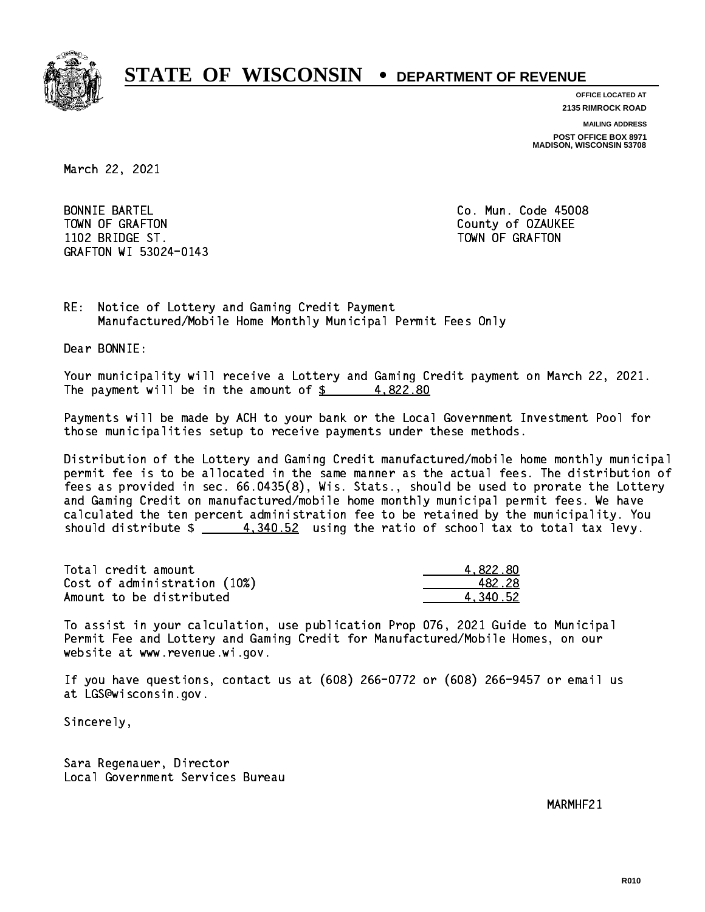

**OFFICE LOCATED AT**

**2135 RIMROCK ROAD**

**MAILING ADDRESS**

**POST OFFICE BOX 8971 MADISON, WISCONSIN 53708**

March 22, 2021

 BONNIE BARTEL Co. Mun. Code 45008 TOWN OF GRAFTON COUNTY OF OUR COUNTY OF OUR COUNTY OF OUR COUNTY OF OUR COUNTY OF OUR COUNTY OF OUR COUNTY OF THE ONLY AND THE OUR COUNTY OF OUR COUNTY OF OUR COUNTY OF OUR COUNTY OF OUR COUNTY OF OUR COUNTY OF OUR COUNTY 1102 BRIDGE ST. TOWN OF GRAFIT ST. TOWN OF GRAFIT ST. TOWN OF GRAFIT ST. TOWN OF GRAFIT ST. TOWN OF GRAFIT ST. GRAFTON WI 53024-0143

RE: Notice of Lottery and Gaming Credit Payment Manufactured/Mobile Home Monthly Municipal Permit Fees Only

Dear BONNIE:

 Your municipality will receive a Lottery and Gaming Credit payment on March 22, 2021. The payment will be in the amount of  $\frac{2}{3}$  4,822.80

 Payments will be made by ACH to your bank or the Local Government Investment Pool for those municipalities setup to receive payments under these methods.

 Distribution of the Lottery and Gaming Credit manufactured/mobile home monthly municipal permit fee is to be allocated in the same manner as the actual fees. The distribution of fees as provided in sec. 66.0435(8), Wis. Stats., should be used to prorate the Lottery and Gaming Credit on manufactured/mobile home monthly municipal permit fees. We have calculated the ten percent administration fee to be retained by the municipality. You should distribute  $\frac{4,340.52}{2}$  using the ratio of school tax to total tax levy.

| Total credit amount          | 4.822.80 |
|------------------------------|----------|
| Cost of administration (10%) | 482.28   |
| Amount to be distributed     | 4.340.52 |

 To assist in your calculation, use publication Prop 076, 2021 Guide to Municipal Permit Fee and Lottery and Gaming Credit for Manufactured/Mobile Homes, on our website at www.revenue.wi.gov.

 If you have questions, contact us at (608) 266-0772 or (608) 266-9457 or email us at LGS@wisconsin.gov.

Sincerely,

 Sara Regenauer, Director Local Government Services Bureau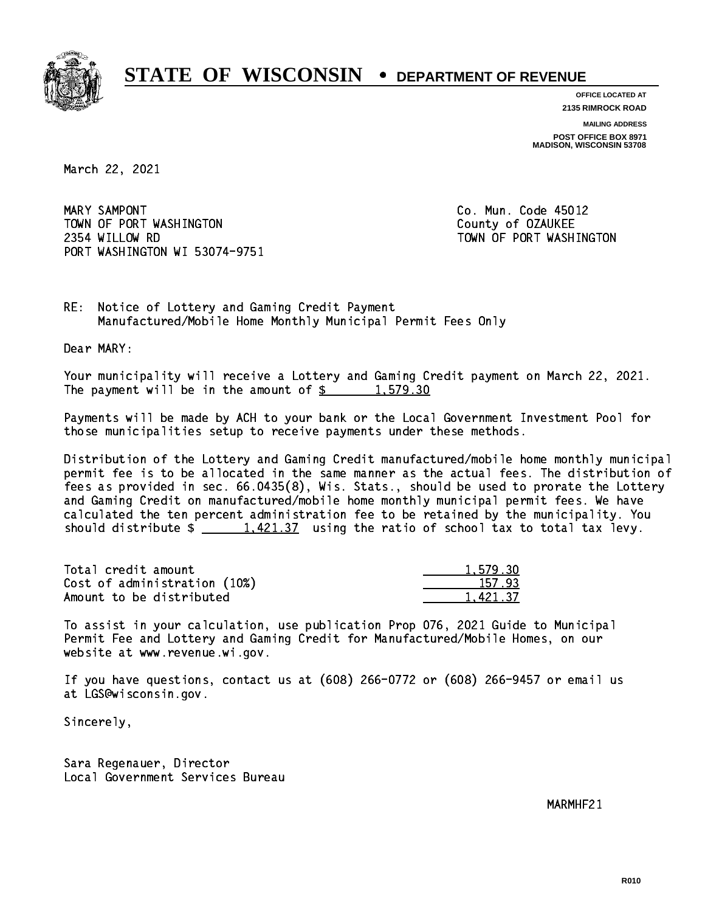

**OFFICE LOCATED AT 2135 RIMROCK ROAD**

**MAILING ADDRESS**

**POST OFFICE BOX 8971 MADISON, WISCONSIN 53708**

March 22, 2021

MARY SAMPONT TOWN OF PORT WASHINGTON TOWN COUNTY OF OZAUKEE 2354 WILLOW RD TOWN OF PORT WASHINGTON PORT WASHINGTON WI 53074-9751

Co. Mun. Code 45012

RE: Notice of Lottery and Gaming Credit Payment Manufactured/Mobile Home Monthly Municipal Permit Fees Only

Dear MARY:

 Your municipality will receive a Lottery and Gaming Credit payment on March 22, 2021. The payment will be in the amount of  $\frac{2}{3}$  1,579.30

 Payments will be made by ACH to your bank or the Local Government Investment Pool for those municipalities setup to receive payments under these methods.

 Distribution of the Lottery and Gaming Credit manufactured/mobile home monthly municipal permit fee is to be allocated in the same manner as the actual fees. The distribution of fees as provided in sec. 66.0435(8), Wis. Stats., should be used to prorate the Lottery and Gaming Credit on manufactured/mobile home monthly municipal permit fees. We have calculated the ten percent administration fee to be retained by the municipality. You should distribute  $\frac{1,421.37}{1,421.37}$  using the ratio of school tax to total tax levy.

| Total credit amount          | 1,579.30 |
|------------------------------|----------|
| Cost of administration (10%) | 157.93   |
| Amount to be distributed     | 1.421.37 |

 To assist in your calculation, use publication Prop 076, 2021 Guide to Municipal Permit Fee and Lottery and Gaming Credit for Manufactured/Mobile Homes, on our website at www.revenue.wi.gov.

 If you have questions, contact us at (608) 266-0772 or (608) 266-9457 or email us at LGS@wisconsin.gov.

Sincerely,

 Sara Regenauer, Director Local Government Services Bureau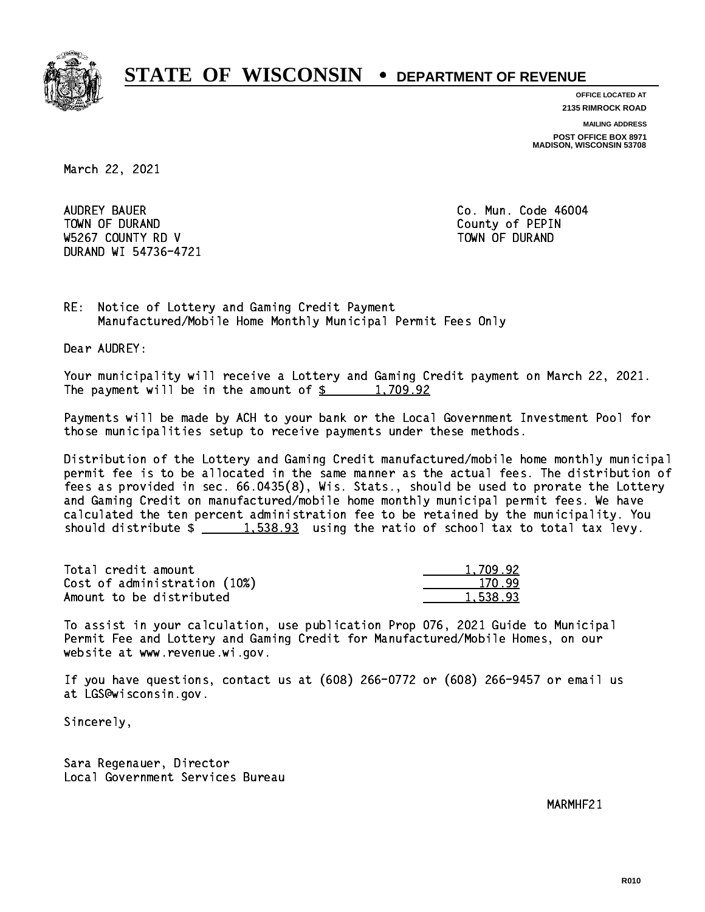

**OFFICE LOCATED AT**

**2135 RIMROCK ROAD**

**MAILING ADDRESS**

**POST OFFICE BOX 8971 MADISON, WISCONSIN 53708**

March 22, 2021

 AUDREY BAUER Co. Mun. Code 46004 TOWN OF DURAND COUNTY OF PERIODIC COUNTY OF PERIODIC COUNTY OF PERIODIC COUNTY OF PERIODIC COUNTY OF PERIODIC W5267 COUNTY RD V TOWN OF DURAND DURAND WI 54736-4721

RE: Notice of Lottery and Gaming Credit Payment Manufactured/Mobile Home Monthly Municipal Permit Fees Only

Dear AUDREY:

 Your municipality will receive a Lottery and Gaming Credit payment on March 22, 2021. The payment will be in the amount of  $\frac{2}{3}$  1,709.92

 Payments will be made by ACH to your bank or the Local Government Investment Pool for those municipalities setup to receive payments under these methods.

 Distribution of the Lottery and Gaming Credit manufactured/mobile home monthly municipal permit fee is to be allocated in the same manner as the actual fees. The distribution of fees as provided in sec. 66.0435(8), Wis. Stats., should be used to prorate the Lottery and Gaming Credit on manufactured/mobile home monthly municipal permit fees. We have calculated the ten percent administration fee to be retained by the municipality. You should distribute  $\frac{1.538.93}{1.538.93}$  using the ratio of school tax to total tax levy.

| Total credit amount          | 1,709.92 |
|------------------------------|----------|
| Cost of administration (10%) | 170.99   |
| Amount to be distributed     | 1,538.93 |

 To assist in your calculation, use publication Prop 076, 2021 Guide to Municipal Permit Fee and Lottery and Gaming Credit for Manufactured/Mobile Homes, on our website at www.revenue.wi.gov.

 If you have questions, contact us at (608) 266-0772 or (608) 266-9457 or email us at LGS@wisconsin.gov.

Sincerely,

 Sara Regenauer, Director Local Government Services Bureau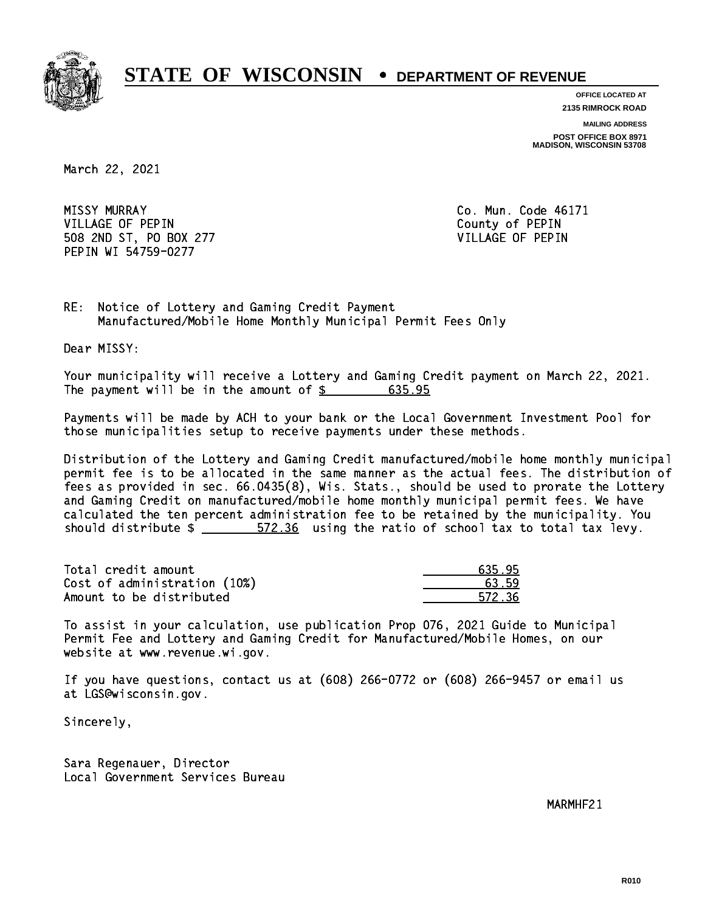

**OFFICE LOCATED AT 2135 RIMROCK ROAD**

**MAILING ADDRESS**

**POST OFFICE BOX 8971 MADISON, WISCONSIN 53708**

March 22, 2021

**MISSY MURRAY**  VILLAGE OF PEPIN County of PEPIN 508 2ND ST, PO BOX 277 VILLAGE OF PEPIN PEPIN WI 54759-0277

Co. Mun. Code 46171

RE: Notice of Lottery and Gaming Credit Payment Manufactured/Mobile Home Monthly Municipal Permit Fees Only

Dear MISSY:

 Your municipality will receive a Lottery and Gaming Credit payment on March 22, 2021. The payment will be in the amount of  $\frac{2}{3}$  635.95

 Payments will be made by ACH to your bank or the Local Government Investment Pool for those municipalities setup to receive payments under these methods.

 Distribution of the Lottery and Gaming Credit manufactured/mobile home monthly municipal permit fee is to be allocated in the same manner as the actual fees. The distribution of fees as provided in sec. 66.0435(8), Wis. Stats., should be used to prorate the Lottery and Gaming Credit on manufactured/mobile home monthly municipal permit fees. We have calculated the ten percent administration fee to be retained by the municipality. You should distribute  $\frac{2}{1}$   $\frac{572.36}{2}$  using the ratio of school tax to total tax levy.

Total credit amount Cost of administration (10%) Amount to be distributed

| פ      |
|--------|
| 3.59   |
| 572.36 |

 To assist in your calculation, use publication Prop 076, 2021 Guide to Municipal Permit Fee and Lottery and Gaming Credit for Manufactured/Mobile Homes, on our website at www.revenue.wi.gov.

 If you have questions, contact us at (608) 266-0772 or (608) 266-9457 or email us at LGS@wisconsin.gov.

Sincerely,

 Sara Regenauer, Director Local Government Services Bureau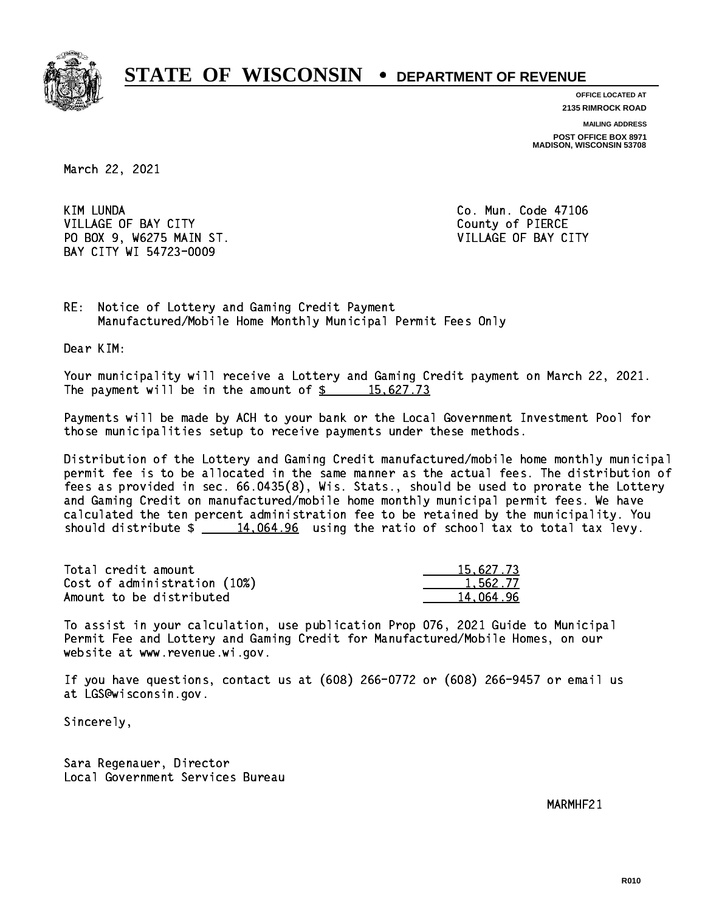

**OFFICE LOCATED AT**

**2135 RIMROCK ROAD**

**MAILING ADDRESS**

**POST OFFICE BOX 8971 MADISON, WISCONSIN 53708**

March 22, 2021

**KIM LUNDA** VILLAGE OF BAY CITY COUNTY County of PIERCE PO BOX 9, W6275 MAIN ST. VILLAGE OF BAY CITY BAY CITY WI 54723-0009

Co. Mun. Code 47106

RE: Notice of Lottery and Gaming Credit Payment Manufactured/Mobile Home Monthly Municipal Permit Fees Only

Dear KIM:

 Your municipality will receive a Lottery and Gaming Credit payment on March 22, 2021. The payment will be in the amount of  $\frac{2}{3}$  15,627.73

 Payments will be made by ACH to your bank or the Local Government Investment Pool for those municipalities setup to receive payments under these methods.

 Distribution of the Lottery and Gaming Credit manufactured/mobile home monthly municipal permit fee is to be allocated in the same manner as the actual fees. The distribution of fees as provided in sec. 66.0435(8), Wis. Stats., should be used to prorate the Lottery and Gaming Credit on manufactured/mobile home monthly municipal permit fees. We have calculated the ten percent administration fee to be retained by the municipality. You should distribute  $\frac{14,064.96}{2}$  using the ratio of school tax to total tax levy.

| Total credit amount          | 15,627.73 |
|------------------------------|-----------|
| Cost of administration (10%) | 1.562.77  |
| Amount to be distributed     | 14.064.96 |

 To assist in your calculation, use publication Prop 076, 2021 Guide to Municipal Permit Fee and Lottery and Gaming Credit for Manufactured/Mobile Homes, on our website at www.revenue.wi.gov.

 If you have questions, contact us at (608) 266-0772 or (608) 266-9457 or email us at LGS@wisconsin.gov.

Sincerely,

 Sara Regenauer, Director Local Government Services Bureau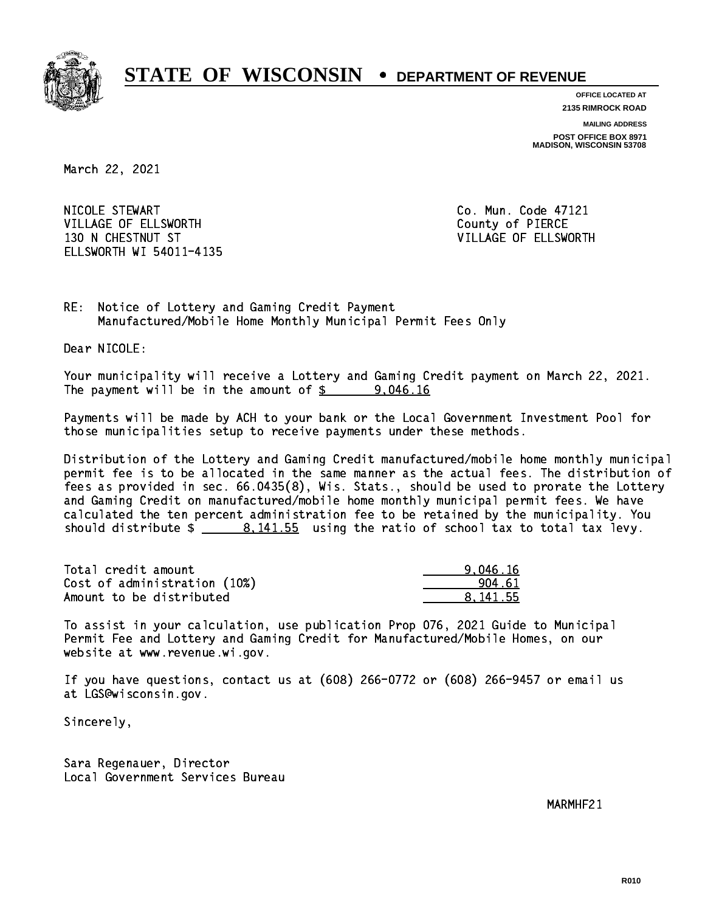

**OFFICE LOCATED AT 2135 RIMROCK ROAD**

**MAILING ADDRESS**

**POST OFFICE BOX 8971 MADISON, WISCONSIN 53708**

March 22, 2021

 NICOLE STEWART Co. Mun. Code 47121 VILLAGE OF ELLSWORTH COUNTY OF PIERCE 130 N CHESTNUT ST VILLAGE OF ELLSWORTH ELLSWORTH WI 54011-4135

RE: Notice of Lottery and Gaming Credit Payment Manufactured/Mobile Home Monthly Municipal Permit Fees Only

Dear NICOLE:

 Your municipality will receive a Lottery and Gaming Credit payment on March 22, 2021. The payment will be in the amount of  $\frac{2}{3}$  9,046.16

 Payments will be made by ACH to your bank or the Local Government Investment Pool for those municipalities setup to receive payments under these methods.

 Distribution of the Lottery and Gaming Credit manufactured/mobile home monthly municipal permit fee is to be allocated in the same manner as the actual fees. The distribution of fees as provided in sec. 66.0435(8), Wis. Stats., should be used to prorate the Lottery and Gaming Credit on manufactured/mobile home monthly municipal permit fees. We have calculated the ten percent administration fee to be retained by the municipality. You should distribute  $\frac{2}{1}$   $\frac{8.141.55}{2}$  using the ratio of school tax to total tax levy.

| Total credit amount          | 9.046.16 |
|------------------------------|----------|
| Cost of administration (10%) | 904.61   |
| Amount to be distributed     | 8.141.55 |

 To assist in your calculation, use publication Prop 076, 2021 Guide to Municipal Permit Fee and Lottery and Gaming Credit for Manufactured/Mobile Homes, on our website at www.revenue.wi.gov.

 If you have questions, contact us at (608) 266-0772 or (608) 266-9457 or email us at LGS@wisconsin.gov.

Sincerely,

 Sara Regenauer, Director Local Government Services Bureau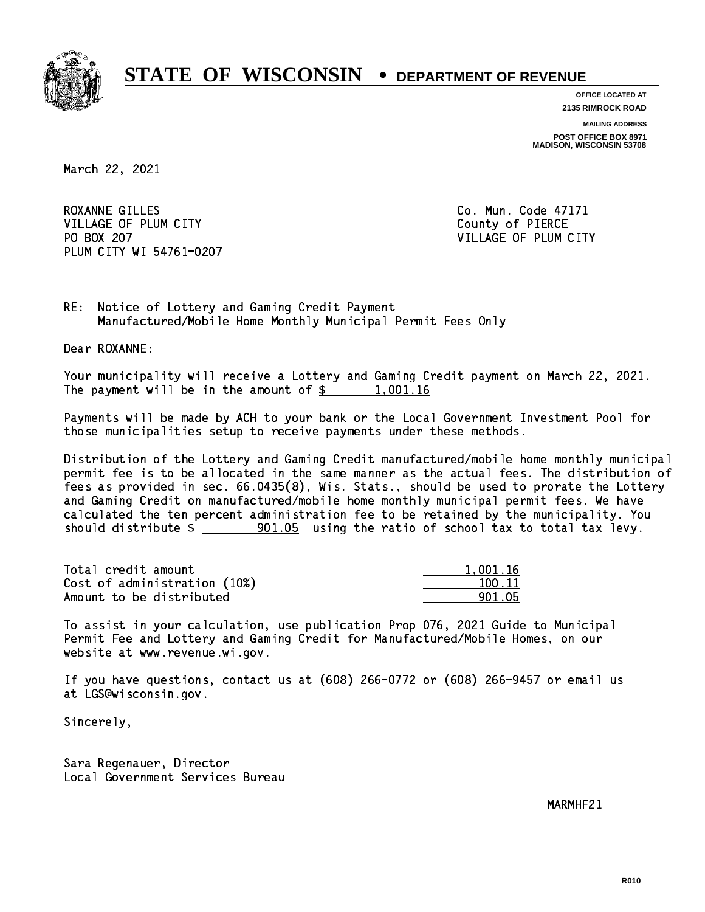

**OFFICE LOCATED AT**

**2135 RIMROCK ROAD**

**MAILING ADDRESS POST OFFICE BOX 8971 MADISON, WISCONSIN 53708**

March 22, 2021

ROXANNE GILLES Co. Mun. Code 47171 VILLAGE OF PLUM CITY COUNTY County of PIERCE PO BOX 207 PLUM CITY WI 54761-0207

VILLAGE OF PLUM CITY

RE: Notice of Lottery and Gaming Credit Payment Manufactured/Mobile Home Monthly Municipal Permit Fees Only

Dear ROXANNE:

 Your municipality will receive a Lottery and Gaming Credit payment on March 22, 2021. The payment will be in the amount of  $\frac{2}{3}$  1,001.16

 Payments will be made by ACH to your bank or the Local Government Investment Pool for those municipalities setup to receive payments under these methods.

 Distribution of the Lottery and Gaming Credit manufactured/mobile home monthly municipal permit fee is to be allocated in the same manner as the actual fees. The distribution of fees as provided in sec. 66.0435(8), Wis. Stats., should be used to prorate the Lottery and Gaming Credit on manufactured/mobile home monthly municipal permit fees. We have calculated the ten percent administration fee to be retained by the municipality. You should distribute  $\frac{1}{2}$   $\frac{901.05}{2}$  using the ratio of school tax to total tax levy.

| Total credit amount          | 1.001.16 |
|------------------------------|----------|
| Cost of administration (10%) | 100.11   |
| Amount to be distributed     | 901.05   |

 To assist in your calculation, use publication Prop 076, 2021 Guide to Municipal Permit Fee and Lottery and Gaming Credit for Manufactured/Mobile Homes, on our website at www.revenue.wi.gov.

 If you have questions, contact us at (608) 266-0772 or (608) 266-9457 or email us at LGS@wisconsin.gov.

Sincerely,

 Sara Regenauer, Director Local Government Services Bureau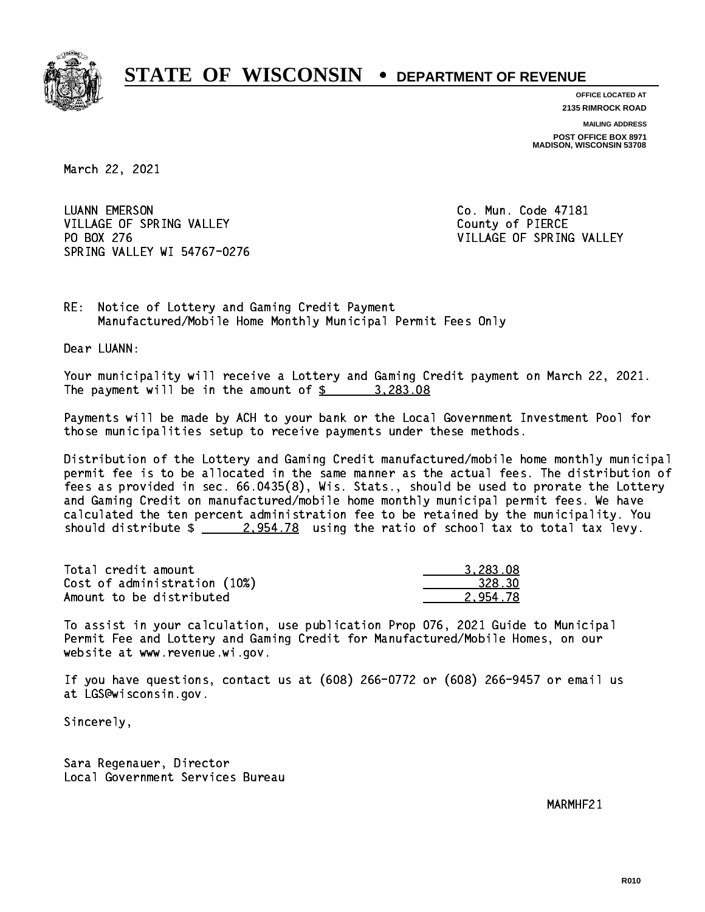

**OFFICE LOCATED AT 2135 RIMROCK ROAD**

**MAILING ADDRESS POST OFFICE BOX 8971 MADISON, WISCONSIN 53708**

March 22, 2021

**LUANN EMERSON** VILLAGE OF SPRING VALLEY COUNTY OF PIERCE PO BOX 276 VILLAGE OF SPRING VALLEY SPRING VALLEY WI 54767-0276

Co. Mun. Code 47181

RE: Notice of Lottery and Gaming Credit Payment Manufactured/Mobile Home Monthly Municipal Permit Fees Only

Dear LUANN:

 Your municipality will receive a Lottery and Gaming Credit payment on March 22, 2021. The payment will be in the amount of  $\frac{2}{3}$  3,283.08

 Payments will be made by ACH to your bank or the Local Government Investment Pool for those municipalities setup to receive payments under these methods.

 Distribution of the Lottery and Gaming Credit manufactured/mobile home monthly municipal permit fee is to be allocated in the same manner as the actual fees. The distribution of fees as provided in sec. 66.0435(8), Wis. Stats., should be used to prorate the Lottery and Gaming Credit on manufactured/mobile home monthly municipal permit fees. We have calculated the ten percent administration fee to be retained by the municipality. You should distribute  $\frac{2.954.78}{2.954.78}$  using the ratio of school tax to total tax levy.

| Total credit amount          | 3.283.08 |
|------------------------------|----------|
| Cost of administration (10%) | 328.30   |
| Amount to be distributed     | 2.954.78 |

 To assist in your calculation, use publication Prop 076, 2021 Guide to Municipal Permit Fee and Lottery and Gaming Credit for Manufactured/Mobile Homes, on our website at www.revenue.wi.gov.

 If you have questions, contact us at (608) 266-0772 or (608) 266-9457 or email us at LGS@wisconsin.gov.

Sincerely,

 Sara Regenauer, Director Local Government Services Bureau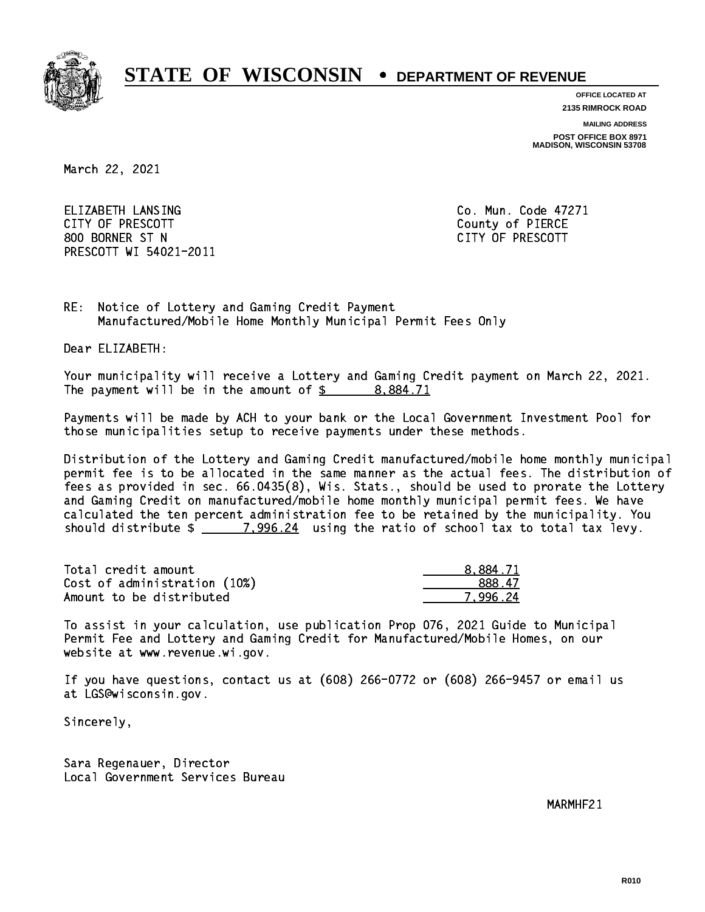

**OFFICE LOCATED AT**

**2135 RIMROCK ROAD**

**MAILING ADDRESS**

**POST OFFICE BOX 8971 MADISON, WISCONSIN 53708**

March 22, 2021

 ELIZABETH LANSING Co. Mun. Code 47271 CITY OF PRESCOTT County of PIERCE 800 BORNER ST N CITY OF PRESCOTT PRESCOTT WI 54021-2011

RE: Notice of Lottery and Gaming Credit Payment Manufactured/Mobile Home Monthly Municipal Permit Fees Only

Dear ELIZABETH:

 Your municipality will receive a Lottery and Gaming Credit payment on March 22, 2021. The payment will be in the amount of  $\frac{2}{3}$  8,884.71

 Payments will be made by ACH to your bank or the Local Government Investment Pool for those municipalities setup to receive payments under these methods.

 Distribution of the Lottery and Gaming Credit manufactured/mobile home monthly municipal permit fee is to be allocated in the same manner as the actual fees. The distribution of fees as provided in sec. 66.0435(8), Wis. Stats., should be used to prorate the Lottery and Gaming Credit on manufactured/mobile home monthly municipal permit fees. We have calculated the ten percent administration fee to be retained by the municipality. You should distribute  $\frac{2}{1.996.24}$  using the ratio of school tax to total tax levy.

| Total credit amount          | 8.884.71 |
|------------------------------|----------|
| Cost of administration (10%) | 888.47   |
| Amount to be distributed     | 7.996.24 |

 To assist in your calculation, use publication Prop 076, 2021 Guide to Municipal Permit Fee and Lottery and Gaming Credit for Manufactured/Mobile Homes, on our website at www.revenue.wi.gov.

 If you have questions, contact us at (608) 266-0772 or (608) 266-9457 or email us at LGS@wisconsin.gov.

Sincerely,

 Sara Regenauer, Director Local Government Services Bureau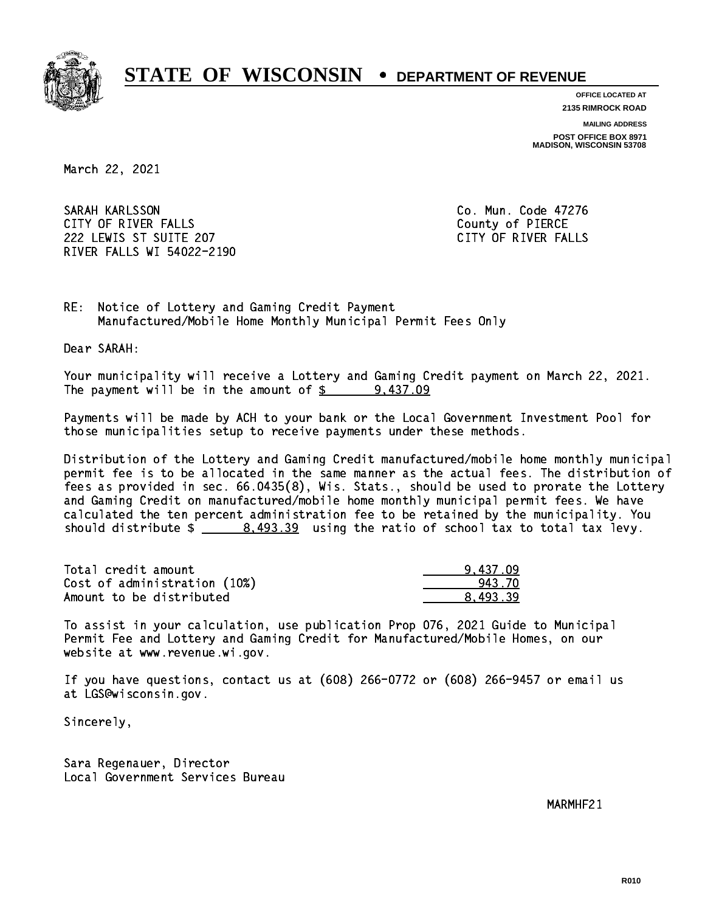

**OFFICE LOCATED AT**

**2135 RIMROCK ROAD**

**MAILING ADDRESS POST OFFICE BOX 8971 MADISON, WISCONSIN 53708**

March 22, 2021

 SARAH KARLSSON Co. Mun. Code 47276 CITY OF RIVER FALLS COUNTY OF PIERCE 222 LEWIS ST SUITE 207 CITY OF RIVER FALLS RIVER FALLS WI 54022-2190

RE: Notice of Lottery and Gaming Credit Payment Manufactured/Mobile Home Monthly Municipal Permit Fees Only

Dear SARAH:

 Your municipality will receive a Lottery and Gaming Credit payment on March 22, 2021. The payment will be in the amount of  $\frac{2}{3}$  9,437.09

 Payments will be made by ACH to your bank or the Local Government Investment Pool for those municipalities setup to receive payments under these methods.

 Distribution of the Lottery and Gaming Credit manufactured/mobile home monthly municipal permit fee is to be allocated in the same manner as the actual fees. The distribution of fees as provided in sec. 66.0435(8), Wis. Stats., should be used to prorate the Lottery and Gaming Credit on manufactured/mobile home monthly municipal permit fees. We have calculated the ten percent administration fee to be retained by the municipality. You should distribute  $\frac{2}{1}$   $\frac{8,493.39}{2}$  using the ratio of school tax to total tax levy.

| Total credit amount          | 9.437.09 |
|------------------------------|----------|
| Cost of administration (10%) | 943.70   |
| Amount to be distributed     | 8.493.39 |

 To assist in your calculation, use publication Prop 076, 2021 Guide to Municipal Permit Fee and Lottery and Gaming Credit for Manufactured/Mobile Homes, on our website at www.revenue.wi.gov.

 If you have questions, contact us at (608) 266-0772 or (608) 266-9457 or email us at LGS@wisconsin.gov.

Sincerely,

 Sara Regenauer, Director Local Government Services Bureau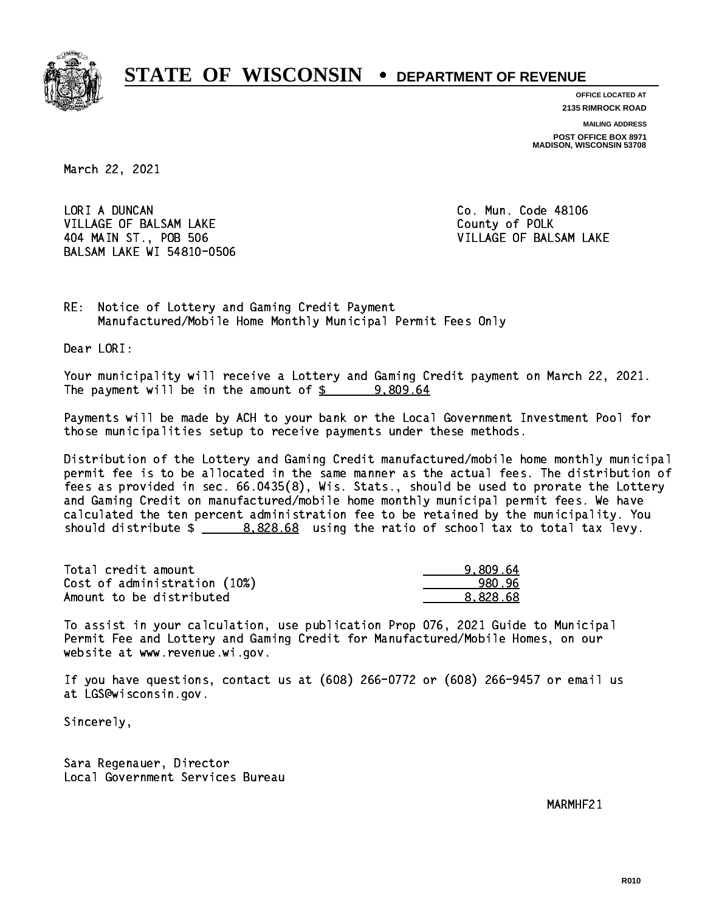

**OFFICE LOCATED AT**

**2135 RIMROCK ROAD**

**MAILING ADDRESS POST OFFICE BOX 8971 MADISON, WISCONSIN 53708**

March 22, 2021

LORI A DUNCAN VILLAGE OF BALSAM LAKE County of POLK 404 MAIN ST., POB 506 VILLAGE OF BALSAM LAKE BALSAM LAKE WI 54810-0506

Co. Mun. Code 48106

RE: Notice of Lottery and Gaming Credit Payment Manufactured/Mobile Home Monthly Municipal Permit Fees Only

Dear LORI:

 Your municipality will receive a Lottery and Gaming Credit payment on March 22, 2021. The payment will be in the amount of  $\frac{2}{3}$  9,809.64

 Payments will be made by ACH to your bank or the Local Government Investment Pool for those municipalities setup to receive payments under these methods.

 Distribution of the Lottery and Gaming Credit manufactured/mobile home monthly municipal permit fee is to be allocated in the same manner as the actual fees. The distribution of fees as provided in sec. 66.0435(8), Wis. Stats., should be used to prorate the Lottery and Gaming Credit on manufactured/mobile home monthly municipal permit fees. We have calculated the ten percent administration fee to be retained by the municipality. You should distribute  $\frac{2}{2}$   $\frac{8,828.68}{2}$  using the ratio of school tax to total tax levy.

| Total credit amount          | 9.809.64 |
|------------------------------|----------|
| Cost of administration (10%) | 980.96   |
| Amount to be distributed     | 8.828.68 |

 To assist in your calculation, use publication Prop 076, 2021 Guide to Municipal Permit Fee and Lottery and Gaming Credit for Manufactured/Mobile Homes, on our website at www.revenue.wi.gov.

 If you have questions, contact us at (608) 266-0772 or (608) 266-9457 or email us at LGS@wisconsin.gov.

Sincerely,

 Sara Regenauer, Director Local Government Services Bureau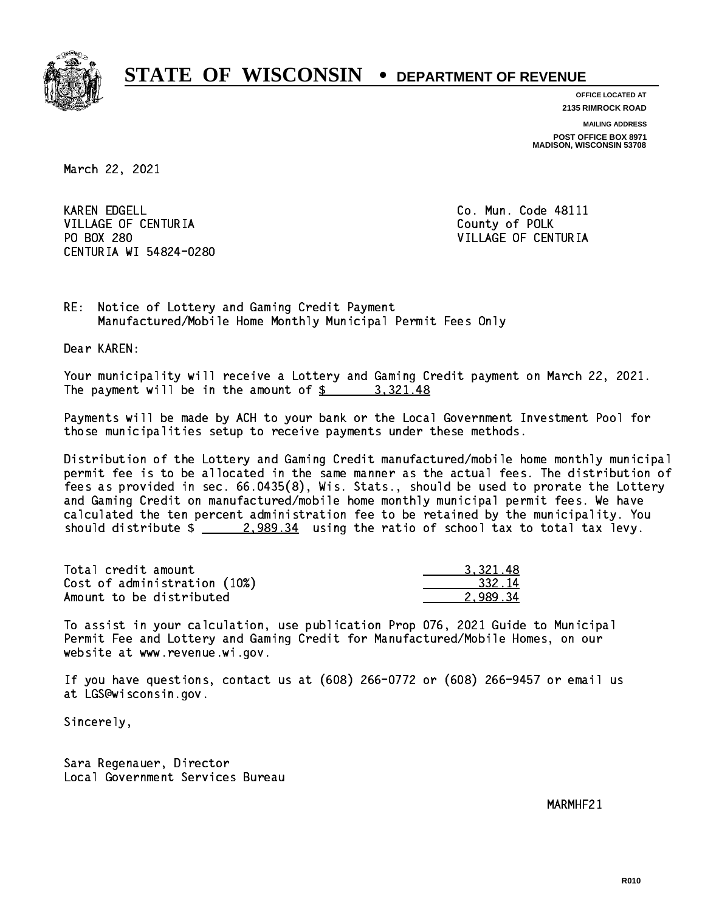

**OFFICE LOCATED AT 2135 RIMROCK ROAD**

**MAILING ADDRESS**

**POST OFFICE BOX 8971 MADISON, WISCONSIN 53708**

March 22, 2021

**KAREN EDGELL** VILLAGE OF CENTURIA COUNTY OF POLK PO BOX 280 CENTURIA WI 54824-0280

Co. Mun. Code 48111 VILLAGE OF CENTURIA

RE: Notice of Lottery and Gaming Credit Payment Manufactured/Mobile Home Monthly Municipal Permit Fees Only

Dear KAREN:

 Your municipality will receive a Lottery and Gaming Credit payment on March 22, 2021. The payment will be in the amount of  $\frac{2}{3}$  3,321.48

 Payments will be made by ACH to your bank or the Local Government Investment Pool for those municipalities setup to receive payments under these methods.

 Distribution of the Lottery and Gaming Credit manufactured/mobile home monthly municipal permit fee is to be allocated in the same manner as the actual fees. The distribution of fees as provided in sec. 66.0435(8), Wis. Stats., should be used to prorate the Lottery and Gaming Credit on manufactured/mobile home monthly municipal permit fees. We have calculated the ten percent administration fee to be retained by the municipality. You should distribute  $\frac{2.989.34}{2.989.34}$  using the ratio of school tax to total tax levy.

| Total credit amount          | 3.321.48 |
|------------------------------|----------|
| Cost of administration (10%) | 332.14   |
| Amount to be distributed     | 2.989.34 |

 To assist in your calculation, use publication Prop 076, 2021 Guide to Municipal Permit Fee and Lottery and Gaming Credit for Manufactured/Mobile Homes, on our website at www.revenue.wi.gov.

 If you have questions, contact us at (608) 266-0772 or (608) 266-9457 or email us at LGS@wisconsin.gov.

Sincerely,

 Sara Regenauer, Director Local Government Services Bureau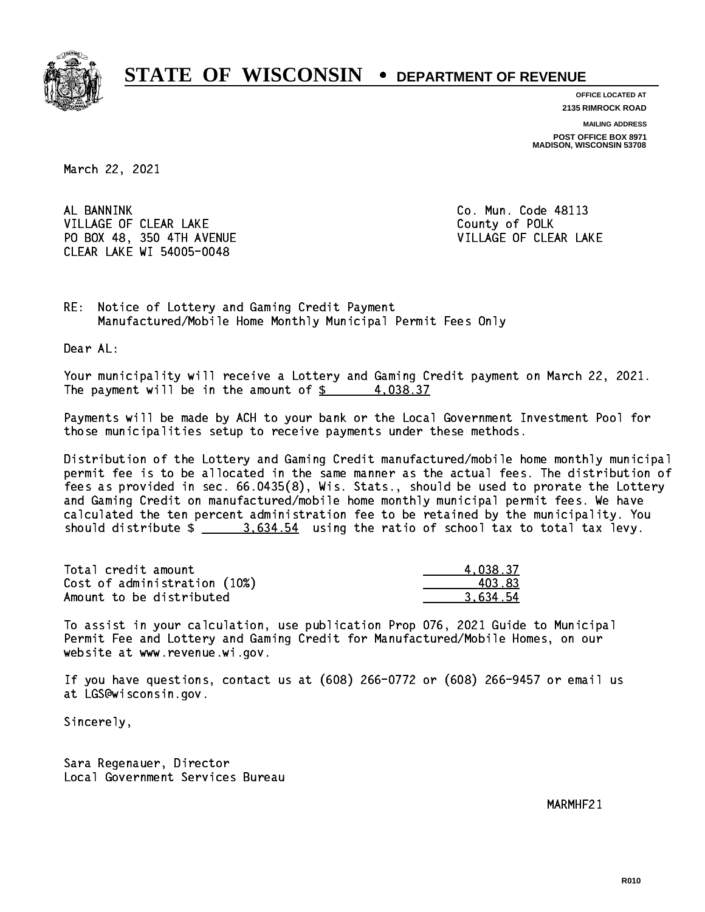

**OFFICE LOCATED AT**

**2135 RIMROCK ROAD**

**MAILING ADDRESS POST OFFICE BOX 8971 MADISON, WISCONSIN 53708**

March 22, 2021

AL BANNINK VILLAGE OF CLEAR LAKE County of POLK PO BOX 48, 350 4TH AVENUE VILLAGE OF CLEAR LAKE CLEAR LAKE WI 54005-0048

Co. Mun. Code 48113

RE: Notice of Lottery and Gaming Credit Payment Manufactured/Mobile Home Monthly Municipal Permit Fees Only

Dear AL:

 Your municipality will receive a Lottery and Gaming Credit payment on March 22, 2021. The payment will be in the amount of  $\frac{2}{3}$  4,038.37

 Payments will be made by ACH to your bank or the Local Government Investment Pool for those municipalities setup to receive payments under these methods.

 Distribution of the Lottery and Gaming Credit manufactured/mobile home monthly municipal permit fee is to be allocated in the same manner as the actual fees. The distribution of fees as provided in sec. 66.0435(8), Wis. Stats., should be used to prorate the Lottery and Gaming Credit on manufactured/mobile home monthly municipal permit fees. We have calculated the ten percent administration fee to be retained by the municipality. You should distribute  $\frac{2.534.54}{2.634.54}$  using the ratio of school tax to total tax levy.

| Total credit amount          | 4.038.37 |
|------------------------------|----------|
| Cost of administration (10%) | 403.83   |
| Amount to be distributed     | 3.634.54 |

 To assist in your calculation, use publication Prop 076, 2021 Guide to Municipal Permit Fee and Lottery and Gaming Credit for Manufactured/Mobile Homes, on our website at www.revenue.wi.gov.

 If you have questions, contact us at (608) 266-0772 or (608) 266-9457 or email us at LGS@wisconsin.gov.

Sincerely,

 Sara Regenauer, Director Local Government Services Bureau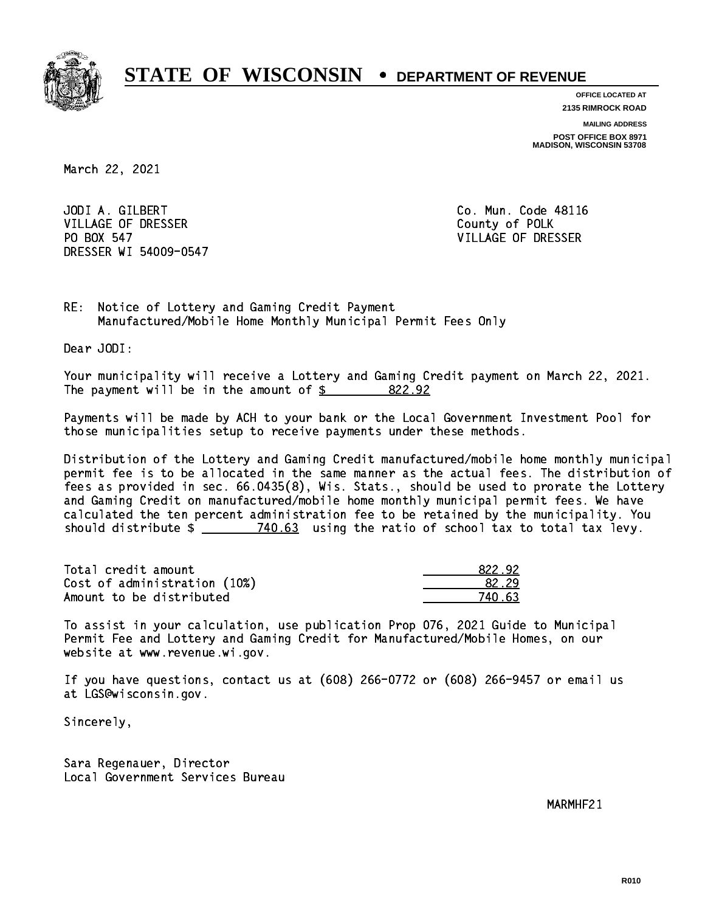

**OFFICE LOCATED AT 2135 RIMROCK ROAD**

**MAILING ADDRESS**

**POST OFFICE BOX 8971 MADISON, WISCONSIN 53708**

March 22, 2021

 JODI A. GILBERT Co. Mun. Code 48116 VILLAGE OF DRESSER COUNTY OF POLK PO BOX 547 DRESSER WI 54009-0547

VILLAGE OF DRESSER

RE: Notice of Lottery and Gaming Credit Payment Manufactured/Mobile Home Monthly Municipal Permit Fees Only

Dear JODI:

 Your municipality will receive a Lottery and Gaming Credit payment on March 22, 2021. The payment will be in the amount of \$ 822.92 \_\_\_\_\_\_\_\_\_\_\_\_\_\_\_\_

 Payments will be made by ACH to your bank or the Local Government Investment Pool for those municipalities setup to receive payments under these methods.

 Distribution of the Lottery and Gaming Credit manufactured/mobile home monthly municipal permit fee is to be allocated in the same manner as the actual fees. The distribution of fees as provided in sec. 66.0435(8), Wis. Stats., should be used to prorate the Lottery and Gaming Credit on manufactured/mobile home monthly municipal permit fees. We have calculated the ten percent administration fee to be retained by the municipality. You should distribute  $\frac{2}{2}$   $\frac{740.63}{2}$  using the ratio of school tax to total tax levy.

Total credit amount Cost of administration (10%) Amount to be distributed

| 322.92 |
|--------|
| }2.29  |
| 63     |

 To assist in your calculation, use publication Prop 076, 2021 Guide to Municipal Permit Fee and Lottery and Gaming Credit for Manufactured/Mobile Homes, on our website at www.revenue.wi.gov.

 If you have questions, contact us at (608) 266-0772 or (608) 266-9457 or email us at LGS@wisconsin.gov.

Sincerely,

 Sara Regenauer, Director Local Government Services Bureau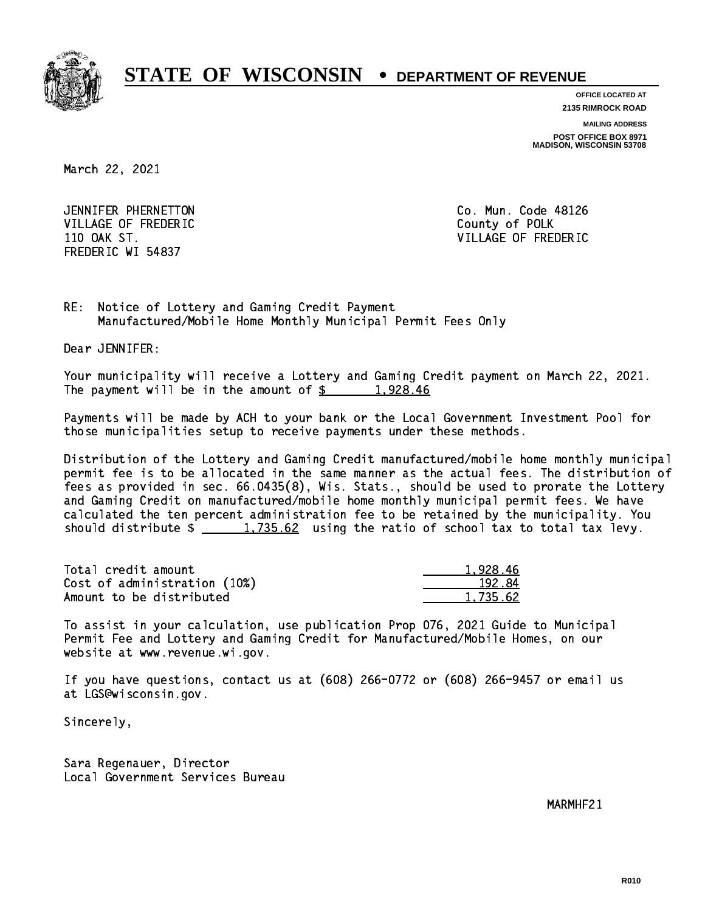

**OFFICE LOCATED AT 2135 RIMROCK ROAD**

**MAILING ADDRESS**

**POST OFFICE BOX 8971 MADISON, WISCONSIN 53708**

March 22, 2021

 JENNIFER PHERNETTON Co. Mun. Code 48126 VILLAGE OF FREDERIC **COUNTY OF SALES** FREDERIC WI 54837

110 OAK ST. VILLAGE OF FREDERIC

RE: Notice of Lottery and Gaming Credit Payment Manufactured/Mobile Home Monthly Municipal Permit Fees Only

Dear JENNIFER:

 Your municipality will receive a Lottery and Gaming Credit payment on March 22, 2021. The payment will be in the amount of  $\frac{2}{3}$  1,928.46

 Payments will be made by ACH to your bank or the Local Government Investment Pool for those municipalities setup to receive payments under these methods.

 Distribution of the Lottery and Gaming Credit manufactured/mobile home monthly municipal permit fee is to be allocated in the same manner as the actual fees. The distribution of fees as provided in sec. 66.0435(8), Wis. Stats., should be used to prorate the Lottery and Gaming Credit on manufactured/mobile home monthly municipal permit fees. We have calculated the ten percent administration fee to be retained by the municipality. You should distribute  $\frac{1,735.62}{1,735.62}$  using the ratio of school tax to total tax levy.

| Total credit amount          | 1.928.46 |
|------------------------------|----------|
| Cost of administration (10%) | 192.84   |
| Amount to be distributed     | 1.735.62 |

 To assist in your calculation, use publication Prop 076, 2021 Guide to Municipal Permit Fee and Lottery and Gaming Credit for Manufactured/Mobile Homes, on our website at www.revenue.wi.gov.

 If you have questions, contact us at (608) 266-0772 or (608) 266-9457 or email us at LGS@wisconsin.gov.

Sincerely,

 Sara Regenauer, Director Local Government Services Bureau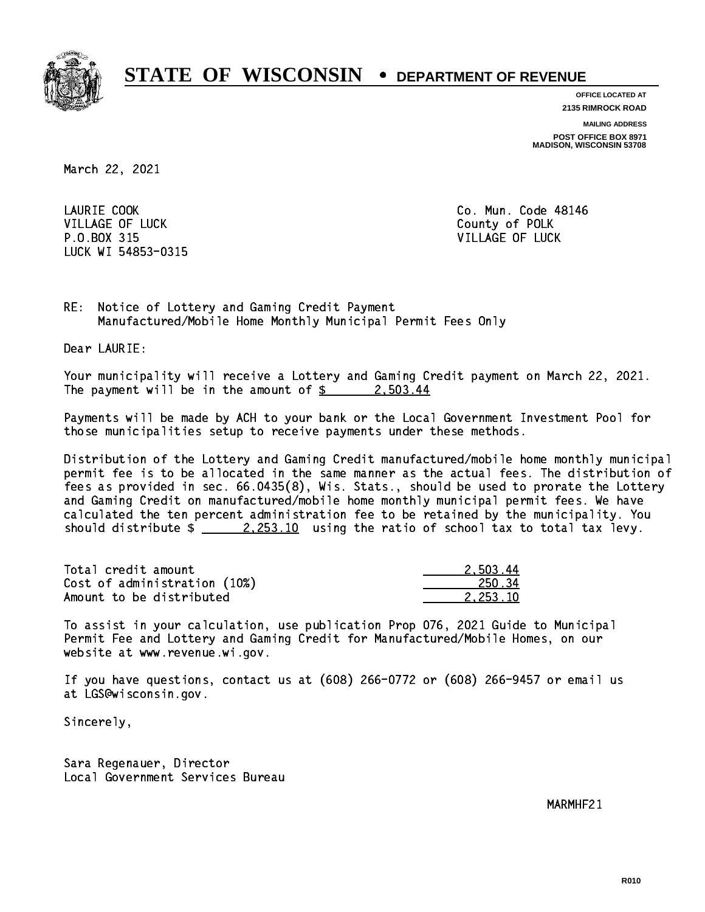

**OFFICE LOCATED AT 2135 RIMROCK ROAD**

**MAILING ADDRESS**

**POST OFFICE BOX 8971 MADISON, WISCONSIN 53708**

March 22, 2021

LAURIE COOK VILLAGE OF LUCK County of POLK P.O.BOX 315 VILLAGE OF LUCK LUCK WI 54853-0315

Co. Mun. Code 48146

RE: Notice of Lottery and Gaming Credit Payment Manufactured/Mobile Home Monthly Municipal Permit Fees Only

Dear LAURIE:

 Your municipality will receive a Lottery and Gaming Credit payment on March 22, 2021. The payment will be in the amount of  $\frac{2}{3}$  2,503.44

 Payments will be made by ACH to your bank or the Local Government Investment Pool for those municipalities setup to receive payments under these methods.

 Distribution of the Lottery and Gaming Credit manufactured/mobile home monthly municipal permit fee is to be allocated in the same manner as the actual fees. The distribution of fees as provided in sec. 66.0435(8), Wis. Stats., should be used to prorate the Lottery and Gaming Credit on manufactured/mobile home monthly municipal permit fees. We have calculated the ten percent administration fee to be retained by the municipality. You should distribute  $\frac{2.253.10}{2.253.10}$  using the ratio of school tax to total tax levy.

| Total credit amount          | 2.503.44 |
|------------------------------|----------|
| Cost of administration (10%) | 250.34   |
| Amount to be distributed     | 2.253.10 |

 To assist in your calculation, use publication Prop 076, 2021 Guide to Municipal Permit Fee and Lottery and Gaming Credit for Manufactured/Mobile Homes, on our website at www.revenue.wi.gov.

 If you have questions, contact us at (608) 266-0772 or (608) 266-9457 or email us at LGS@wisconsin.gov.

Sincerely,

 Sara Regenauer, Director Local Government Services Bureau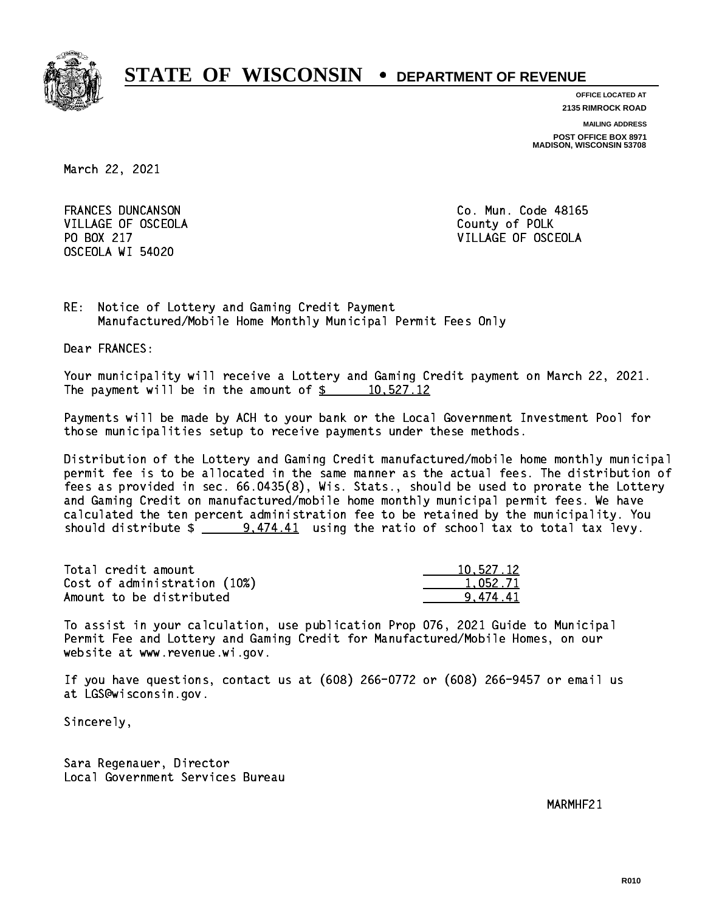

**OFFICE LOCATED AT**

**2135 RIMROCK ROAD**

**MAILING ADDRESS**

**POST OFFICE BOX 8971 MADISON, WISCONSIN 53708**

March 22, 2021

**FRANCES DUNCANSON** VILLAGE OF OSCEOLA COUNTY OF POLK OSCEOLA WI 54020

Co. Mun. Code 48165 PO BOX 217 VILLAGE OF OSCEOLA

RE: Notice of Lottery and Gaming Credit Payment Manufactured/Mobile Home Monthly Municipal Permit Fees Only

Dear FRANCES:

 Your municipality will receive a Lottery and Gaming Credit payment on March 22, 2021. The payment will be in the amount of  $\frac{2}{3}$  10,527.12

 Payments will be made by ACH to your bank or the Local Government Investment Pool for those municipalities setup to receive payments under these methods.

 Distribution of the Lottery and Gaming Credit manufactured/mobile home monthly municipal permit fee is to be allocated in the same manner as the actual fees. The distribution of fees as provided in sec. 66.0435(8), Wis. Stats., should be used to prorate the Lottery and Gaming Credit on manufactured/mobile home monthly municipal permit fees. We have calculated the ten percent administration fee to be retained by the municipality. You should distribute  $\frac{2}{1}$  9,474.41 using the ratio of school tax to total tax levy.

| Total credit amount          | 10,527.12 |
|------------------------------|-----------|
| Cost of administration (10%) | 1.052.71  |
| Amount to be distributed     | 9.474.41  |

 To assist in your calculation, use publication Prop 076, 2021 Guide to Municipal Permit Fee and Lottery and Gaming Credit for Manufactured/Mobile Homes, on our website at www.revenue.wi.gov.

 If you have questions, contact us at (608) 266-0772 or (608) 266-9457 or email us at LGS@wisconsin.gov.

Sincerely,

 Sara Regenauer, Director Local Government Services Bureau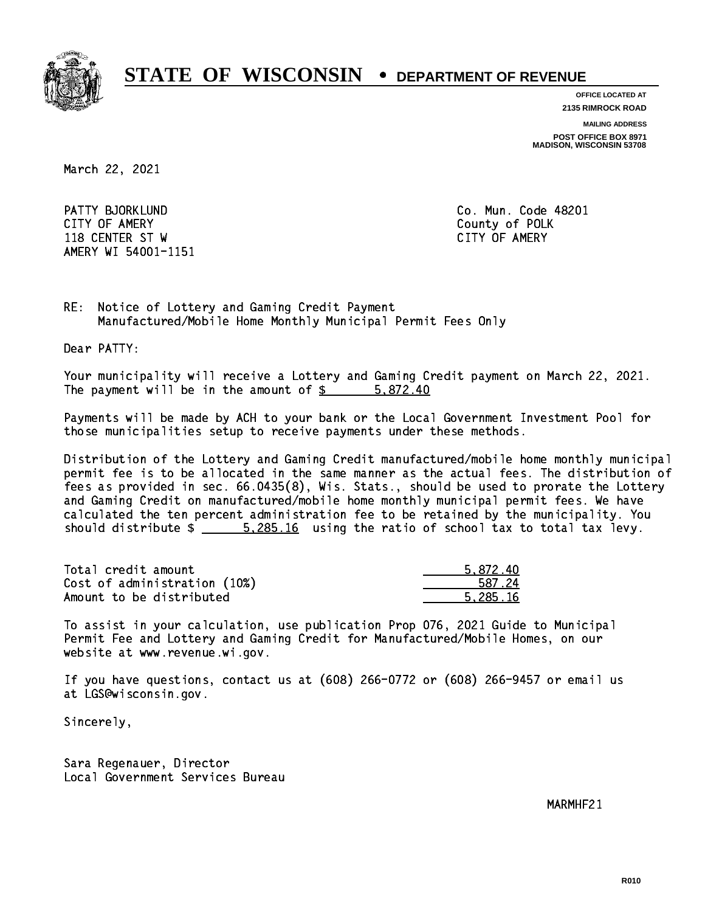

**OFFICE LOCATED AT**

**2135 RIMROCK ROAD**

**MAILING ADDRESS**

**POST OFFICE BOX 8971 MADISON, WISCONSIN 53708**

March 22, 2021

 PATTY BJORKLUND Co. Mun. Code 48201 CITY OF AMERY County of POLK 118 CENTER ST W CITY OF AMERY AMERY WI 54001-1151

RE: Notice of Lottery and Gaming Credit Payment Manufactured/Mobile Home Monthly Municipal Permit Fees Only

Dear PATTY:

 Your municipality will receive a Lottery and Gaming Credit payment on March 22, 2021. The payment will be in the amount of \$ 5,872.40 \_\_\_\_\_\_\_\_\_\_\_\_\_\_\_\_

 Payments will be made by ACH to your bank or the Local Government Investment Pool for those municipalities setup to receive payments under these methods.

 Distribution of the Lottery and Gaming Credit manufactured/mobile home monthly municipal permit fee is to be allocated in the same manner as the actual fees. The distribution of fees as provided in sec. 66.0435(8), Wis. Stats., should be used to prorate the Lottery and Gaming Credit on manufactured/mobile home monthly municipal permit fees. We have calculated the ten percent administration fee to be retained by the municipality. You should distribute \$ 5,285.16 using the ratio of school tax to total tax levy. \_\_\_\_\_\_\_\_\_\_\_\_\_\_

| Total credit amount          | 5.872.40 |
|------------------------------|----------|
| Cost of administration (10%) | 587.24   |
| Amount to be distributed     | 5.285.16 |

 To assist in your calculation, use publication Prop 076, 2021 Guide to Municipal Permit Fee and Lottery and Gaming Credit for Manufactured/Mobile Homes, on our website at www.revenue.wi.gov.

 If you have questions, contact us at (608) 266-0772 or (608) 266-9457 or email us at LGS@wisconsin.gov.

Sincerely,

 Sara Regenauer, Director Local Government Services Bureau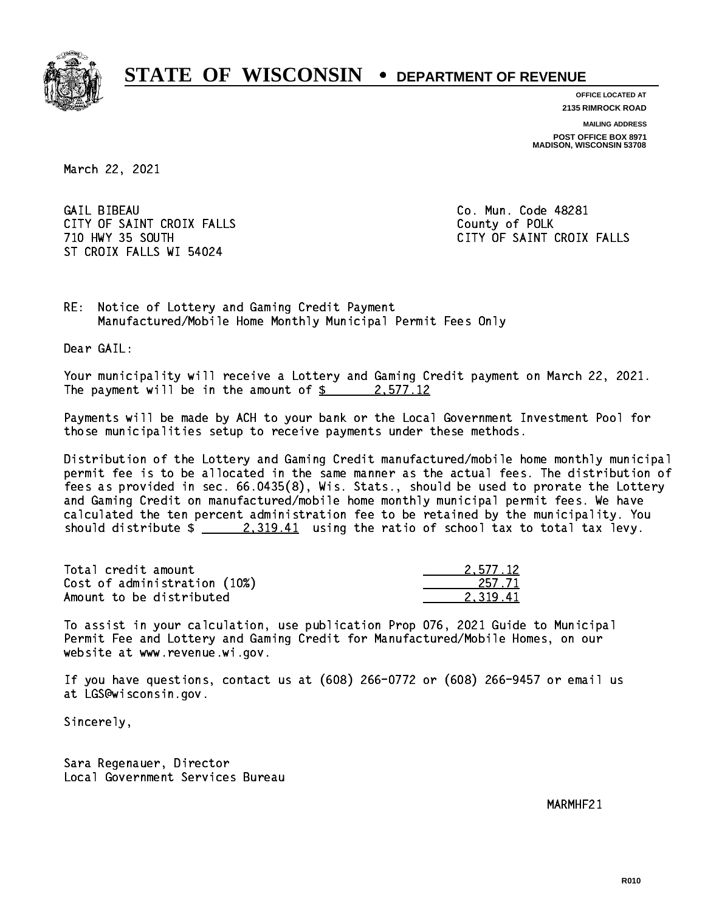

**OFFICE LOCATED AT 2135 RIMROCK ROAD**

**MAILING ADDRESS**

**POST OFFICE BOX 8971 MADISON, WISCONSIN 53708**

March 22, 2021

**GAIL BIBEAU** CITY OF SAINT CROIX FALLS COUNTY OF SAINT CROIX FALLS ST CROIX FALLS WI 54024

Co. Mun. Code 48281 710 HWY 35 SOUTH CITY OF SAINT CROIX FALLS

RE: Notice of Lottery and Gaming Credit Payment Manufactured/Mobile Home Monthly Municipal Permit Fees Only

Dear GAIL:

 Your municipality will receive a Lottery and Gaming Credit payment on March 22, 2021. The payment will be in the amount of  $\frac{2}{3}$  2,577.12

 Payments will be made by ACH to your bank or the Local Government Investment Pool for those municipalities setup to receive payments under these methods.

 Distribution of the Lottery and Gaming Credit manufactured/mobile home monthly municipal permit fee is to be allocated in the same manner as the actual fees. The distribution of fees as provided in sec. 66.0435(8), Wis. Stats., should be used to prorate the Lottery and Gaming Credit on manufactured/mobile home monthly municipal permit fees. We have calculated the ten percent administration fee to be retained by the municipality. You should distribute  $\frac{2,319.41}{2}$  using the ratio of school tax to total tax levy.

| Total credit amount          | 2.577.12 |
|------------------------------|----------|
| Cost of administration (10%) | 257.71   |
| Amount to be distributed     | 2.319.41 |

 To assist in your calculation, use publication Prop 076, 2021 Guide to Municipal Permit Fee and Lottery and Gaming Credit for Manufactured/Mobile Homes, on our website at www.revenue.wi.gov.

 If you have questions, contact us at (608) 266-0772 or (608) 266-9457 or email us at LGS@wisconsin.gov.

Sincerely,

 Sara Regenauer, Director Local Government Services Bureau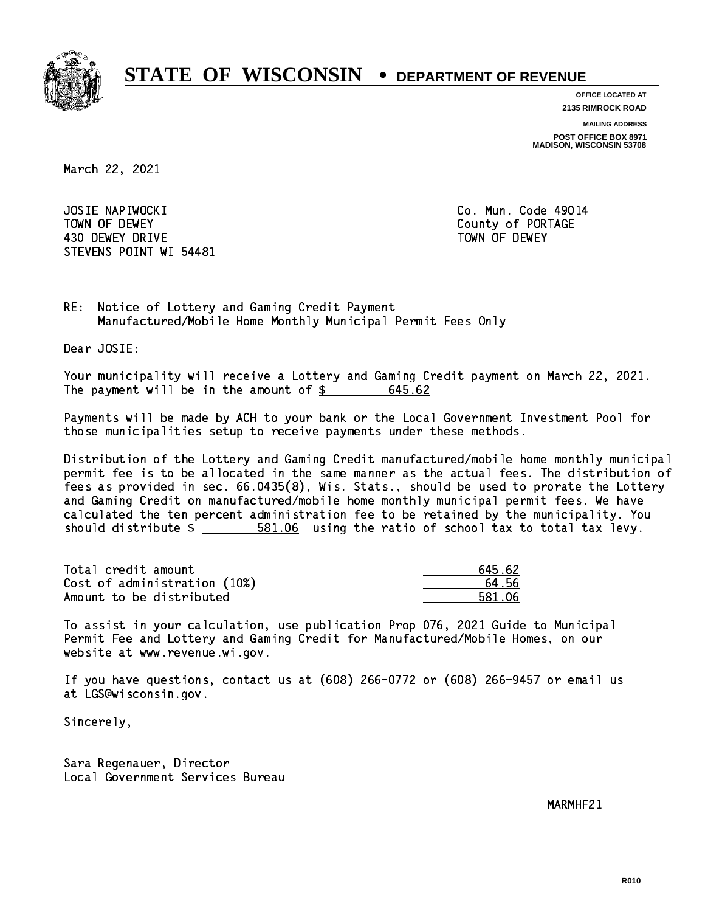

**OFFICE LOCATED AT**

**2135 RIMROCK ROAD**

**MAILING ADDRESS**

**POST OFFICE BOX 8971 MADISON, WISCONSIN 53708**

March 22, 2021

 JOSIE NAPIWOCKI Co. Mun. Code 49014 TOWN OF DEWEY COUNTY OF RESERVE TOWN OF DEWEY 430 DEWEY DRIVE TOWN OF DEWEY STEVENS POINT WI 54481

RE: Notice of Lottery and Gaming Credit Payment Manufactured/Mobile Home Monthly Municipal Permit Fees Only

Dear JOSIE:

 Your municipality will receive a Lottery and Gaming Credit payment on March 22, 2021. The payment will be in the amount of  $$$ 645.62

 Payments will be made by ACH to your bank or the Local Government Investment Pool for those municipalities setup to receive payments under these methods.

 Distribution of the Lottery and Gaming Credit manufactured/mobile home monthly municipal permit fee is to be allocated in the same manner as the actual fees. The distribution of fees as provided in sec. 66.0435(8), Wis. Stats., should be used to prorate the Lottery and Gaming Credit on manufactured/mobile home monthly municipal permit fees. We have calculated the ten percent administration fee to be retained by the municipality. You should distribute  $\frac{2}{1}$   $\frac{581.06}{100}$  using the ratio of school tax to total tax levy.

Total credit amount Cost of administration (10%) Amount to be distributed

| 45.62   |
|---------|
| 1.56    |
| 581. በ6 |

 To assist in your calculation, use publication Prop 076, 2021 Guide to Municipal Permit Fee and Lottery and Gaming Credit for Manufactured/Mobile Homes, on our website at www.revenue.wi.gov.

 If you have questions, contact us at (608) 266-0772 or (608) 266-9457 or email us at LGS@wisconsin.gov.

Sincerely,

 Sara Regenauer, Director Local Government Services Bureau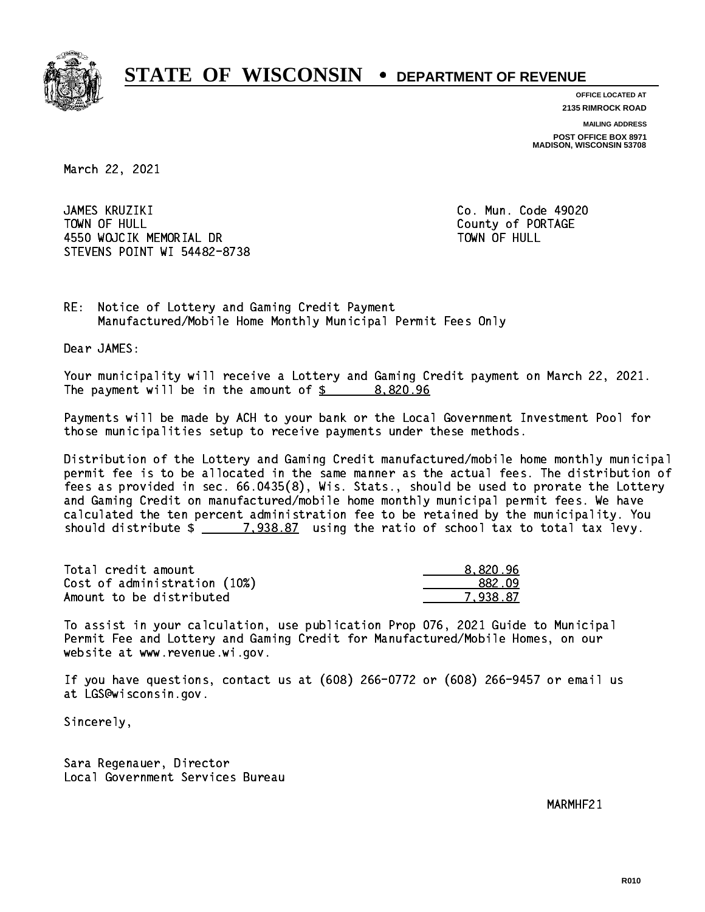

**OFFICE LOCATED AT 2135 RIMROCK ROAD**

**MAILING ADDRESS**

**POST OFFICE BOX 8971 MADISON, WISCONSIN 53708**

March 22, 2021

 JAMES KRUZIKI Co. Mun. Code 49020 TOWN OF HULL County of PORTAGE 4550 WOJCIK MEMORIAL DR STEVENS POINT WI 54482-8738

TOWN OF HULL

RE: Notice of Lottery and Gaming Credit Payment Manufactured/Mobile Home Monthly Municipal Permit Fees Only

Dear JAMES:

 Your municipality will receive a Lottery and Gaming Credit payment on March 22, 2021. The payment will be in the amount of  $\frac{2}{3}$  8,820.96

 Payments will be made by ACH to your bank or the Local Government Investment Pool for those municipalities setup to receive payments under these methods.

 Distribution of the Lottery and Gaming Credit manufactured/mobile home monthly municipal permit fee is to be allocated in the same manner as the actual fees. The distribution of fees as provided in sec. 66.0435(8), Wis. Stats., should be used to prorate the Lottery and Gaming Credit on manufactured/mobile home monthly municipal permit fees. We have calculated the ten percent administration fee to be retained by the municipality. You should distribute  $\frac{2}{2}$   $\frac{7,938.87}{2}$  using the ratio of school tax to total tax levy.

| Total credit amount          | 8.820.96 |
|------------------------------|----------|
| Cost of administration (10%) | 882.09   |
| Amount to be distributed     | 7.938.87 |

 To assist in your calculation, use publication Prop 076, 2021 Guide to Municipal Permit Fee and Lottery and Gaming Credit for Manufactured/Mobile Homes, on our website at www.revenue.wi.gov.

 If you have questions, contact us at (608) 266-0772 or (608) 266-9457 or email us at LGS@wisconsin.gov.

Sincerely,

 Sara Regenauer, Director Local Government Services Bureau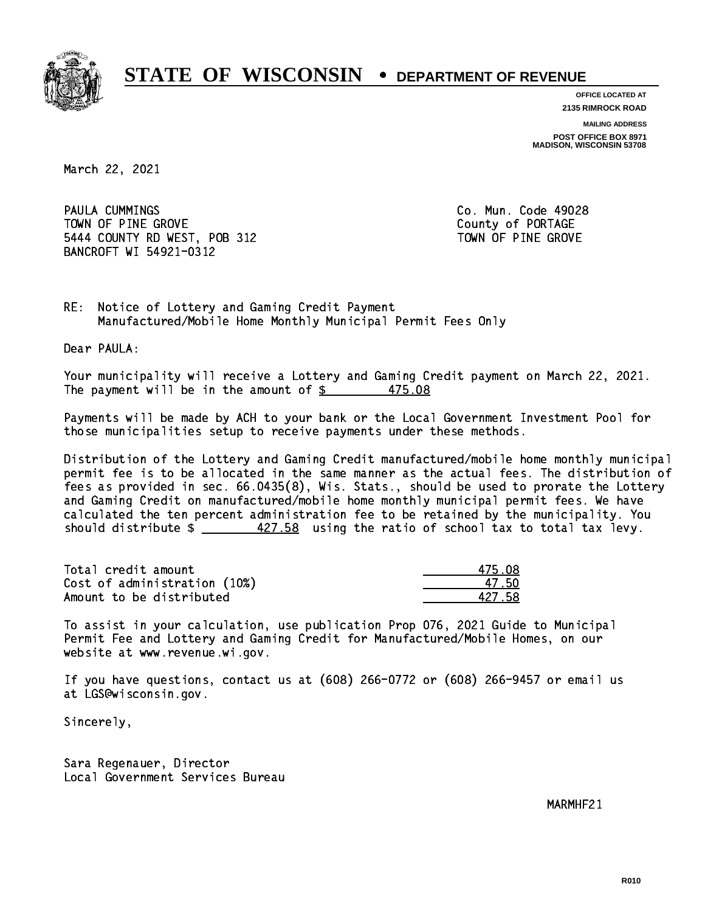

**OFFICE LOCATED AT**

**2135 RIMROCK ROAD**

**MAILING ADDRESS**

**POST OFFICE BOX 8971 MADISON, WISCONSIN 53708**

March 22, 2021

PAULA CUMMINGS TOWN OF PINE GROVE TOWN OF PORTAGE 5444 COUNTY RD WEST, POB 312 TOWN OF PINE GROVE BANCROFT WI 54921-0312

Co. Mun. Code 49028

RE: Notice of Lottery and Gaming Credit Payment Manufactured/Mobile Home Monthly Municipal Permit Fees Only

Dear PAULA:

 Your municipality will receive a Lottery and Gaming Credit payment on March 22, 2021. The payment will be in the amount of  $\frac{25}{3}$ 475.08

 Payments will be made by ACH to your bank or the Local Government Investment Pool for those municipalities setup to receive payments under these methods.

 Distribution of the Lottery and Gaming Credit manufactured/mobile home monthly municipal permit fee is to be allocated in the same manner as the actual fees. The distribution of fees as provided in sec. 66.0435(8), Wis. Stats., should be used to prorate the Lottery and Gaming Credit on manufactured/mobile home monthly municipal permit fees. We have calculated the ten percent administration fee to be retained by the municipality. You should distribute  $\frac{427.58}{1.20}$  using the ratio of school tax to total tax levy.

Total credit amount Cost of administration (10%) Amount to be distributed

| 75 N.  |
|--------|
| 17 5N  |
| 127.58 |

 To assist in your calculation, use publication Prop 076, 2021 Guide to Municipal Permit Fee and Lottery and Gaming Credit for Manufactured/Mobile Homes, on our website at www.revenue.wi.gov.

 If you have questions, contact us at (608) 266-0772 or (608) 266-9457 or email us at LGS@wisconsin.gov.

Sincerely,

 Sara Regenauer, Director Local Government Services Bureau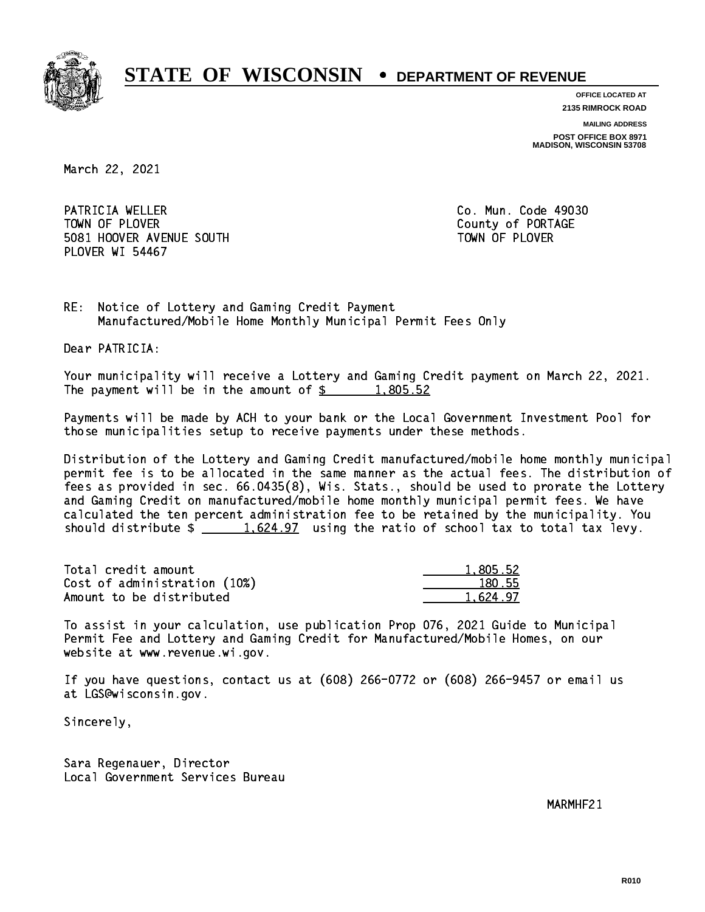

**OFFICE LOCATED AT**

**2135 RIMROCK ROAD**

**MAILING ADDRESS**

**POST OFFICE BOX 8971 MADISON, WISCONSIN 53708**

March 22, 2021

PATRICIA WELLER **Co. Mun. Code 49030** TOWN OF PLOVER **COUNTY OF PORTAGE**  5081 HOOVER AVENUE SOUTH TOWN OF PLOVER PLOVER WI 54467

RE: Notice of Lottery and Gaming Credit Payment Manufactured/Mobile Home Monthly Municipal Permit Fees Only

Dear PATRICIA:

 Your municipality will receive a Lottery and Gaming Credit payment on March 22, 2021. The payment will be in the amount of  $\frac{2}{3}$  1,805.52

 Payments will be made by ACH to your bank or the Local Government Investment Pool for those municipalities setup to receive payments under these methods.

 Distribution of the Lottery and Gaming Credit manufactured/mobile home monthly municipal permit fee is to be allocated in the same manner as the actual fees. The distribution of fees as provided in sec. 66.0435(8), Wis. Stats., should be used to prorate the Lottery and Gaming Credit on manufactured/mobile home monthly municipal permit fees. We have calculated the ten percent administration fee to be retained by the municipality. You should distribute  $\frac{1.624.97}{1.624.97}$  using the ratio of school tax to total tax levy.

| Total credit amount          | 1.805.52 |
|------------------------------|----------|
| Cost of administration (10%) | 180.55   |
| Amount to be distributed     | 1.624.97 |

 To assist in your calculation, use publication Prop 076, 2021 Guide to Municipal Permit Fee and Lottery and Gaming Credit for Manufactured/Mobile Homes, on our website at www.revenue.wi.gov.

 If you have questions, contact us at (608) 266-0772 or (608) 266-9457 or email us at LGS@wisconsin.gov.

Sincerely,

 Sara Regenauer, Director Local Government Services Bureau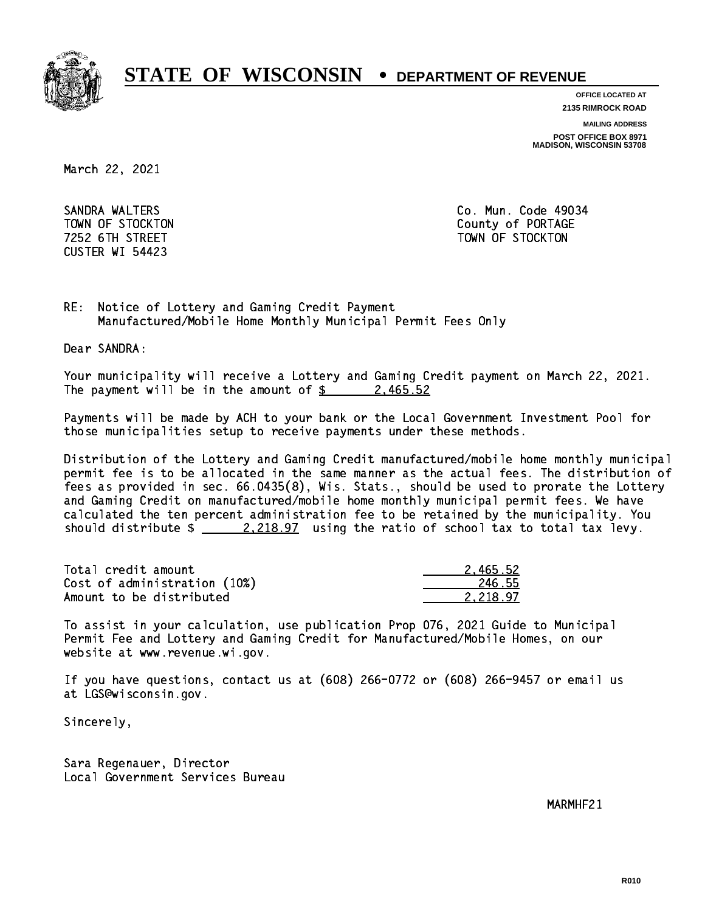

**OFFICE LOCATED AT**

**2135 RIMROCK ROAD**

**MAILING ADDRESS**

**POST OFFICE BOX 8971 MADISON, WISCONSIN 53708**

March 22, 2021

 SANDRA WALTERS Co. Mun. Code 49034 CUSTER WI 54423

TOWN OF STOCKTON COUNTY OF STOCKTON 7252 6TH STREET TOWN OF STOCKTON

RE: Notice of Lottery and Gaming Credit Payment Manufactured/Mobile Home Monthly Municipal Permit Fees Only

Dear SANDRA:

 Your municipality will receive a Lottery and Gaming Credit payment on March 22, 2021. The payment will be in the amount of  $\frac{2}{3}$  2,465.52

 Payments will be made by ACH to your bank or the Local Government Investment Pool for those municipalities setup to receive payments under these methods.

 Distribution of the Lottery and Gaming Credit manufactured/mobile home monthly municipal permit fee is to be allocated in the same manner as the actual fees. The distribution of fees as provided in sec. 66.0435(8), Wis. Stats., should be used to prorate the Lottery and Gaming Credit on manufactured/mobile home monthly municipal permit fees. We have calculated the ten percent administration fee to be retained by the municipality. You should distribute  $\frac{2.218.97}{2.218.97}$  using the ratio of school tax to total tax levy.

| Total credit amount          | 2.465.52 |
|------------------------------|----------|
| Cost of administration (10%) | 246.55   |
| Amount to be distributed     | 2.218.97 |

 To assist in your calculation, use publication Prop 076, 2021 Guide to Municipal Permit Fee and Lottery and Gaming Credit for Manufactured/Mobile Homes, on our website at www.revenue.wi.gov.

 If you have questions, contact us at (608) 266-0772 or (608) 266-9457 or email us at LGS@wisconsin.gov.

Sincerely,

 Sara Regenauer, Director Local Government Services Bureau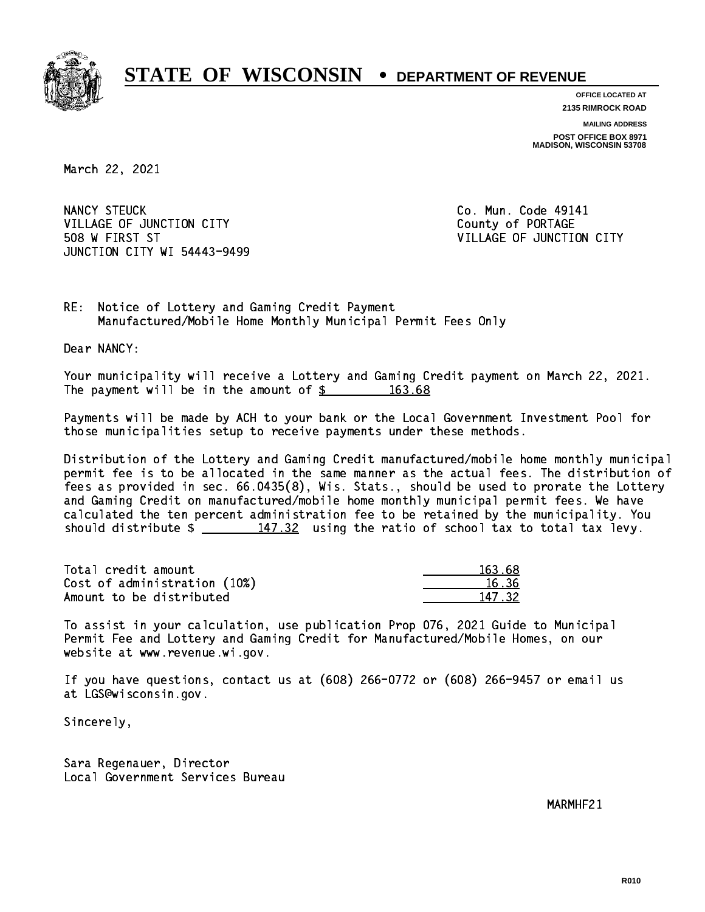

**OFFICE LOCATED AT 2135 RIMROCK ROAD**

**MAILING ADDRESS POST OFFICE BOX 8971 MADISON, WISCONSIN 53708**

March 22, 2021

NANCY STEUCK VILLAGE OF JUNCTION CITY THE COUNTY COUNTY COUNTY 508 W FIRST ST VILLAGE OF JUNCTION CITY JUNCTION CITY WI 54443-9499

Co. Mun. Code 49141

RE: Notice of Lottery and Gaming Credit Payment Manufactured/Mobile Home Monthly Municipal Permit Fees Only

Dear NANCY:

 Your municipality will receive a Lottery and Gaming Credit payment on March 22, 2021. The payment will be in the amount of  $\frac{2}{3}$  163.68

 Payments will be made by ACH to your bank or the Local Government Investment Pool for those municipalities setup to receive payments under these methods.

 Distribution of the Lottery and Gaming Credit manufactured/mobile home monthly municipal permit fee is to be allocated in the same manner as the actual fees. The distribution of fees as provided in sec. 66.0435(8), Wis. Stats., should be used to prorate the Lottery and Gaming Credit on manufactured/mobile home monthly municipal permit fees. We have calculated the ten percent administration fee to be retained by the municipality. You should distribute  $\frac{147.32}{147.32}$  using the ratio of school tax to total tax levy.

Total credit amount Cost of administration (10%) Amount to be distributed

| 63.68 |
|-------|
| 5.36  |
| .732  |

 To assist in your calculation, use publication Prop 076, 2021 Guide to Municipal Permit Fee and Lottery and Gaming Credit for Manufactured/Mobile Homes, on our website at www.revenue.wi.gov.

 If you have questions, contact us at (608) 266-0772 or (608) 266-9457 or email us at LGS@wisconsin.gov.

Sincerely,

 Sara Regenauer, Director Local Government Services Bureau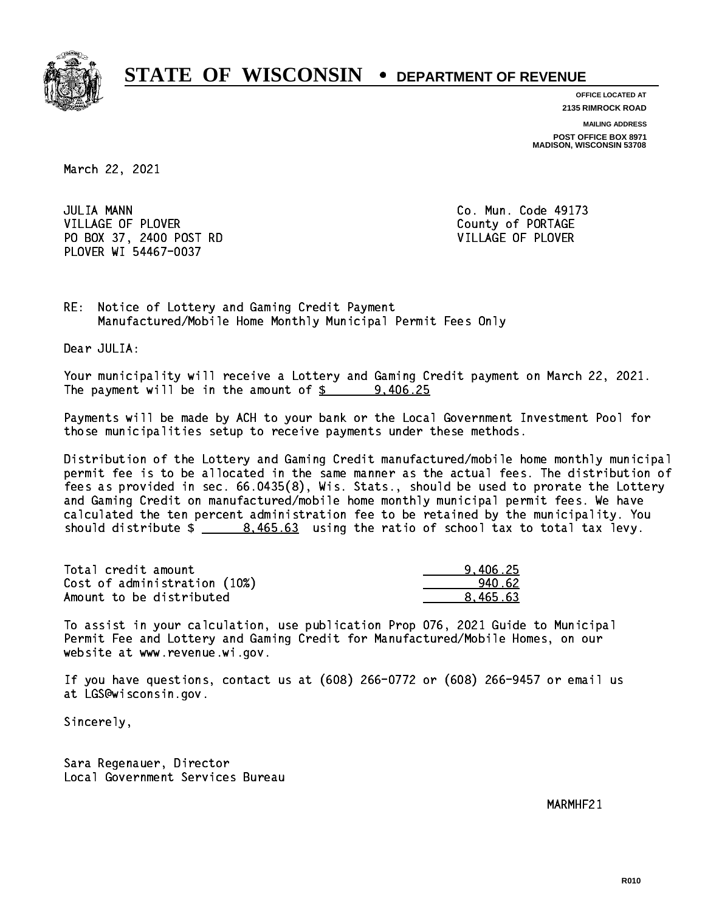

**OFFICE LOCATED AT**

**2135 RIMROCK ROAD**

**MAILING ADDRESS**

**POST OFFICE BOX 8971 MADISON, WISCONSIN 53708**

March 22, 2021

**JULIA MANN** VILLAGE OF PLOVER COUNTY OF PORTAGE PO BOX 37, 2400 POST RD VILLAGE OF PLOVER PLOVER WI 54467-0037

Co. Mun. Code 49173

RE: Notice of Lottery and Gaming Credit Payment Manufactured/Mobile Home Monthly Municipal Permit Fees Only

Dear JULIA:

 Your municipality will receive a Lottery and Gaming Credit payment on March 22, 2021. The payment will be in the amount of  $\frac{25}{2}$  9,406.25

 Payments will be made by ACH to your bank or the Local Government Investment Pool for those municipalities setup to receive payments under these methods.

 Distribution of the Lottery and Gaming Credit manufactured/mobile home monthly municipal permit fee is to be allocated in the same manner as the actual fees. The distribution of fees as provided in sec. 66.0435(8), Wis. Stats., should be used to prorate the Lottery and Gaming Credit on manufactured/mobile home monthly municipal permit fees. We have calculated the ten percent administration fee to be retained by the municipality. You should distribute  $\frac{2}{1}$   $\frac{8,465.63}{2}$  using the ratio of school tax to total tax levy.

| Total credit amount          | 9.406.25 |
|------------------------------|----------|
| Cost of administration (10%) | 940.62   |
| Amount to be distributed     | 8.465.63 |

 To assist in your calculation, use publication Prop 076, 2021 Guide to Municipal Permit Fee and Lottery and Gaming Credit for Manufactured/Mobile Homes, on our website at www.revenue.wi.gov.

 If you have questions, contact us at (608) 266-0772 or (608) 266-9457 or email us at LGS@wisconsin.gov.

Sincerely,

 Sara Regenauer, Director Local Government Services Bureau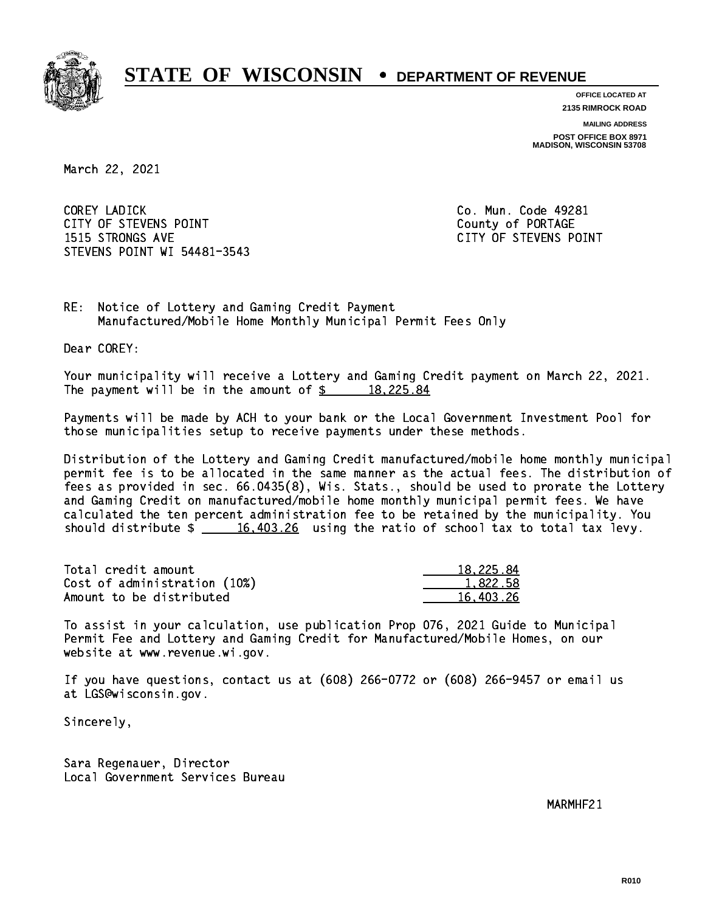

**OFFICE LOCATED AT 2135 RIMROCK ROAD**

**MAILING ADDRESS**

**POST OFFICE BOX 8971 MADISON, WISCONSIN 53708**

March 22, 2021

 COREY LADICK Co. Mun. Code 49281 CITY OF STEVENS POINT COUNTS AND COUNTY OF PORTAGE 1515 STRONGS AVE CITY OF STEVENS POINT STEVENS POINT WI 54481-3543

RE: Notice of Lottery and Gaming Credit Payment Manufactured/Mobile Home Monthly Municipal Permit Fees Only

Dear COREY:

 Your municipality will receive a Lottery and Gaming Credit payment on March 22, 2021. The payment will be in the amount of  $\frac{2}{3}$  18,225.84

 Payments will be made by ACH to your bank or the Local Government Investment Pool for those municipalities setup to receive payments under these methods.

 Distribution of the Lottery and Gaming Credit manufactured/mobile home monthly municipal permit fee is to be allocated in the same manner as the actual fees. The distribution of fees as provided in sec. 66.0435(8), Wis. Stats., should be used to prorate the Lottery and Gaming Credit on manufactured/mobile home monthly municipal permit fees. We have calculated the ten percent administration fee to be retained by the municipality. You should distribute  $\frac{16,403.26}{2}$  using the ratio of school tax to total tax levy.

| Total credit amount          | 18,225.84 |
|------------------------------|-----------|
| Cost of administration (10%) | 1,822.58  |
| Amount to be distributed     | 16.403.26 |

 To assist in your calculation, use publication Prop 076, 2021 Guide to Municipal Permit Fee and Lottery and Gaming Credit for Manufactured/Mobile Homes, on our website at www.revenue.wi.gov.

 If you have questions, contact us at (608) 266-0772 or (608) 266-9457 or email us at LGS@wisconsin.gov.

Sincerely,

 Sara Regenauer, Director Local Government Services Bureau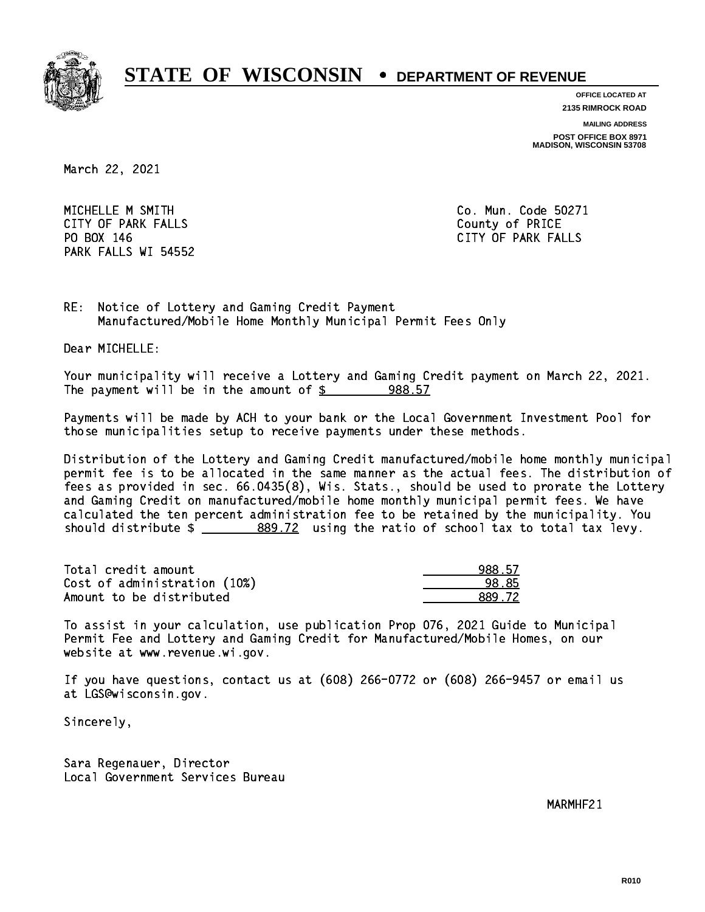

**OFFICE LOCATED AT**

**2135 RIMROCK ROAD**

**MAILING ADDRESS**

**POST OFFICE BOX 8971 MADISON, WISCONSIN 53708**

March 22, 2021

MICHELLE M SMITH Communication of the Co. Mun. Code 50271 CITY OF PARK FALLS **COUNTY OF PARK** FALLS PO BOX 146 PARK FALLS WI 54552

CITY OF PARK FALLS

RE: Notice of Lottery and Gaming Credit Payment Manufactured/Mobile Home Monthly Municipal Permit Fees Only

Dear MICHELLE:

 Your municipality will receive a Lottery and Gaming Credit payment on March 22, 2021. The payment will be in the amount of  $\frac{2}{3}$  988.57

 Payments will be made by ACH to your bank or the Local Government Investment Pool for those municipalities setup to receive payments under these methods.

 Distribution of the Lottery and Gaming Credit manufactured/mobile home monthly municipal permit fee is to be allocated in the same manner as the actual fees. The distribution of fees as provided in sec. 66.0435(8), Wis. Stats., should be used to prorate the Lottery and Gaming Credit on manufactured/mobile home monthly municipal permit fees. We have calculated the ten percent administration fee to be retained by the municipality. You should distribute  $\frac{2}{2}$   $\frac{889.72}{2}$  using the ratio of school tax to total tax levy.

| Total credit amount          | 988.57 |
|------------------------------|--------|
| Cost of administration (10%) | 98.85  |
| Amount to be distributed     | 889.72 |

| -57 |
|-----|
| ₹۳  |
| .72 |

 To assist in your calculation, use publication Prop 076, 2021 Guide to Municipal Permit Fee and Lottery and Gaming Credit for Manufactured/Mobile Homes, on our website at www.revenue.wi.gov.

 If you have questions, contact us at (608) 266-0772 or (608) 266-9457 or email us at LGS@wisconsin.gov.

Sincerely,

 Sara Regenauer, Director Local Government Services Bureau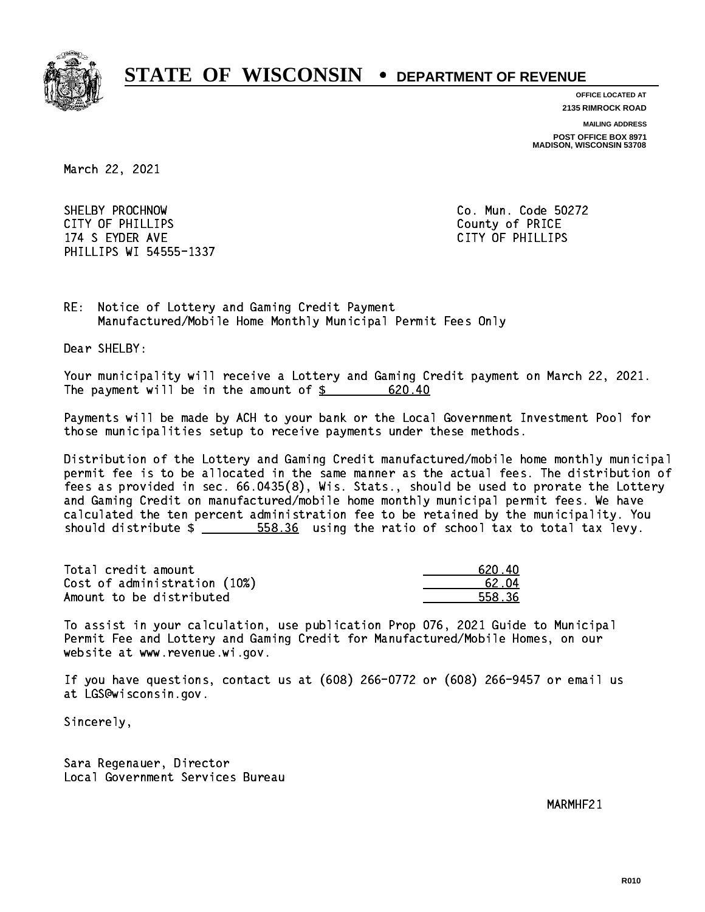

**OFFICE LOCATED AT**

**2135 RIMROCK ROAD**

**MAILING ADDRESS**

**POST OFFICE BOX 8971 MADISON, WISCONSIN 53708**

March 22, 2021

SHELBY PROCHNOW CITY OF PHILLIPS County of PRICE 174 S EYDER AVE CITY OF PHILLIPS PHILLIPS WI 54555-1337

Co. Mun. Code 50272

RE: Notice of Lottery and Gaming Credit Payment Manufactured/Mobile Home Monthly Municipal Permit Fees Only

Dear SHELBY:

 Your municipality will receive a Lottery and Gaming Credit payment on March 22, 2021. The payment will be in the amount of  $\frac{20.40}{20.40}$ 

 Payments will be made by ACH to your bank or the Local Government Investment Pool for those municipalities setup to receive payments under these methods.

 Distribution of the Lottery and Gaming Credit manufactured/mobile home monthly municipal permit fee is to be allocated in the same manner as the actual fees. The distribution of fees as provided in sec. 66.0435(8), Wis. Stats., should be used to prorate the Lottery and Gaming Credit on manufactured/mobile home monthly municipal permit fees. We have calculated the ten percent administration fee to be retained by the municipality. You should distribute  $\frac{2}{1}$   $\frac{558.36}{20}$  using the ratio of school tax to total tax levy.

| Total credit amount          | 620.40 |
|------------------------------|--------|
| Cost of administration (10%) | .62.04 |
| Amount to be distributed     | 558.36 |

| 62N 4N |
|--------|
| 62.04  |
| 558.36 |

 To assist in your calculation, use publication Prop 076, 2021 Guide to Municipal Permit Fee and Lottery and Gaming Credit for Manufactured/Mobile Homes, on our website at www.revenue.wi.gov.

 If you have questions, contact us at (608) 266-0772 or (608) 266-9457 or email us at LGS@wisconsin.gov.

Sincerely,

 Sara Regenauer, Director Local Government Services Bureau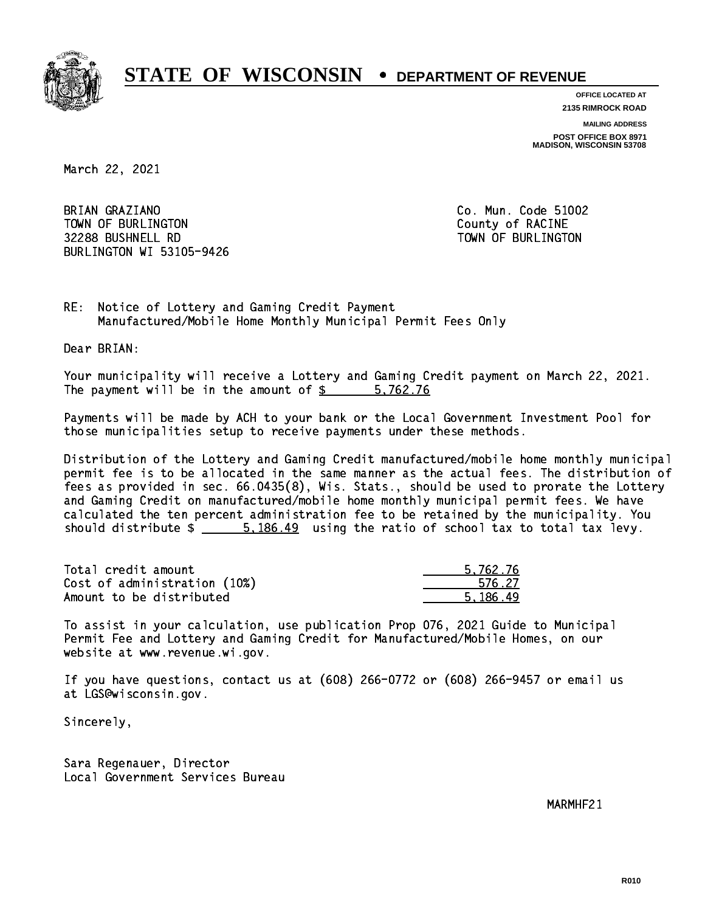

**OFFICE LOCATED AT**

**2135 RIMROCK ROAD**

**MAILING ADDRESS**

**POST OFFICE BOX 8971 MADISON, WISCONSIN 53708**

March 22, 2021

BRIAN GRAZIANO TOWN OF BURLINGTON COUNTY OF RACINE 32288 BUSHNELL RD TOWN OF BURLINGTON BURLINGTON WI 53105-9426

Co. Mun. Code 51002

RE: Notice of Lottery and Gaming Credit Payment Manufactured/Mobile Home Monthly Municipal Permit Fees Only

Dear BRIAN:

 Your municipality will receive a Lottery and Gaming Credit payment on March 22, 2021. The payment will be in the amount of \$ 5,762.76 \_\_\_\_\_\_\_\_\_\_\_\_\_\_\_\_

 Payments will be made by ACH to your bank or the Local Government Investment Pool for those municipalities setup to receive payments under these methods.

 Distribution of the Lottery and Gaming Credit manufactured/mobile home monthly municipal permit fee is to be allocated in the same manner as the actual fees. The distribution of fees as provided in sec. 66.0435(8), Wis. Stats., should be used to prorate the Lottery and Gaming Credit on manufactured/mobile home monthly municipal permit fees. We have calculated the ten percent administration fee to be retained by the municipality. You should distribute  $\frac{2}{1}$   $\frac{5.186.49}{2}$  using the ratio of school tax to total tax levy.

| Total credit amount          | 5.762.76 |
|------------------------------|----------|
| Cost of administration (10%) | 576.27   |
| Amount to be distributed     | 5.186.49 |

 To assist in your calculation, use publication Prop 076, 2021 Guide to Municipal Permit Fee and Lottery and Gaming Credit for Manufactured/Mobile Homes, on our website at www.revenue.wi.gov.

 If you have questions, contact us at (608) 266-0772 or (608) 266-9457 or email us at LGS@wisconsin.gov.

Sincerely,

 Sara Regenauer, Director Local Government Services Bureau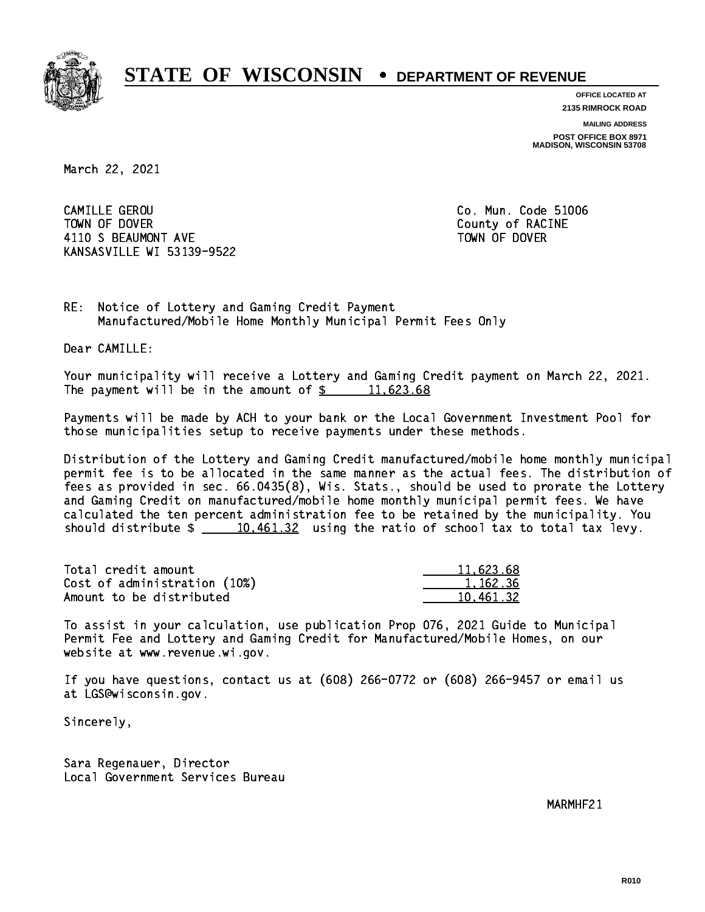

**OFFICE LOCATED AT**

**2135 RIMROCK ROAD**

**MAILING ADDRESS**

**POST OFFICE BOX 8971 MADISON, WISCONSIN 53708**

March 22, 2021

 CAMILLE GEROU Co. Mun. Code 51006 TOWN OF DOVER COUNTY OF RACINE 4110 S BEAUMONT AVE **TOWN OF DOVER** KANSASVILLE WI 53139-9522

RE: Notice of Lottery and Gaming Credit Payment Manufactured/Mobile Home Monthly Municipal Permit Fees Only

Dear CAMILLE:

 Your municipality will receive a Lottery and Gaming Credit payment on March 22, 2021. The payment will be in the amount of  $\frac{2}{3}$  11,623.68

 Payments will be made by ACH to your bank or the Local Government Investment Pool for those municipalities setup to receive payments under these methods.

 Distribution of the Lottery and Gaming Credit manufactured/mobile home monthly municipal permit fee is to be allocated in the same manner as the actual fees. The distribution of fees as provided in sec. 66.0435(8), Wis. Stats., should be used to prorate the Lottery and Gaming Credit on manufactured/mobile home monthly municipal permit fees. We have calculated the ten percent administration fee to be retained by the municipality. You should distribute  $\frac{10,461.32}{10,461.32}$  using the ratio of school tax to total tax levy.

| Total credit amount          | 11,623.68 |
|------------------------------|-----------|
| Cost of administration (10%) | 1.162.36  |
| Amount to be distributed     | 10.461.32 |

 To assist in your calculation, use publication Prop 076, 2021 Guide to Municipal Permit Fee and Lottery and Gaming Credit for Manufactured/Mobile Homes, on our website at www.revenue.wi.gov.

 If you have questions, contact us at (608) 266-0772 or (608) 266-9457 or email us at LGS@wisconsin.gov.

Sincerely,

 Sara Regenauer, Director Local Government Services Bureau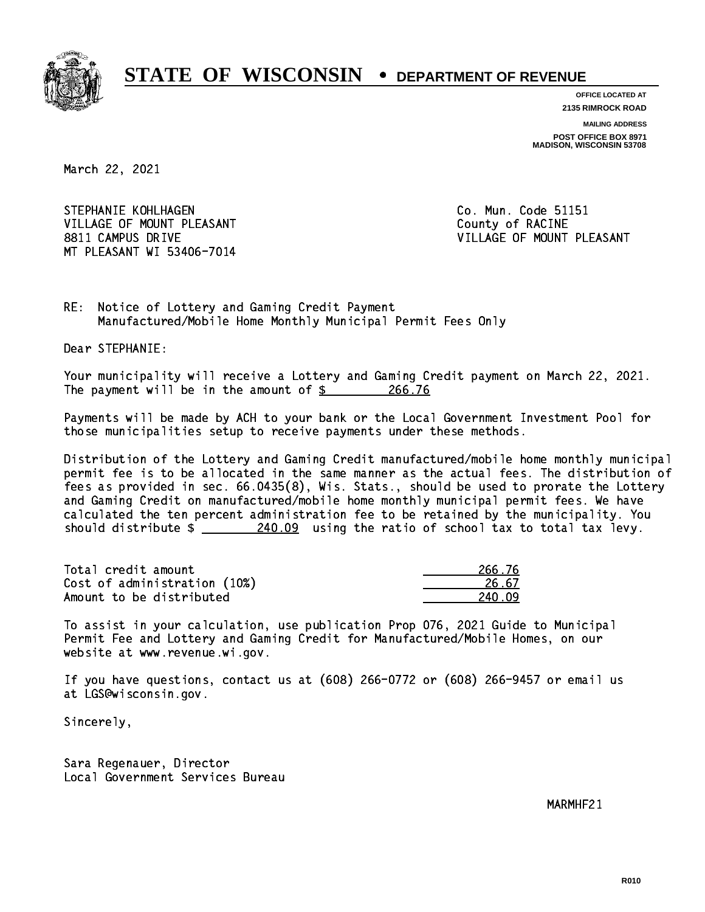

**OFFICE LOCATED AT 2135 RIMROCK ROAD**

**MAILING ADDRESS POST OFFICE BOX 8971 MADISON, WISCONSIN 53708**

March 22, 2021

STEPHANIE KOHLHAGEN **Co. Mun. Code 51151** VILLAGE OF MOUNT PLEASANT COUNTY OF RACINE 8811 CAMPUS DRIVE VILLAGE OF MOUNT PLEASANT MT PLEASANT WI 53406-7014

RE: Notice of Lottery and Gaming Credit Payment Manufactured/Mobile Home Monthly Municipal Permit Fees Only

Dear STEPHANIE:

 Your municipality will receive a Lottery and Gaming Credit payment on March 22, 2021. The payment will be in the amount of \$ 266.76 \_\_\_\_\_\_\_\_\_\_\_\_\_\_\_\_

 Payments will be made by ACH to your bank or the Local Government Investment Pool for those municipalities setup to receive payments under these methods.

 Distribution of the Lottery and Gaming Credit manufactured/mobile home monthly municipal permit fee is to be allocated in the same manner as the actual fees. The distribution of fees as provided in sec. 66.0435(8), Wis. Stats., should be used to prorate the Lottery and Gaming Credit on manufactured/mobile home monthly municipal permit fees. We have calculated the ten percent administration fee to be retained by the municipality. You should distribute  $\frac{240.09}{240.09}$  using the ratio of school tax to total tax levy.

Total credit amount Cost of administration (10%) Amount to be distributed

| 266.76    |
|-----------|
| 26.67     |
| N N9<br>2 |

 To assist in your calculation, use publication Prop 076, 2021 Guide to Municipal Permit Fee and Lottery and Gaming Credit for Manufactured/Mobile Homes, on our website at www.revenue.wi.gov.

 If you have questions, contact us at (608) 266-0772 or (608) 266-9457 or email us at LGS@wisconsin.gov.

Sincerely,

 Sara Regenauer, Director Local Government Services Bureau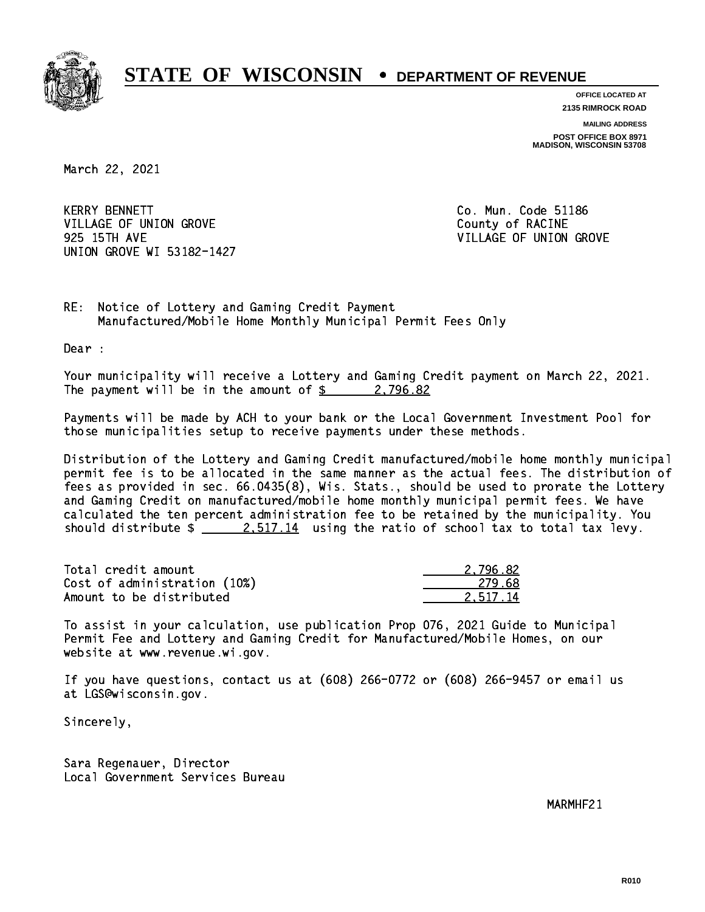

**OFFICE LOCATED AT**

**2135 RIMROCK ROAD**

**MAILING ADDRESS POST OFFICE BOX 8971 MADISON, WISCONSIN 53708**

March 22, 2021

**KERRY BENNETT** VILLAGE OF UNION GROVE COUNTY OF RACINE 925 15TH AVE VILLAGE OF UNION GROVE UNION GROVE WI 53182-1427

Co. Mun. Code 51186

RE: Notice of Lottery and Gaming Credit Payment Manufactured/Mobile Home Monthly Municipal Permit Fees Only

Dear :

 Your municipality will receive a Lottery and Gaming Credit payment on March 22, 2021. The payment will be in the amount of  $\frac{2}{3}$  2,796.82

 Payments will be made by ACH to your bank or the Local Government Investment Pool for those municipalities setup to receive payments under these methods.

 Distribution of the Lottery and Gaming Credit manufactured/mobile home monthly municipal permit fee is to be allocated in the same manner as the actual fees. The distribution of fees as provided in sec. 66.0435(8), Wis. Stats., should be used to prorate the Lottery and Gaming Credit on manufactured/mobile home monthly municipal permit fees. We have calculated the ten percent administration fee to be retained by the municipality. You should distribute  $\frac{2.517.14}{2.517.14}$  using the ratio of school tax to total tax levy.

| Total credit amount          | 2.796.82 |
|------------------------------|----------|
| Cost of administration (10%) | 279.68   |
| Amount to be distributed     | 2.517.14 |

 To assist in your calculation, use publication Prop 076, 2021 Guide to Municipal Permit Fee and Lottery and Gaming Credit for Manufactured/Mobile Homes, on our website at www.revenue.wi.gov.

 If you have questions, contact us at (608) 266-0772 or (608) 266-9457 or email us at LGS@wisconsin.gov.

Sincerely,

 Sara Regenauer, Director Local Government Services Bureau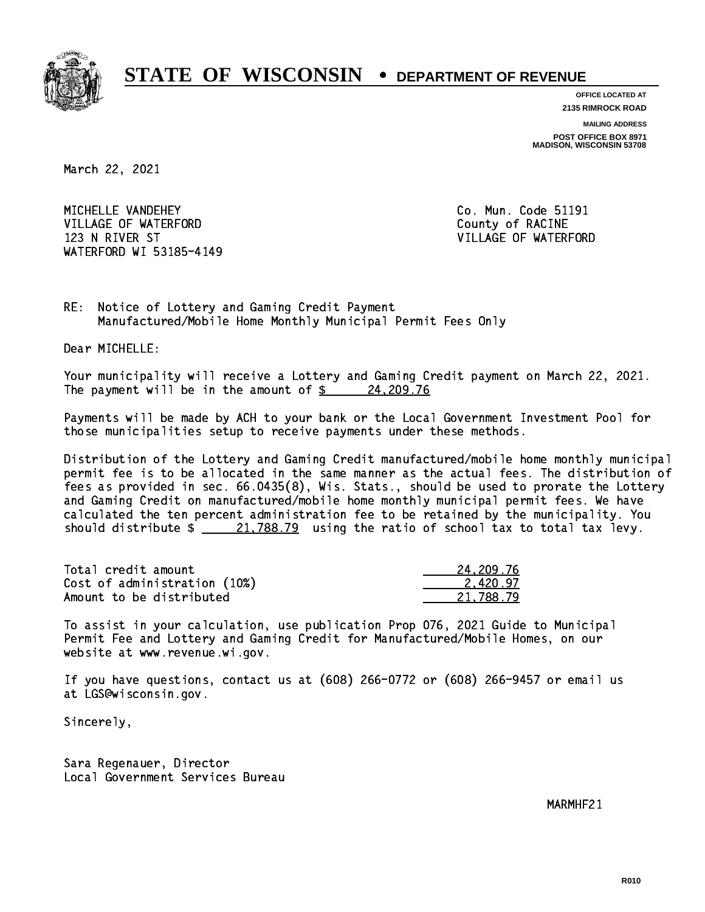

**OFFICE LOCATED AT**

**2135 RIMROCK ROAD**

**MAILING ADDRESS POST OFFICE BOX 8971 MADISON, WISCONSIN 53708**

March 22, 2021

MICHELLE VANDEHEY VILLAGE OF WATERFORD County of RACINE 123 N RIVER ST VILLAGE OF WATERFORD WATERFORD WI 53185-4149

Co. Mun. Code 51191

RE: Notice of Lottery and Gaming Credit Payment Manufactured/Mobile Home Monthly Municipal Permit Fees Only

Dear MICHELLE:

 Your municipality will receive a Lottery and Gaming Credit payment on March 22, 2021. The payment will be in the amount of \$ 24,209.76 \_\_\_\_\_\_\_\_\_\_\_\_\_\_\_\_

 Payments will be made by ACH to your bank or the Local Government Investment Pool for those municipalities setup to receive payments under these methods.

 Distribution of the Lottery and Gaming Credit manufactured/mobile home monthly municipal permit fee is to be allocated in the same manner as the actual fees. The distribution of fees as provided in sec. 66.0435(8), Wis. Stats., should be used to prorate the Lottery and Gaming Credit on manufactured/mobile home monthly municipal permit fees. We have calculated the ten percent administration fee to be retained by the municipality. You should distribute  $\frac{21,788.79}{21,788.79}$  using the ratio of school tax to total tax levy.

| Total credit amount          | 24.209.76 |
|------------------------------|-----------|
| Cost of administration (10%) | 2.420.97  |
| Amount to be distributed     | 21.788.79 |

 To assist in your calculation, use publication Prop 076, 2021 Guide to Municipal Permit Fee and Lottery and Gaming Credit for Manufactured/Mobile Homes, on our website at www.revenue.wi.gov.

 If you have questions, contact us at (608) 266-0772 or (608) 266-9457 or email us at LGS@wisconsin.gov.

Sincerely,

 Sara Regenauer, Director Local Government Services Bureau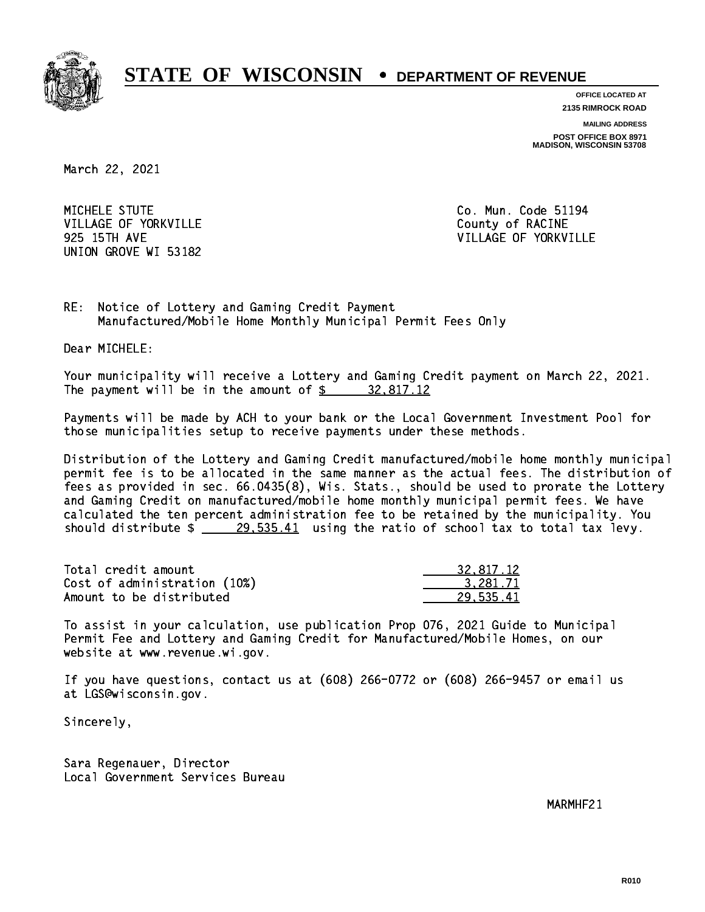

**OFFICE LOCATED AT**

**2135 RIMROCK ROAD**

**MAILING ADDRESS**

**POST OFFICE BOX 8971 MADISON, WISCONSIN 53708**

March 22, 2021

MICHELE STUTE VILLAGE OF YORKVILLE COUNTY OF RACINE UNION GROVE WI 53182

Co. Mun. Code 51194 925 15TH AVE VILLAGE OF YORKVILLE

RE: Notice of Lottery and Gaming Credit Payment Manufactured/Mobile Home Monthly Municipal Permit Fees Only

Dear MICHELE:

 Your municipality will receive a Lottery and Gaming Credit payment on March 22, 2021. The payment will be in the amount of  $\frac{2}{3}$  32,817.12

 Payments will be made by ACH to your bank or the Local Government Investment Pool for those municipalities setup to receive payments under these methods.

 Distribution of the Lottery and Gaming Credit manufactured/mobile home monthly municipal permit fee is to be allocated in the same manner as the actual fees. The distribution of fees as provided in sec. 66.0435(8), Wis. Stats., should be used to prorate the Lottery and Gaming Credit on manufactured/mobile home monthly municipal permit fees. We have calculated the ten percent administration fee to be retained by the municipality. You should distribute  $\frac{29.535.41}{29.535.41}$  using the ratio of school tax to total tax levy.

| Total credit amount          | 32,817.12 |
|------------------------------|-----------|
| Cost of administration (10%) | 3.281.71  |
| Amount to be distributed     | 29.535.41 |

 To assist in your calculation, use publication Prop 076, 2021 Guide to Municipal Permit Fee and Lottery and Gaming Credit for Manufactured/Mobile Homes, on our website at www.revenue.wi.gov.

 If you have questions, contact us at (608) 266-0772 or (608) 266-9457 or email us at LGS@wisconsin.gov.

Sincerely,

 Sara Regenauer, Director Local Government Services Bureau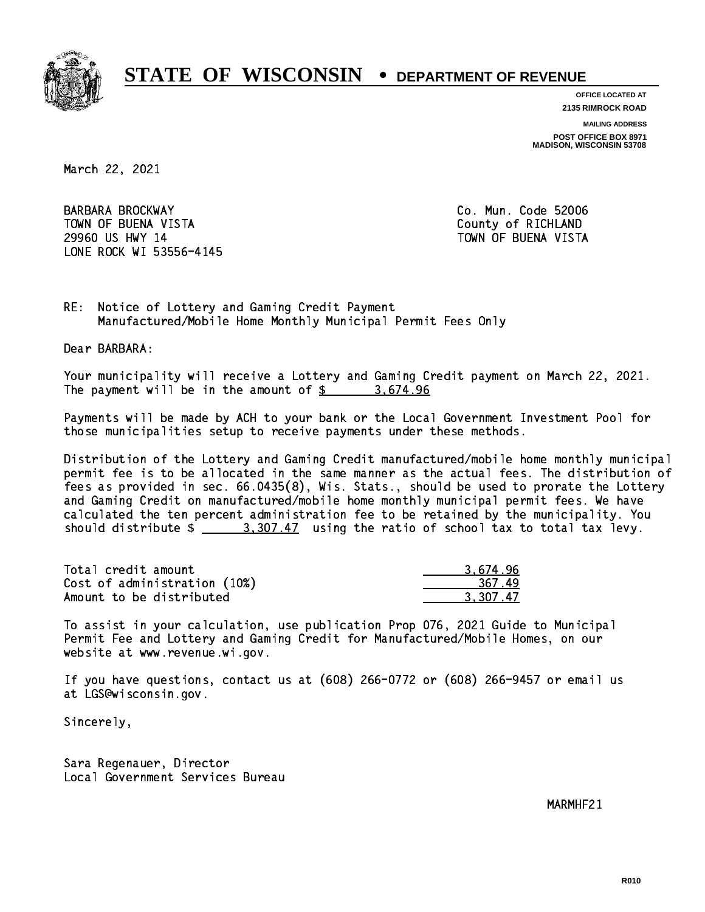

**OFFICE LOCATED AT**

**2135 RIMROCK ROAD**

**MAILING ADDRESS**

**POST OFFICE BOX 8971 MADISON, WISCONSIN 53708**

March 22, 2021

 BARBARA BROCKWAY Co. Mun. Code 52006 TOWN OF BUENA VISTA County of RICHLAND 29960 US HWY 14 TOWN OF BUENA VISTA LONE ROCK WI 53556-4145

RE: Notice of Lottery and Gaming Credit Payment Manufactured/Mobile Home Monthly Municipal Permit Fees Only

Dear BARBARA:

 Your municipality will receive a Lottery and Gaming Credit payment on March 22, 2021. The payment will be in the amount of \$ 3,674.96 \_\_\_\_\_\_\_\_\_\_\_\_\_\_\_\_

 Payments will be made by ACH to your bank or the Local Government Investment Pool for those municipalities setup to receive payments under these methods.

 Distribution of the Lottery and Gaming Credit manufactured/mobile home monthly municipal permit fee is to be allocated in the same manner as the actual fees. The distribution of fees as provided in sec. 66.0435(8), Wis. Stats., should be used to prorate the Lottery and Gaming Credit on manufactured/mobile home monthly municipal permit fees. We have calculated the ten percent administration fee to be retained by the municipality. You should distribute  $\frac{2}{3}$   $\frac{3}{307.47}$  using the ratio of school tax to total tax levy.

| Total credit amount          | 3.674.96 |
|------------------------------|----------|
| Cost of administration (10%) | -367-49  |
| Amount to be distributed     | 3.307.47 |

 To assist in your calculation, use publication Prop 076, 2021 Guide to Municipal Permit Fee and Lottery and Gaming Credit for Manufactured/Mobile Homes, on our website at www.revenue.wi.gov.

 If you have questions, contact us at (608) 266-0772 or (608) 266-9457 or email us at LGS@wisconsin.gov.

Sincerely,

 Sara Regenauer, Director Local Government Services Bureau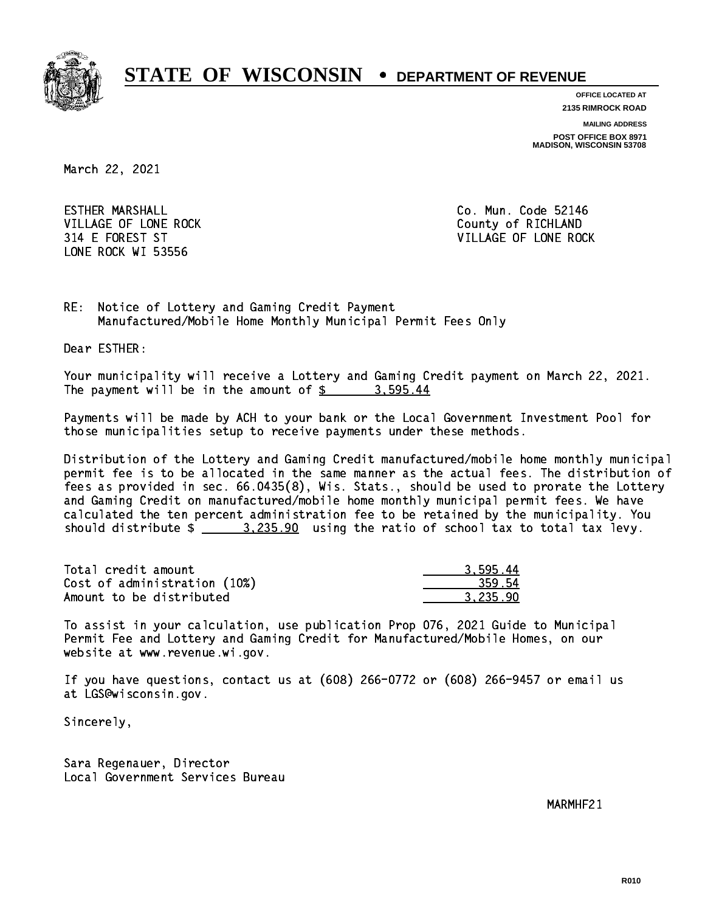

**OFFICE LOCATED AT**

**2135 RIMROCK ROAD**

**MAILING ADDRESS**

**POST OFFICE BOX 8971 MADISON, WISCONSIN 53708**

March 22, 2021

**ESTHER MARSHALL** VILLAGE OF LONE ROCK **COUNTY COULD A** County of RICHLAND LONE ROCK WI 53556

Co. Mun. Code 52146 314 E FOREST ST VILLAGE OF LONE ROCK

RE: Notice of Lottery and Gaming Credit Payment Manufactured/Mobile Home Monthly Municipal Permit Fees Only

Dear ESTHER:

 Your municipality will receive a Lottery and Gaming Credit payment on March 22, 2021. The payment will be in the amount of \$ 3,595.44 \_\_\_\_\_\_\_\_\_\_\_\_\_\_\_\_

 Payments will be made by ACH to your bank or the Local Government Investment Pool for those municipalities setup to receive payments under these methods.

 Distribution of the Lottery and Gaming Credit manufactured/mobile home monthly municipal permit fee is to be allocated in the same manner as the actual fees. The distribution of fees as provided in sec. 66.0435(8), Wis. Stats., should be used to prorate the Lottery and Gaming Credit on manufactured/mobile home monthly municipal permit fees. We have calculated the ten percent administration fee to be retained by the municipality. You should distribute  $\frac{2}{2}$   $\frac{3,235.90}{2}$  using the ratio of school tax to total tax levy.

| Total credit amount          | 3.595.44 |
|------------------------------|----------|
| Cost of administration (10%) | 359.54   |
| Amount to be distributed     | 3.235.90 |

 To assist in your calculation, use publication Prop 076, 2021 Guide to Municipal Permit Fee and Lottery and Gaming Credit for Manufactured/Mobile Homes, on our website at www.revenue.wi.gov.

 If you have questions, contact us at (608) 266-0772 or (608) 266-9457 or email us at LGS@wisconsin.gov.

Sincerely,

 Sara Regenauer, Director Local Government Services Bureau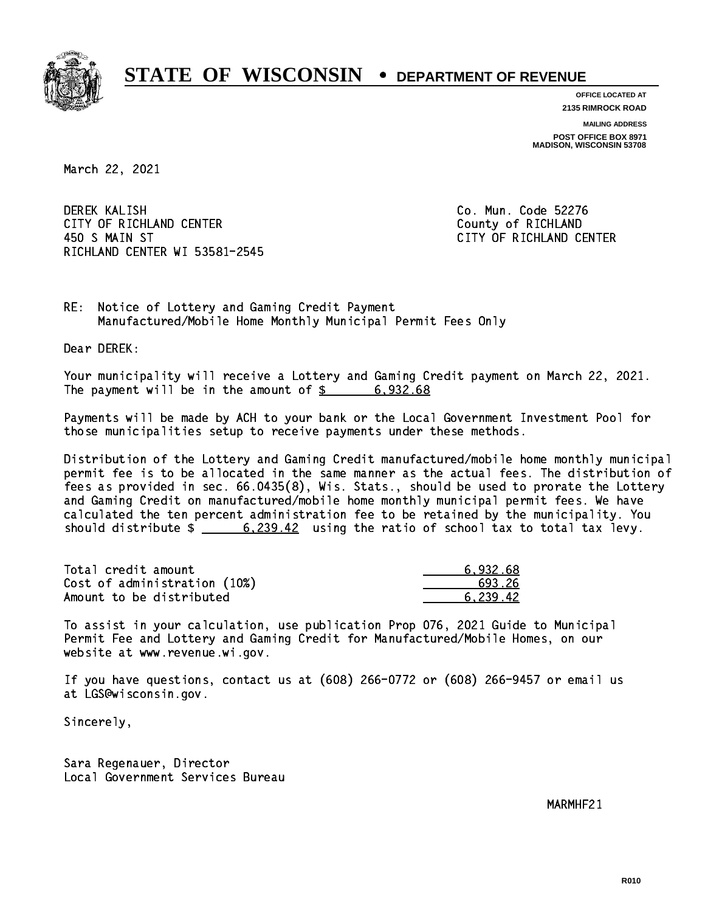

**OFFICE LOCATED AT 2135 RIMROCK ROAD**

**MAILING ADDRESS POST OFFICE BOX 8971 MADISON, WISCONSIN 53708**

March 22, 2021

 DEREK KALISH Co. Mun. Code 52276 CITY OF RICHLAND CENTER **COUNTY OF RICHLAND**  450 S MAIN ST CITY OF RICHLAND CENTER RICHLAND CENTER WI 53581-2545

RE: Notice of Lottery and Gaming Credit Payment Manufactured/Mobile Home Monthly Municipal Permit Fees Only

Dear DEREK:

 Your municipality will receive a Lottery and Gaming Credit payment on March 22, 2021. The payment will be in the amount of  $\frac{2}{3}$  6,932.68

 Payments will be made by ACH to your bank or the Local Government Investment Pool for those municipalities setup to receive payments under these methods.

 Distribution of the Lottery and Gaming Credit manufactured/mobile home monthly municipal permit fee is to be allocated in the same manner as the actual fees. The distribution of fees as provided in sec. 66.0435(8), Wis. Stats., should be used to prorate the Lottery and Gaming Credit on manufactured/mobile home monthly municipal permit fees. We have calculated the ten percent administration fee to be retained by the municipality. You should distribute  $\frac{2.239.42}{2}$  using the ratio of school tax to total tax levy.

| Total credit amount          | 6.932.68 |
|------------------------------|----------|
| Cost of administration (10%) | 693.26   |
| Amount to be distributed     | 6.239.42 |

 To assist in your calculation, use publication Prop 076, 2021 Guide to Municipal Permit Fee and Lottery and Gaming Credit for Manufactured/Mobile Homes, on our website at www.revenue.wi.gov.

 If you have questions, contact us at (608) 266-0772 or (608) 266-9457 or email us at LGS@wisconsin.gov.

Sincerely,

 Sara Regenauer, Director Local Government Services Bureau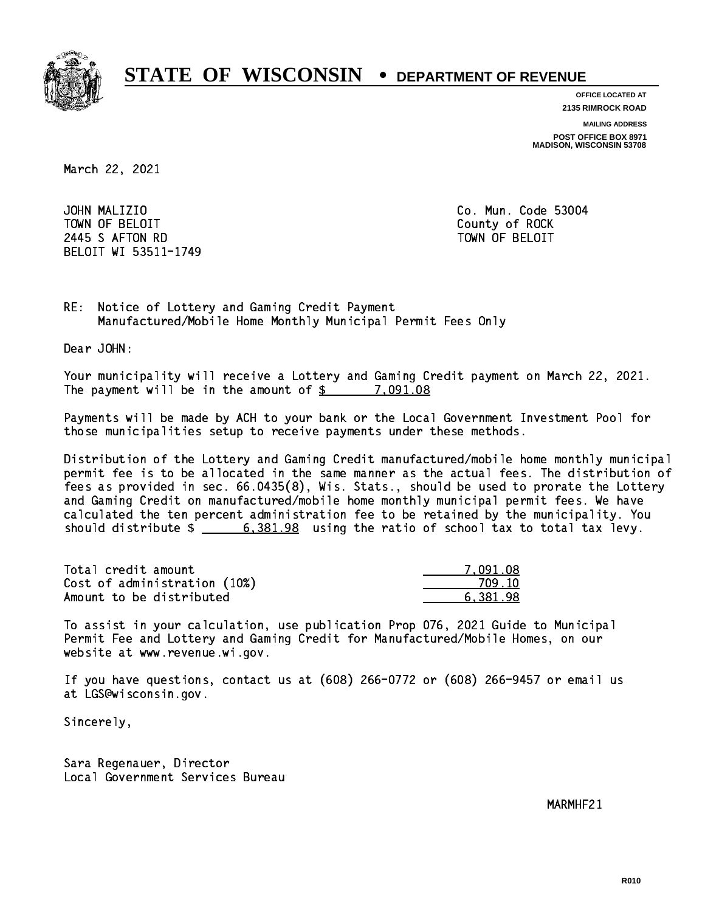

**OFFICE LOCATED AT**

**2135 RIMROCK ROAD**

**MAILING ADDRESS**

**POST OFFICE BOX 8971 MADISON, WISCONSIN 53708**

March 22, 2021

JOHN MALIZIO TOWN OF BELOIT County of ROCK 2445 SAFTON RD TOWN OF BELOIT BELOIT WI 53511-1749

Co. Mun. Code 53004

RE: Notice of Lottery and Gaming Credit Payment Manufactured/Mobile Home Monthly Municipal Permit Fees Only

Dear JOHN:

 Your municipality will receive a Lottery and Gaming Credit payment on March 22, 2021. The payment will be in the amount of  $\frac{2}{3}$  7,091.08

 Payments will be made by ACH to your bank or the Local Government Investment Pool for those municipalities setup to receive payments under these methods.

 Distribution of the Lottery and Gaming Credit manufactured/mobile home monthly municipal permit fee is to be allocated in the same manner as the actual fees. The distribution of fees as provided in sec. 66.0435(8), Wis. Stats., should be used to prorate the Lottery and Gaming Credit on manufactured/mobile home monthly municipal permit fees. We have calculated the ten percent administration fee to be retained by the municipality. You should distribute  $\frac{2}{1}$   $\frac{6,381.98}{2}$  using the ratio of school tax to total tax levy.

| Total credit amount          | 7.091.08 |
|------------------------------|----------|
| Cost of administration (10%) | 709.10   |
| Amount to be distributed     | 6.381.98 |

 To assist in your calculation, use publication Prop 076, 2021 Guide to Municipal Permit Fee and Lottery and Gaming Credit for Manufactured/Mobile Homes, on our website at www.revenue.wi.gov.

 If you have questions, contact us at (608) 266-0772 or (608) 266-9457 or email us at LGS@wisconsin.gov.

Sincerely,

 Sara Regenauer, Director Local Government Services Bureau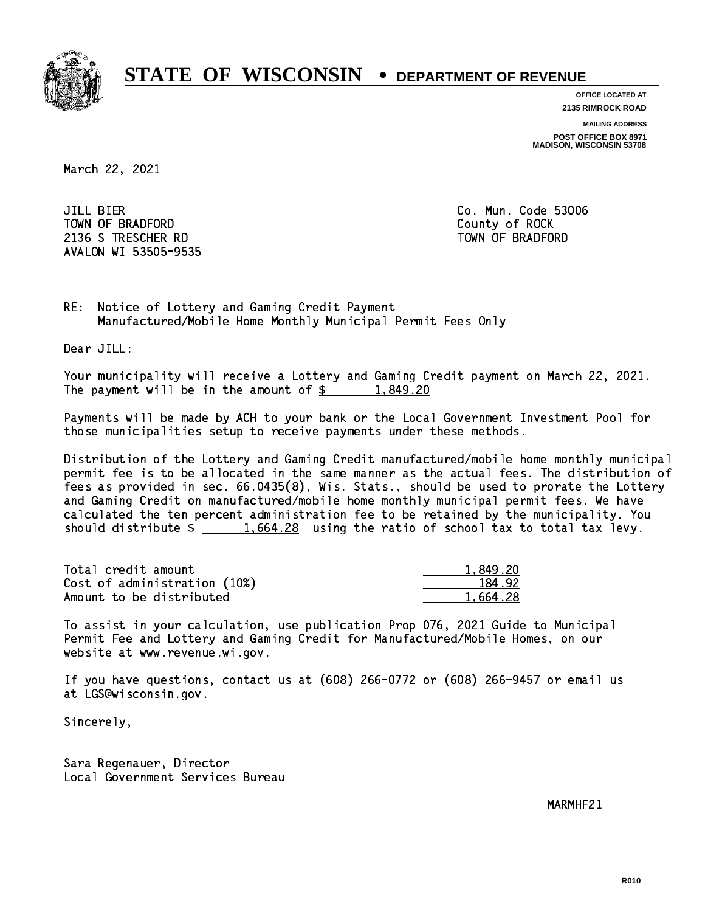

**OFFICE LOCATED AT**

**2135 RIMROCK ROAD**

**MAILING ADDRESS**

**POST OFFICE BOX 8971 MADISON, WISCONSIN 53708**

March 22, 2021

**JILL BIER** TOWN OF BRADFORD **COUNTY COUNTY OF ROCK**  2136 S TRESCHER RD TOWN OF BRADFORD AVALON WI 53505-9535

Co. Mun. Code 53006

RE: Notice of Lottery and Gaming Credit Payment Manufactured/Mobile Home Monthly Municipal Permit Fees Only

Dear JILL:

 Your municipality will receive a Lottery and Gaming Credit payment on March 22, 2021. The payment will be in the amount of  $\frac{2}{3}$  1,849.20

 Payments will be made by ACH to your bank or the Local Government Investment Pool for those municipalities setup to receive payments under these methods.

 Distribution of the Lottery and Gaming Credit manufactured/mobile home monthly municipal permit fee is to be allocated in the same manner as the actual fees. The distribution of fees as provided in sec. 66.0435(8), Wis. Stats., should be used to prorate the Lottery and Gaming Credit on manufactured/mobile home monthly municipal permit fees. We have calculated the ten percent administration fee to be retained by the municipality. You should distribute  $\frac{1.664.28}{1.664.28}$  using the ratio of school tax to total tax levy.

| Total credit amount          | 1.849.20 |
|------------------------------|----------|
| Cost of administration (10%) | 184.92   |
| Amount to be distributed     | 1.664.28 |

 To assist in your calculation, use publication Prop 076, 2021 Guide to Municipal Permit Fee and Lottery and Gaming Credit for Manufactured/Mobile Homes, on our website at www.revenue.wi.gov.

 If you have questions, contact us at (608) 266-0772 or (608) 266-9457 or email us at LGS@wisconsin.gov.

Sincerely,

 Sara Regenauer, Director Local Government Services Bureau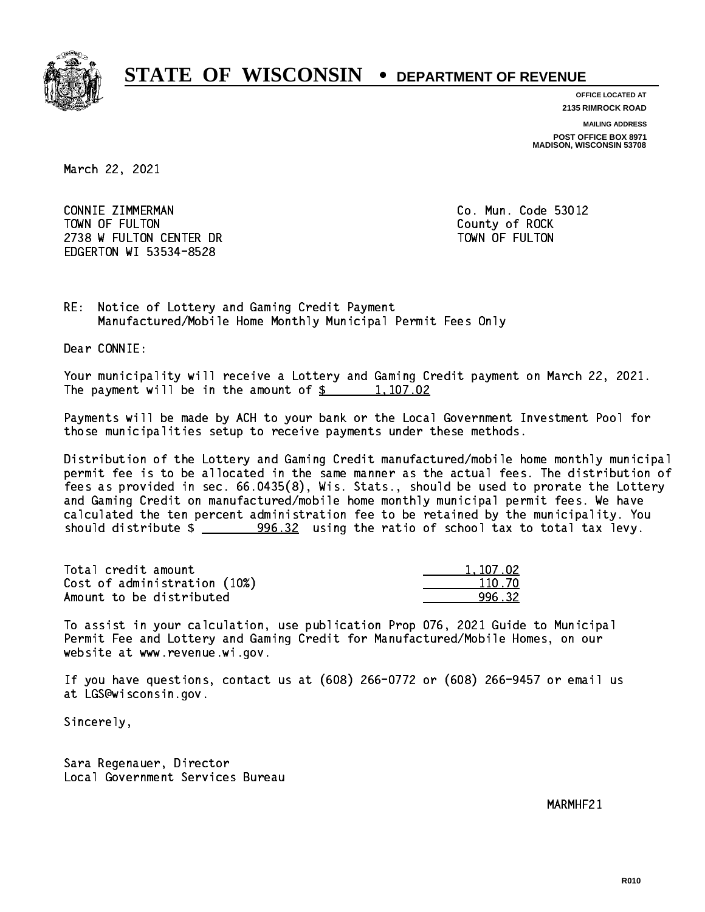

**OFFICE LOCATED AT 2135 RIMROCK ROAD**

**MAILING ADDRESS**

**POST OFFICE BOX 8971 MADISON, WISCONSIN 53708**

March 22, 2021

 CONNIE ZIMMERMAN Co. Mun. Code 53012 TOWN OF FULTON County of ROCK 2738 W FULTON CENTER DR TOWN OF FULTON EDGERTON WI 53534-8528

RE: Notice of Lottery and Gaming Credit Payment Manufactured/Mobile Home Monthly Municipal Permit Fees Only

Dear CONNIE:

 Your municipality will receive a Lottery and Gaming Credit payment on March 22, 2021. The payment will be in the amount of  $\frac{2}{3}$  1,107.02

 Payments will be made by ACH to your bank or the Local Government Investment Pool for those municipalities setup to receive payments under these methods.

 Distribution of the Lottery and Gaming Credit manufactured/mobile home monthly municipal permit fee is to be allocated in the same manner as the actual fees. The distribution of fees as provided in sec. 66.0435(8), Wis. Stats., should be used to prorate the Lottery and Gaming Credit on manufactured/mobile home monthly municipal permit fees. We have calculated the ten percent administration fee to be retained by the municipality. You should distribute \$ 996.32 using the ratio of school tax to total tax levy. \_\_\_\_\_\_\_\_\_\_\_\_\_\_

| Total credit amount          | 1.107.02 |
|------------------------------|----------|
| Cost of administration (10%) | 110.70   |
| Amount to be distributed     | 996 32   |

 To assist in your calculation, use publication Prop 076, 2021 Guide to Municipal Permit Fee and Lottery and Gaming Credit for Manufactured/Mobile Homes, on our website at www.revenue.wi.gov.

 If you have questions, contact us at (608) 266-0772 or (608) 266-9457 or email us at LGS@wisconsin.gov.

Sincerely,

 Sara Regenauer, Director Local Government Services Bureau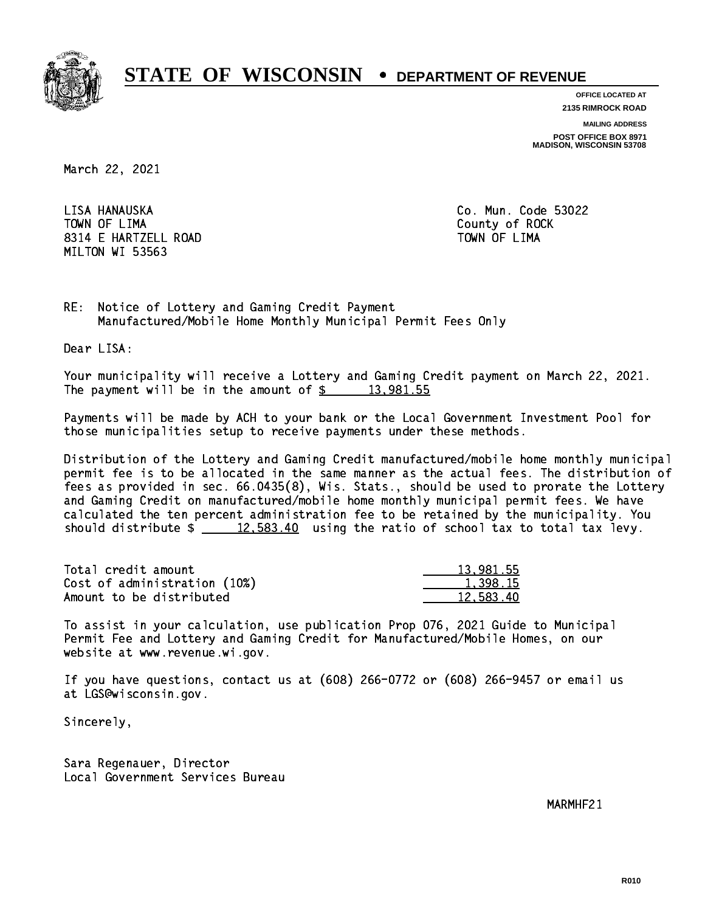

**OFFICE LOCATED AT 2135 RIMROCK ROAD**

**MAILING ADDRESS**

**POST OFFICE BOX 8971 MADISON, WISCONSIN 53708**

March 22, 2021

LISA HANAUSKA TOWN OF LIMA Town of Lima county of Lima county of Rock and the Rock of Rock and the Rock of Rock and the Rock of Rock and 8314 E HARTZELL ROAD TOWN OF LIMA MILTON WI 53563

Co. Mun. Code 53022

RE: Notice of Lottery and Gaming Credit Payment Manufactured/Mobile Home Monthly Municipal Permit Fees Only

Dear LISA:

 Your municipality will receive a Lottery and Gaming Credit payment on March 22, 2021. The payment will be in the amount of  $\frac{2}{3}$  13,981.55

 Payments will be made by ACH to your bank or the Local Government Investment Pool for those municipalities setup to receive payments under these methods.

 Distribution of the Lottery and Gaming Credit manufactured/mobile home monthly municipal permit fee is to be allocated in the same manner as the actual fees. The distribution of fees as provided in sec. 66.0435(8), Wis. Stats., should be used to prorate the Lottery and Gaming Credit on manufactured/mobile home monthly municipal permit fees. We have calculated the ten percent administration fee to be retained by the municipality. You should distribute  $\frac{2}{2}$   $\frac{12,583.40}{2}$  using the ratio of school tax to total tax levy.

| Total credit amount          | 13,981.55 |
|------------------------------|-----------|
| Cost of administration (10%) | 1,398.15  |
| Amount to be distributed     | 12.583.40 |

 To assist in your calculation, use publication Prop 076, 2021 Guide to Municipal Permit Fee and Lottery and Gaming Credit for Manufactured/Mobile Homes, on our website at www.revenue.wi.gov.

 If you have questions, contact us at (608) 266-0772 or (608) 266-9457 or email us at LGS@wisconsin.gov.

Sincerely,

 Sara Regenauer, Director Local Government Services Bureau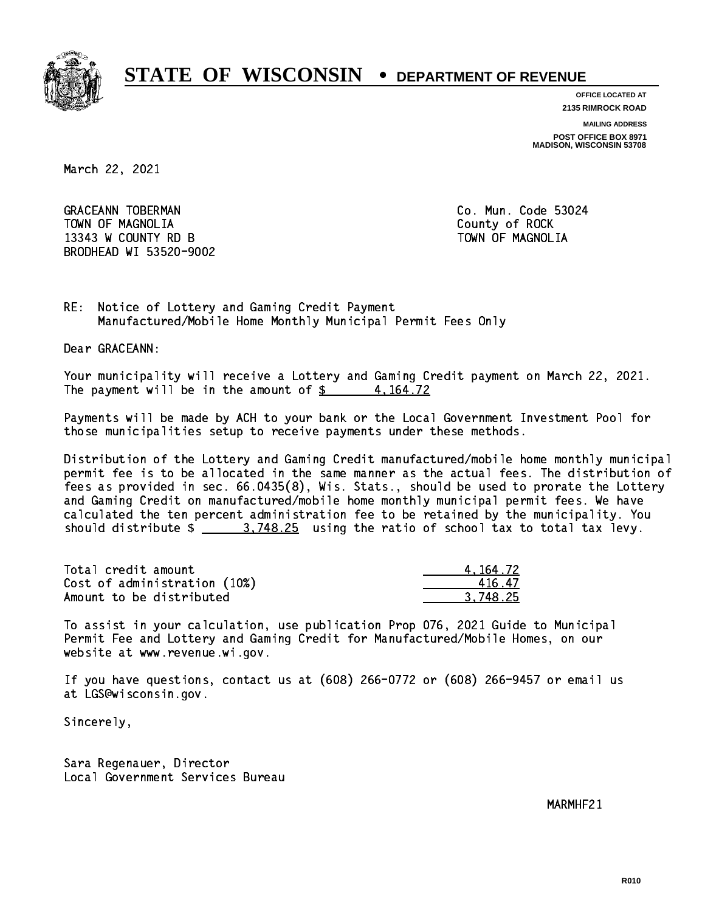

**OFFICE LOCATED AT 2135 RIMROCK ROAD**

**MAILING ADDRESS**

**POST OFFICE BOX 8971 MADISON, WISCONSIN 53708**

March 22, 2021

GRACEANN TOBERMAN CONTROLLER CO. Mun. Code 53024 TOWN OF MAGNOLIA COUNTY OF ROCK 13343 W COUNTY RD B TOWN OF MAGNOLIA BRODHEAD WI 53520-9002

RE: Notice of Lottery and Gaming Credit Payment Manufactured/Mobile Home Monthly Municipal Permit Fees Only

Dear GRACEANN:

 Your municipality will receive a Lottery and Gaming Credit payment on March 22, 2021. The payment will be in the amount of  $\frac{2}{3}$  4,164.72

 Payments will be made by ACH to your bank or the Local Government Investment Pool for those municipalities setup to receive payments under these methods.

 Distribution of the Lottery and Gaming Credit manufactured/mobile home monthly municipal permit fee is to be allocated in the same manner as the actual fees. The distribution of fees as provided in sec. 66.0435(8), Wis. Stats., should be used to prorate the Lottery and Gaming Credit on manufactured/mobile home monthly municipal permit fees. We have calculated the ten percent administration fee to be retained by the municipality. You should distribute  $\frac{25}{25}$  using the ratio of school tax to total tax levy.

| Total credit amount          | 4.164.72 |
|------------------------------|----------|
| Cost of administration (10%) | 41647    |
| Amount to be distributed     | 3.748.25 |

 To assist in your calculation, use publication Prop 076, 2021 Guide to Municipal Permit Fee and Lottery and Gaming Credit for Manufactured/Mobile Homes, on our website at www.revenue.wi.gov.

 If you have questions, contact us at (608) 266-0772 or (608) 266-9457 or email us at LGS@wisconsin.gov.

Sincerely,

 Sara Regenauer, Director Local Government Services Bureau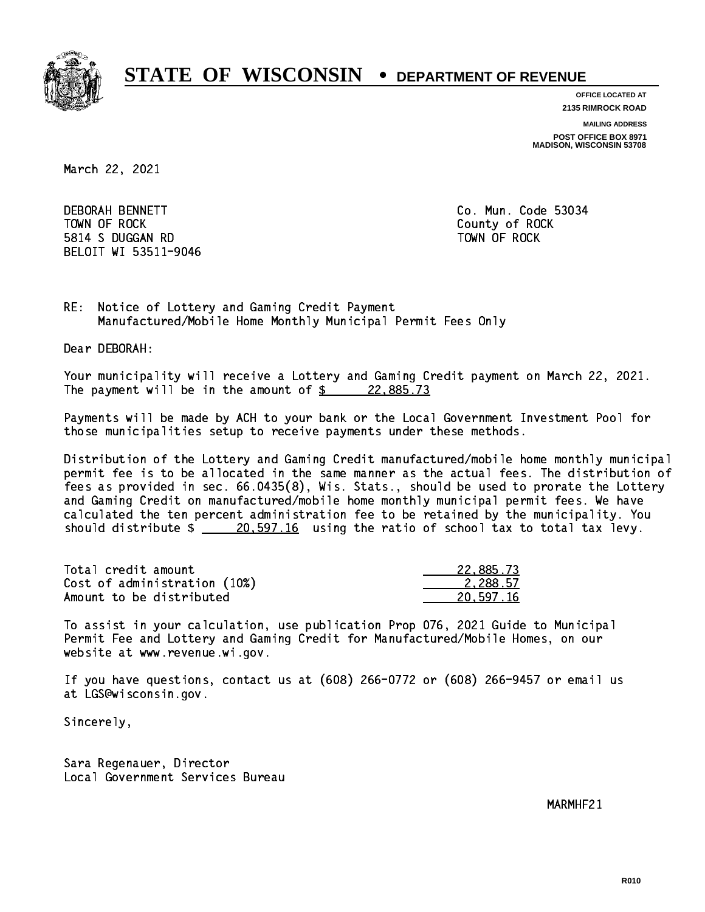

**OFFICE LOCATED AT**

**2135 RIMROCK ROAD**

**MAILING ADDRESS**

**POST OFFICE BOX 8971 MADISON, WISCONSIN 53708**

March 22, 2021

**DEBORAH BENNETT**  TOWN OF ROCK County of ROCK 5814 S DUGGAN RD TOWN OF ROCK BELOIT WI 53511-9046

Co. Mun. Code 53034

RE: Notice of Lottery and Gaming Credit Payment Manufactured/Mobile Home Monthly Municipal Permit Fees Only

Dear DEBORAH:

 Your municipality will receive a Lottery and Gaming Credit payment on March 22, 2021. The payment will be in the amount of  $\frac{22,885.73}{22,885.73}$ 

 Payments will be made by ACH to your bank or the Local Government Investment Pool for those municipalities setup to receive payments under these methods.

 Distribution of the Lottery and Gaming Credit manufactured/mobile home monthly municipal permit fee is to be allocated in the same manner as the actual fees. The distribution of fees as provided in sec. 66.0435(8), Wis. Stats., should be used to prorate the Lottery and Gaming Credit on manufactured/mobile home monthly municipal permit fees. We have calculated the ten percent administration fee to be retained by the municipality. You should distribute  $\frac{20.597.16}{20.597.16}$  using the ratio of school tax to total tax levy.

| Total credit amount          | 22,885.73 |
|------------------------------|-----------|
| Cost of administration (10%) | 2.288.57  |
| Amount to be distributed     | 20,597.16 |

 To assist in your calculation, use publication Prop 076, 2021 Guide to Municipal Permit Fee and Lottery and Gaming Credit for Manufactured/Mobile Homes, on our website at www.revenue.wi.gov.

 If you have questions, contact us at (608) 266-0772 or (608) 266-9457 or email us at LGS@wisconsin.gov.

Sincerely,

 Sara Regenauer, Director Local Government Services Bureau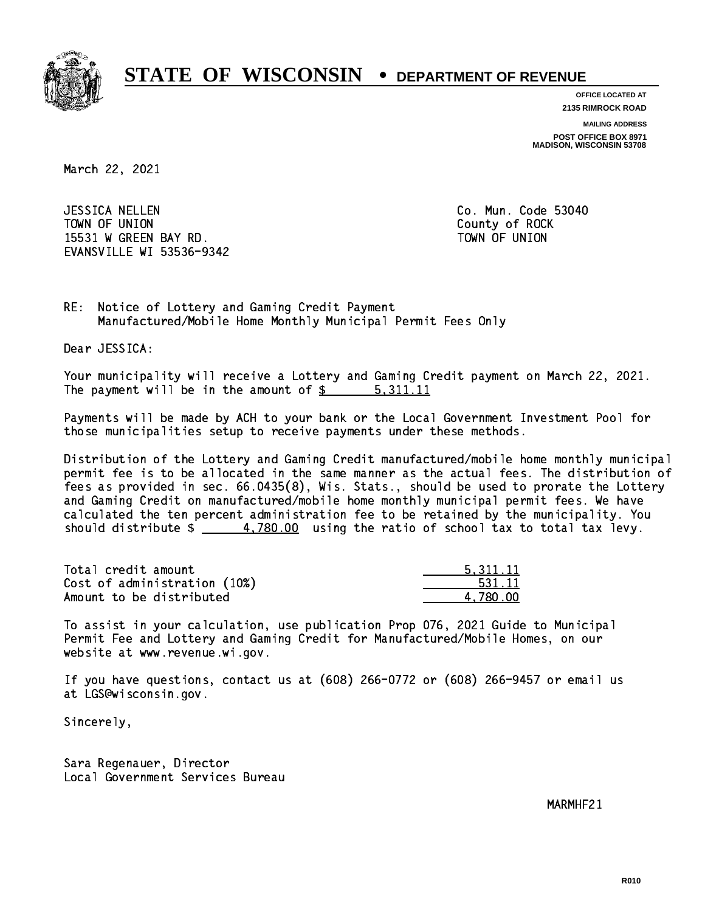

**OFFICE LOCATED AT 2135 RIMROCK ROAD**

**MAILING ADDRESS**

**POST OFFICE BOX 8971 MADISON, WISCONSIN 53708**

March 22, 2021

 JESSICA NELLEN Co. Mun. Code 53040 TOWN OF UNION COUNTY OF ROCK 15531 W GREEN BAY RD. TOWN OF UNION EVANSVILLE WI 53536-9342

RE: Notice of Lottery and Gaming Credit Payment Manufactured/Mobile Home Monthly Municipal Permit Fees Only

Dear JESSICA:

 Your municipality will receive a Lottery and Gaming Credit payment on March 22, 2021. The payment will be in the amount of \$ 5,311.11 \_\_\_\_\_\_\_\_\_\_\_\_\_\_\_\_

 Payments will be made by ACH to your bank or the Local Government Investment Pool for those municipalities setup to receive payments under these methods.

 Distribution of the Lottery and Gaming Credit manufactured/mobile home monthly municipal permit fee is to be allocated in the same manner as the actual fees. The distribution of fees as provided in sec. 66.0435(8), Wis. Stats., should be used to prorate the Lottery and Gaming Credit on manufactured/mobile home monthly municipal permit fees. We have calculated the ten percent administration fee to be retained by the municipality. You should distribute  $\frac{2}{1}$   $\frac{4,780.00}{2}$  using the ratio of school tax to total tax levy.

| Total credit amount          | 5.311.11 |
|------------------------------|----------|
| Cost of administration (10%) | 531.11   |
| Amount to be distributed     | 4.780.00 |

 To assist in your calculation, use publication Prop 076, 2021 Guide to Municipal Permit Fee and Lottery and Gaming Credit for Manufactured/Mobile Homes, on our website at www.revenue.wi.gov.

 If you have questions, contact us at (608) 266-0772 or (608) 266-9457 or email us at LGS@wisconsin.gov.

Sincerely,

 Sara Regenauer, Director Local Government Services Bureau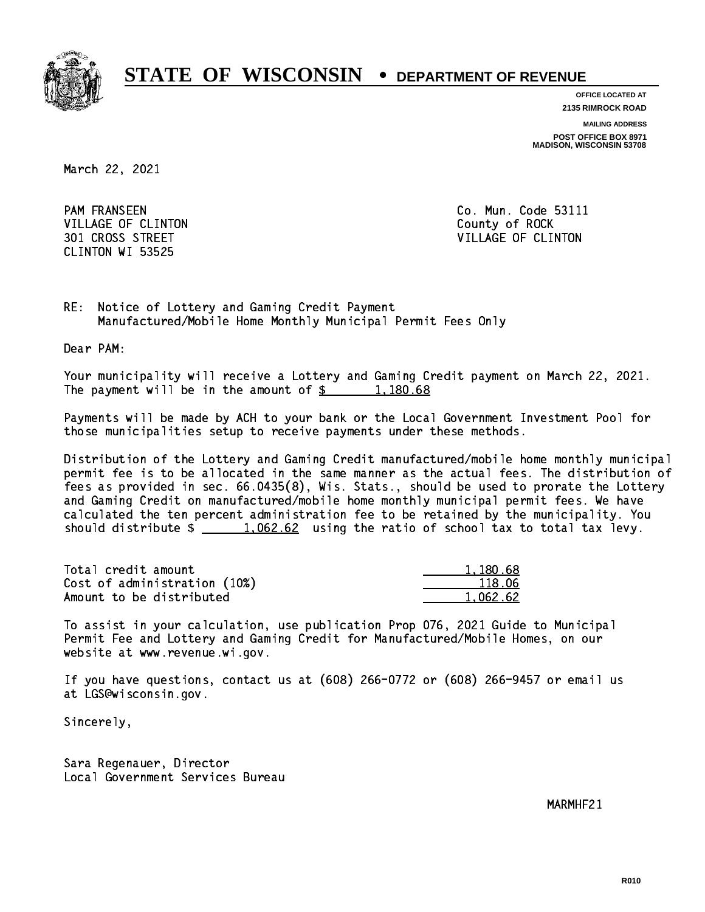

**OFFICE LOCATED AT**

**2135 RIMROCK ROAD**

**MAILING ADDRESS POST OFFICE BOX 8971 MADISON, WISCONSIN 53708**

March 22, 2021

**PAM FRANSEEN** VILLAGE OF CLINTON COUNTY OF ROCK CLINTON WI 53525

Co. Mun. Code 53111 301 CROSS STREET VILLAGE OF CLINTON

RE: Notice of Lottery and Gaming Credit Payment Manufactured/Mobile Home Monthly Municipal Permit Fees Only

Dear PAM:

 Your municipality will receive a Lottery and Gaming Credit payment on March 22, 2021. The payment will be in the amount of  $\frac{2}{3}$  1,180.68

 Payments will be made by ACH to your bank or the Local Government Investment Pool for those municipalities setup to receive payments under these methods.

 Distribution of the Lottery and Gaming Credit manufactured/mobile home monthly municipal permit fee is to be allocated in the same manner as the actual fees. The distribution of fees as provided in sec. 66.0435(8), Wis. Stats., should be used to prorate the Lottery and Gaming Credit on manufactured/mobile home monthly municipal permit fees. We have calculated the ten percent administration fee to be retained by the municipality. You should distribute  $\frac{1.062.62}{1.062.62}$  using the ratio of school tax to total tax levy.

| Total credit amount          | 1,180.68 |
|------------------------------|----------|
| Cost of administration (10%) | 118.06   |
| Amount to be distributed     | 1.062.62 |

 To assist in your calculation, use publication Prop 076, 2021 Guide to Municipal Permit Fee and Lottery and Gaming Credit for Manufactured/Mobile Homes, on our website at www.revenue.wi.gov.

 If you have questions, contact us at (608) 266-0772 or (608) 266-9457 or email us at LGS@wisconsin.gov.

Sincerely,

 Sara Regenauer, Director Local Government Services Bureau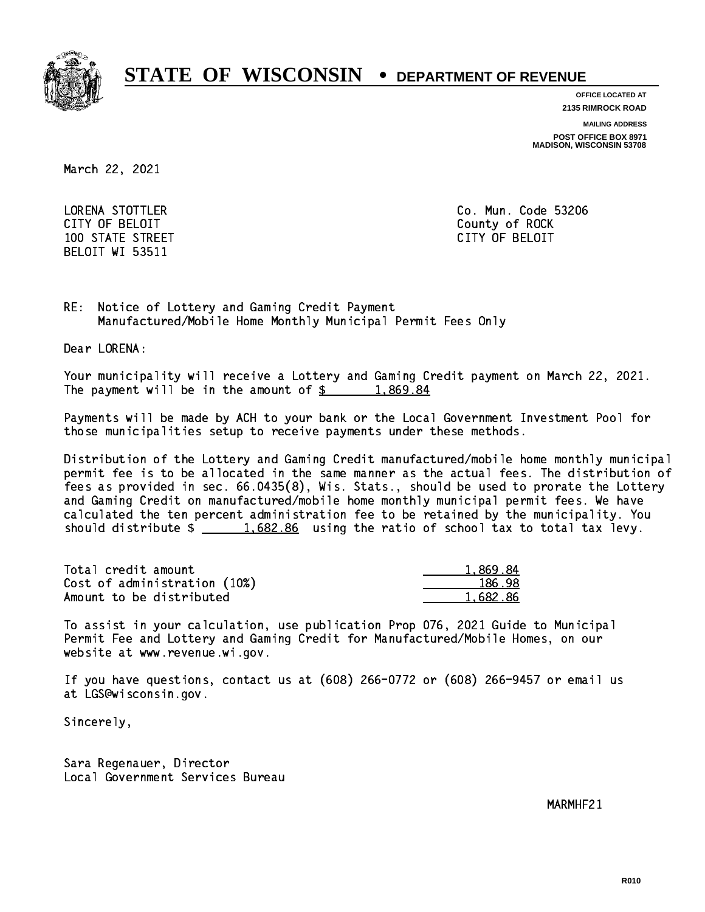

**OFFICE LOCATED AT**

**2135 RIMROCK ROAD**

**MAILING ADDRESS**

**POST OFFICE BOX 8971 MADISON, WISCONSIN 53708**

March 22, 2021

 LORENA STOTTLER Co. Mun. Code 53206 CITY OF BELOIT County of ROCK 100 STATE STREET CITY OF BELOIT BELOIT WI 53511

RE: Notice of Lottery and Gaming Credit Payment Manufactured/Mobile Home Monthly Municipal Permit Fees Only

Dear LORENA:

 Your municipality will receive a Lottery and Gaming Credit payment on March 22, 2021. The payment will be in the amount of  $\frac{2}{3}$  1,869.84

 Payments will be made by ACH to your bank or the Local Government Investment Pool for those municipalities setup to receive payments under these methods.

 Distribution of the Lottery and Gaming Credit manufactured/mobile home monthly municipal permit fee is to be allocated in the same manner as the actual fees. The distribution of fees as provided in sec. 66.0435(8), Wis. Stats., should be used to prorate the Lottery and Gaming Credit on manufactured/mobile home monthly municipal permit fees. We have calculated the ten percent administration fee to be retained by the municipality. You should distribute  $\frac{1.682.86}{1.682.86}$  using the ratio of school tax to total tax levy.

| Total credit amount          | 1.869.84 |
|------------------------------|----------|
| Cost of administration (10%) | 186.98   |
| Amount to be distributed     | 1.682.86 |

 To assist in your calculation, use publication Prop 076, 2021 Guide to Municipal Permit Fee and Lottery and Gaming Credit for Manufactured/Mobile Homes, on our website at www.revenue.wi.gov.

 If you have questions, contact us at (608) 266-0772 or (608) 266-9457 or email us at LGS@wisconsin.gov.

Sincerely,

 Sara Regenauer, Director Local Government Services Bureau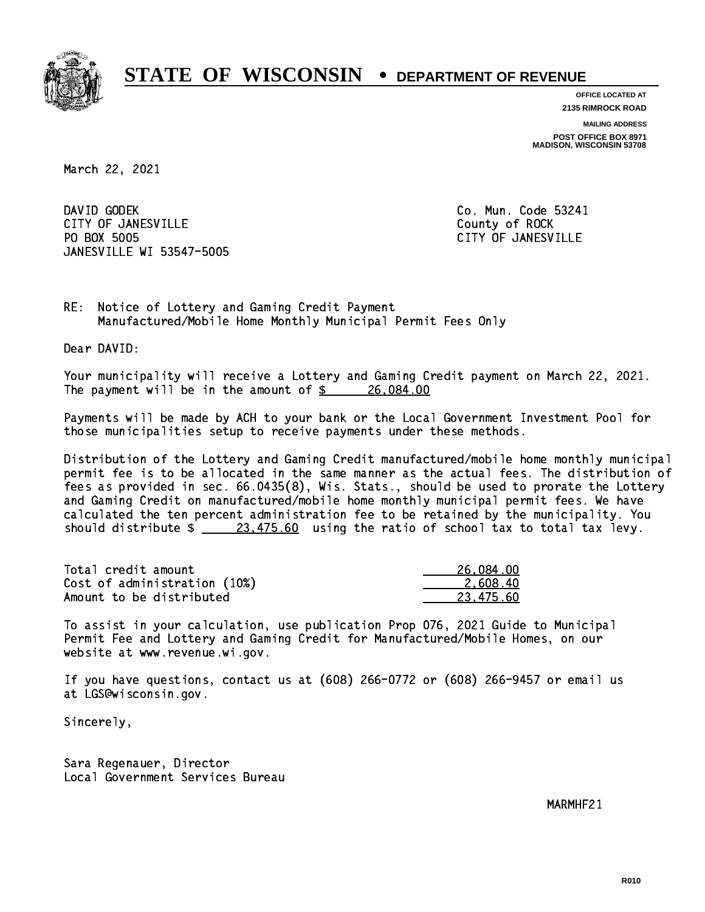

**OFFICE LOCATED AT 2135 RIMROCK ROAD**

**MAILING ADDRESS**

**POST OFFICE BOX 8971 MADISON, WISCONSIN 53708**

March 22, 2021

DAVID GODEK CITY OF JANESVILLE **COUNTY COUNTY OF ROCK** PO BOX 5005 JANESVILLE WI 53547-5005

Co. Mun. Code 53241 CITY OF JANESVILLE

RE: Notice of Lottery and Gaming Credit Payment Manufactured/Mobile Home Monthly Municipal Permit Fees Only

Dear DAVID:

 Your municipality will receive a Lottery and Gaming Credit payment on March 22, 2021. The payment will be in the amount of  $\frac{26,084.00}{26,084.00}$ 

 Payments will be made by ACH to your bank or the Local Government Investment Pool for those municipalities setup to receive payments under these methods.

 Distribution of the Lottery and Gaming Credit manufactured/mobile home monthly municipal permit fee is to be allocated in the same manner as the actual fees. The distribution of fees as provided in sec. 66.0435(8), Wis. Stats., should be used to prorate the Lottery and Gaming Credit on manufactured/mobile home monthly municipal permit fees. We have calculated the ten percent administration fee to be retained by the municipality. You should distribute  $\frac{23,475.60}{23,475.60}$  using the ratio of school tax to total tax levy.

| Total credit amount          | 26,084.00 |
|------------------------------|-----------|
| Cost of administration (10%) | 2.608.40  |
| Amount to be distributed     | 23.475.60 |

 To assist in your calculation, use publication Prop 076, 2021 Guide to Municipal Permit Fee and Lottery and Gaming Credit for Manufactured/Mobile Homes, on our website at www.revenue.wi.gov.

 If you have questions, contact us at (608) 266-0772 or (608) 266-9457 or email us at LGS@wisconsin.gov.

Sincerely,

 Sara Regenauer, Director Local Government Services Bureau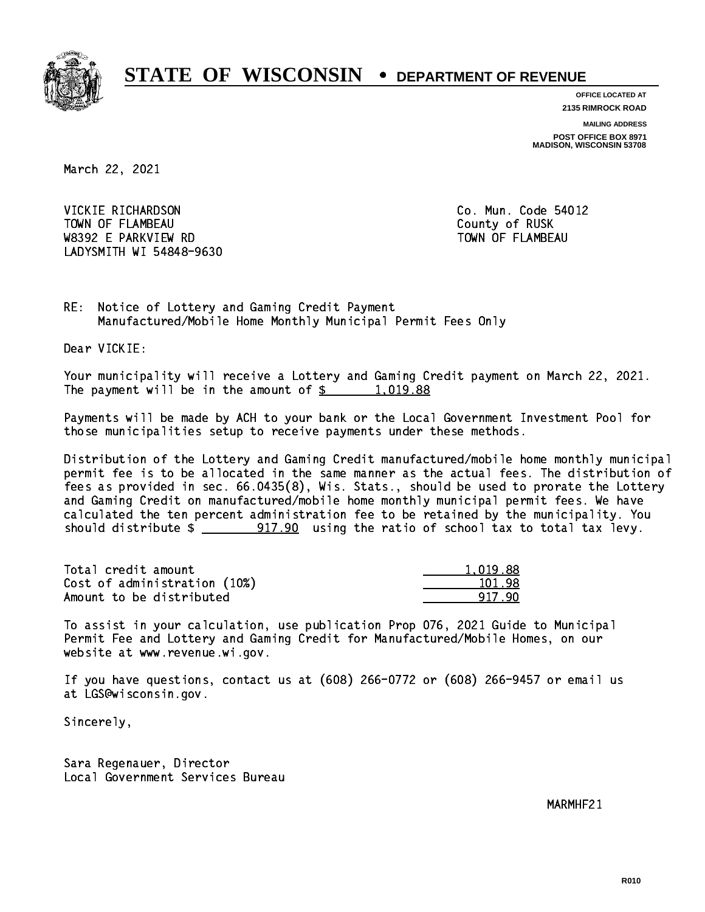

**OFFICE LOCATED AT 2135 RIMROCK ROAD**

**MAILING ADDRESS**

**POST OFFICE BOX 8971 MADISON, WISCONSIN 53708**

March 22, 2021

VICKIE RICHARDSON TOWN OF FLAMBEAU COUNTY OF RUSK W8392 E PARKVIEW RD TOWN OF FLAMBEAU LADYSMITH WI 54848-9630

Co. Mun. Code 54012

RE: Notice of Lottery and Gaming Credit Payment Manufactured/Mobile Home Monthly Municipal Permit Fees Only

Dear VICKIE:

 Your municipality will receive a Lottery and Gaming Credit payment on March 22, 2021. The payment will be in the amount of  $\frac{2}{3}$  1,019.88

 Payments will be made by ACH to your bank or the Local Government Investment Pool for those municipalities setup to receive payments under these methods.

 Distribution of the Lottery and Gaming Credit manufactured/mobile home monthly municipal permit fee is to be allocated in the same manner as the actual fees. The distribution of fees as provided in sec. 66.0435(8), Wis. Stats., should be used to prorate the Lottery and Gaming Credit on manufactured/mobile home monthly municipal permit fees. We have calculated the ten percent administration fee to be retained by the municipality. You should distribute  $\frac{2}{2}$   $\frac{917.90}{2}$  using the ratio of school tax to total tax levy.

| Total credit amount          | 1.019.88 |
|------------------------------|----------|
| Cost of administration (10%) | 101.98   |
| Amount to be distributed     | 917 90   |

 To assist in your calculation, use publication Prop 076, 2021 Guide to Municipal Permit Fee and Lottery and Gaming Credit for Manufactured/Mobile Homes, on our website at www.revenue.wi.gov.

 If you have questions, contact us at (608) 266-0772 or (608) 266-9457 or email us at LGS@wisconsin.gov.

Sincerely,

 Sara Regenauer, Director Local Government Services Bureau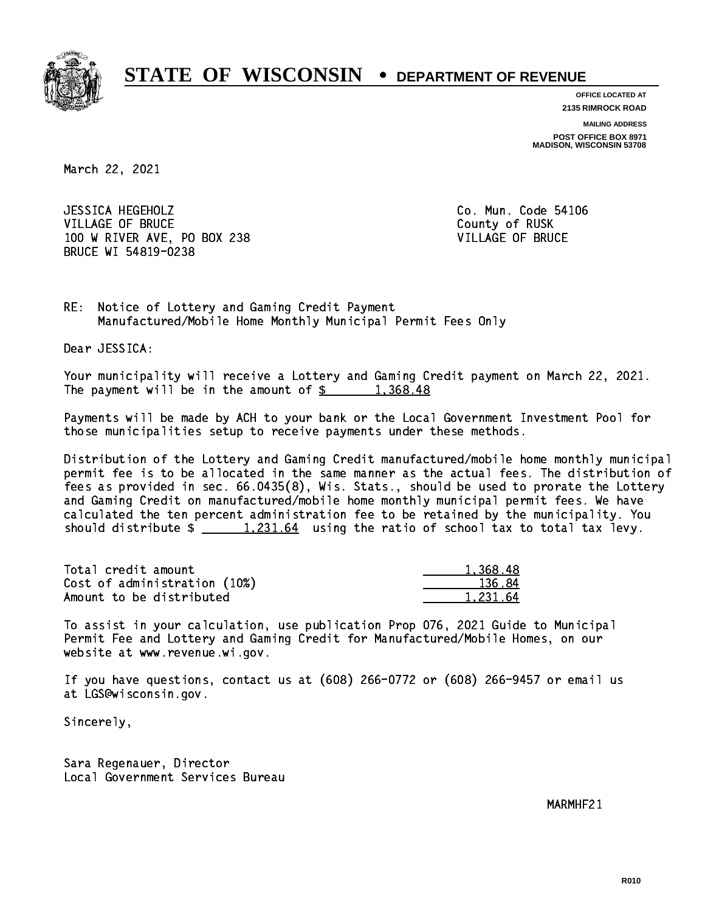

**OFFICE LOCATED AT 2135 RIMROCK ROAD**

**MAILING ADDRESS**

**POST OFFICE BOX 8971 MADISON, WISCONSIN 53708**

March 22, 2021

 JESSICA HEGEHOLZ Co. Mun. Code 54106 VILLAGE OF BRUCE COUNTY OF RUSK 100 W RIVER AVE, PO BOX 238 VILLAGE OF BRUCE BRUCE WI 54819-0238

RE: Notice of Lottery and Gaming Credit Payment Manufactured/Mobile Home Monthly Municipal Permit Fees Only

Dear JESSICA:

 Your municipality will receive a Lottery and Gaming Credit payment on March 22, 2021. The payment will be in the amount of  $\frac{2}{3}$  1,368.48

 Payments will be made by ACH to your bank or the Local Government Investment Pool for those municipalities setup to receive payments under these methods.

 Distribution of the Lottery and Gaming Credit manufactured/mobile home monthly municipal permit fee is to be allocated in the same manner as the actual fees. The distribution of fees as provided in sec. 66.0435(8), Wis. Stats., should be used to prorate the Lottery and Gaming Credit on manufactured/mobile home monthly municipal permit fees. We have calculated the ten percent administration fee to be retained by the municipality. You should distribute  $\frac{1,231.64}{1,231.64}$  using the ratio of school tax to total tax levy.

| Total credit amount          | 1.368.48 |
|------------------------------|----------|
| Cost of administration (10%) | 136.84   |
| Amount to be distributed     | 1.231.64 |

 To assist in your calculation, use publication Prop 076, 2021 Guide to Municipal Permit Fee and Lottery and Gaming Credit for Manufactured/Mobile Homes, on our website at www.revenue.wi.gov.

 If you have questions, contact us at (608) 266-0772 or (608) 266-9457 or email us at LGS@wisconsin.gov.

Sincerely,

 Sara Regenauer, Director Local Government Services Bureau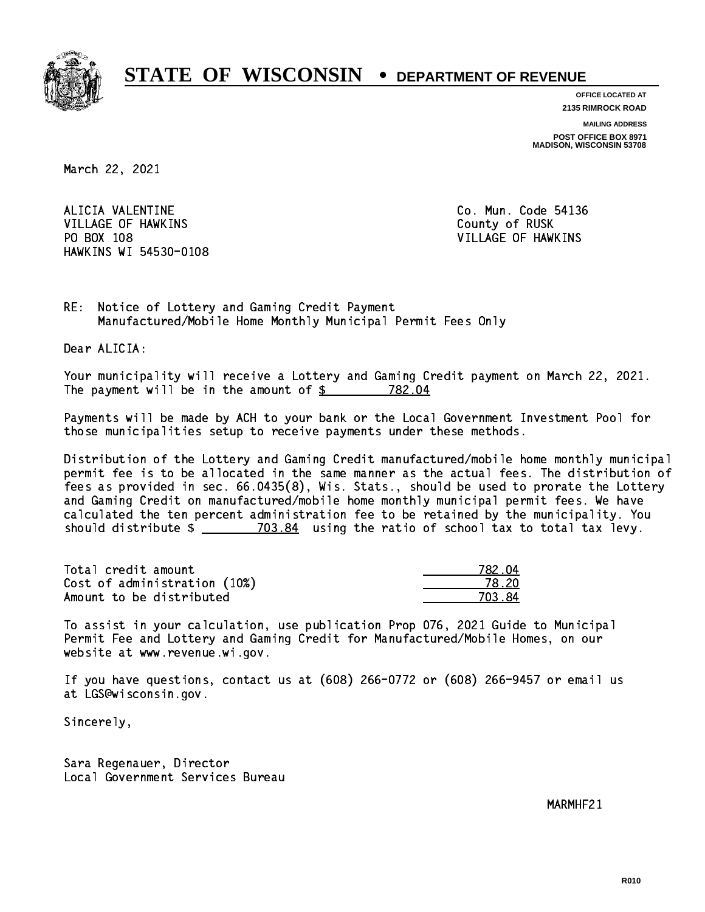

**OFFICE LOCATED AT 2135 RIMROCK ROAD**

**MAILING ADDRESS**

**POST OFFICE BOX 8971 MADISON, WISCONSIN 53708**

March 22, 2021

ALICIA VALENTINE VILLAGE OF HAWKINS **COUNTY OF RUSK**  PO BOX 108 VILLAGE OF HAWKINS HAWKINS WI 54530-0108

Co. Mun. Code 54136

RE: Notice of Lottery and Gaming Credit Payment Manufactured/Mobile Home Monthly Municipal Permit Fees Only

Dear ALICIA:

 Your municipality will receive a Lottery and Gaming Credit payment on March 22, 2021. The payment will be in the amount of \$ 782.04 \_\_\_\_\_\_\_\_\_\_\_\_\_\_\_\_

 Payments will be made by ACH to your bank or the Local Government Investment Pool for those municipalities setup to receive payments under these methods.

 Distribution of the Lottery and Gaming Credit manufactured/mobile home monthly municipal permit fee is to be allocated in the same manner as the actual fees. The distribution of fees as provided in sec. 66.0435(8), Wis. Stats., should be used to prorate the Lottery and Gaming Credit on manufactured/mobile home monthly municipal permit fees. We have calculated the ten percent administration fee to be retained by the municipality. You should distribute  $\frac{2}{2}$   $\frac{703.84}{2}$  using the ratio of school tax to total tax levy.

Total credit amount Cost of administration (10%) Amount to be distributed

| 82.04      |
|------------|
| ≀ 2N       |
| 03.84<br>7 |

 To assist in your calculation, use publication Prop 076, 2021 Guide to Municipal Permit Fee and Lottery and Gaming Credit for Manufactured/Mobile Homes, on our website at www.revenue.wi.gov.

 If you have questions, contact us at (608) 266-0772 or (608) 266-9457 or email us at LGS@wisconsin.gov.

Sincerely,

 Sara Regenauer, Director Local Government Services Bureau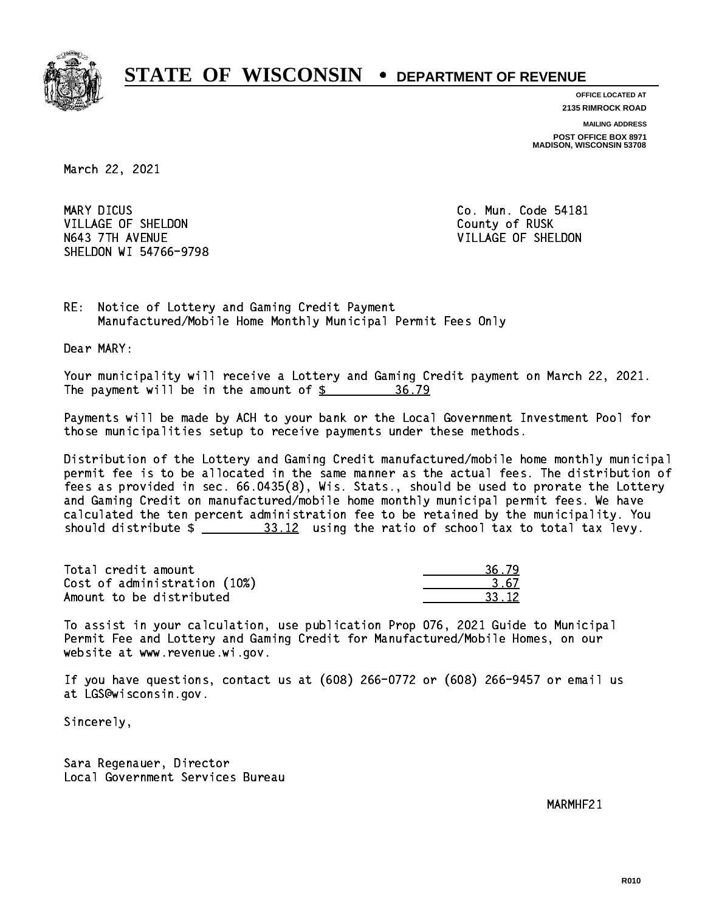

**OFFICE LOCATED AT 2135 RIMROCK ROAD**

**MAILING ADDRESS**

**POST OFFICE BOX 8971 MADISON, WISCONSIN 53708**

March 22, 2021

MARY DICUS VILLAGE OF SHELDON COUNTY OF RUSK N643 7TH AVENUE VILLAGE OF SHELDON SHELDON WI 54766-9798

Co. Mun. Code 54181

RE: Notice of Lottery and Gaming Credit Payment Manufactured/Mobile Home Monthly Municipal Permit Fees Only

Dear MARY:

 Your municipality will receive a Lottery and Gaming Credit payment on March 22, 2021. The payment will be in the amount of  $\frac{25}{5}$ 36.79

 Payments will be made by ACH to your bank or the Local Government Investment Pool for those municipalities setup to receive payments under these methods.

 Distribution of the Lottery and Gaming Credit manufactured/mobile home monthly municipal permit fee is to be allocated in the same manner as the actual fees. The distribution of fees as provided in sec. 66.0435(8), Wis. Stats., should be used to prorate the Lottery and Gaming Credit on manufactured/mobile home monthly municipal permit fees. We have calculated the ten percent administration fee to be retained by the municipality. You should distribute  $\frac{23.12}{212}$  using the ratio of school tax to total tax levy.

Total credit amount Cost of administration (10%) Amount to be distributed

| 12. |
|-----|

 To assist in your calculation, use publication Prop 076, 2021 Guide to Municipal Permit Fee and Lottery and Gaming Credit for Manufactured/Mobile Homes, on our website at www.revenue.wi.gov.

 If you have questions, contact us at (608) 266-0772 or (608) 266-9457 or email us at LGS@wisconsin.gov.

Sincerely,

 Sara Regenauer, Director Local Government Services Bureau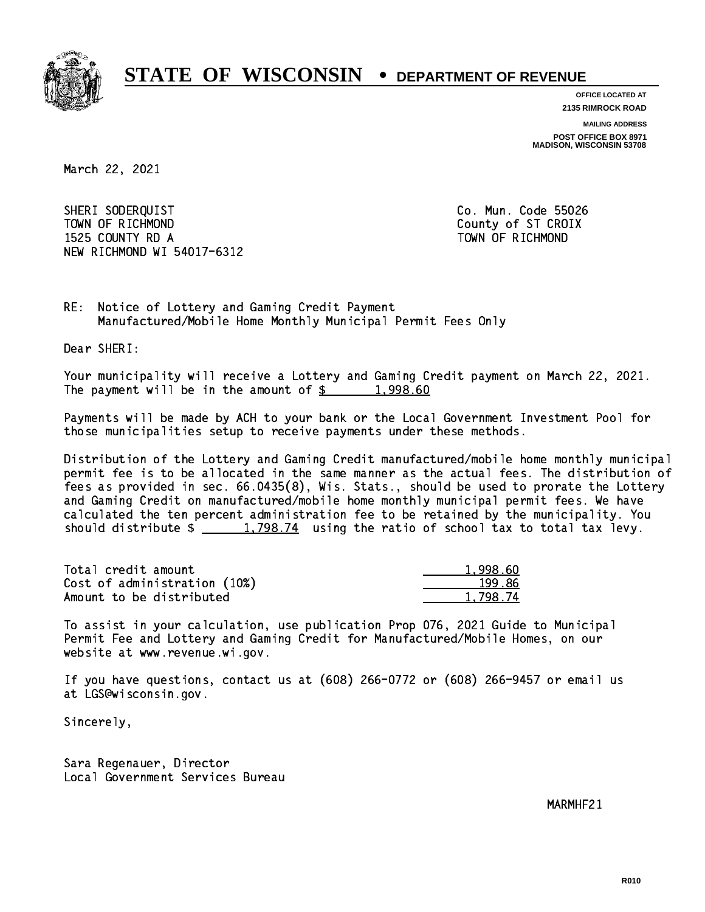

**OFFICE LOCATED AT**

**2135 RIMROCK ROAD**

**MAILING ADDRESS**

**POST OFFICE BOX 8971 MADISON, WISCONSIN 53708**

March 22, 2021

 SHERI SODERQUIST Co. Mun. Code 55026 TOWN OF RICHMOND COUNTY COUNTY OF ST CROIX 1525 COUNTY RD A TOWN OF RICHMOND NEW RICHMOND WI 54017-6312

RE: Notice of Lottery and Gaming Credit Payment Manufactured/Mobile Home Monthly Municipal Permit Fees Only

Dear SHERI:

 Your municipality will receive a Lottery and Gaming Credit payment on March 22, 2021. The payment will be in the amount of  $\frac{2}{3}$  1,998.60

 Payments will be made by ACH to your bank or the Local Government Investment Pool for those municipalities setup to receive payments under these methods.

 Distribution of the Lottery and Gaming Credit manufactured/mobile home monthly municipal permit fee is to be allocated in the same manner as the actual fees. The distribution of fees as provided in sec. 66.0435(8), Wis. Stats., should be used to prorate the Lottery and Gaming Credit on manufactured/mobile home monthly municipal permit fees. We have calculated the ten percent administration fee to be retained by the municipality. You should distribute  $\frac{2}{1,798.74}$  using the ratio of school tax to total tax levy.

| Total credit amount          | 1.998.60 |
|------------------------------|----------|
| Cost of administration (10%) | 199.86   |
| Amount to be distributed     | 1.798.74 |

 To assist in your calculation, use publication Prop 076, 2021 Guide to Municipal Permit Fee and Lottery and Gaming Credit for Manufactured/Mobile Homes, on our website at www.revenue.wi.gov.

 If you have questions, contact us at (608) 266-0772 or (608) 266-9457 or email us at LGS@wisconsin.gov.

Sincerely,

 Sara Regenauer, Director Local Government Services Bureau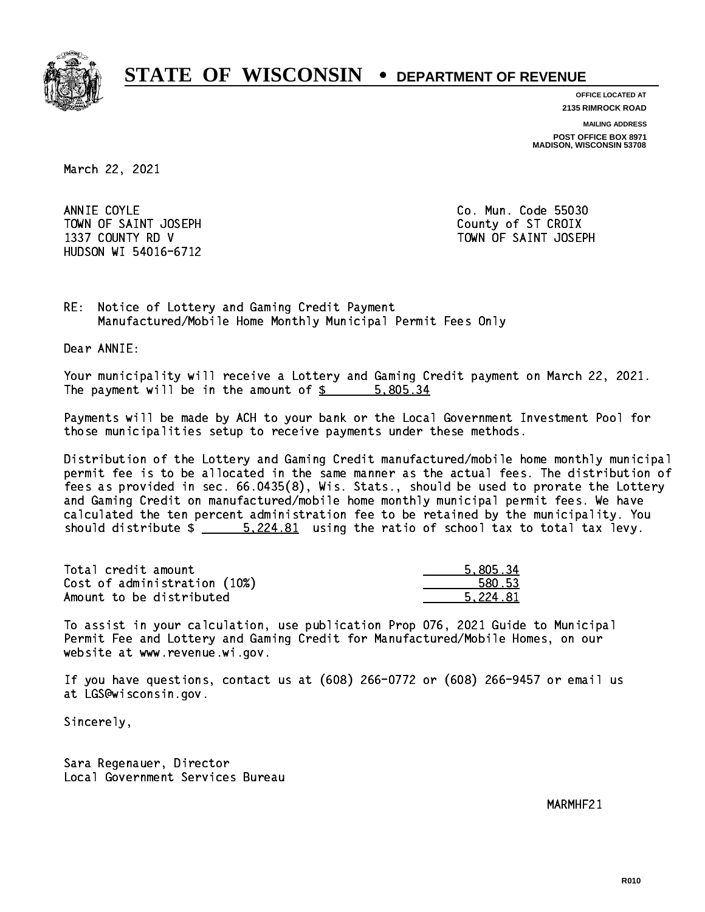

**OFFICE LOCATED AT**

**2135 RIMROCK ROAD**

**MAILING ADDRESS**

**POST OFFICE BOX 8971 MADISON, WISCONSIN 53708**

March 22, 2021

ANNIE COYLE TOWN OF SAINT JOSEPH COUNTY OF STICROIX HUDSON WI 54016-6712

Co. Mun. Code 55030 1337 COUNTY RD V TOWN OF SAINT JOSEPH

RE: Notice of Lottery and Gaming Credit Payment Manufactured/Mobile Home Monthly Municipal Permit Fees Only

Dear ANNIE:

 Your municipality will receive a Lottery and Gaming Credit payment on March 22, 2021. The payment will be in the amount of \$ 5,805.34 \_\_\_\_\_\_\_\_\_\_\_\_\_\_\_\_

 Payments will be made by ACH to your bank or the Local Government Investment Pool for those municipalities setup to receive payments under these methods.

 Distribution of the Lottery and Gaming Credit manufactured/mobile home monthly municipal permit fee is to be allocated in the same manner as the actual fees. The distribution of fees as provided in sec. 66.0435(8), Wis. Stats., should be used to prorate the Lottery and Gaming Credit on manufactured/mobile home monthly municipal permit fees. We have calculated the ten percent administration fee to be retained by the municipality. You should distribute  $\frac{2.224.81}{2}$  using the ratio of school tax to total tax levy.

| Total credit amount          | 5.805.34 |
|------------------------------|----------|
| Cost of administration (10%) | 580.53   |
| Amount to be distributed     | 5.224.81 |

 To assist in your calculation, use publication Prop 076, 2021 Guide to Municipal Permit Fee and Lottery and Gaming Credit for Manufactured/Mobile Homes, on our website at www.revenue.wi.gov.

 If you have questions, contact us at (608) 266-0772 or (608) 266-9457 or email us at LGS@wisconsin.gov.

Sincerely,

 Sara Regenauer, Director Local Government Services Bureau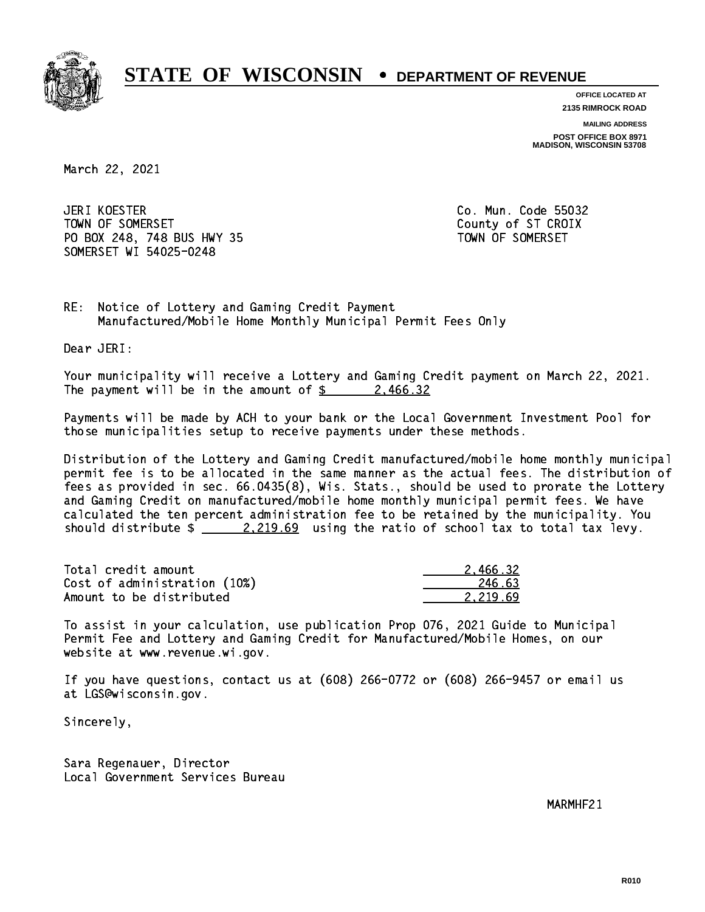

**OFFICE LOCATED AT**

**2135 RIMROCK ROAD**

**MAILING ADDRESS POST OFFICE BOX 8971 MADISON, WISCONSIN 53708**

March 22, 2021

JERI KOESTER TOWN OF SOMERSET COUNTY OF STATES COUNTY OF STATES OF STATES OF STATES OF STATES OF STATES OF STATES OF STATES PO BOX 248, 748 BUS HWY 35 TOWN OF SOMERSET SOMERSET WI 54025-0248

Co. Mun. Code 55032

RE: Notice of Lottery and Gaming Credit Payment Manufactured/Mobile Home Monthly Municipal Permit Fees Only

Dear JERI:

 Your municipality will receive a Lottery and Gaming Credit payment on March 22, 2021. The payment will be in the amount of  $\frac{2}{3}$  2,466.32

 Payments will be made by ACH to your bank or the Local Government Investment Pool for those municipalities setup to receive payments under these methods.

 Distribution of the Lottery and Gaming Credit manufactured/mobile home monthly municipal permit fee is to be allocated in the same manner as the actual fees. The distribution of fees as provided in sec. 66.0435(8), Wis. Stats., should be used to prorate the Lottery and Gaming Credit on manufactured/mobile home monthly municipal permit fees. We have calculated the ten percent administration fee to be retained by the municipality. You should distribute  $\frac{2.219.69}{2.219.69}$  using the ratio of school tax to total tax levy.

| Total credit amount          | 2.466.32 |
|------------------------------|----------|
| Cost of administration (10%) | 246.63   |
| Amount to be distributed     | 2.219.69 |

 To assist in your calculation, use publication Prop 076, 2021 Guide to Municipal Permit Fee and Lottery and Gaming Credit for Manufactured/Mobile Homes, on our website at www.revenue.wi.gov.

 If you have questions, contact us at (608) 266-0772 or (608) 266-9457 or email us at LGS@wisconsin.gov.

Sincerely,

 Sara Regenauer, Director Local Government Services Bureau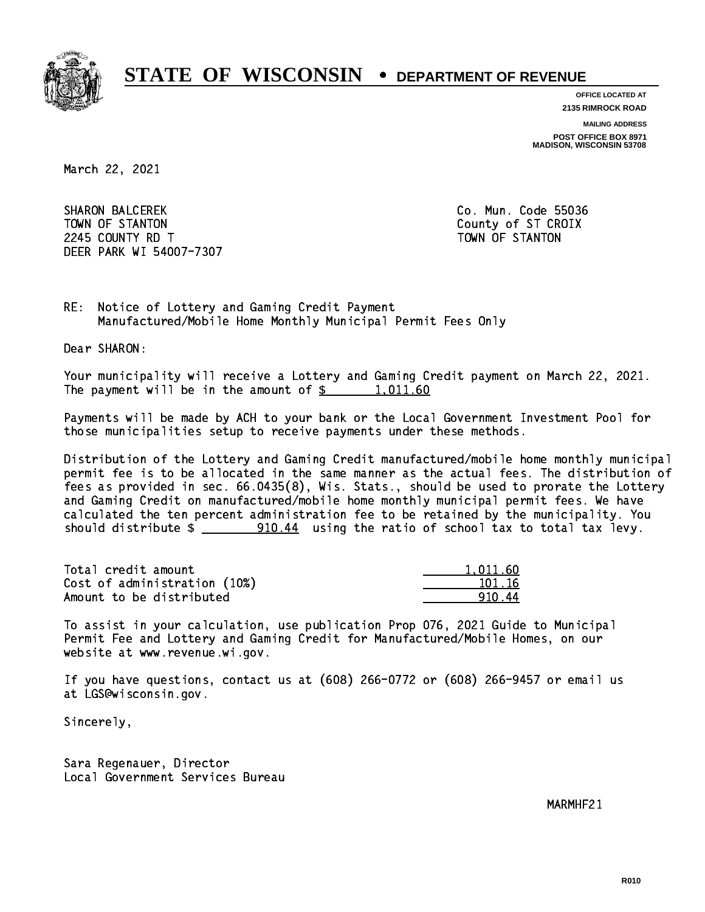

**OFFICE LOCATED AT**

**2135 RIMROCK ROAD**

**MAILING ADDRESS**

**POST OFFICE BOX 8971 MADISON, WISCONSIN 53708**

March 22, 2021

**SHARON BALCEREK** TOWN OF STANTON COUNTY OF STANTON 224 COUNTY RD T TOWN OF STANDARD COUNTY ROLL AND STRUCTURE OF STANDARD COUNTY AND ALL COUNTY OF STANDARD COUNTY. DEER PARK WI 54007-7307

Co. Mun. Code 55036

RE: Notice of Lottery and Gaming Credit Payment Manufactured/Mobile Home Monthly Municipal Permit Fees Only

Dear SHARON:

 Your municipality will receive a Lottery and Gaming Credit payment on March 22, 2021. The payment will be in the amount of  $\frac{2}{3}$  1,011.60

 Payments will be made by ACH to your bank or the Local Government Investment Pool for those municipalities setup to receive payments under these methods.

 Distribution of the Lottery and Gaming Credit manufactured/mobile home monthly municipal permit fee is to be allocated in the same manner as the actual fees. The distribution of fees as provided in sec. 66.0435(8), Wis. Stats., should be used to prorate the Lottery and Gaming Credit on manufactured/mobile home monthly municipal permit fees. We have calculated the ten percent administration fee to be retained by the municipality. You should distribute  $\frac{20.44}{20.44}$  using the ratio of school tax to total tax levy.

| Total credit amount          | 1.011.60 |
|------------------------------|----------|
| Cost of administration (10%) | 101.16   |
| Amount to be distributed     | 91044    |

 To assist in your calculation, use publication Prop 076, 2021 Guide to Municipal Permit Fee and Lottery and Gaming Credit for Manufactured/Mobile Homes, on our website at www.revenue.wi.gov.

 If you have questions, contact us at (608) 266-0772 or (608) 266-9457 or email us at LGS@wisconsin.gov.

Sincerely,

 Sara Regenauer, Director Local Government Services Bureau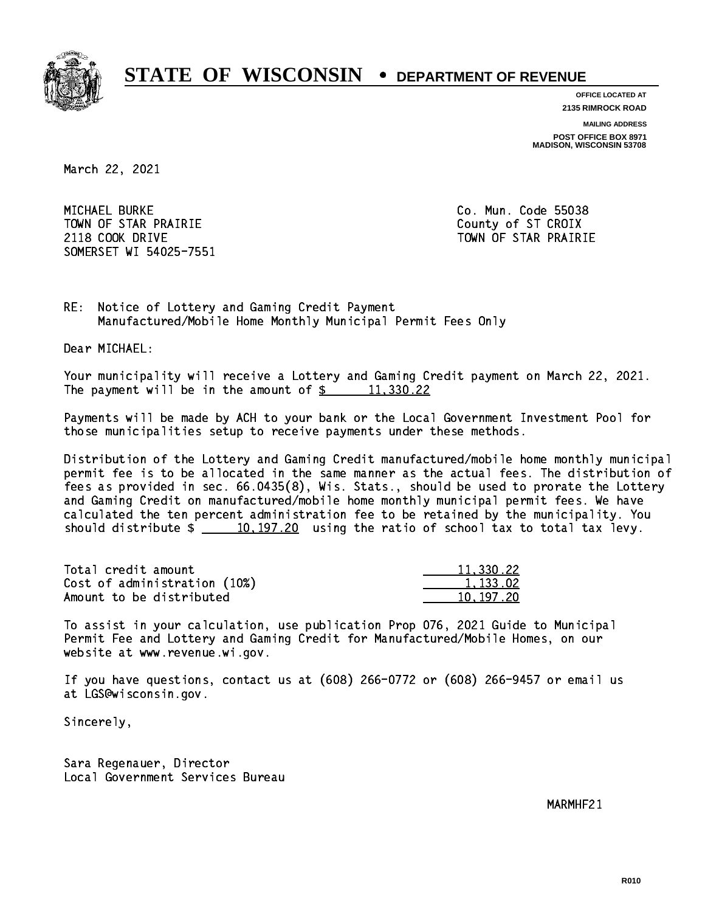

**OFFICE LOCATED AT 2135 RIMROCK ROAD**

**MAILING ADDRESS POST OFFICE BOX 8971 MADISON, WISCONSIN 53708**

March 22, 2021

 MICHAEL BURKE Co. Mun. Code 55038 TOWN OF STAR PRAIRIE **COUNTY COUNTY OF STAR PRAIRIE** 2118 COOK DRIVE TOWN OF STAR PRAIRIE SOMERSET WI 54025-7551

RE: Notice of Lottery and Gaming Credit Payment Manufactured/Mobile Home Monthly Municipal Permit Fees Only

Dear MICHAEL:

 Your municipality will receive a Lottery and Gaming Credit payment on March 22, 2021. The payment will be in the amount of  $\frac{2}{3}$  11,330.22

 Payments will be made by ACH to your bank or the Local Government Investment Pool for those municipalities setup to receive payments under these methods.

 Distribution of the Lottery and Gaming Credit manufactured/mobile home monthly municipal permit fee is to be allocated in the same manner as the actual fees. The distribution of fees as provided in sec. 66.0435(8), Wis. Stats., should be used to prorate the Lottery and Gaming Credit on manufactured/mobile home monthly municipal permit fees. We have calculated the ten percent administration fee to be retained by the municipality. You should distribute  $\frac{10,197.20}{2}$  using the ratio of school tax to total tax levy.

| Total credit amount          | 11,330.22 |
|------------------------------|-----------|
| Cost of administration (10%) | 1.133.02  |
| Amount to be distributed     | 10.197.20 |

 To assist in your calculation, use publication Prop 076, 2021 Guide to Municipal Permit Fee and Lottery and Gaming Credit for Manufactured/Mobile Homes, on our website at www.revenue.wi.gov.

 If you have questions, contact us at (608) 266-0772 or (608) 266-9457 or email us at LGS@wisconsin.gov.

Sincerely,

 Sara Regenauer, Director Local Government Services Bureau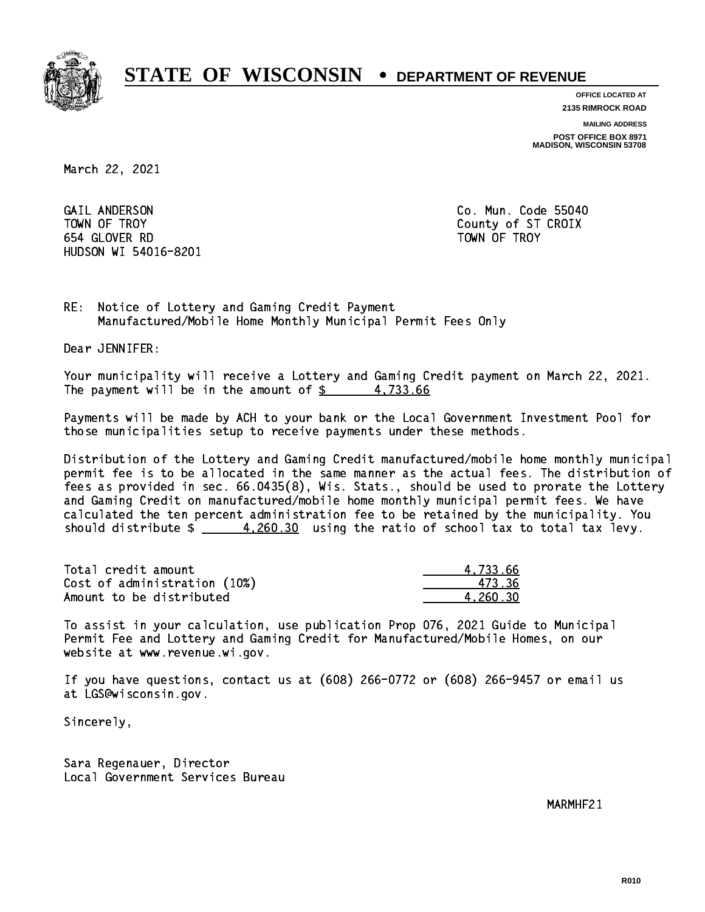

**OFFICE LOCATED AT**

**2135 RIMROCK ROAD**

**MAILING ADDRESS**

**POST OFFICE BOX 8971 MADISON, WISCONSIN 53708**

March 22, 2021

 GAIL ANDERSON Co. Mun. Code 55040 TOWN OF TROY County of ST CROIX 654 GLOVER RD TOWN OF TROY HUDSON WI 54016-8201

RE: Notice of Lottery and Gaming Credit Payment Manufactured/Mobile Home Monthly Municipal Permit Fees Only

Dear JENNIFER:

 Your municipality will receive a Lottery and Gaming Credit payment on March 22, 2021. The payment will be in the amount of  $\frac{2}{3}$  4,733.66

 Payments will be made by ACH to your bank or the Local Government Investment Pool for those municipalities setup to receive payments under these methods.

 Distribution of the Lottery and Gaming Credit manufactured/mobile home monthly municipal permit fee is to be allocated in the same manner as the actual fees. The distribution of fees as provided in sec. 66.0435(8), Wis. Stats., should be used to prorate the Lottery and Gaming Credit on manufactured/mobile home monthly municipal permit fees. We have calculated the ten percent administration fee to be retained by the municipality. You should distribute  $\frac{4,260.30}{2}$  using the ratio of school tax to total tax levy.

| Total credit amount          | 4.733.66 |
|------------------------------|----------|
| Cost of administration (10%) | 473.36   |
| Amount to be distributed     | 4.260.30 |

 To assist in your calculation, use publication Prop 076, 2021 Guide to Municipal Permit Fee and Lottery and Gaming Credit for Manufactured/Mobile Homes, on our website at www.revenue.wi.gov.

 If you have questions, contact us at (608) 266-0772 or (608) 266-9457 or email us at LGS@wisconsin.gov.

Sincerely,

 Sara Regenauer, Director Local Government Services Bureau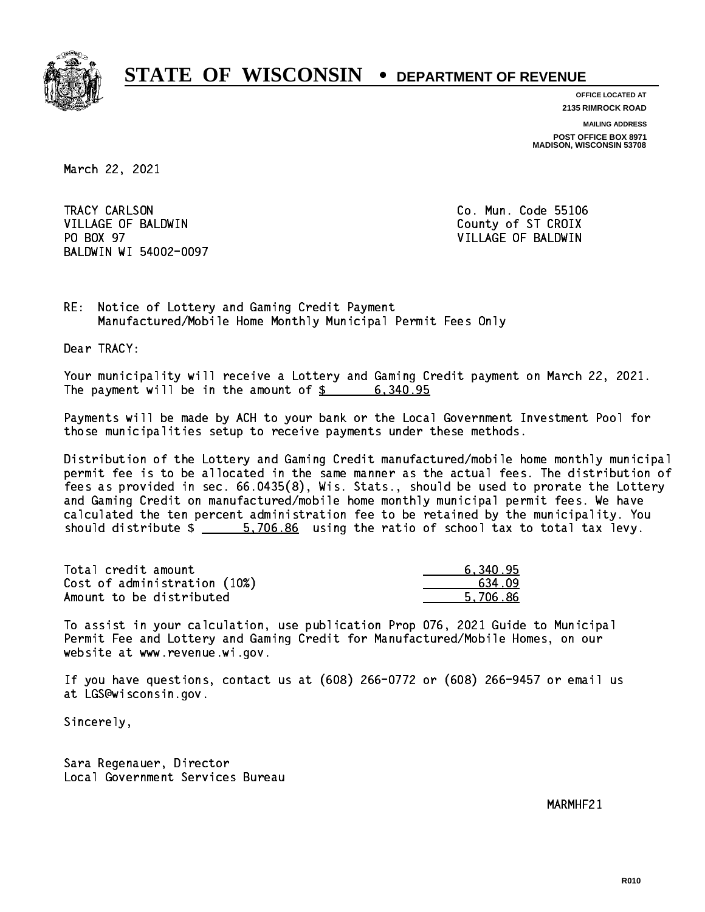

**OFFICE LOCATED AT 2135 RIMROCK ROAD**

**MAILING ADDRESS**

**POST OFFICE BOX 8971 MADISON, WISCONSIN 53708**

March 22, 2021

TRACY CARLSON VILLAGE OF BALDWIN COUNTY COUNTY OF ST CROIX PO BOX 97 BALDWIN WI 54002-0097

Co. Mun. Code 55106 VILLAGE OF BALDWIN

RE: Notice of Lottery and Gaming Credit Payment Manufactured/Mobile Home Monthly Municipal Permit Fees Only

Dear TRACY:

 Your municipality will receive a Lottery and Gaming Credit payment on March 22, 2021. The payment will be in the amount of  $\frac{2}{3}$  6,340.95

 Payments will be made by ACH to your bank or the Local Government Investment Pool for those municipalities setup to receive payments under these methods.

 Distribution of the Lottery and Gaming Credit manufactured/mobile home monthly municipal permit fee is to be allocated in the same manner as the actual fees. The distribution of fees as provided in sec. 66.0435(8), Wis. Stats., should be used to prorate the Lottery and Gaming Credit on manufactured/mobile home monthly municipal permit fees. We have calculated the ten percent administration fee to be retained by the municipality. You should distribute  $\frac{2}{1}$   $\frac{5,706.86}{2}$  using the ratio of school tax to total tax levy.

| Total credit amount          | 6.340.95 |
|------------------------------|----------|
| Cost of administration (10%) | 634.09   |
| Amount to be distributed     | 5.706.86 |

 To assist in your calculation, use publication Prop 076, 2021 Guide to Municipal Permit Fee and Lottery and Gaming Credit for Manufactured/Mobile Homes, on our website at www.revenue.wi.gov.

 If you have questions, contact us at (608) 266-0772 or (608) 266-9457 or email us at LGS@wisconsin.gov.

Sincerely,

 Sara Regenauer, Director Local Government Services Bureau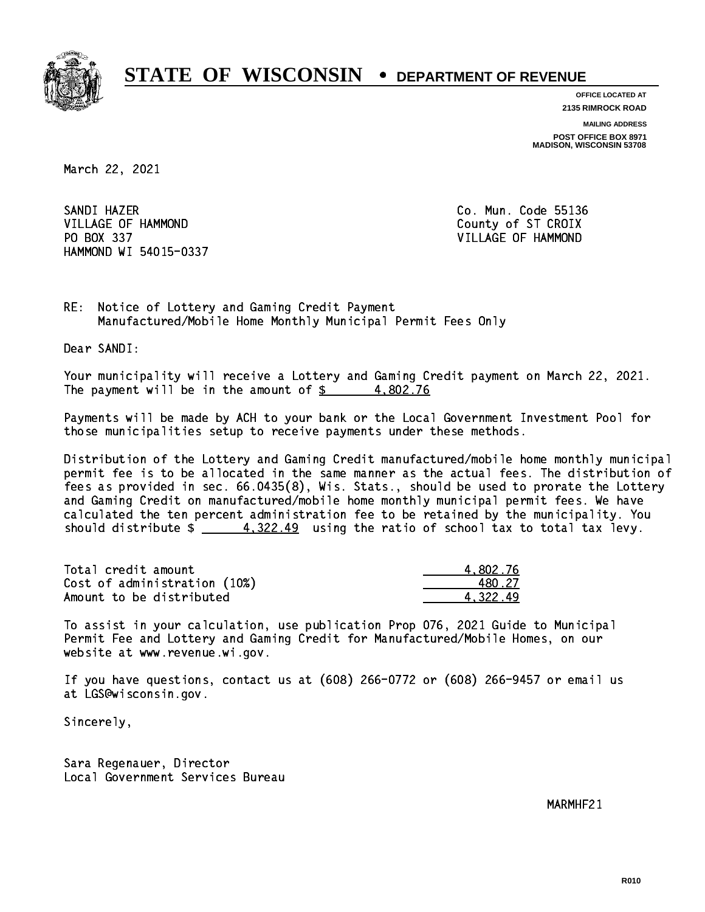

**OFFICE LOCATED AT 2135 RIMROCK ROAD**

**MAILING ADDRESS POST OFFICE BOX 8971 MADISON, WISCONSIN 53708**

March 22, 2021

SANDI HAZER SANDI HAZER CO. MUN. CO. MUN. CO. MUN. CO. MUN. CO. MUN. CO. MUN. CO. MUN. CO. MUN. CO. MUN. CO. MUN. CO. MUN. VILLAGE OF HAMMOND County of ST CROIX PO BOX 337 VILLAGE OF HAMMOND HAMMOND WI 54015-0337

RE: Notice of Lottery and Gaming Credit Payment Manufactured/Mobile Home Monthly Municipal Permit Fees Only

Dear SANDI:

 Your municipality will receive a Lottery and Gaming Credit payment on March 22, 2021. The payment will be in the amount of  $\frac{2}{3}$  4,802.76

 Payments will be made by ACH to your bank or the Local Government Investment Pool for those municipalities setup to receive payments under these methods.

 Distribution of the Lottery and Gaming Credit manufactured/mobile home monthly municipal permit fee is to be allocated in the same manner as the actual fees. The distribution of fees as provided in sec. 66.0435(8), Wis. Stats., should be used to prorate the Lottery and Gaming Credit on manufactured/mobile home monthly municipal permit fees. We have calculated the ten percent administration fee to be retained by the municipality. You should distribute  $\frac{2}{1} - \frac{4,322.49}{4}$  using the ratio of school tax to total tax levy.

| Total credit amount          | 4.802.76 |
|------------------------------|----------|
| Cost of administration (10%) | 480.27   |
| Amount to be distributed     | 4.322.49 |

 To assist in your calculation, use publication Prop 076, 2021 Guide to Municipal Permit Fee and Lottery and Gaming Credit for Manufactured/Mobile Homes, on our website at www.revenue.wi.gov.

 If you have questions, contact us at (608) 266-0772 or (608) 266-9457 or email us at LGS@wisconsin.gov.

Sincerely,

 Sara Regenauer, Director Local Government Services Bureau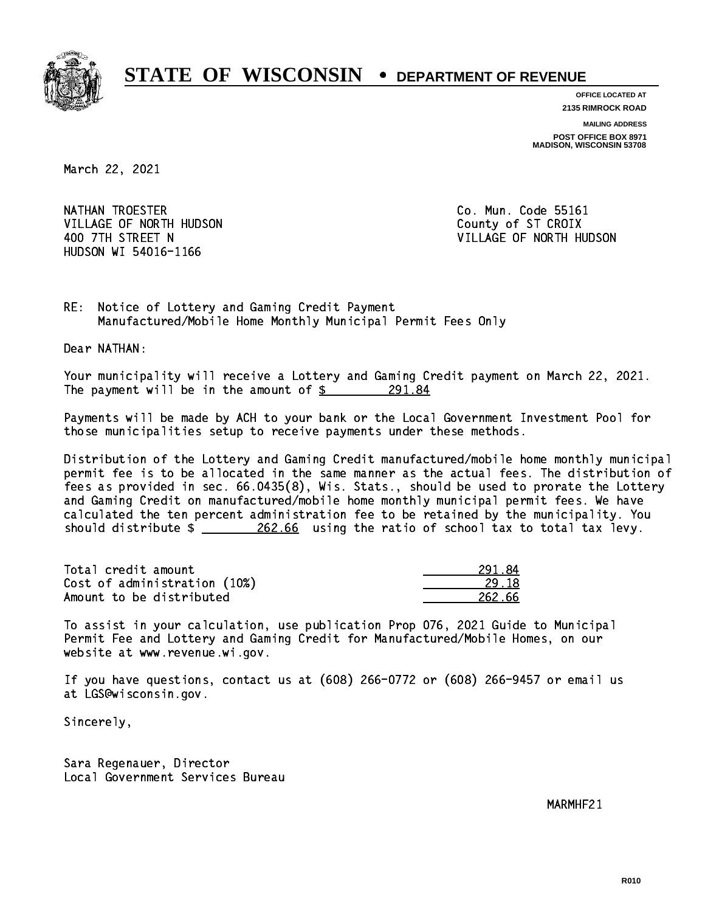

**OFFICE LOCATED AT 2135 RIMROCK ROAD**

**MAILING ADDRESS POST OFFICE BOX 8971 MADISON, WISCONSIN 53708**

March 22, 2021

NATHAN TROESTER **Co. Mun. Code 55161** VILLAGE OF NORTH HUDSON COUNTY OF ST CROIX HUDSON WI 54016-1166

400 7TH STREET N VILLAGE OF NORTH HUDSON

RE: Notice of Lottery and Gaming Credit Payment Manufactured/Mobile Home Monthly Municipal Permit Fees Only

Dear NATHAN:

 Your municipality will receive a Lottery and Gaming Credit payment on March 22, 2021. The payment will be in the amount of  $\frac{291.84}{5}$ 

 Payments will be made by ACH to your bank or the Local Government Investment Pool for those municipalities setup to receive payments under these methods.

 Distribution of the Lottery and Gaming Credit manufactured/mobile home monthly municipal permit fee is to be allocated in the same manner as the actual fees. The distribution of fees as provided in sec. 66.0435(8), Wis. Stats., should be used to prorate the Lottery and Gaming Credit on manufactured/mobile home monthly municipal permit fees. We have calculated the ten percent administration fee to be retained by the municipality. You should distribute  $\frac{262.66}{202.66}$  using the ratio of school tax to total tax levy.

| Total credit amount          | 291.84 |
|------------------------------|--------|
| Cost of administration (10%) | 29.18  |
| Amount to be distributed     | 262.66 |

| 91.R4  |
|--------|
| 1. I.R |
| 262.66 |

 To assist in your calculation, use publication Prop 076, 2021 Guide to Municipal Permit Fee and Lottery and Gaming Credit for Manufactured/Mobile Homes, on our website at www.revenue.wi.gov.

 If you have questions, contact us at (608) 266-0772 or (608) 266-9457 or email us at LGS@wisconsin.gov.

Sincerely,

 Sara Regenauer, Director Local Government Services Bureau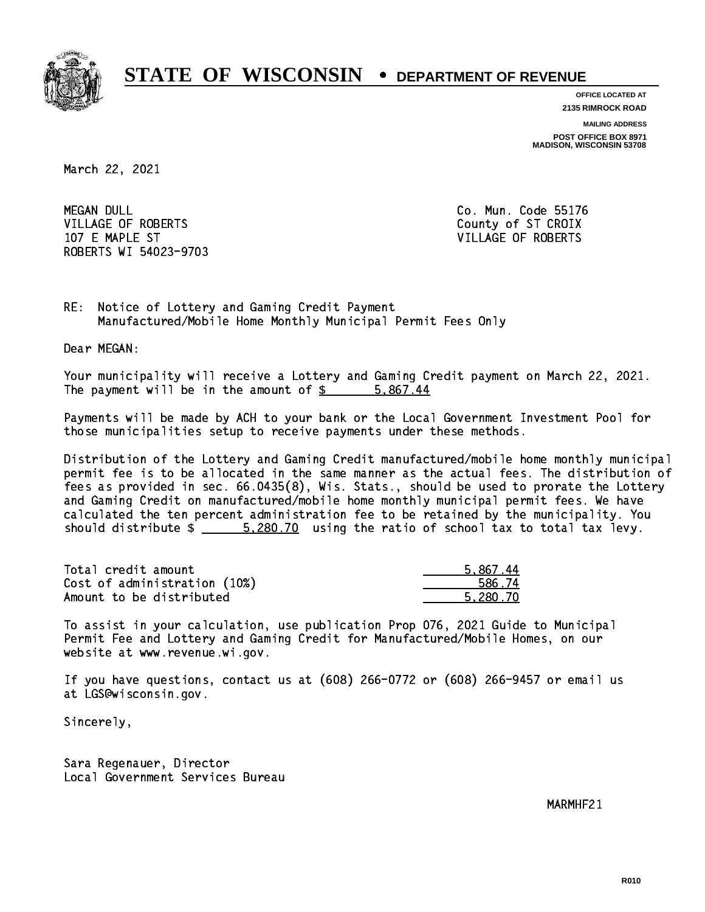

**OFFICE LOCATED AT**

**2135 RIMROCK ROAD**

**MAILING ADDRESS**

**POST OFFICE BOX 8971 MADISON, WISCONSIN 53708**

March 22, 2021

**MEGAN DULL** VILLAGE OF ROBERTS COUNTY OF STICROIX 107 E MAPLE ST VILLAGE OF ROBERTS ROBERTS WI 54023-9703

Co. Mun. Code 55176

RE: Notice of Lottery and Gaming Credit Payment Manufactured/Mobile Home Monthly Municipal Permit Fees Only

Dear MEGAN:

 Your municipality will receive a Lottery and Gaming Credit payment on March 22, 2021. The payment will be in the amount of \$ 5,867.44 \_\_\_\_\_\_\_\_\_\_\_\_\_\_\_\_

 Payments will be made by ACH to your bank or the Local Government Investment Pool for those municipalities setup to receive payments under these methods.

 Distribution of the Lottery and Gaming Credit manufactured/mobile home monthly municipal permit fee is to be allocated in the same manner as the actual fees. The distribution of fees as provided in sec. 66.0435(8), Wis. Stats., should be used to prorate the Lottery and Gaming Credit on manufactured/mobile home monthly municipal permit fees. We have calculated the ten percent administration fee to be retained by the municipality. You should distribute  $\frac{200.70}{20.70}$  using the ratio of school tax to total tax levy.

| Total credit amount          | 5.867.44 |
|------------------------------|----------|
| Cost of administration (10%) | 586.74   |
| Amount to be distributed     | 5.280.70 |

 To assist in your calculation, use publication Prop 076, 2021 Guide to Municipal Permit Fee and Lottery and Gaming Credit for Manufactured/Mobile Homes, on our website at www.revenue.wi.gov.

 If you have questions, contact us at (608) 266-0772 or (608) 266-9457 or email us at LGS@wisconsin.gov.

Sincerely,

 Sara Regenauer, Director Local Government Services Bureau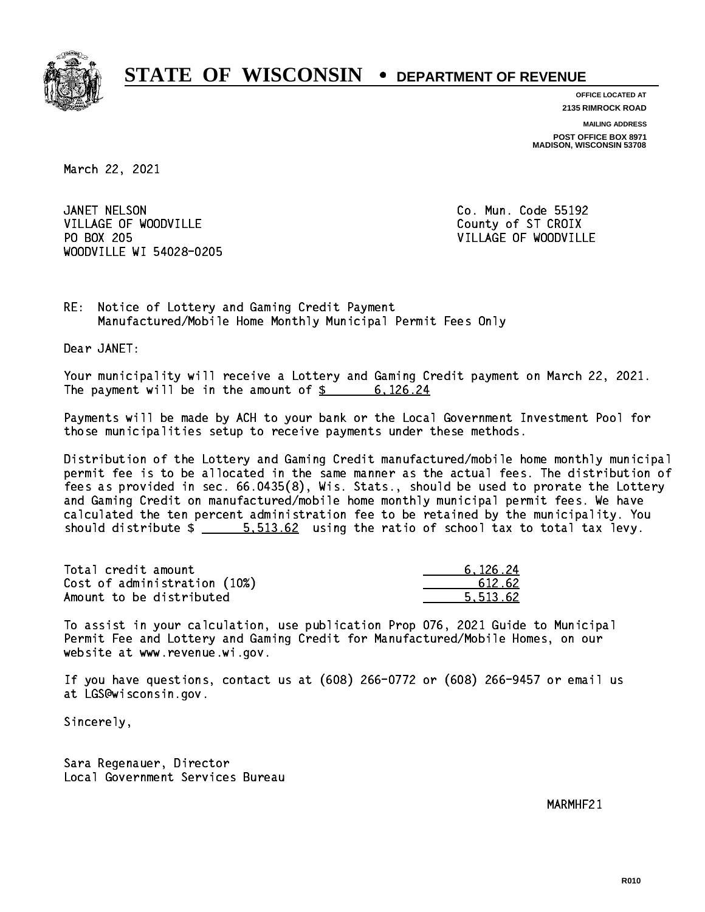

**OFFICE LOCATED AT 2135 RIMROCK ROAD**

**MAILING ADDRESS POST OFFICE BOX 8971 MADISON, WISCONSIN 53708**

March 22, 2021

JANET NELSON VILLAGE OF WOODVILLE COUNTY OF ST CROIX PO BOX 205 WOODVILLE WI 54028-0205

Co. Mun. Code 55192 VILLAGE OF WOODVILLE

RE: Notice of Lottery and Gaming Credit Payment Manufactured/Mobile Home Monthly Municipal Permit Fees Only

Dear JANET:

 Your municipality will receive a Lottery and Gaming Credit payment on March 22, 2021. The payment will be in the amount of \$ 6,126.24 \_\_\_\_\_\_\_\_\_\_\_\_\_\_\_\_

 Payments will be made by ACH to your bank or the Local Government Investment Pool for those municipalities setup to receive payments under these methods.

 Distribution of the Lottery and Gaming Credit manufactured/mobile home monthly municipal permit fee is to be allocated in the same manner as the actual fees. The distribution of fees as provided in sec. 66.0435(8), Wis. Stats., should be used to prorate the Lottery and Gaming Credit on manufactured/mobile home monthly municipal permit fees. We have calculated the ten percent administration fee to be retained by the municipality. You should distribute  $\frac{2}{1}$   $\frac{5.513.62}{2}$  using the ratio of school tax to total tax levy.

| Total credit amount          | 6.126.24 |
|------------------------------|----------|
| Cost of administration (10%) | 612.62   |
| Amount to be distributed     | 5.513.62 |

 To assist in your calculation, use publication Prop 076, 2021 Guide to Municipal Permit Fee and Lottery and Gaming Credit for Manufactured/Mobile Homes, on our website at www.revenue.wi.gov.

 If you have questions, contact us at (608) 266-0772 or (608) 266-9457 or email us at LGS@wisconsin.gov.

Sincerely,

 Sara Regenauer, Director Local Government Services Bureau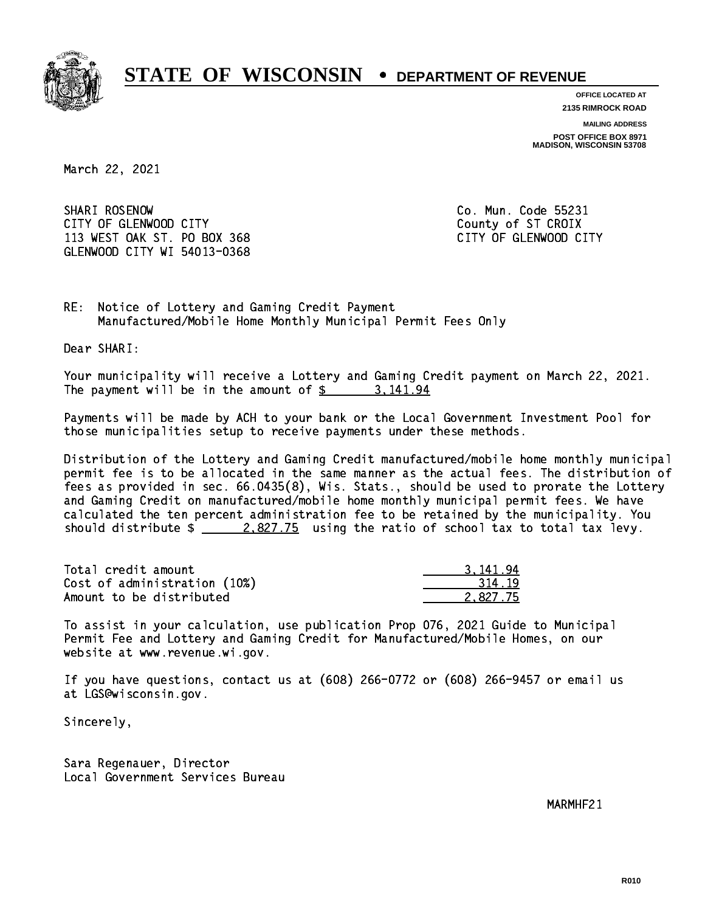

**OFFICE LOCATED AT**

**2135 RIMROCK ROAD**

**MAILING ADDRESS POST OFFICE BOX 8971 MADISON, WISCONSIN 53708**

March 22, 2021

SHARI ROSENOW CITY OF GLENWOOD CITY COUNTY COUNTY COUNTY OF ST CROIX 113 WEST OAK ST. PO BOX 368 CITY OF GLENWOOD CITY GLENWOOD CITY WI 54013-0368

Co. Mun. Code 55231

RE: Notice of Lottery and Gaming Credit Payment Manufactured/Mobile Home Monthly Municipal Permit Fees Only

Dear SHARI:

 Your municipality will receive a Lottery and Gaming Credit payment on March 22, 2021. The payment will be in the amount of \$ 3,141.94 \_\_\_\_\_\_\_\_\_\_\_\_\_\_\_\_

 Payments will be made by ACH to your bank or the Local Government Investment Pool for those municipalities setup to receive payments under these methods.

 Distribution of the Lottery and Gaming Credit manufactured/mobile home monthly municipal permit fee is to be allocated in the same manner as the actual fees. The distribution of fees as provided in sec. 66.0435(8), Wis. Stats., should be used to prorate the Lottery and Gaming Credit on manufactured/mobile home monthly municipal permit fees. We have calculated the ten percent administration fee to be retained by the municipality. You should distribute  $\frac{2.827.75}{2.827.75}$  using the ratio of school tax to total tax levy.

| Total credit amount          | 3.141.94 |
|------------------------------|----------|
| Cost of administration (10%) | 314.19   |
| Amount to be distributed     | 2.827.75 |

 To assist in your calculation, use publication Prop 076, 2021 Guide to Municipal Permit Fee and Lottery and Gaming Credit for Manufactured/Mobile Homes, on our website at www.revenue.wi.gov.

 If you have questions, contact us at (608) 266-0772 or (608) 266-9457 or email us at LGS@wisconsin.gov.

Sincerely,

 Sara Regenauer, Director Local Government Services Bureau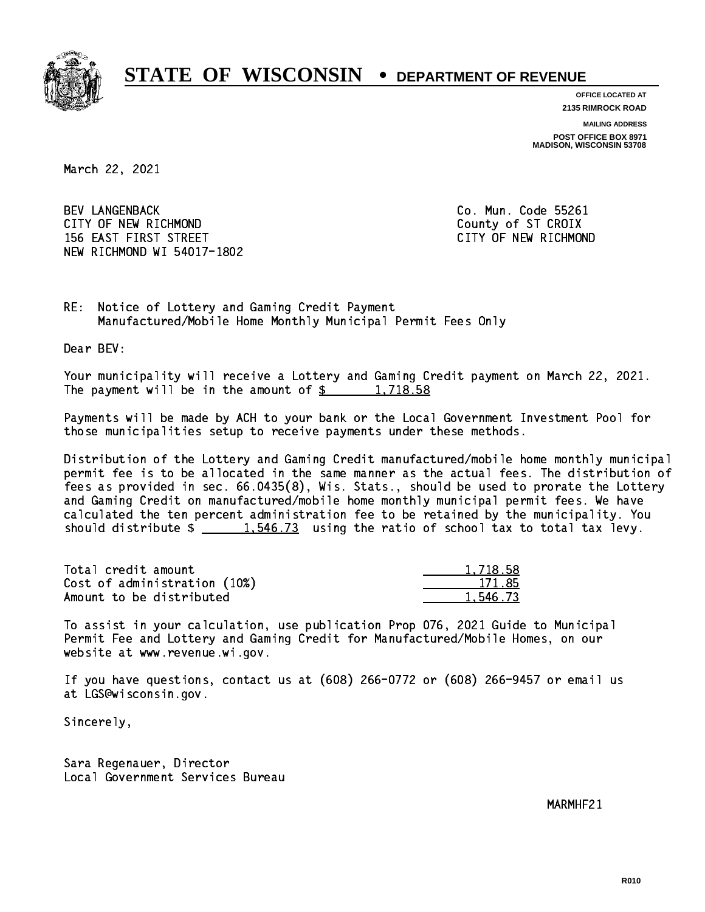

**OFFICE LOCATED AT**

**2135 RIMROCK ROAD**

**MAILING ADDRESS POST OFFICE BOX 8971 MADISON, WISCONSIN 53708**

March 22, 2021

 BEV LANGENBACK Co. Mun. Code 55261 CITY OF NEW RICHMOND COUNTY OF ST CROIX 156 EAST FIRST STREET CITY OF NEW RICHMOND NEW RICHMOND WI 54017-1802

RE: Notice of Lottery and Gaming Credit Payment Manufactured/Mobile Home Monthly Municipal Permit Fees Only

Dear BEV:

 Your municipality will receive a Lottery and Gaming Credit payment on March 22, 2021. The payment will be in the amount of  $\frac{2}{3}$  1,718.58

 Payments will be made by ACH to your bank or the Local Government Investment Pool for those municipalities setup to receive payments under these methods.

 Distribution of the Lottery and Gaming Credit manufactured/mobile home monthly municipal permit fee is to be allocated in the same manner as the actual fees. The distribution of fees as provided in sec. 66.0435(8), Wis. Stats., should be used to prorate the Lottery and Gaming Credit on manufactured/mobile home monthly municipal permit fees. We have calculated the ten percent administration fee to be retained by the municipality. You should distribute  $\frac{1.546.73}{1.546.73}$  using the ratio of school tax to total tax levy.

| Total credit amount          | 1,718.58 |
|------------------------------|----------|
| Cost of administration (10%) | 171.85   |
| Amount to be distributed     | 1,546.73 |

 To assist in your calculation, use publication Prop 076, 2021 Guide to Municipal Permit Fee and Lottery and Gaming Credit for Manufactured/Mobile Homes, on our website at www.revenue.wi.gov.

 If you have questions, contact us at (608) 266-0772 or (608) 266-9457 or email us at LGS@wisconsin.gov.

Sincerely,

 Sara Regenauer, Director Local Government Services Bureau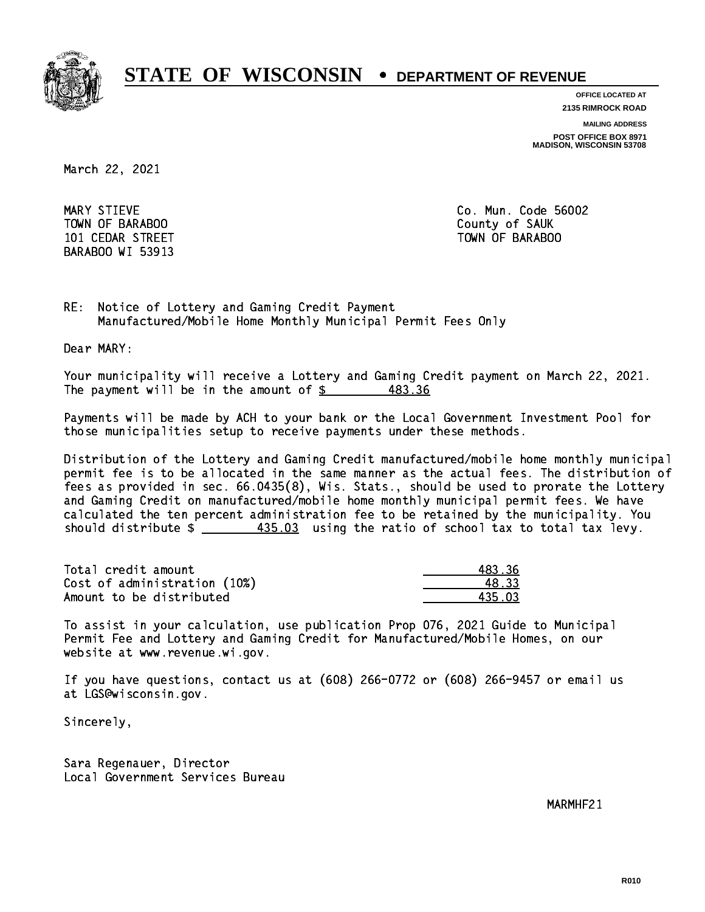

**OFFICE LOCATED AT 2135 RIMROCK ROAD**

**MAILING ADDRESS**

**POST OFFICE BOX 8971 MADISON, WISCONSIN 53708**

March 22, 2021

MARY STIEVE TOWN OF BARABOO **COUNTY OF SAUK** BARABOO WI 53913

Co. Mun. Code 56002 101 CEDAR STREET TOWN OF BARABOO

RE: Notice of Lottery and Gaming Credit Payment Manufactured/Mobile Home Monthly Municipal Permit Fees Only

Dear MARY:

 Your municipality will receive a Lottery and Gaming Credit payment on March 22, 2021. The payment will be in the amount of  $\frac{2}{3}$  483.36

 Payments will be made by ACH to your bank or the Local Government Investment Pool for those municipalities setup to receive payments under these methods.

 Distribution of the Lottery and Gaming Credit manufactured/mobile home monthly municipal permit fee is to be allocated in the same manner as the actual fees. The distribution of fees as provided in sec. 66.0435(8), Wis. Stats., should be used to prorate the Lottery and Gaming Credit on manufactured/mobile home monthly municipal permit fees. We have calculated the ten percent administration fee to be retained by the municipality. You should distribute  $\frac{435.03}{2}$  using the ratio of school tax to total tax levy.

| Total credit amount          | 483.36 |
|------------------------------|--------|
| Cost of administration (10%) | 48.33  |
| Amount to be distributed     | 435 03 |

 To assist in your calculation, use publication Prop 076, 2021 Guide to Municipal Permit Fee and Lottery and Gaming Credit for Manufactured/Mobile Homes, on our website at www.revenue.wi.gov.

 If you have questions, contact us at (608) 266-0772 or (608) 266-9457 or email us at LGS@wisconsin.gov.

Sincerely,

 Sara Regenauer, Director Local Government Services Bureau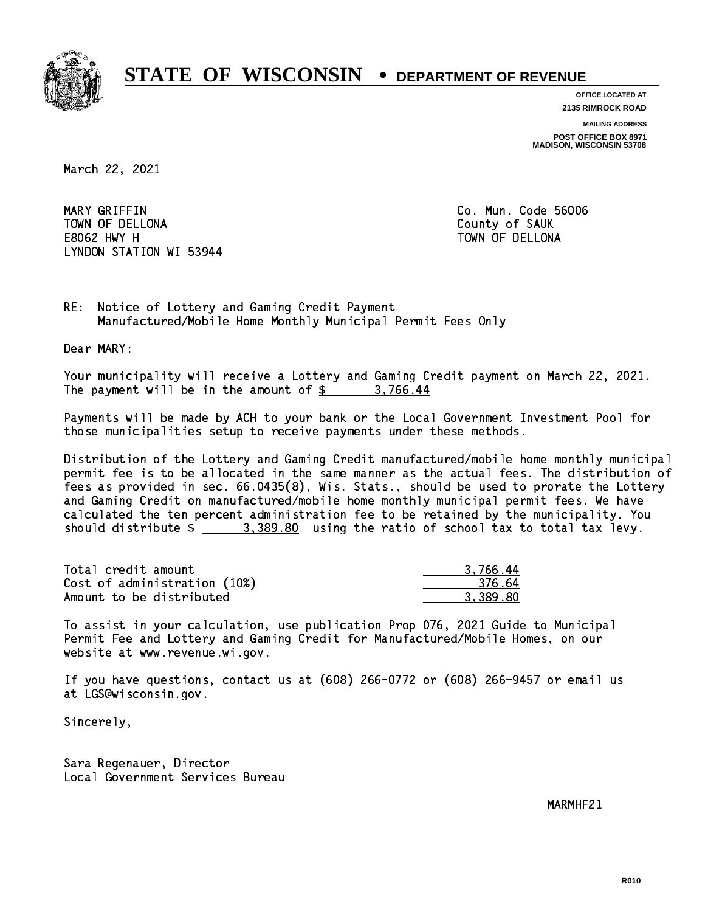

**OFFICE LOCATED AT 2135 RIMROCK ROAD**

**MAILING ADDRESS**

**POST OFFICE BOX 8971 MADISON, WISCONSIN 53708**

March 22, 2021

 MARY GRIFFIN Co. Mun. Code 56006 TOWN OF DELLONA County of SAUK E8062 HWY H TOWN OF DELLONA LYNDON STATION WI 53944

RE: Notice of Lottery and Gaming Credit Payment Manufactured/Mobile Home Monthly Municipal Permit Fees Only

Dear MARY:

 Your municipality will receive a Lottery and Gaming Credit payment on March 22, 2021. The payment will be in the amount of  $\frac{2}{3}$  3,766.44

 Payments will be made by ACH to your bank or the Local Government Investment Pool for those municipalities setup to receive payments under these methods.

 Distribution of the Lottery and Gaming Credit manufactured/mobile home monthly municipal permit fee is to be allocated in the same manner as the actual fees. The distribution of fees as provided in sec. 66.0435(8), Wis. Stats., should be used to prorate the Lottery and Gaming Credit on manufactured/mobile home monthly municipal permit fees. We have calculated the ten percent administration fee to be retained by the municipality. You should distribute  $\frac{2}{2}$   $\frac{3}{389.80}$  using the ratio of school tax to total tax levy.

| Total credit amount          | 3.766.44 |
|------------------------------|----------|
| Cost of administration (10%) | -376.64  |
| Amount to be distributed     | 3.389.80 |

 To assist in your calculation, use publication Prop 076, 2021 Guide to Municipal Permit Fee and Lottery and Gaming Credit for Manufactured/Mobile Homes, on our website at www.revenue.wi.gov.

 If you have questions, contact us at (608) 266-0772 or (608) 266-9457 or email us at LGS@wisconsin.gov.

Sincerely,

 Sara Regenauer, Director Local Government Services Bureau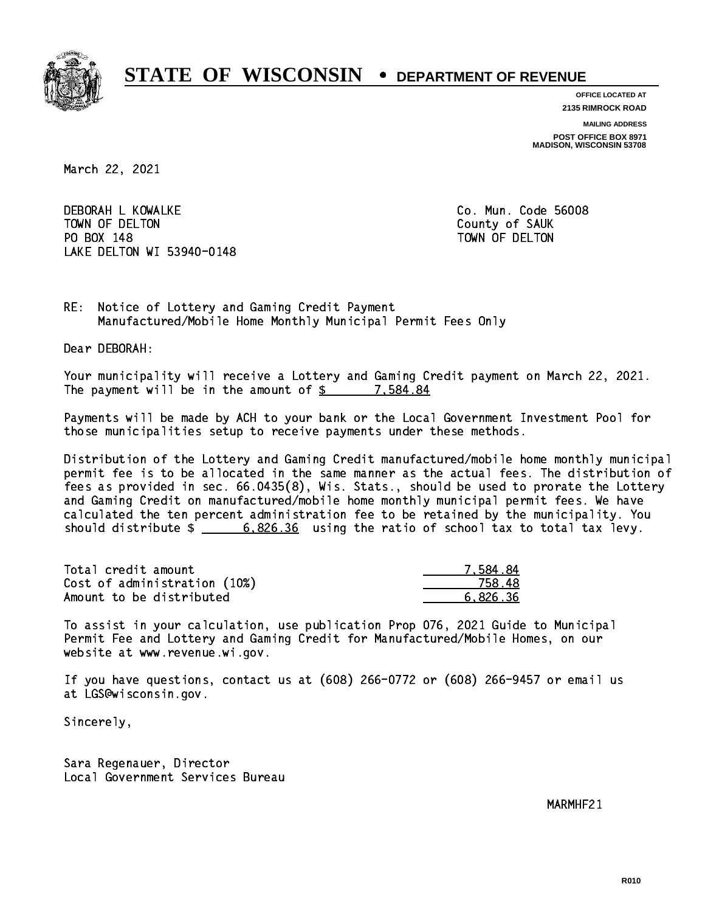

**OFFICE LOCATED AT 2135 RIMROCK ROAD**

**MAILING ADDRESS**

**POST OFFICE BOX 8971 MADISON, WISCONSIN 53708**

March 22, 2021

 DEBORAH L KOWALKE Co. Mun. Code 56008 TOWN OF DELTON County of SAUK PO BOX 148 PO BOX 148 TOWN OF DELTON LAKE DELTON WI 53940-0148

RE: Notice of Lottery and Gaming Credit Payment Manufactured/Mobile Home Monthly Municipal Permit Fees Only

Dear DEBORAH:

 Your municipality will receive a Lottery and Gaming Credit payment on March 22, 2021. The payment will be in the amount of  $\frac{2}{3}$  7,584.84

 Payments will be made by ACH to your bank or the Local Government Investment Pool for those municipalities setup to receive payments under these methods.

 Distribution of the Lottery and Gaming Credit manufactured/mobile home monthly municipal permit fee is to be allocated in the same manner as the actual fees. The distribution of fees as provided in sec. 66.0435(8), Wis. Stats., should be used to prorate the Lottery and Gaming Credit on manufactured/mobile home monthly municipal permit fees. We have calculated the ten percent administration fee to be retained by the municipality. You should distribute \$ 6,826.36 using the ratio of school tax to total tax levy. \_\_\_\_\_\_\_\_\_\_\_\_\_\_

| Total credit amount          | 7.584.84 |
|------------------------------|----------|
| Cost of administration (10%) | 758.48   |
| Amount to be distributed     | 6.826.36 |

 To assist in your calculation, use publication Prop 076, 2021 Guide to Municipal Permit Fee and Lottery and Gaming Credit for Manufactured/Mobile Homes, on our website at www.revenue.wi.gov.

 If you have questions, contact us at (608) 266-0772 or (608) 266-9457 or email us at LGS@wisconsin.gov.

Sincerely,

 Sara Regenauer, Director Local Government Services Bureau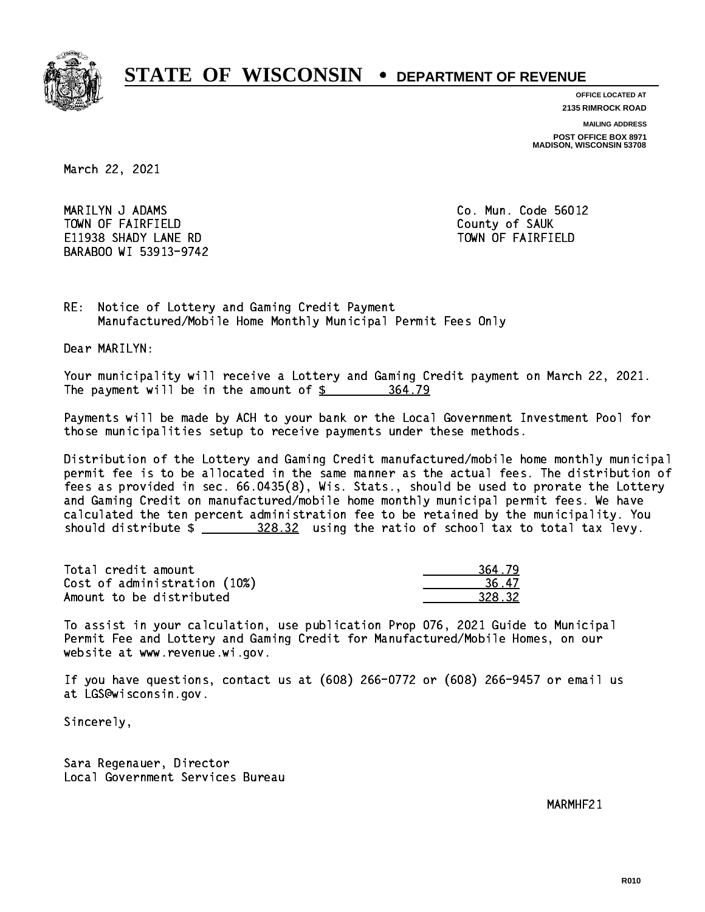

**OFFICE LOCATED AT**

**2135 RIMROCK ROAD**

**MAILING ADDRESS**

**POST OFFICE BOX 8971 MADISON, WISCONSIN 53708**

March 22, 2021

 MARILYN J ADAMS Co. Mun. Code 56012 TOWN OF FAIRFIELD County of SAUK E11938 SHADY LANE RD TOWN OF FAIRFIELD BARABOO WI 53913-9742

RE: Notice of Lottery and Gaming Credit Payment Manufactured/Mobile Home Monthly Municipal Permit Fees Only

Dear MARILYN:

 Your municipality will receive a Lottery and Gaming Credit payment on March 22, 2021. The payment will be in the amount of  $\frac{26}{5}$ 364.79

 Payments will be made by ACH to your bank or the Local Government Investment Pool for those municipalities setup to receive payments under these methods.

 Distribution of the Lottery and Gaming Credit manufactured/mobile home monthly municipal permit fee is to be allocated in the same manner as the actual fees. The distribution of fees as provided in sec. 66.0435(8), Wis. Stats., should be used to prorate the Lottery and Gaming Credit on manufactured/mobile home monthly municipal permit fees. We have calculated the ten percent administration fee to be retained by the municipality. You should distribute  $\frac{208.32}{1000}$  using the ratio of school tax to total tax levy.

Total credit amount Cost of administration (10%) Amount to be distributed

| 4.79   |
|--------|
| 17     |
| 328.32 |

 To assist in your calculation, use publication Prop 076, 2021 Guide to Municipal Permit Fee and Lottery and Gaming Credit for Manufactured/Mobile Homes, on our website at www.revenue.wi.gov.

 If you have questions, contact us at (608) 266-0772 or (608) 266-9457 or email us at LGS@wisconsin.gov.

Sincerely,

 Sara Regenauer, Director Local Government Services Bureau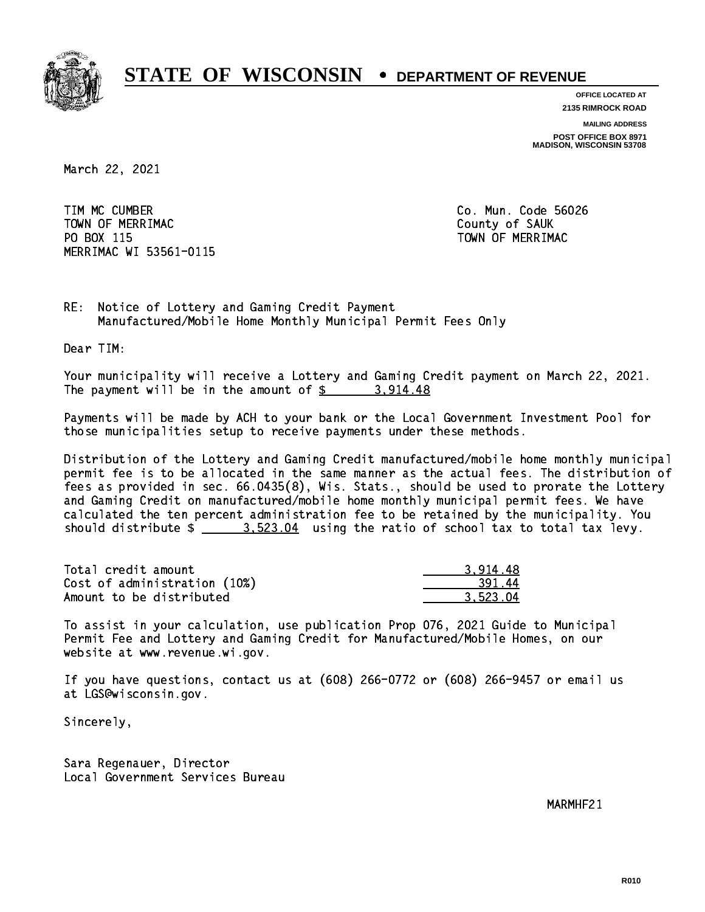

**OFFICE LOCATED AT 2135 RIMROCK ROAD**

**MAILING ADDRESS**

**POST OFFICE BOX 8971 MADISON, WISCONSIN 53708**

March 22, 2021

 TIM MC CUMBER Co. Mun. Code 56026 TOWN OF MERRIMAC COUNTY OF SAUK PO BOX 115 MERRIMAC WI 53561-0115

TOWN OF MERRIMAC

RE: Notice of Lottery and Gaming Credit Payment Manufactured/Mobile Home Monthly Municipal Permit Fees Only

Dear TIM:

 Your municipality will receive a Lottery and Gaming Credit payment on March 22, 2021. The payment will be in the amount of  $\frac{2}{3}$  3,914.48

 Payments will be made by ACH to your bank or the Local Government Investment Pool for those municipalities setup to receive payments under these methods.

 Distribution of the Lottery and Gaming Credit manufactured/mobile home monthly municipal permit fee is to be allocated in the same manner as the actual fees. The distribution of fees as provided in sec. 66.0435(8), Wis. Stats., should be used to prorate the Lottery and Gaming Credit on manufactured/mobile home monthly municipal permit fees. We have calculated the ten percent administration fee to be retained by the municipality. You should distribute  $\frac{2}{2}$   $\frac{3.523.04}{2}$  using the ratio of school tax to total tax levy.

| Total credit amount          | 3.914.48 |
|------------------------------|----------|
| Cost of administration (10%) | 391.44   |
| Amount to be distributed     | 3.523.04 |

 To assist in your calculation, use publication Prop 076, 2021 Guide to Municipal Permit Fee and Lottery and Gaming Credit for Manufactured/Mobile Homes, on our website at www.revenue.wi.gov.

 If you have questions, contact us at (608) 266-0772 or (608) 266-9457 or email us at LGS@wisconsin.gov.

Sincerely,

 Sara Regenauer, Director Local Government Services Bureau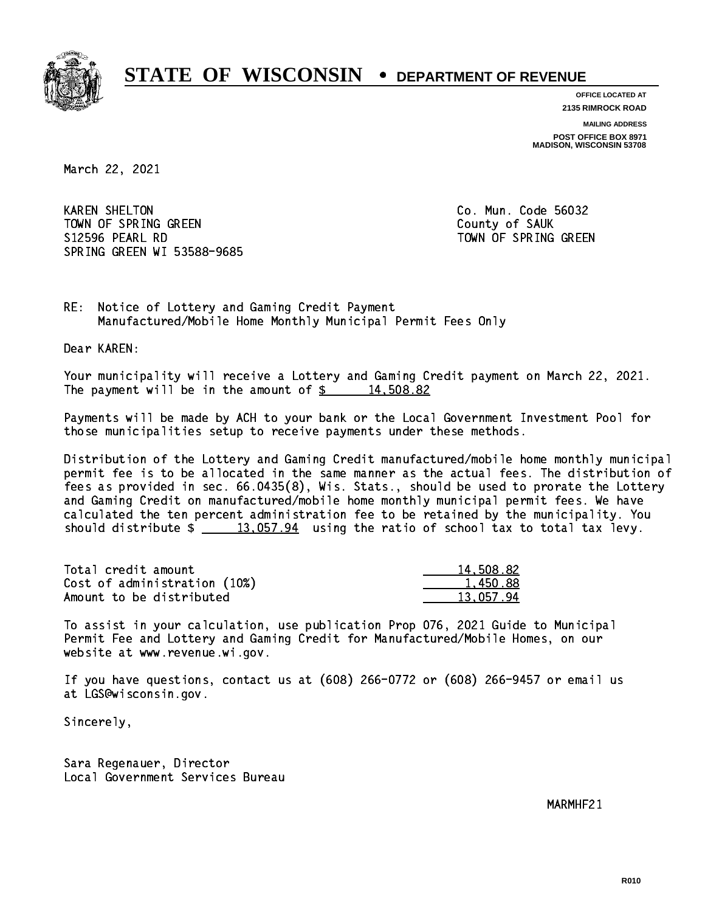

**OFFICE LOCATED AT 2135 RIMROCK ROAD**

**MAILING ADDRESS**

**POST OFFICE BOX 8971 MADISON, WISCONSIN 53708**

March 22, 2021

**KAREN SHELTON** TOWN OF SPRING GREEN COUNTY OF SAUK S12596 PEARL RD TOWN OF SPRING GREEN SPRING GREEN WI 53588-9685

Co. Mun. Code 56032

RE: Notice of Lottery and Gaming Credit Payment Manufactured/Mobile Home Monthly Municipal Permit Fees Only

Dear KAREN:

 Your municipality will receive a Lottery and Gaming Credit payment on March 22, 2021. The payment will be in the amount of  $\frac{2}{3}$  14,508.82

 Payments will be made by ACH to your bank or the Local Government Investment Pool for those municipalities setup to receive payments under these methods.

 Distribution of the Lottery and Gaming Credit manufactured/mobile home monthly municipal permit fee is to be allocated in the same manner as the actual fees. The distribution of fees as provided in sec. 66.0435(8), Wis. Stats., should be used to prorate the Lottery and Gaming Credit on manufactured/mobile home monthly municipal permit fees. We have calculated the ten percent administration fee to be retained by the municipality. You should distribute  $\frac{2}{13,057.94}$  using the ratio of school tax to total tax levy.

| Total credit amount          | 14,508.82 |
|------------------------------|-----------|
| Cost of administration (10%) | 1.450.88  |
| Amount to be distributed     | 13.057.94 |

 To assist in your calculation, use publication Prop 076, 2021 Guide to Municipal Permit Fee and Lottery and Gaming Credit for Manufactured/Mobile Homes, on our website at www.revenue.wi.gov.

 If you have questions, contact us at (608) 266-0772 or (608) 266-9457 or email us at LGS@wisconsin.gov.

Sincerely,

 Sara Regenauer, Director Local Government Services Bureau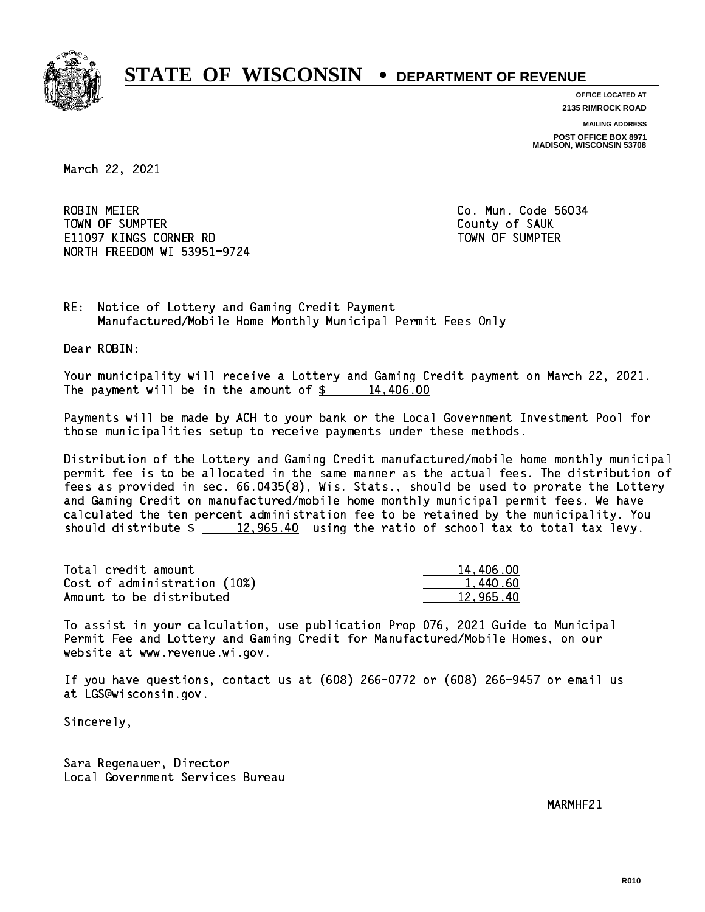

**OFFICE LOCATED AT 2135 RIMROCK ROAD**

**MAILING ADDRESS**

**POST OFFICE BOX 8971 MADISON, WISCONSIN 53708**

March 22, 2021

**ROBIN MEIER**  TOWN OF SUMPTER County of SAUK E11097 KINGS CORNER RD TOWN OF SUMPTER NORTH FREEDOM WI 53951-9724

Co. Mun. Code 56034

RE: Notice of Lottery and Gaming Credit Payment Manufactured/Mobile Home Monthly Municipal Permit Fees Only

Dear ROBIN:

 Your municipality will receive a Lottery and Gaming Credit payment on March 22, 2021. The payment will be in the amount of  $\frac{2}{3}$  14,406.00

 Payments will be made by ACH to your bank or the Local Government Investment Pool for those municipalities setup to receive payments under these methods.

 Distribution of the Lottery and Gaming Credit manufactured/mobile home monthly municipal permit fee is to be allocated in the same manner as the actual fees. The distribution of fees as provided in sec. 66.0435(8), Wis. Stats., should be used to prorate the Lottery and Gaming Credit on manufactured/mobile home monthly municipal permit fees. We have calculated the ten percent administration fee to be retained by the municipality. You should distribute  $\frac{2}{2}$   $\frac{12,965.40}{2}$  using the ratio of school tax to total tax levy.

| Total credit amount          | 14,406.00 |
|------------------------------|-----------|
| Cost of administration (10%) | 1.440.60  |
| Amount to be distributed     | 12.965.40 |

 To assist in your calculation, use publication Prop 076, 2021 Guide to Municipal Permit Fee and Lottery and Gaming Credit for Manufactured/Mobile Homes, on our website at www.revenue.wi.gov.

 If you have questions, contact us at (608) 266-0772 or (608) 266-9457 or email us at LGS@wisconsin.gov.

Sincerely,

 Sara Regenauer, Director Local Government Services Bureau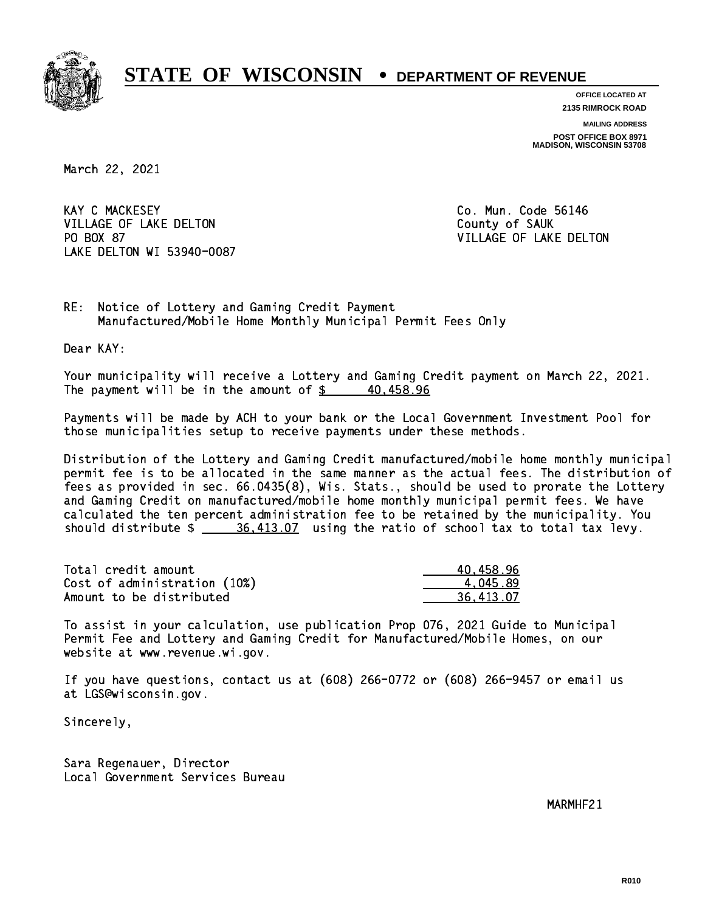

**OFFICE LOCATED AT 2135 RIMROCK ROAD**

**MAILING ADDRESS**

**POST OFFICE BOX 8971 MADISON, WISCONSIN 53708**

March 22, 2021

**KAY C MACKESEY** VILLAGE OF LAKE DELTON COUNTY OF SAUK PO BOX 87 LAKE DELTON WI 53940-0087

Co. Mun. Code 56146 VILLAGE OF LAKE DELTON

RE: Notice of Lottery and Gaming Credit Payment Manufactured/Mobile Home Monthly Municipal Permit Fees Only

Dear KAY:

 Your municipality will receive a Lottery and Gaming Credit payment on March 22, 2021. The payment will be in the amount of  $\frac{2}{3}$  40,458.96

 Payments will be made by ACH to your bank or the Local Government Investment Pool for those municipalities setup to receive payments under these methods.

 Distribution of the Lottery and Gaming Credit manufactured/mobile home monthly municipal permit fee is to be allocated in the same manner as the actual fees. The distribution of fees as provided in sec. 66.0435(8), Wis. Stats., should be used to prorate the Lottery and Gaming Credit on manufactured/mobile home monthly municipal permit fees. We have calculated the ten percent administration fee to be retained by the municipality. You should distribute  $\frac{26,413.07}{2}$  using the ratio of school tax to total tax levy.

| Total credit amount          | 40.458.96 |
|------------------------------|-----------|
| Cost of administration (10%) | 4.045.89  |
| Amount to be distributed     | 36.413.07 |

 To assist in your calculation, use publication Prop 076, 2021 Guide to Municipal Permit Fee and Lottery and Gaming Credit for Manufactured/Mobile Homes, on our website at www.revenue.wi.gov.

 If you have questions, contact us at (608) 266-0772 or (608) 266-9457 or email us at LGS@wisconsin.gov.

Sincerely,

 Sara Regenauer, Director Local Government Services Bureau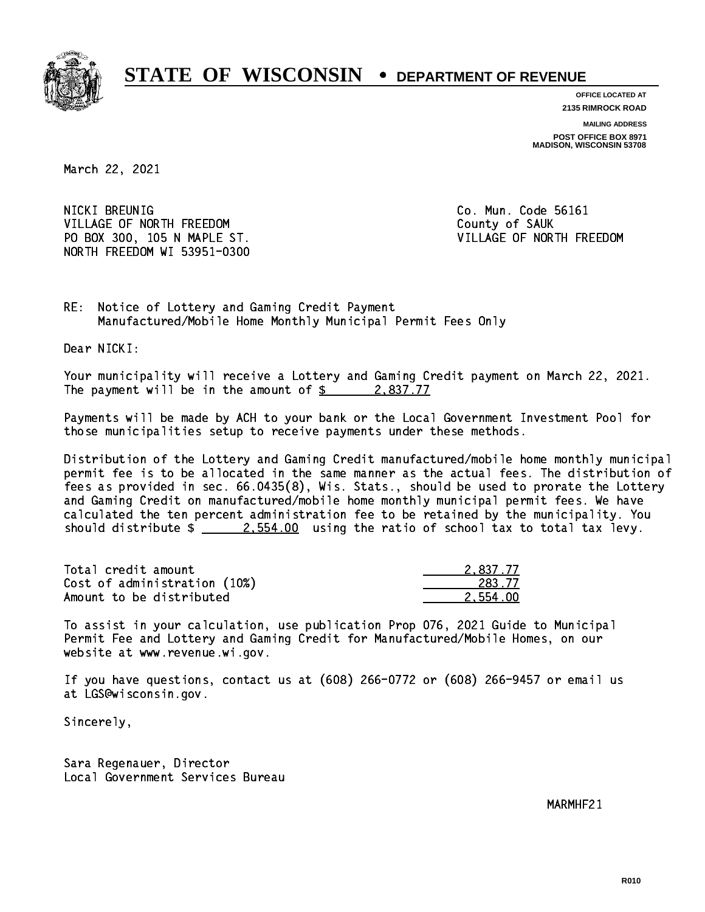

**OFFICE LOCATED AT 2135 RIMROCK ROAD**

**MAILING ADDRESS**

**POST OFFICE BOX 8971 MADISON, WISCONSIN 53708**

March 22, 2021

NICKI BREUNIG VILLAGE OF NORTH FREEDOM COUNTY OF SAUK PO BOX 300, 105 N MAPLE ST. SALL SERVICE STRANGE OF NORTH FREEDOM NORTH FREEDOM WI 53951-0300

Co. Mun. Code 56161

RE: Notice of Lottery and Gaming Credit Payment Manufactured/Mobile Home Monthly Municipal Permit Fees Only

Dear NICKI:

 Your municipality will receive a Lottery and Gaming Credit payment on March 22, 2021. The payment will be in the amount of  $\frac{2}{3}$  2,837.77

 Payments will be made by ACH to your bank or the Local Government Investment Pool for those municipalities setup to receive payments under these methods.

 Distribution of the Lottery and Gaming Credit manufactured/mobile home monthly municipal permit fee is to be allocated in the same manner as the actual fees. The distribution of fees as provided in sec. 66.0435(8), Wis. Stats., should be used to prorate the Lottery and Gaming Credit on manufactured/mobile home monthly municipal permit fees. We have calculated the ten percent administration fee to be retained by the municipality. You should distribute  $\frac{2.554.00}{2.554.00}$  using the ratio of school tax to total tax levy.

| Total credit amount          | 2.837.77 |
|------------------------------|----------|
| Cost of administration (10%) | 283.77   |
| Amount to be distributed     | 2,554.00 |

 To assist in your calculation, use publication Prop 076, 2021 Guide to Municipal Permit Fee and Lottery and Gaming Credit for Manufactured/Mobile Homes, on our website at www.revenue.wi.gov.

 If you have questions, contact us at (608) 266-0772 or (608) 266-9457 or email us at LGS@wisconsin.gov.

Sincerely,

 Sara Regenauer, Director Local Government Services Bureau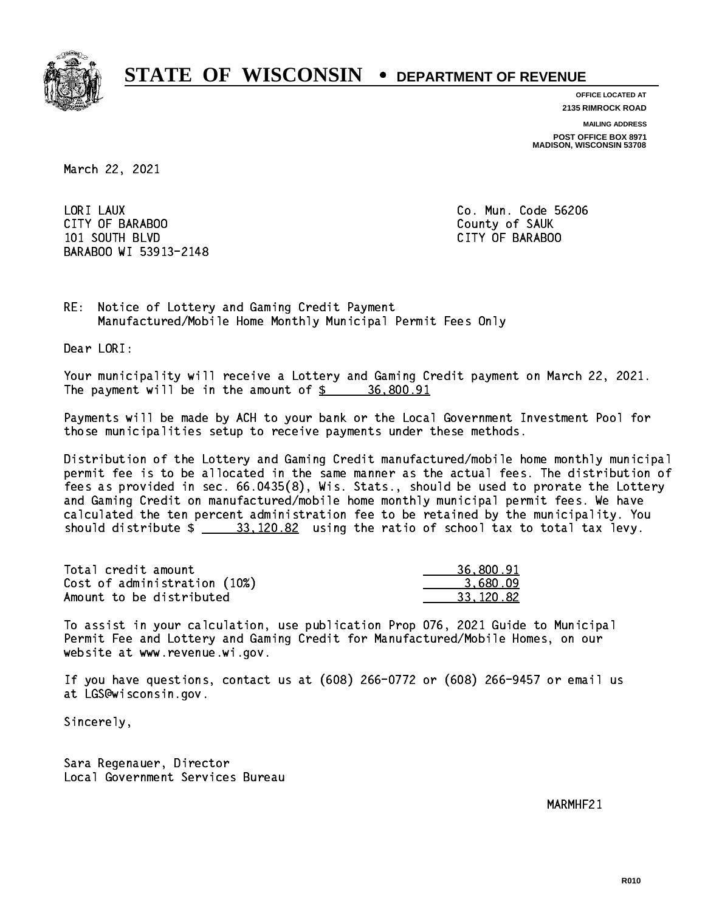

**OFFICE LOCATED AT 2135 RIMROCK ROAD**

**MAILING ADDRESS**

**POST OFFICE BOX 8971 MADISON, WISCONSIN 53708**

March 22, 2021

LORI LAUX CITY OF BARABOO County of SAUK 101 SOUTH BLVD CITY OF BARABOO BARABOO WI 53913-2148

Co. Mun. Code 56206

RE: Notice of Lottery and Gaming Credit Payment Manufactured/Mobile Home Monthly Municipal Permit Fees Only

Dear LORI:

 Your municipality will receive a Lottery and Gaming Credit payment on March 22, 2021. The payment will be in the amount of  $\frac{2}{3}$  36,800.91

 Payments will be made by ACH to your bank or the Local Government Investment Pool for those municipalities setup to receive payments under these methods.

 Distribution of the Lottery and Gaming Credit manufactured/mobile home monthly municipal permit fee is to be allocated in the same manner as the actual fees. The distribution of fees as provided in sec. 66.0435(8), Wis. Stats., should be used to prorate the Lottery and Gaming Credit on manufactured/mobile home monthly municipal permit fees. We have calculated the ten percent administration fee to be retained by the municipality. You should distribute  $\frac{20.82}{20.82}$  using the ratio of school tax to total tax levy.

| Total credit amount          | 36,800.91  |
|------------------------------|------------|
| Cost of administration (10%) | 3.680.09   |
| Amount to be distributed     | -33.120.82 |

 To assist in your calculation, use publication Prop 076, 2021 Guide to Municipal Permit Fee and Lottery and Gaming Credit for Manufactured/Mobile Homes, on our website at www.revenue.wi.gov.

 If you have questions, contact us at (608) 266-0772 or (608) 266-9457 or email us at LGS@wisconsin.gov.

Sincerely,

 Sara Regenauer, Director Local Government Services Bureau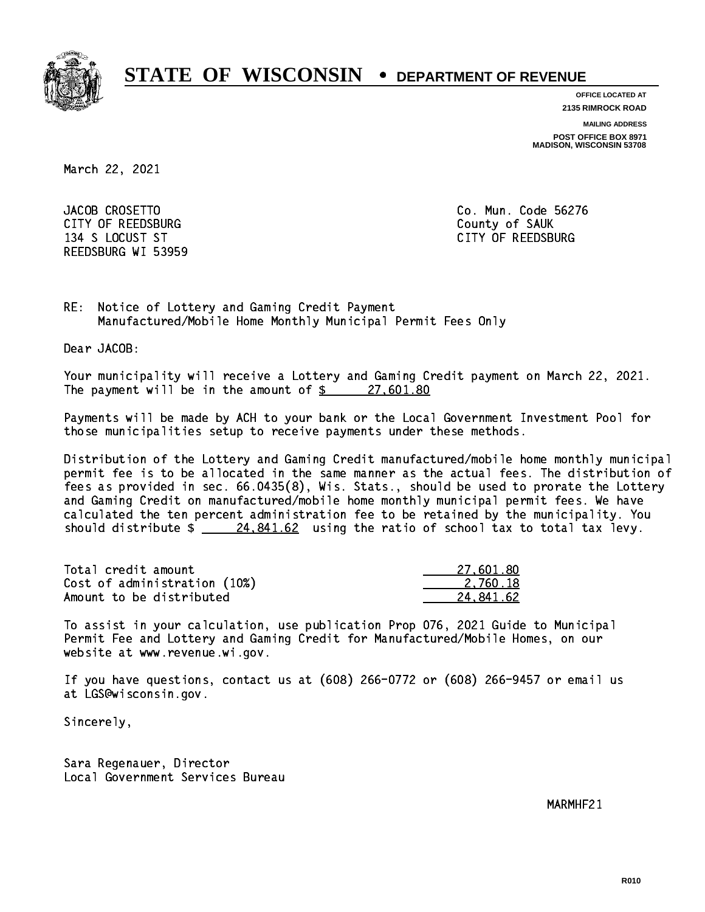

**OFFICE LOCATED AT**

**2135 RIMROCK ROAD**

**MAILING ADDRESS**

**POST OFFICE BOX 8971 MADISON, WISCONSIN 53708**

March 22, 2021

JACOB CROSETTO CITY OF REEDSBURG COUNTY COUNTY OF SAUK 134 S LOCUST ST CITY OF REEDSBURG REEDSBURG WI 53959

Co. Mun. Code 56276

RE: Notice of Lottery and Gaming Credit Payment Manufactured/Mobile Home Monthly Municipal Permit Fees Only

Dear JACOB:

 Your municipality will receive a Lottery and Gaming Credit payment on March 22, 2021. The payment will be in the amount of  $\frac{27,601.80}{27}$ 

 Payments will be made by ACH to your bank or the Local Government Investment Pool for those municipalities setup to receive payments under these methods.

 Distribution of the Lottery and Gaming Credit manufactured/mobile home monthly municipal permit fee is to be allocated in the same manner as the actual fees. The distribution of fees as provided in sec. 66.0435(8), Wis. Stats., should be used to prorate the Lottery and Gaming Credit on manufactured/mobile home monthly municipal permit fees. We have calculated the ten percent administration fee to be retained by the municipality. You should distribute  $\frac{24.841.62}{24.841.62}$  using the ratio of school tax to total tax levy.

| Total credit amount          | 27.601.80 |
|------------------------------|-----------|
| Cost of administration (10%) | 2.760.18  |
| Amount to be distributed     | 24.841.62 |

 To assist in your calculation, use publication Prop 076, 2021 Guide to Municipal Permit Fee and Lottery and Gaming Credit for Manufactured/Mobile Homes, on our website at www.revenue.wi.gov.

 If you have questions, contact us at (608) 266-0772 or (608) 266-9457 or email us at LGS@wisconsin.gov.

Sincerely,

 Sara Regenauer, Director Local Government Services Bureau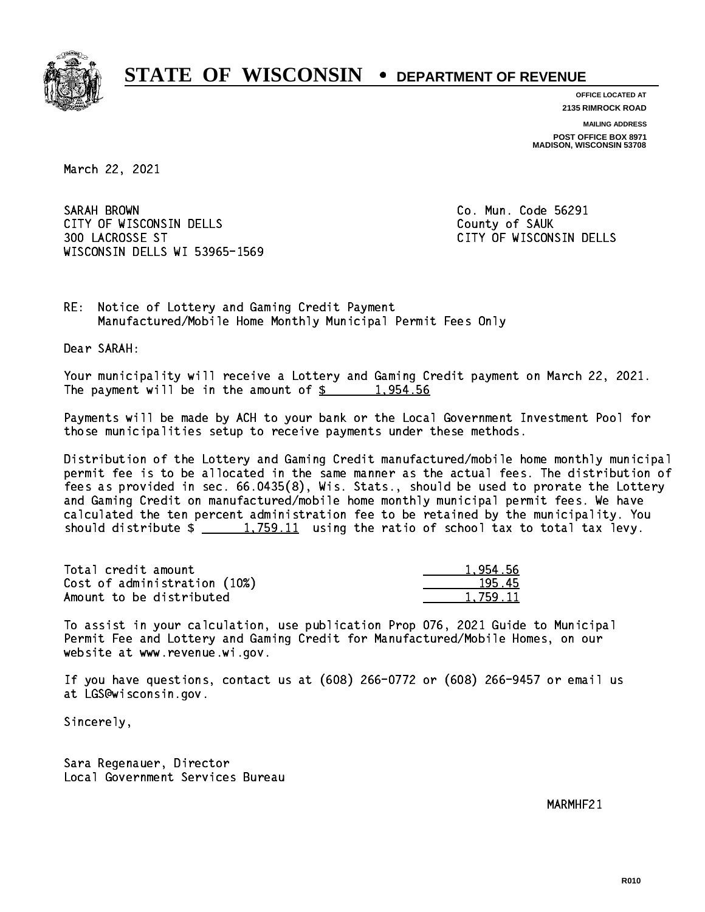

**OFFICE LOCATED AT 2135 RIMROCK ROAD**

**MAILING ADDRESS POST OFFICE BOX 8971 MADISON, WISCONSIN 53708**

March 22, 2021

SARAH BROWN CITY OF WISCONSIN DELLS COUNTY OF SAUK 300 LACROSSE ST CITY OF WISCONSIN DELLS WISCONSIN DELLS WI 53965-1569

Co. Mun. Code 56291

RE: Notice of Lottery and Gaming Credit Payment Manufactured/Mobile Home Monthly Municipal Permit Fees Only

Dear SARAH:

 Your municipality will receive a Lottery and Gaming Credit payment on March 22, 2021. The payment will be in the amount of  $\frac{2}{3}$  1,954.56

 Payments will be made by ACH to your bank or the Local Government Investment Pool for those municipalities setup to receive payments under these methods.

 Distribution of the Lottery and Gaming Credit manufactured/mobile home monthly municipal permit fee is to be allocated in the same manner as the actual fees. The distribution of fees as provided in sec. 66.0435(8), Wis. Stats., should be used to prorate the Lottery and Gaming Credit on manufactured/mobile home monthly municipal permit fees. We have calculated the ten percent administration fee to be retained by the municipality. You should distribute  $\frac{1,759.11}{1,759.11}$  using the ratio of school tax to total tax levy.

| Total credit amount          | 1.954.56 |
|------------------------------|----------|
| Cost of administration (10%) | 195.45   |
| Amount to be distributed     | 1.759.11 |

 To assist in your calculation, use publication Prop 076, 2021 Guide to Municipal Permit Fee and Lottery and Gaming Credit for Manufactured/Mobile Homes, on our website at www.revenue.wi.gov.

 If you have questions, contact us at (608) 266-0772 or (608) 266-9457 or email us at LGS@wisconsin.gov.

Sincerely,

 Sara Regenauer, Director Local Government Services Bureau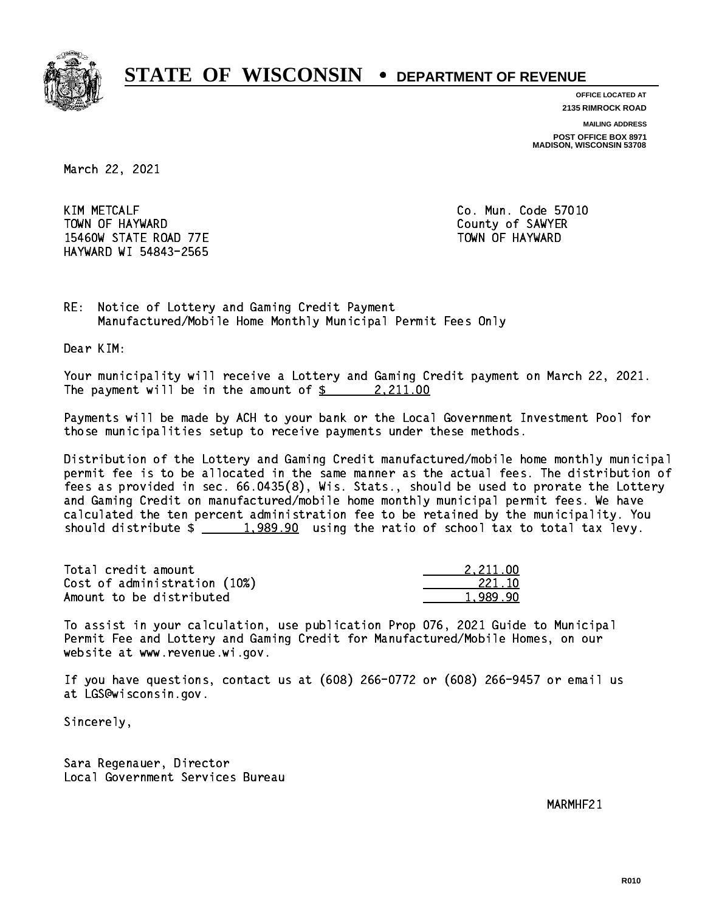

**OFFICE LOCATED AT 2135 RIMROCK ROAD**

**MAILING ADDRESS**

**POST OFFICE BOX 8971 MADISON, WISCONSIN 53708**

March 22, 2021

**KIM METCALF** TOWN OF HAYWARD COUNTY OF SAMPLE COUNTY OF SAMPLER 15460W STATE ROAD 77E TOWN OF HAYWARD HAYWARD WI 54843-2565

Co. Mun. Code 57010

RE: Notice of Lottery and Gaming Credit Payment Manufactured/Mobile Home Monthly Municipal Permit Fees Only

Dear KIM:

 Your municipality will receive a Lottery and Gaming Credit payment on March 22, 2021. The payment will be in the amount of  $\frac{2}{2}$  2,211.00

 Payments will be made by ACH to your bank or the Local Government Investment Pool for those municipalities setup to receive payments under these methods.

 Distribution of the Lottery and Gaming Credit manufactured/mobile home monthly municipal permit fee is to be allocated in the same manner as the actual fees. The distribution of fees as provided in sec. 66.0435(8), Wis. Stats., should be used to prorate the Lottery and Gaming Credit on manufactured/mobile home monthly municipal permit fees. We have calculated the ten percent administration fee to be retained by the municipality. You should distribute  $\frac{2}{1,989.90}$  using the ratio of school tax to total tax levy.

| Total credit amount          | 2.211.00 |
|------------------------------|----------|
| Cost of administration (10%) | 221.10   |
| Amount to be distributed     | 1.989.90 |

 To assist in your calculation, use publication Prop 076, 2021 Guide to Municipal Permit Fee and Lottery and Gaming Credit for Manufactured/Mobile Homes, on our website at www.revenue.wi.gov.

 If you have questions, contact us at (608) 266-0772 or (608) 266-9457 or email us at LGS@wisconsin.gov.

Sincerely,

 Sara Regenauer, Director Local Government Services Bureau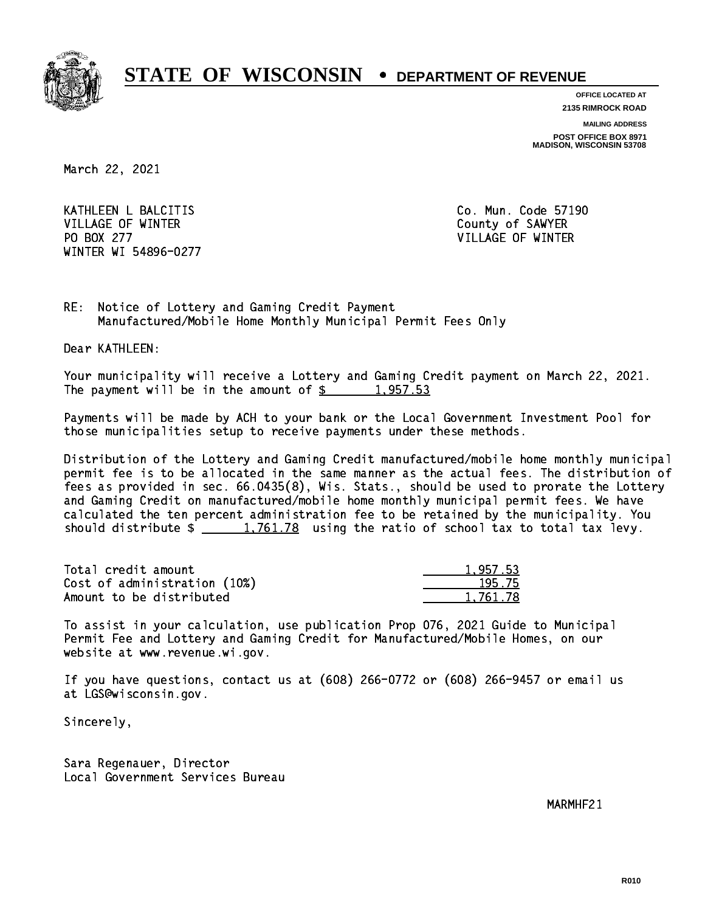

**OFFICE LOCATED AT**

**2135 RIMROCK ROAD**

**MAILING ADDRESS**

**POST OFFICE BOX 8971 MADISON, WISCONSIN 53708**

March 22, 2021

 KATHLEEN L BALCITIS Co. Mun. Code 57190 VILLAGE OF WINTER COUNTY OF SAMPLE COUNTY OF SAMPLE COUNTY OF SAMPLE COUNTY OF SAMPLE COUNTY OF SAMPLE COUNTY OF SAMPLE COUNTY OF SAMPLE COUNTY OF SAMPLE COUNTY OF SAMPLE COUNTY OF SAMPLE COUNTY OF SAMPLE COUNTY OF SAMPLE PO BOX 277 VILLAGE OF WINTER WINTER WI 54896-0277

RE: Notice of Lottery and Gaming Credit Payment Manufactured/Mobile Home Monthly Municipal Permit Fees Only

Dear KATHLEEN:

 Your municipality will receive a Lottery and Gaming Credit payment on March 22, 2021. The payment will be in the amount of  $\frac{2}{3}$  1,957.53

 Payments will be made by ACH to your bank or the Local Government Investment Pool for those municipalities setup to receive payments under these methods.

 Distribution of the Lottery and Gaming Credit manufactured/mobile home monthly municipal permit fee is to be allocated in the same manner as the actual fees. The distribution of fees as provided in sec. 66.0435(8), Wis. Stats., should be used to prorate the Lottery and Gaming Credit on manufactured/mobile home monthly municipal permit fees. We have calculated the ten percent administration fee to be retained by the municipality. You should distribute  $\frac{1,761.78}{1,761.78}$  using the ratio of school tax to total tax levy.

| Total credit amount          | 1.957.53 |
|------------------------------|----------|
| Cost of administration (10%) | 195.75   |
| Amount to be distributed     | 1.761.78 |

 To assist in your calculation, use publication Prop 076, 2021 Guide to Municipal Permit Fee and Lottery and Gaming Credit for Manufactured/Mobile Homes, on our website at www.revenue.wi.gov.

 If you have questions, contact us at (608) 266-0772 or (608) 266-9457 or email us at LGS@wisconsin.gov.

Sincerely,

 Sara Regenauer, Director Local Government Services Bureau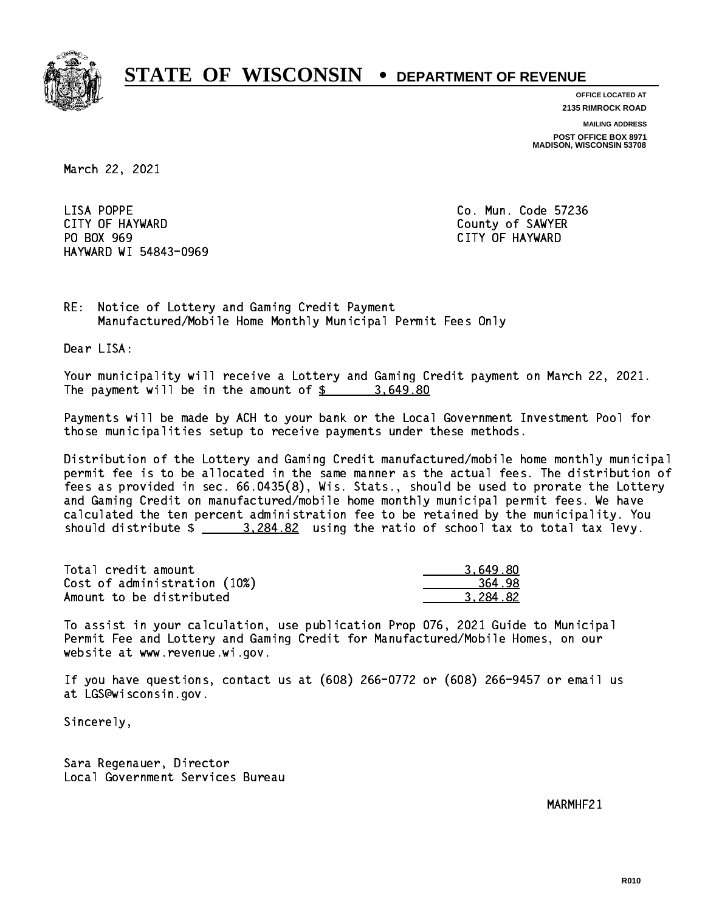

**OFFICE LOCATED AT**

**2135 RIMROCK ROAD**

**MAILING ADDRESS**

**POST OFFICE BOX 8971 MADISON, WISCONSIN 53708**

March 22, 2021

LISA POPPE CITY OF HAYWARD County of SAWYER PO BOX 969 PO BOX 969 CITY OF HAYWARD HAYWARD WI 54843-0969

Co. Mun. Code 57236

RE: Notice of Lottery and Gaming Credit Payment Manufactured/Mobile Home Monthly Municipal Permit Fees Only

Dear LISA:

 Your municipality will receive a Lottery and Gaming Credit payment on March 22, 2021. The payment will be in the amount of  $\frac{2}{3}$  3,649.80

 Payments will be made by ACH to your bank or the Local Government Investment Pool for those municipalities setup to receive payments under these methods.

 Distribution of the Lottery and Gaming Credit manufactured/mobile home monthly municipal permit fee is to be allocated in the same manner as the actual fees. The distribution of fees as provided in sec. 66.0435(8), Wis. Stats., should be used to prorate the Lottery and Gaming Credit on manufactured/mobile home monthly municipal permit fees. We have calculated the ten percent administration fee to be retained by the municipality. You should distribute  $\frac{2}{2}$   $\frac{3,284.82}{2}$  using the ratio of school tax to total tax levy.

| Total credit amount          | 3.649.80 |
|------------------------------|----------|
| Cost of administration (10%) | 364.98   |
| Amount to be distributed     | 3.284.82 |

 To assist in your calculation, use publication Prop 076, 2021 Guide to Municipal Permit Fee and Lottery and Gaming Credit for Manufactured/Mobile Homes, on our website at www.revenue.wi.gov.

 If you have questions, contact us at (608) 266-0772 or (608) 266-9457 or email us at LGS@wisconsin.gov.

Sincerely,

 Sara Regenauer, Director Local Government Services Bureau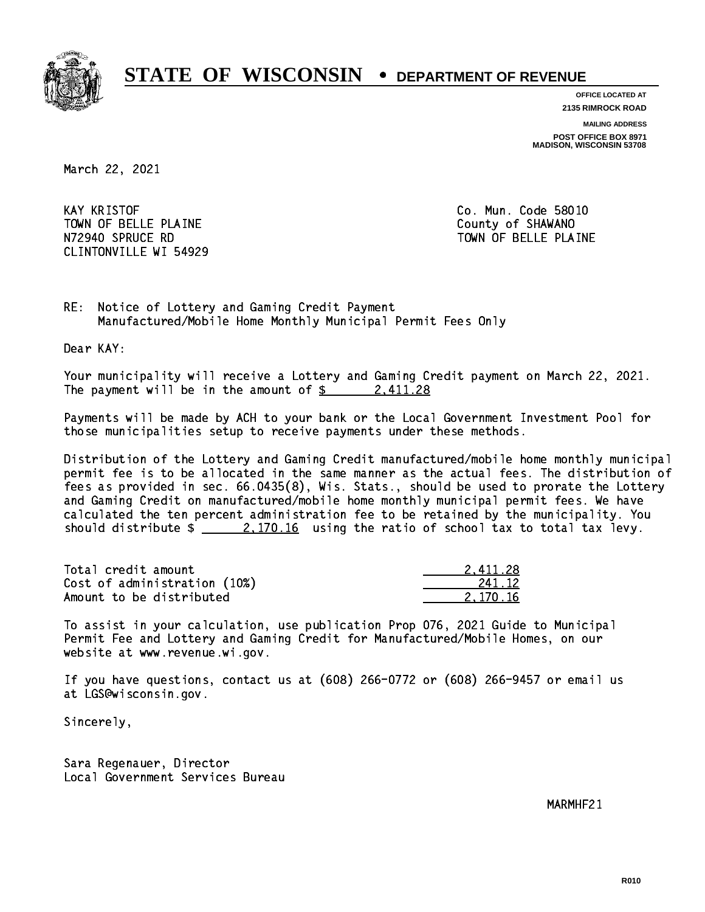

**OFFICE LOCATED AT**

**2135 RIMROCK ROAD**

**MAILING ADDRESS POST OFFICE BOX 8971 MADISON, WISCONSIN 53708**

March 22, 2021

**KAY KRISTOF** TOWN OF BELLE PLAINE **COUNTY OF SHAWANO**  N72940 SPRUCE RD TOWN OF BELLE PLAINE CLINTONVILLE WI 54929

Co. Mun. Code 58010

RE: Notice of Lottery and Gaming Credit Payment Manufactured/Mobile Home Monthly Municipal Permit Fees Only

Dear KAY:

 Your municipality will receive a Lottery and Gaming Credit payment on March 22, 2021. The payment will be in the amount of  $\frac{2411.28}{240}$ 

 Payments will be made by ACH to your bank or the Local Government Investment Pool for those municipalities setup to receive payments under these methods.

 Distribution of the Lottery and Gaming Credit manufactured/mobile home monthly municipal permit fee is to be allocated in the same manner as the actual fees. The distribution of fees as provided in sec. 66.0435(8), Wis. Stats., should be used to prorate the Lottery and Gaming Credit on manufactured/mobile home monthly municipal permit fees. We have calculated the ten percent administration fee to be retained by the municipality. You should distribute  $\frac{2.170.16}{2.170.16}$  using the ratio of school tax to total tax levy.

| Total credit amount          | 2.411.28 |
|------------------------------|----------|
| Cost of administration (10%) | 241.12   |
| Amount to be distributed     | 2.170.16 |

 To assist in your calculation, use publication Prop 076, 2021 Guide to Municipal Permit Fee and Lottery and Gaming Credit for Manufactured/Mobile Homes, on our website at www.revenue.wi.gov.

 If you have questions, contact us at (608) 266-0772 or (608) 266-9457 or email us at LGS@wisconsin.gov.

Sincerely,

 Sara Regenauer, Director Local Government Services Bureau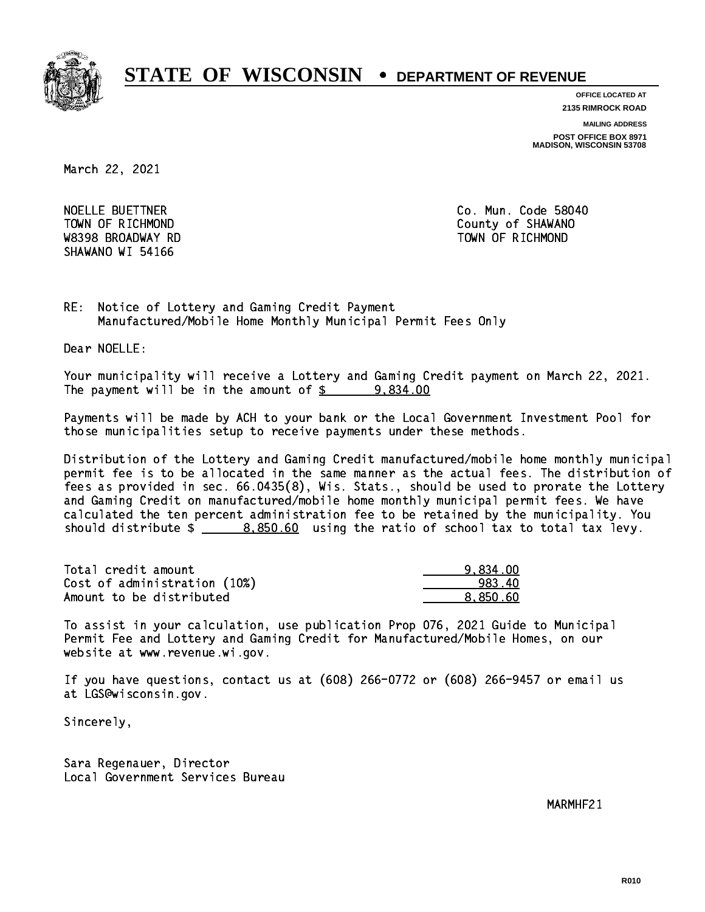

**OFFICE LOCATED AT**

**2135 RIMROCK ROAD**

**MAILING ADDRESS**

**POST OFFICE BOX 8971 MADISON, WISCONSIN 53708**

March 22, 2021

NOELLE BUETTNER W8398 BROADWAY RD TOWN OF RICHMOND SHAWANO WI 54166

Co. Mun. Code 58040 TOWN OF RICHMOND COUNTY OF SHAWANO

RE: Notice of Lottery and Gaming Credit Payment Manufactured/Mobile Home Monthly Municipal Permit Fees Only

Dear NOELLE:

 Your municipality will receive a Lottery and Gaming Credit payment on March 22, 2021. The payment will be in the amount of  $\frac{2}{3}$  9,834.00

 Payments will be made by ACH to your bank or the Local Government Investment Pool for those municipalities setup to receive payments under these methods.

 Distribution of the Lottery and Gaming Credit manufactured/mobile home monthly municipal permit fee is to be allocated in the same manner as the actual fees. The distribution of fees as provided in sec. 66.0435(8), Wis. Stats., should be used to prorate the Lottery and Gaming Credit on manufactured/mobile home monthly municipal permit fees. We have calculated the ten percent administration fee to be retained by the municipality. You should distribute  $\frac{2}{2}$   $\frac{8,850.60}{2}$  using the ratio of school tax to total tax levy.

| Total credit amount          | 9.834.00 |
|------------------------------|----------|
| Cost of administration (10%) | 983.40   |
| Amount to be distributed     | 8.850.60 |

 To assist in your calculation, use publication Prop 076, 2021 Guide to Municipal Permit Fee and Lottery and Gaming Credit for Manufactured/Mobile Homes, on our website at www.revenue.wi.gov.

 If you have questions, contact us at (608) 266-0772 or (608) 266-9457 or email us at LGS@wisconsin.gov.

Sincerely,

 Sara Regenauer, Director Local Government Services Bureau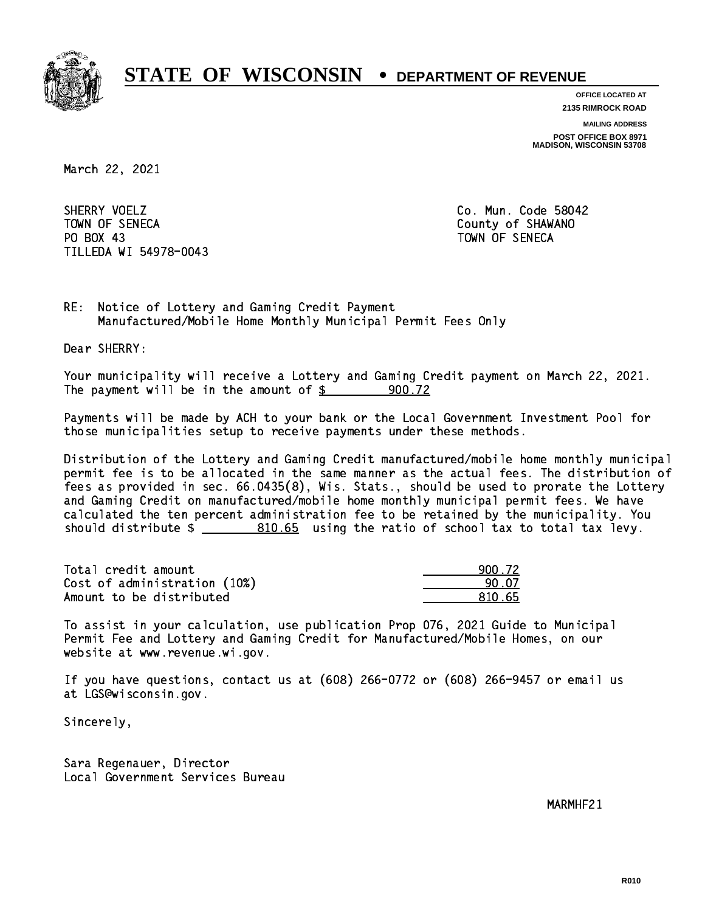

**OFFICE LOCATED AT**

**2135 RIMROCK ROAD**

**MAILING ADDRESS**

**POST OFFICE BOX 8971 MADISON, WISCONSIN 53708**

March 22, 2021

SHERRY VOELZ TOWN OF SENECA County of SHAWANO PO BOX 43 PO BOX 43 TOWN OF SENECA TILLEDA WI 54978-0043

Co. Mun. Code 58042

RE: Notice of Lottery and Gaming Credit Payment Manufactured/Mobile Home Monthly Municipal Permit Fees Only

Dear SHERRY:

 Your municipality will receive a Lottery and Gaming Credit payment on March 22, 2021. The payment will be in the amount of  $\frac{2}{3}$ 900.72

 Payments will be made by ACH to your bank or the Local Government Investment Pool for those municipalities setup to receive payments under these methods.

 Distribution of the Lottery and Gaming Credit manufactured/mobile home monthly municipal permit fee is to be allocated in the same manner as the actual fees. The distribution of fees as provided in sec. 66.0435(8), Wis. Stats., should be used to prorate the Lottery and Gaming Credit on manufactured/mobile home monthly municipal permit fees. We have calculated the ten percent administration fee to be retained by the municipality. You should distribute  $\frac{2}{2}$   $\frac{810.65}{2}$  using the ratio of school tax to total tax levy.

Total credit amount Cost of administration  $(10%)$ Amount to be distributed

| N. 72  |
|--------|
| L 07.  |
| 810.65 |

 To assist in your calculation, use publication Prop 076, 2021 Guide to Municipal Permit Fee and Lottery and Gaming Credit for Manufactured/Mobile Homes, on our website at www.revenue.wi.gov.

 If you have questions, contact us at (608) 266-0772 or (608) 266-9457 or email us at LGS@wisconsin.gov.

Sincerely,

 Sara Regenauer, Director Local Government Services Bureau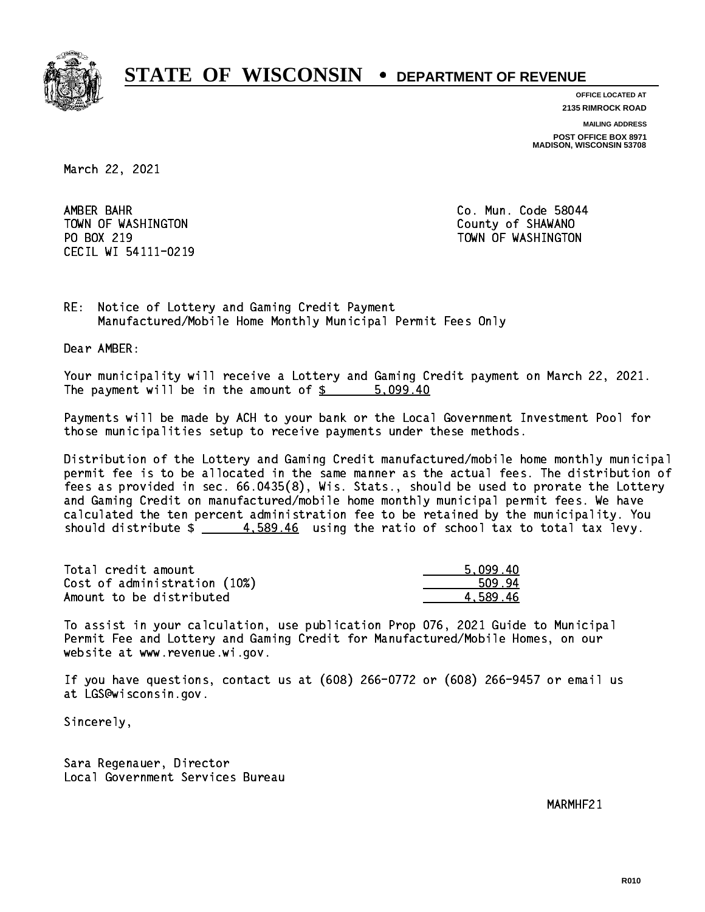

**OFFICE LOCATED AT**

**2135 RIMROCK ROAD**

**MAILING ADDRESS**

**POST OFFICE BOX 8971 MADISON, WISCONSIN 53708**

March 22, 2021

AMBER BAHR TOWN OF WASHINGTON COUNTY OF SHAWANO PO BOX 219 CECIL WI 54111-0219

Co. Mun. Code 58044 TOWN OF WASHINGTON

RE: Notice of Lottery and Gaming Credit Payment Manufactured/Mobile Home Monthly Municipal Permit Fees Only

Dear AMBER:

 Your municipality will receive a Lottery and Gaming Credit payment on March 22, 2021. The payment will be in the amount of \$ 5,099.40 \_\_\_\_\_\_\_\_\_\_\_\_\_\_\_\_

 Payments will be made by ACH to your bank or the Local Government Investment Pool for those municipalities setup to receive payments under these methods.

 Distribution of the Lottery and Gaming Credit manufactured/mobile home monthly municipal permit fee is to be allocated in the same manner as the actual fees. The distribution of fees as provided in sec. 66.0435(8), Wis. Stats., should be used to prorate the Lottery and Gaming Credit on manufactured/mobile home monthly municipal permit fees. We have calculated the ten percent administration fee to be retained by the municipality. You should distribute  $\frac{4.589.46}{2}$  using the ratio of school tax to total tax levy.

| Total credit amount          | 5.099.40 |
|------------------------------|----------|
| Cost of administration (10%) | 509.94   |
| Amount to be distributed     | 4.589.46 |

 To assist in your calculation, use publication Prop 076, 2021 Guide to Municipal Permit Fee and Lottery and Gaming Credit for Manufactured/Mobile Homes, on our website at www.revenue.wi.gov.

 If you have questions, contact us at (608) 266-0772 or (608) 266-9457 or email us at LGS@wisconsin.gov.

Sincerely,

 Sara Regenauer, Director Local Government Services Bureau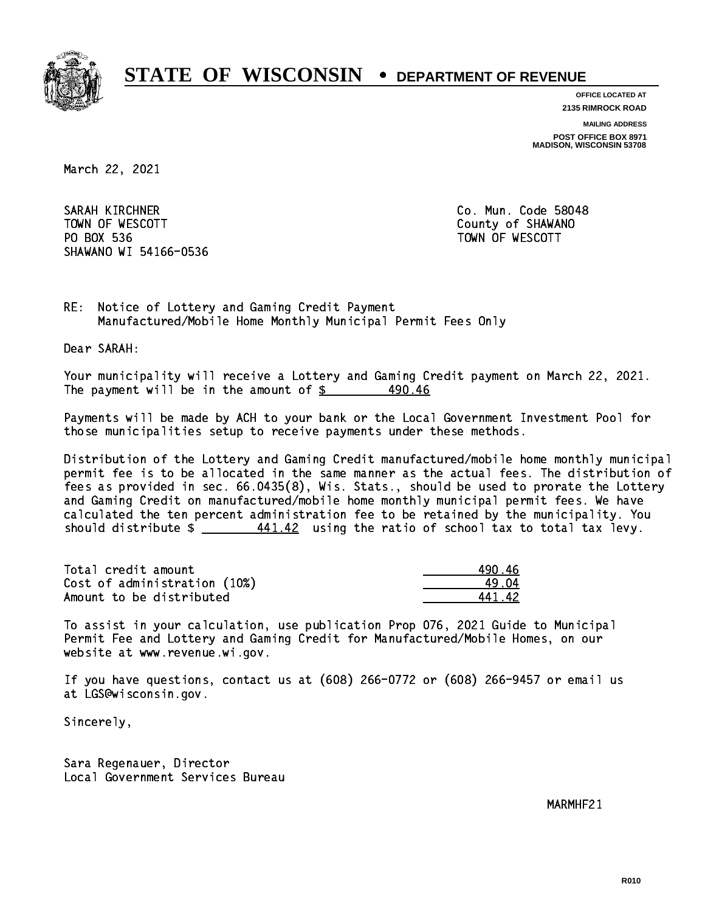

**OFFICE LOCATED AT**

**2135 RIMROCK ROAD**

**MAILING ADDRESS**

**POST OFFICE BOX 8971 MADISON, WISCONSIN 53708**

March 22, 2021

SARAH KIRCHNER CO. Mun. Code 58048 TOWN OF WESCOTT COUNTY OF SHAWANO PO BOX 536 PO BOX 536 TOWN OF WESCOTT SHAWANO WI 54166-0536

RE: Notice of Lottery and Gaming Credit Payment Manufactured/Mobile Home Monthly Municipal Permit Fees Only

Dear SARAH:

 Your municipality will receive a Lottery and Gaming Credit payment on March 22, 2021. The payment will be in the amount of  $\frac{2}{3}$ 490.46

 Payments will be made by ACH to your bank or the Local Government Investment Pool for those municipalities setup to receive payments under these methods.

 Distribution of the Lottery and Gaming Credit manufactured/mobile home monthly municipal permit fee is to be allocated in the same manner as the actual fees. The distribution of fees as provided in sec. 66.0435(8), Wis. Stats., should be used to prorate the Lottery and Gaming Credit on manufactured/mobile home monthly municipal permit fees. We have calculated the ten percent administration fee to be retained by the municipality. You should distribute  $\frac{441.42}{2}$  using the ratio of school tax to total tax levy.

| Total credit amount          | 490 46 |
|------------------------------|--------|
| Cost of administration (10%) | 19 N.A |
| Amount to be distributed     | 44142  |

441.42

 To assist in your calculation, use publication Prop 076, 2021 Guide to Municipal Permit Fee and Lottery and Gaming Credit for Manufactured/Mobile Homes, on our website at www.revenue.wi.gov.

 If you have questions, contact us at (608) 266-0772 or (608) 266-9457 or email us at LGS@wisconsin.gov.

Sincerely,

 Sara Regenauer, Director Local Government Services Bureau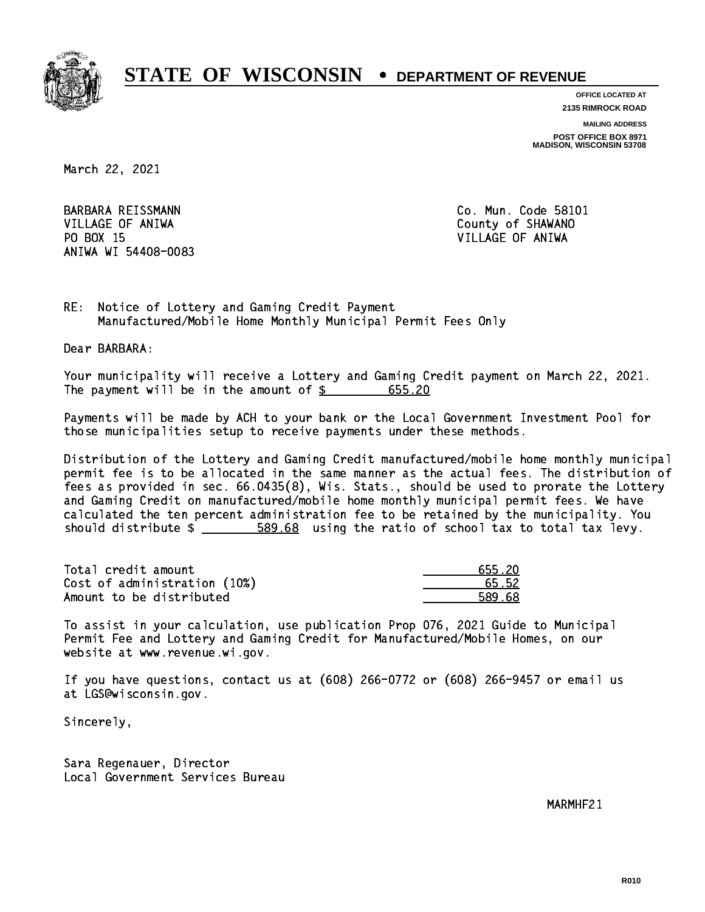

**OFFICE LOCATED AT**

**2135 RIMROCK ROAD**

**MAILING ADDRESS**

**POST OFFICE BOX 8971 MADISON, WISCONSIN 53708**

March 22, 2021

 VILLAGE OF ANIWA County of SHAWANO PO BOX 15 PO BOX 15 VILLAGE OF ANIWA ANIWA WI 54408-0083

BARBARA REISSMANN Co. Mun. Code 58101

RE: Notice of Lottery and Gaming Credit Payment Manufactured/Mobile Home Monthly Municipal Permit Fees Only

Dear BARBARA:

 Your municipality will receive a Lottery and Gaming Credit payment on March 22, 2021. The payment will be in the amount of \$ 655.20 \_\_\_\_\_\_\_\_\_\_\_\_\_\_\_\_

 Payments will be made by ACH to your bank or the Local Government Investment Pool for those municipalities setup to receive payments under these methods.

 Distribution of the Lottery and Gaming Credit manufactured/mobile home monthly municipal permit fee is to be allocated in the same manner as the actual fees. The distribution of fees as provided in sec. 66.0435(8), Wis. Stats., should be used to prorate the Lottery and Gaming Credit on manufactured/mobile home monthly municipal permit fees. We have calculated the ten percent administration fee to be retained by the municipality. You should distribute  $\frac{2}{1}$   $\frac{589.68}{68}$  using the ratio of school tax to total tax levy.

| Total credit amount          | 655.20 |
|------------------------------|--------|
| Cost of administration (10%) | 65.52  |
| Amount to be distributed     | 589.68 |

 To assist in your calculation, use publication Prop 076, 2021 Guide to Municipal Permit Fee and Lottery and Gaming Credit for Manufactured/Mobile Homes, on our website at www.revenue.wi.gov.

 If you have questions, contact us at (608) 266-0772 or (608) 266-9457 or email us at LGS@wisconsin.gov.

Sincerely,

 Sara Regenauer, Director Local Government Services Bureau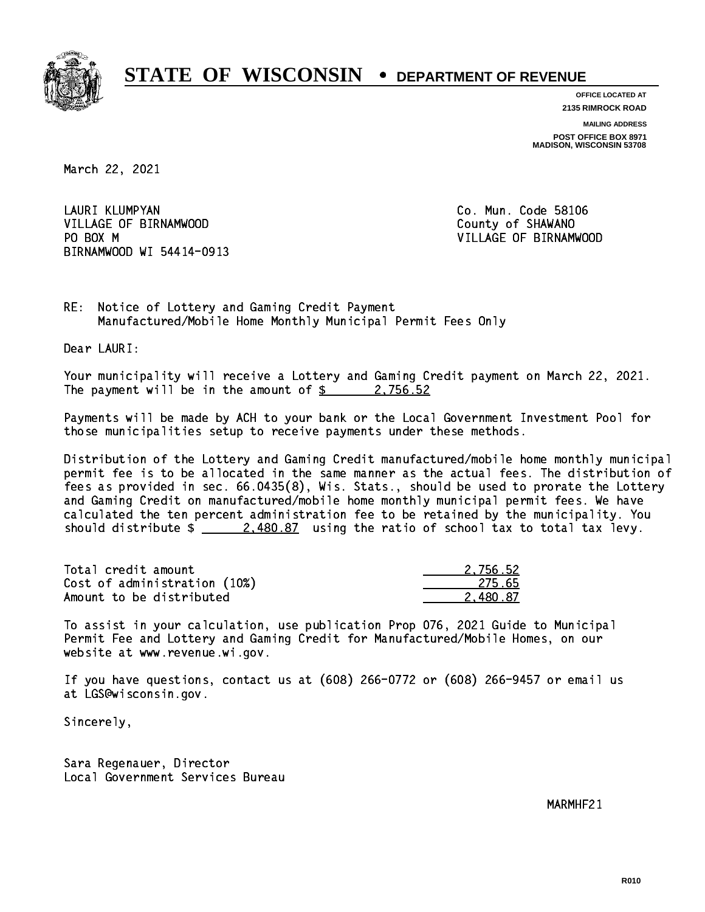

**OFFICE LOCATED AT 2135 RIMROCK ROAD**

**MAILING ADDRESS**

**POST OFFICE BOX 8971 MADISON, WISCONSIN 53708**

March 22, 2021

 LAURI KLUMPYAN Co. Mun. Code 58106 VILLAGE OF BIRNAMWOOD **County of SHAWANO** PO BOX M BIRNAMWOOD WI 54414-0913

VILLAGE OF BIRNAMWOOD

RE: Notice of Lottery and Gaming Credit Payment Manufactured/Mobile Home Monthly Municipal Permit Fees Only

Dear LAURI:

 Your municipality will receive a Lottery and Gaming Credit payment on March 22, 2021. The payment will be in the amount of  $\frac{2}{3}$  2,756.52

 Payments will be made by ACH to your bank or the Local Government Investment Pool for those municipalities setup to receive payments under these methods.

 Distribution of the Lottery and Gaming Credit manufactured/mobile home monthly municipal permit fee is to be allocated in the same manner as the actual fees. The distribution of fees as provided in sec. 66.0435(8), Wis. Stats., should be used to prorate the Lottery and Gaming Credit on manufactured/mobile home monthly municipal permit fees. We have calculated the ten percent administration fee to be retained by the municipality. You should distribute  $\frac{2.480.87}{2.480.87}$  using the ratio of school tax to total tax levy.

| Total credit amount          | 2.756.52 |
|------------------------------|----------|
| Cost of administration (10%) | 275.65   |
| Amount to be distributed     | 2.480.87 |

 To assist in your calculation, use publication Prop 076, 2021 Guide to Municipal Permit Fee and Lottery and Gaming Credit for Manufactured/Mobile Homes, on our website at www.revenue.wi.gov.

 If you have questions, contact us at (608) 266-0772 or (608) 266-9457 or email us at LGS@wisconsin.gov.

Sincerely,

 Sara Regenauer, Director Local Government Services Bureau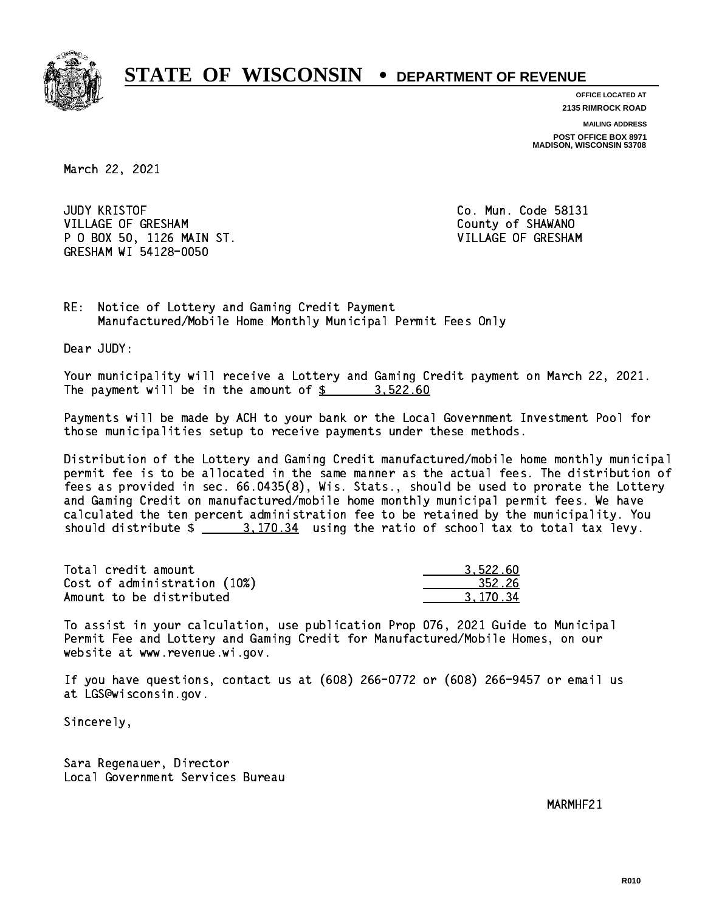

**OFFICE LOCATED AT**

**2135 RIMROCK ROAD**

**MAILING ADDRESS POST OFFICE BOX 8971 MADISON, WISCONSIN 53708**

March 22, 2021

**JUDY KRISTOF** VILLAGE OF GRESHAM COUNTY OF SHAWANO P O BOX 50, 1126 MAIN ST. VILLAGE OF GRESHAM GRESHAM WI 54128-0050

Co. Mun. Code 58131

RE: Notice of Lottery and Gaming Credit Payment Manufactured/Mobile Home Monthly Municipal Permit Fees Only

Dear JUDY:

 Your municipality will receive a Lottery and Gaming Credit payment on March 22, 2021. The payment will be in the amount of  $\frac{2}{3}$  3,522.60

 Payments will be made by ACH to your bank or the Local Government Investment Pool for those municipalities setup to receive payments under these methods.

 Distribution of the Lottery and Gaming Credit manufactured/mobile home monthly municipal permit fee is to be allocated in the same manner as the actual fees. The distribution of fees as provided in sec. 66.0435(8), Wis. Stats., should be used to prorate the Lottery and Gaming Credit on manufactured/mobile home monthly municipal permit fees. We have calculated the ten percent administration fee to be retained by the municipality. You should distribute  $\frac{2}{1}$   $\frac{3}{170.34}$  using the ratio of school tax to total tax levy.

| Total credit amount          | 3.522.60 |
|------------------------------|----------|
| Cost of administration (10%) | 352.26   |
| Amount to be distributed     | 3.170.34 |

 To assist in your calculation, use publication Prop 076, 2021 Guide to Municipal Permit Fee and Lottery and Gaming Credit for Manufactured/Mobile Homes, on our website at www.revenue.wi.gov.

 If you have questions, contact us at (608) 266-0772 or (608) 266-9457 or email us at LGS@wisconsin.gov.

Sincerely,

 Sara Regenauer, Director Local Government Services Bureau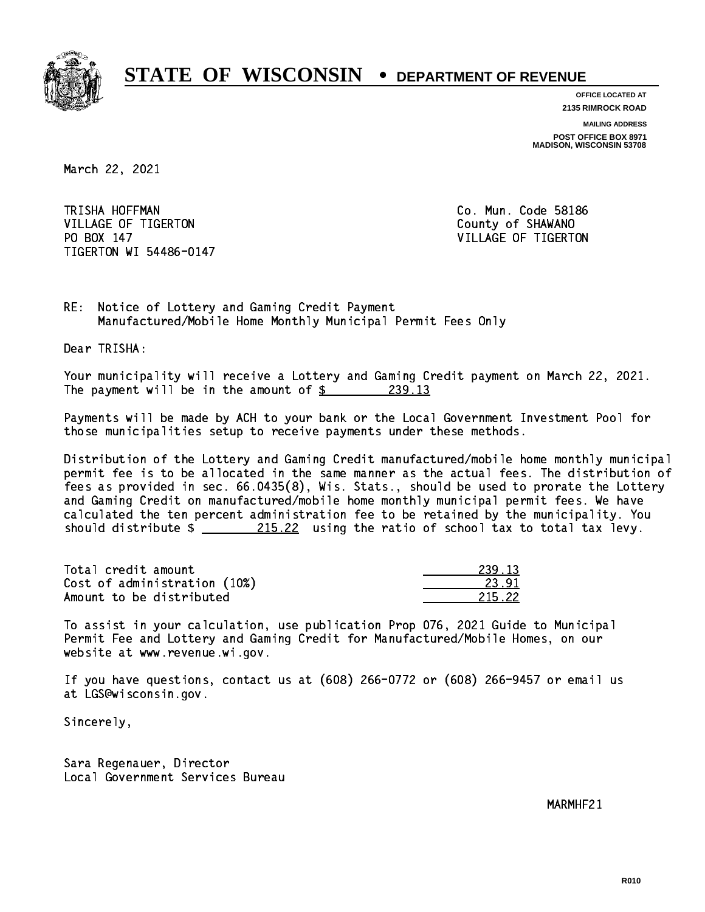

**OFFICE LOCATED AT 2135 RIMROCK ROAD**

**MAILING ADDRESS**

**POST OFFICE BOX 8971 MADISON, WISCONSIN 53708**

March 22, 2021

TRISHA HOFFMAN VILLAGE OF TIGERTON COUNTY OF SHAWANO PO BOX 147 TIGERTON WI 54486-0147

Co. Mun. Code 58186 VILLAGE OF TIGERTON

RE: Notice of Lottery and Gaming Credit Payment Manufactured/Mobile Home Monthly Municipal Permit Fees Only

Dear TRISHA:

 Your municipality will receive a Lottery and Gaming Credit payment on March 22, 2021. The payment will be in the amount of  $\frac{239.13}{2}$ 

 Payments will be made by ACH to your bank or the Local Government Investment Pool for those municipalities setup to receive payments under these methods.

 Distribution of the Lottery and Gaming Credit manufactured/mobile home monthly municipal permit fee is to be allocated in the same manner as the actual fees. The distribution of fees as provided in sec. 66.0435(8), Wis. Stats., should be used to prorate the Lottery and Gaming Credit on manufactured/mobile home monthly municipal permit fees. We have calculated the ten percent administration fee to be retained by the municipality. You should distribute  $\frac{215.22}{215.22}$  using the ratio of school tax to total tax levy.

Total credit amount Cost of administration (10%) Amount to be distributed

| 12         |
|------------|
| ''         |
| 5.22<br>21 |

 To assist in your calculation, use publication Prop 076, 2021 Guide to Municipal Permit Fee and Lottery and Gaming Credit for Manufactured/Mobile Homes, on our website at www.revenue.wi.gov.

 If you have questions, contact us at (608) 266-0772 or (608) 266-9457 or email us at LGS@wisconsin.gov.

Sincerely,

 Sara Regenauer, Director Local Government Services Bureau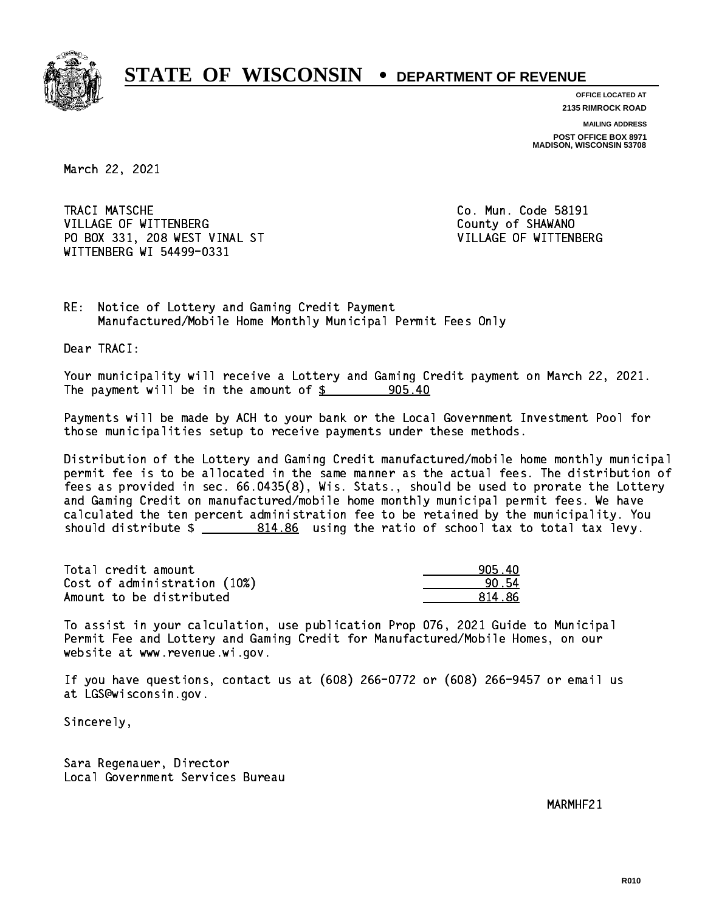

**OFFICE LOCATED AT**

**2135 RIMROCK ROAD**

**MAILING ADDRESS POST OFFICE BOX 8971 MADISON, WISCONSIN 53708**

March 22, 2021

TRACI MATSCHE VILLAGE OF WITTENBERG COUNTY OF SHAWANO PO BOX 331, 208 WEST VINAL ST VILLAGE OF WITTENBERG WITTENBERG WI 54499-0331

Co. Mun. Code 58191

RE: Notice of Lottery and Gaming Credit Payment Manufactured/Mobile Home Monthly Municipal Permit Fees Only

Dear TRACI:

 Your municipality will receive a Lottery and Gaming Credit payment on March 22, 2021. The payment will be in the amount of  $\frac{2}{3}$  905.40

 Payments will be made by ACH to your bank or the Local Government Investment Pool for those municipalities setup to receive payments under these methods.

 Distribution of the Lottery and Gaming Credit manufactured/mobile home monthly municipal permit fee is to be allocated in the same manner as the actual fees. The distribution of fees as provided in sec. 66.0435(8), Wis. Stats., should be used to prorate the Lottery and Gaming Credit on manufactured/mobile home monthly municipal permit fees. We have calculated the ten percent administration fee to be retained by the municipality. You should distribute  $\frac{2}{2}$   $\frac{814.86}{2}$  using the ratio of school tax to total tax levy.

| Total credit amount          | 905.40 |
|------------------------------|--------|
| Cost of administration (10%) | 90.54  |
| Amount to be distributed     | 814.86 |

 To assist in your calculation, use publication Prop 076, 2021 Guide to Municipal Permit Fee and Lottery and Gaming Credit for Manufactured/Mobile Homes, on our website at www.revenue.wi.gov.

 If you have questions, contact us at (608) 266-0772 or (608) 266-9457 or email us at LGS@wisconsin.gov.

Sincerely,

 Sara Regenauer, Director Local Government Services Bureau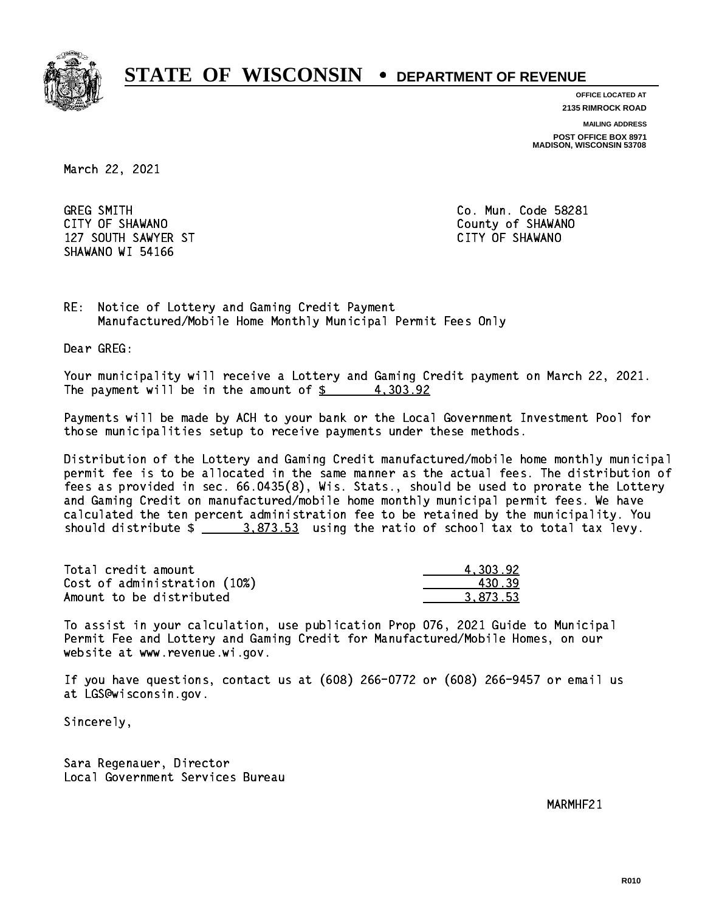

**OFFICE LOCATED AT**

**2135 RIMROCK ROAD**

**MAILING ADDRESS**

**POST OFFICE BOX 8971 MADISON, WISCONSIN 53708**

March 22, 2021

**GREG SMITH** CITY OF SHAWANO **COULD AND SHAWANO COULD AND SHAWANO**  127 SOUTH SAWYER ST CITY OF SHAWANO SHAWANO WI 54166

Co. Mun. Code 58281

RE: Notice of Lottery and Gaming Credit Payment Manufactured/Mobile Home Monthly Municipal Permit Fees Only

Dear GREG:

 Your municipality will receive a Lottery and Gaming Credit payment on March 22, 2021. The payment will be in the amount of  $\frac{2}{3}$  4,303.92

 Payments will be made by ACH to your bank or the Local Government Investment Pool for those municipalities setup to receive payments under these methods.

 Distribution of the Lottery and Gaming Credit manufactured/mobile home monthly municipal permit fee is to be allocated in the same manner as the actual fees. The distribution of fees as provided in sec. 66.0435(8), Wis. Stats., should be used to prorate the Lottery and Gaming Credit on manufactured/mobile home monthly municipal permit fees. We have calculated the ten percent administration fee to be retained by the municipality. You should distribute  $\frac{2}{2}$   $\frac{3.873.53}{2}$  using the ratio of school tax to total tax levy.

| Total credit amount          | 4.303.92 |
|------------------------------|----------|
| Cost of administration (10%) | 430.39   |
| Amount to be distributed     | 3.873.53 |

 To assist in your calculation, use publication Prop 076, 2021 Guide to Municipal Permit Fee and Lottery and Gaming Credit for Manufactured/Mobile Homes, on our website at www.revenue.wi.gov.

 If you have questions, contact us at (608) 266-0772 or (608) 266-9457 or email us at LGS@wisconsin.gov.

Sincerely,

 Sara Regenauer, Director Local Government Services Bureau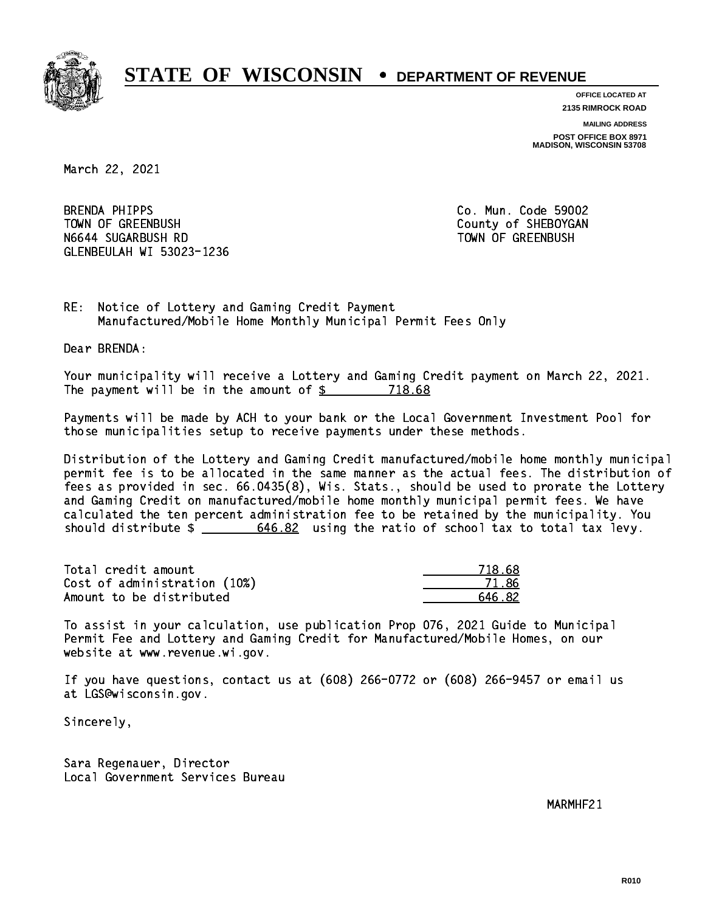

**OFFICE LOCATED AT**

**2135 RIMROCK ROAD**

**MAILING ADDRESS**

**POST OFFICE BOX 8971 MADISON, WISCONSIN 53708**

March 22, 2021

**BRENDA PHIPPS** TOWN OF GREENBUSH County of SHEBOYGAN N6644 SUGARBUSH RD TOWN OF GREENBUSH GLENBEULAH WI 53023-1236

Co. Mun. Code 59002

RE: Notice of Lottery and Gaming Credit Payment Manufactured/Mobile Home Monthly Municipal Permit Fees Only

Dear BRENDA:

 Your municipality will receive a Lottery and Gaming Credit payment on March 22, 2021. The payment will be in the amount of \$ 718.68 \_\_\_\_\_\_\_\_\_\_\_\_\_\_\_\_

 Payments will be made by ACH to your bank or the Local Government Investment Pool for those municipalities setup to receive payments under these methods.

 Distribution of the Lottery and Gaming Credit manufactured/mobile home monthly municipal permit fee is to be allocated in the same manner as the actual fees. The distribution of fees as provided in sec. 66.0435(8), Wis. Stats., should be used to prorate the Lottery and Gaming Credit on manufactured/mobile home monthly municipal permit fees. We have calculated the ten percent administration fee to be retained by the municipality. You should distribute  $\frac{2}{\sqrt{5}}$   $\frac{646.82}{\sqrt{5}}$  using the ratio of school tax to total tax levy.

Total credit amount Cost of administration (10%) Amount to be distributed

| 8. 68<br>71) |
|--------------|
| 71.86        |
| 446.82       |

 To assist in your calculation, use publication Prop 076, 2021 Guide to Municipal Permit Fee and Lottery and Gaming Credit for Manufactured/Mobile Homes, on our website at www.revenue.wi.gov.

 If you have questions, contact us at (608) 266-0772 or (608) 266-9457 or email us at LGS@wisconsin.gov.

Sincerely,

 Sara Regenauer, Director Local Government Services Bureau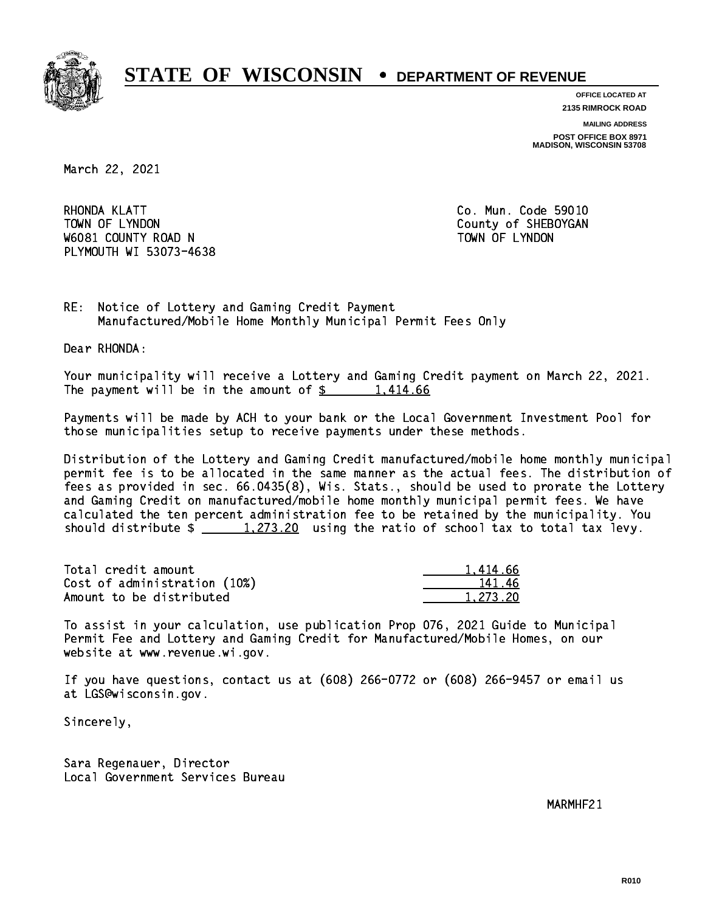

**OFFICE LOCATED AT 2135 RIMROCK ROAD**

**MAILING ADDRESS**

**POST OFFICE BOX 8971 MADISON, WISCONSIN 53708**

March 22, 2021

RHONDA KLATT TOWN OF LYNDON COUNTY OF SHEBOYGAN W6081 COUNTY ROAD N TOWN OF LYNDON PLYMOUTH WI 53073-4638

Co. Mun. Code 59010

RE: Notice of Lottery and Gaming Credit Payment Manufactured/Mobile Home Monthly Municipal Permit Fees Only

Dear RHONDA:

 Your municipality will receive a Lottery and Gaming Credit payment on March 22, 2021. The payment will be in the amount of  $\frac{2}{3}$  1,414.66

 Payments will be made by ACH to your bank or the Local Government Investment Pool for those municipalities setup to receive payments under these methods.

 Distribution of the Lottery and Gaming Credit manufactured/mobile home monthly municipal permit fee is to be allocated in the same manner as the actual fees. The distribution of fees as provided in sec. 66.0435(8), Wis. Stats., should be used to prorate the Lottery and Gaming Credit on manufactured/mobile home monthly municipal permit fees. We have calculated the ten percent administration fee to be retained by the municipality. You should distribute  $\frac{1}{273.20}$  using the ratio of school tax to total tax levy.

| Total credit amount          | 1,414.66 |
|------------------------------|----------|
| Cost of administration (10%) | 141.46   |
| Amount to be distributed     | 1.273.20 |

 To assist in your calculation, use publication Prop 076, 2021 Guide to Municipal Permit Fee and Lottery and Gaming Credit for Manufactured/Mobile Homes, on our website at www.revenue.wi.gov.

 If you have questions, contact us at (608) 266-0772 or (608) 266-9457 or email us at LGS@wisconsin.gov.

Sincerely,

 Sara Regenauer, Director Local Government Services Bureau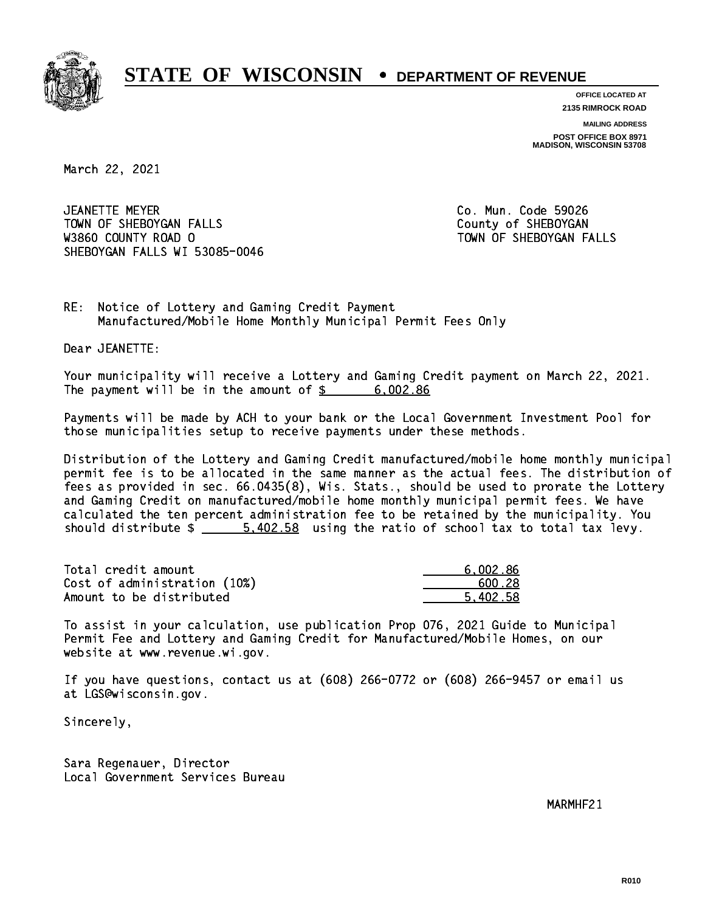

**OFFICE LOCATED AT 2135 RIMROCK ROAD**

**MAILING ADDRESS**

**POST OFFICE BOX 8971 MADISON, WISCONSIN 53708**

March 22, 2021

 JEANETTE MEYER Co. Mun. Code 59026 TOWN OF SHEBOYGAN FALLS **COUNTY OF SHEBOYGAN**  W3860 COUNTY ROAD O TOWN OF SHEBOYGAN FALLS SHEBOYGAN FALLS WI 53085-0046

RE: Notice of Lottery and Gaming Credit Payment Manufactured/Mobile Home Monthly Municipal Permit Fees Only

Dear JEANETTE:

 Your municipality will receive a Lottery and Gaming Credit payment on March 22, 2021. The payment will be in the amount of  $\frac{2}{3}$  6,002.86

 Payments will be made by ACH to your bank or the Local Government Investment Pool for those municipalities setup to receive payments under these methods.

 Distribution of the Lottery and Gaming Credit manufactured/mobile home monthly municipal permit fee is to be allocated in the same manner as the actual fees. The distribution of fees as provided in sec. 66.0435(8), Wis. Stats., should be used to prorate the Lottery and Gaming Credit on manufactured/mobile home monthly municipal permit fees. We have calculated the ten percent administration fee to be retained by the municipality. You should distribute  $\frac{2}{1}$   $\frac{5,402.58}{2}$  using the ratio of school tax to total tax levy.

| Total credit amount          | 6,002.86 |
|------------------------------|----------|
| Cost of administration (10%) | .600.28  |
| Amount to be distributed     | 5.402.58 |

 To assist in your calculation, use publication Prop 076, 2021 Guide to Municipal Permit Fee and Lottery and Gaming Credit for Manufactured/Mobile Homes, on our website at www.revenue.wi.gov.

 If you have questions, contact us at (608) 266-0772 or (608) 266-9457 or email us at LGS@wisconsin.gov.

Sincerely,

 Sara Regenauer, Director Local Government Services Bureau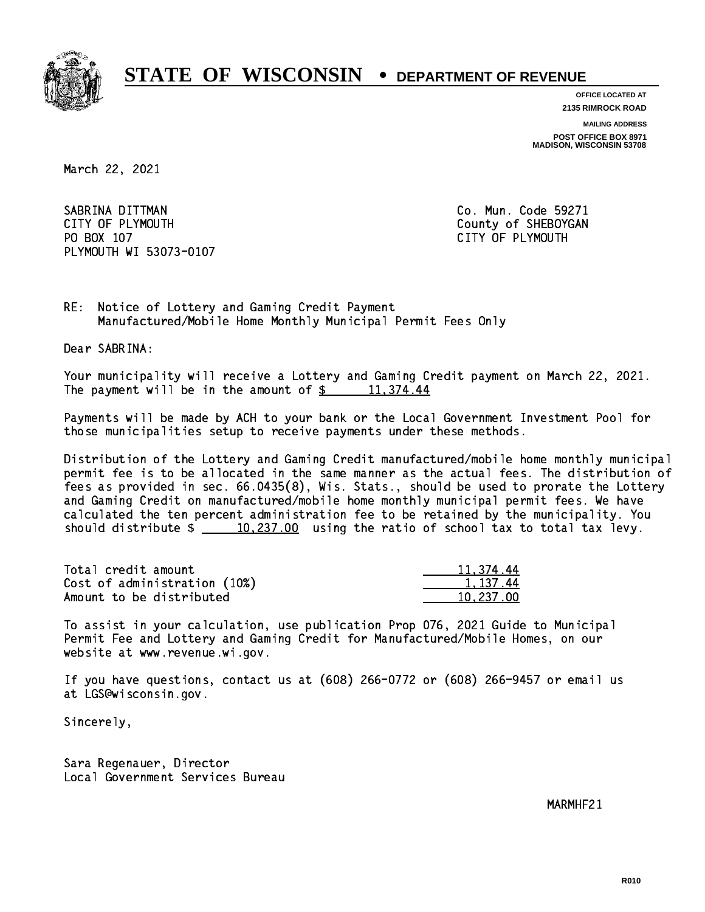

**OFFICE LOCATED AT**

**2135 RIMROCK ROAD**

**MAILING ADDRESS**

**POST OFFICE BOX 8971 MADISON, WISCONSIN 53708**

March 22, 2021

SABRINA DITTMAN COLLECTED CO. Mun. Code 59271 CITY OF PLYMOUTH CITY OF PLYMOUTH PO BOX 107 CITY OF PLYMOUTH PLYMOUTH WI 53073-0107

RE: Notice of Lottery and Gaming Credit Payment Manufactured/Mobile Home Monthly Municipal Permit Fees Only

Dear SABRINA:

 Your municipality will receive a Lottery and Gaming Credit payment on March 22, 2021. The payment will be in the amount of  $\frac{2}{3}$  11,374.44

 Payments will be made by ACH to your bank or the Local Government Investment Pool for those municipalities setup to receive payments under these methods.

 Distribution of the Lottery and Gaming Credit manufactured/mobile home monthly municipal permit fee is to be allocated in the same manner as the actual fees. The distribution of fees as provided in sec. 66.0435(8), Wis. Stats., should be used to prorate the Lottery and Gaming Credit on manufactured/mobile home monthly municipal permit fees. We have calculated the ten percent administration fee to be retained by the municipality. You should distribute  $\frac{10,237.00}{237.00}$  using the ratio of school tax to total tax levy.

| Total credit amount          | 11,374.44 |
|------------------------------|-----------|
| Cost of administration (10%) | 1.137.44  |
| Amount to be distributed     | 10.237.00 |

 To assist in your calculation, use publication Prop 076, 2021 Guide to Municipal Permit Fee and Lottery and Gaming Credit for Manufactured/Mobile Homes, on our website at www.revenue.wi.gov.

 If you have questions, contact us at (608) 266-0772 or (608) 266-9457 or email us at LGS@wisconsin.gov.

Sincerely,

 Sara Regenauer, Director Local Government Services Bureau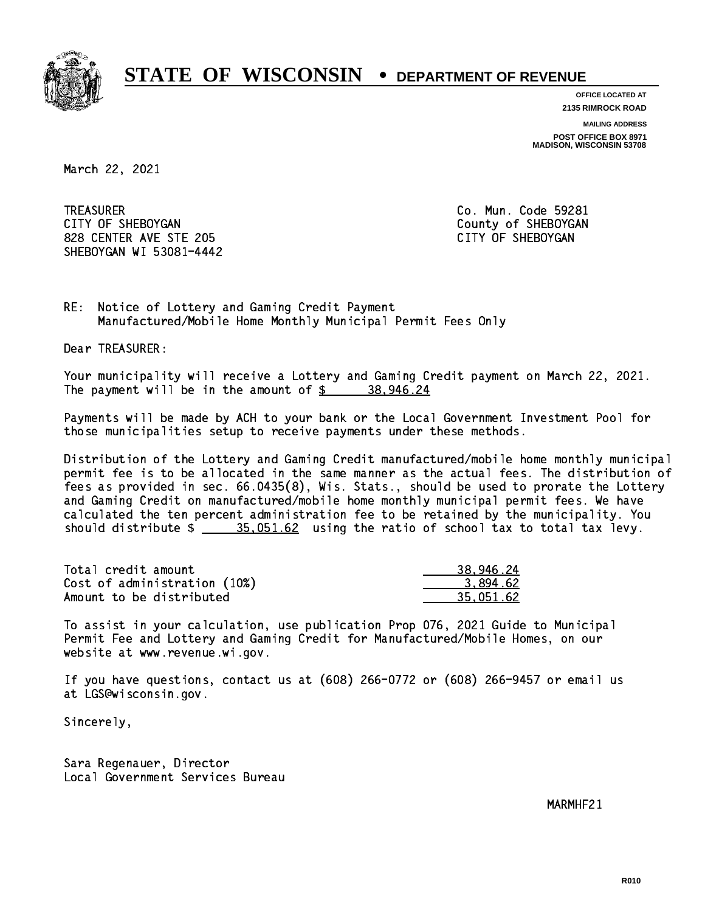

**OFFICE LOCATED AT**

**2135 RIMROCK ROAD**

**MAILING ADDRESS**

**POST OFFICE BOX 8971 MADISON, WISCONSIN 53708**

March 22, 2021

**TREASURER** CITY OF SHEBOYGAN COUNTY OF SHEBOYGAN 828 CENTER AVE STE 205 CENTER AVE STE 205 SHEBOYGAN WI 53081-4442

Co. Mun. Code 59281

RE: Notice of Lottery and Gaming Credit Payment Manufactured/Mobile Home Monthly Municipal Permit Fees Only

Dear TREASURER:

 Your municipality will receive a Lottery and Gaming Credit payment on March 22, 2021. The payment will be in the amount of  $\frac{2}{3}$  38,946.24

 Payments will be made by ACH to your bank or the Local Government Investment Pool for those municipalities setup to receive payments under these methods.

 Distribution of the Lottery and Gaming Credit manufactured/mobile home monthly municipal permit fee is to be allocated in the same manner as the actual fees. The distribution of fees as provided in sec. 66.0435(8), Wis. Stats., should be used to prorate the Lottery and Gaming Credit on manufactured/mobile home monthly municipal permit fees. We have calculated the ten percent administration fee to be retained by the municipality. You should distribute  $\frac{25.051.62}{2}$  using the ratio of school tax to total tax levy.

| Total credit amount          | 38,946.24 |
|------------------------------|-----------|
| Cost of administration (10%) | 3.894.62  |
| Amount to be distributed     | 35.051.62 |

 To assist in your calculation, use publication Prop 076, 2021 Guide to Municipal Permit Fee and Lottery and Gaming Credit for Manufactured/Mobile Homes, on our website at www.revenue.wi.gov.

 If you have questions, contact us at (608) 266-0772 or (608) 266-9457 or email us at LGS@wisconsin.gov.

Sincerely,

 Sara Regenauer, Director Local Government Services Bureau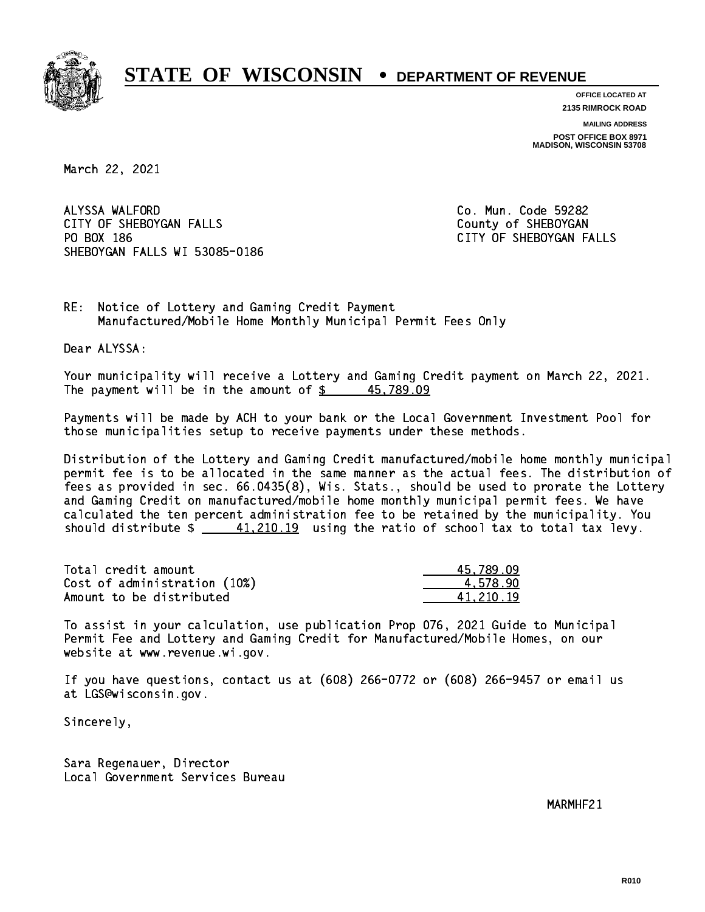

**OFFICE LOCATED AT**

**2135 RIMROCK ROAD**

**MAILING ADDRESS**

**POST OFFICE BOX 8971 MADISON, WISCONSIN 53708**

March 22, 2021

ALYSSA WALFORD CITY OF SHEBOYGAN FALLS COUNTY OF SHEBOYGAN PO BOX 186 SHEBOYGAN FALLS WI 53085-0186

Co. Mun. Code 59282 CITY OF SHEBOYGAN FALLS

RE: Notice of Lottery and Gaming Credit Payment Manufactured/Mobile Home Monthly Municipal Permit Fees Only

Dear ALYSSA:

 Your municipality will receive a Lottery and Gaming Credit payment on March 22, 2021. The payment will be in the amount of  $\frac{2}{3}$  45,789.09

 Payments will be made by ACH to your bank or the Local Government Investment Pool for those municipalities setup to receive payments under these methods.

 Distribution of the Lottery and Gaming Credit manufactured/mobile home monthly municipal permit fee is to be allocated in the same manner as the actual fees. The distribution of fees as provided in sec. 66.0435(8), Wis. Stats., should be used to prorate the Lottery and Gaming Credit on manufactured/mobile home monthly municipal permit fees. We have calculated the ten percent administration fee to be retained by the municipality. You should distribute  $\frac{41,210.19}{2}$  using the ratio of school tax to total tax levy.

| Total credit amount          | 45.789.09 |
|------------------------------|-----------|
| Cost of administration (10%) | 4.578.90  |
| Amount to be distributed     | 41.210.19 |

 To assist in your calculation, use publication Prop 076, 2021 Guide to Municipal Permit Fee and Lottery and Gaming Credit for Manufactured/Mobile Homes, on our website at www.revenue.wi.gov.

 If you have questions, contact us at (608) 266-0772 or (608) 266-9457 or email us at LGS@wisconsin.gov.

Sincerely,

 Sara Regenauer, Director Local Government Services Bureau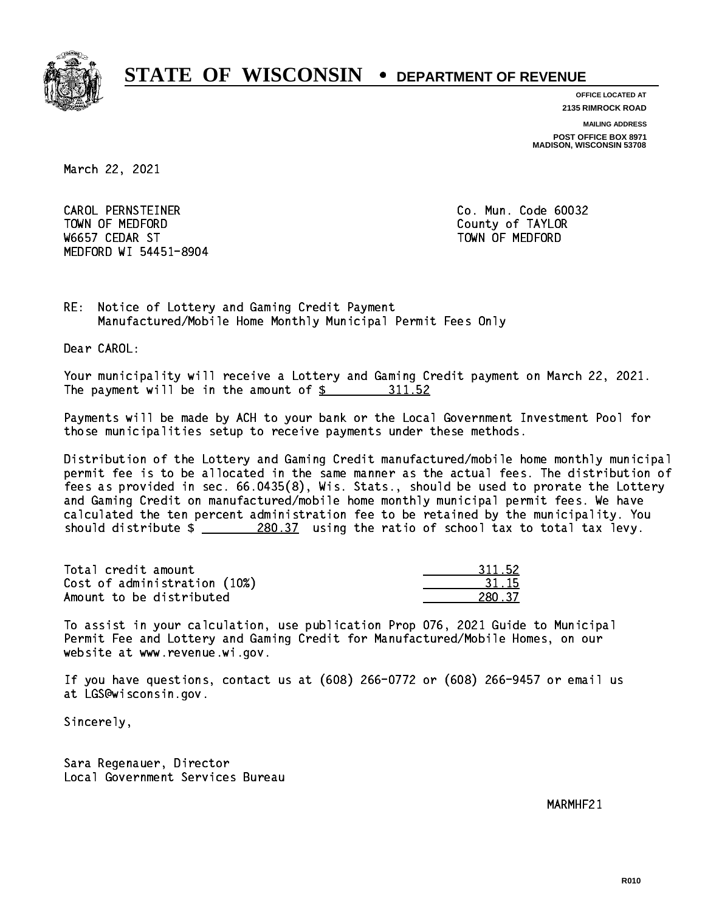

**OFFICE LOCATED AT**

**2135 RIMROCK ROAD**

**MAILING ADDRESS**

**POST OFFICE BOX 8971 MADISON, WISCONSIN 53708**

March 22, 2021

 CAROL PERNSTEINER Co. Mun. Code 60032 TOWN OF MEDICINE COUNTY OF MEDICINE COUNTY OF TAXABLE COUNTY OF TAXABLE COUNTY OF TAXABLE COUNTY OF TAXABLE CO W6657 CEDAR ST TOWN OF MEDFORD MEDFORD WI 54451-8904

RE: Notice of Lottery and Gaming Credit Payment Manufactured/Mobile Home Monthly Municipal Permit Fees Only

Dear CAROL:

 Your municipality will receive a Lottery and Gaming Credit payment on March 22, 2021. The payment will be in the amount of \$ 311.52 \_\_\_\_\_\_\_\_\_\_\_\_\_\_\_\_

 Payments will be made by ACH to your bank or the Local Government Investment Pool for those municipalities setup to receive payments under these methods.

 Distribution of the Lottery and Gaming Credit manufactured/mobile home monthly municipal permit fee is to be allocated in the same manner as the actual fees. The distribution of fees as provided in sec. 66.0435(8), Wis. Stats., should be used to prorate the Lottery and Gaming Credit on manufactured/mobile home monthly municipal permit fees. We have calculated the ten percent administration fee to be retained by the municipality. You should distribute  $\frac{280.37}{1}$  using the ratio of school tax to total tax levy.

Total credit amount Cost of administration (10%) Amount to be distributed

| 152       |
|-----------|
| 15.<br>15 |
| 27        |

 To assist in your calculation, use publication Prop 076, 2021 Guide to Municipal Permit Fee and Lottery and Gaming Credit for Manufactured/Mobile Homes, on our website at www.revenue.wi.gov.

 If you have questions, contact us at (608) 266-0772 or (608) 266-9457 or email us at LGS@wisconsin.gov.

Sincerely,

 Sara Regenauer, Director Local Government Services Bureau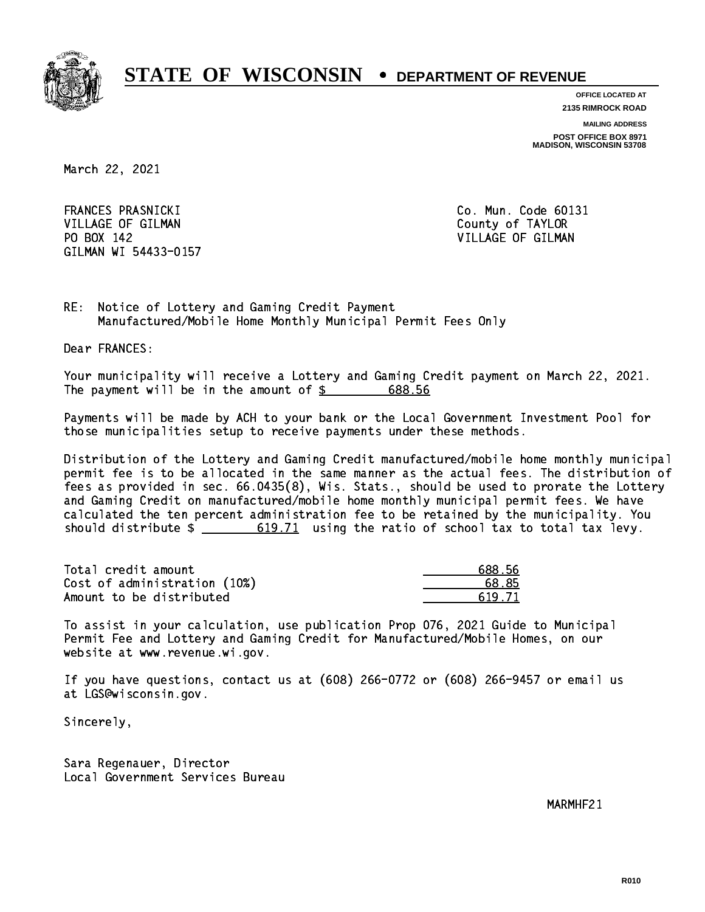

**OFFICE LOCATED AT**

**2135 RIMROCK ROAD**

**MAILING ADDRESS**

**POST OFFICE BOX 8971 MADISON, WISCONSIN 53708**

March 22, 2021

FRANCES PRASNICKI VILLAGE OF GILMAN COUNTY OF TAYLOR PO BOX 142 VILLAGE OF GILMAN GILMAN WI 54433-0157

Co. Mun. Code 60131

RE: Notice of Lottery and Gaming Credit Payment Manufactured/Mobile Home Monthly Municipal Permit Fees Only

Dear FRANCES:

 Your municipality will receive a Lottery and Gaming Credit payment on March 22, 2021. The payment will be in the amount of \$ 688.56 \_\_\_\_\_\_\_\_\_\_\_\_\_\_\_\_

 Payments will be made by ACH to your bank or the Local Government Investment Pool for those municipalities setup to receive payments under these methods.

 Distribution of the Lottery and Gaming Credit manufactured/mobile home monthly municipal permit fee is to be allocated in the same manner as the actual fees. The distribution of fees as provided in sec. 66.0435(8), Wis. Stats., should be used to prorate the Lottery and Gaming Credit on manufactured/mobile home monthly municipal permit fees. We have calculated the ten percent administration fee to be retained by the municipality. You should distribute  $\frac{2}{1}$   $\frac{619.71}{21}$  using the ratio of school tax to total tax levy.

Total credit amount Cost of administration (10%) Amount to be distributed

| 88.56 |
|-------|
| 8.85  |
| 19.71 |

 To assist in your calculation, use publication Prop 076, 2021 Guide to Municipal Permit Fee and Lottery and Gaming Credit for Manufactured/Mobile Homes, on our website at www.revenue.wi.gov.

 If you have questions, contact us at (608) 266-0772 or (608) 266-9457 or email us at LGS@wisconsin.gov.

Sincerely,

 Sara Regenauer, Director Local Government Services Bureau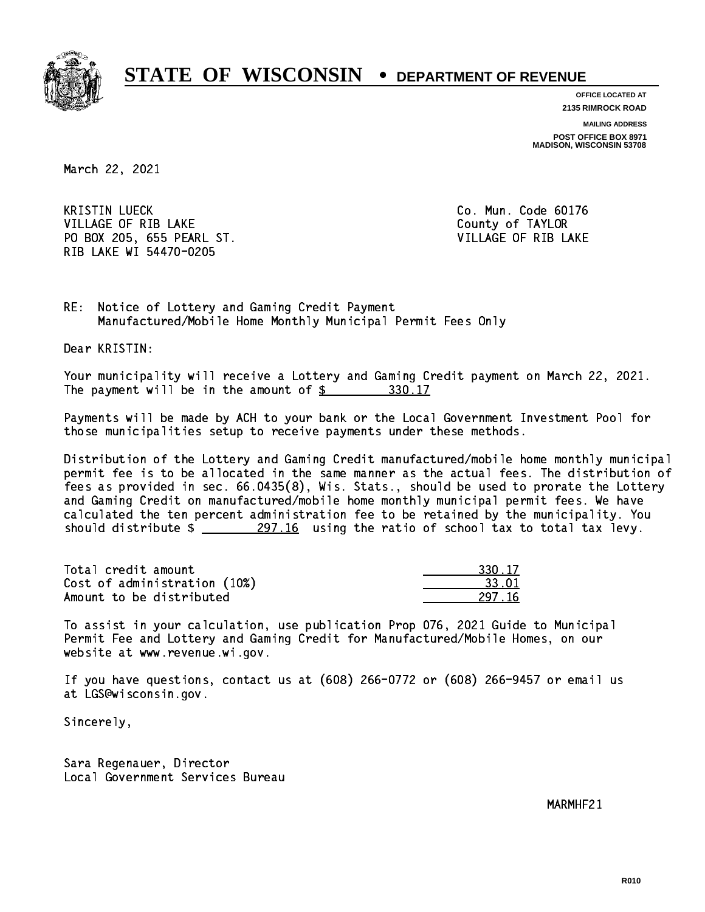

**OFFICE LOCATED AT**

**2135 RIMROCK ROAD**

**MAILING ADDRESS**

**POST OFFICE BOX 8971 MADISON, WISCONSIN 53708**

March 22, 2021

**KRISTIN LUECK** VILLAGE OF RIB LAKE County of TAYLOR PO BOX 205, 655 PEARL ST. THE RESERVITION OF RIB LAKE RIB LAKE WI 54470-0205

Co. Mun. Code 60176

RE: Notice of Lottery and Gaming Credit Payment Manufactured/Mobile Home Monthly Municipal Permit Fees Only

Dear KRISTIN:

 Your municipality will receive a Lottery and Gaming Credit payment on March 22, 2021. The payment will be in the amount of \$ 330.17 \_\_\_\_\_\_\_\_\_\_\_\_\_\_\_\_

 Payments will be made by ACH to your bank or the Local Government Investment Pool for those municipalities setup to receive payments under these methods.

 Distribution of the Lottery and Gaming Credit manufactured/mobile home monthly municipal permit fee is to be allocated in the same manner as the actual fees. The distribution of fees as provided in sec. 66.0435(8), Wis. Stats., should be used to prorate the Lottery and Gaming Credit on manufactured/mobile home monthly municipal permit fees. We have calculated the ten percent administration fee to be retained by the municipality. You should distribute  $\frac{297.16}{27.16}$  using the ratio of school tax to total tax levy.

Total credit amount Cost of administration (10%) Amount to be distributed

| $-17$     |
|-----------|
| 72 L<br>m |
| 716       |

 To assist in your calculation, use publication Prop 076, 2021 Guide to Municipal Permit Fee and Lottery and Gaming Credit for Manufactured/Mobile Homes, on our website at www.revenue.wi.gov.

 If you have questions, contact us at (608) 266-0772 or (608) 266-9457 or email us at LGS@wisconsin.gov.

Sincerely,

 Sara Regenauer, Director Local Government Services Bureau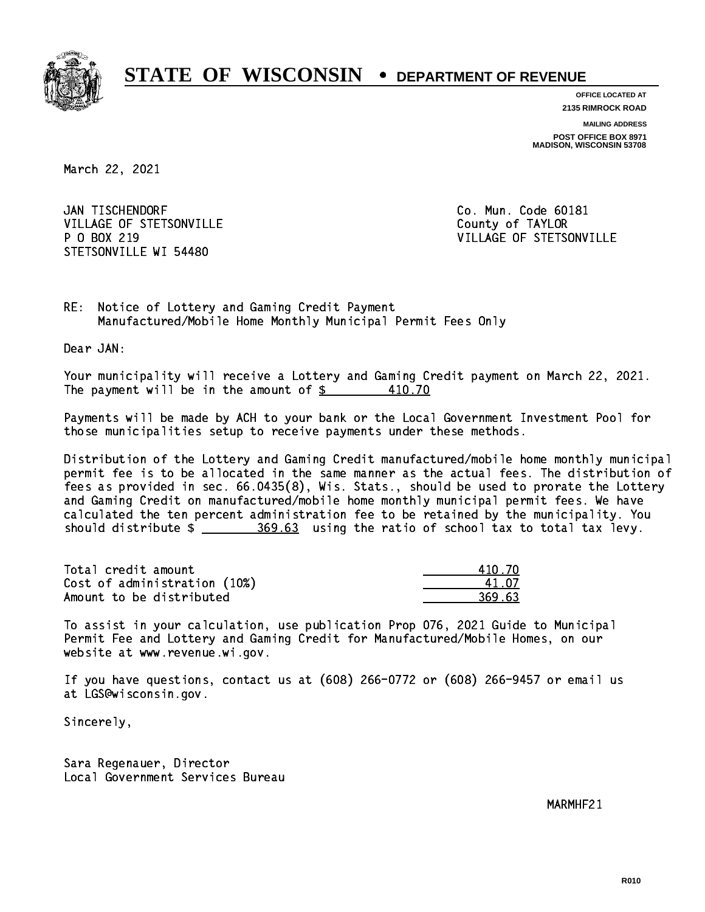

**OFFICE LOCATED AT 2135 RIMROCK ROAD**

**MAILING ADDRESS POST OFFICE BOX 8971 MADISON, WISCONSIN 53708**

March 22, 2021

JAN TISCHENDORF VILLAGE OF STETSONVILLE COUNTY OF TAYLOR P 0 BOX 219 STETSONVILLE WI 54480

Co. Mun. Code 60181 VILLAGE OF STETSONVILLE

RE: Notice of Lottery and Gaming Credit Payment Manufactured/Mobile Home Monthly Municipal Permit Fees Only

Dear JAN:

 Your municipality will receive a Lottery and Gaming Credit payment on March 22, 2021. The payment will be in the amount of  $\frac{21}{100}$ 410.70

 Payments will be made by ACH to your bank or the Local Government Investment Pool for those municipalities setup to receive payments under these methods.

 Distribution of the Lottery and Gaming Credit manufactured/mobile home monthly municipal permit fee is to be allocated in the same manner as the actual fees. The distribution of fees as provided in sec. 66.0435(8), Wis. Stats., should be used to prorate the Lottery and Gaming Credit on manufactured/mobile home monthly municipal permit fees. We have calculated the ten percent administration fee to be retained by the municipality. You should distribute  $\frac{269.63}{2}$  using the ratio of school tax to total tax levy.

Total credit amount Cost of administration (10%) Amount to be distributed

| 410.70 |
|--------|
| 41.OZ  |
| 69.63  |

 To assist in your calculation, use publication Prop 076, 2021 Guide to Municipal Permit Fee and Lottery and Gaming Credit for Manufactured/Mobile Homes, on our website at www.revenue.wi.gov.

 If you have questions, contact us at (608) 266-0772 or (608) 266-9457 or email us at LGS@wisconsin.gov.

Sincerely,

 Sara Regenauer, Director Local Government Services Bureau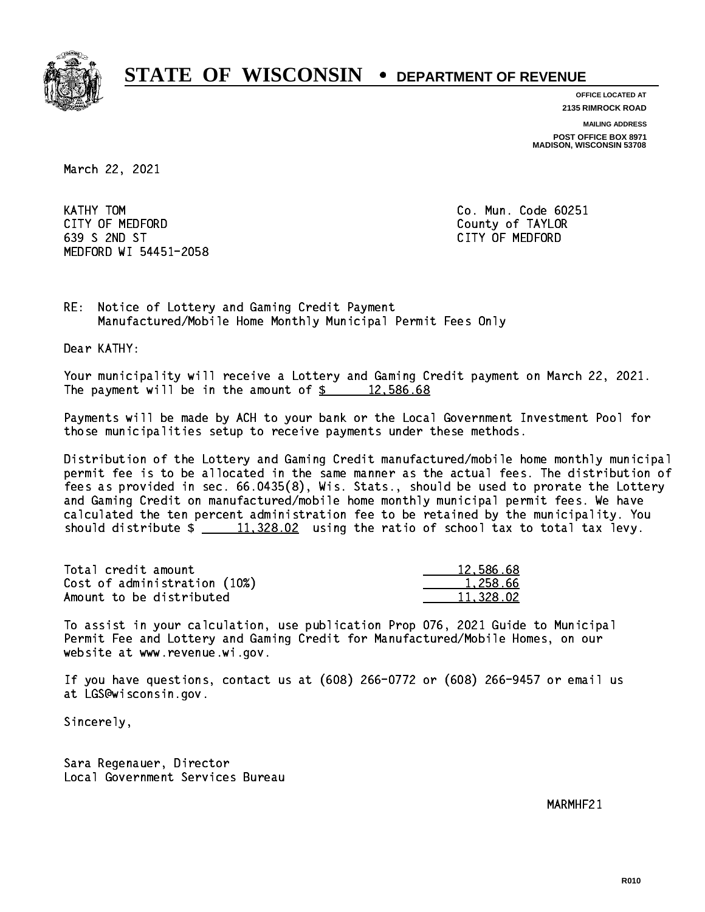

**OFFICE LOCATED AT 2135 RIMROCK ROAD**

**MAILING ADDRESS**

**POST OFFICE BOX 8971 MADISON, WISCONSIN 53708**

March 22, 2021

KATHY TOM CITY OF MEDFORD County of TAYLOR 639 S 2ND ST CITY OF MEDFORD MEDFORD WI 54451-2058

Co. Mun. Code 60251

RE: Notice of Lottery and Gaming Credit Payment Manufactured/Mobile Home Monthly Municipal Permit Fees Only

Dear KATHY:

 Your municipality will receive a Lottery and Gaming Credit payment on March 22, 2021. The payment will be in the amount of  $\frac{2}{3}$  12,586.68

 Payments will be made by ACH to your bank or the Local Government Investment Pool for those municipalities setup to receive payments under these methods.

 Distribution of the Lottery and Gaming Credit manufactured/mobile home monthly municipal permit fee is to be allocated in the same manner as the actual fees. The distribution of fees as provided in sec. 66.0435(8), Wis. Stats., should be used to prorate the Lottery and Gaming Credit on manufactured/mobile home monthly municipal permit fees. We have calculated the ten percent administration fee to be retained by the municipality. You should distribute  $\frac{11,328.02}{11,328.02}$  using the ratio of school tax to total tax levy.

| Total credit amount          | 12,586.68 |
|------------------------------|-----------|
| Cost of administration (10%) | 1.258.66  |
| Amount to be distributed     | 11.328.02 |

 To assist in your calculation, use publication Prop 076, 2021 Guide to Municipal Permit Fee and Lottery and Gaming Credit for Manufactured/Mobile Homes, on our website at www.revenue.wi.gov.

 If you have questions, contact us at (608) 266-0772 or (608) 266-9457 or email us at LGS@wisconsin.gov.

Sincerely,

 Sara Regenauer, Director Local Government Services Bureau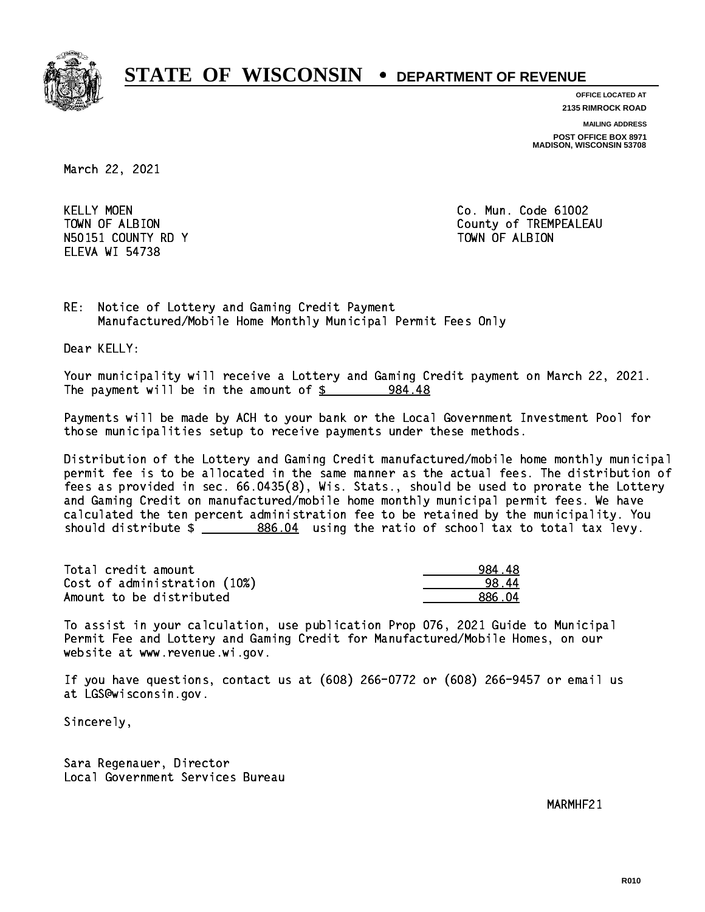

**OFFICE LOCATED AT 2135 RIMROCK ROAD**

**MAILING ADDRESS**

**POST OFFICE BOX 8971 MADISON, WISCONSIN 53708**

March 22, 2021

**KELLY MOEN** N50151 COUNTY RD Y TOWN OF ALBION ELEVA WI 54738

Co. Mun. Code 61002 TOWN OF ALBION COUNTY OF TREMPEALEAU

RE: Notice of Lottery and Gaming Credit Payment Manufactured/Mobile Home Monthly Municipal Permit Fees Only

Dear KELLY:

 Your municipality will receive a Lottery and Gaming Credit payment on March 22, 2021. The payment will be in the amount of  $\frac{2}{3}$  984.48

 Payments will be made by ACH to your bank or the Local Government Investment Pool for those municipalities setup to receive payments under these methods.

 Distribution of the Lottery and Gaming Credit manufactured/mobile home monthly municipal permit fee is to be allocated in the same manner as the actual fees. The distribution of fees as provided in sec. 66.0435(8), Wis. Stats., should be used to prorate the Lottery and Gaming Credit on manufactured/mobile home monthly municipal permit fees. We have calculated the ten percent administration fee to be retained by the municipality. You should distribute  $\frac{2}{2}$   $\frac{886.04}{2}$  using the ratio of school tax to total tax levy.

| Total credit amount          | 984.48 |
|------------------------------|--------|
| Cost of administration (10%) | 98.44  |
| Amount to be distributed     | 886 N4 |

 To assist in your calculation, use publication Prop 076, 2021 Guide to Municipal Permit Fee and Lottery and Gaming Credit for Manufactured/Mobile Homes, on our website at www.revenue.wi.gov.

 If you have questions, contact us at (608) 266-0772 or (608) 266-9457 or email us at LGS@wisconsin.gov.

Sincerely,

 Sara Regenauer, Director Local Government Services Bureau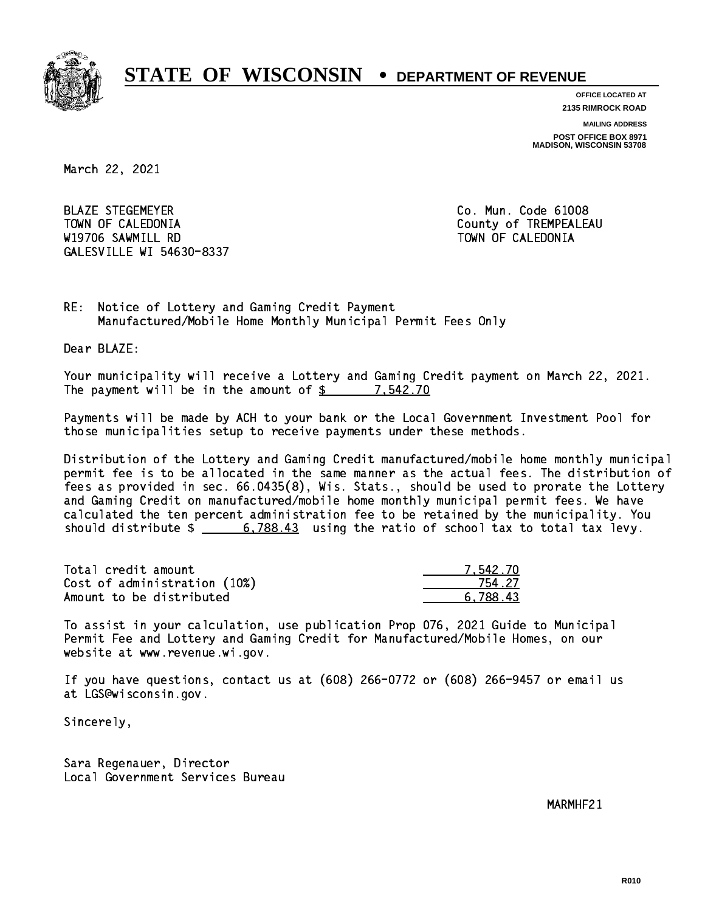

**OFFICE LOCATED AT 2135 RIMROCK ROAD**

**MAILING ADDRESS**

**POST OFFICE BOX 8971 MADISON, WISCONSIN 53708**

March 22, 2021

 BLAZE STEGEMEYER Co. Mun. Code 61008 TOWN OF CALEDONIA County of TREMPEALEAU W19706 SAWMILL RD TOWN OF CALEDONIA GALESVILLE WI 54630-8337

RE: Notice of Lottery and Gaming Credit Payment Manufactured/Mobile Home Monthly Municipal Permit Fees Only

Dear BLAZE:

 Your municipality will receive a Lottery and Gaming Credit payment on March 22, 2021. The payment will be in the amount of  $\frac{2}{3}$  7,542.70

 Payments will be made by ACH to your bank or the Local Government Investment Pool for those municipalities setup to receive payments under these methods.

 Distribution of the Lottery and Gaming Credit manufactured/mobile home monthly municipal permit fee is to be allocated in the same manner as the actual fees. The distribution of fees as provided in sec. 66.0435(8), Wis. Stats., should be used to prorate the Lottery and Gaming Credit on manufactured/mobile home monthly municipal permit fees. We have calculated the ten percent administration fee to be retained by the municipality. You should distribute  $\frac{2}{1}$   $\frac{6,788.43}{2}$  using the ratio of school tax to total tax levy.

| Total credit amount          | 7.542.70 |
|------------------------------|----------|
| Cost of administration (10%) | 754 27   |
| Amount to be distributed     | 6.788.43 |

 To assist in your calculation, use publication Prop 076, 2021 Guide to Municipal Permit Fee and Lottery and Gaming Credit for Manufactured/Mobile Homes, on our website at www.revenue.wi.gov.

 If you have questions, contact us at (608) 266-0772 or (608) 266-9457 or email us at LGS@wisconsin.gov.

Sincerely,

 Sara Regenauer, Director Local Government Services Bureau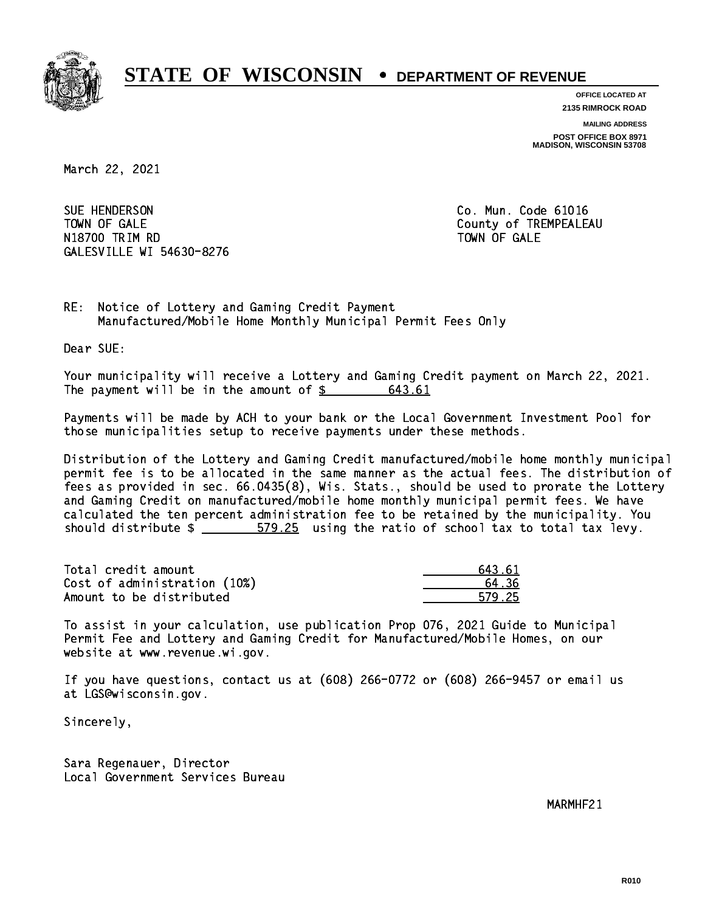

**OFFICE LOCATED AT 2135 RIMROCK ROAD**

**MAILING ADDRESS**

**POST OFFICE BOX 8971 MADISON, WISCONSIN 53708**

March 22, 2021

SUE HENDERSON TOWN OF GALE **COUNTY OF SALE** N1880 TRIM RD TOWN OF GALERY COMPUTER STATES OF GALERY COMPUTER STATES OF GALERY COMPUTER STATES OF GALERY COMPUTERS GALESVILLE WI 54630-8276

Co. Mun. Code 61016

RE: Notice of Lottery and Gaming Credit Payment Manufactured/Mobile Home Monthly Municipal Permit Fees Only

Dear SUE:

 Your municipality will receive a Lottery and Gaming Credit payment on March 22, 2021. The payment will be in the amount of \$ 643.61 \_\_\_\_\_\_\_\_\_\_\_\_\_\_\_\_

 Payments will be made by ACH to your bank or the Local Government Investment Pool for those municipalities setup to receive payments under these methods.

 Distribution of the Lottery and Gaming Credit manufactured/mobile home monthly municipal permit fee is to be allocated in the same manner as the actual fees. The distribution of fees as provided in sec. 66.0435(8), Wis. Stats., should be used to prorate the Lottery and Gaming Credit on manufactured/mobile home monthly municipal permit fees. We have calculated the ten percent administration fee to be retained by the municipality. You should distribute  $\frac{25}{1000}$  579.25 using the ratio of school tax to total tax levy.

| Total credit amount          | 643.61 |
|------------------------------|--------|
| Cost of administration (10%) | 64.36  |
| Amount to be distributed     | 579.25 |

 To assist in your calculation, use publication Prop 076, 2021 Guide to Municipal Permit Fee and Lottery and Gaming Credit for Manufactured/Mobile Homes, on our website at www.revenue.wi.gov.

 If you have questions, contact us at (608) 266-0772 or (608) 266-9457 or email us at LGS@wisconsin.gov.

Sincerely,

 Sara Regenauer, Director Local Government Services Bureau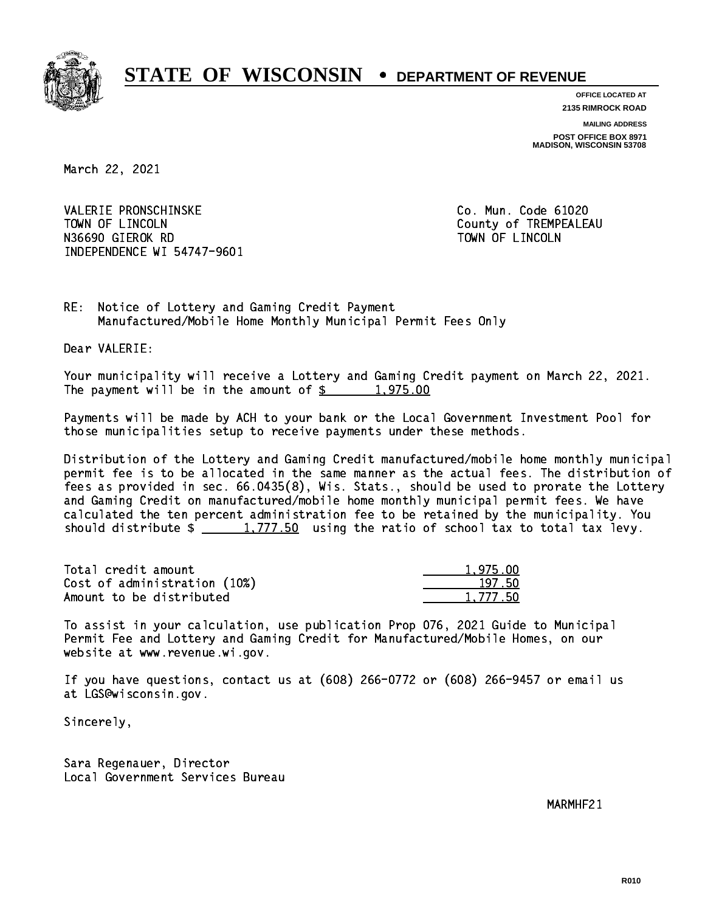

**OFFICE LOCATED AT**

**2135 RIMROCK ROAD**

**MAILING ADDRESS**

**POST OFFICE BOX 8971 MADISON, WISCONSIN 53708**

March 22, 2021

 VALERIE PRONSCHINSKE Co. Mun. Code 61020 TOWN OF LINCOLN County of TREMPEALEAU N36690 GIEROK RD TOWN OF LINCOLNS INDEPENDENCE WI 54747-9601

RE: Notice of Lottery and Gaming Credit Payment Manufactured/Mobile Home Monthly Municipal Permit Fees Only

Dear VALERIE:

 Your municipality will receive a Lottery and Gaming Credit payment on March 22, 2021. The payment will be in the amount of  $\frac{2}{3}$  1,975.00

 Payments will be made by ACH to your bank or the Local Government Investment Pool for those municipalities setup to receive payments under these methods.

 Distribution of the Lottery and Gaming Credit manufactured/mobile home monthly municipal permit fee is to be allocated in the same manner as the actual fees. The distribution of fees as provided in sec. 66.0435(8), Wis. Stats., should be used to prorate the Lottery and Gaming Credit on manufactured/mobile home monthly municipal permit fees. We have calculated the ten percent administration fee to be retained by the municipality. You should distribute  $\frac{1,777.50}{1,777.50}$  using the ratio of school tax to total tax levy.

| Total credit amount          | 1.975.00 |
|------------------------------|----------|
| Cost of administration (10%) | 197.50   |
| Amount to be distributed     | 1,777.50 |

 To assist in your calculation, use publication Prop 076, 2021 Guide to Municipal Permit Fee and Lottery and Gaming Credit for Manufactured/Mobile Homes, on our website at www.revenue.wi.gov.

 If you have questions, contact us at (608) 266-0772 or (608) 266-9457 or email us at LGS@wisconsin.gov.

Sincerely,

 Sara Regenauer, Director Local Government Services Bureau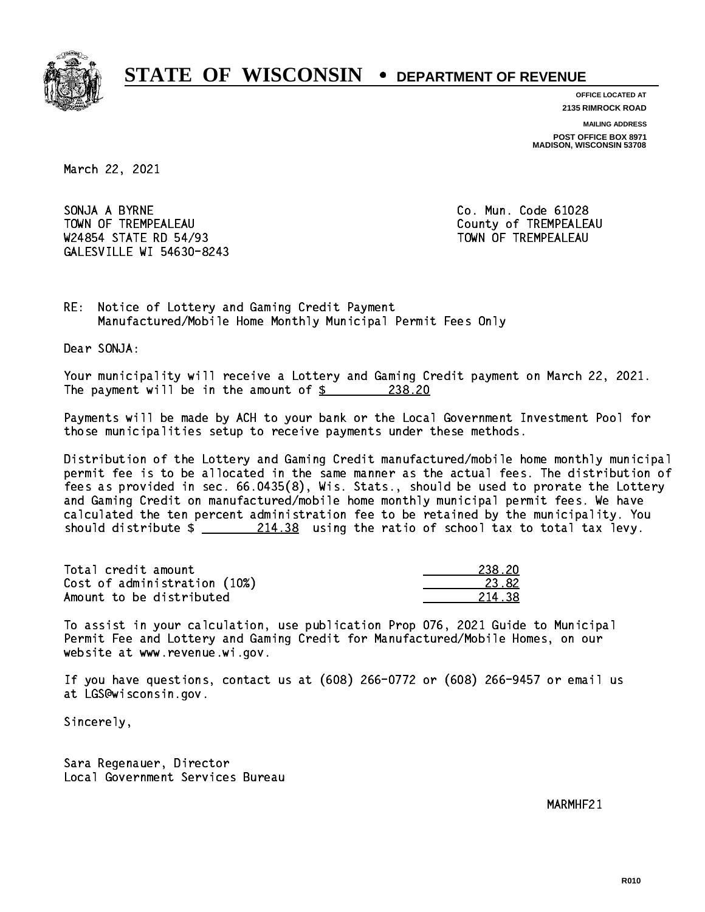

**OFFICE LOCATED AT**

**2135 RIMROCK ROAD**

**MAILING ADDRESS POST OFFICE BOX 8971 MADISON, WISCONSIN 53708**

March 22, 2021

SONJA A BYRNE TOWN OF TREMPEALEAU **TOWA COUNTY OF TREMPEALEAU** W24854 STATE RD 54/93 TOWN OF TREMPEALEAU GALESVILLE WI 54630-8243

Co. Mun. Code 61028

RE: Notice of Lottery and Gaming Credit Payment Manufactured/Mobile Home Monthly Municipal Permit Fees Only

Dear SONJA:

 Your municipality will receive a Lottery and Gaming Credit payment on March 22, 2021. The payment will be in the amount of  $\frac{238.20}{2}$ 

 Payments will be made by ACH to your bank or the Local Government Investment Pool for those municipalities setup to receive payments under these methods.

 Distribution of the Lottery and Gaming Credit manufactured/mobile home monthly municipal permit fee is to be allocated in the same manner as the actual fees. The distribution of fees as provided in sec. 66.0435(8), Wis. Stats., should be used to prorate the Lottery and Gaming Credit on manufactured/mobile home monthly municipal permit fees. We have calculated the ten percent administration fee to be retained by the municipality. You should distribute  $\frac{214.38}{214.38}$  using the ratio of school tax to total tax levy.

Total credit amount Cost of administration (10%) Amount to be distributed

| l 2N       |
|------------|
| 82.<br>. . |
| 21<br>79.  |

 To assist in your calculation, use publication Prop 076, 2021 Guide to Municipal Permit Fee and Lottery and Gaming Credit for Manufactured/Mobile Homes, on our website at www.revenue.wi.gov.

 If you have questions, contact us at (608) 266-0772 or (608) 266-9457 or email us at LGS@wisconsin.gov.

Sincerely,

 Sara Regenauer, Director Local Government Services Bureau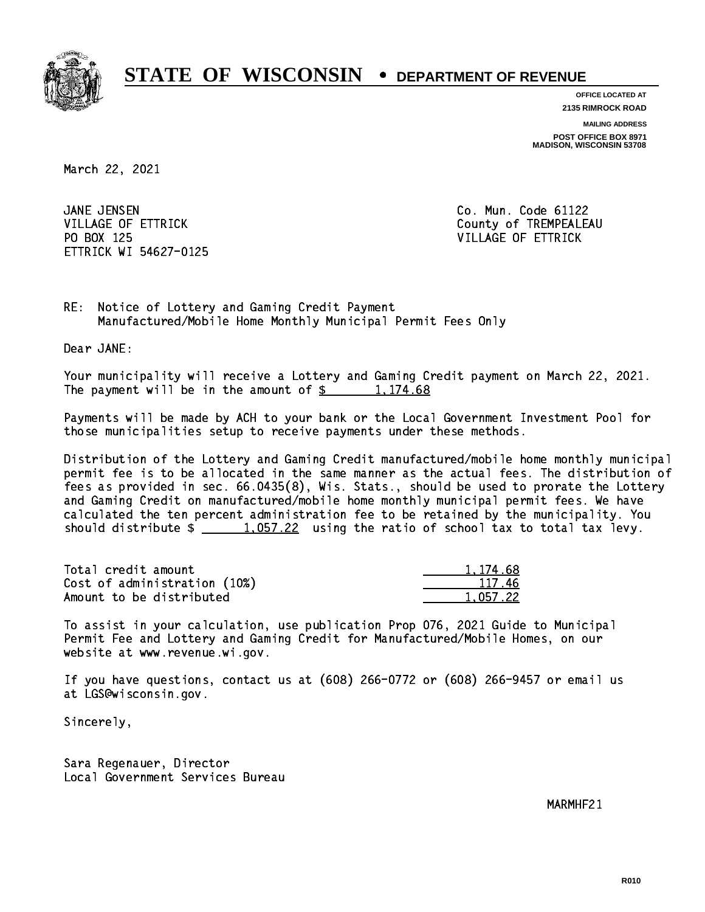

**OFFICE LOCATED AT 2135 RIMROCK ROAD**

**MAILING ADDRESS**

**POST OFFICE BOX 8971 MADISON, WISCONSIN 53708**

March 22, 2021

JANE JENSEN PO BOX 125 VILLAGE OF ETTRICK ETTRICK WI 54627-0125

Co. Mun. Code 61122 VILLAGE OF ETTRICK County of TREMPEALEAU

1,174.68

RE: Notice of Lottery and Gaming Credit Payment Manufactured/Mobile Home Monthly Municipal Permit Fees Only

Dear JANE:

 Your municipality will receive a Lottery and Gaming Credit payment on March 22, 2021. The payment will be in the amount of  $\frac{2}{3}$  1,174.68

 Payments will be made by ACH to your bank or the Local Government Investment Pool for those municipalities setup to receive payments under these methods.

 Distribution of the Lottery and Gaming Credit manufactured/mobile home monthly municipal permit fee is to be allocated in the same manner as the actual fees. The distribution of fees as provided in sec. 66.0435(8), Wis. Stats., should be used to prorate the Lottery and Gaming Credit on manufactured/mobile home monthly municipal permit fees. We have calculated the ten percent administration fee to be retained by the municipality. You should distribute  $\frac{1.057.22}{1.057.22}$  using the ratio of school tax to total tax levy.

| Total credit amount          | 1.174.68 |
|------------------------------|----------|
| Cost of administration (10%) | 117.46   |
| Amount to be distributed     | 1,057.22 |

 To assist in your calculation, use publication Prop 076, 2021 Guide to Municipal Permit Fee and Lottery and Gaming Credit for Manufactured/Mobile Homes, on our website at www.revenue.wi.gov.

 If you have questions, contact us at (608) 266-0772 or (608) 266-9457 or email us at LGS@wisconsin.gov.

Sincerely,

 Sara Regenauer, Director Local Government Services Bureau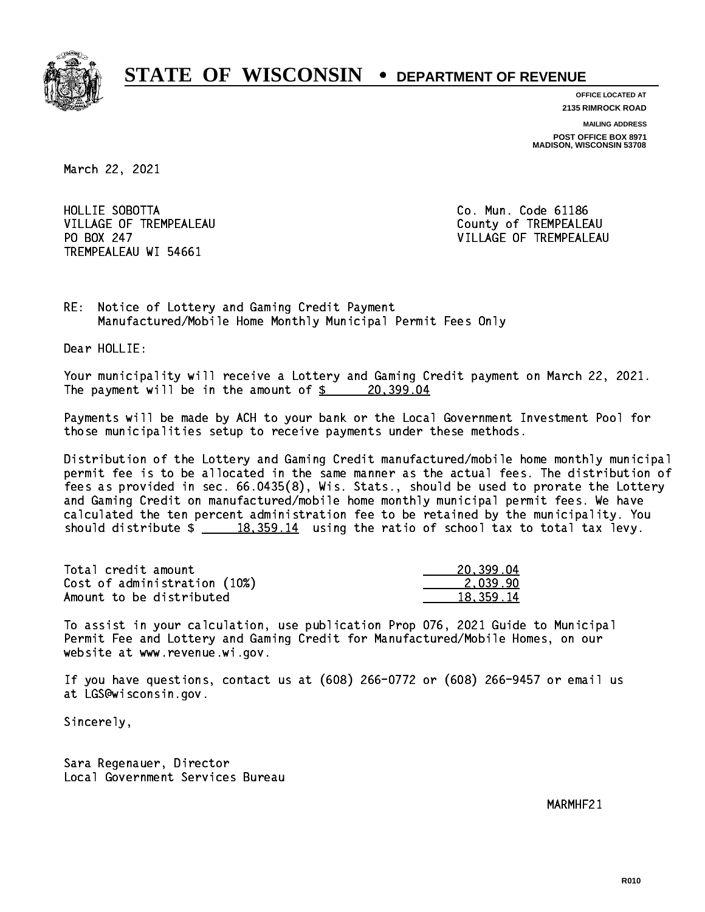

**OFFICE LOCATED AT 2135 RIMROCK ROAD**

**MAILING ADDRESS**

**POST OFFICE BOX 8971 MADISON, WISCONSIN 53708**

March 22, 2021

HOLLIE SOBOTTA VILLAGE OF TREMPEALEAU County of TREMPEALEAU PO BOX 247 TREMPEALEAU WI 54661

Co. Mun. Code 61186 VILLAGE OF TREMPEALEAU

RE: Notice of Lottery and Gaming Credit Payment Manufactured/Mobile Home Monthly Municipal Permit Fees Only

Dear HOLLIE:

 Your municipality will receive a Lottery and Gaming Credit payment on March 22, 2021. The payment will be in the amount of  $\frac{20,399.04}{20,399.04}$ 

 Payments will be made by ACH to your bank or the Local Government Investment Pool for those municipalities setup to receive payments under these methods.

 Distribution of the Lottery and Gaming Credit manufactured/mobile home monthly municipal permit fee is to be allocated in the same manner as the actual fees. The distribution of fees as provided in sec. 66.0435(8), Wis. Stats., should be used to prorate the Lottery and Gaming Credit on manufactured/mobile home monthly municipal permit fees. We have calculated the ten percent administration fee to be retained by the municipality. You should distribute  $\frac{18,359.14}{2}$  using the ratio of school tax to total tax levy.

| Total credit amount          | 20,399.04   |
|------------------------------|-------------|
| Cost of administration (10%) | 2.039.90    |
| Amount to be distributed     | 18, 359, 14 |

 To assist in your calculation, use publication Prop 076, 2021 Guide to Municipal Permit Fee and Lottery and Gaming Credit for Manufactured/Mobile Homes, on our website at www.revenue.wi.gov.

 If you have questions, contact us at (608) 266-0772 or (608) 266-9457 or email us at LGS@wisconsin.gov.

Sincerely,

 Sara Regenauer, Director Local Government Services Bureau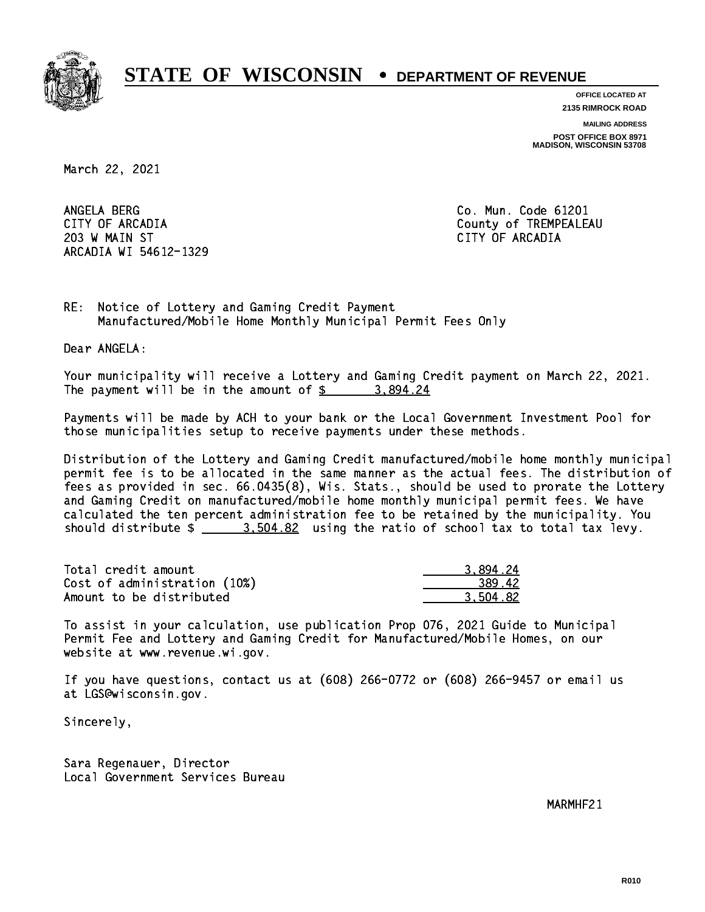

**OFFICE LOCATED AT**

**2135 RIMROCK ROAD**

**MAILING ADDRESS POST OFFICE BOX 8971 MADISON, WISCONSIN 53708**

March 22, 2021

ANGELA BERG 203 W MAIN ST CITY OF ARCADIA ARCADIA WI 54612-1329

Co. Mun. Code 61201 CITY OF ARCADIA County of TREMPEALEAU

RE: Notice of Lottery and Gaming Credit Payment Manufactured/Mobile Home Monthly Municipal Permit Fees Only

Dear ANGELA:

 Your municipality will receive a Lottery and Gaming Credit payment on March 22, 2021. The payment will be in the amount of  $\frac{2}{3}$  3,894.24

 Payments will be made by ACH to your bank or the Local Government Investment Pool for those municipalities setup to receive payments under these methods.

 Distribution of the Lottery and Gaming Credit manufactured/mobile home monthly municipal permit fee is to be allocated in the same manner as the actual fees. The distribution of fees as provided in sec. 66.0435(8), Wis. Stats., should be used to prorate the Lottery and Gaming Credit on manufactured/mobile home monthly municipal permit fees. We have calculated the ten percent administration fee to be retained by the municipality. You should distribute  $\frac{2}{2}$   $\frac{3.504.82}{2}$  using the ratio of school tax to total tax levy.

| Total credit amount          | 3.894.24 |
|------------------------------|----------|
| Cost of administration (10%) | 389.42   |
| Amount to be distributed     | 3.504.82 |

 To assist in your calculation, use publication Prop 076, 2021 Guide to Municipal Permit Fee and Lottery and Gaming Credit for Manufactured/Mobile Homes, on our website at www.revenue.wi.gov.

 If you have questions, contact us at (608) 266-0772 or (608) 266-9457 or email us at LGS@wisconsin.gov.

Sincerely,

 Sara Regenauer, Director Local Government Services Bureau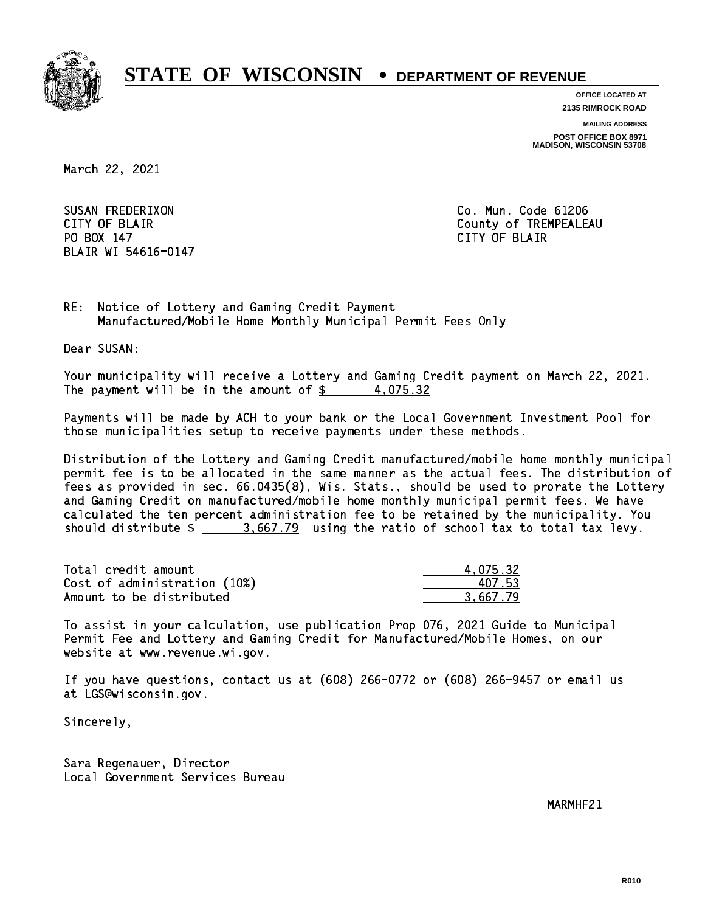

**OFFICE LOCATED AT**

**2135 RIMROCK ROAD**

**MAILING ADDRESS POST OFFICE BOX 8971 MADISON, WISCONSIN 53708**

March 22, 2021

 SUSAN FREDERIXON Co. Mun. Code 61206 PO BOX 147 PO BOX 147 CITY OF BLACK IS A RELEASED OF BLACK IS A RELEASED OF BLACK IS A RELEASED OF BLACK IS A RELEASED OF BLAIR WI 54616-0147

CITY OF BLAIR County of TREMPEALEAU

RE: Notice of Lottery and Gaming Credit Payment Manufactured/Mobile Home Monthly Municipal Permit Fees Only

Dear SUSAN:

 Your municipality will receive a Lottery and Gaming Credit payment on March 22, 2021. The payment will be in the amount of  $\frac{2}{3}$  4,075.32

 Payments will be made by ACH to your bank or the Local Government Investment Pool for those municipalities setup to receive payments under these methods.

 Distribution of the Lottery and Gaming Credit manufactured/mobile home monthly municipal permit fee is to be allocated in the same manner as the actual fees. The distribution of fees as provided in sec. 66.0435(8), Wis. Stats., should be used to prorate the Lottery and Gaming Credit on manufactured/mobile home monthly municipal permit fees. We have calculated the ten percent administration fee to be retained by the municipality. You should distribute  $\frac{2}{2}$   $\frac{3.667.79}{2}$  using the ratio of school tax to total tax levy.

| Total credit amount          | 4.075.32 |
|------------------------------|----------|
| Cost of administration (10%) | 407.53   |
| Amount to be distributed     | 3.667.79 |

 To assist in your calculation, use publication Prop 076, 2021 Guide to Municipal Permit Fee and Lottery and Gaming Credit for Manufactured/Mobile Homes, on our website at www.revenue.wi.gov.

 If you have questions, contact us at (608) 266-0772 or (608) 266-9457 or email us at LGS@wisconsin.gov.

Sincerely,

 Sara Regenauer, Director Local Government Services Bureau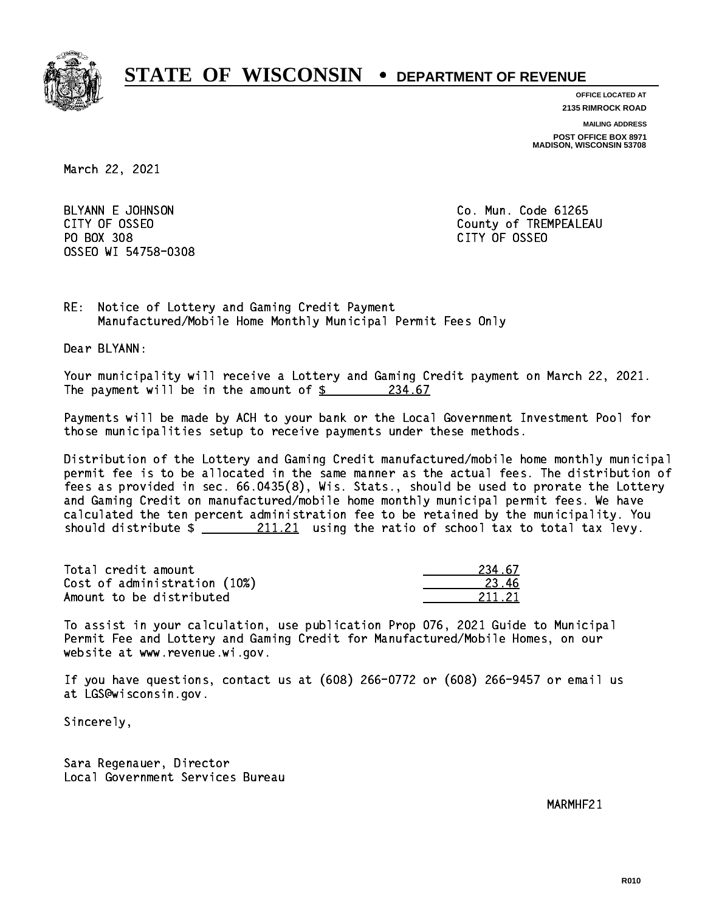

**OFFICE LOCATED AT**

**2135 RIMROCK ROAD**

**MAILING ADDRESS**

**POST OFFICE BOX 8971 MADISON, WISCONSIN 53708**

March 22, 2021

BLYANN E JOHNSON CO. Mun. Code 61265 PO BOX 308 PO BOX 308 CITY OF OSSEO OSSEO WI 54758-0308

CITY OF OSSEO COUNTY OF OSSEO

RE: Notice of Lottery and Gaming Credit Payment Manufactured/Mobile Home Monthly Municipal Permit Fees Only

Dear BLYANN:

 Your municipality will receive a Lottery and Gaming Credit payment on March 22, 2021. The payment will be in the amount of  $\frac{234.67}{234.67}$ 

 Payments will be made by ACH to your bank or the Local Government Investment Pool for those municipalities setup to receive payments under these methods.

 Distribution of the Lottery and Gaming Credit manufactured/mobile home monthly municipal permit fee is to be allocated in the same manner as the actual fees. The distribution of fees as provided in sec. 66.0435(8), Wis. Stats., should be used to prorate the Lottery and Gaming Credit on manufactured/mobile home monthly municipal permit fees. We have calculated the ten percent administration fee to be retained by the municipality. You should distribute  $\frac{211.21}{21}$  using the ratio of school tax to total tax levy.

Total credit amount 234.67 Cost of administration (10%) 23.46 Amount to be distributed

211.21

 To assist in your calculation, use publication Prop 076, 2021 Guide to Municipal Permit Fee and Lottery and Gaming Credit for Manufactured/Mobile Homes, on our website at www.revenue.wi.gov.

 If you have questions, contact us at (608) 266-0772 or (608) 266-9457 or email us at LGS@wisconsin.gov.

Sincerely,

 Sara Regenauer, Director Local Government Services Bureau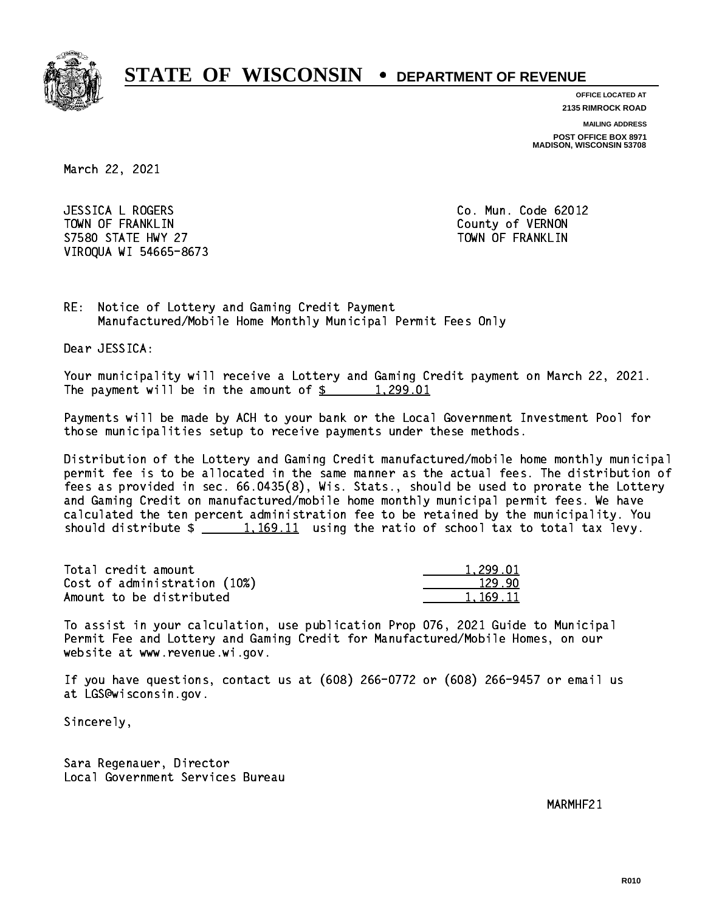

**OFFICE LOCATED AT**

**2135 RIMROCK ROAD**

**MAILING ADDRESS**

**POST OFFICE BOX 8971 MADISON, WISCONSIN 53708**

March 22, 2021

 JESSICA L ROGERS Co. Mun. Code 62012 TOWN OF FRANKLIN County of VERNON S7580 STATE HWY 27 TOWN OF FRANKLIN VIROQUA WI 54665-8673

RE: Notice of Lottery and Gaming Credit Payment Manufactured/Mobile Home Monthly Municipal Permit Fees Only

Dear JESSICA:

 Your municipality will receive a Lottery and Gaming Credit payment on March 22, 2021. The payment will be in the amount of  $\frac{2}{3}$  1,299.01

 Payments will be made by ACH to your bank or the Local Government Investment Pool for those municipalities setup to receive payments under these methods.

 Distribution of the Lottery and Gaming Credit manufactured/mobile home monthly municipal permit fee is to be allocated in the same manner as the actual fees. The distribution of fees as provided in sec. 66.0435(8), Wis. Stats., should be used to prorate the Lottery and Gaming Credit on manufactured/mobile home monthly municipal permit fees. We have calculated the ten percent administration fee to be retained by the municipality. You should distribute  $\frac{1,169.11}{1,169.11}$  using the ratio of school tax to total tax levy.

| Total credit amount          | 1.299.01 |
|------------------------------|----------|
| Cost of administration (10%) | 129.90   |
| Amount to be distributed     | 1.169.11 |

 To assist in your calculation, use publication Prop 076, 2021 Guide to Municipal Permit Fee and Lottery and Gaming Credit for Manufactured/Mobile Homes, on our website at www.revenue.wi.gov.

 If you have questions, contact us at (608) 266-0772 or (608) 266-9457 or email us at LGS@wisconsin.gov.

Sincerely,

 Sara Regenauer, Director Local Government Services Bureau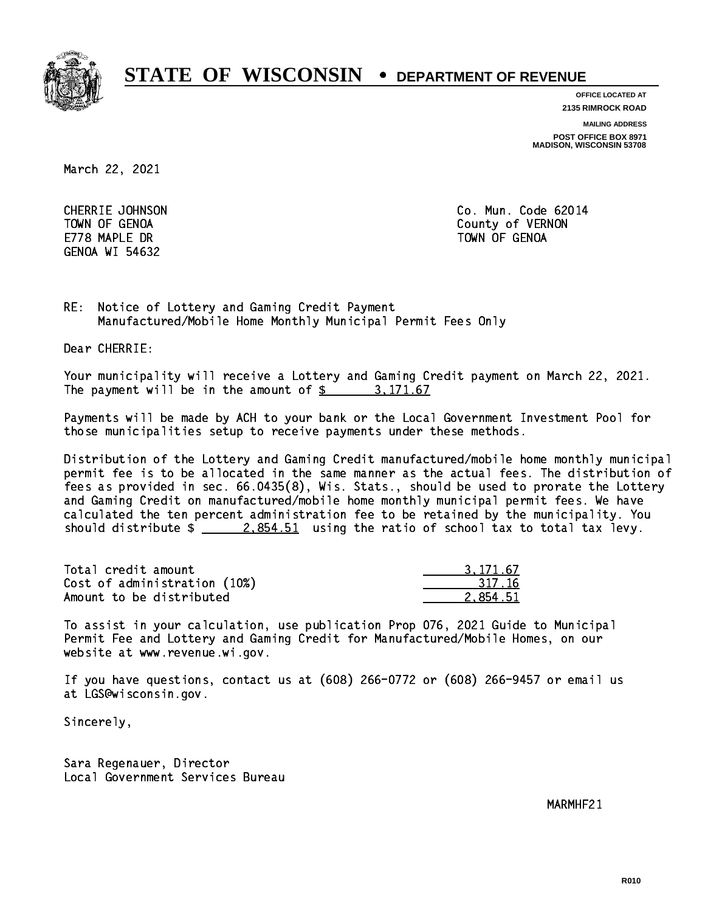

**OFFICE LOCATED AT**

**2135 RIMROCK ROAD**

**MAILING ADDRESS**

**POST OFFICE BOX 8971 MADISON, WISCONSIN 53708**

March 22, 2021

E778 MAPLE DR TOWN OF GENOA GENOA WI 54632

 CHERRIE JOHNSON Co. Mun. Code 62014 TOWN OF GENOA County of VERNON

RE: Notice of Lottery and Gaming Credit Payment Manufactured/Mobile Home Monthly Municipal Permit Fees Only

Dear CHERRIE:

 Your municipality will receive a Lottery and Gaming Credit payment on March 22, 2021. The payment will be in the amount of  $\frac{2}{3}$  3,171.67

 Payments will be made by ACH to your bank or the Local Government Investment Pool for those municipalities setup to receive payments under these methods.

 Distribution of the Lottery and Gaming Credit manufactured/mobile home monthly municipal permit fee is to be allocated in the same manner as the actual fees. The distribution of fees as provided in sec. 66.0435(8), Wis. Stats., should be used to prorate the Lottery and Gaming Credit on manufactured/mobile home monthly municipal permit fees. We have calculated the ten percent administration fee to be retained by the municipality. You should distribute  $\frac{2.854.51}{2.854.51}$  using the ratio of school tax to total tax levy.

| Total credit amount          | 3.171.67 |
|------------------------------|----------|
| Cost of administration (10%) | 317.16   |
| Amount to be distributed     | 2.854.51 |

 To assist in your calculation, use publication Prop 076, 2021 Guide to Municipal Permit Fee and Lottery and Gaming Credit for Manufactured/Mobile Homes, on our website at www.revenue.wi.gov.

 If you have questions, contact us at (608) 266-0772 or (608) 266-9457 or email us at LGS@wisconsin.gov.

Sincerely,

 Sara Regenauer, Director Local Government Services Bureau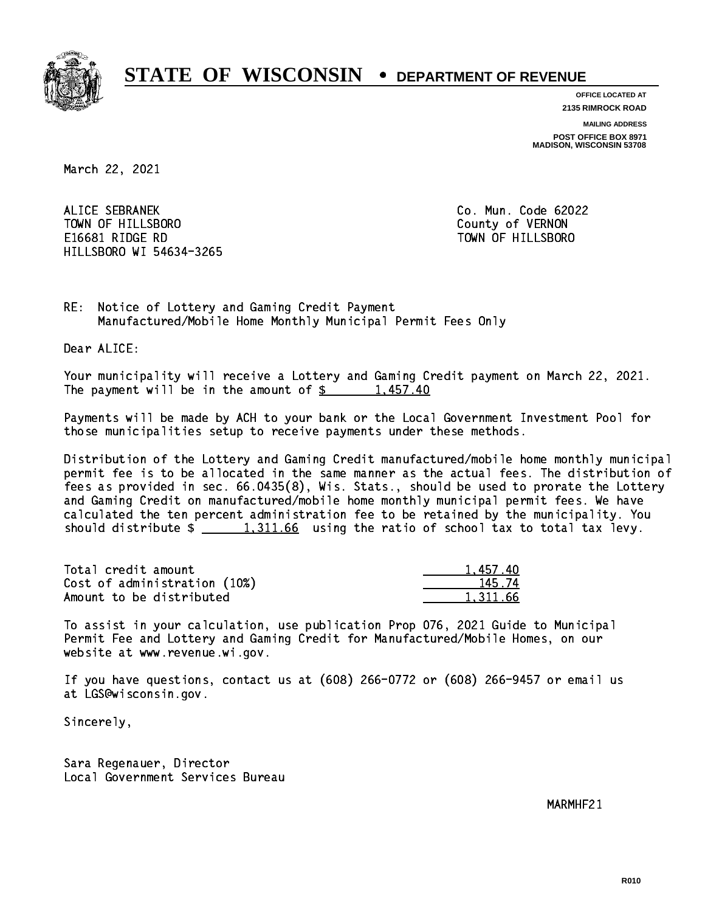

**OFFICE LOCATED AT 2135 RIMROCK ROAD**

**MAILING ADDRESS**

**POST OFFICE BOX 8971 MADISON, WISCONSIN 53708**

March 22, 2021

 ALICE SEBRANEK Co. Mun. Code 62022 TOWN OF HILLSBORO County of VERNON E16681 RIDGE RD TOWN OF HILLSBORO HILLSBORO WI 54634-3265

RE: Notice of Lottery and Gaming Credit Payment Manufactured/Mobile Home Monthly Municipal Permit Fees Only

Dear ALICE:

 Your municipality will receive a Lottery and Gaming Credit payment on March 22, 2021. The payment will be in the amount of  $\frac{2}{3}$  1,457.40

 Payments will be made by ACH to your bank or the Local Government Investment Pool for those municipalities setup to receive payments under these methods.

 Distribution of the Lottery and Gaming Credit manufactured/mobile home monthly municipal permit fee is to be allocated in the same manner as the actual fees. The distribution of fees as provided in sec. 66.0435(8), Wis. Stats., should be used to prorate the Lottery and Gaming Credit on manufactured/mobile home monthly municipal permit fees. We have calculated the ten percent administration fee to be retained by the municipality. You should distribute  $\frac{1,311.66}{1,311.66}$  using the ratio of school tax to total tax levy.

| Total credit amount          | 1.457.40 |
|------------------------------|----------|
| Cost of administration (10%) | 145.74   |
| Amount to be distributed     | 1.311.66 |

 To assist in your calculation, use publication Prop 076, 2021 Guide to Municipal Permit Fee and Lottery and Gaming Credit for Manufactured/Mobile Homes, on our website at www.revenue.wi.gov.

 If you have questions, contact us at (608) 266-0772 or (608) 266-9457 or email us at LGS@wisconsin.gov.

Sincerely,

 Sara Regenauer, Director Local Government Services Bureau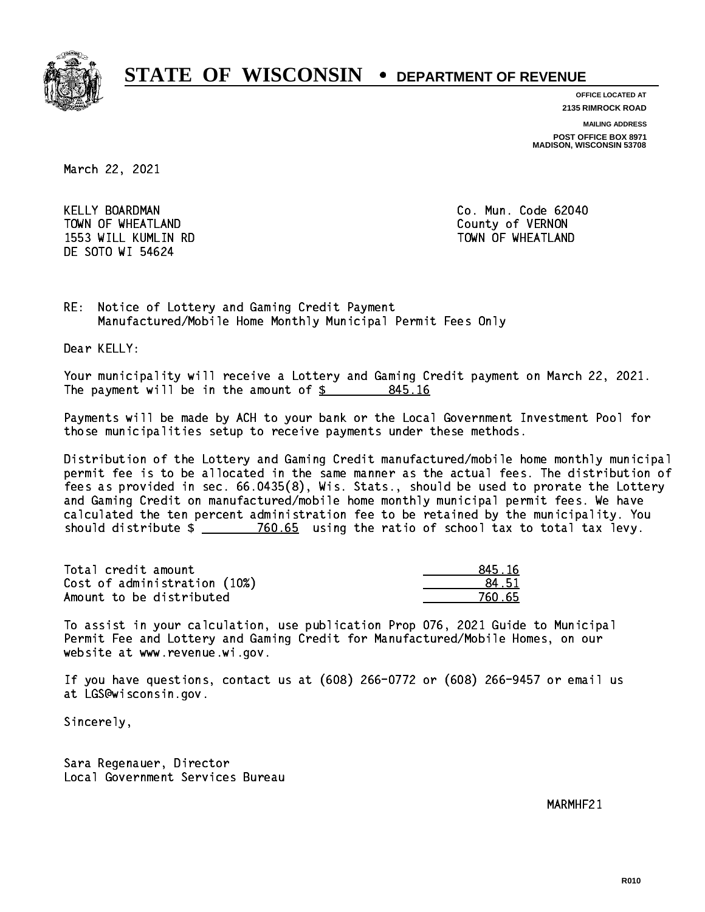

**OFFICE LOCATED AT**

**2135 RIMROCK ROAD**

**MAILING ADDRESS**

**POST OFFICE BOX 8971 MADISON, WISCONSIN 53708**

March 22, 2021

KELLY BOARDMAN TOWN OF WHEATLAND COUNTY OF SALES AND TOWN OF WHEATLAND 1553 WILL KUMLIN RD TOWN OF WHEATLAND DE SOTO WI 54624

Co. Mun. Code 62040

RE: Notice of Lottery and Gaming Credit Payment Manufactured/Mobile Home Monthly Municipal Permit Fees Only

Dear KELLY:

 Your municipality will receive a Lottery and Gaming Credit payment on March 22, 2021. The payment will be in the amount of  $\frac{2}{3}$  845.16

 Payments will be made by ACH to your bank or the Local Government Investment Pool for those municipalities setup to receive payments under these methods.

 Distribution of the Lottery and Gaming Credit manufactured/mobile home monthly municipal permit fee is to be allocated in the same manner as the actual fees. The distribution of fees as provided in sec. 66.0435(8), Wis. Stats., should be used to prorate the Lottery and Gaming Credit on manufactured/mobile home monthly municipal permit fees. We have calculated the ten percent administration fee to be retained by the municipality. You should distribute  $\frac{2}{2}$   $\frac{760.65}{2}$  using the ratio of school tax to total tax levy.

Total credit amount Cost of administration (10%) Amount to be distributed

| 45.16      |
|------------|
| 4.51       |
| 50.65<br>- |

 To assist in your calculation, use publication Prop 076, 2021 Guide to Municipal Permit Fee and Lottery and Gaming Credit for Manufactured/Mobile Homes, on our website at www.revenue.wi.gov.

 If you have questions, contact us at (608) 266-0772 or (608) 266-9457 or email us at LGS@wisconsin.gov.

Sincerely,

 Sara Regenauer, Director Local Government Services Bureau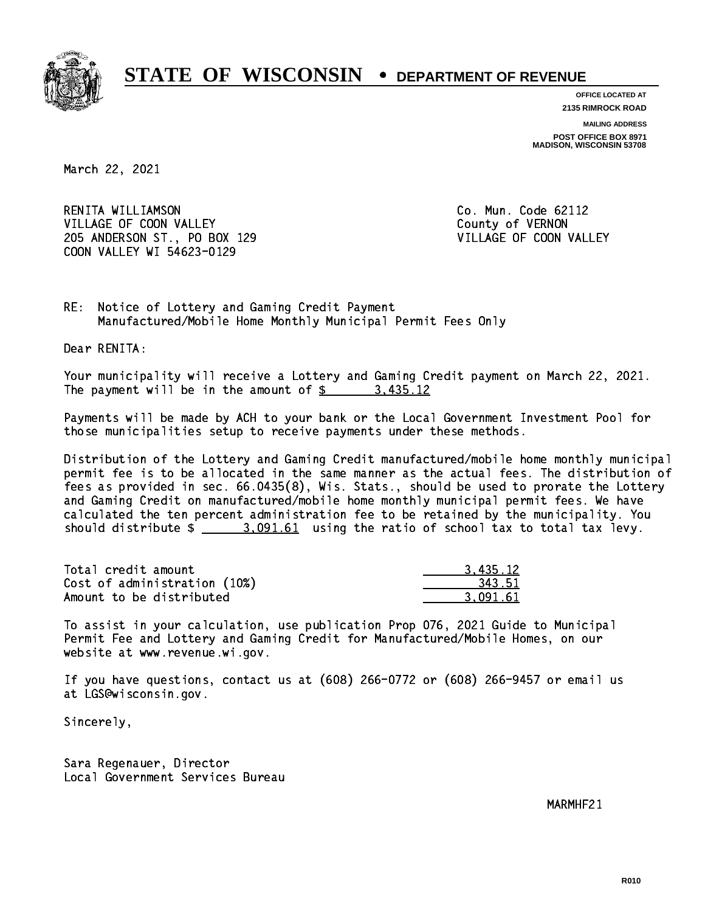

**OFFICE LOCATED AT**

**2135 RIMROCK ROAD**

**MAILING ADDRESS POST OFFICE BOX 8971 MADISON, WISCONSIN 53708**

March 22, 2021

 RENITA WILLIAMSON Co. Mun. Code 62112 VILLAGE OF COON VALLEY COUNTY OF VERNON 205 ANDERSON ST., PO BOX 129 VILLAGE OF COON VALLEY COON VALLEY WI 54623-0129

RE: Notice of Lottery and Gaming Credit Payment Manufactured/Mobile Home Monthly Municipal Permit Fees Only

Dear RENITA:

 Your municipality will receive a Lottery and Gaming Credit payment on March 22, 2021. The payment will be in the amount of  $\frac{2}{3}$  3,435.12

 Payments will be made by ACH to your bank or the Local Government Investment Pool for those municipalities setup to receive payments under these methods.

 Distribution of the Lottery and Gaming Credit manufactured/mobile home monthly municipal permit fee is to be allocated in the same manner as the actual fees. The distribution of fees as provided in sec. 66.0435(8), Wis. Stats., should be used to prorate the Lottery and Gaming Credit on manufactured/mobile home monthly municipal permit fees. We have calculated the ten percent administration fee to be retained by the municipality. You should distribute  $\frac{2}{2}$   $\frac{3.091.61}{2}$  using the ratio of school tax to total tax levy.

| Total credit amount          | 3.435.12 |
|------------------------------|----------|
| Cost of administration (10%) | 343.51   |
| Amount to be distributed     | 3.091.61 |

 To assist in your calculation, use publication Prop 076, 2021 Guide to Municipal Permit Fee and Lottery and Gaming Credit for Manufactured/Mobile Homes, on our website at www.revenue.wi.gov.

 If you have questions, contact us at (608) 266-0772 or (608) 266-9457 or email us at LGS@wisconsin.gov.

Sincerely,

 Sara Regenauer, Director Local Government Services Bureau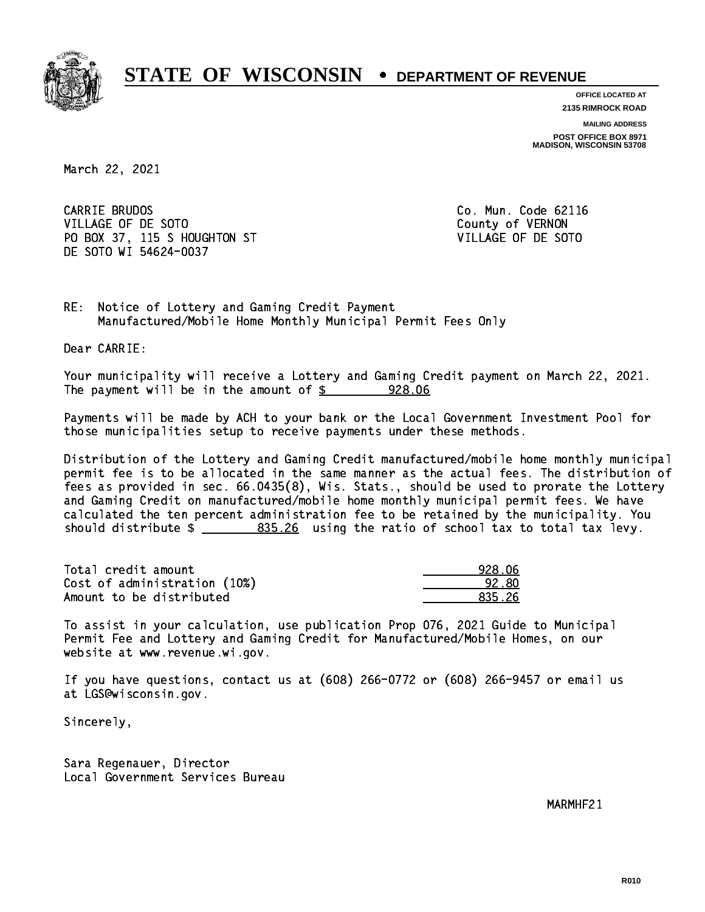

**OFFICE LOCATED AT 2135 RIMROCK ROAD**

**MAILING ADDRESS**

**POST OFFICE BOX 8971 MADISON, WISCONSIN 53708**

March 22, 2021

CARRIE BRUDOS VILLAGE OF DE SOTO COUNTY OF VERNON PO BOX 37, 115 S HOUGHTON ST VILLAGE OF DE SOTO DE SOTO WI 54624-0037

Co. Mun. Code 62116

RE: Notice of Lottery and Gaming Credit Payment Manufactured/Mobile Home Monthly Municipal Permit Fees Only

Dear CARRIE:

 Your municipality will receive a Lottery and Gaming Credit payment on March 22, 2021. The payment will be in the amount of  $$ 928.06$ 

 Payments will be made by ACH to your bank or the Local Government Investment Pool for those municipalities setup to receive payments under these methods.

 Distribution of the Lottery and Gaming Credit manufactured/mobile home monthly municipal permit fee is to be allocated in the same manner as the actual fees. The distribution of fees as provided in sec. 66.0435(8), Wis. Stats., should be used to prorate the Lottery and Gaming Credit on manufactured/mobile home monthly municipal permit fees. We have calculated the ten percent administration fee to be retained by the municipality. You should distribute  $\frac{25.26}{20}$  using the ratio of school tax to total tax levy.

| Total credit amount          | 928.06 |
|------------------------------|--------|
| Cost of administration (10%) | 92.80  |
| Amount to be distributed     | 835.26 |

 To assist in your calculation, use publication Prop 076, 2021 Guide to Municipal Permit Fee and Lottery and Gaming Credit for Manufactured/Mobile Homes, on our website at www.revenue.wi.gov.

 If you have questions, contact us at (608) 266-0772 or (608) 266-9457 or email us at LGS@wisconsin.gov.

Sincerely,

 Sara Regenauer, Director Local Government Services Bureau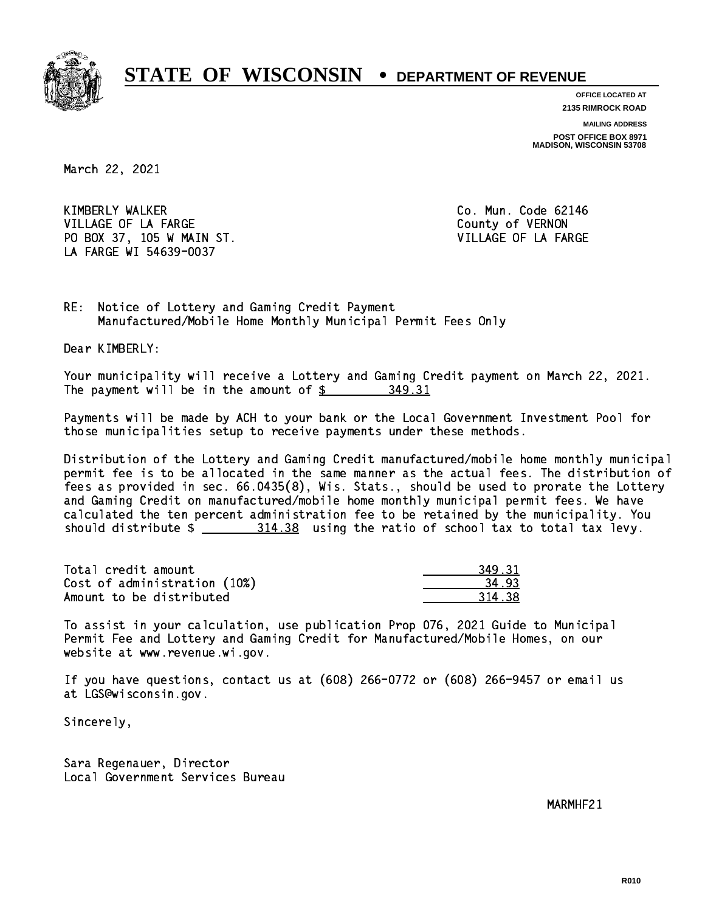

**OFFICE LOCATED AT 2135 RIMROCK ROAD**

**MAILING ADDRESS**

**POST OFFICE BOX 8971 MADISON, WISCONSIN 53708**

March 22, 2021

 KIMBERLY WALKER Co. Mun. Code 62146 VILLAGE OF LA FARGE COUNTY OF VERNON PO BOX 37, 105 W MAIN ST. VILLAGE OF LA FARGE LA FARGE WI 54639-0037

RE: Notice of Lottery and Gaming Credit Payment Manufactured/Mobile Home Monthly Municipal Permit Fees Only

Dear KIMBERLY:

 Your municipality will receive a Lottery and Gaming Credit payment on March 22, 2021. The payment will be in the amount of \$ 349.31 \_\_\_\_\_\_\_\_\_\_\_\_\_\_\_\_

 Payments will be made by ACH to your bank or the Local Government Investment Pool for those municipalities setup to receive payments under these methods.

 Distribution of the Lottery and Gaming Credit manufactured/mobile home monthly municipal permit fee is to be allocated in the same manner as the actual fees. The distribution of fees as provided in sec. 66.0435(8), Wis. Stats., should be used to prorate the Lottery and Gaming Credit on manufactured/mobile home monthly municipal permit fees. We have calculated the ten percent administration fee to be retained by the municipality. You should distribute  $\frac{2 \frac{314.38}{2}}{2 \frac{314.38}{2}}$  using the ratio of school tax to total tax levy.

| Total credit amount          | 349.31 |
|------------------------------|--------|
| Cost of administration (10%) | 34.93  |
| Amount to be distributed     | 314.38 |

 To assist in your calculation, use publication Prop 076, 2021 Guide to Municipal Permit Fee and Lottery and Gaming Credit for Manufactured/Mobile Homes, on our website at www.revenue.wi.gov.

 If you have questions, contact us at (608) 266-0772 or (608) 266-9457 or email us at LGS@wisconsin.gov.

Sincerely,

 Sara Regenauer, Director Local Government Services Bureau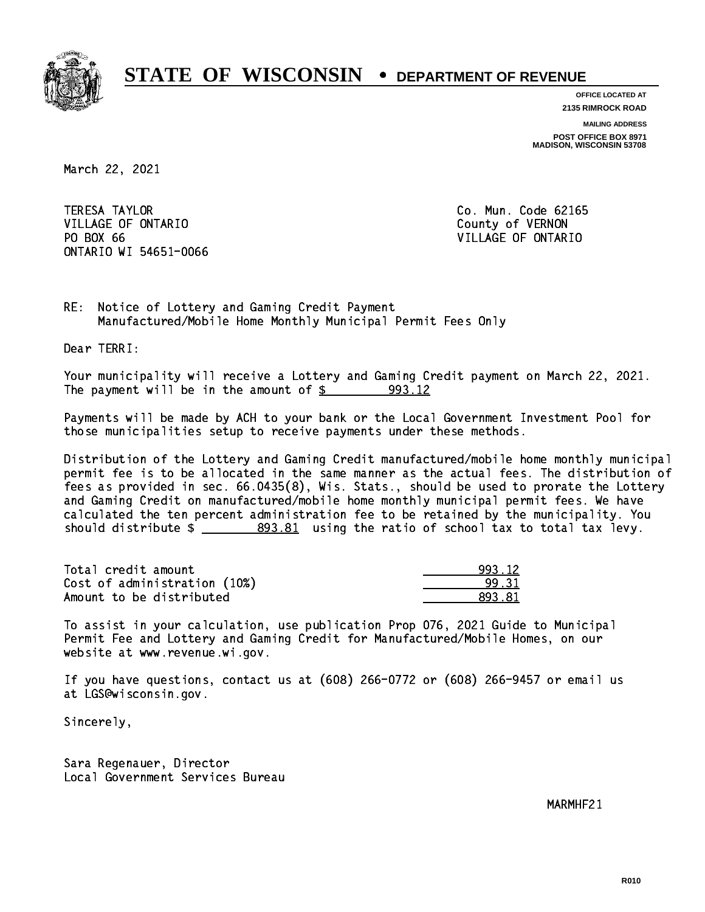

**OFFICE LOCATED AT**

**2135 RIMROCK ROAD**

**MAILING ADDRESS**

**POST OFFICE BOX 8971 MADISON, WISCONSIN 53708**

March 22, 2021

**TERESA TAYLOR** VILLAGE OF ONTARIO **COUNTY OF SERVICE OF STATE OF STATE OF STATE OF STATE OF STATE OF STATE OF STATE OF STATE OF STATE OF STATE OF STATE OF STATE OF STATE OF STATE OF STATE OF STATE OF STATE OF STATE OF STATE OF STATE OF S** PO BOX 66 ONTARIO WI 54651-0066

Co. Mun. Code 62165 VILLAGE OF ONTARIO

RE: Notice of Lottery and Gaming Credit Payment Manufactured/Mobile Home Monthly Municipal Permit Fees Only

Dear TERRI:

 Your municipality will receive a Lottery and Gaming Credit payment on March 22, 2021. The payment will be in the amount of  $\frac{2}{3}$  993.12

 Payments will be made by ACH to your bank or the Local Government Investment Pool for those municipalities setup to receive payments under these methods.

 Distribution of the Lottery and Gaming Credit manufactured/mobile home monthly municipal permit fee is to be allocated in the same manner as the actual fees. The distribution of fees as provided in sec. 66.0435(8), Wis. Stats., should be used to prorate the Lottery and Gaming Credit on manufactured/mobile home monthly municipal permit fees. We have calculated the ten percent administration fee to be retained by the municipality. You should distribute  $\frac{2}{2}$   $\frac{893.81}{2}$  using the ratio of school tax to total tax levy.

| Total credit amount          | 993.12  |
|------------------------------|---------|
| Cost of administration (10%) | 99.31   |
| Amount to be distributed     | 893. 81 |

 To assist in your calculation, use publication Prop 076, 2021 Guide to Municipal Permit Fee and Lottery and Gaming Credit for Manufactured/Mobile Homes, on our website at www.revenue.wi.gov.

 If you have questions, contact us at (608) 266-0772 or (608) 266-9457 or email us at LGS@wisconsin.gov.

Sincerely,

 Sara Regenauer, Director Local Government Services Bureau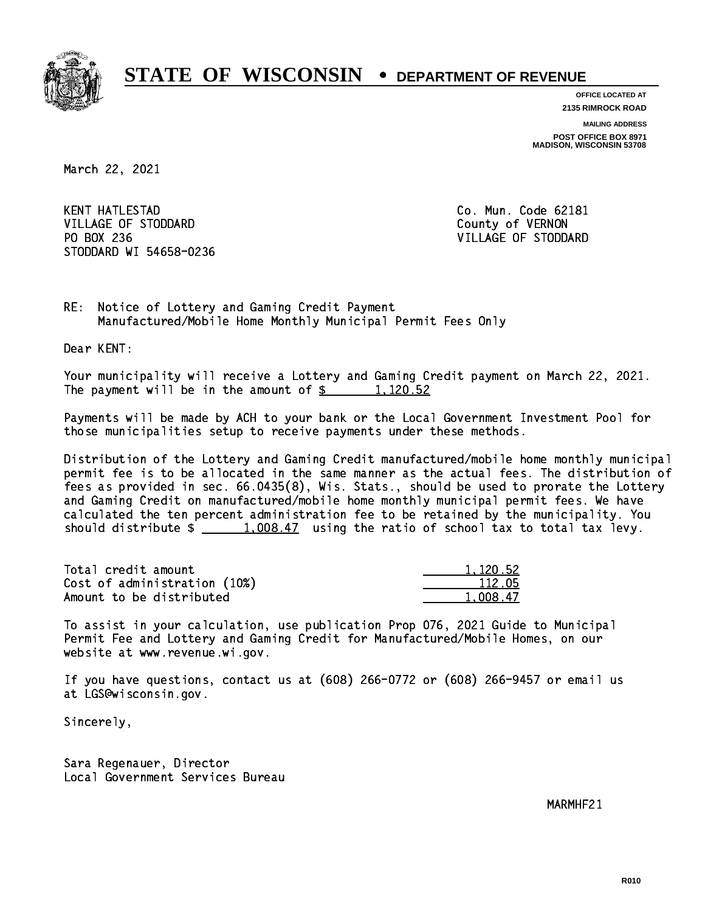

**OFFICE LOCATED AT 2135 RIMROCK ROAD**

**MAILING ADDRESS**

**POST OFFICE BOX 8971 MADISON, WISCONSIN 53708**

March 22, 2021

**KENT HATLESTAD** VILLAGE OF STODDARD County of VERNON PO BOX 236 VILLAGE OF STODDARD STODDARD WI 54658-0236

Co. Mun. Code 62181

RE: Notice of Lottery and Gaming Credit Payment Manufactured/Mobile Home Monthly Municipal Permit Fees Only

Dear KENT:

 Your municipality will receive a Lottery and Gaming Credit payment on March 22, 2021. The payment will be in the amount of  $\frac{2}{3}$  1,120.52

 Payments will be made by ACH to your bank or the Local Government Investment Pool for those municipalities setup to receive payments under these methods.

 Distribution of the Lottery and Gaming Credit manufactured/mobile home monthly municipal permit fee is to be allocated in the same manner as the actual fees. The distribution of fees as provided in sec. 66.0435(8), Wis. Stats., should be used to prorate the Lottery and Gaming Credit on manufactured/mobile home monthly municipal permit fees. We have calculated the ten percent administration fee to be retained by the municipality. You should distribute  $\frac{1,008.47}{1,008.47}$  using the ratio of school tax to total tax levy.

| Total credit amount          | 1,120.52 |
|------------------------------|----------|
| Cost of administration (10%) | 112.05   |
| Amount to be distributed     | 1.008.47 |

 To assist in your calculation, use publication Prop 076, 2021 Guide to Municipal Permit Fee and Lottery and Gaming Credit for Manufactured/Mobile Homes, on our website at www.revenue.wi.gov.

 If you have questions, contact us at (608) 266-0772 or (608) 266-9457 or email us at LGS@wisconsin.gov.

Sincerely,

 Sara Regenauer, Director Local Government Services Bureau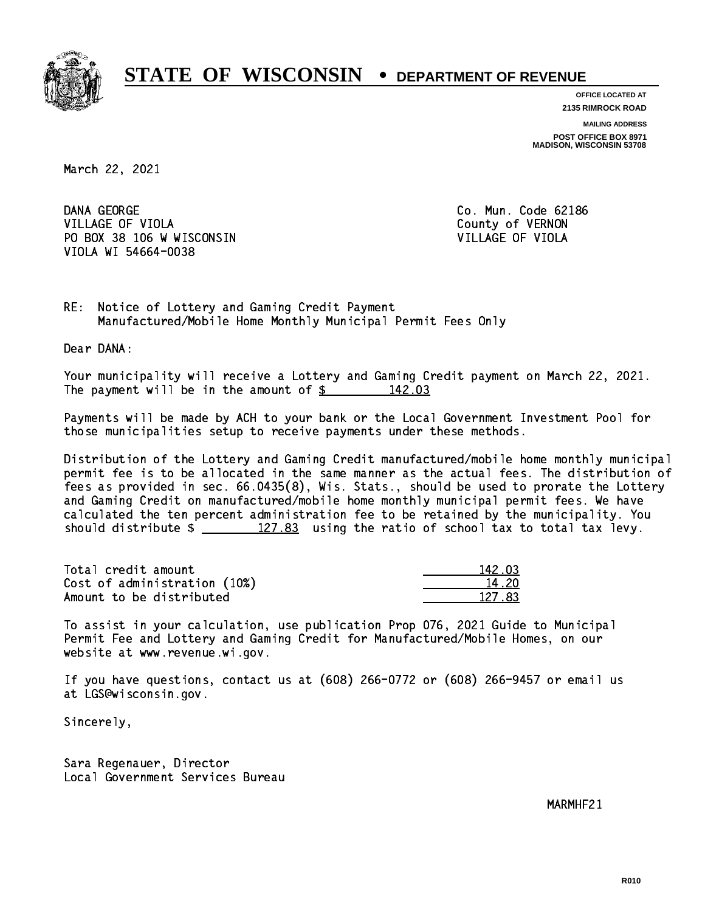

**OFFICE LOCATED AT 2135 RIMROCK ROAD**

**MAILING ADDRESS**

**POST OFFICE BOX 8971 MADISON, WISCONSIN 53708**

March 22, 2021

DANA GEORGE VILLAGE OF VIOLA **COUNTY OF VIOLA** PO BOX 38 106 W WISCONSIN VILLAGE OF VIOLA VIOLA WI 54664-0038

Co. Mun. Code 62186

RE: Notice of Lottery and Gaming Credit Payment Manufactured/Mobile Home Monthly Municipal Permit Fees Only

Dear DANA:

 Your municipality will receive a Lottery and Gaming Credit payment on March 22, 2021. The payment will be in the amount of  $\frac{2}{3}$  142.03

 Payments will be made by ACH to your bank or the Local Government Investment Pool for those municipalities setup to receive payments under these methods.

 Distribution of the Lottery and Gaming Credit manufactured/mobile home monthly municipal permit fee is to be allocated in the same manner as the actual fees. The distribution of fees as provided in sec. 66.0435(8), Wis. Stats., should be used to prorate the Lottery and Gaming Credit on manufactured/mobile home monthly municipal permit fees. We have calculated the ten percent administration fee to be retained by the municipality. You should distribute  $\frac{2}{2}$   $\frac{127.83}{2}$  using the ratio of school tax to total tax levy.

Total credit amount Cost of administration (10%) Amount to be distributed

| 12 NR  |
|--------|
| L 2N   |
| 127 83 |

 To assist in your calculation, use publication Prop 076, 2021 Guide to Municipal Permit Fee and Lottery and Gaming Credit for Manufactured/Mobile Homes, on our website at www.revenue.wi.gov.

 If you have questions, contact us at (608) 266-0772 or (608) 266-9457 or email us at LGS@wisconsin.gov.

Sincerely,

 Sara Regenauer, Director Local Government Services Bureau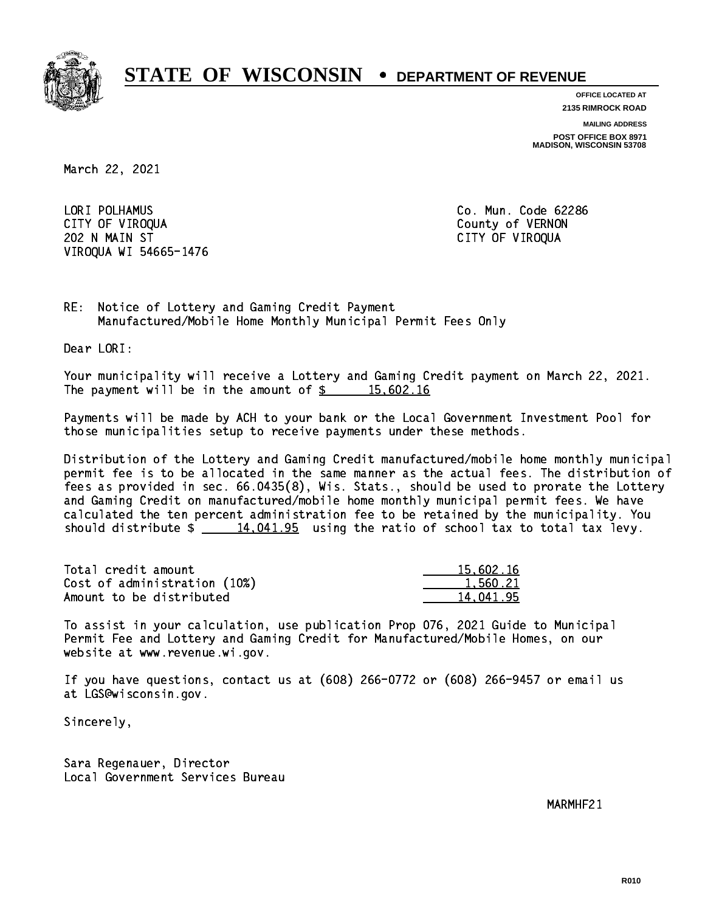

**OFFICE LOCATED AT**

**2135 RIMROCK ROAD**

**MAILING ADDRESS**

**POST OFFICE BOX 8971 MADISON, WISCONSIN 53708**

March 22, 2021

 LORI POLHAMUS Co. Mun. Code 62286 CITY OF VIROQUA COUNTY OF VERNON 202 N MAIN ST CITY OF VIROQUA VIROQUA WI 54665-1476

RE: Notice of Lottery and Gaming Credit Payment Manufactured/Mobile Home Monthly Municipal Permit Fees Only

Dear LORI:

 Your municipality will receive a Lottery and Gaming Credit payment on March 22, 2021. The payment will be in the amount of  $\frac{2}{3}$  15,602.16

 Payments will be made by ACH to your bank or the Local Government Investment Pool for those municipalities setup to receive payments under these methods.

 Distribution of the Lottery and Gaming Credit manufactured/mobile home monthly municipal permit fee is to be allocated in the same manner as the actual fees. The distribution of fees as provided in sec. 66.0435(8), Wis. Stats., should be used to prorate the Lottery and Gaming Credit on manufactured/mobile home monthly municipal permit fees. We have calculated the ten percent administration fee to be retained by the municipality. You should distribute  $\frac{14,041.95}{2}$  using the ratio of school tax to total tax levy.

| Total credit amount          | 15,602.16 |
|------------------------------|-----------|
| Cost of administration (10%) | 1,560.21  |
| Amount to be distributed     | 14.041.95 |

 To assist in your calculation, use publication Prop 076, 2021 Guide to Municipal Permit Fee and Lottery and Gaming Credit for Manufactured/Mobile Homes, on our website at www.revenue.wi.gov.

 If you have questions, contact us at (608) 266-0772 or (608) 266-9457 or email us at LGS@wisconsin.gov.

Sincerely,

 Sara Regenauer, Director Local Government Services Bureau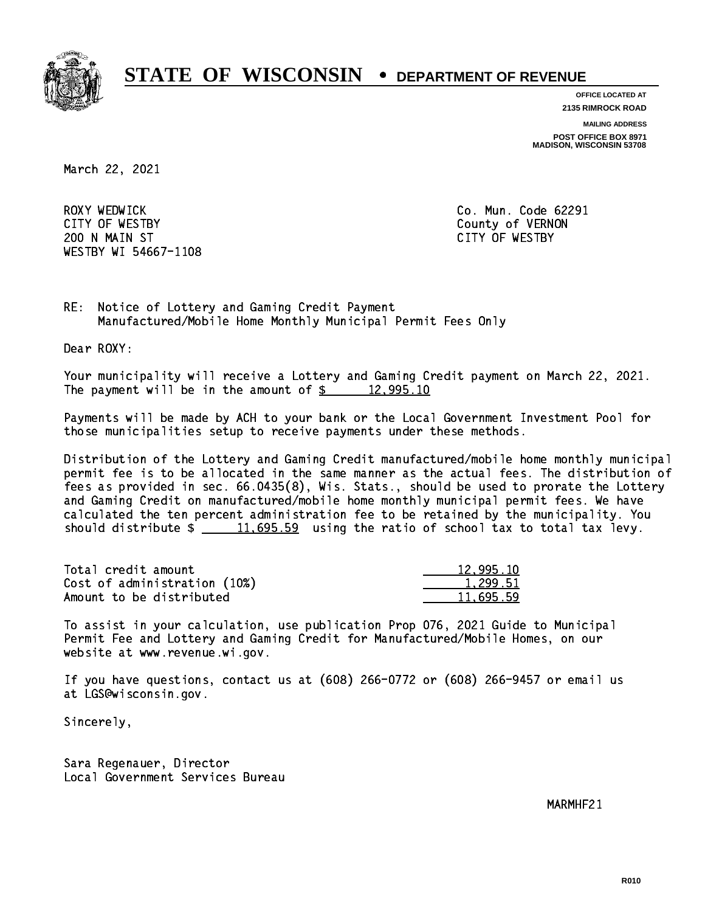

**OFFICE LOCATED AT**

**2135 RIMROCK ROAD**

**MAILING ADDRESS**

**POST OFFICE BOX 8971 MADISON, WISCONSIN 53708**

March 22, 2021

ROXY WEDWICK CITY OF WESTBY County of VERNON 200 N MAIN ST CITY OF WESTBY WESTBY WI 54667-1108

Co. Mun. Code 62291

RE: Notice of Lottery and Gaming Credit Payment Manufactured/Mobile Home Monthly Municipal Permit Fees Only

Dear ROXY:

 Your municipality will receive a Lottery and Gaming Credit payment on March 22, 2021. The payment will be in the amount of  $\frac{2}{3}$  12,995.10

 Payments will be made by ACH to your bank or the Local Government Investment Pool for those municipalities setup to receive payments under these methods.

 Distribution of the Lottery and Gaming Credit manufactured/mobile home monthly municipal permit fee is to be allocated in the same manner as the actual fees. The distribution of fees as provided in sec. 66.0435(8), Wis. Stats., should be used to prorate the Lottery and Gaming Credit on manufactured/mobile home monthly municipal permit fees. We have calculated the ten percent administration fee to be retained by the municipality. You should distribute  $\frac{11695.59}{2}$  using the ratio of school tax to total tax levy.

| Total credit amount          | 12,995.10 |
|------------------------------|-----------|
| Cost of administration (10%) | 1.299.51  |
| Amount to be distributed     | 11,695.59 |

 To assist in your calculation, use publication Prop 076, 2021 Guide to Municipal Permit Fee and Lottery and Gaming Credit for Manufactured/Mobile Homes, on our website at www.revenue.wi.gov.

 If you have questions, contact us at (608) 266-0772 or (608) 266-9457 or email us at LGS@wisconsin.gov.

Sincerely,

 Sara Regenauer, Director Local Government Services Bureau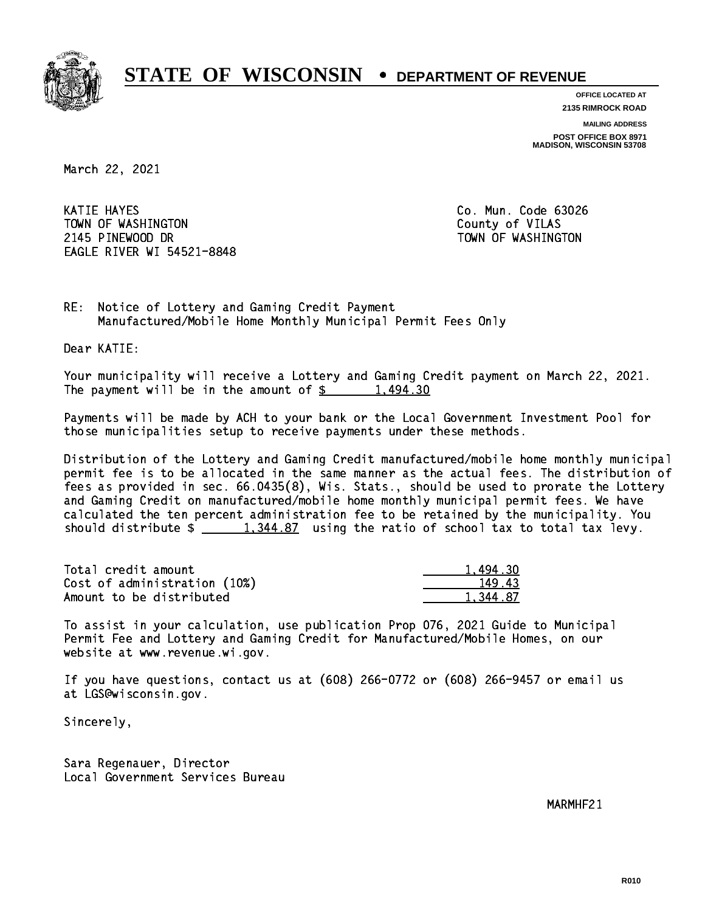

**OFFICE LOCATED AT**

**2135 RIMROCK ROAD**

**MAILING ADDRESS**

**POST OFFICE BOX 8971 MADISON, WISCONSIN 53708**

March 22, 2021

 KATIE HAYES Co. Mun. Code 63026 TOWN OF WASHINGTON COUNTY OF VILAS 2145 PINEWOOD DR TOWN OF WASHINGTON EAGLE RIVER WI 54521-8848

RE: Notice of Lottery and Gaming Credit Payment Manufactured/Mobile Home Monthly Municipal Permit Fees Only

Dear KATIE:

 Your municipality will receive a Lottery and Gaming Credit payment on March 22, 2021. The payment will be in the amount of  $\frac{2}{3}$  1,494.30

 Payments will be made by ACH to your bank or the Local Government Investment Pool for those municipalities setup to receive payments under these methods.

 Distribution of the Lottery and Gaming Credit manufactured/mobile home monthly municipal permit fee is to be allocated in the same manner as the actual fees. The distribution of fees as provided in sec. 66.0435(8), Wis. Stats., should be used to prorate the Lottery and Gaming Credit on manufactured/mobile home monthly municipal permit fees. We have calculated the ten percent administration fee to be retained by the municipality. You should distribute  $\frac{1,344.87}{1,344.87}$  using the ratio of school tax to total tax levy.

| Total credit amount          | 1.494.30 |
|------------------------------|----------|
| Cost of administration (10%) | 149.43   |
| Amount to be distributed     | 1.344.87 |

 To assist in your calculation, use publication Prop 076, 2021 Guide to Municipal Permit Fee and Lottery and Gaming Credit for Manufactured/Mobile Homes, on our website at www.revenue.wi.gov.

 If you have questions, contact us at (608) 266-0772 or (608) 266-9457 or email us at LGS@wisconsin.gov.

Sincerely,

 Sara Regenauer, Director Local Government Services Bureau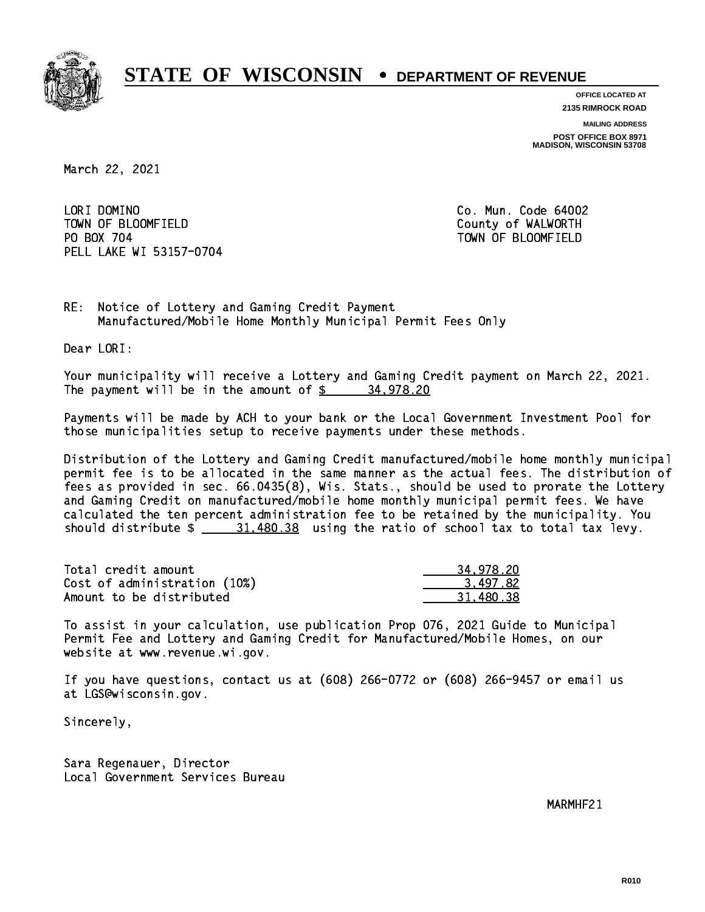

**OFFICE LOCATED AT 2135 RIMROCK ROAD**

**MAILING ADDRESS POST OFFICE BOX 8971 MADISON, WISCONSIN 53708**

March 22, 2021

LORI DOMINO TOWN OF BLOOMFIELD County of WALWORTH PO BOX 704 PELL LAKE WI 53157-0704

Co. Mun. Code 64002 TOWN OF BLOOMFIELD

RE: Notice of Lottery and Gaming Credit Payment Manufactured/Mobile Home Monthly Municipal Permit Fees Only

Dear LORI:

 Your municipality will receive a Lottery and Gaming Credit payment on March 22, 2021. The payment will be in the amount of  $\frac{2}{3}$  34,978.20

 Payments will be made by ACH to your bank or the Local Government Investment Pool for those municipalities setup to receive payments under these methods.

 Distribution of the Lottery and Gaming Credit manufactured/mobile home monthly municipal permit fee is to be allocated in the same manner as the actual fees. The distribution of fees as provided in sec. 66.0435(8), Wis. Stats., should be used to prorate the Lottery and Gaming Credit on manufactured/mobile home monthly municipal permit fees. We have calculated the ten percent administration fee to be retained by the municipality. You should distribute  $\frac{21.480.38}{2}$  using the ratio of school tax to total tax levy.

| Total credit amount          | 34,978.20 |
|------------------------------|-----------|
| Cost of administration (10%) | 3.497.82  |
| Amount to be distributed     | 31.480.38 |

 To assist in your calculation, use publication Prop 076, 2021 Guide to Municipal Permit Fee and Lottery and Gaming Credit for Manufactured/Mobile Homes, on our website at www.revenue.wi.gov.

 If you have questions, contact us at (608) 266-0772 or (608) 266-9457 or email us at LGS@wisconsin.gov.

Sincerely,

 Sara Regenauer, Director Local Government Services Bureau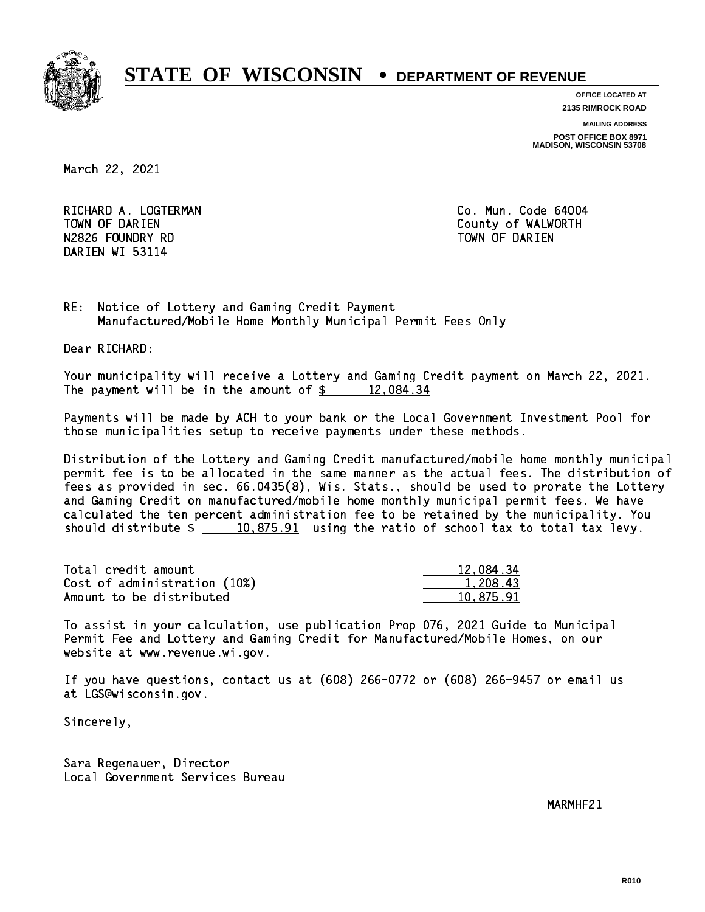

**OFFICE LOCATED AT**

**2135 RIMROCK ROAD**

**MAILING ADDRESS**

**POST OFFICE BOX 8971 MADISON, WISCONSIN 53708**

March 22, 2021

RICHARD A. LOGTERMAN **Co. Mun. Code 64004** TOWN OF DARIEN County of WALWORTH N2826 FOUNDRY RD TOWN OF DARIEN DARIEN WI 53114

RE: Notice of Lottery and Gaming Credit Payment Manufactured/Mobile Home Monthly Municipal Permit Fees Only

Dear RICHARD:

 Your municipality will receive a Lottery and Gaming Credit payment on March 22, 2021. The payment will be in the amount of  $\frac{2}{3}$  12,084.34

 Payments will be made by ACH to your bank or the Local Government Investment Pool for those municipalities setup to receive payments under these methods.

 Distribution of the Lottery and Gaming Credit manufactured/mobile home monthly municipal permit fee is to be allocated in the same manner as the actual fees. The distribution of fees as provided in sec. 66.0435(8), Wis. Stats., should be used to prorate the Lottery and Gaming Credit on manufactured/mobile home monthly municipal permit fees. We have calculated the ten percent administration fee to be retained by the municipality. You should distribute  $\frac{10,875.91}{2}$  using the ratio of school tax to total tax levy.

| Total credit amount          | 12,084.34 |
|------------------------------|-----------|
| Cost of administration (10%) | 1.208.43  |
| Amount to be distributed     | 10.875.91 |

 To assist in your calculation, use publication Prop 076, 2021 Guide to Municipal Permit Fee and Lottery and Gaming Credit for Manufactured/Mobile Homes, on our website at www.revenue.wi.gov.

 If you have questions, contact us at (608) 266-0772 or (608) 266-9457 or email us at LGS@wisconsin.gov.

Sincerely,

 Sara Regenauer, Director Local Government Services Bureau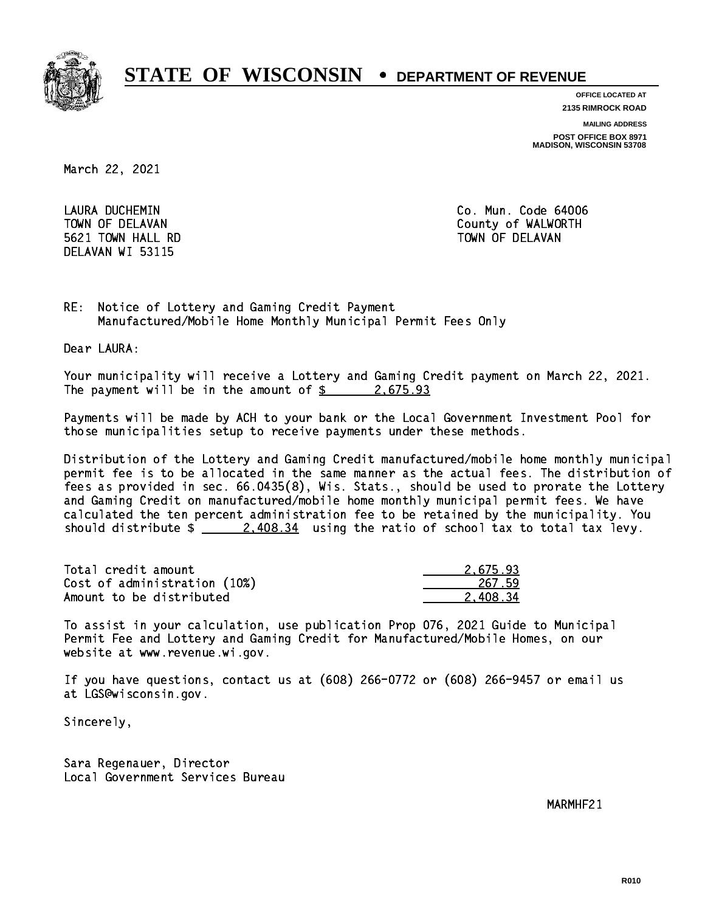

**OFFICE LOCATED AT**

**2135 RIMROCK ROAD**

**MAILING ADDRESS**

**POST OFFICE BOX 8971 MADISON, WISCONSIN 53708**

March 22, 2021

 LAURA DUCHEMIN Co. Mun. Code 64006 5621 TOWN HALL RD TOWN OF DELAVAN DELAVAN WI 53115

TOWN OF DELAVAN County of WALWORTH

RE: Notice of Lottery and Gaming Credit Payment Manufactured/Mobile Home Monthly Municipal Permit Fees Only

Dear LAURA:

 Your municipality will receive a Lottery and Gaming Credit payment on March 22, 2021. The payment will be in the amount of  $\frac{2.675.93}{2.675.93}$ 

 Payments will be made by ACH to your bank or the Local Government Investment Pool for those municipalities setup to receive payments under these methods.

 Distribution of the Lottery and Gaming Credit manufactured/mobile home monthly municipal permit fee is to be allocated in the same manner as the actual fees. The distribution of fees as provided in sec. 66.0435(8), Wis. Stats., should be used to prorate the Lottery and Gaming Credit on manufactured/mobile home monthly municipal permit fees. We have calculated the ten percent administration fee to be retained by the municipality. You should distribute  $\frac{2.408.34}{2.408.34}$  using the ratio of school tax to total tax levy.

| Total credit amount          | 2.675.93 |
|------------------------------|----------|
| Cost of administration (10%) | 267.59   |
| Amount to be distributed     | 2.408.34 |

 To assist in your calculation, use publication Prop 076, 2021 Guide to Municipal Permit Fee and Lottery and Gaming Credit for Manufactured/Mobile Homes, on our website at www.revenue.wi.gov.

 If you have questions, contact us at (608) 266-0772 or (608) 266-9457 or email us at LGS@wisconsin.gov.

Sincerely,

 Sara Regenauer, Director Local Government Services Bureau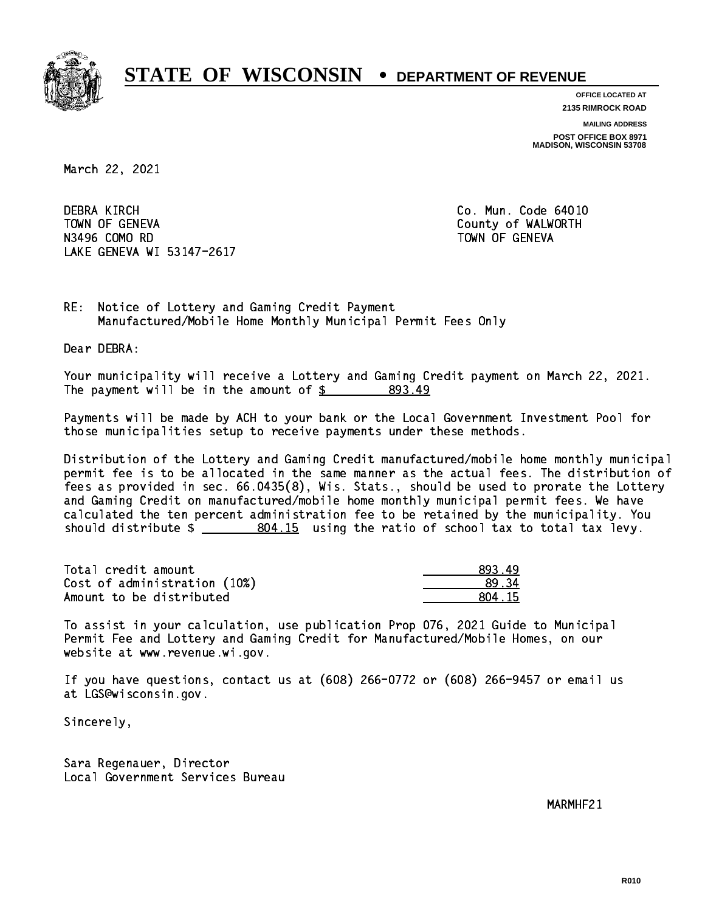

**OFFICE LOCATED AT**

**2135 RIMROCK ROAD**

**MAILING ADDRESS**

**POST OFFICE BOX 8971 MADISON, WISCONSIN 53708**

March 22, 2021

**DEBRA KIRCH**  TOWN OF GENEVA County of WALWORTH N3496 COMO RD N3496 COMO RD TOWN OF GENEVAL COMO RD TOWN OF GENEVAL COMO RD TOWN OF GENEVAL COMO RD TOWN OF GENEVAL COMO RD T LAKE GENEVA WI 53147-2617

Co. Mun. Code 64010

RE: Notice of Lottery and Gaming Credit Payment Manufactured/Mobile Home Monthly Municipal Permit Fees Only

Dear DEBRA:

 Your municipality will receive a Lottery and Gaming Credit payment on March 22, 2021. The payment will be in the amount of \$ 893.49 \_\_\_\_\_\_\_\_\_\_\_\_\_\_\_\_

 Payments will be made by ACH to your bank or the Local Government Investment Pool for those municipalities setup to receive payments under these methods.

 Distribution of the Lottery and Gaming Credit manufactured/mobile home monthly municipal permit fee is to be allocated in the same manner as the actual fees. The distribution of fees as provided in sec. 66.0435(8), Wis. Stats., should be used to prorate the Lottery and Gaming Credit on manufactured/mobile home monthly municipal permit fees. We have calculated the ten percent administration fee to be retained by the municipality. You should distribute  $\frac{2}{10}$   $\frac{804.15}{100}$  using the ratio of school tax to total tax levy.

| Total credit amount          | 893.49 |
|------------------------------|--------|
| Cost of administration (10%) | .89.34 |
| Amount to be distributed     | 804 15 |

 To assist in your calculation, use publication Prop 076, 2021 Guide to Municipal Permit Fee and Lottery and Gaming Credit for Manufactured/Mobile Homes, on our website at www.revenue.wi.gov.

 If you have questions, contact us at (608) 266-0772 or (608) 266-9457 or email us at LGS@wisconsin.gov.

Sincerely,

 Sara Regenauer, Director Local Government Services Bureau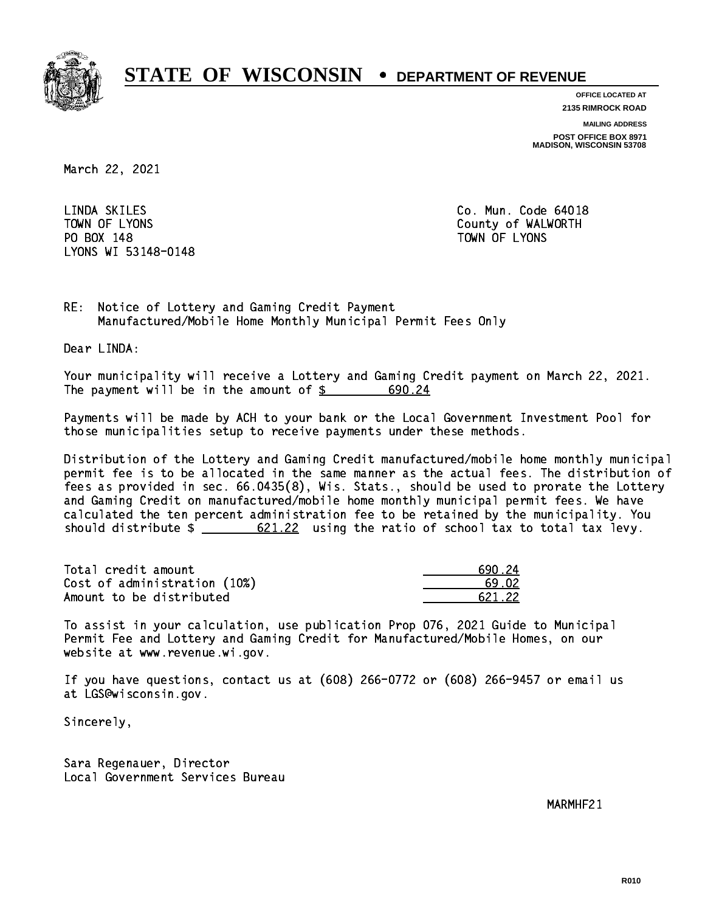

**OFFICE LOCATED AT**

**2135 RIMROCK ROAD**

**MAILING ADDRESS**

**POST OFFICE BOX 8971 MADISON, WISCONSIN 53708**

March 22, 2021

LINDA SKILES PO BOX 148 PO BOX 148 TOWN OF LYONS LYONS WI 53148-0148

Co. Mun. Code 64018 TOWN OF LYONS **County of WALWORTH** 

RE: Notice of Lottery and Gaming Credit Payment Manufactured/Mobile Home Monthly Municipal Permit Fees Only

Dear LINDA:

 Your municipality will receive a Lottery and Gaming Credit payment on March 22, 2021. The payment will be in the amount of \$ 690.24 \_\_\_\_\_\_\_\_\_\_\_\_\_\_\_\_

 Payments will be made by ACH to your bank or the Local Government Investment Pool for those municipalities setup to receive payments under these methods.

 Distribution of the Lottery and Gaming Credit manufactured/mobile home monthly municipal permit fee is to be allocated in the same manner as the actual fees. The distribution of fees as provided in sec. 66.0435(8), Wis. Stats., should be used to prorate the Lottery and Gaming Credit on manufactured/mobile home monthly municipal permit fees. We have calculated the ten percent administration fee to be retained by the municipality. You should distribute  $\frac{2 \cdot 621.22}{2}$  using the ratio of school tax to total tax levy.

| Total credit amount          | 690 24 |
|------------------------------|--------|
| Cost of administration (10%) | -69 N2 |
| Amount to be distributed     | 621 22 |

 To assist in your calculation, use publication Prop 076, 2021 Guide to Municipal Permit Fee and Lottery and Gaming Credit for Manufactured/Mobile Homes, on our website at www.revenue.wi.gov.

 If you have questions, contact us at (608) 266-0772 or (608) 266-9457 or email us at LGS@wisconsin.gov.

Sincerely,

 Sara Regenauer, Director Local Government Services Bureau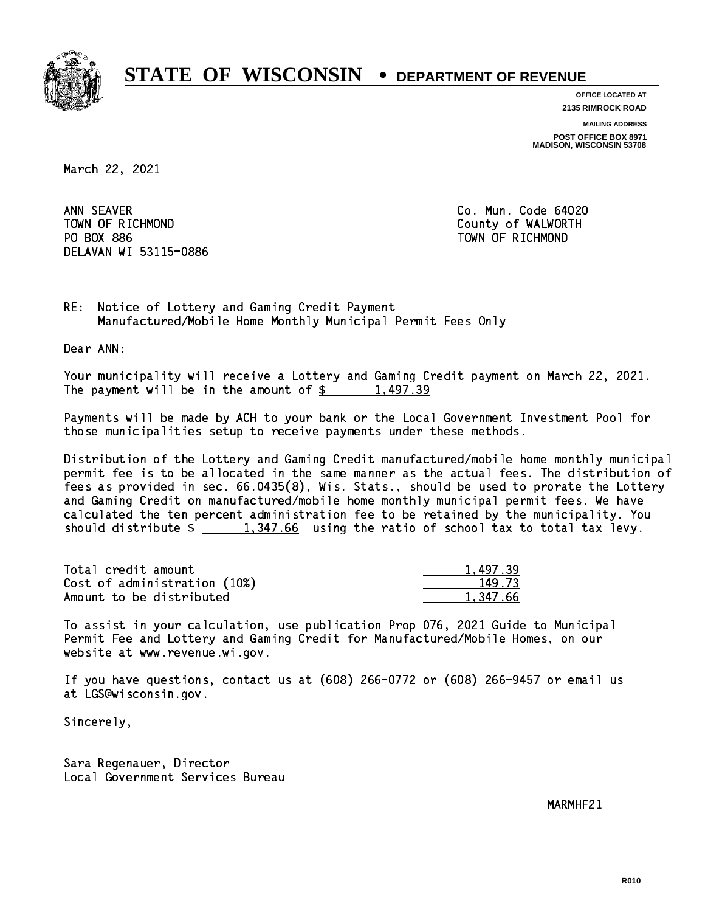

**OFFICE LOCATED AT**

**2135 RIMROCK ROAD**

**MAILING ADDRESS**

**POST OFFICE BOX 8971 MADISON, WISCONSIN 53708**

March 22, 2021

ANN SEAVER TOWN OF RICHMOND County of WALWORTH PO BOX 886 PO BOX 886 TOWN OF RICHMOND DELAVAN WI 53115-0886

Co. Mun. Code 64020

RE: Notice of Lottery and Gaming Credit Payment Manufactured/Mobile Home Monthly Municipal Permit Fees Only

Dear ANN:

 Your municipality will receive a Lottery and Gaming Credit payment on March 22, 2021. The payment will be in the amount of  $\frac{2}{3}$  1,497.39

 Payments will be made by ACH to your bank or the Local Government Investment Pool for those municipalities setup to receive payments under these methods.

 Distribution of the Lottery and Gaming Credit manufactured/mobile home monthly municipal permit fee is to be allocated in the same manner as the actual fees. The distribution of fees as provided in sec. 66.0435(8), Wis. Stats., should be used to prorate the Lottery and Gaming Credit on manufactured/mobile home monthly municipal permit fees. We have calculated the ten percent administration fee to be retained by the municipality. You should distribute  $\frac{1,347.66}{1,347.66}$  using the ratio of school tax to total tax levy.

| Total credit amount          | 1.497.39 |
|------------------------------|----------|
| Cost of administration (10%) | 149.73   |
| Amount to be distributed     | 1.347.66 |

 To assist in your calculation, use publication Prop 076, 2021 Guide to Municipal Permit Fee and Lottery and Gaming Credit for Manufactured/Mobile Homes, on our website at www.revenue.wi.gov.

 If you have questions, contact us at (608) 266-0772 or (608) 266-9457 or email us at LGS@wisconsin.gov.

Sincerely,

 Sara Regenauer, Director Local Government Services Bureau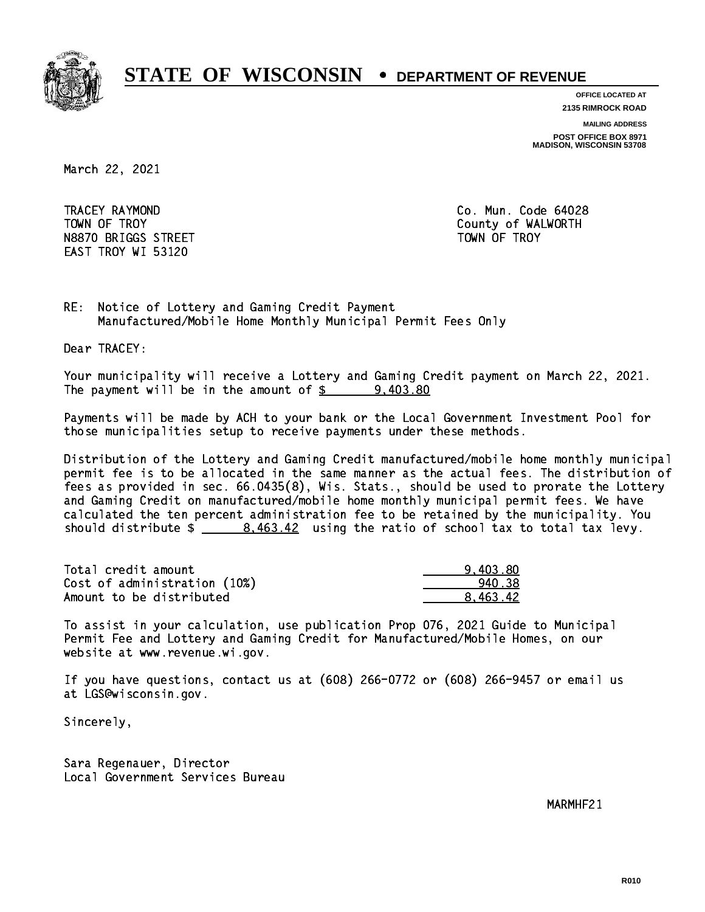

**OFFICE LOCATED AT**

**2135 RIMROCK ROAD**

**MAILING ADDRESS**

**POST OFFICE BOX 8971 MADISON, WISCONSIN 53708**

March 22, 2021

 TRACEY RAYMOND Co. Mun. Code 64028 TOWN OF TROY **COUNTY COUNTY COUNTY OF WALWORTH** N8870 BRIGGS STREET TOWN OF TROY EAST TROY WI 53120

RE: Notice of Lottery and Gaming Credit Payment Manufactured/Mobile Home Monthly Municipal Permit Fees Only

Dear TRACEY:

 Your municipality will receive a Lottery and Gaming Credit payment on March 22, 2021. The payment will be in the amount of  $\frac{2}{3}$  9,403.80

 Payments will be made by ACH to your bank or the Local Government Investment Pool for those municipalities setup to receive payments under these methods.

 Distribution of the Lottery and Gaming Credit manufactured/mobile home monthly municipal permit fee is to be allocated in the same manner as the actual fees. The distribution of fees as provided in sec. 66.0435(8), Wis. Stats., should be used to prorate the Lottery and Gaming Credit on manufactured/mobile home monthly municipal permit fees. We have calculated the ten percent administration fee to be retained by the municipality. You should distribute  $\frac{2}{1}$   $\frac{8,463.42}{2}$  using the ratio of school tax to total tax levy.

| Total credit amount          | 9.403.80 |
|------------------------------|----------|
| Cost of administration (10%) | 940.38   |
| Amount to be distributed     | 8.463.42 |

 To assist in your calculation, use publication Prop 076, 2021 Guide to Municipal Permit Fee and Lottery and Gaming Credit for Manufactured/Mobile Homes, on our website at www.revenue.wi.gov.

 If you have questions, contact us at (608) 266-0772 or (608) 266-9457 or email us at LGS@wisconsin.gov.

Sincerely,

 Sara Regenauer, Director Local Government Services Bureau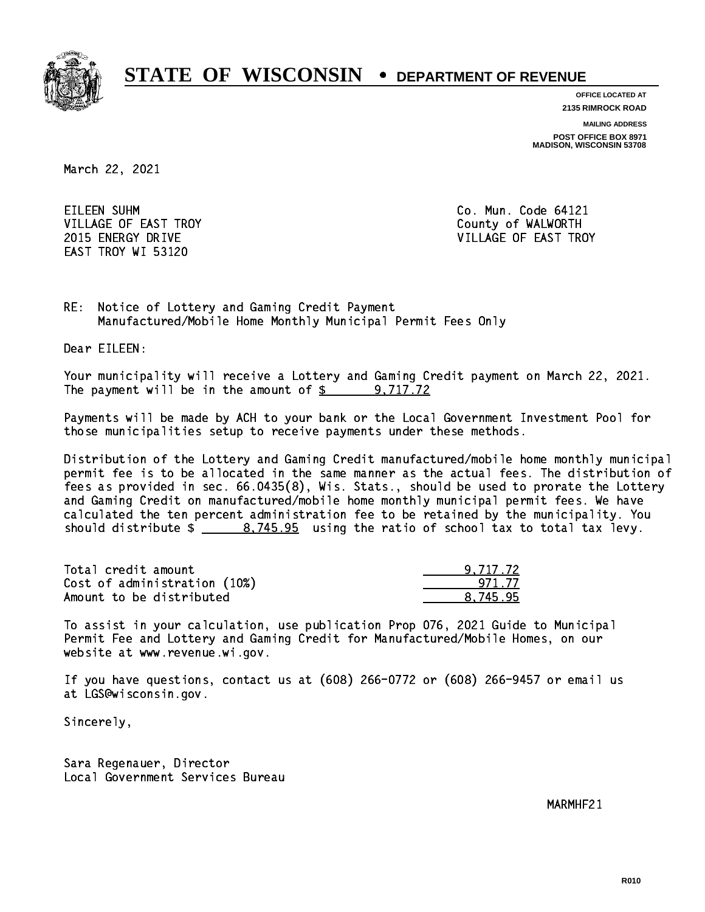

**OFFICE LOCATED AT**

**2135 RIMROCK ROAD**

**MAILING ADDRESS**

**POST OFFICE BOX 8971 MADISON, WISCONSIN 53708**

March 22, 2021

EILEEN SUHM CORPORATION CO. Mun. Code 64121 VILLAGE OF EAST TROY COUNTY OF WALWORTH EAST TROY WI 53120

2015 ENERGY DRIVE VILLAGE OF EAST TROY

RE: Notice of Lottery and Gaming Credit Payment Manufactured/Mobile Home Monthly Municipal Permit Fees Only

Dear EILEEN:

 Your municipality will receive a Lottery and Gaming Credit payment on March 22, 2021. The payment will be in the amount of \$ 9,717.72 \_\_\_\_\_\_\_\_\_\_\_\_\_\_\_\_

 Payments will be made by ACH to your bank or the Local Government Investment Pool for those municipalities setup to receive payments under these methods.

 Distribution of the Lottery and Gaming Credit manufactured/mobile home monthly municipal permit fee is to be allocated in the same manner as the actual fees. The distribution of fees as provided in sec. 66.0435(8), Wis. Stats., should be used to prorate the Lottery and Gaming Credit on manufactured/mobile home monthly municipal permit fees. We have calculated the ten percent administration fee to be retained by the municipality. You should distribute  $\frac{2}{1}$   $\frac{8.745.95}{2}$  using the ratio of school tax to total tax levy.

| Total credit amount          | 9.717.72 |
|------------------------------|----------|
| Cost of administration (10%) | 971 77   |
| Amount to be distributed     | 8.745.95 |

 To assist in your calculation, use publication Prop 076, 2021 Guide to Municipal Permit Fee and Lottery and Gaming Credit for Manufactured/Mobile Homes, on our website at www.revenue.wi.gov.

 If you have questions, contact us at (608) 266-0772 or (608) 266-9457 or email us at LGS@wisconsin.gov.

Sincerely,

 Sara Regenauer, Director Local Government Services Bureau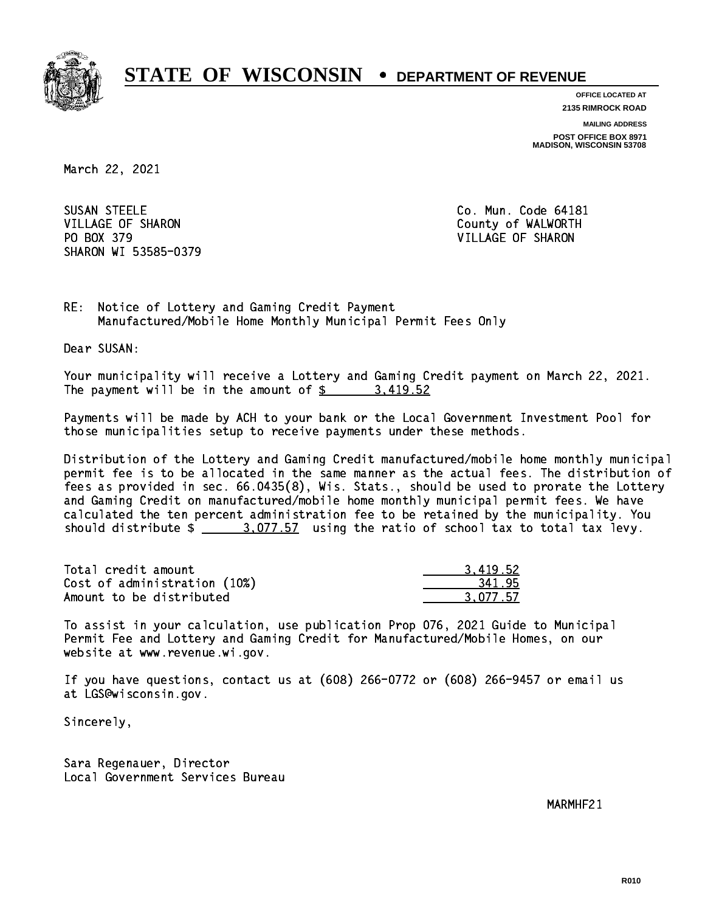

**OFFICE LOCATED AT**

**2135 RIMROCK ROAD**

**MAILING ADDRESS**

**POST OFFICE BOX 8971 MADISON, WISCONSIN 53708**

March 22, 2021

SUSAN STEELE VILLAGE OF SHARON County of WALWORTH PO BOX 379 VILLAGE OF SHARON SHARON WI 53585-0379

Co. Mun. Code 64181

RE: Notice of Lottery and Gaming Credit Payment Manufactured/Mobile Home Monthly Municipal Permit Fees Only

Dear SUSAN:

 Your municipality will receive a Lottery and Gaming Credit payment on March 22, 2021. The payment will be in the amount of \$ 3,419.52 \_\_\_\_\_\_\_\_\_\_\_\_\_\_\_\_

 Payments will be made by ACH to your bank or the Local Government Investment Pool for those municipalities setup to receive payments under these methods.

 Distribution of the Lottery and Gaming Credit manufactured/mobile home monthly municipal permit fee is to be allocated in the same manner as the actual fees. The distribution of fees as provided in sec. 66.0435(8), Wis. Stats., should be used to prorate the Lottery and Gaming Credit on manufactured/mobile home monthly municipal permit fees. We have calculated the ten percent administration fee to be retained by the municipality. You should distribute  $\frac{2.077.57}{2}$  using the ratio of school tax to total tax levy.

| Total credit amount          | 3.419.52 |
|------------------------------|----------|
| Cost of administration (10%) | 341.95   |
| Amount to be distributed     | 3.077.57 |

 To assist in your calculation, use publication Prop 076, 2021 Guide to Municipal Permit Fee and Lottery and Gaming Credit for Manufactured/Mobile Homes, on our website at www.revenue.wi.gov.

 If you have questions, contact us at (608) 266-0772 or (608) 266-9457 or email us at LGS@wisconsin.gov.

Sincerely,

 Sara Regenauer, Director Local Government Services Bureau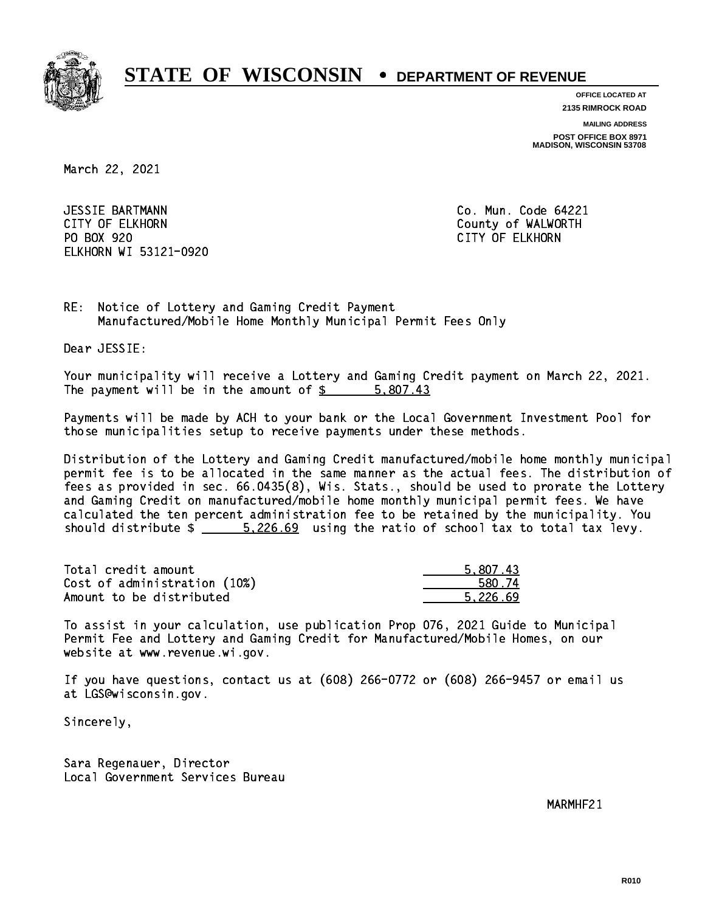

**OFFICE LOCATED AT**

**2135 RIMROCK ROAD**

**MAILING ADDRESS**

**POST OFFICE BOX 8971 MADISON, WISCONSIN 53708**

March 22, 2021

 JESSIE BARTMANN Co. Mun. Code 64221 CITY OF ELKHORN County of WALWORTH PO BOX 920 PO BOX 920 CITY OF ELKHORN ELKHORN WI 53121-0920

RE: Notice of Lottery and Gaming Credit Payment Manufactured/Mobile Home Monthly Municipal Permit Fees Only

Dear JESSIE:

 Your municipality will receive a Lottery and Gaming Credit payment on March 22, 2021. The payment will be in the amount of \$ 5,807.43 \_\_\_\_\_\_\_\_\_\_\_\_\_\_\_\_

 Payments will be made by ACH to your bank or the Local Government Investment Pool for those municipalities setup to receive payments under these methods.

 Distribution of the Lottery and Gaming Credit manufactured/mobile home monthly municipal permit fee is to be allocated in the same manner as the actual fees. The distribution of fees as provided in sec. 66.0435(8), Wis. Stats., should be used to prorate the Lottery and Gaming Credit on manufactured/mobile home monthly municipal permit fees. We have calculated the ten percent administration fee to be retained by the municipality. You should distribute  $\frac{2.26.69}{2.26.69}$  using the ratio of school tax to total tax levy.

| Total credit amount          | 5,807.43 |
|------------------------------|----------|
| Cost of administration (10%) | 580.74   |
| Amount to be distributed     | 5.226.69 |

 To assist in your calculation, use publication Prop 076, 2021 Guide to Municipal Permit Fee and Lottery and Gaming Credit for Manufactured/Mobile Homes, on our website at www.revenue.wi.gov.

 If you have questions, contact us at (608) 266-0772 or (608) 266-9457 or email us at LGS@wisconsin.gov.

Sincerely,

 Sara Regenauer, Director Local Government Services Bureau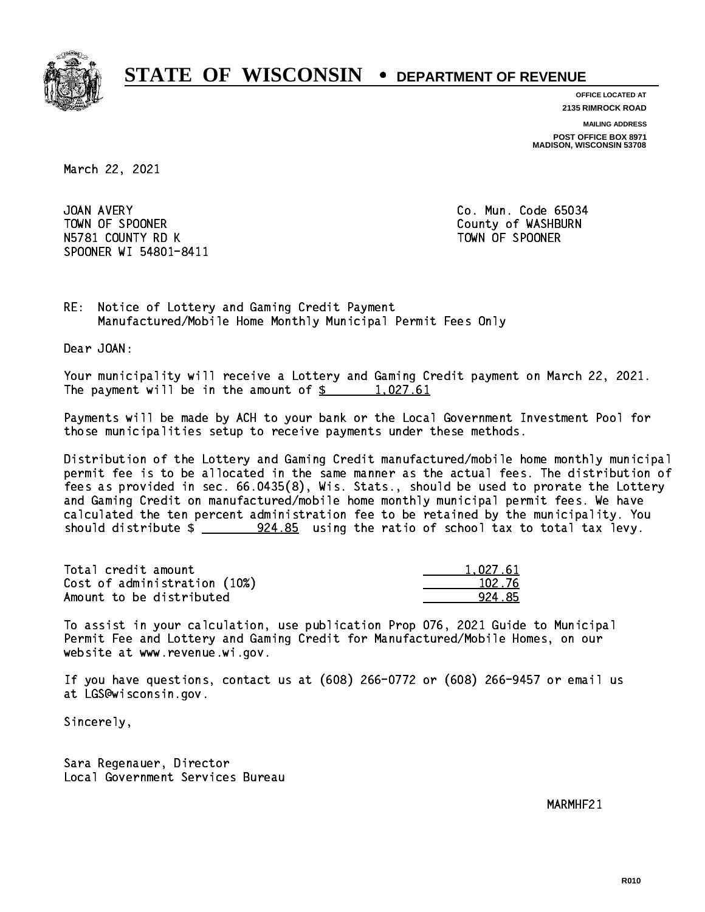

**OFFICE LOCATED AT**

**2135 RIMROCK ROAD**

**MAILING ADDRESS**

**POST OFFICE BOX 8971 MADISON, WISCONSIN 53708**

March 22, 2021

JOAN AVERY TOWN OF SPOONER County of WASHBURN N5781 COUNTY RD K TOWN OF SPOONER SPOONER WI 54801-8411

Co. Mun. Code 65034

RE: Notice of Lottery and Gaming Credit Payment Manufactured/Mobile Home Monthly Municipal Permit Fees Only

Dear JOAN:

 Your municipality will receive a Lottery and Gaming Credit payment on March 22, 2021. The payment will be in the amount of  $\frac{2}{3}$  1,027.61

 Payments will be made by ACH to your bank or the Local Government Investment Pool for those municipalities setup to receive payments under these methods.

 Distribution of the Lottery and Gaming Credit manufactured/mobile home monthly municipal permit fee is to be allocated in the same manner as the actual fees. The distribution of fees as provided in sec. 66.0435(8), Wis. Stats., should be used to prorate the Lottery and Gaming Credit on manufactured/mobile home monthly municipal permit fees. We have calculated the ten percent administration fee to be retained by the municipality. You should distribute  $\frac{224.85}{212}$  using the ratio of school tax to total tax levy.

| Total credit amount          | 1,027.61 |
|------------------------------|----------|
| Cost of administration (10%) | 102.76   |
| Amount to be distributed     | 924.85   |

 To assist in your calculation, use publication Prop 076, 2021 Guide to Municipal Permit Fee and Lottery and Gaming Credit for Manufactured/Mobile Homes, on our website at www.revenue.wi.gov.

 If you have questions, contact us at (608) 266-0772 or (608) 266-9457 or email us at LGS@wisconsin.gov.

Sincerely,

 Sara Regenauer, Director Local Government Services Bureau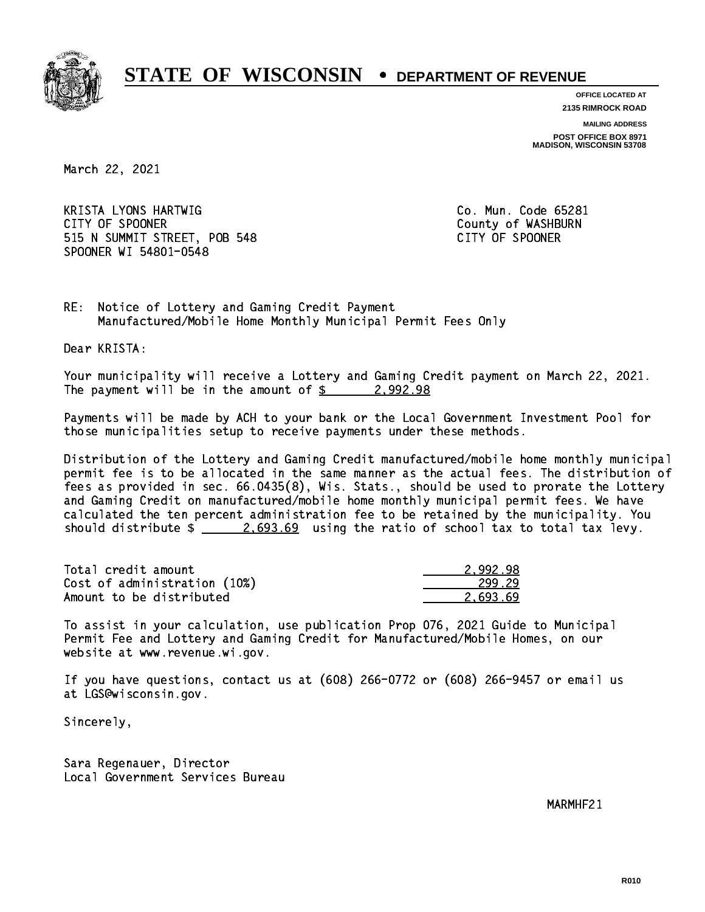

**OFFICE LOCATED AT**

**2135 RIMROCK ROAD**

**MAILING ADDRESS POST OFFICE BOX 8971 MADISON, WISCONSIN 53708**

March 22, 2021

 KRISTA LYONS HARTWIG Co. Mun. Code 65281 CITY OF SPOONER COUNTY OF SPOONER 515 N SUMMIT STREET, POB 548 CITY OF SPOONER SPOONER WI 54801-0548

RE: Notice of Lottery and Gaming Credit Payment Manufactured/Mobile Home Monthly Municipal Permit Fees Only

Dear KRISTA:

 Your municipality will receive a Lottery and Gaming Credit payment on March 22, 2021. The payment will be in the amount of  $\frac{2}{9}$  2,992.98

 Payments will be made by ACH to your bank or the Local Government Investment Pool for those municipalities setup to receive payments under these methods.

 Distribution of the Lottery and Gaming Credit manufactured/mobile home monthly municipal permit fee is to be allocated in the same manner as the actual fees. The distribution of fees as provided in sec. 66.0435(8), Wis. Stats., should be used to prorate the Lottery and Gaming Credit on manufactured/mobile home monthly municipal permit fees. We have calculated the ten percent administration fee to be retained by the municipality. You should distribute  $\frac{2.693.69}{2.693.69}$  using the ratio of school tax to total tax levy.

| Total credit amount          | 2.992.98 |
|------------------------------|----------|
| Cost of administration (10%) | 299.29   |
| Amount to be distributed     | 2.693.69 |

 To assist in your calculation, use publication Prop 076, 2021 Guide to Municipal Permit Fee and Lottery and Gaming Credit for Manufactured/Mobile Homes, on our website at www.revenue.wi.gov.

 If you have questions, contact us at (608) 266-0772 or (608) 266-9457 or email us at LGS@wisconsin.gov.

Sincerely,

 Sara Regenauer, Director Local Government Services Bureau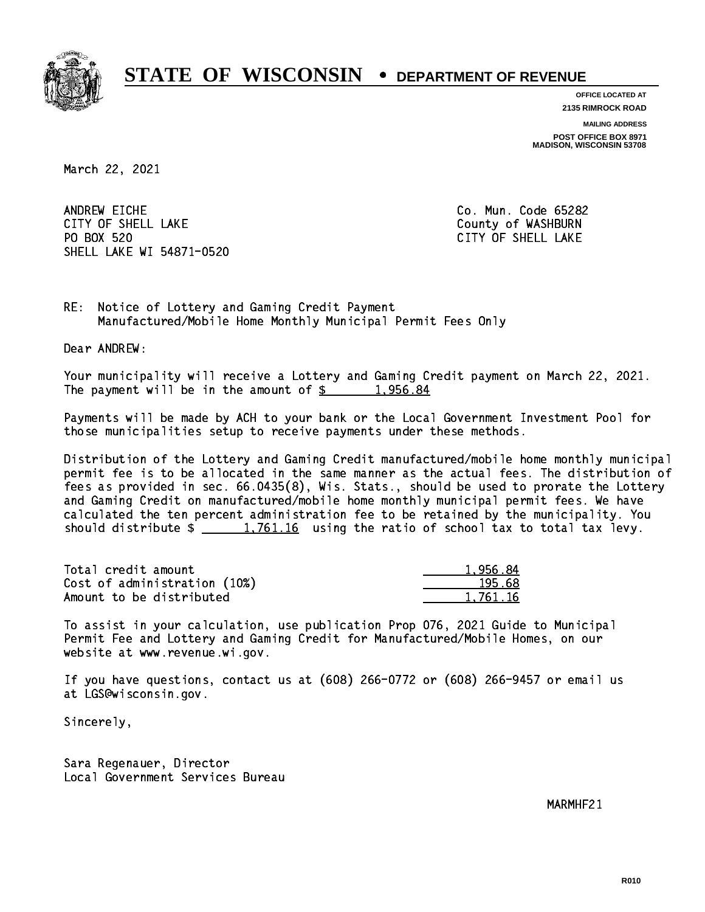

**OFFICE LOCATED AT**

**2135 RIMROCK ROAD**

**MAILING ADDRESS**

**POST OFFICE BOX 8971 MADISON, WISCONSIN 53708**

March 22, 2021

ANDREW EICHE CITY OF SHELL LAKE COUNTY OF WASHBURN PO BOX 520 SHELL LAKE WI 54871-0520

Co. Mun. Code 65282 CITY OF SHELL LAKE

RE: Notice of Lottery and Gaming Credit Payment Manufactured/Mobile Home Monthly Municipal Permit Fees Only

Dear ANDREW:

 Your municipality will receive a Lottery and Gaming Credit payment on March 22, 2021. The payment will be in the amount of  $\frac{2}{3}$  1,956.84

 Payments will be made by ACH to your bank or the Local Government Investment Pool for those municipalities setup to receive payments under these methods.

 Distribution of the Lottery and Gaming Credit manufactured/mobile home monthly municipal permit fee is to be allocated in the same manner as the actual fees. The distribution of fees as provided in sec. 66.0435(8), Wis. Stats., should be used to prorate the Lottery and Gaming Credit on manufactured/mobile home monthly municipal permit fees. We have calculated the ten percent administration fee to be retained by the municipality. You should distribute  $\frac{1,761.16}{1,761.16}$  using the ratio of school tax to total tax levy.

| Total credit amount          | 1.956.84 |
|------------------------------|----------|
| Cost of administration (10%) | 195.68   |
| Amount to be distributed     | 1.761.16 |

 To assist in your calculation, use publication Prop 076, 2021 Guide to Municipal Permit Fee and Lottery and Gaming Credit for Manufactured/Mobile Homes, on our website at www.revenue.wi.gov.

 If you have questions, contact us at (608) 266-0772 or (608) 266-9457 or email us at LGS@wisconsin.gov.

Sincerely,

 Sara Regenauer, Director Local Government Services Bureau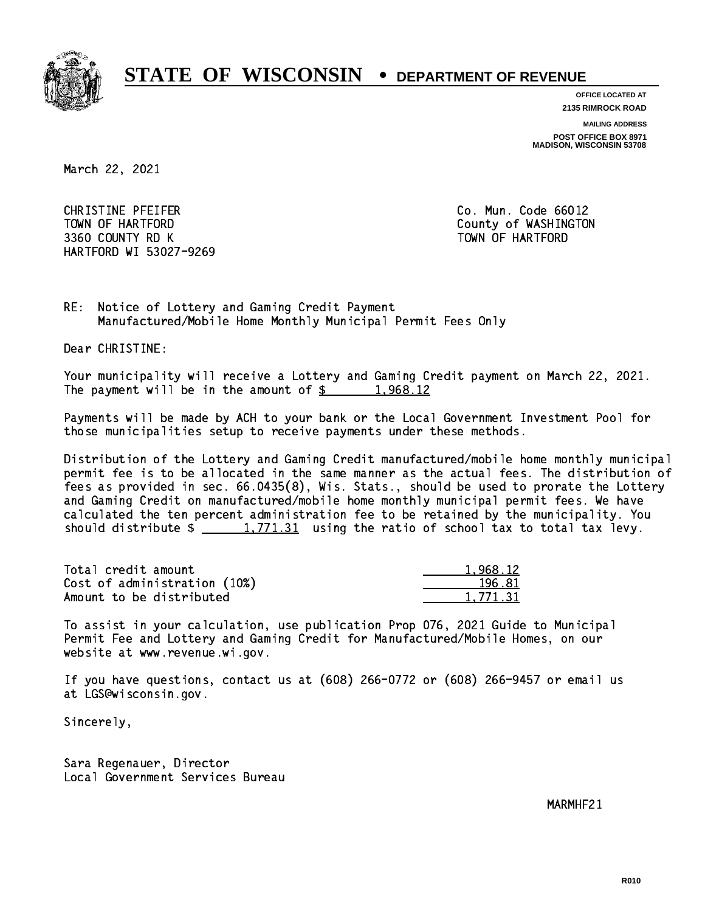

**OFFICE LOCATED AT**

**2135 RIMROCK ROAD**

**MAILING ADDRESS**

**POST OFFICE BOX 8971 MADISON, WISCONSIN 53708**

March 22, 2021

 CHRISTINE PFEIFER Co. Mun. Code 66012 TOWN OF HARTFORD County of WASHINGTON 3360 COUNTY RD K TOWN OF HARTFORD HARTFORD WI 53027-9269

RE: Notice of Lottery and Gaming Credit Payment Manufactured/Mobile Home Monthly Municipal Permit Fees Only

Dear CHRISTINE:

 Your municipality will receive a Lottery and Gaming Credit payment on March 22, 2021. The payment will be in the amount of  $\frac{2}{3}$  1,968.12

 Payments will be made by ACH to your bank or the Local Government Investment Pool for those municipalities setup to receive payments under these methods.

 Distribution of the Lottery and Gaming Credit manufactured/mobile home monthly municipal permit fee is to be allocated in the same manner as the actual fees. The distribution of fees as provided in sec. 66.0435(8), Wis. Stats., should be used to prorate the Lottery and Gaming Credit on manufactured/mobile home monthly municipal permit fees. We have calculated the ten percent administration fee to be retained by the municipality. You should distribute  $\frac{1,771.31}{1,771.31}$  using the ratio of school tax to total tax levy.

| Total credit amount          | 1.968.12 |
|------------------------------|----------|
| Cost of administration (10%) | 196.81   |
| Amount to be distributed     | 1.771.31 |

 To assist in your calculation, use publication Prop 076, 2021 Guide to Municipal Permit Fee and Lottery and Gaming Credit for Manufactured/Mobile Homes, on our website at www.revenue.wi.gov.

 If you have questions, contact us at (608) 266-0772 or (608) 266-9457 or email us at LGS@wisconsin.gov.

Sincerely,

 Sara Regenauer, Director Local Government Services Bureau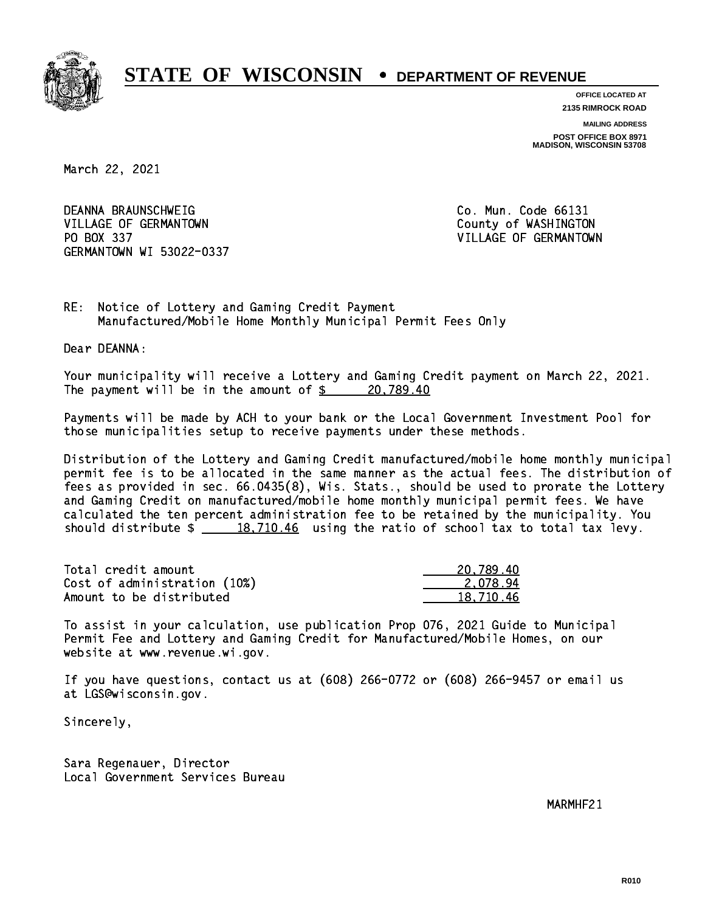

**OFFICE LOCATED AT**

**2135 RIMROCK ROAD**

**MAILING ADDRESS**

**POST OFFICE BOX 8971 MADISON, WISCONSIN 53708**

March 22, 2021

DEANNA BRAUNSCHWEIG VILLAGE OF GERMANTOWN COUNTY OF WASHINGTON PO BOX 337 VILLAGE OF GERMANTOWN GERMANTOWN WI 53022-0337

Co. Mun. Code 66131

RE: Notice of Lottery and Gaming Credit Payment Manufactured/Mobile Home Monthly Municipal Permit Fees Only

Dear DEANNA:

 Your municipality will receive a Lottery and Gaming Credit payment on March 22, 2021. The payment will be in the amount of  $\frac{20,789.40}{20,789.40}$ 

 Payments will be made by ACH to your bank or the Local Government Investment Pool for those municipalities setup to receive payments under these methods.

 Distribution of the Lottery and Gaming Credit manufactured/mobile home monthly municipal permit fee is to be allocated in the same manner as the actual fees. The distribution of fees as provided in sec. 66.0435(8), Wis. Stats., should be used to prorate the Lottery and Gaming Credit on manufactured/mobile home monthly municipal permit fees. We have calculated the ten percent administration fee to be retained by the municipality. You should distribute  $\frac{2}{18,710.46}$  using the ratio of school tax to total tax levy.

| Total credit amount          | 20.789.40 |
|------------------------------|-----------|
| Cost of administration (10%) | 2.078.94  |
| Amount to be distributed     | 18,710.46 |

 To assist in your calculation, use publication Prop 076, 2021 Guide to Municipal Permit Fee and Lottery and Gaming Credit for Manufactured/Mobile Homes, on our website at www.revenue.wi.gov.

 If you have questions, contact us at (608) 266-0772 or (608) 266-9457 or email us at LGS@wisconsin.gov.

Sincerely,

 Sara Regenauer, Director Local Government Services Bureau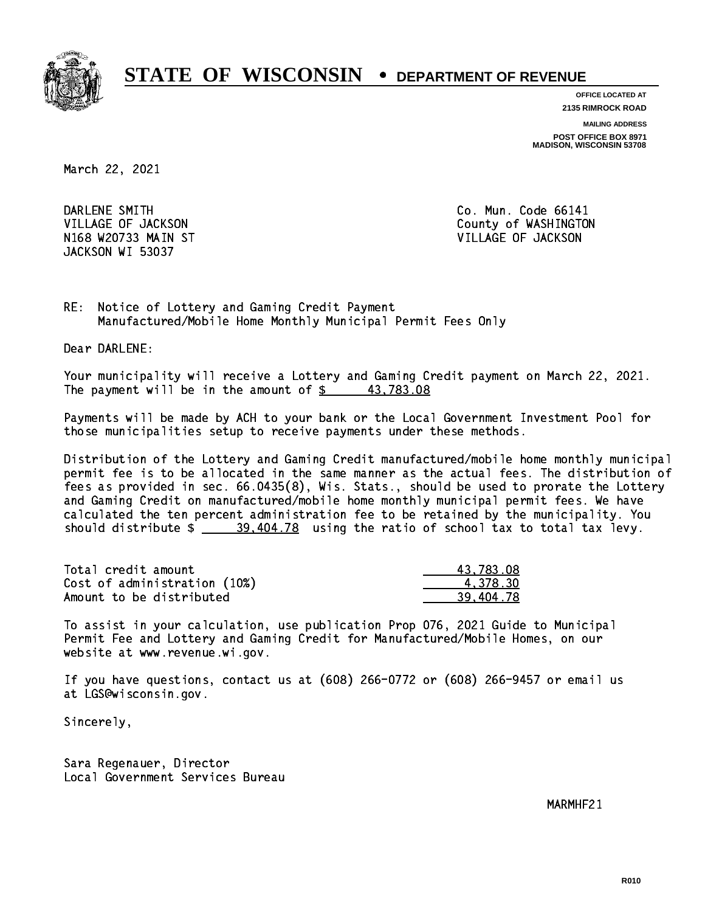

**OFFICE LOCATED AT**

**2135 RIMROCK ROAD**

**MAILING ADDRESS**

**POST OFFICE BOX 8971 MADISON, WISCONSIN 53708**

March 22, 2021

DARLENE SMITH N168 W20733 MAIN ST VILLAGE OF JACKSON JACKSON WI 53037

Co. Mun. Code 66141 VILLAGE OF JACKSON COUNTY OF WASHINGTON

RE: Notice of Lottery and Gaming Credit Payment Manufactured/Mobile Home Monthly Municipal Permit Fees Only

Dear DARLENE:

 Your municipality will receive a Lottery and Gaming Credit payment on March 22, 2021. The payment will be in the amount of  $\frac{2}{3}$  43,783.08

 Payments will be made by ACH to your bank or the Local Government Investment Pool for those municipalities setup to receive payments under these methods.

 Distribution of the Lottery and Gaming Credit manufactured/mobile home monthly municipal permit fee is to be allocated in the same manner as the actual fees. The distribution of fees as provided in sec. 66.0435(8), Wis. Stats., should be used to prorate the Lottery and Gaming Credit on manufactured/mobile home monthly municipal permit fees. We have calculated the ten percent administration fee to be retained by the municipality. You should distribute  $\frac{29,404.78}{2}$  using the ratio of school tax to total tax levy.

| Total credit amount          | 43.783.08 |
|------------------------------|-----------|
| Cost of administration (10%) | 4.378.30  |
| Amount to be distributed     | 39.404.78 |

 To assist in your calculation, use publication Prop 076, 2021 Guide to Municipal Permit Fee and Lottery and Gaming Credit for Manufactured/Mobile Homes, on our website at www.revenue.wi.gov.

 If you have questions, contact us at (608) 266-0772 or (608) 266-9457 or email us at LGS@wisconsin.gov.

Sincerely,

 Sara Regenauer, Director Local Government Services Bureau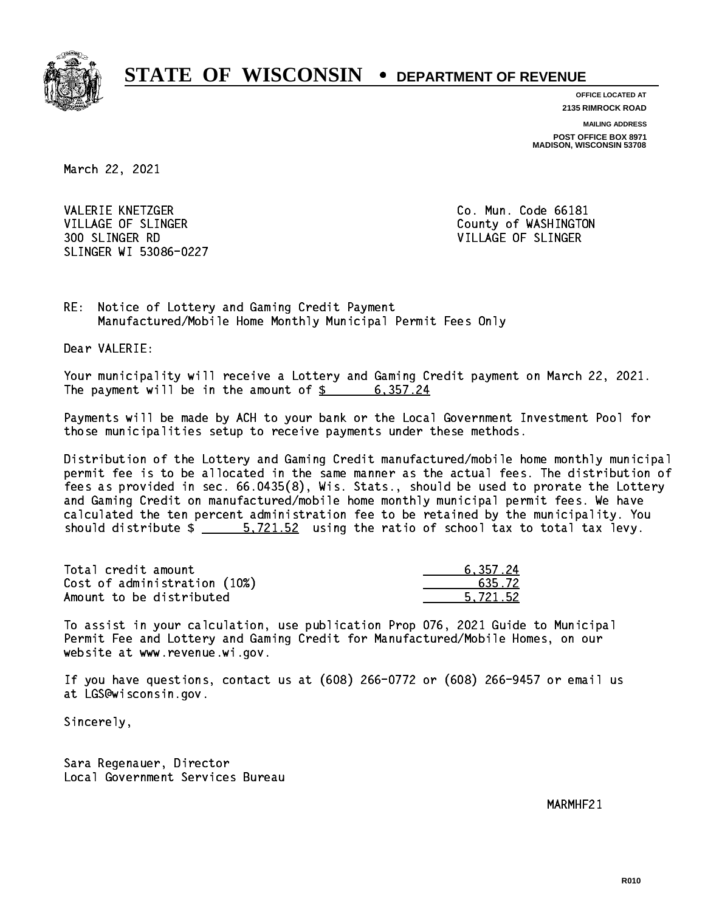

**OFFICE LOCATED AT**

**2135 RIMROCK ROAD**

**MAILING ADDRESS**

**POST OFFICE BOX 8971 MADISON, WISCONSIN 53708**

March 22, 2021

VALERIE KNETZGER CO. Mun. Code 66181 VILLAGE OF SLINGER COUNTY OF WASHINGTON 300 SLINGER RD VILLAGE OF SLINGER SLINGER WI 53086-0227

RE: Notice of Lottery and Gaming Credit Payment Manufactured/Mobile Home Monthly Municipal Permit Fees Only

Dear VALERIE:

 Your municipality will receive a Lottery and Gaming Credit payment on March 22, 2021. The payment will be in the amount of  $\frac{2}{3}$  6,357.24

 Payments will be made by ACH to your bank or the Local Government Investment Pool for those municipalities setup to receive payments under these methods.

 Distribution of the Lottery and Gaming Credit manufactured/mobile home monthly municipal permit fee is to be allocated in the same manner as the actual fees. The distribution of fees as provided in sec. 66.0435(8), Wis. Stats., should be used to prorate the Lottery and Gaming Credit on manufactured/mobile home monthly municipal permit fees. We have calculated the ten percent administration fee to be retained by the municipality. You should distribute  $\frac{2}{1}$   $\frac{5}{721.52}$  using the ratio of school tax to total tax levy.

| Total credit amount          | 6.357.24 |
|------------------------------|----------|
| Cost of administration (10%) | 635.72   |
| Amount to be distributed     | 5.721.52 |

 To assist in your calculation, use publication Prop 076, 2021 Guide to Municipal Permit Fee and Lottery and Gaming Credit for Manufactured/Mobile Homes, on our website at www.revenue.wi.gov.

 If you have questions, contact us at (608) 266-0772 or (608) 266-9457 or email us at LGS@wisconsin.gov.

Sincerely,

 Sara Regenauer, Director Local Government Services Bureau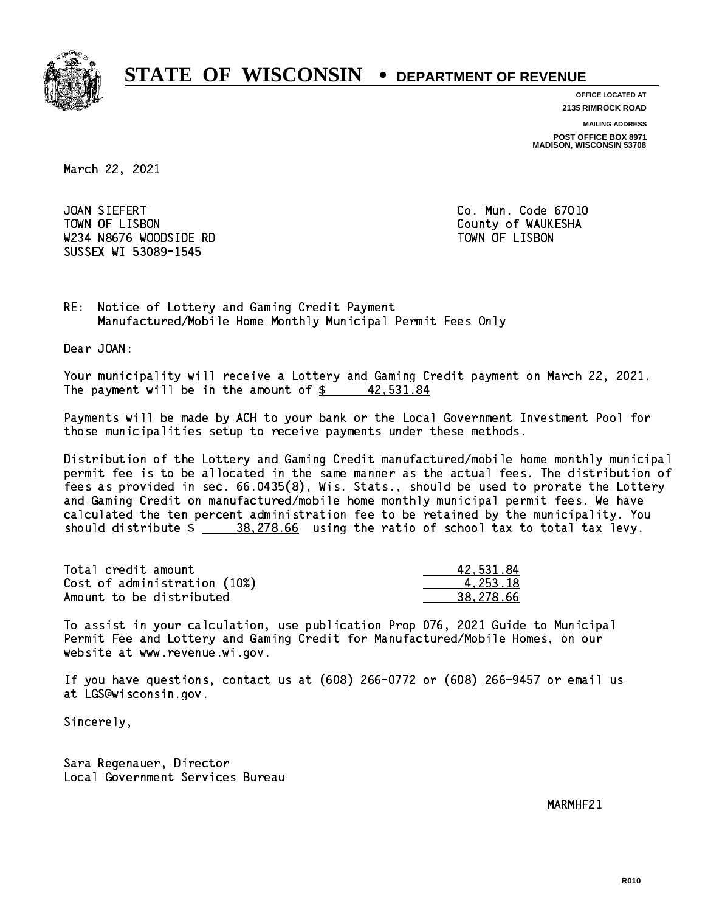

**OFFICE LOCATED AT**

**2135 RIMROCK ROAD**

**MAILING ADDRESS**

**POST OFFICE BOX 8971 MADISON, WISCONSIN 53708**

March 22, 2021

JOAN SIEFERT TOWN OF LISBON County of WAUKESHA W234 N8676 WOODSIDE RD TOWN OF LISBON SUSSEX WI 53089-1545

Co. Mun. Code 67010

RE: Notice of Lottery and Gaming Credit Payment Manufactured/Mobile Home Monthly Municipal Permit Fees Only

Dear JOAN:

 Your municipality will receive a Lottery and Gaming Credit payment on March 22, 2021. The payment will be in the amount of  $\frac{2}{3}$  42,531.84

 Payments will be made by ACH to your bank or the Local Government Investment Pool for those municipalities setup to receive payments under these methods.

 Distribution of the Lottery and Gaming Credit manufactured/mobile home monthly municipal permit fee is to be allocated in the same manner as the actual fees. The distribution of fees as provided in sec. 66.0435(8), Wis. Stats., should be used to prorate the Lottery and Gaming Credit on manufactured/mobile home monthly municipal permit fees. We have calculated the ten percent administration fee to be retained by the municipality. You should distribute  $\frac{28.278.66}{28.278.66}$  using the ratio of school tax to total tax levy.

| Total credit amount          | 42,531.84 |
|------------------------------|-----------|
| Cost of administration (10%) | 4.253.18  |
| Amount to be distributed     | 38.278.66 |

 To assist in your calculation, use publication Prop 076, 2021 Guide to Municipal Permit Fee and Lottery and Gaming Credit for Manufactured/Mobile Homes, on our website at www.revenue.wi.gov.

 If you have questions, contact us at (608) 266-0772 or (608) 266-9457 or email us at LGS@wisconsin.gov.

Sincerely,

 Sara Regenauer, Director Local Government Services Bureau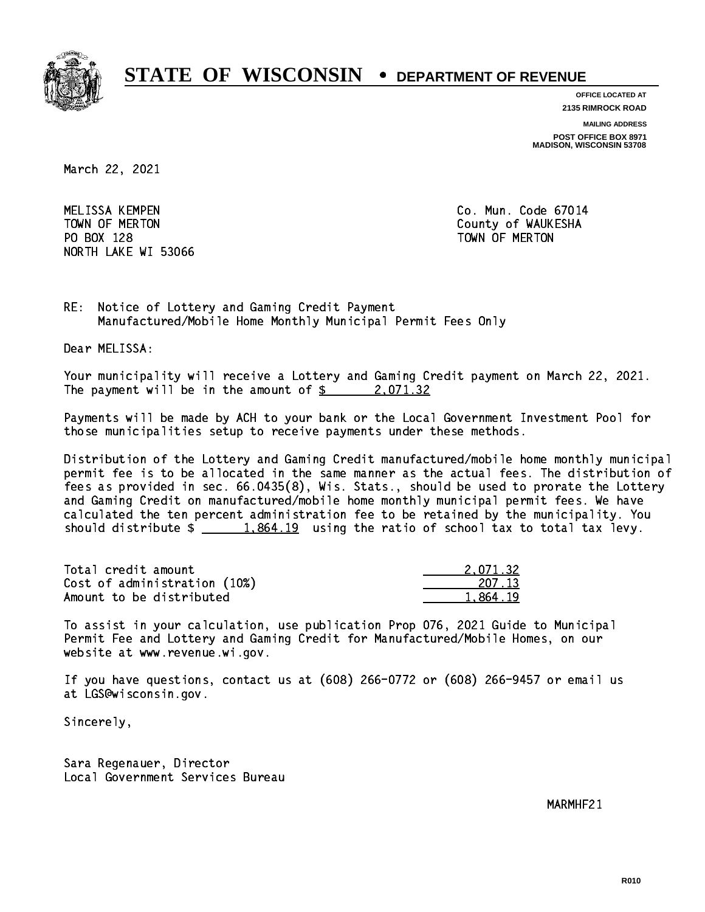

**OFFICE LOCATED AT**

**2135 RIMROCK ROAD**

**MAILING ADDRESS**

**POST OFFICE BOX 8971 MADISON, WISCONSIN 53708**

March 22, 2021

 MELISSA KEMPEN Co. Mun. Code 67014 PO BOX 128 TOWN OF MERTON NORTH LAKE WI 53066

TOWN OF MERTON County of WAUKESHA

RE: Notice of Lottery and Gaming Credit Payment Manufactured/Mobile Home Monthly Municipal Permit Fees Only

Dear MELISSA:

 Your municipality will receive a Lottery and Gaming Credit payment on March 22, 2021. The payment will be in the amount of  $\frac{2}{3}$  2,071.32

 Payments will be made by ACH to your bank or the Local Government Investment Pool for those municipalities setup to receive payments under these methods.

 Distribution of the Lottery and Gaming Credit manufactured/mobile home monthly municipal permit fee is to be allocated in the same manner as the actual fees. The distribution of fees as provided in sec. 66.0435(8), Wis. Stats., should be used to prorate the Lottery and Gaming Credit on manufactured/mobile home monthly municipal permit fees. We have calculated the ten percent administration fee to be retained by the municipality. You should distribute  $\frac{1,864.19}{1,864.19}$  using the ratio of school tax to total tax levy.

| Total credit amount          | 2.071.32 |
|------------------------------|----------|
| Cost of administration (10%) | 207.13   |
| Amount to be distributed     | 1.864.19 |

 To assist in your calculation, use publication Prop 076, 2021 Guide to Municipal Permit Fee and Lottery and Gaming Credit for Manufactured/Mobile Homes, on our website at www.revenue.wi.gov.

 If you have questions, contact us at (608) 266-0772 or (608) 266-9457 or email us at LGS@wisconsin.gov.

Sincerely,

 Sara Regenauer, Director Local Government Services Bureau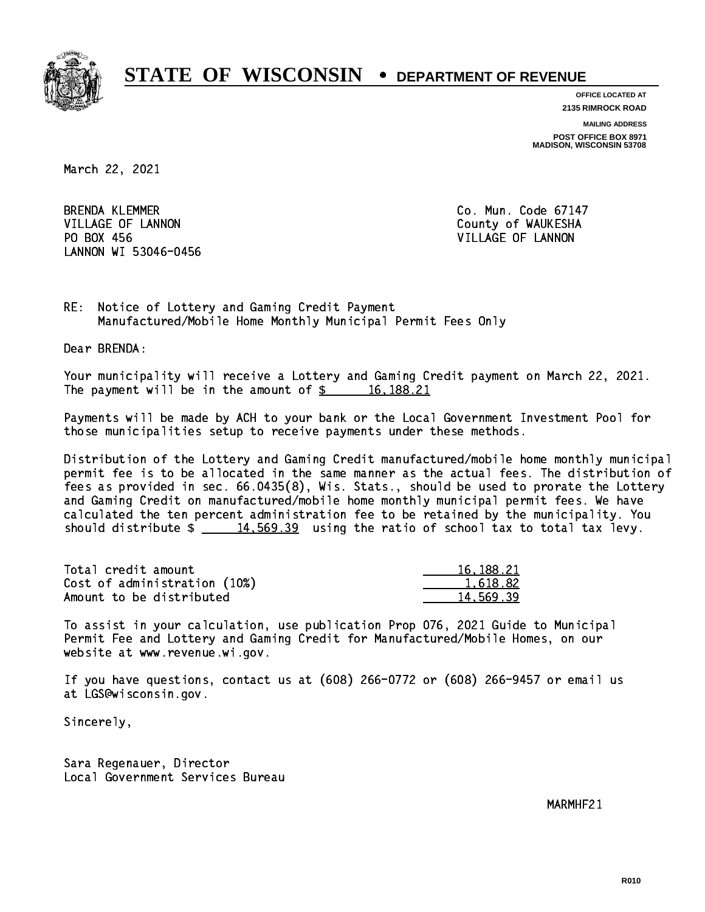

**OFFICE LOCATED AT**

**2135 RIMROCK ROAD**

**MAILING ADDRESS POST OFFICE BOX 8971 MADISON, WISCONSIN 53708**

March 22, 2021

**BRENDA KLEMMER** VILLAGE OF LANNON COUNTY OF WAUKESHA PO BOX 456 LANNON WI 53046-0456

Co. Mun. Code 67147 VILLAGE OF LANNON

RE: Notice of Lottery and Gaming Credit Payment Manufactured/Mobile Home Monthly Municipal Permit Fees Only

Dear BRENDA:

 Your municipality will receive a Lottery and Gaming Credit payment on March 22, 2021. The payment will be in the amount of  $\frac{2}{3}$  16,188.21

 Payments will be made by ACH to your bank or the Local Government Investment Pool for those municipalities setup to receive payments under these methods.

 Distribution of the Lottery and Gaming Credit manufactured/mobile home monthly municipal permit fee is to be allocated in the same manner as the actual fees. The distribution of fees as provided in sec. 66.0435(8), Wis. Stats., should be used to prorate the Lottery and Gaming Credit on manufactured/mobile home monthly municipal permit fees. We have calculated the ten percent administration fee to be retained by the municipality. You should distribute  $\frac{14,569.39}{2}$  using the ratio of school tax to total tax levy.

| Total credit amount          | 16, 188, 21 |
|------------------------------|-------------|
| Cost of administration (10%) | 1.618.82    |
| Amount to be distributed     | 14.569.39   |

 To assist in your calculation, use publication Prop 076, 2021 Guide to Municipal Permit Fee and Lottery and Gaming Credit for Manufactured/Mobile Homes, on our website at www.revenue.wi.gov.

 If you have questions, contact us at (608) 266-0772 or (608) 266-9457 or email us at LGS@wisconsin.gov.

Sincerely,

 Sara Regenauer, Director Local Government Services Bureau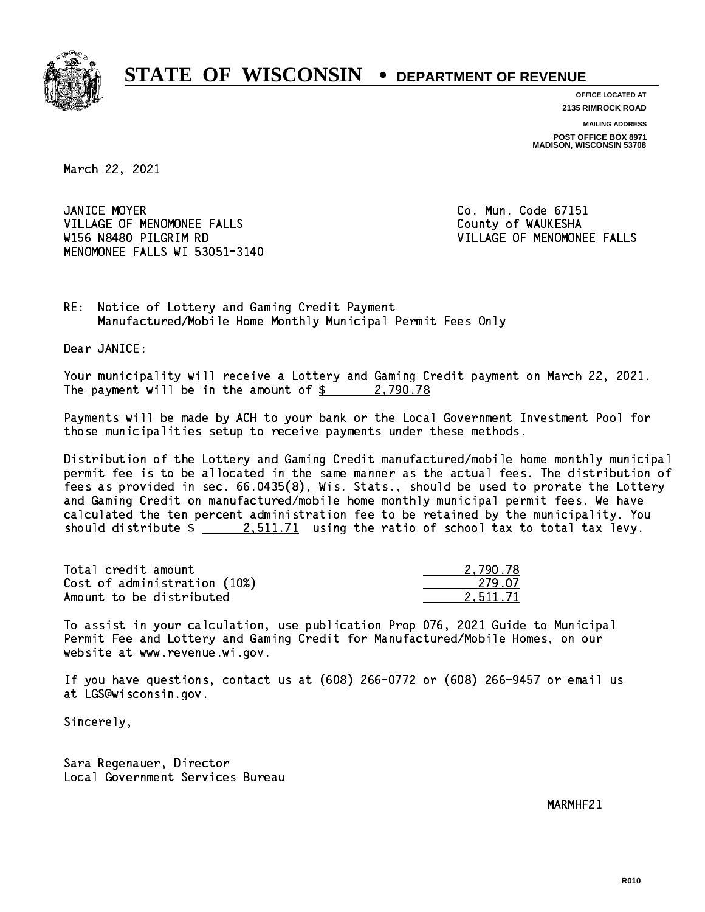

**OFFICE LOCATED AT 2135 RIMROCK ROAD**

**MAILING ADDRESS**

**POST OFFICE BOX 8971 MADISON, WISCONSIN 53708**

March 22, 2021

JANICE MOYER VILLAGE OF MENOMONEE FALLS **COUNTY OF WAUKESHA**  W156 N8480 PILGRIM RD VILLAGE OF MENOMONEE FALLS MENOMONEE FALLS WI 53051-3140

Co. Mun. Code 67151

RE: Notice of Lottery and Gaming Credit Payment Manufactured/Mobile Home Monthly Municipal Permit Fees Only

Dear JANICE:

 Your municipality will receive a Lottery and Gaming Credit payment on March 22, 2021. The payment will be in the amount of  $\frac{2}{3}$  2,790.78

 Payments will be made by ACH to your bank or the Local Government Investment Pool for those municipalities setup to receive payments under these methods.

 Distribution of the Lottery and Gaming Credit manufactured/mobile home monthly municipal permit fee is to be allocated in the same manner as the actual fees. The distribution of fees as provided in sec. 66.0435(8), Wis. Stats., should be used to prorate the Lottery and Gaming Credit on manufactured/mobile home monthly municipal permit fees. We have calculated the ten percent administration fee to be retained by the municipality. You should distribute  $\frac{2.511.71}{2.511.71}$  using the ratio of school tax to total tax levy.

| Total credit amount          | 2,790.78 |
|------------------------------|----------|
| Cost of administration (10%) | -279.07  |
| Amount to be distributed     | 2.511.71 |

 To assist in your calculation, use publication Prop 076, 2021 Guide to Municipal Permit Fee and Lottery and Gaming Credit for Manufactured/Mobile Homes, on our website at www.revenue.wi.gov.

 If you have questions, contact us at (608) 266-0772 or (608) 266-9457 or email us at LGS@wisconsin.gov.

Sincerely,

 Sara Regenauer, Director Local Government Services Bureau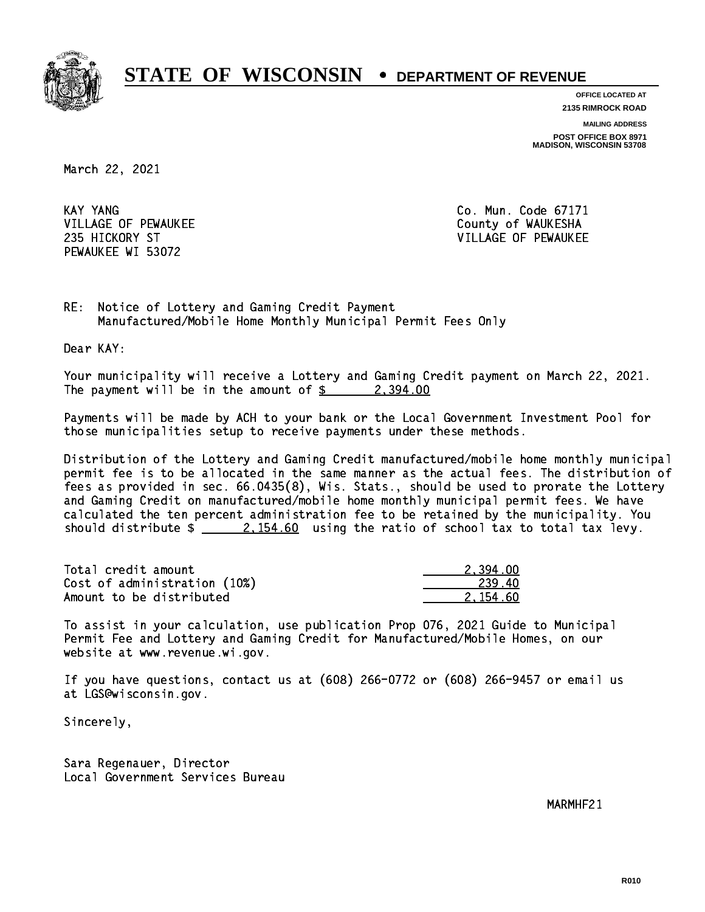

**OFFICE LOCATED AT**

**2135 RIMROCK ROAD**

**MAILING ADDRESS**

**POST OFFICE BOX 8971 MADISON, WISCONSIN 53708**

March 22, 2021

**KAY YANG** VILLAGE OF PEWAUKEE COUNTY OF WAUKESHA PEWAUKEE WI 53072

Co. Mun. Code 67171 235 HICKORY ST VILLAGE OF PEWAUKEE

RE: Notice of Lottery and Gaming Credit Payment Manufactured/Mobile Home Monthly Municipal Permit Fees Only

Dear KAY:

 Your municipality will receive a Lottery and Gaming Credit payment on March 22, 2021. The payment will be in the amount of  $\frac{2}{3}$  2,394.00

 Payments will be made by ACH to your bank or the Local Government Investment Pool for those municipalities setup to receive payments under these methods.

 Distribution of the Lottery and Gaming Credit manufactured/mobile home monthly municipal permit fee is to be allocated in the same manner as the actual fees. The distribution of fees as provided in sec. 66.0435(8), Wis. Stats., should be used to prorate the Lottery and Gaming Credit on manufactured/mobile home monthly municipal permit fees. We have calculated the ten percent administration fee to be retained by the municipality. You should distribute  $\frac{2.154.60}{2.154.60}$  using the ratio of school tax to total tax levy.

| Total credit amount          | 2.394.00 |
|------------------------------|----------|
| Cost of administration (10%) | -239.40  |
| Amount to be distributed     | 2.154.60 |

 To assist in your calculation, use publication Prop 076, 2021 Guide to Municipal Permit Fee and Lottery and Gaming Credit for Manufactured/Mobile Homes, on our website at www.revenue.wi.gov.

 If you have questions, contact us at (608) 266-0772 or (608) 266-9457 or email us at LGS@wisconsin.gov.

Sincerely,

 Sara Regenauer, Director Local Government Services Bureau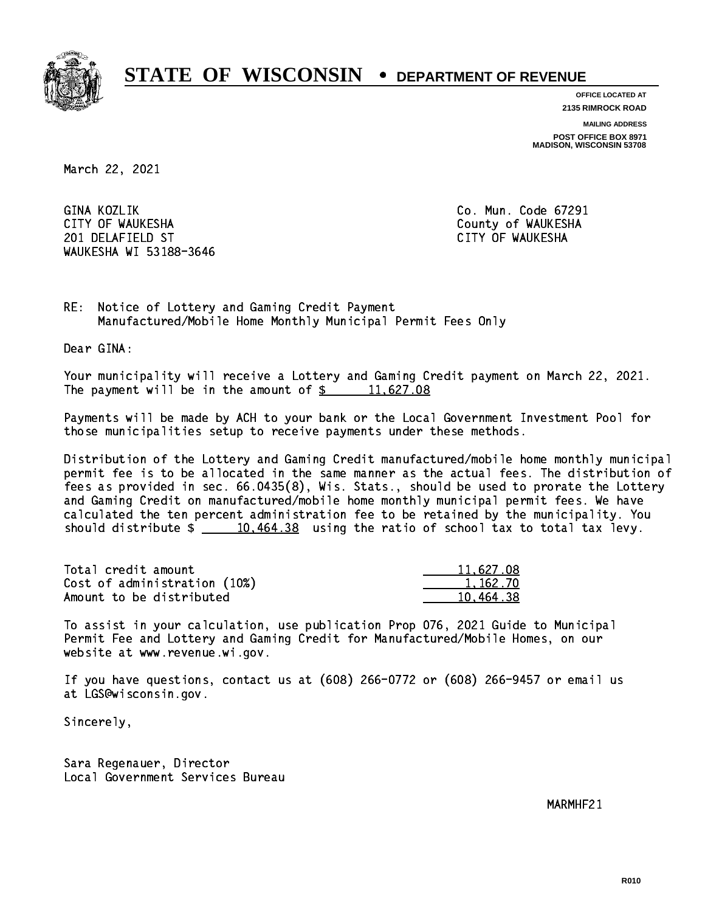

**OFFICE LOCATED AT**

**2135 RIMROCK ROAD**

**MAILING ADDRESS**

**POST OFFICE BOX 8971 MADISON, WISCONSIN 53708**

March 22, 2021

GINA KOZLIK CITY OF WAUKESHA County of WAUKESHA 201 DELAFIELD ST CITY OF WAUKESHA WAUKESHA WI 53188-3646

Co. Mun. Code 67291

RE: Notice of Lottery and Gaming Credit Payment Manufactured/Mobile Home Monthly Municipal Permit Fees Only

Dear GINA:

 Your municipality will receive a Lottery and Gaming Credit payment on March 22, 2021. The payment will be in the amount of  $\frac{2}{3}$  11,627.08

 Payments will be made by ACH to your bank or the Local Government Investment Pool for those municipalities setup to receive payments under these methods.

 Distribution of the Lottery and Gaming Credit manufactured/mobile home monthly municipal permit fee is to be allocated in the same manner as the actual fees. The distribution of fees as provided in sec. 66.0435(8), Wis. Stats., should be used to prorate the Lottery and Gaming Credit on manufactured/mobile home monthly municipal permit fees. We have calculated the ten percent administration fee to be retained by the municipality. You should distribute  $\frac{10,464.38}{2}$  using the ratio of school tax to total tax levy.

| Total credit amount          | 11,627.08 |
|------------------------------|-----------|
| Cost of administration (10%) | 1.162.70  |
| Amount to be distributed     | 10.464.38 |

 To assist in your calculation, use publication Prop 076, 2021 Guide to Municipal Permit Fee and Lottery and Gaming Credit for Manufactured/Mobile Homes, on our website at www.revenue.wi.gov.

 If you have questions, contact us at (608) 266-0772 or (608) 266-9457 or email us at LGS@wisconsin.gov.

Sincerely,

 Sara Regenauer, Director Local Government Services Bureau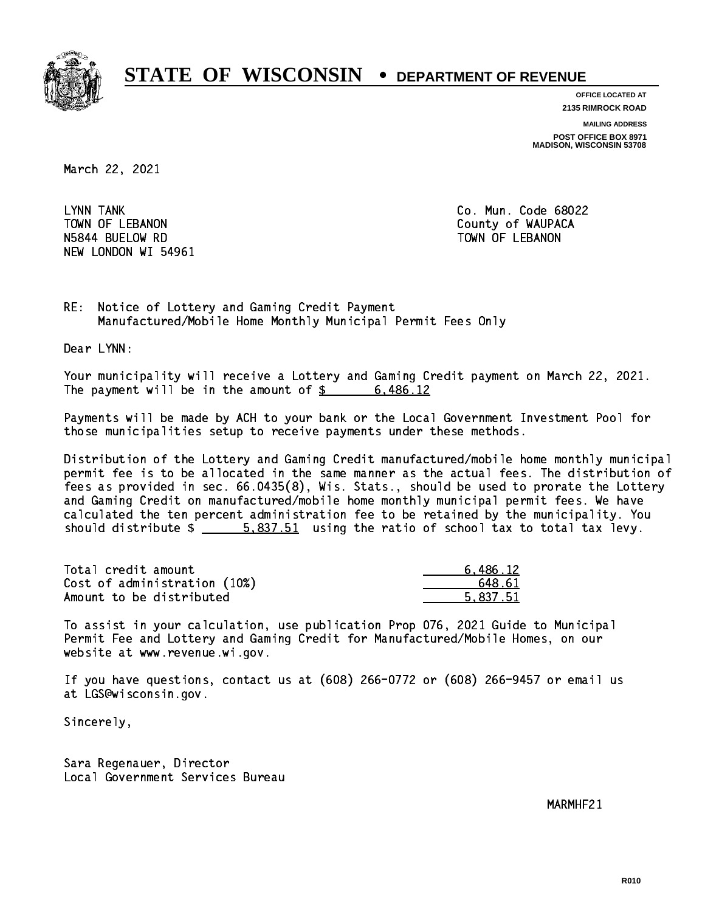

**OFFICE LOCATED AT**

**2135 RIMROCK ROAD**

**MAILING ADDRESS**

**POST OFFICE BOX 8971 MADISON, WISCONSIN 53708**

March 22, 2021

LYNN TANK TOWN OF LEBANON **COUNTY OF SEARCH COULD A** COUNTY OF WAUPACA NSA 44 BUELOW RD TOWN OF LEBANON RD TOWN OF LEBANON RD TOWN OF LEBANON RD TOWN OF LEBANON RD TOWN OF LEBANON R NEW LONDON WI 54961

Co. Mun. Code 68022

RE: Notice of Lottery and Gaming Credit Payment Manufactured/Mobile Home Monthly Municipal Permit Fees Only

Dear LYNN:

 Your municipality will receive a Lottery and Gaming Credit payment on March 22, 2021. The payment will be in the amount of \$ 6,486.12 \_\_\_\_\_\_\_\_\_\_\_\_\_\_\_\_

 Payments will be made by ACH to your bank or the Local Government Investment Pool for those municipalities setup to receive payments under these methods.

 Distribution of the Lottery and Gaming Credit manufactured/mobile home monthly municipal permit fee is to be allocated in the same manner as the actual fees. The distribution of fees as provided in sec. 66.0435(8), Wis. Stats., should be used to prorate the Lottery and Gaming Credit on manufactured/mobile home monthly municipal permit fees. We have calculated the ten percent administration fee to be retained by the municipality. You should distribute  $\frac{2}{1}$   $\frac{5.837.51}{2}$  using the ratio of school tax to total tax levy.

| Total credit amount          | 6.486.12 |
|------------------------------|----------|
| Cost of administration (10%) | 648.61   |
| Amount to be distributed     | 5.837.51 |

 To assist in your calculation, use publication Prop 076, 2021 Guide to Municipal Permit Fee and Lottery and Gaming Credit for Manufactured/Mobile Homes, on our website at www.revenue.wi.gov.

 If you have questions, contact us at (608) 266-0772 or (608) 266-9457 or email us at LGS@wisconsin.gov.

Sincerely,

 Sara Regenauer, Director Local Government Services Bureau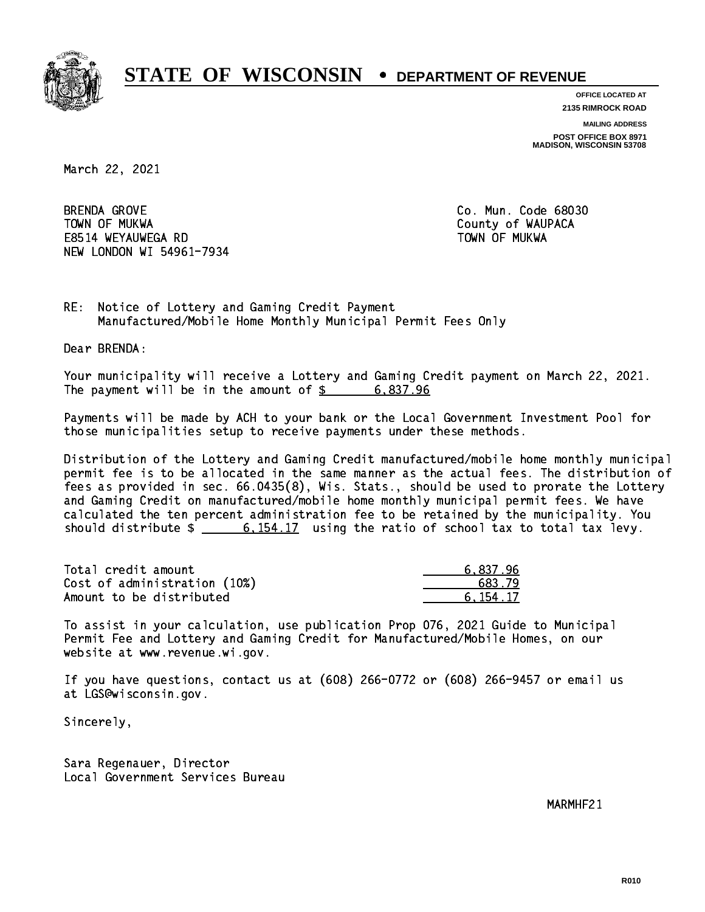

**OFFICE LOCATED AT**

**2135 RIMROCK ROAD**

**MAILING ADDRESS**

**POST OFFICE BOX 8971 MADISON, WISCONSIN 53708**

March 22, 2021

**BRENDA GROVE**  TOWN OF MUKWA County of WAUPACA E8514 WEYAUWEGA RD TOWN OF MUKWA NEW LONDON WI 54961-7934

Co. Mun. Code 68030

RE: Notice of Lottery and Gaming Credit Payment Manufactured/Mobile Home Monthly Municipal Permit Fees Only

Dear BRENDA:

 Your municipality will receive a Lottery and Gaming Credit payment on March 22, 2021. The payment will be in the amount of  $\frac{2}{3}$  6,837.96

 Payments will be made by ACH to your bank or the Local Government Investment Pool for those municipalities setup to receive payments under these methods.

 Distribution of the Lottery and Gaming Credit manufactured/mobile home monthly municipal permit fee is to be allocated in the same manner as the actual fees. The distribution of fees as provided in sec. 66.0435(8), Wis. Stats., should be used to prorate the Lottery and Gaming Credit on manufactured/mobile home monthly municipal permit fees. We have calculated the ten percent administration fee to be retained by the municipality. You should distribute  $\frac{2}{10}$   $\frac{6,154.17}{2}$  using the ratio of school tax to total tax levy.

| Total credit amount          | 6.837.96 |
|------------------------------|----------|
| Cost of administration (10%) | 683.79   |
| Amount to be distributed     | 6.154.17 |

 To assist in your calculation, use publication Prop 076, 2021 Guide to Municipal Permit Fee and Lottery and Gaming Credit for Manufactured/Mobile Homes, on our website at www.revenue.wi.gov.

 If you have questions, contact us at (608) 266-0772 or (608) 266-9457 or email us at LGS@wisconsin.gov.

Sincerely,

 Sara Regenauer, Director Local Government Services Bureau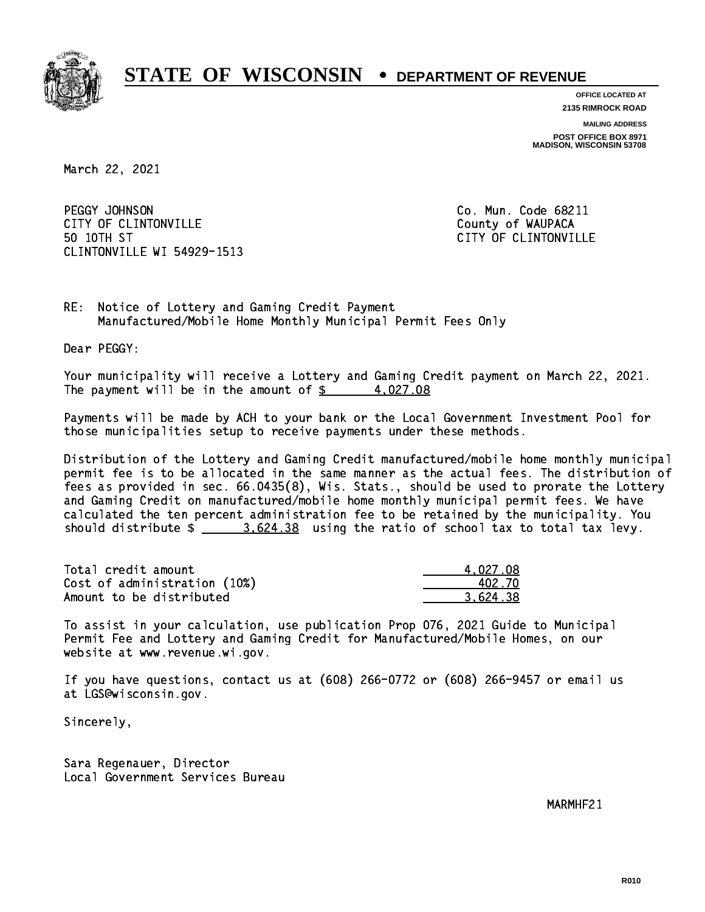

**OFFICE LOCATED AT**

**2135 RIMROCK ROAD**

**MAILING ADDRESS POST OFFICE BOX 8971 MADISON, WISCONSIN 53708**

March 22, 2021

PEGGY JOHNSON CITY OF CLINTONVILLE COUNTY COUNTY OF WAUPACA 50 10TH ST CLINTONVILLE WI 54929-1513

Co. Mun. Code 68211 CITY OF CLINTONVILLE

RE: Notice of Lottery and Gaming Credit Payment Manufactured/Mobile Home Monthly Municipal Permit Fees Only

Dear PEGGY:

 Your municipality will receive a Lottery and Gaming Credit payment on March 22, 2021. The payment will be in the amount of  $\frac{2}{3}$  4,027.08

 Payments will be made by ACH to your bank or the Local Government Investment Pool for those municipalities setup to receive payments under these methods.

 Distribution of the Lottery and Gaming Credit manufactured/mobile home monthly municipal permit fee is to be allocated in the same manner as the actual fees. The distribution of fees as provided in sec. 66.0435(8), Wis. Stats., should be used to prorate the Lottery and Gaming Credit on manufactured/mobile home monthly municipal permit fees. We have calculated the ten percent administration fee to be retained by the municipality. You should distribute  $\frac{2}{2}$   $\frac{3.624.38}{2}$  using the ratio of school tax to total tax levy.

| Total credit amount          | 4.027.08 |
|------------------------------|----------|
| Cost of administration (10%) | 402.70   |
| Amount to be distributed     | 3.624.38 |

 To assist in your calculation, use publication Prop 076, 2021 Guide to Municipal Permit Fee and Lottery and Gaming Credit for Manufactured/Mobile Homes, on our website at www.revenue.wi.gov.

 If you have questions, contact us at (608) 266-0772 or (608) 266-9457 or email us at LGS@wisconsin.gov.

Sincerely,

 Sara Regenauer, Director Local Government Services Bureau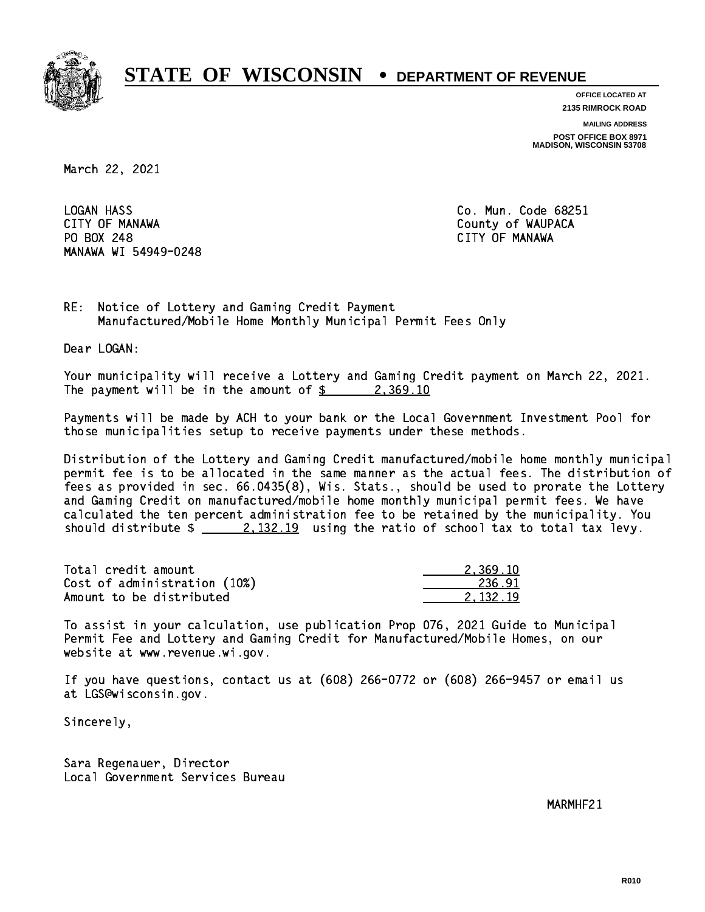

**OFFICE LOCATED AT**

**2135 RIMROCK ROAD**

**MAILING ADDRESS**

**POST OFFICE BOX 8971 MADISON, WISCONSIN 53708**

March 22, 2021

**LOGAN HASS**  CITY OF MANAWA County of WAUPACA PO BOX 248 CITY OF MANAWA MANAWA WI 54949-0248

Co. Mun. Code 68251

RE: Notice of Lottery and Gaming Credit Payment Manufactured/Mobile Home Monthly Municipal Permit Fees Only

Dear LOGAN:

 Your municipality will receive a Lottery and Gaming Credit payment on March 22, 2021. The payment will be in the amount of  $\frac{2}{3}$  2,369.10

 Payments will be made by ACH to your bank or the Local Government Investment Pool for those municipalities setup to receive payments under these methods.

 Distribution of the Lottery and Gaming Credit manufactured/mobile home monthly municipal permit fee is to be allocated in the same manner as the actual fees. The distribution of fees as provided in sec. 66.0435(8), Wis. Stats., should be used to prorate the Lottery and Gaming Credit on manufactured/mobile home monthly municipal permit fees. We have calculated the ten percent administration fee to be retained by the municipality. You should distribute  $\frac{2,132.19}{2}$  using the ratio of school tax to total tax levy.

| Total credit amount          | 2.369.10 |
|------------------------------|----------|
| Cost of administration (10%) | 236.91   |
| Amount to be distributed     | 2.132.19 |

 To assist in your calculation, use publication Prop 076, 2021 Guide to Municipal Permit Fee and Lottery and Gaming Credit for Manufactured/Mobile Homes, on our website at www.revenue.wi.gov.

 If you have questions, contact us at (608) 266-0772 or (608) 266-9457 or email us at LGS@wisconsin.gov.

Sincerely,

 Sara Regenauer, Director Local Government Services Bureau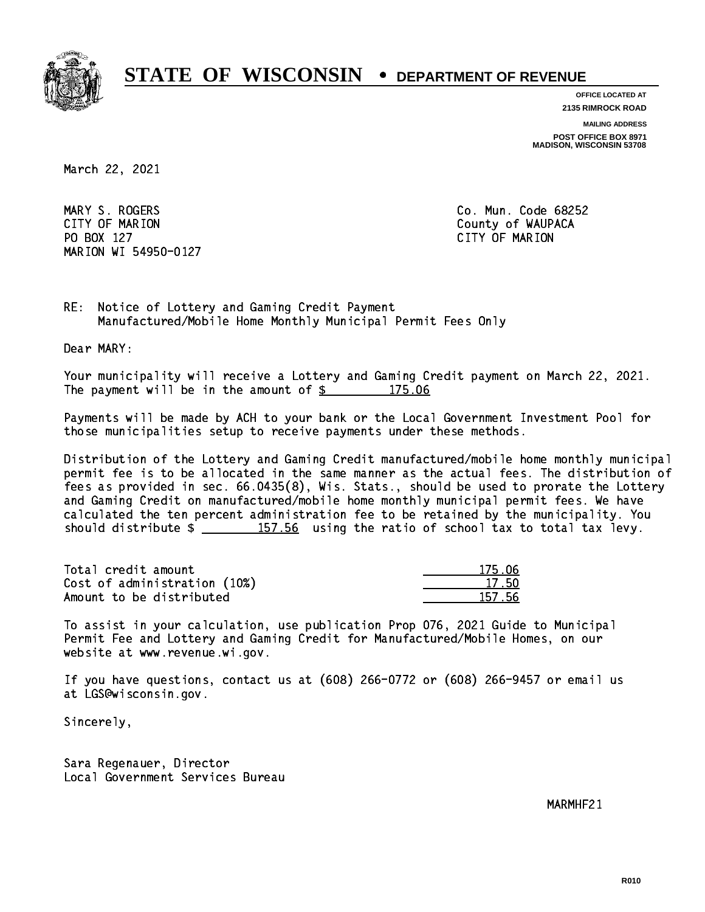

**OFFICE LOCATED AT**

**2135 RIMROCK ROAD**

**MAILING ADDRESS**

**POST OFFICE BOX 8971 MADISON, WISCONSIN 53708**

March 22, 2021

 MARY S. ROGERS Co. Mun. Code 68252 CITY OF MARION COUNTY COUNTY OF MARION PO BOX 127 CITY OF MARION MARION WI 54950-0127

RE: Notice of Lottery and Gaming Credit Payment Manufactured/Mobile Home Monthly Municipal Permit Fees Only

Dear MARY:

 Your municipality will receive a Lottery and Gaming Credit payment on March 22, 2021. The payment will be in the amount of  $\frac{2}{3}$  175.06

 Payments will be made by ACH to your bank or the Local Government Investment Pool for those municipalities setup to receive payments under these methods.

 Distribution of the Lottery and Gaming Credit manufactured/mobile home monthly municipal permit fee is to be allocated in the same manner as the actual fees. The distribution of fees as provided in sec. 66.0435(8), Wis. Stats., should be used to prorate the Lottery and Gaming Credit on manufactured/mobile home monthly municipal permit fees. We have calculated the ten percent administration fee to be retained by the municipality. You should distribute  $\frac{157.56}{2}$  using the ratio of school tax to total tax levy.

Total credit amount 175.06 Cost of administration (10%) 17.50 \_\_\_\_\_\_\_\_\_\_\_\_\_\_ Amount to be distributed 157.56

 To assist in your calculation, use publication Prop 076, 2021 Guide to Municipal Permit Fee and Lottery and Gaming Credit for Manufactured/Mobile Homes, on our website at www.revenue.wi.gov.

 If you have questions, contact us at (608) 266-0772 or (608) 266-9457 or email us at LGS@wisconsin.gov.

Sincerely,

 Sara Regenauer, Director Local Government Services Bureau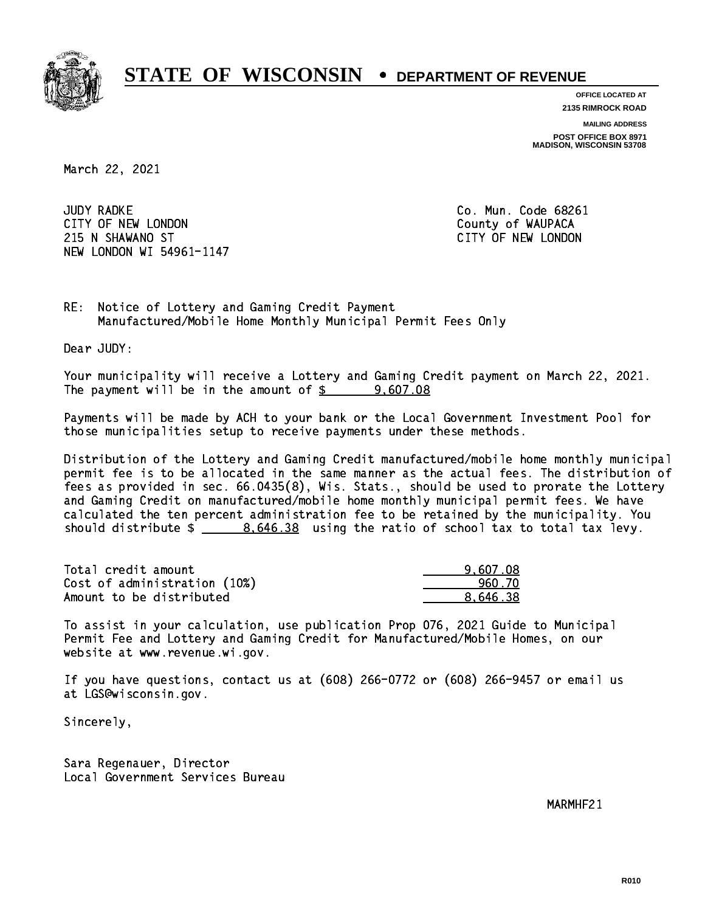

**OFFICE LOCATED AT**

**2135 RIMROCK ROAD**

**MAILING ADDRESS**

**POST OFFICE BOX 8971 MADISON, WISCONSIN 53708**

March 22, 2021

**JUDY RADKE** CITY OF NEW LONDON COUNTY OF WAUPACA 215 N SHAWANO ST CITY OF NEW LONDON NEW LONDON WI 54961-1147

Co. Mun. Code 68261

RE: Notice of Lottery and Gaming Credit Payment Manufactured/Mobile Home Monthly Municipal Permit Fees Only

Dear JUDY:

 Your municipality will receive a Lottery and Gaming Credit payment on March 22, 2021. The payment will be in the amount of  $\frac{2}{3}$  9,607.08

 Payments will be made by ACH to your bank or the Local Government Investment Pool for those municipalities setup to receive payments under these methods.

 Distribution of the Lottery and Gaming Credit manufactured/mobile home monthly municipal permit fee is to be allocated in the same manner as the actual fees. The distribution of fees as provided in sec. 66.0435(8), Wis. Stats., should be used to prorate the Lottery and Gaming Credit on manufactured/mobile home monthly municipal permit fees. We have calculated the ten percent administration fee to be retained by the municipality. You should distribute  $\frac{2}{2}$   $\frac{8.646.38}{2}$  using the ratio of school tax to total tax levy.

| Total credit amount          | 9.607.08 |
|------------------------------|----------|
| Cost of administration (10%) | 960.70   |
| Amount to be distributed     | 8.646.38 |

 To assist in your calculation, use publication Prop 076, 2021 Guide to Municipal Permit Fee and Lottery and Gaming Credit for Manufactured/Mobile Homes, on our website at www.revenue.wi.gov.

 If you have questions, contact us at (608) 266-0772 or (608) 266-9457 or email us at LGS@wisconsin.gov.

Sincerely,

 Sara Regenauer, Director Local Government Services Bureau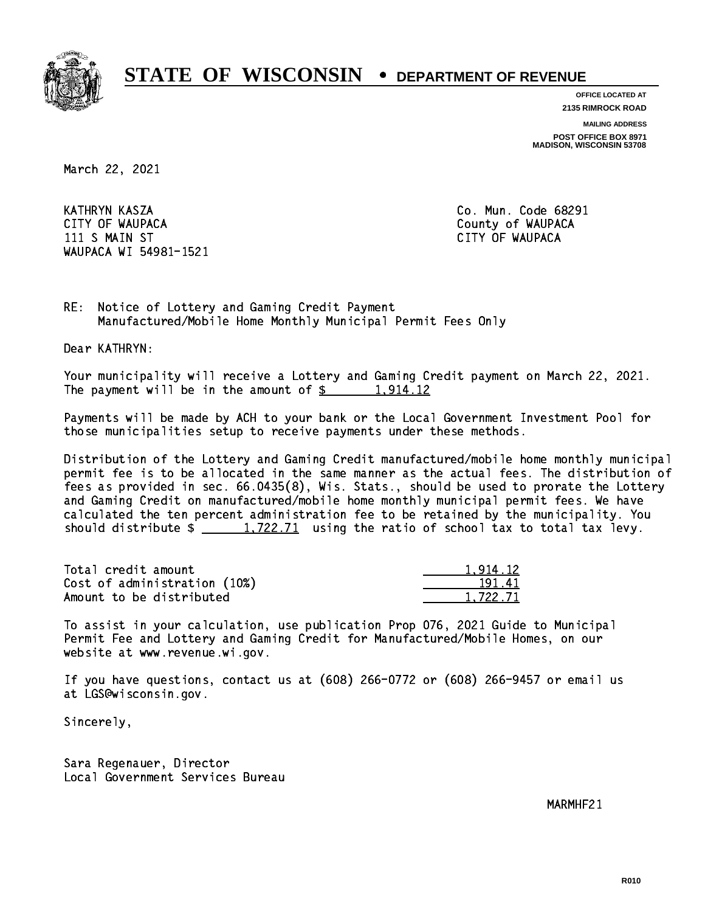

**OFFICE LOCATED AT**

**2135 RIMROCK ROAD**

**MAILING ADDRESS**

**POST OFFICE BOX 8971 MADISON, WISCONSIN 53708**

March 22, 2021

 KATHRYN KASZA Co. Mun. Code 68291 CITY OF WAUPACA **COULD ACCOUNT OF WAUPACA** 11 S MAIN ST CITY OF WAUPACA CHARGE IN STREET IN STREET IN STREET IN STREET IN STREET IN STREET IN STREET IN WAUPACA WI 54981-1521

RE: Notice of Lottery and Gaming Credit Payment Manufactured/Mobile Home Monthly Municipal Permit Fees Only

Dear KATHRYN:

 Your municipality will receive a Lottery and Gaming Credit payment on March 22, 2021. The payment will be in the amount of  $\frac{2}{3}$  1,914.12

 Payments will be made by ACH to your bank or the Local Government Investment Pool for those municipalities setup to receive payments under these methods.

 Distribution of the Lottery and Gaming Credit manufactured/mobile home monthly municipal permit fee is to be allocated in the same manner as the actual fees. The distribution of fees as provided in sec. 66.0435(8), Wis. Stats., should be used to prorate the Lottery and Gaming Credit on manufactured/mobile home monthly municipal permit fees. We have calculated the ten percent administration fee to be retained by the municipality. You should distribute  $\frac{1,722.71}{1,722.71}$  using the ratio of school tax to total tax levy.

| Total credit amount          | 1.914.12 |
|------------------------------|----------|
| Cost of administration (10%) | 191.41   |
| Amount to be distributed     | 1.722.71 |

 To assist in your calculation, use publication Prop 076, 2021 Guide to Municipal Permit Fee and Lottery and Gaming Credit for Manufactured/Mobile Homes, on our website at www.revenue.wi.gov.

 If you have questions, contact us at (608) 266-0772 or (608) 266-9457 or email us at LGS@wisconsin.gov.

Sincerely,

 Sara Regenauer, Director Local Government Services Bureau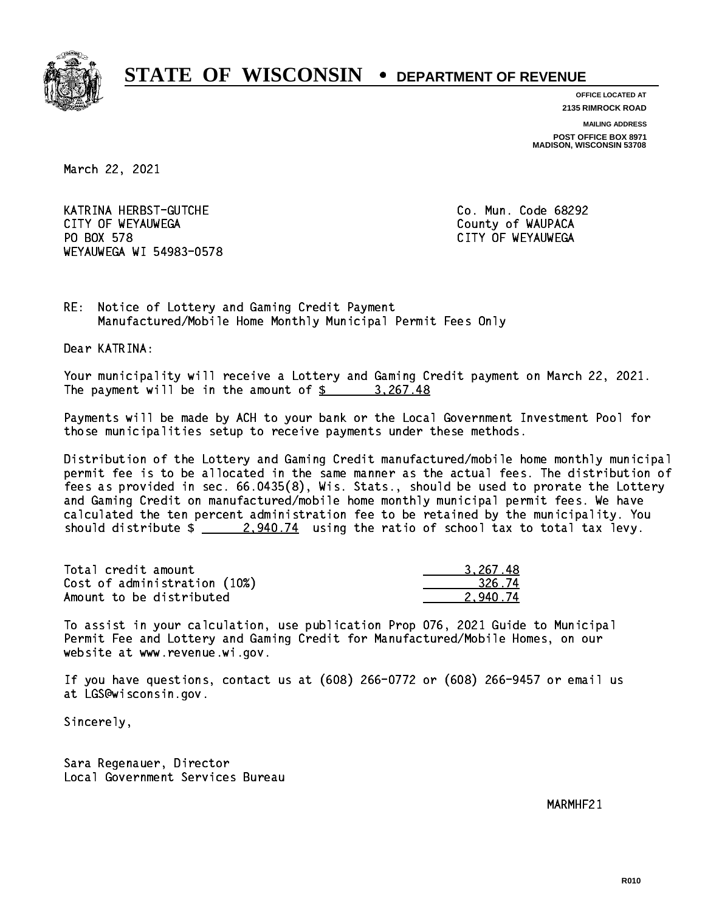

**OFFICE LOCATED AT**

**2135 RIMROCK ROAD**

**MAILING ADDRESS**

**POST OFFICE BOX 8971 MADISON, WISCONSIN 53708**

March 22, 2021

 KATRINA HERBST-GUTCHE Co. Mun. Code 68292 CITY OF WEYAUWEGA **COULD ACCOUNT OF SEXUAL COULD A** COUNTY OF WAUPACA PO BOX 578 WEYAUWEGA WI 54983-0578

CITY OF WEYAUWEGA

RE: Notice of Lottery and Gaming Credit Payment Manufactured/Mobile Home Monthly Municipal Permit Fees Only

Dear KATRINA:

 Your municipality will receive a Lottery and Gaming Credit payment on March 22, 2021. The payment will be in the amount of  $\frac{2}{3}$  3,267.48

 Payments will be made by ACH to your bank or the Local Government Investment Pool for those municipalities setup to receive payments under these methods.

 Distribution of the Lottery and Gaming Credit manufactured/mobile home monthly municipal permit fee is to be allocated in the same manner as the actual fees. The distribution of fees as provided in sec. 66.0435(8), Wis. Stats., should be used to prorate the Lottery and Gaming Credit on manufactured/mobile home monthly municipal permit fees. We have calculated the ten percent administration fee to be retained by the municipality. You should distribute  $\frac{2.940.74}{2.940.74}$  using the ratio of school tax to total tax levy.

| Total credit amount          | 3.267.48 |
|------------------------------|----------|
| Cost of administration (10%) | 326.74   |
| Amount to be distributed     | 2.940.74 |

 To assist in your calculation, use publication Prop 076, 2021 Guide to Municipal Permit Fee and Lottery and Gaming Credit for Manufactured/Mobile Homes, on our website at www.revenue.wi.gov.

 If you have questions, contact us at (608) 266-0772 or (608) 266-9457 or email us at LGS@wisconsin.gov.

Sincerely,

 Sara Regenauer, Director Local Government Services Bureau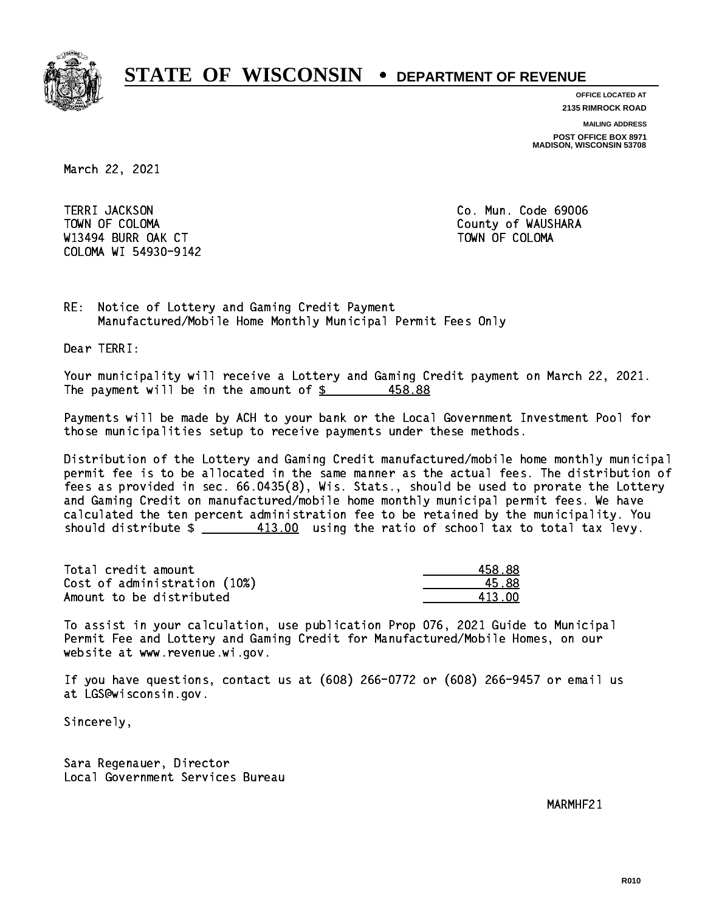

**OFFICE LOCATED AT**

**2135 RIMROCK ROAD**

**MAILING ADDRESS**

**POST OFFICE BOX 8971 MADISON, WISCONSIN 53708**

March 22, 2021

TERRI JACKSON TOWN OF COLOMA County of WAUSHARA W13494 BURR OAK CT AND TOWN OF COLOMA COLOMA WI 54930-9142

Co. Mun. Code 69006

RE: Notice of Lottery and Gaming Credit Payment Manufactured/Mobile Home Monthly Municipal Permit Fees Only

Dear TERRI:

 Your municipality will receive a Lottery and Gaming Credit payment on March 22, 2021. The payment will be in the amount of  $\frac{2}{3}$  458.88

 Payments will be made by ACH to your bank or the Local Government Investment Pool for those municipalities setup to receive payments under these methods.

 Distribution of the Lottery and Gaming Credit manufactured/mobile home monthly municipal permit fee is to be allocated in the same manner as the actual fees. The distribution of fees as provided in sec. 66.0435(8), Wis. Stats., should be used to prorate the Lottery and Gaming Credit on manufactured/mobile home monthly municipal permit fees. We have calculated the ten percent administration fee to be retained by the municipality. You should distribute  $\frac{413.00}{2}$  using the ratio of school tax to total tax levy.

Total credit amount Cost of administration (10%) Amount to be distributed

| 58.88  |
|--------|
| 5.88   |
| 113 NN |

 To assist in your calculation, use publication Prop 076, 2021 Guide to Municipal Permit Fee and Lottery and Gaming Credit for Manufactured/Mobile Homes, on our website at www.revenue.wi.gov.

 If you have questions, contact us at (608) 266-0772 or (608) 266-9457 or email us at LGS@wisconsin.gov.

Sincerely,

 Sara Regenauer, Director Local Government Services Bureau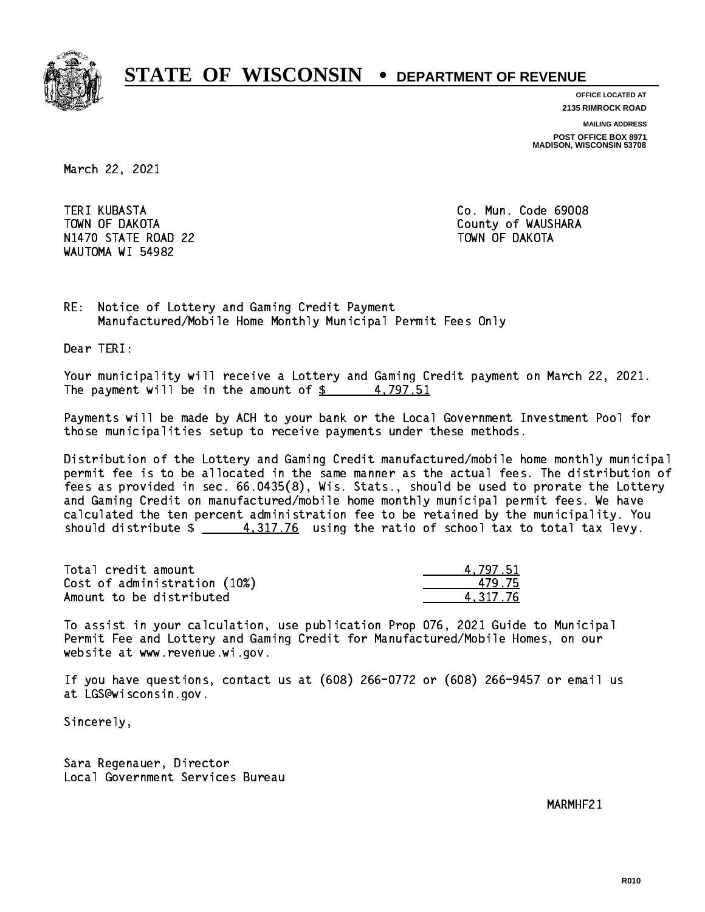

**OFFICE LOCATED AT**

**2135 RIMROCK ROAD**

**MAILING ADDRESS**

**POST OFFICE BOX 8971 MADISON, WISCONSIN 53708**

March 22, 2021

**TERI KUBASTA**  TOWN OF DAKOTA County of WAUSHARA N1470 STATE ROAD 22 TOWN OF DAKOTA WAUTOMA WI 54982

Co. Mun. Code 69008

RE: Notice of Lottery and Gaming Credit Payment Manufactured/Mobile Home Monthly Municipal Permit Fees Only

Dear TERI:

 Your municipality will receive a Lottery and Gaming Credit payment on March 22, 2021. The payment will be in the amount of  $\frac{2}{3}$  4,797.51

 Payments will be made by ACH to your bank or the Local Government Investment Pool for those municipalities setup to receive payments under these methods.

 Distribution of the Lottery and Gaming Credit manufactured/mobile home monthly municipal permit fee is to be allocated in the same manner as the actual fees. The distribution of fees as provided in sec. 66.0435(8), Wis. Stats., should be used to prorate the Lottery and Gaming Credit on manufactured/mobile home monthly municipal permit fees. We have calculated the ten percent administration fee to be retained by the municipality. You should distribute  $\frac{4.317.76}{2}$  using the ratio of school tax to total tax levy.

| Total credit amount          | 4.797.51 |
|------------------------------|----------|
| Cost of administration (10%) | 479.75   |
| Amount to be distributed     | 4.317.76 |

 To assist in your calculation, use publication Prop 076, 2021 Guide to Municipal Permit Fee and Lottery and Gaming Credit for Manufactured/Mobile Homes, on our website at www.revenue.wi.gov.

 If you have questions, contact us at (608) 266-0772 or (608) 266-9457 or email us at LGS@wisconsin.gov.

Sincerely,

 Sara Regenauer, Director Local Government Services Bureau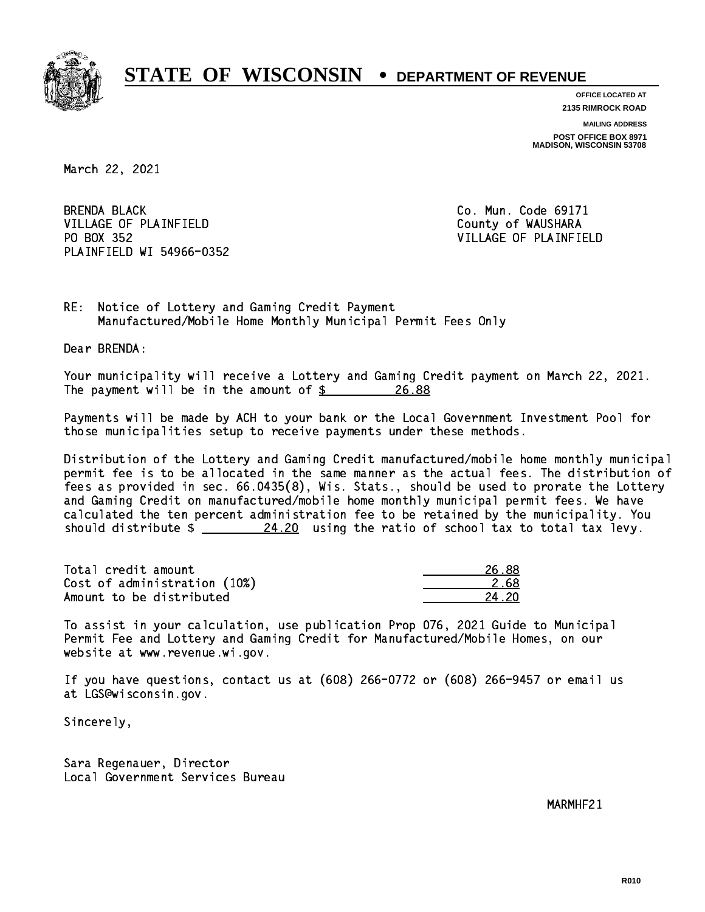

**OFFICE LOCATED AT**

**2135 RIMROCK ROAD**

**MAILING ADDRESS POST OFFICE BOX 8971 MADISON, WISCONSIN 53708**

March 22, 2021

**BRENDA BLACK** VILLAGE OF PLAINFIELD County of WAUSHARA PO BOX 352 PLAINFIELD WI 54966-0352

Co. Mun. Code 69171 VILLAGE OF PLAINFIELD

RE: Notice of Lottery and Gaming Credit Payment Manufactured/Mobile Home Monthly Municipal Permit Fees Only

Dear BRENDA:

 Your municipality will receive a Lottery and Gaming Credit payment on March 22, 2021. The payment will be in the amount of \$ 26.88 \_\_\_\_\_\_\_\_\_\_\_\_\_\_\_\_ 26.88

 Payments will be made by ACH to your bank or the Local Government Investment Pool for those municipalities setup to receive payments under these methods.

 Distribution of the Lottery and Gaming Credit manufactured/mobile home monthly municipal permit fee is to be allocated in the same manner as the actual fees. The distribution of fees as provided in sec. 66.0435(8), Wis. Stats., should be used to prorate the Lottery and Gaming Credit on manufactured/mobile home monthly municipal permit fees. We have calculated the ten percent administration fee to be retained by the municipality. You should distribute  $\frac{24.20}{12}$  using the ratio of school tax to total tax levy.

Total credit amount Cost of administration (10%) Amount to be distributed

| 38   |
|------|
| 2.68 |
| L 2N |

 To assist in your calculation, use publication Prop 076, 2021 Guide to Municipal Permit Fee and Lottery and Gaming Credit for Manufactured/Mobile Homes, on our website at www.revenue.wi.gov.

 If you have questions, contact us at (608) 266-0772 or (608) 266-9457 or email us at LGS@wisconsin.gov.

Sincerely,

 Sara Regenauer, Director Local Government Services Bureau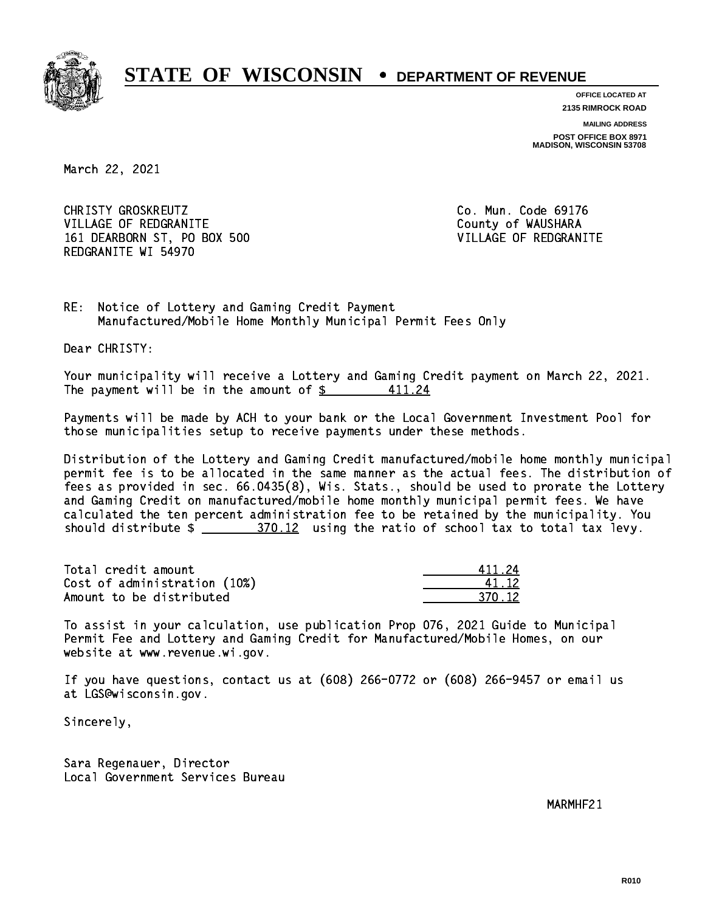

**OFFICE LOCATED AT**

**2135 RIMROCK ROAD**

**MAILING ADDRESS POST OFFICE BOX 8971 MADISON, WISCONSIN 53708**

March 22, 2021

CHRISTY GROSKREUTZ VILLAGE OF REDGRANITE COUNTY OF WAUSHARA 161 DEARBORN ST, PO BOX 500 VILLAGE OF REDGRANITE REDGRANITE WI 54970

Co. Mun. Code 69176

RE: Notice of Lottery and Gaming Credit Payment Manufactured/Mobile Home Monthly Municipal Permit Fees Only

Dear CHRISTY:

 Your municipality will receive a Lottery and Gaming Credit payment on March 22, 2021. The payment will be in the amount of  $$$ 411.24

 Payments will be made by ACH to your bank or the Local Government Investment Pool for those municipalities setup to receive payments under these methods.

 Distribution of the Lottery and Gaming Credit manufactured/mobile home monthly municipal permit fee is to be allocated in the same manner as the actual fees. The distribution of fees as provided in sec. 66.0435(8), Wis. Stats., should be used to prorate the Lottery and Gaming Credit on manufactured/mobile home monthly municipal permit fees. We have calculated the ten percent administration fee to be retained by the municipality. You should distribute  $\frac{270.12}{12}$  using the ratio of school tax to total tax levy.

Total credit amount Cost of administration (10%) Amount to be distributed

| 111.24 |
|--------|
| 1.12   |
| 1.12   |

 To assist in your calculation, use publication Prop 076, 2021 Guide to Municipal Permit Fee and Lottery and Gaming Credit for Manufactured/Mobile Homes, on our website at www.revenue.wi.gov.

 If you have questions, contact us at (608) 266-0772 or (608) 266-9457 or email us at LGS@wisconsin.gov.

Sincerely,

 Sara Regenauer, Director Local Government Services Bureau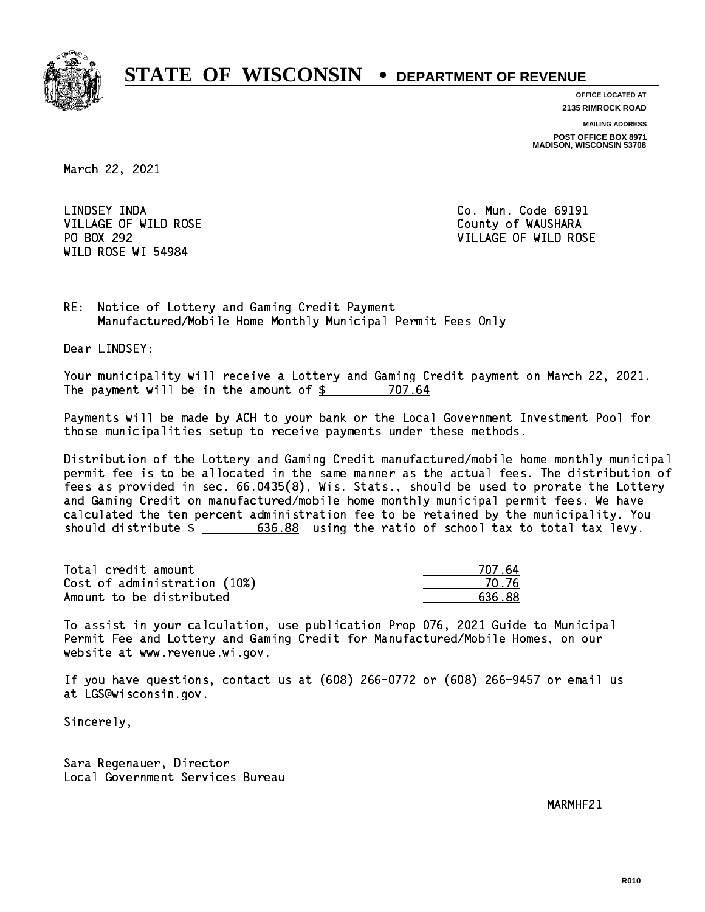

**OFFICE LOCATED AT**

**2135 RIMROCK ROAD**

**MAILING ADDRESS**

**POST OFFICE BOX 8971 MADISON, WISCONSIN 53708**

March 22, 2021

LINDSEY INDA VILLAGE OF WILD ROSE COUNTY OF WAUSHARA PO BOX 292 WILD ROSE WI 54984

Co. Mun. Code 69191 VILLAGE OF WILD ROSE

RE: Notice of Lottery and Gaming Credit Payment Manufactured/Mobile Home Monthly Municipal Permit Fees Only

Dear LINDSEY:

 Your municipality will receive a Lottery and Gaming Credit payment on March 22, 2021. The payment will be in the amount of \$ 707.64 \_\_\_\_\_\_\_\_\_\_\_\_\_\_\_\_

 Payments will be made by ACH to your bank or the Local Government Investment Pool for those municipalities setup to receive payments under these methods.

 Distribution of the Lottery and Gaming Credit manufactured/mobile home monthly municipal permit fee is to be allocated in the same manner as the actual fees. The distribution of fees as provided in sec. 66.0435(8), Wis. Stats., should be used to prorate the Lottery and Gaming Credit on manufactured/mobile home monthly municipal permit fees. We have calculated the ten percent administration fee to be retained by the municipality. You should distribute  $\frac{2}{1}$   $\frac{636.88}{2}$  using the ratio of school tax to total tax levy.

Total credit amount Cost of administration (10%) Amount to be distributed

| 77 64  |
|--------|
| 1.76   |
| 636.88 |

 To assist in your calculation, use publication Prop 076, 2021 Guide to Municipal Permit Fee and Lottery and Gaming Credit for Manufactured/Mobile Homes, on our website at www.revenue.wi.gov.

 If you have questions, contact us at (608) 266-0772 or (608) 266-9457 or email us at LGS@wisconsin.gov.

Sincerely,

 Sara Regenauer, Director Local Government Services Bureau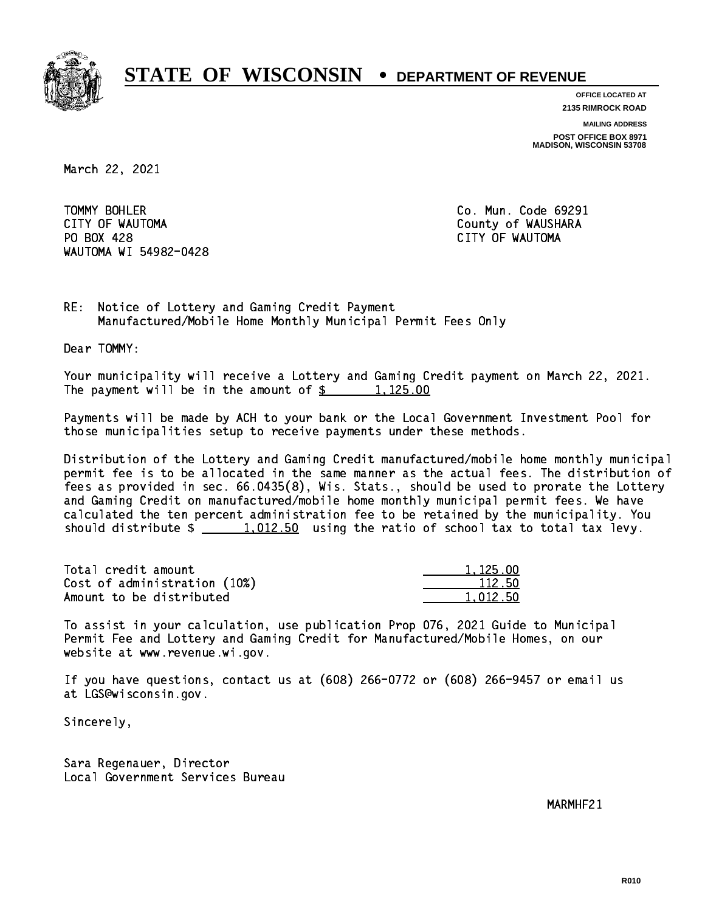

**OFFICE LOCATED AT**

**2135 RIMROCK ROAD**

**MAILING ADDRESS**

**POST OFFICE BOX 8971 MADISON, WISCONSIN 53708**

March 22, 2021

TOMMY BOHLER CITY OF WAUTOMA County of WAUSHARA PO BOX 428 CITY OF WAUTOMA WAUTOMA WI 54982-0428

Co. Mun. Code 69291

RE: Notice of Lottery and Gaming Credit Payment Manufactured/Mobile Home Monthly Municipal Permit Fees Only

Dear TOMMY:

 Your municipality will receive a Lottery and Gaming Credit payment on March 22, 2021. The payment will be in the amount of  $\frac{2}{3}$  1,125.00

 Payments will be made by ACH to your bank or the Local Government Investment Pool for those municipalities setup to receive payments under these methods.

 Distribution of the Lottery and Gaming Credit manufactured/mobile home monthly municipal permit fee is to be allocated in the same manner as the actual fees. The distribution of fees as provided in sec. 66.0435(8), Wis. Stats., should be used to prorate the Lottery and Gaming Credit on manufactured/mobile home monthly municipal permit fees. We have calculated the ten percent administration fee to be retained by the municipality. You should distribute  $\frac{1,012.50}{1,012.50}$  using the ratio of school tax to total tax levy.

| Total credit amount          | 1,125,00 |
|------------------------------|----------|
| Cost of administration (10%) | 112.50   |
| Amount to be distributed     | 1.012.50 |

| 125.00 |
|--------|
| 112.50 |
| በ12 5በ |

 To assist in your calculation, use publication Prop 076, 2021 Guide to Municipal Permit Fee and Lottery and Gaming Credit for Manufactured/Mobile Homes, on our website at www.revenue.wi.gov.

 If you have questions, contact us at (608) 266-0772 or (608) 266-9457 or email us at LGS@wisconsin.gov.

Sincerely,

 Sara Regenauer, Director Local Government Services Bureau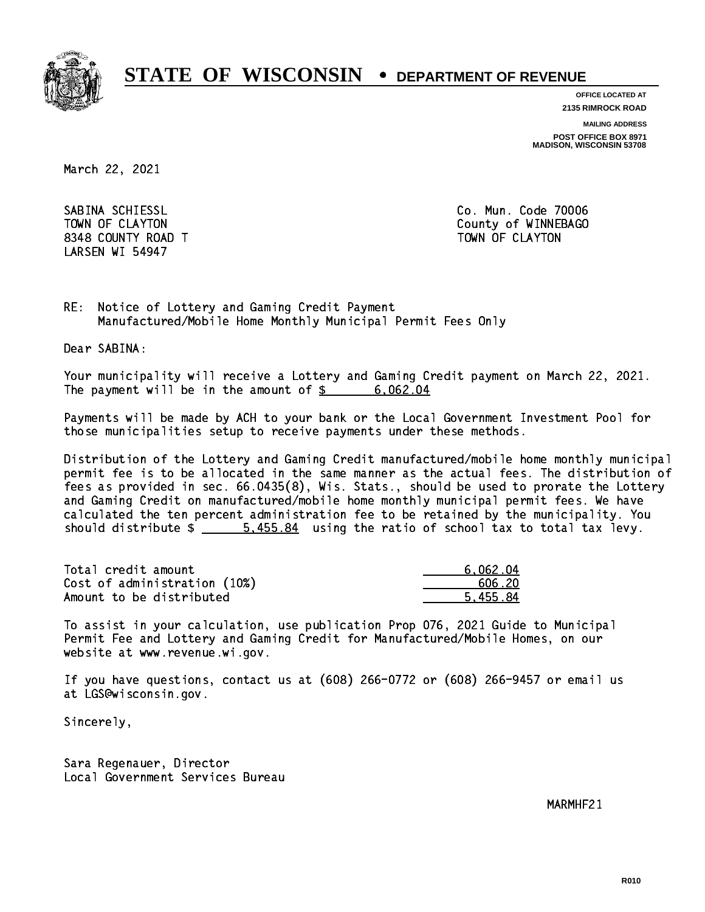

**OFFICE LOCATED AT**

**2135 RIMROCK ROAD**

**MAILING ADDRESS**

**POST OFFICE BOX 8971 MADISON, WISCONSIN 53708**

March 22, 2021

 SABINA SCHIESSL Co. Mun. Code 70006 8348 COUNTY ROAD TWO COUNTY AND TOWN OF CLAYTON LARSEN WI 54947

TOWN OF CLAYTON COUNTY OF WINNEBAGO

RE: Notice of Lottery and Gaming Credit Payment Manufactured/Mobile Home Monthly Municipal Permit Fees Only

Dear SABINA:

 Your municipality will receive a Lottery and Gaming Credit payment on March 22, 2021. The payment will be in the amount of  $\frac{2}{3}$  6,062.04

 Payments will be made by ACH to your bank or the Local Government Investment Pool for those municipalities setup to receive payments under these methods.

 Distribution of the Lottery and Gaming Credit manufactured/mobile home monthly municipal permit fee is to be allocated in the same manner as the actual fees. The distribution of fees as provided in sec. 66.0435(8), Wis. Stats., should be used to prorate the Lottery and Gaming Credit on manufactured/mobile home monthly municipal permit fees. We have calculated the ten percent administration fee to be retained by the municipality. You should distribute  $\frac{2}{1}$   $\frac{5.455.84}{2}$  using the ratio of school tax to total tax levy.

| Total credit amount          | 6.062.04 |
|------------------------------|----------|
| Cost of administration (10%) | .606.20  |
| Amount to be distributed     | 5.455.84 |

 To assist in your calculation, use publication Prop 076, 2021 Guide to Municipal Permit Fee and Lottery and Gaming Credit for Manufactured/Mobile Homes, on our website at www.revenue.wi.gov.

 If you have questions, contact us at (608) 266-0772 or (608) 266-9457 or email us at LGS@wisconsin.gov.

Sincerely,

 Sara Regenauer, Director Local Government Services Bureau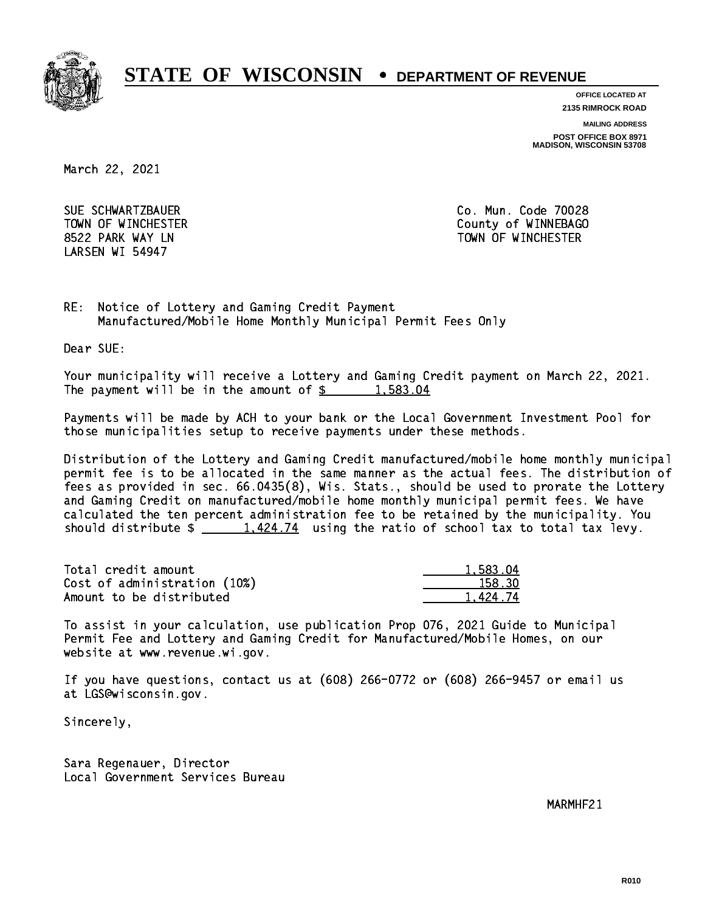

**OFFICE LOCATED AT**

**2135 RIMROCK ROAD**

**MAILING ADDRESS**

**POST OFFICE BOX 8971 MADISON, WISCONSIN 53708**

March 22, 2021

 SUE SCHWARTZBAUER Co. Mun. Code 70028 LARSEN WI 54947

 TOWN OF WINCHESTER County of WINNEBAGO 8522 PARK WAY LN TOWN OF WINCHESTER

RE: Notice of Lottery and Gaming Credit Payment Manufactured/Mobile Home Monthly Municipal Permit Fees Only

Dear SUE:

 Your municipality will receive a Lottery and Gaming Credit payment on March 22, 2021. The payment will be in the amount of  $\frac{2}{3}$  1,583.04

 Payments will be made by ACH to your bank or the Local Government Investment Pool for those municipalities setup to receive payments under these methods.

 Distribution of the Lottery and Gaming Credit manufactured/mobile home monthly municipal permit fee is to be allocated in the same manner as the actual fees. The distribution of fees as provided in sec. 66.0435(8), Wis. Stats., should be used to prorate the Lottery and Gaming Credit on manufactured/mobile home monthly municipal permit fees. We have calculated the ten percent administration fee to be retained by the municipality. You should distribute  $\frac{1.424.74}{1.424.74}$  using the ratio of school tax to total tax levy.

| Total credit amount          | 1.583.04 |
|------------------------------|----------|
| Cost of administration (10%) | 158.30   |
| Amount to be distributed     | 1 424.74 |

 To assist in your calculation, use publication Prop 076, 2021 Guide to Municipal Permit Fee and Lottery and Gaming Credit for Manufactured/Mobile Homes, on our website at www.revenue.wi.gov.

 If you have questions, contact us at (608) 266-0772 or (608) 266-9457 or email us at LGS@wisconsin.gov.

Sincerely,

 Sara Regenauer, Director Local Government Services Bureau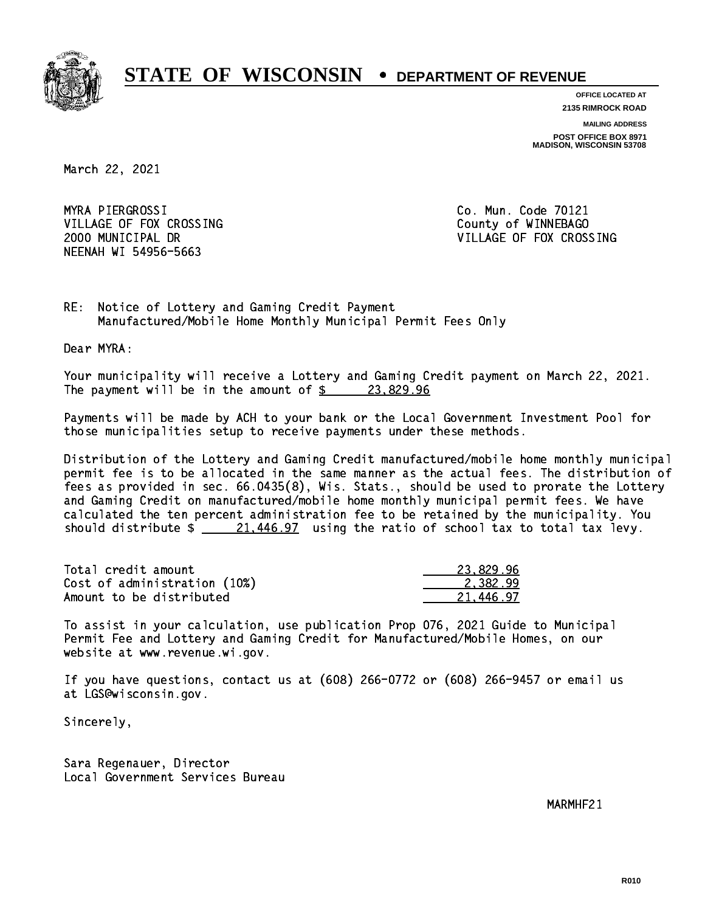

**OFFICE LOCATED AT 2135 RIMROCK ROAD**

**MAILING ADDRESS POST OFFICE BOX 8971 MADISON, WISCONSIN 53708**

March 22, 2021

MYRA PIERGROSSI VILLAGE OF FOX CROSSING COUNTY OF WINNEBAGO NEENAH WI 54956-5663

Co. Mun. Code 70121 2000 MUNICIPAL DR VILLAGE OF FOX CROSSING

RE: Notice of Lottery and Gaming Credit Payment Manufactured/Mobile Home Monthly Municipal Permit Fees Only

Dear MYRA:

 Your municipality will receive a Lottery and Gaming Credit payment on March 22, 2021. The payment will be in the amount of  $\frac{23,829.96}{23,829.96}$ 

 Payments will be made by ACH to your bank or the Local Government Investment Pool for those municipalities setup to receive payments under these methods.

 Distribution of the Lottery and Gaming Credit manufactured/mobile home monthly municipal permit fee is to be allocated in the same manner as the actual fees. The distribution of fees as provided in sec. 66.0435(8), Wis. Stats., should be used to prorate the Lottery and Gaming Credit on manufactured/mobile home monthly municipal permit fees. We have calculated the ten percent administration fee to be retained by the municipality. You should distribute  $\frac{21,446.97}{21,446.97}$  using the ratio of school tax to total tax levy.

| Total credit amount          | 23.829.96 |
|------------------------------|-----------|
| Cost of administration (10%) | 2.382.99  |
| Amount to be distributed     | 21.446.97 |

 To assist in your calculation, use publication Prop 076, 2021 Guide to Municipal Permit Fee and Lottery and Gaming Credit for Manufactured/Mobile Homes, on our website at www.revenue.wi.gov.

 If you have questions, contact us at (608) 266-0772 or (608) 266-9457 or email us at LGS@wisconsin.gov.

Sincerely,

 Sara Regenauer, Director Local Government Services Bureau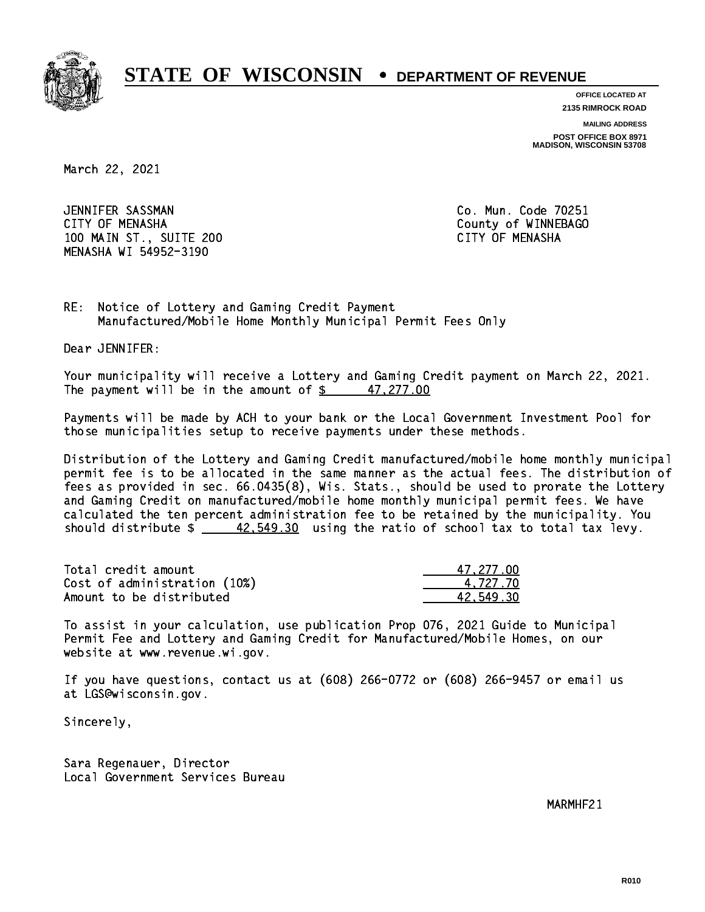

**OFFICE LOCATED AT**

**2135 RIMROCK ROAD**

**MAILING ADDRESS**

**POST OFFICE BOX 8971 MADISON, WISCONSIN 53708**

March 22, 2021

 JENNIFER SASSMAN Co. Mun. Code 70251 CITY OF MENASHA COUNTY OF MENASHA 100 MAIN ST., SUITE 200 CITY OF MENASHA MENASHA WI 54952-3190

RE: Notice of Lottery and Gaming Credit Payment Manufactured/Mobile Home Monthly Municipal Permit Fees Only

Dear JENNIFER:

 Your municipality will receive a Lottery and Gaming Credit payment on March 22, 2021. The payment will be in the amount of  $\frac{277.00}{271.00}$ 

 Payments will be made by ACH to your bank or the Local Government Investment Pool for those municipalities setup to receive payments under these methods.

 Distribution of the Lottery and Gaming Credit manufactured/mobile home monthly municipal permit fee is to be allocated in the same manner as the actual fees. The distribution of fees as provided in sec. 66.0435(8), Wis. Stats., should be used to prorate the Lottery and Gaming Credit on manufactured/mobile home monthly municipal permit fees. We have calculated the ten percent administration fee to be retained by the municipality. You should distribute  $\frac{42,549.30}{2}$  using the ratio of school tax to total tax levy.

| Total credit amount          | 47,277.00 |
|------------------------------|-----------|
| Cost of administration (10%) | 4.727.70  |
| Amount to be distributed     | 42.549.30 |

 To assist in your calculation, use publication Prop 076, 2021 Guide to Municipal Permit Fee and Lottery and Gaming Credit for Manufactured/Mobile Homes, on our website at www.revenue.wi.gov.

 If you have questions, contact us at (608) 266-0772 or (608) 266-9457 or email us at LGS@wisconsin.gov.

Sincerely,

 Sara Regenauer, Director Local Government Services Bureau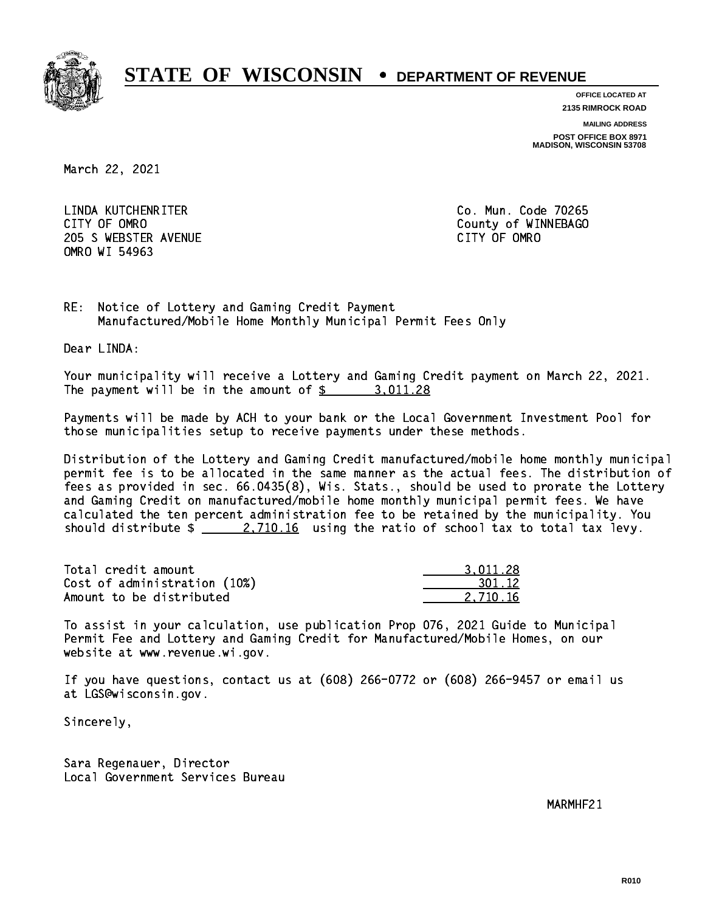

**OFFICE LOCATED AT**

**2135 RIMROCK ROAD**

**MAILING ADDRESS**

**POST OFFICE BOX 8971 MADISON, WISCONSIN 53708**

March 22, 2021

 LINDA KUTCHENRITER Co. Mun. Code 70265 CITY OF OMRO COUNTY COUNTY OF MESSAGE COUNTY OF MESSAGE COUNTY OF MESSAGE COUNTY OF MESSAGE COUNTY OF MESSAGE COUNTY OF MESSAGE COUNTY OF MESSAGE COUNTY OF MESSAGE COUNTY OF MESSAGE COUNTY OF MESSAGE COUNTY OF MESSAGE COUN 205 SWEBSTER AVENUE **CITY OF OMRO** OMRO WI 54963

RE: Notice of Lottery and Gaming Credit Payment Manufactured/Mobile Home Monthly Municipal Permit Fees Only

Dear LINDA:

 Your municipality will receive a Lottery and Gaming Credit payment on March 22, 2021. The payment will be in the amount of  $\frac{2}{3}$  3,011.28

 Payments will be made by ACH to your bank or the Local Government Investment Pool for those municipalities setup to receive payments under these methods.

 Distribution of the Lottery and Gaming Credit manufactured/mobile home monthly municipal permit fee is to be allocated in the same manner as the actual fees. The distribution of fees as provided in sec. 66.0435(8), Wis. Stats., should be used to prorate the Lottery and Gaming Credit on manufactured/mobile home monthly municipal permit fees. We have calculated the ten percent administration fee to be retained by the municipality. You should distribute  $\frac{2,710.16}{2}$  using the ratio of school tax to total tax levy.

| Total credit amount          | 3.011.28 |
|------------------------------|----------|
| Cost of administration (10%) | 301.12   |
| Amount to be distributed     | 2.710.16 |

 To assist in your calculation, use publication Prop 076, 2021 Guide to Municipal Permit Fee and Lottery and Gaming Credit for Manufactured/Mobile Homes, on our website at www.revenue.wi.gov.

 If you have questions, contact us at (608) 266-0772 or (608) 266-9457 or email us at LGS@wisconsin.gov.

Sincerely,

 Sara Regenauer, Director Local Government Services Bureau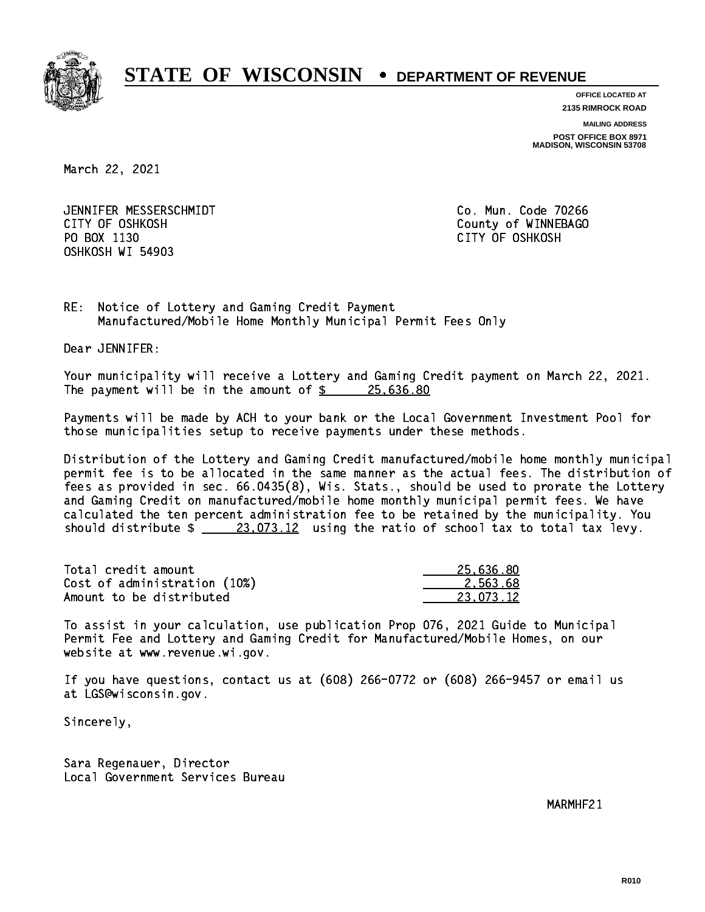

**OFFICE LOCATED AT**

**2135 RIMROCK ROAD**

**MAILING ADDRESS**

**POST OFFICE BOX 8971 MADISON, WISCONSIN 53708**

March 22, 2021

 JENNIFER MESSERSCHMIDT Co. Mun. Code 70266 CITY OF OSHKOSH County of WINNEBAGO PO BOX 1130 CITY OF OSHKOSH OSHKOSH WI 54903

RE: Notice of Lottery and Gaming Credit Payment Manufactured/Mobile Home Monthly Municipal Permit Fees Only

Dear JENNIFER:

 Your municipality will receive a Lottery and Gaming Credit payment on March 22, 2021. The payment will be in the amount of  $\frac{25,636.80}{25,636.80}$ 

 Payments will be made by ACH to your bank or the Local Government Investment Pool for those municipalities setup to receive payments under these methods.

 Distribution of the Lottery and Gaming Credit manufactured/mobile home monthly municipal permit fee is to be allocated in the same manner as the actual fees. The distribution of fees as provided in sec. 66.0435(8), Wis. Stats., should be used to prorate the Lottery and Gaming Credit on manufactured/mobile home monthly municipal permit fees. We have calculated the ten percent administration fee to be retained by the municipality. You should distribute  $\frac{23,073.12}{23,073.12}$  using the ratio of school tax to total tax levy.

| Total credit amount          | 25.636.80 |
|------------------------------|-----------|
| Cost of administration (10%) | 2.563.68  |
| Amount to be distributed     | 23.073.12 |

 To assist in your calculation, use publication Prop 076, 2021 Guide to Municipal Permit Fee and Lottery and Gaming Credit for Manufactured/Mobile Homes, on our website at www.revenue.wi.gov.

 If you have questions, contact us at (608) 266-0772 or (608) 266-9457 or email us at LGS@wisconsin.gov.

Sincerely,

 Sara Regenauer, Director Local Government Services Bureau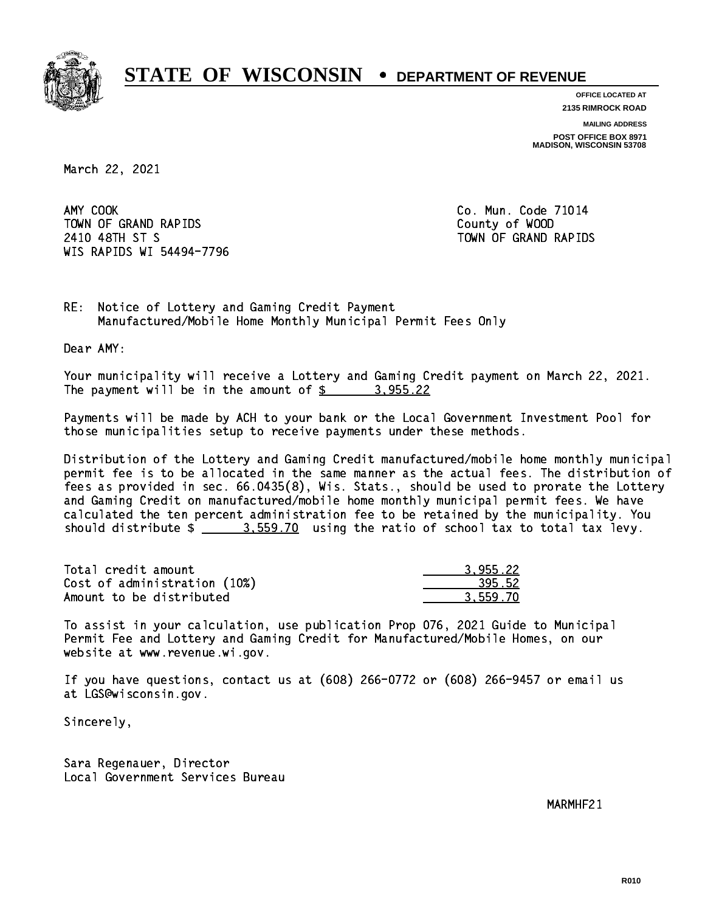

**OFFICE LOCATED AT 2135 RIMROCK ROAD**

**MAILING ADDRESS**

**POST OFFICE BOX 8971 MADISON, WISCONSIN 53708**

March 22, 2021

AMY COOK TOWN OF GRAND RAPIDS County of WOOD 2410 48TH ST S TOWN OF GRAND RAPIDS WIS RAPIDS WI 54494-7796

Co. Mun. Code 71014

RE: Notice of Lottery and Gaming Credit Payment Manufactured/Mobile Home Monthly Municipal Permit Fees Only

Dear AMY:

 Your municipality will receive a Lottery and Gaming Credit payment on March 22, 2021. The payment will be in the amount of  $\frac{2}{3}$  3,955.22

 Payments will be made by ACH to your bank or the Local Government Investment Pool for those municipalities setup to receive payments under these methods.

 Distribution of the Lottery and Gaming Credit manufactured/mobile home monthly municipal permit fee is to be allocated in the same manner as the actual fees. The distribution of fees as provided in sec. 66.0435(8), Wis. Stats., should be used to prorate the Lottery and Gaming Credit on manufactured/mobile home monthly municipal permit fees. We have calculated the ten percent administration fee to be retained by the municipality. You should distribute  $\frac{2}{2}$   $\frac{3.559.70}{2}$  using the ratio of school tax to total tax levy.

| Total credit amount          | 3.955.22 |
|------------------------------|----------|
| Cost of administration (10%) | 395.52   |
| Amount to be distributed     | 3.559.70 |

 To assist in your calculation, use publication Prop 076, 2021 Guide to Municipal Permit Fee and Lottery and Gaming Credit for Manufactured/Mobile Homes, on our website at www.revenue.wi.gov.

 If you have questions, contact us at (608) 266-0772 or (608) 266-9457 or email us at LGS@wisconsin.gov.

Sincerely,

 Sara Regenauer, Director Local Government Services Bureau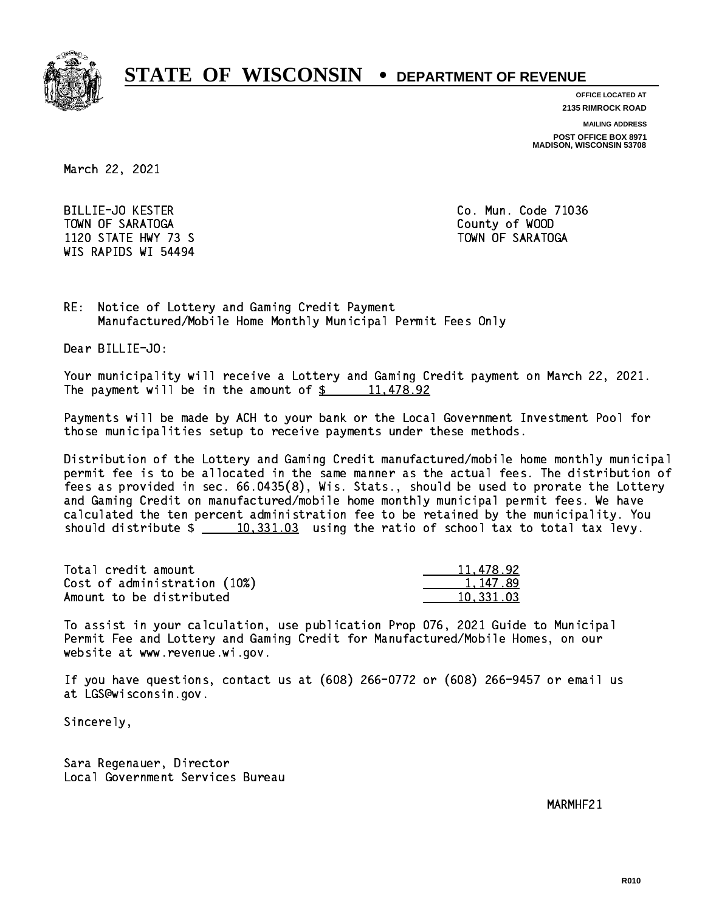

**OFFICE LOCATED AT**

**2135 RIMROCK ROAD**

**MAILING ADDRESS**

**POST OFFICE BOX 8971 MADISON, WISCONSIN 53708**

March 22, 2021

 BILLIE-JO KESTER Co. Mun. Code 71036 TOWN OF SARATOGA County of WOOD 1120 STATE HWY 73 S TOWN OF SARATOGA WIS RAPIDS WI 54494

RE: Notice of Lottery and Gaming Credit Payment Manufactured/Mobile Home Monthly Municipal Permit Fees Only

Dear BILLIE-JO:

 Your municipality will receive a Lottery and Gaming Credit payment on March 22, 2021. The payment will be in the amount of  $\frac{2}{3}$  11,478.92

 Payments will be made by ACH to your bank or the Local Government Investment Pool for those municipalities setup to receive payments under these methods.

 Distribution of the Lottery and Gaming Credit manufactured/mobile home monthly municipal permit fee is to be allocated in the same manner as the actual fees. The distribution of fees as provided in sec. 66.0435(8), Wis. Stats., should be used to prorate the Lottery and Gaming Credit on manufactured/mobile home monthly municipal permit fees. We have calculated the ten percent administration fee to be retained by the municipality. You should distribute  $\frac{10,331.03}{10,331.03}$  using the ratio of school tax to total tax levy.

| Total credit amount          | 11,478.92 |
|------------------------------|-----------|
| Cost of administration (10%) | 1.147.89  |
| Amount to be distributed     | 10.331.03 |

 To assist in your calculation, use publication Prop 076, 2021 Guide to Municipal Permit Fee and Lottery and Gaming Credit for Manufactured/Mobile Homes, on our website at www.revenue.wi.gov.

 If you have questions, contact us at (608) 266-0772 or (608) 266-9457 or email us at LGS@wisconsin.gov.

Sincerely,

 Sara Regenauer, Director Local Government Services Bureau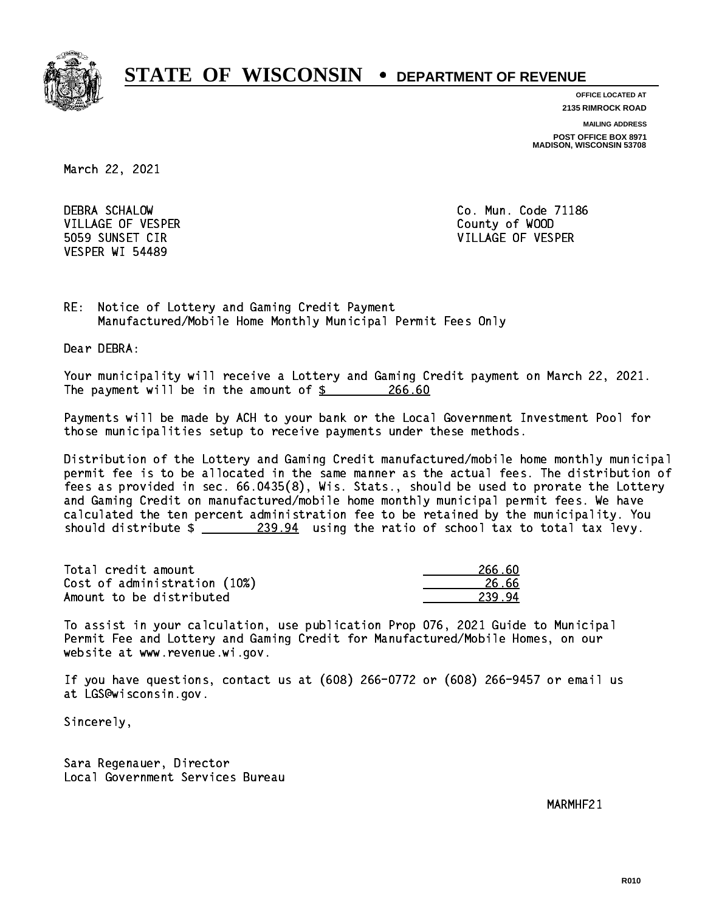

**OFFICE LOCATED AT**

**2135 RIMROCK ROAD**

**MAILING ADDRESS**

**POST OFFICE BOX 8971 MADISON, WISCONSIN 53708**

March 22, 2021

 DEBRA SCHALOW Co. Mun. Code 71186 VILLAGE OF VESPER COUNTY OF WOOD VESPER WI 54489

5059 SUNSET CIR VILLAGE OF VESPER

RE: Notice of Lottery and Gaming Credit Payment Manufactured/Mobile Home Monthly Municipal Permit Fees Only

Dear DEBRA:

 Your municipality will receive a Lottery and Gaming Credit payment on March 22, 2021. The payment will be in the amount of \$ 266.60 \_\_\_\_\_\_\_\_\_\_\_\_\_\_\_\_

 Payments will be made by ACH to your bank or the Local Government Investment Pool for those municipalities setup to receive payments under these methods.

 Distribution of the Lottery and Gaming Credit manufactured/mobile home monthly municipal permit fee is to be allocated in the same manner as the actual fees. The distribution of fees as provided in sec. 66.0435(8), Wis. Stats., should be used to prorate the Lottery and Gaming Credit on manufactured/mobile home monthly municipal permit fees. We have calculated the ten percent administration fee to be retained by the municipality. You should distribute  $\frac{239.94}{239.94}$  using the ratio of school tax to total tax levy.

Total credit amount Cost of administration (10%) Amount to be distributed

| 266.60     |
|------------|
| 26.66      |
| ıЛ<br>239. |

 To assist in your calculation, use publication Prop 076, 2021 Guide to Municipal Permit Fee and Lottery and Gaming Credit for Manufactured/Mobile Homes, on our website at www.revenue.wi.gov.

 If you have questions, contact us at (608) 266-0772 or (608) 266-9457 or email us at LGS@wisconsin.gov.

Sincerely,

 Sara Regenauer, Director Local Government Services Bureau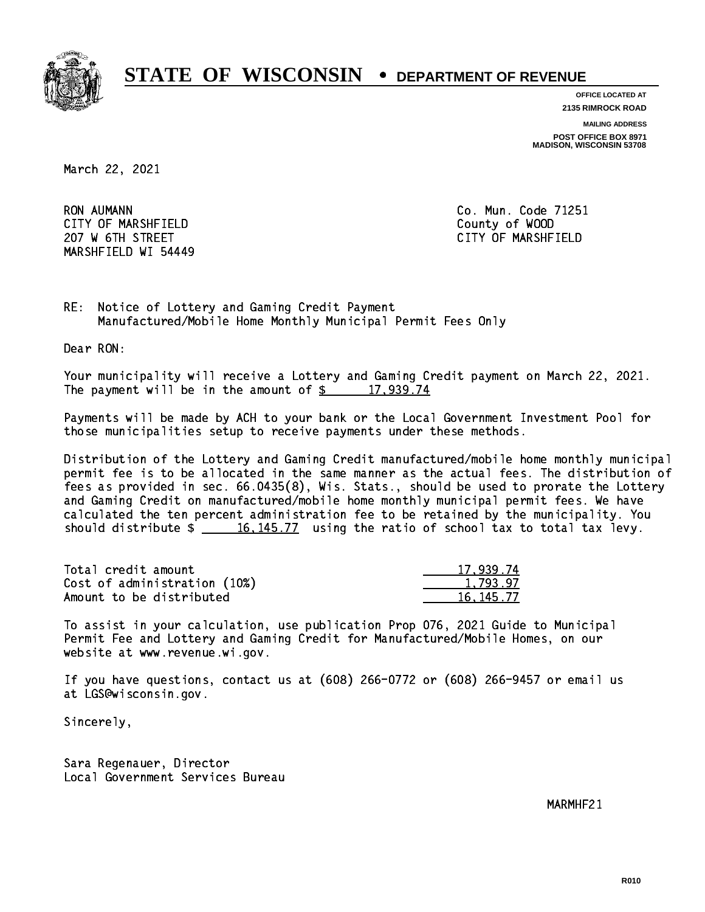

**OFFICE LOCATED AT**

**2135 RIMROCK ROAD**

**MAILING ADDRESS**

**POST OFFICE BOX 8971 MADISON, WISCONSIN 53708**

March 22, 2021

**RON AUMANN**  CITY OF MARSHFIELD County of WOOD 207 W 6TH STREET CITY OF MARSHFIELD MARSHFIELD WI 54449

Co. Mun. Code 71251

RE: Notice of Lottery and Gaming Credit Payment Manufactured/Mobile Home Monthly Municipal Permit Fees Only

Dear RON:

 Your municipality will receive a Lottery and Gaming Credit payment on March 22, 2021. The payment will be in the amount of  $\frac{2}{3}$  17,939.74

 Payments will be made by ACH to your bank or the Local Government Investment Pool for those municipalities setup to receive payments under these methods.

 Distribution of the Lottery and Gaming Credit manufactured/mobile home monthly municipal permit fee is to be allocated in the same manner as the actual fees. The distribution of fees as provided in sec. 66.0435(8), Wis. Stats., should be used to prorate the Lottery and Gaming Credit on manufactured/mobile home monthly municipal permit fees. We have calculated the ten percent administration fee to be retained by the municipality. You should distribute  $\frac{16,145.77}{16,145.77}$  using the ratio of school tax to total tax levy.

| Total credit amount          | 17,939.74 |
|------------------------------|-----------|
| Cost of administration (10%) | 1.793.97  |
| Amount to be distributed     | 16.145.77 |

 To assist in your calculation, use publication Prop 076, 2021 Guide to Municipal Permit Fee and Lottery and Gaming Credit for Manufactured/Mobile Homes, on our website at www.revenue.wi.gov.

 If you have questions, contact us at (608) 266-0772 or (608) 266-9457 or email us at LGS@wisconsin.gov.

Sincerely,

 Sara Regenauer, Director Local Government Services Bureau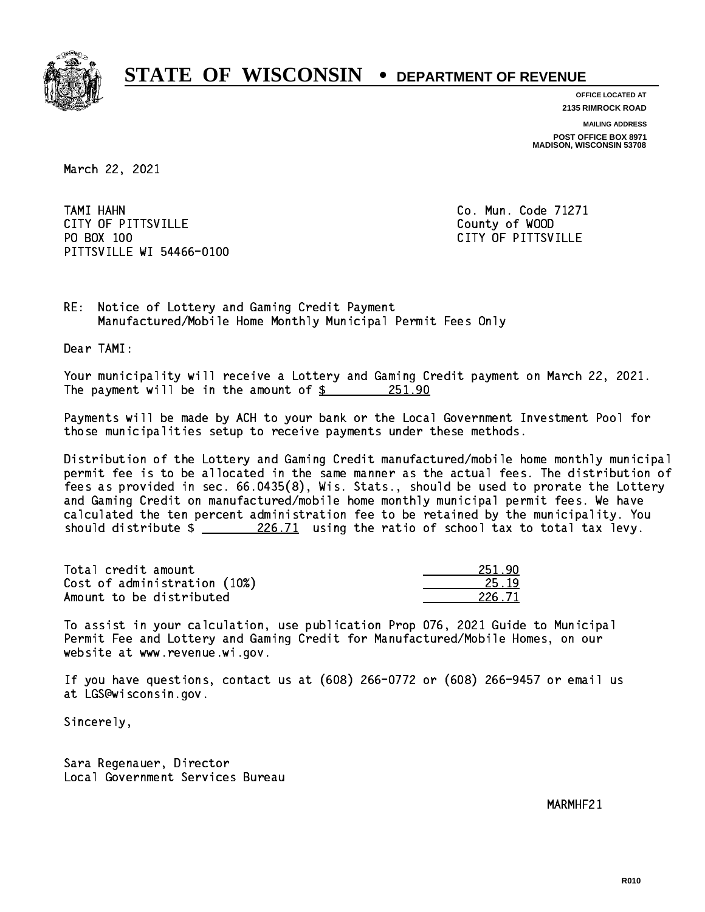

**OFFICE LOCATED AT 2135 RIMROCK ROAD**

**MAILING ADDRESS**

**POST OFFICE BOX 8971 MADISON, WISCONSIN 53708**

March 22, 2021

 TAMI HAHN Co. Mun. Code 71271 CITY OF PITTSVILLE **COUNTY COUNTY OF SUITS** PO BOX 100 PITTSVILLE WI 54466-0100

CITY OF PITTSVILLE

RE: Notice of Lottery and Gaming Credit Payment Manufactured/Mobile Home Monthly Municipal Permit Fees Only

Dear TAMI:

 Your municipality will receive a Lottery and Gaming Credit payment on March 22, 2021. The payment will be in the amount of  $\frac{251.90}{251.90}$ 

 Payments will be made by ACH to your bank or the Local Government Investment Pool for those municipalities setup to receive payments under these methods.

 Distribution of the Lottery and Gaming Credit manufactured/mobile home monthly municipal permit fee is to be allocated in the same manner as the actual fees. The distribution of fees as provided in sec. 66.0435(8), Wis. Stats., should be used to prorate the Lottery and Gaming Credit on manufactured/mobile home monthly municipal permit fees. We have calculated the ten percent administration fee to be retained by the municipality. You should distribute  $\frac{226.71}{20.71}$  using the ratio of school tax to total tax levy.

Total credit amount Cost of administration (10%) Amount to be distributed

| - 1        |
|------------|
| . 71<br>22 |

 To assist in your calculation, use publication Prop 076, 2021 Guide to Municipal Permit Fee and Lottery and Gaming Credit for Manufactured/Mobile Homes, on our website at www.revenue.wi.gov.

 If you have questions, contact us at (608) 266-0772 or (608) 266-9457 or email us at LGS@wisconsin.gov.

Sincerely,

 Sara Regenauer, Director Local Government Services Bureau